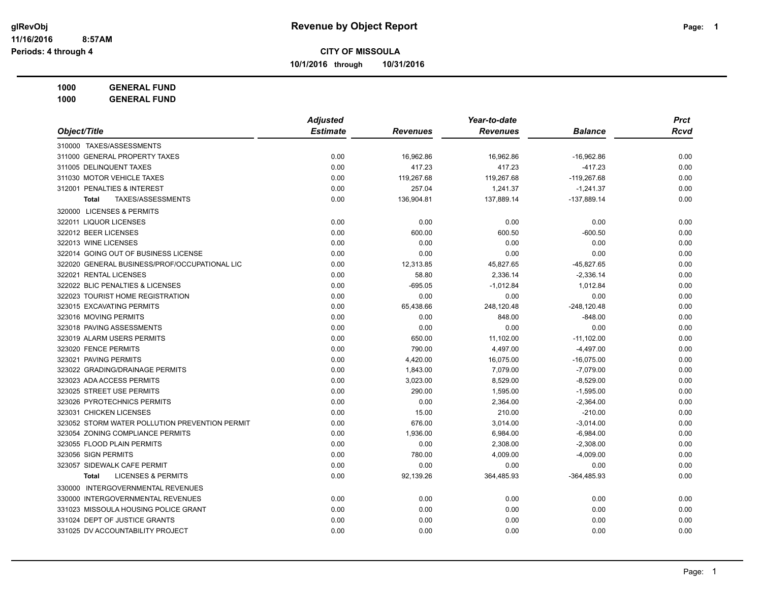**10/1/2016 through 10/31/2016**

**1000 GENERAL FUND**

|                                                | <b>Adjusted</b> |                 | Year-to-date    |                | <b>Prct</b> |
|------------------------------------------------|-----------------|-----------------|-----------------|----------------|-------------|
| Object/Title                                   | <b>Estimate</b> | <b>Revenues</b> | <b>Revenues</b> | <b>Balance</b> | <b>Rcvd</b> |
| 310000 TAXES/ASSESSMENTS                       |                 |                 |                 |                |             |
| 311000 GENERAL PROPERTY TAXES                  | 0.00            | 16,962.86       | 16,962.86       | $-16,962.86$   | 0.00        |
| 311005 DELINQUENT TAXES                        | 0.00            | 417.23          | 417.23          | $-417.23$      | 0.00        |
| 311030 MOTOR VEHICLE TAXES                     | 0.00            | 119,267.68      | 119,267.68      | $-119,267.68$  | 0.00        |
| 312001 PENALTIES & INTEREST                    | 0.00            | 257.04          | 1,241.37        | $-1,241.37$    | 0.00        |
| TAXES/ASSESSMENTS<br>Total                     | 0.00            | 136,904.81      | 137,889.14      | $-137,889.14$  | 0.00        |
| 320000 LICENSES & PERMITS                      |                 |                 |                 |                |             |
| 322011 LIQUOR LICENSES                         | 0.00            | 0.00            | 0.00            | 0.00           | 0.00        |
| 322012 BEER LICENSES                           | 0.00            | 600.00          | 600.50          | $-600.50$      | 0.00        |
| 322013 WINE LICENSES                           | 0.00            | 0.00            | 0.00            | 0.00           | 0.00        |
| 322014 GOING OUT OF BUSINESS LICENSE           | 0.00            | 0.00            | 0.00            | 0.00           | 0.00        |
| 322020 GENERAL BUSINESS/PROF/OCCUPATIONAL LIC  | 0.00            | 12,313.85       | 45,827.65       | $-45,827.65$   | 0.00        |
| 322021 RENTAL LICENSES                         | 0.00            | 58.80           | 2,336.14        | $-2,336.14$    | 0.00        |
| 322022 BLIC PENALTIES & LICENSES               | 0.00            | $-695.05$       | $-1,012.84$     | 1,012.84       | 0.00        |
| 322023 TOURIST HOME REGISTRATION               | 0.00            | 0.00            | 0.00            | 0.00           | 0.00        |
| 323015 EXCAVATING PERMITS                      | 0.00            | 65,438.66       | 248,120.48      | $-248,120.48$  | 0.00        |
| 323016 MOVING PERMITS                          | 0.00            | 0.00            | 848.00          | $-848.00$      | 0.00        |
| 323018 PAVING ASSESSMENTS                      | 0.00            | 0.00            | 0.00            | 0.00           | 0.00        |
| 323019 ALARM USERS PERMITS                     | 0.00            | 650.00          | 11,102.00       | $-11,102.00$   | 0.00        |
| 323020 FENCE PERMITS                           | 0.00            | 790.00          | 4,497.00        | $-4,497.00$    | 0.00        |
| 323021 PAVING PERMITS                          | 0.00            | 4,420.00        | 16,075.00       | $-16,075.00$   | 0.00        |
| 323022 GRADING/DRAINAGE PERMITS                | 0.00            | 1,843.00        | 7,079.00        | $-7,079.00$    | 0.00        |
| 323023 ADA ACCESS PERMITS                      | 0.00            | 3,023.00        | 8,529.00        | $-8,529.00$    | 0.00        |
| 323025 STREET USE PERMITS                      | 0.00            | 290.00          | 1,595.00        | $-1,595.00$    | 0.00        |
| 323026 PYROTECHNICS PERMITS                    | 0.00            | 0.00            | 2,364.00        | $-2,364.00$    | 0.00        |
| 323031 CHICKEN LICENSES                        | 0.00            | 15.00           | 210.00          | $-210.00$      | 0.00        |
| 323052 STORM WATER POLLUTION PREVENTION PERMIT | 0.00            | 676.00          | 3,014.00        | $-3,014.00$    | 0.00        |
| 323054 ZONING COMPLIANCE PERMITS               | 0.00            | 1,936.00        | 6,984.00        | $-6,984.00$    | 0.00        |
| 323055 FLOOD PLAIN PERMITS                     | 0.00            | 0.00            | 2,308.00        | $-2,308.00$    | 0.00        |
| 323056 SIGN PERMITS                            | 0.00            | 780.00          | 4,009.00        | $-4,009.00$    | 0.00        |
| 323057 SIDEWALK CAFE PERMIT                    | 0.00            | 0.00            | 0.00            | 0.00           | 0.00        |
| <b>LICENSES &amp; PERMITS</b><br><b>Total</b>  | 0.00            | 92,139.26       | 364,485.93      | $-364,485.93$  | 0.00        |
| 330000 INTERGOVERNMENTAL REVENUES              |                 |                 |                 |                |             |
| 330000 INTERGOVERNMENTAL REVENUES              | 0.00            | 0.00            | 0.00            | 0.00           | 0.00        |
| 331023 MISSOULA HOUSING POLICE GRANT           | 0.00            | 0.00            | 0.00            | 0.00           | 0.00        |
| 331024 DEPT OF JUSTICE GRANTS                  | 0.00            | 0.00            | 0.00            | 0.00           | 0.00        |
| 331025 DV ACCOUNTABILITY PROJECT               | 0.00            | 0.00            | 0.00            | 0.00           | 0.00        |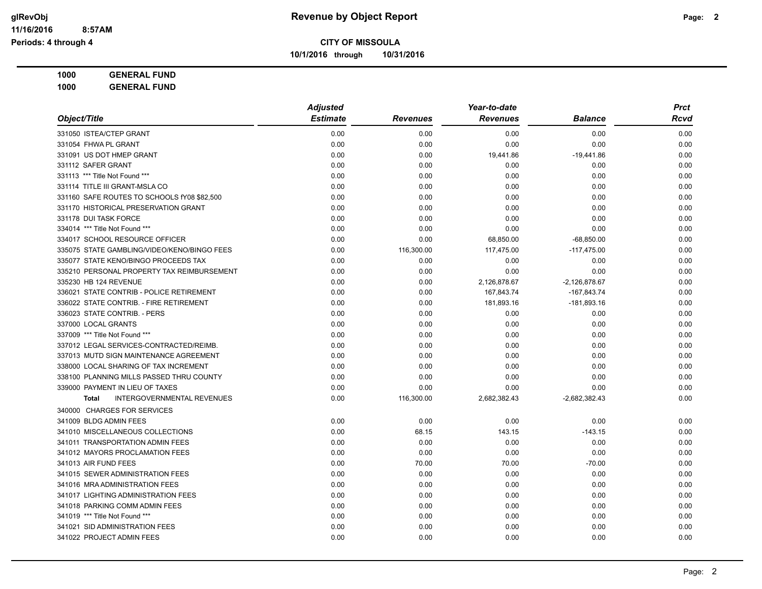**10/1/2016 through 10/31/2016**

**1000 GENERAL FUND**

|                                             | <b>Adjusted</b> |                 | Year-to-date    |                 | <b>Prct</b> |
|---------------------------------------------|-----------------|-----------------|-----------------|-----------------|-------------|
| Object/Title                                | <b>Estimate</b> | <b>Revenues</b> | <b>Revenues</b> | <b>Balance</b>  | <b>Rcvd</b> |
| 331050 ISTEA/CTEP GRANT                     | 0.00            | 0.00            | 0.00            | 0.00            | 0.00        |
| 331054 FHWA PL GRANT                        | 0.00            | 0.00            | 0.00            | 0.00            | 0.00        |
| 331091 US DOT HMEP GRANT                    | 0.00            | 0.00            | 19,441.86       | $-19,441.86$    | 0.00        |
| 331112 SAFER GRANT                          | 0.00            | 0.00            | 0.00            | 0.00            | 0.00        |
| 331113 *** Title Not Found ***              | 0.00            | 0.00            | 0.00            | 0.00            | 0.00        |
| 331114 TITLE III GRANT-MSLA CO              | 0.00            | 0.00            | 0.00            | 0.00            | 0.00        |
| 331160 SAFE ROUTES TO SCHOOLS fY08 \$82,500 | 0.00            | 0.00            | 0.00            | 0.00            | 0.00        |
| 331170 HISTORICAL PRESERVATION GRANT        | 0.00            | 0.00            | 0.00            | 0.00            | 0.00        |
| 331178 DUI TASK FORCE                       | 0.00            | 0.00            | 0.00            | 0.00            | 0.00        |
| 334014 *** Title Not Found ***              | 0.00            | 0.00            | 0.00            | 0.00            | 0.00        |
| 334017 SCHOOL RESOURCE OFFICER              | 0.00            | 0.00            | 68,850.00       | $-68,850.00$    | 0.00        |
| 335075 STATE GAMBLING/VIDEO/KENO/BINGO FEES | 0.00            | 116,300.00      | 117,475.00      | $-117,475.00$   | 0.00        |
| 335077 STATE KENO/BINGO PROCEEDS TAX        | 0.00            | 0.00            | 0.00            | 0.00            | 0.00        |
| 335210 PERSONAL PROPERTY TAX REIMBURSEMENT  | 0.00            | 0.00            | 0.00            | 0.00            | 0.00        |
| 335230 HB 124 REVENUE                       | 0.00            | 0.00            | 2,126,878.67    | $-2,126,878.67$ | 0.00        |
| 336021 STATE CONTRIB - POLICE RETIREMENT    | 0.00            | 0.00            | 167,843.74      | $-167,843.74$   | 0.00        |
| 336022 STATE CONTRIB. - FIRE RETIREMENT     | 0.00            | 0.00            | 181,893.16      | $-181,893.16$   | 0.00        |
| 336023 STATE CONTRIB. - PERS                | 0.00            | 0.00            | 0.00            | 0.00            | 0.00        |
| 337000 LOCAL GRANTS                         | 0.00            | 0.00            | 0.00            | 0.00            | 0.00        |
| 337009 *** Title Not Found ***              | 0.00            | 0.00            | 0.00            | 0.00            | 0.00        |
| 337012 LEGAL SERVICES-CONTRACTED/REIMB.     | 0.00            | 0.00            | 0.00            | 0.00            | 0.00        |
| 337013 MUTD SIGN MAINTENANCE AGREEMENT      | 0.00            | 0.00            | 0.00            | 0.00            | 0.00        |
| 338000 LOCAL SHARING OF TAX INCREMENT       | 0.00            | 0.00            | 0.00            | 0.00            | 0.00        |
| 338100 PLANNING MILLS PASSED THRU COUNTY    | 0.00            | 0.00            | 0.00            | 0.00            | 0.00        |
| 339000 PAYMENT IN LIEU OF TAXES             | 0.00            | 0.00            | 0.00            | 0.00            | 0.00        |
| <b>INTERGOVERNMENTAL REVENUES</b><br>Total  | 0.00            | 116,300.00      | 2,682,382.43    | $-2,682,382.43$ | 0.00        |
| 340000 CHARGES FOR SERVICES                 |                 |                 |                 |                 |             |
| 341009 BLDG ADMIN FEES                      | 0.00            | 0.00            | 0.00            | 0.00            | 0.00        |
| 341010 MISCELLANEOUS COLLECTIONS            | 0.00            | 68.15           | 143.15          | $-143.15$       | 0.00        |
| 341011 TRANSPORTATION ADMIN FEES            | 0.00            | 0.00            | 0.00            | 0.00            | 0.00        |
| 341012 MAYORS PROCLAMATION FEES             | 0.00            | 0.00            | 0.00            | 0.00            | 0.00        |
| 341013 AIR FUND FEES                        | 0.00            | 70.00           | 70.00           | $-70.00$        | 0.00        |
| 341015 SEWER ADMINISTRATION FEES            | 0.00            | 0.00            | 0.00            | 0.00            | 0.00        |
| 341016 MRA ADMINISTRATION FEES              | 0.00            | 0.00            | 0.00            | 0.00            | 0.00        |
| 341017 LIGHTING ADMINISTRATION FEES         | 0.00            | 0.00            | 0.00            | 0.00            | 0.00        |
| 341018 PARKING COMM ADMIN FEES              | 0.00            | 0.00            | 0.00            | 0.00            | 0.00        |
| 341019 *** Title Not Found ***              | 0.00            | 0.00            | 0.00            | 0.00            | 0.00        |
| 341021 SID ADMINISTRATION FEES              | 0.00            | 0.00            | 0.00            | 0.00            | 0.00        |
| 341022 PROJECT ADMIN FEES                   | 0.00            | 0.00            | 0.00            | 0.00            | 0.00        |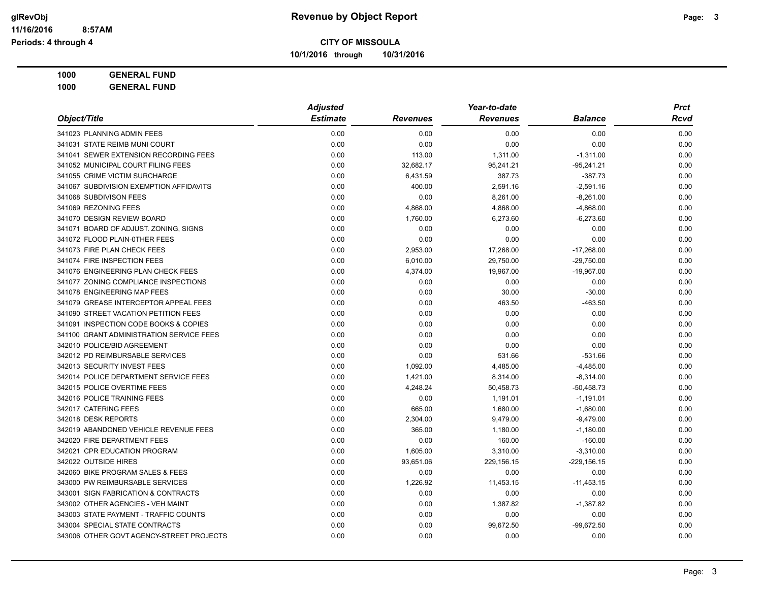**10/1/2016 through 10/31/2016**

**1000 GENERAL FUND**

|                                          | <b>Adjusted</b> |                 | Year-to-date    |                | <b>Prct</b> |
|------------------------------------------|-----------------|-----------------|-----------------|----------------|-------------|
| Object/Title                             | <b>Estimate</b> | <b>Revenues</b> | <b>Revenues</b> | <b>Balance</b> | Rcvd        |
| 341023 PLANNING ADMIN FEES               | 0.00            | 0.00            | 0.00            | 0.00           | 0.00        |
| 341031 STATE REIMB MUNI COURT            | 0.00            | 0.00            | 0.00            | 0.00           | 0.00        |
| 341041 SEWER EXTENSION RECORDING FEES    | 0.00            | 113.00          | 1,311.00        | $-1,311.00$    | 0.00        |
| 341052 MUNICIPAL COURT FILING FEES       | 0.00            | 32,682.17       | 95,241.21       | $-95,241.21$   | 0.00        |
| 341055 CRIME VICTIM SURCHARGE            | 0.00            | 6,431.59        | 387.73          | $-387.73$      | 0.00        |
| 341067 SUBDIVISION EXEMPTION AFFIDAVITS  | 0.00            | 400.00          | 2,591.16        | $-2,591.16$    | 0.00        |
| 341068 SUBDIVISON FEES                   | 0.00            | 0.00            | 8,261.00        | $-8,261.00$    | 0.00        |
| 341069 REZONING FEES                     | 0.00            | 4,868.00        | 4,868.00        | $-4,868.00$    | 0.00        |
| 341070 DESIGN REVIEW BOARD               | 0.00            | 1,760.00        | 6,273.60        | $-6,273.60$    | 0.00        |
| 341071 BOARD OF ADJUST. ZONING, SIGNS    | 0.00            | 0.00            | 0.00            | 0.00           | 0.00        |
| 341072 FLOOD PLAIN-0THER FEES            | 0.00            | 0.00            | 0.00            | 0.00           | 0.00        |
| 341073 FIRE PLAN CHECK FEES              | 0.00            | 2,953.00        | 17,268.00       | $-17,268.00$   | 0.00        |
| 341074 FIRE INSPECTION FEES              | 0.00            | 6,010.00        | 29,750.00       | $-29,750.00$   | 0.00        |
| 341076 ENGINEERING PLAN CHECK FEES       | 0.00            | 4,374.00        | 19,967.00       | $-19,967.00$   | 0.00        |
| 341077 ZONING COMPLIANCE INSPECTIONS     | 0.00            | 0.00            | 0.00            | 0.00           | 0.00        |
| 341078 ENGINEERING MAP FEES              | 0.00            | 0.00            | 30.00           | $-30.00$       | 0.00        |
| 341079 GREASE INTERCEPTOR APPEAL FEES    | 0.00            | 0.00            | 463.50          | $-463.50$      | 0.00        |
| 341090 STREET VACATION PETITION FEES     | 0.00            | 0.00            | 0.00            | 0.00           | 0.00        |
| 341091 INSPECTION CODE BOOKS & COPIES    | 0.00            | 0.00            | 0.00            | 0.00           | 0.00        |
| 341100 GRANT ADMINISTRATION SERVICE FEES | 0.00            | 0.00            | 0.00            | 0.00           | 0.00        |
| 342010 POLICE/BID AGREEMENT              | 0.00            | 0.00            | 0.00            | 0.00           | 0.00        |
| 342012 PD REIMBURSABLE SERVICES          | 0.00            | 0.00            | 531.66          | $-531.66$      | 0.00        |
| 342013 SECURITY INVEST FEES              | 0.00            | 1,092.00        | 4,485.00        | $-4,485.00$    | 0.00        |
| 342014 POLICE DEPARTMENT SERVICE FEES    | 0.00            | 1,421.00        | 8,314.00        | $-8,314.00$    | 0.00        |
| 342015 POLICE OVERTIME FEES              | 0.00            | 4,248.24        | 50,458.73       | $-50,458.73$   | 0.00        |
| 342016 POLICE TRAINING FEES              | 0.00            | 0.00            | 1,191.01        | $-1,191.01$    | 0.00        |
| 342017 CATERING FEES                     | 0.00            | 665.00          | 1,680.00        | $-1,680.00$    | 0.00        |
| 342018 DESK REPORTS                      | 0.00            | 2,304.00        | 9,479.00        | $-9,479.00$    | 0.00        |
| 342019 ABANDONED VEHICLE REVENUE FEES    | 0.00            | 365.00          | 1,180.00        | $-1,180.00$    | 0.00        |
| 342020 FIRE DEPARTMENT FEES              | 0.00            | 0.00            | 160.00          | $-160.00$      | 0.00        |
| 342021 CPR EDUCATION PROGRAM             | 0.00            | 1,605.00        | 3,310.00        | $-3,310.00$    | 0.00        |
| 342022 OUTSIDE HIRES                     | 0.00            | 93,651.06       | 229,156.15      | -229,156.15    | 0.00        |
| 342060 BIKE PROGRAM SALES & FEES         | 0.00            | 0.00            | 0.00            | 0.00           | 0.00        |
| 343000 PW REIMBURSABLE SERVICES          | 0.00            | 1,226.92        | 11,453.15       | $-11,453.15$   | 0.00        |
| 343001 SIGN FABRICATION & CONTRACTS      | 0.00            | 0.00            | 0.00            | 0.00           | 0.00        |
| 343002 OTHER AGENCIES - VEH MAINT        | 0.00            | 0.00            | 1,387.82        | $-1,387.82$    | 0.00        |
| 343003 STATE PAYMENT - TRAFFIC COUNTS    | 0.00            | 0.00            | 0.00            | 0.00           | 0.00        |
| 343004 SPECIAL STATE CONTRACTS           | 0.00            | 0.00            | 99,672.50       | $-99,672.50$   | 0.00        |
| 343006 OTHER GOVT AGENCY-STREET PROJECTS | 0.00            | 0.00            | 0.00            | 0.00           | 0.00        |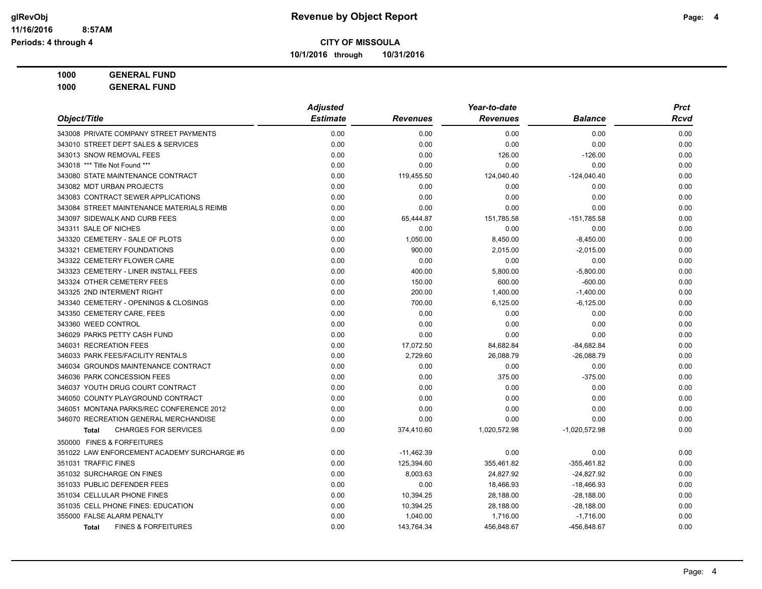**10/1/2016 through 10/31/2016**

# **1000 GENERAL FUND**

|                                             | <b>Adjusted</b> |                 | Year-to-date    |                 | <b>Prct</b> |
|---------------------------------------------|-----------------|-----------------|-----------------|-----------------|-------------|
| Object/Title                                | <b>Estimate</b> | <b>Revenues</b> | <b>Revenues</b> | <b>Balance</b>  | Rcvd        |
| 343008 PRIVATE COMPANY STREET PAYMENTS      | 0.00            | 0.00            | 0.00            | 0.00            | 0.00        |
| 343010 STREET DEPT SALES & SERVICES         | 0.00            | 0.00            | 0.00            | 0.00            | 0.00        |
| 343013 SNOW REMOVAL FEES                    | 0.00            | 0.00            | 126.00          | $-126.00$       | 0.00        |
| 343018 *** Title Not Found ***              | 0.00            | 0.00            | 0.00            | 0.00            | 0.00        |
| 343080 STATE MAINTENANCE CONTRACT           | 0.00            | 119,455.50      | 124,040.40      | $-124,040.40$   | 0.00        |
| 343082 MDT URBAN PROJECTS                   | 0.00            | 0.00            | 0.00            | 0.00            | 0.00        |
| 343083 CONTRACT SEWER APPLICATIONS          | 0.00            | 0.00            | 0.00            | 0.00            | 0.00        |
| 343084 STREET MAINTENANCE MATERIALS REIMB   | 0.00            | 0.00            | 0.00            | 0.00            | 0.00        |
| 343097 SIDEWALK AND CURB FEES               | 0.00            | 65,444.87       | 151,785.58      | $-151,785.58$   | 0.00        |
| 343311 SALE OF NICHES                       | 0.00            | 0.00            | 0.00            | 0.00            | 0.00        |
| 343320 CEMETERY - SALE OF PLOTS             | 0.00            | 1,050.00        | 8,450.00        | $-8,450.00$     | 0.00        |
| 343321 CEMETERY FOUNDATIONS                 | 0.00            | 900.00          | 2,015.00        | $-2,015.00$     | 0.00        |
| 343322 CEMETERY FLOWER CARE                 | 0.00            | 0.00            | 0.00            | 0.00            | 0.00        |
| 343323 CEMETERY - LINER INSTALL FEES        | 0.00            | 400.00          | 5,800.00        | $-5,800.00$     | 0.00        |
| 343324 OTHER CEMETERY FEES                  | 0.00            | 150.00          | 600.00          | $-600.00$       | 0.00        |
| 343325 2ND INTERMENT RIGHT                  | 0.00            | 200.00          | 1,400.00        | $-1,400.00$     | 0.00        |
| 343340 CEMETERY - OPENINGS & CLOSINGS       | 0.00            | 700.00          | 6,125.00        | $-6,125.00$     | 0.00        |
| 343350 CEMETERY CARE, FEES                  | 0.00            | 0.00            | 0.00            | 0.00            | 0.00        |
| 343360 WEED CONTROL                         | 0.00            | 0.00            | 0.00            | 0.00            | 0.00        |
| 346029 PARKS PETTY CASH FUND                | 0.00            | 0.00            | 0.00            | 0.00            | 0.00        |
| 346031 RECREATION FEES                      | 0.00            | 17,072.50       | 84,682.84       | $-84,682.84$    | 0.00        |
| 346033 PARK FEES/FACILITY RENTALS           | 0.00            | 2,729.60        | 26,088.79       | $-26,088.79$    | 0.00        |
| 346034 GROUNDS MAINTENANCE CONTRACT         | 0.00            | 0.00            | 0.00            | 0.00            | 0.00        |
| 346036 PARK CONCESSION FEES                 | 0.00            | 0.00            | 375.00          | $-375.00$       | 0.00        |
| 346037 YOUTH DRUG COURT CONTRACT            | 0.00            | 0.00            | 0.00            | 0.00            | 0.00        |
| 346050 COUNTY PLAYGROUND CONTRACT           | 0.00            | 0.00            | 0.00            | 0.00            | 0.00        |
| 346051 MONTANA PARKS/REC CONFERENCE 2012    | 0.00            | 0.00            | 0.00            | 0.00            | 0.00        |
| 346070 RECREATION GENERAL MERCHANDISE       | 0.00            | 0.00            | 0.00            | 0.00            | 0.00        |
| <b>CHARGES FOR SERVICES</b><br><b>Total</b> | 0.00            | 374,410.60      | 1,020,572.98    | $-1,020,572.98$ | 0.00        |
| 350000 FINES & FORFEITURES                  |                 |                 |                 |                 |             |
| 351022 LAW ENFORCEMENT ACADEMY SURCHARGE #5 | 0.00            | $-11,462.39$    | 0.00            | 0.00            | 0.00        |
| 351031 TRAFFIC FINES                        | 0.00            | 125,394.60      | 355,461.82      | -355,461.82     | 0.00        |
| 351032 SURCHARGE ON FINES                   | 0.00            | 8,003.63        | 24,827.92       | $-24,827.92$    | 0.00        |
| 351033 PUBLIC DEFENDER FEES                 | 0.00            | 0.00            | 18,466.93       | $-18,466.93$    | 0.00        |
| 351034 CELLULAR PHONE FINES                 | 0.00            | 10,394.25       | 28,188.00       | $-28,188.00$    | 0.00        |
| 351035 CELL PHONE FINES: EDUCATION          | 0.00            | 10,394.25       | 28,188.00       | $-28,188.00$    | 0.00        |
| 355000 FALSE ALARM PENALTY                  | 0.00            | 1,040.00        | 1,716.00        | $-1,716.00$     | 0.00        |
| <b>FINES &amp; FORFEITURES</b><br>Total     | 0.00            | 143,764.34      | 456,848.67      | -456,848.67     | 0.00        |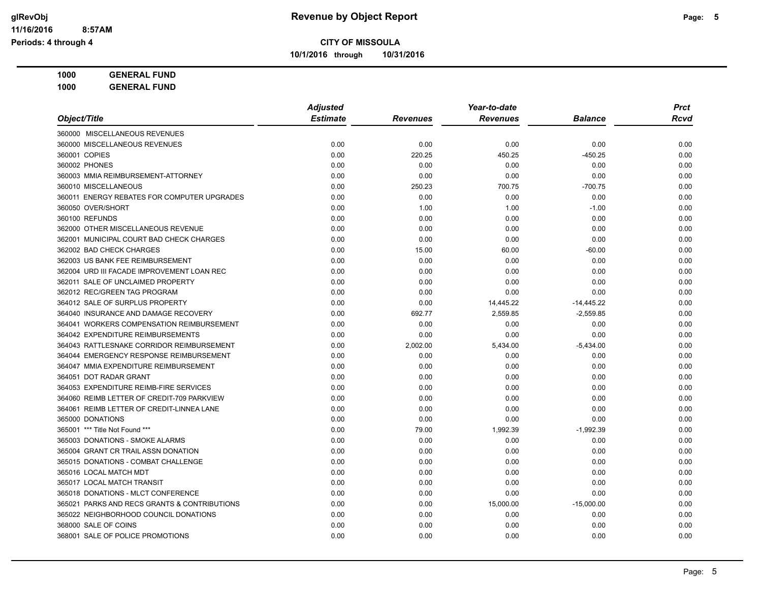**10/1/2016 through 10/31/2016**

**1000 GENERAL FUND**

|                                              | <b>Adjusted</b> |                 | Year-to-date    |                | Prct |
|----------------------------------------------|-----------------|-----------------|-----------------|----------------|------|
| Object/Title                                 | <b>Estimate</b> | <b>Revenues</b> | <b>Revenues</b> | <b>Balance</b> | Rcvd |
| 360000 MISCELLANEOUS REVENUES                |                 |                 |                 |                |      |
| 360000 MISCELLANEOUS REVENUES                | 0.00            | 0.00            | 0.00            | 0.00           | 0.00 |
| 360001 COPIES                                | 0.00            | 220.25          | 450.25          | $-450.25$      | 0.00 |
| 360002 PHONES                                | 0.00            | 0.00            | 0.00            | 0.00           | 0.00 |
| 360003 MMIA REIMBURSEMENT-ATTORNEY           | 0.00            | 0.00            | 0.00            | 0.00           | 0.00 |
| 360010 MISCELLANEOUS                         | 0.00            | 250.23          | 700.75          | $-700.75$      | 0.00 |
| 360011 ENERGY REBATES FOR COMPUTER UPGRADES  | 0.00            | 0.00            | 0.00            | 0.00           | 0.00 |
| 360050 OVER/SHORT                            | 0.00            | 1.00            | 1.00            | $-1.00$        | 0.00 |
| 360100 REFUNDS                               | 0.00            | 0.00            | 0.00            | 0.00           | 0.00 |
| 362000 OTHER MISCELLANEOUS REVENUE           | 0.00            | 0.00            | 0.00            | 0.00           | 0.00 |
| 362001 MUNICIPAL COURT BAD CHECK CHARGES     | 0.00            | 0.00            | 0.00            | 0.00           | 0.00 |
| 362002 BAD CHECK CHARGES                     | 0.00            | 15.00           | 60.00           | $-60.00$       | 0.00 |
| 362003 US BANK FEE REIMBURSEMENT             | 0.00            | 0.00            | 0.00            | 0.00           | 0.00 |
| 362004 URD III FACADE IMPROVEMENT LOAN REC   | 0.00            | 0.00            | 0.00            | 0.00           | 0.00 |
| 362011 SALE OF UNCLAIMED PROPERTY            | 0.00            | 0.00            | 0.00            | 0.00           | 0.00 |
| 362012 REC/GREEN TAG PROGRAM                 | 0.00            | 0.00            | 0.00            | 0.00           | 0.00 |
| 364012 SALE OF SURPLUS PROPERTY              | 0.00            | 0.00            | 14,445.22       | $-14,445.22$   | 0.00 |
| 364040 INSURANCE AND DAMAGE RECOVERY         | 0.00            | 692.77          | 2,559.85        | $-2,559.85$    | 0.00 |
| 364041 WORKERS COMPENSATION REIMBURSEMENT    | 0.00            | 0.00            | 0.00            | 0.00           | 0.00 |
| 364042 EXPENDITURE REIMBURSEMENTS            | 0.00            | 0.00            | 0.00            | 0.00           | 0.00 |
| 364043 RATTLESNAKE CORRIDOR REIMBURSEMENT    | 0.00            | 2,002.00        | 5,434.00        | $-5,434.00$    | 0.00 |
| 364044 EMERGENCY RESPONSE REIMBURSEMENT      | 0.00            | 0.00            | 0.00            | 0.00           | 0.00 |
| 364047 MMIA EXPENDITURE REIMBURSEMENT        | 0.00            | 0.00            | 0.00            | 0.00           | 0.00 |
| 364051 DOT RADAR GRANT                       | 0.00            | 0.00            | 0.00            | 0.00           | 0.00 |
| 364053 EXPENDITURE REIMB-FIRE SERVICES       | 0.00            | 0.00            | 0.00            | 0.00           | 0.00 |
| 364060 REIMB LETTER OF CREDIT-709 PARKVIEW   | 0.00            | 0.00            | 0.00            | 0.00           | 0.00 |
| 364061 REIMB LETTER OF CREDIT-LINNEA LANE    | 0.00            | 0.00            | 0.00            | 0.00           | 0.00 |
| 365000 DONATIONS                             | 0.00            | 0.00            | 0.00            | 0.00           | 0.00 |
| 365001 *** Title Not Found ***               | 0.00            | 79.00           | 1,992.39        | $-1,992.39$    | 0.00 |
| 365003 DONATIONS - SMOKE ALARMS              | 0.00            | 0.00            | 0.00            | 0.00           | 0.00 |
| 365004 GRANT CR TRAIL ASSN DONATION          | 0.00            | 0.00            | 0.00            | 0.00           | 0.00 |
| 365015 DONATIONS - COMBAT CHALLENGE          | 0.00            | 0.00            | 0.00            | 0.00           | 0.00 |
| 365016 LOCAL MATCH MDT                       | 0.00            | 0.00            | 0.00            | 0.00           | 0.00 |
| 365017 LOCAL MATCH TRANSIT                   | 0.00            | 0.00            | 0.00            | 0.00           | 0.00 |
| 365018 DONATIONS - MLCT CONFERENCE           | 0.00            | 0.00            | 0.00            | 0.00           | 0.00 |
| 365021 PARKS AND RECS GRANTS & CONTRIBUTIONS | 0.00            | 0.00            | 15,000.00       | $-15,000.00$   | 0.00 |
| 365022 NEIGHBORHOOD COUNCIL DONATIONS        | 0.00            | 0.00            | 0.00            | 0.00           | 0.00 |
| 368000 SALE OF COINS                         | 0.00            | 0.00            | 0.00            | 0.00           | 0.00 |
| 368001 SALE OF POLICE PROMOTIONS             | 0.00            | 0.00            | 0.00            | 0.00           | 0.00 |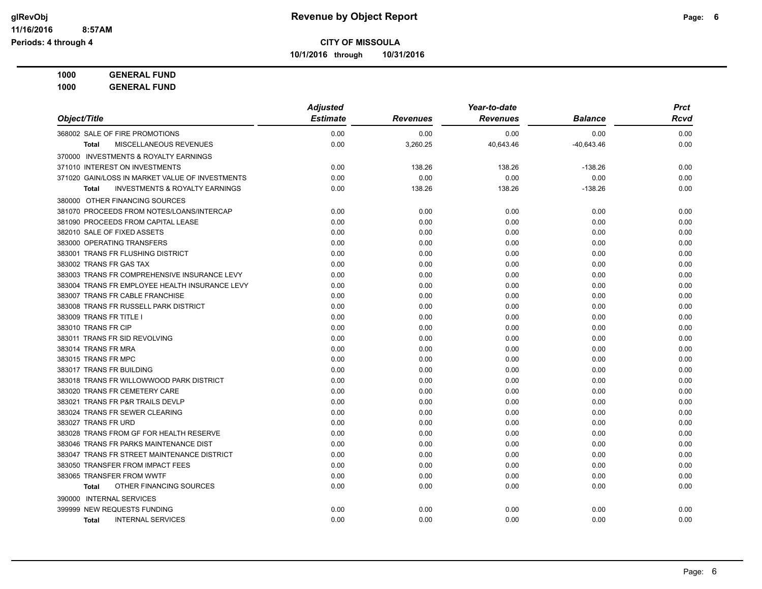**10/1/2016 through 10/31/2016**

# **1000 GENERAL FUND**

|                                                           | <b>Adjusted</b> |                 | Year-to-date    |                | <b>Prct</b> |
|-----------------------------------------------------------|-----------------|-----------------|-----------------|----------------|-------------|
| Object/Title                                              | <b>Estimate</b> | <b>Revenues</b> | <b>Revenues</b> | <b>Balance</b> | <b>Rcvd</b> |
| 368002 SALE OF FIRE PROMOTIONS                            | 0.00            | 0.00            | 0.00            | 0.00           | 0.00        |
| MISCELLANEOUS REVENUES<br><b>Total</b>                    | 0.00            | 3,260.25        | 40,643.46       | $-40,643.46$   | 0.00        |
| 370000 INVESTMENTS & ROYALTY EARNINGS                     |                 |                 |                 |                |             |
| 371010 INTEREST ON INVESTMENTS                            | 0.00            | 138.26          | 138.26          | $-138.26$      | 0.00        |
| 371020 GAIN/LOSS IN MARKET VALUE OF INVESTMENTS           | 0.00            | 0.00            | 0.00            | 0.00           | 0.00        |
| <b>INVESTMENTS &amp; ROYALTY EARNINGS</b><br><b>Total</b> | 0.00            | 138.26          | 138.26          | $-138.26$      | 0.00        |
| 380000 OTHER FINANCING SOURCES                            |                 |                 |                 |                |             |
| 381070 PROCEEDS FROM NOTES/LOANS/INTERCAP                 | 0.00            | 0.00            | 0.00            | 0.00           | 0.00        |
| 381090 PROCEEDS FROM CAPITAL LEASE                        | 0.00            | 0.00            | 0.00            | 0.00           | 0.00        |
| 382010 SALE OF FIXED ASSETS                               | 0.00            | 0.00            | 0.00            | 0.00           | 0.00        |
| 383000 OPERATING TRANSFERS                                | 0.00            | 0.00            | 0.00            | 0.00           | 0.00        |
| 383001 TRANS FR FLUSHING DISTRICT                         | 0.00            | 0.00            | 0.00            | 0.00           | 0.00        |
| 383002 TRANS FR GAS TAX                                   | 0.00            | 0.00            | 0.00            | 0.00           | 0.00        |
| 383003 TRANS FR COMPREHENSIVE INSURANCE LEVY              | 0.00            | 0.00            | 0.00            | 0.00           | 0.00        |
| 383004 TRANS FR EMPLOYEE HEALTH INSURANCE LEVY            | 0.00            | 0.00            | 0.00            | 0.00           | 0.00        |
| 383007 TRANS FR CABLE FRANCHISE                           | 0.00            | 0.00            | 0.00            | 0.00           | 0.00        |
| 383008 TRANS FR RUSSELL PARK DISTRICT                     | 0.00            | 0.00            | 0.00            | 0.00           | 0.00        |
| 383009 TRANS FR TITLE I                                   | 0.00            | 0.00            | 0.00            | 0.00           | 0.00        |
| 383010 TRANS FR CIP                                       | 0.00            | 0.00            | 0.00            | 0.00           | 0.00        |
| 383011 TRANS FR SID REVOLVING                             | 0.00            | 0.00            | 0.00            | 0.00           | 0.00        |
| 383014 TRANS FR MRA                                       | 0.00            | 0.00            | 0.00            | 0.00           | 0.00        |
| 383015 TRANS FR MPC                                       | 0.00            | 0.00            | 0.00            | 0.00           | 0.00        |
| 383017 TRANS FR BUILDING                                  | 0.00            | 0.00            | 0.00            | 0.00           | 0.00        |
| 383018 TRANS FR WILLOWWOOD PARK DISTRICT                  | 0.00            | 0.00            | 0.00            | 0.00           | 0.00        |
| 383020 TRANS FR CEMETERY CARE                             | 0.00            | 0.00            | 0.00            | 0.00           | 0.00        |
| 383021 TRANS FR P&R TRAILS DEVLP                          | 0.00            | 0.00            | 0.00            | 0.00           | 0.00        |
| 383024 TRANS FR SEWER CLEARING                            | 0.00            | 0.00            | 0.00            | 0.00           | 0.00        |
| 383027 TRANS FR URD                                       | 0.00            | 0.00            | 0.00            | 0.00           | 0.00        |
| 383028 TRANS FROM GF FOR HEALTH RESERVE                   | 0.00            | 0.00            | 0.00            | 0.00           | 0.00        |
| 383046 TRANS FR PARKS MAINTENANCE DIST                    | 0.00            | 0.00            | 0.00            | 0.00           | 0.00        |
| 383047 TRANS FR STREET MAINTENANCE DISTRICT               | 0.00            | 0.00            | 0.00            | 0.00           | 0.00        |
| 383050 TRANSFER FROM IMPACT FEES                          | 0.00            | 0.00            | 0.00            | 0.00           | 0.00        |
| 383065 TRANSFER FROM WWTF                                 | 0.00            | 0.00            | 0.00            | 0.00           | 0.00        |
| OTHER FINANCING SOURCES<br>Total                          | 0.00            | 0.00            | 0.00            | 0.00           | 0.00        |
| 390000 INTERNAL SERVICES                                  |                 |                 |                 |                |             |
| 399999 NEW REQUESTS FUNDING                               | 0.00            | 0.00            | 0.00            | 0.00           | 0.00        |
| <b>INTERNAL SERVICES</b><br><b>Total</b>                  | 0.00            | 0.00            | 0.00            | 0.00           | 0.00        |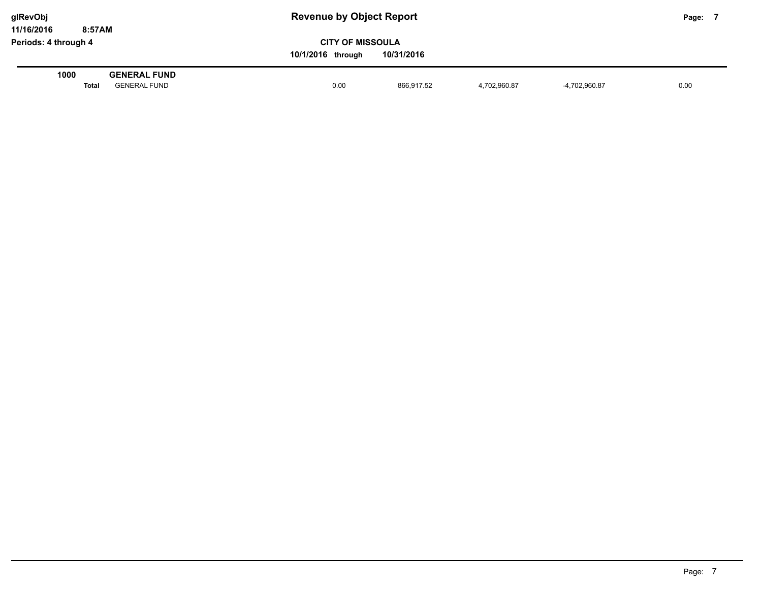| glRevObj             |        |  |  |  |  |  |
|----------------------|--------|--|--|--|--|--|
| 11/16/2016           | 8:57AM |  |  |  |  |  |
| Periods: 4 through 4 |        |  |  |  |  |  |

| alRevObi | <b>Revenue by Object Report</b> | Page |  |
|----------|---------------------------------|------|--|
|          |                                 |      |  |

**10/1/2016 through 10/31/2016**

| 1000  | <b>FUND</b><br><b>GENERAL</b> |      |            |             |             |      |
|-------|-------------------------------|------|------------|-------------|-------------|------|
| Total | <b>GENERAL FUND</b>           | 0.00 | 866.917.52 | ,702,960.87 | ,702,960.87 | 0.00 |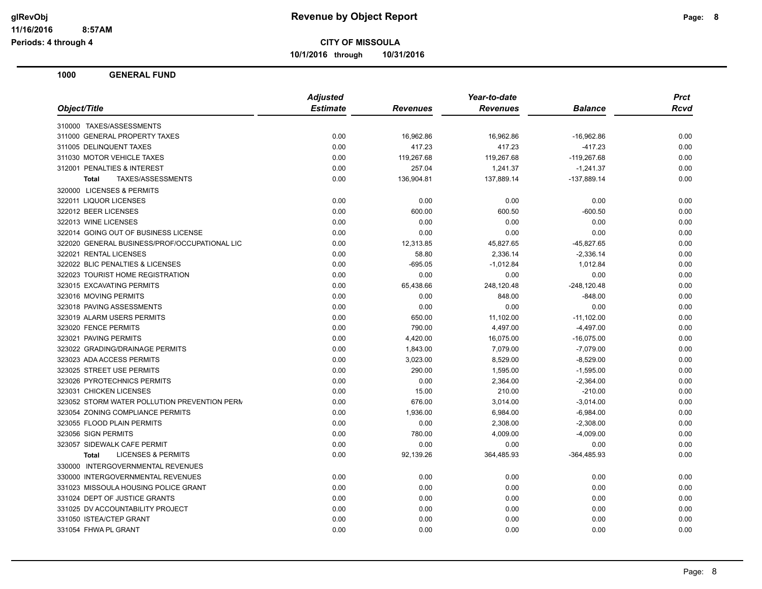**CITY OF MISSOULA**

**10/1/2016 through 10/31/2016**

|                                               | <b>Adjusted</b> | Year-to-date |                 |                | <b>Prct</b> |
|-----------------------------------------------|-----------------|--------------|-----------------|----------------|-------------|
| Object/Title                                  | <b>Estimate</b> | Revenues     | <b>Revenues</b> | <b>Balance</b> | <b>Rcvd</b> |
| 310000 TAXES/ASSESSMENTS                      |                 |              |                 |                |             |
| 311000 GENERAL PROPERTY TAXES                 | 0.00            | 16,962.86    | 16,962.86       | $-16,962.86$   | 0.00        |
| 311005 DELINQUENT TAXES                       | 0.00            | 417.23       | 417.23          | $-417.23$      | 0.00        |
| 311030 MOTOR VEHICLE TAXES                    | 0.00            | 119,267.68   | 119,267.68      | -119,267.68    | 0.00        |
| 312001 PENALTIES & INTEREST                   | 0.00            | 257.04       | 1,241.37        | $-1,241.37$    | 0.00        |
| TAXES/ASSESSMENTS<br><b>Total</b>             | 0.00            | 136,904.81   | 137,889.14      | -137,889.14    | 0.00        |
| 320000 LICENSES & PERMITS                     |                 |              |                 |                |             |
| 322011 LIQUOR LICENSES                        | 0.00            | 0.00         | 0.00            | 0.00           | 0.00        |
| 322012 BEER LICENSES                          | 0.00            | 600.00       | 600.50          | $-600.50$      | 0.00        |
| 322013 WINE LICENSES                          | 0.00            | 0.00         | 0.00            | 0.00           | 0.00        |
| 322014 GOING OUT OF BUSINESS LICENSE          | 0.00            | 0.00         | 0.00            | 0.00           | 0.00        |
| 322020 GENERAL BUSINESS/PROF/OCCUPATIONAL LIC | 0.00            | 12,313.85    | 45,827.65       | -45,827.65     | 0.00        |
| 322021 RENTAL LICENSES                        | 0.00            | 58.80        | 2,336.14        | $-2,336.14$    | 0.00        |
| 322022 BLIC PENALTIES & LICENSES              | 0.00            | $-695.05$    | $-1,012.84$     | 1,012.84       | 0.00        |
| 322023 TOURIST HOME REGISTRATION              | 0.00            | 0.00         | 0.00            | 0.00           | 0.00        |
| 323015 EXCAVATING PERMITS                     | 0.00            | 65,438.66    | 248,120.48      | $-248, 120.48$ | 0.00        |
| 323016 MOVING PERMITS                         | 0.00            | 0.00         | 848.00          | $-848.00$      | 0.00        |
| 323018 PAVING ASSESSMENTS                     | 0.00            | 0.00         | 0.00            | 0.00           | 0.00        |
| 323019 ALARM USERS PERMITS                    | 0.00            | 650.00       | 11,102.00       | $-11,102.00$   | 0.00        |
| 323020 FENCE PERMITS                          | 0.00            | 790.00       | 4,497.00        | $-4,497.00$    | 0.00        |
| 323021 PAVING PERMITS                         | 0.00            | 4,420.00     | 16,075.00       | $-16,075.00$   | 0.00        |
| 323022 GRADING/DRAINAGE PERMITS               | 0.00            | 1,843.00     | 7,079.00        | $-7,079.00$    | 0.00        |
| 323023 ADA ACCESS PERMITS                     | 0.00            | 3,023.00     | 8,529.00        | $-8,529.00$    | 0.00        |
| 323025 STREET USE PERMITS                     | 0.00            | 290.00       | 1,595.00        | $-1,595.00$    | 0.00        |
| 323026 PYROTECHNICS PERMITS                   | 0.00            | 0.00         | 2,364.00        | $-2,364.00$    | 0.00        |
| 323031 CHICKEN LICENSES                       | 0.00            | 15.00        | 210.00          | $-210.00$      | 0.00        |
| 323052 STORM WATER POLLUTION PREVENTION PERM  | 0.00            | 676.00       | 3,014.00        | $-3,014.00$    | 0.00        |
| 323054 ZONING COMPLIANCE PERMITS              | 0.00            | 1,936.00     | 6,984.00        | $-6,984.00$    | 0.00        |
| 323055 FLOOD PLAIN PERMITS                    | 0.00            | 0.00         | 2,308.00        | $-2,308.00$    | 0.00        |
| 323056 SIGN PERMITS                           | 0.00            | 780.00       | 4,009.00        | $-4,009.00$    | 0.00        |
| 323057 SIDEWALK CAFE PERMIT                   | 0.00            | 0.00         | 0.00            | 0.00           | 0.00        |
| <b>LICENSES &amp; PERMITS</b><br><b>Total</b> | 0.00            | 92,139.26    | 364,485.93      | -364,485.93    | 0.00        |
| 330000 INTERGOVERNMENTAL REVENUES             |                 |              |                 |                |             |
| 330000 INTERGOVERNMENTAL REVENUES             | 0.00            | 0.00         | 0.00            | 0.00           | 0.00        |
| 331023 MISSOULA HOUSING POLICE GRANT          | 0.00            | 0.00         | 0.00            | 0.00           | 0.00        |
| 331024 DEPT OF JUSTICE GRANTS                 | 0.00            | 0.00         | 0.00            | 0.00           | 0.00        |
| 331025 DV ACCOUNTABILITY PROJECT              | 0.00            | 0.00         | 0.00            | 0.00           | 0.00        |
| 331050 ISTEA/CTEP GRANT                       | 0.00            | 0.00         | 0.00            | 0.00           | 0.00        |
| 331054 FHWA PL GRANT                          | 0.00            | 0.00         | 0.00            | 0.00           | 0.00        |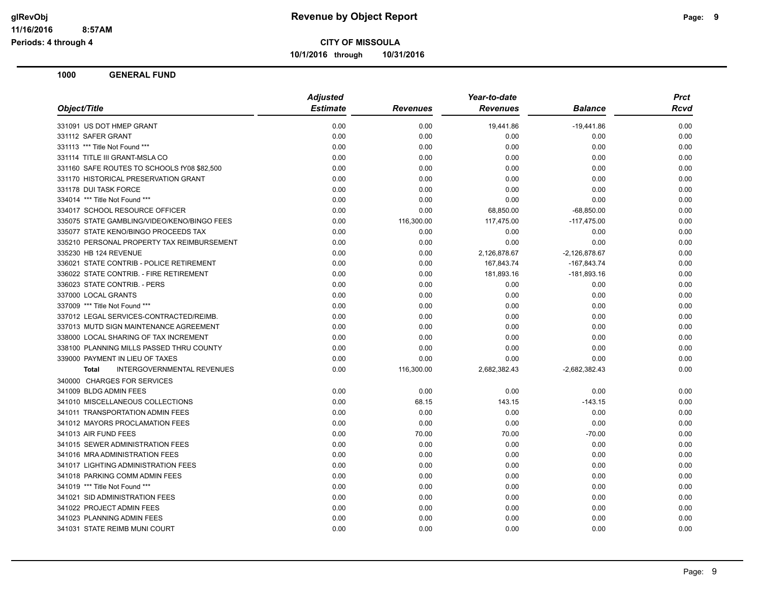**CITY OF MISSOULA**

**10/1/2016 through 10/31/2016**

|                                             | <b>Adjusted</b> |                 | Year-to-date    |                 | <b>Prct</b> |
|---------------------------------------------|-----------------|-----------------|-----------------|-----------------|-------------|
| Object/Title                                | <b>Estimate</b> | <b>Revenues</b> | <b>Revenues</b> | <b>Balance</b>  | <b>Rcvd</b> |
| 331091 US DOT HMEP GRANT                    | 0.00            | 0.00            | 19,441.86       | $-19,441.86$    | 0.00        |
| 331112 SAFER GRANT                          | 0.00            | 0.00            | 0.00            | 0.00            | 0.00        |
| 331113 *** Title Not Found ***              | 0.00            | 0.00            | 0.00            | 0.00            | 0.00        |
| 331114 TITLE III GRANT-MSLA CO              | 0.00            | 0.00            | 0.00            | 0.00            | 0.00        |
| 331160 SAFE ROUTES TO SCHOOLS fY08 \$82,500 | 0.00            | 0.00            | 0.00            | 0.00            | 0.00        |
| 331170 HISTORICAL PRESERVATION GRANT        | 0.00            | 0.00            | 0.00            | 0.00            | 0.00        |
| 331178 DUI TASK FORCE                       | 0.00            | 0.00            | 0.00            | 0.00            | 0.00        |
| 334014 *** Title Not Found ***              | 0.00            | 0.00            | 0.00            | 0.00            | 0.00        |
| 334017 SCHOOL RESOURCE OFFICER              | 0.00            | 0.00            | 68,850.00       | $-68,850.00$    | 0.00        |
| 335075 STATE GAMBLING/VIDEO/KENO/BINGO FEES | 0.00            | 116,300.00      | 117,475.00      | $-117,475.00$   | 0.00        |
| 335077 STATE KENO/BINGO PROCEEDS TAX        | 0.00            | 0.00            | 0.00            | 0.00            | 0.00        |
| 335210 PERSONAL PROPERTY TAX REIMBURSEMENT  | 0.00            | 0.00            | 0.00            | 0.00            | 0.00        |
| 335230 HB 124 REVENUE                       | 0.00            | 0.00            | 2,126,878.67    | $-2,126,878.67$ | 0.00        |
| 336021 STATE CONTRIB - POLICE RETIREMENT    | 0.00            | 0.00            | 167,843.74      | $-167,843.74$   | 0.00        |
| 336022 STATE CONTRIB. - FIRE RETIREMENT     | 0.00            | 0.00            | 181,893.16      | $-181,893.16$   | 0.00        |
| 336023 STATE CONTRIB. - PERS                | 0.00            | 0.00            | 0.00            | 0.00            | 0.00        |
| 337000 LOCAL GRANTS                         | 0.00            | 0.00            | 0.00            | 0.00            | 0.00        |
| 337009 *** Title Not Found ***              | 0.00            | 0.00            | 0.00            | 0.00            | 0.00        |
| 337012 LEGAL SERVICES-CONTRACTED/REIMB.     | 0.00            | 0.00            | 0.00            | 0.00            | 0.00        |
| 337013 MUTD SIGN MAINTENANCE AGREEMENT      | 0.00            | 0.00            | 0.00            | 0.00            | 0.00        |
| 338000 LOCAL SHARING OF TAX INCREMENT       | 0.00            | 0.00            | 0.00            | 0.00            | 0.00        |
| 338100 PLANNING MILLS PASSED THRU COUNTY    | 0.00            | 0.00            | 0.00            | 0.00            | 0.00        |
| 339000 PAYMENT IN LIEU OF TAXES             | 0.00            | 0.00            | 0.00            | 0.00            | 0.00        |
| <b>INTERGOVERNMENTAL REVENUES</b><br>Total  | 0.00            | 116,300.00      | 2,682,382.43    | $-2,682,382.43$ | 0.00        |
| 340000 CHARGES FOR SERVICES                 |                 |                 |                 |                 |             |
| 341009 BLDG ADMIN FEES                      | 0.00            | 0.00            | 0.00            | 0.00            | 0.00        |
| 341010 MISCELLANEOUS COLLECTIONS            | 0.00            | 68.15           | 143.15          | $-143.15$       | 0.00        |
| 341011 TRANSPORTATION ADMIN FEES            | 0.00            | 0.00            | 0.00            | 0.00            | 0.00        |
| 341012 MAYORS PROCLAMATION FEES             | 0.00            | 0.00            | 0.00            | 0.00            | 0.00        |
| 341013 AIR FUND FEES                        | 0.00            | 70.00           | 70.00           | $-70.00$        | 0.00        |
| 341015 SEWER ADMINISTRATION FEES            | 0.00            | 0.00            | 0.00            | 0.00            | 0.00        |
| 341016 MRA ADMINISTRATION FEES              | 0.00            | 0.00            | 0.00            | 0.00            | 0.00        |
| 341017 LIGHTING ADMINISTRATION FEES         | 0.00            | 0.00            | 0.00            | 0.00            | 0.00        |
| 341018 PARKING COMM ADMIN FEES              | 0.00            | 0.00            | 0.00            | 0.00            | 0.00        |
| 341019 *** Title Not Found ***              | 0.00            | 0.00            | 0.00            | 0.00            | 0.00        |
| 341021 SID ADMINISTRATION FEES              | 0.00            | 0.00            | 0.00            | 0.00            | 0.00        |
| 341022 PROJECT ADMIN FEES                   | 0.00            | 0.00            | 0.00            | 0.00            | 0.00        |
| 341023 PLANNING ADMIN FEES                  | 0.00            | 0.00            | 0.00            | 0.00            | 0.00        |
| 341031 STATE REIMB MUNI COURT               | 0.00            | 0.00            | 0.00            | 0.00            | 0.00        |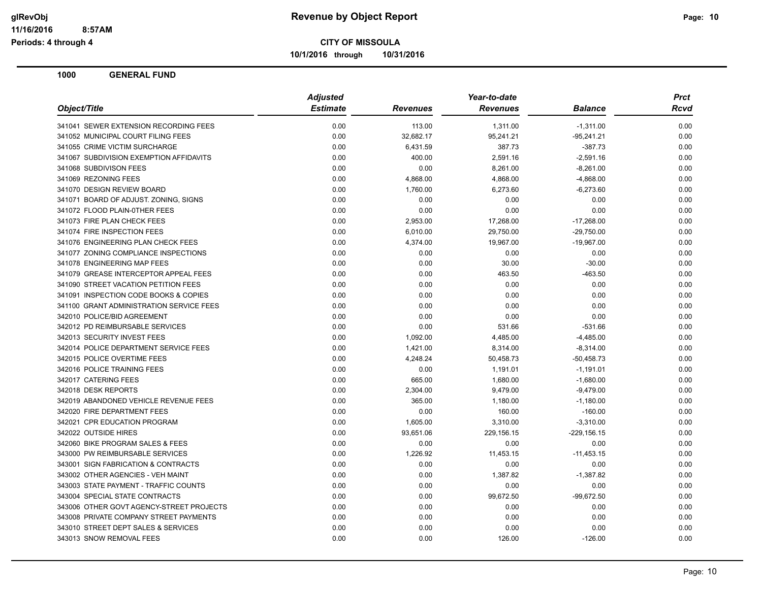**CITY OF MISSOULA**

**10/1/2016 through 10/31/2016**

| Object/Title                             | <b>Adjusted</b> |                 | Year-to-date    |                | <b>Prct</b> |
|------------------------------------------|-----------------|-----------------|-----------------|----------------|-------------|
|                                          | <b>Estimate</b> | <b>Revenues</b> | <b>Revenues</b> | <b>Balance</b> | Rcvd        |
| 341041 SEWER EXTENSION RECORDING FEES    | 0.00            | 113.00          | 1,311.00        | $-1,311.00$    | 0.00        |
| 341052 MUNICIPAL COURT FILING FEES       | 0.00            | 32,682.17       | 95,241.21       | $-95,241.21$   | 0.00        |
| 341055 CRIME VICTIM SURCHARGE            | 0.00            | 6,431.59        | 387.73          | $-387.73$      | 0.00        |
| 341067 SUBDIVISION EXEMPTION AFFIDAVITS  | 0.00            | 400.00          | 2,591.16        | $-2,591.16$    | 0.00        |
| 341068 SUBDIVISON FEES                   | 0.00            | 0.00            | 8,261.00        | $-8,261.00$    | 0.00        |
| 341069 REZONING FEES                     | 0.00            | 4,868.00        | 4,868.00        | $-4,868.00$    | 0.00        |
| 341070 DESIGN REVIEW BOARD               | 0.00            | 1,760.00        | 6,273.60        | $-6,273.60$    | 0.00        |
| 341071 BOARD OF ADJUST. ZONING, SIGNS    | 0.00            | 0.00            | 0.00            | 0.00           | 0.00        |
| 341072 FLOOD PLAIN-0THER FEES            | 0.00            | 0.00            | 0.00            | 0.00           | 0.00        |
| 341073 FIRE PLAN CHECK FEES              | 0.00            | 2,953.00        | 17,268.00       | $-17,268.00$   | 0.00        |
| 341074 FIRE INSPECTION FEES              | 0.00            | 6,010.00        | 29,750.00       | $-29,750.00$   | 0.00        |
| 341076 ENGINEERING PLAN CHECK FEES       | 0.00            | 4,374.00        | 19,967.00       | $-19,967.00$   | 0.00        |
| 341077 ZONING COMPLIANCE INSPECTIONS     | 0.00            | 0.00            | 0.00            | 0.00           | 0.00        |
| 341078 ENGINEERING MAP FEES              | 0.00            | 0.00            | 30.00           | $-30.00$       | 0.00        |
| 341079 GREASE INTERCEPTOR APPEAL FEES    | 0.00            | 0.00            | 463.50          | $-463.50$      | 0.00        |
| 341090 STREET VACATION PETITION FEES     | 0.00            | 0.00            | 0.00            | 0.00           | 0.00        |
| 341091 INSPECTION CODE BOOKS & COPIES    | 0.00            | 0.00            | 0.00            | 0.00           | 0.00        |
| 341100 GRANT ADMINISTRATION SERVICE FEES | 0.00            | 0.00            | 0.00            | 0.00           | 0.00        |
| 342010 POLICE/BID AGREEMENT              | 0.00            | 0.00            | 0.00            | 0.00           | 0.00        |
| 342012 PD REIMBURSABLE SERVICES          | 0.00            | 0.00            | 531.66          | $-531.66$      | 0.00        |
| 342013 SECURITY INVEST FEES              | 0.00            | 1,092.00        | 4,485.00        | $-4,485.00$    | 0.00        |
| 342014 POLICE DEPARTMENT SERVICE FEES    | 0.00            | 1,421.00        | 8,314.00        | $-8,314.00$    | 0.00        |
| 342015 POLICE OVERTIME FEES              | 0.00            | 4,248.24        | 50,458.73       | $-50,458.73$   | 0.00        |
| 342016 POLICE TRAINING FEES              | 0.00            | 0.00            | 1,191.01        | $-1,191.01$    | 0.00        |
| 342017 CATERING FEES                     | 0.00            | 665.00          | 1,680.00        | $-1,680.00$    | 0.00        |
| 342018 DESK REPORTS                      | 0.00            | 2,304.00        | 9,479.00        | $-9,479.00$    | 0.00        |
| 342019 ABANDONED VEHICLE REVENUE FEES    | 0.00            | 365.00          | 1,180.00        | $-1,180.00$    | 0.00        |
| 342020 FIRE DEPARTMENT FEES              | 0.00            | 0.00            | 160.00          | $-160.00$      | 0.00        |
| 342021 CPR EDUCATION PROGRAM             | 0.00            | 1,605.00        | 3,310.00        | $-3,310.00$    | 0.00        |
| 342022 OUTSIDE HIRES                     | 0.00            | 93,651.06       | 229,156.15      | $-229, 156.15$ | 0.00        |
| 342060 BIKE PROGRAM SALES & FEES         | 0.00            | 0.00            | 0.00            | 0.00           | 0.00        |
| 343000 PW REIMBURSABLE SERVICES          | 0.00            | 1,226.92        | 11,453.15       | $-11,453.15$   | 0.00        |
| 343001 SIGN FABRICATION & CONTRACTS      | 0.00            | 0.00            | 0.00            | 0.00           | 0.00        |
| 343002 OTHER AGENCIES - VEH MAINT        | 0.00            | 0.00            | 1,387.82        | $-1,387.82$    | 0.00        |
| 343003 STATE PAYMENT - TRAFFIC COUNTS    | 0.00            | 0.00            | 0.00            | 0.00           | 0.00        |
| 343004 SPECIAL STATE CONTRACTS           | 0.00            | 0.00            | 99,672.50       | $-99,672.50$   | 0.00        |
| 343006 OTHER GOVT AGENCY-STREET PROJECTS | 0.00            | 0.00            | 0.00            | 0.00           | 0.00        |
| 343008 PRIVATE COMPANY STREET PAYMENTS   | 0.00            | 0.00            | 0.00            | 0.00           | 0.00        |
| 343010 STREET DEPT SALES & SERVICES      | 0.00            | 0.00            | 0.00            | 0.00           | 0.00        |
| 343013 SNOW REMOVAL FEES                 | 0.00            | 0.00            | 126.00          | $-126.00$      | 0.00        |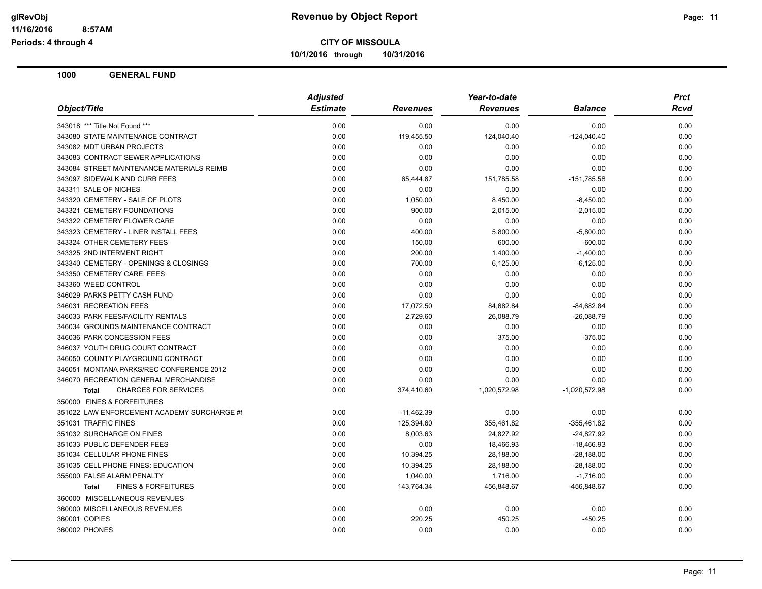**CITY OF MISSOULA**

**10/1/2016 through 10/31/2016**

| Object/Title                                   | <b>Adjusted</b><br><b>Estimate</b> | <b>Revenues</b>   | Year-to-date<br><b>Revenues</b> | <b>Balance</b>        | <b>Prct</b><br>Rcvd |
|------------------------------------------------|------------------------------------|-------------------|---------------------------------|-----------------------|---------------------|
| 343018 *** Title Not Found ***                 | 0.00                               | 0.00              | 0.00                            | 0.00                  | 0.00                |
| 343080 STATE MAINTENANCE CONTRACT              | 0.00                               | 119,455.50        | 124,040.40                      | $-124,040.40$         | 0.00                |
| 343082 MDT URBAN PROJECTS                      | 0.00                               | 0.00              | 0.00                            | 0.00                  | 0.00                |
| 343083 CONTRACT SEWER APPLICATIONS             | 0.00                               | 0.00              | 0.00                            | 0.00                  | 0.00                |
| 343084 STREET MAINTENANCE MATERIALS REIMB      |                                    |                   |                                 | 0.00                  | 0.00                |
| 343097 SIDEWALK AND CURB FEES                  | 0.00                               | 0.00              | 0.00                            |                       |                     |
| 343311 SALE OF NICHES                          | 0.00<br>0.00                       | 65,444.87<br>0.00 | 151,785.58<br>0.00              | $-151,785.58$<br>0.00 | 0.00<br>0.00        |
| 343320 CEMETERY - SALE OF PLOTS                | 0.00                               | 1,050.00          | 8,450.00                        | $-8,450.00$           | 0.00                |
| 343321 CEMETERY FOUNDATIONS                    | 0.00                               | 900.00            |                                 | $-2,015.00$           | 0.00                |
| 343322 CEMETERY FLOWER CARE                    | 0.00                               | 0.00              | 2,015.00<br>0.00                | 0.00                  | 0.00                |
|                                                |                                    |                   |                                 |                       |                     |
| 343323 CEMETERY - LINER INSTALL FEES           | 0.00                               | 400.00            | 5,800.00                        | $-5,800.00$           | 0.00                |
| 343324 OTHER CEMETERY FEES                     | 0.00                               | 150.00            | 600.00                          | $-600.00$             | 0.00                |
| 343325 2ND INTERMENT RIGHT                     | 0.00                               | 200.00            | 1,400.00                        | $-1,400.00$           | 0.00                |
| 343340 CEMETERY - OPENINGS & CLOSINGS          | 0.00                               | 700.00            | 6,125.00                        | $-6,125.00$           | 0.00                |
| 343350 CEMETERY CARE, FEES                     | 0.00                               | 0.00              | 0.00                            | 0.00                  | 0.00                |
| 343360 WEED CONTROL                            | 0.00                               | 0.00              | 0.00                            | 0.00                  | 0.00                |
| 346029 PARKS PETTY CASH FUND                   | 0.00                               | 0.00              | 0.00                            | 0.00                  | 0.00                |
| 346031 RECREATION FEES                         | 0.00                               | 17,072.50         | 84,682.84                       | $-84,682.84$          | 0.00                |
| 346033 PARK FEES/FACILITY RENTALS              | 0.00                               | 2,729.60          | 26,088.79                       | $-26,088.79$          | 0.00                |
| 346034 GROUNDS MAINTENANCE CONTRACT            | 0.00                               | 0.00              | 0.00                            | 0.00                  | 0.00                |
| 346036 PARK CONCESSION FEES                    | 0.00                               | 0.00              | 375.00                          | $-375.00$             | 0.00                |
| 346037 YOUTH DRUG COURT CONTRACT               | 0.00                               | 0.00              | 0.00                            | 0.00                  | 0.00                |
| 346050 COUNTY PLAYGROUND CONTRACT              | 0.00                               | 0.00              | 0.00                            | 0.00                  | 0.00                |
| 346051 MONTANA PARKS/REC CONFERENCE 2012       | 0.00                               | 0.00              | 0.00                            | 0.00                  | 0.00                |
| 346070 RECREATION GENERAL MERCHANDISE          | 0.00                               | 0.00              | 0.00                            | 0.00                  | 0.00                |
| <b>CHARGES FOR SERVICES</b><br><b>Total</b>    | 0.00                               | 374,410.60        | 1,020,572.98                    | $-1,020,572.98$       | 0.00                |
| 350000 FINES & FORFEITURES                     |                                    |                   |                                 |                       |                     |
| 351022 LAW ENFORCEMENT ACADEMY SURCHARGE #!    | 0.00                               | $-11,462.39$      | 0.00                            | 0.00                  | 0.00                |
| 351031 TRAFFIC FINES                           | 0.00                               | 125,394.60        | 355,461.82                      | $-355,461.82$         | 0.00                |
| 351032 SURCHARGE ON FINES                      | 0.00                               | 8,003.63          | 24,827.92                       | $-24,827.92$          | 0.00                |
| 351033 PUBLIC DEFENDER FEES                    | 0.00                               | 0.00              | 18,466.93                       | $-18,466.93$          | 0.00                |
| 351034 CELLULAR PHONE FINES                    | 0.00                               | 10,394.25         | 28,188.00                       | $-28,188.00$          | 0.00                |
| 351035 CELL PHONE FINES: EDUCATION             | 0.00                               | 10,394.25         | 28,188.00                       | $-28,188.00$          | 0.00                |
| 355000 FALSE ALARM PENALTY                     | 0.00                               | 1,040.00          | 1,716.00                        | $-1,716.00$           | 0.00                |
| <b>FINES &amp; FORFEITURES</b><br><b>Total</b> | 0.00                               | 143,764.34        | 456,848.67                      | -456,848.67           | 0.00                |
| 360000 MISCELLANEOUS REVENUES                  |                                    |                   |                                 |                       |                     |
| 360000 MISCELLANEOUS REVENUES                  | 0.00                               | 0.00              | 0.00                            | 0.00                  | 0.00                |
| 360001 COPIES                                  | 0.00                               | 220.25            | 450.25                          | $-450.25$             | 0.00                |
| 360002 PHONES                                  | 0.00                               | 0.00              | 0.00                            | 0.00                  | 0.00                |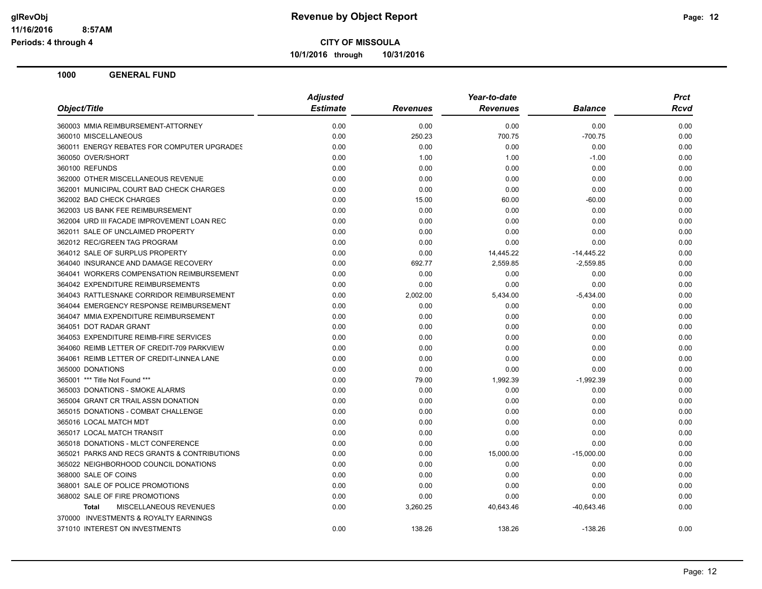**10/1/2016 through 10/31/2016**

| <b>Estimate</b><br><b>Revenues</b><br><b>Balance</b><br>Rcvd<br><b>Revenues</b><br>0.00<br>0.00<br>0.00<br>0.00<br>0.00<br>0.00<br>250.23<br>700.75<br>$-700.75$<br>0.00<br>0.00<br>0.00<br>0.00<br>0.00<br>0.00<br>0.00<br>0.00<br>1.00<br>1.00<br>$-1.00$<br>0.00<br>0.00<br>0.00<br>0.00<br>0.00<br>0.00<br>0.00<br>0.00<br>0.00<br>0.00<br>0.00<br>0.00<br>0.00<br>0.00<br>0.00<br>0.00<br>15.00<br>60.00<br>$-60.00$<br>0.00<br>0.00<br>0.00<br>0.00<br>0.00<br>0.00<br>0.00<br>0.00<br>0.00<br>0.00<br>0.00<br>0.00<br>0.00<br>0.00<br>0.00<br>0.00<br>0.00<br>0.00<br>0.00<br>0.00<br>0.00<br>0.00<br>0.00<br>14,445.22<br>$-14,445.22$<br>0.00<br>0.00<br>692.77<br>2,559.85<br>$-2,559.85$<br>0.00<br>0.00<br>0.00<br>0.00<br>0.00<br>0.00<br>0.00<br>0.00<br>0.00<br>0.00<br>0.00<br>0.00<br>2,002.00<br>5,434.00<br>$-5,434.00$<br>0.00<br>0.00<br>0.00<br>0.00<br>0.00<br>0.00<br>0.00<br>0.00<br>0.00<br>0.00<br>0.00<br>0.00<br>0.00<br>0.00<br>0.00<br>0.00<br>0.00<br>0.00<br>0.00<br>0.00<br>0.00<br>0.00<br>0.00<br>0.00<br>0.00<br>0.00<br>0.00<br>0.00<br>0.00<br>0.00<br>0.00<br>0.00<br>0.00<br>0.00<br>0.00<br>0.00<br>1,992.39<br>$-1,992.39$<br>0.00<br>79.00<br>0.00<br>0.00<br>0.00<br>0.00<br>0.00<br>0.00<br>0.00<br>0.00<br>0.00<br>0.00<br>0.00<br>0.00<br>0.00<br>0.00<br>0.00<br>0.00<br>0.00<br>0.00<br>0.00<br>0.00<br>0.00<br>0.00<br>0.00<br>0.00<br>0.00<br>0.00<br>0.00<br>0.00<br>0.00<br>0.00<br>0.00<br>0.00<br>0.00<br>15,000.00<br>$-15,000.00$<br>0.00<br>0.00<br>0.00<br>0.00<br>0.00<br>0.00<br>0.00<br>0.00<br>0.00<br>0.00<br>0.00<br>0.00<br>0.00<br>0.00<br>0.00<br>0.00<br>0.00<br>0.00<br>0.00<br>0.00<br>0.00<br>MISCELLANEOUS REVENUES<br>0.00<br>3,260.25<br>0.00<br>40,643.46<br>$-40,643.46$<br>Total<br><b>INVESTMENTS &amp; ROYALTY EARNINGS</b><br>0.00<br>138.26<br>138.26<br>$-138.26$<br>0.00 | Object/Title                                 | <b>Adjusted</b> | Year-to-date | <b>Prct</b> |
|---------------------------------------------------------------------------------------------------------------------------------------------------------------------------------------------------------------------------------------------------------------------------------------------------------------------------------------------------------------------------------------------------------------------------------------------------------------------------------------------------------------------------------------------------------------------------------------------------------------------------------------------------------------------------------------------------------------------------------------------------------------------------------------------------------------------------------------------------------------------------------------------------------------------------------------------------------------------------------------------------------------------------------------------------------------------------------------------------------------------------------------------------------------------------------------------------------------------------------------------------------------------------------------------------------------------------------------------------------------------------------------------------------------------------------------------------------------------------------------------------------------------------------------------------------------------------------------------------------------------------------------------------------------------------------------------------------------------------------------------------------------------------------------------------------------------------------------------------------------|----------------------------------------------|-----------------|--------------|-------------|
|                                                                                                                                                                                                                                                                                                                                                                                                                                                                                                                                                                                                                                                                                                                                                                                                                                                                                                                                                                                                                                                                                                                                                                                                                                                                                                                                                                                                                                                                                                                                                                                                                                                                                                                                                                                                                                                               |                                              |                 |              |             |
|                                                                                                                                                                                                                                                                                                                                                                                                                                                                                                                                                                                                                                                                                                                                                                                                                                                                                                                                                                                                                                                                                                                                                                                                                                                                                                                                                                                                                                                                                                                                                                                                                                                                                                                                                                                                                                                               | 360003 MMIA REIMBURSEMENT-ATTORNEY           |                 |              |             |
|                                                                                                                                                                                                                                                                                                                                                                                                                                                                                                                                                                                                                                                                                                                                                                                                                                                                                                                                                                                                                                                                                                                                                                                                                                                                                                                                                                                                                                                                                                                                                                                                                                                                                                                                                                                                                                                               | 360010 MISCELLANEOUS                         |                 |              |             |
|                                                                                                                                                                                                                                                                                                                                                                                                                                                                                                                                                                                                                                                                                                                                                                                                                                                                                                                                                                                                                                                                                                                                                                                                                                                                                                                                                                                                                                                                                                                                                                                                                                                                                                                                                                                                                                                               | 360011 ENERGY REBATES FOR COMPUTER UPGRADES  |                 |              |             |
|                                                                                                                                                                                                                                                                                                                                                                                                                                                                                                                                                                                                                                                                                                                                                                                                                                                                                                                                                                                                                                                                                                                                                                                                                                                                                                                                                                                                                                                                                                                                                                                                                                                                                                                                                                                                                                                               | 360050 OVER/SHORT                            |                 |              |             |
|                                                                                                                                                                                                                                                                                                                                                                                                                                                                                                                                                                                                                                                                                                                                                                                                                                                                                                                                                                                                                                                                                                                                                                                                                                                                                                                                                                                                                                                                                                                                                                                                                                                                                                                                                                                                                                                               | 360100 REFUNDS                               |                 |              |             |
|                                                                                                                                                                                                                                                                                                                                                                                                                                                                                                                                                                                                                                                                                                                                                                                                                                                                                                                                                                                                                                                                                                                                                                                                                                                                                                                                                                                                                                                                                                                                                                                                                                                                                                                                                                                                                                                               | 362000 OTHER MISCELLANEOUS REVENUE           |                 |              |             |
|                                                                                                                                                                                                                                                                                                                                                                                                                                                                                                                                                                                                                                                                                                                                                                                                                                                                                                                                                                                                                                                                                                                                                                                                                                                                                                                                                                                                                                                                                                                                                                                                                                                                                                                                                                                                                                                               | 362001 MUNICIPAL COURT BAD CHECK CHARGES     |                 |              |             |
|                                                                                                                                                                                                                                                                                                                                                                                                                                                                                                                                                                                                                                                                                                                                                                                                                                                                                                                                                                                                                                                                                                                                                                                                                                                                                                                                                                                                                                                                                                                                                                                                                                                                                                                                                                                                                                                               | 362002 BAD CHECK CHARGES                     |                 |              |             |
|                                                                                                                                                                                                                                                                                                                                                                                                                                                                                                                                                                                                                                                                                                                                                                                                                                                                                                                                                                                                                                                                                                                                                                                                                                                                                                                                                                                                                                                                                                                                                                                                                                                                                                                                                                                                                                                               | 362003 US BANK FEE REIMBURSEMENT             |                 |              |             |
|                                                                                                                                                                                                                                                                                                                                                                                                                                                                                                                                                                                                                                                                                                                                                                                                                                                                                                                                                                                                                                                                                                                                                                                                                                                                                                                                                                                                                                                                                                                                                                                                                                                                                                                                                                                                                                                               | 362004 URD III FACADE IMPROVEMENT LOAN REC   |                 |              |             |
|                                                                                                                                                                                                                                                                                                                                                                                                                                                                                                                                                                                                                                                                                                                                                                                                                                                                                                                                                                                                                                                                                                                                                                                                                                                                                                                                                                                                                                                                                                                                                                                                                                                                                                                                                                                                                                                               | 362011 SALE OF UNCLAIMED PROPERTY            |                 |              |             |
|                                                                                                                                                                                                                                                                                                                                                                                                                                                                                                                                                                                                                                                                                                                                                                                                                                                                                                                                                                                                                                                                                                                                                                                                                                                                                                                                                                                                                                                                                                                                                                                                                                                                                                                                                                                                                                                               | 362012 REC/GREEN TAG PROGRAM                 |                 |              |             |
|                                                                                                                                                                                                                                                                                                                                                                                                                                                                                                                                                                                                                                                                                                                                                                                                                                                                                                                                                                                                                                                                                                                                                                                                                                                                                                                                                                                                                                                                                                                                                                                                                                                                                                                                                                                                                                                               | 364012 SALE OF SURPLUS PROPERTY              |                 |              |             |
|                                                                                                                                                                                                                                                                                                                                                                                                                                                                                                                                                                                                                                                                                                                                                                                                                                                                                                                                                                                                                                                                                                                                                                                                                                                                                                                                                                                                                                                                                                                                                                                                                                                                                                                                                                                                                                                               | 364040 INSURANCE AND DAMAGE RECOVERY         |                 |              |             |
|                                                                                                                                                                                                                                                                                                                                                                                                                                                                                                                                                                                                                                                                                                                                                                                                                                                                                                                                                                                                                                                                                                                                                                                                                                                                                                                                                                                                                                                                                                                                                                                                                                                                                                                                                                                                                                                               | 364041 WORKERS COMPENSATION REIMBURSEMENT    |                 |              |             |
|                                                                                                                                                                                                                                                                                                                                                                                                                                                                                                                                                                                                                                                                                                                                                                                                                                                                                                                                                                                                                                                                                                                                                                                                                                                                                                                                                                                                                                                                                                                                                                                                                                                                                                                                                                                                                                                               | 364042 EXPENDITURE REIMBURSEMENTS            |                 |              |             |
|                                                                                                                                                                                                                                                                                                                                                                                                                                                                                                                                                                                                                                                                                                                                                                                                                                                                                                                                                                                                                                                                                                                                                                                                                                                                                                                                                                                                                                                                                                                                                                                                                                                                                                                                                                                                                                                               | 364043 RATTLESNAKE CORRIDOR REIMBURSEMENT    |                 |              |             |
|                                                                                                                                                                                                                                                                                                                                                                                                                                                                                                                                                                                                                                                                                                                                                                                                                                                                                                                                                                                                                                                                                                                                                                                                                                                                                                                                                                                                                                                                                                                                                                                                                                                                                                                                                                                                                                                               | 364044 EMERGENCY RESPONSE REIMBURSEMENT      |                 |              |             |
|                                                                                                                                                                                                                                                                                                                                                                                                                                                                                                                                                                                                                                                                                                                                                                                                                                                                                                                                                                                                                                                                                                                                                                                                                                                                                                                                                                                                                                                                                                                                                                                                                                                                                                                                                                                                                                                               | 364047 MMIA EXPENDITURE REIMBURSEMENT        |                 |              |             |
|                                                                                                                                                                                                                                                                                                                                                                                                                                                                                                                                                                                                                                                                                                                                                                                                                                                                                                                                                                                                                                                                                                                                                                                                                                                                                                                                                                                                                                                                                                                                                                                                                                                                                                                                                                                                                                                               | 364051 DOT RADAR GRANT                       |                 |              |             |
|                                                                                                                                                                                                                                                                                                                                                                                                                                                                                                                                                                                                                                                                                                                                                                                                                                                                                                                                                                                                                                                                                                                                                                                                                                                                                                                                                                                                                                                                                                                                                                                                                                                                                                                                                                                                                                                               | 364053 EXPENDITURE REIMB-FIRE SERVICES       |                 |              |             |
|                                                                                                                                                                                                                                                                                                                                                                                                                                                                                                                                                                                                                                                                                                                                                                                                                                                                                                                                                                                                                                                                                                                                                                                                                                                                                                                                                                                                                                                                                                                                                                                                                                                                                                                                                                                                                                                               | 364060 REIMB LETTER OF CREDIT-709 PARKVIEW   |                 |              |             |
|                                                                                                                                                                                                                                                                                                                                                                                                                                                                                                                                                                                                                                                                                                                                                                                                                                                                                                                                                                                                                                                                                                                                                                                                                                                                                                                                                                                                                                                                                                                                                                                                                                                                                                                                                                                                                                                               | 364061 REIMB LETTER OF CREDIT-LINNEA LANE    |                 |              |             |
|                                                                                                                                                                                                                                                                                                                                                                                                                                                                                                                                                                                                                                                                                                                                                                                                                                                                                                                                                                                                                                                                                                                                                                                                                                                                                                                                                                                                                                                                                                                                                                                                                                                                                                                                                                                                                                                               | 365000 DONATIONS                             |                 |              |             |
|                                                                                                                                                                                                                                                                                                                                                                                                                                                                                                                                                                                                                                                                                                                                                                                                                                                                                                                                                                                                                                                                                                                                                                                                                                                                                                                                                                                                                                                                                                                                                                                                                                                                                                                                                                                                                                                               | 365001 *** Title Not Found ***               |                 |              |             |
|                                                                                                                                                                                                                                                                                                                                                                                                                                                                                                                                                                                                                                                                                                                                                                                                                                                                                                                                                                                                                                                                                                                                                                                                                                                                                                                                                                                                                                                                                                                                                                                                                                                                                                                                                                                                                                                               | 365003 DONATIONS - SMOKE ALARMS              |                 |              |             |
|                                                                                                                                                                                                                                                                                                                                                                                                                                                                                                                                                                                                                                                                                                                                                                                                                                                                                                                                                                                                                                                                                                                                                                                                                                                                                                                                                                                                                                                                                                                                                                                                                                                                                                                                                                                                                                                               | 365004 GRANT CR TRAIL ASSN DONATION          |                 |              |             |
|                                                                                                                                                                                                                                                                                                                                                                                                                                                                                                                                                                                                                                                                                                                                                                                                                                                                                                                                                                                                                                                                                                                                                                                                                                                                                                                                                                                                                                                                                                                                                                                                                                                                                                                                                                                                                                                               | 365015 DONATIONS - COMBAT CHALLENGE          |                 |              |             |
|                                                                                                                                                                                                                                                                                                                                                                                                                                                                                                                                                                                                                                                                                                                                                                                                                                                                                                                                                                                                                                                                                                                                                                                                                                                                                                                                                                                                                                                                                                                                                                                                                                                                                                                                                                                                                                                               | 365016 LOCAL MATCH MDT                       |                 |              |             |
|                                                                                                                                                                                                                                                                                                                                                                                                                                                                                                                                                                                                                                                                                                                                                                                                                                                                                                                                                                                                                                                                                                                                                                                                                                                                                                                                                                                                                                                                                                                                                                                                                                                                                                                                                                                                                                                               | 365017 LOCAL MATCH TRANSIT                   |                 |              |             |
|                                                                                                                                                                                                                                                                                                                                                                                                                                                                                                                                                                                                                                                                                                                                                                                                                                                                                                                                                                                                                                                                                                                                                                                                                                                                                                                                                                                                                                                                                                                                                                                                                                                                                                                                                                                                                                                               | 365018 DONATIONS - MLCT CONFERENCE           |                 |              |             |
|                                                                                                                                                                                                                                                                                                                                                                                                                                                                                                                                                                                                                                                                                                                                                                                                                                                                                                                                                                                                                                                                                                                                                                                                                                                                                                                                                                                                                                                                                                                                                                                                                                                                                                                                                                                                                                                               | 365021 PARKS AND RECS GRANTS & CONTRIBUTIONS |                 |              |             |
|                                                                                                                                                                                                                                                                                                                                                                                                                                                                                                                                                                                                                                                                                                                                                                                                                                                                                                                                                                                                                                                                                                                                                                                                                                                                                                                                                                                                                                                                                                                                                                                                                                                                                                                                                                                                                                                               | 365022 NEIGHBORHOOD COUNCIL DONATIONS        |                 |              |             |
|                                                                                                                                                                                                                                                                                                                                                                                                                                                                                                                                                                                                                                                                                                                                                                                                                                                                                                                                                                                                                                                                                                                                                                                                                                                                                                                                                                                                                                                                                                                                                                                                                                                                                                                                                                                                                                                               | 368000 SALE OF COINS                         |                 |              |             |
|                                                                                                                                                                                                                                                                                                                                                                                                                                                                                                                                                                                                                                                                                                                                                                                                                                                                                                                                                                                                                                                                                                                                                                                                                                                                                                                                                                                                                                                                                                                                                                                                                                                                                                                                                                                                                                                               | 368001 SALE OF POLICE PROMOTIONS             |                 |              |             |
|                                                                                                                                                                                                                                                                                                                                                                                                                                                                                                                                                                                                                                                                                                                                                                                                                                                                                                                                                                                                                                                                                                                                                                                                                                                                                                                                                                                                                                                                                                                                                                                                                                                                                                                                                                                                                                                               | 368002 SALE OF FIRE PROMOTIONS               |                 |              |             |
|                                                                                                                                                                                                                                                                                                                                                                                                                                                                                                                                                                                                                                                                                                                                                                                                                                                                                                                                                                                                                                                                                                                                                                                                                                                                                                                                                                                                                                                                                                                                                                                                                                                                                                                                                                                                                                                               |                                              |                 |              |             |
|                                                                                                                                                                                                                                                                                                                                                                                                                                                                                                                                                                                                                                                                                                                                                                                                                                                                                                                                                                                                                                                                                                                                                                                                                                                                                                                                                                                                                                                                                                                                                                                                                                                                                                                                                                                                                                                               | 370000                                       |                 |              |             |
|                                                                                                                                                                                                                                                                                                                                                                                                                                                                                                                                                                                                                                                                                                                                                                                                                                                                                                                                                                                                                                                                                                                                                                                                                                                                                                                                                                                                                                                                                                                                                                                                                                                                                                                                                                                                                                                               | 371010 INTEREST ON INVESTMENTS               |                 |              |             |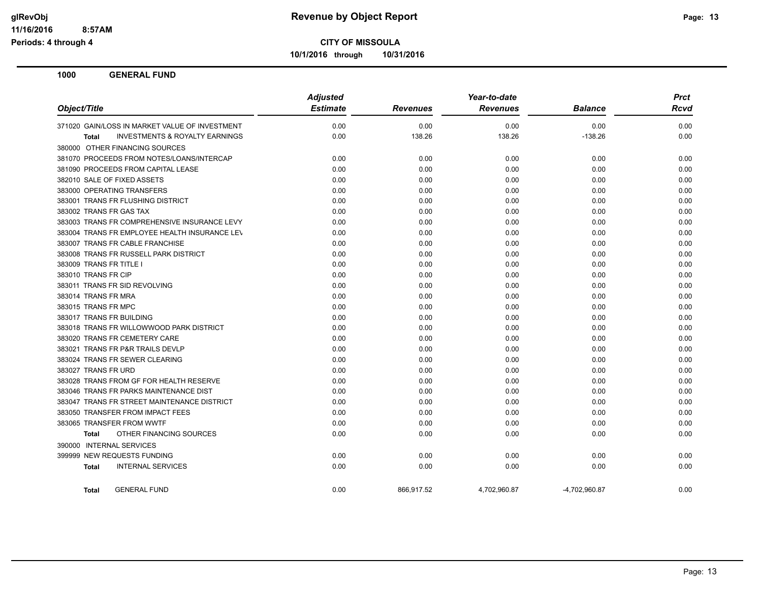**10/1/2016 through 10/31/2016**

| Object/Title                                              | <b>Adjusted</b> |                 |                 | <b>Prct</b>    |             |
|-----------------------------------------------------------|-----------------|-----------------|-----------------|----------------|-------------|
|                                                           | <b>Estimate</b> | <b>Revenues</b> | <b>Revenues</b> | <b>Balance</b> | <b>Rcvd</b> |
| 371020 GAIN/LOSS IN MARKET VALUE OF INVESTMENT            | 0.00            | 0.00            | 0.00            | 0.00           | 0.00        |
| <b>INVESTMENTS &amp; ROYALTY EARNINGS</b><br><b>Total</b> | 0.00            | 138.26          | 138.26          | $-138.26$      | 0.00        |
| 380000 OTHER FINANCING SOURCES                            |                 |                 |                 |                |             |
| 381070 PROCEEDS FROM NOTES/LOANS/INTERCAP                 | 0.00            | 0.00            | 0.00            | 0.00           | 0.00        |
| 381090 PROCEEDS FROM CAPITAL LEASE                        | 0.00            | 0.00            | 0.00            | 0.00           | 0.00        |
| 382010 SALE OF FIXED ASSETS                               | 0.00            | 0.00            | 0.00            | 0.00           | 0.00        |
| 383000 OPERATING TRANSFERS                                | 0.00            | 0.00            | 0.00            | 0.00           | 0.00        |
| 383001 TRANS FR FLUSHING DISTRICT                         | 0.00            | 0.00            | 0.00            | 0.00           | 0.00        |
| 383002 TRANS FR GAS TAX                                   | 0.00            | 0.00            | 0.00            | 0.00           | 0.00        |
| 383003 TRANS FR COMPREHENSIVE INSURANCE LEVY              | 0.00            | 0.00            | 0.00            | 0.00           | 0.00        |
| 383004 TRANS FR EMPLOYEE HEALTH INSURANCE LEV             | 0.00            | 0.00            | 0.00            | 0.00           | 0.00        |
| 383007 TRANS FR CABLE FRANCHISE                           | 0.00            | 0.00            | 0.00            | 0.00           | 0.00        |
| 383008 TRANS FR RUSSELL PARK DISTRICT                     | 0.00            | 0.00            | 0.00            | 0.00           | 0.00        |
| 383009 TRANS FR TITLE I                                   | 0.00            | 0.00            | 0.00            | 0.00           | 0.00        |
| 383010 TRANS FR CIP                                       | 0.00            | 0.00            | 0.00            | 0.00           | 0.00        |
| 383011 TRANS FR SID REVOLVING                             | 0.00            | 0.00            | 0.00            | 0.00           | 0.00        |
| 383014 TRANS FR MRA                                       | 0.00            | 0.00            | 0.00            | 0.00           | 0.00        |
| 383015 TRANS FR MPC                                       | 0.00            | 0.00            | 0.00            | 0.00           | 0.00        |
| 383017 TRANS FR BUILDING                                  | 0.00            | 0.00            | 0.00            | 0.00           | 0.00        |
| 383018 TRANS FR WILLOWWOOD PARK DISTRICT                  | 0.00            | 0.00            | 0.00            | 0.00           | 0.00        |
| 383020 TRANS FR CEMETERY CARE                             | 0.00            | 0.00            | 0.00            | 0.00           | 0.00        |
| 383021 TRANS FR P&R TRAILS DEVLP                          | 0.00            | 0.00            | 0.00            | 0.00           | 0.00        |
| 383024 TRANS FR SEWER CLEARING                            | 0.00            | 0.00            | 0.00            | 0.00           | 0.00        |
| 383027 TRANS FR URD                                       | 0.00            | 0.00            | 0.00            | 0.00           | 0.00        |
| 383028 TRANS FROM GF FOR HEALTH RESERVE                   | 0.00            | 0.00            | 0.00            | 0.00           | 0.00        |
| 383046 TRANS FR PARKS MAINTENANCE DIST                    | 0.00            | 0.00            | 0.00            | 0.00           | 0.00        |
| 383047 TRANS FR STREET MAINTENANCE DISTRICT               | 0.00            | 0.00            | 0.00            | 0.00           | 0.00        |
| 383050 TRANSFER FROM IMPACT FEES                          | 0.00            | 0.00            | 0.00            | 0.00           | 0.00        |
| 383065 TRANSFER FROM WWTF                                 | 0.00            | 0.00            | 0.00            | 0.00           | 0.00        |
| OTHER FINANCING SOURCES<br>Total                          | 0.00            | 0.00            | 0.00            | 0.00           | 0.00        |
| 390000 INTERNAL SERVICES                                  |                 |                 |                 |                |             |
| 399999 NEW REQUESTS FUNDING                               | 0.00            | 0.00            | 0.00            | 0.00           | 0.00        |
| <b>INTERNAL SERVICES</b><br><b>Total</b>                  | 0.00            | 0.00            | 0.00            | 0.00           | 0.00        |
| <b>GENERAL FUND</b><br><b>Total</b>                       | 0.00            | 866,917.52      | 4,702,960.87    | -4,702,960.87  | 0.00        |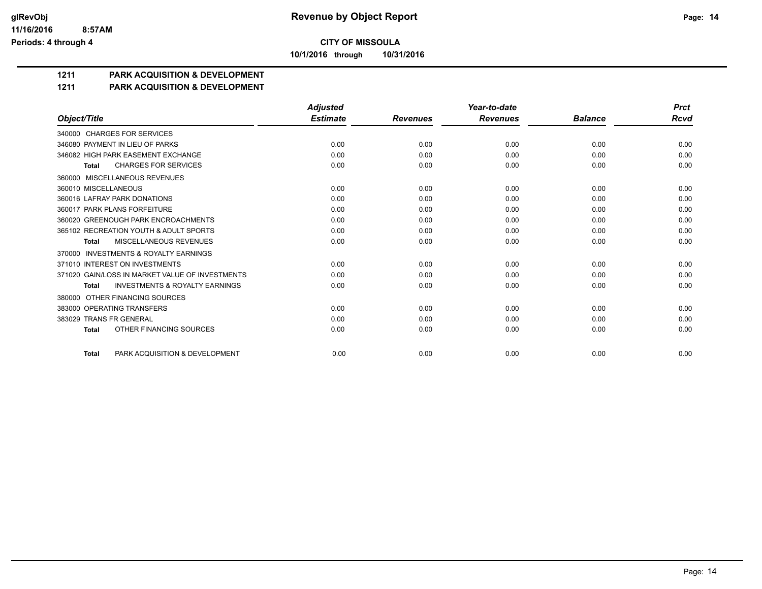**10/1/2016 through 10/31/2016**

# **1211 PARK ACQUISITION & DEVELOPMENT**

## **1211 PARK ACQUISITION & DEVELOPMENT**

|                                                           | <b>Adjusted</b> |                 | Year-to-date    | <b>Prct</b>    |      |
|-----------------------------------------------------------|-----------------|-----------------|-----------------|----------------|------|
| Object/Title                                              | <b>Estimate</b> | <b>Revenues</b> | <b>Revenues</b> | <b>Balance</b> | Rcvd |
| 340000 CHARGES FOR SERVICES                               |                 |                 |                 |                |      |
| 346080 PAYMENT IN LIEU OF PARKS                           | 0.00            | 0.00            | 0.00            | 0.00           | 0.00 |
| 346082 HIGH PARK EASEMENT EXCHANGE                        | 0.00            | 0.00            | 0.00            | 0.00           | 0.00 |
| <b>CHARGES FOR SERVICES</b><br><b>Total</b>               | 0.00            | 0.00            | 0.00            | 0.00           | 0.00 |
| 360000 MISCELLANEOUS REVENUES                             |                 |                 |                 |                |      |
| 360010 MISCELLANEOUS                                      | 0.00            | 0.00            | 0.00            | 0.00           | 0.00 |
| 360016 LAFRAY PARK DONATIONS                              | 0.00            | 0.00            | 0.00            | 0.00           | 0.00 |
| 360017 PARK PLANS FORFEITURE                              | 0.00            | 0.00            | 0.00            | 0.00           | 0.00 |
| 360020 GREENOUGH PARK ENCROACHMENTS                       | 0.00            | 0.00            | 0.00            | 0.00           | 0.00 |
| 365102 RECREATION YOUTH & ADULT SPORTS                    | 0.00            | 0.00            | 0.00            | 0.00           | 0.00 |
| MISCELLANEOUS REVENUES<br><b>Total</b>                    | 0.00            | 0.00            | 0.00            | 0.00           | 0.00 |
| <b>INVESTMENTS &amp; ROYALTY EARNINGS</b><br>370000       |                 |                 |                 |                |      |
| 371010 INTEREST ON INVESTMENTS                            | 0.00            | 0.00            | 0.00            | 0.00           | 0.00 |
| 371020 GAIN/LOSS IN MARKET VALUE OF INVESTMENTS           | 0.00            | 0.00            | 0.00            | 0.00           | 0.00 |
| <b>INVESTMENTS &amp; ROYALTY EARNINGS</b><br><b>Total</b> | 0.00            | 0.00            | 0.00            | 0.00           | 0.00 |
| 380000 OTHER FINANCING SOURCES                            |                 |                 |                 |                |      |
| 383000 OPERATING TRANSFERS                                | 0.00            | 0.00            | 0.00            | 0.00           | 0.00 |
| 383029 TRANS FR GENERAL                                   | 0.00            | 0.00            | 0.00            | 0.00           | 0.00 |
| OTHER FINANCING SOURCES<br><b>Total</b>                   | 0.00            | 0.00            | 0.00            | 0.00           | 0.00 |
| PARK ACQUISITION & DEVELOPMENT<br><b>Total</b>            | 0.00            | 0.00            | 0.00            | 0.00           | 0.00 |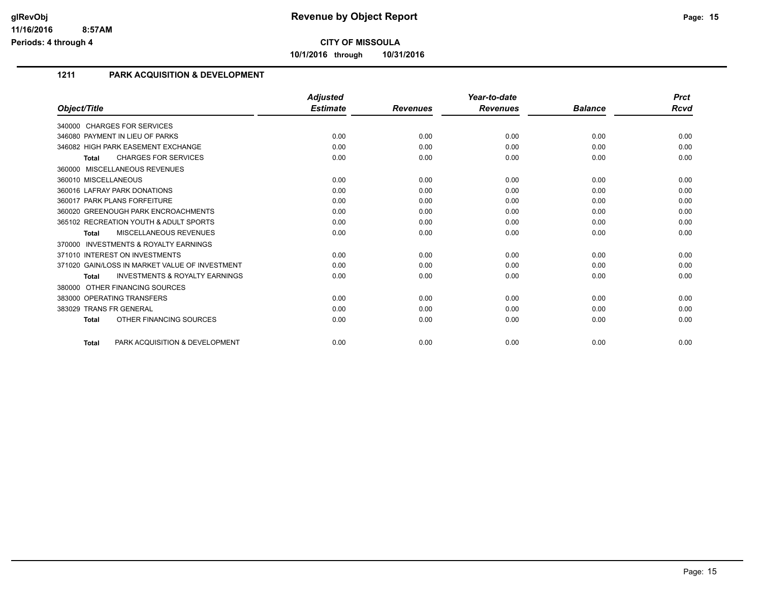**10/1/2016 through 10/31/2016**

# **1211 PARK ACQUISITION & DEVELOPMENT**

|                                                           | <b>Adjusted</b> |                 | Year-to-date    |                | <b>Prct</b> |
|-----------------------------------------------------------|-----------------|-----------------|-----------------|----------------|-------------|
| Object/Title                                              | <b>Estimate</b> | <b>Revenues</b> | <b>Revenues</b> | <b>Balance</b> | Rcvd        |
| 340000 CHARGES FOR SERVICES                               |                 |                 |                 |                |             |
| 346080 PAYMENT IN LIEU OF PARKS                           | 0.00            | 0.00            | 0.00            | 0.00           | 0.00        |
| 346082 HIGH PARK EASEMENT EXCHANGE                        | 0.00            | 0.00            | 0.00            | 0.00           | 0.00        |
| <b>CHARGES FOR SERVICES</b><br><b>Total</b>               | 0.00            | 0.00            | 0.00            | 0.00           | 0.00        |
| 360000 MISCELLANEOUS REVENUES                             |                 |                 |                 |                |             |
| 360010 MISCELLANEOUS                                      | 0.00            | 0.00            | 0.00            | 0.00           | 0.00        |
| 360016 LAFRAY PARK DONATIONS                              | 0.00            | 0.00            | 0.00            | 0.00           | 0.00        |
| 360017 PARK PLANS FORFEITURE                              | 0.00            | 0.00            | 0.00            | 0.00           | 0.00        |
| 360020 GREENOUGH PARK ENCROACHMENTS                       | 0.00            | 0.00            | 0.00            | 0.00           | 0.00        |
| 365102 RECREATION YOUTH & ADULT SPORTS                    | 0.00            | 0.00            | 0.00            | 0.00           | 0.00        |
| <b>MISCELLANEOUS REVENUES</b><br><b>Total</b>             | 0.00            | 0.00            | 0.00            | 0.00           | 0.00        |
| <b>INVESTMENTS &amp; ROYALTY EARNINGS</b><br>370000       |                 |                 |                 |                |             |
| 371010 INTEREST ON INVESTMENTS                            | 0.00            | 0.00            | 0.00            | 0.00           | 0.00        |
| 371020 GAIN/LOSS IN MARKET VALUE OF INVESTMENT            | 0.00            | 0.00            | 0.00            | 0.00           | 0.00        |
| <b>INVESTMENTS &amp; ROYALTY EARNINGS</b><br><b>Total</b> | 0.00            | 0.00            | 0.00            | 0.00           | 0.00        |
| 380000 OTHER FINANCING SOURCES                            |                 |                 |                 |                |             |
| 383000 OPERATING TRANSFERS                                | 0.00            | 0.00            | 0.00            | 0.00           | 0.00        |
| 383029 TRANS FR GENERAL                                   | 0.00            | 0.00            | 0.00            | 0.00           | 0.00        |
| OTHER FINANCING SOURCES<br><b>Total</b>                   | 0.00            | 0.00            | 0.00            | 0.00           | 0.00        |
| PARK ACQUISITION & DEVELOPMENT<br><b>Total</b>            | 0.00            | 0.00            | 0.00            | 0.00           | 0.00        |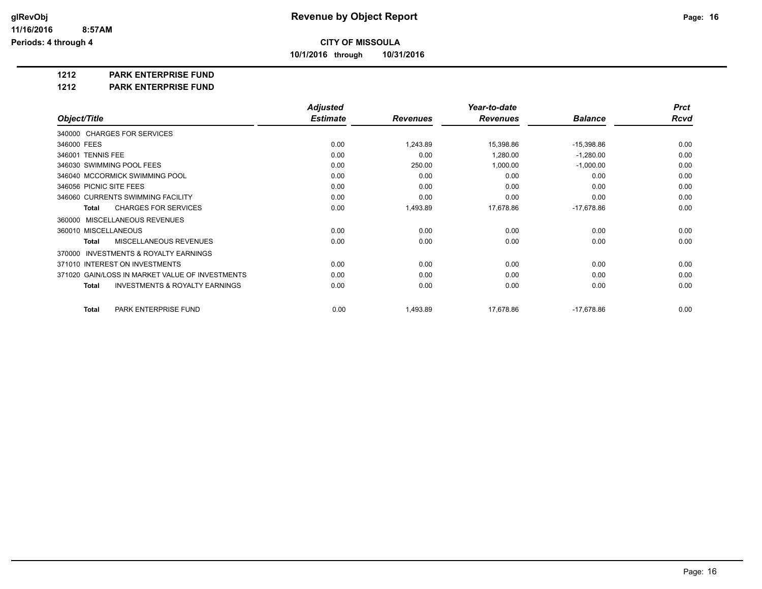**10/1/2016 through 10/31/2016**

**1212 PARK ENTERPRISE FUND**

**1212 PARK ENTERPRISE FUND**

|                                                           | <b>Adjusted</b> |                 | Year-to-date    |                | <b>Prct</b> |
|-----------------------------------------------------------|-----------------|-----------------|-----------------|----------------|-------------|
| Object/Title                                              | <b>Estimate</b> | <b>Revenues</b> | <b>Revenues</b> | <b>Balance</b> | <b>Rcvd</b> |
| 340000 CHARGES FOR SERVICES                               |                 |                 |                 |                |             |
| 346000 FEES                                               | 0.00            | 1,243.89        | 15,398.86       | $-15,398.86$   | 0.00        |
| 346001 TENNIS FEE                                         | 0.00            | 0.00            | 1,280.00        | $-1,280.00$    | 0.00        |
| 346030 SWIMMING POOL FEES                                 | 0.00            | 250.00          | 1,000.00        | $-1,000.00$    | 0.00        |
| 346040 MCCORMICK SWIMMING POOL                            | 0.00            | 0.00            | 0.00            | 0.00           | 0.00        |
| 346056 PICNIC SITE FEES                                   | 0.00            | 0.00            | 0.00            | 0.00           | 0.00        |
| 346060 CURRENTS SWIMMING FACILITY                         | 0.00            | 0.00            | 0.00            | 0.00           | 0.00        |
| <b>CHARGES FOR SERVICES</b><br><b>Total</b>               | 0.00            | 1,493.89        | 17,678.86       | $-17,678.86$   | 0.00        |
| MISCELLANEOUS REVENUES<br>360000                          |                 |                 |                 |                |             |
| 360010 MISCELLANEOUS                                      | 0.00            | 0.00            | 0.00            | 0.00           | 0.00        |
| <b>MISCELLANEOUS REVENUES</b><br><b>Total</b>             | 0.00            | 0.00            | 0.00            | 0.00           | 0.00        |
| <b>INVESTMENTS &amp; ROYALTY EARNINGS</b><br>370000       |                 |                 |                 |                |             |
| 371010 INTEREST ON INVESTMENTS                            | 0.00            | 0.00            | 0.00            | 0.00           | 0.00        |
| 371020 GAIN/LOSS IN MARKET VALUE OF INVESTMENTS           | 0.00            | 0.00            | 0.00            | 0.00           | 0.00        |
| <b>INVESTMENTS &amp; ROYALTY EARNINGS</b><br><b>Total</b> | 0.00            | 0.00            | 0.00            | 0.00           | 0.00        |
| PARK ENTERPRISE FUND<br><b>Total</b>                      | 0.00            | 1,493.89        | 17,678.86       | $-17,678.86$   | 0.00        |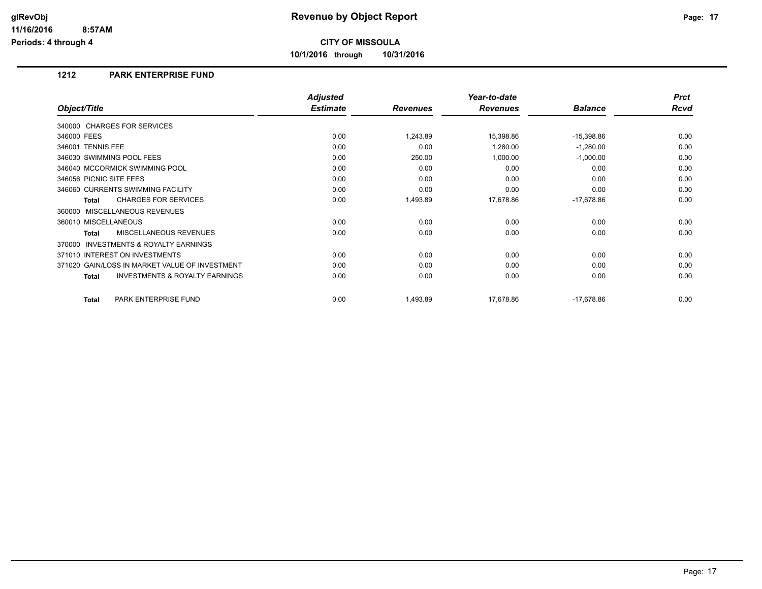**10/1/2016 through 10/31/2016**

#### **1212 PARK ENTERPRISE FUND**

|                                                           | <b>Adjusted</b> |                 | Year-to-date    |                | <b>Prct</b> |
|-----------------------------------------------------------|-----------------|-----------------|-----------------|----------------|-------------|
| Object/Title                                              | <b>Estimate</b> | <b>Revenues</b> | <b>Revenues</b> | <b>Balance</b> | <b>Rcvd</b> |
| 340000 CHARGES FOR SERVICES                               |                 |                 |                 |                |             |
| 346000 FEES                                               | 0.00            | 1,243.89        | 15,398.86       | $-15,398.86$   | 0.00        |
| 346001 TENNIS FEE                                         | 0.00            | 0.00            | 1,280.00        | $-1,280.00$    | 0.00        |
| 346030 SWIMMING POOL FEES                                 | 0.00            | 250.00          | 1,000.00        | $-1,000.00$    | 0.00        |
| 346040 MCCORMICK SWIMMING POOL                            | 0.00            | 0.00            | 0.00            | 0.00           | 0.00        |
| 346056 PICNIC SITE FEES                                   | 0.00            | 0.00            | 0.00            | 0.00           | 0.00        |
| 346060 CURRENTS SWIMMING FACILITY                         | 0.00            | 0.00            | 0.00            | 0.00           | 0.00        |
| <b>CHARGES FOR SERVICES</b><br>Total                      | 0.00            | 1,493.89        | 17,678.86       | $-17,678.86$   | 0.00        |
| 360000 MISCELLANEOUS REVENUES                             |                 |                 |                 |                |             |
| 360010 MISCELLANEOUS                                      | 0.00            | 0.00            | 0.00            | 0.00           | 0.00        |
| MISCELLANEOUS REVENUES<br>Total                           | 0.00            | 0.00            | 0.00            | 0.00           | 0.00        |
| <b>INVESTMENTS &amp; ROYALTY EARNINGS</b><br>370000       |                 |                 |                 |                |             |
| 371010 INTEREST ON INVESTMENTS                            | 0.00            | 0.00            | 0.00            | 0.00           | 0.00        |
| 371020 GAIN/LOSS IN MARKET VALUE OF INVESTMENT            | 0.00            | 0.00            | 0.00            | 0.00           | 0.00        |
| <b>INVESTMENTS &amp; ROYALTY EARNINGS</b><br><b>Total</b> | 0.00            | 0.00            | 0.00            | 0.00           | 0.00        |
| PARK ENTERPRISE FUND<br><b>Total</b>                      | 0.00            | 1,493.89        | 17,678.86       | $-17,678.86$   | 0.00        |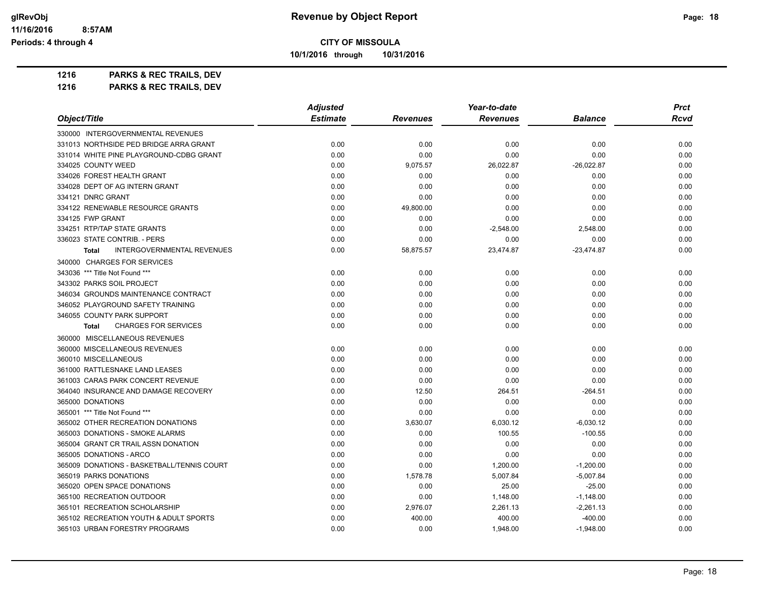**10/1/2016 through 10/31/2016**

**1216 PARKS & REC TRAILS, DEV**

|                                             | <b>Adjusted</b> |                 | Year-to-date    |                | <b>Prct</b> |
|---------------------------------------------|-----------------|-----------------|-----------------|----------------|-------------|
| Object/Title                                | <b>Estimate</b> | <b>Revenues</b> | <b>Revenues</b> | <b>Balance</b> | <b>Rcvd</b> |
| 330000 INTERGOVERNMENTAL REVENUES           |                 |                 |                 |                |             |
| 331013 NORTHSIDE PED BRIDGE ARRA GRANT      | 0.00            | 0.00            | 0.00            | 0.00           | 0.00        |
| 331014 WHITE PINE PLAYGROUND-CDBG GRANT     | 0.00            | 0.00            | 0.00            | 0.00           | 0.00        |
| 334025 COUNTY WEED                          | 0.00            | 9,075.57        | 26,022.87       | $-26,022.87$   | 0.00        |
| 334026 FOREST HEALTH GRANT                  | 0.00            | 0.00            | 0.00            | 0.00           | 0.00        |
| 334028 DEPT OF AG INTERN GRANT              | 0.00            | 0.00            | 0.00            | 0.00           | 0.00        |
| 334121 DNRC GRANT                           | 0.00            | 0.00            | 0.00            | 0.00           | 0.00        |
| 334122 RENEWABLE RESOURCE GRANTS            | 0.00            | 49,800.00       | 0.00            | 0.00           | 0.00        |
| 334125 FWP GRANT                            | 0.00            | 0.00            | 0.00            | 0.00           | 0.00        |
| 334251 RTP/TAP STATE GRANTS                 | 0.00            | 0.00            | $-2,548.00$     | 2,548.00       | 0.00        |
| 336023 STATE CONTRIB. - PERS                | 0.00            | 0.00            | 0.00            | 0.00           | 0.00        |
| <b>INTERGOVERNMENTAL REVENUES</b><br>Total  | 0.00            | 58,875.57       | 23,474.87       | $-23,474.87$   | 0.00        |
| 340000 CHARGES FOR SERVICES                 |                 |                 |                 |                |             |
| 343036 *** Title Not Found ***              | 0.00            | 0.00            | 0.00            | 0.00           | 0.00        |
| 343302 PARKS SOIL PROJECT                   | 0.00            | 0.00            | 0.00            | 0.00           | 0.00        |
| 346034 GROUNDS MAINTENANCE CONTRACT         | 0.00            | 0.00            | 0.00            | 0.00           | 0.00        |
| 346052 PLAYGROUND SAFETY TRAINING           | 0.00            | 0.00            | 0.00            | 0.00           | 0.00        |
| 346055 COUNTY PARK SUPPORT                  | 0.00            | 0.00            | 0.00            | 0.00           | 0.00        |
| <b>CHARGES FOR SERVICES</b><br><b>Total</b> | 0.00            | 0.00            | 0.00            | 0.00           | 0.00        |
| 360000 MISCELLANEOUS REVENUES               |                 |                 |                 |                |             |
| 360000 MISCELLANEOUS REVENUES               | 0.00            | 0.00            | 0.00            | 0.00           | 0.00        |
| 360010 MISCELLANEOUS                        | 0.00            | 0.00            | 0.00            | 0.00           | 0.00        |
| 361000 RATTLESNAKE LAND LEASES              | 0.00            | 0.00            | 0.00            | 0.00           | 0.00        |
| 361003 CARAS PARK CONCERT REVENUE           | 0.00            | 0.00            | 0.00            | 0.00           | 0.00        |
| 364040 INSURANCE AND DAMAGE RECOVERY        | 0.00            | 12.50           | 264.51          | $-264.51$      | 0.00        |
| 365000 DONATIONS                            | 0.00            | 0.00            | 0.00            | 0.00           | 0.00        |
| 365001 *** Title Not Found ***              | 0.00            | 0.00            | 0.00            | 0.00           | 0.00        |
| 365002 OTHER RECREATION DONATIONS           | 0.00            | 3,630.07        | 6,030.12        | $-6,030.12$    | 0.00        |
| 365003 DONATIONS - SMOKE ALARMS             | 0.00            | 0.00            | 100.55          | $-100.55$      | 0.00        |
| 365004 GRANT CR TRAIL ASSN DONATION         | 0.00            | 0.00            | 0.00            | 0.00           | 0.00        |
| 365005 DONATIONS - ARCO                     | 0.00            | 0.00            | 0.00            | 0.00           | 0.00        |
| 365009 DONATIONS - BASKETBALL/TENNIS COURT  | 0.00            | 0.00            | 1,200.00        | $-1,200.00$    | 0.00        |
| 365019 PARKS DONATIONS                      | 0.00            | 1,578.78        | 5,007.84        | $-5,007.84$    | 0.00        |
| 365020 OPEN SPACE DONATIONS                 | 0.00            | 0.00            | 25.00           | $-25.00$       | 0.00        |
| 365100 RECREATION OUTDOOR                   | 0.00            | 0.00            | 1,148.00        | $-1,148.00$    | 0.00        |
| 365101 RECREATION SCHOLARSHIP               | 0.00            | 2,976.07        | 2,261.13        | $-2,261.13$    | 0.00        |
| 365102 RECREATION YOUTH & ADULT SPORTS      | 0.00            | 400.00          | 400.00          | $-400.00$      | 0.00        |
| 365103 URBAN FORESTRY PROGRAMS              | 0.00            | 0.00            | 1,948.00        | $-1,948.00$    | 0.00        |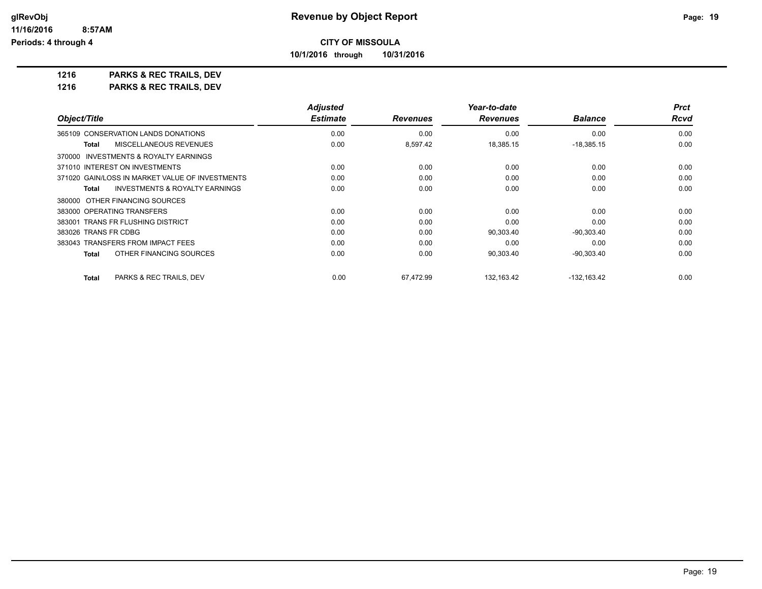**10/1/2016 through 10/31/2016**

**1216 PARKS & REC TRAILS, DEV**

|                                                           | <b>Adjusted</b> |                 | Year-to-date    |                | <b>Prct</b> |
|-----------------------------------------------------------|-----------------|-----------------|-----------------|----------------|-------------|
| Object/Title                                              | <b>Estimate</b> | <b>Revenues</b> | <b>Revenues</b> | <b>Balance</b> | <b>Rcvd</b> |
| 365109 CONSERVATION LANDS DONATIONS                       | 0.00            | 0.00            | 0.00            | 0.00           | 0.00        |
| MISCELLANEOUS REVENUES<br><b>Total</b>                    | 0.00            | 8,597.42        | 18,385.15       | $-18,385.15$   | 0.00        |
| <b>INVESTMENTS &amp; ROYALTY EARNINGS</b><br>370000       |                 |                 |                 |                |             |
| 371010 INTEREST ON INVESTMENTS                            | 0.00            | 0.00            | 0.00            | 0.00           | 0.00        |
| 371020 GAIN/LOSS IN MARKET VALUE OF INVESTMENTS           | 0.00            | 0.00            | 0.00            | 0.00           | 0.00        |
| <b>INVESTMENTS &amp; ROYALTY EARNINGS</b><br><b>Total</b> | 0.00            | 0.00            | 0.00            | 0.00           | 0.00        |
| 380000 OTHER FINANCING SOURCES                            |                 |                 |                 |                |             |
| 383000 OPERATING TRANSFERS                                | 0.00            | 0.00            | 0.00            | 0.00           | 0.00        |
| 383001 TRANS FR FLUSHING DISTRICT                         | 0.00            | 0.00            | 0.00            | 0.00           | 0.00        |
| 383026 TRANS FR CDBG                                      | 0.00            | 0.00            | 90,303.40       | $-90,303.40$   | 0.00        |
| 383043 TRANSFERS FROM IMPACT FEES                         | 0.00            | 0.00            | 0.00            | 0.00           | 0.00        |
| OTHER FINANCING SOURCES<br><b>Total</b>                   | 0.00            | 0.00            | 90,303.40       | $-90,303.40$   | 0.00        |
| PARKS & REC TRAILS. DEV<br><b>Total</b>                   | 0.00            | 67.472.99       | 132.163.42      | $-132.163.42$  | 0.00        |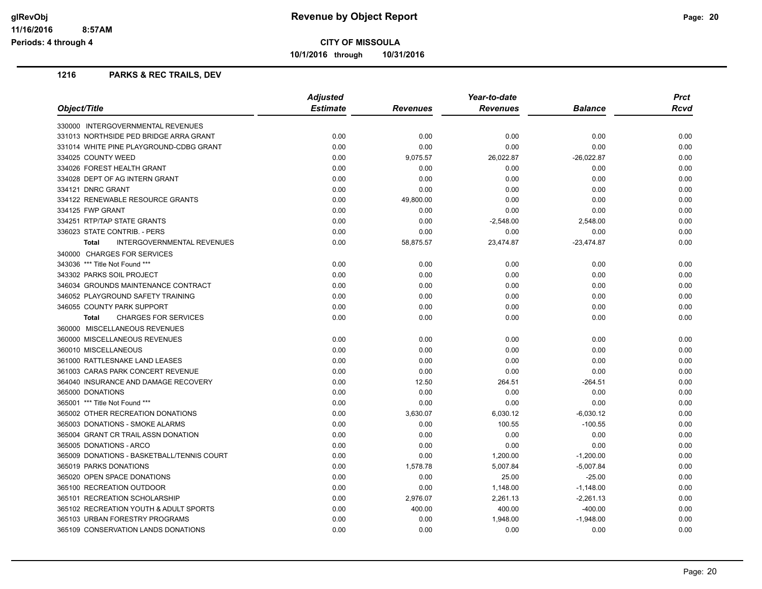**10/1/2016 through 10/31/2016**

| Object/Title                                      | <b>Adjusted</b> |                 | Year-to-date    |                |             |
|---------------------------------------------------|-----------------|-----------------|-----------------|----------------|-------------|
|                                                   | <b>Estimate</b> | <b>Revenues</b> | <b>Revenues</b> | <b>Balance</b> | <b>Rcvd</b> |
| 330000 INTERGOVERNMENTAL REVENUES                 |                 |                 |                 |                |             |
| 331013 NORTHSIDE PED BRIDGE ARRA GRANT            | 0.00            | 0.00            | 0.00            | 0.00           | 0.00        |
| 331014 WHITE PINE PLAYGROUND-CDBG GRANT           | 0.00            | 0.00            | 0.00            | 0.00           | 0.00        |
| 334025 COUNTY WEED                                | 0.00            | 9,075.57        | 26,022.87       | $-26,022.87$   | 0.00        |
| 334026 FOREST HEALTH GRANT                        | 0.00            | 0.00            | 0.00            | 0.00           | 0.00        |
| 334028 DEPT OF AG INTERN GRANT                    | 0.00            | 0.00            | 0.00            | 0.00           | 0.00        |
| 334121 DNRC GRANT                                 | 0.00            | 0.00            | 0.00            | 0.00           | 0.00        |
| 334122 RENEWABLE RESOURCE GRANTS                  | 0.00            | 49,800.00       | 0.00            | 0.00           | 0.00        |
| 334125 FWP GRANT                                  | 0.00            | 0.00            | 0.00            | 0.00           | 0.00        |
| 334251 RTP/TAP STATE GRANTS                       | 0.00            | 0.00            | $-2,548.00$     | 2,548.00       | 0.00        |
| 336023 STATE CONTRIB. - PERS                      | 0.00            | 0.00            | 0.00            | 0.00           | 0.00        |
| <b>INTERGOVERNMENTAL REVENUES</b><br><b>Total</b> | 0.00            | 58,875.57       | 23,474.87       | $-23,474.87$   | 0.00        |
| 340000 CHARGES FOR SERVICES                       |                 |                 |                 |                |             |
| 343036 *** Title Not Found ***                    | 0.00            | 0.00            | 0.00            | 0.00           | 0.00        |
| 343302 PARKS SOIL PROJECT                         | 0.00            | 0.00            | 0.00            | 0.00           | 0.00        |
| 346034 GROUNDS MAINTENANCE CONTRACT               | 0.00            | 0.00            | 0.00            | 0.00           | 0.00        |
| 346052 PLAYGROUND SAFETY TRAINING                 | 0.00            | 0.00            | 0.00            | 0.00           | 0.00        |
| 346055 COUNTY PARK SUPPORT                        | 0.00            | 0.00            | 0.00            | 0.00           | 0.00        |
| <b>CHARGES FOR SERVICES</b><br><b>Total</b>       | 0.00            | 0.00            | 0.00            | 0.00           | 0.00        |
| 360000 MISCELLANEOUS REVENUES                     |                 |                 |                 |                |             |
| 360000 MISCELLANEOUS REVENUES                     | 0.00            | 0.00            | 0.00            | 0.00           | 0.00        |
| 360010 MISCELLANEOUS                              | 0.00            | 0.00            | 0.00            | 0.00           | 0.00        |
| 361000 RATTLESNAKE LAND LEASES                    | 0.00            | 0.00            | 0.00            | 0.00           | 0.00        |
| 361003 CARAS PARK CONCERT REVENUE                 | 0.00            | 0.00            | 0.00            | 0.00           | 0.00        |
| 364040 INSURANCE AND DAMAGE RECOVERY              | 0.00            | 12.50           | 264.51          | $-264.51$      | 0.00        |
| 365000 DONATIONS                                  | 0.00            | 0.00            | 0.00            | 0.00           | 0.00        |
| 365001 *** Title Not Found ***                    | 0.00            | 0.00            | 0.00            | 0.00           | 0.00        |
| 365002 OTHER RECREATION DONATIONS                 | 0.00            | 3,630.07        | 6,030.12        | $-6,030.12$    | 0.00        |
| 365003 DONATIONS - SMOKE ALARMS                   | 0.00            | 0.00            | 100.55          | $-100.55$      | 0.00        |
| 365004 GRANT CR TRAIL ASSN DONATION               | 0.00            | 0.00            | 0.00            | 0.00           | 0.00        |
| 365005 DONATIONS - ARCO                           | 0.00            | 0.00            | 0.00            | 0.00           | 0.00        |
| 365009 DONATIONS - BASKETBALL/TENNIS COURT        | 0.00            | 0.00            | 1,200.00        | $-1,200.00$    | 0.00        |
| 365019 PARKS DONATIONS                            | 0.00            | 1,578.78        | 5,007.84        | $-5,007.84$    | 0.00        |
| 365020 OPEN SPACE DONATIONS                       | 0.00            | 0.00            | 25.00           | $-25.00$       | 0.00        |
| 365100 RECREATION OUTDOOR                         | 0.00            | 0.00            | 1,148.00        | $-1,148.00$    | 0.00        |
| 365101 RECREATION SCHOLARSHIP                     | 0.00            | 2,976.07        | 2,261.13        | $-2,261.13$    | 0.00        |
| 365102 RECREATION YOUTH & ADULT SPORTS            | 0.00            | 400.00          | 400.00          | $-400.00$      | 0.00        |
| 365103 URBAN FORESTRY PROGRAMS                    | 0.00            | 0.00            | 1,948.00        | $-1,948.00$    | 0.00        |
| 365109 CONSERVATION LANDS DONATIONS               | 0.00            | 0.00            | 0.00            | 0.00           | 0.00        |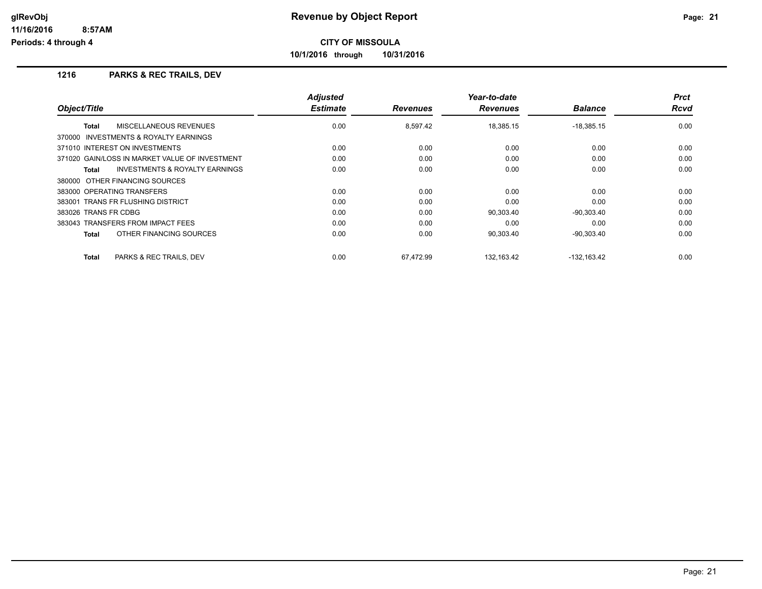**10/1/2016 through 10/31/2016**

|                                                           | <b>Adjusted</b><br><b>Estimate</b> |                 | Year-to-date    | <b>Balance</b> | <b>Prct</b><br><b>Rcvd</b> |
|-----------------------------------------------------------|------------------------------------|-----------------|-----------------|----------------|----------------------------|
| Object/Title                                              |                                    | <b>Revenues</b> | <b>Revenues</b> |                |                            |
| MISCELLANEOUS REVENUES<br><b>Total</b>                    | 0.00                               | 8,597.42        | 18,385.15       | $-18,385.15$   | 0.00                       |
| <b>INVESTMENTS &amp; ROYALTY EARNINGS</b><br>370000       |                                    |                 |                 |                |                            |
| 371010 INTEREST ON INVESTMENTS                            | 0.00                               | 0.00            | 0.00            | 0.00           | 0.00                       |
| 371020 GAIN/LOSS IN MARKET VALUE OF INVESTMENT            | 0.00                               | 0.00            | 0.00            | 0.00           | 0.00                       |
| <b>INVESTMENTS &amp; ROYALTY EARNINGS</b><br><b>Total</b> | 0.00                               | 0.00            | 0.00            | 0.00           | 0.00                       |
| 380000 OTHER FINANCING SOURCES                            |                                    |                 |                 |                |                            |
| 383000 OPERATING TRANSFERS                                | 0.00                               | 0.00            | 0.00            | 0.00           | 0.00                       |
| 383001 TRANS FR FLUSHING DISTRICT                         | 0.00                               | 0.00            | 0.00            | 0.00           | 0.00                       |
| 383026 TRANS FR CDBG                                      | 0.00                               | 0.00            | 90,303.40       | $-90,303.40$   | 0.00                       |
| 383043 TRANSFERS FROM IMPACT FEES                         | 0.00                               | 0.00            | 0.00            | 0.00           | 0.00                       |
| OTHER FINANCING SOURCES<br><b>Total</b>                   | 0.00                               | 0.00            | 90,303.40       | $-90,303.40$   | 0.00                       |
| PARKS & REC TRAILS, DEV<br><b>Total</b>                   | 0.00                               | 67,472.99       | 132.163.42      | $-132, 163.42$ | 0.00                       |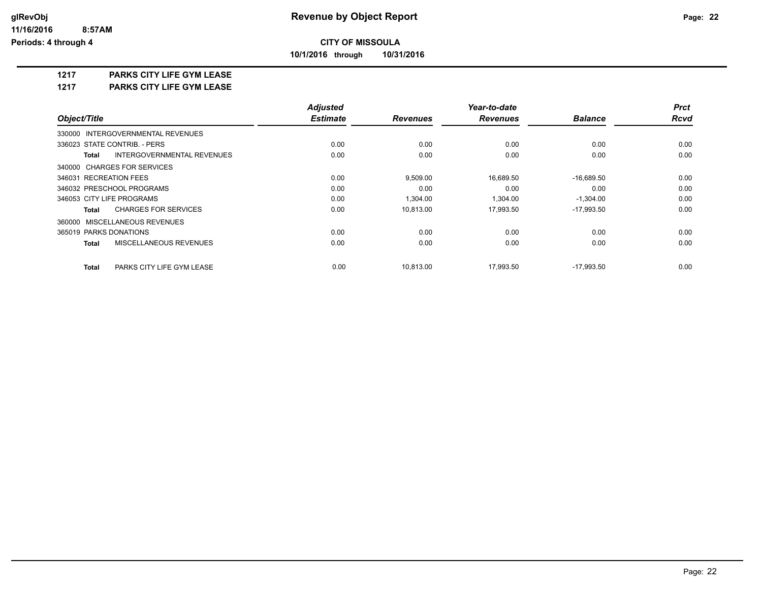**10/1/2016 through 10/31/2016**

#### **1217 PARKS CITY LIFE GYM LEASE**

**1217 PARKS CITY LIFE GYM LEASE**

|                                             | <b>Adjusted</b> |                 | Year-to-date    |                |      |  |
|---------------------------------------------|-----------------|-----------------|-----------------|----------------|------|--|
| Object/Title                                | <b>Estimate</b> | <b>Revenues</b> | <b>Revenues</b> | <b>Balance</b> | Rcvd |  |
| 330000 INTERGOVERNMENTAL REVENUES           |                 |                 |                 |                |      |  |
| 336023 STATE CONTRIB. - PERS                | 0.00            | 0.00            | 0.00            | 0.00           | 0.00 |  |
| INTERGOVERNMENTAL REVENUES<br><b>Total</b>  | 0.00            | 0.00            | 0.00            | 0.00           | 0.00 |  |
| 340000 CHARGES FOR SERVICES                 |                 |                 |                 |                |      |  |
| 346031 RECREATION FEES                      | 0.00            | 9,509.00        | 16,689.50       | $-16,689.50$   | 0.00 |  |
| 346032 PRESCHOOL PROGRAMS                   | 0.00            | 0.00            | 0.00            | 0.00           | 0.00 |  |
| 346053 CITY LIFE PROGRAMS                   | 0.00            | 1,304.00        | 1,304.00        | $-1,304.00$    | 0.00 |  |
| <b>CHARGES FOR SERVICES</b><br><b>Total</b> | 0.00            | 10,813.00       | 17,993.50       | $-17,993.50$   | 0.00 |  |
| 360000 MISCELLANEOUS REVENUES               |                 |                 |                 |                |      |  |
| 365019 PARKS DONATIONS                      | 0.00            | 0.00            | 0.00            | 0.00           | 0.00 |  |
| MISCELLANEOUS REVENUES<br><b>Total</b>      | 0.00            | 0.00            | 0.00            | 0.00           | 0.00 |  |
| PARKS CITY LIFE GYM LEASE<br><b>Total</b>   | 0.00            | 10.813.00       | 17.993.50       | $-17.993.50$   | 0.00 |  |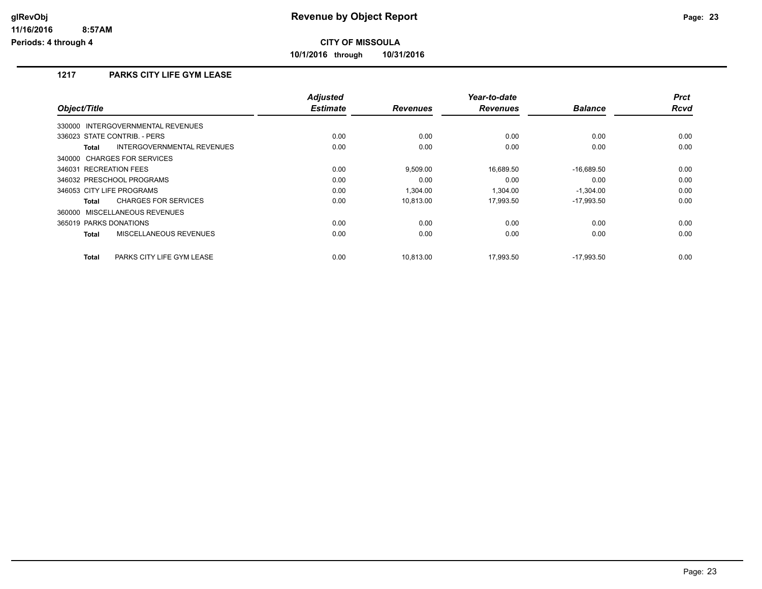**10/1/2016 through 10/31/2016**

# **1217 PARKS CITY LIFE GYM LEASE**

| Object/Title                                | <b>Adjusted</b><br><b>Estimate</b> | <b>Revenues</b> | Year-to-date<br><b>Revenues</b> | <b>Balance</b> | <b>Prct</b><br>Rcvd |
|---------------------------------------------|------------------------------------|-----------------|---------------------------------|----------------|---------------------|
| 330000 INTERGOVERNMENTAL REVENUES           |                                    |                 |                                 |                |                     |
| 336023 STATE CONTRIB. - PERS                | 0.00                               | 0.00            | 0.00                            | 0.00           | 0.00                |
| INTERGOVERNMENTAL REVENUES<br><b>Total</b>  | 0.00                               | 0.00            | 0.00                            | 0.00           | 0.00                |
| 340000 CHARGES FOR SERVICES                 |                                    |                 |                                 |                |                     |
| 346031 RECREATION FEES                      | 0.00                               | 9,509.00        | 16.689.50                       | $-16.689.50$   | 0.00                |
| 346032 PRESCHOOL PROGRAMS                   | 0.00                               | 0.00            | 0.00                            | 0.00           | 0.00                |
| 346053 CITY LIFE PROGRAMS                   | 0.00                               | 1.304.00        | 1.304.00                        | $-1.304.00$    | 0.00                |
| <b>CHARGES FOR SERVICES</b><br><b>Total</b> | 0.00                               | 10.813.00       | 17,993.50                       | $-17,993.50$   | 0.00                |
| 360000 MISCELLANEOUS REVENUES               |                                    |                 |                                 |                |                     |
| 365019 PARKS DONATIONS                      | 0.00                               | 0.00            | 0.00                            | 0.00           | 0.00                |
| MISCELLANEOUS REVENUES<br><b>Total</b>      | 0.00                               | 0.00            | 0.00                            | 0.00           | 0.00                |
| PARKS CITY LIFE GYM LEASE<br><b>Total</b>   | 0.00                               | 10.813.00       | 17.993.50                       | $-17.993.50$   | 0.00                |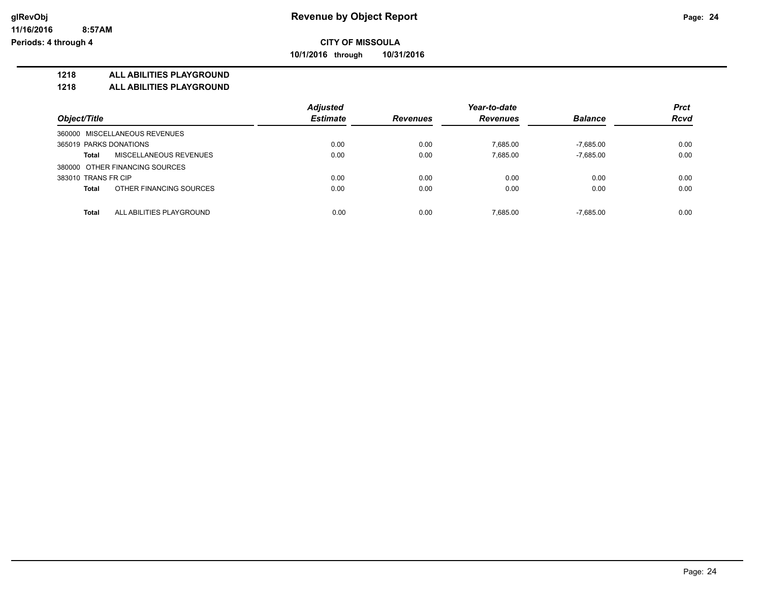**10/1/2016 through 10/31/2016**

#### **1218 ALL ABILITIES PLAYGROUND**

**1218 ALL ABILITIES PLAYGROUND**

|                                          | <b>Adjusted</b> |                 | Year-to-date    |                | <b>Prct</b> |
|------------------------------------------|-----------------|-----------------|-----------------|----------------|-------------|
| Object/Title                             | <b>Estimate</b> | <b>Revenues</b> | <b>Revenues</b> | <b>Balance</b> | <b>Rcvd</b> |
| 360000 MISCELLANEOUS REVENUES            |                 |                 |                 |                |             |
| 365019 PARKS DONATIONS                   | 0.00            | 0.00            | 7.685.00        | $-7.685.00$    | 0.00        |
| MISCELLANEOUS REVENUES<br>Total          | 0.00            | 0.00            | 7,685.00        | $-7.685.00$    | 0.00        |
| 380000 OTHER FINANCING SOURCES           |                 |                 |                 |                |             |
| 383010 TRANS FR CIP                      | 0.00            | 0.00            | 0.00            | 0.00           | 0.00        |
| OTHER FINANCING SOURCES<br><b>Total</b>  | 0.00            | 0.00            | 0.00            | 0.00           | 0.00        |
|                                          |                 |                 |                 |                |             |
| ALL ABILITIES PLAYGROUND<br><b>Total</b> | 0.00            | 0.00            | 7.685.00        | $-7.685.00$    | 0.00        |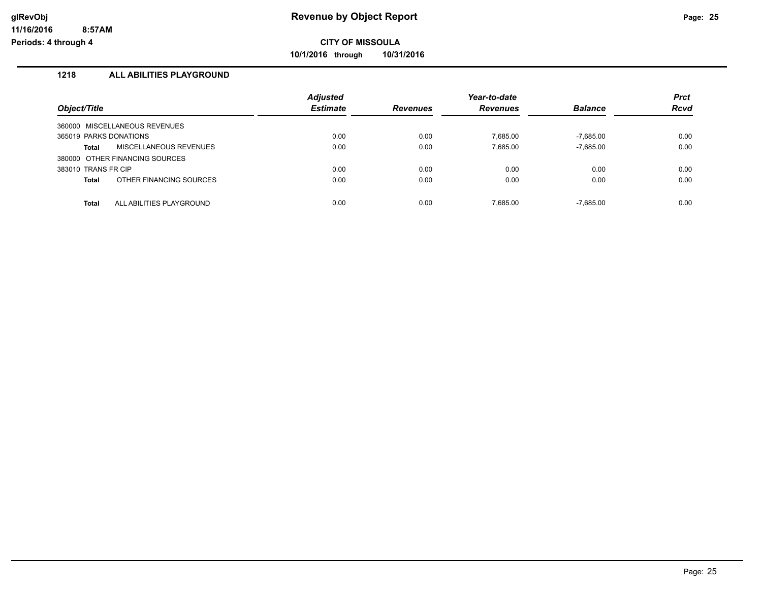**Periods: 4 through 4**

**CITY OF MISSOULA**

**10/1/2016 through 10/31/2016**

## **1218 ALL ABILITIES PLAYGROUND**

| Object/Title                            | <b>Adjusted</b><br><b>Estimate</b> | <b>Revenues</b> | Year-to-date<br><b>Revenues</b> | <b>Balance</b> | <b>Prct</b><br><b>Rcvd</b> |
|-----------------------------------------|------------------------------------|-----------------|---------------------------------|----------------|----------------------------|
| MISCELLANEOUS REVENUES<br>360000        |                                    |                 |                                 |                |                            |
| 365019 PARKS DONATIONS                  | 0.00                               | 0.00            | 7.685.00                        | $-7.685.00$    | 0.00                       |
| MISCELLANEOUS REVENUES<br>Total         | 0.00                               | 0.00            | 7.685.00                        | $-7,685.00$    | 0.00                       |
| 380000 OTHER FINANCING SOURCES          |                                    |                 |                                 |                |                            |
| 383010 TRANS FR CIP                     | 0.00                               | 0.00            | 0.00                            | 0.00           | 0.00                       |
| OTHER FINANCING SOURCES<br><b>Total</b> | 0.00                               | 0.00            | 0.00                            | 0.00           | 0.00                       |
| ALL ABILITIES PLAYGROUND<br>Total       | 0.00                               | 0.00            | 7.685.00                        | $-7.685.00$    | 0.00                       |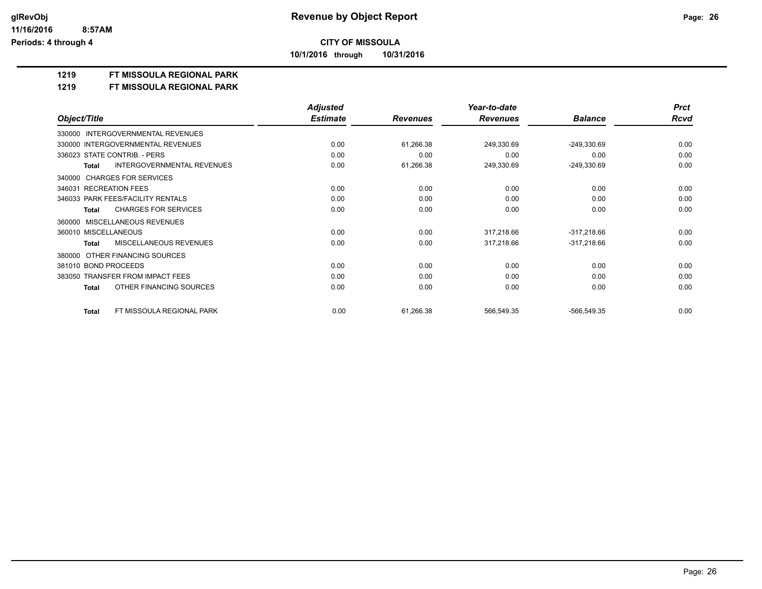**10/1/2016 through 10/31/2016**

# **1219 FT MISSOULA REGIONAL PARK**

#### **1219 FT MISSOULA REGIONAL PARK**

|                                                   | <b>Adjusted</b> |                 | Year-to-date    |                | <b>Prct</b> |
|---------------------------------------------------|-----------------|-----------------|-----------------|----------------|-------------|
| Object/Title                                      | <b>Estimate</b> | <b>Revenues</b> | <b>Revenues</b> | <b>Balance</b> | <b>Rcvd</b> |
| 330000 INTERGOVERNMENTAL REVENUES                 |                 |                 |                 |                |             |
| 330000 INTERGOVERNMENTAL REVENUES                 | 0.00            | 61,266.38       | 249,330.69      | $-249,330.69$  | 0.00        |
| 336023 STATE CONTRIB. - PERS                      | 0.00            | 0.00            | 0.00            | 0.00           | 0.00        |
| <b>INTERGOVERNMENTAL REVENUES</b><br><b>Total</b> | 0.00            | 61,266.38       | 249,330.69      | $-249,330.69$  | 0.00        |
| 340000 CHARGES FOR SERVICES                       |                 |                 |                 |                |             |
| 346031 RECREATION FEES                            | 0.00            | 0.00            | 0.00            | 0.00           | 0.00        |
| 346033 PARK FEES/FACILITY RENTALS                 | 0.00            | 0.00            | 0.00            | 0.00           | 0.00        |
| <b>CHARGES FOR SERVICES</b><br><b>Total</b>       | 0.00            | 0.00            | 0.00            | 0.00           | 0.00        |
| 360000 MISCELLANEOUS REVENUES                     |                 |                 |                 |                |             |
| 360010 MISCELLANEOUS                              | 0.00            | 0.00            | 317,218.66      | $-317,218.66$  | 0.00        |
| <b>MISCELLANEOUS REVENUES</b><br><b>Total</b>     | 0.00            | 0.00            | 317,218.66      | $-317,218.66$  | 0.00        |
| OTHER FINANCING SOURCES<br>380000                 |                 |                 |                 |                |             |
| 381010 BOND PROCEEDS                              | 0.00            | 0.00            | 0.00            | 0.00           | 0.00        |
| 383050 TRANSFER FROM IMPACT FEES                  | 0.00            | 0.00            | 0.00            | 0.00           | 0.00        |
| OTHER FINANCING SOURCES<br><b>Total</b>           | 0.00            | 0.00            | 0.00            | 0.00           | 0.00        |
| FT MISSOULA REGIONAL PARK<br><b>Total</b>         | 0.00            | 61,266.38       | 566,549.35      | $-566,549.35$  | 0.00        |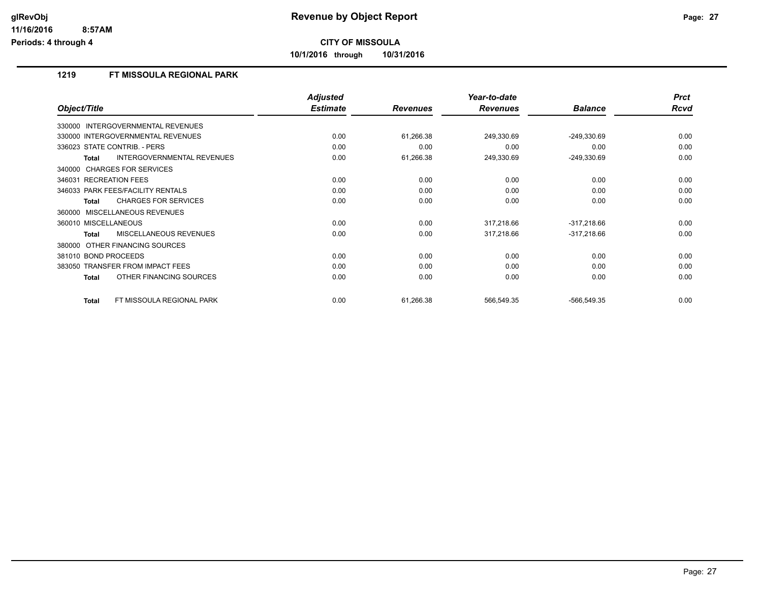**10/1/2016 through 10/31/2016**

# **1219 FT MISSOULA REGIONAL PARK**

|                                               | <b>Adjusted</b> |                 | Year-to-date    |                | <b>Prct</b> |
|-----------------------------------------------|-----------------|-----------------|-----------------|----------------|-------------|
| Object/Title                                  | <b>Estimate</b> | <b>Revenues</b> | <b>Revenues</b> | <b>Balance</b> | <b>Rcvd</b> |
| 330000 INTERGOVERNMENTAL REVENUES             |                 |                 |                 |                |             |
| 330000 INTERGOVERNMENTAL REVENUES             | 0.00            | 61,266.38       | 249,330.69      | $-249,330.69$  | 0.00        |
| 336023 STATE CONTRIB. - PERS                  | 0.00            | 0.00            | 0.00            | 0.00           | 0.00        |
| <b>INTERGOVERNMENTAL REVENUES</b><br>Total    | 0.00            | 61,266.38       | 249,330.69      | $-249,330.69$  | 0.00        |
| 340000 CHARGES FOR SERVICES                   |                 |                 |                 |                |             |
| 346031 RECREATION FEES                        | 0.00            | 0.00            | 0.00            | 0.00           | 0.00        |
| 346033 PARK FEES/FACILITY RENTALS             | 0.00            | 0.00            | 0.00            | 0.00           | 0.00        |
| <b>CHARGES FOR SERVICES</b><br>Total          | 0.00            | 0.00            | 0.00            | 0.00           | 0.00        |
| 360000 MISCELLANEOUS REVENUES                 |                 |                 |                 |                |             |
| 360010 MISCELLANEOUS                          | 0.00            | 0.00            | 317,218.66      | $-317,218.66$  | 0.00        |
| <b>MISCELLANEOUS REVENUES</b><br><b>Total</b> | 0.00            | 0.00            | 317,218.66      | $-317,218.66$  | 0.00        |
| 380000 OTHER FINANCING SOURCES                |                 |                 |                 |                |             |
| 381010 BOND PROCEEDS                          | 0.00            | 0.00            | 0.00            | 0.00           | 0.00        |
| 383050 TRANSFER FROM IMPACT FEES              | 0.00            | 0.00            | 0.00            | 0.00           | 0.00        |
| OTHER FINANCING SOURCES<br><b>Total</b>       | 0.00            | 0.00            | 0.00            | 0.00           | 0.00        |
| FT MISSOULA REGIONAL PARK<br><b>Total</b>     | 0.00            | 61,266.38       | 566,549.35      | $-566,549.35$  | 0.00        |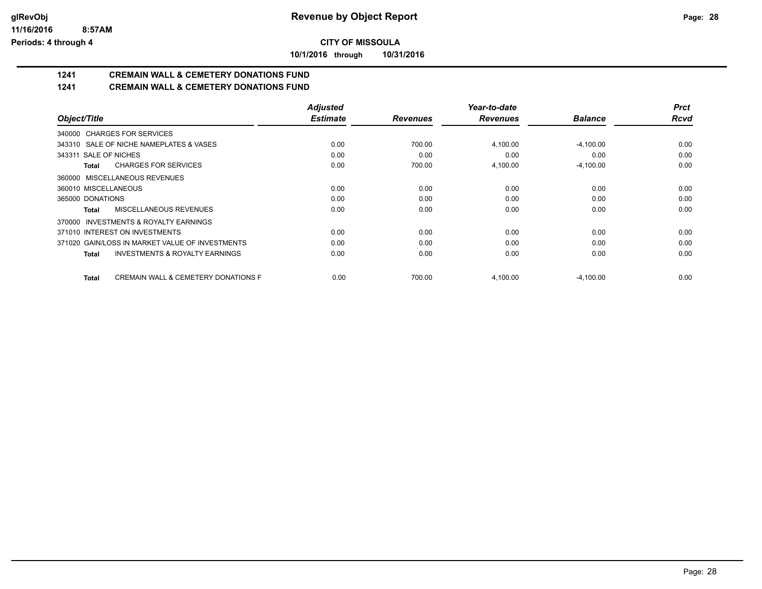**CITY OF MISSOULA**

**10/1/2016 through 10/31/2016**

# **1241 CREMAIN WALL & CEMETERY DONATIONS FUND**

# **1241 CREMAIN WALL & CEMETERY DONATIONS FUND**

|                                                           | <b>Adjusted</b> |                 | Year-to-date    |                | <b>Prct</b> |
|-----------------------------------------------------------|-----------------|-----------------|-----------------|----------------|-------------|
| Object/Title                                              | <b>Estimate</b> | <b>Revenues</b> | <b>Revenues</b> | <b>Balance</b> | <b>Rcvd</b> |
| 340000 CHARGES FOR SERVICES                               |                 |                 |                 |                |             |
| 343310 SALE OF NICHE NAMEPLATES & VASES                   | 0.00            | 700.00          | 4,100.00        | $-4,100.00$    | 0.00        |
| 343311 SALE OF NICHES                                     | 0.00            | 0.00            | 0.00            | 0.00           | 0.00        |
| <b>CHARGES FOR SERVICES</b><br>Total                      | 0.00            | 700.00          | 4,100.00        | $-4,100.00$    | 0.00        |
| 360000 MISCELLANEOUS REVENUES                             |                 |                 |                 |                |             |
| 360010 MISCELLANEOUS                                      | 0.00            | 0.00            | 0.00            | 0.00           | 0.00        |
| 365000 DONATIONS                                          | 0.00            | 0.00            | 0.00            | 0.00           | 0.00        |
| <b>MISCELLANEOUS REVENUES</b><br><b>Total</b>             | 0.00            | 0.00            | 0.00            | 0.00           | 0.00        |
| 370000 INVESTMENTS & ROYALTY EARNINGS                     |                 |                 |                 |                |             |
| 371010 INTEREST ON INVESTMENTS                            | 0.00            | 0.00            | 0.00            | 0.00           | 0.00        |
| 371020 GAIN/LOSS IN MARKET VALUE OF INVESTMENTS           | 0.00            | 0.00            | 0.00            | 0.00           | 0.00        |
| <b>INVESTMENTS &amp; ROYALTY EARNINGS</b><br><b>Total</b> | 0.00            | 0.00            | 0.00            | 0.00           | 0.00        |
| <b>CREMAIN WALL &amp; CEMETERY DONATIONS F</b><br>Total   | 0.00            | 700.00          | 4,100.00        | $-4,100.00$    | 0.00        |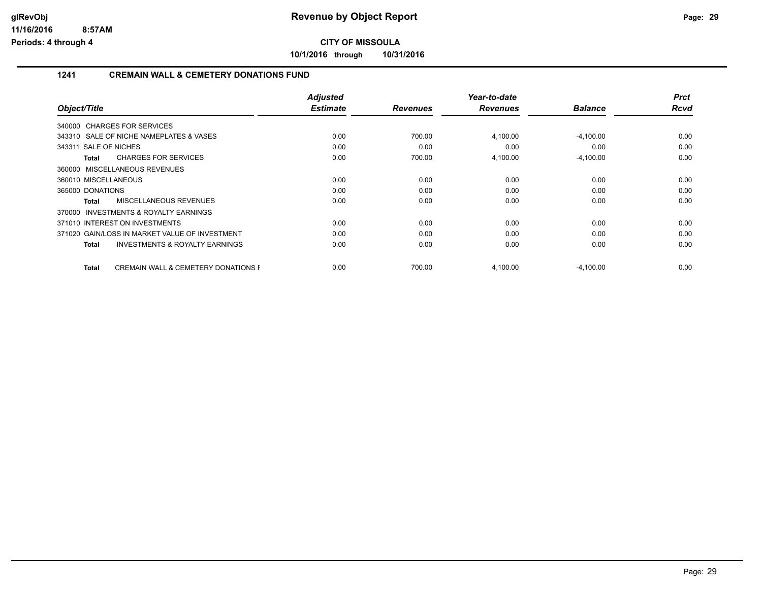**10/1/2016 through 10/31/2016**

# **1241 CREMAIN WALL & CEMETERY DONATIONS FUND**

|                                                         | <b>Adjusted</b><br><b>Estimate</b> |                 | Year-to-date    | <b>Balance</b> | <b>Prct</b> |
|---------------------------------------------------------|------------------------------------|-----------------|-----------------|----------------|-------------|
| Object/Title                                            |                                    | <b>Revenues</b> | <b>Revenues</b> |                | <b>Rcvd</b> |
| 340000 CHARGES FOR SERVICES                             |                                    |                 |                 |                |             |
| 343310 SALE OF NICHE NAMEPLATES & VASES                 | 0.00                               | 700.00          | 4,100.00        | $-4,100.00$    | 0.00        |
| 343311 SALE OF NICHES                                   | 0.00                               | 0.00            | 0.00            | 0.00           | 0.00        |
| <b>CHARGES FOR SERVICES</b><br>Total                    | 0.00                               | 700.00          | 4,100.00        | $-4,100.00$    | 0.00        |
| 360000 MISCELLANEOUS REVENUES                           |                                    |                 |                 |                |             |
| 360010 MISCELLANEOUS                                    | 0.00                               | 0.00            | 0.00            | 0.00           | 0.00        |
| 365000 DONATIONS                                        | 0.00                               | 0.00            | 0.00            | 0.00           | 0.00        |
| MISCELLANEOUS REVENUES<br>Total                         | 0.00                               | 0.00            | 0.00            | 0.00           | 0.00        |
| <b>INVESTMENTS &amp; ROYALTY EARNINGS</b><br>370000     |                                    |                 |                 |                |             |
| 371010 INTEREST ON INVESTMENTS                          | 0.00                               | 0.00            | 0.00            | 0.00           | 0.00        |
| 371020 GAIN/LOSS IN MARKET VALUE OF INVESTMENT          | 0.00                               | 0.00            | 0.00            | 0.00           | 0.00        |
| <b>INVESTMENTS &amp; ROYALTY EARNINGS</b><br>Total      | 0.00                               | 0.00            | 0.00            | 0.00           | 0.00        |
| <b>CREMAIN WALL &amp; CEMETERY DONATIONS F</b><br>Total | 0.00                               | 700.00          | 4,100.00        | $-4,100.00$    | 0.00        |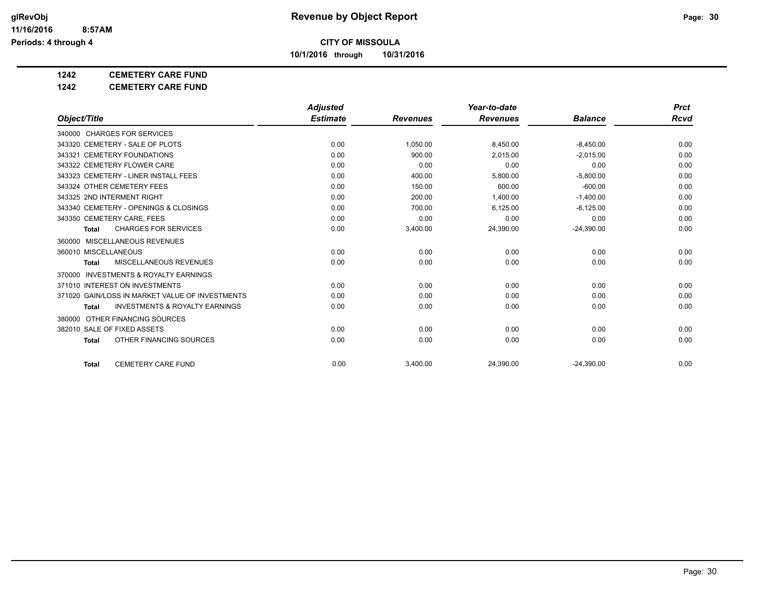**10/1/2016 through 10/31/2016**

#### **1242 CEMETERY CARE FUND**

**1242 CEMETERY CARE FUND**

|                                                           | <b>Adjusted</b> |                 | Year-to-date    |                | <b>Prct</b> |
|-----------------------------------------------------------|-----------------|-----------------|-----------------|----------------|-------------|
| Object/Title                                              | <b>Estimate</b> | <b>Revenues</b> | <b>Revenues</b> | <b>Balance</b> | Rcvd        |
| 340000 CHARGES FOR SERVICES                               |                 |                 |                 |                |             |
| 343320 CEMETERY - SALE OF PLOTS                           | 0.00            | 1,050.00        | 8,450.00        | $-8,450.00$    | 0.00        |
| 343321 CEMETERY FOUNDATIONS                               | 0.00            | 900.00          | 2.015.00        | $-2.015.00$    | 0.00        |
| 343322 CEMETERY FLOWER CARE                               | 0.00            | 0.00            | 0.00            | 0.00           | 0.00        |
| 343323 CEMETERY - LINER INSTALL FEES                      | 0.00            | 400.00          | 5,800.00        | $-5,800.00$    | 0.00        |
| 343324 OTHER CEMETERY FEES                                | 0.00            | 150.00          | 600.00          | $-600.00$      | 0.00        |
| 343325 2ND INTERMENT RIGHT                                | 0.00            | 200.00          | 1.400.00        | $-1.400.00$    | 0.00        |
| 343340 CEMETERY - OPENINGS & CLOSINGS                     | 0.00            | 700.00          | 6,125.00        | $-6,125.00$    | 0.00        |
| 343350 CEMETERY CARE, FEES                                | 0.00            | 0.00            | 0.00            | 0.00           | 0.00        |
| <b>CHARGES FOR SERVICES</b><br><b>Total</b>               | 0.00            | 3,400.00        | 24,390.00       | $-24,390.00$   | 0.00        |
| 360000 MISCELLANEOUS REVENUES                             |                 |                 |                 |                |             |
| 360010 MISCELLANEOUS                                      | 0.00            | 0.00            | 0.00            | 0.00           | 0.00        |
| <b>MISCELLANEOUS REVENUES</b><br><b>Total</b>             | 0.00            | 0.00            | 0.00            | 0.00           | 0.00        |
| INVESTMENTS & ROYALTY EARNINGS<br>370000                  |                 |                 |                 |                |             |
| 371010 INTEREST ON INVESTMENTS                            | 0.00            | 0.00            | 0.00            | 0.00           | 0.00        |
| 371020 GAIN/LOSS IN MARKET VALUE OF INVESTMENTS           | 0.00            | 0.00            | 0.00            | 0.00           | 0.00        |
| <b>INVESTMENTS &amp; ROYALTY EARNINGS</b><br><b>Total</b> | 0.00            | 0.00            | 0.00            | 0.00           | 0.00        |
| 380000 OTHER FINANCING SOURCES                            |                 |                 |                 |                |             |
| 382010 SALE OF FIXED ASSETS                               | 0.00            | 0.00            | 0.00            | 0.00           | 0.00        |
| OTHER FINANCING SOURCES<br><b>Total</b>                   | 0.00            | 0.00            | 0.00            | 0.00           | 0.00        |
| <b>CEMETERY CARE FUND</b><br><b>Total</b>                 | 0.00            | 3.400.00        | 24.390.00       | $-24.390.00$   | 0.00        |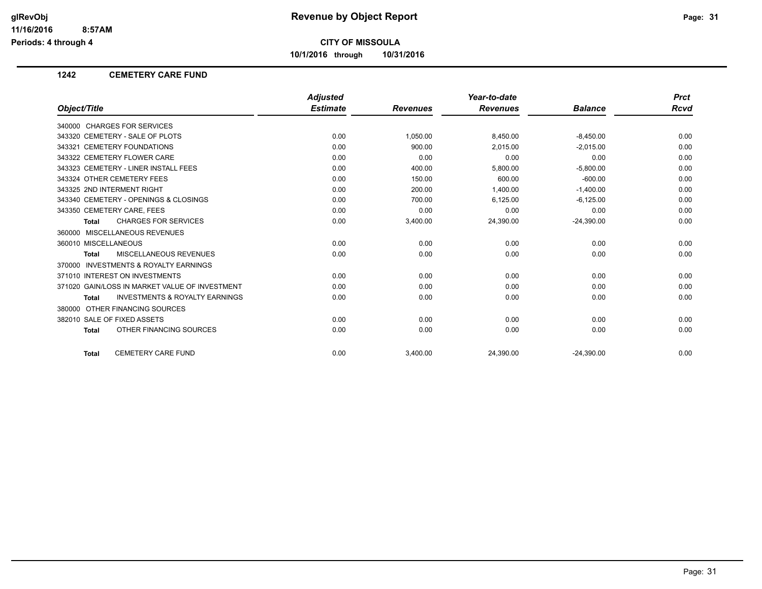**10/1/2016 through 10/31/2016**

#### **1242 CEMETERY CARE FUND**

|                                                           | <b>Adjusted</b> |                 | Year-to-date    |                | <b>Prct</b> |
|-----------------------------------------------------------|-----------------|-----------------|-----------------|----------------|-------------|
| Object/Title                                              | <b>Estimate</b> | <b>Revenues</b> | <b>Revenues</b> | <b>Balance</b> | Rcvd        |
| 340000 CHARGES FOR SERVICES                               |                 |                 |                 |                |             |
| 343320 CEMETERY - SALE OF PLOTS                           | 0.00            | 1,050.00        | 8,450.00        | $-8,450.00$    | 0.00        |
| 343321 CEMETERY FOUNDATIONS                               | 0.00            | 900.00          | 2,015.00        | $-2,015.00$    | 0.00        |
| 343322 CEMETERY FLOWER CARE                               | 0.00            | 0.00            | 0.00            | 0.00           | 0.00        |
| 343323 CEMETERY - LINER INSTALL FEES                      | 0.00            | 400.00          | 5,800.00        | $-5,800.00$    | 0.00        |
| 343324 OTHER CEMETERY FEES                                | 0.00            | 150.00          | 600.00          | $-600.00$      | 0.00        |
| 343325 2ND INTERMENT RIGHT                                | 0.00            | 200.00          | 1,400.00        | $-1,400.00$    | 0.00        |
| 343340 CEMETERY - OPENINGS & CLOSINGS                     | 0.00            | 700.00          | 6,125.00        | $-6, 125.00$   | 0.00        |
| 343350 CEMETERY CARE, FEES                                | 0.00            | 0.00            | 0.00            | 0.00           | 0.00        |
| <b>CHARGES FOR SERVICES</b><br><b>Total</b>               | 0.00            | 3,400.00        | 24,390.00       | $-24,390.00$   | 0.00        |
| 360000 MISCELLANEOUS REVENUES                             |                 |                 |                 |                |             |
| 360010 MISCELLANEOUS                                      | 0.00            | 0.00            | 0.00            | 0.00           | 0.00        |
| <b>MISCELLANEOUS REVENUES</b><br><b>Total</b>             | 0.00            | 0.00            | 0.00            | 0.00           | 0.00        |
| 370000 INVESTMENTS & ROYALTY EARNINGS                     |                 |                 |                 |                |             |
| 371010 INTEREST ON INVESTMENTS                            | 0.00            | 0.00            | 0.00            | 0.00           | 0.00        |
| 371020 GAIN/LOSS IN MARKET VALUE OF INVESTMENT            | 0.00            | 0.00            | 0.00            | 0.00           | 0.00        |
| <b>INVESTMENTS &amp; ROYALTY EARNINGS</b><br><b>Total</b> | 0.00            | 0.00            | 0.00            | 0.00           | 0.00        |
| 380000 OTHER FINANCING SOURCES                            |                 |                 |                 |                |             |
| 382010 SALE OF FIXED ASSETS                               | 0.00            | 0.00            | 0.00            | 0.00           | 0.00        |
| OTHER FINANCING SOURCES<br><b>Total</b>                   | 0.00            | 0.00            | 0.00            | 0.00           | 0.00        |
| <b>CEMETERY CARE FUND</b><br><b>Total</b>                 | 0.00            | 3,400.00        | 24,390.00       | $-24,390.00$   | 0.00        |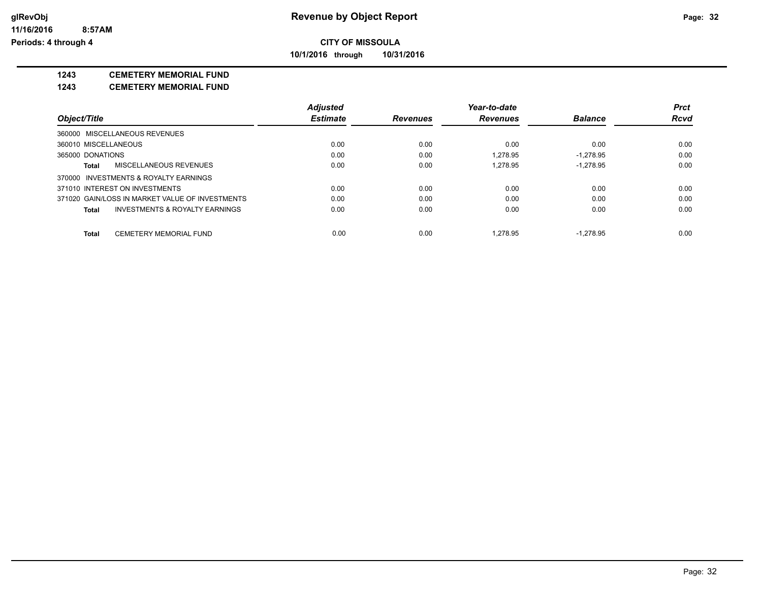**10/1/2016 through 10/31/2016**

# **1243 CEMETERY MEMORIAL FUND**

**1243 CEMETERY MEMORIAL FUND**

|                                                    | <b>Adjusted</b> |                 | Year-to-date    |                | <b>Prct</b> |
|----------------------------------------------------|-----------------|-----------------|-----------------|----------------|-------------|
| Object/Title                                       | <b>Estimate</b> | <b>Revenues</b> | <b>Revenues</b> | <b>Balance</b> | <b>Rcvd</b> |
| 360000 MISCELLANEOUS REVENUES                      |                 |                 |                 |                |             |
| 360010 MISCELLANEOUS                               | 0.00            | 0.00            | 0.00            | 0.00           | 0.00        |
| 365000 DONATIONS                                   | 0.00            | 0.00            | 1.278.95        | $-1.278.95$    | 0.00        |
| MISCELLANEOUS REVENUES<br>Total                    | 0.00            | 0.00            | 1.278.95        | $-1.278.95$    | 0.00        |
| 370000 INVESTMENTS & ROYALTY EARNINGS              |                 |                 |                 |                |             |
| 371010 INTEREST ON INVESTMENTS                     | 0.00            | 0.00            | 0.00            | 0.00           | 0.00        |
| 371020 GAIN/LOSS IN MARKET VALUE OF INVESTMENTS    | 0.00            | 0.00            | 0.00            | 0.00           | 0.00        |
| <b>INVESTMENTS &amp; ROYALTY EARNINGS</b><br>Total | 0.00            | 0.00            | 0.00            | 0.00           | 0.00        |
| <b>CEMETERY MEMORIAL FUND</b><br><b>Total</b>      | 0.00            | 0.00            | 1.278.95        | $-1.278.95$    | 0.00        |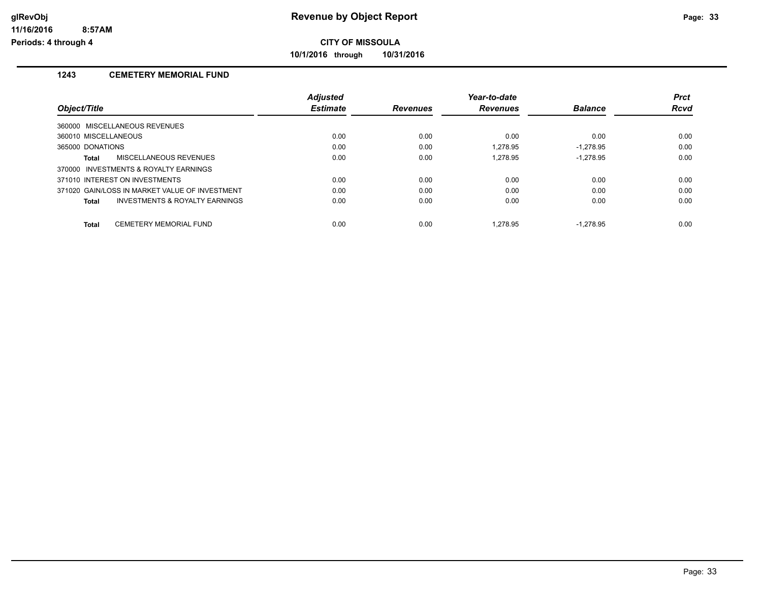**10/1/2016 through 10/31/2016**

# **1243 CEMETERY MEMORIAL FUND**

|                      |                                                | <b>Adjusted</b> |                 | Year-to-date    |                | <b>Prct</b> |
|----------------------|------------------------------------------------|-----------------|-----------------|-----------------|----------------|-------------|
| Object/Title         |                                                | <b>Estimate</b> | <b>Revenues</b> | <b>Revenues</b> | <b>Balance</b> | <b>Rcvd</b> |
|                      | 360000 MISCELLANEOUS REVENUES                  |                 |                 |                 |                |             |
| 360010 MISCELLANEOUS |                                                | 0.00            | 0.00            | 0.00            | 0.00           | 0.00        |
| 365000 DONATIONS     |                                                | 0.00            | 0.00            | 1.278.95        | $-1.278.95$    | 0.00        |
| Total                | MISCELLANEOUS REVENUES                         | 0.00            | 0.00            | 1.278.95        | $-1.278.95$    | 0.00        |
|                      | 370000 INVESTMENTS & ROYALTY EARNINGS          |                 |                 |                 |                |             |
|                      | 371010 INTEREST ON INVESTMENTS                 | 0.00            | 0.00            | 0.00            | 0.00           | 0.00        |
|                      | 371020 GAIN/LOSS IN MARKET VALUE OF INVESTMENT | 0.00            | 0.00            | 0.00            | 0.00           | 0.00        |
| <b>Total</b>         | <b>INVESTMENTS &amp; ROYALTY EARNINGS</b>      | 0.00            | 0.00            | 0.00            | 0.00           | 0.00        |
| <b>Total</b>         | CEMETERY MEMORIAL FUND                         | 0.00            | 0.00            | 1.278.95        | $-1.278.95$    | 0.00        |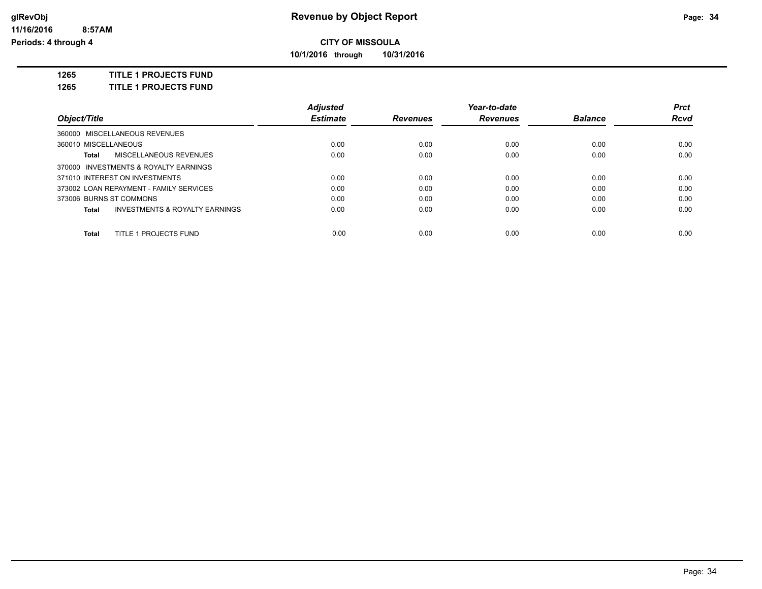**10/1/2016 through 10/31/2016**

**1265 TITLE 1 PROJECTS FUND**

**1265 TITLE 1 PROJECTS FUND**

|                                                    | <b>Adjusted</b> |                 | Year-to-date    |                | <b>Prct</b> |
|----------------------------------------------------|-----------------|-----------------|-----------------|----------------|-------------|
| Object/Title                                       | <b>Estimate</b> | <b>Revenues</b> | <b>Revenues</b> | <b>Balance</b> | <b>Rcvd</b> |
| 360000 MISCELLANEOUS REVENUES                      |                 |                 |                 |                |             |
| 360010 MISCELLANEOUS                               | 0.00            | 0.00            | 0.00            | 0.00           | 0.00        |
| MISCELLANEOUS REVENUES<br>Total                    | 0.00            | 0.00            | 0.00            | 0.00           | 0.00        |
| 370000 INVESTMENTS & ROYALTY EARNINGS              |                 |                 |                 |                |             |
| 371010 INTEREST ON INVESTMENTS                     | 0.00            | 0.00            | 0.00            | 0.00           | 0.00        |
| 373002 LOAN REPAYMENT - FAMILY SERVICES            | 0.00            | 0.00            | 0.00            | 0.00           | 0.00        |
| 373006 BURNS ST COMMONS                            | 0.00            | 0.00            | 0.00            | 0.00           | 0.00        |
| <b>INVESTMENTS &amp; ROYALTY EARNINGS</b><br>Total | 0.00            | 0.00            | 0.00            | 0.00           | 0.00        |
| TITLE 1 PROJECTS FUND<br><b>Total</b>              | 0.00            | 0.00            | 0.00            | 0.00           | 0.00        |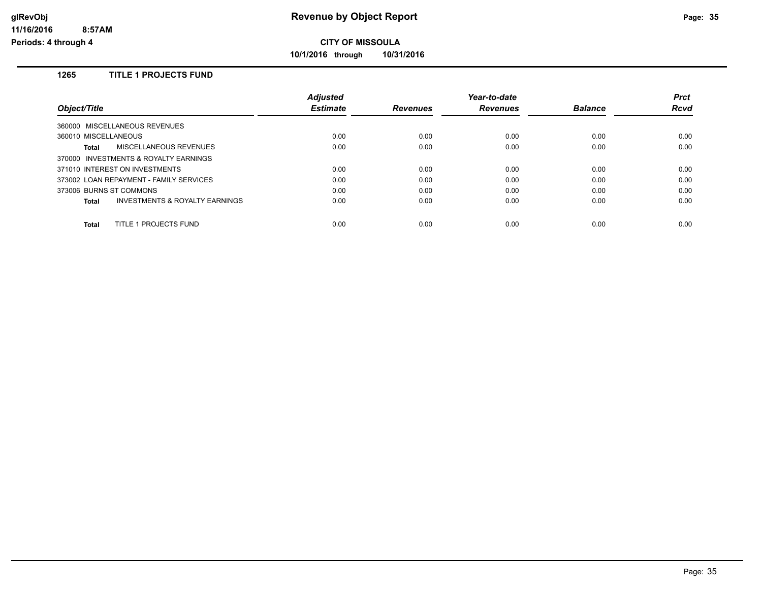**10/1/2016 through 10/31/2016**

#### **1265 TITLE 1 PROJECTS FUND**

| Object/Title                            | <b>Adjusted</b> |                 | Year-to-date    |                | <b>Prct</b> |
|-----------------------------------------|-----------------|-----------------|-----------------|----------------|-------------|
|                                         | <b>Estimate</b> | <b>Revenues</b> | <b>Revenues</b> | <b>Balance</b> | <b>Rcvd</b> |
| 360000 MISCELLANEOUS REVENUES           |                 |                 |                 |                |             |
| 360010 MISCELLANEOUS                    | 0.00            | 0.00            | 0.00            | 0.00           | 0.00        |
| MISCELLANEOUS REVENUES<br>Total         | 0.00            | 0.00            | 0.00            | 0.00           | 0.00        |
| 370000 INVESTMENTS & ROYALTY EARNINGS   |                 |                 |                 |                |             |
| 371010 INTEREST ON INVESTMENTS          | 0.00            | 0.00            | 0.00            | 0.00           | 0.00        |
| 373002 LOAN REPAYMENT - FAMILY SERVICES | 0.00            | 0.00            | 0.00            | 0.00           | 0.00        |
| 373006 BURNS ST COMMONS                 | 0.00            | 0.00            | 0.00            | 0.00           | 0.00        |
| INVESTMENTS & ROYALTY EARNINGS<br>Total | 0.00            | 0.00            | 0.00            | 0.00           | 0.00        |
| TITLE 1 PROJECTS FUND<br><b>Total</b>   | 0.00            | 0.00            | 0.00            | 0.00           | 0.00        |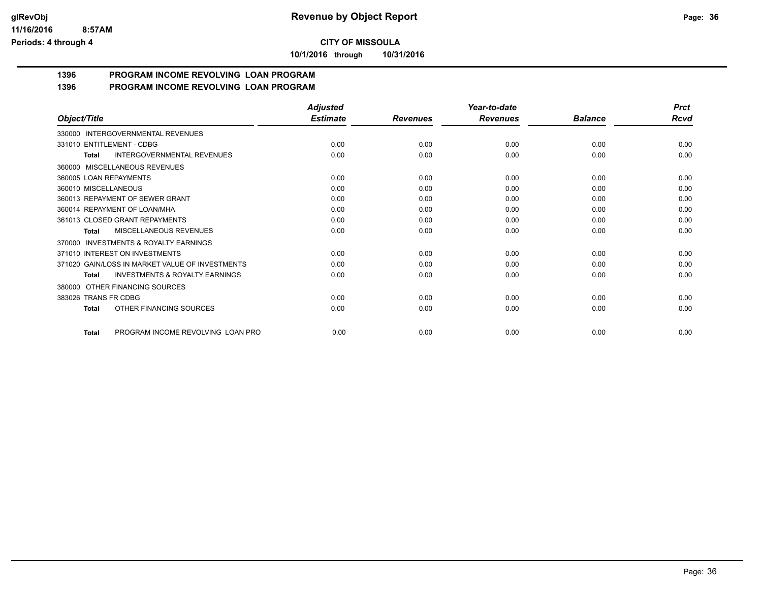**10/1/2016 through 10/31/2016**

#### **1396 PROGRAM INCOME REVOLVING LOAN PROGRAM 1396 PROGRAM INCOME REVOLVING LOAN PROGRAM**

|                                                           | <b>Adjusted</b> |                 | Year-to-date    |                | <b>Prct</b> |
|-----------------------------------------------------------|-----------------|-----------------|-----------------|----------------|-------------|
| Object/Title                                              | <b>Estimate</b> | <b>Revenues</b> | <b>Revenues</b> | <b>Balance</b> | <b>Rcvd</b> |
| <b>INTERGOVERNMENTAL REVENUES</b><br>330000               |                 |                 |                 |                |             |
| 331010 ENTITLEMENT - CDBG                                 | 0.00            | 0.00            | 0.00            | 0.00           | 0.00        |
| <b>INTERGOVERNMENTAL REVENUES</b><br>Total                | 0.00            | 0.00            | 0.00            | 0.00           | 0.00        |
| MISCELLANEOUS REVENUES<br>360000                          |                 |                 |                 |                |             |
| 360005 LOAN REPAYMENTS                                    | 0.00            | 0.00            | 0.00            | 0.00           | 0.00        |
| 360010 MISCELLANEOUS                                      | 0.00            | 0.00            | 0.00            | 0.00           | 0.00        |
| 360013 REPAYMENT OF SEWER GRANT                           | 0.00            | 0.00            | 0.00            | 0.00           | 0.00        |
| 360014 REPAYMENT OF LOAN/MHA                              | 0.00            | 0.00            | 0.00            | 0.00           | 0.00        |
| 361013 CLOSED GRANT REPAYMENTS                            | 0.00            | 0.00            | 0.00            | 0.00           | 0.00        |
| MISCELLANEOUS REVENUES<br>Total                           | 0.00            | 0.00            | 0.00            | 0.00           | 0.00        |
| <b>INVESTMENTS &amp; ROYALTY EARNINGS</b><br>370000       |                 |                 |                 |                |             |
| 371010 INTEREST ON INVESTMENTS                            | 0.00            | 0.00            | 0.00            | 0.00           | 0.00        |
| 371020 GAIN/LOSS IN MARKET VALUE OF INVESTMENTS           | 0.00            | 0.00            | 0.00            | 0.00           | 0.00        |
| <b>INVESTMENTS &amp; ROYALTY EARNINGS</b><br><b>Total</b> | 0.00            | 0.00            | 0.00            | 0.00           | 0.00        |
| OTHER FINANCING SOURCES<br>380000                         |                 |                 |                 |                |             |
| 383026 TRANS FR CDBG                                      | 0.00            | 0.00            | 0.00            | 0.00           | 0.00        |
| OTHER FINANCING SOURCES<br>Total                          | 0.00            | 0.00            | 0.00            | 0.00           | 0.00        |
| PROGRAM INCOME REVOLVING LOAN PRO<br><b>Total</b>         | 0.00            | 0.00            | 0.00            | 0.00           | 0.00        |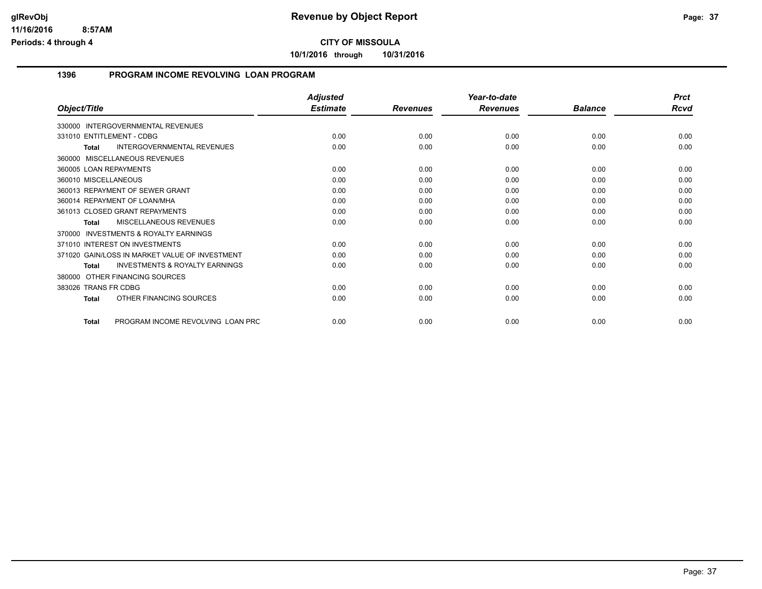**10/1/2016 through 10/31/2016**

#### **1396 PROGRAM INCOME REVOLVING LOAN PROGRAM**

|                                                           | <b>Adjusted</b> |                 | Year-to-date    |                | <b>Prct</b> |
|-----------------------------------------------------------|-----------------|-----------------|-----------------|----------------|-------------|
| Object/Title                                              | <b>Estimate</b> | <b>Revenues</b> | <b>Revenues</b> | <b>Balance</b> | <b>Rcvd</b> |
| 330000 INTERGOVERNMENTAL REVENUES                         |                 |                 |                 |                |             |
| 331010 ENTITLEMENT - CDBG                                 | 0.00            | 0.00            | 0.00            | 0.00           | 0.00        |
| <b>INTERGOVERNMENTAL REVENUES</b><br><b>Total</b>         | 0.00            | 0.00            | 0.00            | 0.00           | 0.00        |
| MISCELLANEOUS REVENUES<br>360000                          |                 |                 |                 |                |             |
| 360005 LOAN REPAYMENTS                                    | 0.00            | 0.00            | 0.00            | 0.00           | 0.00        |
| 360010 MISCELLANEOUS                                      | 0.00            | 0.00            | 0.00            | 0.00           | 0.00        |
| 360013 REPAYMENT OF SEWER GRANT                           | 0.00            | 0.00            | 0.00            | 0.00           | 0.00        |
| 360014 REPAYMENT OF LOAN/MHA                              | 0.00            | 0.00            | 0.00            | 0.00           | 0.00        |
| 361013 CLOSED GRANT REPAYMENTS                            | 0.00            | 0.00            | 0.00            | 0.00           | 0.00        |
| MISCELLANEOUS REVENUES<br>Total                           | 0.00            | 0.00            | 0.00            | 0.00           | 0.00        |
| 370000 INVESTMENTS & ROYALTY EARNINGS                     |                 |                 |                 |                |             |
| 371010 INTEREST ON INVESTMENTS                            | 0.00            | 0.00            | 0.00            | 0.00           | 0.00        |
| 371020 GAIN/LOSS IN MARKET VALUE OF INVESTMENT            | 0.00            | 0.00            | 0.00            | 0.00           | 0.00        |
| <b>INVESTMENTS &amp; ROYALTY EARNINGS</b><br><b>Total</b> | 0.00            | 0.00            | 0.00            | 0.00           | 0.00        |
| OTHER FINANCING SOURCES<br>380000                         |                 |                 |                 |                |             |
| 383026 TRANS FR CDBG                                      | 0.00            | 0.00            | 0.00            | 0.00           | 0.00        |
| OTHER FINANCING SOURCES<br><b>Total</b>                   | 0.00            | 0.00            | 0.00            | 0.00           | 0.00        |
| PROGRAM INCOME REVOLVING LOAN PRC<br><b>Total</b>         | 0.00            | 0.00            | 0.00            | 0.00           | 0.00        |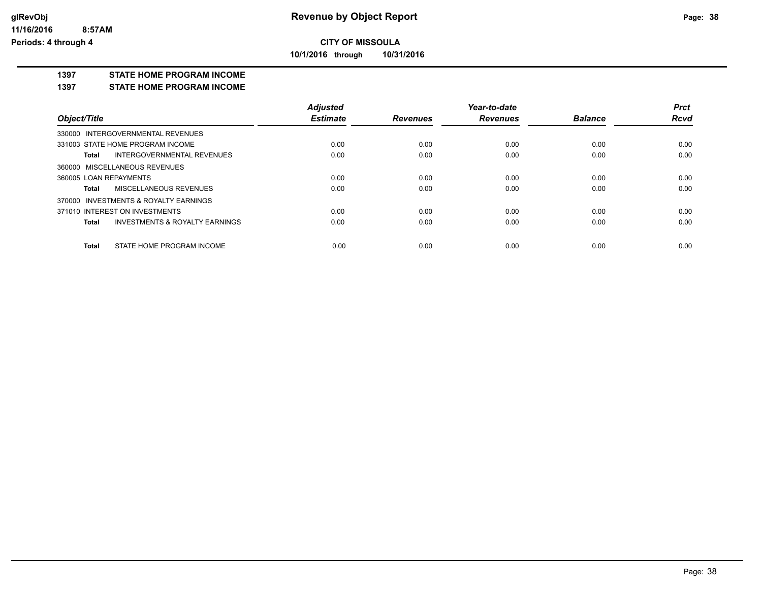**10/1/2016 through 10/31/2016**

#### **1397 STATE HOME PROGRAM INCOME**

#### **1397 STATE HOME PROGRAM INCOME**

|                                                    | <b>Adjusted</b> |                 | Year-to-date    |                | <b>Prct</b> |
|----------------------------------------------------|-----------------|-----------------|-----------------|----------------|-------------|
| Object/Title                                       | <b>Estimate</b> | <b>Revenues</b> | <b>Revenues</b> | <b>Balance</b> | <b>Rcvd</b> |
| 330000 INTERGOVERNMENTAL REVENUES                  |                 |                 |                 |                |             |
| 331003 STATE HOME PROGRAM INCOME                   | 0.00            | 0.00            | 0.00            | 0.00           | 0.00        |
| INTERGOVERNMENTAL REVENUES<br>Total                | 0.00            | 0.00            | 0.00            | 0.00           | 0.00        |
| 360000 MISCELLANEOUS REVENUES                      |                 |                 |                 |                |             |
| 360005 LOAN REPAYMENTS                             | 0.00            | 0.00            | 0.00            | 0.00           | 0.00        |
| MISCELLANEOUS REVENUES<br>Total                    | 0.00            | 0.00            | 0.00            | 0.00           | 0.00        |
| 370000 INVESTMENTS & ROYALTY EARNINGS              |                 |                 |                 |                |             |
| 371010 INTEREST ON INVESTMENTS                     | 0.00            | 0.00            | 0.00            | 0.00           | 0.00        |
| <b>INVESTMENTS &amp; ROYALTY EARNINGS</b><br>Total | 0.00            | 0.00            | 0.00            | 0.00           | 0.00        |
|                                                    |                 |                 |                 |                |             |
| STATE HOME PROGRAM INCOME<br>Total                 | 0.00            | 0.00            | 0.00            | 0.00           | 0.00        |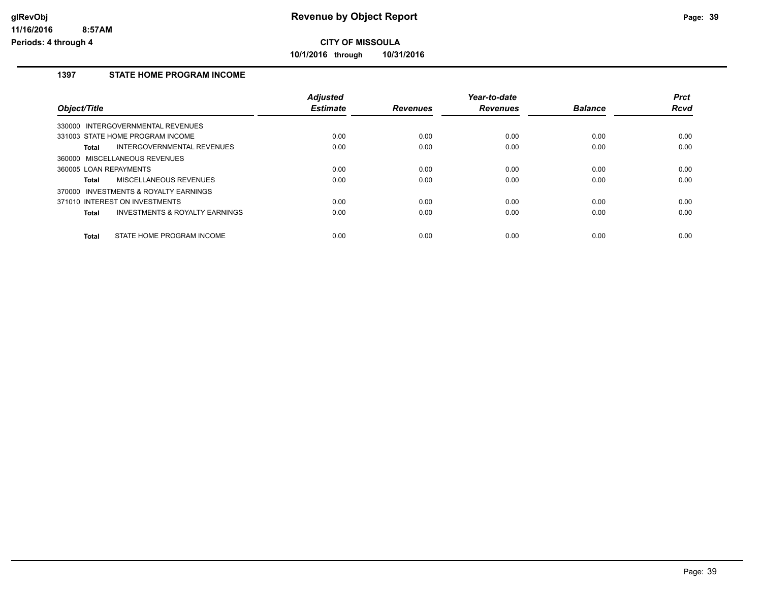**10/1/2016 through 10/31/2016**

#### **1397 STATE HOME PROGRAM INCOME**

| Object/Title                          |                                           | <b>Adjusted</b><br><b>Estimate</b> | <b>Revenues</b> | Year-to-date<br><b>Revenues</b> | <b>Balance</b> | <b>Prct</b><br>Rcvd |
|---------------------------------------|-------------------------------------------|------------------------------------|-----------------|---------------------------------|----------------|---------------------|
| 330000 INTERGOVERNMENTAL REVENUES     |                                           |                                    |                 |                                 |                |                     |
| 331003 STATE HOME PROGRAM INCOME      |                                           | 0.00                               | 0.00            | 0.00                            | 0.00           | 0.00                |
| Total                                 | INTERGOVERNMENTAL REVENUES                | 0.00                               | 0.00            | 0.00                            | 0.00           | 0.00                |
| 360000 MISCELLANEOUS REVENUES         |                                           |                                    |                 |                                 |                |                     |
| 360005 LOAN REPAYMENTS                |                                           | 0.00                               | 0.00            | 0.00                            | 0.00           | 0.00                |
| Total                                 | <b>MISCELLANEOUS REVENUES</b>             | 0.00                               | 0.00            | 0.00                            | 0.00           | 0.00                |
| 370000 INVESTMENTS & ROYALTY EARNINGS |                                           |                                    |                 |                                 |                |                     |
| 371010 INTEREST ON INVESTMENTS        |                                           | 0.00                               | 0.00            | 0.00                            | 0.00           | 0.00                |
| <b>Total</b>                          | <b>INVESTMENTS &amp; ROYALTY EARNINGS</b> | 0.00                               | 0.00            | 0.00                            | 0.00           | 0.00                |
| <b>Total</b>                          | STATE HOME PROGRAM INCOME                 | 0.00                               | 0.00            | 0.00                            | 0.00           | 0.00                |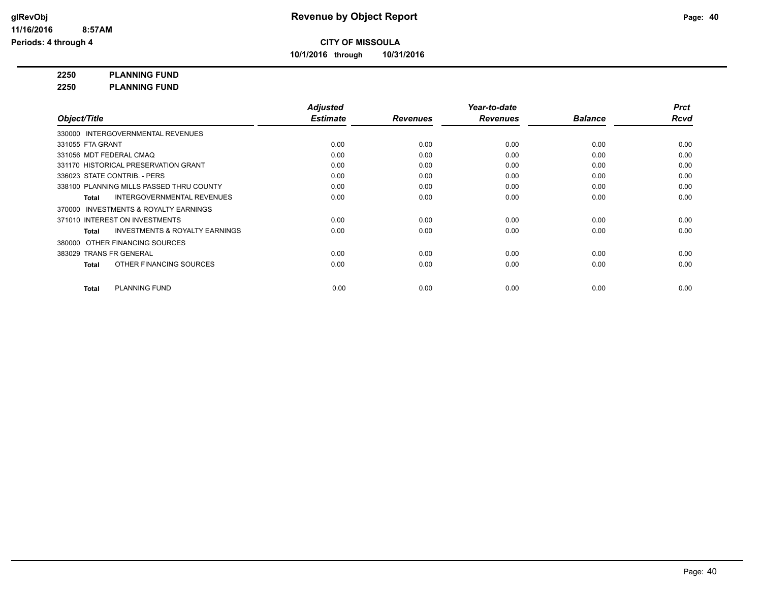**10/1/2016 through 10/31/2016**

#### **2250 PLANNING FUND**

**2250 PLANNING FUND**

|                                                           | <b>Adjusted</b> |                 | Year-to-date    |                | <b>Prct</b> |
|-----------------------------------------------------------|-----------------|-----------------|-----------------|----------------|-------------|
| Object/Title                                              | <b>Estimate</b> | <b>Revenues</b> | <b>Revenues</b> | <b>Balance</b> | <b>Rcvd</b> |
| 330000 INTERGOVERNMENTAL REVENUES                         |                 |                 |                 |                |             |
| 331055 FTA GRANT                                          | 0.00            | 0.00            | 0.00            | 0.00           | 0.00        |
| 331056 MDT FEDERAL CMAQ                                   | 0.00            | 0.00            | 0.00            | 0.00           | 0.00        |
| 331170 HISTORICAL PRESERVATION GRANT                      | 0.00            | 0.00            | 0.00            | 0.00           | 0.00        |
| 336023 STATE CONTRIB. - PERS                              | 0.00            | 0.00            | 0.00            | 0.00           | 0.00        |
| 338100 PLANNING MILLS PASSED THRU COUNTY                  | 0.00            | 0.00            | 0.00            | 0.00           | 0.00        |
| <b>INTERGOVERNMENTAL REVENUES</b><br><b>Total</b>         | 0.00            | 0.00            | 0.00            | 0.00           | 0.00        |
| 370000 INVESTMENTS & ROYALTY EARNINGS                     |                 |                 |                 |                |             |
| 371010 INTEREST ON INVESTMENTS                            | 0.00            | 0.00            | 0.00            | 0.00           | 0.00        |
| <b>INVESTMENTS &amp; ROYALTY EARNINGS</b><br><b>Total</b> | 0.00            | 0.00            | 0.00            | 0.00           | 0.00        |
| OTHER FINANCING SOURCES<br>380000                         |                 |                 |                 |                |             |
| 383029 TRANS FR GENERAL                                   | 0.00            | 0.00            | 0.00            | 0.00           | 0.00        |
| OTHER FINANCING SOURCES<br><b>Total</b>                   | 0.00            | 0.00            | 0.00            | 0.00           | 0.00        |
|                                                           |                 |                 |                 |                |             |
| <b>PLANNING FUND</b><br><b>Total</b>                      | 0.00            | 0.00            | 0.00            | 0.00           | 0.00        |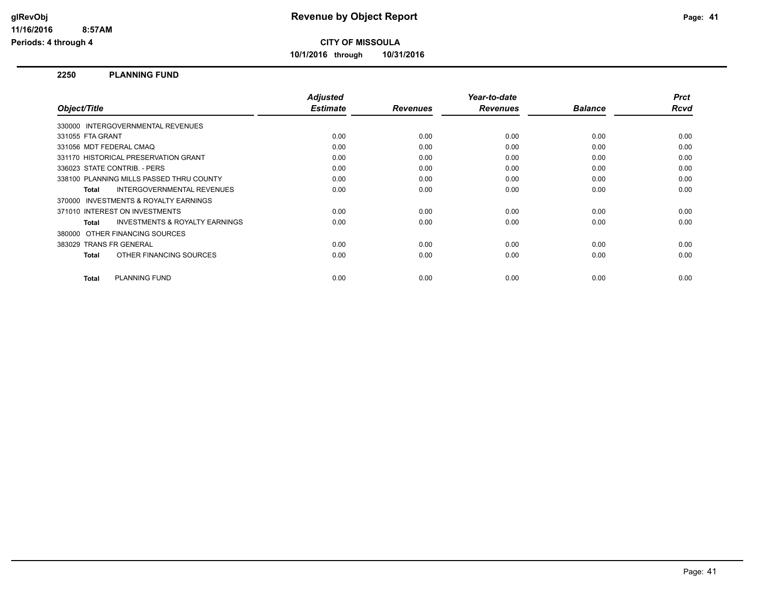**10/1/2016 through 10/31/2016**

#### **2250 PLANNING FUND**

| Object/Title                                              | <b>Adjusted</b><br><b>Estimate</b> | <b>Revenues</b> | Year-to-date<br><b>Revenues</b> | <b>Balance</b> | <b>Prct</b><br><b>Rcvd</b> |
|-----------------------------------------------------------|------------------------------------|-----------------|---------------------------------|----------------|----------------------------|
| 330000 INTERGOVERNMENTAL REVENUES                         |                                    |                 |                                 |                |                            |
| 331055 FTA GRANT                                          | 0.00                               | 0.00            | 0.00                            | 0.00           | 0.00                       |
| 331056 MDT FEDERAL CMAQ                                   | 0.00                               | 0.00            | 0.00                            | 0.00           | 0.00                       |
| 331170 HISTORICAL PRESERVATION GRANT                      | 0.00                               | 0.00            | 0.00                            | 0.00           | 0.00                       |
| 336023 STATE CONTRIB. - PERS                              | 0.00                               | 0.00            | 0.00                            | 0.00           | 0.00                       |
| 338100 PLANNING MILLS PASSED THRU COUNTY                  | 0.00                               | 0.00            | 0.00                            | 0.00           | 0.00                       |
| INTERGOVERNMENTAL REVENUES<br><b>Total</b>                | 0.00                               | 0.00            | 0.00                            | 0.00           | 0.00                       |
| 370000 INVESTMENTS & ROYALTY EARNINGS                     |                                    |                 |                                 |                |                            |
| 371010 INTEREST ON INVESTMENTS                            | 0.00                               | 0.00            | 0.00                            | 0.00           | 0.00                       |
| <b>INVESTMENTS &amp; ROYALTY EARNINGS</b><br><b>Total</b> | 0.00                               | 0.00            | 0.00                            | 0.00           | 0.00                       |
| 380000 OTHER FINANCING SOURCES                            |                                    |                 |                                 |                |                            |
| 383029 TRANS FR GENERAL                                   | 0.00                               | 0.00            | 0.00                            | 0.00           | 0.00                       |
| OTHER FINANCING SOURCES<br><b>Total</b>                   | 0.00                               | 0.00            | 0.00                            | 0.00           | 0.00                       |
| <b>PLANNING FUND</b><br><b>Total</b>                      | 0.00                               | 0.00            | 0.00                            | 0.00           | 0.00                       |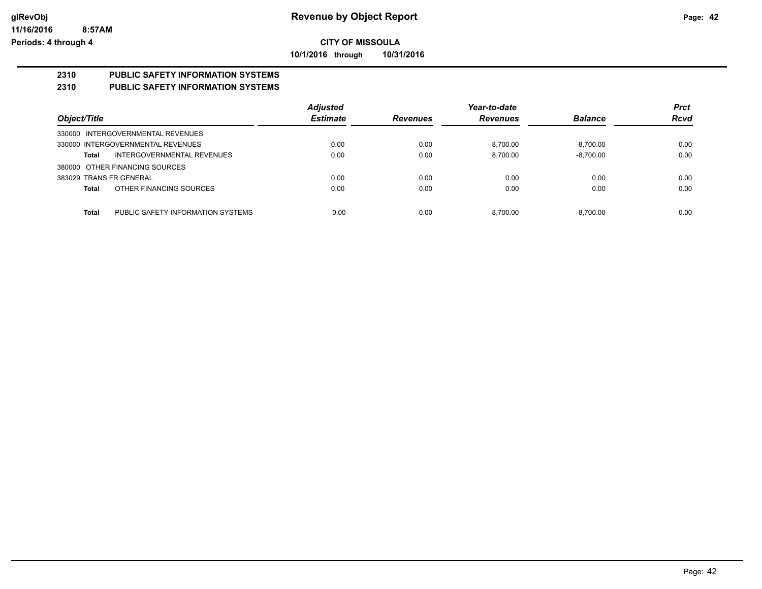**10/1/2016 through 10/31/2016**

#### **2310 PUBLIC SAFETY INFORMATION SYSTEMS 2310 PUBLIC SAFETY INFORMATION SYSTEMS**

|                                            | <b>Adjusted</b> |                 | Year-to-date    |                | <b>Prct</b> |
|--------------------------------------------|-----------------|-----------------|-----------------|----------------|-------------|
| Object/Title                               | <b>Estimate</b> | <b>Revenues</b> | <b>Revenues</b> | <b>Balance</b> | Rcvd        |
| 330000 INTERGOVERNMENTAL REVENUES          |                 |                 |                 |                |             |
| 330000 INTERGOVERNMENTAL REVENUES          | 0.00            | 0.00            | 8.700.00        | -8.700.00      | 0.00        |
| INTERGOVERNMENTAL REVENUES<br>Total        | 0.00            | 0.00            | 8.700.00        | $-8.700.00$    | 0.00        |
| 380000 OTHER FINANCING SOURCES             |                 |                 |                 |                |             |
| 383029 TRANS FR GENERAL                    | 0.00            | 0.00            | 0.00            | 0.00           | 0.00        |
| OTHER FINANCING SOURCES<br>Total           | 0.00            | 0.00            | 0.00            | 0.00           | 0.00        |
|                                            |                 |                 |                 |                |             |
| PUBLIC SAFETY INFORMATION SYSTEMS<br>Total | 0.00            | 0.00            | 8.700.00        | -8.700.00      | 0.00        |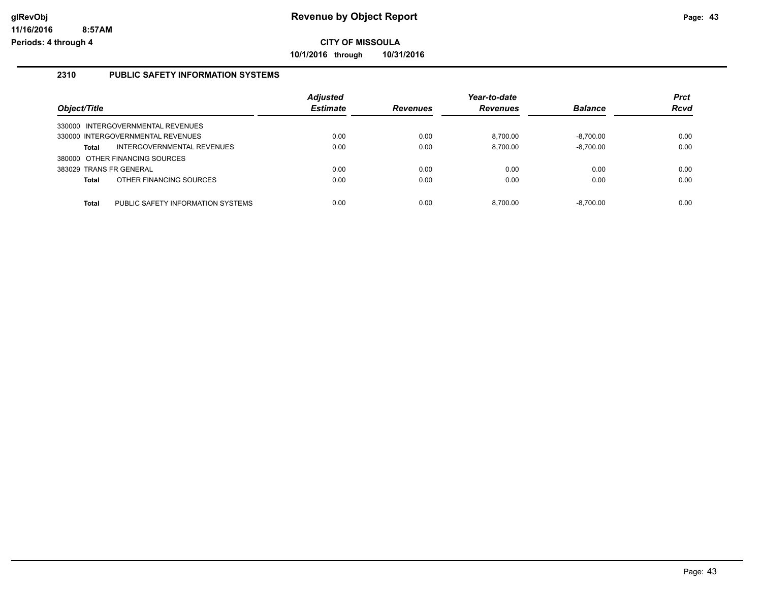**10/1/2016 through 10/31/2016**

#### **2310 PUBLIC SAFETY INFORMATION SYSTEMS**

| Object/Title                                      | <b>Adjusted</b><br><b>Estimate</b> | <b>Revenues</b> | Year-to-date<br><b>Revenues</b> | <b>Balance</b> | <b>Prct</b><br><b>Rcvd</b> |
|---------------------------------------------------|------------------------------------|-----------------|---------------------------------|----------------|----------------------------|
| 330000 INTERGOVERNMENTAL REVENUES                 |                                    |                 |                                 |                |                            |
| 330000 INTERGOVERNMENTAL REVENUES                 | 0.00                               | 0.00            | 8.700.00                        | $-8.700.00$    | 0.00                       |
| INTERGOVERNMENTAL REVENUES<br>Total               | 0.00                               | 0.00            | 8.700.00                        | $-8.700.00$    | 0.00                       |
| 380000 OTHER FINANCING SOURCES                    |                                    |                 |                                 |                |                            |
| 383029 TRANS FR GENERAL                           | 0.00                               | 0.00            | 0.00                            | 0.00           | 0.00                       |
| OTHER FINANCING SOURCES<br><b>Total</b>           | 0.00                               | 0.00            | 0.00                            | 0.00           | 0.00                       |
|                                                   |                                    |                 |                                 |                |                            |
| PUBLIC SAFETY INFORMATION SYSTEMS<br><b>Total</b> | 0.00                               | 0.00            | 8.700.00                        | $-8.700.00$    | 0.00                       |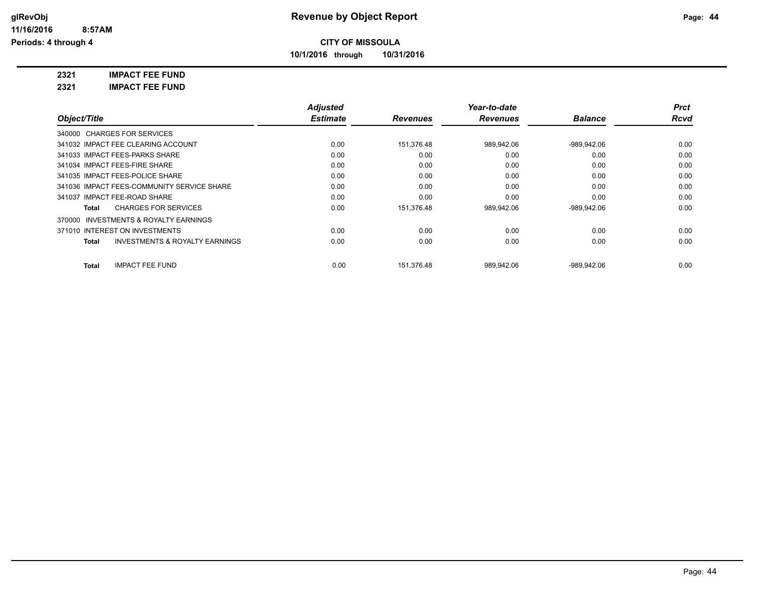**10/1/2016 through 10/31/2016**

**2321 IMPACT FEE FUND**

**2321 IMPACT FEE FUND**

|                                                           | <b>Adjusted</b> |                 | Year-to-date    |                | <b>Prct</b> |
|-----------------------------------------------------------|-----------------|-----------------|-----------------|----------------|-------------|
| Object/Title                                              | <b>Estimate</b> | <b>Revenues</b> | <b>Revenues</b> | <b>Balance</b> | Rcvd        |
| 340000 CHARGES FOR SERVICES                               |                 |                 |                 |                |             |
| 341032 IMPACT FEE CLEARING ACCOUNT                        | 0.00            | 151.376.48      | 989,942.06      | -989.942.06    | 0.00        |
| 341033 IMPACT FEES-PARKS SHARE                            | 0.00            | 0.00            | 0.00            | 0.00           | 0.00        |
| 341034 IMPACT FEES-FIRE SHARE                             | 0.00            | 0.00            | 0.00            | 0.00           | 0.00        |
| 341035 IMPACT FEES-POLICE SHARE                           | 0.00            | 0.00            | 0.00            | 0.00           | 0.00        |
| 341036 IMPACT FEES-COMMUNITY SERVICE SHARE                | 0.00            | 0.00            | 0.00            | 0.00           | 0.00        |
| 341037 IMPACT FEE-ROAD SHARE                              | 0.00            | 0.00            | 0.00            | 0.00           | 0.00        |
| <b>CHARGES FOR SERVICES</b><br>Total                      | 0.00            | 151,376.48      | 989,942.06      | $-989,942.06$  | 0.00        |
| 370000 INVESTMENTS & ROYALTY EARNINGS                     |                 |                 |                 |                |             |
| 371010 INTEREST ON INVESTMENTS                            | 0.00            | 0.00            | 0.00            | 0.00           | 0.00        |
| <b>INVESTMENTS &amp; ROYALTY EARNINGS</b><br><b>Total</b> | 0.00            | 0.00            | 0.00            | 0.00           | 0.00        |
| <b>IMPACT FEE FUND</b><br>Total                           | 0.00            | 151.376.48      | 989.942.06      | $-989.942.06$  | 0.00        |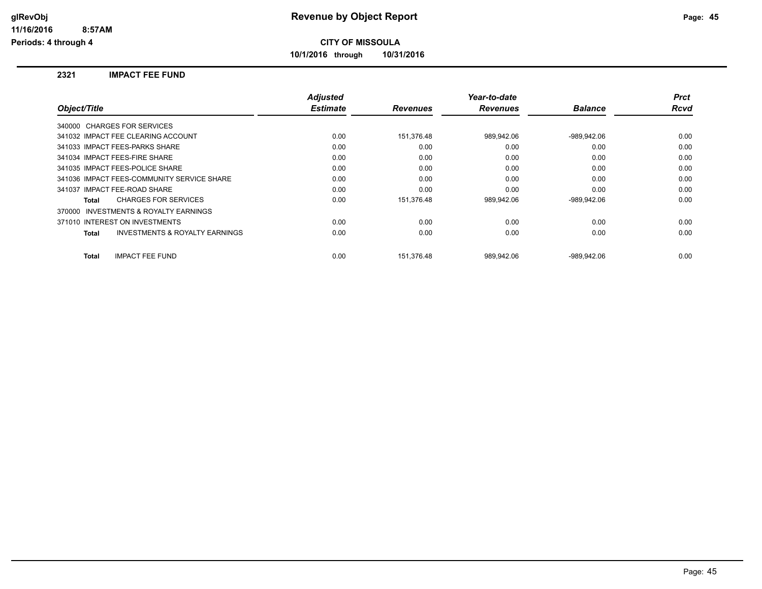**10/1/2016 through 10/31/2016**

#### **2321 IMPACT FEE FUND**

| Object/Title                                       | <b>Adjusted</b><br><b>Estimate</b> | <b>Revenues</b> | Year-to-date<br><b>Revenues</b> | <b>Balance</b> | <b>Prct</b><br><b>Rcvd</b> |
|----------------------------------------------------|------------------------------------|-----------------|---------------------------------|----------------|----------------------------|
|                                                    |                                    |                 |                                 |                |                            |
| 340000 CHARGES FOR SERVICES                        |                                    |                 |                                 |                |                            |
| 341032 IMPACT FEE CLEARING ACCOUNT                 | 0.00                               | 151,376.48      | 989,942.06                      | -989.942.06    | 0.00                       |
| 341033 IMPACT FEES-PARKS SHARE                     | 0.00                               | 0.00            | 0.00                            | 0.00           | 0.00                       |
| 341034 IMPACT FEES-FIRE SHARE                      | 0.00                               | 0.00            | 0.00                            | 0.00           | 0.00                       |
| 341035 IMPACT FEES-POLICE SHARE                    | 0.00                               | 0.00            | 0.00                            | 0.00           | 0.00                       |
| 341036 IMPACT FEES-COMMUNITY SERVICE SHARE         | 0.00                               | 0.00            | 0.00                            | 0.00           | 0.00                       |
| 341037 IMPACT FEE-ROAD SHARE                       | 0.00                               | 0.00            | 0.00                            | 0.00           | 0.00                       |
| <b>CHARGES FOR SERVICES</b><br>Total               | 0.00                               | 151.376.48      | 989.942.06                      | -989.942.06    | 0.00                       |
| INVESTMENTS & ROYALTY EARNINGS<br>370000           |                                    |                 |                                 |                |                            |
| 371010 INTEREST ON INVESTMENTS                     | 0.00                               | 0.00            | 0.00                            | 0.00           | 0.00                       |
| <b>INVESTMENTS &amp; ROYALTY EARNINGS</b><br>Total | 0.00                               | 0.00            | 0.00                            | 0.00           | 0.00                       |
| <b>IMPACT FEE FUND</b><br>Total                    | 0.00                               | 151,376.48      | 989.942.06                      | $-989,942.06$  | 0.00                       |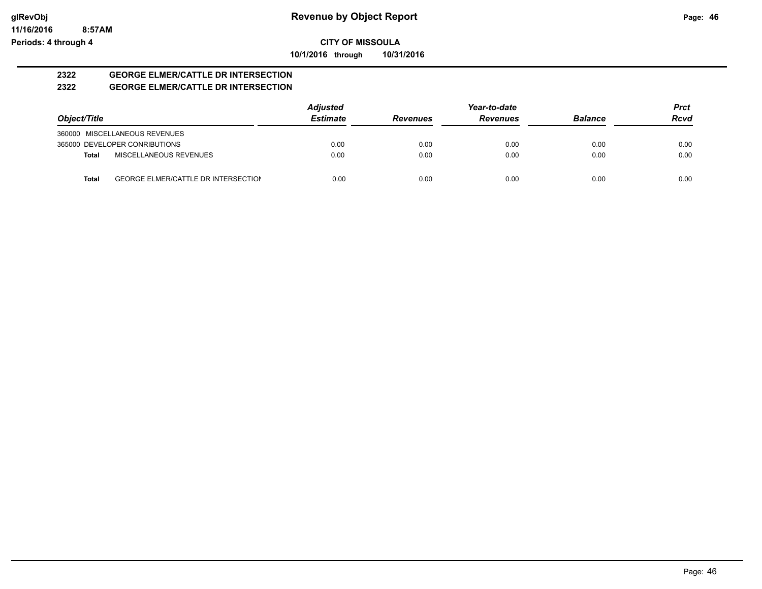#### **11/16/2016 8:57AM Periods: 4 through 4**

**CITY OF MISSOULA**

**10/1/2016 through 10/31/2016**

#### **2322 GEORGE ELMER/CATTLE DR INTERSECTION 2322 GEORGE ELMER/CATTLE DR INTERSECTION**

|              |                                            | <b>Adjusted</b> |                 | Year-to-date    |                | <b>Prct</b> |
|--------------|--------------------------------------------|-----------------|-----------------|-----------------|----------------|-------------|
| Object/Title |                                            | <b>Estimate</b> | <b>Revenues</b> | <b>Revenues</b> | <b>Balance</b> | <b>Rcvd</b> |
|              | 360000 MISCELLANEOUS REVENUES              |                 |                 |                 |                |             |
|              | 365000 DEVELOPER CONRIBUTIONS              | 0.00            | 0.00            | 0.00            | 0.00           | 0.00        |
| Total        | <b>MISCELLANEOUS REVENUES</b>              | 0.00            | 0.00            | 0.00            | 0.00           | 0.00        |
| <b>Total</b> | <b>GEORGE ELMER/CATTLE DR INTERSECTION</b> | 0.00            | 0.00            | 0.00            | 0.00           | 0.00        |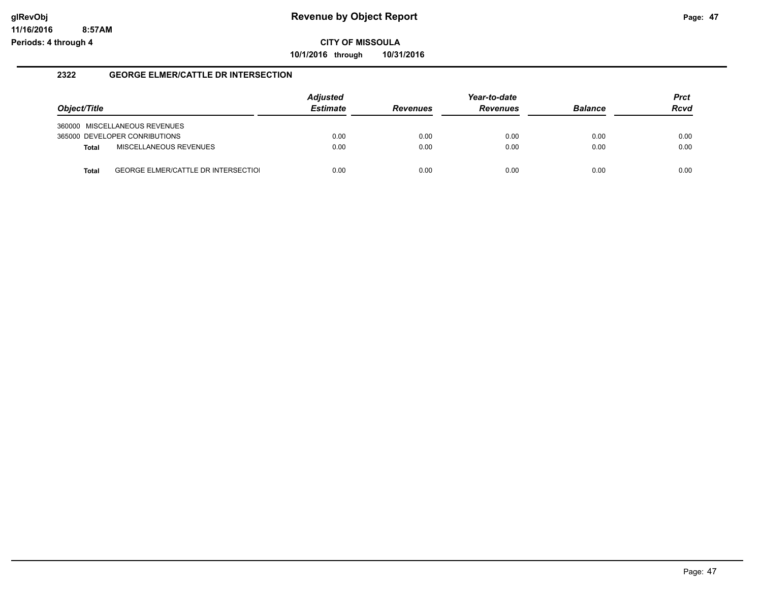**10/1/2016 through 10/31/2016**

#### **2322 GEORGE ELMER/CATTLE DR INTERSECTION**

| Object/Title |                                            | <b>Adjusted</b><br><b>Estimate</b> | <b>Revenues</b> | Year-to-date<br><b>Revenues</b> | <b>Balance</b> | <b>Prct</b><br><b>Rcvd</b> |
|--------------|--------------------------------------------|------------------------------------|-----------------|---------------------------------|----------------|----------------------------|
|              | 360000 MISCELLANEOUS REVENUES              |                                    |                 |                                 |                |                            |
|              | 365000 DEVELOPER CONRIBUTIONS              | 0.00                               | 0.00            | 0.00                            | 0.00           | 0.00                       |
| <b>Total</b> | MISCELLANEOUS REVENUES                     | 0.00                               | 0.00            | 0.00                            | 0.00           | 0.00                       |
| <b>Total</b> | <b>GEORGE ELMER/CATTLE DR INTERSECTIOL</b> | 0.00                               | 0.00            | 0.00                            | 0.00           | 0.00                       |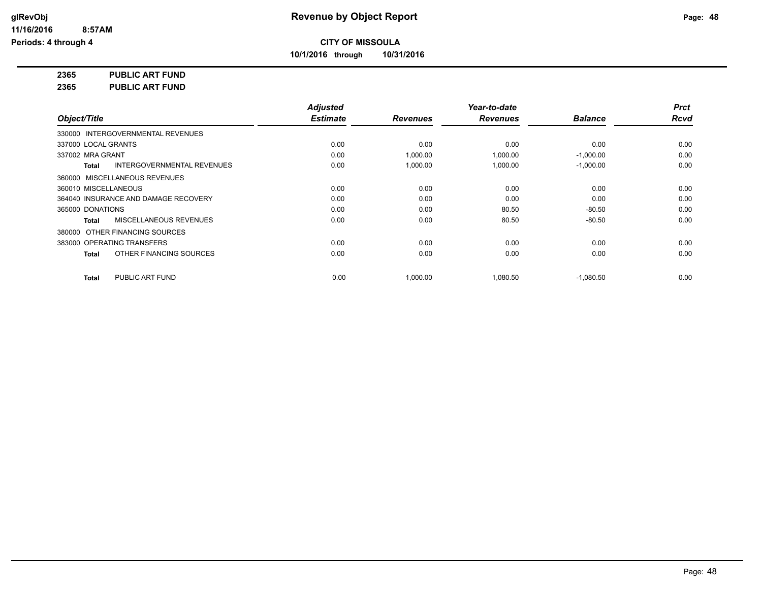**10/1/2016 through 10/31/2016**

**2365 PUBLIC ART FUND**

**2365 PUBLIC ART FUND**

|                                      | <b>Adjusted</b> |                 | Year-to-date    |                | <b>Prct</b> |
|--------------------------------------|-----------------|-----------------|-----------------|----------------|-------------|
| Object/Title                         | <b>Estimate</b> | <b>Revenues</b> | <b>Revenues</b> | <b>Balance</b> | <b>Rcvd</b> |
| 330000 INTERGOVERNMENTAL REVENUES    |                 |                 |                 |                |             |
| 337000 LOCAL GRANTS                  | 0.00            | 0.00            | 0.00            | 0.00           | 0.00        |
| 337002 MRA GRANT                     | 0.00            | 1,000.00        | 1,000.00        | $-1,000.00$    | 0.00        |
| INTERGOVERNMENTAL REVENUES<br>Total  | 0.00            | 1,000.00        | 1,000.00        | $-1,000.00$    | 0.00        |
| 360000 MISCELLANEOUS REVENUES        |                 |                 |                 |                |             |
| 360010 MISCELLANEOUS                 | 0.00            | 0.00            | 0.00            | 0.00           | 0.00        |
| 364040 INSURANCE AND DAMAGE RECOVERY | 0.00            | 0.00            | 0.00            | 0.00           | 0.00        |
| 365000 DONATIONS                     | 0.00            | 0.00            | 80.50           | $-80.50$       | 0.00        |
| MISCELLANEOUS REVENUES<br>Total      | 0.00            | 0.00            | 80.50           | $-80.50$       | 0.00        |
| OTHER FINANCING SOURCES<br>380000    |                 |                 |                 |                |             |
| 383000 OPERATING TRANSFERS           | 0.00            | 0.00            | 0.00            | 0.00           | 0.00        |
| OTHER FINANCING SOURCES<br>Total     | 0.00            | 0.00            | 0.00            | 0.00           | 0.00        |
| PUBLIC ART FUND<br>Total             | 0.00            | 1,000.00        | 1,080.50        | $-1,080.50$    | 0.00        |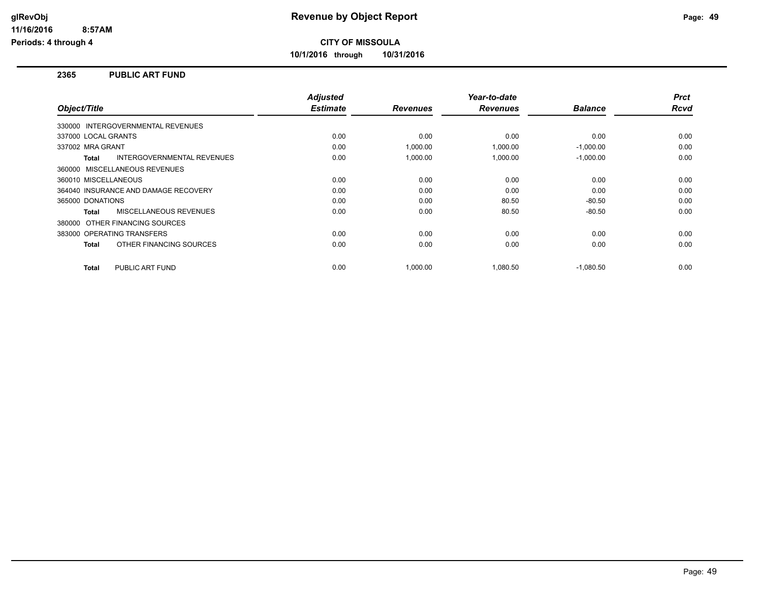**Periods: 4 through 4**

**CITY OF MISSOULA**

**10/1/2016 through 10/31/2016**

#### **2365 PUBLIC ART FUND**

| Object/Title                               | <b>Adjusted</b><br><b>Estimate</b> | <b>Revenues</b> | Year-to-date<br><b>Revenues</b> | <b>Balance</b> | <b>Prct</b><br><b>Rcvd</b> |
|--------------------------------------------|------------------------------------|-----------------|---------------------------------|----------------|----------------------------|
| 330000 INTERGOVERNMENTAL REVENUES          |                                    |                 |                                 |                |                            |
| 337000 LOCAL GRANTS                        | 0.00                               | 0.00            | 0.00                            | 0.00           | 0.00                       |
|                                            |                                    |                 |                                 |                |                            |
| 337002 MRA GRANT                           | 0.00                               | 1,000.00        | 1,000.00                        | $-1,000.00$    | 0.00                       |
| <b>INTERGOVERNMENTAL REVENUES</b><br>Total | 0.00                               | 1,000.00        | 1,000.00                        | $-1,000.00$    | 0.00                       |
| 360000 MISCELLANEOUS REVENUES              |                                    |                 |                                 |                |                            |
| 360010 MISCELLANEOUS                       | 0.00                               | 0.00            | 0.00                            | 0.00           | 0.00                       |
| 364040 INSURANCE AND DAMAGE RECOVERY       | 0.00                               | 0.00            | 0.00                            | 0.00           | 0.00                       |
| 365000 DONATIONS                           | 0.00                               | 0.00            | 80.50                           | $-80.50$       | 0.00                       |
| MISCELLANEOUS REVENUES<br>Total            | 0.00                               | 0.00            | 80.50                           | $-80.50$       | 0.00                       |
| 380000 OTHER FINANCING SOURCES             |                                    |                 |                                 |                |                            |
| 383000 OPERATING TRANSFERS                 | 0.00                               | 0.00            | 0.00                            | 0.00           | 0.00                       |
| OTHER FINANCING SOURCES<br>Total           | 0.00                               | 0.00            | 0.00                            | 0.00           | 0.00                       |
| PUBLIC ART FUND<br>Total                   | 0.00                               | 1,000.00        | 1,080.50                        | $-1,080.50$    | 0.00                       |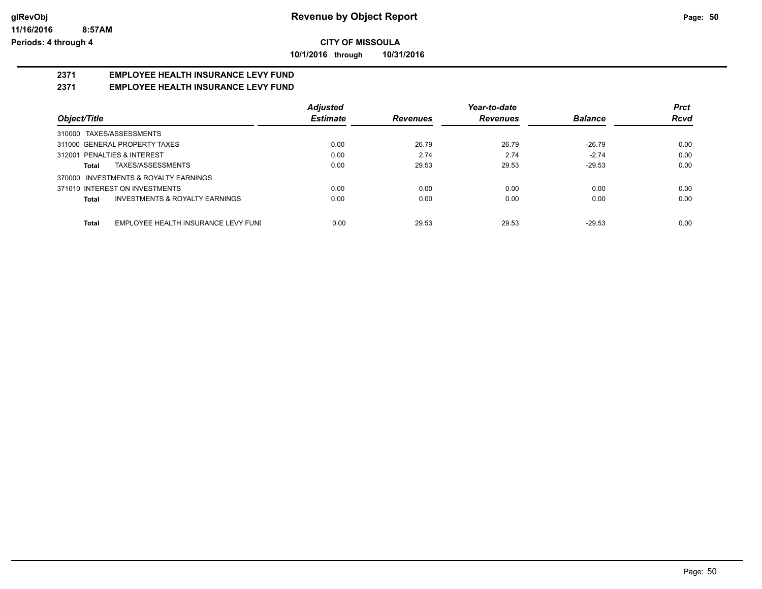#### **11/16/2016 8:57AM Periods: 4 through 4**

**CITY OF MISSOULA**

**10/1/2016 through 10/31/2016**

# **2371 EMPLOYEE HEALTH INSURANCE LEVY FUND**

### **2371 EMPLOYEE HEALTH INSURANCE LEVY FUND**

|                                              | <b>Adjusted</b> |                 | Year-to-date    |                | <b>Prct</b> |
|----------------------------------------------|-----------------|-----------------|-----------------|----------------|-------------|
| Object/Title                                 | <b>Estimate</b> | <b>Revenues</b> | <b>Revenues</b> | <b>Balance</b> | <b>Rcvd</b> |
| 310000 TAXES/ASSESSMENTS                     |                 |                 |                 |                |             |
| 311000 GENERAL PROPERTY TAXES                | 0.00            | 26.79           | 26.79           | $-26.79$       | 0.00        |
| 312001 PENALTIES & INTEREST                  | 0.00            | 2.74            | 2.74            | $-2.74$        | 0.00        |
| TAXES/ASSESSMENTS<br>Total                   | 0.00            | 29.53           | 29.53           | $-29.53$       | 0.00        |
| 370000 INVESTMENTS & ROYALTY EARNINGS        |                 |                 |                 |                |             |
| 371010 INTEREST ON INVESTMENTS               | 0.00            | 0.00            | 0.00            | 0.00           | 0.00        |
| INVESTMENTS & ROYALTY EARNINGS<br>Total      | 0.00            | 0.00            | 0.00            | 0.00           | 0.00        |
| EMPLOYEE HEALTH INSURANCE LEVY FUNI<br>Total | 0.00            | 29.53           | 29.53           | $-29.53$       | 0.00        |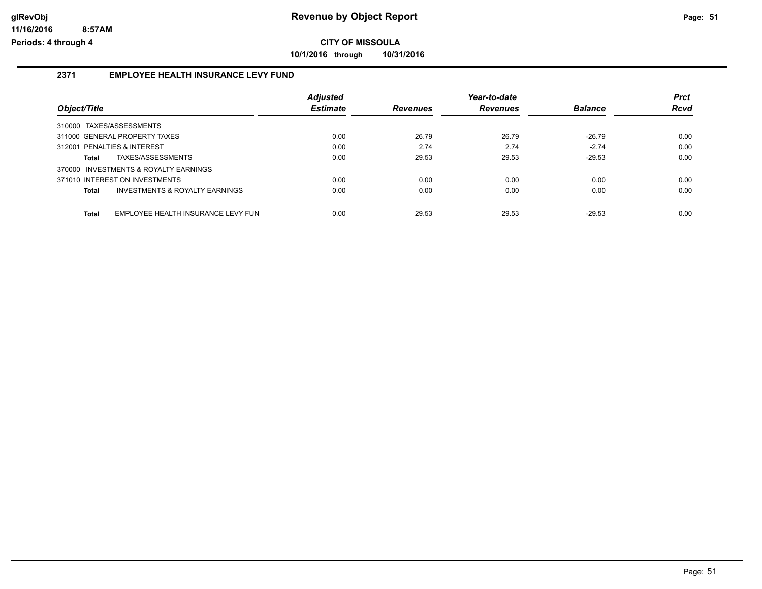**10/1/2016 through 10/31/2016**

#### **2371 EMPLOYEE HEALTH INSURANCE LEVY FUND**

|                                                    | <b>Adjusted</b> |                 | Year-to-date    |                | <b>Prct</b> |
|----------------------------------------------------|-----------------|-----------------|-----------------|----------------|-------------|
| Object/Title                                       | <b>Estimate</b> | <b>Revenues</b> | <b>Revenues</b> | <b>Balance</b> | <b>Rcvd</b> |
| 310000 TAXES/ASSESSMENTS                           |                 |                 |                 |                |             |
| 311000 GENERAL PROPERTY TAXES                      | 0.00            | 26.79           | 26.79           | $-26.79$       | 0.00        |
| 312001 PENALTIES & INTEREST                        | 0.00            | 2.74            | 2.74            | $-2.74$        | 0.00        |
| TAXES/ASSESSMENTS<br>Total                         | 0.00            | 29.53           | 29.53           | $-29.53$       | 0.00        |
| 370000 INVESTMENTS & ROYALTY EARNINGS              |                 |                 |                 |                |             |
| 371010 INTEREST ON INVESTMENTS                     | 0.00            | 0.00            | 0.00            | 0.00           | 0.00        |
| <b>INVESTMENTS &amp; ROYALTY EARNINGS</b><br>Total | 0.00            | 0.00            | 0.00            | 0.00           | 0.00        |
|                                                    |                 |                 |                 |                |             |
| Total<br>EMPLOYEE HEALTH INSURANCE LEVY FUN        | 0.00            | 29.53           | 29.53           | $-29.53$       | 0.00        |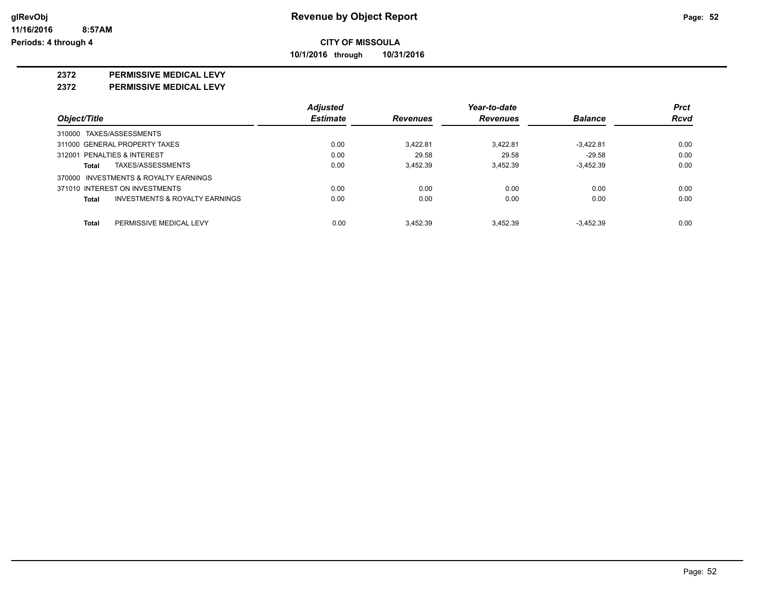**10/1/2016 through 10/31/2016**

**2372 PERMISSIVE MEDICAL LEVY**

**2372 PERMISSIVE MEDICAL LEVY**

|                                         | <b>Adjusted</b> |                 | Year-to-date    |                | <b>Prct</b> |
|-----------------------------------------|-----------------|-----------------|-----------------|----------------|-------------|
| Object/Title                            | <b>Estimate</b> | <b>Revenues</b> | <b>Revenues</b> | <b>Balance</b> | <b>Rcvd</b> |
| 310000 TAXES/ASSESSMENTS                |                 |                 |                 |                |             |
| 311000 GENERAL PROPERTY TAXES           | 0.00            | 3.422.81        | 3.422.81        | $-3,422.81$    | 0.00        |
| 312001 PENALTIES & INTEREST             | 0.00            | 29.58           | 29.58           | $-29.58$       | 0.00        |
| TAXES/ASSESSMENTS<br>Total              | 0.00            | 3.452.39        | 3.452.39        | $-3.452.39$    | 0.00        |
| 370000 INVESTMENTS & ROYALTY EARNINGS   |                 |                 |                 |                |             |
| 371010 INTEREST ON INVESTMENTS          | 0.00            | 0.00            | 0.00            | 0.00           | 0.00        |
| INVESTMENTS & ROYALTY EARNINGS<br>Total | 0.00            | 0.00            | 0.00            | 0.00           | 0.00        |
|                                         |                 |                 |                 |                |             |
| PERMISSIVE MEDICAL LEVY<br>Total        | 0.00            | 3.452.39        | 3.452.39        | $-3.452.39$    | 0.00        |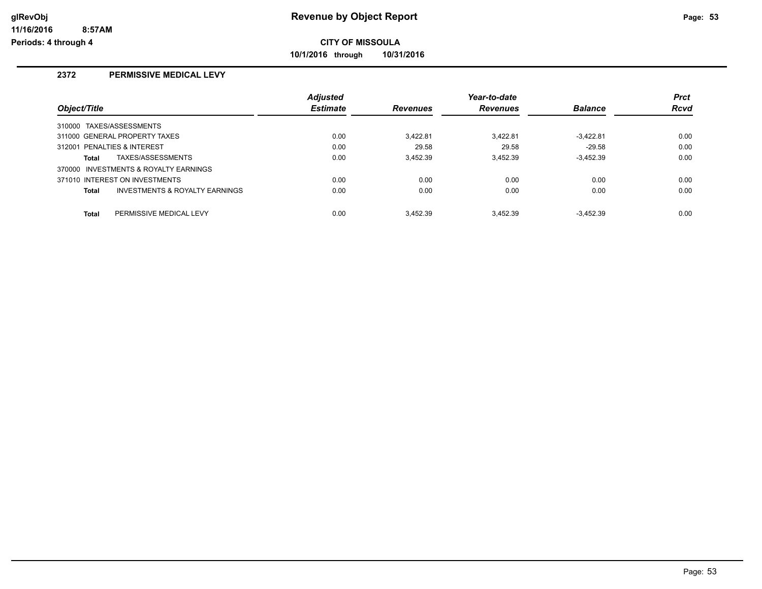**10/1/2016 through 10/31/2016**

#### **2372 PERMISSIVE MEDICAL LEVY**

|                                                | <b>Adjusted</b> |                 | Year-to-date    |                | <b>Prct</b> |
|------------------------------------------------|-----------------|-----------------|-----------------|----------------|-------------|
| Object/Title                                   | <b>Estimate</b> | <b>Revenues</b> | <b>Revenues</b> | <b>Balance</b> | <b>Rcvd</b> |
| 310000 TAXES/ASSESSMENTS                       |                 |                 |                 |                |             |
| 311000 GENERAL PROPERTY TAXES                  | 0.00            | 3.422.81        | 3.422.81        | $-3.422.81$    | 0.00        |
| 312001 PENALTIES & INTEREST                    | 0.00            | 29.58           | 29.58           | $-29.58$       | 0.00        |
| TAXES/ASSESSMENTS<br><b>Total</b>              | 0.00            | 3.452.39        | 3.452.39        | $-3.452.39$    | 0.00        |
| 370000 INVESTMENTS & ROYALTY EARNINGS          |                 |                 |                 |                |             |
| 371010 INTEREST ON INVESTMENTS                 | 0.00            | 0.00            | 0.00            | 0.00           | 0.00        |
| INVESTMENTS & ROYALTY EARNINGS<br><b>Total</b> | 0.00            | 0.00            | 0.00            | 0.00           | 0.00        |
| <b>Total</b><br>PERMISSIVE MEDICAL LEVY        | 0.00            | 3.452.39        | 3.452.39        | $-3.452.39$    | 0.00        |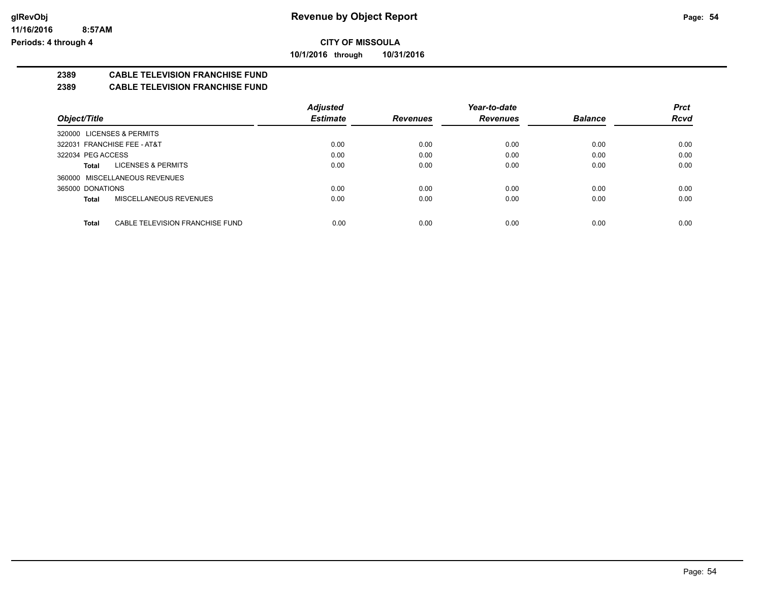**10/1/2016 through 10/31/2016**

# **2389 CABLE TELEVISION FRANCHISE FUND**

### **2389 CABLE TELEVISION FRANCHISE FUND**

|                                          | <b>Adjusted</b> |                 | Year-to-date    |                | <b>Prct</b> |
|------------------------------------------|-----------------|-----------------|-----------------|----------------|-------------|
| Object/Title                             | <b>Estimate</b> | <b>Revenues</b> | <b>Revenues</b> | <b>Balance</b> | <b>Rcvd</b> |
| 320000 LICENSES & PERMITS                |                 |                 |                 |                |             |
| 322031 FRANCHISE FEE - AT&T              | 0.00            | 0.00            | 0.00            | 0.00           | 0.00        |
| 322034 PEG ACCESS                        | 0.00            | 0.00            | 0.00            | 0.00           | 0.00        |
| LICENSES & PERMITS<br>Total              | 0.00            | 0.00            | 0.00            | 0.00           | 0.00        |
| 360000 MISCELLANEOUS REVENUES            |                 |                 |                 |                |             |
| 365000 DONATIONS                         | 0.00            | 0.00            | 0.00            | 0.00           | 0.00        |
| MISCELLANEOUS REVENUES<br>Total          | 0.00            | 0.00            | 0.00            | 0.00           | 0.00        |
|                                          |                 |                 |                 |                |             |
| CABLE TELEVISION FRANCHISE FUND<br>Total | 0.00            | 0.00            | 0.00            | 0.00           | 0.00        |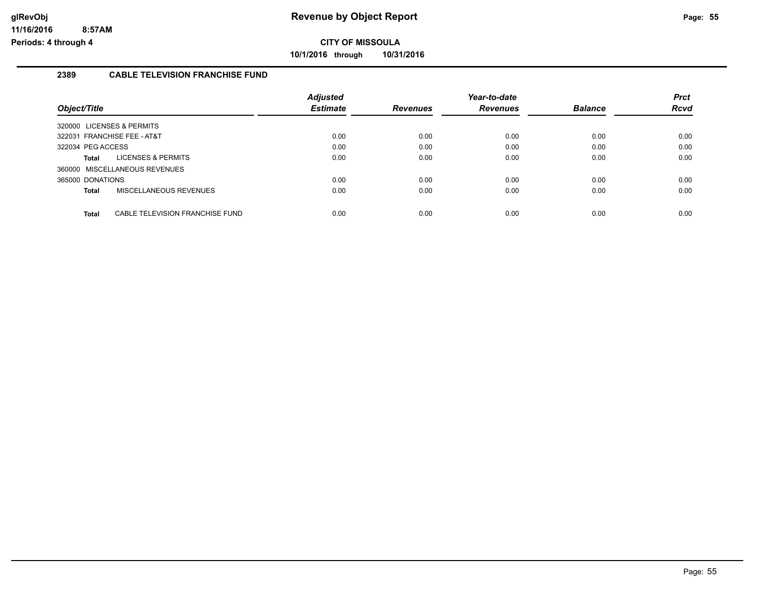**10/1/2016 through 10/31/2016**

#### **2389 CABLE TELEVISION FRANCHISE FUND**

|                                                 | <b>Adjusted</b> |                 | Year-to-date    |                | <b>Prct</b> |
|-------------------------------------------------|-----------------|-----------------|-----------------|----------------|-------------|
| Object/Title                                    | <b>Estimate</b> | <b>Revenues</b> | <b>Revenues</b> | <b>Balance</b> | <b>Rcvd</b> |
| 320000 LICENSES & PERMITS                       |                 |                 |                 |                |             |
| 322031 FRANCHISE FEE - AT&T                     | 0.00            | 0.00            | 0.00            | 0.00           | 0.00        |
| 322034 PEG ACCESS                               | 0.00            | 0.00            | 0.00            | 0.00           | 0.00        |
| <b>LICENSES &amp; PERMITS</b><br>Total          | 0.00            | 0.00            | 0.00            | 0.00           | 0.00        |
| 360000 MISCELLANEOUS REVENUES                   |                 |                 |                 |                |             |
| 365000 DONATIONS                                | 0.00            | 0.00            | 0.00            | 0.00           | 0.00        |
| MISCELLANEOUS REVENUES<br><b>Total</b>          | 0.00            | 0.00            | 0.00            | 0.00           | 0.00        |
|                                                 |                 |                 |                 |                |             |
| <b>Total</b><br>CABLE TELEVISION FRANCHISE FUND | 0.00            | 0.00            | 0.00            | 0.00           | 0.00        |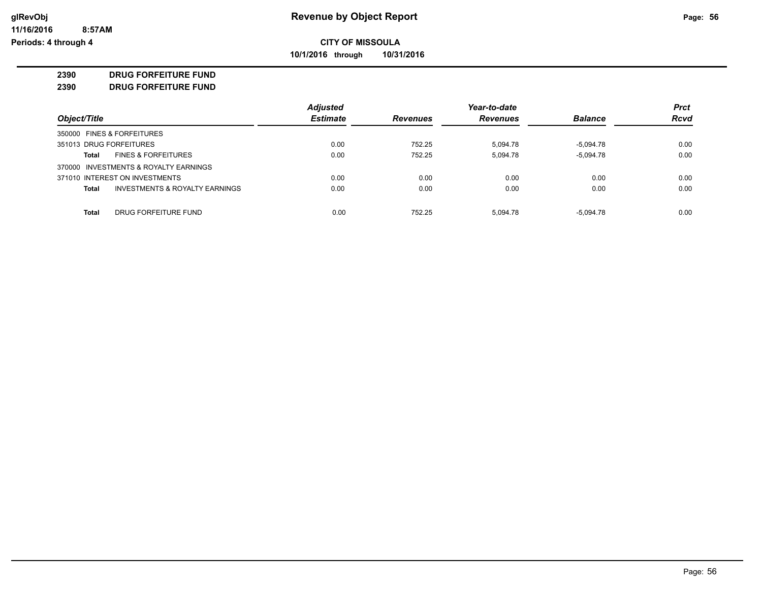**10/1/2016 through 10/31/2016**

#### **2390 DRUG FORFEITURE FUND**

**2390 DRUG FORFEITURE FUND**

|                                                    | <b>Adjusted</b> |                 | Year-to-date    |                | <b>Prct</b> |
|----------------------------------------------------|-----------------|-----------------|-----------------|----------------|-------------|
| Object/Title                                       | <b>Estimate</b> | <b>Revenues</b> | <b>Revenues</b> | <b>Balance</b> | <b>Rcvd</b> |
| 350000 FINES & FORFEITURES                         |                 |                 |                 |                |             |
| 351013 DRUG FORFEITURES                            | 0.00            | 752.25          | 5.094.78        | -5.094.78      | 0.00        |
| <b>FINES &amp; FORFEITURES</b><br>Total            | 0.00            | 752.25          | 5.094.78        | -5.094.78      | 0.00        |
| 370000 INVESTMENTS & ROYALTY EARNINGS              |                 |                 |                 |                |             |
| 371010 INTEREST ON INVESTMENTS                     | 0.00            | 0.00            | 0.00            | 0.00           | 0.00        |
| <b>INVESTMENTS &amp; ROYALTY EARNINGS</b><br>Total | 0.00            | 0.00            | 0.00            | 0.00           | 0.00        |
|                                                    |                 |                 |                 |                |             |
| DRUG FORFEITURE FUND<br><b>Total</b>               | 0.00            | 752.25          | 5.094.78        | $-5.094.78$    | 0.00        |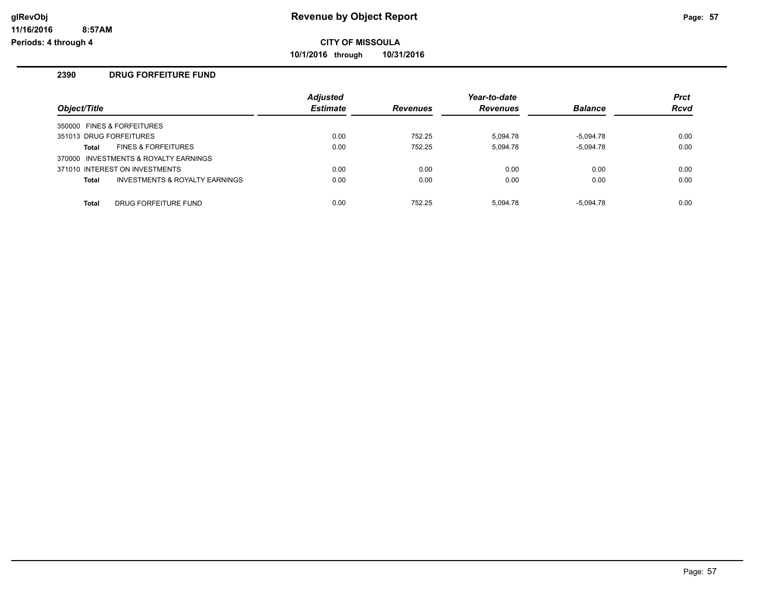**Periods: 4 through 4**

**CITY OF MISSOULA**

**10/1/2016 through 10/31/2016**

#### **2390 DRUG FORFEITURE FUND**

 **8:57AM**

| Object/Title                                              | <b>Adjusted</b><br><b>Estimate</b> | <b>Revenues</b> | Year-to-date<br><b>Revenues</b> | <b>Balance</b> | <b>Prct</b><br><b>Rcvd</b> |
|-----------------------------------------------------------|------------------------------------|-----------------|---------------------------------|----------------|----------------------------|
| 350000 FINES & FORFEITURES                                |                                    |                 |                                 |                |                            |
| 351013 DRUG FORFEITURES                                   | 0.00                               | 752.25          | 5.094.78                        | $-5.094.78$    | 0.00                       |
| <b>FINES &amp; FORFEITURES</b><br>Total                   | 0.00                               | 752.25          | 5.094.78                        | $-5.094.78$    | 0.00                       |
| 370000 INVESTMENTS & ROYALTY EARNINGS                     |                                    |                 |                                 |                |                            |
| 371010 INTEREST ON INVESTMENTS                            | 0.00                               | 0.00            | 0.00                            | 0.00           | 0.00                       |
| <b>INVESTMENTS &amp; ROYALTY EARNINGS</b><br><b>Total</b> | 0.00                               | 0.00            | 0.00                            | 0.00           | 0.00                       |
|                                                           |                                    |                 |                                 |                |                            |
| DRUG FORFEITURE FUND<br><b>Total</b>                      | 0.00                               | 752.25          | 5.094.78                        | $-5.094.78$    | 0.00                       |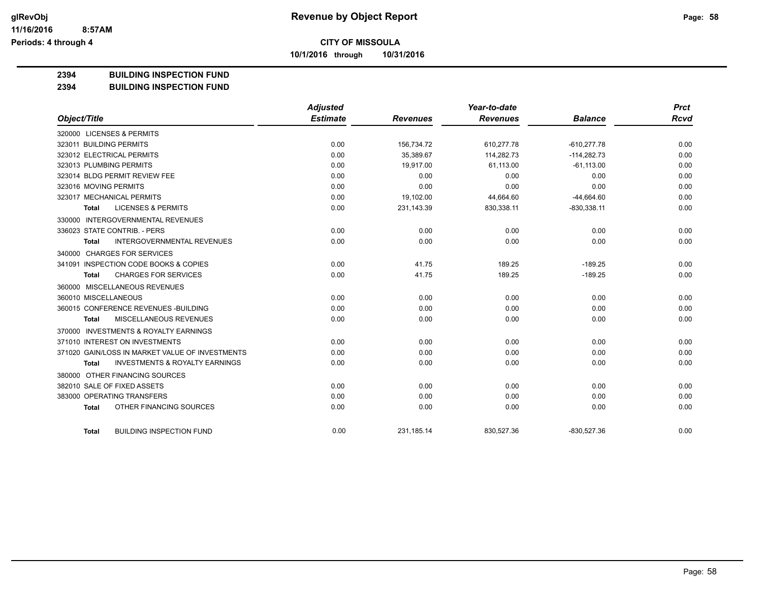**10/1/2016 through 10/31/2016**

#### **2394 BUILDING INSPECTION FUND**

#### **2394 BUILDING INSPECTION FUND**

|                                                     | <b>Adjusted</b> |                 | Year-to-date    |                | <b>Prct</b> |
|-----------------------------------------------------|-----------------|-----------------|-----------------|----------------|-------------|
| Object/Title                                        | <b>Estimate</b> | <b>Revenues</b> | <b>Revenues</b> | <b>Balance</b> | <b>Rcvd</b> |
| 320000 LICENSES & PERMITS                           |                 |                 |                 |                |             |
| 323011 BUILDING PERMITS                             | 0.00            | 156,734.72      | 610,277.78      | $-610,277.78$  | 0.00        |
| 323012 ELECTRICAL PERMITS                           | 0.00            | 35,389.67       | 114,282.73      | $-114,282.73$  | 0.00        |
| 323013 PLUMBING PERMITS                             | 0.00            | 19.917.00       | 61,113.00       | $-61,113.00$   | 0.00        |
| 323014 BLDG PERMIT REVIEW FEE                       | 0.00            | 0.00            | 0.00            | 0.00           | 0.00        |
| 323016 MOVING PERMITS                               | 0.00            | 0.00            | 0.00            | 0.00           | 0.00        |
| 323017 MECHANICAL PERMITS                           | 0.00            | 19,102.00       | 44,664.60       | $-44,664.60$   | 0.00        |
| <b>LICENSES &amp; PERMITS</b><br><b>Total</b>       | 0.00            | 231,143.39      | 830,338.11      | $-830,338.11$  | 0.00        |
| 330000 INTERGOVERNMENTAL REVENUES                   |                 |                 |                 |                |             |
| 336023 STATE CONTRIB. - PERS                        | 0.00            | 0.00            | 0.00            | 0.00           | 0.00        |
| <b>INTERGOVERNMENTAL REVENUES</b><br>Total          | 0.00            | 0.00            | 0.00            | 0.00           | 0.00        |
| 340000 CHARGES FOR SERVICES                         |                 |                 |                 |                |             |
| 341091 INSPECTION CODE BOOKS & COPIES               | 0.00            | 41.75           | 189.25          | $-189.25$      | 0.00        |
| <b>CHARGES FOR SERVICES</b><br>Total                | 0.00            | 41.75           | 189.25          | $-189.25$      | 0.00        |
| 360000 MISCELLANEOUS REVENUES                       |                 |                 |                 |                |             |
| 360010 MISCELLANEOUS                                | 0.00            | 0.00            | 0.00            | 0.00           | 0.00        |
| 360015 CONFERENCE REVENUES - BUILDING               | 0.00            | 0.00            | 0.00            | 0.00           | 0.00        |
| MISCELLANEOUS REVENUES<br><b>Total</b>              | 0.00            | 0.00            | 0.00            | 0.00           | 0.00        |
| <b>INVESTMENTS &amp; ROYALTY EARNINGS</b><br>370000 |                 |                 |                 |                |             |
| 371010 INTEREST ON INVESTMENTS                      | 0.00            | 0.00            | 0.00            | 0.00           | 0.00        |
| 371020 GAIN/LOSS IN MARKET VALUE OF INVESTMENTS     | 0.00            | 0.00            | 0.00            | 0.00           | 0.00        |
| <b>INVESTMENTS &amp; ROYALTY EARNINGS</b><br>Total  | 0.00            | 0.00            | 0.00            | 0.00           | 0.00        |
| 380000 OTHER FINANCING SOURCES                      |                 |                 |                 |                |             |
| 382010 SALE OF FIXED ASSETS                         | 0.00            | 0.00            | 0.00            | 0.00           | 0.00        |
| 383000 OPERATING TRANSFERS                          | 0.00            | 0.00            | 0.00            | 0.00           | 0.00        |
| OTHER FINANCING SOURCES<br><b>Total</b>             | 0.00            | 0.00            | 0.00            | 0.00           | 0.00        |
|                                                     |                 |                 |                 |                |             |
| <b>BUILDING INSPECTION FUND</b><br><b>Total</b>     | 0.00            | 231,185.14      | 830,527.36      | $-830,527.36$  | 0.00        |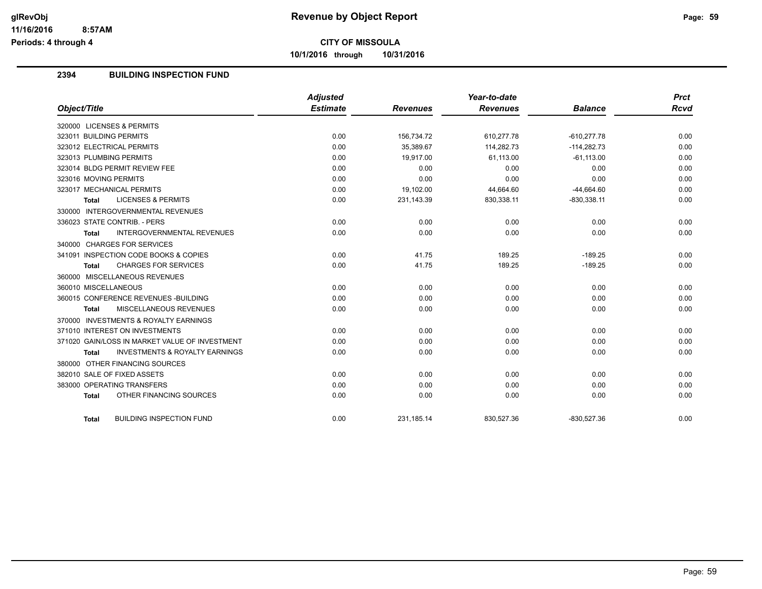**10/1/2016 through 10/31/2016**

#### **2394 BUILDING INSPECTION FUND**

|                                                           | <b>Adjusted</b> |                 | Year-to-date    |                | <b>Prct</b> |
|-----------------------------------------------------------|-----------------|-----------------|-----------------|----------------|-------------|
| Object/Title                                              | <b>Estimate</b> | <b>Revenues</b> | <b>Revenues</b> | <b>Balance</b> | <b>Rcvd</b> |
| 320000 LICENSES & PERMITS                                 |                 |                 |                 |                |             |
| 323011 BUILDING PERMITS                                   | 0.00            | 156,734.72      | 610,277.78      | $-610,277.78$  | 0.00        |
| 323012 ELECTRICAL PERMITS                                 | 0.00            | 35,389.67       | 114,282.73      | $-114,282.73$  | 0.00        |
| 323013 PLUMBING PERMITS                                   | 0.00            | 19,917.00       | 61,113.00       | $-61,113.00$   | 0.00        |
| 323014 BLDG PERMIT REVIEW FEE                             | 0.00            | 0.00            | 0.00            | 0.00           | 0.00        |
| 323016 MOVING PERMITS                                     | 0.00            | 0.00            | 0.00            | 0.00           | 0.00        |
| 323017 MECHANICAL PERMITS                                 | 0.00            | 19,102.00       | 44,664.60       | $-44,664.60$   | 0.00        |
| <b>LICENSES &amp; PERMITS</b><br><b>Total</b>             | 0.00            | 231,143.39      | 830,338.11      | $-830,338.11$  | 0.00        |
| 330000 INTERGOVERNMENTAL REVENUES                         |                 |                 |                 |                |             |
| 336023 STATE CONTRIB. - PERS                              | 0.00            | 0.00            | 0.00            | 0.00           | 0.00        |
| INTERGOVERNMENTAL REVENUES<br><b>Total</b>                | 0.00            | 0.00            | 0.00            | 0.00           | 0.00        |
| 340000 CHARGES FOR SERVICES                               |                 |                 |                 |                |             |
| 341091 INSPECTION CODE BOOKS & COPIES                     | 0.00            | 41.75           | 189.25          | $-189.25$      | 0.00        |
| <b>CHARGES FOR SERVICES</b><br><b>Total</b>               | 0.00            | 41.75           | 189.25          | $-189.25$      | 0.00        |
| 360000 MISCELLANEOUS REVENUES                             |                 |                 |                 |                |             |
| 360010 MISCELLANEOUS                                      | 0.00            | 0.00            | 0.00            | 0.00           | 0.00        |
| 360015 CONFERENCE REVENUES - BUILDING                     | 0.00            | 0.00            | 0.00            | 0.00           | 0.00        |
| <b>MISCELLANEOUS REVENUES</b><br><b>Total</b>             | 0.00            | 0.00            | 0.00            | 0.00           | 0.00        |
| 370000 INVESTMENTS & ROYALTY EARNINGS                     |                 |                 |                 |                |             |
| 371010 INTEREST ON INVESTMENTS                            | 0.00            | 0.00            | 0.00            | 0.00           | 0.00        |
| 371020 GAIN/LOSS IN MARKET VALUE OF INVESTMENT            | 0.00            | 0.00            | 0.00            | 0.00           | 0.00        |
| <b>INVESTMENTS &amp; ROYALTY EARNINGS</b><br><b>Total</b> | 0.00            | 0.00            | 0.00            | 0.00           | 0.00        |
| 380000 OTHER FINANCING SOURCES                            |                 |                 |                 |                |             |
| 382010 SALE OF FIXED ASSETS                               | 0.00            | 0.00            | 0.00            | 0.00           | 0.00        |
| 383000 OPERATING TRANSFERS                                | 0.00            | 0.00            | 0.00            | 0.00           | 0.00        |
| OTHER FINANCING SOURCES<br><b>Total</b>                   | 0.00            | 0.00            | 0.00            | 0.00           | 0.00        |
| <b>BUILDING INSPECTION FUND</b><br><b>Total</b>           | 0.00            | 231,185.14      | 830.527.36      | $-830.527.36$  | 0.00        |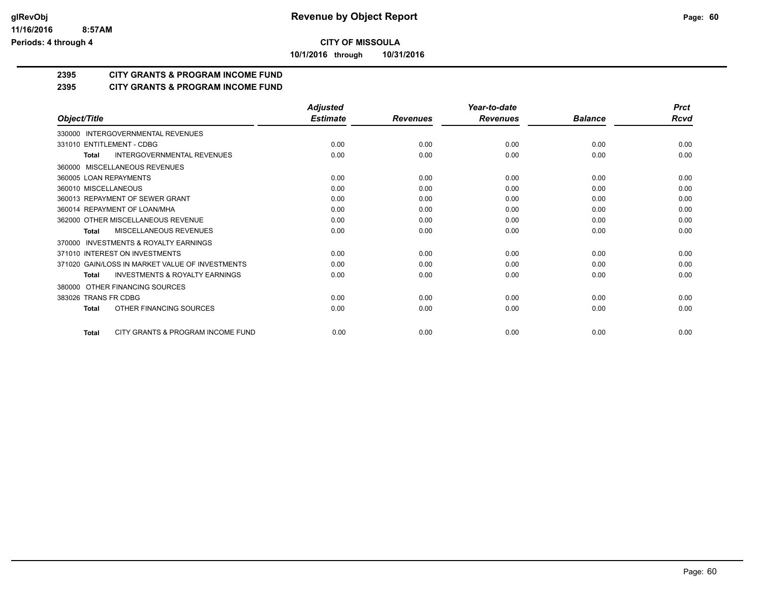**10/1/2016 through 10/31/2016**

# **2395 CITY GRANTS & PROGRAM INCOME FUND**

#### **2395 CITY GRANTS & PROGRAM INCOME FUND**

|                                                           | <b>Adjusted</b> |                 | Year-to-date    |                | <b>Prct</b><br>Rcvd |
|-----------------------------------------------------------|-----------------|-----------------|-----------------|----------------|---------------------|
| Object/Title                                              | <b>Estimate</b> | <b>Revenues</b> | <b>Revenues</b> | <b>Balance</b> |                     |
| 330000 INTERGOVERNMENTAL REVENUES                         |                 |                 |                 |                |                     |
| 331010 ENTITLEMENT - CDBG                                 | 0.00            | 0.00            | 0.00            | 0.00           | 0.00                |
| <b>INTERGOVERNMENTAL REVENUES</b><br><b>Total</b>         | 0.00            | 0.00            | 0.00            | 0.00           | 0.00                |
| 360000 MISCELLANEOUS REVENUES                             |                 |                 |                 |                |                     |
| 360005 LOAN REPAYMENTS                                    | 0.00            | 0.00            | 0.00            | 0.00           | 0.00                |
| 360010 MISCELLANEOUS                                      | 0.00            | 0.00            | 0.00            | 0.00           | 0.00                |
| 360013 REPAYMENT OF SEWER GRANT                           | 0.00            | 0.00            | 0.00            | 0.00           | 0.00                |
| 360014 REPAYMENT OF LOAN/MHA                              | 0.00            | 0.00            | 0.00            | 0.00           | 0.00                |
| 362000 OTHER MISCELLANEOUS REVENUE                        | 0.00            | 0.00            | 0.00            | 0.00           | 0.00                |
| MISCELLANEOUS REVENUES<br><b>Total</b>                    | 0.00            | 0.00            | 0.00            | 0.00           | 0.00                |
| <b>INVESTMENTS &amp; ROYALTY EARNINGS</b><br>370000       |                 |                 |                 |                |                     |
| 371010 INTEREST ON INVESTMENTS                            | 0.00            | 0.00            | 0.00            | 0.00           | 0.00                |
| 371020 GAIN/LOSS IN MARKET VALUE OF INVESTMENTS           | 0.00            | 0.00            | 0.00            | 0.00           | 0.00                |
| <b>INVESTMENTS &amp; ROYALTY EARNINGS</b><br><b>Total</b> | 0.00            | 0.00            | 0.00            | 0.00           | 0.00                |
| 380000 OTHER FINANCING SOURCES                            |                 |                 |                 |                |                     |
| 383026 TRANS FR CDBG                                      | 0.00            | 0.00            | 0.00            | 0.00           | 0.00                |
| OTHER FINANCING SOURCES<br><b>Total</b>                   | 0.00            | 0.00            | 0.00            | 0.00           | 0.00                |
| CITY GRANTS & PROGRAM INCOME FUND<br><b>Total</b>         | 0.00            | 0.00            | 0.00            | 0.00           | 0.00                |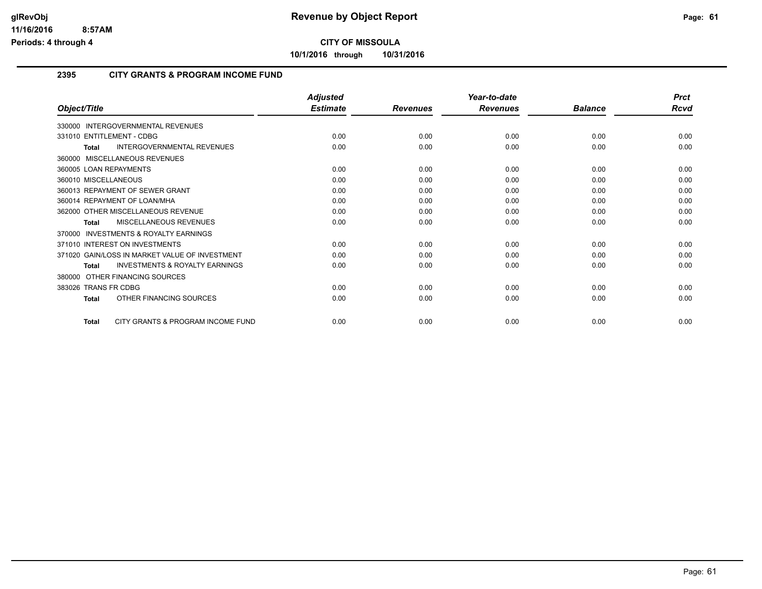**10/1/2016 through 10/31/2016**

#### **2395 CITY GRANTS & PROGRAM INCOME FUND**

|                                                    | <b>Adjusted</b> |                 | Year-to-date    |                | <b>Prct</b> |
|----------------------------------------------------|-----------------|-----------------|-----------------|----------------|-------------|
| Object/Title                                       | <b>Estimate</b> | <b>Revenues</b> | <b>Revenues</b> | <b>Balance</b> | Rcvd        |
| 330000 INTERGOVERNMENTAL REVENUES                  |                 |                 |                 |                |             |
| 331010 ENTITLEMENT - CDBG                          | 0.00            | 0.00            | 0.00            | 0.00           | 0.00        |
| <b>INTERGOVERNMENTAL REVENUES</b><br>Total         | 0.00            | 0.00            | 0.00            | 0.00           | 0.00        |
| 360000 MISCELLANEOUS REVENUES                      |                 |                 |                 |                |             |
| 360005 LOAN REPAYMENTS                             | 0.00            | 0.00            | 0.00            | 0.00           | 0.00        |
| 360010 MISCELLANEOUS                               | 0.00            | 0.00            | 0.00            | 0.00           | 0.00        |
| 360013 REPAYMENT OF SEWER GRANT                    | 0.00            | 0.00            | 0.00            | 0.00           | 0.00        |
| 360014 REPAYMENT OF LOAN/MHA                       | 0.00            | 0.00            | 0.00            | 0.00           | 0.00        |
| 362000 OTHER MISCELLANEOUS REVENUE                 | 0.00            | 0.00            | 0.00            | 0.00           | 0.00        |
| MISCELLANEOUS REVENUES<br><b>Total</b>             | 0.00            | 0.00            | 0.00            | 0.00           | 0.00        |
| 370000 INVESTMENTS & ROYALTY EARNINGS              |                 |                 |                 |                |             |
| 371010 INTEREST ON INVESTMENTS                     | 0.00            | 0.00            | 0.00            | 0.00           | 0.00        |
| 371020 GAIN/LOSS IN MARKET VALUE OF INVESTMENT     | 0.00            | 0.00            | 0.00            | 0.00           | 0.00        |
| <b>INVESTMENTS &amp; ROYALTY EARNINGS</b><br>Total | 0.00            | 0.00            | 0.00            | 0.00           | 0.00        |
| 380000 OTHER FINANCING SOURCES                     |                 |                 |                 |                |             |
| 383026 TRANS FR CDBG                               | 0.00            | 0.00            | 0.00            | 0.00           | 0.00        |
| OTHER FINANCING SOURCES<br>Total                   | 0.00            | 0.00            | 0.00            | 0.00           | 0.00        |
| CITY GRANTS & PROGRAM INCOME FUND<br><b>Total</b>  | 0.00            | 0.00            | 0.00            | 0.00           | 0.00        |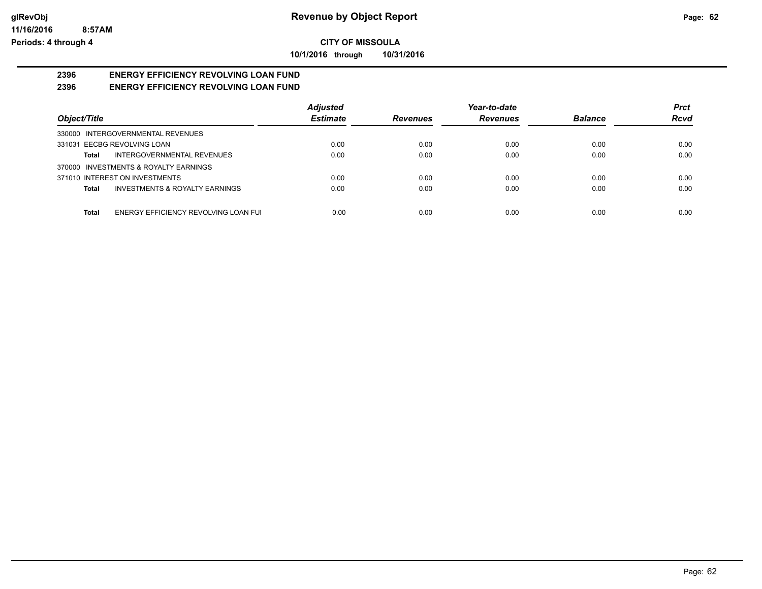#### **10/1/2016 through 10/31/2016**

#### **2396 ENERGY EFFICIENCY REVOLVING LOAN FUND 2396 ENERGY EFFICIENCY REVOLVING LOAN FUND**

|                                                    | <b>Adjusted</b> |                 | Year-to-date    |                | <b>Prct</b> |
|----------------------------------------------------|-----------------|-----------------|-----------------|----------------|-------------|
| Object/Title                                       | <b>Estimate</b> | <b>Revenues</b> | <b>Revenues</b> | <b>Balance</b> | Rcvd        |
| 330000 INTERGOVERNMENTAL REVENUES                  |                 |                 |                 |                |             |
| 331031 EECBG REVOLVING LOAN                        | 0.00            | 0.00            | 0.00            | 0.00           | 0.00        |
| INTERGOVERNMENTAL REVENUES<br>Total                | 0.00            | 0.00            | 0.00            | 0.00           | 0.00        |
| 370000 INVESTMENTS & ROYALTY EARNINGS              |                 |                 |                 |                |             |
| 371010 INTEREST ON INVESTMENTS                     | 0.00            | 0.00            | 0.00            | 0.00           | 0.00        |
| <b>INVESTMENTS &amp; ROYALTY EARNINGS</b><br>Total | 0.00            | 0.00            | 0.00            | 0.00           | 0.00        |
|                                                    |                 |                 |                 |                |             |
| ENERGY EFFICIENCY REVOLVING LOAN FUI<br>Total      | 0.00            | 0.00            | 0.00            | 0.00           | 0.00        |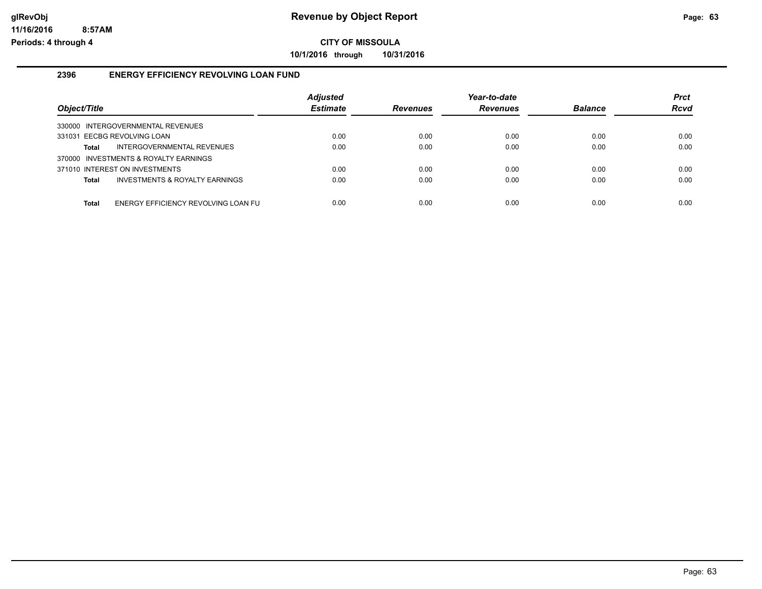**10/1/2016 through 10/31/2016**

#### **2396 ENERGY EFFICIENCY REVOLVING LOAN FUND**

| Object/Title                                              | <b>Adjusted</b><br><b>Estimate</b> | <b>Revenues</b> | Year-to-date<br><b>Revenues</b> | <b>Balance</b> | <b>Prct</b><br><b>Rcvd</b> |
|-----------------------------------------------------------|------------------------------------|-----------------|---------------------------------|----------------|----------------------------|
| 330000 INTERGOVERNMENTAL REVENUES                         |                                    |                 |                                 |                |                            |
| EECBG REVOLVING LOAN<br>331031                            | 0.00                               | 0.00            | 0.00                            | 0.00           | 0.00                       |
| INTERGOVERNMENTAL REVENUES<br>Total                       | 0.00                               | 0.00            | 0.00                            | 0.00           | 0.00                       |
| 370000 INVESTMENTS & ROYALTY EARNINGS                     |                                    |                 |                                 |                |                            |
| 371010 INTEREST ON INVESTMENTS                            | 0.00                               | 0.00            | 0.00                            | 0.00           | 0.00                       |
| <b>INVESTMENTS &amp; ROYALTY EARNINGS</b><br><b>Total</b> | 0.00                               | 0.00            | 0.00                            | 0.00           | 0.00                       |
|                                                           |                                    |                 |                                 |                |                            |
| ENERGY EFFICIENCY REVOLVING LOAN FU<br><b>Total</b>       | 0.00                               | 0.00            | 0.00                            | 0.00           | 0.00                       |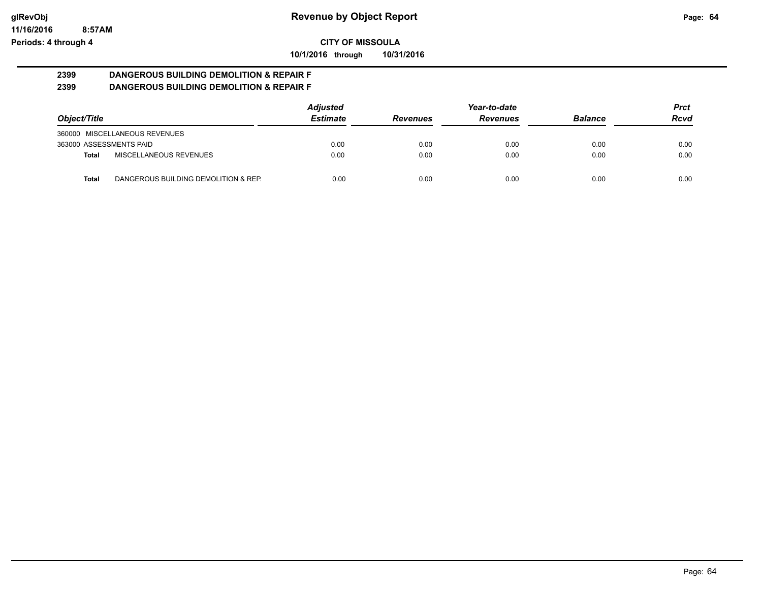# **11/16/2016**

**Periods: 4 through 4**

 **8:57AM**

**glRevObj Revenue by Object Report Page: 64** 

**CITY OF MISSOULA**

**10/1/2016 through 10/31/2016**

#### **2399 DANGEROUS BUILDING DEMOLITION & REPAIR F 2399 DANGEROUS BUILDING DEMOLITION & REPAIR F**

|                         |                                      | <b>Adjusted</b> |                 | Year-to-date    |                | <b>Prct</b> |
|-------------------------|--------------------------------------|-----------------|-----------------|-----------------|----------------|-------------|
| Object/Title            |                                      | <b>Estimate</b> | <b>Revenues</b> | <b>Revenues</b> | <b>Balance</b> | <b>Rcvd</b> |
|                         | 360000 MISCELLANEOUS REVENUES        |                 |                 |                 |                |             |
| 363000 ASSESSMENTS PAID |                                      | 0.00            | 0.00            | 0.00            | 0.00           | 0.00        |
| Total                   | MISCELLANEOUS REVENUES               | 0.00            | 0.00            | 0.00            | 0.00           | 0.00        |
| Total                   | DANGEROUS BUILDING DEMOLITION & REP. | 0.00            | 0.00            | 0.00            | 0.00           | 0.00        |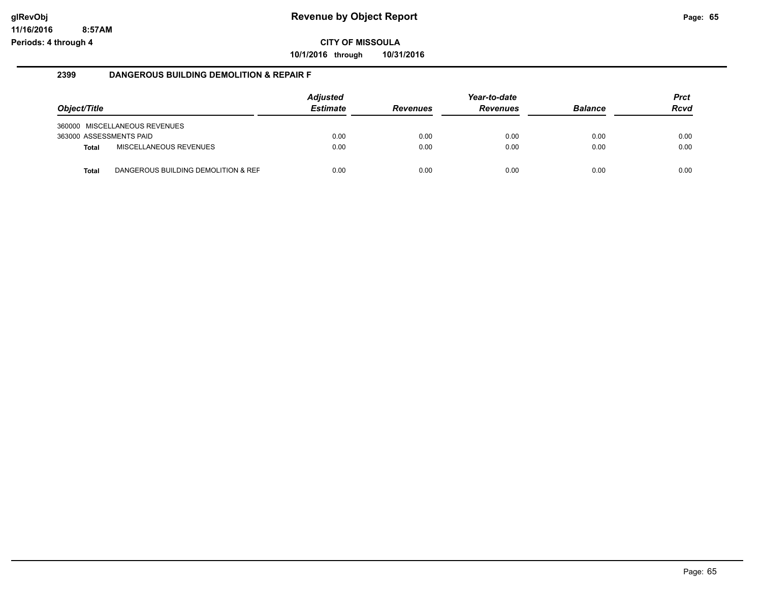**10/1/2016 through 10/31/2016**

#### **2399 DANGEROUS BUILDING DEMOLITION & REPAIR F**

|                         |                                     | <b>Adjusted</b> |                 | Year-to-date    |                | <b>Prct</b> |
|-------------------------|-------------------------------------|-----------------|-----------------|-----------------|----------------|-------------|
| Object/Title            |                                     | <b>Estimate</b> | <b>Revenues</b> | <b>Revenues</b> | <b>Balance</b> | <b>Rcvd</b> |
|                         | 360000 MISCELLANEOUS REVENUES       |                 |                 |                 |                |             |
| 363000 ASSESSMENTS PAID |                                     | 0.00            | 0.00            | 0.00            | 0.00           | 0.00        |
| <b>Total</b>            | MISCELLANEOUS REVENUES              | 0.00            | 0.00            | 0.00            | 0.00           | 0.00        |
|                         |                                     |                 |                 |                 |                |             |
| <b>Total</b>            | DANGEROUS BUILDING DEMOLITION & REF | 0.00            | 0.00            | 0.00            | 0.00           | 0.00        |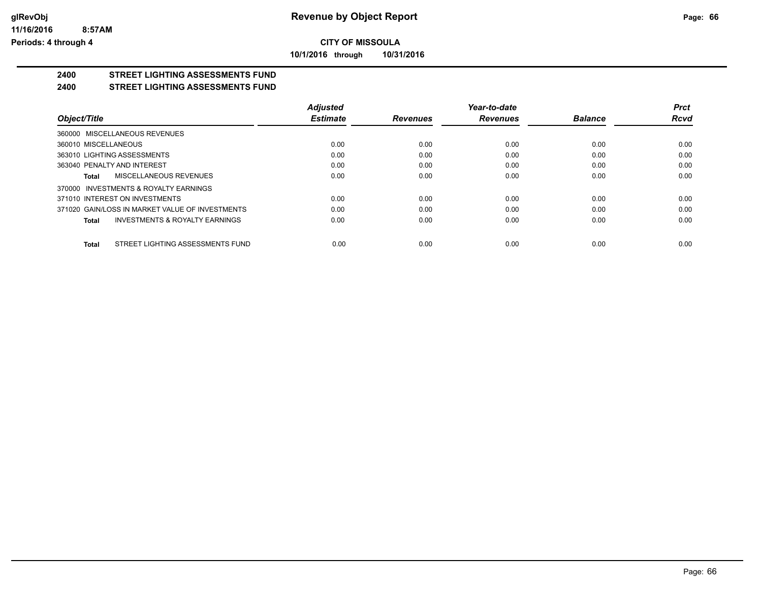**10/1/2016 through 10/31/2016**

#### **2400 STREET LIGHTING ASSESSMENTS FUND 2400 STREET LIGHTING ASSESSMENTS FUND**

|                                                  | <b>Adjusted</b> |                 | Year-to-date    |                | <b>Prct</b> |
|--------------------------------------------------|-----------------|-----------------|-----------------|----------------|-------------|
| Object/Title                                     | <b>Estimate</b> | <b>Revenues</b> | <b>Revenues</b> | <b>Balance</b> | <b>Rcvd</b> |
| 360000 MISCELLANEOUS REVENUES                    |                 |                 |                 |                |             |
| 360010 MISCELLANEOUS                             | 0.00            | 0.00            | 0.00            | 0.00           | 0.00        |
| 363010 LIGHTING ASSESSMENTS                      | 0.00            | 0.00            | 0.00            | 0.00           | 0.00        |
| 363040 PENALTY AND INTEREST                      | 0.00            | 0.00            | 0.00            | 0.00           | 0.00        |
| MISCELLANEOUS REVENUES<br>Total                  | 0.00            | 0.00            | 0.00            | 0.00           | 0.00        |
| 370000 INVESTMENTS & ROYALTY EARNINGS            |                 |                 |                 |                |             |
| 371010 INTEREST ON INVESTMENTS                   | 0.00            | 0.00            | 0.00            | 0.00           | 0.00        |
| 371020 GAIN/LOSS IN MARKET VALUE OF INVESTMENTS  | 0.00            | 0.00            | 0.00            | 0.00           | 0.00        |
| INVESTMENTS & ROYALTY EARNINGS<br>Total          | 0.00            | 0.00            | 0.00            | 0.00           | 0.00        |
| STREET LIGHTING ASSESSMENTS FUND<br><b>Total</b> | 0.00            | 0.00            | 0.00            | 0.00           | 0.00        |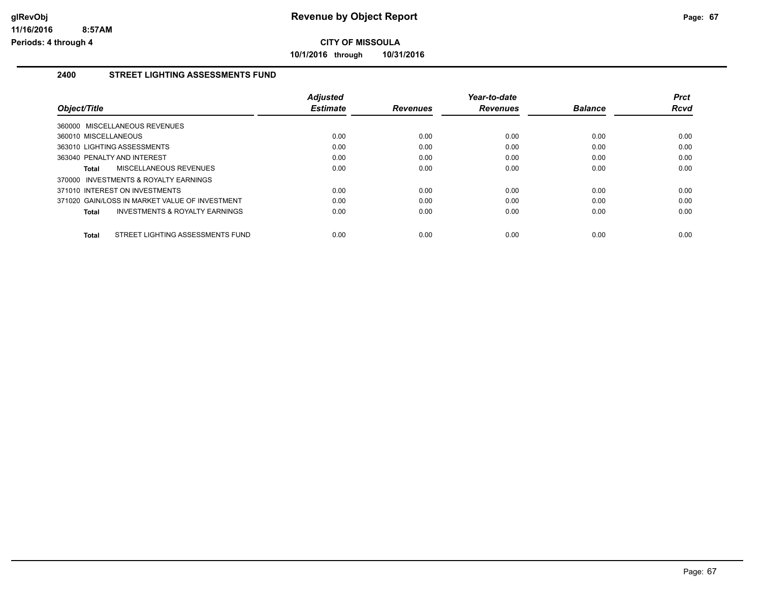**10/1/2016 through 10/31/2016**

#### **2400 STREET LIGHTING ASSESSMENTS FUND**

| Object/Title                                       | <b>Adjusted</b><br><b>Estimate</b> | <b>Revenues</b> | Year-to-date<br><b>Revenues</b> | <b>Balance</b> | <b>Prct</b><br><b>Rcvd</b> |
|----------------------------------------------------|------------------------------------|-----------------|---------------------------------|----------------|----------------------------|
| 360000 MISCELLANEOUS REVENUES                      |                                    |                 |                                 |                |                            |
| 360010 MISCELLANEOUS                               | 0.00                               | 0.00            | 0.00                            | 0.00           | 0.00                       |
| 363010 LIGHTING ASSESSMENTS                        | 0.00                               | 0.00            | 0.00                            | 0.00           | 0.00                       |
| 363040 PENALTY AND INTEREST                        | 0.00                               | 0.00            | 0.00                            | 0.00           | 0.00                       |
| MISCELLANEOUS REVENUES<br>Total                    | 0.00                               | 0.00            | 0.00                            | 0.00           | 0.00                       |
| 370000 INVESTMENTS & ROYALTY EARNINGS              |                                    |                 |                                 |                |                            |
| 371010 INTEREST ON INVESTMENTS                     | 0.00                               | 0.00            | 0.00                            | 0.00           | 0.00                       |
| 371020 GAIN/LOSS IN MARKET VALUE OF INVESTMENT     | 0.00                               | 0.00            | 0.00                            | 0.00           | 0.00                       |
| <b>INVESTMENTS &amp; ROYALTY EARNINGS</b><br>Total | 0.00                               | 0.00            | 0.00                            | 0.00           | 0.00                       |
| STREET LIGHTING ASSESSMENTS FUND<br>Total          | 0.00                               | 0.00            | 0.00                            | 0.00           | 0.00                       |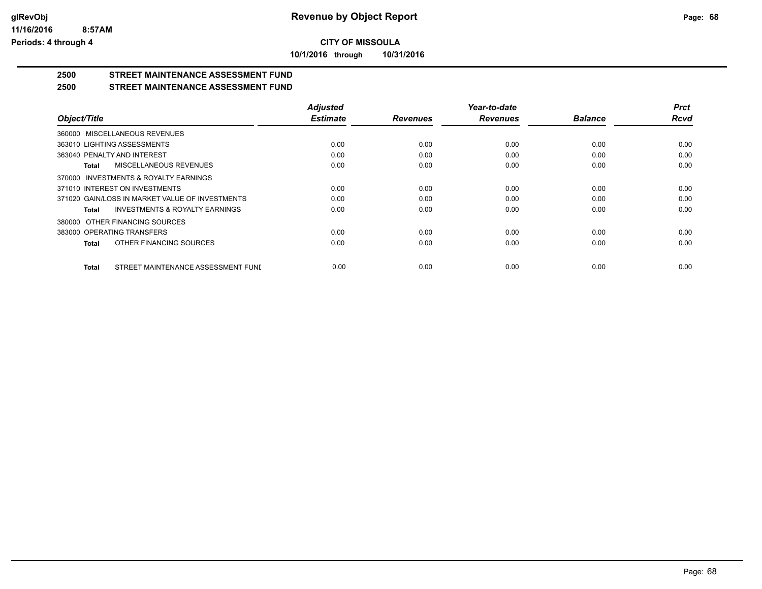#### **11/16/2016 8:57AM Periods: 4 through 4**

**CITY OF MISSOULA**

**10/1/2016 through 10/31/2016**

## **2500 STREET MAINTENANCE ASSESSMENT FUND**

#### **2500 STREET MAINTENANCE ASSESSMENT FUND**

|                                                    | <b>Adjusted</b> |                 | Year-to-date    |                | <b>Prct</b> |
|----------------------------------------------------|-----------------|-----------------|-----------------|----------------|-------------|
| Object/Title                                       | <b>Estimate</b> | <b>Revenues</b> | <b>Revenues</b> | <b>Balance</b> | Rcvd        |
| 360000 MISCELLANEOUS REVENUES                      |                 |                 |                 |                |             |
| 363010 LIGHTING ASSESSMENTS                        | 0.00            | 0.00            | 0.00            | 0.00           | 0.00        |
| 363040 PENALTY AND INTEREST                        | 0.00            | 0.00            | 0.00            | 0.00           | 0.00        |
| MISCELLANEOUS REVENUES<br>Total                    | 0.00            | 0.00            | 0.00            | 0.00           | 0.00        |
| 370000 INVESTMENTS & ROYALTY EARNINGS              |                 |                 |                 |                |             |
| 371010 INTEREST ON INVESTMENTS                     | 0.00            | 0.00            | 0.00            | 0.00           | 0.00        |
| 371020 GAIN/LOSS IN MARKET VALUE OF INVESTMENTS    | 0.00            | 0.00            | 0.00            | 0.00           | 0.00        |
| <b>INVESTMENTS &amp; ROYALTY EARNINGS</b><br>Total | 0.00            | 0.00            | 0.00            | 0.00           | 0.00        |
| OTHER FINANCING SOURCES<br>380000                  |                 |                 |                 |                |             |
| 383000 OPERATING TRANSFERS                         | 0.00            | 0.00            | 0.00            | 0.00           | 0.00        |
| OTHER FINANCING SOURCES<br><b>Total</b>            | 0.00            | 0.00            | 0.00            | 0.00           | 0.00        |
| STREET MAINTENANCE ASSESSMENT FUNI<br><b>Total</b> | 0.00            | 0.00            | 0.00            | 0.00           | 0.00        |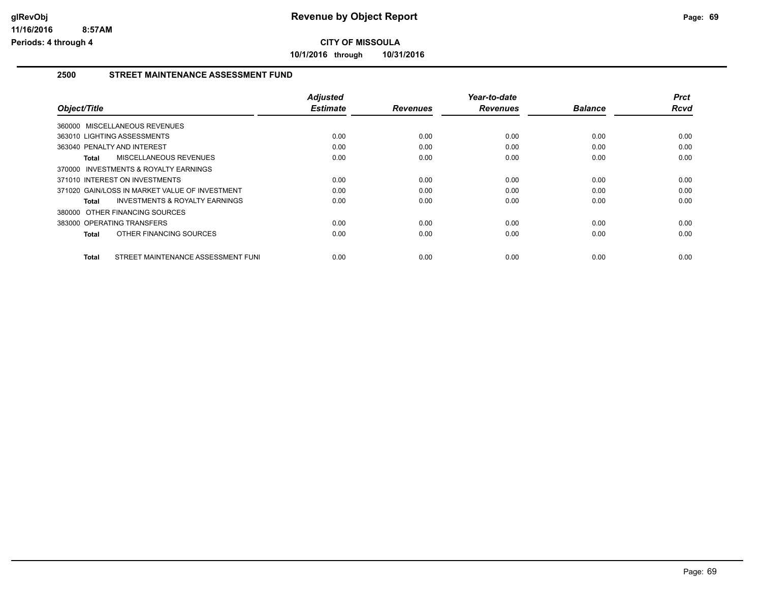**10/1/2016 through 10/31/2016**

#### **2500 STREET MAINTENANCE ASSESSMENT FUND**

| Object/Title                                       | <b>Adjusted</b><br><b>Estimate</b> | <b>Revenues</b> | Year-to-date<br><b>Revenues</b> | <b>Balance</b> | <b>Prct</b><br>Rcvd |
|----------------------------------------------------|------------------------------------|-----------------|---------------------------------|----------------|---------------------|
| 360000 MISCELLANEOUS REVENUES                      |                                    |                 |                                 |                |                     |
| 363010 LIGHTING ASSESSMENTS                        | 0.00                               | 0.00            | 0.00                            | 0.00           | 0.00                |
| 363040 PENALTY AND INTEREST                        | 0.00                               | 0.00            | 0.00                            | 0.00           | 0.00                |
| MISCELLANEOUS REVENUES<br>Total                    | 0.00                               | 0.00            | 0.00                            | 0.00           | 0.00                |
| 370000 INVESTMENTS & ROYALTY EARNINGS              |                                    |                 |                                 |                |                     |
| 371010 INTEREST ON INVESTMENTS                     | 0.00                               | 0.00            | 0.00                            | 0.00           | 0.00                |
| 371020 GAIN/LOSS IN MARKET VALUE OF INVESTMENT     | 0.00                               | 0.00            | 0.00                            | 0.00           | 0.00                |
| <b>INVESTMENTS &amp; ROYALTY EARNINGS</b><br>Total | 0.00                               | 0.00            | 0.00                            | 0.00           | 0.00                |
| 380000 OTHER FINANCING SOURCES                     |                                    |                 |                                 |                |                     |
| 383000 OPERATING TRANSFERS                         | 0.00                               | 0.00            | 0.00                            | 0.00           | 0.00                |
| OTHER FINANCING SOURCES<br>Total                   | 0.00                               | 0.00            | 0.00                            | 0.00           | 0.00                |
| STREET MAINTENANCE ASSESSMENT FUNI<br>Total        | 0.00                               | 0.00            | 0.00                            | 0.00           | 0.00                |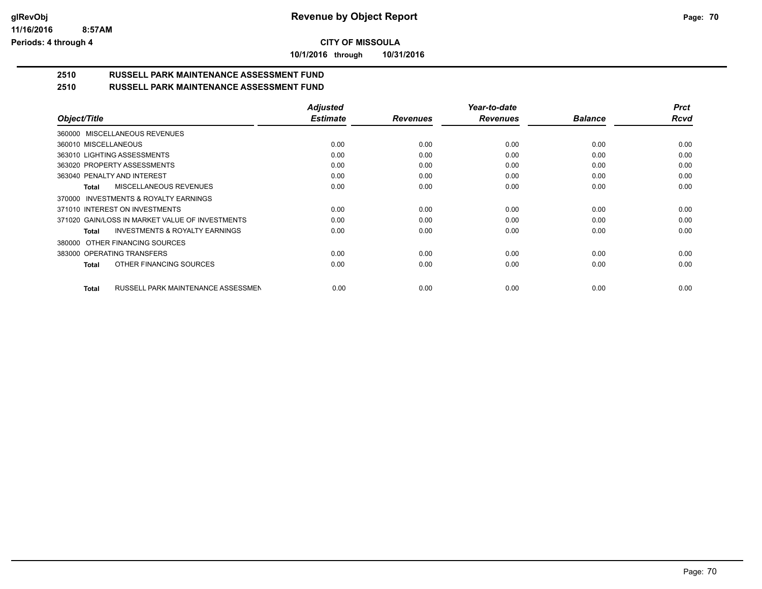#### **11/16/2016 8:57AM Periods: 4 through 4**

#### **CITY OF MISSOULA**

**10/1/2016 through 10/31/2016**

#### **2510 RUSSELL PARK MAINTENANCE ASSESSMENT FUND 2510 RUSSELL PARK MAINTENANCE ASSESSMENT FUND**

|                                                           | <b>Adjusted</b> |                 | Year-to-date    |                | <b>Prct</b> |
|-----------------------------------------------------------|-----------------|-----------------|-----------------|----------------|-------------|
| Object/Title                                              | <b>Estimate</b> | <b>Revenues</b> | <b>Revenues</b> | <b>Balance</b> | Rcvd        |
| 360000 MISCELLANEOUS REVENUES                             |                 |                 |                 |                |             |
| 360010 MISCELLANEOUS                                      | 0.00            | 0.00            | 0.00            | 0.00           | 0.00        |
| 363010 LIGHTING ASSESSMENTS                               | 0.00            | 0.00            | 0.00            | 0.00           | 0.00        |
| 363020 PROPERTY ASSESSMENTS                               | 0.00            | 0.00            | 0.00            | 0.00           | 0.00        |
| 363040 PENALTY AND INTEREST                               | 0.00            | 0.00            | 0.00            | 0.00           | 0.00        |
| <b>MISCELLANEOUS REVENUES</b><br><b>Total</b>             | 0.00            | 0.00            | 0.00            | 0.00           | 0.00        |
| <b>INVESTMENTS &amp; ROYALTY EARNINGS</b><br>370000       |                 |                 |                 |                |             |
| 371010 INTEREST ON INVESTMENTS                            | 0.00            | 0.00            | 0.00            | 0.00           | 0.00        |
| 371020 GAIN/LOSS IN MARKET VALUE OF INVESTMENTS           | 0.00            | 0.00            | 0.00            | 0.00           | 0.00        |
| <b>INVESTMENTS &amp; ROYALTY EARNINGS</b><br><b>Total</b> | 0.00            | 0.00            | 0.00            | 0.00           | 0.00        |
| OTHER FINANCING SOURCES<br>380000                         |                 |                 |                 |                |             |
| 383000 OPERATING TRANSFERS                                | 0.00            | 0.00            | 0.00            | 0.00           | 0.00        |
| OTHER FINANCING SOURCES<br><b>Total</b>                   | 0.00            | 0.00            | 0.00            | 0.00           | 0.00        |
|                                                           |                 |                 |                 |                |             |
| RUSSELL PARK MAINTENANCE ASSESSMEN<br><b>Total</b>        | 0.00            | 0.00            | 0.00            | 0.00           | 0.00        |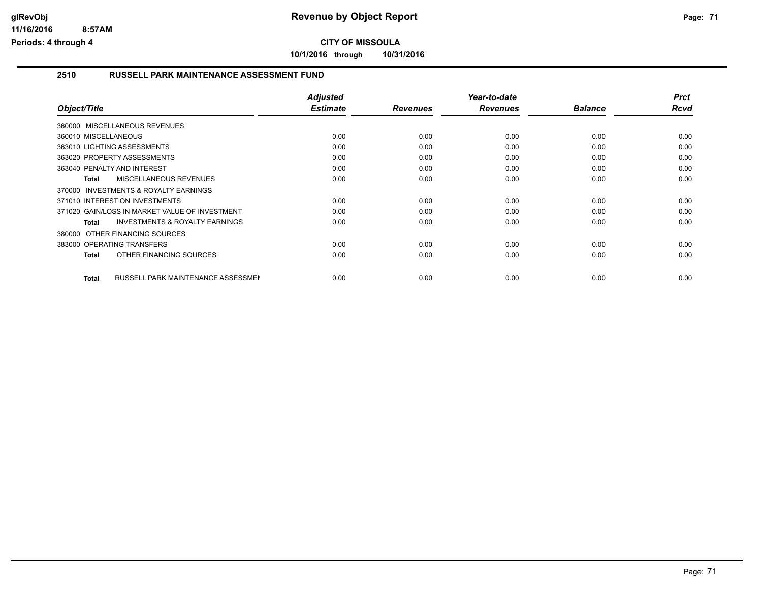**10/1/2016 through 10/31/2016**

#### **2510 RUSSELL PARK MAINTENANCE ASSESSMENT FUND**

| Object/Title                                              | <b>Adjusted</b><br><b>Estimate</b> | <b>Revenues</b> | Year-to-date<br><b>Revenues</b> | <b>Balance</b> | <b>Prct</b><br>Rcvd |
|-----------------------------------------------------------|------------------------------------|-----------------|---------------------------------|----------------|---------------------|
| 360000 MISCELLANEOUS REVENUES                             |                                    |                 |                                 |                |                     |
| 360010 MISCELLANEOUS                                      | 0.00                               | 0.00            | 0.00                            | 0.00           | 0.00                |
| 363010 LIGHTING ASSESSMENTS                               | 0.00                               | 0.00            | 0.00                            | 0.00           | 0.00                |
| 363020 PROPERTY ASSESSMENTS                               | 0.00                               | 0.00            | 0.00                            | 0.00           | 0.00                |
| 363040 PENALTY AND INTEREST                               | 0.00                               | 0.00            | 0.00                            | 0.00           | 0.00                |
| <b>MISCELLANEOUS REVENUES</b><br><b>Total</b>             | 0.00                               | 0.00            | 0.00                            | 0.00           | 0.00                |
| 370000 INVESTMENTS & ROYALTY EARNINGS                     |                                    |                 |                                 |                |                     |
| 371010 INTEREST ON INVESTMENTS                            | 0.00                               | 0.00            | 0.00                            | 0.00           | 0.00                |
| 371020 GAIN/LOSS IN MARKET VALUE OF INVESTMENT            | 0.00                               | 0.00            | 0.00                            | 0.00           | 0.00                |
| <b>INVESTMENTS &amp; ROYALTY EARNINGS</b><br><b>Total</b> | 0.00                               | 0.00            | 0.00                            | 0.00           | 0.00                |
| 380000 OTHER FINANCING SOURCES                            |                                    |                 |                                 |                |                     |
| 383000 OPERATING TRANSFERS                                | 0.00                               | 0.00            | 0.00                            | 0.00           | 0.00                |
| OTHER FINANCING SOURCES<br>Total                          | 0.00                               | 0.00            | 0.00                            | 0.00           | 0.00                |
| RUSSELL PARK MAINTENANCE ASSESSMEN<br>Total               | 0.00                               | 0.00            | 0.00                            | 0.00           | 0.00                |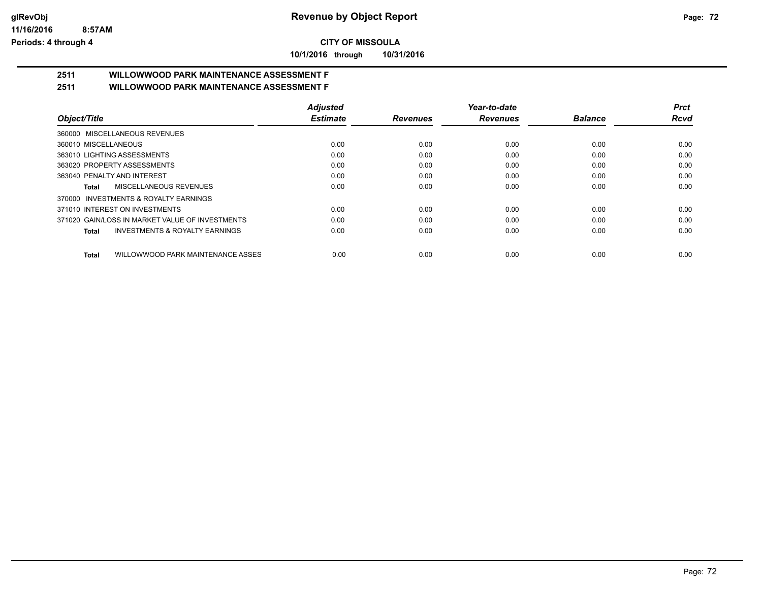**10/1/2016 through 10/31/2016**

# **2511 WILLOWWOOD PARK MAINTENANCE ASSESSMENT F**

**2511 WILLOWWOOD PARK MAINTENANCE ASSESSMENT F**

|                                                 | <b>Adjusted</b> |                 | Year-to-date    |                | <b>Prct</b> |
|-------------------------------------------------|-----------------|-----------------|-----------------|----------------|-------------|
| Object/Title                                    | <b>Estimate</b> | <b>Revenues</b> | <b>Revenues</b> | <b>Balance</b> | Rcvd        |
| 360000 MISCELLANEOUS REVENUES                   |                 |                 |                 |                |             |
| 360010 MISCELLANEOUS                            | 0.00            | 0.00            | 0.00            | 0.00           | 0.00        |
| 363010 LIGHTING ASSESSMENTS                     | 0.00            | 0.00            | 0.00            | 0.00           | 0.00        |
| 363020 PROPERTY ASSESSMENTS                     | 0.00            | 0.00            | 0.00            | 0.00           | 0.00        |
| 363040 PENALTY AND INTEREST                     | 0.00            | 0.00            | 0.00            | 0.00           | 0.00        |
| MISCELLANEOUS REVENUES<br>Total                 | 0.00            | 0.00            | 0.00            | 0.00           | 0.00        |
| 370000 INVESTMENTS & ROYALTY EARNINGS           |                 |                 |                 |                |             |
| 371010 INTEREST ON INVESTMENTS                  | 0.00            | 0.00            | 0.00            | 0.00           | 0.00        |
| 371020 GAIN/LOSS IN MARKET VALUE OF INVESTMENTS | 0.00            | 0.00            | 0.00            | 0.00           | 0.00        |
| INVESTMENTS & ROYALTY EARNINGS<br>Total         | 0.00            | 0.00            | 0.00            | 0.00           | 0.00        |
| WILLOWWOOD PARK MAINTENANCE ASSES<br>Total      | 0.00            | 0.00            | 0.00            | 0.00           | 0.00        |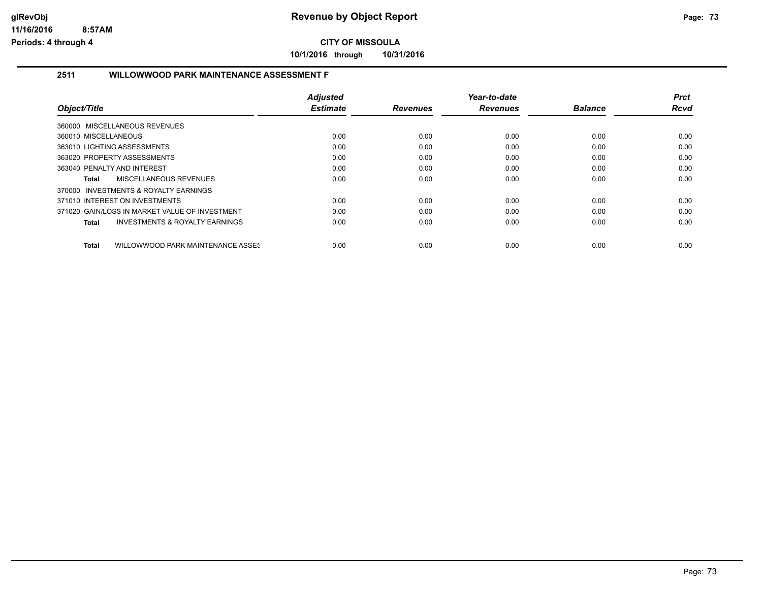**10/1/2016 through 10/31/2016**

#### **2511 WILLOWWOOD PARK MAINTENANCE ASSESSMENT F**

|                                                           | <b>Adjusted</b> |                 | Year-to-date    |                | <b>Prct</b> |
|-----------------------------------------------------------|-----------------|-----------------|-----------------|----------------|-------------|
| Object/Title                                              | <b>Estimate</b> | <b>Revenues</b> | <b>Revenues</b> | <b>Balance</b> | <b>Rcvd</b> |
| 360000 MISCELLANEOUS REVENUES                             |                 |                 |                 |                |             |
| 360010 MISCELLANEOUS                                      | 0.00            | 0.00            | 0.00            | 0.00           | 0.00        |
| 363010 LIGHTING ASSESSMENTS                               | 0.00            | 0.00            | 0.00            | 0.00           | 0.00        |
| 363020 PROPERTY ASSESSMENTS                               | 0.00            | 0.00            | 0.00            | 0.00           | 0.00        |
| 363040 PENALTY AND INTEREST                               | 0.00            | 0.00            | 0.00            | 0.00           | 0.00        |
| <b>MISCELLANEOUS REVENUES</b><br>Total                    | 0.00            | 0.00            | 0.00            | 0.00           | 0.00        |
| <b>INVESTMENTS &amp; ROYALTY EARNINGS</b><br>370000       |                 |                 |                 |                |             |
| 371010 INTEREST ON INVESTMENTS                            | 0.00            | 0.00            | 0.00            | 0.00           | 0.00        |
| 371020 GAIN/LOSS IN MARKET VALUE OF INVESTMENT            | 0.00            | 0.00            | 0.00            | 0.00           | 0.00        |
| <b>INVESTMENTS &amp; ROYALTY EARNINGS</b><br><b>Total</b> | 0.00            | 0.00            | 0.00            | 0.00           | 0.00        |
| WILLOWWOOD PARK MAINTENANCE ASSES<br><b>Total</b>         | 0.00            | 0.00            | 0.00            | 0.00           | 0.00        |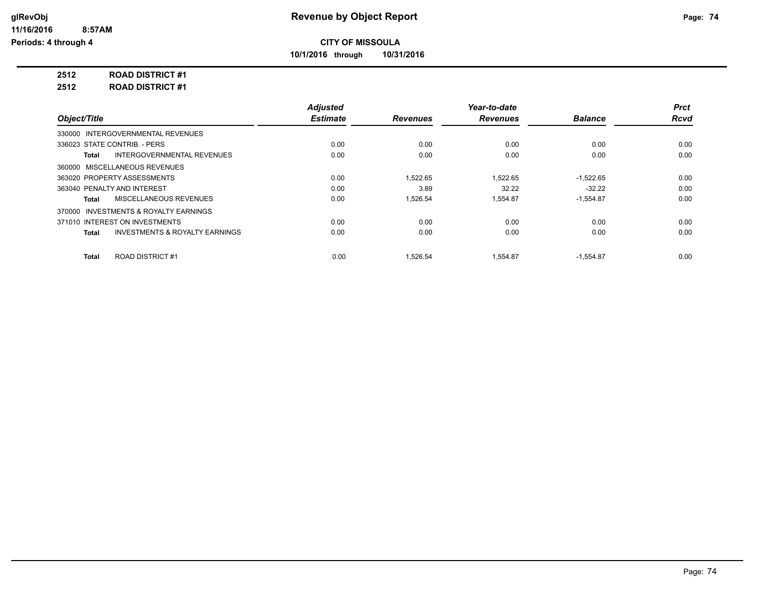**10/1/2016 through 10/31/2016**

**2512 ROAD DISTRICT #1**

**2512 ROAD DISTRICT #1**

|                                            | <b>Adjusted</b> |                 | Year-to-date    |                | <b>Prct</b> |
|--------------------------------------------|-----------------|-----------------|-----------------|----------------|-------------|
| Object/Title                               | <b>Estimate</b> | <b>Revenues</b> | <b>Revenues</b> | <b>Balance</b> | <b>Rcvd</b> |
| 330000 INTERGOVERNMENTAL REVENUES          |                 |                 |                 |                |             |
| 336023 STATE CONTRIB. - PERS               | 0.00            | 0.00            | 0.00            | 0.00           | 0.00        |
| <b>INTERGOVERNMENTAL REVENUES</b><br>Total | 0.00            | 0.00            | 0.00            | 0.00           | 0.00        |
| 360000 MISCELLANEOUS REVENUES              |                 |                 |                 |                |             |
| 363020 PROPERTY ASSESSMENTS                | 0.00            | 1.522.65        | 1.522.65        | $-1,522.65$    | 0.00        |
| 363040 PENALTY AND INTEREST                | 0.00            | 3.89            | 32.22           | $-32.22$       | 0.00        |
| MISCELLANEOUS REVENUES<br>Total            | 0.00            | 1,526.54        | 1,554.87        | $-1,554.87$    | 0.00        |
| 370000 INVESTMENTS & ROYALTY EARNINGS      |                 |                 |                 |                |             |
| 371010 INTEREST ON INVESTMENTS             | 0.00            | 0.00            | 0.00            | 0.00           | 0.00        |
| INVESTMENTS & ROYALTY EARNINGS<br>Total    | 0.00            | 0.00            | 0.00            | 0.00           | 0.00        |
| <b>ROAD DISTRICT #1</b><br>Total           | 0.00            | 1.526.54        | 1.554.87        | $-1,554.87$    | 0.00        |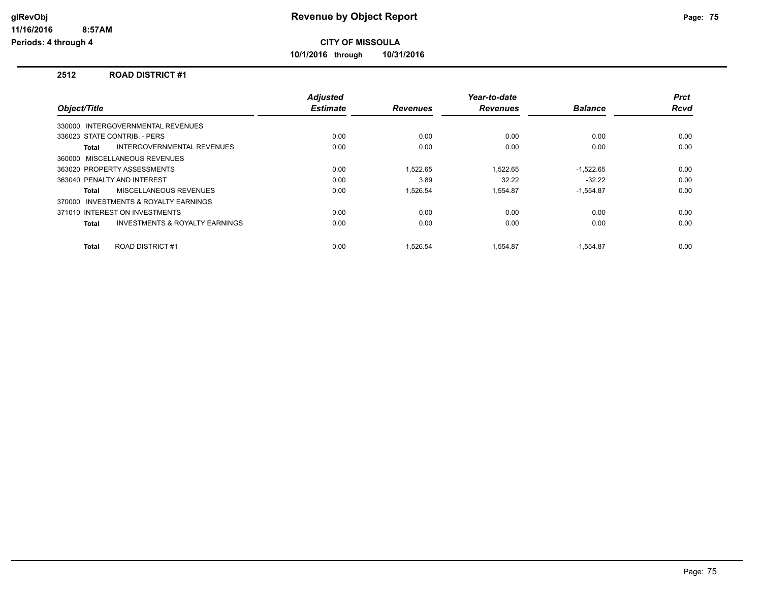**10/1/2016 through 10/31/2016**

#### **2512 ROAD DISTRICT #1**

|                                                    | <b>Adjusted</b> |                 | Year-to-date    |                | <b>Prct</b> |
|----------------------------------------------------|-----------------|-----------------|-----------------|----------------|-------------|
| Object/Title                                       | <b>Estimate</b> | <b>Revenues</b> | <b>Revenues</b> | <b>Balance</b> | <b>Rcvd</b> |
| 330000 INTERGOVERNMENTAL REVENUES                  |                 |                 |                 |                |             |
| 336023 STATE CONTRIB. - PERS                       | 0.00            | 0.00            | 0.00            | 0.00           | 0.00        |
| <b>INTERGOVERNMENTAL REVENUES</b><br>Total         | 0.00            | 0.00            | 0.00            | 0.00           | 0.00        |
| 360000 MISCELLANEOUS REVENUES                      |                 |                 |                 |                |             |
| 363020 PROPERTY ASSESSMENTS                        | 0.00            | 1.522.65        | 1.522.65        | $-1,522.65$    | 0.00        |
| 363040 PENALTY AND INTEREST                        | 0.00            | 3.89            | 32.22           | $-32.22$       | 0.00        |
| <b>MISCELLANEOUS REVENUES</b><br>Total             | 0.00            | 1.526.54        | 1,554.87        | $-1,554.87$    | 0.00        |
| 370000 INVESTMENTS & ROYALTY EARNINGS              |                 |                 |                 |                |             |
| 371010 INTEREST ON INVESTMENTS                     | 0.00            | 0.00            | 0.00            | 0.00           | 0.00        |
| <b>INVESTMENTS &amp; ROYALTY EARNINGS</b><br>Total | 0.00            | 0.00            | 0.00            | 0.00           | 0.00        |
| ROAD DISTRICT #1<br>Total                          | 0.00            | 1.526.54        | 1.554.87        | $-1.554.87$    | 0.00        |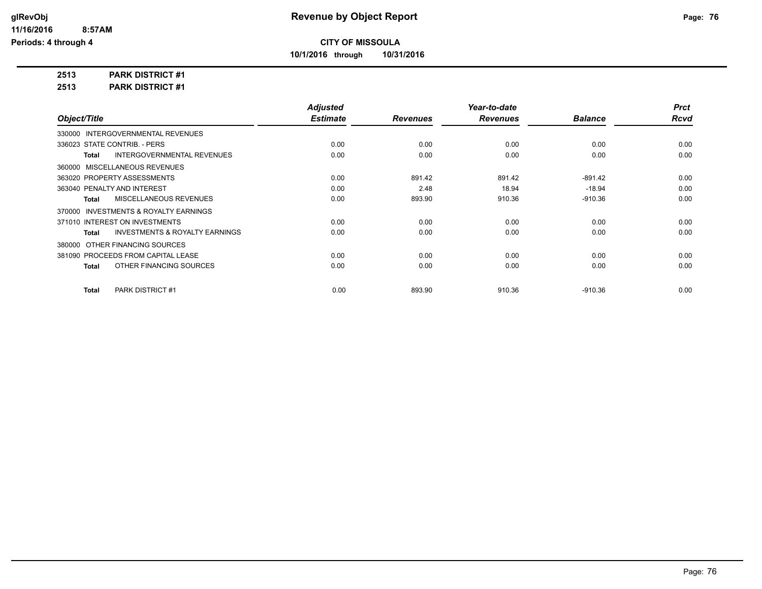**10/1/2016 through 10/31/2016**

**2513 PARK DISTRICT #1**

**2513 PARK DISTRICT #1**

|                                                     | <b>Adjusted</b> |                 | Year-to-date    |                | <b>Prct</b> |
|-----------------------------------------------------|-----------------|-----------------|-----------------|----------------|-------------|
| Object/Title                                        | <b>Estimate</b> | <b>Revenues</b> | <b>Revenues</b> | <b>Balance</b> | <b>Rcvd</b> |
| 330000 INTERGOVERNMENTAL REVENUES                   |                 |                 |                 |                |             |
| 336023 STATE CONTRIB. - PERS                        | 0.00            | 0.00            | 0.00            | 0.00           | 0.00        |
| <b>INTERGOVERNMENTAL REVENUES</b><br>Total          | 0.00            | 0.00            | 0.00            | 0.00           | 0.00        |
| 360000 MISCELLANEOUS REVENUES                       |                 |                 |                 |                |             |
| 363020 PROPERTY ASSESSMENTS                         | 0.00            | 891.42          | 891.42          | $-891.42$      | 0.00        |
| 363040 PENALTY AND INTEREST                         | 0.00            | 2.48            | 18.94           | $-18.94$       | 0.00        |
| MISCELLANEOUS REVENUES<br>Total                     | 0.00            | 893.90          | 910.36          | $-910.36$      | 0.00        |
| <b>INVESTMENTS &amp; ROYALTY EARNINGS</b><br>370000 |                 |                 |                 |                |             |
| 371010 INTEREST ON INVESTMENTS                      | 0.00            | 0.00            | 0.00            | 0.00           | 0.00        |
| <b>INVESTMENTS &amp; ROYALTY EARNINGS</b><br>Total  | 0.00            | 0.00            | 0.00            | 0.00           | 0.00        |
| 380000 OTHER FINANCING SOURCES                      |                 |                 |                 |                |             |
| 381090 PROCEEDS FROM CAPITAL LEASE                  | 0.00            | 0.00            | 0.00            | 0.00           | 0.00        |
| OTHER FINANCING SOURCES<br>Total                    | 0.00            | 0.00            | 0.00            | 0.00           | 0.00        |
|                                                     |                 |                 |                 |                |             |
| <b>PARK DISTRICT #1</b><br>Total                    | 0.00            | 893.90          | 910.36          | $-910.36$      | 0.00        |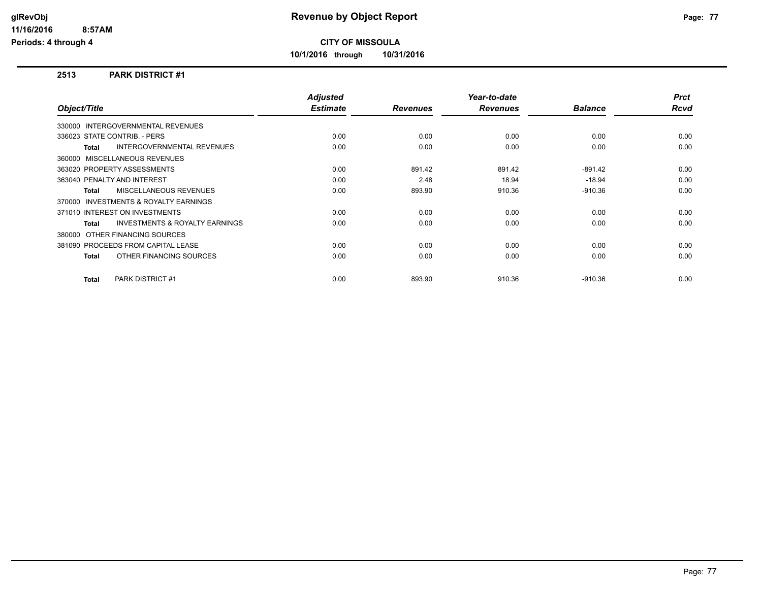**10/1/2016 through 10/31/2016**

#### **2513 PARK DISTRICT #1**

| Object/Title                                       | <b>Adjusted</b><br><b>Estimate</b> | <b>Revenues</b> | Year-to-date<br><b>Revenues</b> | <b>Balance</b> | <b>Prct</b><br><b>Rcvd</b> |
|----------------------------------------------------|------------------------------------|-----------------|---------------------------------|----------------|----------------------------|
| 330000 INTERGOVERNMENTAL REVENUES                  |                                    |                 |                                 |                |                            |
| 336023 STATE CONTRIB. - PERS                       | 0.00                               | 0.00            | 0.00                            | 0.00           | 0.00                       |
| INTERGOVERNMENTAL REVENUES<br><b>Total</b>         | 0.00                               | 0.00            | 0.00                            | 0.00           | 0.00                       |
| 360000 MISCELLANEOUS REVENUES                      |                                    |                 |                                 |                |                            |
| 363020 PROPERTY ASSESSMENTS                        | 0.00                               | 891.42          | 891.42                          | $-891.42$      | 0.00                       |
| 363040 PENALTY AND INTEREST                        | 0.00                               | 2.48            | 18.94                           | $-18.94$       | 0.00                       |
| MISCELLANEOUS REVENUES<br><b>Total</b>             | 0.00                               | 893.90          | 910.36                          | $-910.36$      | 0.00                       |
| 370000 INVESTMENTS & ROYALTY EARNINGS              |                                    |                 |                                 |                |                            |
| 371010 INTEREST ON INVESTMENTS                     | 0.00                               | 0.00            | 0.00                            | 0.00           | 0.00                       |
| <b>INVESTMENTS &amp; ROYALTY EARNINGS</b><br>Total | 0.00                               | 0.00            | 0.00                            | 0.00           | 0.00                       |
| 380000 OTHER FINANCING SOURCES                     |                                    |                 |                                 |                |                            |
| 381090 PROCEEDS FROM CAPITAL LEASE                 | 0.00                               | 0.00            | 0.00                            | 0.00           | 0.00                       |
| OTHER FINANCING SOURCES<br><b>Total</b>            | 0.00                               | 0.00            | 0.00                            | 0.00           | 0.00                       |
| <b>PARK DISTRICT #1</b><br><b>Total</b>            | 0.00                               | 893.90          | 910.36                          | $-910.36$      | 0.00                       |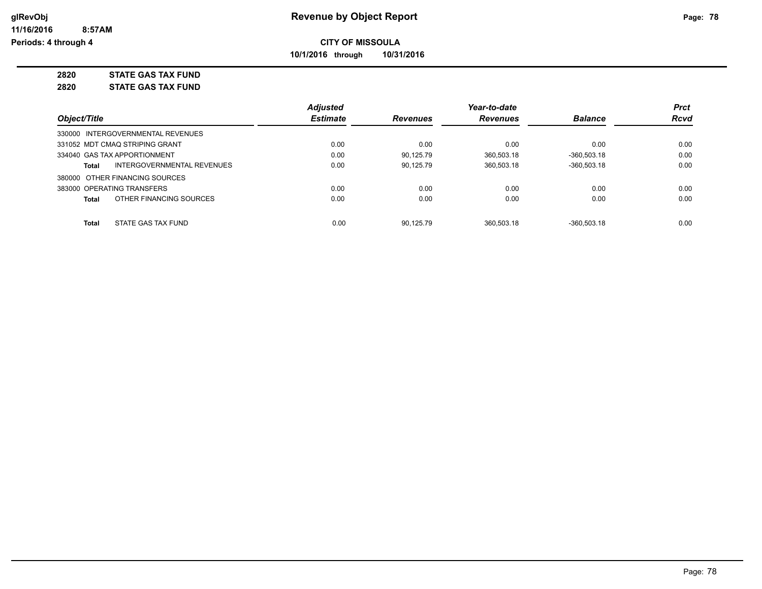**10/1/2016 through 10/31/2016**

#### **2820 STATE GAS TAX FUND**

**2820 STATE GAS TAX FUND**

|                                            | <b>Adjusted</b> |                 | Year-to-date    |                | <b>Prct</b> |
|--------------------------------------------|-----------------|-----------------|-----------------|----------------|-------------|
| Object/Title                               | <b>Estimate</b> | <b>Revenues</b> | <b>Revenues</b> | <b>Balance</b> | <b>Rcvd</b> |
| 330000 INTERGOVERNMENTAL REVENUES          |                 |                 |                 |                |             |
| 331052 MDT CMAQ STRIPING GRANT             | 0.00            | 0.00            | 0.00            | 0.00           | 0.00        |
| 334040 GAS TAX APPORTIONMENT               | 0.00            | 90.125.79       | 360.503.18      | $-360.503.18$  | 0.00        |
| INTERGOVERNMENTAL REVENUES<br><b>Total</b> | 0.00            | 90.125.79       | 360,503.18      | $-360,503.18$  | 0.00        |
| 380000 OTHER FINANCING SOURCES             |                 |                 |                 |                |             |
| 383000 OPERATING TRANSFERS                 | 0.00            | 0.00            | 0.00            | 0.00           | 0.00        |
| OTHER FINANCING SOURCES<br><b>Total</b>    | 0.00            | 0.00            | 0.00            | 0.00           | 0.00        |
|                                            |                 |                 |                 |                |             |
| STATE GAS TAX FUND<br><b>Total</b>         | 0.00            | 90.125.79       | 360.503.18      | $-360.503.18$  | 0.00        |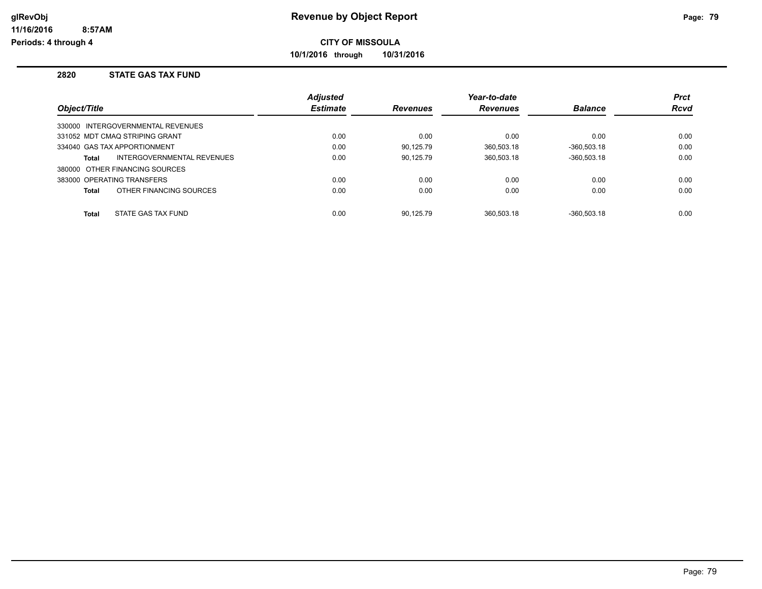**10/1/2016 through 10/31/2016**

## **2820 STATE GAS TAX FUND**

|                                            | <b>Adjusted</b> |                 | Year-to-date    |                | <b>Prct</b> |
|--------------------------------------------|-----------------|-----------------|-----------------|----------------|-------------|
| Object/Title                               | <b>Estimate</b> | <b>Revenues</b> | <b>Revenues</b> | <b>Balance</b> | <b>Rcvd</b> |
| 330000 INTERGOVERNMENTAL REVENUES          |                 |                 |                 |                |             |
| 331052 MDT CMAQ STRIPING GRANT             | 0.00            | 0.00            | 0.00            | 0.00           | 0.00        |
| 334040 GAS TAX APPORTIONMENT               | 0.00            | 90.125.79       | 360.503.18      | $-360.503.18$  | 0.00        |
| INTERGOVERNMENTAL REVENUES<br><b>Total</b> | 0.00            | 90.125.79       | 360.503.18      | $-360.503.18$  | 0.00        |
| 380000 OTHER FINANCING SOURCES             |                 |                 |                 |                |             |
| 383000 OPERATING TRANSFERS                 | 0.00            | 0.00            | 0.00            | 0.00           | 0.00        |
| OTHER FINANCING SOURCES<br><b>Total</b>    | 0.00            | 0.00            | 0.00            | 0.00           | 0.00        |
| <b>Total</b><br>STATE GAS TAX FUND         | 0.00            | 90.125.79       | 360.503.18      | $-360.503.18$  | 0.00        |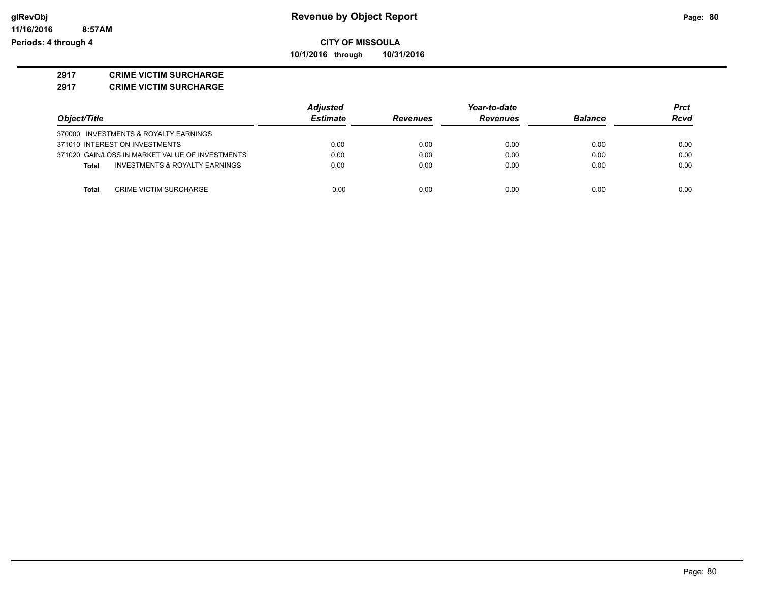**10/1/2016 through 10/31/2016**

# **2917 CRIME VICTIM SURCHARGE**

**2917 CRIME VICTIM SURCHARGE**

|                                                           | <b>Adjusted</b> |                 | Year-to-date    |                | Prct        |
|-----------------------------------------------------------|-----------------|-----------------|-----------------|----------------|-------------|
| Object/Title                                              | <b>Estimate</b> | <b>Revenues</b> | <b>Revenues</b> | <b>Balance</b> | <b>Rcvd</b> |
| 370000 INVESTMENTS & ROYALTY EARNINGS                     |                 |                 |                 |                |             |
| 371010 INTEREST ON INVESTMENTS                            | 0.00            | 0.00            | 0.00            | 0.00           | 0.00        |
| 371020 GAIN/LOSS IN MARKET VALUE OF INVESTMENTS           | 0.00            | 0.00            | 0.00            | 0.00           | 0.00        |
| <b>INVESTMENTS &amp; ROYALTY EARNINGS</b><br><b>Total</b> | 0.00            | 0.00            | 0.00            | 0.00           | 0.00        |
| Total<br>CRIME VICTIM SURCHARGE                           | 0.00            | 0.00            | 0.00            | 0.00           | 0.00        |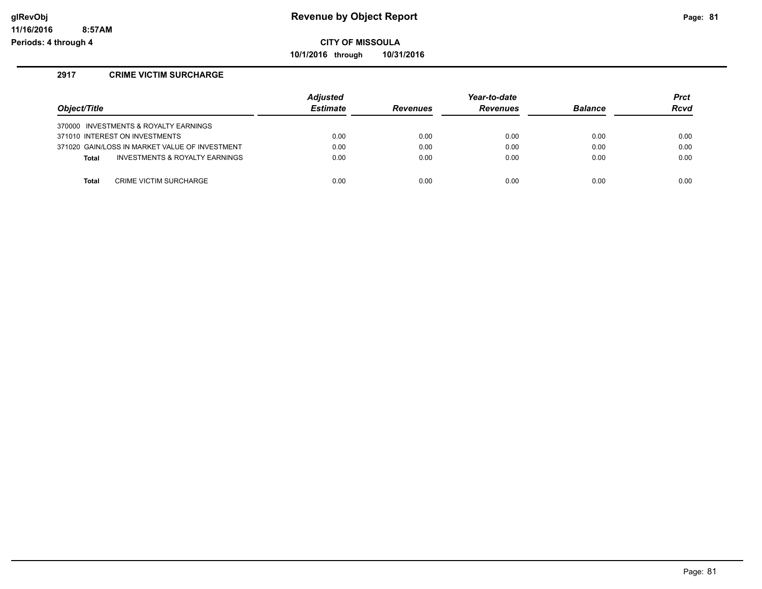**Periods: 4 through 4**

**CITY OF MISSOULA**

**10/1/2016 through 10/31/2016**

#### **2917 CRIME VICTIM SURCHARGE**

 **8:57AM**

| Object/Title                                   | <b>Adjusted</b><br><b>Estimate</b> | <b>Revenues</b> | Year-to-date<br><b>Revenues</b> | <b>Balance</b> | <b>Prct</b><br><b>Rcvd</b> |
|------------------------------------------------|------------------------------------|-----------------|---------------------------------|----------------|----------------------------|
| 370000 INVESTMENTS & ROYALTY EARNINGS          |                                    |                 |                                 |                |                            |
| 371010 INTEREST ON INVESTMENTS                 | 0.00                               | 0.00            | 0.00                            | 0.00           | 0.00                       |
| 371020 GAIN/LOSS IN MARKET VALUE OF INVESTMENT | 0.00                               | 0.00            | 0.00                            | 0.00           | 0.00                       |
| INVESTMENTS & ROYALTY EARNINGS<br><b>Total</b> | 0.00                               | 0.00            | 0.00                            | 0.00           | 0.00                       |
|                                                |                                    |                 |                                 |                |                            |
| <b>CRIME VICTIM SURCHARGE</b><br>Total         | 0.00                               | 0.00            | 0.00                            | 0.00           | 0.00                       |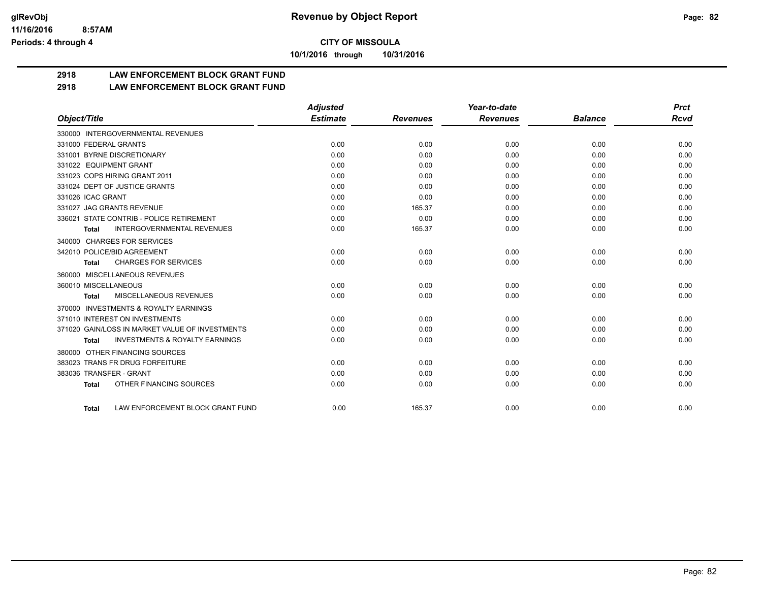#### **11/16/2016 8:57AM Periods: 4 through 4**

**CITY OF MISSOULA**

**10/1/2016 through 10/31/2016**

# **2918 LAW ENFORCEMENT BLOCK GRANT FUND**

# **2918 LAW ENFORCEMENT BLOCK GRANT FUND**

|                                                     | <b>Adjusted</b> |                 | Year-to-date    |                | <b>Prct</b> |
|-----------------------------------------------------|-----------------|-----------------|-----------------|----------------|-------------|
| Object/Title                                        | <b>Estimate</b> | <b>Revenues</b> | <b>Revenues</b> | <b>Balance</b> | <b>Rcvd</b> |
| 330000 INTERGOVERNMENTAL REVENUES                   |                 |                 |                 |                |             |
| 331000 FEDERAL GRANTS                               | 0.00            | 0.00            | 0.00            | 0.00           | 0.00        |
| 331001 BYRNE DISCRETIONARY                          | 0.00            | 0.00            | 0.00            | 0.00           | 0.00        |
| 331022 EQUIPMENT GRANT                              | 0.00            | 0.00            | 0.00            | 0.00           | 0.00        |
| 331023 COPS HIRING GRANT 2011                       | 0.00            | 0.00            | 0.00            | 0.00           | 0.00        |
| 331024 DEPT OF JUSTICE GRANTS                       | 0.00            | 0.00            | 0.00            | 0.00           | 0.00        |
| 331026 ICAC GRANT                                   | 0.00            | 0.00            | 0.00            | 0.00           | 0.00        |
| 331027 JAG GRANTS REVENUE                           | 0.00            | 165.37          | 0.00            | 0.00           | 0.00        |
| 336021 STATE CONTRIB - POLICE RETIREMENT            | 0.00            | 0.00            | 0.00            | 0.00           | 0.00        |
| <b>INTERGOVERNMENTAL REVENUES</b><br><b>Total</b>   | 0.00            | 165.37          | 0.00            | 0.00           | 0.00        |
| 340000 CHARGES FOR SERVICES                         |                 |                 |                 |                |             |
| 342010 POLICE/BID AGREEMENT                         | 0.00            | 0.00            | 0.00            | 0.00           | 0.00        |
| <b>CHARGES FOR SERVICES</b><br><b>Total</b>         | 0.00            | 0.00            | 0.00            | 0.00           | 0.00        |
| 360000 MISCELLANEOUS REVENUES                       |                 |                 |                 |                |             |
| 360010 MISCELLANEOUS                                | 0.00            | 0.00            | 0.00            | 0.00           | 0.00        |
| MISCELLANEOUS REVENUES<br><b>Total</b>              | 0.00            | 0.00            | 0.00            | 0.00           | 0.00        |
| <b>INVESTMENTS &amp; ROYALTY EARNINGS</b><br>370000 |                 |                 |                 |                |             |
| 371010 INTEREST ON INVESTMENTS                      | 0.00            | 0.00            | 0.00            | 0.00           | 0.00        |
| 371020 GAIN/LOSS IN MARKET VALUE OF INVESTMENTS     | 0.00            | 0.00            | 0.00            | 0.00           | 0.00        |
| <b>INVESTMENTS &amp; ROYALTY EARNINGS</b><br>Total  | 0.00            | 0.00            | 0.00            | 0.00           | 0.00        |
| OTHER FINANCING SOURCES<br>380000                   |                 |                 |                 |                |             |
| 383023 TRANS FR DRUG FORFEITURE                     | 0.00            | 0.00            | 0.00            | 0.00           | 0.00        |
| 383036 TRANSFER - GRANT                             | 0.00            | 0.00            | 0.00            | 0.00           | 0.00        |
| OTHER FINANCING SOURCES<br><b>Total</b>             | 0.00            | 0.00            | 0.00            | 0.00           | 0.00        |
| LAW ENFORCEMENT BLOCK GRANT FUND<br>Total           | 0.00            | 165.37          | 0.00            | 0.00           | 0.00        |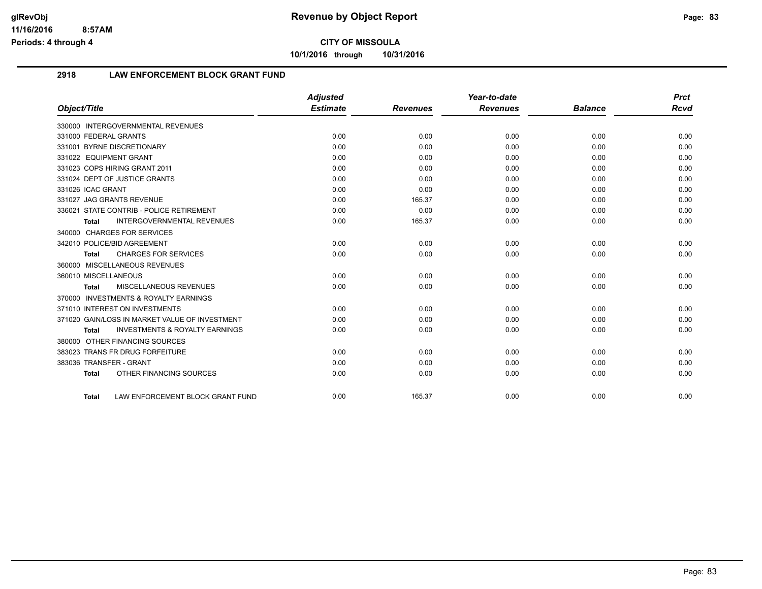**10/1/2016 through 10/31/2016**

# **2918 LAW ENFORCEMENT BLOCK GRANT FUND**

|                                                           | <b>Adjusted</b> |                 | Year-to-date    |                | <b>Prct</b> |
|-----------------------------------------------------------|-----------------|-----------------|-----------------|----------------|-------------|
| Object/Title                                              | <b>Estimate</b> | <b>Revenues</b> | <b>Revenues</b> | <b>Balance</b> | <b>Rcvd</b> |
| 330000 INTERGOVERNMENTAL REVENUES                         |                 |                 |                 |                |             |
| 331000 FEDERAL GRANTS                                     | 0.00            | 0.00            | 0.00            | 0.00           | 0.00        |
| 331001 BYRNE DISCRETIONARY                                | 0.00            | 0.00            | 0.00            | 0.00           | 0.00        |
| 331022 EQUIPMENT GRANT                                    | 0.00            | 0.00            | 0.00            | 0.00           | 0.00        |
| 331023 COPS HIRING GRANT 2011                             | 0.00            | 0.00            | 0.00            | 0.00           | 0.00        |
| 331024 DEPT OF JUSTICE GRANTS                             | 0.00            | 0.00            | 0.00            | 0.00           | 0.00        |
| 331026 ICAC GRANT                                         | 0.00            | 0.00            | 0.00            | 0.00           | 0.00        |
| 331027 JAG GRANTS REVENUE                                 | 0.00            | 165.37          | 0.00            | 0.00           | 0.00        |
| 336021 STATE CONTRIB - POLICE RETIREMENT                  | 0.00            | 0.00            | 0.00            | 0.00           | 0.00        |
| <b>INTERGOVERNMENTAL REVENUES</b><br>Total                | 0.00            | 165.37          | 0.00            | 0.00           | 0.00        |
| 340000 CHARGES FOR SERVICES                               |                 |                 |                 |                |             |
| 342010 POLICE/BID AGREEMENT                               | 0.00            | 0.00            | 0.00            | 0.00           | 0.00        |
| <b>CHARGES FOR SERVICES</b><br><b>Total</b>               | 0.00            | 0.00            | 0.00            | 0.00           | 0.00        |
| 360000 MISCELLANEOUS REVENUES                             |                 |                 |                 |                |             |
| 360010 MISCELLANEOUS                                      | 0.00            | 0.00            | 0.00            | 0.00           | 0.00        |
| MISCELLANEOUS REVENUES<br>Total                           | 0.00            | 0.00            | 0.00            | 0.00           | 0.00        |
| 370000 INVESTMENTS & ROYALTY EARNINGS                     |                 |                 |                 |                |             |
| 371010 INTEREST ON INVESTMENTS                            | 0.00            | 0.00            | 0.00            | 0.00           | 0.00        |
| 371020 GAIN/LOSS IN MARKET VALUE OF INVESTMENT            | 0.00            | 0.00            | 0.00            | 0.00           | 0.00        |
| <b>INVESTMENTS &amp; ROYALTY EARNINGS</b><br><b>Total</b> | 0.00            | 0.00            | 0.00            | 0.00           | 0.00        |
| 380000 OTHER FINANCING SOURCES                            |                 |                 |                 |                |             |
| 383023 TRANS FR DRUG FORFEITURE                           | 0.00            | 0.00            | 0.00            | 0.00           | 0.00        |
| 383036 TRANSFER - GRANT                                   | 0.00            | 0.00            | 0.00            | 0.00           | 0.00        |
| OTHER FINANCING SOURCES<br><b>Total</b>                   | 0.00            | 0.00            | 0.00            | 0.00           | 0.00        |
| LAW ENFORCEMENT BLOCK GRANT FUND<br>Total                 | 0.00            | 165.37          | 0.00            | 0.00           | 0.00        |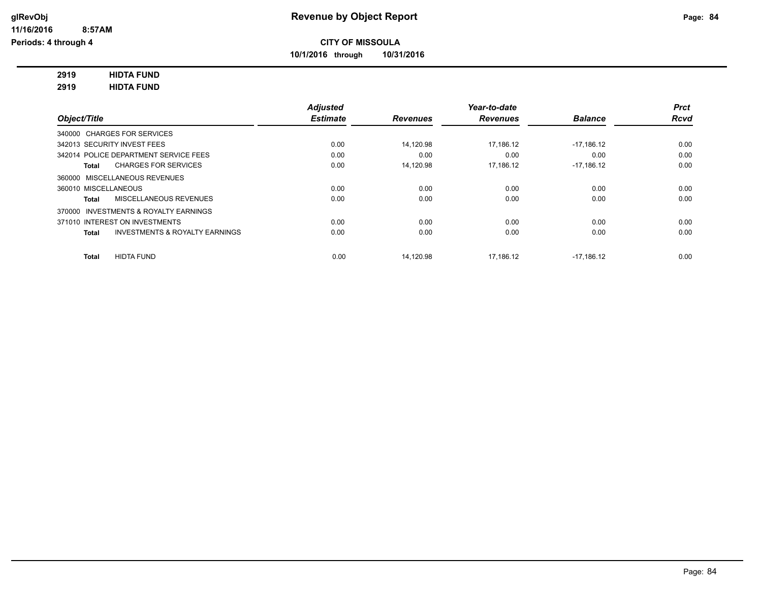**10/1/2016 through 10/31/2016**

# **2919 HIDTA FUND**

**2919 HIDTA FUND**

|                                                     | <b>Adjusted</b> |                 | Year-to-date    |                | <b>Prct</b> |
|-----------------------------------------------------|-----------------|-----------------|-----------------|----------------|-------------|
| Object/Title                                        | <b>Estimate</b> | <b>Revenues</b> | <b>Revenues</b> | <b>Balance</b> | <b>Rcvd</b> |
| 340000 CHARGES FOR SERVICES                         |                 |                 |                 |                |             |
| 342013 SECURITY INVEST FEES                         | 0.00            | 14,120.98       | 17.186.12       | $-17.186.12$   | 0.00        |
| 342014 POLICE DEPARTMENT SERVICE FEES               | 0.00            | 0.00            | 0.00            | 0.00           | 0.00        |
| <b>CHARGES FOR SERVICES</b><br>Total                | 0.00            | 14,120.98       | 17,186.12       | $-17,186.12$   | 0.00        |
| 360000 MISCELLANEOUS REVENUES                       |                 |                 |                 |                |             |
| 360010 MISCELLANEOUS                                | 0.00            | 0.00            | 0.00            | 0.00           | 0.00        |
| MISCELLANEOUS REVENUES<br>Total                     | 0.00            | 0.00            | 0.00            | 0.00           | 0.00        |
| <b>INVESTMENTS &amp; ROYALTY EARNINGS</b><br>370000 |                 |                 |                 |                |             |
| 371010 INTEREST ON INVESTMENTS                      | 0.00            | 0.00            | 0.00            | 0.00           | 0.00        |
| <b>INVESTMENTS &amp; ROYALTY EARNINGS</b><br>Total  | 0.00            | 0.00            | 0.00            | 0.00           | 0.00        |
| <b>HIDTA FUND</b><br><b>Total</b>                   | 0.00            | 14.120.98       | 17.186.12       | $-17.186.12$   | 0.00        |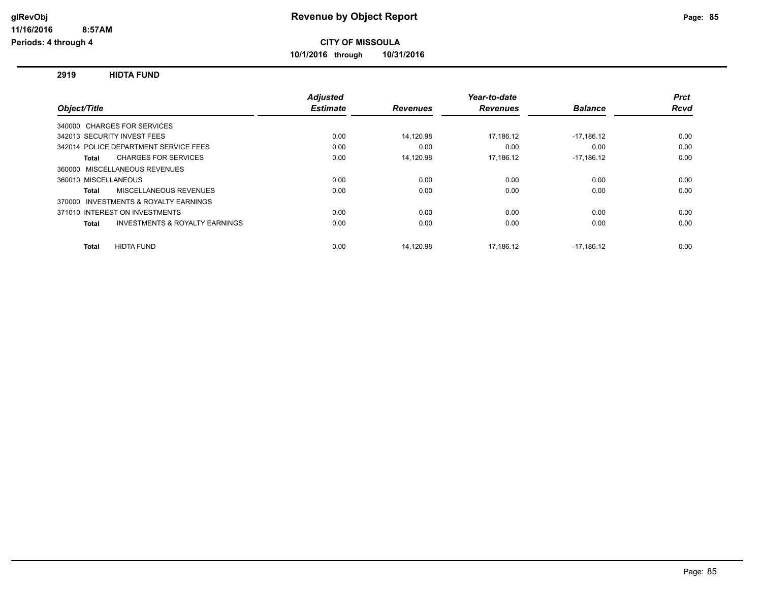**Periods: 4 through 4**

**CITY OF MISSOULA**

**10/1/2016 through 10/31/2016**

**2919 HIDTA FUND**

|                                                    | <b>Adjusted</b> |                 | Year-to-date    |                | <b>Prct</b> |
|----------------------------------------------------|-----------------|-----------------|-----------------|----------------|-------------|
| Object/Title                                       | <b>Estimate</b> | <b>Revenues</b> | <b>Revenues</b> | <b>Balance</b> | <b>Rcvd</b> |
| 340000 CHARGES FOR SERVICES                        |                 |                 |                 |                |             |
| 342013 SECURITY INVEST FEES                        | 0.00            | 14,120.98       | 17.186.12       | -17.186.12     | 0.00        |
| 342014 POLICE DEPARTMENT SERVICE FEES              | 0.00            | 0.00            | 0.00            | 0.00           | 0.00        |
| <b>CHARGES FOR SERVICES</b><br>Total               | 0.00            | 14.120.98       | 17.186.12       | $-17.186.12$   | 0.00        |
| 360000 MISCELLANEOUS REVENUES                      |                 |                 |                 |                |             |
| 360010 MISCELLANEOUS                               | 0.00            | 0.00            | 0.00            | 0.00           | 0.00        |
| MISCELLANEOUS REVENUES<br>Total                    | 0.00            | 0.00            | 0.00            | 0.00           | 0.00        |
| 370000 INVESTMENTS & ROYALTY EARNINGS              |                 |                 |                 |                |             |
| 371010 INTEREST ON INVESTMENTS                     | 0.00            | 0.00            | 0.00            | 0.00           | 0.00        |
| <b>INVESTMENTS &amp; ROYALTY EARNINGS</b><br>Total | 0.00            | 0.00            | 0.00            | 0.00           | 0.00        |
| <b>HIDTA FUND</b><br><b>Total</b>                  | 0.00            | 14.120.98       | 17.186.12       | $-17.186.12$   | 0.00        |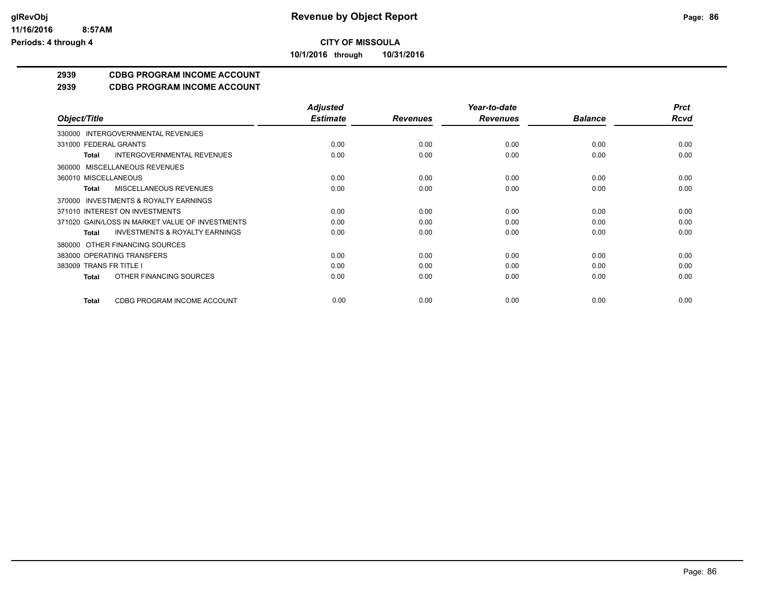**10/1/2016 through 10/31/2016**

# **2939 CDBG PROGRAM INCOME ACCOUNT**

# **2939 CDBG PROGRAM INCOME ACCOUNT**

|                                                    | <b>Adjusted</b> |                 | Year-to-date    |                | <b>Prct</b> |
|----------------------------------------------------|-----------------|-----------------|-----------------|----------------|-------------|
| Object/Title                                       | <b>Estimate</b> | <b>Revenues</b> | <b>Revenues</b> | <b>Balance</b> | Rcvd        |
| 330000 INTERGOVERNMENTAL REVENUES                  |                 |                 |                 |                |             |
| 331000 FEDERAL GRANTS                              | 0.00            | 0.00            | 0.00            | 0.00           | 0.00        |
| INTERGOVERNMENTAL REVENUES<br>Total                | 0.00            | 0.00            | 0.00            | 0.00           | 0.00        |
| 360000 MISCELLANEOUS REVENUES                      |                 |                 |                 |                |             |
| 360010 MISCELLANEOUS                               | 0.00            | 0.00            | 0.00            | 0.00           | 0.00        |
| MISCELLANEOUS REVENUES<br>Total                    | 0.00            | 0.00            | 0.00            | 0.00           | 0.00        |
| 370000 INVESTMENTS & ROYALTY EARNINGS              |                 |                 |                 |                |             |
| 371010 INTEREST ON INVESTMENTS                     | 0.00            | 0.00            | 0.00            | 0.00           | 0.00        |
| 371020 GAIN/LOSS IN MARKET VALUE OF INVESTMENTS    | 0.00            | 0.00            | 0.00            | 0.00           | 0.00        |
| <b>INVESTMENTS &amp; ROYALTY EARNINGS</b><br>Total | 0.00            | 0.00            | 0.00            | 0.00           | 0.00        |
| 380000 OTHER FINANCING SOURCES                     |                 |                 |                 |                |             |
| 383000 OPERATING TRANSFERS                         | 0.00            | 0.00            | 0.00            | 0.00           | 0.00        |
| 383009 TRANS FR TITLE I                            | 0.00            | 0.00            | 0.00            | 0.00           | 0.00        |
| OTHER FINANCING SOURCES<br>Total                   | 0.00            | 0.00            | 0.00            | 0.00           | 0.00        |
|                                                    |                 |                 |                 |                |             |
| CDBG PROGRAM INCOME ACCOUNT<br>Total               | 0.00            | 0.00            | 0.00            | 0.00           | 0.00        |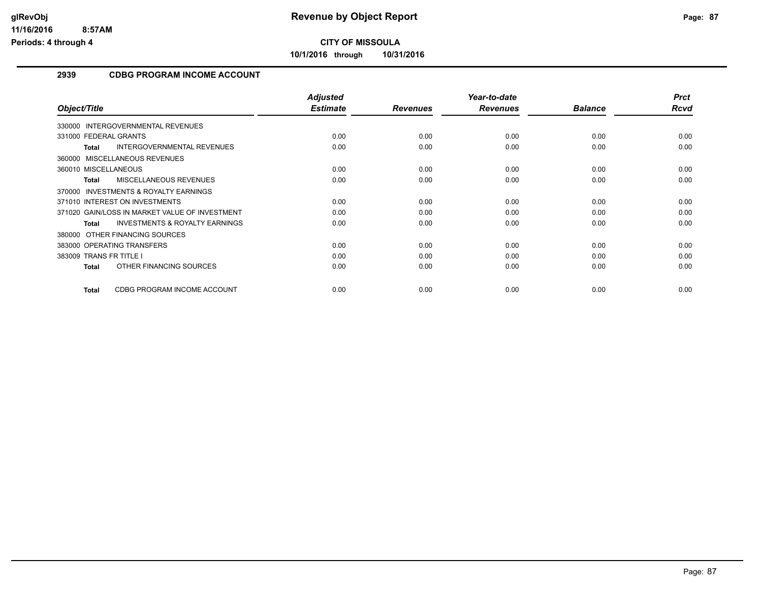**Periods: 4 through 4**

**CITY OF MISSOULA**

**10/1/2016 through 10/31/2016**

# **2939 CDBG PROGRAM INCOME ACCOUNT**

|                                                           | <b>Adjusted</b> |                 | Year-to-date    |                | <b>Prct</b> |
|-----------------------------------------------------------|-----------------|-----------------|-----------------|----------------|-------------|
| Object/Title                                              | <b>Estimate</b> | <b>Revenues</b> | <b>Revenues</b> | <b>Balance</b> | <b>Rcvd</b> |
| 330000 INTERGOVERNMENTAL REVENUES                         |                 |                 |                 |                |             |
| 331000 FEDERAL GRANTS                                     | 0.00            | 0.00            | 0.00            | 0.00           | 0.00        |
| <b>INTERGOVERNMENTAL REVENUES</b><br><b>Total</b>         | 0.00            | 0.00            | 0.00            | 0.00           | 0.00        |
| 360000 MISCELLANEOUS REVENUES                             |                 |                 |                 |                |             |
| 360010 MISCELLANEOUS                                      | 0.00            | 0.00            | 0.00            | 0.00           | 0.00        |
| MISCELLANEOUS REVENUES<br><b>Total</b>                    | 0.00            | 0.00            | 0.00            | 0.00           | 0.00        |
| 370000 INVESTMENTS & ROYALTY EARNINGS                     |                 |                 |                 |                |             |
| 371010 INTEREST ON INVESTMENTS                            | 0.00            | 0.00            | 0.00            | 0.00           | 0.00        |
| 371020 GAIN/LOSS IN MARKET VALUE OF INVESTMENT            | 0.00            | 0.00            | 0.00            | 0.00           | 0.00        |
| <b>INVESTMENTS &amp; ROYALTY EARNINGS</b><br><b>Total</b> | 0.00            | 0.00            | 0.00            | 0.00           | 0.00        |
| 380000 OTHER FINANCING SOURCES                            |                 |                 |                 |                |             |
| 383000 OPERATING TRANSFERS                                | 0.00            | 0.00            | 0.00            | 0.00           | 0.00        |
| 383009 TRANS FR TITLE I                                   | 0.00            | 0.00            | 0.00            | 0.00           | 0.00        |
| OTHER FINANCING SOURCES<br><b>Total</b>                   | 0.00            | 0.00            | 0.00            | 0.00           | 0.00        |
| CDBG PROGRAM INCOME ACCOUNT<br><b>Total</b>               | 0.00            | 0.00            | 0.00            | 0.00           | 0.00        |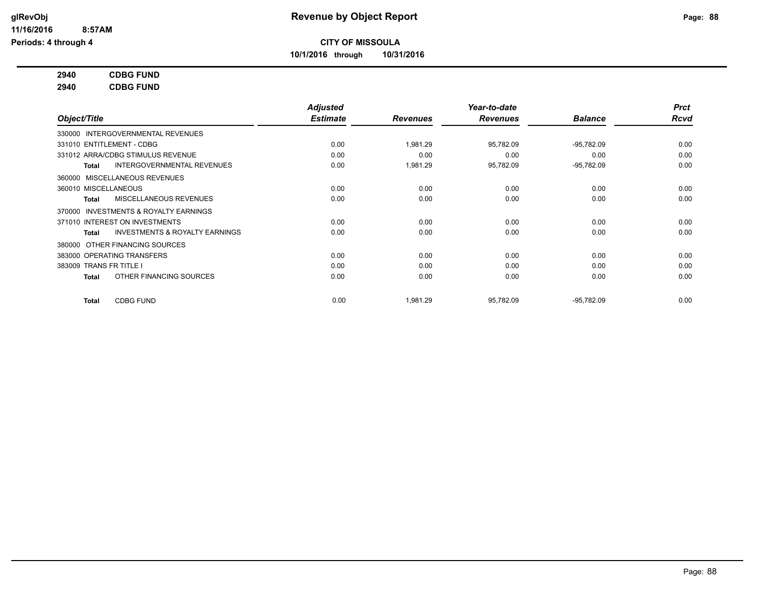**10/1/2016 through 10/31/2016**

# **2940 CDBG FUND**

**2940 CDBG FUND**

|                                                    | <b>Adjusted</b> |                 | Year-to-date    |                | <b>Prct</b> |
|----------------------------------------------------|-----------------|-----------------|-----------------|----------------|-------------|
| Object/Title                                       | <b>Estimate</b> | <b>Revenues</b> | <b>Revenues</b> | <b>Balance</b> | <b>Rcvd</b> |
| 330000 INTERGOVERNMENTAL REVENUES                  |                 |                 |                 |                |             |
| 331010 ENTITLEMENT - CDBG                          | 0.00            | 1,981.29        | 95,782.09       | $-95,782.09$   | 0.00        |
| 331012 ARRA/CDBG STIMULUS REVENUE                  | 0.00            | 0.00            | 0.00            | 0.00           | 0.00        |
| <b>INTERGOVERNMENTAL REVENUES</b><br>Total         | 0.00            | 1,981.29        | 95,782.09       | $-95,782.09$   | 0.00        |
| 360000 MISCELLANEOUS REVENUES                      |                 |                 |                 |                |             |
| 360010 MISCELLANEOUS                               | 0.00            | 0.00            | 0.00            | 0.00           | 0.00        |
| MISCELLANEOUS REVENUES<br>Total                    | 0.00            | 0.00            | 0.00            | 0.00           | 0.00        |
| 370000 INVESTMENTS & ROYALTY EARNINGS              |                 |                 |                 |                |             |
| 371010 INTEREST ON INVESTMENTS                     | 0.00            | 0.00            | 0.00            | 0.00           | 0.00        |
| <b>INVESTMENTS &amp; ROYALTY EARNINGS</b><br>Total | 0.00            | 0.00            | 0.00            | 0.00           | 0.00        |
| OTHER FINANCING SOURCES<br>380000                  |                 |                 |                 |                |             |
| 383000 OPERATING TRANSFERS                         | 0.00            | 0.00            | 0.00            | 0.00           | 0.00        |
| 383009 TRANS FR TITLE I                            | 0.00            | 0.00            | 0.00            | 0.00           | 0.00        |
| OTHER FINANCING SOURCES<br>Total                   | 0.00            | 0.00            | 0.00            | 0.00           | 0.00        |
| <b>CDBG FUND</b><br><b>Total</b>                   | 0.00            | 1,981.29        | 95,782.09       | $-95,782.09$   | 0.00        |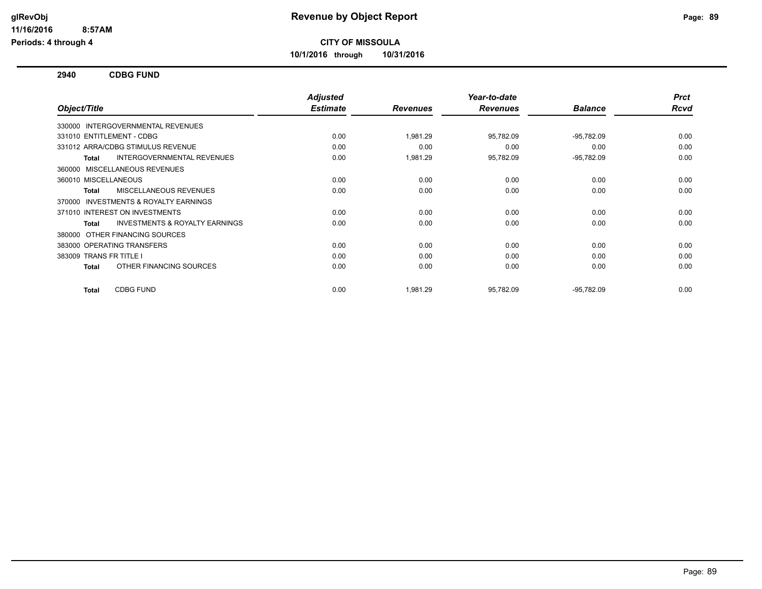**10/1/2016 through 10/31/2016**

**2940 CDBG FUND**

|                                                           | <b>Adjusted</b> |                 | Year-to-date    |                | <b>Prct</b> |
|-----------------------------------------------------------|-----------------|-----------------|-----------------|----------------|-------------|
| Object/Title                                              | <b>Estimate</b> | <b>Revenues</b> | <b>Revenues</b> | <b>Balance</b> | <b>Rcvd</b> |
| 330000 INTERGOVERNMENTAL REVENUES                         |                 |                 |                 |                |             |
| 331010 ENTITLEMENT - CDBG                                 | 0.00            | 1,981.29        | 95,782.09       | $-95,782.09$   | 0.00        |
| 331012 ARRA/CDBG STIMULUS REVENUE                         | 0.00            | 0.00            | 0.00            | 0.00           | 0.00        |
| <b>INTERGOVERNMENTAL REVENUES</b><br>Total                | 0.00            | 1,981.29        | 95,782.09       | $-95,782.09$   | 0.00        |
| MISCELLANEOUS REVENUES<br>360000                          |                 |                 |                 |                |             |
| 360010 MISCELLANEOUS                                      | 0.00            | 0.00            | 0.00            | 0.00           | 0.00        |
| MISCELLANEOUS REVENUES<br>Total                           | 0.00            | 0.00            | 0.00            | 0.00           | 0.00        |
| <b>INVESTMENTS &amp; ROYALTY EARNINGS</b><br>370000       |                 |                 |                 |                |             |
| 371010 INTEREST ON INVESTMENTS                            | 0.00            | 0.00            | 0.00            | 0.00           | 0.00        |
| <b>INVESTMENTS &amp; ROYALTY EARNINGS</b><br><b>Total</b> | 0.00            | 0.00            | 0.00            | 0.00           | 0.00        |
| OTHER FINANCING SOURCES<br>380000                         |                 |                 |                 |                |             |
| 383000 OPERATING TRANSFERS                                | 0.00            | 0.00            | 0.00            | 0.00           | 0.00        |
| 383009 TRANS FR TITLE I                                   | 0.00            | 0.00            | 0.00            | 0.00           | 0.00        |
| OTHER FINANCING SOURCES<br><b>Total</b>                   | 0.00            | 0.00            | 0.00            | 0.00           | 0.00        |
|                                                           |                 |                 |                 |                |             |
| <b>CDBG FUND</b><br><b>Total</b>                          | 0.00            | 1,981.29        | 95,782.09       | $-95,782.09$   | 0.00        |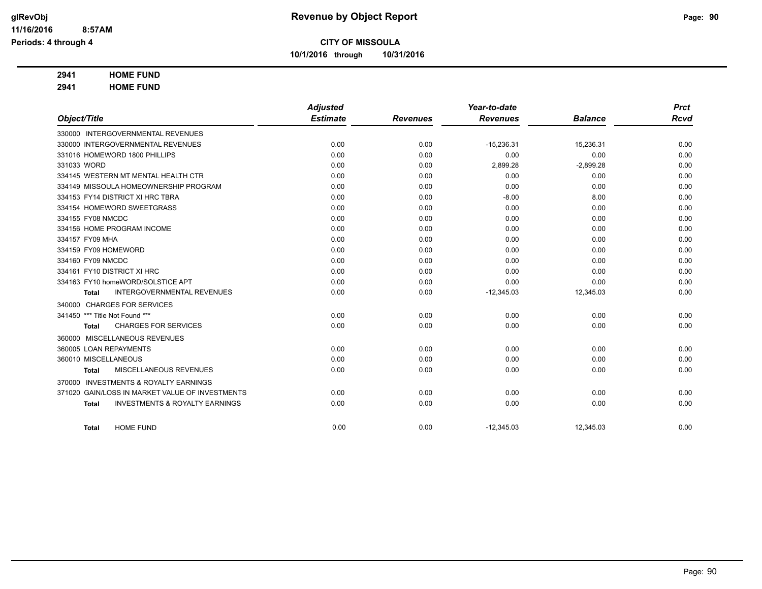**10/1/2016 through 10/31/2016**

# **2941 HOME FUND**

**2941 HOME FUND**

|                                                           | <b>Adjusted</b> |                 | Year-to-date    |                | <b>Prct</b> |
|-----------------------------------------------------------|-----------------|-----------------|-----------------|----------------|-------------|
| Object/Title                                              | <b>Estimate</b> | <b>Revenues</b> | <b>Revenues</b> | <b>Balance</b> | <b>Rcvd</b> |
| 330000 INTERGOVERNMENTAL REVENUES                         |                 |                 |                 |                |             |
| 330000 INTERGOVERNMENTAL REVENUES                         | 0.00            | 0.00            | $-15,236.31$    | 15,236.31      | 0.00        |
| 331016 HOMEWORD 1800 PHILLIPS                             | 0.00            | 0.00            | 0.00            | 0.00           | 0.00        |
| 331033 WORD                                               | 0.00            | 0.00            | 2,899.28        | $-2,899.28$    | 0.00        |
| 334145 WESTERN MT MENTAL HEALTH CTR                       | 0.00            | 0.00            | 0.00            | 0.00           | 0.00        |
| 334149 MISSOULA HOMEOWNERSHIP PROGRAM                     | 0.00            | 0.00            | 0.00            | 0.00           | 0.00        |
| 334153 FY14 DISTRICT XI HRC TBRA                          | 0.00            | 0.00            | $-8.00$         | 8.00           | 0.00        |
| 334154 HOMEWORD SWEETGRASS                                | 0.00            | 0.00            | 0.00            | 0.00           | 0.00        |
| 334155 FY08 NMCDC                                         | 0.00            | 0.00            | 0.00            | 0.00           | 0.00        |
| 334156 HOME PROGRAM INCOME                                | 0.00            | 0.00            | 0.00            | 0.00           | 0.00        |
| 334157 FY09 MHA                                           | 0.00            | 0.00            | 0.00            | 0.00           | 0.00        |
| 334159 FY09 HOMEWORD                                      | 0.00            | 0.00            | 0.00            | 0.00           | 0.00        |
| 334160 FY09 NMCDC                                         | 0.00            | 0.00            | 0.00            | 0.00           | 0.00        |
| 334161 FY10 DISTRICT XI HRC                               | 0.00            | 0.00            | 0.00            | 0.00           | 0.00        |
| 334163 FY10 homeWORD/SOLSTICE APT                         | 0.00            | 0.00            | 0.00            | 0.00           | 0.00        |
| <b>INTERGOVERNMENTAL REVENUES</b><br><b>Total</b>         | 0.00            | 0.00            | $-12,345.03$    | 12,345.03      | 0.00        |
| 340000 CHARGES FOR SERVICES                               |                 |                 |                 |                |             |
| 341450 *** Title Not Found ***                            | 0.00            | 0.00            | 0.00            | 0.00           | 0.00        |
| <b>CHARGES FOR SERVICES</b><br>Total                      | 0.00            | 0.00            | 0.00            | 0.00           | 0.00        |
| 360000 MISCELLANEOUS REVENUES                             |                 |                 |                 |                |             |
| 360005 LOAN REPAYMENTS                                    | 0.00            | 0.00            | 0.00            | 0.00           | 0.00        |
| 360010 MISCELLANEOUS                                      | 0.00            | 0.00            | 0.00            | 0.00           | 0.00        |
| MISCELLANEOUS REVENUES<br>Total                           | 0.00            | 0.00            | 0.00            | 0.00           | 0.00        |
| 370000 INVESTMENTS & ROYALTY EARNINGS                     |                 |                 |                 |                |             |
| 371020 GAIN/LOSS IN MARKET VALUE OF INVESTMENTS           | 0.00            | 0.00            | 0.00            | 0.00           | 0.00        |
| <b>INVESTMENTS &amp; ROYALTY EARNINGS</b><br><b>Total</b> | 0.00            | 0.00            | 0.00            | 0.00           | 0.00        |
|                                                           |                 |                 |                 |                |             |
| <b>HOME FUND</b><br>Total                                 | 0.00            | 0.00            | $-12.345.03$    | 12,345.03      | 0.00        |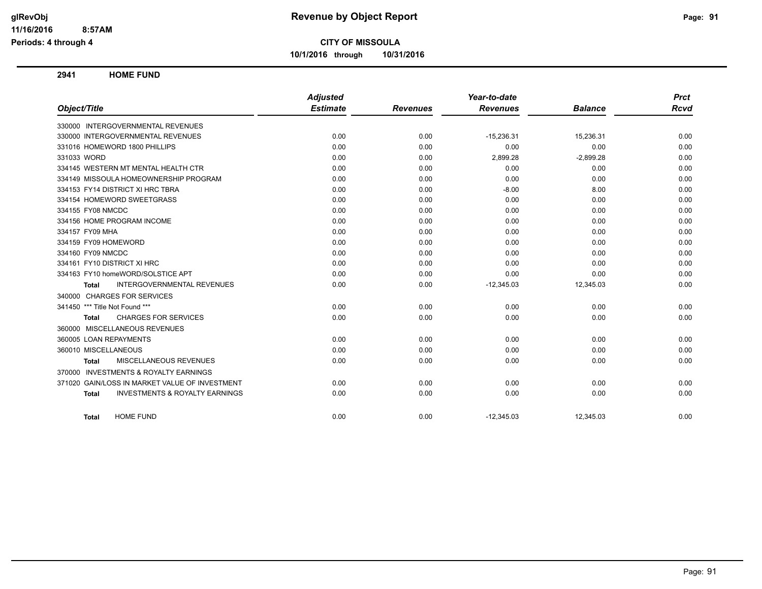**10/1/2016 through 10/31/2016**

**2941 HOME FUND**

|                                                           | <b>Adjusted</b> |                 | Year-to-date    |                | <b>Prct</b> |
|-----------------------------------------------------------|-----------------|-----------------|-----------------|----------------|-------------|
| Object/Title                                              | <b>Estimate</b> | <b>Revenues</b> | <b>Revenues</b> | <b>Balance</b> | <b>Rcvd</b> |
| 330000 INTERGOVERNMENTAL REVENUES                         |                 |                 |                 |                |             |
| 330000 INTERGOVERNMENTAL REVENUES                         | 0.00            | 0.00            | $-15,236.31$    | 15,236.31      | 0.00        |
| 331016 HOMEWORD 1800 PHILLIPS                             | 0.00            | 0.00            | 0.00            | 0.00           | 0.00        |
| 331033 WORD                                               | 0.00            | 0.00            | 2,899.28        | $-2,899.28$    | 0.00        |
| 334145 WESTERN MT MENTAL HEALTH CTR                       | 0.00            | 0.00            | 0.00            | 0.00           | 0.00        |
| 334149 MISSOULA HOMEOWNERSHIP PROGRAM                     | 0.00            | 0.00            | 0.00            | 0.00           | 0.00        |
| 334153 FY14 DISTRICT XI HRC TBRA                          | 0.00            | 0.00            | $-8.00$         | 8.00           | 0.00        |
| 334154 HOMEWORD SWEETGRASS                                | 0.00            | 0.00            | 0.00            | 0.00           | 0.00        |
| 334155 FY08 NMCDC                                         | 0.00            | 0.00            | 0.00            | 0.00           | 0.00        |
| 334156 HOME PROGRAM INCOME                                | 0.00            | 0.00            | 0.00            | 0.00           | 0.00        |
| 334157 FY09 MHA                                           | 0.00            | 0.00            | 0.00            | 0.00           | 0.00        |
| 334159 FY09 HOMEWORD                                      | 0.00            | 0.00            | 0.00            | 0.00           | 0.00        |
| 334160 FY09 NMCDC                                         | 0.00            | 0.00            | 0.00            | 0.00           | 0.00        |
| 334161 FY10 DISTRICT XI HRC                               | 0.00            | 0.00            | 0.00            | 0.00           | 0.00        |
| 334163 FY10 homeWORD/SOLSTICE APT                         | 0.00            | 0.00            | 0.00            | 0.00           | 0.00        |
| INTERGOVERNMENTAL REVENUES<br><b>Total</b>                | 0.00            | 0.00            | $-12,345.03$    | 12,345.03      | 0.00        |
| 340000 CHARGES FOR SERVICES                               |                 |                 |                 |                |             |
| 341450 *** Title Not Found ***                            | 0.00            | 0.00            | 0.00            | 0.00           | 0.00        |
| <b>CHARGES FOR SERVICES</b><br><b>Total</b>               | 0.00            | 0.00            | 0.00            | 0.00           | 0.00        |
| 360000 MISCELLANEOUS REVENUES                             |                 |                 |                 |                |             |
| 360005 LOAN REPAYMENTS                                    | 0.00            | 0.00            | 0.00            | 0.00           | 0.00        |
| 360010 MISCELLANEOUS                                      | 0.00            | 0.00            | 0.00            | 0.00           | 0.00        |
| MISCELLANEOUS REVENUES<br>Total                           | 0.00            | 0.00            | 0.00            | 0.00           | 0.00        |
| 370000 INVESTMENTS & ROYALTY EARNINGS                     |                 |                 |                 |                |             |
| 371020 GAIN/LOSS IN MARKET VALUE OF INVESTMENT            | 0.00            | 0.00            | 0.00            | 0.00           | 0.00        |
| <b>INVESTMENTS &amp; ROYALTY EARNINGS</b><br><b>Total</b> | 0.00            | 0.00            | 0.00            | 0.00           | 0.00        |
| <b>HOME FUND</b><br>Total                                 | 0.00            | 0.00            | $-12,345.03$    | 12,345.03      | 0.00        |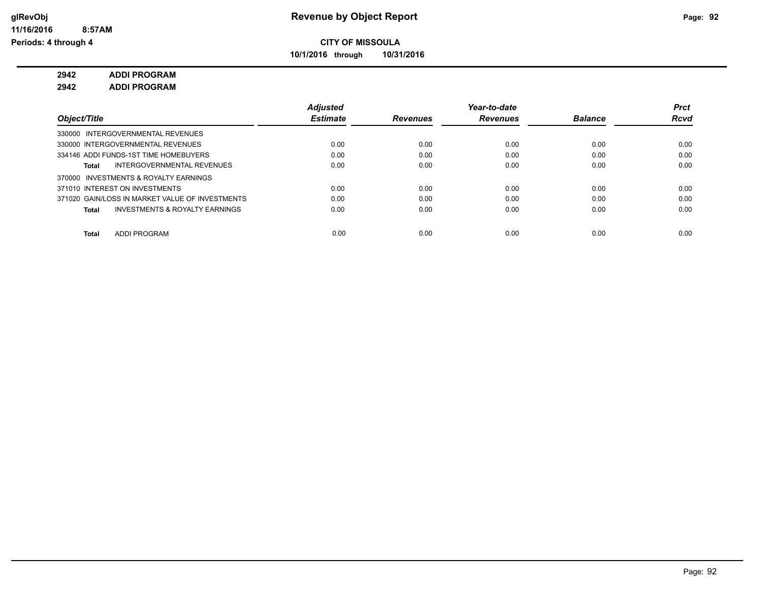**10/1/2016 through 10/31/2016**

# **2942 ADDI PROGRAM**

**2942 ADDI PROGRAM**

|                                                    | <b>Adjusted</b> |                 | Year-to-date    |                | <b>Prct</b> |
|----------------------------------------------------|-----------------|-----------------|-----------------|----------------|-------------|
| Object/Title                                       | <b>Estimate</b> | <b>Revenues</b> | <b>Revenues</b> | <b>Balance</b> | <b>Rcvd</b> |
| 330000 INTERGOVERNMENTAL REVENUES                  |                 |                 |                 |                |             |
| 330000 INTERGOVERNMENTAL REVENUES                  | 0.00            | 0.00            | 0.00            | 0.00           | 0.00        |
| 334146 ADDI FUNDS-1ST TIME HOMEBUYERS              | 0.00            | 0.00            | 0.00            | 0.00           | 0.00        |
| INTERGOVERNMENTAL REVENUES<br>Total                | 0.00            | 0.00            | 0.00            | 0.00           | 0.00        |
| 370000 INVESTMENTS & ROYALTY EARNINGS              |                 |                 |                 |                |             |
| 371010 INTEREST ON INVESTMENTS                     | 0.00            | 0.00            | 0.00            | 0.00           | 0.00        |
| 371020 GAIN/LOSS IN MARKET VALUE OF INVESTMENTS    | 0.00            | 0.00            | 0.00            | 0.00           | 0.00        |
| <b>INVESTMENTS &amp; ROYALTY EARNINGS</b><br>Total | 0.00            | 0.00            | 0.00            | 0.00           | 0.00        |
|                                                    |                 |                 |                 |                |             |
| ADDI PROGRAM<br><b>Total</b>                       | 0.00            | 0.00            | 0.00            | 0.00           | 0.00        |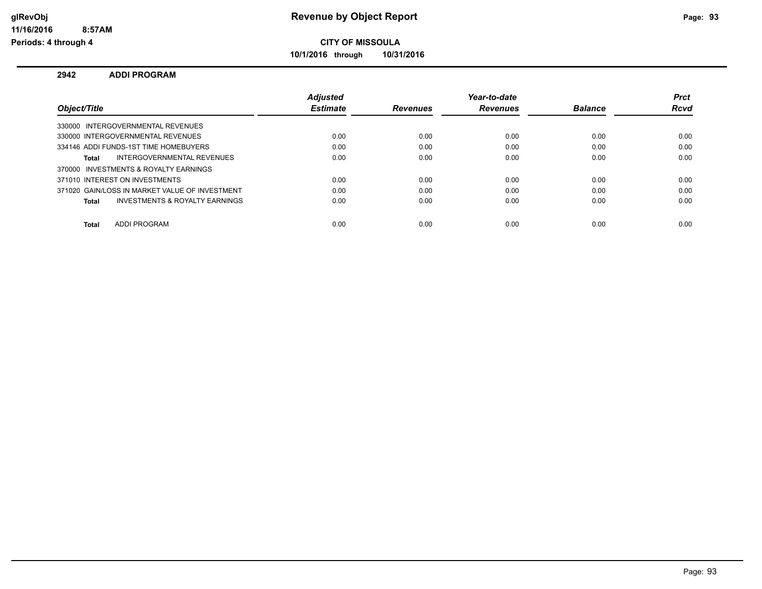**10/1/2016 through 10/31/2016**

#### **2942 ADDI PROGRAM**

|                                                   | <b>Adiusted</b> |                 | Year-to-date    |                | <b>Prct</b> |
|---------------------------------------------------|-----------------|-----------------|-----------------|----------------|-------------|
| Object/Title                                      | <b>Estimate</b> | <b>Revenues</b> | <b>Revenues</b> | <b>Balance</b> | <b>Rcvd</b> |
| 330000 INTERGOVERNMENTAL REVENUES                 |                 |                 |                 |                |             |
| 330000 INTERGOVERNMENTAL REVENUES                 | 0.00            | 0.00            | 0.00            | 0.00           | 0.00        |
| 334146 ADDI FUNDS-1ST TIME HOMEBUYERS             | 0.00            | 0.00            | 0.00            | 0.00           | 0.00        |
| <b>INTERGOVERNMENTAL REVENUES</b><br><b>Total</b> | 0.00            | 0.00            | 0.00            | 0.00           | 0.00        |
| 370000 INVESTMENTS & ROYALTY EARNINGS             |                 |                 |                 |                |             |
| 371010 INTEREST ON INVESTMENTS                    | 0.00            | 0.00            | 0.00            | 0.00           | 0.00        |
| 371020 GAIN/LOSS IN MARKET VALUE OF INVESTMENT    | 0.00            | 0.00            | 0.00            | 0.00           | 0.00        |
| INVESTMENTS & ROYALTY EARNINGS<br><b>Total</b>    | 0.00            | 0.00            | 0.00            | 0.00           | 0.00        |
|                                                   |                 |                 |                 |                |             |
| <b>ADDI PROGRAM</b><br><b>Total</b>               | 0.00            | 0.00            | 0.00            | 0.00           | 0.00        |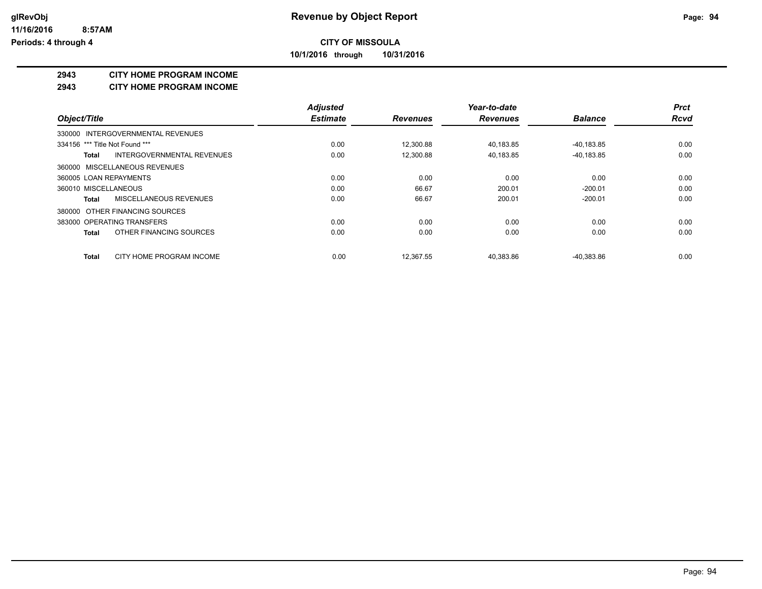**10/1/2016 through 10/31/2016**

#### **2943 CITY HOME PROGRAM INCOME**

#### **2943 CITY HOME PROGRAM INCOME**

|                                     | <b>Adjusted</b> |                 | Year-to-date    |                | <b>Prct</b> |
|-------------------------------------|-----------------|-----------------|-----------------|----------------|-------------|
| Object/Title                        | <b>Estimate</b> | <b>Revenues</b> | <b>Revenues</b> | <b>Balance</b> | <b>Rcvd</b> |
| 330000 INTERGOVERNMENTAL REVENUES   |                 |                 |                 |                |             |
| 334156 *** Title Not Found ***      | 0.00            | 12.300.88       | 40.183.85       | -40.183.85     | 0.00        |
| INTERGOVERNMENTAL REVENUES<br>Total | 0.00            | 12,300.88       | 40,183.85       | $-40,183.85$   | 0.00        |
| 360000 MISCELLANEOUS REVENUES       |                 |                 |                 |                |             |
| 360005 LOAN REPAYMENTS              | 0.00            | 0.00            | 0.00            | 0.00           | 0.00        |
| 360010 MISCELLANEOUS                | 0.00            | 66.67           | 200.01          | $-200.01$      | 0.00        |
| MISCELLANEOUS REVENUES<br>Total     | 0.00            | 66.67           | 200.01          | $-200.01$      | 0.00        |
| 380000 OTHER FINANCING SOURCES      |                 |                 |                 |                |             |
| 383000 OPERATING TRANSFERS          | 0.00            | 0.00            | 0.00            | 0.00           | 0.00        |
| OTHER FINANCING SOURCES<br>Total    | 0.00            | 0.00            | 0.00            | 0.00           | 0.00        |
| CITY HOME PROGRAM INCOME<br>Total   | 0.00            | 12.367.55       | 40.383.86       | -40.383.86     | 0.00        |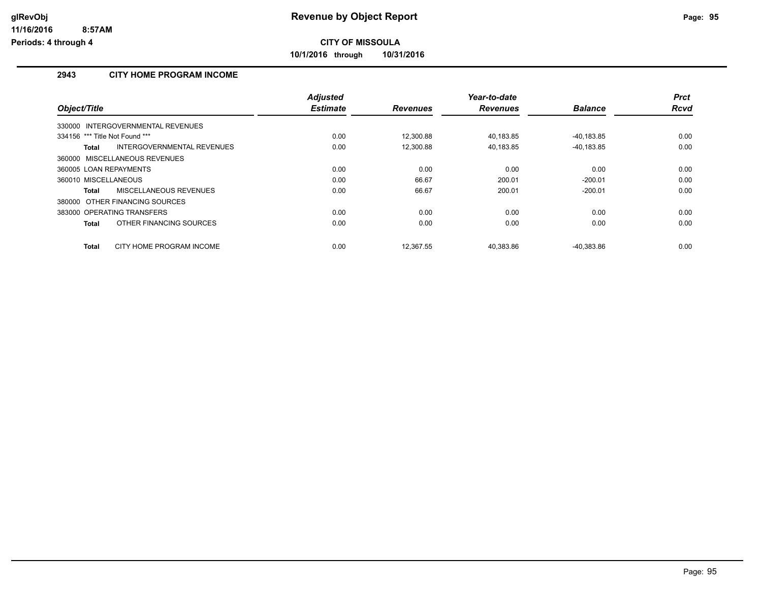**10/1/2016 through 10/31/2016**

# **2943 CITY HOME PROGRAM INCOME**

| Object/Title                             | <b>Adjusted</b><br><b>Estimate</b> | <b>Revenues</b> | Year-to-date<br><b>Revenues</b> | <b>Balance</b> | <b>Prct</b><br><b>Rcvd</b> |
|------------------------------------------|------------------------------------|-----------------|---------------------------------|----------------|----------------------------|
| 330000 INTERGOVERNMENTAL REVENUES        |                                    |                 |                                 |                |                            |
| 334156 *** Title Not Found ***           | 0.00                               | 12,300.88       | 40,183.85                       | $-40,183.85$   | 0.00                       |
| INTERGOVERNMENTAL REVENUES<br>Total      | 0.00                               | 12.300.88       | 40.183.85                       | $-40.183.85$   | 0.00                       |
| 360000 MISCELLANEOUS REVENUES            |                                    |                 |                                 |                |                            |
| 360005 LOAN REPAYMENTS                   | 0.00                               | 0.00            | 0.00                            | 0.00           | 0.00                       |
| 360010 MISCELLANEOUS                     | 0.00                               | 66.67           | 200.01                          | $-200.01$      | 0.00                       |
| MISCELLANEOUS REVENUES<br>Total          | 0.00                               | 66.67           | 200.01                          | $-200.01$      | 0.00                       |
| 380000 OTHER FINANCING SOURCES           |                                    |                 |                                 |                |                            |
| 383000 OPERATING TRANSFERS               | 0.00                               | 0.00            | 0.00                            | 0.00           | 0.00                       |
| OTHER FINANCING SOURCES<br>Total         | 0.00                               | 0.00            | 0.00                            | 0.00           | 0.00                       |
| CITY HOME PROGRAM INCOME<br><b>Total</b> | 0.00                               | 12.367.55       | 40.383.86                       | $-40.383.86$   | 0.00                       |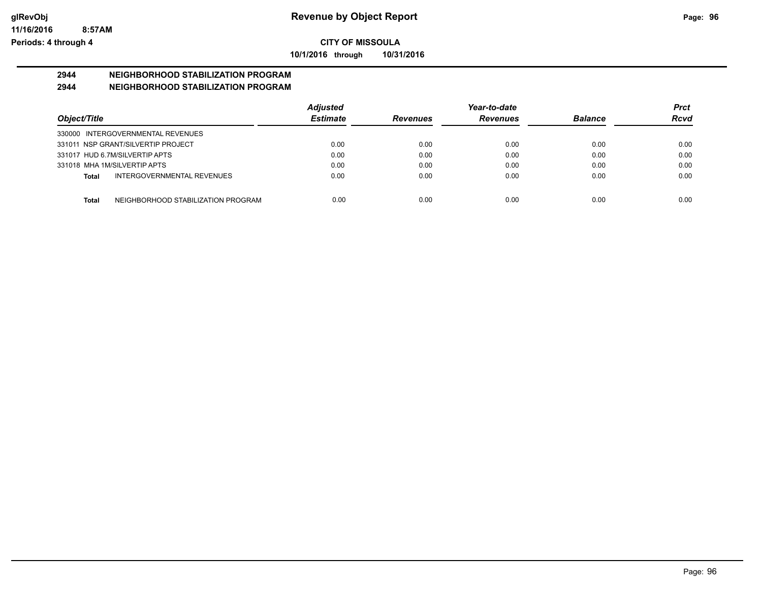**10/1/2016 through 10/31/2016**

# **2944 NEIGHBORHOOD STABILIZATION PROGRAM 2944 NEIGHBORHOOD STABILIZATION PROGRAM**

|                                                    | <b>Adjusted</b> |                 | Year-to-date    |                | <b>Prct</b> |
|----------------------------------------------------|-----------------|-----------------|-----------------|----------------|-------------|
| Object/Title                                       | <b>Estimate</b> | <b>Revenues</b> | <b>Revenues</b> | <b>Balance</b> | Rcvd        |
| 330000 INTERGOVERNMENTAL REVENUES                  |                 |                 |                 |                |             |
| 331011 NSP GRANT/SILVERTIP PROJECT                 | 0.00            | 0.00            | 0.00            | 0.00           | 0.00        |
| 331017 HUD 6.7M/SILVERTIP APTS                     | 0.00            | 0.00            | 0.00            | 0.00           | 0.00        |
| 331018 MHA 1M/SILVERTIP APTS                       | 0.00            | 0.00            | 0.00            | 0.00           | 0.00        |
| INTERGOVERNMENTAL REVENUES<br><b>Total</b>         | 0.00            | 0.00            | 0.00            | 0.00           | 0.00        |
| NEIGHBORHOOD STABILIZATION PROGRAM<br><b>Total</b> | 0.00            | 0.00            | 0.00            | 0.00           | 0.00        |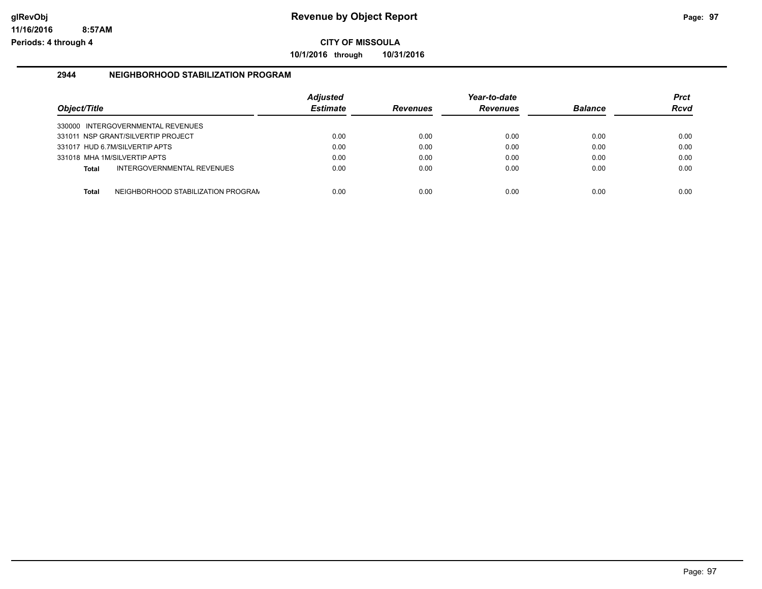**10/1/2016 through 10/31/2016**

#### **2944 NEIGHBORHOOD STABILIZATION PROGRAM**

| <b>Adjusted</b><br><b>Estimate</b> | <b>Revenues</b> | Year-to-date<br><b>Revenues</b> | <b>Balance</b> | <b>Prct</b><br><b>Rcvd</b> |
|------------------------------------|-----------------|---------------------------------|----------------|----------------------------|
|                                    |                 |                                 |                |                            |
| 0.00                               | 0.00            | 0.00                            | 0.00           | 0.00                       |
| 0.00                               | 0.00            | 0.00                            | 0.00           | 0.00                       |
| 0.00                               | 0.00            | 0.00                            | 0.00           | 0.00                       |
| 0.00                               | 0.00            | 0.00                            | 0.00           | 0.00                       |
|                                    |                 |                                 |                | 0.00                       |
|                                    | 0.00            | 0.00                            | 0.00           | 0.00                       |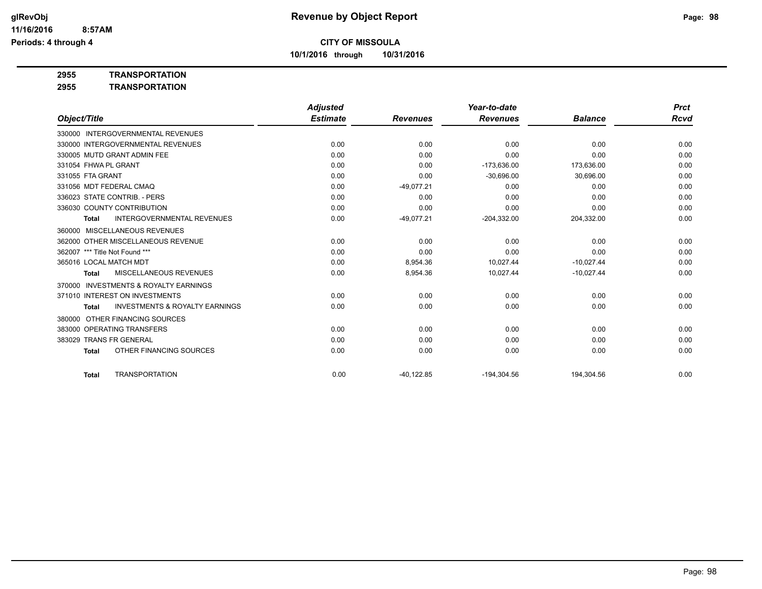**10/1/2016 through 10/31/2016**

**2955 TRANSPORTATION**

**2955 TRANSPORTATION**

|                                                           | <b>Adjusted</b> |                 | Year-to-date    |                | <b>Prct</b> |
|-----------------------------------------------------------|-----------------|-----------------|-----------------|----------------|-------------|
| Object/Title                                              | <b>Estimate</b> | <b>Revenues</b> | <b>Revenues</b> | <b>Balance</b> | <b>Rcvd</b> |
| 330000 INTERGOVERNMENTAL REVENUES                         |                 |                 |                 |                |             |
| 330000 INTERGOVERNMENTAL REVENUES                         | 0.00            | 0.00            | 0.00            | 0.00           | 0.00        |
| 330005 MUTD GRANT ADMIN FEE                               | 0.00            | 0.00            | 0.00            | 0.00           | 0.00        |
| 331054 FHWA PL GRANT                                      | 0.00            | 0.00            | $-173,636.00$   | 173,636.00     | 0.00        |
| 331055 FTA GRANT                                          | 0.00            | 0.00            | $-30,696.00$    | 30,696.00      | 0.00        |
| 331056 MDT FEDERAL CMAQ                                   | 0.00            | $-49,077.21$    | 0.00            | 0.00           | 0.00        |
| 336023 STATE CONTRIB. - PERS                              | 0.00            | 0.00            | 0.00            | 0.00           | 0.00        |
| 336030 COUNTY CONTRIBUTION                                | 0.00            | 0.00            | 0.00            | 0.00           | 0.00        |
| <b>INTERGOVERNMENTAL REVENUES</b><br><b>Total</b>         | 0.00            | $-49,077.21$    | $-204,332.00$   | 204,332.00     | 0.00        |
| <b>MISCELLANEOUS REVENUES</b><br>360000                   |                 |                 |                 |                |             |
| 362000 OTHER MISCELLANEOUS REVENUE                        | 0.00            | 0.00            | 0.00            | 0.00           | 0.00        |
| 362007 *** Title Not Found ***                            | 0.00            | 0.00            | 0.00            | 0.00           | 0.00        |
| 365016 LOCAL MATCH MDT                                    | 0.00            | 8,954.36        | 10,027.44       | $-10,027.44$   | 0.00        |
| MISCELLANEOUS REVENUES<br><b>Total</b>                    | 0.00            | 8,954.36        | 10,027.44       | $-10,027.44$   | 0.00        |
| <b>INVESTMENTS &amp; ROYALTY EARNINGS</b><br>370000       |                 |                 |                 |                |             |
| 371010 INTEREST ON INVESTMENTS                            | 0.00            | 0.00            | 0.00            | 0.00           | 0.00        |
| <b>INVESTMENTS &amp; ROYALTY EARNINGS</b><br><b>Total</b> | 0.00            | 0.00            | 0.00            | 0.00           | 0.00        |
| OTHER FINANCING SOURCES<br>380000                         |                 |                 |                 |                |             |
| 383000 OPERATING TRANSFERS                                | 0.00            | 0.00            | 0.00            | 0.00           | 0.00        |
| <b>TRANS FR GENERAL</b><br>383029                         | 0.00            | 0.00            | 0.00            | 0.00           | 0.00        |
| OTHER FINANCING SOURCES<br><b>Total</b>                   | 0.00            | 0.00            | 0.00            | 0.00           | 0.00        |
| <b>TRANSPORTATION</b><br><b>Total</b>                     | 0.00            | $-40.122.85$    | $-194.304.56$   | 194.304.56     | 0.00        |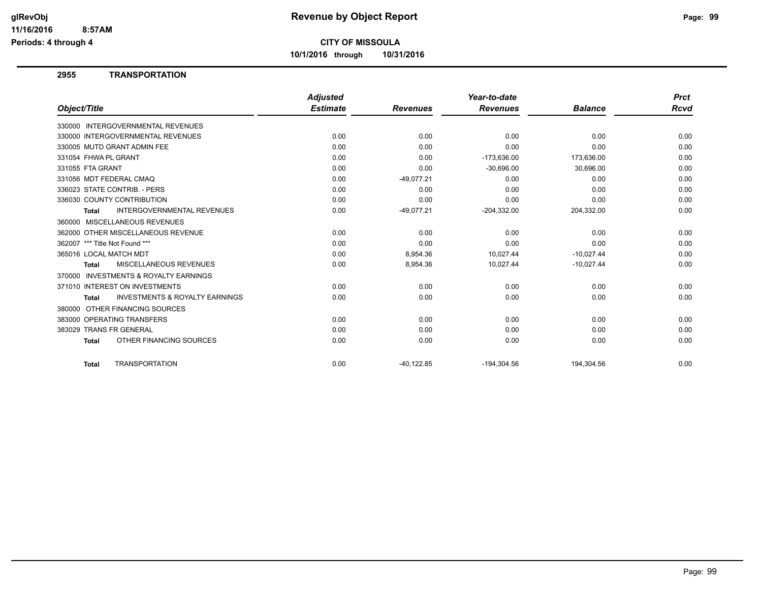**10/1/2016 through 10/31/2016**

#### **2955 TRANSPORTATION**

|                                                           | <b>Adjusted</b> |                 | Year-to-date    |                | <b>Prct</b> |
|-----------------------------------------------------------|-----------------|-----------------|-----------------|----------------|-------------|
| Object/Title                                              | <b>Estimate</b> | <b>Revenues</b> | <b>Revenues</b> | <b>Balance</b> | Rcvd        |
| 330000 INTERGOVERNMENTAL REVENUES                         |                 |                 |                 |                |             |
| 330000 INTERGOVERNMENTAL REVENUES                         | 0.00            | 0.00            | 0.00            | 0.00           | 0.00        |
| 330005 MUTD GRANT ADMIN FEE                               | 0.00            | 0.00            | 0.00            | 0.00           | 0.00        |
| 331054 FHWA PL GRANT                                      | 0.00            | 0.00            | $-173,636.00$   | 173,636.00     | 0.00        |
| 331055 FTA GRANT                                          | 0.00            | 0.00            | $-30,696.00$    | 30,696.00      | 0.00        |
| 331056 MDT FEDERAL CMAQ                                   | 0.00            | $-49,077.21$    | 0.00            | 0.00           | 0.00        |
| 336023 STATE CONTRIB. - PERS                              | 0.00            | 0.00            | 0.00            | 0.00           | 0.00        |
| 336030 COUNTY CONTRIBUTION                                | 0.00            | 0.00            | 0.00            | 0.00           | 0.00        |
| <b>INTERGOVERNMENTAL REVENUES</b><br>Total                | 0.00            | $-49,077.21$    | $-204,332.00$   | 204,332.00     | 0.00        |
| 360000 MISCELLANEOUS REVENUES                             |                 |                 |                 |                |             |
| 362000 OTHER MISCELLANEOUS REVENUE                        | 0.00            | 0.00            | 0.00            | 0.00           | 0.00        |
| 362007 *** Title Not Found ***                            | 0.00            | 0.00            | 0.00            | 0.00           | 0.00        |
| 365016 LOCAL MATCH MDT                                    | 0.00            | 8,954.36        | 10,027.44       | $-10,027.44$   | 0.00        |
| MISCELLANEOUS REVENUES<br>Total                           | 0.00            | 8,954.36        | 10,027.44       | $-10,027.44$   | 0.00        |
| 370000 INVESTMENTS & ROYALTY EARNINGS                     |                 |                 |                 |                |             |
| 371010 INTEREST ON INVESTMENTS                            | 0.00            | 0.00            | 0.00            | 0.00           | 0.00        |
| <b>INVESTMENTS &amp; ROYALTY EARNINGS</b><br><b>Total</b> | 0.00            | 0.00            | 0.00            | 0.00           | 0.00        |
| 380000 OTHER FINANCING SOURCES                            |                 |                 |                 |                |             |
| 383000 OPERATING TRANSFERS                                | 0.00            | 0.00            | 0.00            | 0.00           | 0.00        |
| 383029 TRANS FR GENERAL                                   | 0.00            | 0.00            | 0.00            | 0.00           | 0.00        |
| OTHER FINANCING SOURCES<br><b>Total</b>                   | 0.00            | 0.00            | 0.00            | 0.00           | 0.00        |
| <b>TRANSPORTATION</b><br><b>Total</b>                     | 0.00            | $-40.122.85$    | $-194.304.56$   | 194.304.56     | 0.00        |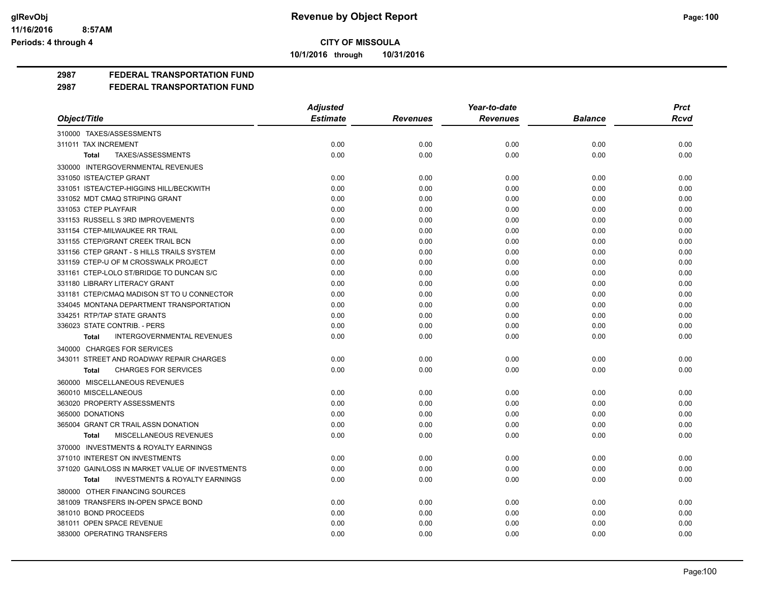**10/1/2016 through 10/31/2016**

**2987 FEDERAL TRANSPORTATION FUND**

|                                                           | <b>Adjusted</b> |                 | Year-to-date    | <b>Prct</b>    |             |
|-----------------------------------------------------------|-----------------|-----------------|-----------------|----------------|-------------|
| Object/Title                                              | <b>Estimate</b> | <b>Revenues</b> | <b>Revenues</b> | <b>Balance</b> | <b>Rcvd</b> |
| 310000 TAXES/ASSESSMENTS                                  |                 |                 |                 |                |             |
| 311011 TAX INCREMENT                                      | 0.00            | 0.00            | 0.00            | 0.00           | 0.00        |
| TAXES/ASSESSMENTS<br>Total                                | 0.00            | 0.00            | 0.00            | 0.00           | 0.00        |
| 330000 INTERGOVERNMENTAL REVENUES                         |                 |                 |                 |                |             |
| 331050 ISTEA/CTEP GRANT                                   | 0.00            | 0.00            | 0.00            | 0.00           | 0.00        |
| 331051 ISTEA/CTEP-HIGGINS HILL/BECKWITH                   | 0.00            | 0.00            | 0.00            | 0.00           | 0.00        |
| 331052 MDT CMAQ STRIPING GRANT                            | 0.00            | 0.00            | 0.00            | 0.00           | 0.00        |
| 331053 CTEP PLAYFAIR                                      | 0.00            | 0.00            | 0.00            | 0.00           | 0.00        |
| 331153 RUSSELL S 3RD IMPROVEMENTS                         | 0.00            | 0.00            | 0.00            | 0.00           | 0.00        |
| 331154 CTEP-MILWAUKEE RR TRAIL                            | 0.00            | 0.00            | 0.00            | 0.00           | 0.00        |
| 331155 CTEP/GRANT CREEK TRAIL BCN                         | 0.00            | 0.00            | 0.00            | 0.00           | 0.00        |
| 331156 CTEP GRANT - S HILLS TRAILS SYSTEM                 | 0.00            | 0.00            | 0.00            | 0.00           | 0.00        |
| 331159 CTEP-U OF M CROSSWALK PROJECT                      | 0.00            | 0.00            | 0.00            | 0.00           | 0.00        |
| 331161 CTEP-LOLO ST/BRIDGE TO DUNCAN S/C                  | 0.00            | 0.00            | 0.00            | 0.00           | 0.00        |
| 331180 LIBRARY LITERACY GRANT                             | 0.00            | 0.00            | 0.00            | 0.00           | 0.00        |
| 331181 CTEP/CMAQ MADISON ST TO U CONNECTOR                | 0.00            | 0.00            | 0.00            | 0.00           | 0.00        |
| 334045 MONTANA DEPARTMENT TRANSPORTATION                  | 0.00            | 0.00            | 0.00            | 0.00           | 0.00        |
| 334251 RTP/TAP STATE GRANTS                               | 0.00            | 0.00            | 0.00            | 0.00           | 0.00        |
| 336023 STATE CONTRIB. - PERS                              | 0.00            | 0.00            | 0.00            | 0.00           | 0.00        |
| <b>INTERGOVERNMENTAL REVENUES</b><br><b>Total</b>         | 0.00            | 0.00            | 0.00            | 0.00           | 0.00        |
| 340000 CHARGES FOR SERVICES                               |                 |                 |                 |                |             |
| 343011 STREET AND ROADWAY REPAIR CHARGES                  | 0.00            | 0.00            | 0.00            | 0.00           | 0.00        |
| <b>CHARGES FOR SERVICES</b><br>Total                      | 0.00            | 0.00            | 0.00            | 0.00           | 0.00        |
| 360000 MISCELLANEOUS REVENUES                             |                 |                 |                 |                |             |
| 360010 MISCELLANEOUS                                      | 0.00            | 0.00            | 0.00            | 0.00           | 0.00        |
| 363020 PROPERTY ASSESSMENTS                               | 0.00            | 0.00            | 0.00            | 0.00           | 0.00        |
| 365000 DONATIONS                                          | 0.00            | 0.00            | 0.00            | 0.00           | 0.00        |
| 365004 GRANT CR TRAIL ASSN DONATION                       | 0.00            | 0.00            | 0.00            | 0.00           | 0.00        |
| MISCELLANEOUS REVENUES<br><b>Total</b>                    | 0.00            | 0.00            | 0.00            | 0.00           | 0.00        |
| 370000 INVESTMENTS & ROYALTY EARNINGS                     |                 |                 |                 |                |             |
| 371010 INTEREST ON INVESTMENTS                            | 0.00            | 0.00            | 0.00            | 0.00           | 0.00        |
| 371020 GAIN/LOSS IN MARKET VALUE OF INVESTMENTS           | 0.00            | 0.00            | 0.00            | 0.00           | 0.00        |
| <b>INVESTMENTS &amp; ROYALTY EARNINGS</b><br><b>Total</b> | 0.00            | 0.00            | 0.00            | 0.00           | 0.00        |
| 380000 OTHER FINANCING SOURCES                            |                 |                 |                 |                |             |
| 381009 TRANSFERS IN-OPEN SPACE BOND                       | 0.00            | 0.00            | 0.00            | 0.00           | 0.00        |
| 381010 BOND PROCEEDS                                      | 0.00            | 0.00            | 0.00            | 0.00           | 0.00        |
| 381011 OPEN SPACE REVENUE                                 | 0.00            | 0.00            | 0.00            | 0.00           | 0.00        |
| 383000 OPERATING TRANSFERS                                | 0.00            | 0.00            | 0.00            | 0.00           | 0.00        |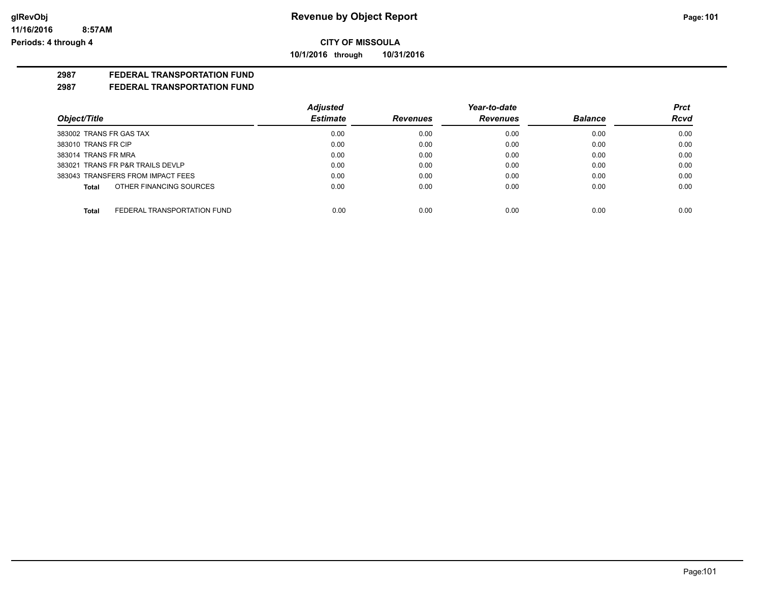**10/1/2016 through 10/31/2016**

# **2987 FEDERAL TRANSPORTATION FUND**

|                                         | <b>Adjusted</b> |                 | Year-to-date    |                | <b>Prct</b> |
|-----------------------------------------|-----------------|-----------------|-----------------|----------------|-------------|
| Object/Title                            | <b>Estimate</b> | <b>Revenues</b> | <b>Revenues</b> | <b>Balance</b> | Rcvd        |
| 383002 TRANS FR GAS TAX                 | 0.00            | 0.00            | 0.00            | 0.00           | 0.00        |
| 383010 TRANS FR CIP                     | 0.00            | 0.00            | 0.00            | 0.00           | 0.00        |
| 383014 TRANS FR MRA                     | 0.00            | 0.00            | 0.00            | 0.00           | 0.00        |
| 383021 TRANS FR P&R TRAILS DEVLP        | 0.00            | 0.00            | 0.00            | 0.00           | 0.00        |
| 383043 TRANSFERS FROM IMPACT FEES       | 0.00            | 0.00            | 0.00            | 0.00           | 0.00        |
| OTHER FINANCING SOURCES<br><b>Total</b> | 0.00            | 0.00            | 0.00            | 0.00           | 0.00        |
| FEDERAL TRANSPORTATION FUND<br>Total    | 0.00            | 0.00            | 0.00            | 0.00           | 0.00        |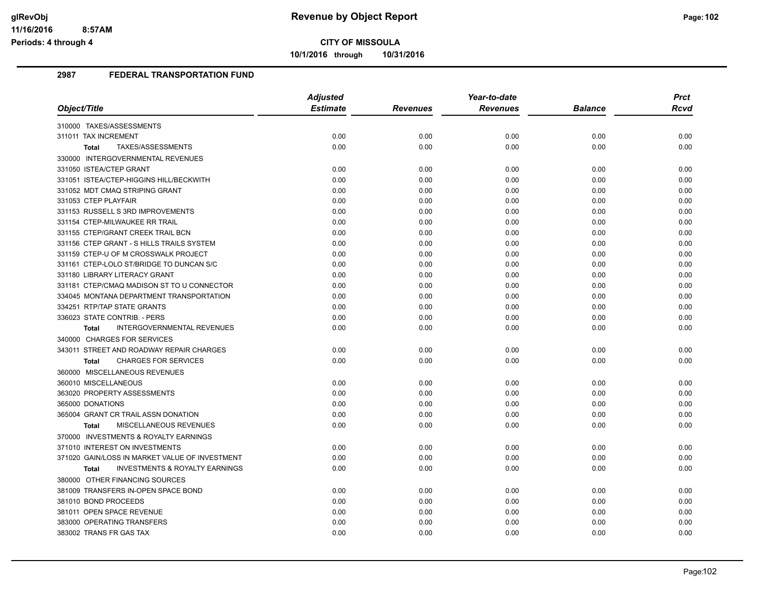**10/1/2016 through 10/31/2016**

| Object/Title                                              | <b>Adjusted</b> |                 | Year-to-date    |                | <b>Prct</b> |
|-----------------------------------------------------------|-----------------|-----------------|-----------------|----------------|-------------|
|                                                           | <b>Estimate</b> | <b>Revenues</b> | <b>Revenues</b> | <b>Balance</b> | Rcvd        |
| 310000 TAXES/ASSESSMENTS                                  |                 |                 |                 |                |             |
| 311011 TAX INCREMENT                                      | 0.00            | 0.00            | 0.00            | 0.00           | 0.00        |
| TAXES/ASSESSMENTS<br><b>Total</b>                         | 0.00            | 0.00            | 0.00            | 0.00           | 0.00        |
| 330000 INTERGOVERNMENTAL REVENUES                         |                 |                 |                 |                |             |
| 331050 ISTEA/CTEP GRANT                                   | 0.00            | 0.00            | 0.00            | 0.00           | 0.00        |
| 331051 ISTEA/CTEP-HIGGINS HILL/BECKWITH                   | 0.00            | 0.00            | 0.00            | 0.00           | 0.00        |
| 331052 MDT CMAQ STRIPING GRANT                            | 0.00            | 0.00            | 0.00            | 0.00           | 0.00        |
| 331053 CTEP PLAYFAIR                                      | 0.00            | 0.00            | 0.00            | 0.00           | 0.00        |
| 331153 RUSSELL S 3RD IMPROVEMENTS                         | 0.00            | 0.00            | 0.00            | 0.00           | 0.00        |
| 331154 CTEP-MILWAUKEE RR TRAIL                            | 0.00            | 0.00            | 0.00            | 0.00           | 0.00        |
| 331155 CTEP/GRANT CREEK TRAIL BCN                         | 0.00            | 0.00            | 0.00            | 0.00           | 0.00        |
| 331156 CTEP GRANT - S HILLS TRAILS SYSTEM                 | 0.00            | 0.00            | 0.00            | 0.00           | 0.00        |
| 331159 CTEP-U OF M CROSSWALK PROJECT                      | 0.00            | 0.00            | 0.00            | 0.00           | 0.00        |
| 331161 CTEP-LOLO ST/BRIDGE TO DUNCAN S/C                  | 0.00            | 0.00            | 0.00            | 0.00           | 0.00        |
| 331180 LIBRARY LITERACY GRANT                             | 0.00            | 0.00            | 0.00            | 0.00           | 0.00        |
| 331181 CTEP/CMAQ MADISON ST TO U CONNECTOR                | 0.00            | 0.00            | 0.00            | 0.00           | 0.00        |
| 334045 MONTANA DEPARTMENT TRANSPORTATION                  | 0.00            | 0.00            | 0.00            | 0.00           | 0.00        |
| 334251 RTP/TAP STATE GRANTS                               | 0.00            | 0.00            | 0.00            | 0.00           | 0.00        |
| 336023 STATE CONTRIB. - PERS                              | 0.00            | 0.00            | 0.00            | 0.00           | 0.00        |
| INTERGOVERNMENTAL REVENUES<br>Total                       | 0.00            | 0.00            | 0.00            | 0.00           | 0.00        |
| 340000 CHARGES FOR SERVICES                               |                 |                 |                 |                |             |
| 343011 STREET AND ROADWAY REPAIR CHARGES                  | 0.00            | 0.00            | 0.00            | 0.00           | 0.00        |
| <b>CHARGES FOR SERVICES</b><br><b>Total</b>               | 0.00            | 0.00            | 0.00            | 0.00           | 0.00        |
| 360000 MISCELLANEOUS REVENUES                             |                 |                 |                 |                |             |
| 360010 MISCELLANEOUS                                      | 0.00            | 0.00            | 0.00            | 0.00           | 0.00        |
| 363020 PROPERTY ASSESSMENTS                               | 0.00            | 0.00            | 0.00            | 0.00           | 0.00        |
| 365000 DONATIONS                                          | 0.00            | 0.00            | 0.00            | 0.00           | 0.00        |
| 365004 GRANT CR TRAIL ASSN DONATION                       | 0.00            | 0.00            | 0.00            | 0.00           | 0.00        |
| MISCELLANEOUS REVENUES<br><b>Total</b>                    | 0.00            | 0.00            | 0.00            | 0.00           | 0.00        |
| 370000 INVESTMENTS & ROYALTY EARNINGS                     |                 |                 |                 |                |             |
| 371010 INTEREST ON INVESTMENTS                            | 0.00            | 0.00            | 0.00            | 0.00           | 0.00        |
| 371020 GAIN/LOSS IN MARKET VALUE OF INVESTMENT            | 0.00            | 0.00            | 0.00            | 0.00           | 0.00        |
| <b>INVESTMENTS &amp; ROYALTY EARNINGS</b><br><b>Total</b> | 0.00            | 0.00            | 0.00            | 0.00           | 0.00        |
| 380000 OTHER FINANCING SOURCES                            |                 |                 |                 |                |             |
| 381009 TRANSFERS IN-OPEN SPACE BOND                       | 0.00            | 0.00            | 0.00            | 0.00           | 0.00        |
| 381010 BOND PROCEEDS                                      | 0.00            | 0.00            | 0.00            | 0.00           | 0.00        |
| 381011 OPEN SPACE REVENUE                                 | 0.00            | 0.00            | 0.00            | 0.00           | 0.00        |
| 383000 OPERATING TRANSFERS                                | 0.00            | 0.00            | 0.00            | 0.00           | 0.00        |
| 383002 TRANS FR GAS TAX                                   | 0.00            | 0.00            | 0.00            | 0.00           | 0.00        |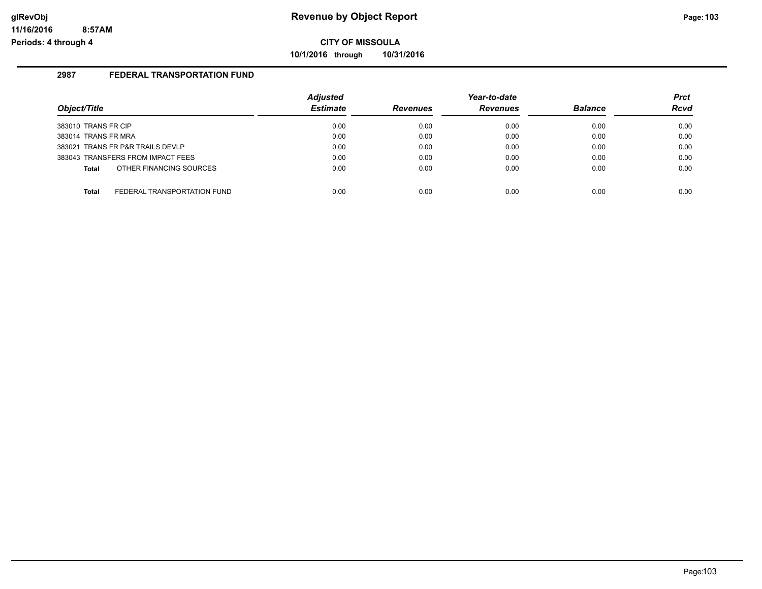**10/1/2016 through 10/31/2016**

|                                             | <b>Adjusted</b> |                 | Year-to-date    |                | <b>Prct</b> |
|---------------------------------------------|-----------------|-----------------|-----------------|----------------|-------------|
| Object/Title                                | <b>Estimate</b> | <b>Revenues</b> | <b>Revenues</b> | <b>Balance</b> | <b>Rcvd</b> |
| 383010 TRANS FR CIP                         | 0.00            | 0.00            | 0.00            | 0.00           | 0.00        |
| 383014 TRANS FR MRA                         | 0.00            | 0.00            | 0.00            | 0.00           | 0.00        |
| 383021 TRANS FR P&R TRAILS DEVLP            | 0.00            | 0.00            | 0.00            | 0.00           | 0.00        |
| 383043 TRANSFERS FROM IMPACT FEES           | 0.00            | 0.00            | 0.00            | 0.00           | 0.00        |
| OTHER FINANCING SOURCES<br><b>Total</b>     | 0.00            | 0.00            | 0.00            | 0.00           | 0.00        |
| FEDERAL TRANSPORTATION FUND<br><b>Total</b> | 0.00            | 0.00            | 0.00            | 0.00           | 0.00        |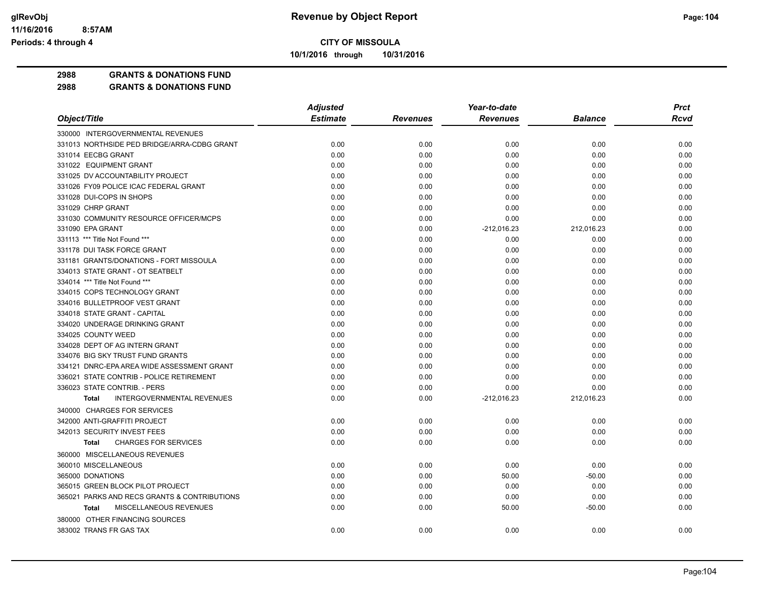**10/1/2016 through 10/31/2016**

**2988 GRANTS & DONATIONS FUND**

|                                                   | <b>Adjusted</b> |                 | Year-to-date    |                | <b>Prct</b> |
|---------------------------------------------------|-----------------|-----------------|-----------------|----------------|-------------|
| Object/Title                                      | <b>Estimate</b> | <b>Revenues</b> | <b>Revenues</b> | <b>Balance</b> | <b>Rcvd</b> |
| 330000 INTERGOVERNMENTAL REVENUES                 |                 |                 |                 |                |             |
| 331013 NORTHSIDE PED BRIDGE/ARRA-CDBG GRANT       | 0.00            | 0.00            | 0.00            | 0.00           | 0.00        |
| 331014 EECBG GRANT                                | 0.00            | 0.00            | 0.00            | 0.00           | 0.00        |
| 331022 EQUIPMENT GRANT                            | 0.00            | 0.00            | 0.00            | 0.00           | 0.00        |
| 331025 DV ACCOUNTABILITY PROJECT                  | 0.00            | 0.00            | 0.00            | 0.00           | 0.00        |
| 331026 FY09 POLICE ICAC FEDERAL GRANT             | 0.00            | 0.00            | 0.00            | 0.00           | 0.00        |
| 331028 DUI-COPS IN SHOPS                          | 0.00            | 0.00            | 0.00            | 0.00           | 0.00        |
| 331029 CHRP GRANT                                 | 0.00            | 0.00            | 0.00            | 0.00           | 0.00        |
| 331030 COMMUNITY RESOURCE OFFICER/MCPS            | 0.00            | 0.00            | 0.00            | 0.00           | 0.00        |
| 331090 EPA GRANT                                  | 0.00            | 0.00            | $-212,016.23$   | 212,016.23     | 0.00        |
| 331113 *** Title Not Found ***                    | 0.00            | 0.00            | 0.00            | 0.00           | 0.00        |
| 331178 DUI TASK FORCE GRANT                       | 0.00            | 0.00            | 0.00            | 0.00           | 0.00        |
| 331181 GRANTS/DONATIONS - FORT MISSOULA           | 0.00            | 0.00            | 0.00            | 0.00           | 0.00        |
| 334013 STATE GRANT - OT SEATBELT                  | 0.00            | 0.00            | 0.00            | 0.00           | 0.00        |
| 334014 *** Title Not Found ***                    | 0.00            | 0.00            | 0.00            | 0.00           | 0.00        |
| 334015 COPS TECHNOLOGY GRANT                      | 0.00            | 0.00            | 0.00            | 0.00           | 0.00        |
| 334016 BULLETPROOF VEST GRANT                     | 0.00            | 0.00            | 0.00            | 0.00           | 0.00        |
| 334018 STATE GRANT - CAPITAL                      | 0.00            | 0.00            | 0.00            | 0.00           | 0.00        |
| 334020 UNDERAGE DRINKING GRANT                    | 0.00            | 0.00            | 0.00            | 0.00           | 0.00        |
| 334025 COUNTY WEED                                | 0.00            | 0.00            | 0.00            | 0.00           | 0.00        |
| 334028 DEPT OF AG INTERN GRANT                    | 0.00            | 0.00            | 0.00            | 0.00           | 0.00        |
| 334076 BIG SKY TRUST FUND GRANTS                  | 0.00            | 0.00            | 0.00            | 0.00           | 0.00        |
| 334121 DNRC-EPA AREA WIDE ASSESSMENT GRANT        | 0.00            | 0.00            | 0.00            | 0.00           | 0.00        |
| 336021 STATE CONTRIB - POLICE RETIREMENT          | 0.00            | 0.00            | 0.00            | 0.00           | 0.00        |
| 336023 STATE CONTRIB. - PERS                      | 0.00            | 0.00            | 0.00            | 0.00           | 0.00        |
| <b>INTERGOVERNMENTAL REVENUES</b><br><b>Total</b> | 0.00            | 0.00            | $-212,016.23$   | 212,016.23     | 0.00        |
| 340000 CHARGES FOR SERVICES                       |                 |                 |                 |                |             |
| 342000 ANTI-GRAFFITI PROJECT                      | 0.00            | 0.00            | 0.00            | 0.00           | 0.00        |
| 342013 SECURITY INVEST FEES                       | 0.00            | 0.00            | 0.00            | 0.00           | 0.00        |
| <b>CHARGES FOR SERVICES</b><br>Total              | 0.00            | 0.00            | 0.00            | 0.00           | 0.00        |
| 360000 MISCELLANEOUS REVENUES                     |                 |                 |                 |                |             |
| 360010 MISCELLANEOUS                              | 0.00            | 0.00            | 0.00            | 0.00           | 0.00        |
| 365000 DONATIONS                                  | 0.00            | 0.00            | 50.00           | $-50.00$       | 0.00        |
| 365015 GREEN BLOCK PILOT PROJECT                  | 0.00            | 0.00            | 0.00            | 0.00           | 0.00        |
| 365021 PARKS AND RECS GRANTS & CONTRIBUTIONS      | 0.00            | 0.00            | 0.00            | 0.00           | 0.00        |
| MISCELLANEOUS REVENUES<br><b>Total</b>            | 0.00            | 0.00            | 50.00           | $-50.00$       | 0.00        |
| 380000 OTHER FINANCING SOURCES                    |                 |                 |                 |                |             |
| 383002 TRANS FR GAS TAX                           | 0.00            | 0.00            | 0.00            | 0.00           | 0.00        |
|                                                   |                 |                 |                 |                |             |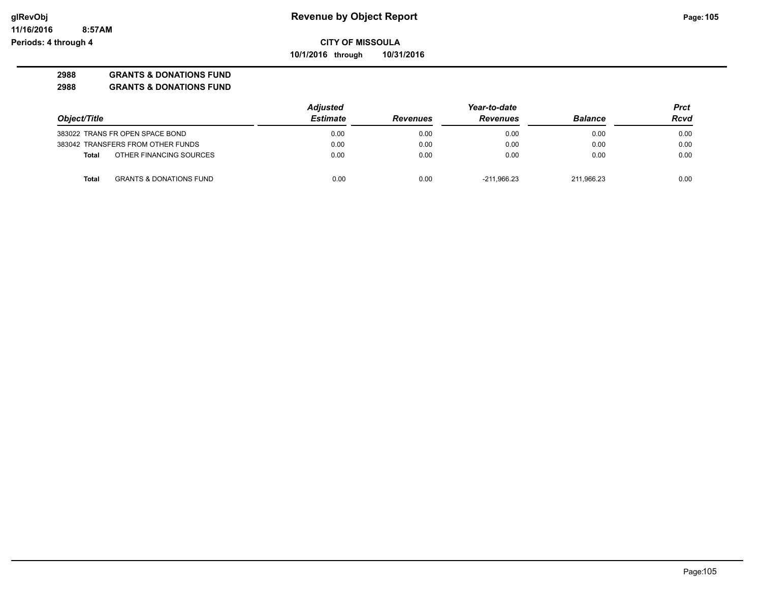**11/16/2016 8:57AM Periods: 4 through 4**

# **CITY OF MISSOULA**

**10/1/2016 through 10/31/2016**

# **2988 GRANTS & DONATIONS FUND**

|                                             | <b>Adjusted</b> |                 | Year-to-date    |                |      |
|---------------------------------------------|-----------------|-----------------|-----------------|----------------|------|
| Object/Title                                | <b>Estimate</b> | <b>Revenues</b> | <b>Revenues</b> | <b>Balance</b> | Rcvd |
| 383022 TRANS FR OPEN SPACE BOND             | 0.00            | 0.00            | 0.00            | 0.00           | 0.00 |
| 383042 TRANSFERS FROM OTHER FUNDS           | 0.00            | 0.00            | 0.00            | 0.00           | 0.00 |
| OTHER FINANCING SOURCES<br>Total            | 0.00            | 0.00            | 0.00            | 0.00           | 0.00 |
| <b>GRANTS &amp; DONATIONS FUND</b><br>Total | 0.00            | 0.00            | $-211.966.23$   | 211.966.23     | 0.00 |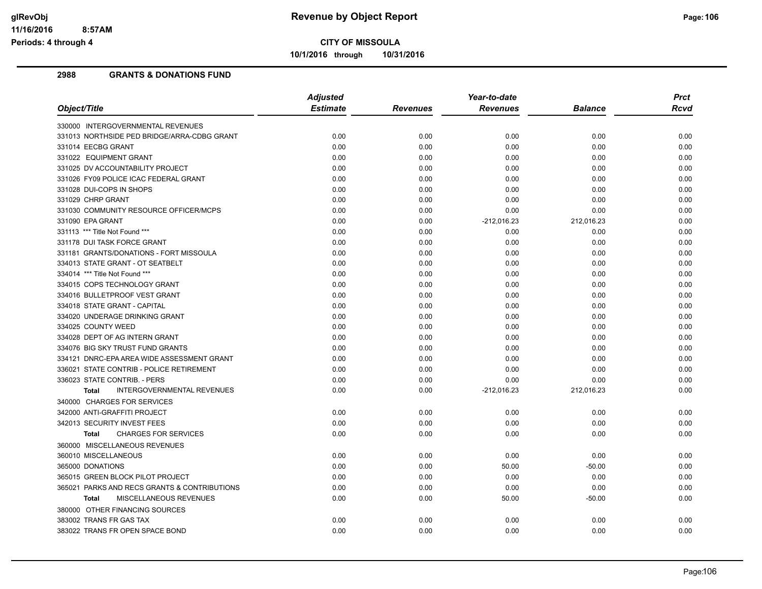**10/1/2016 through 10/31/2016**

| Object/Title                                 | <b>Adjusted</b> |                 | Year-to-date    | <b>Prct</b>    |             |
|----------------------------------------------|-----------------|-----------------|-----------------|----------------|-------------|
|                                              | <b>Estimate</b> | <b>Revenues</b> | <b>Revenues</b> | <b>Balance</b> | <b>Rcvd</b> |
| 330000 INTERGOVERNMENTAL REVENUES            |                 |                 |                 |                |             |
| 331013 NORTHSIDE PED BRIDGE/ARRA-CDBG GRANT  | 0.00            | 0.00            | 0.00            | 0.00           | 0.00        |
| 331014 EECBG GRANT                           | 0.00            | 0.00            | 0.00            | 0.00           | 0.00        |
| 331022 EQUIPMENT GRANT                       | 0.00            | 0.00            | 0.00            | 0.00           | 0.00        |
| 331025 DV ACCOUNTABILITY PROJECT             | 0.00            | 0.00            | 0.00            | 0.00           | 0.00        |
| 331026 FY09 POLICE ICAC FEDERAL GRANT        | 0.00            | 0.00            | 0.00            | 0.00           | 0.00        |
| 331028 DUI-COPS IN SHOPS                     | 0.00            | 0.00            | 0.00            | 0.00           | 0.00        |
| 331029 CHRP GRANT                            | 0.00            | 0.00            | 0.00            | 0.00           | 0.00        |
| 331030 COMMUNITY RESOURCE OFFICER/MCPS       | 0.00            | 0.00            | 0.00            | 0.00           | 0.00        |
| 331090 EPA GRANT                             | 0.00            | 0.00            | $-212,016.23$   | 212,016.23     | 0.00        |
| 331113 *** Title Not Found ***               | 0.00            | 0.00            | 0.00            | 0.00           | 0.00        |
| 331178 DUI TASK FORCE GRANT                  | 0.00            | 0.00            | 0.00            | 0.00           | 0.00        |
| 331181 GRANTS/DONATIONS - FORT MISSOULA      | 0.00            | 0.00            | 0.00            | 0.00           | 0.00        |
| 334013 STATE GRANT - OT SEATBELT             | 0.00            | 0.00            | 0.00            | 0.00           | 0.00        |
| 334014 *** Title Not Found ***               | 0.00            | 0.00            | 0.00            | 0.00           | 0.00        |
| 334015 COPS TECHNOLOGY GRANT                 | 0.00            | 0.00            | 0.00            | 0.00           | 0.00        |
| 334016 BULLETPROOF VEST GRANT                | 0.00            | 0.00            | 0.00            | 0.00           | 0.00        |
| 334018 STATE GRANT - CAPITAL                 | 0.00            | 0.00            | 0.00            | 0.00           | 0.00        |
| 334020 UNDERAGE DRINKING GRANT               | 0.00            | 0.00            | 0.00            | 0.00           | 0.00        |
| 334025 COUNTY WEED                           | 0.00            | 0.00            | 0.00            | 0.00           | 0.00        |
| 334028 DEPT OF AG INTERN GRANT               | 0.00            | 0.00            | 0.00            | 0.00           | 0.00        |
| 334076 BIG SKY TRUST FUND GRANTS             | 0.00            | 0.00            | 0.00            | 0.00           | 0.00        |
| 334121 DNRC-EPA AREA WIDE ASSESSMENT GRANT   | 0.00            | 0.00            | 0.00            | 0.00           | 0.00        |
| 336021 STATE CONTRIB - POLICE RETIREMENT     | 0.00            | 0.00            | 0.00            | 0.00           | 0.00        |
| 336023 STATE CONTRIB. - PERS                 | 0.00            | 0.00            | 0.00            | 0.00           | 0.00        |
| INTERGOVERNMENTAL REVENUES<br><b>Total</b>   | 0.00            | 0.00            | $-212,016.23$   | 212,016.23     | 0.00        |
| 340000 CHARGES FOR SERVICES                  |                 |                 |                 |                |             |
| 342000 ANTI-GRAFFITI PROJECT                 | 0.00            | 0.00            | 0.00            | 0.00           | 0.00        |
| 342013 SECURITY INVEST FEES                  | 0.00            | 0.00            | 0.00            | 0.00           | 0.00        |
| <b>CHARGES FOR SERVICES</b><br><b>Total</b>  | 0.00            | 0.00            | 0.00            | 0.00           | 0.00        |
| 360000 MISCELLANEOUS REVENUES                |                 |                 |                 |                |             |
| 360010 MISCELLANEOUS                         | 0.00            | 0.00            | 0.00            | 0.00           | 0.00        |
| 365000 DONATIONS                             | 0.00            | 0.00            | 50.00           | $-50.00$       | 0.00        |
| 365015 GREEN BLOCK PILOT PROJECT             | 0.00            | 0.00            | 0.00            | 0.00           | 0.00        |
| 365021 PARKS AND RECS GRANTS & CONTRIBUTIONS | 0.00            | 0.00            | 0.00            | 0.00           | 0.00        |
| MISCELLANEOUS REVENUES<br><b>Total</b>       | 0.00            | 0.00            | 50.00           | $-50.00$       | 0.00        |
| 380000 OTHER FINANCING SOURCES               |                 |                 |                 |                |             |
| 383002 TRANS FR GAS TAX                      | 0.00            | 0.00            | 0.00            | 0.00           | 0.00        |
| 383022 TRANS FR OPEN SPACE BOND              |                 | 0.00            | 0.00            | 0.00           | 0.00        |
|                                              | 0.00            |                 |                 |                |             |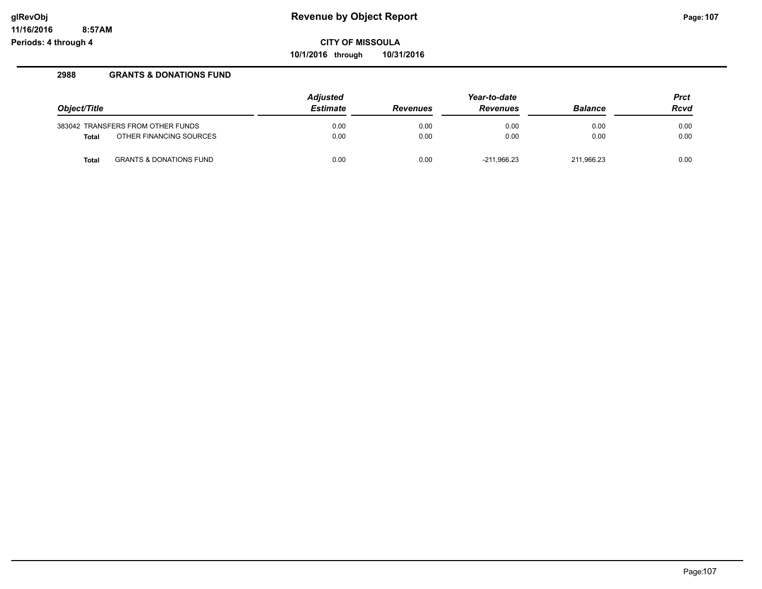**10/1/2016 through 10/31/2016**

|                                                    | <b>Adjusted</b> |                 |                 | <b>Prct</b>    |             |
|----------------------------------------------------|-----------------|-----------------|-----------------|----------------|-------------|
| Object/Title                                       | <b>Estimate</b> | <b>Revenues</b> | <b>Revenues</b> | <b>Balance</b> | <b>Rcvd</b> |
| 383042 TRANSFERS FROM OTHER FUNDS                  | 0.00            | 0.00            | 0.00            | 0.00           | 0.00        |
| OTHER FINANCING SOURCES<br><b>Total</b>            | 0.00            | 0.00            | 0.00            | 0.00           | 0.00        |
| <b>GRANTS &amp; DONATIONS FUND</b><br><b>Total</b> | 0.00            | 0.00            | $-211,966.23$   | 211,966.23     | 0.00        |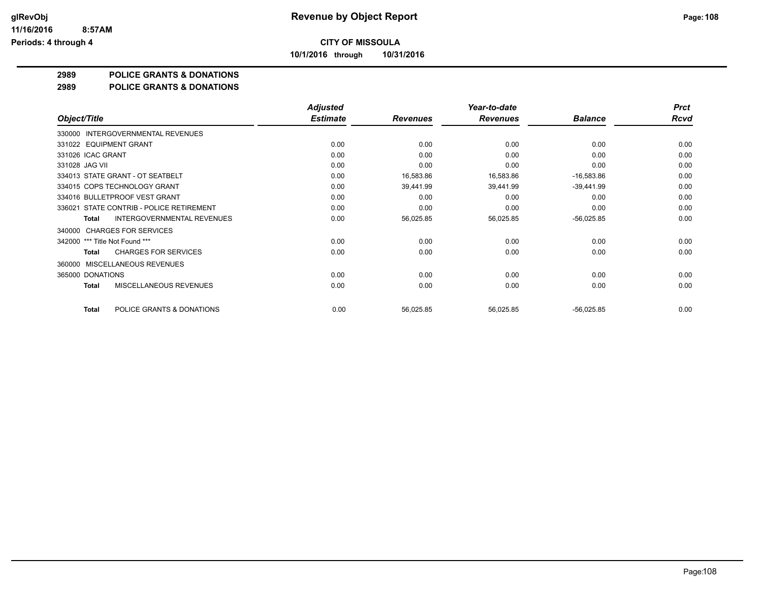**10/1/2016 through 10/31/2016**

# **2989 POLICE GRANTS & DONATIONS**

#### **2989 POLICE GRANTS & DONATIONS**

|                                                   | <b>Adjusted</b> |                 | Year-to-date    |                | <b>Prct</b> |
|---------------------------------------------------|-----------------|-----------------|-----------------|----------------|-------------|
| Object/Title                                      | <b>Estimate</b> | <b>Revenues</b> | <b>Revenues</b> | <b>Balance</b> | <b>Rcvd</b> |
| INTERGOVERNMENTAL REVENUES<br>330000              |                 |                 |                 |                |             |
| 331022 EQUIPMENT GRANT                            | 0.00            | 0.00            | 0.00            | 0.00           | 0.00        |
| 331026 ICAC GRANT                                 | 0.00            | 0.00            | 0.00            | 0.00           | 0.00        |
| 331028 JAG VII                                    | 0.00            | 0.00            | 0.00            | 0.00           | 0.00        |
| 334013 STATE GRANT - OT SEATBELT                  | 0.00            | 16,583.86       | 16,583.86       | $-16,583.86$   | 0.00        |
| 334015 COPS TECHNOLOGY GRANT                      | 0.00            | 39,441.99       | 39,441.99       | $-39,441.99$   | 0.00        |
| 334016 BULLETPROOF VEST GRANT                     | 0.00            | 0.00            | 0.00            | 0.00           | 0.00        |
| 336021 STATE CONTRIB - POLICE RETIREMENT          | 0.00            | 0.00            | 0.00            | 0.00           | 0.00        |
| <b>INTERGOVERNMENTAL REVENUES</b><br><b>Total</b> | 0.00            | 56,025.85       | 56,025.85       | $-56,025.85$   | 0.00        |
| <b>CHARGES FOR SERVICES</b><br>340000             |                 |                 |                 |                |             |
| 342000 *** Title Not Found ***                    | 0.00            | 0.00            | 0.00            | 0.00           | 0.00        |
| <b>CHARGES FOR SERVICES</b><br><b>Total</b>       | 0.00            | 0.00            | 0.00            | 0.00           | 0.00        |
| <b>MISCELLANEOUS REVENUES</b><br>360000           |                 |                 |                 |                |             |
| 365000 DONATIONS                                  | 0.00            | 0.00            | 0.00            | 0.00           | 0.00        |
| MISCELLANEOUS REVENUES<br><b>Total</b>            | 0.00            | 0.00            | 0.00            | 0.00           | 0.00        |
| POLICE GRANTS & DONATIONS<br><b>Total</b>         | 0.00            | 56,025.85       | 56,025.85       | $-56,025.85$   | 0.00        |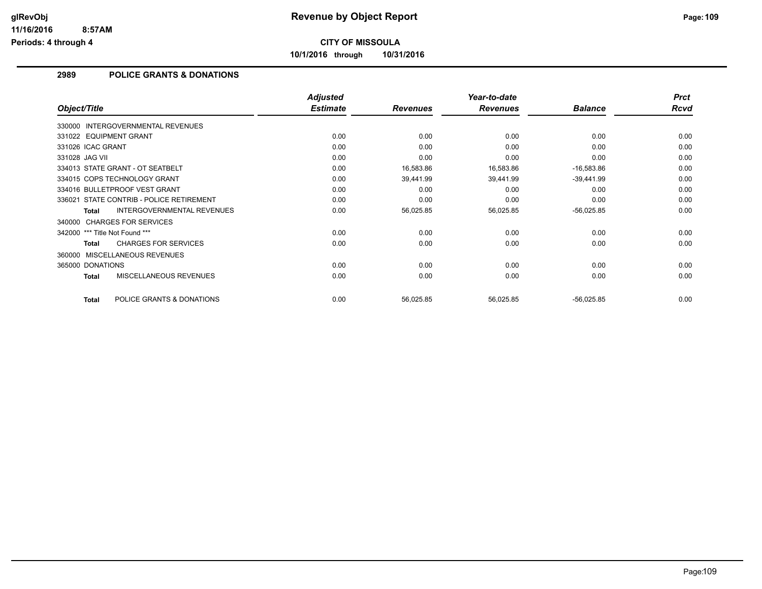**10/1/2016 through 10/31/2016**

# **2989 POLICE GRANTS & DONATIONS**

|                                               | <b>Adjusted</b> |                 | Year-to-date    |                | <b>Prct</b> |
|-----------------------------------------------|-----------------|-----------------|-----------------|----------------|-------------|
| Object/Title                                  | <b>Estimate</b> | <b>Revenues</b> | <b>Revenues</b> | <b>Balance</b> | <b>Rcvd</b> |
| 330000 INTERGOVERNMENTAL REVENUES             |                 |                 |                 |                |             |
| 331022 EQUIPMENT GRANT                        | 0.00            | 0.00            | 0.00            | 0.00           | 0.00        |
| 331026 ICAC GRANT                             | 0.00            | 0.00            | 0.00            | 0.00           | 0.00        |
| 331028 JAG VII                                | 0.00            | 0.00            | 0.00            | 0.00           | 0.00        |
| 334013 STATE GRANT - OT SEATBELT              | 0.00            | 16,583.86       | 16,583.86       | $-16,583.86$   | 0.00        |
| 334015 COPS TECHNOLOGY GRANT                  | 0.00            | 39,441.99       | 39,441.99       | $-39,441.99$   | 0.00        |
| 334016 BULLETPROOF VEST GRANT                 | 0.00            | 0.00            | 0.00            | 0.00           | 0.00        |
| 336021 STATE CONTRIB - POLICE RETIREMENT      | 0.00            | 0.00            | 0.00            | 0.00           | 0.00        |
| <b>INTERGOVERNMENTAL REVENUES</b><br>Total    | 0.00            | 56,025.85       | 56,025.85       | $-56,025.85$   | 0.00        |
| 340000 CHARGES FOR SERVICES                   |                 |                 |                 |                |             |
| 342000 *** Title Not Found ***                | 0.00            | 0.00            | 0.00            | 0.00           | 0.00        |
| <b>CHARGES FOR SERVICES</b><br>Total          | 0.00            | 0.00            | 0.00            | 0.00           | 0.00        |
| 360000 MISCELLANEOUS REVENUES                 |                 |                 |                 |                |             |
| 365000 DONATIONS                              | 0.00            | 0.00            | 0.00            | 0.00           | 0.00        |
| <b>MISCELLANEOUS REVENUES</b><br><b>Total</b> | 0.00            | 0.00            | 0.00            | 0.00           | 0.00        |
| POLICE GRANTS & DONATIONS<br><b>Total</b>     | 0.00            | 56,025.85       | 56,025.85       | $-56,025.85$   | 0.00        |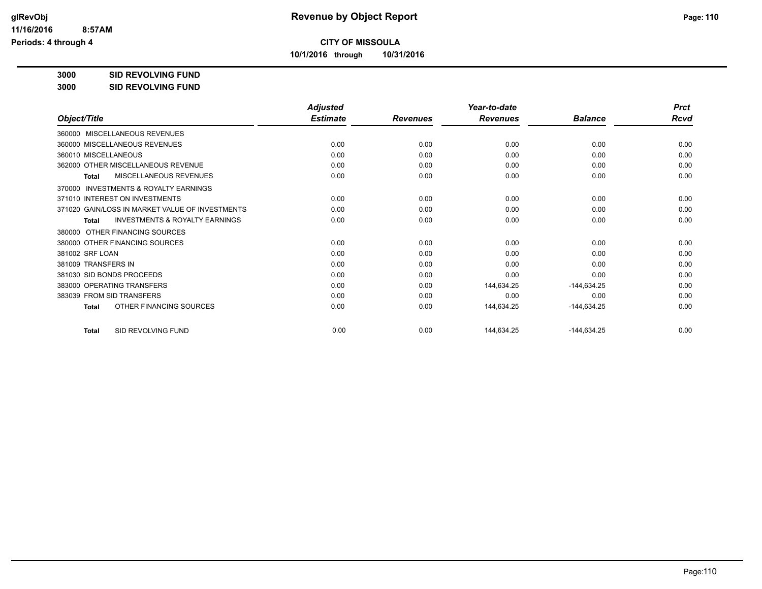**10/1/2016 through 10/31/2016**

**3000 SID REVOLVING FUND**

**3000 SID REVOLVING FUND**

|                                                     | <b>Adjusted</b> |                 | Year-to-date    |                | <b>Prct</b> |
|-----------------------------------------------------|-----------------|-----------------|-----------------|----------------|-------------|
| Object/Title                                        | <b>Estimate</b> | <b>Revenues</b> | <b>Revenues</b> | <b>Balance</b> | <b>Rcvd</b> |
| 360000 MISCELLANEOUS REVENUES                       |                 |                 |                 |                |             |
| 360000 MISCELLANEOUS REVENUES                       | 0.00            | 0.00            | 0.00            | 0.00           | 0.00        |
| 360010 MISCELLANEOUS                                | 0.00            | 0.00            | 0.00            | 0.00           | 0.00        |
| 362000 OTHER MISCELLANEOUS REVENUE                  | 0.00            | 0.00            | 0.00            | 0.00           | 0.00        |
| <b>MISCELLANEOUS REVENUES</b><br><b>Total</b>       | 0.00            | 0.00            | 0.00            | 0.00           | 0.00        |
| <b>INVESTMENTS &amp; ROYALTY EARNINGS</b><br>370000 |                 |                 |                 |                |             |
| 371010 INTEREST ON INVESTMENTS                      | 0.00            | 0.00            | 0.00            | 0.00           | 0.00        |
| 371020 GAIN/LOSS IN MARKET VALUE OF INVESTMENTS     | 0.00            | 0.00            | 0.00            | 0.00           | 0.00        |
| <b>INVESTMENTS &amp; ROYALTY EARNINGS</b><br>Total  | 0.00            | 0.00            | 0.00            | 0.00           | 0.00        |
| OTHER FINANCING SOURCES<br>380000                   |                 |                 |                 |                |             |
| 380000 OTHER FINANCING SOURCES                      | 0.00            | 0.00            | 0.00            | 0.00           | 0.00        |
| 381002 SRF LOAN                                     | 0.00            | 0.00            | 0.00            | 0.00           | 0.00        |
| 381009 TRANSFERS IN                                 | 0.00            | 0.00            | 0.00            | 0.00           | 0.00        |
| 381030 SID BONDS PROCEEDS                           | 0.00            | 0.00            | 0.00            | 0.00           | 0.00        |
| 383000 OPERATING TRANSFERS                          | 0.00            | 0.00            | 144,634.25      | $-144,634.25$  | 0.00        |
| 383039 FROM SID TRANSFERS                           | 0.00            | 0.00            | 0.00            | 0.00           | 0.00        |
| OTHER FINANCING SOURCES<br>Total                    | 0.00            | 0.00            | 144,634.25      | $-144,634.25$  | 0.00        |
| SID REVOLVING FUND<br><b>Total</b>                  | 0.00            | 0.00            | 144,634.25      | $-144,634.25$  | 0.00        |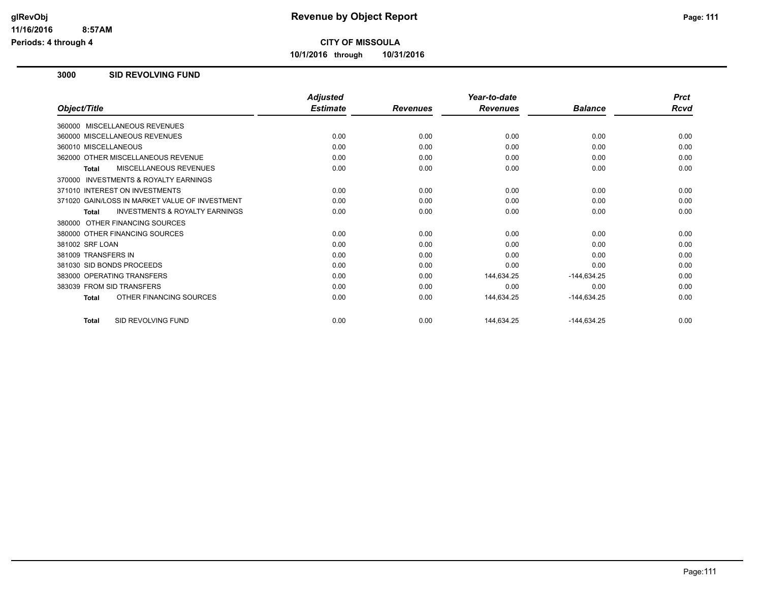**10/1/2016 through 10/31/2016**

### **3000 SID REVOLVING FUND**

|                                                     | <b>Adjusted</b> |                 | Year-to-date    | <b>Prct</b>    |      |
|-----------------------------------------------------|-----------------|-----------------|-----------------|----------------|------|
| Object/Title                                        | <b>Estimate</b> | <b>Revenues</b> | <b>Revenues</b> | <b>Balance</b> | Rcvd |
| 360000 MISCELLANEOUS REVENUES                       |                 |                 |                 |                |      |
| 360000 MISCELLANEOUS REVENUES                       | 0.00            | 0.00            | 0.00            | 0.00           | 0.00 |
| 360010 MISCELLANEOUS                                | 0.00            | 0.00            | 0.00            | 0.00           | 0.00 |
| 362000 OTHER MISCELLANEOUS REVENUE                  | 0.00            | 0.00            | 0.00            | 0.00           | 0.00 |
| MISCELLANEOUS REVENUES<br>Total                     | 0.00            | 0.00            | 0.00            | 0.00           | 0.00 |
| <b>INVESTMENTS &amp; ROYALTY EARNINGS</b><br>370000 |                 |                 |                 |                |      |
| 371010 INTEREST ON INVESTMENTS                      | 0.00            | 0.00            | 0.00            | 0.00           | 0.00 |
| 371020 GAIN/LOSS IN MARKET VALUE OF INVESTMENT      | 0.00            | 0.00            | 0.00            | 0.00           | 0.00 |
| <b>INVESTMENTS &amp; ROYALTY EARNINGS</b><br>Total  | 0.00            | 0.00            | 0.00            | 0.00           | 0.00 |
| 380000 OTHER FINANCING SOURCES                      |                 |                 |                 |                |      |
| 380000 OTHER FINANCING SOURCES                      | 0.00            | 0.00            | 0.00            | 0.00           | 0.00 |
| 381002 SRF LOAN                                     | 0.00            | 0.00            | 0.00            | 0.00           | 0.00 |
| 381009 TRANSFERS IN                                 | 0.00            | 0.00            | 0.00            | 0.00           | 0.00 |
| 381030 SID BONDS PROCEEDS                           | 0.00            | 0.00            | 0.00            | 0.00           | 0.00 |
| 383000 OPERATING TRANSFERS                          | 0.00            | 0.00            | 144,634.25      | $-144,634.25$  | 0.00 |
| 383039 FROM SID TRANSFERS                           | 0.00            | 0.00            | 0.00            | 0.00           | 0.00 |
| OTHER FINANCING SOURCES<br><b>Total</b>             | 0.00            | 0.00            | 144,634.25      | $-144,634.25$  | 0.00 |
| SID REVOLVING FUND<br><b>Total</b>                  | 0.00            | 0.00            | 144,634.25      | $-144,634.25$  | 0.00 |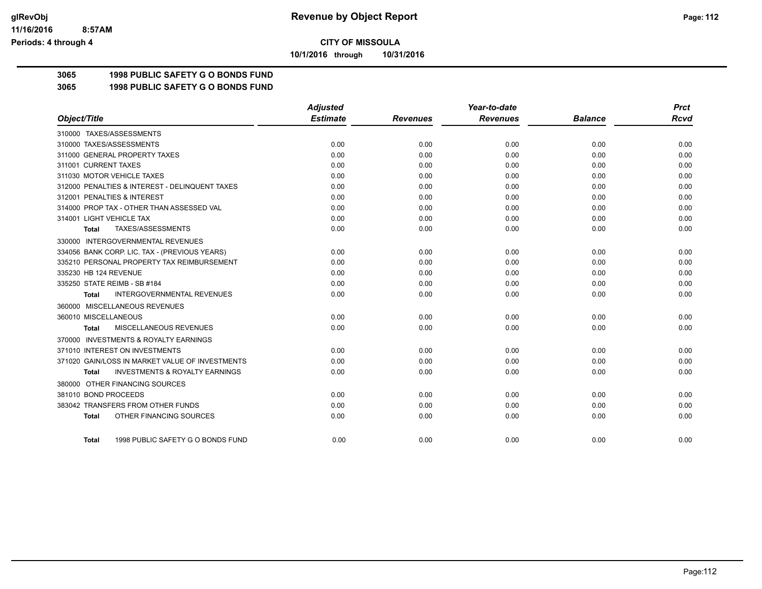**10/1/2016 through 10/31/2016**

# **3065 1998 PUBLIC SAFETY G O BONDS FUND**

**3065 1998 PUBLIC SAFETY G O BONDS FUND**

|                                                    | <b>Adjusted</b> |                 | Year-to-date    |                | <b>Prct</b> |
|----------------------------------------------------|-----------------|-----------------|-----------------|----------------|-------------|
| Object/Title                                       | <b>Estimate</b> | <b>Revenues</b> | <b>Revenues</b> | <b>Balance</b> | <b>Rcvd</b> |
| 310000 TAXES/ASSESSMENTS                           |                 |                 |                 |                |             |
| 310000 TAXES/ASSESSMENTS                           | 0.00            | 0.00            | 0.00            | 0.00           | 0.00        |
| 311000 GENERAL PROPERTY TAXES                      | 0.00            | 0.00            | 0.00            | 0.00           | 0.00        |
| 311001 CURRENT TAXES                               | 0.00            | 0.00            | 0.00            | 0.00           | 0.00        |
| 311030 MOTOR VEHICLE TAXES                         | 0.00            | 0.00            | 0.00            | 0.00           | 0.00        |
| 312000 PENALTIES & INTEREST - DELINQUENT TAXES     | 0.00            | 0.00            | 0.00            | 0.00           | 0.00        |
| 312001 PENALTIES & INTEREST                        | 0.00            | 0.00            | 0.00            | 0.00           | 0.00        |
| 314000 PROP TAX - OTHER THAN ASSESSED VAL          | 0.00            | 0.00            | 0.00            | 0.00           | 0.00        |
| 314001 LIGHT VEHICLE TAX                           | 0.00            | 0.00            | 0.00            | 0.00           | 0.00        |
| TAXES/ASSESSMENTS<br>Total                         | 0.00            | 0.00            | 0.00            | 0.00           | 0.00        |
| 330000 INTERGOVERNMENTAL REVENUES                  |                 |                 |                 |                |             |
| 334056 BANK CORP. LIC. TAX - (PREVIOUS YEARS)      | 0.00            | 0.00            | 0.00            | 0.00           | 0.00        |
| 335210 PERSONAL PROPERTY TAX REIMBURSEMENT         | 0.00            | 0.00            | 0.00            | 0.00           | 0.00        |
| 335230 HB 124 REVENUE                              | 0.00            | 0.00            | 0.00            | 0.00           | 0.00        |
| 335250 STATE REIMB - SB #184                       | 0.00            | 0.00            | 0.00            | 0.00           | 0.00        |
| <b>INTERGOVERNMENTAL REVENUES</b><br><b>Total</b>  | 0.00            | 0.00            | 0.00            | 0.00           | 0.00        |
| 360000 MISCELLANEOUS REVENUES                      |                 |                 |                 |                |             |
| 360010 MISCELLANEOUS                               | 0.00            | 0.00            | 0.00            | 0.00           | 0.00        |
| <b>MISCELLANEOUS REVENUES</b><br>Total             | 0.00            | 0.00            | 0.00            | 0.00           | 0.00        |
| 370000 INVESTMENTS & ROYALTY EARNINGS              |                 |                 |                 |                |             |
| 371010 INTEREST ON INVESTMENTS                     | 0.00            | 0.00            | 0.00            | 0.00           | 0.00        |
| 371020 GAIN/LOSS IN MARKET VALUE OF INVESTMENTS    | 0.00            | 0.00            | 0.00            | 0.00           | 0.00        |
| <b>INVESTMENTS &amp; ROYALTY EARNINGS</b><br>Total | 0.00            | 0.00            | 0.00            | 0.00           | 0.00        |
| 380000 OTHER FINANCING SOURCES                     |                 |                 |                 |                |             |
| 381010 BOND PROCEEDS                               | 0.00            | 0.00            | 0.00            | 0.00           | 0.00        |
| 383042 TRANSFERS FROM OTHER FUNDS                  | 0.00            | 0.00            | 0.00            | 0.00           | 0.00        |
| OTHER FINANCING SOURCES<br><b>Total</b>            | 0.00            | 0.00            | 0.00            | 0.00           | 0.00        |
| 1998 PUBLIC SAFETY G O BONDS FUND<br>Total         | 0.00            | 0.00            | 0.00            | 0.00           | 0.00        |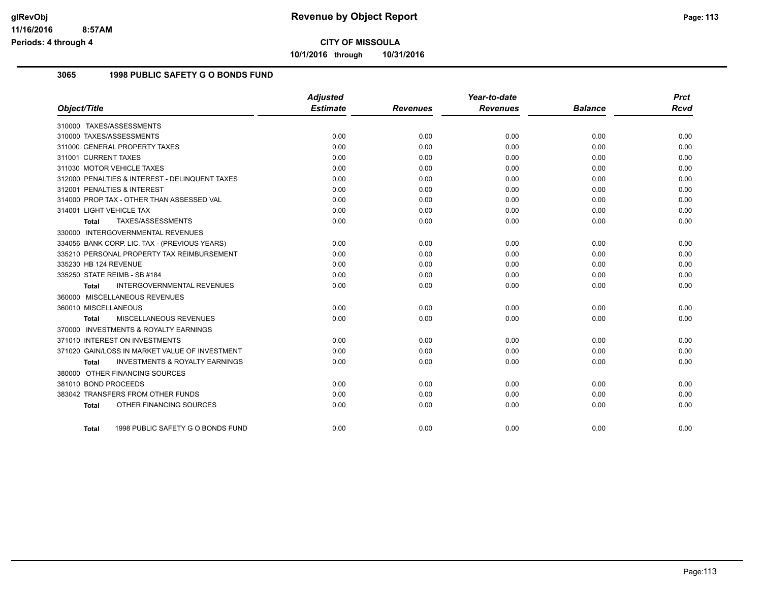**10/1/2016 through 10/31/2016**

# **3065 1998 PUBLIC SAFETY G O BONDS FUND**

|                                                    | <b>Adjusted</b> |                 | Year-to-date    |                | <b>Prct</b> |
|----------------------------------------------------|-----------------|-----------------|-----------------|----------------|-------------|
| Object/Title                                       | <b>Estimate</b> | <b>Revenues</b> | <b>Revenues</b> | <b>Balance</b> | <b>Rcvd</b> |
| 310000 TAXES/ASSESSMENTS                           |                 |                 |                 |                |             |
| 310000 TAXES/ASSESSMENTS                           | 0.00            | 0.00            | 0.00            | 0.00           | 0.00        |
| 311000 GENERAL PROPERTY TAXES                      | 0.00            | 0.00            | 0.00            | 0.00           | 0.00        |
| 311001 CURRENT TAXES                               | 0.00            | 0.00            | 0.00            | 0.00           | 0.00        |
| 311030 MOTOR VEHICLE TAXES                         | 0.00            | 0.00            | 0.00            | 0.00           | 0.00        |
| 312000 PENALTIES & INTEREST - DELINQUENT TAXES     | 0.00            | 0.00            | 0.00            | 0.00           | 0.00        |
| 312001 PENALTIES & INTEREST                        | 0.00            | 0.00            | 0.00            | 0.00           | 0.00        |
| 314000 PROP TAX - OTHER THAN ASSESSED VAL          | 0.00            | 0.00            | 0.00            | 0.00           | 0.00        |
| 314001 LIGHT VEHICLE TAX                           | 0.00            | 0.00            | 0.00            | 0.00           | 0.00        |
| TAXES/ASSESSMENTS<br><b>Total</b>                  | 0.00            | 0.00            | 0.00            | 0.00           | 0.00        |
| 330000 INTERGOVERNMENTAL REVENUES                  |                 |                 |                 |                |             |
| 334056 BANK CORP. LIC. TAX - (PREVIOUS YEARS)      | 0.00            | 0.00            | 0.00            | 0.00           | 0.00        |
| 335210 PERSONAL PROPERTY TAX REIMBURSEMENT         | 0.00            | 0.00            | 0.00            | 0.00           | 0.00        |
| 335230 HB 124 REVENUE                              | 0.00            | 0.00            | 0.00            | 0.00           | 0.00        |
| 335250 STATE REIMB - SB #184                       | 0.00            | 0.00            | 0.00            | 0.00           | 0.00        |
| <b>INTERGOVERNMENTAL REVENUES</b><br><b>Total</b>  | 0.00            | 0.00            | 0.00            | 0.00           | 0.00        |
| 360000 MISCELLANEOUS REVENUES                      |                 |                 |                 |                |             |
| 360010 MISCELLANEOUS                               | 0.00            | 0.00            | 0.00            | 0.00           | 0.00        |
| MISCELLANEOUS REVENUES<br><b>Total</b>             | 0.00            | 0.00            | 0.00            | 0.00           | 0.00        |
| 370000 INVESTMENTS & ROYALTY EARNINGS              |                 |                 |                 |                |             |
| 371010 INTEREST ON INVESTMENTS                     | 0.00            | 0.00            | 0.00            | 0.00           | 0.00        |
| 371020 GAIN/LOSS IN MARKET VALUE OF INVESTMENT     | 0.00            | 0.00            | 0.00            | 0.00           | 0.00        |
| <b>INVESTMENTS &amp; ROYALTY EARNINGS</b><br>Total | 0.00            | 0.00            | 0.00            | 0.00           | 0.00        |
| 380000 OTHER FINANCING SOURCES                     |                 |                 |                 |                |             |
| 381010 BOND PROCEEDS                               | 0.00            | 0.00            | 0.00            | 0.00           | 0.00        |
| 383042 TRANSFERS FROM OTHER FUNDS                  | 0.00            | 0.00            | 0.00            | 0.00           | 0.00        |
| OTHER FINANCING SOURCES<br><b>Total</b>            | 0.00            | 0.00            | 0.00            | 0.00           | 0.00        |
| 1998 PUBLIC SAFETY G O BONDS FUND<br><b>Total</b>  | 0.00            | 0.00            | 0.00            | 0.00           | 0.00        |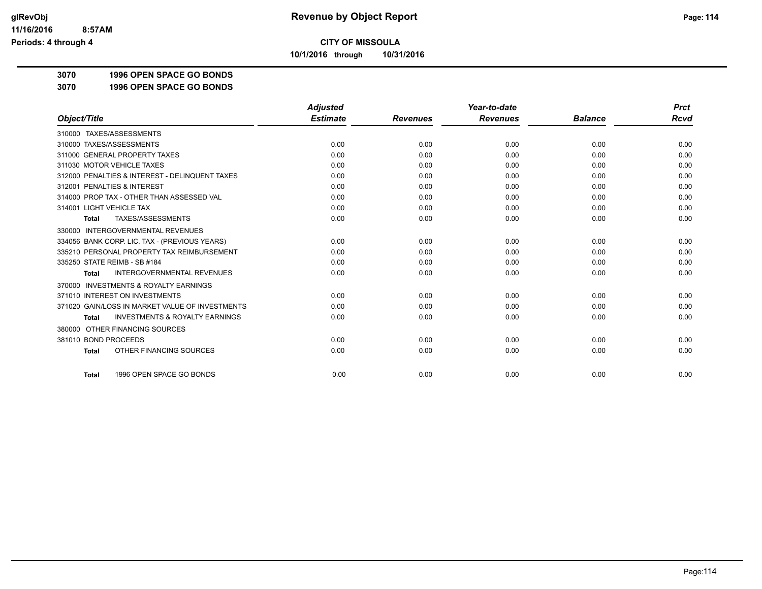**10/1/2016 through 10/31/2016**

**3070 1996 OPEN SPACE GO BONDS**

**3070 1996 OPEN SPACE GO BONDS**

|                                                           | <b>Adjusted</b> |                 | Year-to-date    |                | <b>Prct</b> |
|-----------------------------------------------------------|-----------------|-----------------|-----------------|----------------|-------------|
| Object/Title                                              | <b>Estimate</b> | <b>Revenues</b> | <b>Revenues</b> | <b>Balance</b> | <b>Rcvd</b> |
| 310000 TAXES/ASSESSMENTS                                  |                 |                 |                 |                |             |
| 310000 TAXES/ASSESSMENTS                                  | 0.00            | 0.00            | 0.00            | 0.00           | 0.00        |
| 311000 GENERAL PROPERTY TAXES                             | 0.00            | 0.00            | 0.00            | 0.00           | 0.00        |
| 311030 MOTOR VEHICLE TAXES                                | 0.00            | 0.00            | 0.00            | 0.00           | 0.00        |
| 312000 PENALTIES & INTEREST - DELINQUENT TAXES            | 0.00            | 0.00            | 0.00            | 0.00           | 0.00        |
| 312001 PENALTIES & INTEREST                               | 0.00            | 0.00            | 0.00            | 0.00           | 0.00        |
| 314000 PROP TAX - OTHER THAN ASSESSED VAL                 | 0.00            | 0.00            | 0.00            | 0.00           | 0.00        |
| 314001 LIGHT VEHICLE TAX                                  | 0.00            | 0.00            | 0.00            | 0.00           | 0.00        |
| <b>TAXES/ASSESSMENTS</b><br><b>Total</b>                  | 0.00            | 0.00            | 0.00            | 0.00           | 0.00        |
| <b>INTERGOVERNMENTAL REVENUES</b><br>330000               |                 |                 |                 |                |             |
| 334056 BANK CORP. LIC. TAX - (PREVIOUS YEARS)             | 0.00            | 0.00            | 0.00            | 0.00           | 0.00        |
| 335210 PERSONAL PROPERTY TAX REIMBURSEMENT                | 0.00            | 0.00            | 0.00            | 0.00           | 0.00        |
| 335250 STATE REIMB - SB #184                              | 0.00            | 0.00            | 0.00            | 0.00           | 0.00        |
| <b>INTERGOVERNMENTAL REVENUES</b><br><b>Total</b>         | 0.00            | 0.00            | 0.00            | 0.00           | 0.00        |
| <b>INVESTMENTS &amp; ROYALTY EARNINGS</b><br>370000       |                 |                 |                 |                |             |
| 371010 INTEREST ON INVESTMENTS                            | 0.00            | 0.00            | 0.00            | 0.00           | 0.00        |
| 371020 GAIN/LOSS IN MARKET VALUE OF INVESTMENTS           | 0.00            | 0.00            | 0.00            | 0.00           | 0.00        |
| <b>INVESTMENTS &amp; ROYALTY EARNINGS</b><br><b>Total</b> | 0.00            | 0.00            | 0.00            | 0.00           | 0.00        |
| OTHER FINANCING SOURCES<br>380000                         |                 |                 |                 |                |             |
| 381010 BOND PROCEEDS                                      | 0.00            | 0.00            | 0.00            | 0.00           | 0.00        |
| OTHER FINANCING SOURCES<br><b>Total</b>                   | 0.00            | 0.00            | 0.00            | 0.00           | 0.00        |
|                                                           |                 |                 |                 |                |             |
| 1996 OPEN SPACE GO BONDS<br><b>Total</b>                  | 0.00            | 0.00            | 0.00            | 0.00           | 0.00        |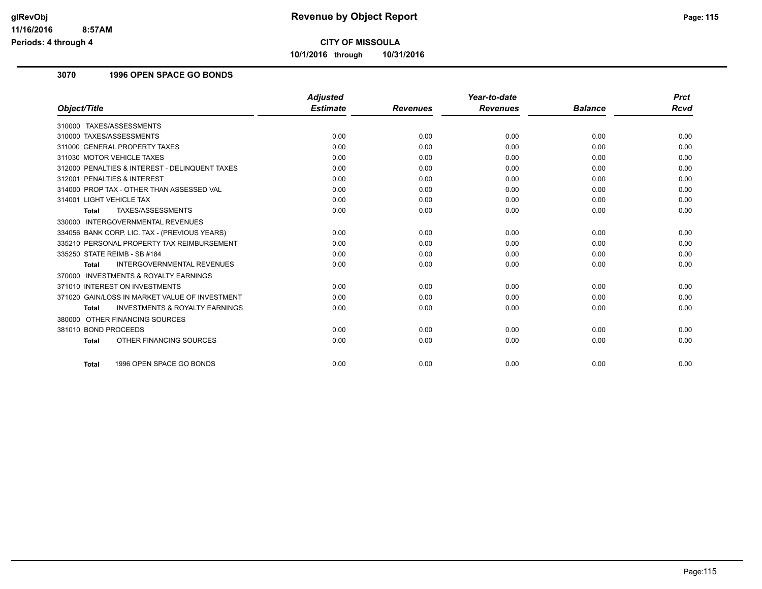**10/1/2016 through 10/31/2016**

# **3070 1996 OPEN SPACE GO BONDS**

|                                                           | <b>Adjusted</b> |                 | Year-to-date    |                | <b>Prct</b> |
|-----------------------------------------------------------|-----------------|-----------------|-----------------|----------------|-------------|
| Object/Title                                              | <b>Estimate</b> | <b>Revenues</b> | <b>Revenues</b> | <b>Balance</b> | Rcvd        |
| 310000 TAXES/ASSESSMENTS                                  |                 |                 |                 |                |             |
| 310000 TAXES/ASSESSMENTS                                  | 0.00            | 0.00            | 0.00            | 0.00           | 0.00        |
| 311000 GENERAL PROPERTY TAXES                             | 0.00            | 0.00            | 0.00            | 0.00           | 0.00        |
| 311030 MOTOR VEHICLE TAXES                                | 0.00            | 0.00            | 0.00            | 0.00           | 0.00        |
| 312000 PENALTIES & INTEREST - DELINQUENT TAXES            | 0.00            | 0.00            | 0.00            | 0.00           | 0.00        |
| 312001 PENALTIES & INTEREST                               | 0.00            | 0.00            | 0.00            | 0.00           | 0.00        |
| 314000 PROP TAX - OTHER THAN ASSESSED VAL                 | 0.00            | 0.00            | 0.00            | 0.00           | 0.00        |
| 314001 LIGHT VEHICLE TAX                                  | 0.00            | 0.00            | 0.00            | 0.00           | 0.00        |
| TAXES/ASSESSMENTS<br><b>Total</b>                         | 0.00            | 0.00            | 0.00            | 0.00           | 0.00        |
| 330000 INTERGOVERNMENTAL REVENUES                         |                 |                 |                 |                |             |
| 334056 BANK CORP. LIC. TAX - (PREVIOUS YEARS)             | 0.00            | 0.00            | 0.00            | 0.00           | 0.00        |
| 335210 PERSONAL PROPERTY TAX REIMBURSEMENT                | 0.00            | 0.00            | 0.00            | 0.00           | 0.00        |
| 335250 STATE REIMB - SB #184                              | 0.00            | 0.00            | 0.00            | 0.00           | 0.00        |
| INTERGOVERNMENTAL REVENUES<br><b>Total</b>                | 0.00            | 0.00            | 0.00            | 0.00           | 0.00        |
| <b>INVESTMENTS &amp; ROYALTY EARNINGS</b><br>370000       |                 |                 |                 |                |             |
| 371010 INTEREST ON INVESTMENTS                            | 0.00            | 0.00            | 0.00            | 0.00           | 0.00        |
| 371020 GAIN/LOSS IN MARKET VALUE OF INVESTMENT            | 0.00            | 0.00            | 0.00            | 0.00           | 0.00        |
| <b>INVESTMENTS &amp; ROYALTY EARNINGS</b><br><b>Total</b> | 0.00            | 0.00            | 0.00            | 0.00           | 0.00        |
| 380000 OTHER FINANCING SOURCES                            |                 |                 |                 |                |             |
| 381010 BOND PROCEEDS                                      | 0.00            | 0.00            | 0.00            | 0.00           | 0.00        |
| OTHER FINANCING SOURCES<br><b>Total</b>                   | 0.00            | 0.00            | 0.00            | 0.00           | 0.00        |
| 1996 OPEN SPACE GO BONDS<br><b>Total</b>                  | 0.00            | 0.00            | 0.00            | 0.00           | 0.00        |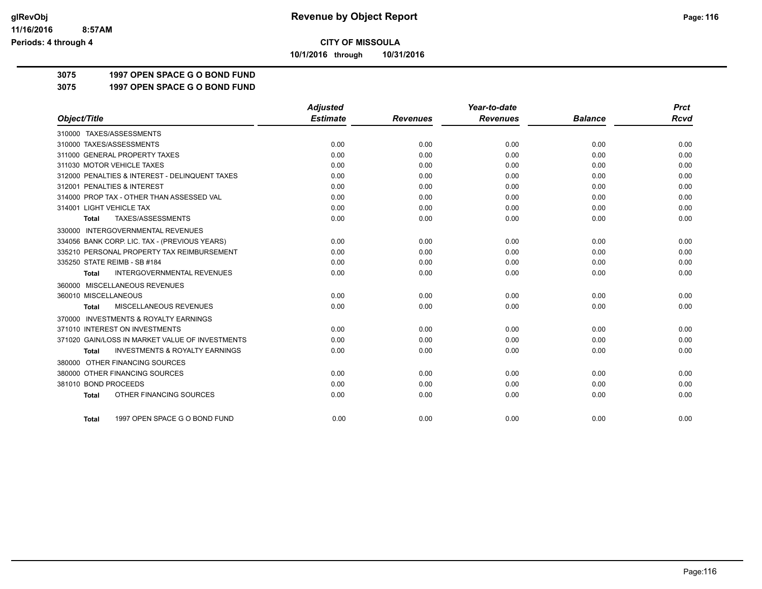**10/1/2016 through 10/31/2016**

# **3075 1997 OPEN SPACE G O BOND FUND**

### **3075 1997 OPEN SPACE G O BOND FUND**

|                                                           | <b>Adjusted</b> |                 | Year-to-date    |                | <b>Prct</b> |
|-----------------------------------------------------------|-----------------|-----------------|-----------------|----------------|-------------|
| Object/Title                                              | <b>Estimate</b> | <b>Revenues</b> | <b>Revenues</b> | <b>Balance</b> | <b>Rcvd</b> |
| 310000 TAXES/ASSESSMENTS                                  |                 |                 |                 |                |             |
| 310000 TAXES/ASSESSMENTS                                  | 0.00            | 0.00            | 0.00            | 0.00           | 0.00        |
| 311000 GENERAL PROPERTY TAXES                             | 0.00            | 0.00            | 0.00            | 0.00           | 0.00        |
| 311030 MOTOR VEHICLE TAXES                                | 0.00            | 0.00            | 0.00            | 0.00           | 0.00        |
| 312000 PENALTIES & INTEREST - DELINQUENT TAXES            | 0.00            | 0.00            | 0.00            | 0.00           | 0.00        |
| 312001 PENALTIES & INTEREST                               | 0.00            | 0.00            | 0.00            | 0.00           | 0.00        |
| 314000 PROP TAX - OTHER THAN ASSESSED VAL                 | 0.00            | 0.00            | 0.00            | 0.00           | 0.00        |
| 314001 LIGHT VEHICLE TAX                                  | 0.00            | 0.00            | 0.00            | 0.00           | 0.00        |
| TAXES/ASSESSMENTS<br><b>Total</b>                         | 0.00            | 0.00            | 0.00            | 0.00           | 0.00        |
| 330000 INTERGOVERNMENTAL REVENUES                         |                 |                 |                 |                |             |
| 334056 BANK CORP. LIC. TAX - (PREVIOUS YEARS)             | 0.00            | 0.00            | 0.00            | 0.00           | 0.00        |
| 335210 PERSONAL PROPERTY TAX REIMBURSEMENT                | 0.00            | 0.00            | 0.00            | 0.00           | 0.00        |
| 335250 STATE REIMB - SB #184                              | 0.00            | 0.00            | 0.00            | 0.00           | 0.00        |
| <b>INTERGOVERNMENTAL REVENUES</b><br>Total                | 0.00            | 0.00            | 0.00            | 0.00           | 0.00        |
| 360000 MISCELLANEOUS REVENUES                             |                 |                 |                 |                |             |
| 360010 MISCELLANEOUS                                      | 0.00            | 0.00            | 0.00            | 0.00           | 0.00        |
| <b>MISCELLANEOUS REVENUES</b><br>Total                    | 0.00            | 0.00            | 0.00            | 0.00           | 0.00        |
| 370000 INVESTMENTS & ROYALTY EARNINGS                     |                 |                 |                 |                |             |
| 371010 INTEREST ON INVESTMENTS                            | 0.00            | 0.00            | 0.00            | 0.00           | 0.00        |
| 371020 GAIN/LOSS IN MARKET VALUE OF INVESTMENTS           | 0.00            | 0.00            | 0.00            | 0.00           | 0.00        |
| <b>INVESTMENTS &amp; ROYALTY EARNINGS</b><br><b>Total</b> | 0.00            | 0.00            | 0.00            | 0.00           | 0.00        |
| 380000 OTHER FINANCING SOURCES                            |                 |                 |                 |                |             |
| 380000 OTHER FINANCING SOURCES                            | 0.00            | 0.00            | 0.00            | 0.00           | 0.00        |
| 381010 BOND PROCEEDS                                      | 0.00            | 0.00            | 0.00            | 0.00           | 0.00        |
| OTHER FINANCING SOURCES<br><b>Total</b>                   | 0.00            | 0.00            | 0.00            | 0.00           | 0.00        |
|                                                           |                 |                 |                 |                |             |
| 1997 OPEN SPACE G O BOND FUND<br><b>Total</b>             | 0.00            | 0.00            | 0.00            | 0.00           | 0.00        |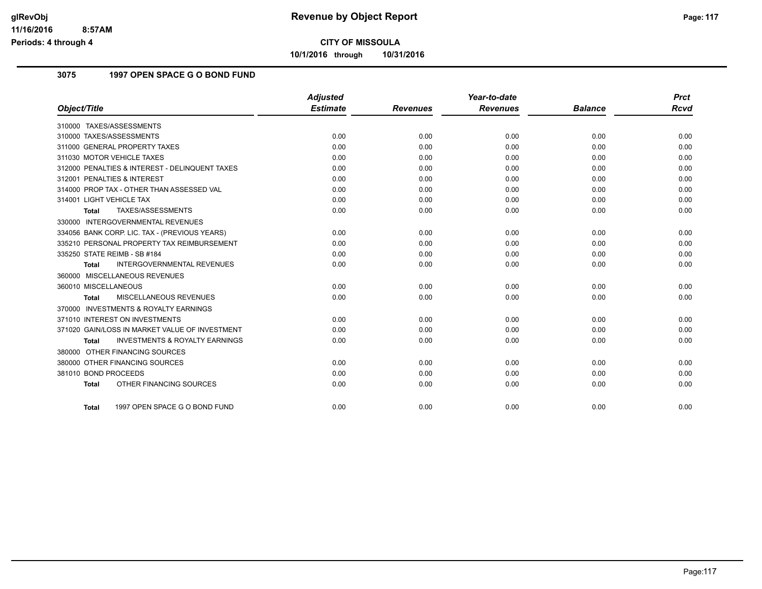**10/1/2016 through 10/31/2016**

# **3075 1997 OPEN SPACE G O BOND FUND**

|                                                           | <b>Adjusted</b> |                 | Year-to-date    |                | <b>Prct</b> |
|-----------------------------------------------------------|-----------------|-----------------|-----------------|----------------|-------------|
| Object/Title                                              | <b>Estimate</b> | <b>Revenues</b> | <b>Revenues</b> | <b>Balance</b> | <b>Rcvd</b> |
| 310000 TAXES/ASSESSMENTS                                  |                 |                 |                 |                |             |
| 310000 TAXES/ASSESSMENTS                                  | 0.00            | 0.00            | 0.00            | 0.00           | 0.00        |
| 311000 GENERAL PROPERTY TAXES                             | 0.00            | 0.00            | 0.00            | 0.00           | 0.00        |
| 311030 MOTOR VEHICLE TAXES                                | 0.00            | 0.00            | 0.00            | 0.00           | 0.00        |
| 312000 PENALTIES & INTEREST - DELINQUENT TAXES            | 0.00            | 0.00            | 0.00            | 0.00           | 0.00        |
| 312001 PENALTIES & INTEREST                               | 0.00            | 0.00            | 0.00            | 0.00           | 0.00        |
| 314000 PROP TAX - OTHER THAN ASSESSED VAL                 | 0.00            | 0.00            | 0.00            | 0.00           | 0.00        |
| 314001 LIGHT VEHICLE TAX                                  | 0.00            | 0.00            | 0.00            | 0.00           | 0.00        |
| TAXES/ASSESSMENTS<br><b>Total</b>                         | 0.00            | 0.00            | 0.00            | 0.00           | 0.00        |
| 330000 INTERGOVERNMENTAL REVENUES                         |                 |                 |                 |                |             |
| 334056 BANK CORP. LIC. TAX - (PREVIOUS YEARS)             | 0.00            | 0.00            | 0.00            | 0.00           | 0.00        |
| 335210 PERSONAL PROPERTY TAX REIMBURSEMENT                | 0.00            | 0.00            | 0.00            | 0.00           | 0.00        |
| 335250 STATE REIMB - SB #184                              | 0.00            | 0.00            | 0.00            | 0.00           | 0.00        |
| <b>INTERGOVERNMENTAL REVENUES</b><br><b>Total</b>         | 0.00            | 0.00            | 0.00            | 0.00           | 0.00        |
| 360000 MISCELLANEOUS REVENUES                             |                 |                 |                 |                |             |
| 360010 MISCELLANEOUS                                      | 0.00            | 0.00            | 0.00            | 0.00           | 0.00        |
| MISCELLANEOUS REVENUES<br><b>Total</b>                    | 0.00            | 0.00            | 0.00            | 0.00           | 0.00        |
| 370000 INVESTMENTS & ROYALTY EARNINGS                     |                 |                 |                 |                |             |
| 371010 INTEREST ON INVESTMENTS                            | 0.00            | 0.00            | 0.00            | 0.00           | 0.00        |
| 371020 GAIN/LOSS IN MARKET VALUE OF INVESTMENT            | 0.00            | 0.00            | 0.00            | 0.00           | 0.00        |
| <b>INVESTMENTS &amp; ROYALTY EARNINGS</b><br><b>Total</b> | 0.00            | 0.00            | 0.00            | 0.00           | 0.00        |
| 380000 OTHER FINANCING SOURCES                            |                 |                 |                 |                |             |
| 380000 OTHER FINANCING SOURCES                            | 0.00            | 0.00            | 0.00            | 0.00           | 0.00        |
| 381010 BOND PROCEEDS                                      | 0.00            | 0.00            | 0.00            | 0.00           | 0.00        |
| OTHER FINANCING SOURCES<br><b>Total</b>                   | 0.00            | 0.00            | 0.00            | 0.00           | 0.00        |
| 1997 OPEN SPACE G O BOND FUND<br><b>Total</b>             | 0.00            | 0.00            | 0.00            | 0.00           | 0.00        |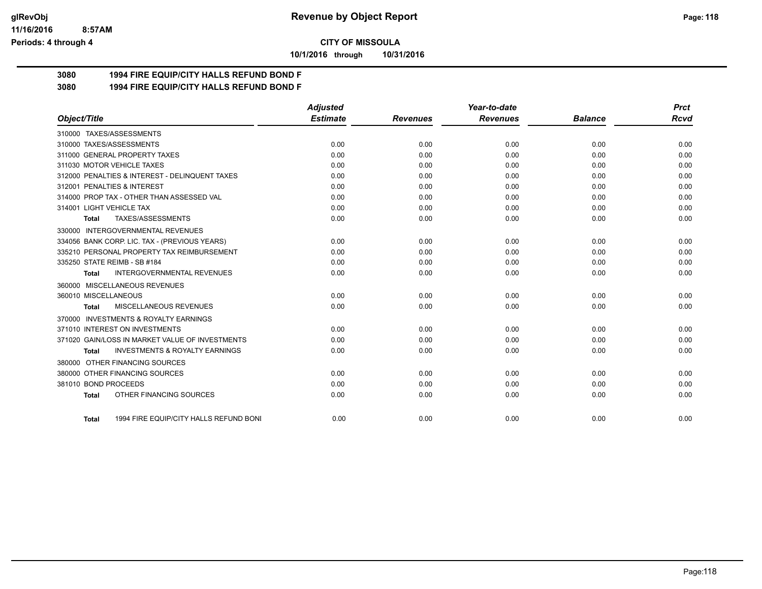**11/16/2016 8:57AM Periods: 4 through 4**

**CITY OF MISSOULA**

**10/1/2016 through 10/31/2016**

# **3080 1994 FIRE EQUIP/CITY HALLS REFUND BOND F**

**3080 1994 FIRE EQUIP/CITY HALLS REFUND BOND F**

|                                                        | <b>Adjusted</b> |                 | Year-to-date    |                | <b>Prct</b> |
|--------------------------------------------------------|-----------------|-----------------|-----------------|----------------|-------------|
| Object/Title                                           | <b>Estimate</b> | <b>Revenues</b> | <b>Revenues</b> | <b>Balance</b> | <b>Rcvd</b> |
| 310000 TAXES/ASSESSMENTS                               |                 |                 |                 |                |             |
| 310000 TAXES/ASSESSMENTS                               | 0.00            | 0.00            | 0.00            | 0.00           | 0.00        |
| 311000 GENERAL PROPERTY TAXES                          | 0.00            | 0.00            | 0.00            | 0.00           | 0.00        |
| 311030 MOTOR VEHICLE TAXES                             | 0.00            | 0.00            | 0.00            | 0.00           | 0.00        |
| 312000 PENALTIES & INTEREST - DELINQUENT TAXES         | 0.00            | 0.00            | 0.00            | 0.00           | 0.00        |
| 312001 PENALTIES & INTEREST                            | 0.00            | 0.00            | 0.00            | 0.00           | 0.00        |
| 314000 PROP TAX - OTHER THAN ASSESSED VAL              | 0.00            | 0.00            | 0.00            | 0.00           | 0.00        |
| 314001 LIGHT VEHICLE TAX                               | 0.00            | 0.00            | 0.00            | 0.00           | 0.00        |
| TAXES/ASSESSMENTS<br>Total                             | 0.00            | 0.00            | 0.00            | 0.00           | 0.00        |
| 330000 INTERGOVERNMENTAL REVENUES                      |                 |                 |                 |                |             |
| 334056 BANK CORP. LIC. TAX - (PREVIOUS YEARS)          | 0.00            | 0.00            | 0.00            | 0.00           | 0.00        |
| 335210 PERSONAL PROPERTY TAX REIMBURSEMENT             | 0.00            | 0.00            | 0.00            | 0.00           | 0.00        |
| 335250 STATE REIMB - SB #184                           | 0.00            | 0.00            | 0.00            | 0.00           | 0.00        |
| <b>INTERGOVERNMENTAL REVENUES</b><br><b>Total</b>      | 0.00            | 0.00            | 0.00            | 0.00           | 0.00        |
| 360000 MISCELLANEOUS REVENUES                          |                 |                 |                 |                |             |
| 360010 MISCELLANEOUS                                   | 0.00            | 0.00            | 0.00            | 0.00           | 0.00        |
| <b>MISCELLANEOUS REVENUES</b><br>Total                 | 0.00            | 0.00            | 0.00            | 0.00           | 0.00        |
| <b>INVESTMENTS &amp; ROYALTY EARNINGS</b><br>370000    |                 |                 |                 |                |             |
| 371010 INTEREST ON INVESTMENTS                         | 0.00            | 0.00            | 0.00            | 0.00           | 0.00        |
| 371020 GAIN/LOSS IN MARKET VALUE OF INVESTMENTS        | 0.00            | 0.00            | 0.00            | 0.00           | 0.00        |
| <b>INVESTMENTS &amp; ROYALTY EARNINGS</b><br>Total     | 0.00            | 0.00            | 0.00            | 0.00           | 0.00        |
| 380000 OTHER FINANCING SOURCES                         |                 |                 |                 |                |             |
| 380000 OTHER FINANCING SOURCES                         | 0.00            | 0.00            | 0.00            | 0.00           | 0.00        |
| 381010 BOND PROCEEDS                                   | 0.00            | 0.00            | 0.00            | 0.00           | 0.00        |
| OTHER FINANCING SOURCES<br><b>Total</b>                | 0.00            | 0.00            | 0.00            | 0.00           | 0.00        |
| 1994 FIRE EQUIP/CITY HALLS REFUND BONI<br><b>Total</b> | 0.00            | 0.00            | 0.00            | 0.00           | 0.00        |
|                                                        |                 |                 |                 |                |             |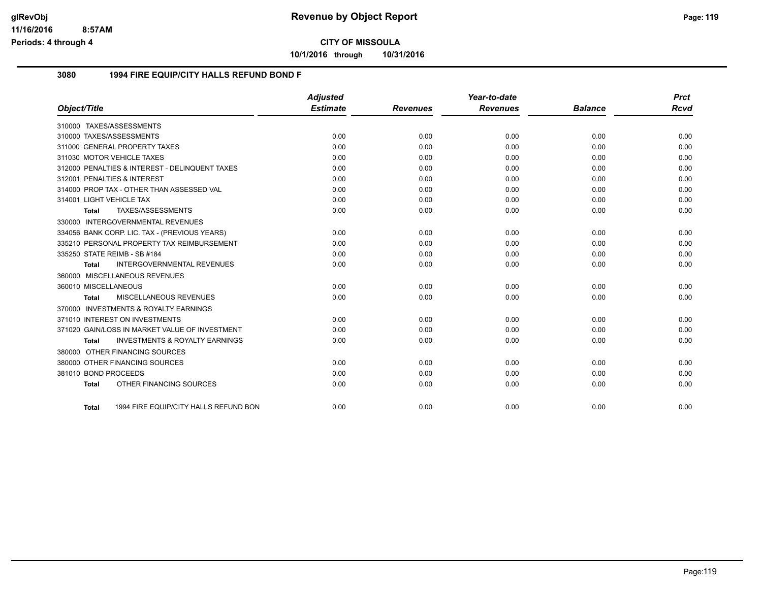**10/1/2016 through 10/31/2016**

### **3080 1994 FIRE EQUIP/CITY HALLS REFUND BOND F**

|                                                           | <b>Adjusted</b> |                 | Year-to-date    |                | <b>Prct</b> |
|-----------------------------------------------------------|-----------------|-----------------|-----------------|----------------|-------------|
| Object/Title                                              | <b>Estimate</b> | <b>Revenues</b> | <b>Revenues</b> | <b>Balance</b> | <b>Rcvd</b> |
| 310000 TAXES/ASSESSMENTS                                  |                 |                 |                 |                |             |
| 310000 TAXES/ASSESSMENTS                                  | 0.00            | 0.00            | 0.00            | 0.00           | 0.00        |
| 311000 GENERAL PROPERTY TAXES                             | 0.00            | 0.00            | 0.00            | 0.00           | 0.00        |
| 311030 MOTOR VEHICLE TAXES                                | 0.00            | 0.00            | 0.00            | 0.00           | 0.00        |
| 312000 PENALTIES & INTEREST - DELINQUENT TAXES            | 0.00            | 0.00            | 0.00            | 0.00           | 0.00        |
| 312001 PENALTIES & INTEREST                               | 0.00            | 0.00            | 0.00            | 0.00           | 0.00        |
| 314000 PROP TAX - OTHER THAN ASSESSED VAL                 | 0.00            | 0.00            | 0.00            | 0.00           | 0.00        |
| 314001 LIGHT VEHICLE TAX                                  | 0.00            | 0.00            | 0.00            | 0.00           | 0.00        |
| TAXES/ASSESSMENTS<br><b>Total</b>                         | 0.00            | 0.00            | 0.00            | 0.00           | 0.00        |
| 330000 INTERGOVERNMENTAL REVENUES                         |                 |                 |                 |                |             |
| 334056 BANK CORP. LIC. TAX - (PREVIOUS YEARS)             | 0.00            | 0.00            | 0.00            | 0.00           | 0.00        |
| 335210 PERSONAL PROPERTY TAX REIMBURSEMENT                | 0.00            | 0.00            | 0.00            | 0.00           | 0.00        |
| 335250 STATE REIMB - SB #184                              | 0.00            | 0.00            | 0.00            | 0.00           | 0.00        |
| INTERGOVERNMENTAL REVENUES<br><b>Total</b>                | 0.00            | 0.00            | 0.00            | 0.00           | 0.00        |
| 360000 MISCELLANEOUS REVENUES                             |                 |                 |                 |                |             |
| 360010 MISCELLANEOUS                                      | 0.00            | 0.00            | 0.00            | 0.00           | 0.00        |
| <b>MISCELLANEOUS REVENUES</b><br><b>Total</b>             | 0.00            | 0.00            | 0.00            | 0.00           | 0.00        |
| 370000 INVESTMENTS & ROYALTY EARNINGS                     |                 |                 |                 |                |             |
| 371010 INTEREST ON INVESTMENTS                            | 0.00            | 0.00            | 0.00            | 0.00           | 0.00        |
| 371020 GAIN/LOSS IN MARKET VALUE OF INVESTMENT            | 0.00            | 0.00            | 0.00            | 0.00           | 0.00        |
| <b>INVESTMENTS &amp; ROYALTY EARNINGS</b><br><b>Total</b> | 0.00            | 0.00            | 0.00            | 0.00           | 0.00        |
| 380000 OTHER FINANCING SOURCES                            |                 |                 |                 |                |             |
| 380000 OTHER FINANCING SOURCES                            | 0.00            | 0.00            | 0.00            | 0.00           | 0.00        |
| 381010 BOND PROCEEDS                                      | 0.00            | 0.00            | 0.00            | 0.00           | 0.00        |
| OTHER FINANCING SOURCES<br><b>Total</b>                   | 0.00            | 0.00            | 0.00            | 0.00           | 0.00        |
| 1994 FIRE EQUIP/CITY HALLS REFUND BON<br>Total            | 0.00            | 0.00            | 0.00            | 0.00           | 0.00        |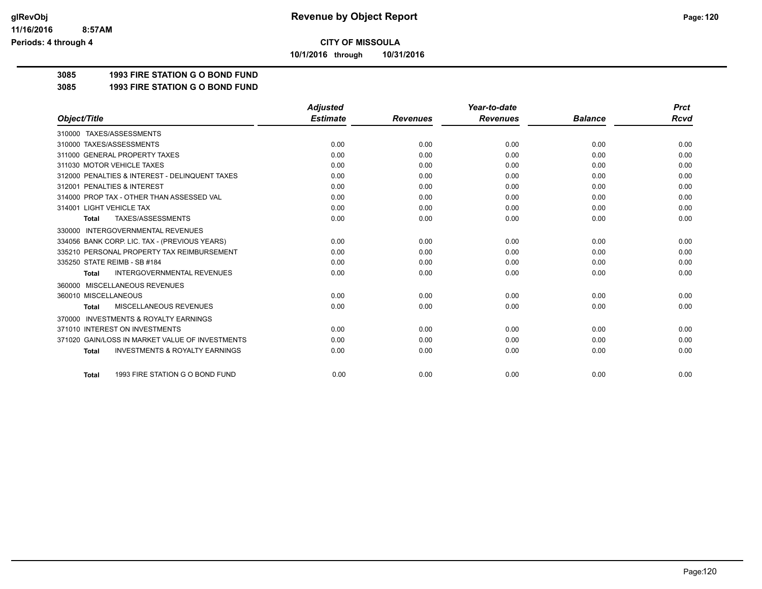**10/1/2016 through 10/31/2016**

# **3085 1993 FIRE STATION G O BOND FUND**

**3085 1993 FIRE STATION G O BOND FUND**

|                                                           | <b>Adjusted</b> |                 | Year-to-date    |                | <b>Prct</b> |
|-----------------------------------------------------------|-----------------|-----------------|-----------------|----------------|-------------|
| Object/Title                                              | <b>Estimate</b> | <b>Revenues</b> | <b>Revenues</b> | <b>Balance</b> | <b>Rcvd</b> |
| 310000 TAXES/ASSESSMENTS                                  |                 |                 |                 |                |             |
| 310000 TAXES/ASSESSMENTS                                  | 0.00            | 0.00            | 0.00            | 0.00           | 0.00        |
| 311000 GENERAL PROPERTY TAXES                             | 0.00            | 0.00            | 0.00            | 0.00           | 0.00        |
| 311030 MOTOR VEHICLE TAXES                                | 0.00            | 0.00            | 0.00            | 0.00           | 0.00        |
| 312000 PENALTIES & INTEREST - DELINQUENT TAXES            | 0.00            | 0.00            | 0.00            | 0.00           | 0.00        |
| 312001 PENALTIES & INTEREST                               | 0.00            | 0.00            | 0.00            | 0.00           | 0.00        |
| 314000 PROP TAX - OTHER THAN ASSESSED VAL                 | 0.00            | 0.00            | 0.00            | 0.00           | 0.00        |
| 314001 LIGHT VEHICLE TAX                                  | 0.00            | 0.00            | 0.00            | 0.00           | 0.00        |
| TAXES/ASSESSMENTS<br><b>Total</b>                         | 0.00            | 0.00            | 0.00            | 0.00           | 0.00        |
| <b>INTERGOVERNMENTAL REVENUES</b><br>330000               |                 |                 |                 |                |             |
| 334056 BANK CORP. LIC. TAX - (PREVIOUS YEARS)             | 0.00            | 0.00            | 0.00            | 0.00           | 0.00        |
| 335210 PERSONAL PROPERTY TAX REIMBURSEMENT                | 0.00            | 0.00            | 0.00            | 0.00           | 0.00        |
| 335250 STATE REIMB - SB #184                              | 0.00            | 0.00            | 0.00            | 0.00           | 0.00        |
| <b>INTERGOVERNMENTAL REVENUES</b><br><b>Total</b>         | 0.00            | 0.00            | 0.00            | 0.00           | 0.00        |
| MISCELLANEOUS REVENUES<br>360000                          |                 |                 |                 |                |             |
| 360010 MISCELLANEOUS                                      | 0.00            | 0.00            | 0.00            | 0.00           | 0.00        |
| MISCELLANEOUS REVENUES<br><b>Total</b>                    | 0.00            | 0.00            | 0.00            | 0.00           | 0.00        |
| <b>INVESTMENTS &amp; ROYALTY EARNINGS</b><br>370000       |                 |                 |                 |                |             |
| 371010 INTEREST ON INVESTMENTS                            | 0.00            | 0.00            | 0.00            | 0.00           | 0.00        |
| 371020 GAIN/LOSS IN MARKET VALUE OF INVESTMENTS           | 0.00            | 0.00            | 0.00            | 0.00           | 0.00        |
| <b>INVESTMENTS &amp; ROYALTY EARNINGS</b><br><b>Total</b> | 0.00            | 0.00            | 0.00            | 0.00           | 0.00        |
| 1993 FIRE STATION G O BOND FUND<br><b>Total</b>           | 0.00            | 0.00            | 0.00            | 0.00           | 0.00        |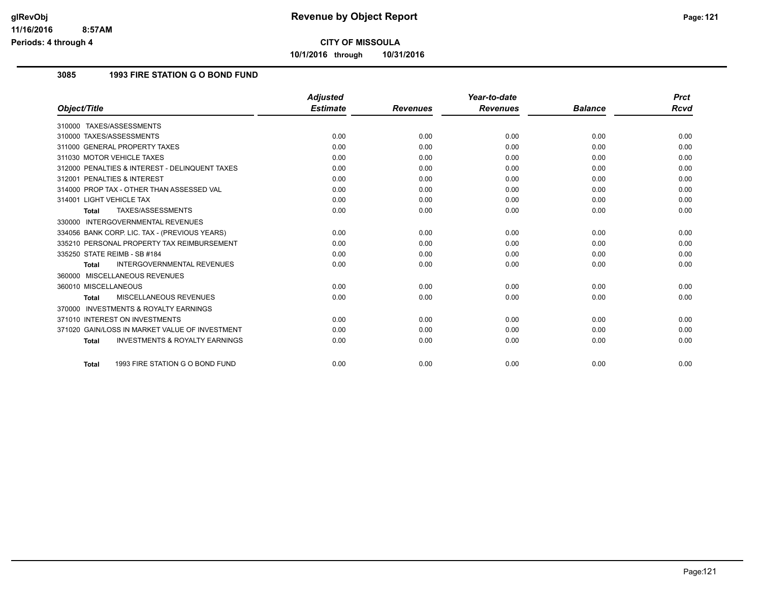**10/1/2016 through 10/31/2016**

# **3085 1993 FIRE STATION G O BOND FUND**

|                                                           | <b>Adjusted</b> |                 | Year-to-date    |                | <b>Prct</b> |
|-----------------------------------------------------------|-----------------|-----------------|-----------------|----------------|-------------|
| Object/Title                                              | <b>Estimate</b> | <b>Revenues</b> | <b>Revenues</b> | <b>Balance</b> | Rcvd        |
| 310000 TAXES/ASSESSMENTS                                  |                 |                 |                 |                |             |
| 310000 TAXES/ASSESSMENTS                                  | 0.00            | 0.00            | 0.00            | 0.00           | 0.00        |
| 311000 GENERAL PROPERTY TAXES                             | 0.00            | 0.00            | 0.00            | 0.00           | 0.00        |
| 311030 MOTOR VEHICLE TAXES                                | 0.00            | 0.00            | 0.00            | 0.00           | 0.00        |
| 312000 PENALTIES & INTEREST - DELINQUENT TAXES            | 0.00            | 0.00            | 0.00            | 0.00           | 0.00        |
| 312001 PENALTIES & INTEREST                               | 0.00            | 0.00            | 0.00            | 0.00           | 0.00        |
| 314000 PROP TAX - OTHER THAN ASSESSED VAL                 | 0.00            | 0.00            | 0.00            | 0.00           | 0.00        |
| 314001 LIGHT VEHICLE TAX                                  | 0.00            | 0.00            | 0.00            | 0.00           | 0.00        |
| TAXES/ASSESSMENTS<br>Total                                | 0.00            | 0.00            | 0.00            | 0.00           | 0.00        |
| 330000 INTERGOVERNMENTAL REVENUES                         |                 |                 |                 |                |             |
| 334056 BANK CORP. LIC. TAX - (PREVIOUS YEARS)             | 0.00            | 0.00            | 0.00            | 0.00           | 0.00        |
| 335210 PERSONAL PROPERTY TAX REIMBURSEMENT                | 0.00            | 0.00            | 0.00            | 0.00           | 0.00        |
| 335250 STATE REIMB - SB #184                              | 0.00            | 0.00            | 0.00            | 0.00           | 0.00        |
| <b>INTERGOVERNMENTAL REVENUES</b><br><b>Total</b>         | 0.00            | 0.00            | 0.00            | 0.00           | 0.00        |
| 360000 MISCELLANEOUS REVENUES                             |                 |                 |                 |                |             |
| 360010 MISCELLANEOUS                                      | 0.00            | 0.00            | 0.00            | 0.00           | 0.00        |
| MISCELLANEOUS REVENUES<br><b>Total</b>                    | 0.00            | 0.00            | 0.00            | 0.00           | 0.00        |
| 370000 INVESTMENTS & ROYALTY EARNINGS                     |                 |                 |                 |                |             |
| 371010 INTEREST ON INVESTMENTS                            | 0.00            | 0.00            | 0.00            | 0.00           | 0.00        |
| 371020 GAIN/LOSS IN MARKET VALUE OF INVESTMENT            | 0.00            | 0.00            | 0.00            | 0.00           | 0.00        |
| <b>INVESTMENTS &amp; ROYALTY EARNINGS</b><br><b>Total</b> | 0.00            | 0.00            | 0.00            | 0.00           | 0.00        |
| 1993 FIRE STATION G O BOND FUND<br>Total                  | 0.00            | 0.00            | 0.00            | 0.00           | 0.00        |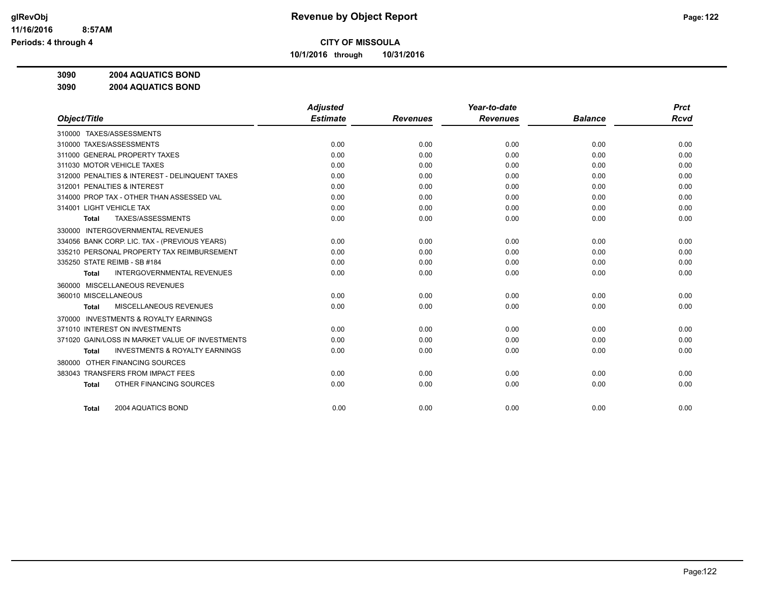**10/1/2016 through 10/31/2016**

**3090 2004 AQUATICS BOND**

**3090 2004 AQUATICS BOND**

|                                                           | <b>Adjusted</b> |                 | Year-to-date    |                | <b>Prct</b> |
|-----------------------------------------------------------|-----------------|-----------------|-----------------|----------------|-------------|
| Object/Title                                              | <b>Estimate</b> | <b>Revenues</b> | <b>Revenues</b> | <b>Balance</b> | <b>Rcvd</b> |
| 310000 TAXES/ASSESSMENTS                                  |                 |                 |                 |                |             |
| 310000 TAXES/ASSESSMENTS                                  | 0.00            | 0.00            | 0.00            | 0.00           | 0.00        |
| 311000 GENERAL PROPERTY TAXES                             | 0.00            | 0.00            | 0.00            | 0.00           | 0.00        |
| 311030 MOTOR VEHICLE TAXES                                | 0.00            | 0.00            | 0.00            | 0.00           | 0.00        |
| 312000 PENALTIES & INTEREST - DELINQUENT TAXES            | 0.00            | 0.00            | 0.00            | 0.00           | 0.00        |
| 312001 PENALTIES & INTEREST                               | 0.00            | 0.00            | 0.00            | 0.00           | 0.00        |
| 314000 PROP TAX - OTHER THAN ASSESSED VAL                 | 0.00            | 0.00            | 0.00            | 0.00           | 0.00        |
| 314001 LIGHT VEHICLE TAX                                  | 0.00            | 0.00            | 0.00            | 0.00           | 0.00        |
| TAXES/ASSESSMENTS<br><b>Total</b>                         | 0.00            | 0.00            | 0.00            | 0.00           | 0.00        |
| 330000 INTERGOVERNMENTAL REVENUES                         |                 |                 |                 |                |             |
| 334056 BANK CORP. LIC. TAX - (PREVIOUS YEARS)             | 0.00            | 0.00            | 0.00            | 0.00           | 0.00        |
| 335210 PERSONAL PROPERTY TAX REIMBURSEMENT                | 0.00            | 0.00            | 0.00            | 0.00           | 0.00        |
| 335250 STATE REIMB - SB #184                              | 0.00            | 0.00            | 0.00            | 0.00           | 0.00        |
| <b>INTERGOVERNMENTAL REVENUES</b><br><b>Total</b>         | 0.00            | 0.00            | 0.00            | 0.00           | 0.00        |
| MISCELLANEOUS REVENUES<br>360000                          |                 |                 |                 |                |             |
| 360010 MISCELLANEOUS                                      | 0.00            | 0.00            | 0.00            | 0.00           | 0.00        |
| MISCELLANEOUS REVENUES<br><b>Total</b>                    | 0.00            | 0.00            | 0.00            | 0.00           | 0.00        |
| <b>INVESTMENTS &amp; ROYALTY EARNINGS</b><br>370000       |                 |                 |                 |                |             |
| 371010 INTEREST ON INVESTMENTS                            | 0.00            | 0.00            | 0.00            | 0.00           | 0.00        |
| 371020 GAIN/LOSS IN MARKET VALUE OF INVESTMENTS           | 0.00            | 0.00            | 0.00            | 0.00           | 0.00        |
| <b>INVESTMENTS &amp; ROYALTY EARNINGS</b><br><b>Total</b> | 0.00            | 0.00            | 0.00            | 0.00           | 0.00        |
| 380000 OTHER FINANCING SOURCES                            |                 |                 |                 |                |             |
| 383043 TRANSFERS FROM IMPACT FEES                         | 0.00            | 0.00            | 0.00            | 0.00           | 0.00        |
| OTHER FINANCING SOURCES<br><b>Total</b>                   | 0.00            | 0.00            | 0.00            | 0.00           | 0.00        |
|                                                           |                 |                 |                 |                |             |
| 2004 AQUATICS BOND<br><b>Total</b>                        | 0.00            | 0.00            | 0.00            | 0.00           | 0.00        |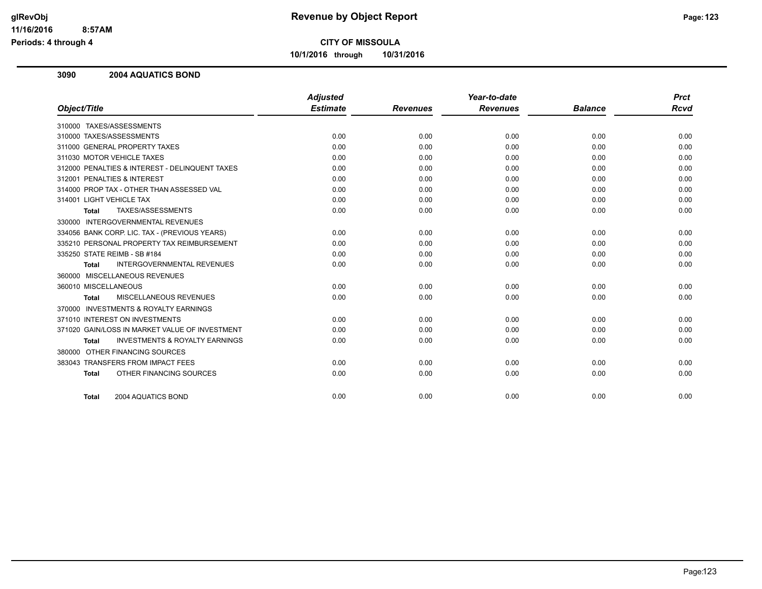**10/1/2016 through 10/31/2016**

### **3090 2004 AQUATICS BOND**

|                                                           | <b>Adjusted</b> |                 | Year-to-date    |                | <b>Prct</b> |
|-----------------------------------------------------------|-----------------|-----------------|-----------------|----------------|-------------|
| Object/Title                                              | <b>Estimate</b> | <b>Revenues</b> | <b>Revenues</b> | <b>Balance</b> | <b>Rcvd</b> |
| 310000 TAXES/ASSESSMENTS                                  |                 |                 |                 |                |             |
| 310000 TAXES/ASSESSMENTS                                  | 0.00            | 0.00            | 0.00            | 0.00           | 0.00        |
| 311000 GENERAL PROPERTY TAXES                             | 0.00            | 0.00            | 0.00            | 0.00           | 0.00        |
| 311030 MOTOR VEHICLE TAXES                                | 0.00            | 0.00            | 0.00            | 0.00           | 0.00        |
| 312000 PENALTIES & INTEREST - DELINQUENT TAXES            | 0.00            | 0.00            | 0.00            | 0.00           | 0.00        |
| 312001 PENALTIES & INTEREST                               | 0.00            | 0.00            | 0.00            | 0.00           | 0.00        |
| 314000 PROP TAX - OTHER THAN ASSESSED VAL                 | 0.00            | 0.00            | 0.00            | 0.00           | 0.00        |
| 314001 LIGHT VEHICLE TAX                                  | 0.00            | 0.00            | 0.00            | 0.00           | 0.00        |
| TAXES/ASSESSMENTS<br><b>Total</b>                         | 0.00            | 0.00            | 0.00            | 0.00           | 0.00        |
| 330000 INTERGOVERNMENTAL REVENUES                         |                 |                 |                 |                |             |
| 334056 BANK CORP. LIC. TAX - (PREVIOUS YEARS)             | 0.00            | 0.00            | 0.00            | 0.00           | 0.00        |
| 335210 PERSONAL PROPERTY TAX REIMBURSEMENT                | 0.00            | 0.00            | 0.00            | 0.00           | 0.00        |
| 335250 STATE REIMB - SB #184                              | 0.00            | 0.00            | 0.00            | 0.00           | 0.00        |
| <b>INTERGOVERNMENTAL REVENUES</b><br><b>Total</b>         | 0.00            | 0.00            | 0.00            | 0.00           | 0.00        |
| 360000 MISCELLANEOUS REVENUES                             |                 |                 |                 |                |             |
| 360010 MISCELLANEOUS                                      | 0.00            | 0.00            | 0.00            | 0.00           | 0.00        |
| MISCELLANEOUS REVENUES<br><b>Total</b>                    | 0.00            | 0.00            | 0.00            | 0.00           | 0.00        |
| 370000 INVESTMENTS & ROYALTY EARNINGS                     |                 |                 |                 |                |             |
| 371010 INTEREST ON INVESTMENTS                            | 0.00            | 0.00            | 0.00            | 0.00           | 0.00        |
| 371020 GAIN/LOSS IN MARKET VALUE OF INVESTMENT            | 0.00            | 0.00            | 0.00            | 0.00           | 0.00        |
| <b>INVESTMENTS &amp; ROYALTY EARNINGS</b><br><b>Total</b> | 0.00            | 0.00            | 0.00            | 0.00           | 0.00        |
| 380000 OTHER FINANCING SOURCES                            |                 |                 |                 |                |             |
| 383043 TRANSFERS FROM IMPACT FEES                         | 0.00            | 0.00            | 0.00            | 0.00           | 0.00        |
| OTHER FINANCING SOURCES<br><b>Total</b>                   | 0.00            | 0.00            | 0.00            | 0.00           | 0.00        |
| 2004 AQUATICS BOND<br><b>Total</b>                        | 0.00            | 0.00            | 0.00            | 0.00           | 0.00        |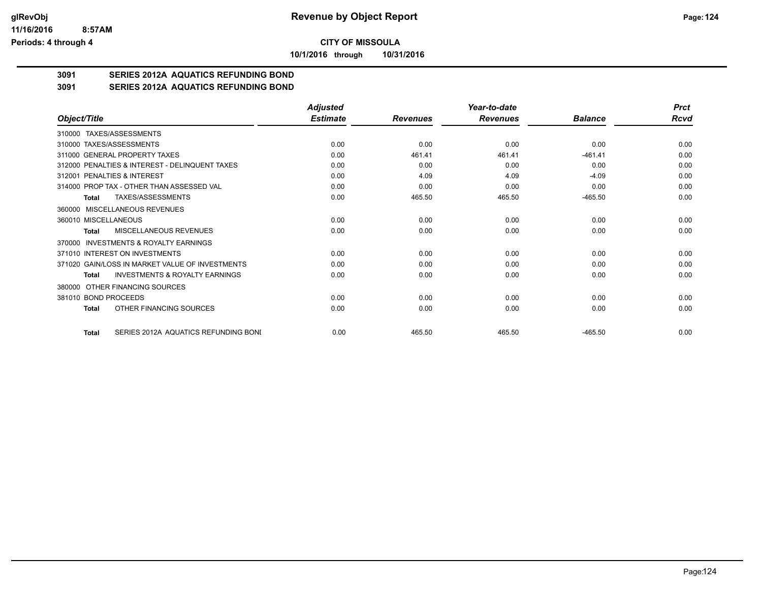**10/1/2016 through 10/31/2016**

# **3091 SERIES 2012A AQUATICS REFUNDING BOND**

# **3091 SERIES 2012A AQUATICS REFUNDING BOND**

|                                                      | <b>Adjusted</b> |                 | Year-to-date    |                | <b>Prct</b> |
|------------------------------------------------------|-----------------|-----------------|-----------------|----------------|-------------|
| Object/Title                                         | <b>Estimate</b> | <b>Revenues</b> | <b>Revenues</b> | <b>Balance</b> | Rcvd        |
| 310000 TAXES/ASSESSMENTS                             |                 |                 |                 |                |             |
| 310000 TAXES/ASSESSMENTS                             | 0.00            | 0.00            | 0.00            | 0.00           | 0.00        |
| 311000 GENERAL PROPERTY TAXES                        | 0.00            | 461.41          | 461.41          | $-461.41$      | 0.00        |
| 312000 PENALTIES & INTEREST - DELINQUENT TAXES       | 0.00            | 0.00            | 0.00            | 0.00           | 0.00        |
| 312001 PENALTIES & INTEREST                          | 0.00            | 4.09            | 4.09            | $-4.09$        | 0.00        |
| 314000 PROP TAX - OTHER THAN ASSESSED VAL            | 0.00            | 0.00            | 0.00            | 0.00           | 0.00        |
| TAXES/ASSESSMENTS<br><b>Total</b>                    | 0.00            | 465.50          | 465.50          | $-465.50$      | 0.00        |
| 360000 MISCELLANEOUS REVENUES                        |                 |                 |                 |                |             |
| 360010 MISCELLANEOUS                                 | 0.00            | 0.00            | 0.00            | 0.00           | 0.00        |
| <b>MISCELLANEOUS REVENUES</b><br>Total               | 0.00            | 0.00            | 0.00            | 0.00           | 0.00        |
| <b>INVESTMENTS &amp; ROYALTY EARNINGS</b><br>370000  |                 |                 |                 |                |             |
| 371010 INTEREST ON INVESTMENTS                       | 0.00            | 0.00            | 0.00            | 0.00           | 0.00        |
| 371020 GAIN/LOSS IN MARKET VALUE OF INVESTMENTS      | 0.00            | 0.00            | 0.00            | 0.00           | 0.00        |
| <b>INVESTMENTS &amp; ROYALTY EARNINGS</b><br>Total   | 0.00            | 0.00            | 0.00            | 0.00           | 0.00        |
| OTHER FINANCING SOURCES<br>380000                    |                 |                 |                 |                |             |
| 381010 BOND PROCEEDS                                 | 0.00            | 0.00            | 0.00            | 0.00           | 0.00        |
| OTHER FINANCING SOURCES<br>Total                     | 0.00            | 0.00            | 0.00            | 0.00           | 0.00        |
| SERIES 2012A AQUATICS REFUNDING BONI<br><b>Total</b> | 0.00            | 465.50          | 465.50          | $-465.50$      | 0.00        |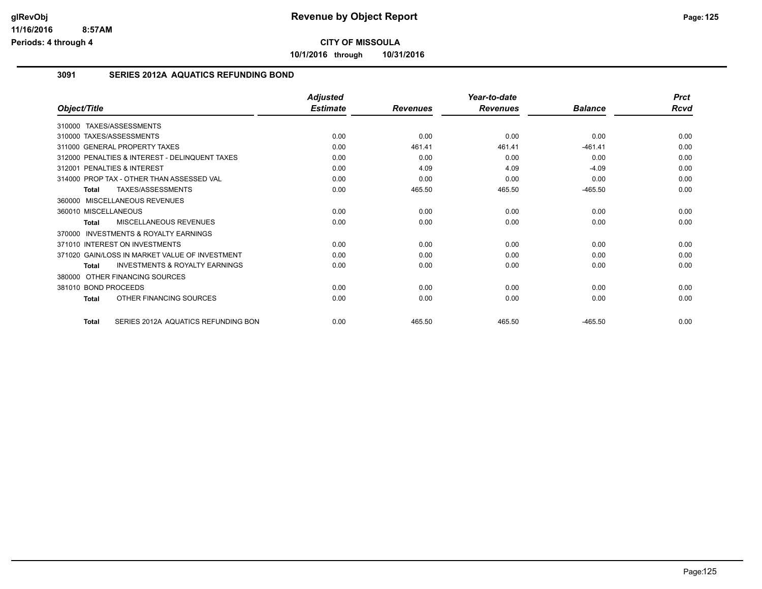**10/1/2016 through 10/31/2016**

## **3091 SERIES 2012A AQUATICS REFUNDING BOND**

|                                                     | <b>Adjusted</b> |                 | Year-to-date    |                | <b>Prct</b> |
|-----------------------------------------------------|-----------------|-----------------|-----------------|----------------|-------------|
| Object/Title                                        | <b>Estimate</b> | <b>Revenues</b> | <b>Revenues</b> | <b>Balance</b> | Rcvd        |
| 310000 TAXES/ASSESSMENTS                            |                 |                 |                 |                |             |
| 310000 TAXES/ASSESSMENTS                            | 0.00            | 0.00            | 0.00            | 0.00           | 0.00        |
| 311000 GENERAL PROPERTY TAXES                       | 0.00            | 461.41          | 461.41          | $-461.41$      | 0.00        |
| 312000 PENALTIES & INTEREST - DELINQUENT TAXES      | 0.00            | 0.00            | 0.00            | 0.00           | 0.00        |
| 312001 PENALTIES & INTEREST                         | 0.00            | 4.09            | 4.09            | $-4.09$        | 0.00        |
| 314000 PROP TAX - OTHER THAN ASSESSED VAL           | 0.00            | 0.00            | 0.00            | 0.00           | 0.00        |
| TAXES/ASSESSMENTS<br><b>Total</b>                   | 0.00            | 465.50          | 465.50          | $-465.50$      | 0.00        |
| 360000 MISCELLANEOUS REVENUES                       |                 |                 |                 |                |             |
| 360010 MISCELLANEOUS                                | 0.00            | 0.00            | 0.00            | 0.00           | 0.00        |
| <b>MISCELLANEOUS REVENUES</b><br>Total              | 0.00            | 0.00            | 0.00            | 0.00           | 0.00        |
| <b>INVESTMENTS &amp; ROYALTY EARNINGS</b><br>370000 |                 |                 |                 |                |             |
| 371010 INTEREST ON INVESTMENTS                      | 0.00            | 0.00            | 0.00            | 0.00           | 0.00        |
| 371020 GAIN/LOSS IN MARKET VALUE OF INVESTMENT      | 0.00            | 0.00            | 0.00            | 0.00           | 0.00        |
| <b>INVESTMENTS &amp; ROYALTY EARNINGS</b><br>Total  | 0.00            | 0.00            | 0.00            | 0.00           | 0.00        |
| OTHER FINANCING SOURCES<br>380000                   |                 |                 |                 |                |             |
| 381010 BOND PROCEEDS                                | 0.00            | 0.00            | 0.00            | 0.00           | 0.00        |
| OTHER FINANCING SOURCES<br>Total                    | 0.00            | 0.00            | 0.00            | 0.00           | 0.00        |
| SERIES 2012A AQUATICS REFUNDING BON<br><b>Total</b> | 0.00            | 465.50          | 465.50          | $-465.50$      | 0.00        |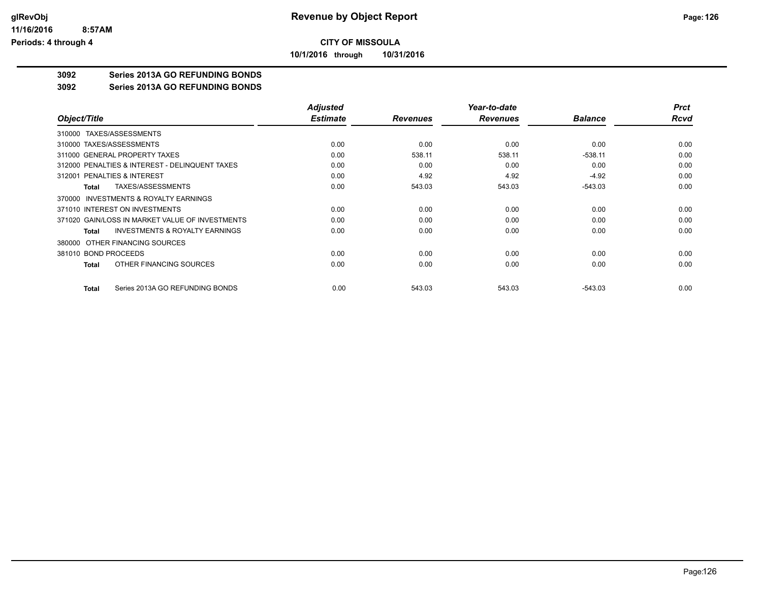**10/1/2016 through 10/31/2016**

# **3092 Series 2013A GO REFUNDING BONDS**

# **3092 Series 2013A GO REFUNDING BONDS**

|                                                           | <b>Adjusted</b> |                 | Year-to-date    |                | <b>Prct</b> |
|-----------------------------------------------------------|-----------------|-----------------|-----------------|----------------|-------------|
| Object/Title                                              | <b>Estimate</b> | <b>Revenues</b> | <b>Revenues</b> | <b>Balance</b> | <b>Rcvd</b> |
| 310000 TAXES/ASSESSMENTS                                  |                 |                 |                 |                |             |
| 310000 TAXES/ASSESSMENTS                                  | 0.00            | 0.00            | 0.00            | 0.00           | 0.00        |
| 311000 GENERAL PROPERTY TAXES                             | 0.00            | 538.11          | 538.11          | $-538.11$      | 0.00        |
| 312000 PENALTIES & INTEREST - DELINQUENT TAXES            | 0.00            | 0.00            | 0.00            | 0.00           | 0.00        |
| 312001 PENALTIES & INTEREST                               | 0.00            | 4.92            | 4.92            | $-4.92$        | 0.00        |
| TAXES/ASSESSMENTS<br><b>Total</b>                         | 0.00            | 543.03          | 543.03          | $-543.03$      | 0.00        |
| 370000 INVESTMENTS & ROYALTY EARNINGS                     |                 |                 |                 |                |             |
| 371010 INTEREST ON INVESTMENTS                            | 0.00            | 0.00            | 0.00            | 0.00           | 0.00        |
| 371020 GAIN/LOSS IN MARKET VALUE OF INVESTMENTS           | 0.00            | 0.00            | 0.00            | 0.00           | 0.00        |
| <b>INVESTMENTS &amp; ROYALTY EARNINGS</b><br><b>Total</b> | 0.00            | 0.00            | 0.00            | 0.00           | 0.00        |
| OTHER FINANCING SOURCES<br>380000                         |                 |                 |                 |                |             |
| 381010 BOND PROCEEDS                                      | 0.00            | 0.00            | 0.00            | 0.00           | 0.00        |
| OTHER FINANCING SOURCES<br><b>Total</b>                   | 0.00            | 0.00            | 0.00            | 0.00           | 0.00        |
| Series 2013A GO REFUNDING BONDS<br><b>Total</b>           | 0.00            | 543.03          | 543.03          | $-543.03$      | 0.00        |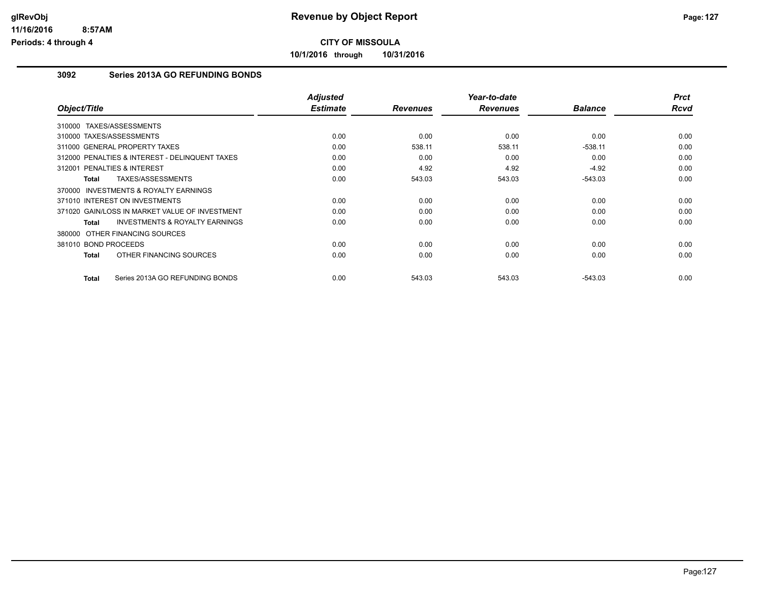**10/1/2016 through 10/31/2016**

# **3092 Series 2013A GO REFUNDING BONDS**

| Object/Title                                              | <b>Adjusted</b><br><b>Estimate</b> | <b>Revenues</b> | Year-to-date<br><b>Revenues</b> | <b>Balance</b> | <b>Prct</b><br><b>Rcvd</b> |
|-----------------------------------------------------------|------------------------------------|-----------------|---------------------------------|----------------|----------------------------|
| TAXES/ASSESSMENTS<br>310000                               |                                    |                 |                                 |                |                            |
| 310000 TAXES/ASSESSMENTS                                  | 0.00                               | 0.00            | 0.00                            | 0.00           | 0.00                       |
| 311000 GENERAL PROPERTY TAXES                             | 0.00                               | 538.11          | 538.11                          | $-538.11$      | 0.00                       |
| 312000 PENALTIES & INTEREST - DELINQUENT TAXES            | 0.00                               | 0.00            | 0.00                            | 0.00           | 0.00                       |
| 312001 PENALTIES & INTEREST                               | 0.00                               | 4.92            | 4.92                            | $-4.92$        | 0.00                       |
| <b>TAXES/ASSESSMENTS</b><br><b>Total</b>                  | 0.00                               | 543.03          | 543.03                          | $-543.03$      | 0.00                       |
| <b>INVESTMENTS &amp; ROYALTY EARNINGS</b><br>370000       |                                    |                 |                                 |                |                            |
| 371010 INTEREST ON INVESTMENTS                            | 0.00                               | 0.00            | 0.00                            | 0.00           | 0.00                       |
| 371020 GAIN/LOSS IN MARKET VALUE OF INVESTMENT            | 0.00                               | 0.00            | 0.00                            | 0.00           | 0.00                       |
| <b>INVESTMENTS &amp; ROYALTY EARNINGS</b><br><b>Total</b> | 0.00                               | 0.00            | 0.00                            | 0.00           | 0.00                       |
| 380000 OTHER FINANCING SOURCES                            |                                    |                 |                                 |                |                            |
| 381010 BOND PROCEEDS                                      | 0.00                               | 0.00            | 0.00                            | 0.00           | 0.00                       |
| OTHER FINANCING SOURCES<br><b>Total</b>                   | 0.00                               | 0.00            | 0.00                            | 0.00           | 0.00                       |
| Series 2013A GO REFUNDING BONDS<br><b>Total</b>           | 0.00                               | 543.03          | 543.03                          | $-543.03$      | 0.00                       |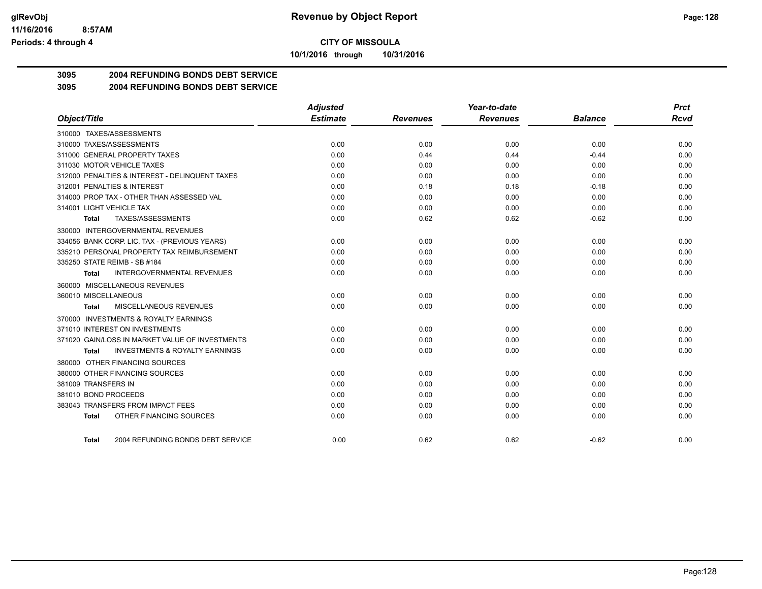**10/1/2016 through 10/31/2016**

# **3095 2004 REFUNDING BONDS DEBT SERVICE**

# **3095 2004 REFUNDING BONDS DEBT SERVICE**

|                                                     | <b>Adjusted</b> |                 | Year-to-date    |                |             |
|-----------------------------------------------------|-----------------|-----------------|-----------------|----------------|-------------|
| Object/Title                                        | <b>Estimate</b> | <b>Revenues</b> | <b>Revenues</b> | <b>Balance</b> | <b>Rcvd</b> |
| 310000 TAXES/ASSESSMENTS                            |                 |                 |                 |                |             |
| 310000 TAXES/ASSESSMENTS                            | 0.00            | 0.00            | 0.00            | 0.00           | 0.00        |
| 311000 GENERAL PROPERTY TAXES                       | 0.00            | 0.44            | 0.44            | $-0.44$        | 0.00        |
| 311030 MOTOR VEHICLE TAXES                          | 0.00            | 0.00            | 0.00            | 0.00           | 0.00        |
| 312000 PENALTIES & INTEREST - DELINQUENT TAXES      | 0.00            | 0.00            | 0.00            | 0.00           | 0.00        |
| 312001 PENALTIES & INTEREST                         | 0.00            | 0.18            | 0.18            | $-0.18$        | 0.00        |
| 314000 PROP TAX - OTHER THAN ASSESSED VAL           | 0.00            | 0.00            | 0.00            | 0.00           | 0.00        |
| 314001 LIGHT VEHICLE TAX                            | 0.00            | 0.00            | 0.00            | 0.00           | 0.00        |
| TAXES/ASSESSMENTS<br>Total                          | 0.00            | 0.62            | 0.62            | $-0.62$        | 0.00        |
| 330000 INTERGOVERNMENTAL REVENUES                   |                 |                 |                 |                |             |
| 334056 BANK CORP. LIC. TAX - (PREVIOUS YEARS)       | 0.00            | 0.00            | 0.00            | 0.00           | 0.00        |
| 335210 PERSONAL PROPERTY TAX REIMBURSEMENT          | 0.00            | 0.00            | 0.00            | 0.00           | 0.00        |
| 335250 STATE REIMB - SB #184                        | 0.00            | 0.00            | 0.00            | 0.00           | 0.00        |
| <b>INTERGOVERNMENTAL REVENUES</b><br><b>Total</b>   | 0.00            | 0.00            | 0.00            | 0.00           | 0.00        |
| 360000 MISCELLANEOUS REVENUES                       |                 |                 |                 |                |             |
| 360010 MISCELLANEOUS                                | 0.00            | 0.00            | 0.00            | 0.00           | 0.00        |
| MISCELLANEOUS REVENUES<br>Total                     | 0.00            | 0.00            | 0.00            | 0.00           | 0.00        |
| <b>INVESTMENTS &amp; ROYALTY EARNINGS</b><br>370000 |                 |                 |                 |                |             |
| 371010 INTEREST ON INVESTMENTS                      | 0.00            | 0.00            | 0.00            | 0.00           | 0.00        |
| 371020 GAIN/LOSS IN MARKET VALUE OF INVESTMENTS     | 0.00            | 0.00            | 0.00            | 0.00           | 0.00        |
| <b>INVESTMENTS &amp; ROYALTY EARNINGS</b><br>Total  | 0.00            | 0.00            | 0.00            | 0.00           | 0.00        |
| 380000 OTHER FINANCING SOURCES                      |                 |                 |                 |                |             |
| 380000 OTHER FINANCING SOURCES                      | 0.00            | 0.00            | 0.00            | 0.00           | 0.00        |
| 381009 TRANSFERS IN                                 | 0.00            | 0.00            | 0.00            | 0.00           | 0.00        |
| 381010 BOND PROCEEDS                                | 0.00            | 0.00            | 0.00            | 0.00           | 0.00        |
| 383043 TRANSFERS FROM IMPACT FEES                   | 0.00            | 0.00            | 0.00            | 0.00           | 0.00        |
| OTHER FINANCING SOURCES<br><b>Total</b>             | 0.00            | 0.00            | 0.00            | 0.00           | 0.00        |
| 2004 REFUNDING BONDS DEBT SERVICE<br>Total          | 0.00            | 0.62            | 0.62            | $-0.62$        | 0.00        |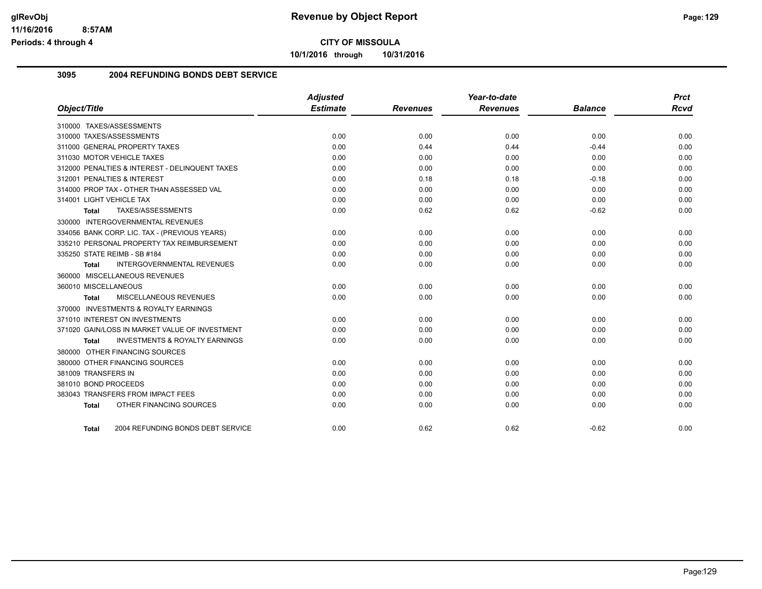**10/1/2016 through 10/31/2016**

# **3095 2004 REFUNDING BONDS DEBT SERVICE**

|                                                    | <b>Adjusted</b> |                 | Year-to-date    |                | <b>Prct</b> |
|----------------------------------------------------|-----------------|-----------------|-----------------|----------------|-------------|
| Object/Title                                       | <b>Estimate</b> | <b>Revenues</b> | <b>Revenues</b> | <b>Balance</b> | <b>Rcvd</b> |
| 310000 TAXES/ASSESSMENTS                           |                 |                 |                 |                |             |
| 310000 TAXES/ASSESSMENTS                           | 0.00            | 0.00            | 0.00            | 0.00           | 0.00        |
| 311000 GENERAL PROPERTY TAXES                      | 0.00            | 0.44            | 0.44            | $-0.44$        | 0.00        |
| 311030 MOTOR VEHICLE TAXES                         | 0.00            | 0.00            | 0.00            | 0.00           | 0.00        |
| 312000 PENALTIES & INTEREST - DELINQUENT TAXES     | 0.00            | 0.00            | 0.00            | 0.00           | 0.00        |
| 312001 PENALTIES & INTEREST                        | 0.00            | 0.18            | 0.18            | $-0.18$        | 0.00        |
| 314000 PROP TAX - OTHER THAN ASSESSED VAL          | 0.00            | 0.00            | 0.00            | 0.00           | 0.00        |
| 314001 LIGHT VEHICLE TAX                           | 0.00            | 0.00            | 0.00            | 0.00           | 0.00        |
| TAXES/ASSESSMENTS<br><b>Total</b>                  | 0.00            | 0.62            | 0.62            | $-0.62$        | 0.00        |
| 330000 INTERGOVERNMENTAL REVENUES                  |                 |                 |                 |                |             |
| 334056 BANK CORP. LIC. TAX - (PREVIOUS YEARS)      | 0.00            | 0.00            | 0.00            | 0.00           | 0.00        |
| 335210 PERSONAL PROPERTY TAX REIMBURSEMENT         | 0.00            | 0.00            | 0.00            | 0.00           | 0.00        |
| 335250 STATE REIMB - SB #184                       | 0.00            | 0.00            | 0.00            | 0.00           | 0.00        |
| <b>INTERGOVERNMENTAL REVENUES</b><br><b>Total</b>  | 0.00            | 0.00            | 0.00            | 0.00           | 0.00        |
| 360000 MISCELLANEOUS REVENUES                      |                 |                 |                 |                |             |
| 360010 MISCELLANEOUS                               | 0.00            | 0.00            | 0.00            | 0.00           | 0.00        |
| MISCELLANEOUS REVENUES<br><b>Total</b>             | 0.00            | 0.00            | 0.00            | 0.00           | 0.00        |
| 370000 INVESTMENTS & ROYALTY EARNINGS              |                 |                 |                 |                |             |
| 371010 INTEREST ON INVESTMENTS                     | 0.00            | 0.00            | 0.00            | 0.00           | 0.00        |
| 371020 GAIN/LOSS IN MARKET VALUE OF INVESTMENT     | 0.00            | 0.00            | 0.00            | 0.00           | 0.00        |
| <b>INVESTMENTS &amp; ROYALTY EARNINGS</b><br>Total | 0.00            | 0.00            | 0.00            | 0.00           | 0.00        |
| 380000 OTHER FINANCING SOURCES                     |                 |                 |                 |                |             |
| 380000 OTHER FINANCING SOURCES                     | 0.00            | 0.00            | 0.00            | 0.00           | 0.00        |
| 381009 TRANSFERS IN                                | 0.00            | 0.00            | 0.00            | 0.00           | 0.00        |
| 381010 BOND PROCEEDS                               | 0.00            | 0.00            | 0.00            | 0.00           | 0.00        |
| 383043 TRANSFERS FROM IMPACT FEES                  | 0.00            | 0.00            | 0.00            | 0.00           | 0.00        |
| OTHER FINANCING SOURCES<br><b>Total</b>            | 0.00            | 0.00            | 0.00            | 0.00           | 0.00        |
|                                                    |                 |                 |                 |                |             |
| 2004 REFUNDING BONDS DEBT SERVICE<br>Total         | 0.00            | 0.62            | 0.62            | $-0.62$        | 0.00        |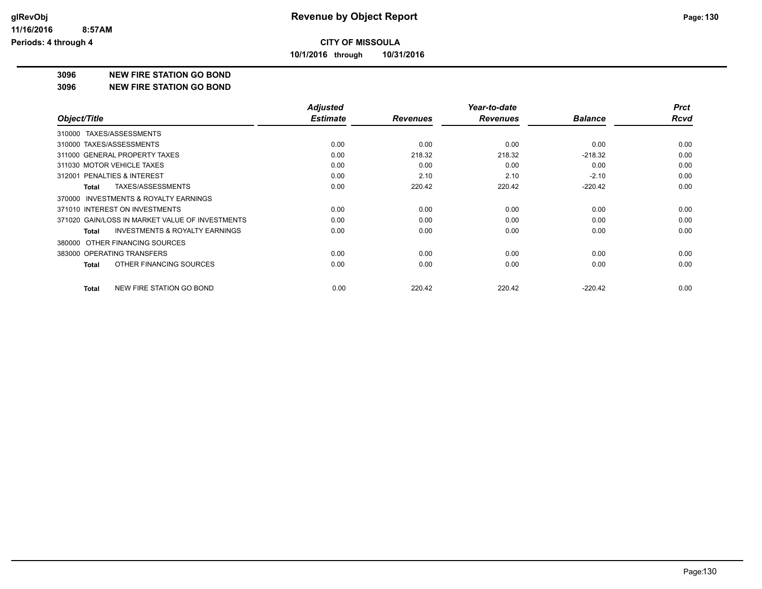**10/1/2016 through 10/31/2016**

#### **3096 NEW FIRE STATION GO BOND**

#### **3096 NEW FIRE STATION GO BOND**

|                                                    | <b>Adjusted</b> |                 | Year-to-date    |                | <b>Prct</b> |
|----------------------------------------------------|-----------------|-----------------|-----------------|----------------|-------------|
| Object/Title                                       | <b>Estimate</b> | <b>Revenues</b> | <b>Revenues</b> | <b>Balance</b> | <b>Rcvd</b> |
| 310000 TAXES/ASSESSMENTS                           |                 |                 |                 |                |             |
| 310000 TAXES/ASSESSMENTS                           | 0.00            | 0.00            | 0.00            | 0.00           | 0.00        |
| 311000 GENERAL PROPERTY TAXES                      | 0.00            | 218.32          | 218.32          | $-218.32$      | 0.00        |
| 311030 MOTOR VEHICLE TAXES                         | 0.00            | 0.00            | 0.00            | 0.00           | 0.00        |
| 312001 PENALTIES & INTEREST                        | 0.00            | 2.10            | 2.10            | $-2.10$        | 0.00        |
| TAXES/ASSESSMENTS<br>Total                         | 0.00            | 220.42          | 220.42          | $-220.42$      | 0.00        |
| 370000 INVESTMENTS & ROYALTY EARNINGS              |                 |                 |                 |                |             |
| 371010 INTEREST ON INVESTMENTS                     | 0.00            | 0.00            | 0.00            | 0.00           | 0.00        |
| 371020 GAIN/LOSS IN MARKET VALUE OF INVESTMENTS    | 0.00            | 0.00            | 0.00            | 0.00           | 0.00        |
| <b>INVESTMENTS &amp; ROYALTY EARNINGS</b><br>Total | 0.00            | 0.00            | 0.00            | 0.00           | 0.00        |
| OTHER FINANCING SOURCES<br>380000                  |                 |                 |                 |                |             |
| 383000 OPERATING TRANSFERS                         | 0.00            | 0.00            | 0.00            | 0.00           | 0.00        |
| OTHER FINANCING SOURCES<br>Total                   | 0.00            | 0.00            | 0.00            | 0.00           | 0.00        |
| NEW FIRE STATION GO BOND<br><b>Total</b>           | 0.00            | 220.42          | 220.42          | $-220.42$      | 0.00        |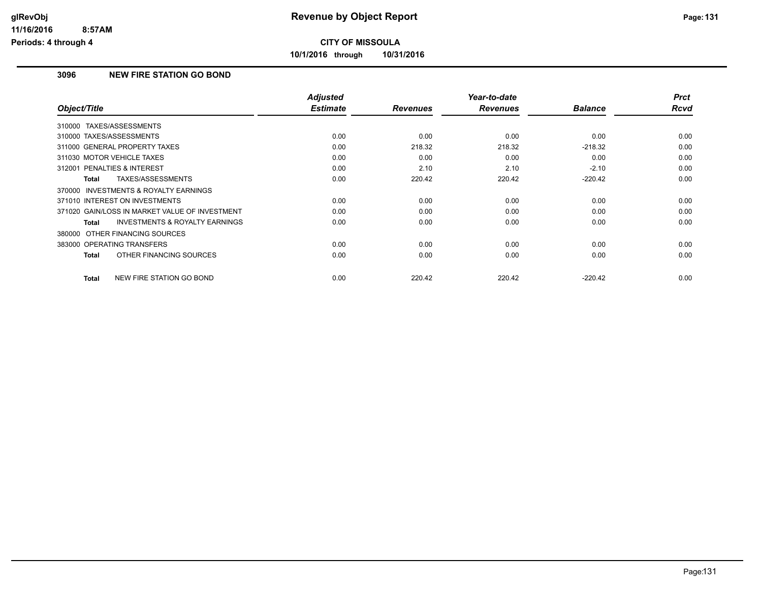**10/1/2016 through 10/31/2016**

# **3096 NEW FIRE STATION GO BOND**

| Object/Title                                        | <b>Adjusted</b><br><b>Estimate</b> | <b>Revenues</b> | Year-to-date<br><b>Revenues</b> | <b>Balance</b> | <b>Prct</b><br><b>Rcvd</b> |
|-----------------------------------------------------|------------------------------------|-----------------|---------------------------------|----------------|----------------------------|
| TAXES/ASSESSMENTS<br>310000                         |                                    |                 |                                 |                |                            |
| 310000 TAXES/ASSESSMENTS                            | 0.00                               | 0.00            | 0.00                            | 0.00           | 0.00                       |
| 311000 GENERAL PROPERTY TAXES                       | 0.00                               | 218.32          | 218.32                          | $-218.32$      | 0.00                       |
| 311030 MOTOR VEHICLE TAXES                          | 0.00                               | 0.00            | 0.00                            | 0.00           | 0.00                       |
| <b>PENALTIES &amp; INTEREST</b><br>312001           | 0.00                               | 2.10            | 2.10                            | $-2.10$        | 0.00                       |
| TAXES/ASSESSMENTS<br>Total                          | 0.00                               | 220.42          | 220.42                          | $-220.42$      | 0.00                       |
| <b>INVESTMENTS &amp; ROYALTY EARNINGS</b><br>370000 |                                    |                 |                                 |                |                            |
| 371010 INTEREST ON INVESTMENTS                      | 0.00                               | 0.00            | 0.00                            | 0.00           | 0.00                       |
| 371020 GAIN/LOSS IN MARKET VALUE OF INVESTMENT      | 0.00                               | 0.00            | 0.00                            | 0.00           | 0.00                       |
| <b>INVESTMENTS &amp; ROYALTY EARNINGS</b><br>Total  | 0.00                               | 0.00            | 0.00                            | 0.00           | 0.00                       |
| 380000 OTHER FINANCING SOURCES                      |                                    |                 |                                 |                |                            |
| 383000 OPERATING TRANSFERS                          | 0.00                               | 0.00            | 0.00                            | 0.00           | 0.00                       |
| OTHER FINANCING SOURCES<br>Total                    | 0.00                               | 0.00            | 0.00                            | 0.00           | 0.00                       |
| NEW FIRE STATION GO BOND<br>Total                   | 0.00                               | 220.42          | 220.42                          | $-220.42$      | 0.00                       |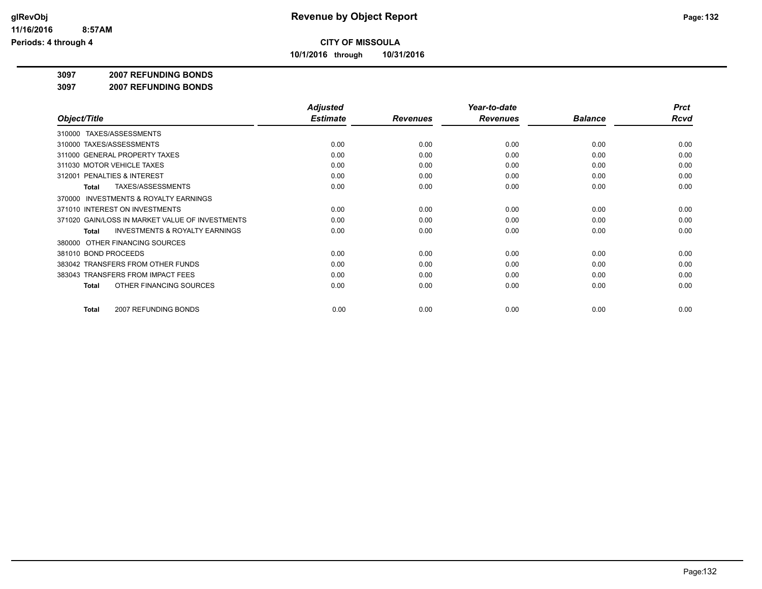**10/1/2016 through 10/31/2016**

#### **3097 2007 REFUNDING BONDS**

**3097 2007 REFUNDING BONDS**

|                                                     | <b>Adjusted</b> |                 | Year-to-date    |                | <b>Prct</b> |
|-----------------------------------------------------|-----------------|-----------------|-----------------|----------------|-------------|
| Object/Title                                        | <b>Estimate</b> | <b>Revenues</b> | <b>Revenues</b> | <b>Balance</b> | <b>Rcvd</b> |
| 310000 TAXES/ASSESSMENTS                            |                 |                 |                 |                |             |
| 310000 TAXES/ASSESSMENTS                            | 0.00            | 0.00            | 0.00            | 0.00           | 0.00        |
| 311000 GENERAL PROPERTY TAXES                       | 0.00            | 0.00            | 0.00            | 0.00           | 0.00        |
| 311030 MOTOR VEHICLE TAXES                          | 0.00            | 0.00            | 0.00            | 0.00           | 0.00        |
| PENALTIES & INTEREST<br>312001                      | 0.00            | 0.00            | 0.00            | 0.00           | 0.00        |
| <b>TAXES/ASSESSMENTS</b><br>Total                   | 0.00            | 0.00            | 0.00            | 0.00           | 0.00        |
| <b>INVESTMENTS &amp; ROYALTY EARNINGS</b><br>370000 |                 |                 |                 |                |             |
| 371010 INTEREST ON INVESTMENTS                      | 0.00            | 0.00            | 0.00            | 0.00           | 0.00        |
| 371020 GAIN/LOSS IN MARKET VALUE OF INVESTMENTS     | 0.00            | 0.00            | 0.00            | 0.00           | 0.00        |
| <b>INVESTMENTS &amp; ROYALTY EARNINGS</b><br>Total  | 0.00            | 0.00            | 0.00            | 0.00           | 0.00        |
| OTHER FINANCING SOURCES<br>380000                   |                 |                 |                 |                |             |
| 381010 BOND PROCEEDS                                | 0.00            | 0.00            | 0.00            | 0.00           | 0.00        |
| 383042 TRANSFERS FROM OTHER FUNDS                   | 0.00            | 0.00            | 0.00            | 0.00           | 0.00        |
| 383043 TRANSFERS FROM IMPACT FEES                   | 0.00            | 0.00            | 0.00            | 0.00           | 0.00        |
| OTHER FINANCING SOURCES<br><b>Total</b>             | 0.00            | 0.00            | 0.00            | 0.00           | 0.00        |
| 2007 REFUNDING BONDS<br><b>Total</b>                | 0.00            | 0.00            | 0.00            | 0.00           | 0.00        |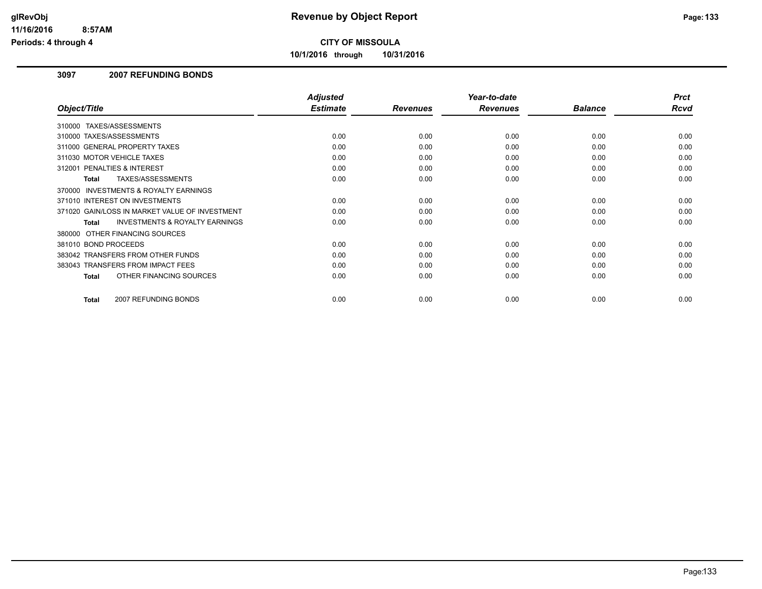**10/1/2016 through 10/31/2016**

# **3097 2007 REFUNDING BONDS**

|                                                    | <b>Adjusted</b> |                 | Year-to-date    |                | <b>Prct</b> |
|----------------------------------------------------|-----------------|-----------------|-----------------|----------------|-------------|
| Object/Title                                       | <b>Estimate</b> | <b>Revenues</b> | <b>Revenues</b> | <b>Balance</b> | Rcvd        |
| TAXES/ASSESSMENTS<br>310000                        |                 |                 |                 |                |             |
| 310000 TAXES/ASSESSMENTS                           | 0.00            | 0.00            | 0.00            | 0.00           | 0.00        |
| 311000 GENERAL PROPERTY TAXES                      | 0.00            | 0.00            | 0.00            | 0.00           | 0.00        |
| 311030 MOTOR VEHICLE TAXES                         | 0.00            | 0.00            | 0.00            | 0.00           | 0.00        |
| 312001 PENALTIES & INTEREST                        | 0.00            | 0.00            | 0.00            | 0.00           | 0.00        |
| TAXES/ASSESSMENTS<br>Total                         | 0.00            | 0.00            | 0.00            | 0.00           | 0.00        |
| 370000 INVESTMENTS & ROYALTY EARNINGS              |                 |                 |                 |                |             |
| 371010 INTEREST ON INVESTMENTS                     | 0.00            | 0.00            | 0.00            | 0.00           | 0.00        |
| 371020 GAIN/LOSS IN MARKET VALUE OF INVESTMENT     | 0.00            | 0.00            | 0.00            | 0.00           | 0.00        |
| <b>INVESTMENTS &amp; ROYALTY EARNINGS</b><br>Total | 0.00            | 0.00            | 0.00            | 0.00           | 0.00        |
| 380000 OTHER FINANCING SOURCES                     |                 |                 |                 |                |             |
| 381010 BOND PROCEEDS                               | 0.00            | 0.00            | 0.00            | 0.00           | 0.00        |
| 383042 TRANSFERS FROM OTHER FUNDS                  | 0.00            | 0.00            | 0.00            | 0.00           | 0.00        |
| 383043 TRANSFERS FROM IMPACT FEES                  | 0.00            | 0.00            | 0.00            | 0.00           | 0.00        |
| OTHER FINANCING SOURCES<br><b>Total</b>            | 0.00            | 0.00            | 0.00            | 0.00           | 0.00        |
| 2007 REFUNDING BONDS<br>Total                      | 0.00            | 0.00            | 0.00            | 0.00           | 0.00        |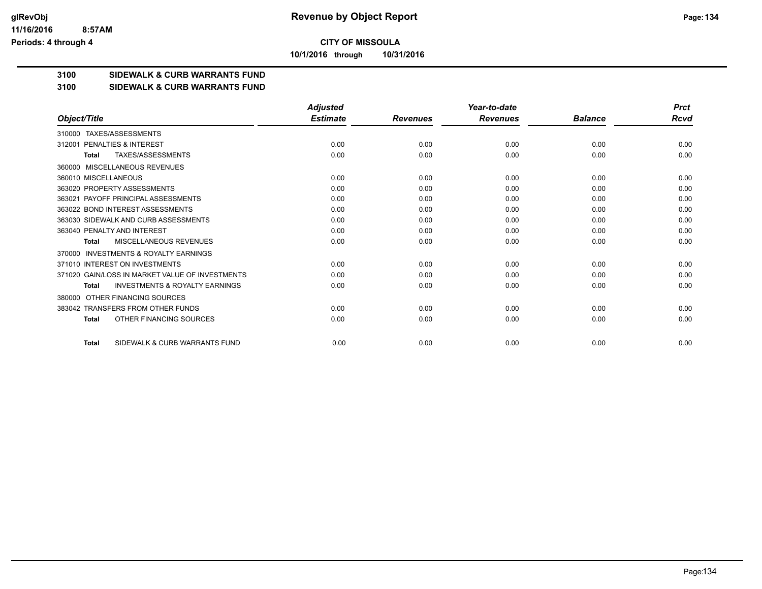**10/1/2016 through 10/31/2016**

# **3100 SIDEWALK & CURB WARRANTS FUND**

# **3100 SIDEWALK & CURB WARRANTS FUND**

|                                                           | <b>Adjusted</b> |                 | Year-to-date    |                | <b>Prct</b> |
|-----------------------------------------------------------|-----------------|-----------------|-----------------|----------------|-------------|
| Object/Title                                              | <b>Estimate</b> | <b>Revenues</b> | <b>Revenues</b> | <b>Balance</b> | Rcvd        |
| TAXES/ASSESSMENTS<br>310000                               |                 |                 |                 |                |             |
| <b>PENALTIES &amp; INTEREST</b><br>312001                 | 0.00            | 0.00            | 0.00            | 0.00           | 0.00        |
| <b>TAXES/ASSESSMENTS</b><br><b>Total</b>                  | 0.00            | 0.00            | 0.00            | 0.00           | 0.00        |
| MISCELLANEOUS REVENUES<br>360000                          |                 |                 |                 |                |             |
| 360010 MISCELLANEOUS                                      | 0.00            | 0.00            | 0.00            | 0.00           | 0.00        |
| 363020 PROPERTY ASSESSMENTS                               | 0.00            | 0.00            | 0.00            | 0.00           | 0.00        |
| PAYOFF PRINCIPAL ASSESSMENTS<br>363021                    | 0.00            | 0.00            | 0.00            | 0.00           | 0.00        |
| 363022 BOND INTEREST ASSESSMENTS                          | 0.00            | 0.00            | 0.00            | 0.00           | 0.00        |
| 363030 SIDEWALK AND CURB ASSESSMENTS                      | 0.00            | 0.00            | 0.00            | 0.00           | 0.00        |
| 363040 PENALTY AND INTEREST                               | 0.00            | 0.00            | 0.00            | 0.00           | 0.00        |
| MISCELLANEOUS REVENUES<br>Total                           | 0.00            | 0.00            | 0.00            | 0.00           | 0.00        |
| <b>INVESTMENTS &amp; ROYALTY EARNINGS</b><br>370000       |                 |                 |                 |                |             |
| 371010 INTEREST ON INVESTMENTS                            | 0.00            | 0.00            | 0.00            | 0.00           | 0.00        |
| 371020 GAIN/LOSS IN MARKET VALUE OF INVESTMENTS           | 0.00            | 0.00            | 0.00            | 0.00           | 0.00        |
| <b>INVESTMENTS &amp; ROYALTY EARNINGS</b><br><b>Total</b> | 0.00            | 0.00            | 0.00            | 0.00           | 0.00        |
| OTHER FINANCING SOURCES<br>380000                         |                 |                 |                 |                |             |
| 383042 TRANSFERS FROM OTHER FUNDS                         | 0.00            | 0.00            | 0.00            | 0.00           | 0.00        |
| OTHER FINANCING SOURCES<br>Total                          | 0.00            | 0.00            | 0.00            | 0.00           | 0.00        |
|                                                           |                 |                 |                 |                |             |
| SIDEWALK & CURB WARRANTS FUND<br><b>Total</b>             | 0.00            | 0.00            | 0.00            | 0.00           | 0.00        |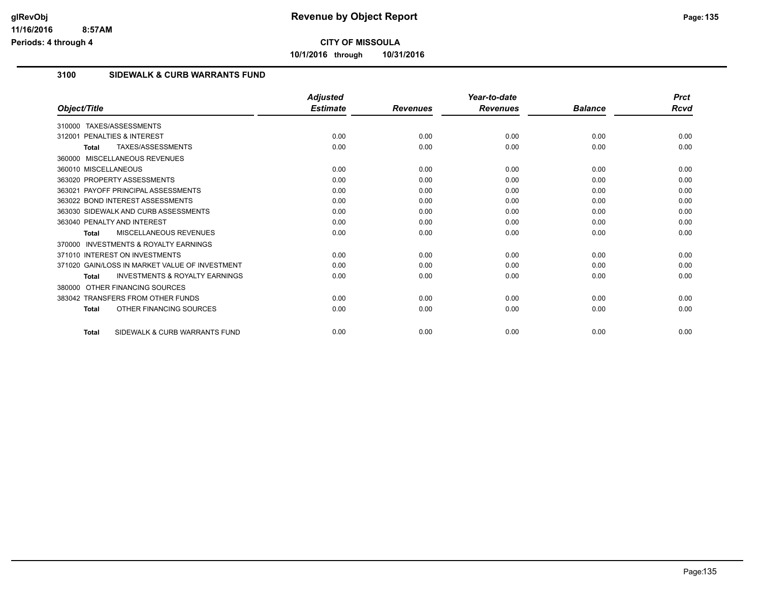**10/1/2016 through 10/31/2016**

# **3100 SIDEWALK & CURB WARRANTS FUND**

|                                                           | <b>Adjusted</b> |                 | Year-to-date    |                | <b>Prct</b> |
|-----------------------------------------------------------|-----------------|-----------------|-----------------|----------------|-------------|
| Object/Title                                              | <b>Estimate</b> | <b>Revenues</b> | <b>Revenues</b> | <b>Balance</b> | Rcvd        |
| TAXES/ASSESSMENTS<br>310000                               |                 |                 |                 |                |             |
| <b>PENALTIES &amp; INTEREST</b><br>312001                 | 0.00            | 0.00            | 0.00            | 0.00           | 0.00        |
| TAXES/ASSESSMENTS<br>Total                                | 0.00            | 0.00            | 0.00            | 0.00           | 0.00        |
| 360000 MISCELLANEOUS REVENUES                             |                 |                 |                 |                |             |
| 360010 MISCELLANEOUS                                      | 0.00            | 0.00            | 0.00            | 0.00           | 0.00        |
| 363020 PROPERTY ASSESSMENTS                               | 0.00            | 0.00            | 0.00            | 0.00           | 0.00        |
| 363021 PAYOFF PRINCIPAL ASSESSMENTS                       | 0.00            | 0.00            | 0.00            | 0.00           | 0.00        |
| 363022 BOND INTEREST ASSESSMENTS                          | 0.00            | 0.00            | 0.00            | 0.00           | 0.00        |
| 363030 SIDEWALK AND CURB ASSESSMENTS                      | 0.00            | 0.00            | 0.00            | 0.00           | 0.00        |
| 363040 PENALTY AND INTEREST                               | 0.00            | 0.00            | 0.00            | 0.00           | 0.00        |
| MISCELLANEOUS REVENUES<br>Total                           | 0.00            | 0.00            | 0.00            | 0.00           | 0.00        |
| <b>INVESTMENTS &amp; ROYALTY EARNINGS</b><br>370000       |                 |                 |                 |                |             |
| 371010 INTEREST ON INVESTMENTS                            | 0.00            | 0.00            | 0.00            | 0.00           | 0.00        |
| 371020 GAIN/LOSS IN MARKET VALUE OF INVESTMENT            | 0.00            | 0.00            | 0.00            | 0.00           | 0.00        |
| <b>INVESTMENTS &amp; ROYALTY EARNINGS</b><br><b>Total</b> | 0.00            | 0.00            | 0.00            | 0.00           | 0.00        |
| OTHER FINANCING SOURCES<br>380000                         |                 |                 |                 |                |             |
| 383042 TRANSFERS FROM OTHER FUNDS                         | 0.00            | 0.00            | 0.00            | 0.00           | 0.00        |
| OTHER FINANCING SOURCES<br><b>Total</b>                   | 0.00            | 0.00            | 0.00            | 0.00           | 0.00        |
| SIDEWALK & CURB WARRANTS FUND<br><b>Total</b>             | 0.00            | 0.00            | 0.00            | 0.00           | 0.00        |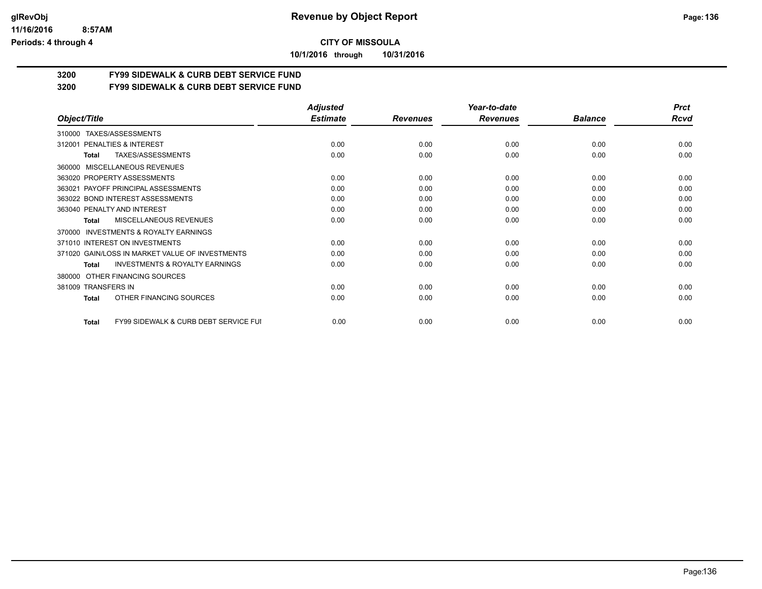**11/16/2016 8:57AM Periods: 4 through 4**

**CITY OF MISSOULA**

**10/1/2016 through 10/31/2016**

# **3200 FY99 SIDEWALK & CURB DEBT SERVICE FUND**

# **3200 FY99 SIDEWALK & CURB DEBT SERVICE FUND**

|                                                           | <b>Adjusted</b> |                 | Year-to-date    |                | <b>Prct</b> |
|-----------------------------------------------------------|-----------------|-----------------|-----------------|----------------|-------------|
| Object/Title                                              | <b>Estimate</b> | <b>Revenues</b> | <b>Revenues</b> | <b>Balance</b> | Rcvd        |
| TAXES/ASSESSMENTS<br>310000                               |                 |                 |                 |                |             |
| <b>PENALTIES &amp; INTEREST</b><br>312001                 | 0.00            | 0.00            | 0.00            | 0.00           | 0.00        |
| TAXES/ASSESSMENTS<br>Total                                | 0.00            | 0.00            | 0.00            | 0.00           | 0.00        |
| <b>MISCELLANEOUS REVENUES</b><br>360000                   |                 |                 |                 |                |             |
| 363020 PROPERTY ASSESSMENTS                               | 0.00            | 0.00            | 0.00            | 0.00           | 0.00        |
| 363021 PAYOFF PRINCIPAL ASSESSMENTS                       | 0.00            | 0.00            | 0.00            | 0.00           | 0.00        |
| 363022 BOND INTEREST ASSESSMENTS                          | 0.00            | 0.00            | 0.00            | 0.00           | 0.00        |
| 363040 PENALTY AND INTEREST                               | 0.00            | 0.00            | 0.00            | 0.00           | 0.00        |
| <b>MISCELLANEOUS REVENUES</b><br>Total                    | 0.00            | 0.00            | 0.00            | 0.00           | 0.00        |
| <b>INVESTMENTS &amp; ROYALTY EARNINGS</b><br>370000       |                 |                 |                 |                |             |
| 371010 INTEREST ON INVESTMENTS                            | 0.00            | 0.00            | 0.00            | 0.00           | 0.00        |
| 371020 GAIN/LOSS IN MARKET VALUE OF INVESTMENTS           | 0.00            | 0.00            | 0.00            | 0.00           | 0.00        |
| <b>INVESTMENTS &amp; ROYALTY EARNINGS</b><br><b>Total</b> | 0.00            | 0.00            | 0.00            | 0.00           | 0.00        |
| OTHER FINANCING SOURCES<br>380000                         |                 |                 |                 |                |             |
| 381009 TRANSFERS IN                                       | 0.00            | 0.00            | 0.00            | 0.00           | 0.00        |
| OTHER FINANCING SOURCES<br><b>Total</b>                   | 0.00            | 0.00            | 0.00            | 0.00           | 0.00        |
|                                                           |                 |                 |                 |                |             |
| FY99 SIDEWALK & CURB DEBT SERVICE FUI<br><b>Total</b>     | 0.00            | 0.00            | 0.00            | 0.00           | 0.00        |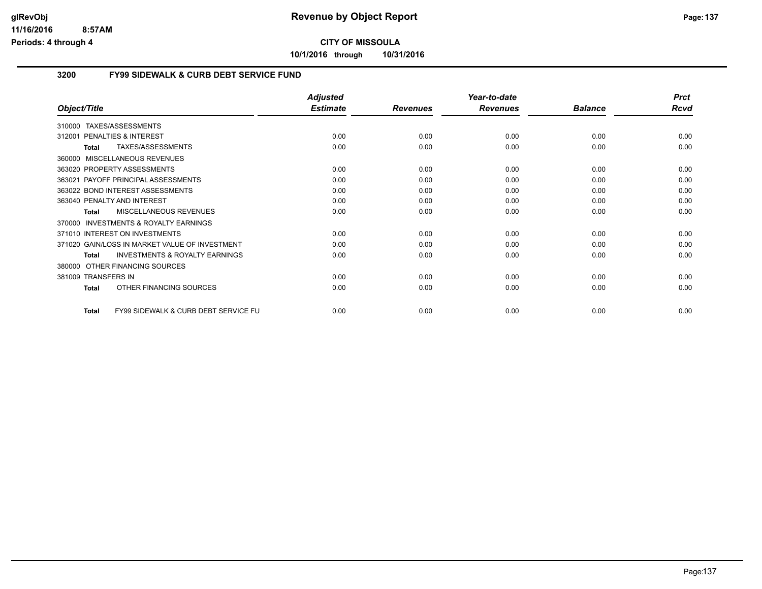**10/1/2016 through 10/31/2016**

# **3200 FY99 SIDEWALK & CURB DEBT SERVICE FUND**

|                                                           | <b>Adjusted</b> |                 | Year-to-date    |                | <b>Prct</b> |
|-----------------------------------------------------------|-----------------|-----------------|-----------------|----------------|-------------|
| Object/Title                                              | <b>Estimate</b> | <b>Revenues</b> | <b>Revenues</b> | <b>Balance</b> | <b>Rcvd</b> |
| TAXES/ASSESSMENTS<br>310000                               |                 |                 |                 |                |             |
| <b>PENALTIES &amp; INTEREST</b><br>312001                 | 0.00            | 0.00            | 0.00            | 0.00           | 0.00        |
| TAXES/ASSESSMENTS<br>Total                                | 0.00            | 0.00            | 0.00            | 0.00           | 0.00        |
| <b>MISCELLANEOUS REVENUES</b><br>360000                   |                 |                 |                 |                |             |
| 363020 PROPERTY ASSESSMENTS                               | 0.00            | 0.00            | 0.00            | 0.00           | 0.00        |
| PAYOFF PRINCIPAL ASSESSMENTS<br>363021                    | 0.00            | 0.00            | 0.00            | 0.00           | 0.00        |
| 363022 BOND INTEREST ASSESSMENTS                          | 0.00            | 0.00            | 0.00            | 0.00           | 0.00        |
| 363040 PENALTY AND INTEREST                               | 0.00            | 0.00            | 0.00            | 0.00           | 0.00        |
| MISCELLANEOUS REVENUES<br><b>Total</b>                    | 0.00            | 0.00            | 0.00            | 0.00           | 0.00        |
| <b>INVESTMENTS &amp; ROYALTY EARNINGS</b><br>370000       |                 |                 |                 |                |             |
| 371010 INTEREST ON INVESTMENTS                            | 0.00            | 0.00            | 0.00            | 0.00           | 0.00        |
| 371020 GAIN/LOSS IN MARKET VALUE OF INVESTMENT            | 0.00            | 0.00            | 0.00            | 0.00           | 0.00        |
| <b>INVESTMENTS &amp; ROYALTY EARNINGS</b><br><b>Total</b> | 0.00            | 0.00            | 0.00            | 0.00           | 0.00        |
| OTHER FINANCING SOURCES<br>380000                         |                 |                 |                 |                |             |
| 381009 TRANSFERS IN                                       | 0.00            | 0.00            | 0.00            | 0.00           | 0.00        |
| OTHER FINANCING SOURCES<br><b>Total</b>                   | 0.00            | 0.00            | 0.00            | 0.00           | 0.00        |
| FY99 SIDEWALK & CURB DEBT SERVICE FU<br><b>Total</b>      | 0.00            | 0.00            | 0.00            | 0.00           | 0.00        |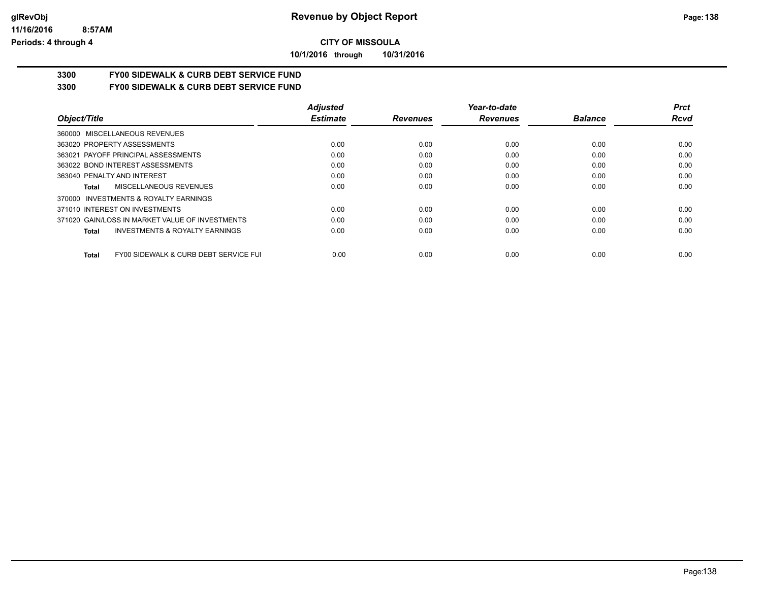#### **11/16/2016 8:57AM Periods: 4 through 4**

**CITY OF MISSOULA**

**10/1/2016 through 10/31/2016**

# **3300 FY00 SIDEWALK & CURB DEBT SERVICE FUND**

**3300 FY00 SIDEWALK & CURB DEBT SERVICE FUND**

|                                                           | <b>Adjusted</b> |                 | Year-to-date    |                | <b>Prct</b> |
|-----------------------------------------------------------|-----------------|-----------------|-----------------|----------------|-------------|
| Object/Title                                              | <b>Estimate</b> | <b>Revenues</b> | <b>Revenues</b> | <b>Balance</b> | <b>Rcvd</b> |
| 360000 MISCELLANEOUS REVENUES                             |                 |                 |                 |                |             |
| 363020 PROPERTY ASSESSMENTS                               | 0.00            | 0.00            | 0.00            | 0.00           | 0.00        |
| 363021 PAYOFF PRINCIPAL ASSESSMENTS                       | 0.00            | 0.00            | 0.00            | 0.00           | 0.00        |
| 363022 BOND INTEREST ASSESSMENTS                          | 0.00            | 0.00            | 0.00            | 0.00           | 0.00        |
| 363040 PENALTY AND INTEREST                               | 0.00            | 0.00            | 0.00            | 0.00           | 0.00        |
| MISCELLANEOUS REVENUES<br>Total                           | 0.00            | 0.00            | 0.00            | 0.00           | 0.00        |
| 370000 INVESTMENTS & ROYALTY EARNINGS                     |                 |                 |                 |                |             |
| 371010 INTEREST ON INVESTMENTS                            | 0.00            | 0.00            | 0.00            | 0.00           | 0.00        |
| 371020 GAIN/LOSS IN MARKET VALUE OF INVESTMENTS           | 0.00            | 0.00            | 0.00            | 0.00           | 0.00        |
| <b>INVESTMENTS &amp; ROYALTY EARNINGS</b><br><b>Total</b> | 0.00            | 0.00            | 0.00            | 0.00           | 0.00        |
| FY00 SIDEWALK & CURB DEBT SERVICE FUI<br>Total            | 0.00            | 0.00            | 0.00            | 0.00           | 0.00        |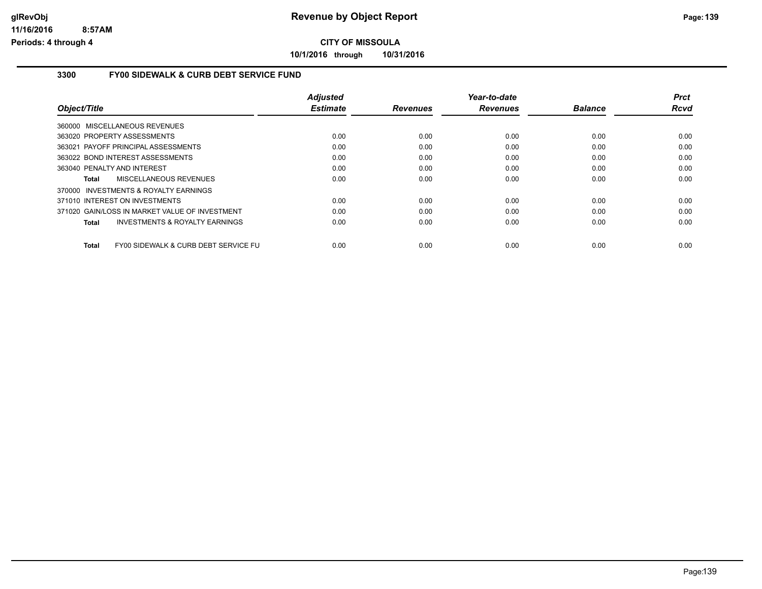**10/1/2016 through 10/31/2016**

### **3300 FY00 SIDEWALK & CURB DEBT SERVICE FUND**

|                                                      | <b>Adjusted</b> |                 | Year-to-date    |                | <b>Prct</b> |
|------------------------------------------------------|-----------------|-----------------|-----------------|----------------|-------------|
| Object/Title                                         | <b>Estimate</b> | <b>Revenues</b> | <b>Revenues</b> | <b>Balance</b> | <b>Rcvd</b> |
| 360000 MISCELLANEOUS REVENUES                        |                 |                 |                 |                |             |
| 363020 PROPERTY ASSESSMENTS                          | 0.00            | 0.00            | 0.00            | 0.00           | 0.00        |
| 363021 PAYOFF PRINCIPAL ASSESSMENTS                  | 0.00            | 0.00            | 0.00            | 0.00           | 0.00        |
| 363022 BOND INTEREST ASSESSMENTS                     | 0.00            | 0.00            | 0.00            | 0.00           | 0.00        |
| 363040 PENALTY AND INTEREST                          | 0.00            | 0.00            | 0.00            | 0.00           | 0.00        |
| <b>MISCELLANEOUS REVENUES</b><br>Total               | 0.00            | 0.00            | 0.00            | 0.00           | 0.00        |
| 370000 INVESTMENTS & ROYALTY EARNINGS                |                 |                 |                 |                |             |
| 371010 INTEREST ON INVESTMENTS                       | 0.00            | 0.00            | 0.00            | 0.00           | 0.00        |
| 371020 GAIN/LOSS IN MARKET VALUE OF INVESTMENT       | 0.00            | 0.00            | 0.00            | 0.00           | 0.00        |
| <b>INVESTMENTS &amp; ROYALTY EARNINGS</b><br>Total   | 0.00            | 0.00            | 0.00            | 0.00           | 0.00        |
| FY00 SIDEWALK & CURB DEBT SERVICE FU<br><b>Total</b> | 0.00            | 0.00            | 0.00            | 0.00           | 0.00        |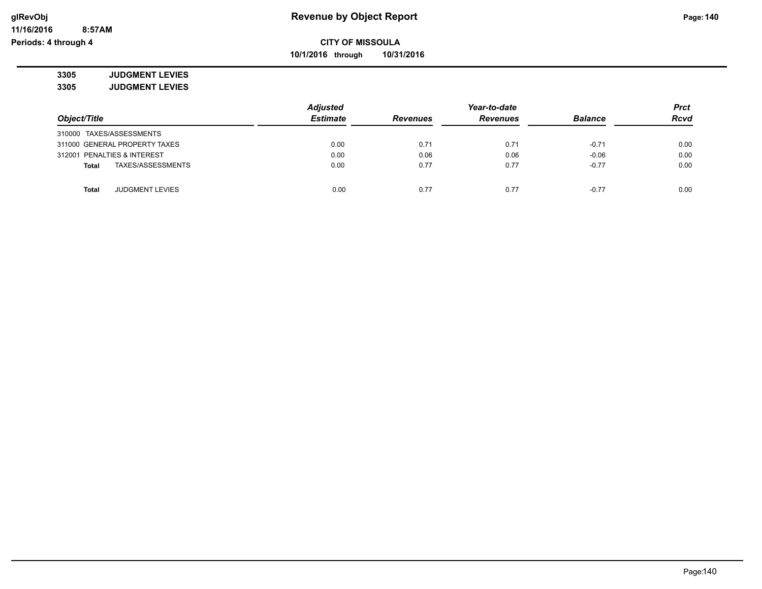**10/1/2016 through 10/31/2016**

**3305 JUDGMENT LEVIES**

**3305 JUDGMENT LEVIES**

|                                 | <b>Adjusted</b> |                 | Year-to-date    |                |             |
|---------------------------------|-----------------|-----------------|-----------------|----------------|-------------|
| Object/Title                    | <b>Estimate</b> | <b>Revenues</b> | <b>Revenues</b> | <b>Balance</b> | <b>Rcvd</b> |
| 310000 TAXES/ASSESSMENTS        |                 |                 |                 |                |             |
| 311000 GENERAL PROPERTY TAXES   | 0.00            | 0.71            | 0.71            | $-0.71$        | 0.00        |
| 312001 PENALTIES & INTEREST     | 0.00            | 0.06            | 0.06            | $-0.06$        | 0.00        |
| TAXES/ASSESSMENTS<br>Total      | 0.00            | 0.77            | 0.77            | $-0.77$        | 0.00        |
| Total<br><b>JUDGMENT LEVIES</b> | 0.00            | 0.77            | 0.77            | $-0.77$        | 0.00        |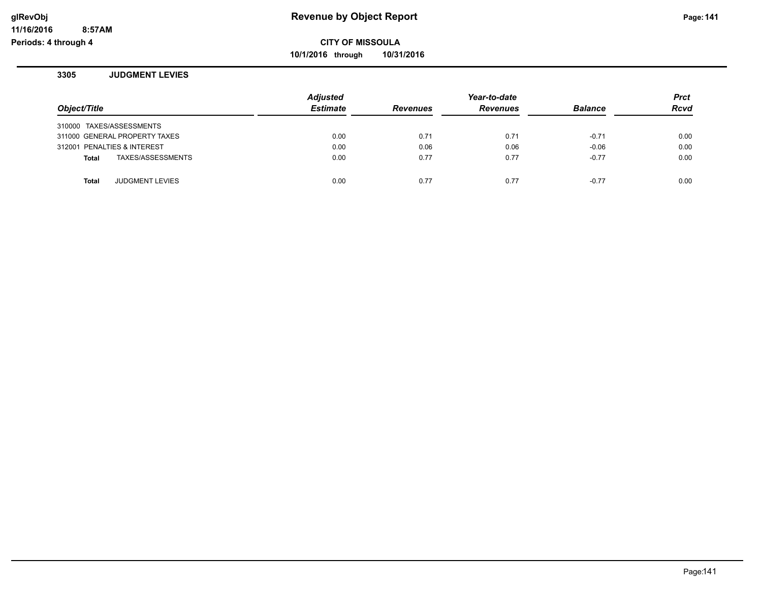**10/1/2016 through 10/31/2016**

#### **3305 JUDGMENT LEVIES**

|                                        | <b>Adjusted</b> |                 | Year-to-date    |                | <b>Prct</b> |
|----------------------------------------|-----------------|-----------------|-----------------|----------------|-------------|
| Object/Title                           | <b>Estimate</b> | <b>Revenues</b> | <b>Revenues</b> | <b>Balance</b> | <b>Rcvd</b> |
| 310000 TAXES/ASSESSMENTS               |                 |                 |                 |                |             |
| 311000 GENERAL PROPERTY TAXES          | 0.00            | 0.71            | 0.71            | $-0.71$        | 0.00        |
| 312001 PENALTIES & INTEREST            | 0.00            | 0.06            | 0.06            | $-0.06$        | 0.00        |
| TAXES/ASSESSMENTS<br>Total             | 0.00            | 0.77            | 0.77            | $-0.77$        | 0.00        |
| <b>JUDGMENT LEVIES</b><br><b>Total</b> | 0.00            | 0.77            | 0.77            | $-0.77$        | 0.00        |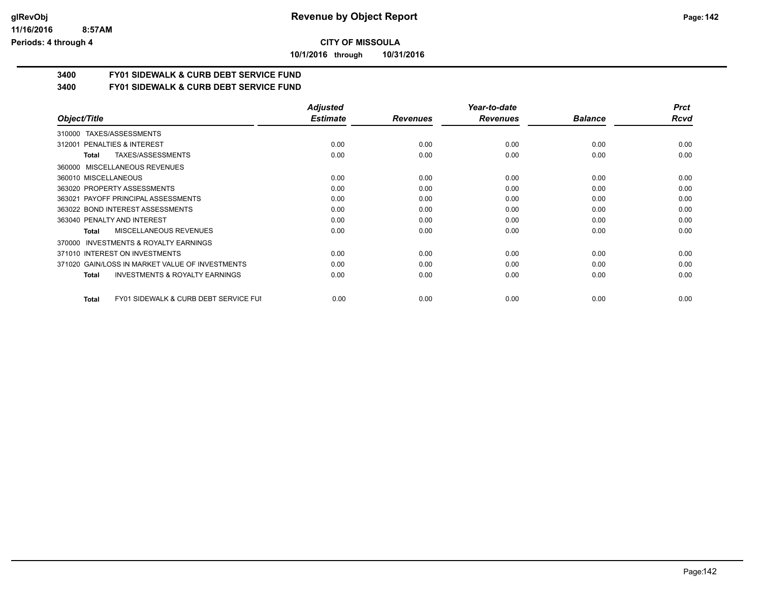**11/16/2016 8:57AM Periods: 4 through 4**

**CITY OF MISSOULA**

**10/1/2016 through 10/31/2016**

# **3400 FY01 SIDEWALK & CURB DEBT SERVICE FUND**

# **3400 FY01 SIDEWALK & CURB DEBT SERVICE FUND**

|                                                     | <b>Adjusted</b> |                 | Year-to-date    |                | <b>Prct</b> |
|-----------------------------------------------------|-----------------|-----------------|-----------------|----------------|-------------|
| Object/Title                                        | <b>Estimate</b> | <b>Revenues</b> | <b>Revenues</b> | <b>Balance</b> | Rcvd        |
| TAXES/ASSESSMENTS<br>310000                         |                 |                 |                 |                |             |
| 312001 PENALTIES & INTEREST                         | 0.00            | 0.00            | 0.00            | 0.00           | 0.00        |
| <b>TAXES/ASSESSMENTS</b><br><b>Total</b>            | 0.00            | 0.00            | 0.00            | 0.00           | 0.00        |
| MISCELLANEOUS REVENUES<br>360000                    |                 |                 |                 |                |             |
| 360010 MISCELLANEOUS                                | 0.00            | 0.00            | 0.00            | 0.00           | 0.00        |
| 363020 PROPERTY ASSESSMENTS                         | 0.00            | 0.00            | 0.00            | 0.00           | 0.00        |
| 363021 PAYOFF PRINCIPAL ASSESSMENTS                 | 0.00            | 0.00            | 0.00            | 0.00           | 0.00        |
| 363022 BOND INTEREST ASSESSMENTS                    | 0.00            | 0.00            | 0.00            | 0.00           | 0.00        |
| 363040 PENALTY AND INTEREST                         | 0.00            | 0.00            | 0.00            | 0.00           | 0.00        |
| <b>MISCELLANEOUS REVENUES</b><br>Total              | 0.00            | 0.00            | 0.00            | 0.00           | 0.00        |
| <b>INVESTMENTS &amp; ROYALTY EARNINGS</b><br>370000 |                 |                 |                 |                |             |
| 371010 INTEREST ON INVESTMENTS                      | 0.00            | 0.00            | 0.00            | 0.00           | 0.00        |
| 371020 GAIN/LOSS IN MARKET VALUE OF INVESTMENTS     | 0.00            | 0.00            | 0.00            | 0.00           | 0.00        |
| <b>INVESTMENTS &amp; ROYALTY EARNINGS</b><br>Total  | 0.00            | 0.00            | 0.00            | 0.00           | 0.00        |
| FY01 SIDEWALK & CURB DEBT SERVICE FUI<br>Total      | 0.00            | 0.00            | 0.00            | 0.00           | 0.00        |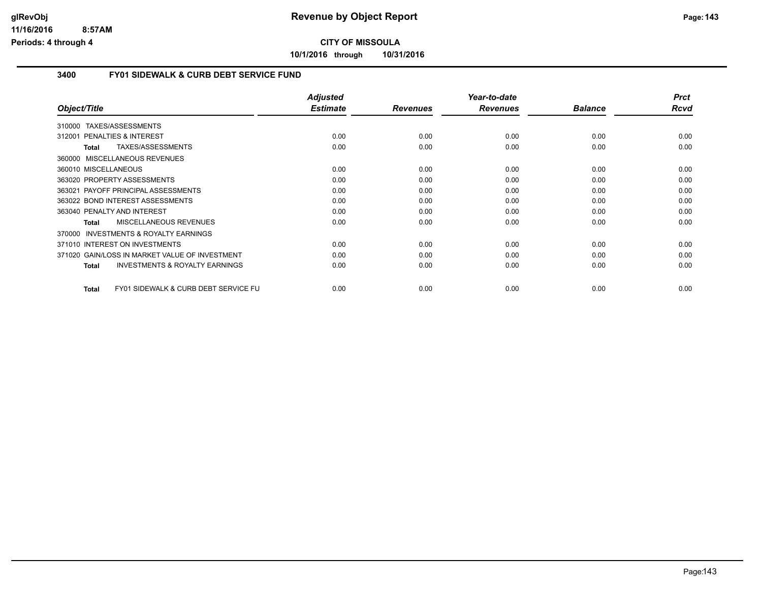**10/1/2016 through 10/31/2016**

# **3400 FY01 SIDEWALK & CURB DEBT SERVICE FUND**

| Object/Title                                              | <b>Adjusted</b><br><b>Estimate</b> | <b>Revenues</b> | Year-to-date<br><b>Revenues</b> | <b>Balance</b> | <b>Prct</b><br>Rcvd |
|-----------------------------------------------------------|------------------------------------|-----------------|---------------------------------|----------------|---------------------|
|                                                           |                                    |                 |                                 |                |                     |
| TAXES/ASSESSMENTS<br>310000                               |                                    |                 |                                 |                |                     |
| 312001 PENALTIES & INTEREST                               | 0.00                               | 0.00            | 0.00                            | 0.00           | 0.00                |
| TAXES/ASSESSMENTS<br><b>Total</b>                         | 0.00                               | 0.00            | 0.00                            | 0.00           | 0.00                |
| MISCELLANEOUS REVENUES<br>360000                          |                                    |                 |                                 |                |                     |
| 360010 MISCELLANEOUS                                      | 0.00                               | 0.00            | 0.00                            | 0.00           | 0.00                |
| 363020 PROPERTY ASSESSMENTS                               | 0.00                               | 0.00            | 0.00                            | 0.00           | 0.00                |
| 363021 PAYOFF PRINCIPAL ASSESSMENTS                       | 0.00                               | 0.00            | 0.00                            | 0.00           | 0.00                |
| 363022 BOND INTEREST ASSESSMENTS                          | 0.00                               | 0.00            | 0.00                            | 0.00           | 0.00                |
| 363040 PENALTY AND INTEREST                               | 0.00                               | 0.00            | 0.00                            | 0.00           | 0.00                |
| MISCELLANEOUS REVENUES<br>Total                           | 0.00                               | 0.00            | 0.00                            | 0.00           | 0.00                |
| INVESTMENTS & ROYALTY EARNINGS<br>370000                  |                                    |                 |                                 |                |                     |
| 371010 INTEREST ON INVESTMENTS                            | 0.00                               | 0.00            | 0.00                            | 0.00           | 0.00                |
| 371020 GAIN/LOSS IN MARKET VALUE OF INVESTMENT            | 0.00                               | 0.00            | 0.00                            | 0.00           | 0.00                |
| <b>INVESTMENTS &amp; ROYALTY EARNINGS</b><br><b>Total</b> | 0.00                               | 0.00            | 0.00                            | 0.00           | 0.00                |
| <b>FY01 SIDEWALK &amp; CURB DEBT SERVICE FU</b><br>Total  | 0.00                               | 0.00            | 0.00                            | 0.00           | 0.00                |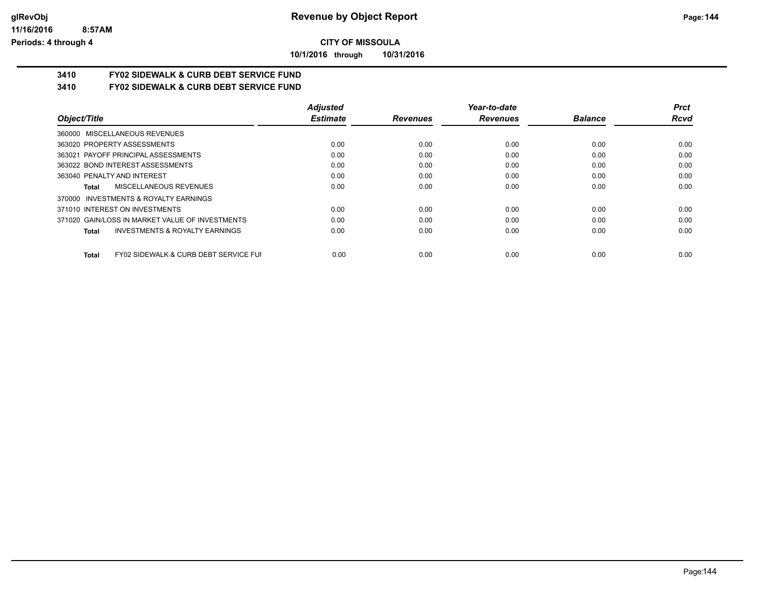#### **11/16/2016 8:57AM Periods: 4 through 4**

**CITY OF MISSOULA**

**10/1/2016 through 10/31/2016**

# **3410 FY02 SIDEWALK & CURB DEBT SERVICE FUND**

**3410 FY02 SIDEWALK & CURB DEBT SERVICE FUND**

|                                                    | <b>Adjusted</b> |                 | Year-to-date    |                | <b>Prct</b> |
|----------------------------------------------------|-----------------|-----------------|-----------------|----------------|-------------|
| Object/Title                                       | <b>Estimate</b> | <b>Revenues</b> | <b>Revenues</b> | <b>Balance</b> | <b>Rcvd</b> |
| 360000 MISCELLANEOUS REVENUES                      |                 |                 |                 |                |             |
| 363020 PROPERTY ASSESSMENTS                        | 0.00            | 0.00            | 0.00            | 0.00           | 0.00        |
| 363021 PAYOFF PRINCIPAL ASSESSMENTS                | 0.00            | 0.00            | 0.00            | 0.00           | 0.00        |
| 363022 BOND INTEREST ASSESSMENTS                   | 0.00            | 0.00            | 0.00            | 0.00           | 0.00        |
| 363040 PENALTY AND INTEREST                        | 0.00            | 0.00            | 0.00            | 0.00           | 0.00        |
| MISCELLANEOUS REVENUES<br>Total                    | 0.00            | 0.00            | 0.00            | 0.00           | 0.00        |
| 370000 INVESTMENTS & ROYALTY EARNINGS              |                 |                 |                 |                |             |
| 371010 INTEREST ON INVESTMENTS                     | 0.00            | 0.00            | 0.00            | 0.00           | 0.00        |
| 371020 GAIN/LOSS IN MARKET VALUE OF INVESTMENTS    | 0.00            | 0.00            | 0.00            | 0.00           | 0.00        |
| <b>INVESTMENTS &amp; ROYALTY EARNINGS</b><br>Total | 0.00            | 0.00            | 0.00            | 0.00           | 0.00        |
| FY02 SIDEWALK & CURB DEBT SERVICE FUI<br>Total     | 0.00            | 0.00            | 0.00            | 0.00           | 0.00        |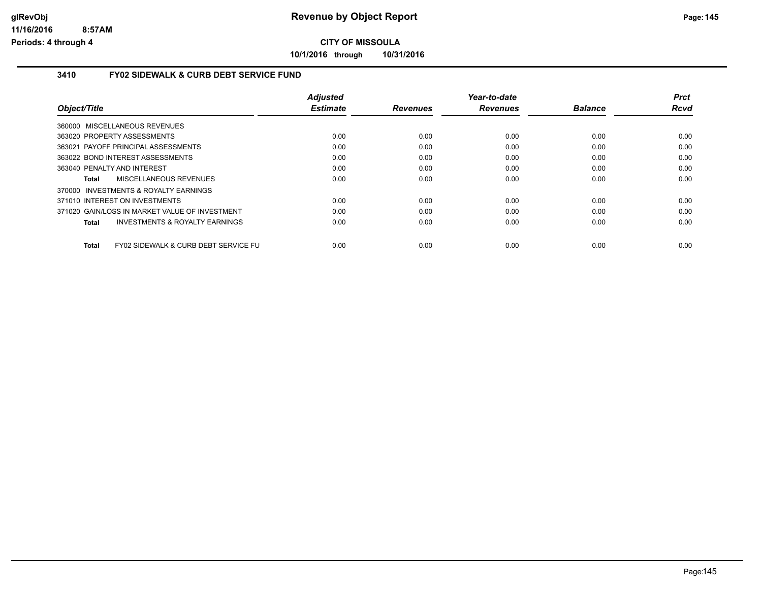**10/1/2016 through 10/31/2016**

## **3410 FY02 SIDEWALK & CURB DEBT SERVICE FUND**

|                                                      | <b>Adjusted</b> |                 | Year-to-date    |                | <b>Prct</b> |
|------------------------------------------------------|-----------------|-----------------|-----------------|----------------|-------------|
| Object/Title                                         | <b>Estimate</b> | <b>Revenues</b> | <b>Revenues</b> | <b>Balance</b> | <b>Rcvd</b> |
| 360000 MISCELLANEOUS REVENUES                        |                 |                 |                 |                |             |
| 363020 PROPERTY ASSESSMENTS                          | 0.00            | 0.00            | 0.00            | 0.00           | 0.00        |
| 363021 PAYOFF PRINCIPAL ASSESSMENTS                  | 0.00            | 0.00            | 0.00            | 0.00           | 0.00        |
| 363022 BOND INTEREST ASSESSMENTS                     | 0.00            | 0.00            | 0.00            | 0.00           | 0.00        |
| 363040 PENALTY AND INTEREST                          | 0.00            | 0.00            | 0.00            | 0.00           | 0.00        |
| <b>MISCELLANEOUS REVENUES</b><br>Total               | 0.00            | 0.00            | 0.00            | 0.00           | 0.00        |
| 370000 INVESTMENTS & ROYALTY EARNINGS                |                 |                 |                 |                |             |
| 371010 INTEREST ON INVESTMENTS                       | 0.00            | 0.00            | 0.00            | 0.00           | 0.00        |
| 371020 GAIN/LOSS IN MARKET VALUE OF INVESTMENT       | 0.00            | 0.00            | 0.00            | 0.00           | 0.00        |
| <b>INVESTMENTS &amp; ROYALTY EARNINGS</b><br>Total   | 0.00            | 0.00            | 0.00            | 0.00           | 0.00        |
| FY02 SIDEWALK & CURB DEBT SERVICE FU<br><b>Total</b> | 0.00            | 0.00            | 0.00            | 0.00           | 0.00        |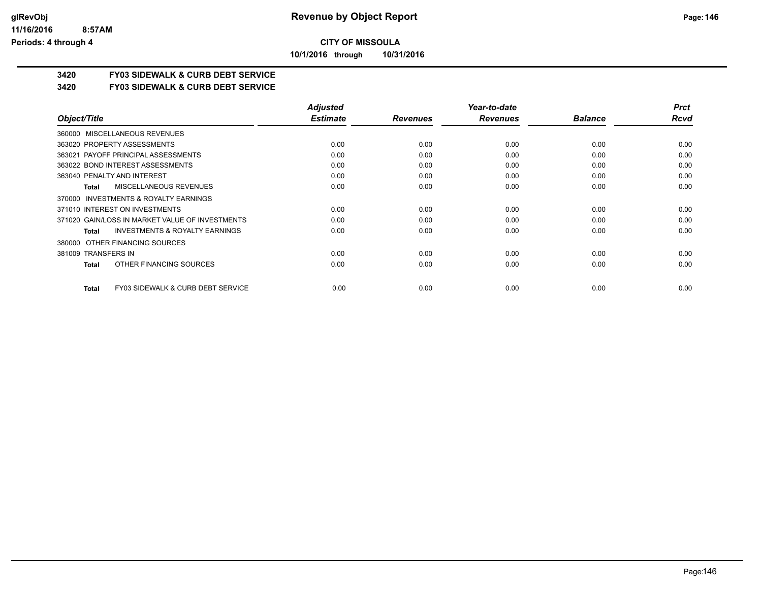**10/1/2016 through 10/31/2016**

# **3420 FY03 SIDEWALK & CURB DEBT SERVICE**

**3420 FY03 SIDEWALK & CURB DEBT SERVICE**

|                                                    | <b>Adjusted</b> |                 | Year-to-date    |                | <b>Prct</b> |
|----------------------------------------------------|-----------------|-----------------|-----------------|----------------|-------------|
| Object/Title                                       | <b>Estimate</b> | <b>Revenues</b> | <b>Revenues</b> | <b>Balance</b> | <b>Rcvd</b> |
| 360000 MISCELLANEOUS REVENUES                      |                 |                 |                 |                |             |
| 363020 PROPERTY ASSESSMENTS                        | 0.00            | 0.00            | 0.00            | 0.00           | 0.00        |
| 363021 PAYOFF PRINCIPAL ASSESSMENTS                | 0.00            | 0.00            | 0.00            | 0.00           | 0.00        |
| 363022 BOND INTEREST ASSESSMENTS                   | 0.00            | 0.00            | 0.00            | 0.00           | 0.00        |
| 363040 PENALTY AND INTEREST                        | 0.00            | 0.00            | 0.00            | 0.00           | 0.00        |
| <b>MISCELLANEOUS REVENUES</b><br>Total             | 0.00            | 0.00            | 0.00            | 0.00           | 0.00        |
| 370000 INVESTMENTS & ROYALTY EARNINGS              |                 |                 |                 |                |             |
| 371010 INTEREST ON INVESTMENTS                     | 0.00            | 0.00            | 0.00            | 0.00           | 0.00        |
| 371020 GAIN/LOSS IN MARKET VALUE OF INVESTMENTS    | 0.00            | 0.00            | 0.00            | 0.00           | 0.00        |
| <b>INVESTMENTS &amp; ROYALTY EARNINGS</b><br>Total | 0.00            | 0.00            | 0.00            | 0.00           | 0.00        |
| OTHER FINANCING SOURCES<br>380000                  |                 |                 |                 |                |             |
| 381009 TRANSFERS IN                                | 0.00            | 0.00            | 0.00            | 0.00           | 0.00        |
| OTHER FINANCING SOURCES<br>Total                   | 0.00            | 0.00            | 0.00            | 0.00           | 0.00        |
|                                                    |                 |                 |                 |                |             |
| FY03 SIDEWALK & CURB DEBT SERVICE<br><b>Total</b>  | 0.00            | 0.00            | 0.00            | 0.00           | 0.00        |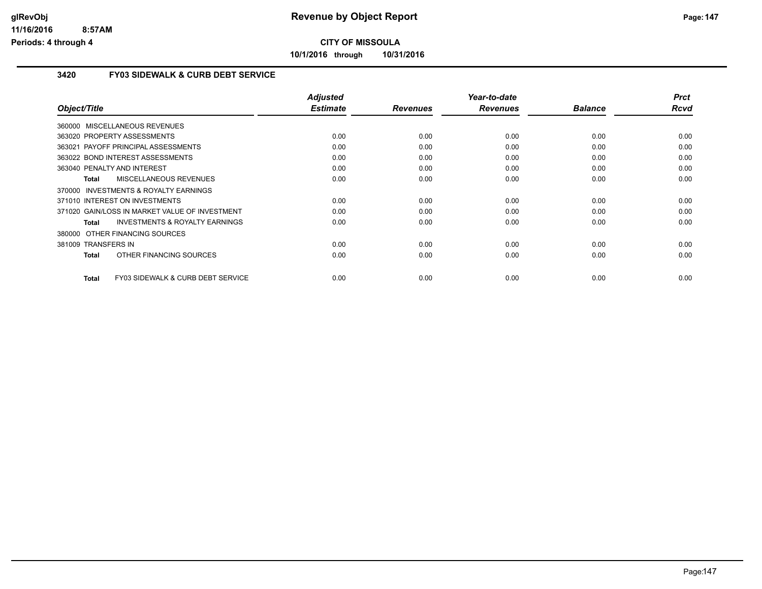**10/1/2016 through 10/31/2016**

# **3420 FY03 SIDEWALK & CURB DEBT SERVICE**

| Object/Title                                              | <b>Adjusted</b><br><b>Estimate</b> | <b>Revenues</b> | Year-to-date<br><b>Revenues</b> | <b>Balance</b> | <b>Prct</b><br>Rcvd |
|-----------------------------------------------------------|------------------------------------|-----------------|---------------------------------|----------------|---------------------|
| 360000 MISCELLANEOUS REVENUES                             |                                    |                 |                                 |                |                     |
| 363020 PROPERTY ASSESSMENTS                               | 0.00                               | 0.00            | 0.00                            | 0.00           | 0.00                |
| 363021 PAYOFF PRINCIPAL ASSESSMENTS                       | 0.00                               | 0.00            | 0.00                            | 0.00           | 0.00                |
| 363022 BOND INTEREST ASSESSMENTS                          | 0.00                               | 0.00            | 0.00                            | 0.00           | 0.00                |
| 363040 PENALTY AND INTEREST                               | 0.00                               | 0.00            | 0.00                            | 0.00           | 0.00                |
| <b>MISCELLANEOUS REVENUES</b><br><b>Total</b>             | 0.00                               | 0.00            | 0.00                            | 0.00           | 0.00                |
| 370000 INVESTMENTS & ROYALTY EARNINGS                     |                                    |                 |                                 |                |                     |
| 371010 INTEREST ON INVESTMENTS                            | 0.00                               | 0.00            | 0.00                            | 0.00           | 0.00                |
| 371020 GAIN/LOSS IN MARKET VALUE OF INVESTMENT            | 0.00                               | 0.00            | 0.00                            | 0.00           | 0.00                |
| <b>INVESTMENTS &amp; ROYALTY EARNINGS</b><br><b>Total</b> | 0.00                               | 0.00            | 0.00                            | 0.00           | 0.00                |
| 380000 OTHER FINANCING SOURCES                            |                                    |                 |                                 |                |                     |
| 381009 TRANSFERS IN                                       | 0.00                               | 0.00            | 0.00                            | 0.00           | 0.00                |
| OTHER FINANCING SOURCES<br>Total                          | 0.00                               | 0.00            | 0.00                            | 0.00           | 0.00                |
|                                                           |                                    |                 |                                 |                |                     |
| FY03 SIDEWALK & CURB DEBT SERVICE<br><b>Total</b>         | 0.00                               | 0.00            | 0.00                            | 0.00           | 0.00                |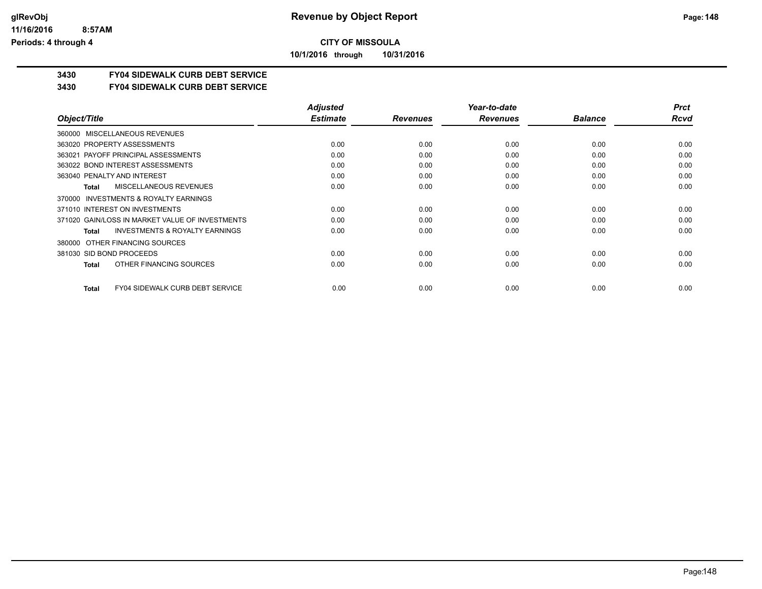**10/1/2016 through 10/31/2016**

# **3430 FY04 SIDEWALK CURB DEBT SERVICE**

# **3430 FY04 SIDEWALK CURB DEBT SERVICE**

|                                                        | <b>Adjusted</b> |                 | Year-to-date    |                | <b>Prct</b> |
|--------------------------------------------------------|-----------------|-----------------|-----------------|----------------|-------------|
| Object/Title                                           | <b>Estimate</b> | <b>Revenues</b> | <b>Revenues</b> | <b>Balance</b> | <b>Rcvd</b> |
| MISCELLANEOUS REVENUES<br>360000                       |                 |                 |                 |                |             |
| 363020 PROPERTY ASSESSMENTS                            | 0.00            | 0.00            | 0.00            | 0.00           | 0.00        |
| 363021 PAYOFF PRINCIPAL ASSESSMENTS                    | 0.00            | 0.00            | 0.00            | 0.00           | 0.00        |
| 363022 BOND INTEREST ASSESSMENTS                       | 0.00            | 0.00            | 0.00            | 0.00           | 0.00        |
| 363040 PENALTY AND INTEREST                            | 0.00            | 0.00            | 0.00            | 0.00           | 0.00        |
| MISCELLANEOUS REVENUES<br>Total                        | 0.00            | 0.00            | 0.00            | 0.00           | 0.00        |
| <b>INVESTMENTS &amp; ROYALTY EARNINGS</b><br>370000    |                 |                 |                 |                |             |
| 371010 INTEREST ON INVESTMENTS                         | 0.00            | 0.00            | 0.00            | 0.00           | 0.00        |
| 371020 GAIN/LOSS IN MARKET VALUE OF INVESTMENTS        | 0.00            | 0.00            | 0.00            | 0.00           | 0.00        |
| <b>INVESTMENTS &amp; ROYALTY EARNINGS</b><br>Total     | 0.00            | 0.00            | 0.00            | 0.00           | 0.00        |
| OTHER FINANCING SOURCES<br>380000                      |                 |                 |                 |                |             |
| 381030 SID BOND PROCEEDS                               | 0.00            | 0.00            | 0.00            | 0.00           | 0.00        |
| OTHER FINANCING SOURCES<br>Total                       | 0.00            | 0.00            | 0.00            | 0.00           | 0.00        |
| <b>FY04 SIDEWALK CURB DEBT SERVICE</b><br><b>Total</b> | 0.00            | 0.00            | 0.00            | 0.00           | 0.00        |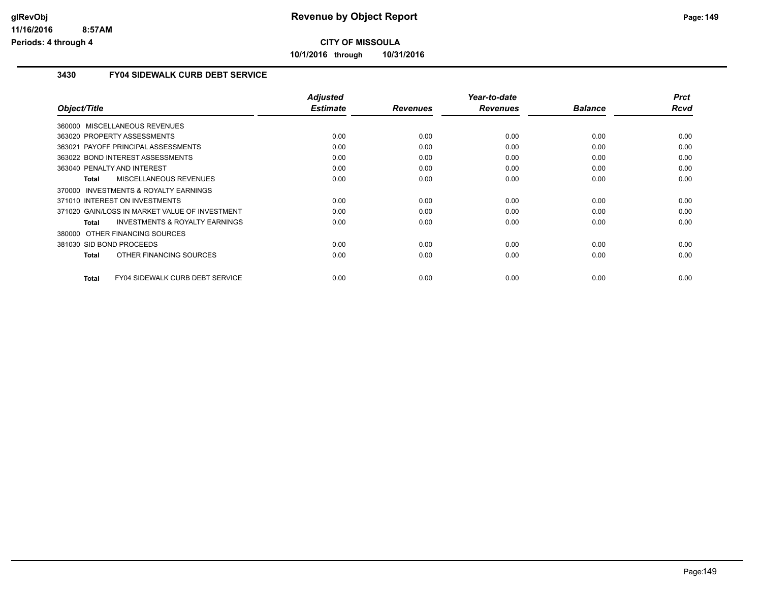**10/1/2016 through 10/31/2016**

# **3430 FY04 SIDEWALK CURB DEBT SERVICE**

| Object/Title                                       | <b>Adjusted</b><br><b>Estimate</b> | <b>Revenues</b> | Year-to-date<br><b>Revenues</b> | <b>Balance</b> | <b>Prct</b><br>Rcvd |
|----------------------------------------------------|------------------------------------|-----------------|---------------------------------|----------------|---------------------|
| 360000 MISCELLANEOUS REVENUES                      |                                    |                 |                                 |                |                     |
| 363020 PROPERTY ASSESSMENTS                        | 0.00                               | 0.00            | 0.00                            | 0.00           | 0.00                |
|                                                    |                                    |                 |                                 |                |                     |
| 363021 PAYOFF PRINCIPAL ASSESSMENTS                | 0.00                               | 0.00            | 0.00                            | 0.00           | 0.00                |
| 363022 BOND INTEREST ASSESSMENTS                   | 0.00                               | 0.00            | 0.00                            | 0.00           | 0.00                |
| 363040 PENALTY AND INTEREST                        | 0.00                               | 0.00            | 0.00                            | 0.00           | 0.00                |
| MISCELLANEOUS REVENUES<br>Total                    | 0.00                               | 0.00            | 0.00                            | 0.00           | 0.00                |
| 370000 INVESTMENTS & ROYALTY EARNINGS              |                                    |                 |                                 |                |                     |
| 371010 INTEREST ON INVESTMENTS                     | 0.00                               | 0.00            | 0.00                            | 0.00           | 0.00                |
| 371020 GAIN/LOSS IN MARKET VALUE OF INVESTMENT     | 0.00                               | 0.00            | 0.00                            | 0.00           | 0.00                |
| <b>INVESTMENTS &amp; ROYALTY EARNINGS</b><br>Total | 0.00                               | 0.00            | 0.00                            | 0.00           | 0.00                |
| 380000 OTHER FINANCING SOURCES                     |                                    |                 |                                 |                |                     |
| 381030 SID BOND PROCEEDS                           | 0.00                               | 0.00            | 0.00                            | 0.00           | 0.00                |
| OTHER FINANCING SOURCES<br>Total                   | 0.00                               | 0.00            | 0.00                            | 0.00           | 0.00                |
|                                                    |                                    |                 |                                 |                |                     |
| FY04 SIDEWALK CURB DEBT SERVICE<br>Total           | 0.00                               | 0.00            | 0.00                            | 0.00           | 0.00                |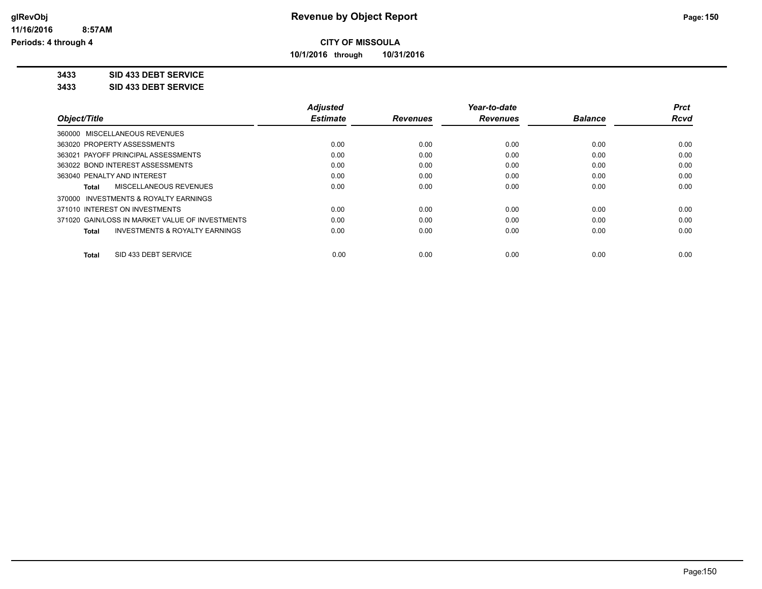**10/1/2016 through 10/31/2016**

### **3433 SID 433 DEBT SERVICE**

**3433 SID 433 DEBT SERVICE**

|                                                           | <b>Adiusted</b> |                 | Year-to-date    |                | <b>Prct</b> |
|-----------------------------------------------------------|-----------------|-----------------|-----------------|----------------|-------------|
| Object/Title                                              | <b>Estimate</b> | <b>Revenues</b> | <b>Revenues</b> | <b>Balance</b> | Rcvd        |
| 360000 MISCELLANEOUS REVENUES                             |                 |                 |                 |                |             |
| 363020 PROPERTY ASSESSMENTS                               | 0.00            | 0.00            | 0.00            | 0.00           | 0.00        |
| 363021 PAYOFF PRINCIPAL ASSESSMENTS                       | 0.00            | 0.00            | 0.00            | 0.00           | 0.00        |
| 363022 BOND INTEREST ASSESSMENTS                          | 0.00            | 0.00            | 0.00            | 0.00           | 0.00        |
| 363040 PENALTY AND INTEREST                               | 0.00            | 0.00            | 0.00            | 0.00           | 0.00        |
| MISCELLANEOUS REVENUES<br>Total                           | 0.00            | 0.00            | 0.00            | 0.00           | 0.00        |
| 370000 INVESTMENTS & ROYALTY EARNINGS                     |                 |                 |                 |                |             |
| 371010 INTEREST ON INVESTMENTS                            | 0.00            | 0.00            | 0.00            | 0.00           | 0.00        |
| 371020 GAIN/LOSS IN MARKET VALUE OF INVESTMENTS           | 0.00            | 0.00            | 0.00            | 0.00           | 0.00        |
| <b>INVESTMENTS &amp; ROYALTY EARNINGS</b><br><b>Total</b> | 0.00            | 0.00            | 0.00            | 0.00           | 0.00        |
| SID 433 DEBT SERVICE<br>Total                             | 0.00            | 0.00            | 0.00            | 0.00           | 0.00        |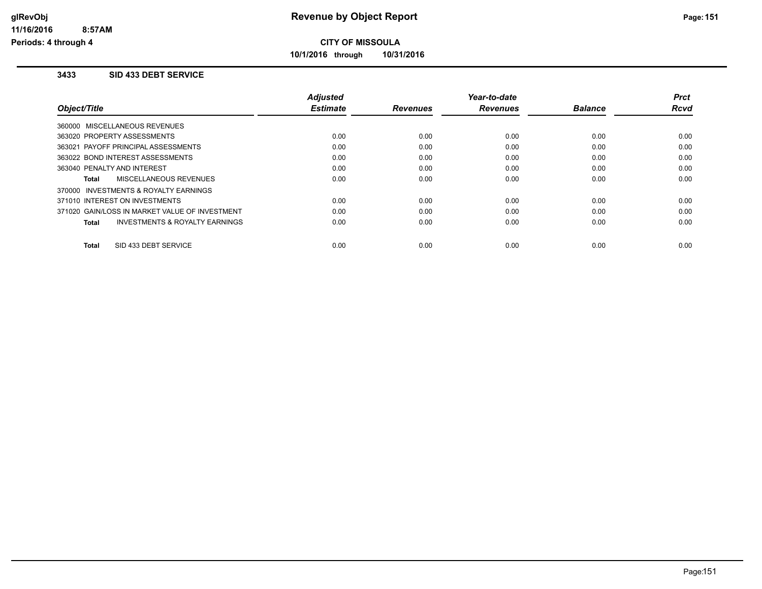**10/1/2016 through 10/31/2016**

### **3433 SID 433 DEBT SERVICE**

|                                                           | <b>Adjusted</b> |                 | Year-to-date    |                | <b>Prct</b> |
|-----------------------------------------------------------|-----------------|-----------------|-----------------|----------------|-------------|
| Object/Title                                              | <b>Estimate</b> | <b>Revenues</b> | <b>Revenues</b> | <b>Balance</b> | <b>Rcvd</b> |
| 360000 MISCELLANEOUS REVENUES                             |                 |                 |                 |                |             |
| 363020 PROPERTY ASSESSMENTS                               | 0.00            | 0.00            | 0.00            | 0.00           | 0.00        |
| 363021 PAYOFF PRINCIPAL ASSESSMENTS                       | 0.00            | 0.00            | 0.00            | 0.00           | 0.00        |
| 363022 BOND INTEREST ASSESSMENTS                          | 0.00            | 0.00            | 0.00            | 0.00           | 0.00        |
| 363040 PENALTY AND INTEREST                               | 0.00            | 0.00            | 0.00            | 0.00           | 0.00        |
| MISCELLANEOUS REVENUES<br><b>Total</b>                    | 0.00            | 0.00            | 0.00            | 0.00           | 0.00        |
| INVESTMENTS & ROYALTY EARNINGS<br>370000                  |                 |                 |                 |                |             |
| 371010 INTEREST ON INVESTMENTS                            | 0.00            | 0.00            | 0.00            | 0.00           | 0.00        |
| 371020 GAIN/LOSS IN MARKET VALUE OF INVESTMENT            | 0.00            | 0.00            | 0.00            | 0.00           | 0.00        |
| <b>INVESTMENTS &amp; ROYALTY EARNINGS</b><br><b>Total</b> | 0.00            | 0.00            | 0.00            | 0.00           | 0.00        |
|                                                           |                 |                 |                 |                |             |
| SID 433 DEBT SERVICE<br><b>Total</b>                      | 0.00            | 0.00            | 0.00            | 0.00           | 0.00        |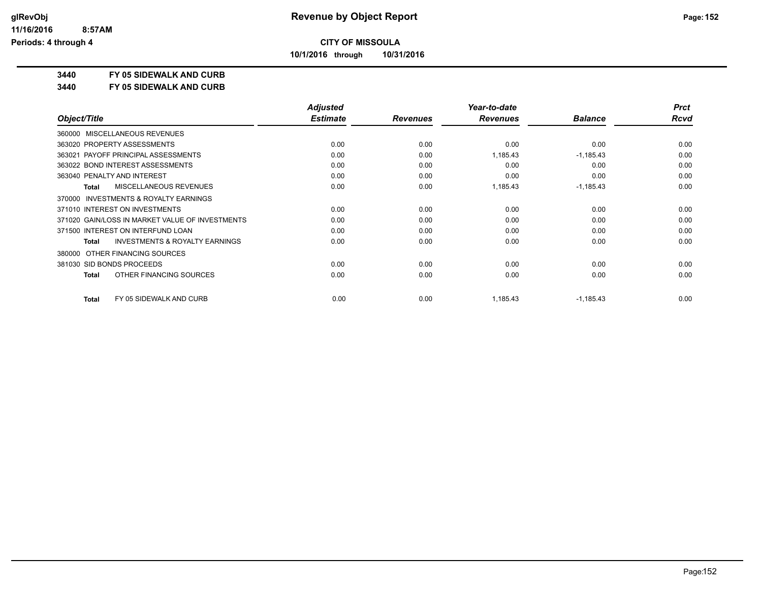**10/1/2016 through 10/31/2016**

### **3440 FY 05 SIDEWALK AND CURB**

**3440 FY 05 SIDEWALK AND CURB**

|                                                           | <b>Adjusted</b> |                 | Year-to-date    |                | <b>Prct</b> |
|-----------------------------------------------------------|-----------------|-----------------|-----------------|----------------|-------------|
| Object/Title                                              | <b>Estimate</b> | <b>Revenues</b> | <b>Revenues</b> | <b>Balance</b> | Rcvd        |
| 360000 MISCELLANEOUS REVENUES                             |                 |                 |                 |                |             |
| 363020 PROPERTY ASSESSMENTS                               | 0.00            | 0.00            | 0.00            | 0.00           | 0.00        |
| 363021 PAYOFF PRINCIPAL ASSESSMENTS                       | 0.00            | 0.00            | 1,185.43        | $-1,185.43$    | 0.00        |
| 363022 BOND INTEREST ASSESSMENTS                          | 0.00            | 0.00            | 0.00            | 0.00           | 0.00        |
| 363040 PENALTY AND INTEREST                               | 0.00            | 0.00            | 0.00            | 0.00           | 0.00        |
| MISCELLANEOUS REVENUES<br><b>Total</b>                    | 0.00            | 0.00            | 1,185.43        | $-1,185.43$    | 0.00        |
| <b>INVESTMENTS &amp; ROYALTY EARNINGS</b><br>370000       |                 |                 |                 |                |             |
| 371010 INTEREST ON INVESTMENTS                            | 0.00            | 0.00            | 0.00            | 0.00           | 0.00        |
| 371020 GAIN/LOSS IN MARKET VALUE OF INVESTMENTS           | 0.00            | 0.00            | 0.00            | 0.00           | 0.00        |
| 371500 INTEREST ON INTERFUND LOAN                         | 0.00            | 0.00            | 0.00            | 0.00           | 0.00        |
| <b>INVESTMENTS &amp; ROYALTY EARNINGS</b><br><b>Total</b> | 0.00            | 0.00            | 0.00            | 0.00           | 0.00        |
| OTHER FINANCING SOURCES<br>380000                         |                 |                 |                 |                |             |
| 381030 SID BONDS PROCEEDS                                 | 0.00            | 0.00            | 0.00            | 0.00           | 0.00        |
| OTHER FINANCING SOURCES<br><b>Total</b>                   | 0.00            | 0.00            | 0.00            | 0.00           | 0.00        |
| FY 05 SIDEWALK AND CURB<br><b>Total</b>                   | 0.00            | 0.00            | 1,185.43        | $-1,185.43$    | 0.00        |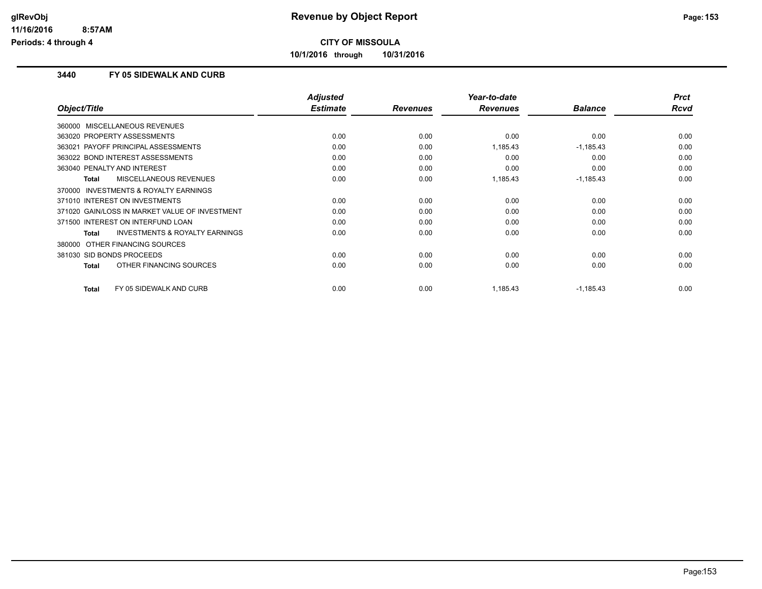**10/1/2016 through 10/31/2016**

## **3440 FY 05 SIDEWALK AND CURB**

|                                                           | <b>Adjusted</b> |                 | Year-to-date    |                | <b>Prct</b> |
|-----------------------------------------------------------|-----------------|-----------------|-----------------|----------------|-------------|
| Object/Title                                              | <b>Estimate</b> | <b>Revenues</b> | <b>Revenues</b> | <b>Balance</b> | Rcvd        |
| 360000 MISCELLANEOUS REVENUES                             |                 |                 |                 |                |             |
| 363020 PROPERTY ASSESSMENTS                               | 0.00            | 0.00            | 0.00            | 0.00           | 0.00        |
| 363021 PAYOFF PRINCIPAL ASSESSMENTS                       | 0.00            | 0.00            | 1,185.43        | $-1,185.43$    | 0.00        |
| 363022 BOND INTEREST ASSESSMENTS                          | 0.00            | 0.00            | 0.00            | 0.00           | 0.00        |
| 363040 PENALTY AND INTEREST                               | 0.00            | 0.00            | 0.00            | 0.00           | 0.00        |
| <b>MISCELLANEOUS REVENUES</b><br><b>Total</b>             | 0.00            | 0.00            | 1,185.43        | $-1,185.43$    | 0.00        |
| 370000 INVESTMENTS & ROYALTY EARNINGS                     |                 |                 |                 |                |             |
| 371010 INTEREST ON INVESTMENTS                            | 0.00            | 0.00            | 0.00            | 0.00           | 0.00        |
| 371020 GAIN/LOSS IN MARKET VALUE OF INVESTMENT            | 0.00            | 0.00            | 0.00            | 0.00           | 0.00        |
| 371500 INTEREST ON INTERFUND LOAN                         | 0.00            | 0.00            | 0.00            | 0.00           | 0.00        |
| <b>INVESTMENTS &amp; ROYALTY EARNINGS</b><br><b>Total</b> | 0.00            | 0.00            | 0.00            | 0.00           | 0.00        |
| OTHER FINANCING SOURCES<br>380000                         |                 |                 |                 |                |             |
| 381030 SID BONDS PROCEEDS                                 | 0.00            | 0.00            | 0.00            | 0.00           | 0.00        |
| OTHER FINANCING SOURCES<br><b>Total</b>                   | 0.00            | 0.00            | 0.00            | 0.00           | 0.00        |
| FY 05 SIDEWALK AND CURB<br><b>Total</b>                   | 0.00            | 0.00            | 1.185.43        | $-1,185.43$    | 0.00        |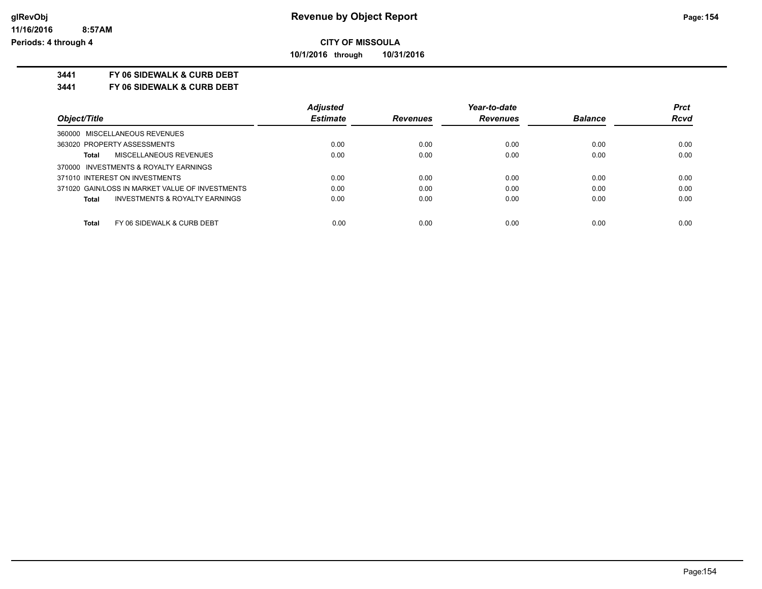**10/1/2016 through 10/31/2016**

# **3441 FY 06 SIDEWALK & CURB DEBT**

### **3441 FY 06 SIDEWALK & CURB DEBT**

|                                                 | <b>Adjusted</b> |                 | Year-to-date    |                | <b>Prct</b> |
|-------------------------------------------------|-----------------|-----------------|-----------------|----------------|-------------|
| Object/Title                                    | <b>Estimate</b> | <b>Revenues</b> | <b>Revenues</b> | <b>Balance</b> | <b>Rcvd</b> |
| 360000 MISCELLANEOUS REVENUES                   |                 |                 |                 |                |             |
| 363020 PROPERTY ASSESSMENTS                     | 0.00            | 0.00            | 0.00            | 0.00           | 0.00        |
| MISCELLANEOUS REVENUES<br>Total                 | 0.00            | 0.00            | 0.00            | 0.00           | 0.00        |
| 370000 INVESTMENTS & ROYALTY EARNINGS           |                 |                 |                 |                |             |
| 371010 INTEREST ON INVESTMENTS                  | 0.00            | 0.00            | 0.00            | 0.00           | 0.00        |
| 371020 GAIN/LOSS IN MARKET VALUE OF INVESTMENTS | 0.00            | 0.00            | 0.00            | 0.00           | 0.00        |
| INVESTMENTS & ROYALTY EARNINGS<br>Total         | 0.00            | 0.00            | 0.00            | 0.00           | 0.00        |
|                                                 |                 |                 |                 |                |             |
| FY 06 SIDEWALK & CURB DEBT<br><b>Total</b>      | 0.00            | 0.00            | 0.00            | 0.00           | 0.00        |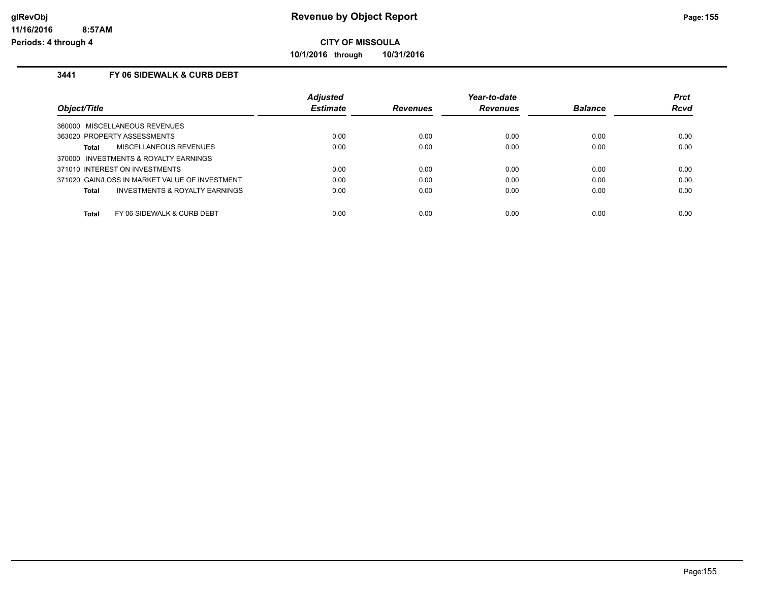**10/1/2016 through 10/31/2016**

# **3441 FY 06 SIDEWALK & CURB DEBT**

|                                                | <b>Adjusted</b> |                 | Year-to-date    |                | <b>Prct</b> |
|------------------------------------------------|-----------------|-----------------|-----------------|----------------|-------------|
| Object/Title                                   | <b>Estimate</b> | <b>Revenues</b> | <b>Revenues</b> | <b>Balance</b> | <b>Rcvd</b> |
| MISCELLANEOUS REVENUES<br>360000               |                 |                 |                 |                |             |
| 363020 PROPERTY ASSESSMENTS                    | 0.00            | 0.00            | 0.00            | 0.00           | 0.00        |
| MISCELLANEOUS REVENUES<br>Total                | 0.00            | 0.00            | 0.00            | 0.00           | 0.00        |
| 370000 INVESTMENTS & ROYALTY EARNINGS          |                 |                 |                 |                |             |
| 371010 INTEREST ON INVESTMENTS                 | 0.00            | 0.00            | 0.00            | 0.00           | 0.00        |
| 371020 GAIN/LOSS IN MARKET VALUE OF INVESTMENT | 0.00            | 0.00            | 0.00            | 0.00           | 0.00        |
| INVESTMENTS & ROYALTY EARNINGS<br><b>Total</b> | 0.00            | 0.00            | 0.00            | 0.00           | 0.00        |
| Total<br>FY 06 SIDEWALK & CURB DEBT            | 0.00            | 0.00            | 0.00            | 0.00           | 0.00        |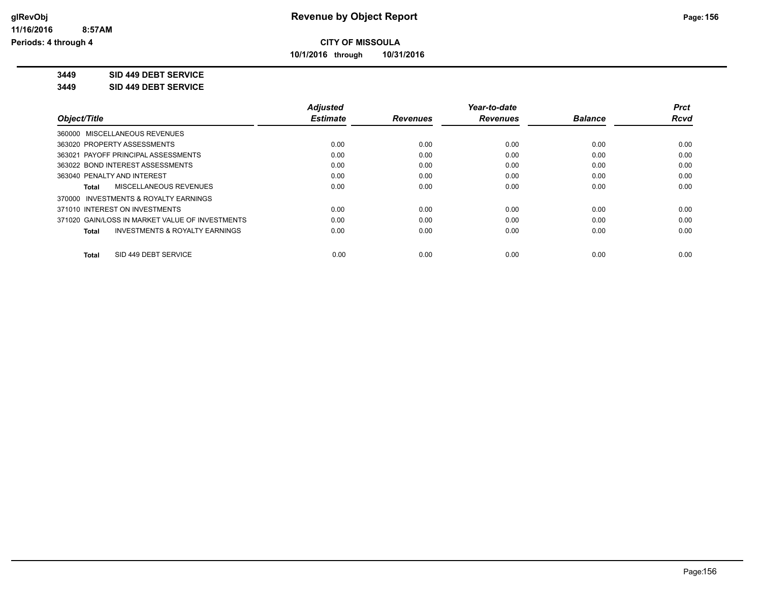**10/1/2016 through 10/31/2016**

### **3449 SID 449 DEBT SERVICE**

**3449 SID 449 DEBT SERVICE**

|                                                           | <b>Adjusted</b> |                 | Year-to-date    |                | Prct |
|-----------------------------------------------------------|-----------------|-----------------|-----------------|----------------|------|
| Object/Title                                              | <b>Estimate</b> | <b>Revenues</b> | <b>Revenues</b> | <b>Balance</b> | Rcvd |
| 360000 MISCELLANEOUS REVENUES                             |                 |                 |                 |                |      |
| 363020 PROPERTY ASSESSMENTS                               | 0.00            | 0.00            | 0.00            | 0.00           | 0.00 |
| 363021 PAYOFF PRINCIPAL ASSESSMENTS                       | 0.00            | 0.00            | 0.00            | 0.00           | 0.00 |
| 363022 BOND INTEREST ASSESSMENTS                          | 0.00            | 0.00            | 0.00            | 0.00           | 0.00 |
| 363040 PENALTY AND INTEREST                               | 0.00            | 0.00            | 0.00            | 0.00           | 0.00 |
| MISCELLANEOUS REVENUES<br>Total                           | 0.00            | 0.00            | 0.00            | 0.00           | 0.00 |
| INVESTMENTS & ROYALTY EARNINGS<br>370000                  |                 |                 |                 |                |      |
| 371010 INTEREST ON INVESTMENTS                            | 0.00            | 0.00            | 0.00            | 0.00           | 0.00 |
| 371020 GAIN/LOSS IN MARKET VALUE OF INVESTMENTS           | 0.00            | 0.00            | 0.00            | 0.00           | 0.00 |
| <b>INVESTMENTS &amp; ROYALTY EARNINGS</b><br><b>Total</b> | 0.00            | 0.00            | 0.00            | 0.00           | 0.00 |
| SID 449 DEBT SERVICE<br><b>Total</b>                      | 0.00            | 0.00            | 0.00            | 0.00           | 0.00 |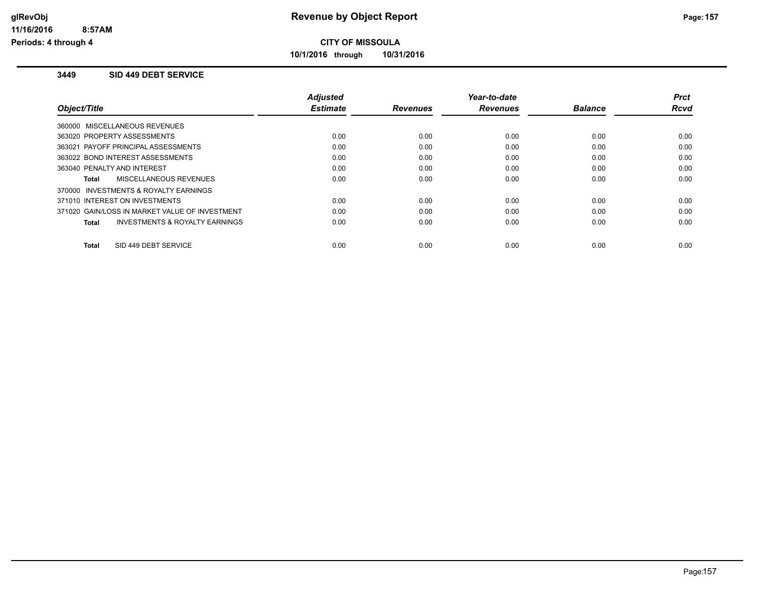**10/1/2016 through 10/31/2016**

### **3449 SID 449 DEBT SERVICE**

|                                                    | <b>Adjusted</b> |                 | Year-to-date    |                | <b>Prct</b> |
|----------------------------------------------------|-----------------|-----------------|-----------------|----------------|-------------|
| Object/Title                                       | <b>Estimate</b> | <b>Revenues</b> | <b>Revenues</b> | <b>Balance</b> | Rcvd        |
| 360000 MISCELLANEOUS REVENUES                      |                 |                 |                 |                |             |
| 363020 PROPERTY ASSESSMENTS                        | 0.00            | 0.00            | 0.00            | 0.00           | 0.00        |
| 363021 PAYOFF PRINCIPAL ASSESSMENTS                | 0.00            | 0.00            | 0.00            | 0.00           | 0.00        |
| 363022 BOND INTEREST ASSESSMENTS                   | 0.00            | 0.00            | 0.00            | 0.00           | 0.00        |
| 363040 PENALTY AND INTEREST                        | 0.00            | 0.00            | 0.00            | 0.00           | 0.00        |
| <b>MISCELLANEOUS REVENUES</b><br>Total             | 0.00            | 0.00            | 0.00            | 0.00           | 0.00        |
| 370000 INVESTMENTS & ROYALTY EARNINGS              |                 |                 |                 |                |             |
| 371010 INTEREST ON INVESTMENTS                     | 0.00            | 0.00            | 0.00            | 0.00           | 0.00        |
| 371020 GAIN/LOSS IN MARKET VALUE OF INVESTMENT     | 0.00            | 0.00            | 0.00            | 0.00           | 0.00        |
| <b>INVESTMENTS &amp; ROYALTY EARNINGS</b><br>Total | 0.00            | 0.00            | 0.00            | 0.00           | 0.00        |
|                                                    |                 |                 |                 |                |             |
| SID 449 DEBT SERVICE<br>Total                      | 0.00            | 0.00            | 0.00            | 0.00           | 0.00        |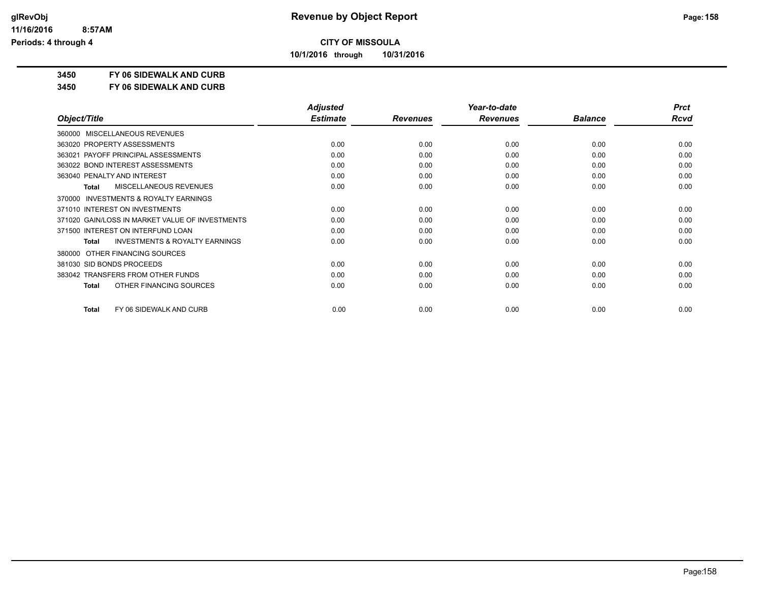**10/1/2016 through 10/31/2016**

**3450 FY 06 SIDEWALK AND CURB**

**3450 FY 06 SIDEWALK AND CURB**

|                                                           | <b>Adjusted</b> |                 | Year-to-date    |                | <b>Prct</b> |
|-----------------------------------------------------------|-----------------|-----------------|-----------------|----------------|-------------|
| Object/Title                                              | <b>Estimate</b> | <b>Revenues</b> | <b>Revenues</b> | <b>Balance</b> | <b>Rcvd</b> |
| 360000 MISCELLANEOUS REVENUES                             |                 |                 |                 |                |             |
| 363020 PROPERTY ASSESSMENTS                               | 0.00            | 0.00            | 0.00            | 0.00           | 0.00        |
| 363021 PAYOFF PRINCIPAL ASSESSMENTS                       | 0.00            | 0.00            | 0.00            | 0.00           | 0.00        |
| 363022 BOND INTEREST ASSESSMENTS                          | 0.00            | 0.00            | 0.00            | 0.00           | 0.00        |
| 363040 PENALTY AND INTEREST                               | 0.00            | 0.00            | 0.00            | 0.00           | 0.00        |
| MISCELLANEOUS REVENUES<br><b>Total</b>                    | 0.00            | 0.00            | 0.00            | 0.00           | 0.00        |
| <b>INVESTMENTS &amp; ROYALTY EARNINGS</b><br>370000       |                 |                 |                 |                |             |
| 371010 INTEREST ON INVESTMENTS                            | 0.00            | 0.00            | 0.00            | 0.00           | 0.00        |
| 371020 GAIN/LOSS IN MARKET VALUE OF INVESTMENTS           | 0.00            | 0.00            | 0.00            | 0.00           | 0.00        |
| 371500 INTEREST ON INTERFUND LOAN                         | 0.00            | 0.00            | 0.00            | 0.00           | 0.00        |
| <b>INVESTMENTS &amp; ROYALTY EARNINGS</b><br><b>Total</b> | 0.00            | 0.00            | 0.00            | 0.00           | 0.00        |
| OTHER FINANCING SOURCES<br>380000                         |                 |                 |                 |                |             |
| 381030 SID BONDS PROCEEDS                                 | 0.00            | 0.00            | 0.00            | 0.00           | 0.00        |
| 383042 TRANSFERS FROM OTHER FUNDS                         | 0.00            | 0.00            | 0.00            | 0.00           | 0.00        |
| OTHER FINANCING SOURCES<br><b>Total</b>                   | 0.00            | 0.00            | 0.00            | 0.00           | 0.00        |
| FY 06 SIDEWALK AND CURB<br><b>Total</b>                   | 0.00            | 0.00            | 0.00            | 0.00           | 0.00        |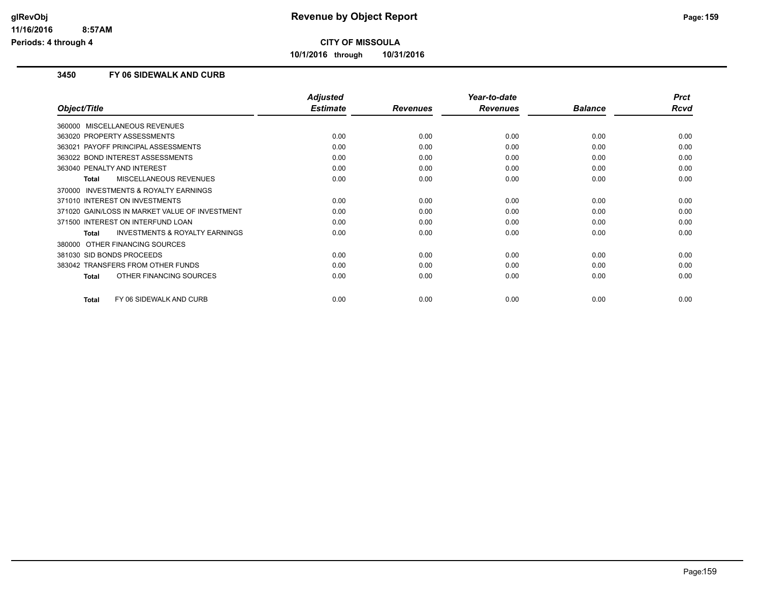**10/1/2016 through 10/31/2016**

## **3450 FY 06 SIDEWALK AND CURB**

|                                                     | <b>Adjusted</b> |                 | Year-to-date    |                | <b>Prct</b> |
|-----------------------------------------------------|-----------------|-----------------|-----------------|----------------|-------------|
| Object/Title                                        | <b>Estimate</b> | <b>Revenues</b> | <b>Revenues</b> | <b>Balance</b> | Rcvd        |
| MISCELLANEOUS REVENUES<br>360000                    |                 |                 |                 |                |             |
| 363020 PROPERTY ASSESSMENTS                         | 0.00            | 0.00            | 0.00            | 0.00           | 0.00        |
| 363021 PAYOFF PRINCIPAL ASSESSMENTS                 | 0.00            | 0.00            | 0.00            | 0.00           | 0.00        |
| 363022 BOND INTEREST ASSESSMENTS                    | 0.00            | 0.00            | 0.00            | 0.00           | 0.00        |
| 363040 PENALTY AND INTEREST                         | 0.00            | 0.00            | 0.00            | 0.00           | 0.00        |
| MISCELLANEOUS REVENUES<br><b>Total</b>              | 0.00            | 0.00            | 0.00            | 0.00           | 0.00        |
| <b>INVESTMENTS &amp; ROYALTY EARNINGS</b><br>370000 |                 |                 |                 |                |             |
| 371010 INTEREST ON INVESTMENTS                      | 0.00            | 0.00            | 0.00            | 0.00           | 0.00        |
| 371020 GAIN/LOSS IN MARKET VALUE OF INVESTMENT      | 0.00            | 0.00            | 0.00            | 0.00           | 0.00        |
| 371500 INTEREST ON INTERFUND LOAN                   | 0.00            | 0.00            | 0.00            | 0.00           | 0.00        |
| <b>INVESTMENTS &amp; ROYALTY EARNINGS</b><br>Total  | 0.00            | 0.00            | 0.00            | 0.00           | 0.00        |
| OTHER FINANCING SOURCES<br>380000                   |                 |                 |                 |                |             |
| 381030 SID BONDS PROCEEDS                           | 0.00            | 0.00            | 0.00            | 0.00           | 0.00        |
| 383042 TRANSFERS FROM OTHER FUNDS                   | 0.00            | 0.00            | 0.00            | 0.00           | 0.00        |
| OTHER FINANCING SOURCES<br><b>Total</b>             | 0.00            | 0.00            | 0.00            | 0.00           | 0.00        |
|                                                     |                 |                 |                 |                |             |
| FY 06 SIDEWALK AND CURB<br>Total                    | 0.00            | 0.00            | 0.00            | 0.00           | 0.00        |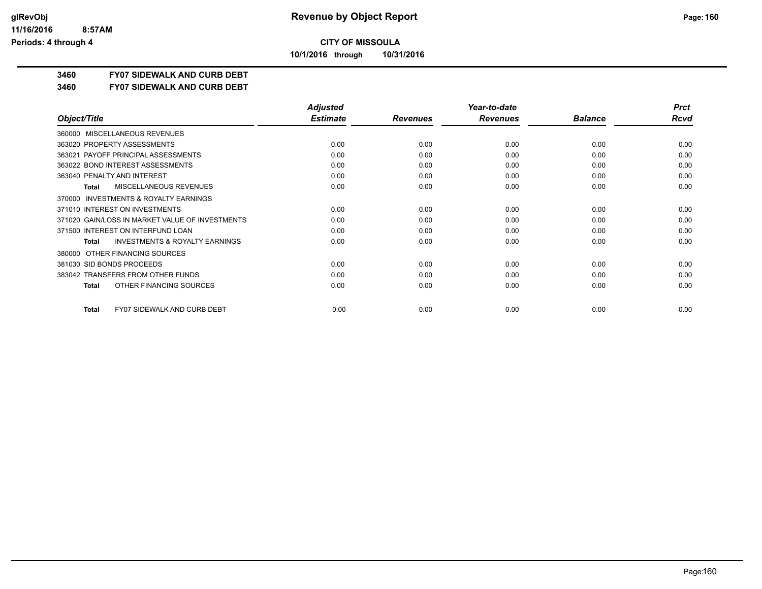**10/1/2016 through 10/31/2016**

**3460 FY07 SIDEWALK AND CURB DEBT**

### **3460 FY07 SIDEWALK AND CURB DEBT**

|                                                     | <b>Adjusted</b> |                 | Year-to-date    |                | <b>Prct</b> |
|-----------------------------------------------------|-----------------|-----------------|-----------------|----------------|-------------|
| Object/Title                                        | <b>Estimate</b> | <b>Revenues</b> | <b>Revenues</b> | <b>Balance</b> | Rcvd        |
| MISCELLANEOUS REVENUES<br>360000                    |                 |                 |                 |                |             |
| 363020 PROPERTY ASSESSMENTS                         | 0.00            | 0.00            | 0.00            | 0.00           | 0.00        |
| 363021 PAYOFF PRINCIPAL ASSESSMENTS                 | 0.00            | 0.00            | 0.00            | 0.00           | 0.00        |
| 363022 BOND INTEREST ASSESSMENTS                    | 0.00            | 0.00            | 0.00            | 0.00           | 0.00        |
| 363040 PENALTY AND INTEREST                         | 0.00            | 0.00            | 0.00            | 0.00           | 0.00        |
| MISCELLANEOUS REVENUES<br>Total                     | 0.00            | 0.00            | 0.00            | 0.00           | 0.00        |
| <b>INVESTMENTS &amp; ROYALTY EARNINGS</b><br>370000 |                 |                 |                 |                |             |
| 371010 INTEREST ON INVESTMENTS                      | 0.00            | 0.00            | 0.00            | 0.00           | 0.00        |
| 371020 GAIN/LOSS IN MARKET VALUE OF INVESTMENTS     | 0.00            | 0.00            | 0.00            | 0.00           | 0.00        |
| 371500 INTEREST ON INTERFUND LOAN                   | 0.00            | 0.00            | 0.00            | 0.00           | 0.00        |
| <b>INVESTMENTS &amp; ROYALTY EARNINGS</b><br>Total  | 0.00            | 0.00            | 0.00            | 0.00           | 0.00        |
| OTHER FINANCING SOURCES<br>380000                   |                 |                 |                 |                |             |
| 381030 SID BONDS PROCEEDS                           | 0.00            | 0.00            | 0.00            | 0.00           | 0.00        |
| 383042 TRANSFERS FROM OTHER FUNDS                   | 0.00            | 0.00            | 0.00            | 0.00           | 0.00        |
| OTHER FINANCING SOURCES<br>Total                    | 0.00            | 0.00            | 0.00            | 0.00           | 0.00        |
|                                                     |                 |                 |                 |                |             |
| <b>FY07 SIDEWALK AND CURB DEBT</b><br><b>Total</b>  | 0.00            | 0.00            | 0.00            | 0.00           | 0.00        |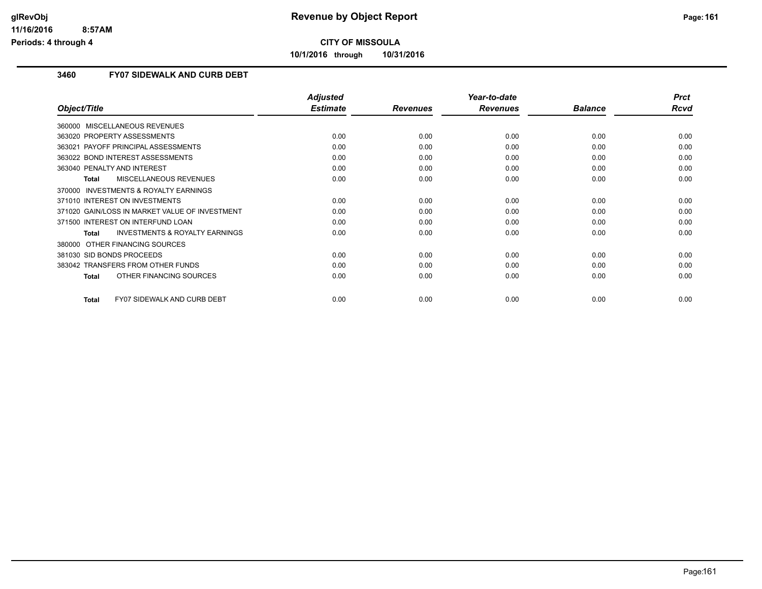**10/1/2016 through 10/31/2016**

# **3460 FY07 SIDEWALK AND CURB DEBT**

|                                                           | <b>Adjusted</b> |                 | Year-to-date    |                | <b>Prct</b> |
|-----------------------------------------------------------|-----------------|-----------------|-----------------|----------------|-------------|
| Object/Title                                              | <b>Estimate</b> | <b>Revenues</b> | <b>Revenues</b> | <b>Balance</b> | Rcvd        |
| 360000 MISCELLANEOUS REVENUES                             |                 |                 |                 |                |             |
| 363020 PROPERTY ASSESSMENTS                               | 0.00            | 0.00            | 0.00            | 0.00           | 0.00        |
| PAYOFF PRINCIPAL ASSESSMENTS<br>363021                    | 0.00            | 0.00            | 0.00            | 0.00           | 0.00        |
| 363022 BOND INTEREST ASSESSMENTS                          | 0.00            | 0.00            | 0.00            | 0.00           | 0.00        |
| 363040 PENALTY AND INTEREST                               | 0.00            | 0.00            | 0.00            | 0.00           | 0.00        |
| <b>MISCELLANEOUS REVENUES</b><br>Total                    | 0.00            | 0.00            | 0.00            | 0.00           | 0.00        |
| 370000 INVESTMENTS & ROYALTY EARNINGS                     |                 |                 |                 |                |             |
| 371010 INTEREST ON INVESTMENTS                            | 0.00            | 0.00            | 0.00            | 0.00           | 0.00        |
| 371020 GAIN/LOSS IN MARKET VALUE OF INVESTMENT            | 0.00            | 0.00            | 0.00            | 0.00           | 0.00        |
| 371500 INTEREST ON INTERFUND LOAN                         | 0.00            | 0.00            | 0.00            | 0.00           | 0.00        |
| <b>INVESTMENTS &amp; ROYALTY EARNINGS</b><br><b>Total</b> | 0.00            | 0.00            | 0.00            | 0.00           | 0.00        |
| 380000 OTHER FINANCING SOURCES                            |                 |                 |                 |                |             |
| 381030 SID BONDS PROCEEDS                                 | 0.00            | 0.00            | 0.00            | 0.00           | 0.00        |
| 383042 TRANSFERS FROM OTHER FUNDS                         | 0.00            | 0.00            | 0.00            | 0.00           | 0.00        |
| OTHER FINANCING SOURCES<br><b>Total</b>                   | 0.00            | 0.00            | 0.00            | 0.00           | 0.00        |
|                                                           |                 |                 |                 |                |             |
| FY07 SIDEWALK AND CURB DEBT<br><b>Total</b>               | 0.00            | 0.00            | 0.00            | 0.00           | 0.00        |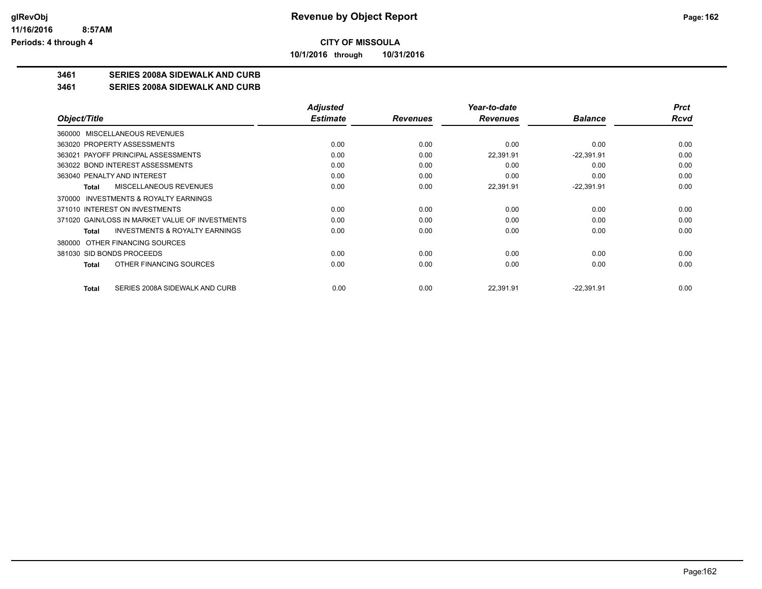**10/1/2016 through 10/31/2016**

# **3461 SERIES 2008A SIDEWALK AND CURB**

## **3461 SERIES 2008A SIDEWALK AND CURB**

| <b>Adjusted</b> |                 | Year-to-date    |                | <b>Prct</b>  |
|-----------------|-----------------|-----------------|----------------|--------------|
| <b>Estimate</b> | <b>Revenues</b> | <b>Revenues</b> | <b>Balance</b> | Rcvd         |
|                 |                 |                 |                |              |
| 0.00            | 0.00            | 0.00            | 0.00           | 0.00         |
| 0.00            | 0.00            | 22,391.91       | $-22,391.91$   | 0.00         |
| 0.00            | 0.00            | 0.00            | 0.00           | 0.00         |
| 0.00            | 0.00            | 0.00            | 0.00           | 0.00         |
| 0.00            | 0.00            | 22,391.91       | $-22,391.91$   | 0.00         |
|                 |                 |                 |                |              |
| 0.00            | 0.00            | 0.00            | 0.00           | 0.00         |
| 0.00            | 0.00            | 0.00            | 0.00           | 0.00         |
| 0.00            | 0.00            | 0.00            | 0.00           | 0.00         |
|                 |                 |                 |                |              |
| 0.00            | 0.00            | 0.00            | 0.00           | 0.00         |
| 0.00            | 0.00            | 0.00            | 0.00           | 0.00         |
|                 |                 |                 |                | 0.00         |
|                 | 0.00            | 0.00            | 22.391.91      | $-22,391.91$ |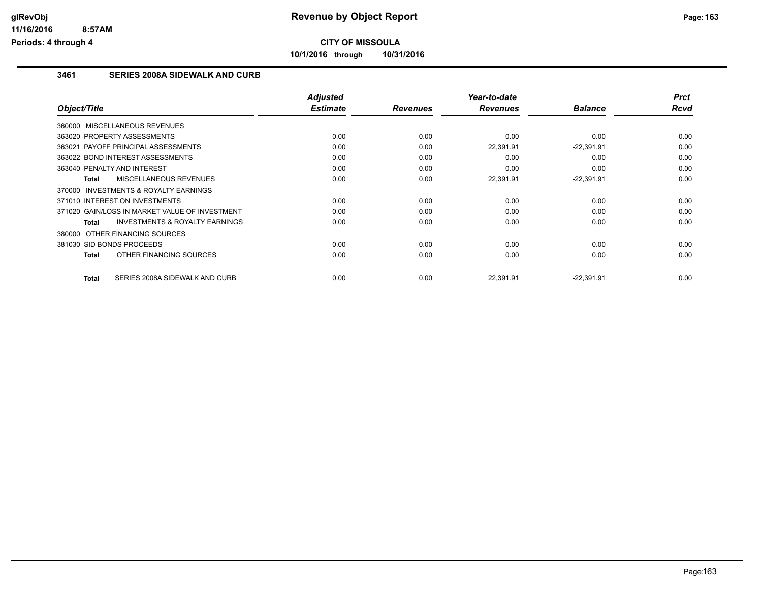**10/1/2016 through 10/31/2016**

# **3461 SERIES 2008A SIDEWALK AND CURB**

| Object/Title                                       | <b>Adjusted</b><br><b>Estimate</b> | <b>Revenues</b> | Year-to-date<br><b>Revenues</b> | <b>Balance</b> | <b>Prct</b><br><b>Rcvd</b> |
|----------------------------------------------------|------------------------------------|-----------------|---------------------------------|----------------|----------------------------|
|                                                    |                                    |                 |                                 |                |                            |
| 360000 MISCELLANEOUS REVENUES                      |                                    |                 |                                 |                |                            |
| 363020 PROPERTY ASSESSMENTS                        | 0.00                               | 0.00            | 0.00                            | 0.00           | 0.00                       |
| 363021 PAYOFF PRINCIPAL ASSESSMENTS                | 0.00                               | 0.00            | 22,391.91                       | $-22,391.91$   | 0.00                       |
| 363022 BOND INTEREST ASSESSMENTS                   | 0.00                               | 0.00            | 0.00                            | 0.00           | 0.00                       |
| 363040 PENALTY AND INTEREST                        | 0.00                               | 0.00            | 0.00                            | 0.00           | 0.00                       |
| MISCELLANEOUS REVENUES<br>Total                    | 0.00                               | 0.00            | 22,391.91                       | $-22,391.91$   | 0.00                       |
| 370000 INVESTMENTS & ROYALTY EARNINGS              |                                    |                 |                                 |                |                            |
| 371010 INTEREST ON INVESTMENTS                     | 0.00                               | 0.00            | 0.00                            | 0.00           | 0.00                       |
| 371020 GAIN/LOSS IN MARKET VALUE OF INVESTMENT     | 0.00                               | 0.00            | 0.00                            | 0.00           | 0.00                       |
| <b>INVESTMENTS &amp; ROYALTY EARNINGS</b><br>Total | 0.00                               | 0.00            | 0.00                            | 0.00           | 0.00                       |
| 380000 OTHER FINANCING SOURCES                     |                                    |                 |                                 |                |                            |
| 381030 SID BONDS PROCEEDS                          | 0.00                               | 0.00            | 0.00                            | 0.00           | 0.00                       |
| OTHER FINANCING SOURCES<br>Total                   | 0.00                               | 0.00            | 0.00                            | 0.00           | 0.00                       |
|                                                    |                                    |                 |                                 |                |                            |
| SERIES 2008A SIDEWALK AND CURB<br>Total            | 0.00                               | 0.00            | 22.391.91                       | $-22.391.91$   | 0.00                       |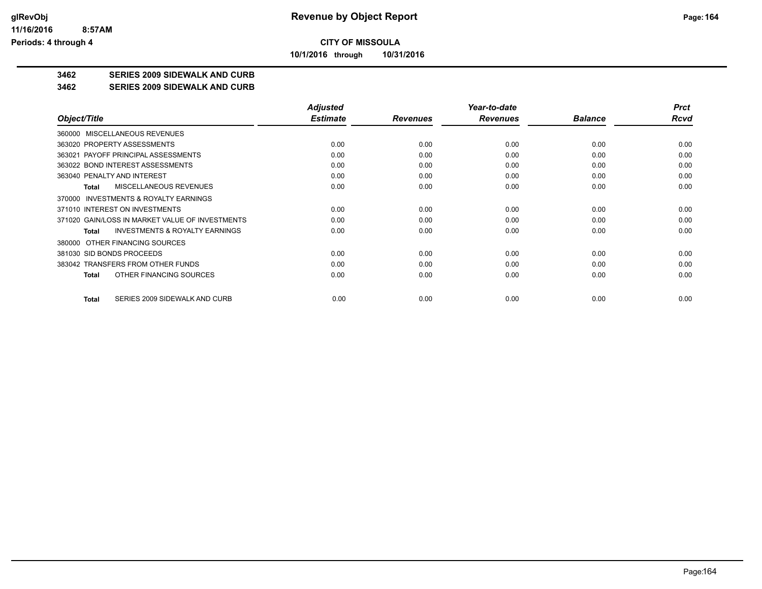**10/1/2016 through 10/31/2016**

# **3462 SERIES 2009 SIDEWALK AND CURB**

### **3462 SERIES 2009 SIDEWALK AND CURB**

| <b>Balance</b> | Rcvd                                                                                                                    |
|----------------|-------------------------------------------------------------------------------------------------------------------------|
|                |                                                                                                                         |
| 0.00           | 0.00                                                                                                                    |
| 0.00           | 0.00                                                                                                                    |
| 0.00           | 0.00                                                                                                                    |
| 0.00           | 0.00                                                                                                                    |
| 0.00           | 0.00                                                                                                                    |
|                |                                                                                                                         |
| 0.00           | 0.00                                                                                                                    |
| 0.00           | 0.00                                                                                                                    |
| 0.00           | 0.00                                                                                                                    |
|                |                                                                                                                         |
| 0.00           | 0.00                                                                                                                    |
| 0.00           | 0.00                                                                                                                    |
| 0.00           | 0.00                                                                                                                    |
|                | 0.00                                                                                                                    |
|                | <b>Revenues</b><br>0.00<br>0.00<br>0.00<br>0.00<br>0.00<br>0.00<br>0.00<br>0.00<br>0.00<br>0.00<br>0.00<br>0.00<br>0.00 |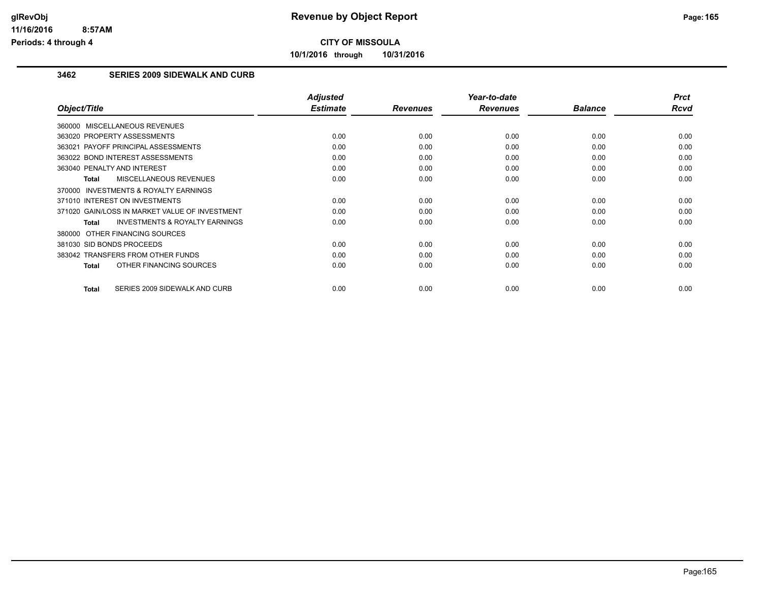**10/1/2016 through 10/31/2016**

## **3462 SERIES 2009 SIDEWALK AND CURB**

| Object/Title                                              | <b>Adjusted</b><br><b>Estimate</b> | <b>Revenues</b> | Year-to-date<br><b>Revenues</b> | <b>Balance</b> | <b>Prct</b><br>Rcvd |
|-----------------------------------------------------------|------------------------------------|-----------------|---------------------------------|----------------|---------------------|
|                                                           |                                    |                 |                                 |                |                     |
| 360000 MISCELLANEOUS REVENUES                             |                                    |                 |                                 |                |                     |
| 363020 PROPERTY ASSESSMENTS                               | 0.00                               | 0.00            | 0.00                            | 0.00           | 0.00                |
| 363021 PAYOFF PRINCIPAL ASSESSMENTS                       | 0.00                               | 0.00            | 0.00                            | 0.00           | 0.00                |
| 363022 BOND INTEREST ASSESSMENTS                          | 0.00                               | 0.00            | 0.00                            | 0.00           | 0.00                |
| 363040 PENALTY AND INTEREST                               | 0.00                               | 0.00            | 0.00                            | 0.00           | 0.00                |
| <b>MISCELLANEOUS REVENUES</b><br><b>Total</b>             | 0.00                               | 0.00            | 0.00                            | 0.00           | 0.00                |
| <b>INVESTMENTS &amp; ROYALTY EARNINGS</b><br>370000       |                                    |                 |                                 |                |                     |
| 371010 INTEREST ON INVESTMENTS                            | 0.00                               | 0.00            | 0.00                            | 0.00           | 0.00                |
| 371020 GAIN/LOSS IN MARKET VALUE OF INVESTMENT            | 0.00                               | 0.00            | 0.00                            | 0.00           | 0.00                |
| <b>INVESTMENTS &amp; ROYALTY EARNINGS</b><br><b>Total</b> | 0.00                               | 0.00            | 0.00                            | 0.00           | 0.00                |
| 380000 OTHER FINANCING SOURCES                            |                                    |                 |                                 |                |                     |
| 381030 SID BONDS PROCEEDS                                 | 0.00                               | 0.00            | 0.00                            | 0.00           | 0.00                |
| 383042 TRANSFERS FROM OTHER FUNDS                         | 0.00                               | 0.00            | 0.00                            | 0.00           | 0.00                |
| OTHER FINANCING SOURCES<br><b>Total</b>                   | 0.00                               | 0.00            | 0.00                            | 0.00           | 0.00                |
|                                                           |                                    |                 |                                 |                |                     |
| SERIES 2009 SIDEWALK AND CURB<br><b>Total</b>             | 0.00                               | 0.00            | 0.00                            | 0.00           | 0.00                |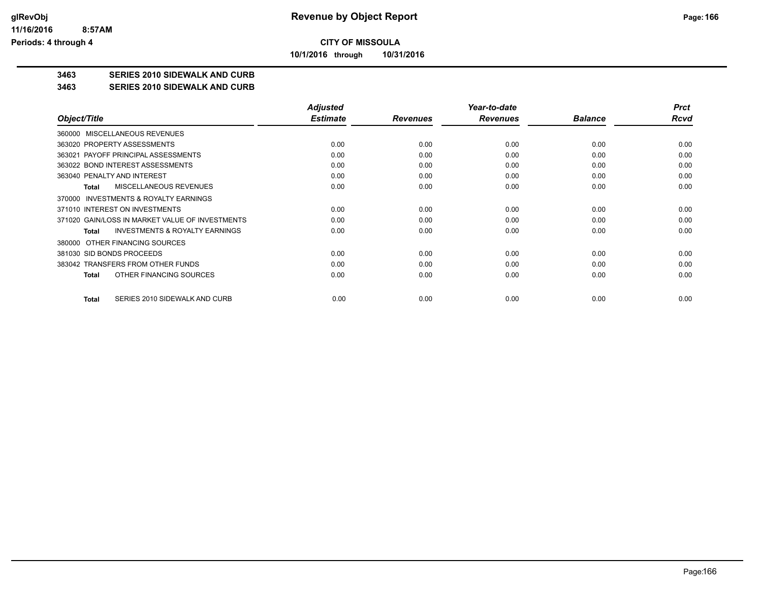**10/1/2016 through 10/31/2016**

# **3463 SERIES 2010 SIDEWALK AND CURB**

### **3463 SERIES 2010 SIDEWALK AND CURB**

|                                                    | <b>Adjusted</b> |                 | Year-to-date    |                | <b>Prct</b> |
|----------------------------------------------------|-----------------|-----------------|-----------------|----------------|-------------|
| Object/Title                                       | <b>Estimate</b> | <b>Revenues</b> | <b>Revenues</b> | <b>Balance</b> | Rcvd        |
| 360000 MISCELLANEOUS REVENUES                      |                 |                 |                 |                |             |
| 363020 PROPERTY ASSESSMENTS                        | 0.00            | 0.00            | 0.00            | 0.00           | 0.00        |
| 363021 PAYOFF PRINCIPAL ASSESSMENTS                | 0.00            | 0.00            | 0.00            | 0.00           | 0.00        |
| 363022 BOND INTEREST ASSESSMENTS                   | 0.00            | 0.00            | 0.00            | 0.00           | 0.00        |
| 363040 PENALTY AND INTEREST                        | 0.00            | 0.00            | 0.00            | 0.00           | 0.00        |
| <b>MISCELLANEOUS REVENUES</b><br>Total             | 0.00            | 0.00            | 0.00            | 0.00           | 0.00        |
| INVESTMENTS & ROYALTY EARNINGS<br>370000           |                 |                 |                 |                |             |
| 371010 INTEREST ON INVESTMENTS                     | 0.00            | 0.00            | 0.00            | 0.00           | 0.00        |
| 371020 GAIN/LOSS IN MARKET VALUE OF INVESTMENTS    | 0.00            | 0.00            | 0.00            | 0.00           | 0.00        |
| <b>INVESTMENTS &amp; ROYALTY EARNINGS</b><br>Total | 0.00            | 0.00            | 0.00            | 0.00           | 0.00        |
| 380000 OTHER FINANCING SOURCES                     |                 |                 |                 |                |             |
| 381030 SID BONDS PROCEEDS                          | 0.00            | 0.00            | 0.00            | 0.00           | 0.00        |
| 383042 TRANSFERS FROM OTHER FUNDS                  | 0.00            | 0.00            | 0.00            | 0.00           | 0.00        |
| OTHER FINANCING SOURCES<br>Total                   | 0.00            | 0.00            | 0.00            | 0.00           | 0.00        |
| SERIES 2010 SIDEWALK AND CURB<br>Total             | 0.00            | 0.00            | 0.00            | 0.00           | 0.00        |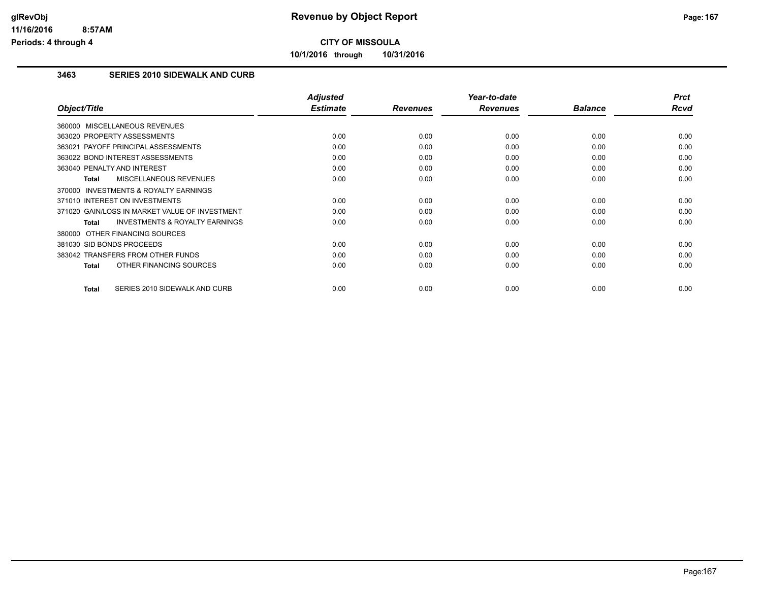**10/1/2016 through 10/31/2016**

# **3463 SERIES 2010 SIDEWALK AND CURB**

|                                                     | <b>Adjusted</b> |                 | Year-to-date    |                | <b>Prct</b> |
|-----------------------------------------------------|-----------------|-----------------|-----------------|----------------|-------------|
| Object/Title                                        | <b>Estimate</b> | <b>Revenues</b> | <b>Revenues</b> | <b>Balance</b> | Rcvd        |
| 360000 MISCELLANEOUS REVENUES                       |                 |                 |                 |                |             |
| 363020 PROPERTY ASSESSMENTS                         | 0.00            | 0.00            | 0.00            | 0.00           | 0.00        |
| 363021 PAYOFF PRINCIPAL ASSESSMENTS                 | 0.00            | 0.00            | 0.00            | 0.00           | 0.00        |
| 363022 BOND INTEREST ASSESSMENTS                    | 0.00            | 0.00            | 0.00            | 0.00           | 0.00        |
| 363040 PENALTY AND INTEREST                         | 0.00            | 0.00            | 0.00            | 0.00           | 0.00        |
| MISCELLANEOUS REVENUES<br>Total                     | 0.00            | 0.00            | 0.00            | 0.00           | 0.00        |
| <b>INVESTMENTS &amp; ROYALTY EARNINGS</b><br>370000 |                 |                 |                 |                |             |
| 371010 INTEREST ON INVESTMENTS                      | 0.00            | 0.00            | 0.00            | 0.00           | 0.00        |
| 371020 GAIN/LOSS IN MARKET VALUE OF INVESTMENT      | 0.00            | 0.00            | 0.00            | 0.00           | 0.00        |
| <b>INVESTMENTS &amp; ROYALTY EARNINGS</b><br>Total  | 0.00            | 0.00            | 0.00            | 0.00           | 0.00        |
| 380000 OTHER FINANCING SOURCES                      |                 |                 |                 |                |             |
| 381030 SID BONDS PROCEEDS                           | 0.00            | 0.00            | 0.00            | 0.00           | 0.00        |
| 383042 TRANSFERS FROM OTHER FUNDS                   | 0.00            | 0.00            | 0.00            | 0.00           | 0.00        |
| OTHER FINANCING SOURCES<br>Total                    | 0.00            | 0.00            | 0.00            | 0.00           | 0.00        |
|                                                     |                 |                 |                 |                |             |
| SERIES 2010 SIDEWALK AND CURB<br>Total              | 0.00            | 0.00            | 0.00            | 0.00           | 0.00        |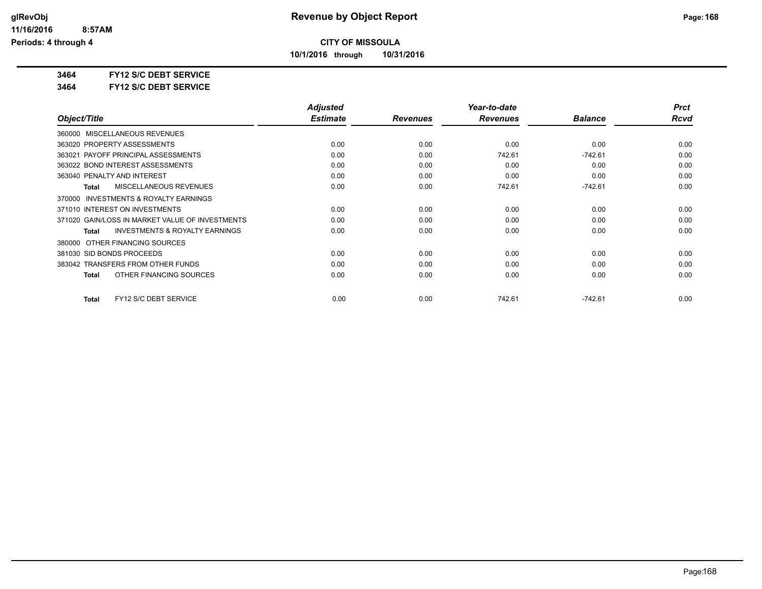**10/1/2016 through 10/31/2016**

**3464 FY12 S/C DEBT SERVICE**

**3464 FY12 S/C DEBT SERVICE**

|                                                           | <b>Adjusted</b> |                 | Year-to-date    |                | <b>Prct</b> |
|-----------------------------------------------------------|-----------------|-----------------|-----------------|----------------|-------------|
| Object/Title                                              | <b>Estimate</b> | <b>Revenues</b> | <b>Revenues</b> | <b>Balance</b> | Rcvd        |
| 360000 MISCELLANEOUS REVENUES                             |                 |                 |                 |                |             |
| 363020 PROPERTY ASSESSMENTS                               | 0.00            | 0.00            | 0.00            | 0.00           | 0.00        |
| 363021 PAYOFF PRINCIPAL ASSESSMENTS                       | 0.00            | 0.00            | 742.61          | $-742.61$      | 0.00        |
| 363022 BOND INTEREST ASSESSMENTS                          | 0.00            | 0.00            | 0.00            | 0.00           | 0.00        |
| 363040 PENALTY AND INTEREST                               | 0.00            | 0.00            | 0.00            | 0.00           | 0.00        |
| MISCELLANEOUS REVENUES<br>Total                           | 0.00            | 0.00            | 742.61          | $-742.61$      | 0.00        |
| INVESTMENTS & ROYALTY EARNINGS<br>370000                  |                 |                 |                 |                |             |
| 371010 INTEREST ON INVESTMENTS                            | 0.00            | 0.00            | 0.00            | 0.00           | 0.00        |
| 371020 GAIN/LOSS IN MARKET VALUE OF INVESTMENTS           | 0.00            | 0.00            | 0.00            | 0.00           | 0.00        |
| <b>INVESTMENTS &amp; ROYALTY EARNINGS</b><br><b>Total</b> | 0.00            | 0.00            | 0.00            | 0.00           | 0.00        |
| OTHER FINANCING SOURCES<br>380000                         |                 |                 |                 |                |             |
| 381030 SID BONDS PROCEEDS                                 | 0.00            | 0.00            | 0.00            | 0.00           | 0.00        |
| 383042 TRANSFERS FROM OTHER FUNDS                         | 0.00            | 0.00            | 0.00            | 0.00           | 0.00        |
| OTHER FINANCING SOURCES<br><b>Total</b>                   | 0.00            | 0.00            | 0.00            | 0.00           | 0.00        |
| FY12 S/C DEBT SERVICE<br><b>Total</b>                     | 0.00            | 0.00            | 742.61          | $-742.61$      | 0.00        |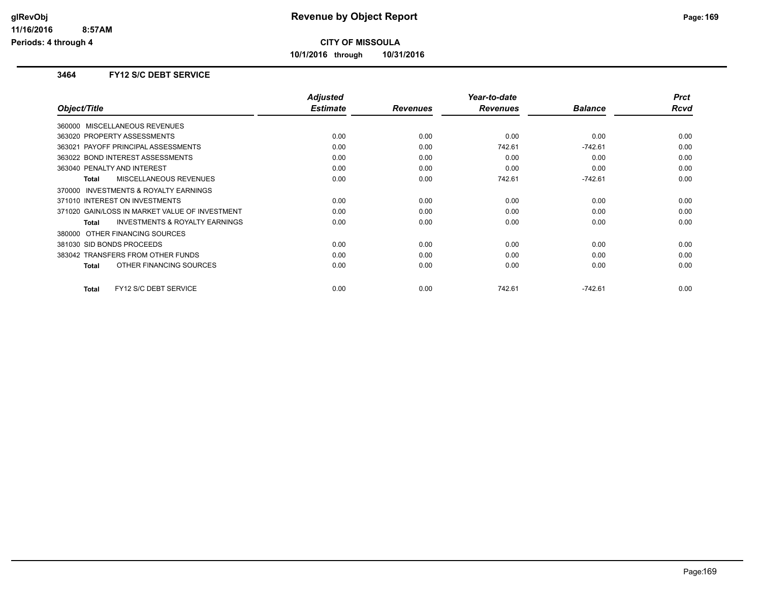**10/1/2016 through 10/31/2016**

## **3464 FY12 S/C DEBT SERVICE**

|                                                           | <b>Adjusted</b> |                 | Year-to-date    |                | <b>Prct</b> |
|-----------------------------------------------------------|-----------------|-----------------|-----------------|----------------|-------------|
| Object/Title                                              | <b>Estimate</b> | <b>Revenues</b> | <b>Revenues</b> | <b>Balance</b> | Rcvd        |
| 360000 MISCELLANEOUS REVENUES                             |                 |                 |                 |                |             |
| 363020 PROPERTY ASSESSMENTS                               | 0.00            | 0.00            | 0.00            | 0.00           | 0.00        |
| 363021 PAYOFF PRINCIPAL ASSESSMENTS                       | 0.00            | 0.00            | 742.61          | $-742.61$      | 0.00        |
| 363022 BOND INTEREST ASSESSMENTS                          | 0.00            | 0.00            | 0.00            | 0.00           | 0.00        |
| 363040 PENALTY AND INTEREST                               | 0.00            | 0.00            | 0.00            | 0.00           | 0.00        |
| <b>MISCELLANEOUS REVENUES</b><br><b>Total</b>             | 0.00            | 0.00            | 742.61          | $-742.61$      | 0.00        |
| <b>INVESTMENTS &amp; ROYALTY EARNINGS</b><br>370000       |                 |                 |                 |                |             |
| 371010 INTEREST ON INVESTMENTS                            | 0.00            | 0.00            | 0.00            | 0.00           | 0.00        |
| 371020 GAIN/LOSS IN MARKET VALUE OF INVESTMENT            | 0.00            | 0.00            | 0.00            | 0.00           | 0.00        |
| <b>INVESTMENTS &amp; ROYALTY EARNINGS</b><br><b>Total</b> | 0.00            | 0.00            | 0.00            | 0.00           | 0.00        |
| OTHER FINANCING SOURCES<br>380000                         |                 |                 |                 |                |             |
| 381030 SID BONDS PROCEEDS                                 | 0.00            | 0.00            | 0.00            | 0.00           | 0.00        |
| 383042 TRANSFERS FROM OTHER FUNDS                         | 0.00            | 0.00            | 0.00            | 0.00           | 0.00        |
| OTHER FINANCING SOURCES<br><b>Total</b>                   | 0.00            | 0.00            | 0.00            | 0.00           | 0.00        |
| FY12 S/C DEBT SERVICE<br><b>Total</b>                     | 0.00            | 0.00            | 742.61          | $-742.61$      | 0.00        |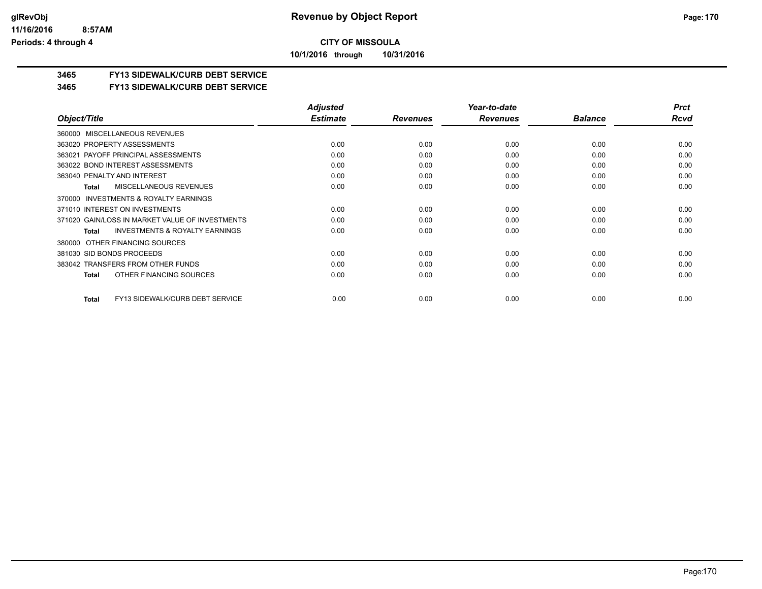**10/1/2016 through 10/31/2016**

# **3465 FY13 SIDEWALK/CURB DEBT SERVICE**

## **3465 FY13 SIDEWALK/CURB DEBT SERVICE**

| <b>Adjusted</b> |                 | Year-to-date    |                | <b>Prct</b> |
|-----------------|-----------------|-----------------|----------------|-------------|
| <b>Estimate</b> | <b>Revenues</b> | <b>Revenues</b> | <b>Balance</b> | Rcvd        |
|                 |                 |                 |                |             |
| 0.00            | 0.00            | 0.00            | 0.00           | 0.00        |
| 0.00            | 0.00            | 0.00            | 0.00           | 0.00        |
| 0.00            | 0.00            | 0.00            | 0.00           | 0.00        |
| 0.00            | 0.00            | 0.00            | 0.00           | 0.00        |
| 0.00            | 0.00            | 0.00            | 0.00           | 0.00        |
|                 |                 |                 |                |             |
| 0.00            | 0.00            | 0.00            | 0.00           | 0.00        |
| 0.00            | 0.00            | 0.00            | 0.00           | 0.00        |
| 0.00            | 0.00            | 0.00            | 0.00           | 0.00        |
|                 |                 |                 |                |             |
| 0.00            | 0.00            | 0.00            | 0.00           | 0.00        |
| 0.00            | 0.00            | 0.00            | 0.00           | 0.00        |
| 0.00            | 0.00            | 0.00            | 0.00           | 0.00        |
| 0.00            | 0.00            | 0.00            | 0.00           | 0.00        |
|                 |                 |                 |                |             |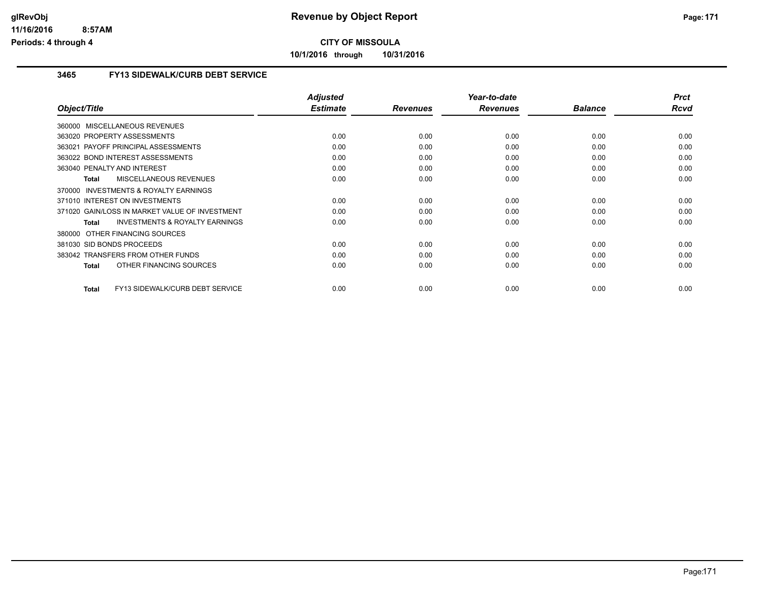**10/1/2016 through 10/31/2016**

# **3465 FY13 SIDEWALK/CURB DEBT SERVICE**

|                                                    | <b>Adjusted</b> |                 | Year-to-date    |                | <b>Prct</b> |
|----------------------------------------------------|-----------------|-----------------|-----------------|----------------|-------------|
| Object/Title                                       | <b>Estimate</b> | <b>Revenues</b> | <b>Revenues</b> | <b>Balance</b> | Rcvd        |
| 360000 MISCELLANEOUS REVENUES                      |                 |                 |                 |                |             |
| 363020 PROPERTY ASSESSMENTS                        | 0.00            | 0.00            | 0.00            | 0.00           | 0.00        |
| PAYOFF PRINCIPAL ASSESSMENTS<br>363021             | 0.00            | 0.00            | 0.00            | 0.00           | 0.00        |
| 363022 BOND INTEREST ASSESSMENTS                   | 0.00            | 0.00            | 0.00            | 0.00           | 0.00        |
| 363040 PENALTY AND INTEREST                        | 0.00            | 0.00            | 0.00            | 0.00           | 0.00        |
| <b>MISCELLANEOUS REVENUES</b><br>Total             | 0.00            | 0.00            | 0.00            | 0.00           | 0.00        |
| 370000 INVESTMENTS & ROYALTY EARNINGS              |                 |                 |                 |                |             |
| 371010 INTEREST ON INVESTMENTS                     | 0.00            | 0.00            | 0.00            | 0.00           | 0.00        |
| 371020 GAIN/LOSS IN MARKET VALUE OF INVESTMENT     | 0.00            | 0.00            | 0.00            | 0.00           | 0.00        |
| <b>INVESTMENTS &amp; ROYALTY EARNINGS</b><br>Total | 0.00            | 0.00            | 0.00            | 0.00           | 0.00        |
| OTHER FINANCING SOURCES<br>380000                  |                 |                 |                 |                |             |
| 381030 SID BONDS PROCEEDS                          | 0.00            | 0.00            | 0.00            | 0.00           | 0.00        |
| 383042 TRANSFERS FROM OTHER FUNDS                  | 0.00            | 0.00            | 0.00            | 0.00           | 0.00        |
| OTHER FINANCING SOURCES<br><b>Total</b>            | 0.00            | 0.00            | 0.00            | 0.00           | 0.00        |
|                                                    |                 |                 |                 |                |             |
| FY13 SIDEWALK/CURB DEBT SERVICE<br><b>Total</b>    | 0.00            | 0.00            | 0.00            | 0.00           | 0.00        |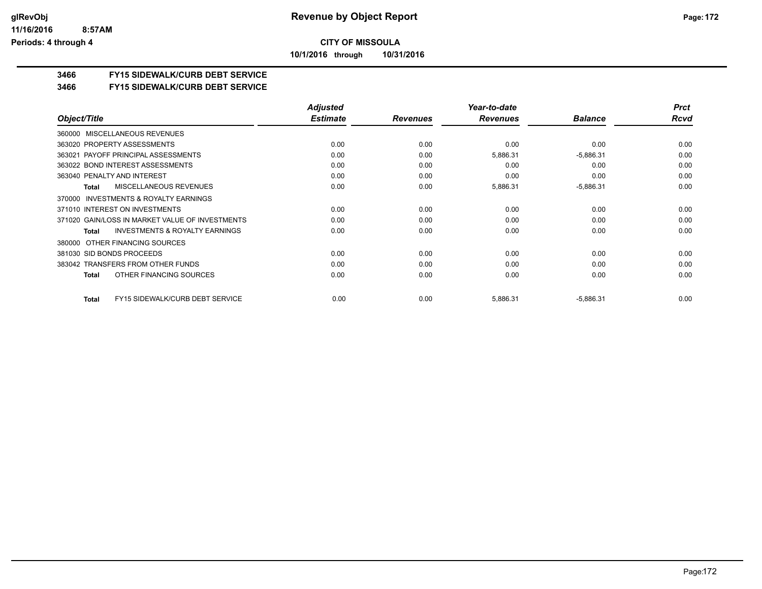**10/1/2016 through 10/31/2016**

# **3466 FY15 SIDEWALK/CURB DEBT SERVICE**

## **3466 FY15 SIDEWALK/CURB DEBT SERVICE**

|                                                        | <b>Adjusted</b> |                 | Year-to-date    |                | <b>Prct</b> |
|--------------------------------------------------------|-----------------|-----------------|-----------------|----------------|-------------|
| Object/Title                                           | <b>Estimate</b> | <b>Revenues</b> | <b>Revenues</b> | <b>Balance</b> | Rcvd        |
| MISCELLANEOUS REVENUES<br>360000                       |                 |                 |                 |                |             |
| 363020 PROPERTY ASSESSMENTS                            | 0.00            | 0.00            | 0.00            | 0.00           | 0.00        |
| 363021 PAYOFF PRINCIPAL ASSESSMENTS                    | 0.00            | 0.00            | 5,886.31        | $-5,886.31$    | 0.00        |
| 363022 BOND INTEREST ASSESSMENTS                       | 0.00            | 0.00            | 0.00            | 0.00           | 0.00        |
| 363040 PENALTY AND INTEREST                            | 0.00            | 0.00            | 0.00            | 0.00           | 0.00        |
| <b>MISCELLANEOUS REVENUES</b><br><b>Total</b>          | 0.00            | 0.00            | 5,886.31        | $-5,886.31$    | 0.00        |
| INVESTMENTS & ROYALTY EARNINGS<br>370000               |                 |                 |                 |                |             |
| 371010 INTEREST ON INVESTMENTS                         | 0.00            | 0.00            | 0.00            | 0.00           | 0.00        |
| 371020 GAIN/LOSS IN MARKET VALUE OF INVESTMENTS        | 0.00            | 0.00            | 0.00            | 0.00           | 0.00        |
| <b>INVESTMENTS &amp; ROYALTY EARNINGS</b><br>Total     | 0.00            | 0.00            | 0.00            | 0.00           | 0.00        |
| 380000 OTHER FINANCING SOURCES                         |                 |                 |                 |                |             |
| 381030 SID BONDS PROCEEDS                              | 0.00            | 0.00            | 0.00            | 0.00           | 0.00        |
| 383042 TRANSFERS FROM OTHER FUNDS                      | 0.00            | 0.00            | 0.00            | 0.00           | 0.00        |
| OTHER FINANCING SOURCES<br><b>Total</b>                | 0.00            | 0.00            | 0.00            | 0.00           | 0.00        |
| <b>FY15 SIDEWALK/CURB DEBT SERVICE</b><br><b>Total</b> | 0.00            | 0.00            | 5,886.31        | $-5,886.31$    | 0.00        |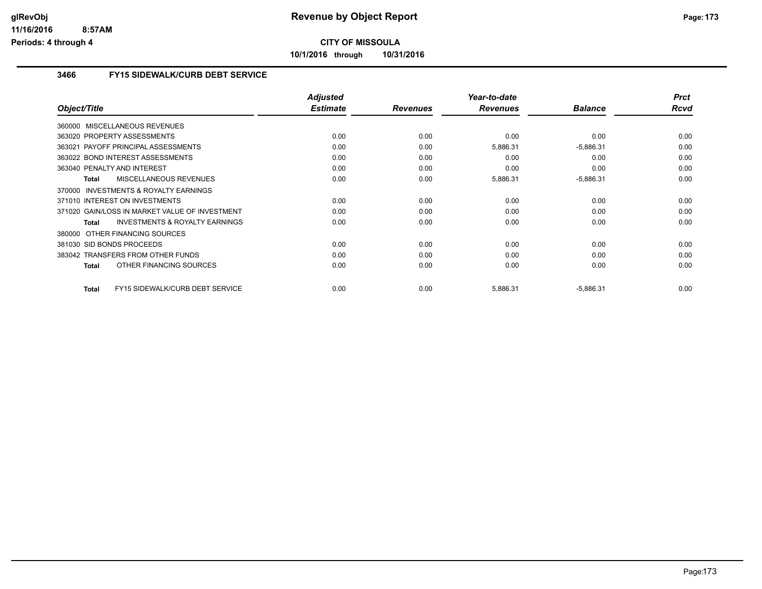**10/1/2016 through 10/31/2016**

# **3466 FY15 SIDEWALK/CURB DEBT SERVICE**

|                                                    | <b>Adjusted</b> |                 | Year-to-date    |                | <b>Prct</b> |
|----------------------------------------------------|-----------------|-----------------|-----------------|----------------|-------------|
| Object/Title                                       | <b>Estimate</b> | <b>Revenues</b> | <b>Revenues</b> | <b>Balance</b> | Rcvd        |
| 360000 MISCELLANEOUS REVENUES                      |                 |                 |                 |                |             |
| 363020 PROPERTY ASSESSMENTS                        | 0.00            | 0.00            | 0.00            | 0.00           | 0.00        |
| 363021 PAYOFF PRINCIPAL ASSESSMENTS                | 0.00            | 0.00            | 5,886.31        | $-5,886.31$    | 0.00        |
| 363022 BOND INTEREST ASSESSMENTS                   | 0.00            | 0.00            | 0.00            | 0.00           | 0.00        |
| 363040 PENALTY AND INTEREST                        | 0.00            | 0.00            | 0.00            | 0.00           | 0.00        |
| <b>MISCELLANEOUS REVENUES</b><br>Total             | 0.00            | 0.00            | 5,886.31        | $-5,886.31$    | 0.00        |
| 370000 INVESTMENTS & ROYALTY EARNINGS              |                 |                 |                 |                |             |
| 371010 INTEREST ON INVESTMENTS                     | 0.00            | 0.00            | 0.00            | 0.00           | 0.00        |
| 371020 GAIN/LOSS IN MARKET VALUE OF INVESTMENT     | 0.00            | 0.00            | 0.00            | 0.00           | 0.00        |
| <b>INVESTMENTS &amp; ROYALTY EARNINGS</b><br>Total | 0.00            | 0.00            | 0.00            | 0.00           | 0.00        |
| OTHER FINANCING SOURCES<br>380000                  |                 |                 |                 |                |             |
| 381030 SID BONDS PROCEEDS                          | 0.00            | 0.00            | 0.00            | 0.00           | 0.00        |
| 383042 TRANSFERS FROM OTHER FUNDS                  | 0.00            | 0.00            | 0.00            | 0.00           | 0.00        |
| OTHER FINANCING SOURCES<br><b>Total</b>            | 0.00            | 0.00            | 0.00            | 0.00           | 0.00        |
| FY15 SIDEWALK/CURB DEBT SERVICE<br><b>Total</b>    | 0.00            | 0.00            | 5,886.31        | $-5,886.31$    | 0.00        |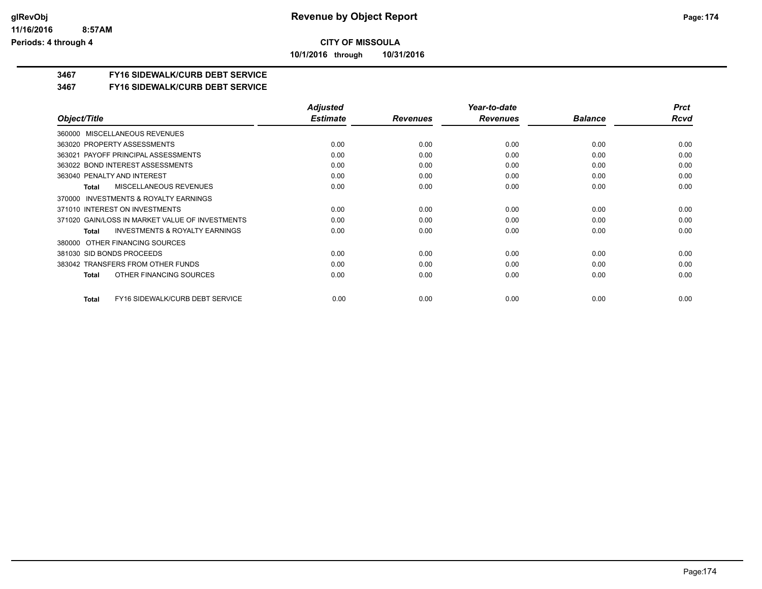**10/1/2016 through 10/31/2016**

# **3467 FY16 SIDEWALK/CURB DEBT SERVICE**

### **3467 FY16 SIDEWALK/CURB DEBT SERVICE**

|                                                    | <b>Adjusted</b> |                 | Year-to-date    |                | <b>Prct</b> |
|----------------------------------------------------|-----------------|-----------------|-----------------|----------------|-------------|
| Object/Title                                       | <b>Estimate</b> | <b>Revenues</b> | <b>Revenues</b> | <b>Balance</b> | Rcvd        |
| MISCELLANEOUS REVENUES<br>360000                   |                 |                 |                 |                |             |
| 363020 PROPERTY ASSESSMENTS                        | 0.00            | 0.00            | 0.00            | 0.00           | 0.00        |
| 363021 PAYOFF PRINCIPAL ASSESSMENTS                | 0.00            | 0.00            | 0.00            | 0.00           | 0.00        |
| 363022 BOND INTEREST ASSESSMENTS                   | 0.00            | 0.00            | 0.00            | 0.00           | 0.00        |
| 363040 PENALTY AND INTEREST                        | 0.00            | 0.00            | 0.00            | 0.00           | 0.00        |
| <b>MISCELLANEOUS REVENUES</b><br>Total             | 0.00            | 0.00            | 0.00            | 0.00           | 0.00        |
| INVESTMENTS & ROYALTY EARNINGS<br>370000           |                 |                 |                 |                |             |
| 371010 INTEREST ON INVESTMENTS                     | 0.00            | 0.00            | 0.00            | 0.00           | 0.00        |
| 371020 GAIN/LOSS IN MARKET VALUE OF INVESTMENTS    | 0.00            | 0.00            | 0.00            | 0.00           | 0.00        |
| <b>INVESTMENTS &amp; ROYALTY EARNINGS</b><br>Total | 0.00            | 0.00            | 0.00            | 0.00           | 0.00        |
| 380000 OTHER FINANCING SOURCES                     |                 |                 |                 |                |             |
| 381030 SID BONDS PROCEEDS                          | 0.00            | 0.00            | 0.00            | 0.00           | 0.00        |
| 383042 TRANSFERS FROM OTHER FUNDS                  | 0.00            | 0.00            | 0.00            | 0.00           | 0.00        |
| OTHER FINANCING SOURCES<br>Total                   | 0.00            | 0.00            | 0.00            | 0.00           | 0.00        |
| <b>FY16 SIDEWALK/CURB DEBT SERVICE</b><br>Total    | 0.00            | 0.00            | 0.00            | 0.00           | 0.00        |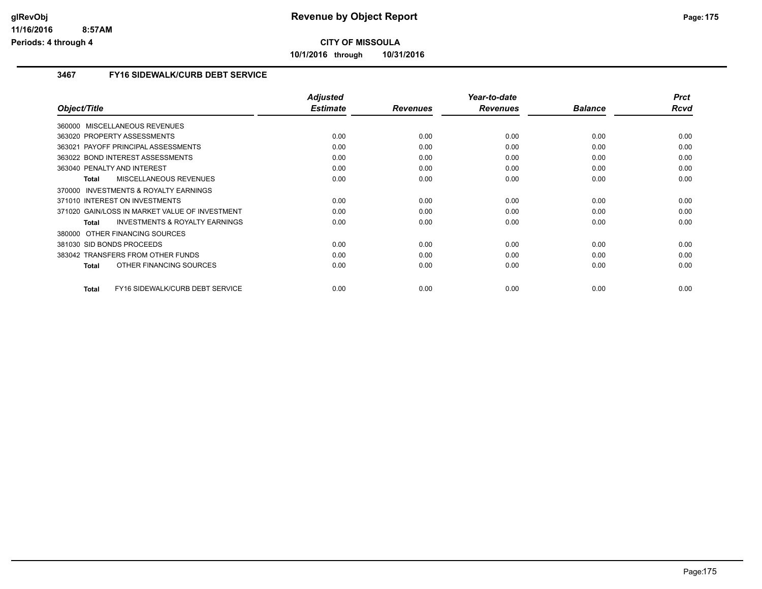**10/1/2016 through 10/31/2016**

# **3467 FY16 SIDEWALK/CURB DEBT SERVICE**

| Object/Title                                       | <b>Adjusted</b><br><b>Estimate</b> | <b>Revenues</b> | Year-to-date<br><b>Revenues</b> | <b>Balance</b> | <b>Prct</b><br>Rcvd |
|----------------------------------------------------|------------------------------------|-----------------|---------------------------------|----------------|---------------------|
|                                                    |                                    |                 |                                 |                |                     |
| 360000 MISCELLANEOUS REVENUES                      |                                    |                 |                                 |                |                     |
| 363020 PROPERTY ASSESSMENTS                        | 0.00                               | 0.00            | 0.00                            | 0.00           | 0.00                |
| 363021 PAYOFF PRINCIPAL ASSESSMENTS                | 0.00                               | 0.00            | 0.00                            | 0.00           | 0.00                |
| 363022 BOND INTEREST ASSESSMENTS                   | 0.00                               | 0.00            | 0.00                            | 0.00           | 0.00                |
| 363040 PENALTY AND INTEREST                        | 0.00                               | 0.00            | 0.00                            | 0.00           | 0.00                |
| <b>MISCELLANEOUS REVENUES</b><br>Total             | 0.00                               | 0.00            | 0.00                            | 0.00           | 0.00                |
| 370000 INVESTMENTS & ROYALTY EARNINGS              |                                    |                 |                                 |                |                     |
| 371010 INTEREST ON INVESTMENTS                     | 0.00                               | 0.00            | 0.00                            | 0.00           | 0.00                |
| 371020 GAIN/LOSS IN MARKET VALUE OF INVESTMENT     | 0.00                               | 0.00            | 0.00                            | 0.00           | 0.00                |
| <b>INVESTMENTS &amp; ROYALTY EARNINGS</b><br>Total | 0.00                               | 0.00            | 0.00                            | 0.00           | 0.00                |
| OTHER FINANCING SOURCES<br>380000                  |                                    |                 |                                 |                |                     |
| 381030 SID BONDS PROCEEDS                          | 0.00                               | 0.00            | 0.00                            | 0.00           | 0.00                |
| 383042 TRANSFERS FROM OTHER FUNDS                  | 0.00                               | 0.00            | 0.00                            | 0.00           | 0.00                |
| OTHER FINANCING SOURCES<br><b>Total</b>            | 0.00                               | 0.00            | 0.00                            | 0.00           | 0.00                |
|                                                    |                                    |                 |                                 |                |                     |
| FY16 SIDEWALK/CURB DEBT SERVICE<br><b>Total</b>    | 0.00                               | 0.00            | 0.00                            | 0.00           | 0.00                |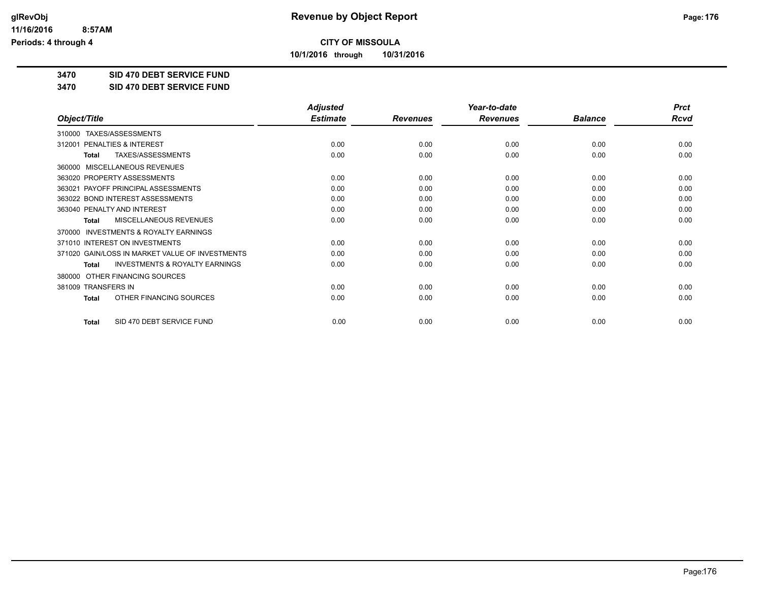**10/1/2016 through 10/31/2016**

**3470 SID 470 DEBT SERVICE FUND**

**3470 SID 470 DEBT SERVICE FUND**

|                                                           | <b>Adjusted</b> |                 | Year-to-date    |                | <b>Prct</b> |
|-----------------------------------------------------------|-----------------|-----------------|-----------------|----------------|-------------|
| Object/Title                                              | <b>Estimate</b> | <b>Revenues</b> | <b>Revenues</b> | <b>Balance</b> | <b>Rcvd</b> |
| TAXES/ASSESSMENTS<br>310000                               |                 |                 |                 |                |             |
| PENALTIES & INTEREST<br>312001                            | 0.00            | 0.00            | 0.00            | 0.00           | 0.00        |
| TAXES/ASSESSMENTS<br><b>Total</b>                         | 0.00            | 0.00            | 0.00            | 0.00           | 0.00        |
| MISCELLANEOUS REVENUES<br>360000                          |                 |                 |                 |                |             |
| 363020 PROPERTY ASSESSMENTS                               | 0.00            | 0.00            | 0.00            | 0.00           | 0.00        |
| 363021 PAYOFF PRINCIPAL ASSESSMENTS                       | 0.00            | 0.00            | 0.00            | 0.00           | 0.00        |
| 363022 BOND INTEREST ASSESSMENTS                          | 0.00            | 0.00            | 0.00            | 0.00           | 0.00        |
| 363040 PENALTY AND INTEREST                               | 0.00            | 0.00            | 0.00            | 0.00           | 0.00        |
| MISCELLANEOUS REVENUES<br><b>Total</b>                    | 0.00            | 0.00            | 0.00            | 0.00           | 0.00        |
| <b>INVESTMENTS &amp; ROYALTY EARNINGS</b><br>370000       |                 |                 |                 |                |             |
| 371010 INTEREST ON INVESTMENTS                            | 0.00            | 0.00            | 0.00            | 0.00           | 0.00        |
| 371020 GAIN/LOSS IN MARKET VALUE OF INVESTMENTS           | 0.00            | 0.00            | 0.00            | 0.00           | 0.00        |
| <b>INVESTMENTS &amp; ROYALTY EARNINGS</b><br><b>Total</b> | 0.00            | 0.00            | 0.00            | 0.00           | 0.00        |
| OTHER FINANCING SOURCES<br>380000                         |                 |                 |                 |                |             |
| 381009 TRANSFERS IN                                       | 0.00            | 0.00            | 0.00            | 0.00           | 0.00        |
| OTHER FINANCING SOURCES<br><b>Total</b>                   | 0.00            | 0.00            | 0.00            | 0.00           | 0.00        |
| SID 470 DEBT SERVICE FUND<br><b>Total</b>                 | 0.00            | 0.00            | 0.00            | 0.00           | 0.00        |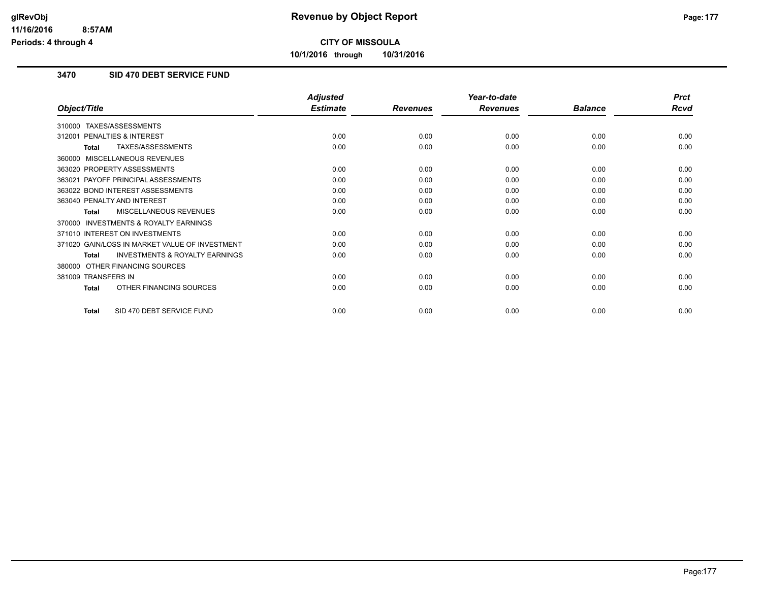**10/1/2016 through 10/31/2016**

# **3470 SID 470 DEBT SERVICE FUND**

|                                                           | <b>Adjusted</b> |                 | Year-to-date    |                | <b>Prct</b> |
|-----------------------------------------------------------|-----------------|-----------------|-----------------|----------------|-------------|
| Object/Title                                              | <b>Estimate</b> | <b>Revenues</b> | <b>Revenues</b> | <b>Balance</b> | <b>Rcvd</b> |
| TAXES/ASSESSMENTS<br>310000                               |                 |                 |                 |                |             |
| 312001 PENALTIES & INTEREST                               | 0.00            | 0.00            | 0.00            | 0.00           | 0.00        |
| TAXES/ASSESSMENTS<br><b>Total</b>                         | 0.00            | 0.00            | 0.00            | 0.00           | 0.00        |
| MISCELLANEOUS REVENUES<br>360000                          |                 |                 |                 |                |             |
| 363020 PROPERTY ASSESSMENTS                               | 0.00            | 0.00            | 0.00            | 0.00           | 0.00        |
| 363021 PAYOFF PRINCIPAL ASSESSMENTS                       | 0.00            | 0.00            | 0.00            | 0.00           | 0.00        |
| 363022 BOND INTEREST ASSESSMENTS                          | 0.00            | 0.00            | 0.00            | 0.00           | 0.00        |
| 363040 PENALTY AND INTEREST                               | 0.00            | 0.00            | 0.00            | 0.00           | 0.00        |
| <b>MISCELLANEOUS REVENUES</b><br><b>Total</b>             | 0.00            | 0.00            | 0.00            | 0.00           | 0.00        |
| <b>INVESTMENTS &amp; ROYALTY EARNINGS</b><br>370000       |                 |                 |                 |                |             |
| 371010 INTEREST ON INVESTMENTS                            | 0.00            | 0.00            | 0.00            | 0.00           | 0.00        |
| 371020 GAIN/LOSS IN MARKET VALUE OF INVESTMENT            | 0.00            | 0.00            | 0.00            | 0.00           | 0.00        |
| <b>INVESTMENTS &amp; ROYALTY EARNINGS</b><br><b>Total</b> | 0.00            | 0.00            | 0.00            | 0.00           | 0.00        |
| OTHER FINANCING SOURCES<br>380000                         |                 |                 |                 |                |             |
| 381009 TRANSFERS IN                                       | 0.00            | 0.00            | 0.00            | 0.00           | 0.00        |
| OTHER FINANCING SOURCES<br><b>Total</b>                   | 0.00            | 0.00            | 0.00            | 0.00           | 0.00        |
| SID 470 DEBT SERVICE FUND<br><b>Total</b>                 | 0.00            | 0.00            | 0.00            | 0.00           | 0.00        |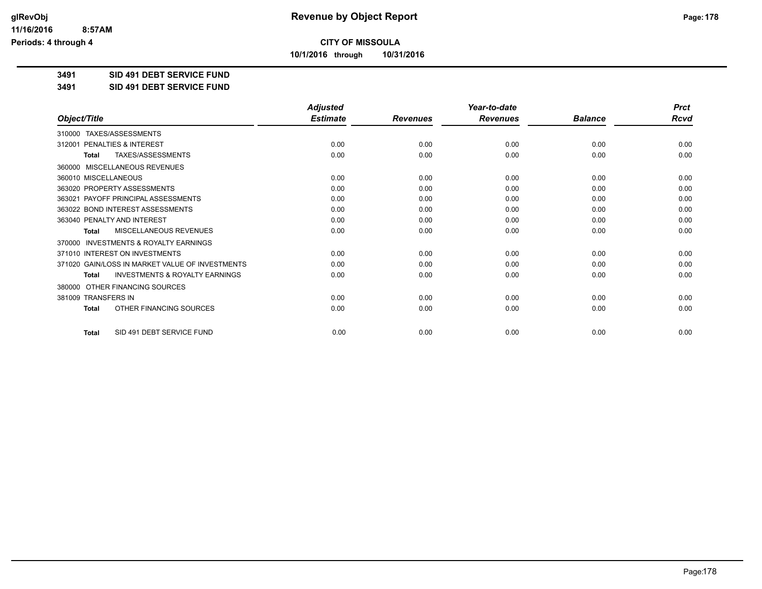**10/1/2016 through 10/31/2016**

**3491 SID 491 DEBT SERVICE FUND**

**3491 SID 491 DEBT SERVICE FUND**

|                                                           | <b>Adjusted</b> |                 | Year-to-date    |                | <b>Prct</b> |
|-----------------------------------------------------------|-----------------|-----------------|-----------------|----------------|-------------|
| Object/Title                                              | <b>Estimate</b> | <b>Revenues</b> | <b>Revenues</b> | <b>Balance</b> | <b>Rcvd</b> |
| TAXES/ASSESSMENTS<br>310000                               |                 |                 |                 |                |             |
| 312001 PENALTIES & INTEREST                               | 0.00            | 0.00            | 0.00            | 0.00           | 0.00        |
| TAXES/ASSESSMENTS<br><b>Total</b>                         | 0.00            | 0.00            | 0.00            | 0.00           | 0.00        |
| <b>MISCELLANEOUS REVENUES</b><br>360000                   |                 |                 |                 |                |             |
| 360010 MISCELLANEOUS                                      | 0.00            | 0.00            | 0.00            | 0.00           | 0.00        |
| 363020 PROPERTY ASSESSMENTS                               | 0.00            | 0.00            | 0.00            | 0.00           | 0.00        |
| 363021 PAYOFF PRINCIPAL ASSESSMENTS                       | 0.00            | 0.00            | 0.00            | 0.00           | 0.00        |
| 363022 BOND INTEREST ASSESSMENTS                          | 0.00            | 0.00            | 0.00            | 0.00           | 0.00        |
| 363040 PENALTY AND INTEREST                               | 0.00            | 0.00            | 0.00            | 0.00           | 0.00        |
| <b>MISCELLANEOUS REVENUES</b><br><b>Total</b>             | 0.00            | 0.00            | 0.00            | 0.00           | 0.00        |
| <b>INVESTMENTS &amp; ROYALTY EARNINGS</b><br>370000       |                 |                 |                 |                |             |
| 371010 INTEREST ON INVESTMENTS                            | 0.00            | 0.00            | 0.00            | 0.00           | 0.00        |
| 371020 GAIN/LOSS IN MARKET VALUE OF INVESTMENTS           | 0.00            | 0.00            | 0.00            | 0.00           | 0.00        |
| <b>INVESTMENTS &amp; ROYALTY EARNINGS</b><br><b>Total</b> | 0.00            | 0.00            | 0.00            | 0.00           | 0.00        |
| OTHER FINANCING SOURCES<br>380000                         |                 |                 |                 |                |             |
| 381009 TRANSFERS IN                                       | 0.00            | 0.00            | 0.00            | 0.00           | 0.00        |
| OTHER FINANCING SOURCES<br><b>Total</b>                   | 0.00            | 0.00            | 0.00            | 0.00           | 0.00        |
| SID 491 DEBT SERVICE FUND<br><b>Total</b>                 | 0.00            | 0.00            | 0.00            | 0.00           | 0.00        |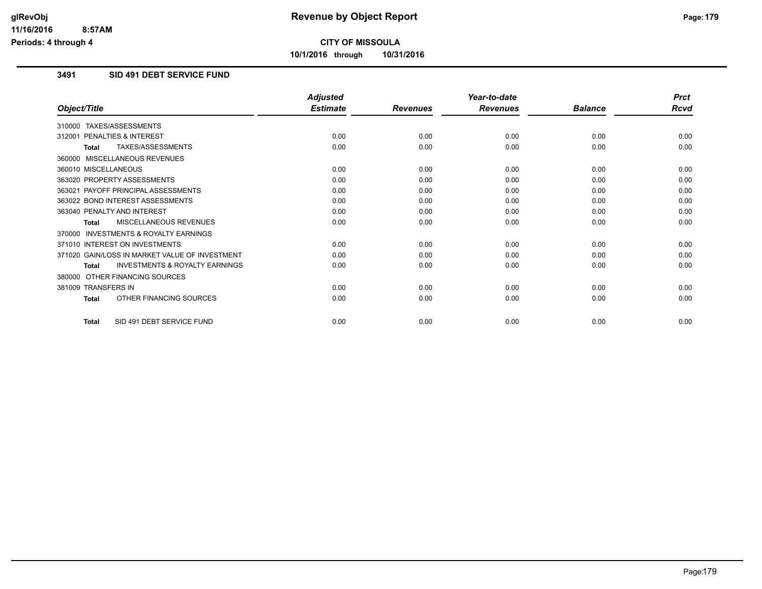**Periods: 4 through 4**

**CITY OF MISSOULA**

**10/1/2016 through 10/31/2016**

# **3491 SID 491 DEBT SERVICE FUND**

|                                                           | <b>Adjusted</b> |                 | Year-to-date    |                | <b>Prct</b> |
|-----------------------------------------------------------|-----------------|-----------------|-----------------|----------------|-------------|
| Object/Title                                              | <b>Estimate</b> | <b>Revenues</b> | <b>Revenues</b> | <b>Balance</b> | <b>Rcvd</b> |
| 310000 TAXES/ASSESSMENTS                                  |                 |                 |                 |                |             |
| 312001 PENALTIES & INTEREST                               | 0.00            | 0.00            | 0.00            | 0.00           | 0.00        |
| TAXES/ASSESSMENTS<br><b>Total</b>                         | 0.00            | 0.00            | 0.00            | 0.00           | 0.00        |
| 360000 MISCELLANEOUS REVENUES                             |                 |                 |                 |                |             |
| 360010 MISCELLANEOUS                                      | 0.00            | 0.00            | 0.00            | 0.00           | 0.00        |
| 363020 PROPERTY ASSESSMENTS                               | 0.00            | 0.00            | 0.00            | 0.00           | 0.00        |
| 363021 PAYOFF PRINCIPAL ASSESSMENTS                       | 0.00            | 0.00            | 0.00            | 0.00           | 0.00        |
| 363022 BOND INTEREST ASSESSMENTS                          | 0.00            | 0.00            | 0.00            | 0.00           | 0.00        |
| 363040 PENALTY AND INTEREST                               | 0.00            | 0.00            | 0.00            | 0.00           | 0.00        |
| MISCELLANEOUS REVENUES<br><b>Total</b>                    | 0.00            | 0.00            | 0.00            | 0.00           | 0.00        |
| INVESTMENTS & ROYALTY EARNINGS<br>370000                  |                 |                 |                 |                |             |
| 371010 INTEREST ON INVESTMENTS                            | 0.00            | 0.00            | 0.00            | 0.00           | 0.00        |
| 371020 GAIN/LOSS IN MARKET VALUE OF INVESTMENT            | 0.00            | 0.00            | 0.00            | 0.00           | 0.00        |
| <b>INVESTMENTS &amp; ROYALTY EARNINGS</b><br><b>Total</b> | 0.00            | 0.00            | 0.00            | 0.00           | 0.00        |
| 380000 OTHER FINANCING SOURCES                            |                 |                 |                 |                |             |
| 381009 TRANSFERS IN                                       | 0.00            | 0.00            | 0.00            | 0.00           | 0.00        |
| OTHER FINANCING SOURCES<br><b>Total</b>                   | 0.00            | 0.00            | 0.00            | 0.00           | 0.00        |
| SID 491 DEBT SERVICE FUND<br><b>Total</b>                 | 0.00            | 0.00            | 0.00            | 0.00           | 0.00        |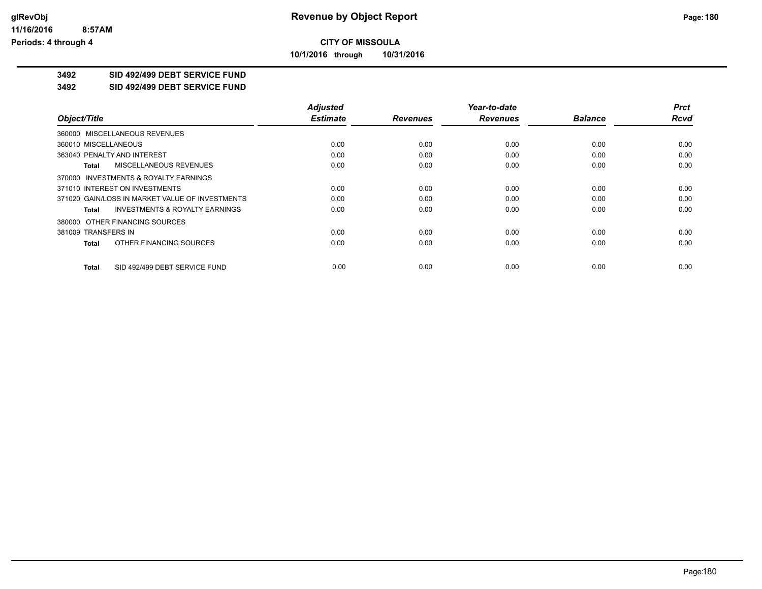**10/1/2016 through 10/31/2016**

# **3492 SID 492/499 DEBT SERVICE FUND**

### **3492 SID 492/499 DEBT SERVICE FUND**

|                                                    | <b>Adjusted</b> |                 | Year-to-date    |                | <b>Prct</b> |
|----------------------------------------------------|-----------------|-----------------|-----------------|----------------|-------------|
| Object/Title                                       | <b>Estimate</b> | <b>Revenues</b> | <b>Revenues</b> | <b>Balance</b> | <b>Rcvd</b> |
| 360000 MISCELLANEOUS REVENUES                      |                 |                 |                 |                |             |
| 360010 MISCELLANEOUS                               | 0.00            | 0.00            | 0.00            | 0.00           | 0.00        |
| 363040 PENALTY AND INTEREST                        | 0.00            | 0.00            | 0.00            | 0.00           | 0.00        |
| MISCELLANEOUS REVENUES<br>Total                    | 0.00            | 0.00            | 0.00            | 0.00           | 0.00        |
| 370000 INVESTMENTS & ROYALTY EARNINGS              |                 |                 |                 |                |             |
| 371010 INTEREST ON INVESTMENTS                     | 0.00            | 0.00            | 0.00            | 0.00           | 0.00        |
| 371020 GAIN/LOSS IN MARKET VALUE OF INVESTMENTS    | 0.00            | 0.00            | 0.00            | 0.00           | 0.00        |
| <b>INVESTMENTS &amp; ROYALTY EARNINGS</b><br>Total | 0.00            | 0.00            | 0.00            | 0.00           | 0.00        |
| 380000 OTHER FINANCING SOURCES                     |                 |                 |                 |                |             |
| 381009 TRANSFERS IN                                | 0.00            | 0.00            | 0.00            | 0.00           | 0.00        |
| OTHER FINANCING SOURCES<br>Total                   | 0.00            | 0.00            | 0.00            | 0.00           | 0.00        |
| SID 492/499 DEBT SERVICE FUND<br>Total             | 0.00            | 0.00            | 0.00            | 0.00           | 0.00        |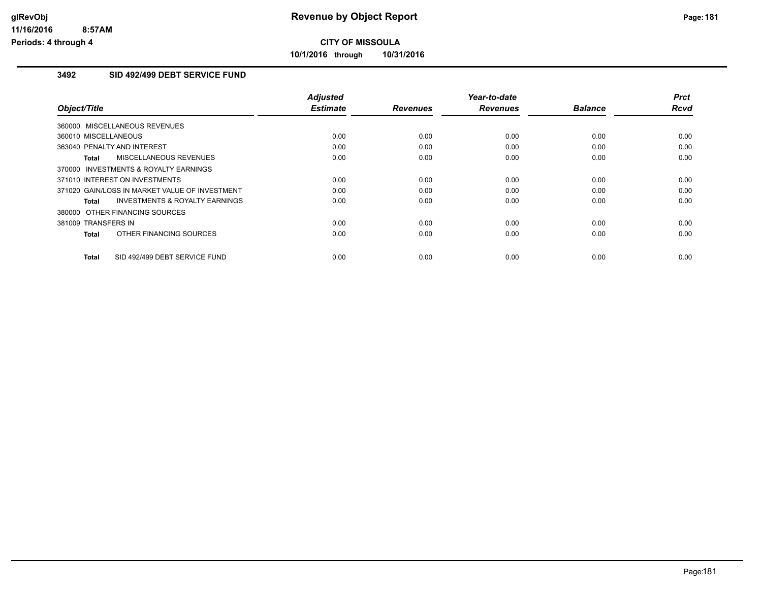**10/1/2016 through 10/31/2016**

### **3492 SID 492/499 DEBT SERVICE FUND**

| Object/Title                                       | <b>Adjusted</b><br><b>Estimate</b> | <b>Revenues</b> | Year-to-date<br><b>Revenues</b> | <b>Balance</b> | <b>Prct</b><br>Rcvd |
|----------------------------------------------------|------------------------------------|-----------------|---------------------------------|----------------|---------------------|
|                                                    |                                    |                 |                                 |                |                     |
| 360000 MISCELLANEOUS REVENUES                      |                                    |                 |                                 |                |                     |
| 360010 MISCELLANEOUS                               | 0.00                               | 0.00            | 0.00                            | 0.00           | 0.00                |
| 363040 PENALTY AND INTEREST                        | 0.00                               | 0.00            | 0.00                            | 0.00           | 0.00                |
| MISCELLANEOUS REVENUES<br>Total                    | 0.00                               | 0.00            | 0.00                            | 0.00           | 0.00                |
| INVESTMENTS & ROYALTY EARNINGS<br>370000           |                                    |                 |                                 |                |                     |
| 371010 INTEREST ON INVESTMENTS                     | 0.00                               | 0.00            | 0.00                            | 0.00           | 0.00                |
| 371020 GAIN/LOSS IN MARKET VALUE OF INVESTMENT     | 0.00                               | 0.00            | 0.00                            | 0.00           | 0.00                |
| <b>INVESTMENTS &amp; ROYALTY EARNINGS</b><br>Total | 0.00                               | 0.00            | 0.00                            | 0.00           | 0.00                |
| 380000 OTHER FINANCING SOURCES                     |                                    |                 |                                 |                |                     |
| 381009 TRANSFERS IN                                | 0.00                               | 0.00            | 0.00                            | 0.00           | 0.00                |
| OTHER FINANCING SOURCES<br>Total                   | 0.00                               | 0.00            | 0.00                            | 0.00           | 0.00                |
| SID 492/499 DEBT SERVICE FUND<br><b>Total</b>      | 0.00                               | 0.00            | 0.00                            | 0.00           | 0.00                |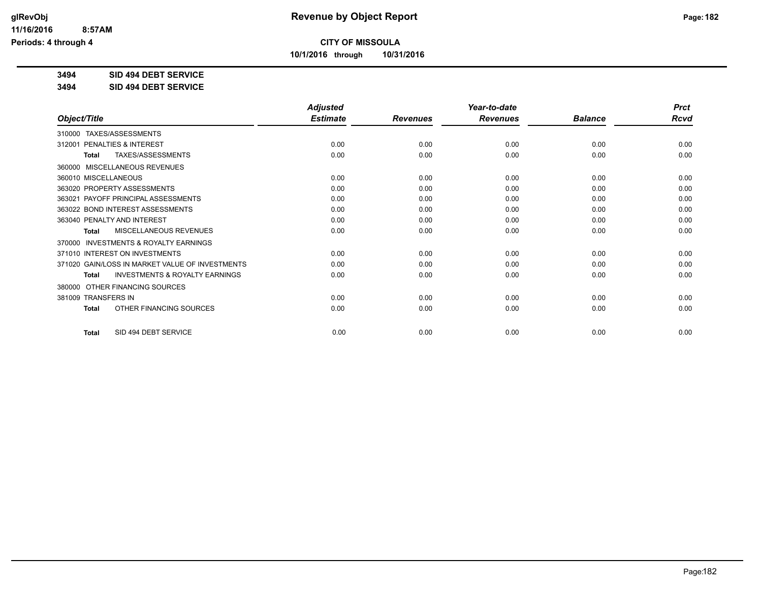**10/1/2016 through 10/31/2016**

#### **3494 SID 494 DEBT SERVICE**

**3494 SID 494 DEBT SERVICE**

|                                                           | <b>Adjusted</b> |                 | Year-to-date    |                | <b>Prct</b> |
|-----------------------------------------------------------|-----------------|-----------------|-----------------|----------------|-------------|
| Object/Title                                              | <b>Estimate</b> | <b>Revenues</b> | <b>Revenues</b> | <b>Balance</b> | <b>Rcvd</b> |
| TAXES/ASSESSMENTS<br>310000                               |                 |                 |                 |                |             |
| PENALTIES & INTEREST<br>312001                            | 0.00            | 0.00            | 0.00            | 0.00           | 0.00        |
| TAXES/ASSESSMENTS<br>Total                                | 0.00            | 0.00            | 0.00            | 0.00           | 0.00        |
| MISCELLANEOUS REVENUES<br>360000                          |                 |                 |                 |                |             |
| 360010 MISCELLANEOUS                                      | 0.00            | 0.00            | 0.00            | 0.00           | 0.00        |
| 363020 PROPERTY ASSESSMENTS                               | 0.00            | 0.00            | 0.00            | 0.00           | 0.00        |
| 363021 PAYOFF PRINCIPAL ASSESSMENTS                       | 0.00            | 0.00            | 0.00            | 0.00           | 0.00        |
| 363022 BOND INTEREST ASSESSMENTS                          | 0.00            | 0.00            | 0.00            | 0.00           | 0.00        |
| 363040 PENALTY AND INTEREST                               | 0.00            | 0.00            | 0.00            | 0.00           | 0.00        |
| MISCELLANEOUS REVENUES<br><b>Total</b>                    | 0.00            | 0.00            | 0.00            | 0.00           | 0.00        |
| <b>INVESTMENTS &amp; ROYALTY EARNINGS</b><br>370000       |                 |                 |                 |                |             |
| 371010 INTEREST ON INVESTMENTS                            | 0.00            | 0.00            | 0.00            | 0.00           | 0.00        |
| 371020 GAIN/LOSS IN MARKET VALUE OF INVESTMENTS           | 0.00            | 0.00            | 0.00            | 0.00           | 0.00        |
| <b>INVESTMENTS &amp; ROYALTY EARNINGS</b><br><b>Total</b> | 0.00            | 0.00            | 0.00            | 0.00           | 0.00        |
| OTHER FINANCING SOURCES<br>380000                         |                 |                 |                 |                |             |
| 381009 TRANSFERS IN                                       | 0.00            | 0.00            | 0.00            | 0.00           | 0.00        |
| OTHER FINANCING SOURCES<br>Total                          | 0.00            | 0.00            | 0.00            | 0.00           | 0.00        |
| SID 494 DEBT SERVICE<br><b>Total</b>                      | 0.00            | 0.00            | 0.00            | 0.00           | 0.00        |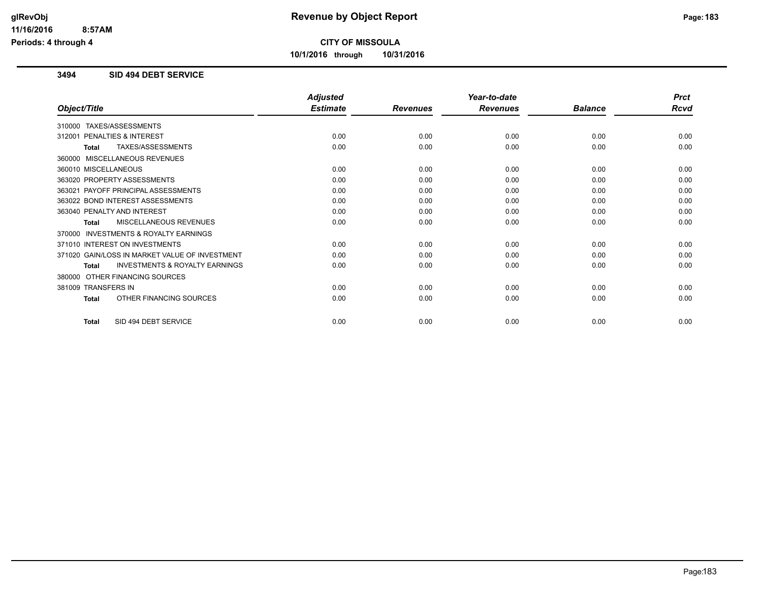**10/1/2016 through 10/31/2016**

#### **3494 SID 494 DEBT SERVICE**

|                                                    | <b>Adjusted</b> |                 | Year-to-date    |                | <b>Prct</b> |
|----------------------------------------------------|-----------------|-----------------|-----------------|----------------|-------------|
| Object/Title                                       | <b>Estimate</b> | <b>Revenues</b> | <b>Revenues</b> | <b>Balance</b> | <b>Rcvd</b> |
| 310000 TAXES/ASSESSMENTS                           |                 |                 |                 |                |             |
| PENALTIES & INTEREST<br>312001                     | 0.00            | 0.00            | 0.00            | 0.00           | 0.00        |
| TAXES/ASSESSMENTS<br>Total                         | 0.00            | 0.00            | 0.00            | 0.00           | 0.00        |
| 360000 MISCELLANEOUS REVENUES                      |                 |                 |                 |                |             |
| 360010 MISCELLANEOUS                               | 0.00            | 0.00            | 0.00            | 0.00           | 0.00        |
| 363020 PROPERTY ASSESSMENTS                        | 0.00            | 0.00            | 0.00            | 0.00           | 0.00        |
| 363021 PAYOFF PRINCIPAL ASSESSMENTS                | 0.00            | 0.00            | 0.00            | 0.00           | 0.00        |
| 363022 BOND INTEREST ASSESSMENTS                   | 0.00            | 0.00            | 0.00            | 0.00           | 0.00        |
| 363040 PENALTY AND INTEREST                        | 0.00            | 0.00            | 0.00            | 0.00           | 0.00        |
| MISCELLANEOUS REVENUES<br><b>Total</b>             | 0.00            | 0.00            | 0.00            | 0.00           | 0.00        |
| 370000 INVESTMENTS & ROYALTY EARNINGS              |                 |                 |                 |                |             |
| 371010 INTEREST ON INVESTMENTS                     | 0.00            | 0.00            | 0.00            | 0.00           | 0.00        |
| 371020 GAIN/LOSS IN MARKET VALUE OF INVESTMENT     | 0.00            | 0.00            | 0.00            | 0.00           | 0.00        |
| <b>INVESTMENTS &amp; ROYALTY EARNINGS</b><br>Total | 0.00            | 0.00            | 0.00            | 0.00           | 0.00        |
| 380000 OTHER FINANCING SOURCES                     |                 |                 |                 |                |             |
| 381009 TRANSFERS IN                                | 0.00            | 0.00            | 0.00            | 0.00           | 0.00        |
| OTHER FINANCING SOURCES<br>Total                   | 0.00            | 0.00            | 0.00            | 0.00           | 0.00        |
| SID 494 DEBT SERVICE<br><b>Total</b>               | 0.00            | 0.00            | 0.00            | 0.00           | 0.00        |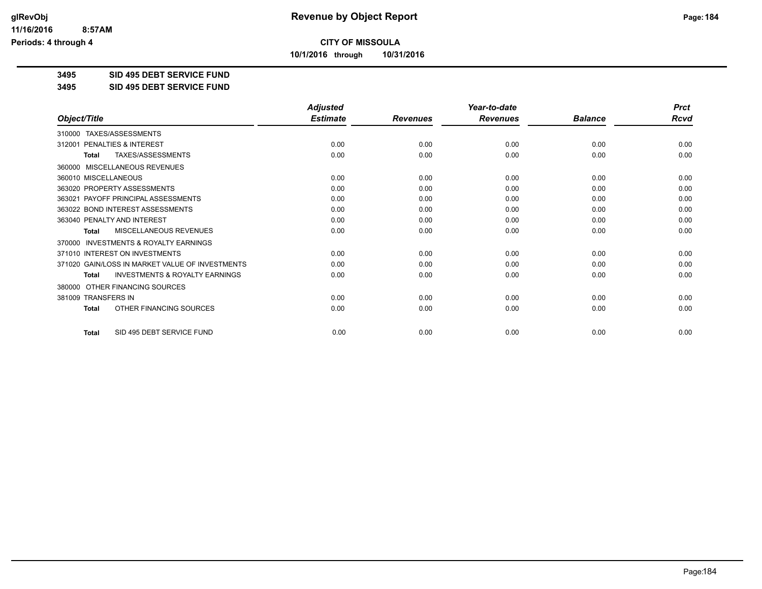**10/1/2016 through 10/31/2016**

**3495 SID 495 DEBT SERVICE FUND**

**3495 SID 495 DEBT SERVICE FUND**

|                                                           | <b>Adjusted</b> |                 | Year-to-date    |                | <b>Prct</b> |
|-----------------------------------------------------------|-----------------|-----------------|-----------------|----------------|-------------|
| Object/Title                                              | <b>Estimate</b> | <b>Revenues</b> | <b>Revenues</b> | <b>Balance</b> | <b>Rcvd</b> |
| 310000 TAXES/ASSESSMENTS                                  |                 |                 |                 |                |             |
| PENALTIES & INTEREST<br>312001                            | 0.00            | 0.00            | 0.00            | 0.00           | 0.00        |
| TAXES/ASSESSMENTS<br><b>Total</b>                         | 0.00            | 0.00            | 0.00            | 0.00           | 0.00        |
| MISCELLANEOUS REVENUES<br>360000                          |                 |                 |                 |                |             |
| 360010 MISCELLANEOUS                                      | 0.00            | 0.00            | 0.00            | 0.00           | 0.00        |
| 363020 PROPERTY ASSESSMENTS                               | 0.00            | 0.00            | 0.00            | 0.00           | 0.00        |
| 363021 PAYOFF PRINCIPAL ASSESSMENTS                       | 0.00            | 0.00            | 0.00            | 0.00           | 0.00        |
| 363022 BOND INTEREST ASSESSMENTS                          | 0.00            | 0.00            | 0.00            | 0.00           | 0.00        |
| 363040 PENALTY AND INTEREST                               | 0.00            | 0.00            | 0.00            | 0.00           | 0.00        |
| MISCELLANEOUS REVENUES<br>Total                           | 0.00            | 0.00            | 0.00            | 0.00           | 0.00        |
| <b>INVESTMENTS &amp; ROYALTY EARNINGS</b><br>370000       |                 |                 |                 |                |             |
| 371010 INTEREST ON INVESTMENTS                            | 0.00            | 0.00            | 0.00            | 0.00           | 0.00        |
| 371020 GAIN/LOSS IN MARKET VALUE OF INVESTMENTS           | 0.00            | 0.00            | 0.00            | 0.00           | 0.00        |
| <b>INVESTMENTS &amp; ROYALTY EARNINGS</b><br><b>Total</b> | 0.00            | 0.00            | 0.00            | 0.00           | 0.00        |
| OTHER FINANCING SOURCES<br>380000                         |                 |                 |                 |                |             |
| 381009 TRANSFERS IN                                       | 0.00            | 0.00            | 0.00            | 0.00           | 0.00        |
| OTHER FINANCING SOURCES<br><b>Total</b>                   | 0.00            | 0.00            | 0.00            | 0.00           | 0.00        |
| SID 495 DEBT SERVICE FUND<br><b>Total</b>                 | 0.00            | 0.00            | 0.00            | 0.00           | 0.00        |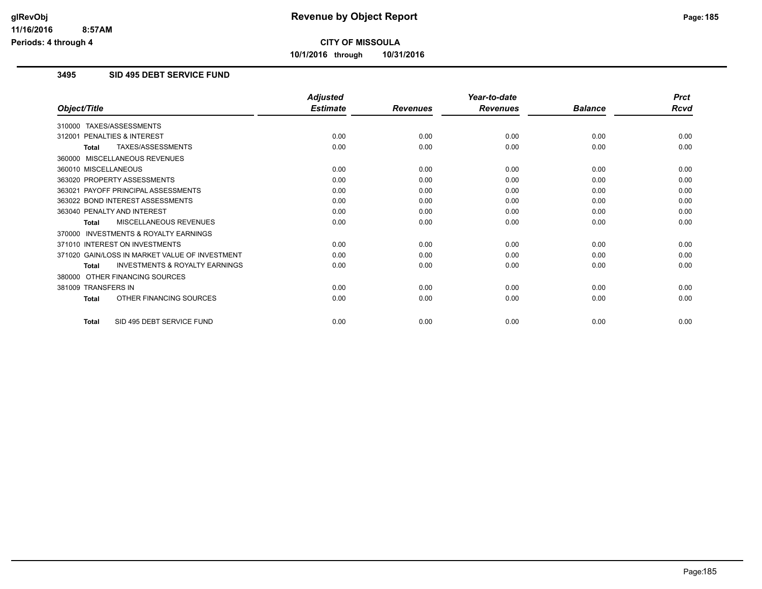**CITY OF MISSOULA**

**10/1/2016 through 10/31/2016**

### **3495 SID 495 DEBT SERVICE FUND**

|                                                           | <b>Adjusted</b> |                 | Year-to-date    |                | <b>Prct</b> |
|-----------------------------------------------------------|-----------------|-----------------|-----------------|----------------|-------------|
| Object/Title                                              | <b>Estimate</b> | <b>Revenues</b> | <b>Revenues</b> | <b>Balance</b> | <b>Rcvd</b> |
| 310000 TAXES/ASSESSMENTS                                  |                 |                 |                 |                |             |
| PENALTIES & INTEREST<br>312001                            | 0.00            | 0.00            | 0.00            | 0.00           | 0.00        |
| TAXES/ASSESSMENTS<br><b>Total</b>                         | 0.00            | 0.00            | 0.00            | 0.00           | 0.00        |
| 360000 MISCELLANEOUS REVENUES                             |                 |                 |                 |                |             |
| 360010 MISCELLANEOUS                                      | 0.00            | 0.00            | 0.00            | 0.00           | 0.00        |
| 363020 PROPERTY ASSESSMENTS                               | 0.00            | 0.00            | 0.00            | 0.00           | 0.00        |
| 363021 PAYOFF PRINCIPAL ASSESSMENTS                       | 0.00            | 0.00            | 0.00            | 0.00           | 0.00        |
| 363022 BOND INTEREST ASSESSMENTS                          | 0.00            | 0.00            | 0.00            | 0.00           | 0.00        |
| 363040 PENALTY AND INTEREST                               | 0.00            | 0.00            | 0.00            | 0.00           | 0.00        |
| MISCELLANEOUS REVENUES<br><b>Total</b>                    | 0.00            | 0.00            | 0.00            | 0.00           | 0.00        |
| INVESTMENTS & ROYALTY EARNINGS<br>370000                  |                 |                 |                 |                |             |
| 371010 INTEREST ON INVESTMENTS                            | 0.00            | 0.00            | 0.00            | 0.00           | 0.00        |
| 371020 GAIN/LOSS IN MARKET VALUE OF INVESTMENT            | 0.00            | 0.00            | 0.00            | 0.00           | 0.00        |
| <b>INVESTMENTS &amp; ROYALTY EARNINGS</b><br><b>Total</b> | 0.00            | 0.00            | 0.00            | 0.00           | 0.00        |
| 380000 OTHER FINANCING SOURCES                            |                 |                 |                 |                |             |
| 381009 TRANSFERS IN                                       | 0.00            | 0.00            | 0.00            | 0.00           | 0.00        |
| OTHER FINANCING SOURCES<br><b>Total</b>                   | 0.00            | 0.00            | 0.00            | 0.00           | 0.00        |
| SID 495 DEBT SERVICE FUND<br><b>Total</b>                 | 0.00            | 0.00            | 0.00            | 0.00           | 0.00        |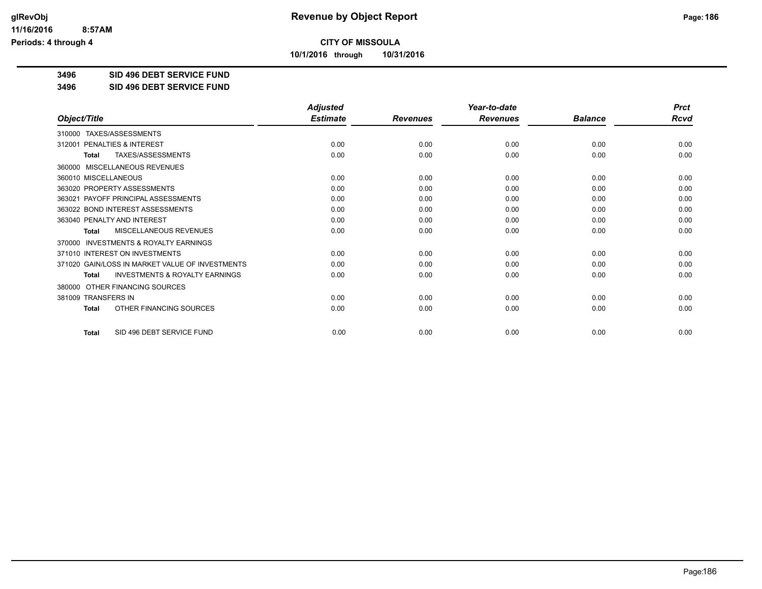**10/1/2016 through 10/31/2016**

**3496 SID 496 DEBT SERVICE FUND**

**3496 SID 496 DEBT SERVICE FUND**

|                                                     | <b>Adjusted</b> |                 | Year-to-date    |                | <b>Prct</b> |
|-----------------------------------------------------|-----------------|-----------------|-----------------|----------------|-------------|
| Object/Title                                        | <b>Estimate</b> | <b>Revenues</b> | <b>Revenues</b> | <b>Balance</b> | <b>Rcvd</b> |
| TAXES/ASSESSMENTS<br>310000                         |                 |                 |                 |                |             |
| PENALTIES & INTEREST<br>312001                      | 0.00            | 0.00            | 0.00            | 0.00           | 0.00        |
| TAXES/ASSESSMENTS<br><b>Total</b>                   | 0.00            | 0.00            | 0.00            | 0.00           | 0.00        |
| MISCELLANEOUS REVENUES<br>360000                    |                 |                 |                 |                |             |
| 360010 MISCELLANEOUS                                | 0.00            | 0.00            | 0.00            | 0.00           | 0.00        |
| 363020 PROPERTY ASSESSMENTS                         | 0.00            | 0.00            | 0.00            | 0.00           | 0.00        |
| 363021 PAYOFF PRINCIPAL ASSESSMENTS                 | 0.00            | 0.00            | 0.00            | 0.00           | 0.00        |
| 363022 BOND INTEREST ASSESSMENTS                    | 0.00            | 0.00            | 0.00            | 0.00           | 0.00        |
| 363040 PENALTY AND INTEREST                         | 0.00            | 0.00            | 0.00            | 0.00           | 0.00        |
| MISCELLANEOUS REVENUES<br>Total                     | 0.00            | 0.00            | 0.00            | 0.00           | 0.00        |
| <b>INVESTMENTS &amp; ROYALTY EARNINGS</b><br>370000 |                 |                 |                 |                |             |
| 371010 INTEREST ON INVESTMENTS                      | 0.00            | 0.00            | 0.00            | 0.00           | 0.00        |
| 371020 GAIN/LOSS IN MARKET VALUE OF INVESTMENTS     | 0.00            | 0.00            | 0.00            | 0.00           | 0.00        |
| <b>INVESTMENTS &amp; ROYALTY EARNINGS</b><br>Total  | 0.00            | 0.00            | 0.00            | 0.00           | 0.00        |
| OTHER FINANCING SOURCES<br>380000                   |                 |                 |                 |                |             |
| 381009 TRANSFERS IN                                 | 0.00            | 0.00            | 0.00            | 0.00           | 0.00        |
| OTHER FINANCING SOURCES<br><b>Total</b>             | 0.00            | 0.00            | 0.00            | 0.00           | 0.00        |
| SID 496 DEBT SERVICE FUND<br><b>Total</b>           | 0.00            | 0.00            | 0.00            | 0.00           | 0.00        |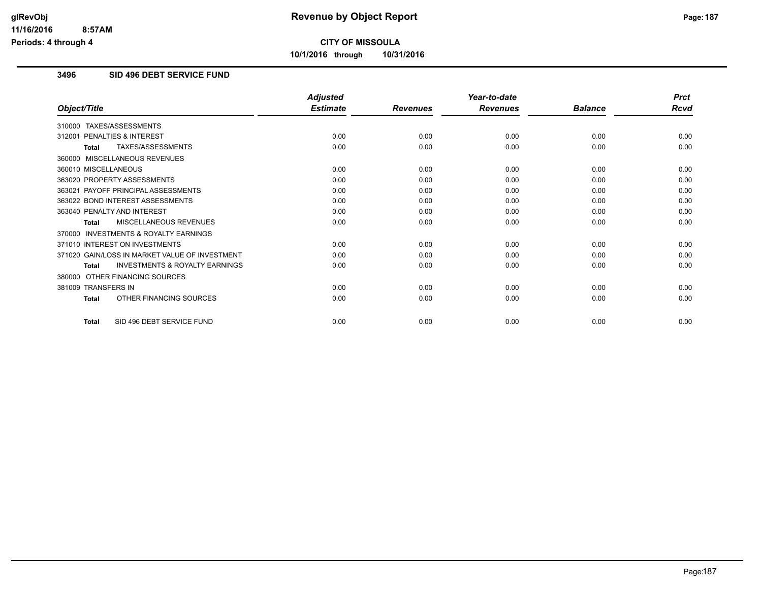**8:57AM**

**CITY OF MISSOULA**

**10/1/2016 through 10/31/2016**

## **3496 SID 496 DEBT SERVICE FUND**

|                                                           | <b>Adjusted</b> |                 | Year-to-date    |                | <b>Prct</b> |
|-----------------------------------------------------------|-----------------|-----------------|-----------------|----------------|-------------|
| Object/Title                                              | <b>Estimate</b> | <b>Revenues</b> | <b>Revenues</b> | <b>Balance</b> | <b>Rcvd</b> |
| 310000 TAXES/ASSESSMENTS                                  |                 |                 |                 |                |             |
| 312001 PENALTIES & INTEREST                               | 0.00            | 0.00            | 0.00            | 0.00           | 0.00        |
| TAXES/ASSESSMENTS<br>Total                                | 0.00            | 0.00            | 0.00            | 0.00           | 0.00        |
| 360000 MISCELLANEOUS REVENUES                             |                 |                 |                 |                |             |
| 360010 MISCELLANEOUS                                      | 0.00            | 0.00            | 0.00            | 0.00           | 0.00        |
| 363020 PROPERTY ASSESSMENTS                               | 0.00            | 0.00            | 0.00            | 0.00           | 0.00        |
| 363021 PAYOFF PRINCIPAL ASSESSMENTS                       | 0.00            | 0.00            | 0.00            | 0.00           | 0.00        |
| 363022 BOND INTEREST ASSESSMENTS                          | 0.00            | 0.00            | 0.00            | 0.00           | 0.00        |
| 363040 PENALTY AND INTEREST                               | 0.00            | 0.00            | 0.00            | 0.00           | 0.00        |
| MISCELLANEOUS REVENUES<br><b>Total</b>                    | 0.00            | 0.00            | 0.00            | 0.00           | 0.00        |
| <b>INVESTMENTS &amp; ROYALTY EARNINGS</b><br>370000       |                 |                 |                 |                |             |
| 371010 INTEREST ON INVESTMENTS                            | 0.00            | 0.00            | 0.00            | 0.00           | 0.00        |
| 371020 GAIN/LOSS IN MARKET VALUE OF INVESTMENT            | 0.00            | 0.00            | 0.00            | 0.00           | 0.00        |
| <b>INVESTMENTS &amp; ROYALTY EARNINGS</b><br><b>Total</b> | 0.00            | 0.00            | 0.00            | 0.00           | 0.00        |
| 380000 OTHER FINANCING SOURCES                            |                 |                 |                 |                |             |
| 381009 TRANSFERS IN                                       | 0.00            | 0.00            | 0.00            | 0.00           | 0.00        |
| OTHER FINANCING SOURCES<br><b>Total</b>                   | 0.00            | 0.00            | 0.00            | 0.00           | 0.00        |
| SID 496 DEBT SERVICE FUND<br><b>Total</b>                 | 0.00            | 0.00            | 0.00            | 0.00           | 0.00        |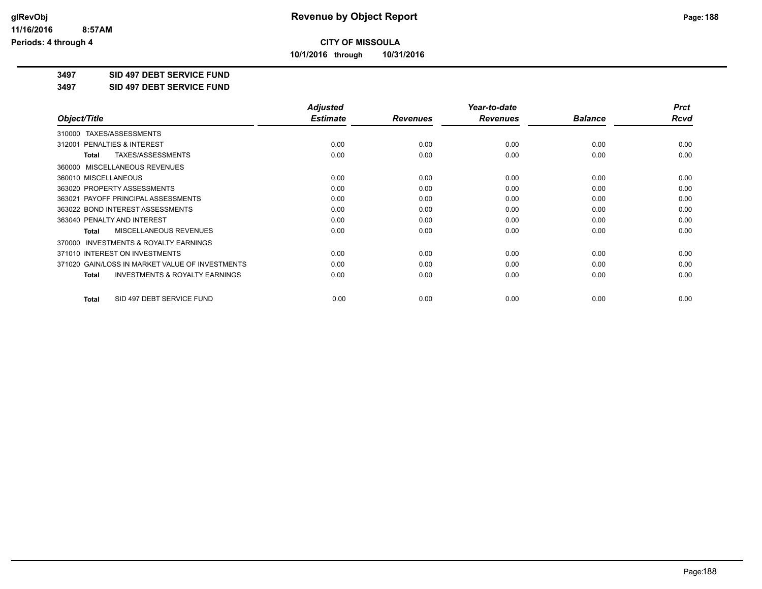**10/1/2016 through 10/31/2016**

**3497 SID 497 DEBT SERVICE FUND**

**3497 SID 497 DEBT SERVICE FUND**

|                                                           | <b>Adjusted</b> |                 | Year-to-date    |                | <b>Prct</b> |
|-----------------------------------------------------------|-----------------|-----------------|-----------------|----------------|-------------|
| Object/Title                                              | <b>Estimate</b> | <b>Revenues</b> | <b>Revenues</b> | <b>Balance</b> | <b>Rcvd</b> |
| 310000 TAXES/ASSESSMENTS                                  |                 |                 |                 |                |             |
| 312001 PENALTIES & INTEREST                               | 0.00            | 0.00            | 0.00            | 0.00           | 0.00        |
| TAXES/ASSESSMENTS<br><b>Total</b>                         | 0.00            | 0.00            | 0.00            | 0.00           | 0.00        |
| 360000 MISCELLANEOUS REVENUES                             |                 |                 |                 |                |             |
| 360010 MISCELLANEOUS                                      | 0.00            | 0.00            | 0.00            | 0.00           | 0.00        |
| 363020 PROPERTY ASSESSMENTS                               | 0.00            | 0.00            | 0.00            | 0.00           | 0.00        |
| 363021 PAYOFF PRINCIPAL ASSESSMENTS                       | 0.00            | 0.00            | 0.00            | 0.00           | 0.00        |
| 363022 BOND INTEREST ASSESSMENTS                          | 0.00            | 0.00            | 0.00            | 0.00           | 0.00        |
| 363040 PENALTY AND INTEREST                               | 0.00            | 0.00            | 0.00            | 0.00           | 0.00        |
| <b>MISCELLANEOUS REVENUES</b><br><b>Total</b>             | 0.00            | 0.00            | 0.00            | 0.00           | 0.00        |
| <b>INVESTMENTS &amp; ROYALTY EARNINGS</b><br>370000       |                 |                 |                 |                |             |
| 371010 INTEREST ON INVESTMENTS                            | 0.00            | 0.00            | 0.00            | 0.00           | 0.00        |
| 371020 GAIN/LOSS IN MARKET VALUE OF INVESTMENTS           | 0.00            | 0.00            | 0.00            | 0.00           | 0.00        |
| <b>INVESTMENTS &amp; ROYALTY EARNINGS</b><br><b>Total</b> | 0.00            | 0.00            | 0.00            | 0.00           | 0.00        |
| SID 497 DEBT SERVICE FUND<br><b>Total</b>                 | 0.00            | 0.00            | 0.00            | 0.00           | 0.00        |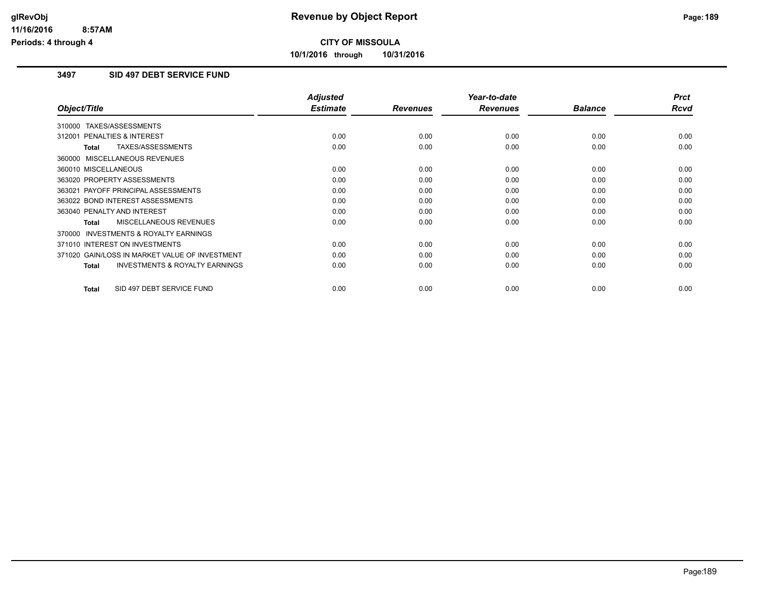**CITY OF MISSOULA**

**10/1/2016 through 10/31/2016**

### **3497 SID 497 DEBT SERVICE FUND**

|                                                           | <b>Adjusted</b> |                 | Year-to-date    |                | <b>Prct</b> |
|-----------------------------------------------------------|-----------------|-----------------|-----------------|----------------|-------------|
| Object/Title                                              | <b>Estimate</b> | <b>Revenues</b> | <b>Revenues</b> | <b>Balance</b> | Rcvd        |
| 310000 TAXES/ASSESSMENTS                                  |                 |                 |                 |                |             |
| 312001 PENALTIES & INTEREST                               | 0.00            | 0.00            | 0.00            | 0.00           | 0.00        |
| TAXES/ASSESSMENTS<br><b>Total</b>                         | 0.00            | 0.00            | 0.00            | 0.00           | 0.00        |
| 360000 MISCELLANEOUS REVENUES                             |                 |                 |                 |                |             |
| 360010 MISCELLANEOUS                                      | 0.00            | 0.00            | 0.00            | 0.00           | 0.00        |
| 363020 PROPERTY ASSESSMENTS                               | 0.00            | 0.00            | 0.00            | 0.00           | 0.00        |
| 363021 PAYOFF PRINCIPAL ASSESSMENTS                       | 0.00            | 0.00            | 0.00            | 0.00           | 0.00        |
| 363022 BOND INTEREST ASSESSMENTS                          | 0.00            | 0.00            | 0.00            | 0.00           | 0.00        |
| 363040 PENALTY AND INTEREST                               | 0.00            | 0.00            | 0.00            | 0.00           | 0.00        |
| <b>MISCELLANEOUS REVENUES</b><br><b>Total</b>             | 0.00            | 0.00            | 0.00            | 0.00           | 0.00        |
| <b>INVESTMENTS &amp; ROYALTY EARNINGS</b><br>370000       |                 |                 |                 |                |             |
| 371010 INTEREST ON INVESTMENTS                            | 0.00            | 0.00            | 0.00            | 0.00           | 0.00        |
| 371020 GAIN/LOSS IN MARKET VALUE OF INVESTMENT            | 0.00            | 0.00            | 0.00            | 0.00           | 0.00        |
| <b>INVESTMENTS &amp; ROYALTY EARNINGS</b><br><b>Total</b> | 0.00            | 0.00            | 0.00            | 0.00           | 0.00        |
| SID 497 DEBT SERVICE FUND<br>Total                        | 0.00            | 0.00            | 0.00            | 0.00           | 0.00        |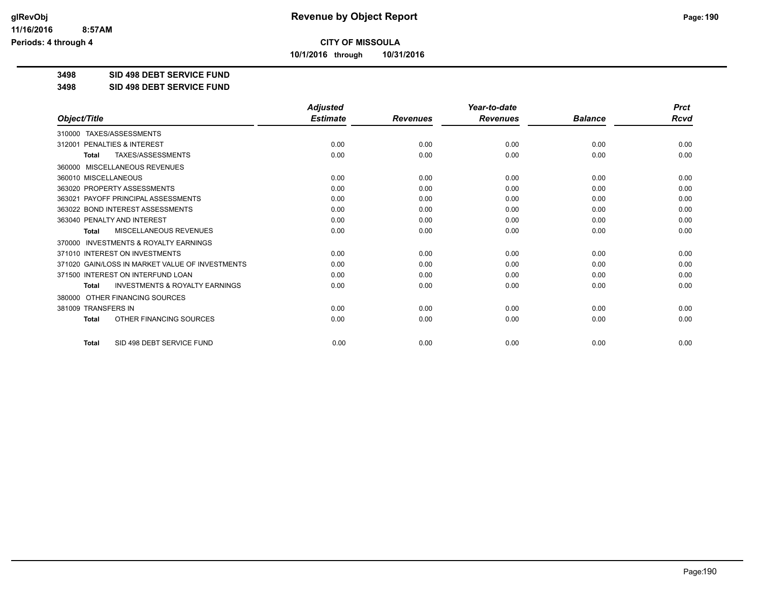**10/1/2016 through 10/31/2016**

**3498 SID 498 DEBT SERVICE FUND**

**3498 SID 498 DEBT SERVICE FUND**

|                                                    | <b>Adjusted</b> |                 | Year-to-date    |                | <b>Prct</b> |
|----------------------------------------------------|-----------------|-----------------|-----------------|----------------|-------------|
| Object/Title                                       | <b>Estimate</b> | <b>Revenues</b> | <b>Revenues</b> | <b>Balance</b> | <b>Rcvd</b> |
| <b>TAXES/ASSESSMENTS</b><br>310000                 |                 |                 |                 |                |             |
| 312001 PENALTIES & INTEREST                        | 0.00            | 0.00            | 0.00            | 0.00           | 0.00        |
| <b>TAXES/ASSESSMENTS</b><br><b>Total</b>           | 0.00            | 0.00            | 0.00            | 0.00           | 0.00        |
| MISCELLANEOUS REVENUES<br>360000                   |                 |                 |                 |                |             |
| 360010 MISCELLANEOUS                               | 0.00            | 0.00            | 0.00            | 0.00           | 0.00        |
| 363020 PROPERTY ASSESSMENTS                        | 0.00            | 0.00            | 0.00            | 0.00           | 0.00        |
| 363021 PAYOFF PRINCIPAL ASSESSMENTS                | 0.00            | 0.00            | 0.00            | 0.00           | 0.00        |
| 363022 BOND INTEREST ASSESSMENTS                   | 0.00            | 0.00            | 0.00            | 0.00           | 0.00        |
| 363040 PENALTY AND INTEREST                        | 0.00            | 0.00            | 0.00            | 0.00           | 0.00        |
| <b>MISCELLANEOUS REVENUES</b><br><b>Total</b>      | 0.00            | 0.00            | 0.00            | 0.00           | 0.00        |
| INVESTMENTS & ROYALTY EARNINGS<br>370000           |                 |                 |                 |                |             |
| 371010 INTEREST ON INVESTMENTS                     | 0.00            | 0.00            | 0.00            | 0.00           | 0.00        |
| 371020 GAIN/LOSS IN MARKET VALUE OF INVESTMENTS    | 0.00            | 0.00            | 0.00            | 0.00           | 0.00        |
| 371500 INTEREST ON INTERFUND LOAN                  | 0.00            | 0.00            | 0.00            | 0.00           | 0.00        |
| <b>INVESTMENTS &amp; ROYALTY EARNINGS</b><br>Total | 0.00            | 0.00            | 0.00            | 0.00           | 0.00        |
| OTHER FINANCING SOURCES<br>380000                  |                 |                 |                 |                |             |
| 381009 TRANSFERS IN                                | 0.00            | 0.00            | 0.00            | 0.00           | 0.00        |
| OTHER FINANCING SOURCES<br><b>Total</b>            | 0.00            | 0.00            | 0.00            | 0.00           | 0.00        |
| SID 498 DEBT SERVICE FUND<br><b>Total</b>          | 0.00            | 0.00            | 0.00            | 0.00           | 0.00        |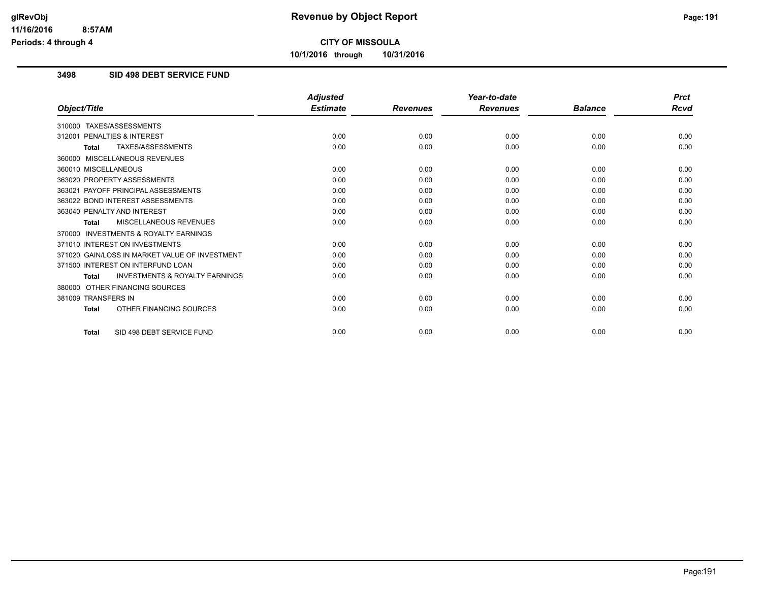**CITY OF MISSOULA**

**10/1/2016 through 10/31/2016**

### **3498 SID 498 DEBT SERVICE FUND**

|                                                           | <b>Adjusted</b> |                 | Year-to-date    |                | <b>Prct</b> |
|-----------------------------------------------------------|-----------------|-----------------|-----------------|----------------|-------------|
| Object/Title                                              | <b>Estimate</b> | <b>Revenues</b> | <b>Revenues</b> | <b>Balance</b> | <b>Rcvd</b> |
| TAXES/ASSESSMENTS<br>310000                               |                 |                 |                 |                |             |
| PENALTIES & INTEREST<br>312001                            | 0.00            | 0.00            | 0.00            | 0.00           | 0.00        |
| TAXES/ASSESSMENTS<br>Total                                | 0.00            | 0.00            | 0.00            | 0.00           | 0.00        |
| 360000 MISCELLANEOUS REVENUES                             |                 |                 |                 |                |             |
| 360010 MISCELLANEOUS                                      | 0.00            | 0.00            | 0.00            | 0.00           | 0.00        |
| 363020 PROPERTY ASSESSMENTS                               | 0.00            | 0.00            | 0.00            | 0.00           | 0.00        |
| 363021 PAYOFF PRINCIPAL ASSESSMENTS                       | 0.00            | 0.00            | 0.00            | 0.00           | 0.00        |
| 363022 BOND INTEREST ASSESSMENTS                          | 0.00            | 0.00            | 0.00            | 0.00           | 0.00        |
| 363040 PENALTY AND INTEREST                               | 0.00            | 0.00            | 0.00            | 0.00           | 0.00        |
| MISCELLANEOUS REVENUES<br><b>Total</b>                    | 0.00            | 0.00            | 0.00            | 0.00           | 0.00        |
| 370000 INVESTMENTS & ROYALTY EARNINGS                     |                 |                 |                 |                |             |
| 371010 INTEREST ON INVESTMENTS                            | 0.00            | 0.00            | 0.00            | 0.00           | 0.00        |
| 371020 GAIN/LOSS IN MARKET VALUE OF INVESTMENT            | 0.00            | 0.00            | 0.00            | 0.00           | 0.00        |
| 371500 INTEREST ON INTERFUND LOAN                         | 0.00            | 0.00            | 0.00            | 0.00           | 0.00        |
| <b>INVESTMENTS &amp; ROYALTY EARNINGS</b><br><b>Total</b> | 0.00            | 0.00            | 0.00            | 0.00           | 0.00        |
| OTHER FINANCING SOURCES<br>380000                         |                 |                 |                 |                |             |
| 381009 TRANSFERS IN                                       | 0.00            | 0.00            | 0.00            | 0.00           | 0.00        |
| OTHER FINANCING SOURCES<br><b>Total</b>                   | 0.00            | 0.00            | 0.00            | 0.00           | 0.00        |
| SID 498 DEBT SERVICE FUND<br><b>Total</b>                 | 0.00            | 0.00            | 0.00            | 0.00           | 0.00        |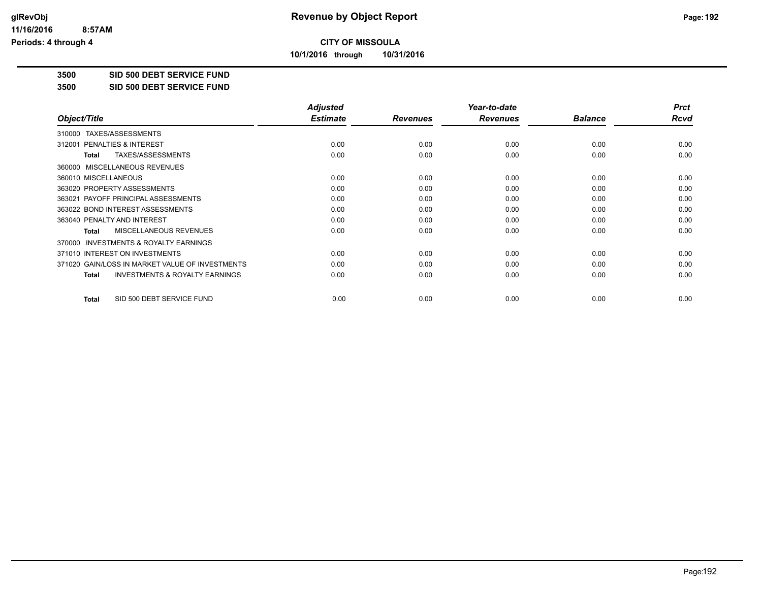**10/1/2016 through 10/31/2016**

**3500 SID 500 DEBT SERVICE FUND**

**3500 SID 500 DEBT SERVICE FUND**

|                                                           | <b>Adjusted</b> |                 | Year-to-date    |                | <b>Prct</b> |
|-----------------------------------------------------------|-----------------|-----------------|-----------------|----------------|-------------|
| Object/Title                                              | <b>Estimate</b> | <b>Revenues</b> | <b>Revenues</b> | <b>Balance</b> | Rcvd        |
| 310000 TAXES/ASSESSMENTS                                  |                 |                 |                 |                |             |
| 312001 PENALTIES & INTEREST                               | 0.00            | 0.00            | 0.00            | 0.00           | 0.00        |
| TAXES/ASSESSMENTS<br><b>Total</b>                         | 0.00            | 0.00            | 0.00            | 0.00           | 0.00        |
| MISCELLANEOUS REVENUES<br>360000                          |                 |                 |                 |                |             |
| 360010 MISCELLANEOUS                                      | 0.00            | 0.00            | 0.00            | 0.00           | 0.00        |
| 363020 PROPERTY ASSESSMENTS                               | 0.00            | 0.00            | 0.00            | 0.00           | 0.00        |
| 363021 PAYOFF PRINCIPAL ASSESSMENTS                       | 0.00            | 0.00            | 0.00            | 0.00           | 0.00        |
| 363022 BOND INTEREST ASSESSMENTS                          | 0.00            | 0.00            | 0.00            | 0.00           | 0.00        |
| 363040 PENALTY AND INTEREST                               | 0.00            | 0.00            | 0.00            | 0.00           | 0.00        |
| <b>MISCELLANEOUS REVENUES</b><br>Total                    | 0.00            | 0.00            | 0.00            | 0.00           | 0.00        |
| 370000 INVESTMENTS & ROYALTY EARNINGS                     |                 |                 |                 |                |             |
| 371010 INTEREST ON INVESTMENTS                            | 0.00            | 0.00            | 0.00            | 0.00           | 0.00        |
| 371020 GAIN/LOSS IN MARKET VALUE OF INVESTMENTS           | 0.00            | 0.00            | 0.00            | 0.00           | 0.00        |
| <b>INVESTMENTS &amp; ROYALTY EARNINGS</b><br><b>Total</b> | 0.00            | 0.00            | 0.00            | 0.00           | 0.00        |
| SID 500 DEBT SERVICE FUND<br><b>Total</b>                 | 0.00            | 0.00            | 0.00            | 0.00           | 0.00        |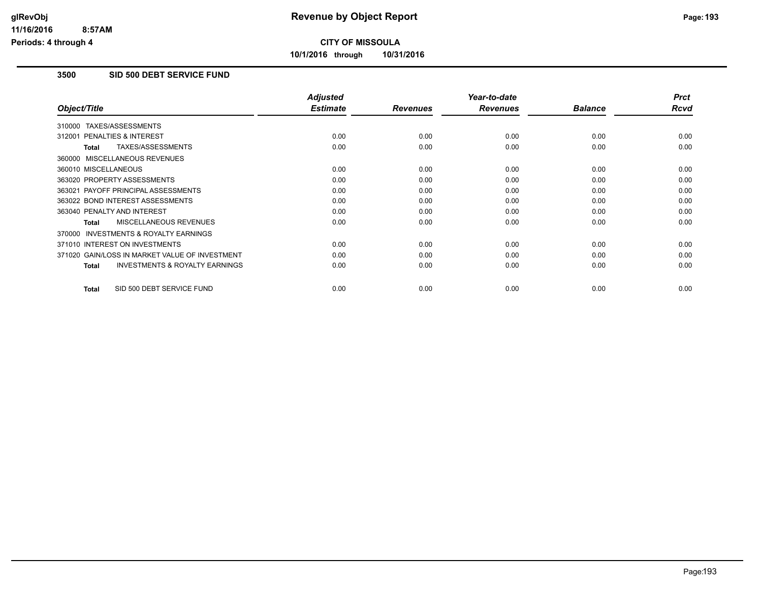**CITY OF MISSOULA**

**10/1/2016 through 10/31/2016**

## **3500 SID 500 DEBT SERVICE FUND**

|                                                           | <b>Adjusted</b> |                 | Year-to-date    |                | <b>Prct</b> |
|-----------------------------------------------------------|-----------------|-----------------|-----------------|----------------|-------------|
| Object/Title                                              | <b>Estimate</b> | <b>Revenues</b> | <b>Revenues</b> | <b>Balance</b> | Rcvd        |
| 310000 TAXES/ASSESSMENTS                                  |                 |                 |                 |                |             |
| 312001 PENALTIES & INTEREST                               | 0.00            | 0.00            | 0.00            | 0.00           | 0.00        |
| TAXES/ASSESSMENTS<br><b>Total</b>                         | 0.00            | 0.00            | 0.00            | 0.00           | 0.00        |
| 360000 MISCELLANEOUS REVENUES                             |                 |                 |                 |                |             |
| 360010 MISCELLANEOUS                                      | 0.00            | 0.00            | 0.00            | 0.00           | 0.00        |
| 363020 PROPERTY ASSESSMENTS                               | 0.00            | 0.00            | 0.00            | 0.00           | 0.00        |
| 363021 PAYOFF PRINCIPAL ASSESSMENTS                       | 0.00            | 0.00            | 0.00            | 0.00           | 0.00        |
| 363022 BOND INTEREST ASSESSMENTS                          | 0.00            | 0.00            | 0.00            | 0.00           | 0.00        |
| 363040 PENALTY AND INTEREST                               | 0.00            | 0.00            | 0.00            | 0.00           | 0.00        |
| <b>MISCELLANEOUS REVENUES</b><br>Total                    | 0.00            | 0.00            | 0.00            | 0.00           | 0.00        |
| <b>INVESTMENTS &amp; ROYALTY EARNINGS</b><br>370000       |                 |                 |                 |                |             |
| 371010 INTEREST ON INVESTMENTS                            | 0.00            | 0.00            | 0.00            | 0.00           | 0.00        |
| 371020 GAIN/LOSS IN MARKET VALUE OF INVESTMENT            | 0.00            | 0.00            | 0.00            | 0.00           | 0.00        |
| <b>INVESTMENTS &amp; ROYALTY EARNINGS</b><br><b>Total</b> | 0.00            | 0.00            | 0.00            | 0.00           | 0.00        |
| SID 500 DEBT SERVICE FUND<br><b>Total</b>                 | 0.00            | 0.00            | 0.00            | 0.00           | 0.00        |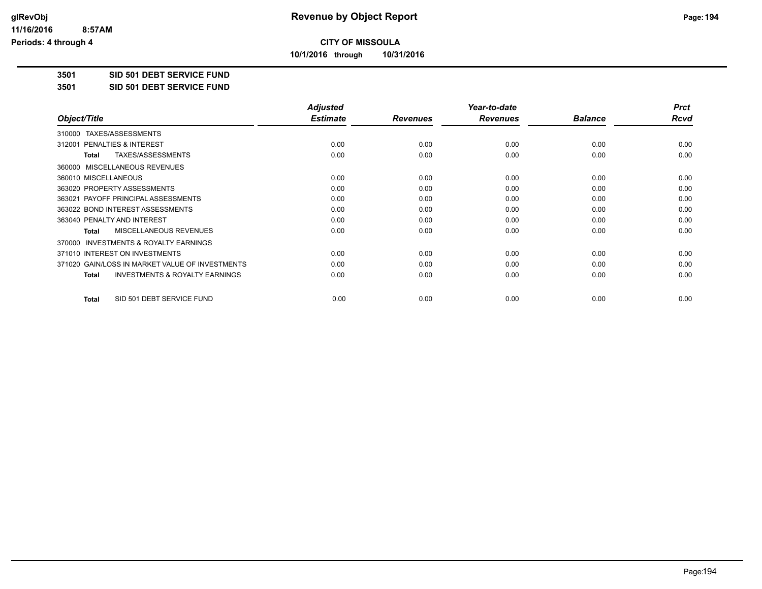**10/1/2016 through 10/31/2016**

**3501 SID 501 DEBT SERVICE FUND**

**3501 SID 501 DEBT SERVICE FUND**

|                                                     | <b>Adjusted</b> |                 | Year-to-date    |                | <b>Prct</b> |
|-----------------------------------------------------|-----------------|-----------------|-----------------|----------------|-------------|
| Object/Title                                        | <b>Estimate</b> | <b>Revenues</b> | <b>Revenues</b> | <b>Balance</b> | <b>Rcvd</b> |
| 310000 TAXES/ASSESSMENTS                            |                 |                 |                 |                |             |
| 312001 PENALTIES & INTEREST                         | 0.00            | 0.00            | 0.00            | 0.00           | 0.00        |
| TAXES/ASSESSMENTS<br>Total                          | 0.00            | 0.00            | 0.00            | 0.00           | 0.00        |
| 360000 MISCELLANEOUS REVENUES                       |                 |                 |                 |                |             |
| 360010 MISCELLANEOUS                                | 0.00            | 0.00            | 0.00            | 0.00           | 0.00        |
| 363020 PROPERTY ASSESSMENTS                         | 0.00            | 0.00            | 0.00            | 0.00           | 0.00        |
| 363021 PAYOFF PRINCIPAL ASSESSMENTS                 | 0.00            | 0.00            | 0.00            | 0.00           | 0.00        |
| 363022 BOND INTEREST ASSESSMENTS                    | 0.00            | 0.00            | 0.00            | 0.00           | 0.00        |
| 363040 PENALTY AND INTEREST                         | 0.00            | 0.00            | 0.00            | 0.00           | 0.00        |
| <b>MISCELLANEOUS REVENUES</b><br>Total              | 0.00            | 0.00            | 0.00            | 0.00           | 0.00        |
| <b>INVESTMENTS &amp; ROYALTY EARNINGS</b><br>370000 |                 |                 |                 |                |             |
| 371010 INTEREST ON INVESTMENTS                      | 0.00            | 0.00            | 0.00            | 0.00           | 0.00        |
| 371020 GAIN/LOSS IN MARKET VALUE OF INVESTMENTS     | 0.00            | 0.00            | 0.00            | 0.00           | 0.00        |
| <b>INVESTMENTS &amp; ROYALTY EARNINGS</b><br>Total  | 0.00            | 0.00            | 0.00            | 0.00           | 0.00        |
| SID 501 DEBT SERVICE FUND<br><b>Total</b>           | 0.00            | 0.00            | 0.00            | 0.00           | 0.00        |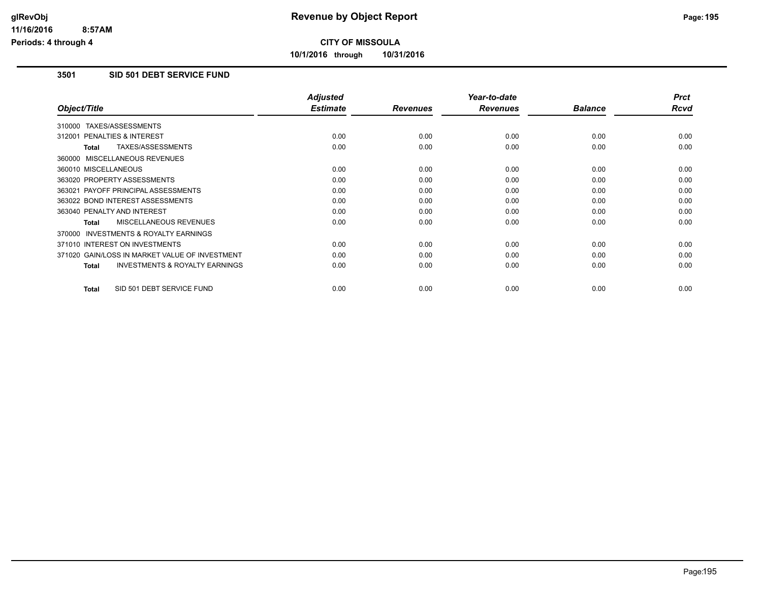**10/1/2016 through 10/31/2016**

## **3501 SID 501 DEBT SERVICE FUND**

|                                                    | Adjusted        |                 | Year-to-date    |                | <b>Prct</b> |
|----------------------------------------------------|-----------------|-----------------|-----------------|----------------|-------------|
| Object/Title                                       | <b>Estimate</b> | <b>Revenues</b> | <b>Revenues</b> | <b>Balance</b> | Rcvd        |
| 310000 TAXES/ASSESSMENTS                           |                 |                 |                 |                |             |
| 312001 PENALTIES & INTEREST                        | 0.00            | 0.00            | 0.00            | 0.00           | 0.00        |
| TAXES/ASSESSMENTS<br>Total                         | 0.00            | 0.00            | 0.00            | 0.00           | 0.00        |
| 360000 MISCELLANEOUS REVENUES                      |                 |                 |                 |                |             |
| 360010 MISCELLANEOUS                               | 0.00            | 0.00            | 0.00            | 0.00           | 0.00        |
| 363020 PROPERTY ASSESSMENTS                        | 0.00            | 0.00            | 0.00            | 0.00           | 0.00        |
| 363021 PAYOFF PRINCIPAL ASSESSMENTS                | 0.00            | 0.00            | 0.00            | 0.00           | 0.00        |
| 363022 BOND INTEREST ASSESSMENTS                   | 0.00            | 0.00            | 0.00            | 0.00           | 0.00        |
| 363040 PENALTY AND INTEREST                        | 0.00            | 0.00            | 0.00            | 0.00           | 0.00        |
| <b>MISCELLANEOUS REVENUES</b><br>Total             | 0.00            | 0.00            | 0.00            | 0.00           | 0.00        |
| INVESTMENTS & ROYALTY EARNINGS<br>370000           |                 |                 |                 |                |             |
| 371010 INTEREST ON INVESTMENTS                     | 0.00            | 0.00            | 0.00            | 0.00           | 0.00        |
| 371020 GAIN/LOSS IN MARKET VALUE OF INVESTMENT     | 0.00            | 0.00            | 0.00            | 0.00           | 0.00        |
| <b>INVESTMENTS &amp; ROYALTY EARNINGS</b><br>Total | 0.00            | 0.00            | 0.00            | 0.00           | 0.00        |
| SID 501 DEBT SERVICE FUND<br><b>Total</b>          | 0.00            | 0.00            | 0.00            | 0.00           | 0.00        |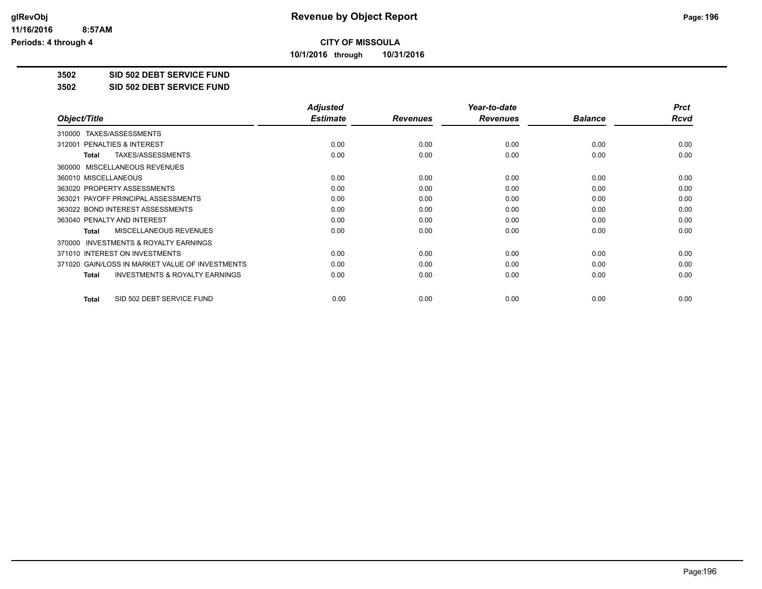**10/1/2016 through 10/31/2016**

**3502 SID 502 DEBT SERVICE FUND**

**3502 SID 502 DEBT SERVICE FUND**

|                                                           | <b>Adjusted</b> |                 | Year-to-date    |                | <b>Prct</b> |
|-----------------------------------------------------------|-----------------|-----------------|-----------------|----------------|-------------|
| Object/Title                                              | <b>Estimate</b> | <b>Revenues</b> | <b>Revenues</b> | <b>Balance</b> | Rcvd        |
| TAXES/ASSESSMENTS<br>310000                               |                 |                 |                 |                |             |
| 312001 PENALTIES & INTEREST                               | 0.00            | 0.00            | 0.00            | 0.00           | 0.00        |
| TAXES/ASSESSMENTS<br><b>Total</b>                         | 0.00            | 0.00            | 0.00            | 0.00           | 0.00        |
| MISCELLANEOUS REVENUES<br>360000                          |                 |                 |                 |                |             |
| 360010 MISCELLANEOUS                                      | 0.00            | 0.00            | 0.00            | 0.00           | 0.00        |
| 363020 PROPERTY ASSESSMENTS                               | 0.00            | 0.00            | 0.00            | 0.00           | 0.00        |
| 363021 PAYOFF PRINCIPAL ASSESSMENTS                       | 0.00            | 0.00            | 0.00            | 0.00           | 0.00        |
| 363022 BOND INTEREST ASSESSMENTS                          | 0.00            | 0.00            | 0.00            | 0.00           | 0.00        |
| 363040 PENALTY AND INTEREST                               | 0.00            | 0.00            | 0.00            | 0.00           | 0.00        |
| MISCELLANEOUS REVENUES<br>Total                           | 0.00            | 0.00            | 0.00            | 0.00           | 0.00        |
| INVESTMENTS & ROYALTY EARNINGS<br>370000                  |                 |                 |                 |                |             |
| 371010 INTEREST ON INVESTMENTS                            | 0.00            | 0.00            | 0.00            | 0.00           | 0.00        |
| 371020 GAIN/LOSS IN MARKET VALUE OF INVESTMENTS           | 0.00            | 0.00            | 0.00            | 0.00           | 0.00        |
| <b>INVESTMENTS &amp; ROYALTY EARNINGS</b><br><b>Total</b> | 0.00            | 0.00            | 0.00            | 0.00           | 0.00        |
| SID 502 DEBT SERVICE FUND<br><b>Total</b>                 | 0.00            | 0.00            | 0.00            | 0.00           | 0.00        |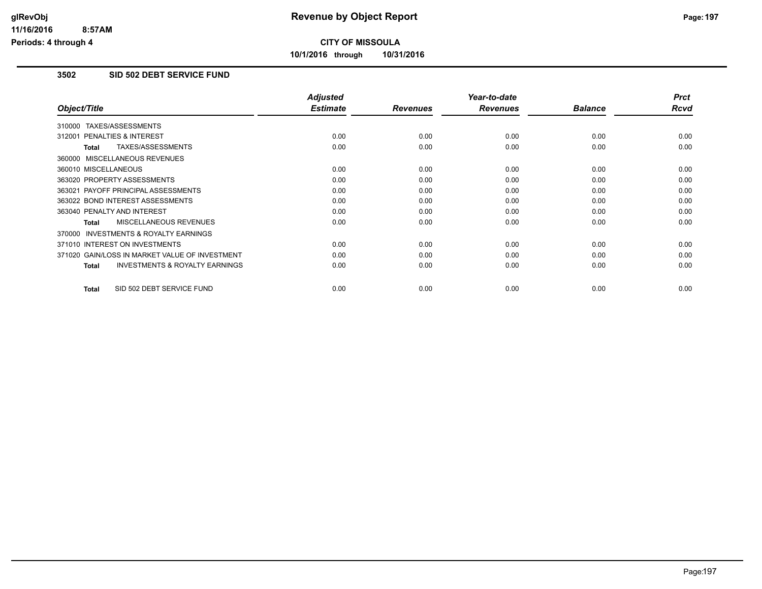**10/1/2016 through 10/31/2016**

### **3502 SID 502 DEBT SERVICE FUND**

|                                                           | <b>Adjusted</b> |                 | Year-to-date    |                | <b>Prct</b> |
|-----------------------------------------------------------|-----------------|-----------------|-----------------|----------------|-------------|
| Object/Title                                              | <b>Estimate</b> | <b>Revenues</b> | <b>Revenues</b> | <b>Balance</b> | <b>Rcvd</b> |
| 310000 TAXES/ASSESSMENTS                                  |                 |                 |                 |                |             |
| 312001 PENALTIES & INTEREST                               | 0.00            | 0.00            | 0.00            | 0.00           | 0.00        |
| TAXES/ASSESSMENTS<br><b>Total</b>                         | 0.00            | 0.00            | 0.00            | 0.00           | 0.00        |
| 360000 MISCELLANEOUS REVENUES                             |                 |                 |                 |                |             |
| 360010 MISCELLANEOUS                                      | 0.00            | 0.00            | 0.00            | 0.00           | 0.00        |
| 363020 PROPERTY ASSESSMENTS                               | 0.00            | 0.00            | 0.00            | 0.00           | 0.00        |
| 363021 PAYOFF PRINCIPAL ASSESSMENTS                       | 0.00            | 0.00            | 0.00            | 0.00           | 0.00        |
| 363022 BOND INTEREST ASSESSMENTS                          | 0.00            | 0.00            | 0.00            | 0.00           | 0.00        |
| 363040 PENALTY AND INTEREST                               | 0.00            | 0.00            | 0.00            | 0.00           | 0.00        |
| <b>MISCELLANEOUS REVENUES</b><br>Total                    | 0.00            | 0.00            | 0.00            | 0.00           | 0.00        |
| <b>INVESTMENTS &amp; ROYALTY EARNINGS</b><br>370000       |                 |                 |                 |                |             |
| 371010 INTEREST ON INVESTMENTS                            | 0.00            | 0.00            | 0.00            | 0.00           | 0.00        |
| 371020 GAIN/LOSS IN MARKET VALUE OF INVESTMENT            | 0.00            | 0.00            | 0.00            | 0.00           | 0.00        |
| <b>INVESTMENTS &amp; ROYALTY EARNINGS</b><br><b>Total</b> | 0.00            | 0.00            | 0.00            | 0.00           | 0.00        |
| SID 502 DEBT SERVICE FUND<br><b>Total</b>                 | 0.00            | 0.00            | 0.00            | 0.00           | 0.00        |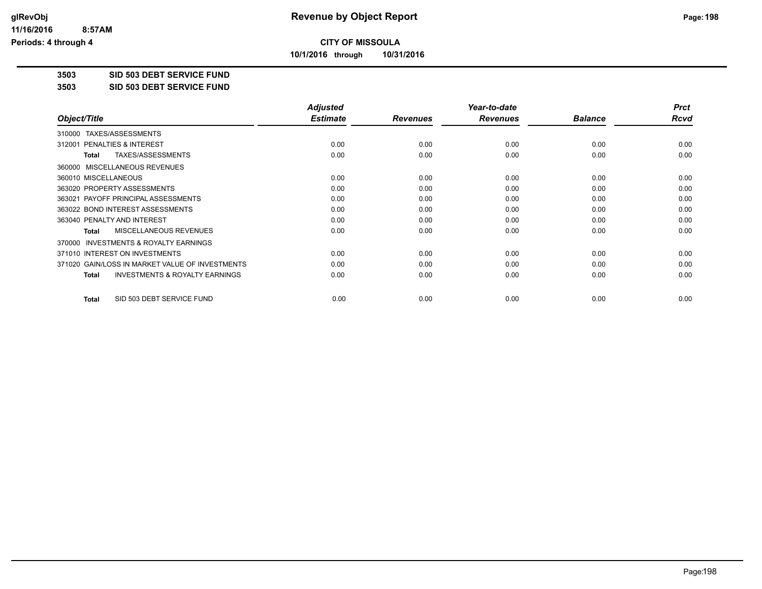**10/1/2016 through 10/31/2016**

**3503 SID 503 DEBT SERVICE FUND**

**3503 SID 503 DEBT SERVICE FUND**

|                                                     | <b>Adjusted</b> |                 | Year-to-date    |                | <b>Prct</b> |
|-----------------------------------------------------|-----------------|-----------------|-----------------|----------------|-------------|
| Object/Title                                        | <b>Estimate</b> | <b>Revenues</b> | <b>Revenues</b> | <b>Balance</b> | <b>Rcvd</b> |
| 310000 TAXES/ASSESSMENTS                            |                 |                 |                 |                |             |
| 312001 PENALTIES & INTEREST                         | 0.00            | 0.00            | 0.00            | 0.00           | 0.00        |
| TAXES/ASSESSMENTS<br>Total                          | 0.00            | 0.00            | 0.00            | 0.00           | 0.00        |
| 360000 MISCELLANEOUS REVENUES                       |                 |                 |                 |                |             |
| 360010 MISCELLANEOUS                                | 0.00            | 0.00            | 0.00            | 0.00           | 0.00        |
| 363020 PROPERTY ASSESSMENTS                         | 0.00            | 0.00            | 0.00            | 0.00           | 0.00        |
| 363021 PAYOFF PRINCIPAL ASSESSMENTS                 | 0.00            | 0.00            | 0.00            | 0.00           | 0.00        |
| 363022 BOND INTEREST ASSESSMENTS                    | 0.00            | 0.00            | 0.00            | 0.00           | 0.00        |
| 363040 PENALTY AND INTEREST                         | 0.00            | 0.00            | 0.00            | 0.00           | 0.00        |
| <b>MISCELLANEOUS REVENUES</b><br>Total              | 0.00            | 0.00            | 0.00            | 0.00           | 0.00        |
| <b>INVESTMENTS &amp; ROYALTY EARNINGS</b><br>370000 |                 |                 |                 |                |             |
| 371010 INTEREST ON INVESTMENTS                      | 0.00            | 0.00            | 0.00            | 0.00           | 0.00        |
| 371020 GAIN/LOSS IN MARKET VALUE OF INVESTMENTS     | 0.00            | 0.00            | 0.00            | 0.00           | 0.00        |
| <b>INVESTMENTS &amp; ROYALTY EARNINGS</b><br>Total  | 0.00            | 0.00            | 0.00            | 0.00           | 0.00        |
| SID 503 DEBT SERVICE FUND<br><b>Total</b>           | 0.00            | 0.00            | 0.00            | 0.00           | 0.00        |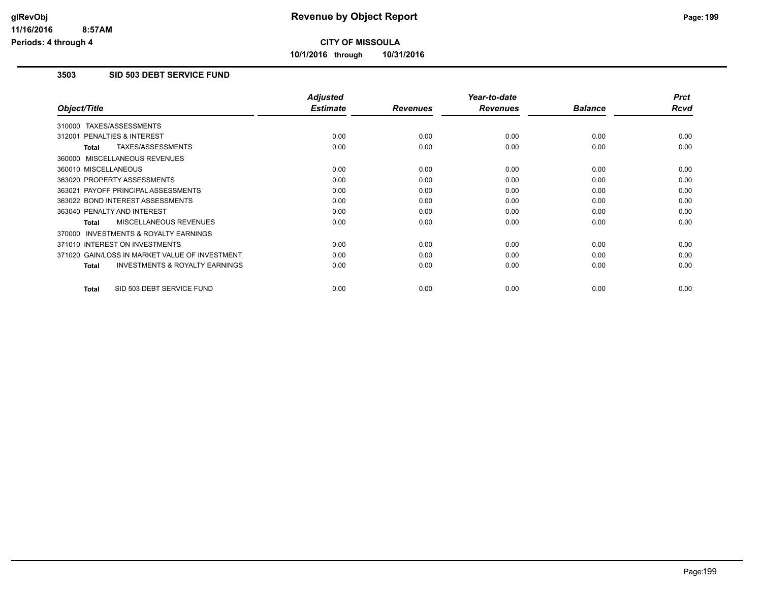**10/1/2016 through 10/31/2016**

## **3503 SID 503 DEBT SERVICE FUND**

|                                                           | <b>Adjusted</b> |                 | Year-to-date    |                | <b>Prct</b> |
|-----------------------------------------------------------|-----------------|-----------------|-----------------|----------------|-------------|
| Object/Title                                              | <b>Estimate</b> | <b>Revenues</b> | <b>Revenues</b> | <b>Balance</b> | Rcvd        |
| 310000 TAXES/ASSESSMENTS                                  |                 |                 |                 |                |             |
| 312001 PENALTIES & INTEREST                               | 0.00            | 0.00            | 0.00            | 0.00           | 0.00        |
| TAXES/ASSESSMENTS<br><b>Total</b>                         | 0.00            | 0.00            | 0.00            | 0.00           | 0.00        |
| 360000 MISCELLANEOUS REVENUES                             |                 |                 |                 |                |             |
| 360010 MISCELLANEOUS                                      | 0.00            | 0.00            | 0.00            | 0.00           | 0.00        |
| 363020 PROPERTY ASSESSMENTS                               | 0.00            | 0.00            | 0.00            | 0.00           | 0.00        |
| 363021 PAYOFF PRINCIPAL ASSESSMENTS                       | 0.00            | 0.00            | 0.00            | 0.00           | 0.00        |
| 363022 BOND INTEREST ASSESSMENTS                          | 0.00            | 0.00            | 0.00            | 0.00           | 0.00        |
| 363040 PENALTY AND INTEREST                               | 0.00            | 0.00            | 0.00            | 0.00           | 0.00        |
| <b>MISCELLANEOUS REVENUES</b><br>Total                    | 0.00            | 0.00            | 0.00            | 0.00           | 0.00        |
| <b>INVESTMENTS &amp; ROYALTY EARNINGS</b><br>370000       |                 |                 |                 |                |             |
| 371010 INTEREST ON INVESTMENTS                            | 0.00            | 0.00            | 0.00            | 0.00           | 0.00        |
| 371020 GAIN/LOSS IN MARKET VALUE OF INVESTMENT            | 0.00            | 0.00            | 0.00            | 0.00           | 0.00        |
| <b>INVESTMENTS &amp; ROYALTY EARNINGS</b><br><b>Total</b> | 0.00            | 0.00            | 0.00            | 0.00           | 0.00        |
| SID 503 DEBT SERVICE FUND<br><b>Total</b>                 | 0.00            | 0.00            | 0.00            | 0.00           | 0.00        |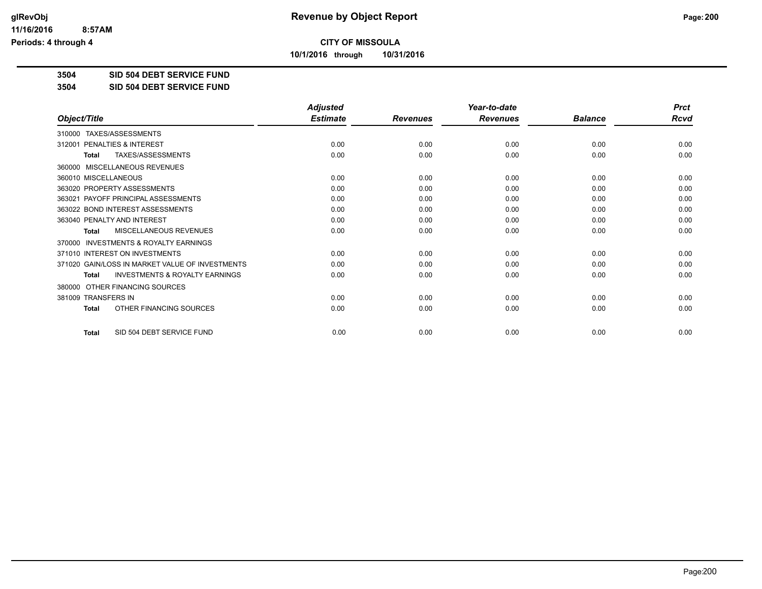**10/1/2016 through 10/31/2016**

**3504 SID 504 DEBT SERVICE FUND**

**3504 SID 504 DEBT SERVICE FUND**

|                                                           | <b>Adjusted</b> |                 | Year-to-date    |                | <b>Prct</b> |
|-----------------------------------------------------------|-----------------|-----------------|-----------------|----------------|-------------|
| Object/Title                                              | <b>Estimate</b> | <b>Revenues</b> | <b>Revenues</b> | <b>Balance</b> | <b>Rcvd</b> |
| TAXES/ASSESSMENTS<br>310000                               |                 |                 |                 |                |             |
| PENALTIES & INTEREST<br>312001                            | 0.00            | 0.00            | 0.00            | 0.00           | 0.00        |
| TAXES/ASSESSMENTS<br>Total                                | 0.00            | 0.00            | 0.00            | 0.00           | 0.00        |
| MISCELLANEOUS REVENUES<br>360000                          |                 |                 |                 |                |             |
| 360010 MISCELLANEOUS                                      | 0.00            | 0.00            | 0.00            | 0.00           | 0.00        |
| 363020 PROPERTY ASSESSMENTS                               | 0.00            | 0.00            | 0.00            | 0.00           | 0.00        |
| 363021 PAYOFF PRINCIPAL ASSESSMENTS                       | 0.00            | 0.00            | 0.00            | 0.00           | 0.00        |
| 363022 BOND INTEREST ASSESSMENTS                          | 0.00            | 0.00            | 0.00            | 0.00           | 0.00        |
| 363040 PENALTY AND INTEREST                               | 0.00            | 0.00            | 0.00            | 0.00           | 0.00        |
| MISCELLANEOUS REVENUES<br><b>Total</b>                    | 0.00            | 0.00            | 0.00            | 0.00           | 0.00        |
| <b>INVESTMENTS &amp; ROYALTY EARNINGS</b><br>370000       |                 |                 |                 |                |             |
| 371010 INTEREST ON INVESTMENTS                            | 0.00            | 0.00            | 0.00            | 0.00           | 0.00        |
| 371020 GAIN/LOSS IN MARKET VALUE OF INVESTMENTS           | 0.00            | 0.00            | 0.00            | 0.00           | 0.00        |
| <b>INVESTMENTS &amp; ROYALTY EARNINGS</b><br><b>Total</b> | 0.00            | 0.00            | 0.00            | 0.00           | 0.00        |
| OTHER FINANCING SOURCES<br>380000                         |                 |                 |                 |                |             |
| 381009 TRANSFERS IN                                       | 0.00            | 0.00            | 0.00            | 0.00           | 0.00        |
| OTHER FINANCING SOURCES<br>Total                          | 0.00            | 0.00            | 0.00            | 0.00           | 0.00        |
| SID 504 DEBT SERVICE FUND<br><b>Total</b>                 | 0.00            | 0.00            | 0.00            | 0.00           | 0.00        |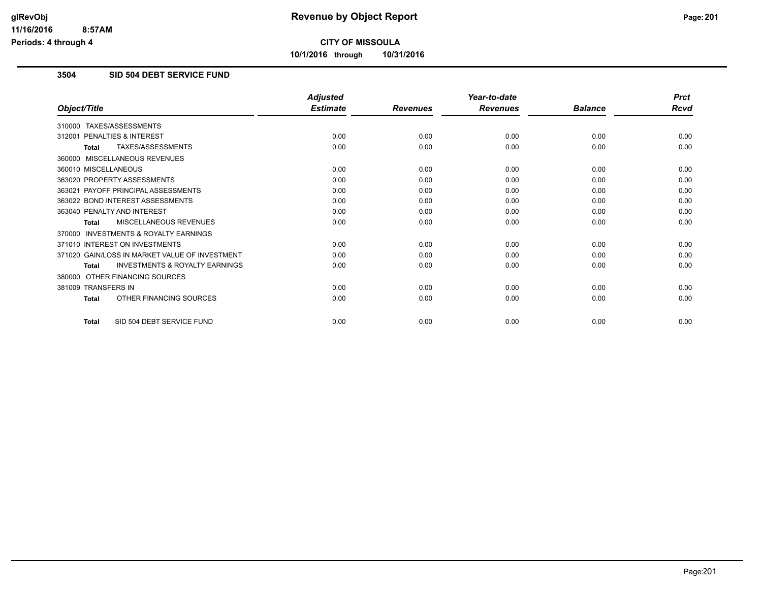**CITY OF MISSOULA**

**10/1/2016 through 10/31/2016**

## **3504 SID 504 DEBT SERVICE FUND**

|                                                           | <b>Adjusted</b> |                 | Year-to-date    |                | <b>Prct</b> |
|-----------------------------------------------------------|-----------------|-----------------|-----------------|----------------|-------------|
| Object/Title                                              | <b>Estimate</b> | <b>Revenues</b> | <b>Revenues</b> | <b>Balance</b> | <b>Rcvd</b> |
| 310000 TAXES/ASSESSMENTS                                  |                 |                 |                 |                |             |
| PENALTIES & INTEREST<br>312001                            | 0.00            | 0.00            | 0.00            | 0.00           | 0.00        |
| TAXES/ASSESSMENTS<br><b>Total</b>                         | 0.00            | 0.00            | 0.00            | 0.00           | 0.00        |
| 360000 MISCELLANEOUS REVENUES                             |                 |                 |                 |                |             |
| 360010 MISCELLANEOUS                                      | 0.00            | 0.00            | 0.00            | 0.00           | 0.00        |
| 363020 PROPERTY ASSESSMENTS                               | 0.00            | 0.00            | 0.00            | 0.00           | 0.00        |
| 363021 PAYOFF PRINCIPAL ASSESSMENTS                       | 0.00            | 0.00            | 0.00            | 0.00           | 0.00        |
| 363022 BOND INTEREST ASSESSMENTS                          | 0.00            | 0.00            | 0.00            | 0.00           | 0.00        |
| 363040 PENALTY AND INTEREST                               | 0.00            | 0.00            | 0.00            | 0.00           | 0.00        |
| MISCELLANEOUS REVENUES<br><b>Total</b>                    | 0.00            | 0.00            | 0.00            | 0.00           | 0.00        |
| INVESTMENTS & ROYALTY EARNINGS<br>370000                  |                 |                 |                 |                |             |
| 371010 INTEREST ON INVESTMENTS                            | 0.00            | 0.00            | 0.00            | 0.00           | 0.00        |
| 371020 GAIN/LOSS IN MARKET VALUE OF INVESTMENT            | 0.00            | 0.00            | 0.00            | 0.00           | 0.00        |
| <b>INVESTMENTS &amp; ROYALTY EARNINGS</b><br><b>Total</b> | 0.00            | 0.00            | 0.00            | 0.00           | 0.00        |
| OTHER FINANCING SOURCES<br>380000                         |                 |                 |                 |                |             |
| 381009 TRANSFERS IN                                       | 0.00            | 0.00            | 0.00            | 0.00           | 0.00        |
| OTHER FINANCING SOURCES<br><b>Total</b>                   | 0.00            | 0.00            | 0.00            | 0.00           | 0.00        |
| SID 504 DEBT SERVICE FUND<br><b>Total</b>                 | 0.00            | 0.00            | 0.00            | 0.00           | 0.00        |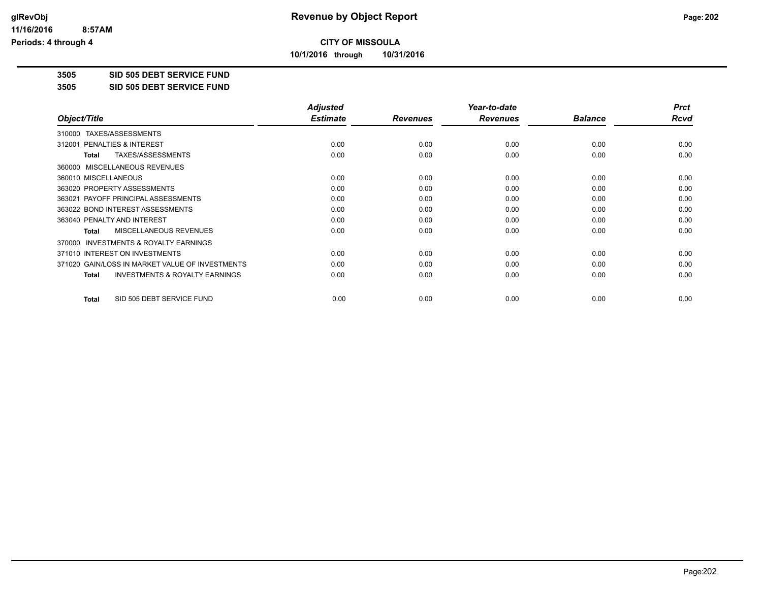**10/1/2016 through 10/31/2016**

**3505 SID 505 DEBT SERVICE FUND**

**3505 SID 505 DEBT SERVICE FUND**

|                                                    | <b>Adjusted</b> |                 | Year-to-date    |                | <b>Prct</b> |
|----------------------------------------------------|-----------------|-----------------|-----------------|----------------|-------------|
| Object/Title                                       | <b>Estimate</b> | <b>Revenues</b> | <b>Revenues</b> | <b>Balance</b> | Rcvd        |
| 310000 TAXES/ASSESSMENTS                           |                 |                 |                 |                |             |
| <b>PENALTIES &amp; INTEREST</b><br>312001          | 0.00            | 0.00            | 0.00            | 0.00           | 0.00        |
| TAXES/ASSESSMENTS<br>Total                         | 0.00            | 0.00            | 0.00            | 0.00           | 0.00        |
| 360000 MISCELLANEOUS REVENUES                      |                 |                 |                 |                |             |
| 360010 MISCELLANEOUS                               | 0.00            | 0.00            | 0.00            | 0.00           | 0.00        |
| 363020 PROPERTY ASSESSMENTS                        | 0.00            | 0.00            | 0.00            | 0.00           | 0.00        |
| 363021 PAYOFF PRINCIPAL ASSESSMENTS                | 0.00            | 0.00            | 0.00            | 0.00           | 0.00        |
| 363022 BOND INTEREST ASSESSMENTS                   | 0.00            | 0.00            | 0.00            | 0.00           | 0.00        |
| 363040 PENALTY AND INTEREST                        | 0.00            | 0.00            | 0.00            | 0.00           | 0.00        |
| <b>MISCELLANEOUS REVENUES</b><br>Total             | 0.00            | 0.00            | 0.00            | 0.00           | 0.00        |
| INVESTMENTS & ROYALTY EARNINGS<br>370000           |                 |                 |                 |                |             |
| 371010 INTEREST ON INVESTMENTS                     | 0.00            | 0.00            | 0.00            | 0.00           | 0.00        |
| 371020 GAIN/LOSS IN MARKET VALUE OF INVESTMENTS    | 0.00            | 0.00            | 0.00            | 0.00           | 0.00        |
| <b>INVESTMENTS &amp; ROYALTY EARNINGS</b><br>Total | 0.00            | 0.00            | 0.00            | 0.00           | 0.00        |
| SID 505 DEBT SERVICE FUND<br><b>Total</b>          | 0.00            | 0.00            | 0.00            | 0.00           | 0.00        |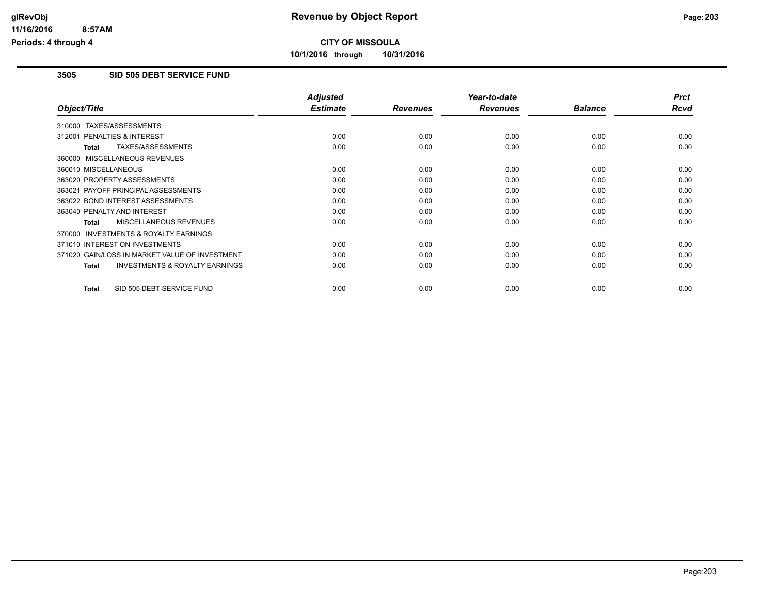**10/1/2016 through 10/31/2016**

## **3505 SID 505 DEBT SERVICE FUND**

|                                                           | <b>Adjusted</b> |                 | Year-to-date    |                | <b>Prct</b> |
|-----------------------------------------------------------|-----------------|-----------------|-----------------|----------------|-------------|
| Object/Title                                              | <b>Estimate</b> | <b>Revenues</b> | <b>Revenues</b> | <b>Balance</b> | Rcvd        |
| 310000 TAXES/ASSESSMENTS                                  |                 |                 |                 |                |             |
| 312001 PENALTIES & INTEREST                               | 0.00            | 0.00            | 0.00            | 0.00           | 0.00        |
| TAXES/ASSESSMENTS<br><b>Total</b>                         | 0.00            | 0.00            | 0.00            | 0.00           | 0.00        |
| 360000 MISCELLANEOUS REVENUES                             |                 |                 |                 |                |             |
| 360010 MISCELLANEOUS                                      | 0.00            | 0.00            | 0.00            | 0.00           | 0.00        |
| 363020 PROPERTY ASSESSMENTS                               | 0.00            | 0.00            | 0.00            | 0.00           | 0.00        |
| 363021 PAYOFF PRINCIPAL ASSESSMENTS                       | 0.00            | 0.00            | 0.00            | 0.00           | 0.00        |
| 363022 BOND INTEREST ASSESSMENTS                          | 0.00            | 0.00            | 0.00            | 0.00           | 0.00        |
| 363040 PENALTY AND INTEREST                               | 0.00            | 0.00            | 0.00            | 0.00           | 0.00        |
| <b>MISCELLANEOUS REVENUES</b><br>Total                    | 0.00            | 0.00            | 0.00            | 0.00           | 0.00        |
| <b>INVESTMENTS &amp; ROYALTY EARNINGS</b><br>370000       |                 |                 |                 |                |             |
| 371010 INTEREST ON INVESTMENTS                            | 0.00            | 0.00            | 0.00            | 0.00           | 0.00        |
| 371020 GAIN/LOSS IN MARKET VALUE OF INVESTMENT            | 0.00            | 0.00            | 0.00            | 0.00           | 0.00        |
| <b>INVESTMENTS &amp; ROYALTY EARNINGS</b><br><b>Total</b> | 0.00            | 0.00            | 0.00            | 0.00           | 0.00        |
| SID 505 DEBT SERVICE FUND<br><b>Total</b>                 | 0.00            | 0.00            | 0.00            | 0.00           | 0.00        |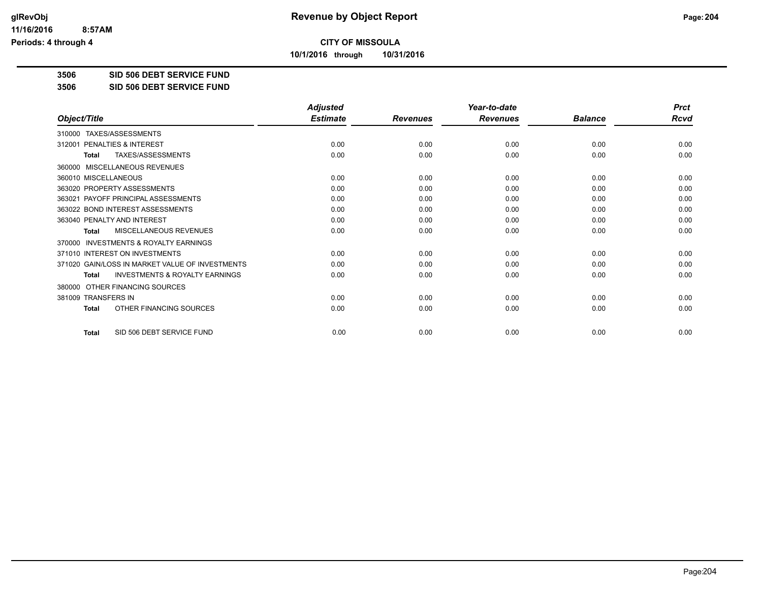**10/1/2016 through 10/31/2016**

**3506 SID 506 DEBT SERVICE FUND**

**3506 SID 506 DEBT SERVICE FUND**

|                                                           | <b>Adjusted</b> |                 | Year-to-date    |                | <b>Prct</b> |
|-----------------------------------------------------------|-----------------|-----------------|-----------------|----------------|-------------|
| Object/Title                                              | <b>Estimate</b> | <b>Revenues</b> | <b>Revenues</b> | <b>Balance</b> | <b>Rcvd</b> |
| TAXES/ASSESSMENTS<br>310000                               |                 |                 |                 |                |             |
| PENALTIES & INTEREST<br>312001                            | 0.00            | 0.00            | 0.00            | 0.00           | 0.00        |
| <b>TAXES/ASSESSMENTS</b><br>Total                         | 0.00            | 0.00            | 0.00            | 0.00           | 0.00        |
| MISCELLANEOUS REVENUES<br>360000                          |                 |                 |                 |                |             |
| 360010 MISCELLANEOUS                                      | 0.00            | 0.00            | 0.00            | 0.00           | 0.00        |
| 363020 PROPERTY ASSESSMENTS                               | 0.00            | 0.00            | 0.00            | 0.00           | 0.00        |
| 363021 PAYOFF PRINCIPAL ASSESSMENTS                       | 0.00            | 0.00            | 0.00            | 0.00           | 0.00        |
| 363022 BOND INTEREST ASSESSMENTS                          | 0.00            | 0.00            | 0.00            | 0.00           | 0.00        |
| 363040 PENALTY AND INTEREST                               | 0.00            | 0.00            | 0.00            | 0.00           | 0.00        |
| MISCELLANEOUS REVENUES<br>Total                           | 0.00            | 0.00            | 0.00            | 0.00           | 0.00        |
| <b>INVESTMENTS &amp; ROYALTY EARNINGS</b><br>370000       |                 |                 |                 |                |             |
| 371010 INTEREST ON INVESTMENTS                            | 0.00            | 0.00            | 0.00            | 0.00           | 0.00        |
| 371020 GAIN/LOSS IN MARKET VALUE OF INVESTMENTS           | 0.00            | 0.00            | 0.00            | 0.00           | 0.00        |
| <b>INVESTMENTS &amp; ROYALTY EARNINGS</b><br><b>Total</b> | 0.00            | 0.00            | 0.00            | 0.00           | 0.00        |
| OTHER FINANCING SOURCES<br>380000                         |                 |                 |                 |                |             |
| 381009 TRANSFERS IN                                       | 0.00            | 0.00            | 0.00            | 0.00           | 0.00        |
| OTHER FINANCING SOURCES<br><b>Total</b>                   | 0.00            | 0.00            | 0.00            | 0.00           | 0.00        |
| SID 506 DEBT SERVICE FUND<br><b>Total</b>                 | 0.00            | 0.00            | 0.00            | 0.00           | 0.00        |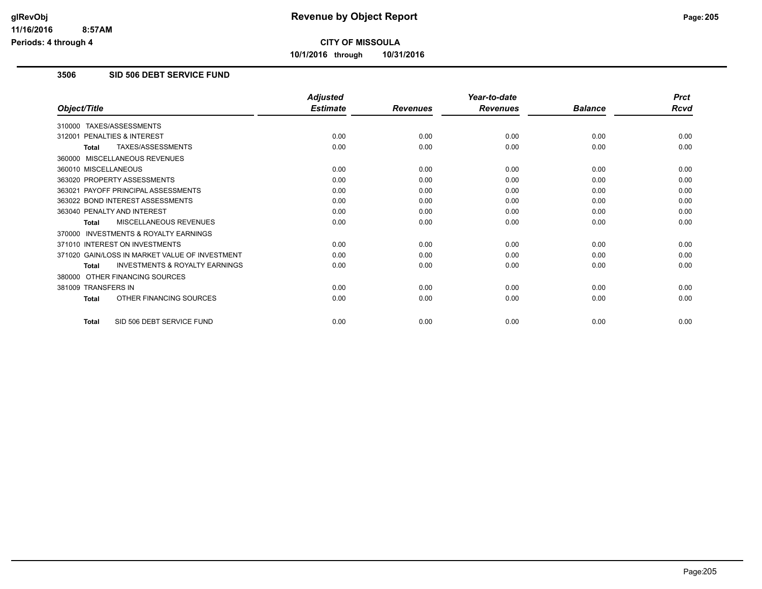**CITY OF MISSOULA**

**10/1/2016 through 10/31/2016**

## **3506 SID 506 DEBT SERVICE FUND**

|                                                           | <b>Adjusted</b> |                 | Year-to-date    |                | <b>Prct</b> |
|-----------------------------------------------------------|-----------------|-----------------|-----------------|----------------|-------------|
| Object/Title                                              | <b>Estimate</b> | <b>Revenues</b> | <b>Revenues</b> | <b>Balance</b> | <b>Rcvd</b> |
| 310000 TAXES/ASSESSMENTS                                  |                 |                 |                 |                |             |
| PENALTIES & INTEREST<br>312001                            | 0.00            | 0.00            | 0.00            | 0.00           | 0.00        |
| TAXES/ASSESSMENTS<br><b>Total</b>                         | 0.00            | 0.00            | 0.00            | 0.00           | 0.00        |
| 360000 MISCELLANEOUS REVENUES                             |                 |                 |                 |                |             |
| 360010 MISCELLANEOUS                                      | 0.00            | 0.00            | 0.00            | 0.00           | 0.00        |
| 363020 PROPERTY ASSESSMENTS                               | 0.00            | 0.00            | 0.00            | 0.00           | 0.00        |
| 363021 PAYOFF PRINCIPAL ASSESSMENTS                       | 0.00            | 0.00            | 0.00            | 0.00           | 0.00        |
| 363022 BOND INTEREST ASSESSMENTS                          | 0.00            | 0.00            | 0.00            | 0.00           | 0.00        |
| 363040 PENALTY AND INTEREST                               | 0.00            | 0.00            | 0.00            | 0.00           | 0.00        |
| <b>MISCELLANEOUS REVENUES</b><br><b>Total</b>             | 0.00            | 0.00            | 0.00            | 0.00           | 0.00        |
| <b>INVESTMENTS &amp; ROYALTY EARNINGS</b><br>370000       |                 |                 |                 |                |             |
| 371010 INTEREST ON INVESTMENTS                            | 0.00            | 0.00            | 0.00            | 0.00           | 0.00        |
| 371020 GAIN/LOSS IN MARKET VALUE OF INVESTMENT            | 0.00            | 0.00            | 0.00            | 0.00           | 0.00        |
| <b>INVESTMENTS &amp; ROYALTY EARNINGS</b><br><b>Total</b> | 0.00            | 0.00            | 0.00            | 0.00           | 0.00        |
| OTHER FINANCING SOURCES<br>380000                         |                 |                 |                 |                |             |
| 381009 TRANSFERS IN                                       | 0.00            | 0.00            | 0.00            | 0.00           | 0.00        |
| OTHER FINANCING SOURCES<br><b>Total</b>                   | 0.00            | 0.00            | 0.00            | 0.00           | 0.00        |
| SID 506 DEBT SERVICE FUND<br><b>Total</b>                 | 0.00            | 0.00            | 0.00            | 0.00           | 0.00        |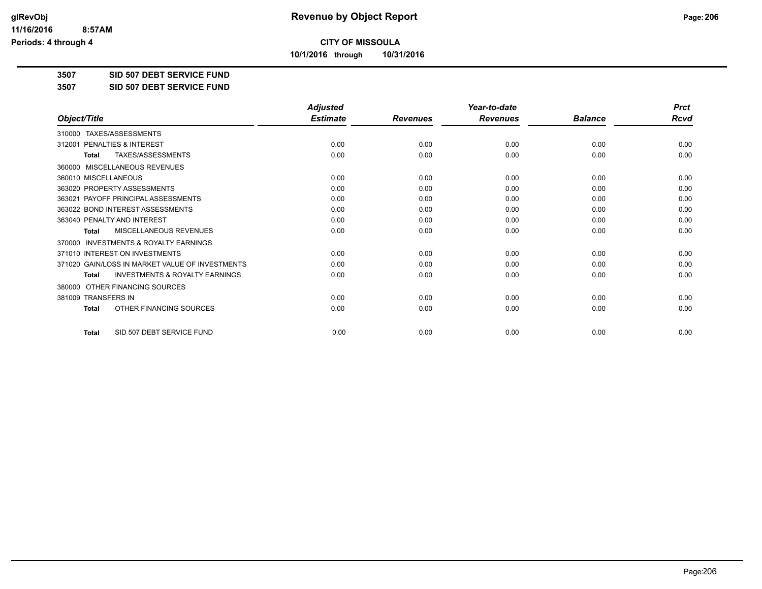**10/1/2016 through 10/31/2016**

**3507 SID 507 DEBT SERVICE FUND**

**3507 SID 507 DEBT SERVICE FUND**

|                                                           | <b>Adjusted</b> |                 | Year-to-date    |                | <b>Prct</b> |
|-----------------------------------------------------------|-----------------|-----------------|-----------------|----------------|-------------|
| Object/Title                                              | <b>Estimate</b> | <b>Revenues</b> | <b>Revenues</b> | <b>Balance</b> | Rcvd        |
| TAXES/ASSESSMENTS<br>310000                               |                 |                 |                 |                |             |
| PENALTIES & INTEREST<br>312001                            | 0.00            | 0.00            | 0.00            | 0.00           | 0.00        |
| TAXES/ASSESSMENTS<br><b>Total</b>                         | 0.00            | 0.00            | 0.00            | 0.00           | 0.00        |
| MISCELLANEOUS REVENUES<br>360000                          |                 |                 |                 |                |             |
| 360010 MISCELLANEOUS                                      | 0.00            | 0.00            | 0.00            | 0.00           | 0.00        |
| 363020 PROPERTY ASSESSMENTS                               | 0.00            | 0.00            | 0.00            | 0.00           | 0.00        |
| 363021 PAYOFF PRINCIPAL ASSESSMENTS                       | 0.00            | 0.00            | 0.00            | 0.00           | 0.00        |
| 363022 BOND INTEREST ASSESSMENTS                          | 0.00            | 0.00            | 0.00            | 0.00           | 0.00        |
| 363040 PENALTY AND INTEREST                               | 0.00            | 0.00            | 0.00            | 0.00           | 0.00        |
| MISCELLANEOUS REVENUES<br><b>Total</b>                    | 0.00            | 0.00            | 0.00            | 0.00           | 0.00        |
| <b>INVESTMENTS &amp; ROYALTY EARNINGS</b><br>370000       |                 |                 |                 |                |             |
| 371010 INTEREST ON INVESTMENTS                            | 0.00            | 0.00            | 0.00            | 0.00           | 0.00        |
| 371020 GAIN/LOSS IN MARKET VALUE OF INVESTMENTS           | 0.00            | 0.00            | 0.00            | 0.00           | 0.00        |
| <b>INVESTMENTS &amp; ROYALTY EARNINGS</b><br><b>Total</b> | 0.00            | 0.00            | 0.00            | 0.00           | 0.00        |
| OTHER FINANCING SOURCES<br>380000                         |                 |                 |                 |                |             |
| 381009 TRANSFERS IN                                       | 0.00            | 0.00            | 0.00            | 0.00           | 0.00        |
| OTHER FINANCING SOURCES<br><b>Total</b>                   | 0.00            | 0.00            | 0.00            | 0.00           | 0.00        |
| SID 507 DEBT SERVICE FUND<br><b>Total</b>                 | 0.00            | 0.00            | 0.00            | 0.00           | 0.00        |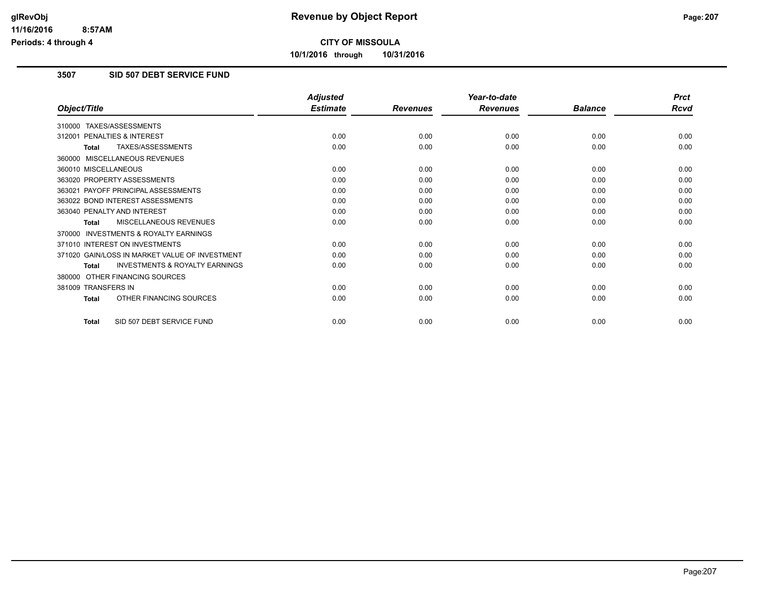**10/1/2016 through 10/31/2016**

## **3507 SID 507 DEBT SERVICE FUND**

|                                                           | <b>Adjusted</b> |                 | Year-to-date    |                | <b>Prct</b> |
|-----------------------------------------------------------|-----------------|-----------------|-----------------|----------------|-------------|
| Object/Title                                              | <b>Estimate</b> | <b>Revenues</b> | <b>Revenues</b> | <b>Balance</b> | <b>Rcvd</b> |
| 310000 TAXES/ASSESSMENTS                                  |                 |                 |                 |                |             |
| PENALTIES & INTEREST<br>312001                            | 0.00            | 0.00            | 0.00            | 0.00           | 0.00        |
| TAXES/ASSESSMENTS<br><b>Total</b>                         | 0.00            | 0.00            | 0.00            | 0.00           | 0.00        |
| 360000 MISCELLANEOUS REVENUES                             |                 |                 |                 |                |             |
| 360010 MISCELLANEOUS                                      | 0.00            | 0.00            | 0.00            | 0.00           | 0.00        |
| 363020 PROPERTY ASSESSMENTS                               | 0.00            | 0.00            | 0.00            | 0.00           | 0.00        |
| 363021 PAYOFF PRINCIPAL ASSESSMENTS                       | 0.00            | 0.00            | 0.00            | 0.00           | 0.00        |
| 363022 BOND INTEREST ASSESSMENTS                          | 0.00            | 0.00            | 0.00            | 0.00           | 0.00        |
| 363040 PENALTY AND INTEREST                               | 0.00            | 0.00            | 0.00            | 0.00           | 0.00        |
| MISCELLANEOUS REVENUES<br><b>Total</b>                    | 0.00            | 0.00            | 0.00            | 0.00           | 0.00        |
| <b>INVESTMENTS &amp; ROYALTY EARNINGS</b><br>370000       |                 |                 |                 |                |             |
| 371010 INTEREST ON INVESTMENTS                            | 0.00            | 0.00            | 0.00            | 0.00           | 0.00        |
| 371020 GAIN/LOSS IN MARKET VALUE OF INVESTMENT            | 0.00            | 0.00            | 0.00            | 0.00           | 0.00        |
| <b>INVESTMENTS &amp; ROYALTY EARNINGS</b><br><b>Total</b> | 0.00            | 0.00            | 0.00            | 0.00           | 0.00        |
| OTHER FINANCING SOURCES<br>380000                         |                 |                 |                 |                |             |
| 381009 TRANSFERS IN                                       | 0.00            | 0.00            | 0.00            | 0.00           | 0.00        |
| OTHER FINANCING SOURCES<br><b>Total</b>                   | 0.00            | 0.00            | 0.00            | 0.00           | 0.00        |
| SID 507 DEBT SERVICE FUND<br><b>Total</b>                 | 0.00            | 0.00            | 0.00            | 0.00           | 0.00        |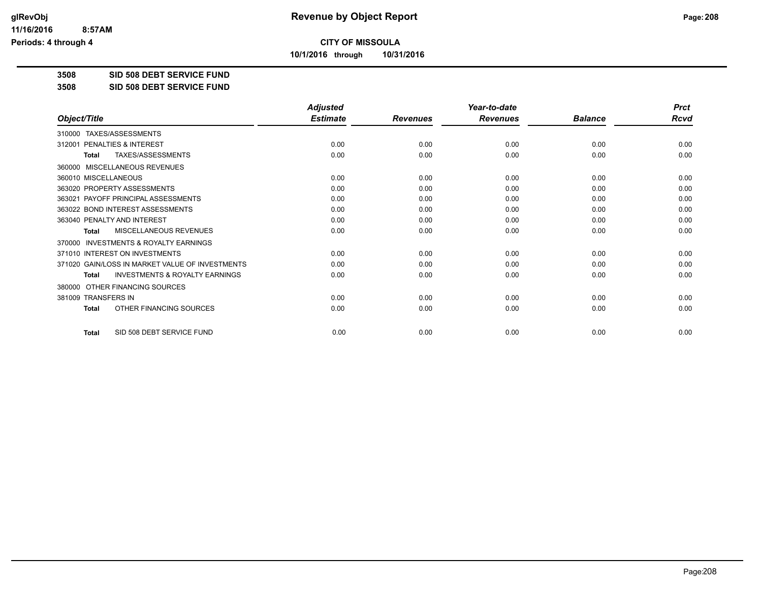**10/1/2016 through 10/31/2016**

**3508 SID 508 DEBT SERVICE FUND**

**3508 SID 508 DEBT SERVICE FUND**

|                                                           | <b>Adjusted</b> |                 | Year-to-date    |                | <b>Prct</b> |
|-----------------------------------------------------------|-----------------|-----------------|-----------------|----------------|-------------|
| Object/Title                                              | <b>Estimate</b> | <b>Revenues</b> | <b>Revenues</b> | <b>Balance</b> | <b>Rcvd</b> |
| 310000 TAXES/ASSESSMENTS                                  |                 |                 |                 |                |             |
| PENALTIES & INTEREST<br>312001                            | 0.00            | 0.00            | 0.00            | 0.00           | 0.00        |
| TAXES/ASSESSMENTS<br><b>Total</b>                         | 0.00            | 0.00            | 0.00            | 0.00           | 0.00        |
| MISCELLANEOUS REVENUES<br>360000                          |                 |                 |                 |                |             |
| 360010 MISCELLANEOUS                                      | 0.00            | 0.00            | 0.00            | 0.00           | 0.00        |
| 363020 PROPERTY ASSESSMENTS                               | 0.00            | 0.00            | 0.00            | 0.00           | 0.00        |
| 363021 PAYOFF PRINCIPAL ASSESSMENTS                       | 0.00            | 0.00            | 0.00            | 0.00           | 0.00        |
| 363022 BOND INTEREST ASSESSMENTS                          | 0.00            | 0.00            | 0.00            | 0.00           | 0.00        |
| 363040 PENALTY AND INTEREST                               | 0.00            | 0.00            | 0.00            | 0.00           | 0.00        |
| MISCELLANEOUS REVENUES<br>Total                           | 0.00            | 0.00            | 0.00            | 0.00           | 0.00        |
| <b>INVESTMENTS &amp; ROYALTY EARNINGS</b><br>370000       |                 |                 |                 |                |             |
| 371010 INTEREST ON INVESTMENTS                            | 0.00            | 0.00            | 0.00            | 0.00           | 0.00        |
| 371020 GAIN/LOSS IN MARKET VALUE OF INVESTMENTS           | 0.00            | 0.00            | 0.00            | 0.00           | 0.00        |
| <b>INVESTMENTS &amp; ROYALTY EARNINGS</b><br><b>Total</b> | 0.00            | 0.00            | 0.00            | 0.00           | 0.00        |
| OTHER FINANCING SOURCES<br>380000                         |                 |                 |                 |                |             |
| 381009 TRANSFERS IN                                       | 0.00            | 0.00            | 0.00            | 0.00           | 0.00        |
| OTHER FINANCING SOURCES<br><b>Total</b>                   | 0.00            | 0.00            | 0.00            | 0.00           | 0.00        |
| SID 508 DEBT SERVICE FUND<br><b>Total</b>                 | 0.00            | 0.00            | 0.00            | 0.00           | 0.00        |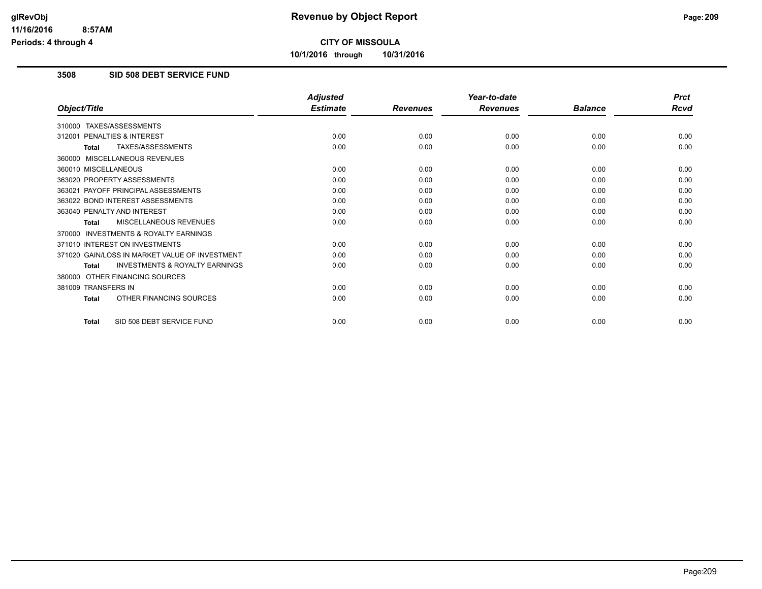**CITY OF MISSOULA**

**10/1/2016 through 10/31/2016**

## **3508 SID 508 DEBT SERVICE FUND**

|                                                           | <b>Adjusted</b> |                 | Year-to-date    |                | <b>Prct</b> |
|-----------------------------------------------------------|-----------------|-----------------|-----------------|----------------|-------------|
| Object/Title                                              | <b>Estimate</b> | <b>Revenues</b> | <b>Revenues</b> | <b>Balance</b> | <b>Rcvd</b> |
| 310000 TAXES/ASSESSMENTS                                  |                 |                 |                 |                |             |
| PENALTIES & INTEREST<br>312001                            | 0.00            | 0.00            | 0.00            | 0.00           | 0.00        |
| TAXES/ASSESSMENTS<br><b>Total</b>                         | 0.00            | 0.00            | 0.00            | 0.00           | 0.00        |
| 360000 MISCELLANEOUS REVENUES                             |                 |                 |                 |                |             |
| 360010 MISCELLANEOUS                                      | 0.00            | 0.00            | 0.00            | 0.00           | 0.00        |
| 363020 PROPERTY ASSESSMENTS                               | 0.00            | 0.00            | 0.00            | 0.00           | 0.00        |
| 363021 PAYOFF PRINCIPAL ASSESSMENTS                       | 0.00            | 0.00            | 0.00            | 0.00           | 0.00        |
| 363022 BOND INTEREST ASSESSMENTS                          | 0.00            | 0.00            | 0.00            | 0.00           | 0.00        |
| 363040 PENALTY AND INTEREST                               | 0.00            | 0.00            | 0.00            | 0.00           | 0.00        |
| MISCELLANEOUS REVENUES<br><b>Total</b>                    | 0.00            | 0.00            | 0.00            | 0.00           | 0.00        |
| <b>INVESTMENTS &amp; ROYALTY EARNINGS</b><br>370000       |                 |                 |                 |                |             |
| 371010 INTEREST ON INVESTMENTS                            | 0.00            | 0.00            | 0.00            | 0.00           | 0.00        |
| 371020 GAIN/LOSS IN MARKET VALUE OF INVESTMENT            | 0.00            | 0.00            | 0.00            | 0.00           | 0.00        |
| <b>INVESTMENTS &amp; ROYALTY EARNINGS</b><br><b>Total</b> | 0.00            | 0.00            | 0.00            | 0.00           | 0.00        |
| 380000 OTHER FINANCING SOURCES                            |                 |                 |                 |                |             |
| 381009 TRANSFERS IN                                       | 0.00            | 0.00            | 0.00            | 0.00           | 0.00        |
| OTHER FINANCING SOURCES<br><b>Total</b>                   | 0.00            | 0.00            | 0.00            | 0.00           | 0.00        |
| SID 508 DEBT SERVICE FUND<br><b>Total</b>                 | 0.00            | 0.00            | 0.00            | 0.00           | 0.00        |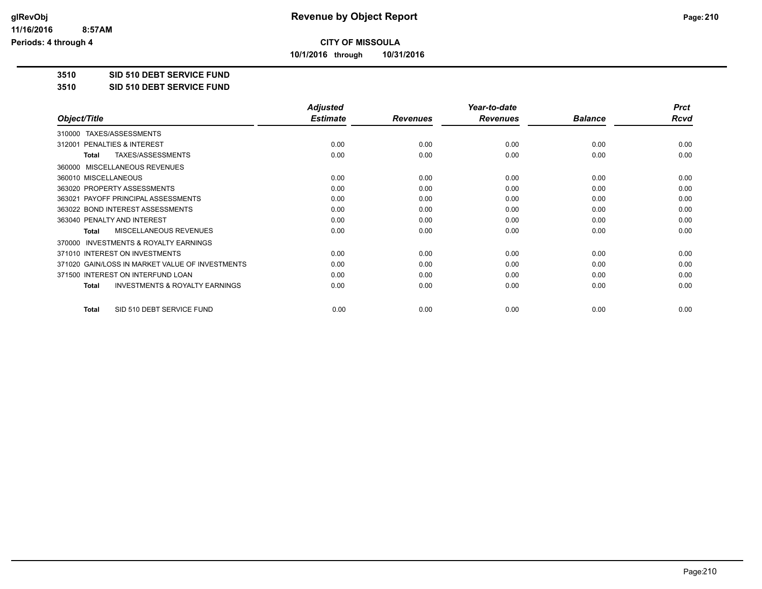**10/1/2016 through 10/31/2016**

**3510 SID 510 DEBT SERVICE FUND**

**3510 SID 510 DEBT SERVICE FUND**

|                                                           | <b>Adjusted</b> |                 | Year-to-date    |                | <b>Prct</b> |
|-----------------------------------------------------------|-----------------|-----------------|-----------------|----------------|-------------|
| Object/Title                                              | <b>Estimate</b> | <b>Revenues</b> | <b>Revenues</b> | <b>Balance</b> | <b>Rcvd</b> |
| TAXES/ASSESSMENTS<br>310000                               |                 |                 |                 |                |             |
| PENALTIES & INTEREST<br>312001                            | 0.00            | 0.00            | 0.00            | 0.00           | 0.00        |
| TAXES/ASSESSMENTS<br>Total                                | 0.00            | 0.00            | 0.00            | 0.00           | 0.00        |
| 360000 MISCELLANEOUS REVENUES                             |                 |                 |                 |                |             |
| 360010 MISCELLANEOUS                                      | 0.00            | 0.00            | 0.00            | 0.00           | 0.00        |
| 363020 PROPERTY ASSESSMENTS                               | 0.00            | 0.00            | 0.00            | 0.00           | 0.00        |
| 363021 PAYOFF PRINCIPAL ASSESSMENTS                       | 0.00            | 0.00            | 0.00            | 0.00           | 0.00        |
| 363022 BOND INTEREST ASSESSMENTS                          | 0.00            | 0.00            | 0.00            | 0.00           | 0.00        |
| 363040 PENALTY AND INTEREST                               | 0.00            | 0.00            | 0.00            | 0.00           | 0.00        |
| <b>MISCELLANEOUS REVENUES</b><br>Total                    | 0.00            | 0.00            | 0.00            | 0.00           | 0.00        |
| <b>INVESTMENTS &amp; ROYALTY EARNINGS</b><br>370000       |                 |                 |                 |                |             |
| 371010 INTEREST ON INVESTMENTS                            | 0.00            | 0.00            | 0.00            | 0.00           | 0.00        |
| 371020 GAIN/LOSS IN MARKET VALUE OF INVESTMENTS           | 0.00            | 0.00            | 0.00            | 0.00           | 0.00        |
| 371500 INTEREST ON INTERFUND LOAN                         | 0.00            | 0.00            | 0.00            | 0.00           | 0.00        |
| <b>INVESTMENTS &amp; ROYALTY EARNINGS</b><br><b>Total</b> | 0.00            | 0.00            | 0.00            | 0.00           | 0.00        |
| SID 510 DEBT SERVICE FUND<br><b>Total</b>                 | 0.00            | 0.00            | 0.00            | 0.00           | 0.00        |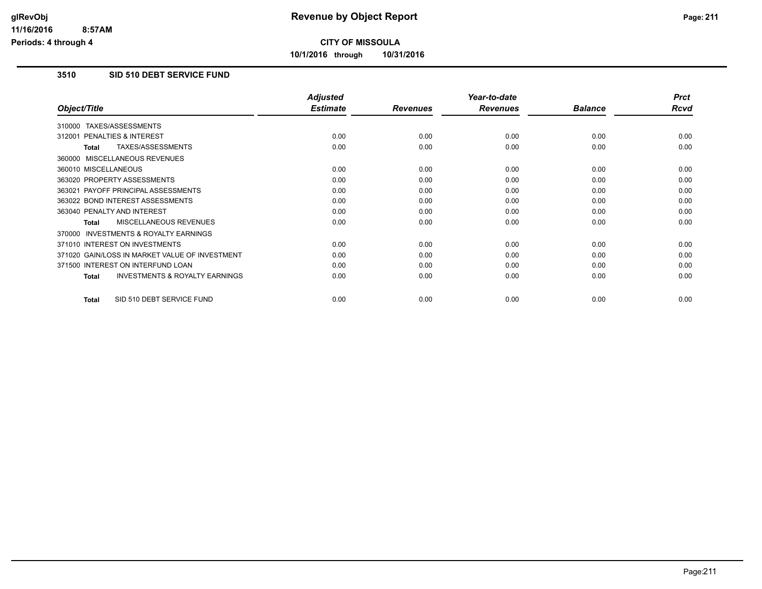**10/1/2016 through 10/31/2016**

## **3510 SID 510 DEBT SERVICE FUND**

|                                                           | <b>Adjusted</b> |                 | Year-to-date    |                | <b>Prct</b> |
|-----------------------------------------------------------|-----------------|-----------------|-----------------|----------------|-------------|
| Object/Title                                              | <b>Estimate</b> | <b>Revenues</b> | <b>Revenues</b> | <b>Balance</b> | Rcvd        |
| TAXES/ASSESSMENTS<br>310000                               |                 |                 |                 |                |             |
| PENALTIES & INTEREST<br>312001                            | 0.00            | 0.00            | 0.00            | 0.00           | 0.00        |
| TAXES/ASSESSMENTS<br>Total                                | 0.00            | 0.00            | 0.00            | 0.00           | 0.00        |
| 360000 MISCELLANEOUS REVENUES                             |                 |                 |                 |                |             |
| 360010 MISCELLANEOUS                                      | 0.00            | 0.00            | 0.00            | 0.00           | 0.00        |
| 363020 PROPERTY ASSESSMENTS                               | 0.00            | 0.00            | 0.00            | 0.00           | 0.00        |
| 363021 PAYOFF PRINCIPAL ASSESSMENTS                       | 0.00            | 0.00            | 0.00            | 0.00           | 0.00        |
| 363022 BOND INTEREST ASSESSMENTS                          | 0.00            | 0.00            | 0.00            | 0.00           | 0.00        |
| 363040 PENALTY AND INTEREST                               | 0.00            | 0.00            | 0.00            | 0.00           | 0.00        |
| <b>MISCELLANEOUS REVENUES</b><br><b>Total</b>             | 0.00            | 0.00            | 0.00            | 0.00           | 0.00        |
| <b>INVESTMENTS &amp; ROYALTY EARNINGS</b><br>370000       |                 |                 |                 |                |             |
| 371010 INTEREST ON INVESTMENTS                            | 0.00            | 0.00            | 0.00            | 0.00           | 0.00        |
| 371020 GAIN/LOSS IN MARKET VALUE OF INVESTMENT            | 0.00            | 0.00            | 0.00            | 0.00           | 0.00        |
| 371500 INTEREST ON INTERFUND LOAN                         | 0.00            | 0.00            | 0.00            | 0.00           | 0.00        |
| <b>INVESTMENTS &amp; ROYALTY EARNINGS</b><br><b>Total</b> | 0.00            | 0.00            | 0.00            | 0.00           | 0.00        |
| SID 510 DEBT SERVICE FUND<br>Total                        | 0.00            | 0.00            | 0.00            | 0.00           | 0.00        |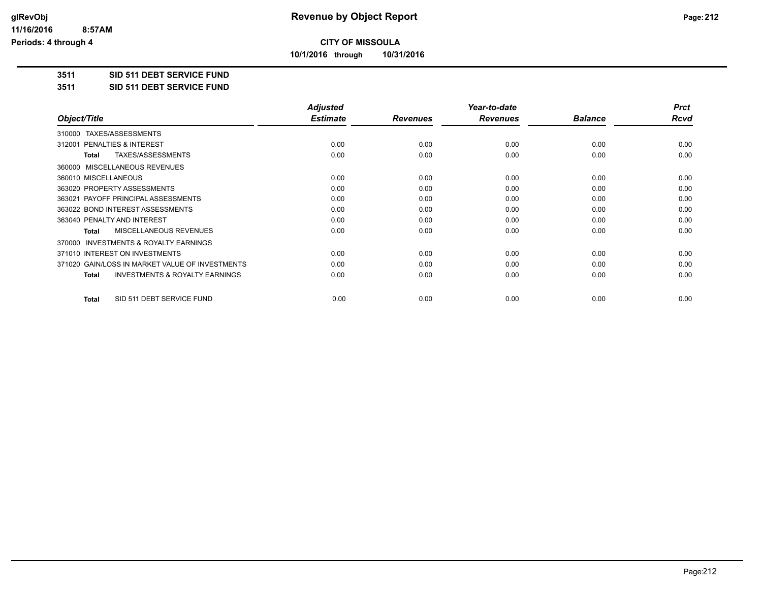**10/1/2016 through 10/31/2016**

**3511 SID 511 DEBT SERVICE FUND**

**3511 SID 511 DEBT SERVICE FUND**

|                                                    | <b>Adjusted</b> |                 | Year-to-date    |                | <b>Prct</b> |
|----------------------------------------------------|-----------------|-----------------|-----------------|----------------|-------------|
| Object/Title                                       | <b>Estimate</b> | <b>Revenues</b> | <b>Revenues</b> | <b>Balance</b> | Rcvd        |
| TAXES/ASSESSMENTS<br>310000                        |                 |                 |                 |                |             |
| <b>PENALTIES &amp; INTEREST</b><br>312001          | 0.00            | 0.00            | 0.00            | 0.00           | 0.00        |
| TAXES/ASSESSMENTS<br>Total                         | 0.00            | 0.00            | 0.00            | 0.00           | 0.00        |
| 360000 MISCELLANEOUS REVENUES                      |                 |                 |                 |                |             |
| 360010 MISCELLANEOUS                               | 0.00            | 0.00            | 0.00            | 0.00           | 0.00        |
| 363020 PROPERTY ASSESSMENTS                        | 0.00            | 0.00            | 0.00            | 0.00           | 0.00        |
| 363021 PAYOFF PRINCIPAL ASSESSMENTS                | 0.00            | 0.00            | 0.00            | 0.00           | 0.00        |
| 363022 BOND INTEREST ASSESSMENTS                   | 0.00            | 0.00            | 0.00            | 0.00           | 0.00        |
| 363040 PENALTY AND INTEREST                        | 0.00            | 0.00            | 0.00            | 0.00           | 0.00        |
| MISCELLANEOUS REVENUES<br>Total                    | 0.00            | 0.00            | 0.00            | 0.00           | 0.00        |
| 370000 INVESTMENTS & ROYALTY EARNINGS              |                 |                 |                 |                |             |
| 371010 INTEREST ON INVESTMENTS                     | 0.00            | 0.00            | 0.00            | 0.00           | 0.00        |
| 371020 GAIN/LOSS IN MARKET VALUE OF INVESTMENTS    | 0.00            | 0.00            | 0.00            | 0.00           | 0.00        |
| <b>INVESTMENTS &amp; ROYALTY EARNINGS</b><br>Total | 0.00            | 0.00            | 0.00            | 0.00           | 0.00        |
| SID 511 DEBT SERVICE FUND<br><b>Total</b>          | 0.00            | 0.00            | 0.00            | 0.00           | 0.00        |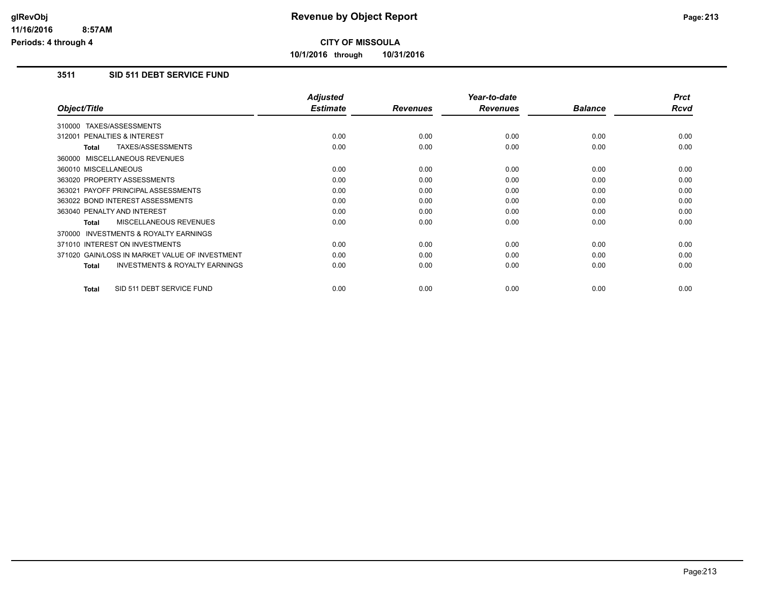**10/1/2016 through 10/31/2016**

## **3511 SID 511 DEBT SERVICE FUND**

|                                                           | <b>Adjusted</b> |                 | Year-to-date    |                | <b>Prct</b> |
|-----------------------------------------------------------|-----------------|-----------------|-----------------|----------------|-------------|
| Object/Title                                              | <b>Estimate</b> | <b>Revenues</b> | <b>Revenues</b> | <b>Balance</b> | Rcvd        |
| 310000 TAXES/ASSESSMENTS                                  |                 |                 |                 |                |             |
| 312001 PENALTIES & INTEREST                               | 0.00            | 0.00            | 0.00            | 0.00           | 0.00        |
| TAXES/ASSESSMENTS<br><b>Total</b>                         | 0.00            | 0.00            | 0.00            | 0.00           | 0.00        |
| 360000 MISCELLANEOUS REVENUES                             |                 |                 |                 |                |             |
| 360010 MISCELLANEOUS                                      | 0.00            | 0.00            | 0.00            | 0.00           | 0.00        |
| 363020 PROPERTY ASSESSMENTS                               | 0.00            | 0.00            | 0.00            | 0.00           | 0.00        |
| 363021 PAYOFF PRINCIPAL ASSESSMENTS                       | 0.00            | 0.00            | 0.00            | 0.00           | 0.00        |
| 363022 BOND INTEREST ASSESSMENTS                          | 0.00            | 0.00            | 0.00            | 0.00           | 0.00        |
| 363040 PENALTY AND INTEREST                               | 0.00            | 0.00            | 0.00            | 0.00           | 0.00        |
| <b>MISCELLANEOUS REVENUES</b><br>Total                    | 0.00            | 0.00            | 0.00            | 0.00           | 0.00        |
| INVESTMENTS & ROYALTY EARNINGS<br>370000                  |                 |                 |                 |                |             |
| 371010 INTEREST ON INVESTMENTS                            | 0.00            | 0.00            | 0.00            | 0.00           | 0.00        |
| 371020 GAIN/LOSS IN MARKET VALUE OF INVESTMENT            | 0.00            | 0.00            | 0.00            | 0.00           | 0.00        |
| <b>INVESTMENTS &amp; ROYALTY EARNINGS</b><br><b>Total</b> | 0.00            | 0.00            | 0.00            | 0.00           | 0.00        |
| SID 511 DEBT SERVICE FUND<br><b>Total</b>                 | 0.00            | 0.00            | 0.00            | 0.00           | 0.00        |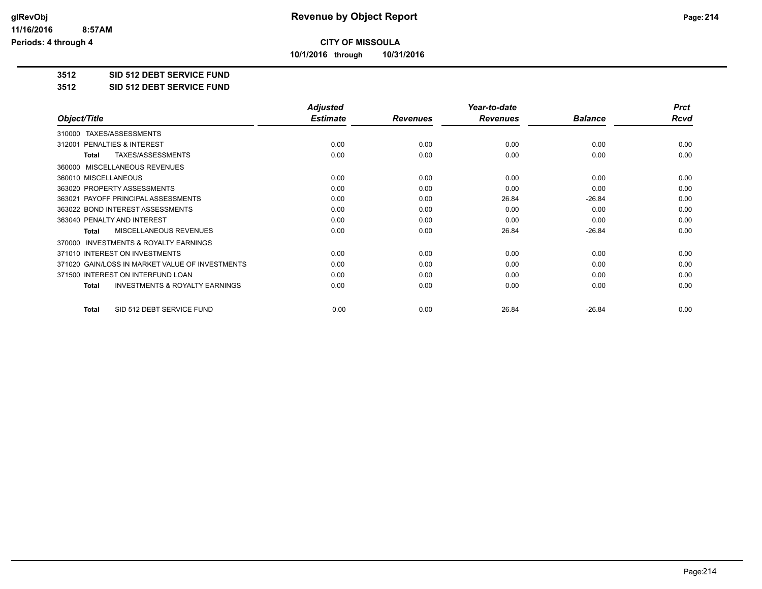**10/1/2016 through 10/31/2016**

**3512 SID 512 DEBT SERVICE FUND**

**3512 SID 512 DEBT SERVICE FUND**

|                                                           | <b>Adjusted</b> |                 | Year-to-date    |                | <b>Prct</b> |
|-----------------------------------------------------------|-----------------|-----------------|-----------------|----------------|-------------|
| Object/Title                                              | <b>Estimate</b> | <b>Revenues</b> | <b>Revenues</b> | <b>Balance</b> | <b>Rcvd</b> |
| TAXES/ASSESSMENTS<br>310000                               |                 |                 |                 |                |             |
| PENALTIES & INTEREST<br>312001                            | 0.00            | 0.00            | 0.00            | 0.00           | 0.00        |
| TAXES/ASSESSMENTS<br><b>Total</b>                         | 0.00            | 0.00            | 0.00            | 0.00           | 0.00        |
| 360000 MISCELLANEOUS REVENUES                             |                 |                 |                 |                |             |
| 360010 MISCELLANEOUS                                      | 0.00            | 0.00            | 0.00            | 0.00           | 0.00        |
| 363020 PROPERTY ASSESSMENTS                               | 0.00            | 0.00            | 0.00            | 0.00           | 0.00        |
| PAYOFF PRINCIPAL ASSESSMENTS<br>363021                    | 0.00            | 0.00            | 26.84           | $-26.84$       | 0.00        |
| 363022 BOND INTEREST ASSESSMENTS                          | 0.00            | 0.00            | 0.00            | 0.00           | 0.00        |
| 363040 PENALTY AND INTEREST                               | 0.00            | 0.00            | 0.00            | 0.00           | 0.00        |
| <b>MISCELLANEOUS REVENUES</b><br><b>Total</b>             | 0.00            | 0.00            | 26.84           | $-26.84$       | 0.00        |
| 370000 INVESTMENTS & ROYALTY EARNINGS                     |                 |                 |                 |                |             |
| 371010 INTEREST ON INVESTMENTS                            | 0.00            | 0.00            | 0.00            | 0.00           | 0.00        |
| 371020 GAIN/LOSS IN MARKET VALUE OF INVESTMENTS           | 0.00            | 0.00            | 0.00            | 0.00           | 0.00        |
| 371500 INTEREST ON INTERFUND LOAN                         | 0.00            | 0.00            | 0.00            | 0.00           | 0.00        |
| <b>INVESTMENTS &amp; ROYALTY EARNINGS</b><br><b>Total</b> | 0.00            | 0.00            | 0.00            | 0.00           | 0.00        |
| SID 512 DEBT SERVICE FUND<br>Total                        | 0.00            | 0.00            | 26.84           | $-26.84$       | 0.00        |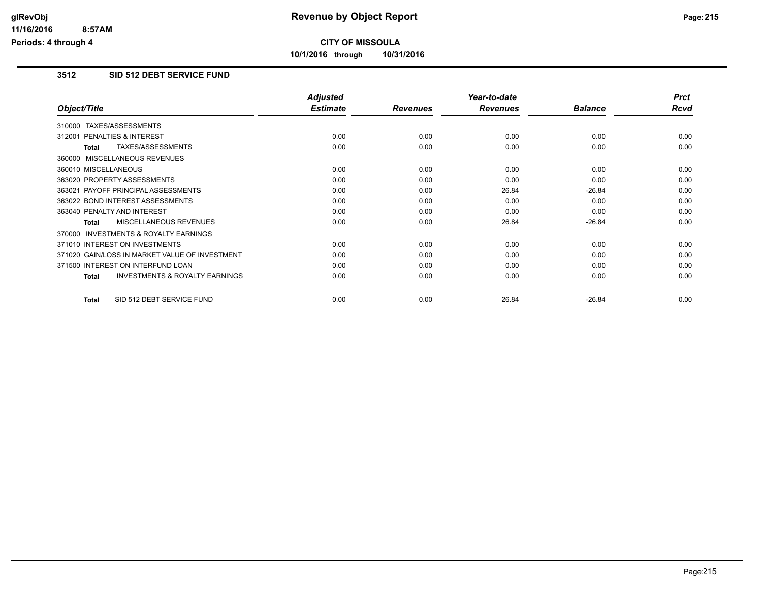**10/1/2016 through 10/31/2016**

## **3512 SID 512 DEBT SERVICE FUND**

|                                                           | <b>Adjusted</b> |                 | Year-to-date    |                | <b>Prct</b> |
|-----------------------------------------------------------|-----------------|-----------------|-----------------|----------------|-------------|
| Object/Title                                              | <b>Estimate</b> | <b>Revenues</b> | <b>Revenues</b> | <b>Balance</b> | <b>Rcvd</b> |
| TAXES/ASSESSMENTS<br>310000                               |                 |                 |                 |                |             |
| PENALTIES & INTEREST<br>312001                            | 0.00            | 0.00            | 0.00            | 0.00           | 0.00        |
| TAXES/ASSESSMENTS<br>Total                                | 0.00            | 0.00            | 0.00            | 0.00           | 0.00        |
| 360000 MISCELLANEOUS REVENUES                             |                 |                 |                 |                |             |
| 360010 MISCELLANEOUS                                      | 0.00            | 0.00            | 0.00            | 0.00           | 0.00        |
| 363020 PROPERTY ASSESSMENTS                               | 0.00            | 0.00            | 0.00            | 0.00           | 0.00        |
| 363021 PAYOFF PRINCIPAL ASSESSMENTS                       | 0.00            | 0.00            | 26.84           | $-26.84$       | 0.00        |
| 363022 BOND INTEREST ASSESSMENTS                          | 0.00            | 0.00            | 0.00            | 0.00           | 0.00        |
| 363040 PENALTY AND INTEREST                               | 0.00            | 0.00            | 0.00            | 0.00           | 0.00        |
| <b>MISCELLANEOUS REVENUES</b><br><b>Total</b>             | 0.00            | 0.00            | 26.84           | $-26.84$       | 0.00        |
| <b>INVESTMENTS &amp; ROYALTY EARNINGS</b><br>370000       |                 |                 |                 |                |             |
| 371010 INTEREST ON INVESTMENTS                            | 0.00            | 0.00            | 0.00            | 0.00           | 0.00        |
| 371020 GAIN/LOSS IN MARKET VALUE OF INVESTMENT            | 0.00            | 0.00            | 0.00            | 0.00           | 0.00        |
| 371500 INTEREST ON INTERFUND LOAN                         | 0.00            | 0.00            | 0.00            | 0.00           | 0.00        |
| <b>INVESTMENTS &amp; ROYALTY EARNINGS</b><br><b>Total</b> | 0.00            | 0.00            | 0.00            | 0.00           | 0.00        |
| SID 512 DEBT SERVICE FUND<br>Total                        | 0.00            | 0.00            | 26.84           | $-26.84$       | 0.00        |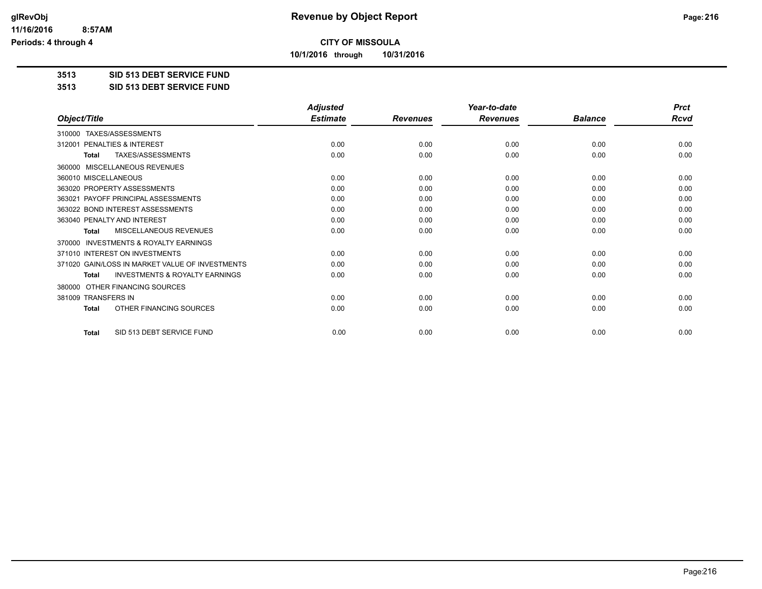**10/1/2016 through 10/31/2016**

**3513 SID 513 DEBT SERVICE FUND**

**3513 SID 513 DEBT SERVICE FUND**

|                                                           | <b>Adjusted</b> |                 | Year-to-date    |                | <b>Prct</b> |
|-----------------------------------------------------------|-----------------|-----------------|-----------------|----------------|-------------|
| Object/Title                                              | <b>Estimate</b> | <b>Revenues</b> | <b>Revenues</b> | <b>Balance</b> | <b>Rcvd</b> |
| TAXES/ASSESSMENTS<br>310000                               |                 |                 |                 |                |             |
| PENALTIES & INTEREST<br>312001                            | 0.00            | 0.00            | 0.00            | 0.00           | 0.00        |
| TAXES/ASSESSMENTS<br>Total                                | 0.00            | 0.00            | 0.00            | 0.00           | 0.00        |
| MISCELLANEOUS REVENUES<br>360000                          |                 |                 |                 |                |             |
| 360010 MISCELLANEOUS                                      | 0.00            | 0.00            | 0.00            | 0.00           | 0.00        |
| 363020 PROPERTY ASSESSMENTS                               | 0.00            | 0.00            | 0.00            | 0.00           | 0.00        |
| 363021 PAYOFF PRINCIPAL ASSESSMENTS                       | 0.00            | 0.00            | 0.00            | 0.00           | 0.00        |
| 363022 BOND INTEREST ASSESSMENTS                          | 0.00            | 0.00            | 0.00            | 0.00           | 0.00        |
| 363040 PENALTY AND INTEREST                               | 0.00            | 0.00            | 0.00            | 0.00           | 0.00        |
| MISCELLANEOUS REVENUES<br><b>Total</b>                    | 0.00            | 0.00            | 0.00            | 0.00           | 0.00        |
| <b>INVESTMENTS &amp; ROYALTY EARNINGS</b><br>370000       |                 |                 |                 |                |             |
| 371010 INTEREST ON INVESTMENTS                            | 0.00            | 0.00            | 0.00            | 0.00           | 0.00        |
| 371020 GAIN/LOSS IN MARKET VALUE OF INVESTMENTS           | 0.00            | 0.00            | 0.00            | 0.00           | 0.00        |
| <b>INVESTMENTS &amp; ROYALTY EARNINGS</b><br><b>Total</b> | 0.00            | 0.00            | 0.00            | 0.00           | 0.00        |
| OTHER FINANCING SOURCES<br>380000                         |                 |                 |                 |                |             |
| 381009 TRANSFERS IN                                       | 0.00            | 0.00            | 0.00            | 0.00           | 0.00        |
| OTHER FINANCING SOURCES<br>Total                          | 0.00            | 0.00            | 0.00            | 0.00           | 0.00        |
| SID 513 DEBT SERVICE FUND<br><b>Total</b>                 | 0.00            | 0.00            | 0.00            | 0.00           | 0.00        |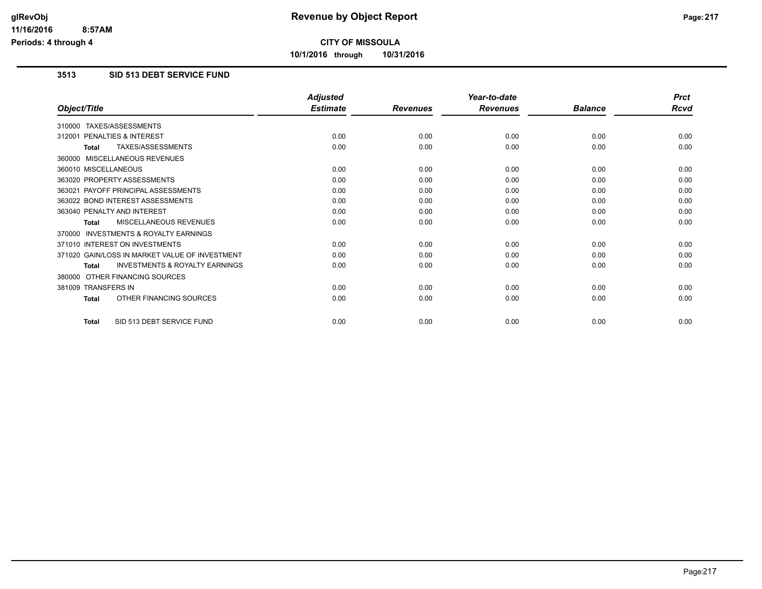**10/1/2016 through 10/31/2016**

## **3513 SID 513 DEBT SERVICE FUND**

|                                                     | <b>Adjusted</b> |                 | Year-to-date    |                | <b>Prct</b> |
|-----------------------------------------------------|-----------------|-----------------|-----------------|----------------|-------------|
| Object/Title                                        | <b>Estimate</b> | <b>Revenues</b> | <b>Revenues</b> | <b>Balance</b> | <b>Rcvd</b> |
| 310000 TAXES/ASSESSMENTS                            |                 |                 |                 |                |             |
| 312001 PENALTIES & INTEREST                         | 0.00            | 0.00            | 0.00            | 0.00           | 0.00        |
| TAXES/ASSESSMENTS<br><b>Total</b>                   | 0.00            | 0.00            | 0.00            | 0.00           | 0.00        |
| 360000 MISCELLANEOUS REVENUES                       |                 |                 |                 |                |             |
| 360010 MISCELLANEOUS                                | 0.00            | 0.00            | 0.00            | 0.00           | 0.00        |
| 363020 PROPERTY ASSESSMENTS                         | 0.00            | 0.00            | 0.00            | 0.00           | 0.00        |
| 363021 PAYOFF PRINCIPAL ASSESSMENTS                 | 0.00            | 0.00            | 0.00            | 0.00           | 0.00        |
| 363022 BOND INTEREST ASSESSMENTS                    | 0.00            | 0.00            | 0.00            | 0.00           | 0.00        |
| 363040 PENALTY AND INTEREST                         | 0.00            | 0.00            | 0.00            | 0.00           | 0.00        |
| MISCELLANEOUS REVENUES<br><b>Total</b>              | 0.00            | 0.00            | 0.00            | 0.00           | 0.00        |
| <b>INVESTMENTS &amp; ROYALTY EARNINGS</b><br>370000 |                 |                 |                 |                |             |
| 371010 INTEREST ON INVESTMENTS                      | 0.00            | 0.00            | 0.00            | 0.00           | 0.00        |
| 371020 GAIN/LOSS IN MARKET VALUE OF INVESTMENT      | 0.00            | 0.00            | 0.00            | 0.00           | 0.00        |
| <b>INVESTMENTS &amp; ROYALTY EARNINGS</b><br>Total  | 0.00            | 0.00            | 0.00            | 0.00           | 0.00        |
| 380000 OTHER FINANCING SOURCES                      |                 |                 |                 |                |             |
| 381009 TRANSFERS IN                                 | 0.00            | 0.00            | 0.00            | 0.00           | 0.00        |
| OTHER FINANCING SOURCES<br><b>Total</b>             | 0.00            | 0.00            | 0.00            | 0.00           | 0.00        |
| SID 513 DEBT SERVICE FUND<br><b>Total</b>           | 0.00            | 0.00            | 0.00            | 0.00           | 0.00        |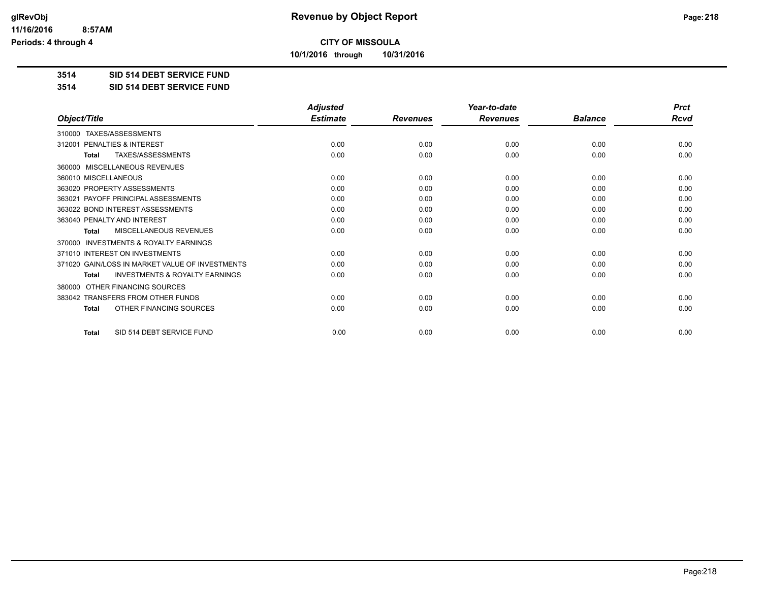**10/1/2016 through 10/31/2016**

**3514 SID 514 DEBT SERVICE FUND**

**3514 SID 514 DEBT SERVICE FUND**

|                                                           | <b>Adjusted</b> |                 | Year-to-date    |                | <b>Prct</b> |
|-----------------------------------------------------------|-----------------|-----------------|-----------------|----------------|-------------|
| Object/Title                                              | <b>Estimate</b> | <b>Revenues</b> | <b>Revenues</b> | <b>Balance</b> | <b>Rcvd</b> |
| TAXES/ASSESSMENTS<br>310000                               |                 |                 |                 |                |             |
| PENALTIES & INTEREST<br>312001                            | 0.00            | 0.00            | 0.00            | 0.00           | 0.00        |
| <b>TAXES/ASSESSMENTS</b><br><b>Total</b>                  | 0.00            | 0.00            | 0.00            | 0.00           | 0.00        |
| MISCELLANEOUS REVENUES<br>360000                          |                 |                 |                 |                |             |
| 360010 MISCELLANEOUS                                      | 0.00            | 0.00            | 0.00            | 0.00           | 0.00        |
| 363020 PROPERTY ASSESSMENTS                               | 0.00            | 0.00            | 0.00            | 0.00           | 0.00        |
| 363021 PAYOFF PRINCIPAL ASSESSMENTS                       | 0.00            | 0.00            | 0.00            | 0.00           | 0.00        |
| 363022 BOND INTEREST ASSESSMENTS                          | 0.00            | 0.00            | 0.00            | 0.00           | 0.00        |
| 363040 PENALTY AND INTEREST                               | 0.00            | 0.00            | 0.00            | 0.00           | 0.00        |
| <b>MISCELLANEOUS REVENUES</b><br><b>Total</b>             | 0.00            | 0.00            | 0.00            | 0.00           | 0.00        |
| <b>INVESTMENTS &amp; ROYALTY EARNINGS</b><br>370000       |                 |                 |                 |                |             |
| 371010 INTEREST ON INVESTMENTS                            | 0.00            | 0.00            | 0.00            | 0.00           | 0.00        |
| 371020 GAIN/LOSS IN MARKET VALUE OF INVESTMENTS           | 0.00            | 0.00            | 0.00            | 0.00           | 0.00        |
| <b>INVESTMENTS &amp; ROYALTY EARNINGS</b><br><b>Total</b> | 0.00            | 0.00            | 0.00            | 0.00           | 0.00        |
| OTHER FINANCING SOURCES<br>380000                         |                 |                 |                 |                |             |
| 383042 TRANSFERS FROM OTHER FUNDS                         | 0.00            | 0.00            | 0.00            | 0.00           | 0.00        |
| OTHER FINANCING SOURCES<br><b>Total</b>                   | 0.00            | 0.00            | 0.00            | 0.00           | 0.00        |
| SID 514 DEBT SERVICE FUND<br><b>Total</b>                 | 0.00            | 0.00            | 0.00            | 0.00           | 0.00        |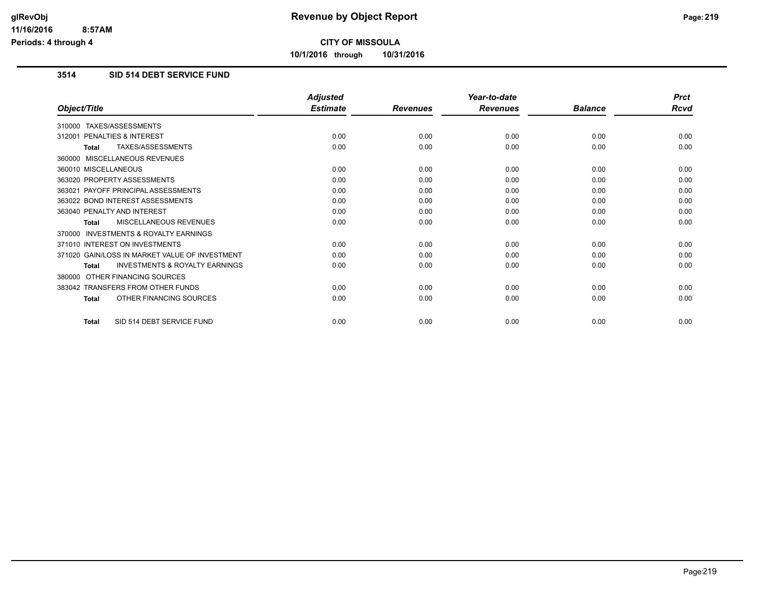**10/1/2016 through 10/31/2016**

### **3514 SID 514 DEBT SERVICE FUND**

|                                                           | <b>Adjusted</b> |                 | Year-to-date    |                | <b>Prct</b> |
|-----------------------------------------------------------|-----------------|-----------------|-----------------|----------------|-------------|
| Object/Title                                              | <b>Estimate</b> | <b>Revenues</b> | <b>Revenues</b> | <b>Balance</b> | <b>Rcvd</b> |
| 310000 TAXES/ASSESSMENTS                                  |                 |                 |                 |                |             |
| 312001 PENALTIES & INTEREST                               | 0.00            | 0.00            | 0.00            | 0.00           | 0.00        |
| TAXES/ASSESSMENTS<br><b>Total</b>                         | 0.00            | 0.00            | 0.00            | 0.00           | 0.00        |
| 360000 MISCELLANEOUS REVENUES                             |                 |                 |                 |                |             |
| 360010 MISCELLANEOUS                                      | 0.00            | 0.00            | 0.00            | 0.00           | 0.00        |
| 363020 PROPERTY ASSESSMENTS                               | 0.00            | 0.00            | 0.00            | 0.00           | 0.00        |
| 363021 PAYOFF PRINCIPAL ASSESSMENTS                       | 0.00            | 0.00            | 0.00            | 0.00           | 0.00        |
| 363022 BOND INTEREST ASSESSMENTS                          | 0.00            | 0.00            | 0.00            | 0.00           | 0.00        |
| 363040 PENALTY AND INTEREST                               | 0.00            | 0.00            | 0.00            | 0.00           | 0.00        |
| MISCELLANEOUS REVENUES<br><b>Total</b>                    | 0.00            | 0.00            | 0.00            | 0.00           | 0.00        |
| INVESTMENTS & ROYALTY EARNINGS<br>370000                  |                 |                 |                 |                |             |
| 371010 INTEREST ON INVESTMENTS                            | 0.00            | 0.00            | 0.00            | 0.00           | 0.00        |
| 371020 GAIN/LOSS IN MARKET VALUE OF INVESTMENT            | 0.00            | 0.00            | 0.00            | 0.00           | 0.00        |
| <b>INVESTMENTS &amp; ROYALTY EARNINGS</b><br><b>Total</b> | 0.00            | 0.00            | 0.00            | 0.00           | 0.00        |
| OTHER FINANCING SOURCES<br>380000                         |                 |                 |                 |                |             |
| 383042 TRANSFERS FROM OTHER FUNDS                         | 0.00            | 0.00            | 0.00            | 0.00           | 0.00        |
| OTHER FINANCING SOURCES<br><b>Total</b>                   | 0.00            | 0.00            | 0.00            | 0.00           | 0.00        |
| SID 514 DEBT SERVICE FUND<br><b>Total</b>                 | 0.00            | 0.00            | 0.00            | 0.00           | 0.00        |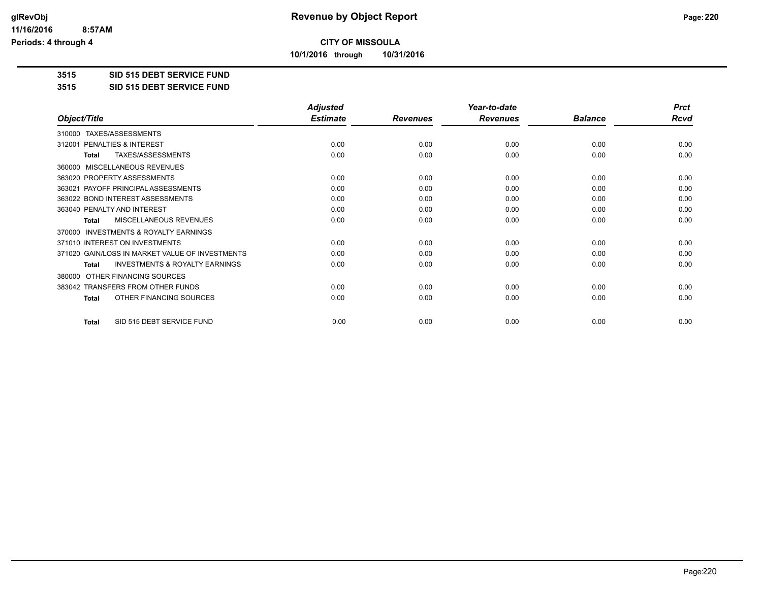**10/1/2016 through 10/31/2016**

**3515 SID 515 DEBT SERVICE FUND**

**3515 SID 515 DEBT SERVICE FUND**

|                                                     | <b>Adjusted</b> |                 | Year-to-date    |                | <b>Prct</b> |
|-----------------------------------------------------|-----------------|-----------------|-----------------|----------------|-------------|
| Object/Title                                        | <b>Estimate</b> | <b>Revenues</b> | <b>Revenues</b> | <b>Balance</b> | <b>Rcvd</b> |
| TAXES/ASSESSMENTS<br>310000                         |                 |                 |                 |                |             |
| PENALTIES & INTEREST<br>312001                      | 0.00            | 0.00            | 0.00            | 0.00           | 0.00        |
| TAXES/ASSESSMENTS<br>Total                          | 0.00            | 0.00            | 0.00            | 0.00           | 0.00        |
| MISCELLANEOUS REVENUES<br>360000                    |                 |                 |                 |                |             |
| 363020 PROPERTY ASSESSMENTS                         | 0.00            | 0.00            | 0.00            | 0.00           | 0.00        |
| 363021 PAYOFF PRINCIPAL ASSESSMENTS                 | 0.00            | 0.00            | 0.00            | 0.00           | 0.00        |
| 363022 BOND INTEREST ASSESSMENTS                    | 0.00            | 0.00            | 0.00            | 0.00           | 0.00        |
| 363040 PENALTY AND INTEREST                         | 0.00            | 0.00            | 0.00            | 0.00           | 0.00        |
| MISCELLANEOUS REVENUES<br><b>Total</b>              | 0.00            | 0.00            | 0.00            | 0.00           | 0.00        |
| <b>INVESTMENTS &amp; ROYALTY EARNINGS</b><br>370000 |                 |                 |                 |                |             |
| 371010 INTEREST ON INVESTMENTS                      | 0.00            | 0.00            | 0.00            | 0.00           | 0.00        |
| 371020 GAIN/LOSS IN MARKET VALUE OF INVESTMENTS     | 0.00            | 0.00            | 0.00            | 0.00           | 0.00        |
| <b>INVESTMENTS &amp; ROYALTY EARNINGS</b><br>Total  | 0.00            | 0.00            | 0.00            | 0.00           | 0.00        |
| OTHER FINANCING SOURCES<br>380000                   |                 |                 |                 |                |             |
| 383042 TRANSFERS FROM OTHER FUNDS                   | 0.00            | 0.00            | 0.00            | 0.00           | 0.00        |
| OTHER FINANCING SOURCES<br><b>Total</b>             | 0.00            | 0.00            | 0.00            | 0.00           | 0.00        |
|                                                     |                 |                 |                 |                |             |
| SID 515 DEBT SERVICE FUND<br><b>Total</b>           | 0.00            | 0.00            | 0.00            | 0.00           | 0.00        |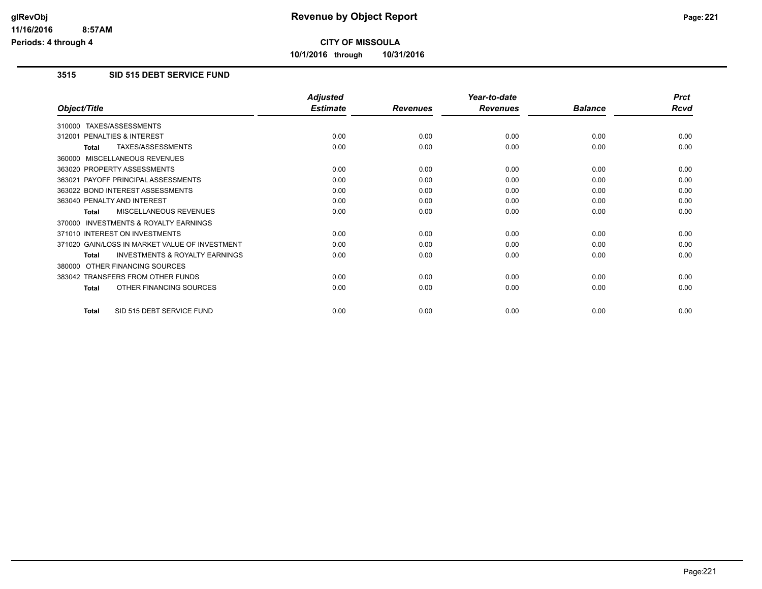**10/1/2016 through 10/31/2016**

### **3515 SID 515 DEBT SERVICE FUND**

|                                                    | <b>Adjusted</b> |                 | Year-to-date    |                | <b>Prct</b> |
|----------------------------------------------------|-----------------|-----------------|-----------------|----------------|-------------|
| Object/Title                                       | <b>Estimate</b> | <b>Revenues</b> | <b>Revenues</b> | <b>Balance</b> | <b>Rcvd</b> |
| TAXES/ASSESSMENTS<br>310000                        |                 |                 |                 |                |             |
| PENALTIES & INTEREST<br>312001                     | 0.00            | 0.00            | 0.00            | 0.00           | 0.00        |
| TAXES/ASSESSMENTS<br><b>Total</b>                  | 0.00            | 0.00            | 0.00            | 0.00           | 0.00        |
| 360000 MISCELLANEOUS REVENUES                      |                 |                 |                 |                |             |
| 363020 PROPERTY ASSESSMENTS                        | 0.00            | 0.00            | 0.00            | 0.00           | 0.00        |
| 363021 PAYOFF PRINCIPAL ASSESSMENTS                | 0.00            | 0.00            | 0.00            | 0.00           | 0.00        |
| 363022 BOND INTEREST ASSESSMENTS                   | 0.00            | 0.00            | 0.00            | 0.00           | 0.00        |
| 363040 PENALTY AND INTEREST                        | 0.00            | 0.00            | 0.00            | 0.00           | 0.00        |
| <b>MISCELLANEOUS REVENUES</b><br>Total             | 0.00            | 0.00            | 0.00            | 0.00           | 0.00        |
| 370000 INVESTMENTS & ROYALTY EARNINGS              |                 |                 |                 |                |             |
| 371010 INTEREST ON INVESTMENTS                     | 0.00            | 0.00            | 0.00            | 0.00           | 0.00        |
| 371020 GAIN/LOSS IN MARKET VALUE OF INVESTMENT     | 0.00            | 0.00            | 0.00            | 0.00           | 0.00        |
| <b>INVESTMENTS &amp; ROYALTY EARNINGS</b><br>Total | 0.00            | 0.00            | 0.00            | 0.00           | 0.00        |
| OTHER FINANCING SOURCES<br>380000                  |                 |                 |                 |                |             |
| 383042 TRANSFERS FROM OTHER FUNDS                  | 0.00            | 0.00            | 0.00            | 0.00           | 0.00        |
| OTHER FINANCING SOURCES<br><b>Total</b>            | 0.00            | 0.00            | 0.00            | 0.00           | 0.00        |
| SID 515 DEBT SERVICE FUND<br><b>Total</b>          | 0.00            | 0.00            | 0.00            | 0.00           | 0.00        |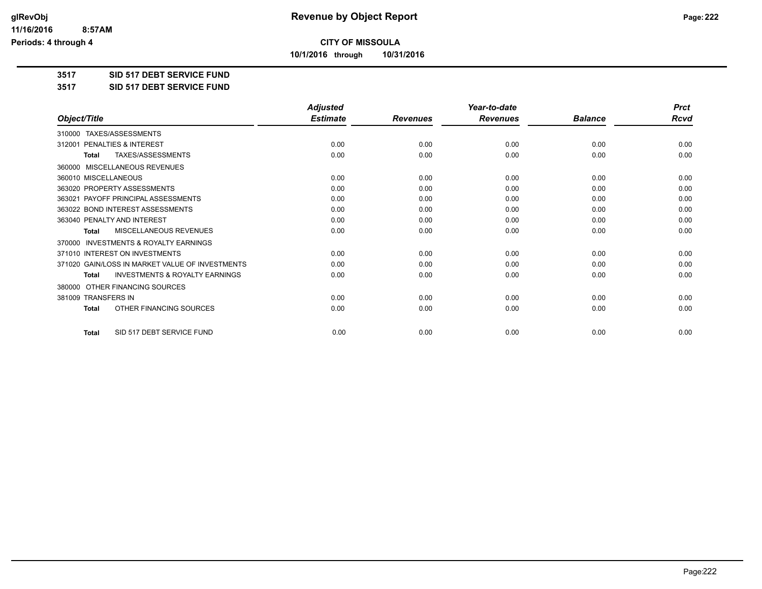**10/1/2016 through 10/31/2016**

**3517 SID 517 DEBT SERVICE FUND**

**3517 SID 517 DEBT SERVICE FUND**

|                                                           | <b>Adjusted</b> |                 | Year-to-date    |                | <b>Prct</b> |
|-----------------------------------------------------------|-----------------|-----------------|-----------------|----------------|-------------|
| Object/Title                                              | <b>Estimate</b> | <b>Revenues</b> | <b>Revenues</b> | <b>Balance</b> | <b>Rcvd</b> |
| TAXES/ASSESSMENTS<br>310000                               |                 |                 |                 |                |             |
| PENALTIES & INTEREST<br>312001                            | 0.00            | 0.00            | 0.00            | 0.00           | 0.00        |
| TAXES/ASSESSMENTS<br><b>Total</b>                         | 0.00            | 0.00            | 0.00            | 0.00           | 0.00        |
| 360000 MISCELLANEOUS REVENUES                             |                 |                 |                 |                |             |
| 360010 MISCELLANEOUS                                      | 0.00            | 0.00            | 0.00            | 0.00           | 0.00        |
| 363020 PROPERTY ASSESSMENTS                               | 0.00            | 0.00            | 0.00            | 0.00           | 0.00        |
| PAYOFF PRINCIPAL ASSESSMENTS<br>363021                    | 0.00            | 0.00            | 0.00            | 0.00           | 0.00        |
| 363022 BOND INTEREST ASSESSMENTS                          | 0.00            | 0.00            | 0.00            | 0.00           | 0.00        |
| 363040 PENALTY AND INTEREST                               | 0.00            | 0.00            | 0.00            | 0.00           | 0.00        |
| MISCELLANEOUS REVENUES<br><b>Total</b>                    | 0.00            | 0.00            | 0.00            | 0.00           | 0.00        |
| <b>INVESTMENTS &amp; ROYALTY EARNINGS</b><br>370000       |                 |                 |                 |                |             |
| 371010 INTEREST ON INVESTMENTS                            | 0.00            | 0.00            | 0.00            | 0.00           | 0.00        |
| 371020 GAIN/LOSS IN MARKET VALUE OF INVESTMENTS           | 0.00            | 0.00            | 0.00            | 0.00           | 0.00        |
| <b>INVESTMENTS &amp; ROYALTY EARNINGS</b><br><b>Total</b> | 0.00            | 0.00            | 0.00            | 0.00           | 0.00        |
| OTHER FINANCING SOURCES<br>380000                         |                 |                 |                 |                |             |
| 381009 TRANSFERS IN                                       | 0.00            | 0.00            | 0.00            | 0.00           | 0.00        |
| OTHER FINANCING SOURCES<br><b>Total</b>                   | 0.00            | 0.00            | 0.00            | 0.00           | 0.00        |
| SID 517 DEBT SERVICE FUND<br><b>Total</b>                 | 0.00            | 0.00            | 0.00            | 0.00           | 0.00        |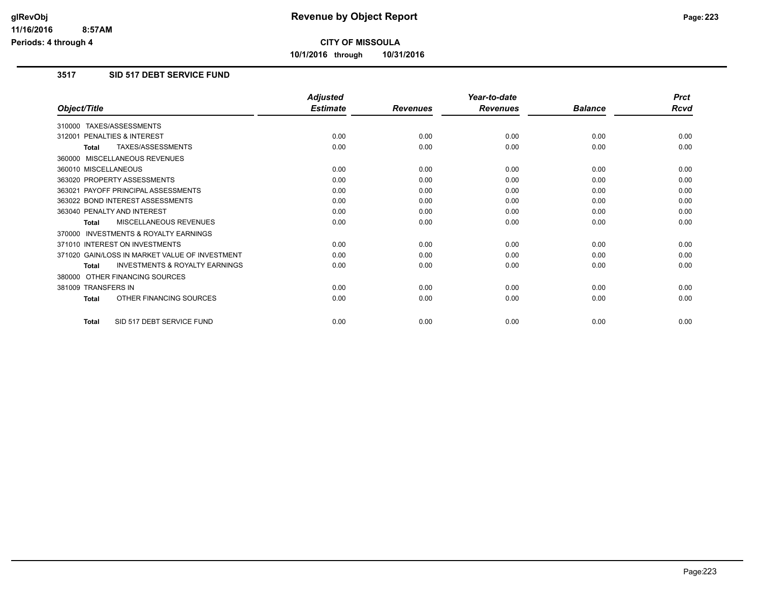**10/1/2016 through 10/31/2016**

### **3517 SID 517 DEBT SERVICE FUND**

|                                                           | <b>Adjusted</b> |                 | Year-to-date    |                | <b>Prct</b> |
|-----------------------------------------------------------|-----------------|-----------------|-----------------|----------------|-------------|
| Object/Title                                              | <b>Estimate</b> | <b>Revenues</b> | <b>Revenues</b> | <b>Balance</b> | <b>Rcvd</b> |
| 310000 TAXES/ASSESSMENTS                                  |                 |                 |                 |                |             |
| PENALTIES & INTEREST<br>312001                            | 0.00            | 0.00            | 0.00            | 0.00           | 0.00        |
| TAXES/ASSESSMENTS<br><b>Total</b>                         | 0.00            | 0.00            | 0.00            | 0.00           | 0.00        |
| 360000 MISCELLANEOUS REVENUES                             |                 |                 |                 |                |             |
| 360010 MISCELLANEOUS                                      | 0.00            | 0.00            | 0.00            | 0.00           | 0.00        |
| 363020 PROPERTY ASSESSMENTS                               | 0.00            | 0.00            | 0.00            | 0.00           | 0.00        |
| 363021 PAYOFF PRINCIPAL ASSESSMENTS                       | 0.00            | 0.00            | 0.00            | 0.00           | 0.00        |
| 363022 BOND INTEREST ASSESSMENTS                          | 0.00            | 0.00            | 0.00            | 0.00           | 0.00        |
| 363040 PENALTY AND INTEREST                               | 0.00            | 0.00            | 0.00            | 0.00           | 0.00        |
| MISCELLANEOUS REVENUES<br><b>Total</b>                    | 0.00            | 0.00            | 0.00            | 0.00           | 0.00        |
| <b>INVESTMENTS &amp; ROYALTY EARNINGS</b><br>370000       |                 |                 |                 |                |             |
| 371010 INTEREST ON INVESTMENTS                            | 0.00            | 0.00            | 0.00            | 0.00           | 0.00        |
| 371020 GAIN/LOSS IN MARKET VALUE OF INVESTMENT            | 0.00            | 0.00            | 0.00            | 0.00           | 0.00        |
| <b>INVESTMENTS &amp; ROYALTY EARNINGS</b><br><b>Total</b> | 0.00            | 0.00            | 0.00            | 0.00           | 0.00        |
| OTHER FINANCING SOURCES<br>380000                         |                 |                 |                 |                |             |
| 381009 TRANSFERS IN                                       | 0.00            | 0.00            | 0.00            | 0.00           | 0.00        |
| OTHER FINANCING SOURCES<br><b>Total</b>                   | 0.00            | 0.00            | 0.00            | 0.00           | 0.00        |
| SID 517 DEBT SERVICE FUND<br><b>Total</b>                 | 0.00            | 0.00            | 0.00            | 0.00           | 0.00        |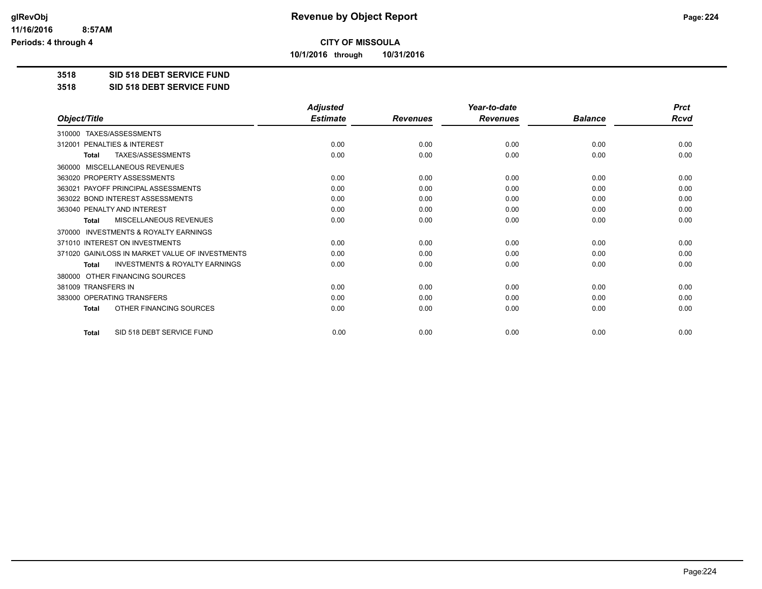**10/1/2016 through 10/31/2016**

**3518 SID 518 DEBT SERVICE FUND**

**3518 SID 518 DEBT SERVICE FUND**

|                                                           | <b>Adjusted</b> |                 | Year-to-date    |                | <b>Prct</b> |
|-----------------------------------------------------------|-----------------|-----------------|-----------------|----------------|-------------|
| Object/Title                                              | <b>Estimate</b> | <b>Revenues</b> | <b>Revenues</b> | <b>Balance</b> | <b>Rcvd</b> |
| TAXES/ASSESSMENTS<br>310000                               |                 |                 |                 |                |             |
| PENALTIES & INTEREST<br>312001                            | 0.00            | 0.00            | 0.00            | 0.00           | 0.00        |
| <b>TAXES/ASSESSMENTS</b><br>Total                         | 0.00            | 0.00            | 0.00            | 0.00           | 0.00        |
| MISCELLANEOUS REVENUES<br>360000                          |                 |                 |                 |                |             |
| 363020 PROPERTY ASSESSMENTS                               | 0.00            | 0.00            | 0.00            | 0.00           | 0.00        |
| 363021 PAYOFF PRINCIPAL ASSESSMENTS                       | 0.00            | 0.00            | 0.00            | 0.00           | 0.00        |
| 363022 BOND INTEREST ASSESSMENTS                          | 0.00            | 0.00            | 0.00            | 0.00           | 0.00        |
| 363040 PENALTY AND INTEREST                               | 0.00            | 0.00            | 0.00            | 0.00           | 0.00        |
| MISCELLANEOUS REVENUES<br><b>Total</b>                    | 0.00            | 0.00            | 0.00            | 0.00           | 0.00        |
| <b>INVESTMENTS &amp; ROYALTY EARNINGS</b><br>370000       |                 |                 |                 |                |             |
| 371010 INTEREST ON INVESTMENTS                            | 0.00            | 0.00            | 0.00            | 0.00           | 0.00        |
| 371020 GAIN/LOSS IN MARKET VALUE OF INVESTMENTS           | 0.00            | 0.00            | 0.00            | 0.00           | 0.00        |
| <b>INVESTMENTS &amp; ROYALTY EARNINGS</b><br><b>Total</b> | 0.00            | 0.00            | 0.00            | 0.00           | 0.00        |
| OTHER FINANCING SOURCES<br>380000                         |                 |                 |                 |                |             |
| 381009 TRANSFERS IN                                       | 0.00            | 0.00            | 0.00            | 0.00           | 0.00        |
| 383000 OPERATING TRANSFERS                                | 0.00            | 0.00            | 0.00            | 0.00           | 0.00        |
| OTHER FINANCING SOURCES<br><b>Total</b>                   | 0.00            | 0.00            | 0.00            | 0.00           | 0.00        |
| SID 518 DEBT SERVICE FUND<br><b>Total</b>                 | 0.00            | 0.00            | 0.00            | 0.00           | 0.00        |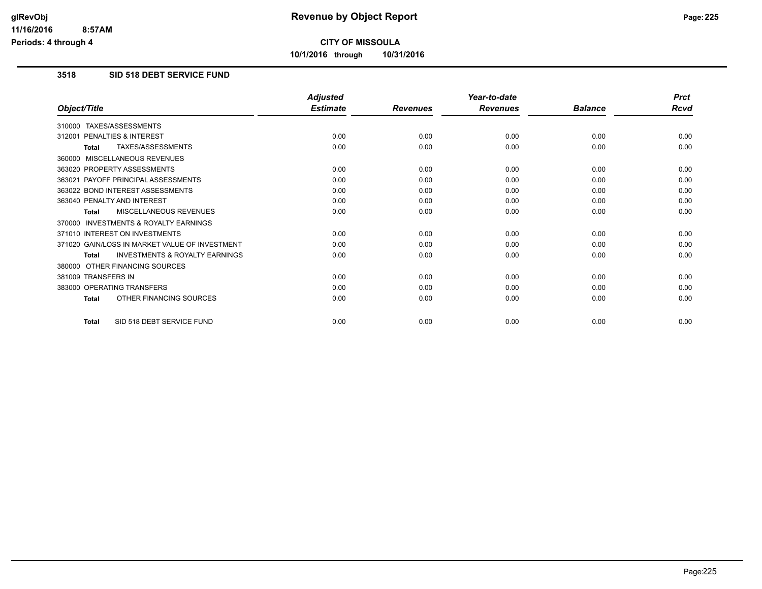**10/1/2016 through 10/31/2016**

## **3518 SID 518 DEBT SERVICE FUND**

|                                                           | <b>Adjusted</b> |                 | Year-to-date    |                | <b>Prct</b> |
|-----------------------------------------------------------|-----------------|-----------------|-----------------|----------------|-------------|
| Object/Title                                              | <b>Estimate</b> | <b>Revenues</b> | <b>Revenues</b> | <b>Balance</b> | <b>Rcvd</b> |
| 310000 TAXES/ASSESSMENTS                                  |                 |                 |                 |                |             |
| 312001 PENALTIES & INTEREST                               | 0.00            | 0.00            | 0.00            | 0.00           | 0.00        |
| <b>TAXES/ASSESSMENTS</b><br><b>Total</b>                  | 0.00            | 0.00            | 0.00            | 0.00           | 0.00        |
| 360000 MISCELLANEOUS REVENUES                             |                 |                 |                 |                |             |
| 363020 PROPERTY ASSESSMENTS                               | 0.00            | 0.00            | 0.00            | 0.00           | 0.00        |
| 363021 PAYOFF PRINCIPAL ASSESSMENTS                       | 0.00            | 0.00            | 0.00            | 0.00           | 0.00        |
| 363022 BOND INTEREST ASSESSMENTS                          | 0.00            | 0.00            | 0.00            | 0.00           | 0.00        |
| 363040 PENALTY AND INTEREST                               | 0.00            | 0.00            | 0.00            | 0.00           | 0.00        |
| MISCELLANEOUS REVENUES<br>Total                           | 0.00            | 0.00            | 0.00            | 0.00           | 0.00        |
| <b>INVESTMENTS &amp; ROYALTY EARNINGS</b><br>370000       |                 |                 |                 |                |             |
| 371010 INTEREST ON INVESTMENTS                            | 0.00            | 0.00            | 0.00            | 0.00           | 0.00        |
| 371020 GAIN/LOSS IN MARKET VALUE OF INVESTMENT            | 0.00            | 0.00            | 0.00            | 0.00           | 0.00        |
| <b>INVESTMENTS &amp; ROYALTY EARNINGS</b><br><b>Total</b> | 0.00            | 0.00            | 0.00            | 0.00           | 0.00        |
| 380000 OTHER FINANCING SOURCES                            |                 |                 |                 |                |             |
| 381009 TRANSFERS IN                                       | 0.00            | 0.00            | 0.00            | 0.00           | 0.00        |
| 383000 OPERATING TRANSFERS                                | 0.00            | 0.00            | 0.00            | 0.00           | 0.00        |
| OTHER FINANCING SOURCES<br>Total                          | 0.00            | 0.00            | 0.00            | 0.00           | 0.00        |
| SID 518 DEBT SERVICE FUND<br>Total                        | 0.00            | 0.00            | 0.00            | 0.00           | 0.00        |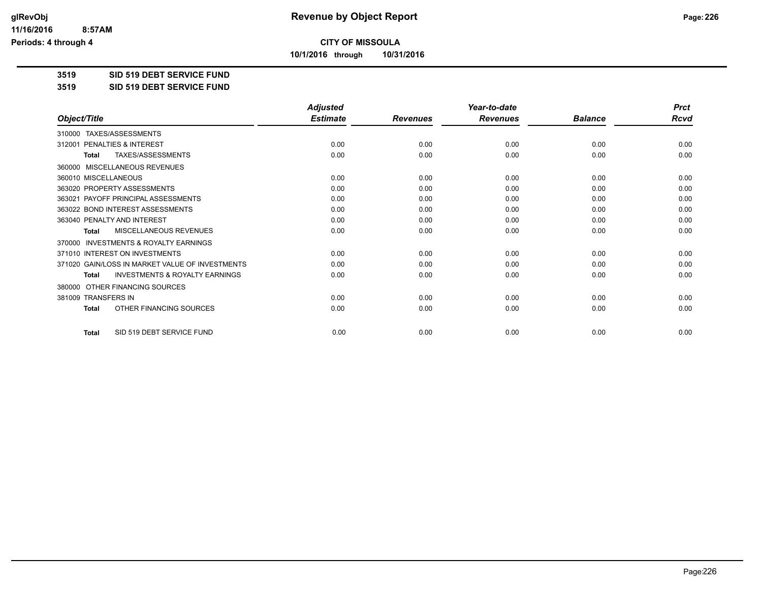**10/1/2016 through 10/31/2016**

**3519 SID 519 DEBT SERVICE FUND**

**3519 SID 519 DEBT SERVICE FUND**

|                                                           | <b>Adjusted</b> |                 | Year-to-date    |                | <b>Prct</b> |
|-----------------------------------------------------------|-----------------|-----------------|-----------------|----------------|-------------|
| Object/Title                                              | <b>Estimate</b> | <b>Revenues</b> | <b>Revenues</b> | <b>Balance</b> | <b>Rcvd</b> |
| TAXES/ASSESSMENTS<br>310000                               |                 |                 |                 |                |             |
| PENALTIES & INTEREST<br>312001                            | 0.00            | 0.00            | 0.00            | 0.00           | 0.00        |
| TAXES/ASSESSMENTS<br>Total                                | 0.00            | 0.00            | 0.00            | 0.00           | 0.00        |
| MISCELLANEOUS REVENUES<br>360000                          |                 |                 |                 |                |             |
| 360010 MISCELLANEOUS                                      | 0.00            | 0.00            | 0.00            | 0.00           | 0.00        |
| 363020 PROPERTY ASSESSMENTS                               | 0.00            | 0.00            | 0.00            | 0.00           | 0.00        |
| 363021 PAYOFF PRINCIPAL ASSESSMENTS                       | 0.00            | 0.00            | 0.00            | 0.00           | 0.00        |
| 363022 BOND INTEREST ASSESSMENTS                          | 0.00            | 0.00            | 0.00            | 0.00           | 0.00        |
| 363040 PENALTY AND INTEREST                               | 0.00            | 0.00            | 0.00            | 0.00           | 0.00        |
| MISCELLANEOUS REVENUES<br><b>Total</b>                    | 0.00            | 0.00            | 0.00            | 0.00           | 0.00        |
| <b>INVESTMENTS &amp; ROYALTY EARNINGS</b><br>370000       |                 |                 |                 |                |             |
| 371010 INTEREST ON INVESTMENTS                            | 0.00            | 0.00            | 0.00            | 0.00           | 0.00        |
| 371020 GAIN/LOSS IN MARKET VALUE OF INVESTMENTS           | 0.00            | 0.00            | 0.00            | 0.00           | 0.00        |
| <b>INVESTMENTS &amp; ROYALTY EARNINGS</b><br><b>Total</b> | 0.00            | 0.00            | 0.00            | 0.00           | 0.00        |
| OTHER FINANCING SOURCES<br>380000                         |                 |                 |                 |                |             |
| 381009 TRANSFERS IN                                       | 0.00            | 0.00            | 0.00            | 0.00           | 0.00        |
| OTHER FINANCING SOURCES<br>Total                          | 0.00            | 0.00            | 0.00            | 0.00           | 0.00        |
| SID 519 DEBT SERVICE FUND<br><b>Total</b>                 | 0.00            | 0.00            | 0.00            | 0.00           | 0.00        |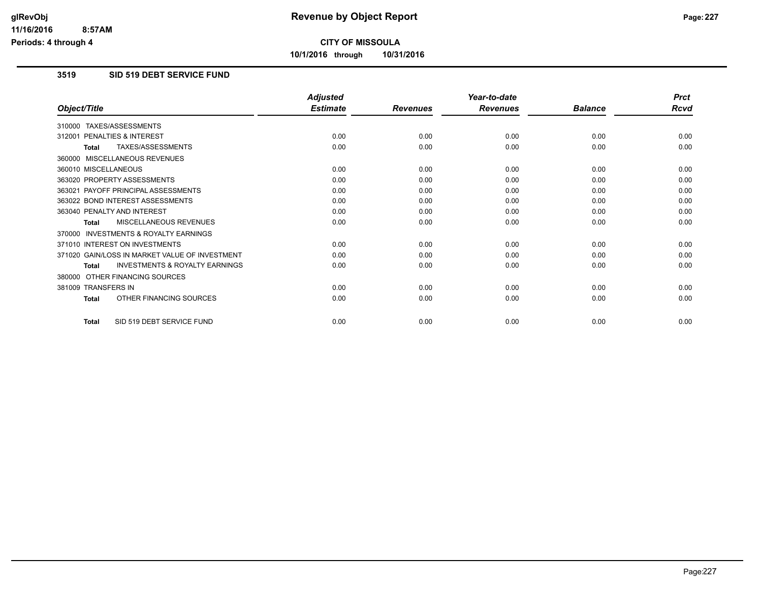**10/1/2016 through 10/31/2016**

## **3519 SID 519 DEBT SERVICE FUND**

|                                                           | <b>Adjusted</b> |                 | Year-to-date    |                | <b>Prct</b> |
|-----------------------------------------------------------|-----------------|-----------------|-----------------|----------------|-------------|
| Object/Title                                              | <b>Estimate</b> | <b>Revenues</b> | <b>Revenues</b> | <b>Balance</b> | <b>Rcvd</b> |
| 310000 TAXES/ASSESSMENTS                                  |                 |                 |                 |                |             |
| 312001 PENALTIES & INTEREST                               | 0.00            | 0.00            | 0.00            | 0.00           | 0.00        |
| TAXES/ASSESSMENTS<br><b>Total</b>                         | 0.00            | 0.00            | 0.00            | 0.00           | 0.00        |
| 360000 MISCELLANEOUS REVENUES                             |                 |                 |                 |                |             |
| 360010 MISCELLANEOUS                                      | 0.00            | 0.00            | 0.00            | 0.00           | 0.00        |
| 363020 PROPERTY ASSESSMENTS                               | 0.00            | 0.00            | 0.00            | 0.00           | 0.00        |
| 363021 PAYOFF PRINCIPAL ASSESSMENTS                       | 0.00            | 0.00            | 0.00            | 0.00           | 0.00        |
| 363022 BOND INTEREST ASSESSMENTS                          | 0.00            | 0.00            | 0.00            | 0.00           | 0.00        |
| 363040 PENALTY AND INTEREST                               | 0.00            | 0.00            | 0.00            | 0.00           | 0.00        |
| MISCELLANEOUS REVENUES<br><b>Total</b>                    | 0.00            | 0.00            | 0.00            | 0.00           | 0.00        |
| <b>INVESTMENTS &amp; ROYALTY EARNINGS</b><br>370000       |                 |                 |                 |                |             |
| 371010 INTEREST ON INVESTMENTS                            | 0.00            | 0.00            | 0.00            | 0.00           | 0.00        |
| 371020 GAIN/LOSS IN MARKET VALUE OF INVESTMENT            | 0.00            | 0.00            | 0.00            | 0.00           | 0.00        |
| <b>INVESTMENTS &amp; ROYALTY EARNINGS</b><br><b>Total</b> | 0.00            | 0.00            | 0.00            | 0.00           | 0.00        |
| 380000 OTHER FINANCING SOURCES                            |                 |                 |                 |                |             |
| 381009 TRANSFERS IN                                       | 0.00            | 0.00            | 0.00            | 0.00           | 0.00        |
| OTHER FINANCING SOURCES<br>Total                          | 0.00            | 0.00            | 0.00            | 0.00           | 0.00        |
| SID 519 DEBT SERVICE FUND<br>Total                        | 0.00            | 0.00            | 0.00            | 0.00           | 0.00        |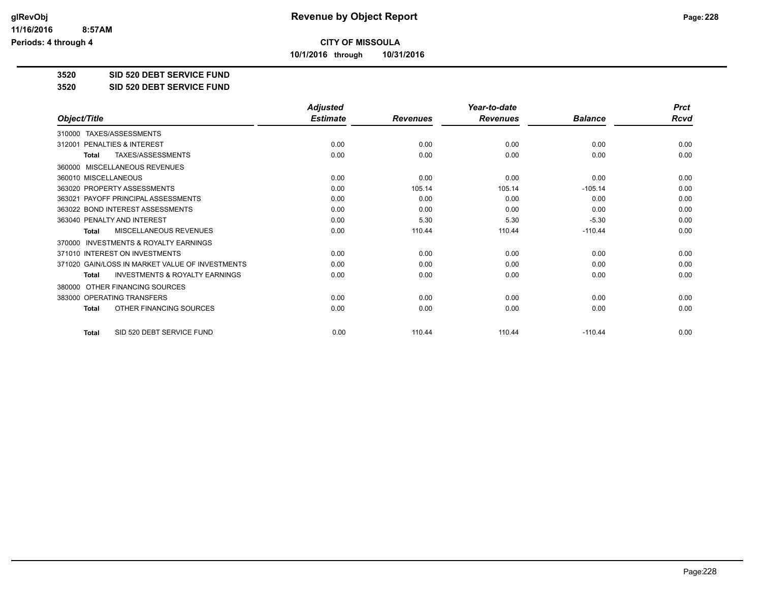**10/1/2016 through 10/31/2016**

**3520 SID 520 DEBT SERVICE FUND**

**3520 SID 520 DEBT SERVICE FUND**

|                                                           | <b>Adjusted</b> |                 | Year-to-date    |                | <b>Prct</b> |
|-----------------------------------------------------------|-----------------|-----------------|-----------------|----------------|-------------|
| Object/Title                                              | <b>Estimate</b> | <b>Revenues</b> | <b>Revenues</b> | <b>Balance</b> | Rcvd        |
| <b>TAXES/ASSESSMENTS</b><br>310000                        |                 |                 |                 |                |             |
| PENALTIES & INTEREST<br>312001                            | 0.00            | 0.00            | 0.00            | 0.00           | 0.00        |
| TAXES/ASSESSMENTS<br>Total                                | 0.00            | 0.00            | 0.00            | 0.00           | 0.00        |
| <b>MISCELLANEOUS REVENUES</b><br>360000                   |                 |                 |                 |                |             |
| 360010 MISCELLANEOUS                                      | 0.00            | 0.00            | 0.00            | 0.00           | 0.00        |
| 363020 PROPERTY ASSESSMENTS                               | 0.00            | 105.14          | 105.14          | $-105.14$      | 0.00        |
| PAYOFF PRINCIPAL ASSESSMENTS<br>363021                    | 0.00            | 0.00            | 0.00            | 0.00           | 0.00        |
| 363022 BOND INTEREST ASSESSMENTS                          | 0.00            | 0.00            | 0.00            | 0.00           | 0.00        |
| 363040 PENALTY AND INTEREST                               | 0.00            | 5.30            | 5.30            | $-5.30$        | 0.00        |
| <b>MISCELLANEOUS REVENUES</b><br>Total                    | 0.00            | 110.44          | 110.44          | $-110.44$      | 0.00        |
| <b>INVESTMENTS &amp; ROYALTY EARNINGS</b><br>370000       |                 |                 |                 |                |             |
| 371010 INTEREST ON INVESTMENTS                            | 0.00            | 0.00            | 0.00            | 0.00           | 0.00        |
| 371020 GAIN/LOSS IN MARKET VALUE OF INVESTMENTS           | 0.00            | 0.00            | 0.00            | 0.00           | 0.00        |
| <b>INVESTMENTS &amp; ROYALTY EARNINGS</b><br><b>Total</b> | 0.00            | 0.00            | 0.00            | 0.00           | 0.00        |
| OTHER FINANCING SOURCES<br>380000                         |                 |                 |                 |                |             |
| 383000 OPERATING TRANSFERS                                | 0.00            | 0.00            | 0.00            | 0.00           | 0.00        |
| OTHER FINANCING SOURCES<br><b>Total</b>                   | 0.00            | 0.00            | 0.00            | 0.00           | 0.00        |
| SID 520 DEBT SERVICE FUND<br><b>Total</b>                 | 0.00            | 110.44          | 110.44          | $-110.44$      | 0.00        |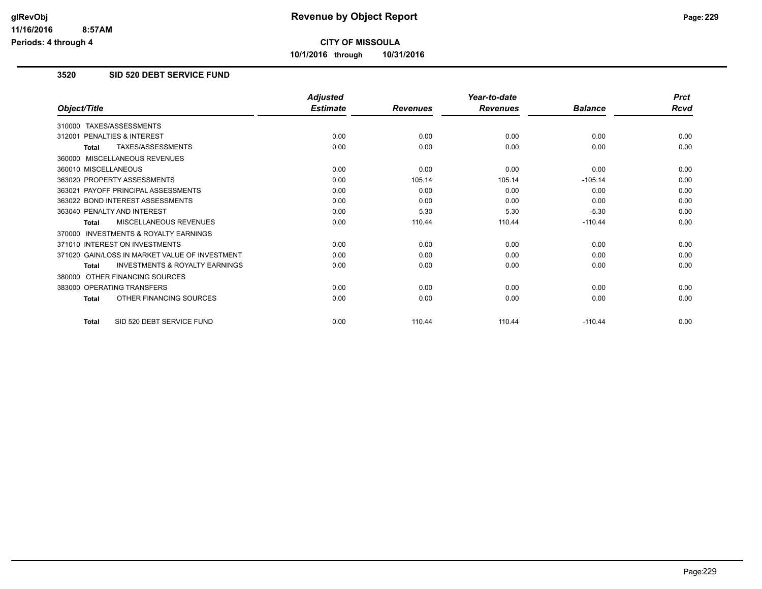**10/1/2016 through 10/31/2016**

## **3520 SID 520 DEBT SERVICE FUND**

|                                                           | <b>Adjusted</b> |                 | Year-to-date    |                | <b>Prct</b> |
|-----------------------------------------------------------|-----------------|-----------------|-----------------|----------------|-------------|
| Object/Title                                              | <b>Estimate</b> | <b>Revenues</b> | <b>Revenues</b> | <b>Balance</b> | <b>Rcvd</b> |
| 310000 TAXES/ASSESSMENTS                                  |                 |                 |                 |                |             |
| PENALTIES & INTEREST<br>312001                            | 0.00            | 0.00            | 0.00            | 0.00           | 0.00        |
| TAXES/ASSESSMENTS<br><b>Total</b>                         | 0.00            | 0.00            | 0.00            | 0.00           | 0.00        |
| 360000 MISCELLANEOUS REVENUES                             |                 |                 |                 |                |             |
| 360010 MISCELLANEOUS                                      | 0.00            | 0.00            | 0.00            | 0.00           | 0.00        |
| 363020 PROPERTY ASSESSMENTS                               | 0.00            | 105.14          | 105.14          | $-105.14$      | 0.00        |
| 363021 PAYOFF PRINCIPAL ASSESSMENTS                       | 0.00            | 0.00            | 0.00            | 0.00           | 0.00        |
| 363022 BOND INTEREST ASSESSMENTS                          | 0.00            | 0.00            | 0.00            | 0.00           | 0.00        |
| 363040 PENALTY AND INTEREST                               | 0.00            | 5.30            | 5.30            | $-5.30$        | 0.00        |
| MISCELLANEOUS REVENUES<br><b>Total</b>                    | 0.00            | 110.44          | 110.44          | $-110.44$      | 0.00        |
| <b>INVESTMENTS &amp; ROYALTY EARNINGS</b><br>370000       |                 |                 |                 |                |             |
| 371010 INTEREST ON INVESTMENTS                            | 0.00            | 0.00            | 0.00            | 0.00           | 0.00        |
| 371020 GAIN/LOSS IN MARKET VALUE OF INVESTMENT            | 0.00            | 0.00            | 0.00            | 0.00           | 0.00        |
| <b>INVESTMENTS &amp; ROYALTY EARNINGS</b><br><b>Total</b> | 0.00            | 0.00            | 0.00            | 0.00           | 0.00        |
| OTHER FINANCING SOURCES<br>380000                         |                 |                 |                 |                |             |
| 383000 OPERATING TRANSFERS                                | 0.00            | 0.00            | 0.00            | 0.00           | 0.00        |
| OTHER FINANCING SOURCES<br><b>Total</b>                   | 0.00            | 0.00            | 0.00            | 0.00           | 0.00        |
| SID 520 DEBT SERVICE FUND<br><b>Total</b>                 | 0.00            | 110.44          | 110.44          | $-110.44$      | 0.00        |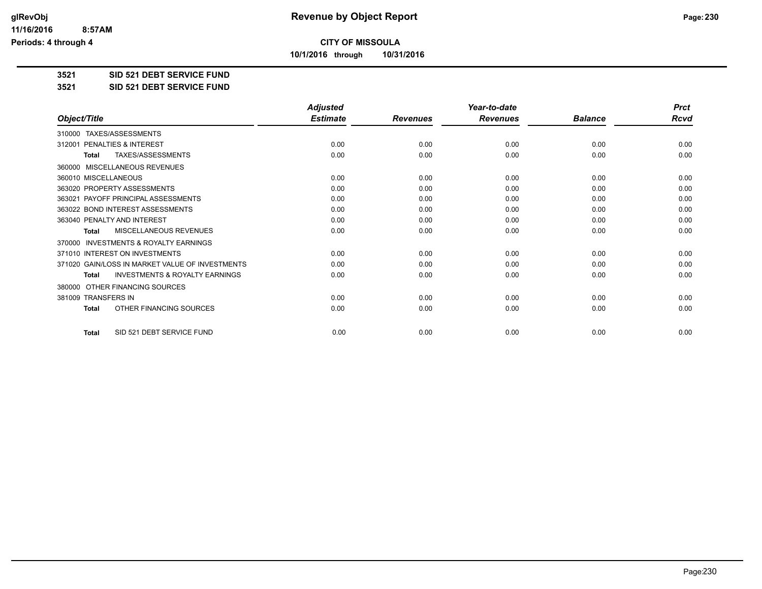**10/1/2016 through 10/31/2016**

**3521 SID 521 DEBT SERVICE FUND**

**3521 SID 521 DEBT SERVICE FUND**

|                                                           | <b>Adjusted</b> |                 | Year-to-date    |                | <b>Prct</b> |
|-----------------------------------------------------------|-----------------|-----------------|-----------------|----------------|-------------|
| Object/Title                                              | <b>Estimate</b> | <b>Revenues</b> | <b>Revenues</b> | <b>Balance</b> | <b>Rcvd</b> |
| TAXES/ASSESSMENTS<br>310000                               |                 |                 |                 |                |             |
| PENALTIES & INTEREST<br>312001                            | 0.00            | 0.00            | 0.00            | 0.00           | 0.00        |
| TAXES/ASSESSMENTS<br>Total                                | 0.00            | 0.00            | 0.00            | 0.00           | 0.00        |
| MISCELLANEOUS REVENUES<br>360000                          |                 |                 |                 |                |             |
| 360010 MISCELLANEOUS                                      | 0.00            | 0.00            | 0.00            | 0.00           | 0.00        |
| 363020 PROPERTY ASSESSMENTS                               | 0.00            | 0.00            | 0.00            | 0.00           | 0.00        |
| 363021 PAYOFF PRINCIPAL ASSESSMENTS                       | 0.00            | 0.00            | 0.00            | 0.00           | 0.00        |
| 363022 BOND INTEREST ASSESSMENTS                          | 0.00            | 0.00            | 0.00            | 0.00           | 0.00        |
| 363040 PENALTY AND INTEREST                               | 0.00            | 0.00            | 0.00            | 0.00           | 0.00        |
| MISCELLANEOUS REVENUES<br><b>Total</b>                    | 0.00            | 0.00            | 0.00            | 0.00           | 0.00        |
| <b>INVESTMENTS &amp; ROYALTY EARNINGS</b><br>370000       |                 |                 |                 |                |             |
| 371010 INTEREST ON INVESTMENTS                            | 0.00            | 0.00            | 0.00            | 0.00           | 0.00        |
| 371020 GAIN/LOSS IN MARKET VALUE OF INVESTMENTS           | 0.00            | 0.00            | 0.00            | 0.00           | 0.00        |
| <b>INVESTMENTS &amp; ROYALTY EARNINGS</b><br><b>Total</b> | 0.00            | 0.00            | 0.00            | 0.00           | 0.00        |
| OTHER FINANCING SOURCES<br>380000                         |                 |                 |                 |                |             |
| 381009 TRANSFERS IN                                       | 0.00            | 0.00            | 0.00            | 0.00           | 0.00        |
| OTHER FINANCING SOURCES<br>Total                          | 0.00            | 0.00            | 0.00            | 0.00           | 0.00        |
| SID 521 DEBT SERVICE FUND<br><b>Total</b>                 | 0.00            | 0.00            | 0.00            | 0.00           | 0.00        |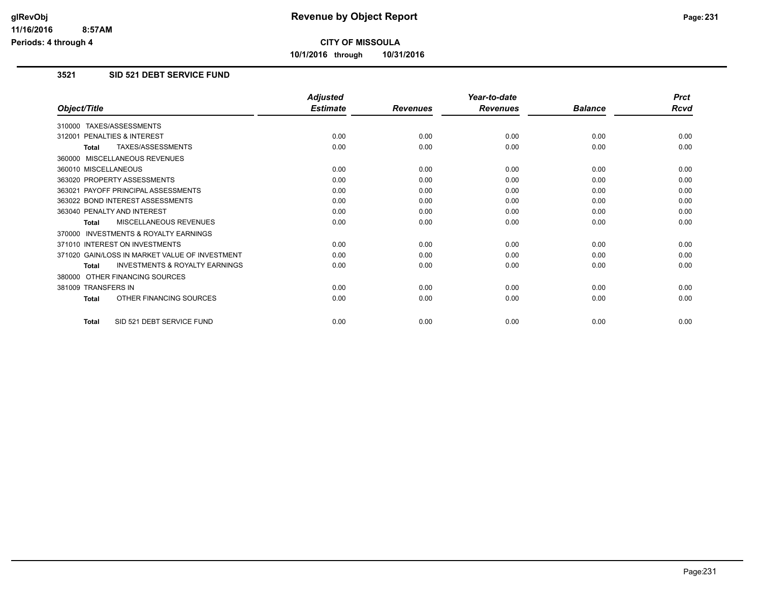**10/1/2016 through 10/31/2016**

## **3521 SID 521 DEBT SERVICE FUND**

|                                                           | <b>Adjusted</b> |                 | Year-to-date    |                | <b>Prct</b> |
|-----------------------------------------------------------|-----------------|-----------------|-----------------|----------------|-------------|
| Object/Title                                              | <b>Estimate</b> | <b>Revenues</b> | <b>Revenues</b> | <b>Balance</b> | <b>Rcvd</b> |
| 310000 TAXES/ASSESSMENTS                                  |                 |                 |                 |                |             |
| PENALTIES & INTEREST<br>312001                            | 0.00            | 0.00            | 0.00            | 0.00           | 0.00        |
| TAXES/ASSESSMENTS<br><b>Total</b>                         | 0.00            | 0.00            | 0.00            | 0.00           | 0.00        |
| 360000 MISCELLANEOUS REVENUES                             |                 |                 |                 |                |             |
| 360010 MISCELLANEOUS                                      | 0.00            | 0.00            | 0.00            | 0.00           | 0.00        |
| 363020 PROPERTY ASSESSMENTS                               | 0.00            | 0.00            | 0.00            | 0.00           | 0.00        |
| 363021 PAYOFF PRINCIPAL ASSESSMENTS                       | 0.00            | 0.00            | 0.00            | 0.00           | 0.00        |
| 363022 BOND INTEREST ASSESSMENTS                          | 0.00            | 0.00            | 0.00            | 0.00           | 0.00        |
| 363040 PENALTY AND INTEREST                               | 0.00            | 0.00            | 0.00            | 0.00           | 0.00        |
| MISCELLANEOUS REVENUES<br><b>Total</b>                    | 0.00            | 0.00            | 0.00            | 0.00           | 0.00        |
| <b>INVESTMENTS &amp; ROYALTY EARNINGS</b><br>370000       |                 |                 |                 |                |             |
| 371010 INTEREST ON INVESTMENTS                            | 0.00            | 0.00            | 0.00            | 0.00           | 0.00        |
| 371020 GAIN/LOSS IN MARKET VALUE OF INVESTMENT            | 0.00            | 0.00            | 0.00            | 0.00           | 0.00        |
| <b>INVESTMENTS &amp; ROYALTY EARNINGS</b><br><b>Total</b> | 0.00            | 0.00            | 0.00            | 0.00           | 0.00        |
| 380000 OTHER FINANCING SOURCES                            |                 |                 |                 |                |             |
| 381009 TRANSFERS IN                                       | 0.00            | 0.00            | 0.00            | 0.00           | 0.00        |
| OTHER FINANCING SOURCES<br><b>Total</b>                   | 0.00            | 0.00            | 0.00            | 0.00           | 0.00        |
| SID 521 DEBT SERVICE FUND<br><b>Total</b>                 | 0.00            | 0.00            | 0.00            | 0.00           | 0.00        |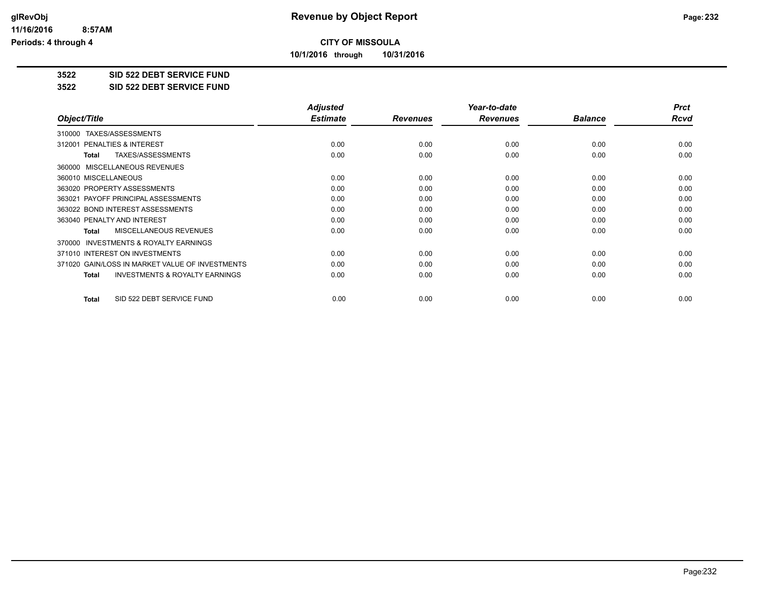**10/1/2016 through 10/31/2016**

**3522 SID 522 DEBT SERVICE FUND**

**3522 SID 522 DEBT SERVICE FUND**

|                                                    | <b>Adjusted</b> |                 | Year-to-date    |                | <b>Prct</b> |
|----------------------------------------------------|-----------------|-----------------|-----------------|----------------|-------------|
| Object/Title                                       | <b>Estimate</b> | <b>Revenues</b> | <b>Revenues</b> | <b>Balance</b> | Rcvd        |
| TAXES/ASSESSMENTS<br>310000                        |                 |                 |                 |                |             |
| <b>PENALTIES &amp; INTEREST</b><br>312001          | 0.00            | 0.00            | 0.00            | 0.00           | 0.00        |
| TAXES/ASSESSMENTS<br>Total                         | 0.00            | 0.00            | 0.00            | 0.00           | 0.00        |
| 360000 MISCELLANEOUS REVENUES                      |                 |                 |                 |                |             |
| 360010 MISCELLANEOUS                               | 0.00            | 0.00            | 0.00            | 0.00           | 0.00        |
| 363020 PROPERTY ASSESSMENTS                        | 0.00            | 0.00            | 0.00            | 0.00           | 0.00        |
| 363021 PAYOFF PRINCIPAL ASSESSMENTS                | 0.00            | 0.00            | 0.00            | 0.00           | 0.00        |
| 363022 BOND INTEREST ASSESSMENTS                   | 0.00            | 0.00            | 0.00            | 0.00           | 0.00        |
| 363040 PENALTY AND INTEREST                        | 0.00            | 0.00            | 0.00            | 0.00           | 0.00        |
| MISCELLANEOUS REVENUES<br>Total                    | 0.00            | 0.00            | 0.00            | 0.00           | 0.00        |
| 370000 INVESTMENTS & ROYALTY EARNINGS              |                 |                 |                 |                |             |
| 371010 INTEREST ON INVESTMENTS                     | 0.00            | 0.00            | 0.00            | 0.00           | 0.00        |
| 371020 GAIN/LOSS IN MARKET VALUE OF INVESTMENTS    | 0.00            | 0.00            | 0.00            | 0.00           | 0.00        |
| <b>INVESTMENTS &amp; ROYALTY EARNINGS</b><br>Total | 0.00            | 0.00            | 0.00            | 0.00           | 0.00        |
| SID 522 DEBT SERVICE FUND<br><b>Total</b>          | 0.00            | 0.00            | 0.00            | 0.00           | 0.00        |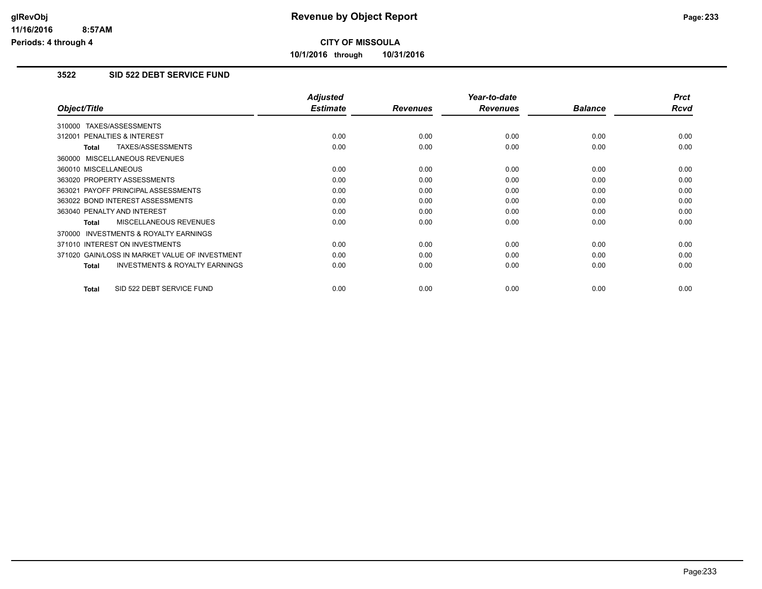**10/1/2016 through 10/31/2016**

### **3522 SID 522 DEBT SERVICE FUND**

|                                                           | <b>Adjusted</b> |                 | Year-to-date    |                | <b>Prct</b> |
|-----------------------------------------------------------|-----------------|-----------------|-----------------|----------------|-------------|
| Object/Title                                              | <b>Estimate</b> | <b>Revenues</b> | <b>Revenues</b> | <b>Balance</b> | <b>Rcvd</b> |
| 310000 TAXES/ASSESSMENTS                                  |                 |                 |                 |                |             |
| 312001 PENALTIES & INTEREST                               | 0.00            | 0.00            | 0.00            | 0.00           | 0.00        |
| TAXES/ASSESSMENTS<br>Total                                | 0.00            | 0.00            | 0.00            | 0.00           | 0.00        |
| 360000 MISCELLANEOUS REVENUES                             |                 |                 |                 |                |             |
| 360010 MISCELLANEOUS                                      | 0.00            | 0.00            | 0.00            | 0.00           | 0.00        |
| 363020 PROPERTY ASSESSMENTS                               | 0.00            | 0.00            | 0.00            | 0.00           | 0.00        |
| 363021 PAYOFF PRINCIPAL ASSESSMENTS                       | 0.00            | 0.00            | 0.00            | 0.00           | 0.00        |
| 363022 BOND INTEREST ASSESSMENTS                          | 0.00            | 0.00            | 0.00            | 0.00           | 0.00        |
| 363040 PENALTY AND INTEREST                               | 0.00            | 0.00            | 0.00            | 0.00           | 0.00        |
| <b>MISCELLANEOUS REVENUES</b><br>Total                    | 0.00            | 0.00            | 0.00            | 0.00           | 0.00        |
| INVESTMENTS & ROYALTY EARNINGS<br>370000                  |                 |                 |                 |                |             |
| 371010 INTEREST ON INVESTMENTS                            | 0.00            | 0.00            | 0.00            | 0.00           | 0.00        |
| 371020 GAIN/LOSS IN MARKET VALUE OF INVESTMENT            | 0.00            | 0.00            | 0.00            | 0.00           | 0.00        |
| <b>INVESTMENTS &amp; ROYALTY EARNINGS</b><br><b>Total</b> | 0.00            | 0.00            | 0.00            | 0.00           | 0.00        |
| SID 522 DEBT SERVICE FUND<br>Total                        | 0.00            | 0.00            | 0.00            | 0.00           | 0.00        |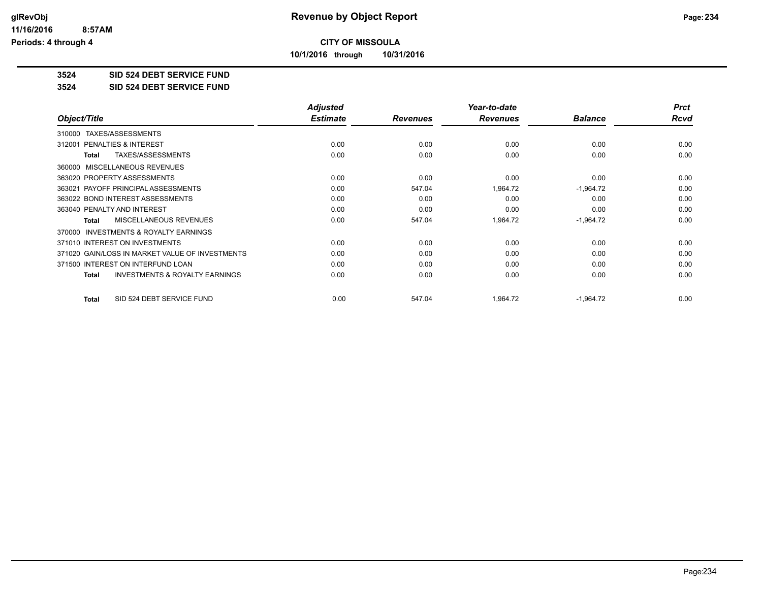**10/1/2016 through 10/31/2016**

**3524 SID 524 DEBT SERVICE FUND**

**3524 SID 524 DEBT SERVICE FUND**

|                                                     | <b>Adjusted</b> |                 | Year-to-date    |                | <b>Prct</b> |
|-----------------------------------------------------|-----------------|-----------------|-----------------|----------------|-------------|
| Object/Title                                        | <b>Estimate</b> | <b>Revenues</b> | <b>Revenues</b> | <b>Balance</b> | Rcvd        |
| 310000 TAXES/ASSESSMENTS                            |                 |                 |                 |                |             |
| <b>PENALTIES &amp; INTEREST</b><br>312001           | 0.00            | 0.00            | 0.00            | 0.00           | 0.00        |
| TAXES/ASSESSMENTS<br>Total                          | 0.00            | 0.00            | 0.00            | 0.00           | 0.00        |
| 360000 MISCELLANEOUS REVENUES                       |                 |                 |                 |                |             |
| 363020 PROPERTY ASSESSMENTS                         | 0.00            | 0.00            | 0.00            | 0.00           | 0.00        |
| 363021 PAYOFF PRINCIPAL ASSESSMENTS                 | 0.00            | 547.04          | 1,964.72        | $-1,964.72$    | 0.00        |
| 363022 BOND INTEREST ASSESSMENTS                    | 0.00            | 0.00            | 0.00            | 0.00           | 0.00        |
| 363040 PENALTY AND INTEREST                         | 0.00            | 0.00            | 0.00            | 0.00           | 0.00        |
| <b>MISCELLANEOUS REVENUES</b><br>Total              | 0.00            | 547.04          | 1,964.72        | $-1,964.72$    | 0.00        |
| <b>INVESTMENTS &amp; ROYALTY EARNINGS</b><br>370000 |                 |                 |                 |                |             |
| 371010 INTEREST ON INVESTMENTS                      | 0.00            | 0.00            | 0.00            | 0.00           | 0.00        |
| 371020 GAIN/LOSS IN MARKET VALUE OF INVESTMENTS     | 0.00            | 0.00            | 0.00            | 0.00           | 0.00        |
| 371500 INTEREST ON INTERFUND LOAN                   | 0.00            | 0.00            | 0.00            | 0.00           | 0.00        |
| <b>INVESTMENTS &amp; ROYALTY EARNINGS</b><br>Total  | 0.00            | 0.00            | 0.00            | 0.00           | 0.00        |
| SID 524 DEBT SERVICE FUND<br><b>Total</b>           | 0.00            | 547.04          | 1,964.72        | $-1,964.72$    | 0.00        |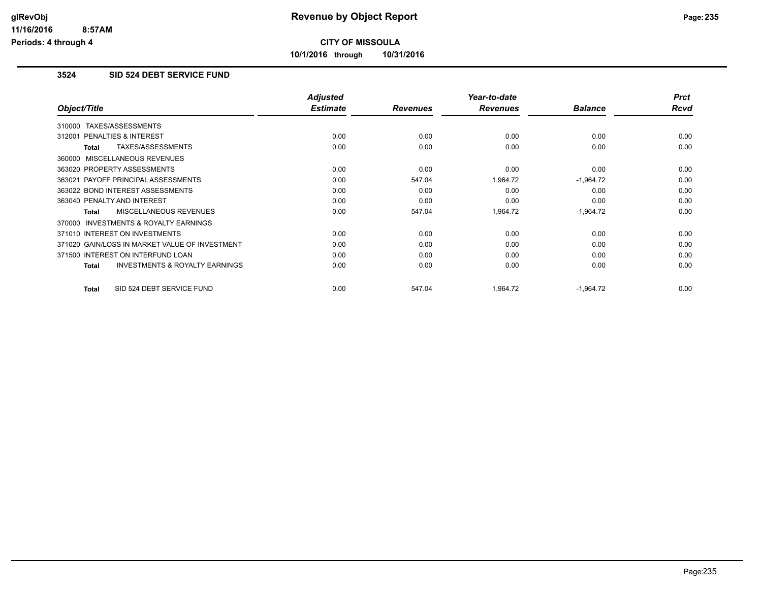**10/1/2016 through 10/31/2016**

### **3524 SID 524 DEBT SERVICE FUND**

|                                                     | <b>Adjusted</b> |                 | Year-to-date    |                | <b>Prct</b> |
|-----------------------------------------------------|-----------------|-----------------|-----------------|----------------|-------------|
| Object/Title                                        | <b>Estimate</b> | <b>Revenues</b> | <b>Revenues</b> | <b>Balance</b> | <b>Rcvd</b> |
| 310000 TAXES/ASSESSMENTS                            |                 |                 |                 |                |             |
| 312001 PENALTIES & INTEREST                         | 0.00            | 0.00            | 0.00            | 0.00           | 0.00        |
| TAXES/ASSESSMENTS<br><b>Total</b>                   | 0.00            | 0.00            | 0.00            | 0.00           | 0.00        |
| 360000 MISCELLANEOUS REVENUES                       |                 |                 |                 |                |             |
| 363020 PROPERTY ASSESSMENTS                         | 0.00            | 0.00            | 0.00            | 0.00           | 0.00        |
| 363021 PAYOFF PRINCIPAL ASSESSMENTS                 | 0.00            | 547.04          | 1,964.72        | $-1,964.72$    | 0.00        |
| 363022 BOND INTEREST ASSESSMENTS                    | 0.00            | 0.00            | 0.00            | 0.00           | 0.00        |
| 363040 PENALTY AND INTEREST                         | 0.00            | 0.00            | 0.00            | 0.00           | 0.00        |
| <b>MISCELLANEOUS REVENUES</b><br><b>Total</b>       | 0.00            | 547.04          | 1,964.72        | $-1,964.72$    | 0.00        |
| <b>INVESTMENTS &amp; ROYALTY EARNINGS</b><br>370000 |                 |                 |                 |                |             |
| 371010 INTEREST ON INVESTMENTS                      | 0.00            | 0.00            | 0.00            | 0.00           | 0.00        |
| 371020 GAIN/LOSS IN MARKET VALUE OF INVESTMENT      | 0.00            | 0.00            | 0.00            | 0.00           | 0.00        |
| 371500 INTEREST ON INTERFUND LOAN                   | 0.00            | 0.00            | 0.00            | 0.00           | 0.00        |
| <b>INVESTMENTS &amp; ROYALTY EARNINGS</b><br>Total  | 0.00            | 0.00            | 0.00            | 0.00           | 0.00        |
| SID 524 DEBT SERVICE FUND<br>Total                  | 0.00            | 547.04          | 1.964.72        | $-1,964.72$    | 0.00        |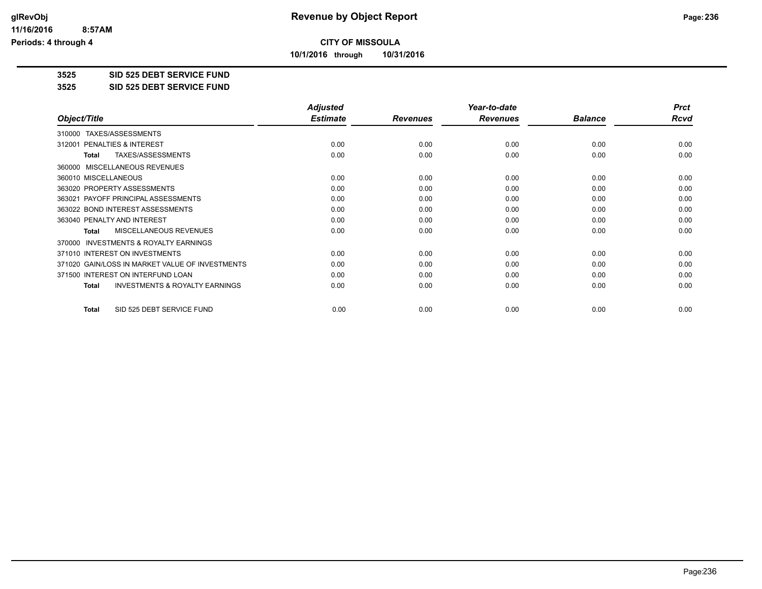**10/1/2016 through 10/31/2016**

**3525 SID 525 DEBT SERVICE FUND**

**3525 SID 525 DEBT SERVICE FUND**

|                                                           | <b>Adjusted</b> |                 | Year-to-date    |                | <b>Prct</b> |
|-----------------------------------------------------------|-----------------|-----------------|-----------------|----------------|-------------|
| Object/Title                                              | <b>Estimate</b> | <b>Revenues</b> | <b>Revenues</b> | <b>Balance</b> | <b>Rcvd</b> |
| TAXES/ASSESSMENTS<br>310000                               |                 |                 |                 |                |             |
| <b>PENALTIES &amp; INTEREST</b><br>312001                 | 0.00            | 0.00            | 0.00            | 0.00           | 0.00        |
| TAXES/ASSESSMENTS<br><b>Total</b>                         | 0.00            | 0.00            | 0.00            | 0.00           | 0.00        |
| 360000 MISCELLANEOUS REVENUES                             |                 |                 |                 |                |             |
| 360010 MISCELLANEOUS                                      | 0.00            | 0.00            | 0.00            | 0.00           | 0.00        |
| 363020 PROPERTY ASSESSMENTS                               | 0.00            | 0.00            | 0.00            | 0.00           | 0.00        |
| 363021 PAYOFF PRINCIPAL ASSESSMENTS                       | 0.00            | 0.00            | 0.00            | 0.00           | 0.00        |
| 363022 BOND INTEREST ASSESSMENTS                          | 0.00            | 0.00            | 0.00            | 0.00           | 0.00        |
| 363040 PENALTY AND INTEREST                               | 0.00            | 0.00            | 0.00            | 0.00           | 0.00        |
| <b>MISCELLANEOUS REVENUES</b><br><b>Total</b>             | 0.00            | 0.00            | 0.00            | 0.00           | 0.00        |
| <b>INVESTMENTS &amp; ROYALTY EARNINGS</b><br>370000       |                 |                 |                 |                |             |
| 371010 INTEREST ON INVESTMENTS                            | 0.00            | 0.00            | 0.00            | 0.00           | 0.00        |
| 371020 GAIN/LOSS IN MARKET VALUE OF INVESTMENTS           | 0.00            | 0.00            | 0.00            | 0.00           | 0.00        |
| 371500 INTEREST ON INTERFUND LOAN                         | 0.00            | 0.00            | 0.00            | 0.00           | 0.00        |
| <b>INVESTMENTS &amp; ROYALTY EARNINGS</b><br><b>Total</b> | 0.00            | 0.00            | 0.00            | 0.00           | 0.00        |
| SID 525 DEBT SERVICE FUND<br>Total                        | 0.00            | 0.00            | 0.00            | 0.00           | 0.00        |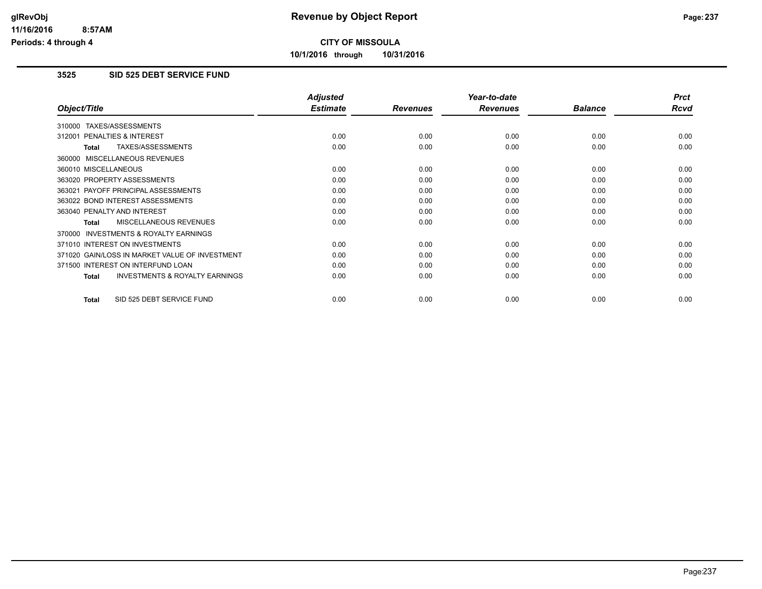**10/1/2016 through 10/31/2016**

## **3525 SID 525 DEBT SERVICE FUND**

|                                                     | <b>Adjusted</b> |                 | Year-to-date    |                | <b>Prct</b> |
|-----------------------------------------------------|-----------------|-----------------|-----------------|----------------|-------------|
| Object/Title                                        | <b>Estimate</b> | <b>Revenues</b> | <b>Revenues</b> | <b>Balance</b> | <b>Rcvd</b> |
| TAXES/ASSESSMENTS<br>310000                         |                 |                 |                 |                |             |
| <b>PENALTIES &amp; INTEREST</b><br>312001           | 0.00            | 0.00            | 0.00            | 0.00           | 0.00        |
| TAXES/ASSESSMENTS<br>Total                          | 0.00            | 0.00            | 0.00            | 0.00           | 0.00        |
| 360000 MISCELLANEOUS REVENUES                       |                 |                 |                 |                |             |
| 360010 MISCELLANEOUS                                | 0.00            | 0.00            | 0.00            | 0.00           | 0.00        |
| 363020 PROPERTY ASSESSMENTS                         | 0.00            | 0.00            | 0.00            | 0.00           | 0.00        |
| 363021 PAYOFF PRINCIPAL ASSESSMENTS                 | 0.00            | 0.00            | 0.00            | 0.00           | 0.00        |
| 363022 BOND INTEREST ASSESSMENTS                    | 0.00            | 0.00            | 0.00            | 0.00           | 0.00        |
| 363040 PENALTY AND INTEREST                         | 0.00            | 0.00            | 0.00            | 0.00           | 0.00        |
| <b>MISCELLANEOUS REVENUES</b><br><b>Total</b>       | 0.00            | 0.00            | 0.00            | 0.00           | 0.00        |
| <b>INVESTMENTS &amp; ROYALTY EARNINGS</b><br>370000 |                 |                 |                 |                |             |
| 371010 INTEREST ON INVESTMENTS                      | 0.00            | 0.00            | 0.00            | 0.00           | 0.00        |
| 371020 GAIN/LOSS IN MARKET VALUE OF INVESTMENT      | 0.00            | 0.00            | 0.00            | 0.00           | 0.00        |
| 371500 INTEREST ON INTERFUND LOAN                   | 0.00            | 0.00            | 0.00            | 0.00           | 0.00        |
| <b>INVESTMENTS &amp; ROYALTY EARNINGS</b><br>Total  | 0.00            | 0.00            | 0.00            | 0.00           | 0.00        |
| SID 525 DEBT SERVICE FUND<br><b>Total</b>           | 0.00            | 0.00            | 0.00            | 0.00           | 0.00        |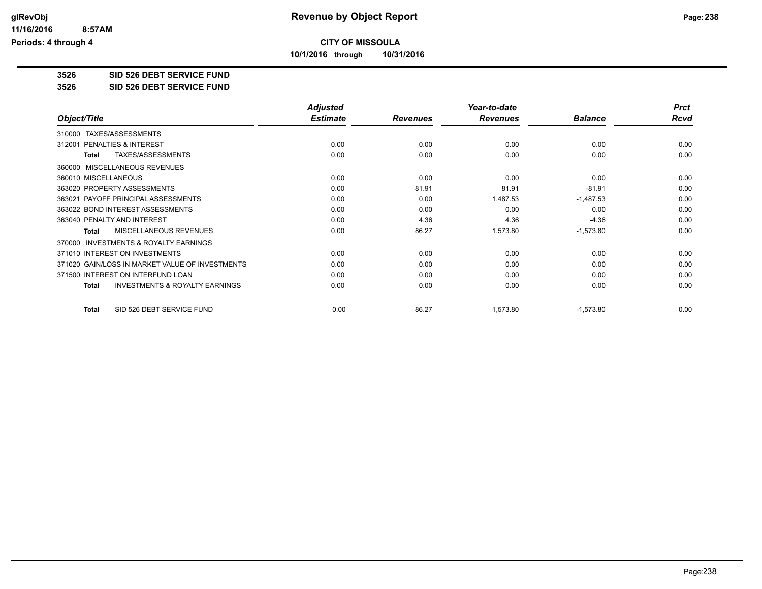**10/1/2016 through 10/31/2016**

**3526 SID 526 DEBT SERVICE FUND**

**3526 SID 526 DEBT SERVICE FUND**

|                                                           | <b>Adjusted</b> |                 | Year-to-date    |                | <b>Prct</b> |
|-----------------------------------------------------------|-----------------|-----------------|-----------------|----------------|-------------|
| Object/Title                                              | <b>Estimate</b> | <b>Revenues</b> | <b>Revenues</b> | <b>Balance</b> | <b>Rcvd</b> |
| TAXES/ASSESSMENTS<br>310000                               |                 |                 |                 |                |             |
| PENALTIES & INTEREST<br>312001                            | 0.00            | 0.00            | 0.00            | 0.00           | 0.00        |
| <b>TAXES/ASSESSMENTS</b><br>Total                         | 0.00            | 0.00            | 0.00            | 0.00           | 0.00        |
| MISCELLANEOUS REVENUES<br>360000                          |                 |                 |                 |                |             |
| 360010 MISCELLANEOUS                                      | 0.00            | 0.00            | 0.00            | 0.00           | 0.00        |
| 363020 PROPERTY ASSESSMENTS                               | 0.00            | 81.91           | 81.91           | $-81.91$       | 0.00        |
| 363021 PAYOFF PRINCIPAL ASSESSMENTS                       | 0.00            | 0.00            | 1,487.53        | $-1,487.53$    | 0.00        |
| 363022 BOND INTEREST ASSESSMENTS                          | 0.00            | 0.00            | 0.00            | 0.00           | 0.00        |
| 363040 PENALTY AND INTEREST                               | 0.00            | 4.36            | 4.36            | $-4.36$        | 0.00        |
| MISCELLANEOUS REVENUES<br>Total                           | 0.00            | 86.27           | 1,573.80        | $-1,573.80$    | 0.00        |
| <b>INVESTMENTS &amp; ROYALTY EARNINGS</b><br>370000       |                 |                 |                 |                |             |
| 371010 INTEREST ON INVESTMENTS                            | 0.00            | 0.00            | 0.00            | 0.00           | 0.00        |
| 371020 GAIN/LOSS IN MARKET VALUE OF INVESTMENTS           | 0.00            | 0.00            | 0.00            | 0.00           | 0.00        |
| 371500 INTEREST ON INTERFUND LOAN                         | 0.00            | 0.00            | 0.00            | 0.00           | 0.00        |
| <b>INVESTMENTS &amp; ROYALTY EARNINGS</b><br><b>Total</b> | 0.00            | 0.00            | 0.00            | 0.00           | 0.00        |
| SID 526 DEBT SERVICE FUND<br>Total                        | 0.00            | 86.27           | 1,573.80        | $-1,573.80$    | 0.00        |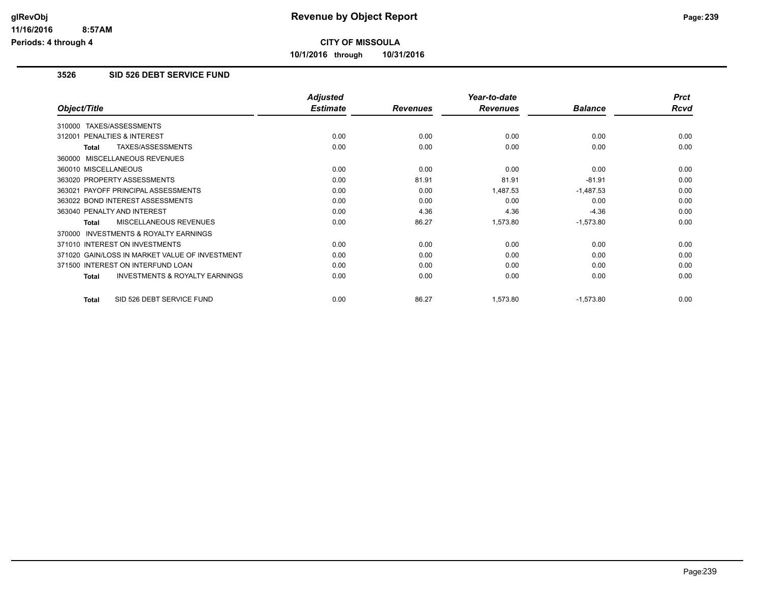**10/1/2016 through 10/31/2016**

## **3526 SID 526 DEBT SERVICE FUND**

|                                                           | <b>Adjusted</b> |                 | Year-to-date    |                | <b>Prct</b> |
|-----------------------------------------------------------|-----------------|-----------------|-----------------|----------------|-------------|
| Object/Title                                              | <b>Estimate</b> | <b>Revenues</b> | <b>Revenues</b> | <b>Balance</b> | Rcvd        |
| TAXES/ASSESSMENTS<br>310000                               |                 |                 |                 |                |             |
| PENALTIES & INTEREST<br>312001                            | 0.00            | 0.00            | 0.00            | 0.00           | 0.00        |
| TAXES/ASSESSMENTS<br>Total                                | 0.00            | 0.00            | 0.00            | 0.00           | 0.00        |
| 360000 MISCELLANEOUS REVENUES                             |                 |                 |                 |                |             |
| 360010 MISCELLANEOUS                                      | 0.00            | 0.00            | 0.00            | 0.00           | 0.00        |
| 363020 PROPERTY ASSESSMENTS                               | 0.00            | 81.91           | 81.91           | $-81.91$       | 0.00        |
| 363021 PAYOFF PRINCIPAL ASSESSMENTS                       | 0.00            | 0.00            | 1,487.53        | $-1,487.53$    | 0.00        |
| 363022 BOND INTEREST ASSESSMENTS                          | 0.00            | 0.00            | 0.00            | 0.00           | 0.00        |
| 363040 PENALTY AND INTEREST                               | 0.00            | 4.36            | 4.36            | $-4.36$        | 0.00        |
| <b>MISCELLANEOUS REVENUES</b><br><b>Total</b>             | 0.00            | 86.27           | 1,573.80        | $-1,573.80$    | 0.00        |
| <b>INVESTMENTS &amp; ROYALTY EARNINGS</b><br>370000       |                 |                 |                 |                |             |
| 371010 INTEREST ON INVESTMENTS                            | 0.00            | 0.00            | 0.00            | 0.00           | 0.00        |
| 371020 GAIN/LOSS IN MARKET VALUE OF INVESTMENT            | 0.00            | 0.00            | 0.00            | 0.00           | 0.00        |
| 371500 INTEREST ON INTERFUND LOAN                         | 0.00            | 0.00            | 0.00            | 0.00           | 0.00        |
| <b>INVESTMENTS &amp; ROYALTY EARNINGS</b><br><b>Total</b> | 0.00            | 0.00            | 0.00            | 0.00           | 0.00        |
| SID 526 DEBT SERVICE FUND<br><b>Total</b>                 | 0.00            | 86.27           | 1,573.80        | $-1,573.80$    | 0.00        |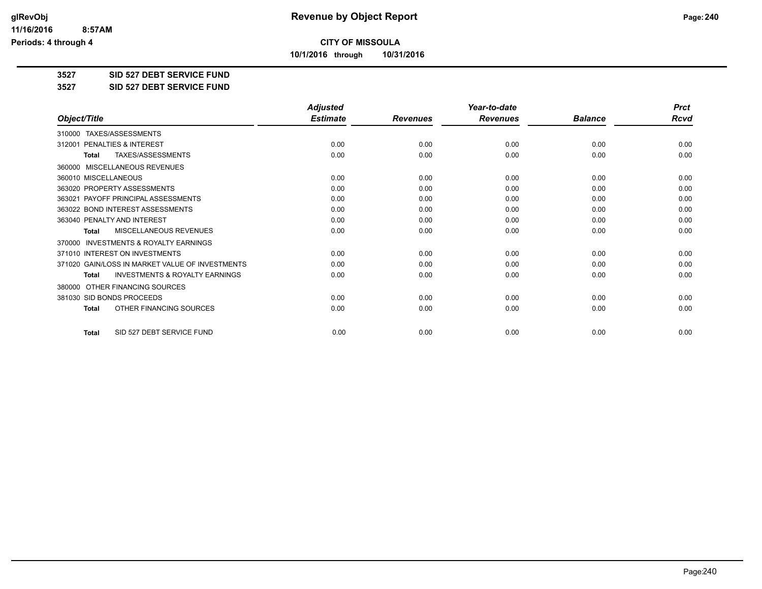**10/1/2016 through 10/31/2016**

**3527 SID 527 DEBT SERVICE FUND**

**3527 SID 527 DEBT SERVICE FUND**

|                                                           | <b>Adjusted</b> |                 | Year-to-date    |                | <b>Prct</b> |
|-----------------------------------------------------------|-----------------|-----------------|-----------------|----------------|-------------|
| Object/Title                                              | <b>Estimate</b> | <b>Revenues</b> | <b>Revenues</b> | <b>Balance</b> | <b>Rcvd</b> |
| TAXES/ASSESSMENTS<br>310000                               |                 |                 |                 |                |             |
| PENALTIES & INTEREST<br>312001                            | 0.00            | 0.00            | 0.00            | 0.00           | 0.00        |
| TAXES/ASSESSMENTS<br>Total                                | 0.00            | 0.00            | 0.00            | 0.00           | 0.00        |
| MISCELLANEOUS REVENUES<br>360000                          |                 |                 |                 |                |             |
| 360010 MISCELLANEOUS                                      | 0.00            | 0.00            | 0.00            | 0.00           | 0.00        |
| 363020 PROPERTY ASSESSMENTS                               | 0.00            | 0.00            | 0.00            | 0.00           | 0.00        |
| 363021 PAYOFF PRINCIPAL ASSESSMENTS                       | 0.00            | 0.00            | 0.00            | 0.00           | 0.00        |
| 363022 BOND INTEREST ASSESSMENTS                          | 0.00            | 0.00            | 0.00            | 0.00           | 0.00        |
| 363040 PENALTY AND INTEREST                               | 0.00            | 0.00            | 0.00            | 0.00           | 0.00        |
| MISCELLANEOUS REVENUES<br>Total                           | 0.00            | 0.00            | 0.00            | 0.00           | 0.00        |
| <b>INVESTMENTS &amp; ROYALTY EARNINGS</b><br>370000       |                 |                 |                 |                |             |
| 371010 INTEREST ON INVESTMENTS                            | 0.00            | 0.00            | 0.00            | 0.00           | 0.00        |
| 371020 GAIN/LOSS IN MARKET VALUE OF INVESTMENTS           | 0.00            | 0.00            | 0.00            | 0.00           | 0.00        |
| <b>INVESTMENTS &amp; ROYALTY EARNINGS</b><br><b>Total</b> | 0.00            | 0.00            | 0.00            | 0.00           | 0.00        |
| OTHER FINANCING SOURCES<br>380000                         |                 |                 |                 |                |             |
| 381030 SID BONDS PROCEEDS                                 | 0.00            | 0.00            | 0.00            | 0.00           | 0.00        |
| OTHER FINANCING SOURCES<br><b>Total</b>                   | 0.00            | 0.00            | 0.00            | 0.00           | 0.00        |
| SID 527 DEBT SERVICE FUND<br><b>Total</b>                 | 0.00            | 0.00            | 0.00            | 0.00           | 0.00        |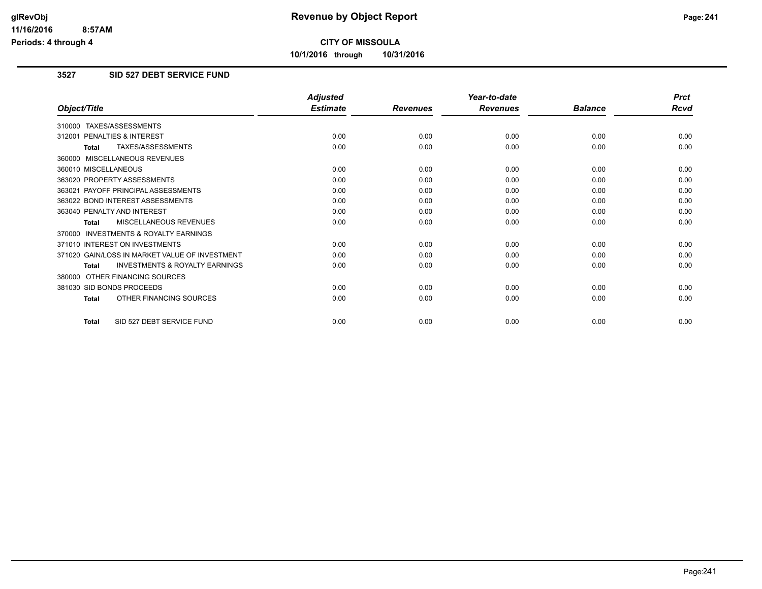**10/1/2016 through 10/31/2016**

## **3527 SID 527 DEBT SERVICE FUND**

|                                                           | <b>Adjusted</b> |                 | Year-to-date    |                | <b>Prct</b> |
|-----------------------------------------------------------|-----------------|-----------------|-----------------|----------------|-------------|
| Object/Title                                              | <b>Estimate</b> | <b>Revenues</b> | <b>Revenues</b> | <b>Balance</b> | <b>Rcvd</b> |
| 310000 TAXES/ASSESSMENTS                                  |                 |                 |                 |                |             |
| PENALTIES & INTEREST<br>312001                            | 0.00            | 0.00            | 0.00            | 0.00           | 0.00        |
| <b>TAXES/ASSESSMENTS</b><br><b>Total</b>                  | 0.00            | 0.00            | 0.00            | 0.00           | 0.00        |
| 360000 MISCELLANEOUS REVENUES                             |                 |                 |                 |                |             |
| 360010 MISCELLANEOUS                                      | 0.00            | 0.00            | 0.00            | 0.00           | 0.00        |
| 363020 PROPERTY ASSESSMENTS                               | 0.00            | 0.00            | 0.00            | 0.00           | 0.00        |
| 363021 PAYOFF PRINCIPAL ASSESSMENTS                       | 0.00            | 0.00            | 0.00            | 0.00           | 0.00        |
| 363022 BOND INTEREST ASSESSMENTS                          | 0.00            | 0.00            | 0.00            | 0.00           | 0.00        |
| 363040 PENALTY AND INTEREST                               | 0.00            | 0.00            | 0.00            | 0.00           | 0.00        |
| MISCELLANEOUS REVENUES<br><b>Total</b>                    | 0.00            | 0.00            | 0.00            | 0.00           | 0.00        |
| INVESTMENTS & ROYALTY EARNINGS<br>370000                  |                 |                 |                 |                |             |
| 371010 INTEREST ON INVESTMENTS                            | 0.00            | 0.00            | 0.00            | 0.00           | 0.00        |
| 371020 GAIN/LOSS IN MARKET VALUE OF INVESTMENT            | 0.00            | 0.00            | 0.00            | 0.00           | 0.00        |
| <b>INVESTMENTS &amp; ROYALTY EARNINGS</b><br><b>Total</b> | 0.00            | 0.00            | 0.00            | 0.00           | 0.00        |
| OTHER FINANCING SOURCES<br>380000                         |                 |                 |                 |                |             |
| 381030 SID BONDS PROCEEDS                                 | 0.00            | 0.00            | 0.00            | 0.00           | 0.00        |
| OTHER FINANCING SOURCES<br><b>Total</b>                   | 0.00            | 0.00            | 0.00            | 0.00           | 0.00        |
| SID 527 DEBT SERVICE FUND<br><b>Total</b>                 | 0.00            | 0.00            | 0.00            | 0.00           | 0.00        |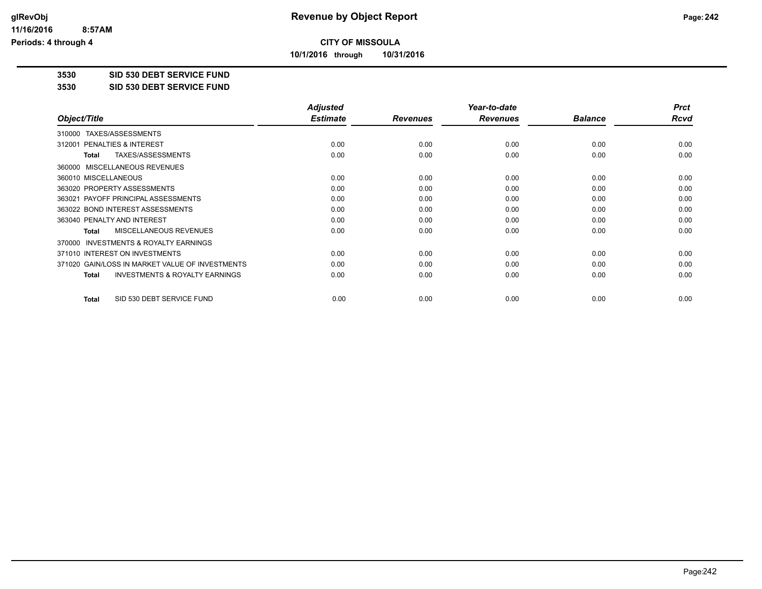**10/1/2016 through 10/31/2016**

**3530 SID 530 DEBT SERVICE FUND**

**3530 SID 530 DEBT SERVICE FUND**

|                                                           | <b>Adjusted</b> |                 | Year-to-date    |                | <b>Prct</b> |
|-----------------------------------------------------------|-----------------|-----------------|-----------------|----------------|-------------|
| Object/Title                                              | <b>Estimate</b> | <b>Revenues</b> | <b>Revenues</b> | <b>Balance</b> | Rcvd        |
| 310000 TAXES/ASSESSMENTS                                  |                 |                 |                 |                |             |
| 312001 PENALTIES & INTEREST                               | 0.00            | 0.00            | 0.00            | 0.00           | 0.00        |
| TAXES/ASSESSMENTS<br><b>Total</b>                         | 0.00            | 0.00            | 0.00            | 0.00           | 0.00        |
| MISCELLANEOUS REVENUES<br>360000                          |                 |                 |                 |                |             |
| 360010 MISCELLANEOUS                                      | 0.00            | 0.00            | 0.00            | 0.00           | 0.00        |
| 363020 PROPERTY ASSESSMENTS                               | 0.00            | 0.00            | 0.00            | 0.00           | 0.00        |
| 363021 PAYOFF PRINCIPAL ASSESSMENTS                       | 0.00            | 0.00            | 0.00            | 0.00           | 0.00        |
| 363022 BOND INTEREST ASSESSMENTS                          | 0.00            | 0.00            | 0.00            | 0.00           | 0.00        |
| 363040 PENALTY AND INTEREST                               | 0.00            | 0.00            | 0.00            | 0.00           | 0.00        |
| <b>MISCELLANEOUS REVENUES</b><br>Total                    | 0.00            | 0.00            | 0.00            | 0.00           | 0.00        |
| 370000 INVESTMENTS & ROYALTY EARNINGS                     |                 |                 |                 |                |             |
| 371010 INTEREST ON INVESTMENTS                            | 0.00            | 0.00            | 0.00            | 0.00           | 0.00        |
| 371020 GAIN/LOSS IN MARKET VALUE OF INVESTMENTS           | 0.00            | 0.00            | 0.00            | 0.00           | 0.00        |
| <b>INVESTMENTS &amp; ROYALTY EARNINGS</b><br><b>Total</b> | 0.00            | 0.00            | 0.00            | 0.00           | 0.00        |
| SID 530 DEBT SERVICE FUND<br><b>Total</b>                 | 0.00            | 0.00            | 0.00            | 0.00           | 0.00        |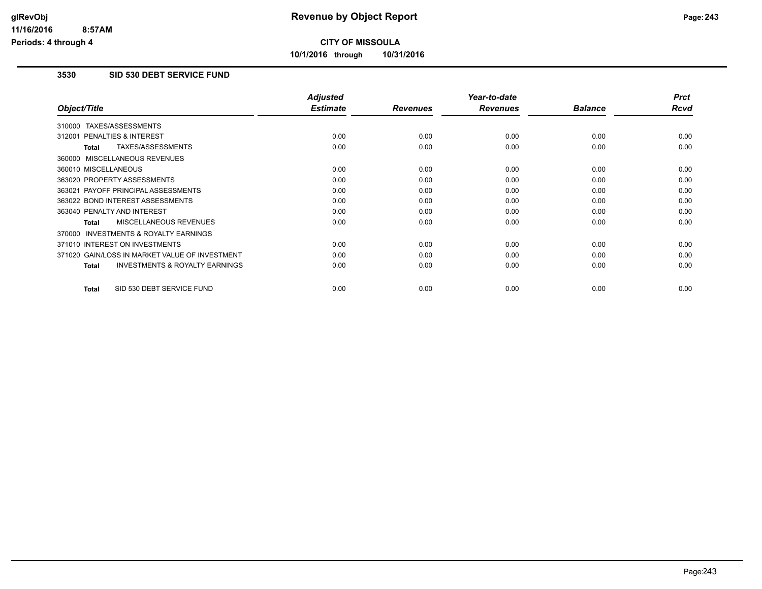**10/1/2016 through 10/31/2016**

### **3530 SID 530 DEBT SERVICE FUND**

|                                                           | <b>Adjusted</b> |                 | Year-to-date    |                | <b>Prct</b> |
|-----------------------------------------------------------|-----------------|-----------------|-----------------|----------------|-------------|
| Object/Title                                              | <b>Estimate</b> | <b>Revenues</b> | <b>Revenues</b> | <b>Balance</b> | Rcvd        |
| 310000 TAXES/ASSESSMENTS                                  |                 |                 |                 |                |             |
| 312001 PENALTIES & INTEREST                               | 0.00            | 0.00            | 0.00            | 0.00           | 0.00        |
| TAXES/ASSESSMENTS<br><b>Total</b>                         | 0.00            | 0.00            | 0.00            | 0.00           | 0.00        |
| 360000 MISCELLANEOUS REVENUES                             |                 |                 |                 |                |             |
| 360010 MISCELLANEOUS                                      | 0.00            | 0.00            | 0.00            | 0.00           | 0.00        |
| 363020 PROPERTY ASSESSMENTS                               | 0.00            | 0.00            | 0.00            | 0.00           | 0.00        |
| 363021 PAYOFF PRINCIPAL ASSESSMENTS                       | 0.00            | 0.00            | 0.00            | 0.00           | 0.00        |
| 363022 BOND INTEREST ASSESSMENTS                          | 0.00            | 0.00            | 0.00            | 0.00           | 0.00        |
| 363040 PENALTY AND INTEREST                               | 0.00            | 0.00            | 0.00            | 0.00           | 0.00        |
| <b>MISCELLANEOUS REVENUES</b><br>Total                    | 0.00            | 0.00            | 0.00            | 0.00           | 0.00        |
| <b>INVESTMENTS &amp; ROYALTY EARNINGS</b><br>370000       |                 |                 |                 |                |             |
| 371010 INTEREST ON INVESTMENTS                            | 0.00            | 0.00            | 0.00            | 0.00           | 0.00        |
| 371020 GAIN/LOSS IN MARKET VALUE OF INVESTMENT            | 0.00            | 0.00            | 0.00            | 0.00           | 0.00        |
| <b>INVESTMENTS &amp; ROYALTY EARNINGS</b><br><b>Total</b> | 0.00            | 0.00            | 0.00            | 0.00           | 0.00        |
| SID 530 DEBT SERVICE FUND<br><b>Total</b>                 | 0.00            | 0.00            | 0.00            | 0.00           | 0.00        |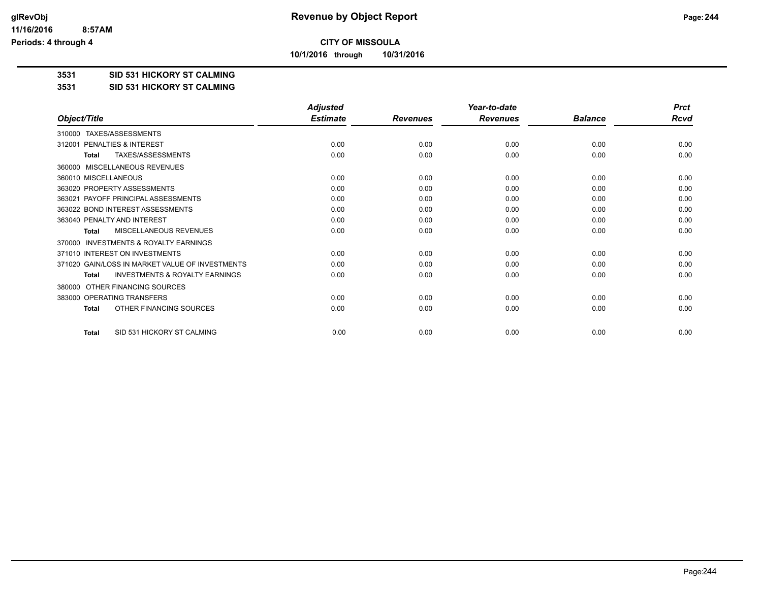**10/1/2016 through 10/31/2016**

**3531 SID 531 HICKORY ST CALMING**

**3531 SID 531 HICKORY ST CALMING**

|                                                           | <b>Adjusted</b> |                 | Year-to-date    |                | <b>Prct</b> |
|-----------------------------------------------------------|-----------------|-----------------|-----------------|----------------|-------------|
| Object/Title                                              | <b>Estimate</b> | <b>Revenues</b> | <b>Revenues</b> | <b>Balance</b> | <b>Rcvd</b> |
| TAXES/ASSESSMENTS<br>310000                               |                 |                 |                 |                |             |
| 312001 PENALTIES & INTEREST                               | 0.00            | 0.00            | 0.00            | 0.00           | 0.00        |
| TAXES/ASSESSMENTS<br><b>Total</b>                         | 0.00            | 0.00            | 0.00            | 0.00           | 0.00        |
| <b>MISCELLANEOUS REVENUES</b><br>360000                   |                 |                 |                 |                |             |
| 360010 MISCELLANEOUS                                      | 0.00            | 0.00            | 0.00            | 0.00           | 0.00        |
| 363020 PROPERTY ASSESSMENTS                               | 0.00            | 0.00            | 0.00            | 0.00           | 0.00        |
| PAYOFF PRINCIPAL ASSESSMENTS<br>363021                    | 0.00            | 0.00            | 0.00            | 0.00           | 0.00        |
| 363022 BOND INTEREST ASSESSMENTS                          | 0.00            | 0.00            | 0.00            | 0.00           | 0.00        |
| 363040 PENALTY AND INTEREST                               | 0.00            | 0.00            | 0.00            | 0.00           | 0.00        |
| MISCELLANEOUS REVENUES<br><b>Total</b>                    | 0.00            | 0.00            | 0.00            | 0.00           | 0.00        |
| <b>INVESTMENTS &amp; ROYALTY EARNINGS</b><br>370000       |                 |                 |                 |                |             |
| 371010 INTEREST ON INVESTMENTS                            | 0.00            | 0.00            | 0.00            | 0.00           | 0.00        |
| 371020 GAIN/LOSS IN MARKET VALUE OF INVESTMENTS           | 0.00            | 0.00            | 0.00            | 0.00           | 0.00        |
| <b>INVESTMENTS &amp; ROYALTY EARNINGS</b><br><b>Total</b> | 0.00            | 0.00            | 0.00            | 0.00           | 0.00        |
| OTHER FINANCING SOURCES<br>380000                         |                 |                 |                 |                |             |
| 383000 OPERATING TRANSFERS                                | 0.00            | 0.00            | 0.00            | 0.00           | 0.00        |
| OTHER FINANCING SOURCES<br><b>Total</b>                   | 0.00            | 0.00            | 0.00            | 0.00           | 0.00        |
| SID 531 HICKORY ST CALMING<br><b>Total</b>                | 0.00            | 0.00            | 0.00            | 0.00           | 0.00        |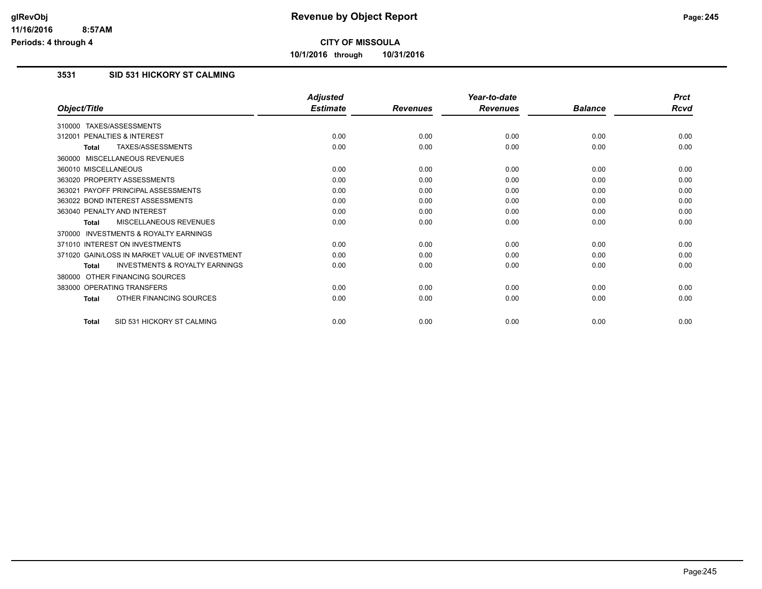**10/1/2016 through 10/31/2016**

## **3531 SID 531 HICKORY ST CALMING**

|                                                           | <b>Adjusted</b> |                 | Year-to-date    |                | <b>Prct</b> |
|-----------------------------------------------------------|-----------------|-----------------|-----------------|----------------|-------------|
| Object/Title                                              | <b>Estimate</b> | <b>Revenues</b> | <b>Revenues</b> | <b>Balance</b> | <b>Rcvd</b> |
| 310000 TAXES/ASSESSMENTS                                  |                 |                 |                 |                |             |
| 312001 PENALTIES & INTEREST                               | 0.00            | 0.00            | 0.00            | 0.00           | 0.00        |
| TAXES/ASSESSMENTS<br><b>Total</b>                         | 0.00            | 0.00            | 0.00            | 0.00           | 0.00        |
| 360000 MISCELLANEOUS REVENUES                             |                 |                 |                 |                |             |
| 360010 MISCELLANEOUS                                      | 0.00            | 0.00            | 0.00            | 0.00           | 0.00        |
| 363020 PROPERTY ASSESSMENTS                               | 0.00            | 0.00            | 0.00            | 0.00           | 0.00        |
| 363021 PAYOFF PRINCIPAL ASSESSMENTS                       | 0.00            | 0.00            | 0.00            | 0.00           | 0.00        |
| 363022 BOND INTEREST ASSESSMENTS                          | 0.00            | 0.00            | 0.00            | 0.00           | 0.00        |
| 363040 PENALTY AND INTEREST                               | 0.00            | 0.00            | 0.00            | 0.00           | 0.00        |
| MISCELLANEOUS REVENUES<br><b>Total</b>                    | 0.00            | 0.00            | 0.00            | 0.00           | 0.00        |
| <b>INVESTMENTS &amp; ROYALTY EARNINGS</b><br>370000       |                 |                 |                 |                |             |
| 371010 INTEREST ON INVESTMENTS                            | 0.00            | 0.00            | 0.00            | 0.00           | 0.00        |
| 371020 GAIN/LOSS IN MARKET VALUE OF INVESTMENT            | 0.00            | 0.00            | 0.00            | 0.00           | 0.00        |
| <b>INVESTMENTS &amp; ROYALTY EARNINGS</b><br><b>Total</b> | 0.00            | 0.00            | 0.00            | 0.00           | 0.00        |
| OTHER FINANCING SOURCES<br>380000                         |                 |                 |                 |                |             |
| 383000 OPERATING TRANSFERS                                | 0.00            | 0.00            | 0.00            | 0.00           | 0.00        |
| OTHER FINANCING SOURCES<br>Total                          | 0.00            | 0.00            | 0.00            | 0.00           | 0.00        |
| SID 531 HICKORY ST CALMING<br><b>Total</b>                | 0.00            | 0.00            | 0.00            | 0.00           | 0.00        |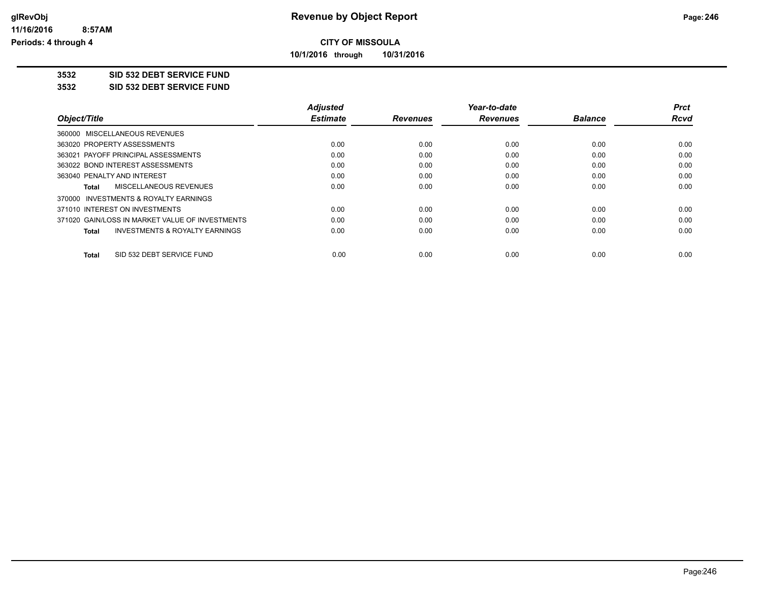**10/1/2016 through 10/31/2016**

**3532 SID 532 DEBT SERVICE FUND**

**3532 SID 532 DEBT SERVICE FUND**

|                                                           | <b>Adjusted</b> |                 | Year-to-date    |                | <b>Prct</b> |
|-----------------------------------------------------------|-----------------|-----------------|-----------------|----------------|-------------|
| Object/Title                                              | <b>Estimate</b> | <b>Revenues</b> | <b>Revenues</b> | <b>Balance</b> | Rcvd        |
| 360000 MISCELLANEOUS REVENUES                             |                 |                 |                 |                |             |
| 363020 PROPERTY ASSESSMENTS                               | 0.00            | 0.00            | 0.00            | 0.00           | 0.00        |
| 363021 PAYOFF PRINCIPAL ASSESSMENTS                       | 0.00            | 0.00            | 0.00            | 0.00           | 0.00        |
| 363022 BOND INTEREST ASSESSMENTS                          | 0.00            | 0.00            | 0.00            | 0.00           | 0.00        |
| 363040 PENALTY AND INTEREST                               | 0.00            | 0.00            | 0.00            | 0.00           | 0.00        |
| MISCELLANEOUS REVENUES<br>Total                           | 0.00            | 0.00            | 0.00            | 0.00           | 0.00        |
| 370000 INVESTMENTS & ROYALTY EARNINGS                     |                 |                 |                 |                |             |
| 371010 INTEREST ON INVESTMENTS                            | 0.00            | 0.00            | 0.00            | 0.00           | 0.00        |
| 371020 GAIN/LOSS IN MARKET VALUE OF INVESTMENTS           | 0.00            | 0.00            | 0.00            | 0.00           | 0.00        |
| <b>INVESTMENTS &amp; ROYALTY EARNINGS</b><br><b>Total</b> | 0.00            | 0.00            | 0.00            | 0.00           | 0.00        |
| SID 532 DEBT SERVICE FUND<br>Total                        | 0.00            | 0.00            | 0.00            | 0.00           | 0.00        |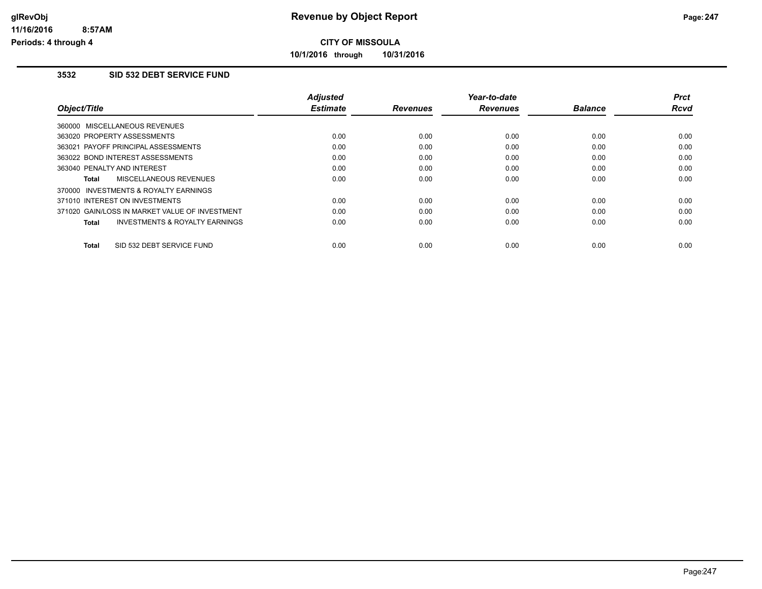**10/1/2016 through 10/31/2016**

#### **3532 SID 532 DEBT SERVICE FUND**

|                                                | Adjusted        |                 | Year-to-date    |                | Prct        |
|------------------------------------------------|-----------------|-----------------|-----------------|----------------|-------------|
| Object/Title                                   | <b>Estimate</b> | <b>Revenues</b> | <b>Revenues</b> | <b>Balance</b> | <b>Rcvd</b> |
| 360000 MISCELLANEOUS REVENUES                  |                 |                 |                 |                |             |
| 363020 PROPERTY ASSESSMENTS                    | 0.00            | 0.00            | 0.00            | 0.00           | 0.00        |
| 363021 PAYOFF PRINCIPAL ASSESSMENTS            | 0.00            | 0.00            | 0.00            | 0.00           | 0.00        |
| 363022 BOND INTEREST ASSESSMENTS               | 0.00            | 0.00            | 0.00            | 0.00           | 0.00        |
| 363040 PENALTY AND INTEREST                    | 0.00            | 0.00            | 0.00            | 0.00           | 0.00        |
| <b>MISCELLANEOUS REVENUES</b><br><b>Total</b>  | 0.00            | 0.00            | 0.00            | 0.00           | 0.00        |
| 370000 INVESTMENTS & ROYALTY EARNINGS          |                 |                 |                 |                |             |
| 371010 INTEREST ON INVESTMENTS                 | 0.00            | 0.00            | 0.00            | 0.00           | 0.00        |
| 371020 GAIN/LOSS IN MARKET VALUE OF INVESTMENT | 0.00            | 0.00            | 0.00            | 0.00           | 0.00        |
| INVESTMENTS & ROYALTY EARNINGS<br><b>Total</b> | 0.00            | 0.00            | 0.00            | 0.00           | 0.00        |
|                                                |                 |                 |                 |                |             |
| SID 532 DEBT SERVICE FUND<br><b>Total</b>      | 0.00            | 0.00            | 0.00            | 0.00           | 0.00        |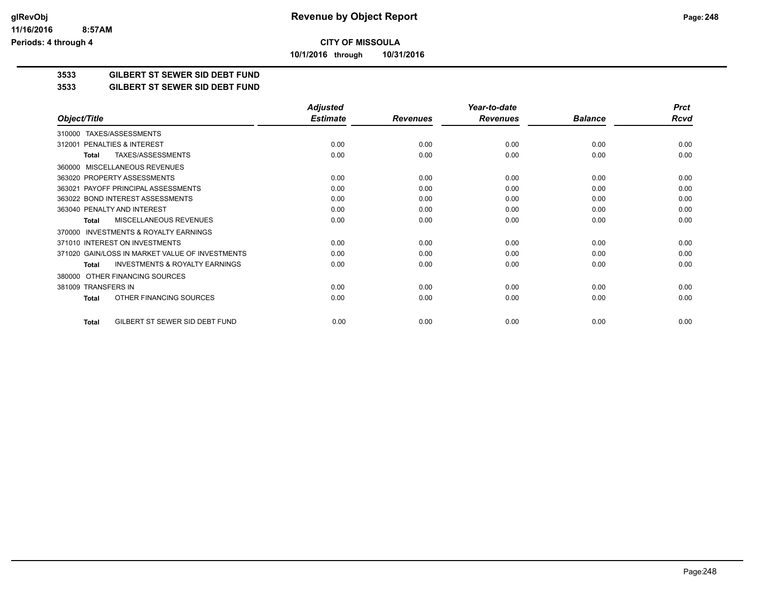**10/1/2016 through 10/31/2016**

# **3533 GILBERT ST SEWER SID DEBT FUND**

#### **3533 GILBERT ST SEWER SID DEBT FUND**

|                                                           | <b>Adjusted</b> |                 | Year-to-date    |                | <b>Prct</b> |
|-----------------------------------------------------------|-----------------|-----------------|-----------------|----------------|-------------|
| Object/Title                                              | <b>Estimate</b> | <b>Revenues</b> | <b>Revenues</b> | <b>Balance</b> | <b>Rcvd</b> |
| TAXES/ASSESSMENTS<br>310000                               |                 |                 |                 |                |             |
| PENALTIES & INTEREST<br>312001                            | 0.00            | 0.00            | 0.00            | 0.00           | 0.00        |
| TAXES/ASSESSMENTS<br><b>Total</b>                         | 0.00            | 0.00            | 0.00            | 0.00           | 0.00        |
| MISCELLANEOUS REVENUES<br>360000                          |                 |                 |                 |                |             |
| 363020 PROPERTY ASSESSMENTS                               | 0.00            | 0.00            | 0.00            | 0.00           | 0.00        |
| 363021 PAYOFF PRINCIPAL ASSESSMENTS                       | 0.00            | 0.00            | 0.00            | 0.00           | 0.00        |
| 363022 BOND INTEREST ASSESSMENTS                          | 0.00            | 0.00            | 0.00            | 0.00           | 0.00        |
| 363040 PENALTY AND INTEREST                               | 0.00            | 0.00            | 0.00            | 0.00           | 0.00        |
| <b>MISCELLANEOUS REVENUES</b><br><b>Total</b>             | 0.00            | 0.00            | 0.00            | 0.00           | 0.00        |
| <b>INVESTMENTS &amp; ROYALTY EARNINGS</b><br>370000       |                 |                 |                 |                |             |
| 371010 INTEREST ON INVESTMENTS                            | 0.00            | 0.00            | 0.00            | 0.00           | 0.00        |
| 371020 GAIN/LOSS IN MARKET VALUE OF INVESTMENTS           | 0.00            | 0.00            | 0.00            | 0.00           | 0.00        |
| <b>INVESTMENTS &amp; ROYALTY EARNINGS</b><br><b>Total</b> | 0.00            | 0.00            | 0.00            | 0.00           | 0.00        |
| OTHER FINANCING SOURCES<br>380000                         |                 |                 |                 |                |             |
| 381009 TRANSFERS IN                                       | 0.00            | 0.00            | 0.00            | 0.00           | 0.00        |
| OTHER FINANCING SOURCES<br><b>Total</b>                   | 0.00            | 0.00            | 0.00            | 0.00           | 0.00        |
| GILBERT ST SEWER SID DEBT FUND<br><b>Total</b>            | 0.00            | 0.00            | 0.00            | 0.00           | 0.00        |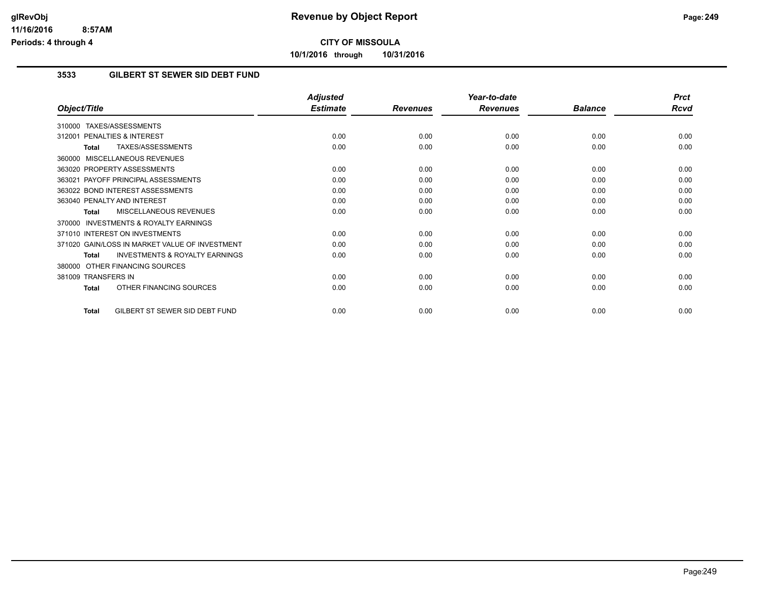**10/1/2016 through 10/31/2016**

### **3533 GILBERT ST SEWER SID DEBT FUND**

|                                                    | <b>Adjusted</b> |                 | Year-to-date    |                | <b>Prct</b> |
|----------------------------------------------------|-----------------|-----------------|-----------------|----------------|-------------|
| Object/Title                                       | <b>Estimate</b> | <b>Revenues</b> | <b>Revenues</b> | <b>Balance</b> | <b>Rcvd</b> |
| TAXES/ASSESSMENTS<br>310000                        |                 |                 |                 |                |             |
| 312001 PENALTIES & INTEREST                        | 0.00            | 0.00            | 0.00            | 0.00           | 0.00        |
| TAXES/ASSESSMENTS<br><b>Total</b>                  | 0.00            | 0.00            | 0.00            | 0.00           | 0.00        |
| 360000 MISCELLANEOUS REVENUES                      |                 |                 |                 |                |             |
| 363020 PROPERTY ASSESSMENTS                        | 0.00            | 0.00            | 0.00            | 0.00           | 0.00        |
| 363021 PAYOFF PRINCIPAL ASSESSMENTS                | 0.00            | 0.00            | 0.00            | 0.00           | 0.00        |
| 363022 BOND INTEREST ASSESSMENTS                   | 0.00            | 0.00            | 0.00            | 0.00           | 0.00        |
| 363040 PENALTY AND INTEREST                        | 0.00            | 0.00            | 0.00            | 0.00           | 0.00        |
| MISCELLANEOUS REVENUES<br>Total                    | 0.00            | 0.00            | 0.00            | 0.00           | 0.00        |
| 370000 INVESTMENTS & ROYALTY EARNINGS              |                 |                 |                 |                |             |
| 371010 INTEREST ON INVESTMENTS                     | 0.00            | 0.00            | 0.00            | 0.00           | 0.00        |
| 371020 GAIN/LOSS IN MARKET VALUE OF INVESTMENT     | 0.00            | 0.00            | 0.00            | 0.00           | 0.00        |
| <b>INVESTMENTS &amp; ROYALTY EARNINGS</b><br>Total | 0.00            | 0.00            | 0.00            | 0.00           | 0.00        |
| 380000 OTHER FINANCING SOURCES                     |                 |                 |                 |                |             |
| 381009 TRANSFERS IN                                | 0.00            | 0.00            | 0.00            | 0.00           | 0.00        |
| OTHER FINANCING SOURCES<br><b>Total</b>            | 0.00            | 0.00            | 0.00            | 0.00           | 0.00        |
| GILBERT ST SEWER SID DEBT FUND<br><b>Total</b>     | 0.00            | 0.00            | 0.00            | 0.00           | 0.00        |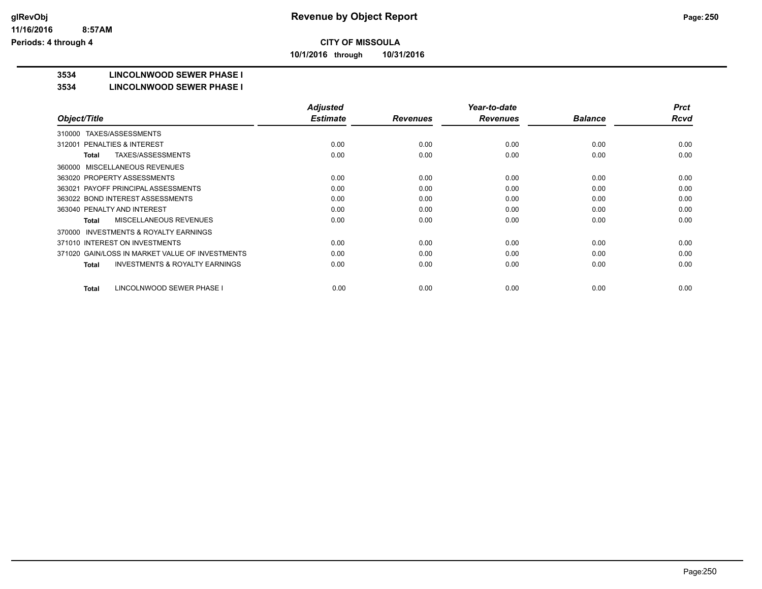**10/1/2016 through 10/31/2016**

## **3534 LINCOLNWOOD SEWER PHASE I**

#### **3534 LINCOLNWOOD SEWER PHASE I**

|                                                           | <b>Adjusted</b> |                 | Year-to-date    |                | <b>Prct</b> |
|-----------------------------------------------------------|-----------------|-----------------|-----------------|----------------|-------------|
| Object/Title                                              | <b>Estimate</b> | <b>Revenues</b> | <b>Revenues</b> | <b>Balance</b> | <b>Rcvd</b> |
| 310000 TAXES/ASSESSMENTS                                  |                 |                 |                 |                |             |
| PENALTIES & INTEREST<br>312001                            | 0.00            | 0.00            | 0.00            | 0.00           | 0.00        |
| TAXES/ASSESSMENTS<br>Total                                | 0.00            | 0.00            | 0.00            | 0.00           | 0.00        |
| MISCELLANEOUS REVENUES<br>360000                          |                 |                 |                 |                |             |
| 363020 PROPERTY ASSESSMENTS                               | 0.00            | 0.00            | 0.00            | 0.00           | 0.00        |
| 363021 PAYOFF PRINCIPAL ASSESSMENTS                       | 0.00            | 0.00            | 0.00            | 0.00           | 0.00        |
| 363022 BOND INTEREST ASSESSMENTS                          | 0.00            | 0.00            | 0.00            | 0.00           | 0.00        |
| 363040 PENALTY AND INTEREST                               | 0.00            | 0.00            | 0.00            | 0.00           | 0.00        |
| <b>MISCELLANEOUS REVENUES</b><br>Total                    | 0.00            | 0.00            | 0.00            | 0.00           | 0.00        |
| <b>INVESTMENTS &amp; ROYALTY EARNINGS</b><br>370000       |                 |                 |                 |                |             |
| 371010 INTEREST ON INVESTMENTS                            | 0.00            | 0.00            | 0.00            | 0.00           | 0.00        |
| 371020 GAIN/LOSS IN MARKET VALUE OF INVESTMENTS           | 0.00            | 0.00            | 0.00            | 0.00           | 0.00        |
| <b>INVESTMENTS &amp; ROYALTY EARNINGS</b><br><b>Total</b> | 0.00            | 0.00            | 0.00            | 0.00           | 0.00        |
|                                                           |                 |                 |                 |                |             |
| LINCOLNWOOD SEWER PHASE I<br>Total                        | 0.00            | 0.00            | 0.00            | 0.00           | 0.00        |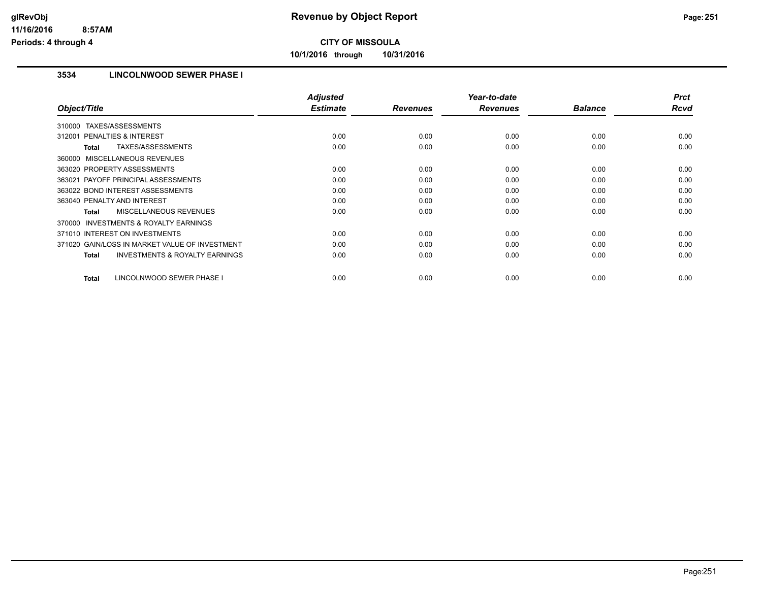**10/1/2016 through 10/31/2016**

## **3534 LINCOLNWOOD SEWER PHASE I**

|                                                           | <b>Adjusted</b> |                 | Year-to-date    |                | <b>Prct</b> |
|-----------------------------------------------------------|-----------------|-----------------|-----------------|----------------|-------------|
| Object/Title                                              | <b>Estimate</b> | <b>Revenues</b> | <b>Revenues</b> | <b>Balance</b> | <b>Rcvd</b> |
| TAXES/ASSESSMENTS<br>310000                               |                 |                 |                 |                |             |
| 312001 PENALTIES & INTEREST                               | 0.00            | 0.00            | 0.00            | 0.00           | 0.00        |
| TAXES/ASSESSMENTS<br><b>Total</b>                         | 0.00            | 0.00            | 0.00            | 0.00           | 0.00        |
| 360000 MISCELLANEOUS REVENUES                             |                 |                 |                 |                |             |
| 363020 PROPERTY ASSESSMENTS                               | 0.00            | 0.00            | 0.00            | 0.00           | 0.00        |
| 363021 PAYOFF PRINCIPAL ASSESSMENTS                       | 0.00            | 0.00            | 0.00            | 0.00           | 0.00        |
| 363022 BOND INTEREST ASSESSMENTS                          | 0.00            | 0.00            | 0.00            | 0.00           | 0.00        |
| 363040 PENALTY AND INTEREST                               | 0.00            | 0.00            | 0.00            | 0.00           | 0.00        |
| MISCELLANEOUS REVENUES<br><b>Total</b>                    | 0.00            | 0.00            | 0.00            | 0.00           | 0.00        |
| <b>INVESTMENTS &amp; ROYALTY EARNINGS</b><br>370000       |                 |                 |                 |                |             |
| 371010 INTEREST ON INVESTMENTS                            | 0.00            | 0.00            | 0.00            | 0.00           | 0.00        |
| 371020 GAIN/LOSS IN MARKET VALUE OF INVESTMENT            | 0.00            | 0.00            | 0.00            | 0.00           | 0.00        |
| <b>INVESTMENTS &amp; ROYALTY EARNINGS</b><br><b>Total</b> | 0.00            | 0.00            | 0.00            | 0.00           | 0.00        |
| LINCOLNWOOD SEWER PHASE I<br><b>Total</b>                 | 0.00            | 0.00            | 0.00            | 0.00           | 0.00        |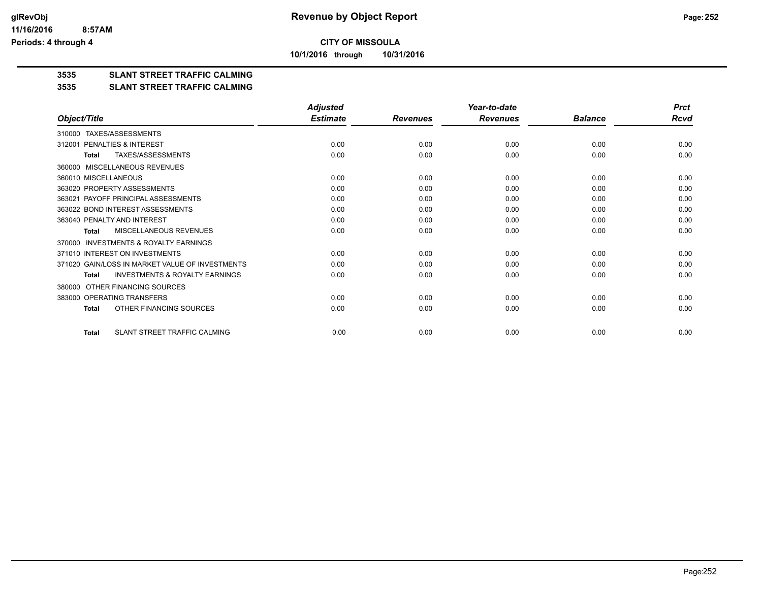**10/1/2016 through 10/31/2016**

# **3535 SLANT STREET TRAFFIC CALMING**

#### **3535 SLANT STREET TRAFFIC CALMING**

|                                                           | <b>Adjusted</b> |                 | Year-to-date    |                | <b>Prct</b> |
|-----------------------------------------------------------|-----------------|-----------------|-----------------|----------------|-------------|
| Object/Title                                              | <b>Estimate</b> | <b>Revenues</b> | <b>Revenues</b> | <b>Balance</b> | <b>Rcvd</b> |
| <b>TAXES/ASSESSMENTS</b><br>310000                        |                 |                 |                 |                |             |
| PENALTIES & INTEREST<br>312001                            | 0.00            | 0.00            | 0.00            | 0.00           | 0.00        |
| TAXES/ASSESSMENTS<br>Total                                | 0.00            | 0.00            | 0.00            | 0.00           | 0.00        |
| MISCELLANEOUS REVENUES<br>360000                          |                 |                 |                 |                |             |
| 360010 MISCELLANEOUS                                      | 0.00            | 0.00            | 0.00            | 0.00           | 0.00        |
| 363020 PROPERTY ASSESSMENTS                               | 0.00            | 0.00            | 0.00            | 0.00           | 0.00        |
| 363021 PAYOFF PRINCIPAL ASSESSMENTS                       | 0.00            | 0.00            | 0.00            | 0.00           | 0.00        |
| 363022 BOND INTEREST ASSESSMENTS                          | 0.00            | 0.00            | 0.00            | 0.00           | 0.00        |
| 363040 PENALTY AND INTEREST                               | 0.00            | 0.00            | 0.00            | 0.00           | 0.00        |
| MISCELLANEOUS REVENUES<br>Total                           | 0.00            | 0.00            | 0.00            | 0.00           | 0.00        |
| <b>INVESTMENTS &amp; ROYALTY EARNINGS</b><br>370000       |                 |                 |                 |                |             |
| 371010 INTEREST ON INVESTMENTS                            | 0.00            | 0.00            | 0.00            | 0.00           | 0.00        |
| 371020 GAIN/LOSS IN MARKET VALUE OF INVESTMENTS           | 0.00            | 0.00            | 0.00            | 0.00           | 0.00        |
| <b>INVESTMENTS &amp; ROYALTY EARNINGS</b><br><b>Total</b> | 0.00            | 0.00            | 0.00            | 0.00           | 0.00        |
| OTHER FINANCING SOURCES<br>380000                         |                 |                 |                 |                |             |
| 383000 OPERATING TRANSFERS                                | 0.00            | 0.00            | 0.00            | 0.00           | 0.00        |
| OTHER FINANCING SOURCES<br><b>Total</b>                   | 0.00            | 0.00            | 0.00            | 0.00           | 0.00        |
| SLANT STREET TRAFFIC CALMING<br><b>Total</b>              | 0.00            | 0.00            | 0.00            | 0.00           | 0.00        |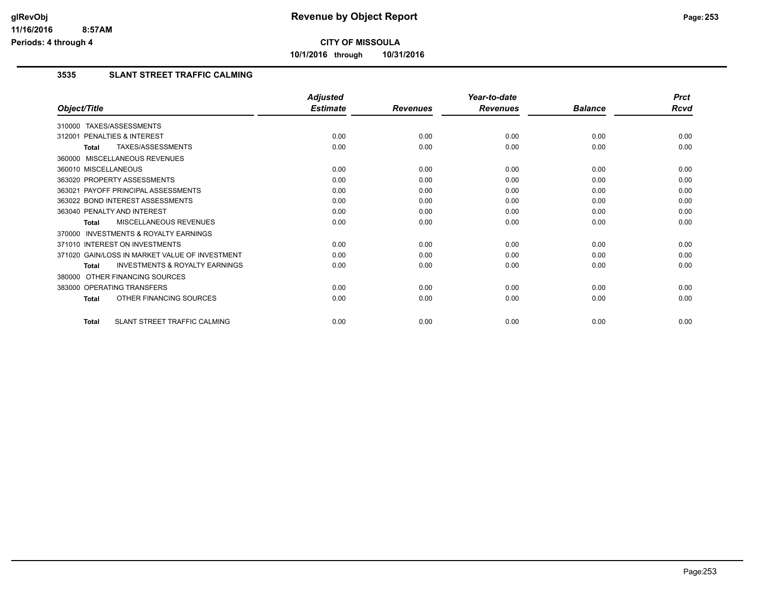**10/1/2016 through 10/31/2016**

# **3535 SLANT STREET TRAFFIC CALMING**

|                                                           | <b>Adjusted</b> |                 | Year-to-date    |                | <b>Prct</b> |
|-----------------------------------------------------------|-----------------|-----------------|-----------------|----------------|-------------|
| Object/Title                                              | <b>Estimate</b> | <b>Revenues</b> | <b>Revenues</b> | <b>Balance</b> | <b>Rcvd</b> |
| 310000 TAXES/ASSESSMENTS                                  |                 |                 |                 |                |             |
| 312001 PENALTIES & INTEREST                               | 0.00            | 0.00            | 0.00            | 0.00           | 0.00        |
| TAXES/ASSESSMENTS<br><b>Total</b>                         | 0.00            | 0.00            | 0.00            | 0.00           | 0.00        |
| 360000 MISCELLANEOUS REVENUES                             |                 |                 |                 |                |             |
| 360010 MISCELLANEOUS                                      | 0.00            | 0.00            | 0.00            | 0.00           | 0.00        |
| 363020 PROPERTY ASSESSMENTS                               | 0.00            | 0.00            | 0.00            | 0.00           | 0.00        |
| 363021 PAYOFF PRINCIPAL ASSESSMENTS                       | 0.00            | 0.00            | 0.00            | 0.00           | 0.00        |
| 363022 BOND INTEREST ASSESSMENTS                          | 0.00            | 0.00            | 0.00            | 0.00           | 0.00        |
| 363040 PENALTY AND INTEREST                               | 0.00            | 0.00            | 0.00            | 0.00           | 0.00        |
| MISCELLANEOUS REVENUES<br><b>Total</b>                    | 0.00            | 0.00            | 0.00            | 0.00           | 0.00        |
| INVESTMENTS & ROYALTY EARNINGS<br>370000                  |                 |                 |                 |                |             |
| 371010 INTEREST ON INVESTMENTS                            | 0.00            | 0.00            | 0.00            | 0.00           | 0.00        |
| 371020 GAIN/LOSS IN MARKET VALUE OF INVESTMENT            | 0.00            | 0.00            | 0.00            | 0.00           | 0.00        |
| <b>INVESTMENTS &amp; ROYALTY EARNINGS</b><br><b>Total</b> | 0.00            | 0.00            | 0.00            | 0.00           | 0.00        |
| OTHER FINANCING SOURCES<br>380000                         |                 |                 |                 |                |             |
| 383000 OPERATING TRANSFERS                                | 0.00            | 0.00            | 0.00            | 0.00           | 0.00        |
| OTHER FINANCING SOURCES<br><b>Total</b>                   | 0.00            | 0.00            | 0.00            | 0.00           | 0.00        |
| SLANT STREET TRAFFIC CALMING<br><b>Total</b>              | 0.00            | 0.00            | 0.00            | 0.00           | 0.00        |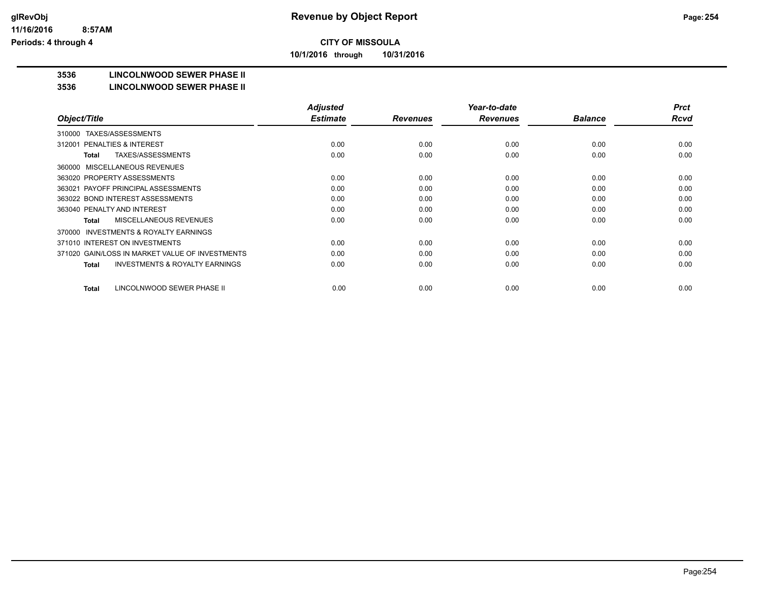**10/1/2016 through 10/31/2016**

# **3536 LINCOLNWOOD SEWER PHASE II**

#### **3536 LINCOLNWOOD SEWER PHASE II**

|                                                     | <b>Adjusted</b> |                 | Year-to-date    |                | <b>Prct</b> |
|-----------------------------------------------------|-----------------|-----------------|-----------------|----------------|-------------|
| Object/Title                                        | <b>Estimate</b> | <b>Revenues</b> | <b>Revenues</b> | <b>Balance</b> | <b>Rcvd</b> |
| TAXES/ASSESSMENTS<br>310000                         |                 |                 |                 |                |             |
| PENALTIES & INTEREST<br>312001                      | 0.00            | 0.00            | 0.00            | 0.00           | 0.00        |
| TAXES/ASSESSMENTS<br>Total                          | 0.00            | 0.00            | 0.00            | 0.00           | 0.00        |
| MISCELLANEOUS REVENUES<br>360000                    |                 |                 |                 |                |             |
| 363020 PROPERTY ASSESSMENTS                         | 0.00            | 0.00            | 0.00            | 0.00           | 0.00        |
| 363021 PAYOFF PRINCIPAL ASSESSMENTS                 | 0.00            | 0.00            | 0.00            | 0.00           | 0.00        |
| 363022 BOND INTEREST ASSESSMENTS                    | 0.00            | 0.00            | 0.00            | 0.00           | 0.00        |
| 363040 PENALTY AND INTEREST                         | 0.00            | 0.00            | 0.00            | 0.00           | 0.00        |
| <b>MISCELLANEOUS REVENUES</b><br>Total              | 0.00            | 0.00            | 0.00            | 0.00           | 0.00        |
| <b>INVESTMENTS &amp; ROYALTY EARNINGS</b><br>370000 |                 |                 |                 |                |             |
| 371010 INTEREST ON INVESTMENTS                      | 0.00            | 0.00            | 0.00            | 0.00           | 0.00        |
| 371020 GAIN/LOSS IN MARKET VALUE OF INVESTMENTS     | 0.00            | 0.00            | 0.00            | 0.00           | 0.00        |
| <b>INVESTMENTS &amp; ROYALTY EARNINGS</b><br>Total  | 0.00            | 0.00            | 0.00            | 0.00           | 0.00        |
|                                                     |                 |                 |                 |                |             |
| LINCOLNWOOD SEWER PHASE II<br><b>Total</b>          | 0.00            | 0.00            | 0.00            | 0.00           | 0.00        |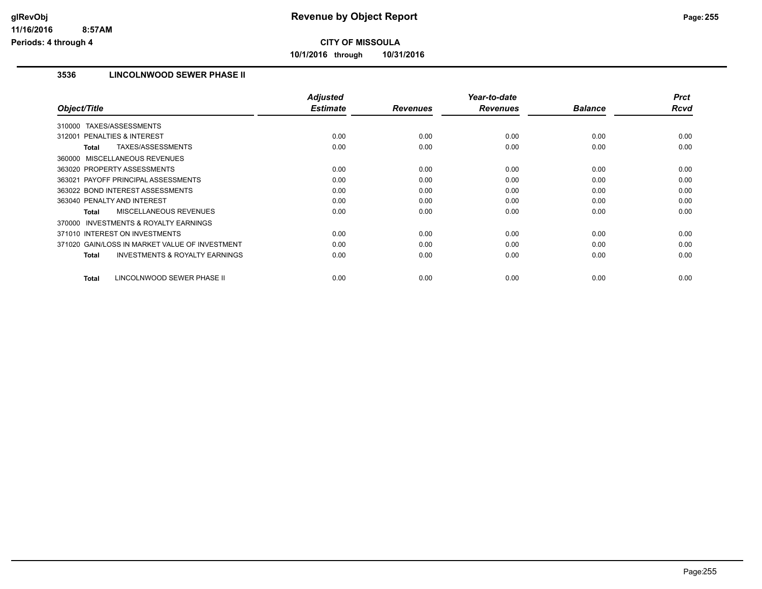**10/1/2016 through 10/31/2016**

# **3536 LINCOLNWOOD SEWER PHASE II**

| Object/Title                                              | <b>Adjusted</b><br><b>Estimate</b> | <b>Revenues</b> | Year-to-date<br><b>Revenues</b> | <b>Balance</b> | <b>Prct</b><br><b>Rcvd</b> |
|-----------------------------------------------------------|------------------------------------|-----------------|---------------------------------|----------------|----------------------------|
|                                                           |                                    |                 |                                 |                |                            |
| TAXES/ASSESSMENTS<br>310000                               |                                    |                 |                                 |                |                            |
| 312001 PENALTIES & INTEREST                               | 0.00                               | 0.00            | 0.00                            | 0.00           | 0.00                       |
| TAXES/ASSESSMENTS<br>Total                                | 0.00                               | 0.00            | 0.00                            | 0.00           | 0.00                       |
| 360000 MISCELLANEOUS REVENUES                             |                                    |                 |                                 |                |                            |
| 363020 PROPERTY ASSESSMENTS                               | 0.00                               | 0.00            | 0.00                            | 0.00           | 0.00                       |
| 363021 PAYOFF PRINCIPAL ASSESSMENTS                       | 0.00                               | 0.00            | 0.00                            | 0.00           | 0.00                       |
| 363022 BOND INTEREST ASSESSMENTS                          | 0.00                               | 0.00            | 0.00                            | 0.00           | 0.00                       |
| 363040 PENALTY AND INTEREST                               | 0.00                               | 0.00            | 0.00                            | 0.00           | 0.00                       |
| MISCELLANEOUS REVENUES<br>Total                           | 0.00                               | 0.00            | 0.00                            | 0.00           | 0.00                       |
| <b>INVESTMENTS &amp; ROYALTY EARNINGS</b><br>370000       |                                    |                 |                                 |                |                            |
| 371010 INTEREST ON INVESTMENTS                            | 0.00                               | 0.00            | 0.00                            | 0.00           | 0.00                       |
| 371020 GAIN/LOSS IN MARKET VALUE OF INVESTMENT            | 0.00                               | 0.00            | 0.00                            | 0.00           | 0.00                       |
| <b>INVESTMENTS &amp; ROYALTY EARNINGS</b><br><b>Total</b> | 0.00                               | 0.00            | 0.00                            | 0.00           | 0.00                       |
|                                                           |                                    |                 |                                 |                |                            |
| LINCOLNWOOD SEWER PHASE II<br><b>Total</b>                | 0.00                               | 0.00            | 0.00                            | 0.00           | 0.00                       |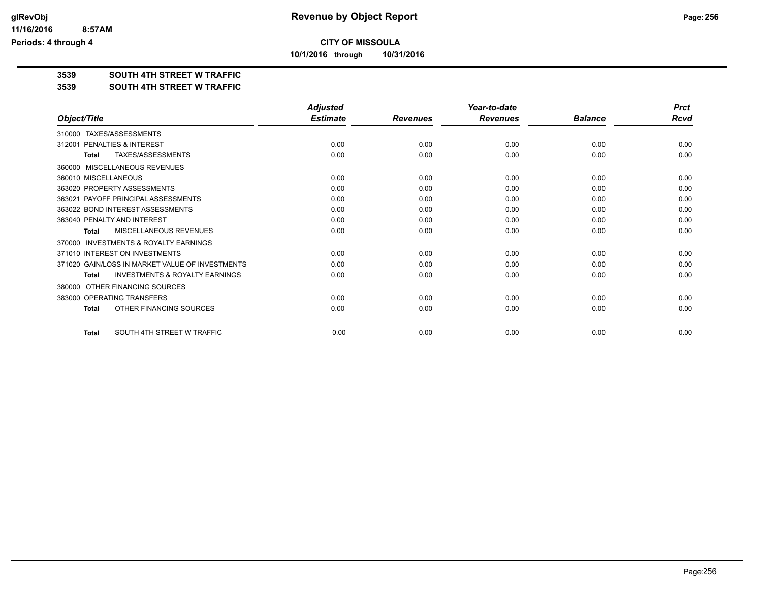**10/1/2016 through 10/31/2016**

## **3539 SOUTH 4TH STREET W TRAFFIC**

#### **3539 SOUTH 4TH STREET W TRAFFIC**

|                                                           | <b>Adjusted</b> |                 | Year-to-date    |                | <b>Prct</b> |
|-----------------------------------------------------------|-----------------|-----------------|-----------------|----------------|-------------|
| Object/Title                                              | <b>Estimate</b> | <b>Revenues</b> | <b>Revenues</b> | <b>Balance</b> | Rcvd        |
| TAXES/ASSESSMENTS<br>310000                               |                 |                 |                 |                |             |
| PENALTIES & INTEREST<br>312001                            | 0.00            | 0.00            | 0.00            | 0.00           | 0.00        |
| TAXES/ASSESSMENTS<br><b>Total</b>                         | 0.00            | 0.00            | 0.00            | 0.00           | 0.00        |
| MISCELLANEOUS REVENUES<br>360000                          |                 |                 |                 |                |             |
| 360010 MISCELLANEOUS                                      | 0.00            | 0.00            | 0.00            | 0.00           | 0.00        |
| 363020 PROPERTY ASSESSMENTS                               | 0.00            | 0.00            | 0.00            | 0.00           | 0.00        |
| 363021 PAYOFF PRINCIPAL ASSESSMENTS                       | 0.00            | 0.00            | 0.00            | 0.00           | 0.00        |
| 363022 BOND INTEREST ASSESSMENTS                          | 0.00            | 0.00            | 0.00            | 0.00           | 0.00        |
| 363040 PENALTY AND INTEREST                               | 0.00            | 0.00            | 0.00            | 0.00           | 0.00        |
| MISCELLANEOUS REVENUES<br><b>Total</b>                    | 0.00            | 0.00            | 0.00            | 0.00           | 0.00        |
| <b>INVESTMENTS &amp; ROYALTY EARNINGS</b><br>370000       |                 |                 |                 |                |             |
| 371010 INTEREST ON INVESTMENTS                            | 0.00            | 0.00            | 0.00            | 0.00           | 0.00        |
| 371020 GAIN/LOSS IN MARKET VALUE OF INVESTMENTS           | 0.00            | 0.00            | 0.00            | 0.00           | 0.00        |
| <b>INVESTMENTS &amp; ROYALTY EARNINGS</b><br><b>Total</b> | 0.00            | 0.00            | 0.00            | 0.00           | 0.00        |
| OTHER FINANCING SOURCES<br>380000                         |                 |                 |                 |                |             |
| 383000 OPERATING TRANSFERS                                | 0.00            | 0.00            | 0.00            | 0.00           | 0.00        |
| OTHER FINANCING SOURCES<br><b>Total</b>                   | 0.00            | 0.00            | 0.00            | 0.00           | 0.00        |
| SOUTH 4TH STREET W TRAFFIC<br><b>Total</b>                | 0.00            | 0.00            | 0.00            | 0.00           | 0.00        |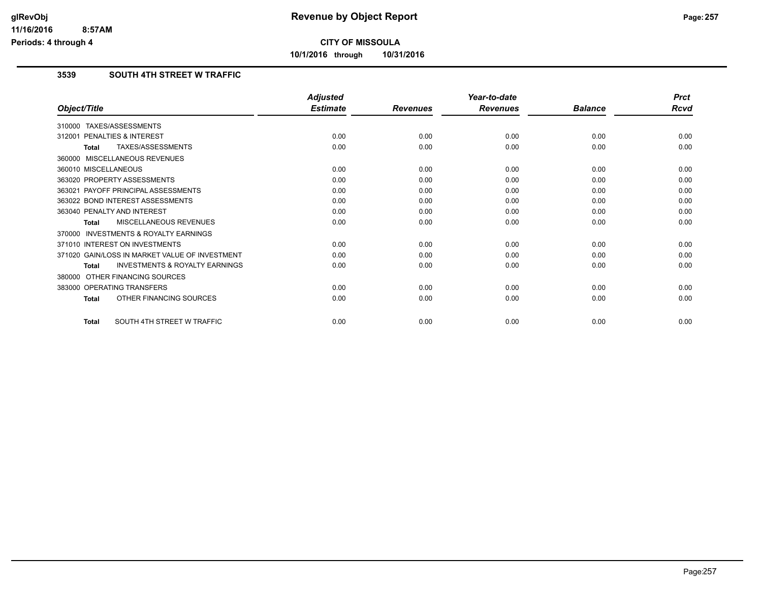**10/1/2016 through 10/31/2016**

# **3539 SOUTH 4TH STREET W TRAFFIC**

|                                                           | <b>Adjusted</b> |                 | Year-to-date    |                | <b>Prct</b> |
|-----------------------------------------------------------|-----------------|-----------------|-----------------|----------------|-------------|
| Object/Title                                              | <b>Estimate</b> | <b>Revenues</b> | <b>Revenues</b> | <b>Balance</b> | <b>Rcvd</b> |
| 310000 TAXES/ASSESSMENTS                                  |                 |                 |                 |                |             |
| PENALTIES & INTEREST<br>312001                            | 0.00            | 0.00            | 0.00            | 0.00           | 0.00        |
| <b>TAXES/ASSESSMENTS</b><br><b>Total</b>                  | 0.00            | 0.00            | 0.00            | 0.00           | 0.00        |
| 360000 MISCELLANEOUS REVENUES                             |                 |                 |                 |                |             |
| 360010 MISCELLANEOUS                                      | 0.00            | 0.00            | 0.00            | 0.00           | 0.00        |
| 363020 PROPERTY ASSESSMENTS                               | 0.00            | 0.00            | 0.00            | 0.00           | 0.00        |
| 363021 PAYOFF PRINCIPAL ASSESSMENTS                       | 0.00            | 0.00            | 0.00            | 0.00           | 0.00        |
| 363022 BOND INTEREST ASSESSMENTS                          | 0.00            | 0.00            | 0.00            | 0.00           | 0.00        |
| 363040 PENALTY AND INTEREST                               | 0.00            | 0.00            | 0.00            | 0.00           | 0.00        |
| MISCELLANEOUS REVENUES<br><b>Total</b>                    | 0.00            | 0.00            | 0.00            | 0.00           | 0.00        |
| <b>INVESTMENTS &amp; ROYALTY EARNINGS</b><br>370000       |                 |                 |                 |                |             |
| 371010 INTEREST ON INVESTMENTS                            | 0.00            | 0.00            | 0.00            | 0.00           | 0.00        |
| 371020 GAIN/LOSS IN MARKET VALUE OF INVESTMENT            | 0.00            | 0.00            | 0.00            | 0.00           | 0.00        |
| <b>INVESTMENTS &amp; ROYALTY EARNINGS</b><br><b>Total</b> | 0.00            | 0.00            | 0.00            | 0.00           | 0.00        |
| OTHER FINANCING SOURCES<br>380000                         |                 |                 |                 |                |             |
| 383000 OPERATING TRANSFERS                                | 0.00            | 0.00            | 0.00            | 0.00           | 0.00        |
| OTHER FINANCING SOURCES<br><b>Total</b>                   | 0.00            | 0.00            | 0.00            | 0.00           | 0.00        |
| SOUTH 4TH STREET W TRAFFIC<br><b>Total</b>                | 0.00            | 0.00            | 0.00            | 0.00           | 0.00        |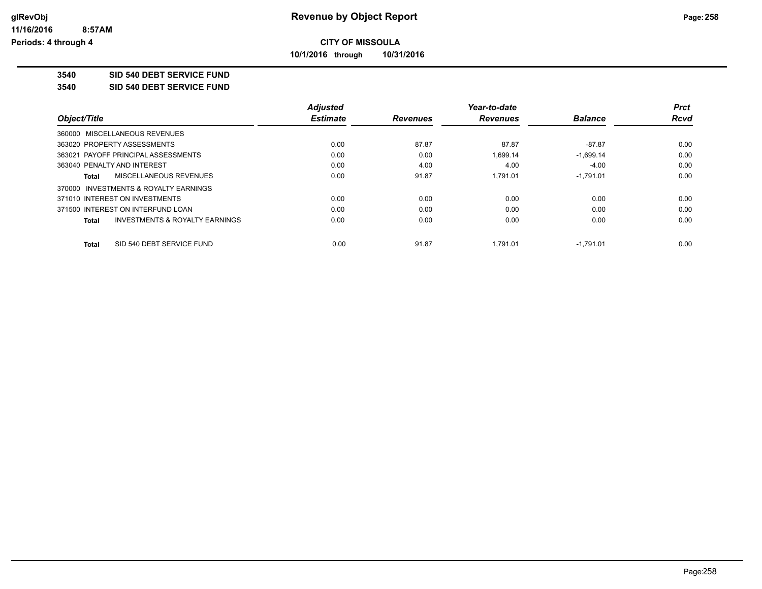**10/1/2016 through 10/31/2016**

**3540 SID 540 DEBT SERVICE FUND**

**3540 SID 540 DEBT SERVICE FUND**

|                                           | <b>Adjusted</b> |                 | Year-to-date    |                | <b>Prct</b> |
|-------------------------------------------|-----------------|-----------------|-----------------|----------------|-------------|
| Object/Title                              | <b>Estimate</b> | <b>Revenues</b> | <b>Revenues</b> | <b>Balance</b> | Rcvd        |
| 360000 MISCELLANEOUS REVENUES             |                 |                 |                 |                |             |
| 363020 PROPERTY ASSESSMENTS               | 0.00            | 87.87           | 87.87           | $-87.87$       | 0.00        |
| 363021 PAYOFF PRINCIPAL ASSESSMENTS       | 0.00            | 0.00            | 1,699.14        | $-1.699.14$    | 0.00        |
| 363040 PENALTY AND INTEREST               | 0.00            | 4.00            | 4.00            | $-4.00$        | 0.00        |
| MISCELLANEOUS REVENUES<br>Total           | 0.00            | 91.87           | 1.791.01        | $-1.791.01$    | 0.00        |
| 370000 INVESTMENTS & ROYALTY EARNINGS     |                 |                 |                 |                |             |
| 371010 INTEREST ON INVESTMENTS            | 0.00            | 0.00            | 0.00            | 0.00           | 0.00        |
| 371500 INTEREST ON INTERFUND LOAN         | 0.00            | 0.00            | 0.00            | 0.00           | 0.00        |
| INVESTMENTS & ROYALTY EARNINGS<br>Total   | 0.00            | 0.00            | 0.00            | 0.00           | 0.00        |
| SID 540 DEBT SERVICE FUND<br><b>Total</b> | 0.00            | 91.87           | 1.791.01        | $-1.791.01$    | 0.00        |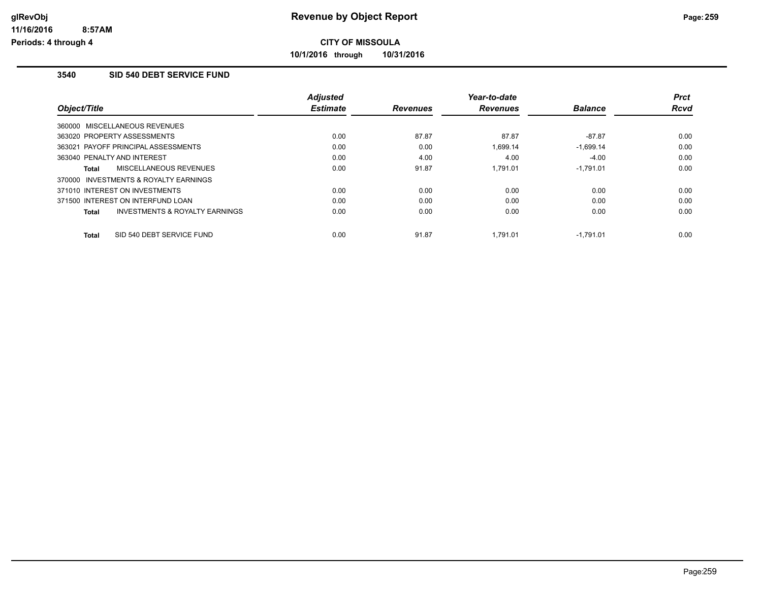**10/1/2016 through 10/31/2016**

# **3540 SID 540 DEBT SERVICE FUND**

| Object/Title                                       | <b>Adjusted</b><br><b>Estimate</b> | <b>Revenues</b> | Year-to-date<br><b>Revenues</b> | <b>Balance</b> | <b>Prct</b><br><b>Rcvd</b> |
|----------------------------------------------------|------------------------------------|-----------------|---------------------------------|----------------|----------------------------|
| 360000 MISCELLANEOUS REVENUES                      |                                    |                 |                                 |                |                            |
| 363020 PROPERTY ASSESSMENTS                        | 0.00                               | 87.87           | 87.87                           | $-87.87$       | 0.00                       |
| 363021 PAYOFF PRINCIPAL ASSESSMENTS                | 0.00                               | 0.00            | 1,699.14                        | $-1,699.14$    | 0.00                       |
| 363040 PENALTY AND INTEREST                        | 0.00                               | 4.00            | 4.00                            | $-4.00$        | 0.00                       |
| MISCELLANEOUS REVENUES<br>Total                    | 0.00                               | 91.87           | 1.791.01                        | $-1,791.01$    | 0.00                       |
| 370000 INVESTMENTS & ROYALTY EARNINGS              |                                    |                 |                                 |                |                            |
| 371010 INTEREST ON INVESTMENTS                     | 0.00                               | 0.00            | 0.00                            | 0.00           | 0.00                       |
| 371500 INTEREST ON INTERFUND LOAN                  | 0.00                               | 0.00            | 0.00                            | 0.00           | 0.00                       |
| <b>INVESTMENTS &amp; ROYALTY EARNINGS</b><br>Total | 0.00                               | 0.00            | 0.00                            | 0.00           | 0.00                       |
| SID 540 DEBT SERVICE FUND<br>Total                 | 0.00                               | 91.87           | 1.791.01                        | $-1.791.01$    | 0.00                       |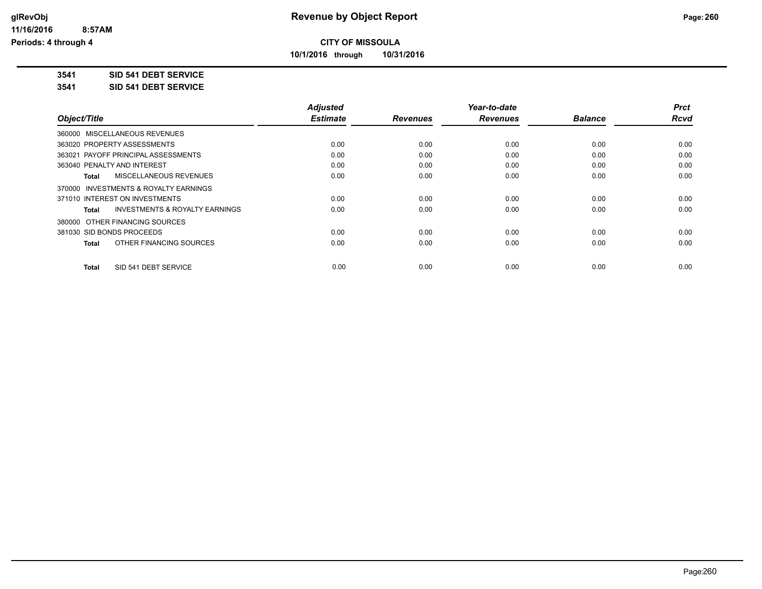**10/1/2016 through 10/31/2016**

#### **3541 SID 541 DEBT SERVICE**

**3541 SID 541 DEBT SERVICE**

|                                                     | <b>Adjusted</b> |                 | Year-to-date    |                | <b>Prct</b> |
|-----------------------------------------------------|-----------------|-----------------|-----------------|----------------|-------------|
| Object/Title                                        | <b>Estimate</b> | <b>Revenues</b> | <b>Revenues</b> | <b>Balance</b> | <b>Rcvd</b> |
| 360000 MISCELLANEOUS REVENUES                       |                 |                 |                 |                |             |
| 363020 PROPERTY ASSESSMENTS                         | 0.00            | 0.00            | 0.00            | 0.00           | 0.00        |
| 363021 PAYOFF PRINCIPAL ASSESSMENTS                 | 0.00            | 0.00            | 0.00            | 0.00           | 0.00        |
| 363040 PENALTY AND INTEREST                         | 0.00            | 0.00            | 0.00            | 0.00           | 0.00        |
| MISCELLANEOUS REVENUES<br>Total                     | 0.00            | 0.00            | 0.00            | 0.00           | 0.00        |
| <b>INVESTMENTS &amp; ROYALTY EARNINGS</b><br>370000 |                 |                 |                 |                |             |
| 371010 INTEREST ON INVESTMENTS                      | 0.00            | 0.00            | 0.00            | 0.00           | 0.00        |
| <b>INVESTMENTS &amp; ROYALTY EARNINGS</b><br>Total  | 0.00            | 0.00            | 0.00            | 0.00           | 0.00        |
| 380000 OTHER FINANCING SOURCES                      |                 |                 |                 |                |             |
| 381030 SID BONDS PROCEEDS                           | 0.00            | 0.00            | 0.00            | 0.00           | 0.00        |
| OTHER FINANCING SOURCES<br>Total                    | 0.00            | 0.00            | 0.00            | 0.00           | 0.00        |
| SID 541 DEBT SERVICE<br>Total                       | 0.00            | 0.00            | 0.00            | 0.00           | 0.00        |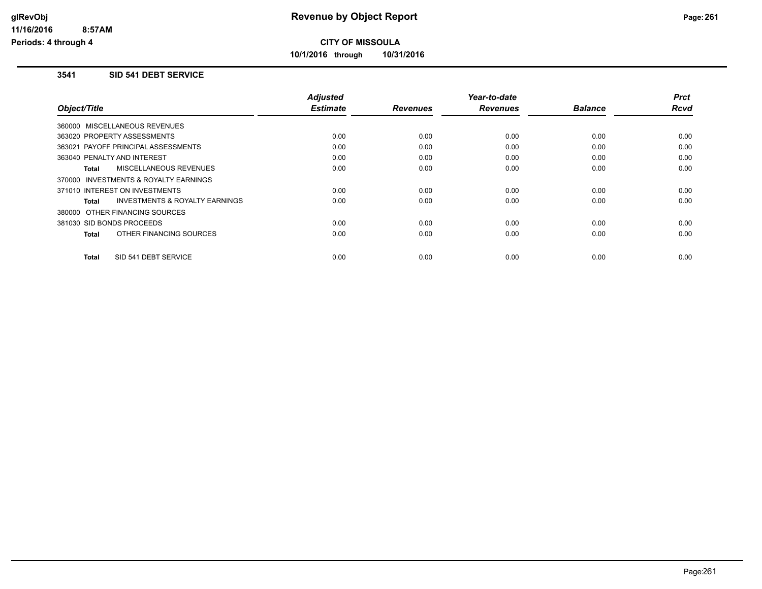**10/1/2016 through 10/31/2016**

#### **3541 SID 541 DEBT SERVICE**

| Object/Title                                       | <b>Adjusted</b><br><b>Estimate</b> | <b>Revenues</b> | Year-to-date<br><b>Revenues</b> | <b>Balance</b> | <b>Prct</b><br>Rcvd |
|----------------------------------------------------|------------------------------------|-----------------|---------------------------------|----------------|---------------------|
| 360000 MISCELLANEOUS REVENUES                      |                                    |                 |                                 |                |                     |
| 363020 PROPERTY ASSESSMENTS                        | 0.00                               | 0.00            | 0.00                            | 0.00           | 0.00                |
| 363021 PAYOFF PRINCIPAL ASSESSMENTS                | 0.00                               | 0.00            | 0.00                            | 0.00           | 0.00                |
| 363040 PENALTY AND INTEREST                        | 0.00                               | 0.00            | 0.00                            | 0.00           | 0.00                |
| <b>MISCELLANEOUS REVENUES</b><br>Total             | 0.00                               | 0.00            | 0.00                            | 0.00           | 0.00                |
| 370000 INVESTMENTS & ROYALTY EARNINGS              |                                    |                 |                                 |                |                     |
| 371010 INTEREST ON INVESTMENTS                     | 0.00                               | 0.00            | 0.00                            | 0.00           | 0.00                |
| <b>INVESTMENTS &amp; ROYALTY EARNINGS</b><br>Total | 0.00                               | 0.00            | 0.00                            | 0.00           | 0.00                |
| 380000 OTHER FINANCING SOURCES                     |                                    |                 |                                 |                |                     |
| 381030 SID BONDS PROCEEDS                          | 0.00                               | 0.00            | 0.00                            | 0.00           | 0.00                |
| OTHER FINANCING SOURCES<br>Total                   | 0.00                               | 0.00            | 0.00                            | 0.00           | 0.00                |
| SID 541 DEBT SERVICE<br><b>Total</b>               | 0.00                               | 0.00            | 0.00                            | 0.00           | 0.00                |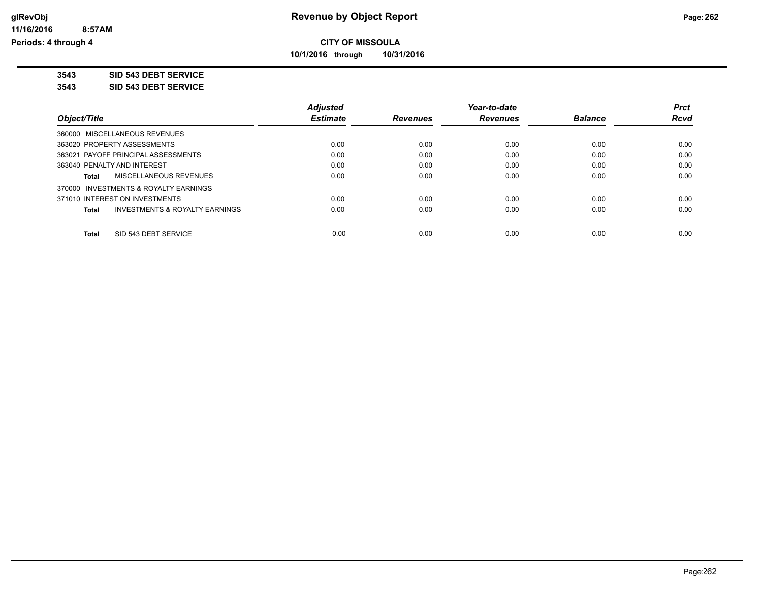**10/1/2016 through 10/31/2016**

#### **3543 SID 543 DEBT SERVICE**

**3543 SID 543 DEBT SERVICE**

|                                                           | <b>Adjusted</b> |                 | Year-to-date    |                | <b>Prct</b> |
|-----------------------------------------------------------|-----------------|-----------------|-----------------|----------------|-------------|
| Object/Title                                              | <b>Estimate</b> | <b>Revenues</b> | <b>Revenues</b> | <b>Balance</b> | <b>Rcvd</b> |
| 360000 MISCELLANEOUS REVENUES                             |                 |                 |                 |                |             |
| 363020 PROPERTY ASSESSMENTS                               | 0.00            | 0.00            | 0.00            | 0.00           | 0.00        |
| 363021 PAYOFF PRINCIPAL ASSESSMENTS                       | 0.00            | 0.00            | 0.00            | 0.00           | 0.00        |
| 363040 PENALTY AND INTEREST                               | 0.00            | 0.00            | 0.00            | 0.00           | 0.00        |
| MISCELLANEOUS REVENUES<br>Total                           | 0.00            | 0.00            | 0.00            | 0.00           | 0.00        |
| 370000 INVESTMENTS & ROYALTY EARNINGS                     |                 |                 |                 |                |             |
| 371010 INTEREST ON INVESTMENTS                            | 0.00            | 0.00            | 0.00            | 0.00           | 0.00        |
| <b>INVESTMENTS &amp; ROYALTY EARNINGS</b><br><b>Total</b> | 0.00            | 0.00            | 0.00            | 0.00           | 0.00        |
|                                                           |                 |                 |                 |                |             |
| SID 543 DEBT SERVICE<br><b>Total</b>                      | 0.00            | 0.00            | 0.00            | 0.00           | 0.00        |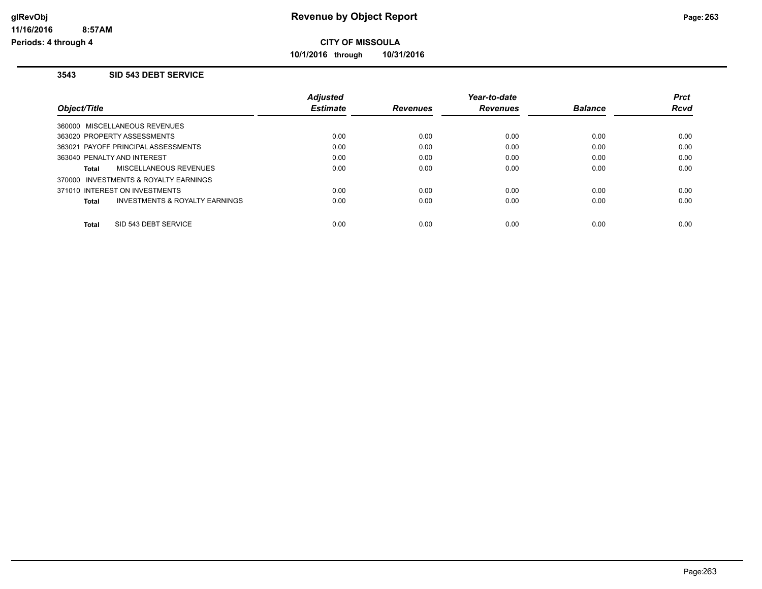**10/1/2016 through 10/31/2016**

#### **3543 SID 543 DEBT SERVICE**

|                                                     | <b>Adjusted</b> |                 | Year-to-date    |                | <b>Prct</b> |
|-----------------------------------------------------|-----------------|-----------------|-----------------|----------------|-------------|
| Object/Title                                        | <b>Estimate</b> | <b>Revenues</b> | <b>Revenues</b> | <b>Balance</b> | <b>Rcvd</b> |
| 360000 MISCELLANEOUS REVENUES                       |                 |                 |                 |                |             |
| 363020 PROPERTY ASSESSMENTS                         | 0.00            | 0.00            | 0.00            | 0.00           | 0.00        |
| 363021 PAYOFF PRINCIPAL ASSESSMENTS                 | 0.00            | 0.00            | 0.00            | 0.00           | 0.00        |
| 363040 PENALTY AND INTEREST                         | 0.00            | 0.00            | 0.00            | 0.00           | 0.00        |
| MISCELLANEOUS REVENUES<br>Total                     | 0.00            | 0.00            | 0.00            | 0.00           | 0.00        |
| <b>INVESTMENTS &amp; ROYALTY EARNINGS</b><br>370000 |                 |                 |                 |                |             |
| 371010 INTEREST ON INVESTMENTS                      | 0.00            | 0.00            | 0.00            | 0.00           | 0.00        |
| INVESTMENTS & ROYALTY EARNINGS<br>Total             | 0.00            | 0.00            | 0.00            | 0.00           | 0.00        |
| SID 543 DEBT SERVICE<br><b>Total</b>                | 0.00            | 0.00            | 0.00            | 0.00           | 0.00        |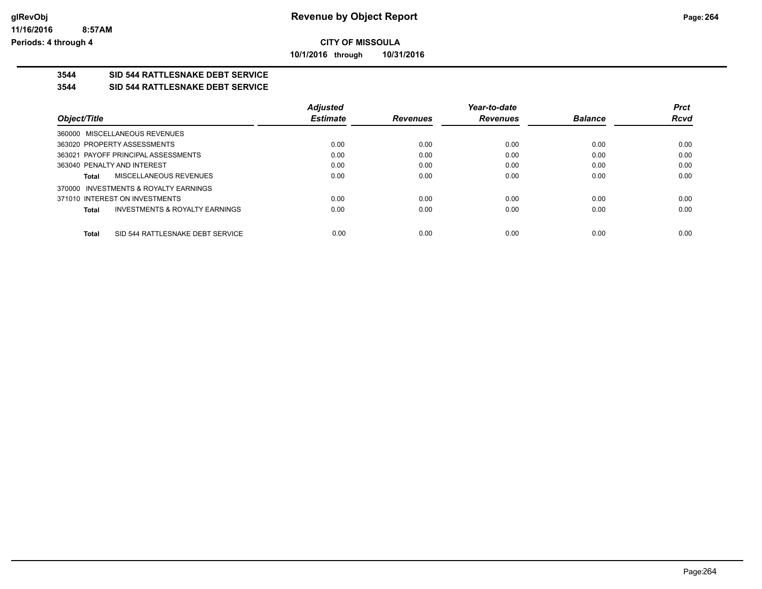**10/1/2016 through 10/31/2016**

# **3544 SID 544 RATTLESNAKE DEBT SERVICE**

# **3544 SID 544 RATTLESNAKE DEBT SERVICE**

|                                                           | <b>Adjusted</b> |                 | Year-to-date    |                | <b>Prct</b> |
|-----------------------------------------------------------|-----------------|-----------------|-----------------|----------------|-------------|
| Object/Title                                              | <b>Estimate</b> | <b>Revenues</b> | <b>Revenues</b> | <b>Balance</b> | <b>Rcvd</b> |
| 360000 MISCELLANEOUS REVENUES                             |                 |                 |                 |                |             |
| 363020 PROPERTY ASSESSMENTS                               | 0.00            | 0.00            | 0.00            | 0.00           | 0.00        |
| 363021 PAYOFF PRINCIPAL ASSESSMENTS                       | 0.00            | 0.00            | 0.00            | 0.00           | 0.00        |
| 363040 PENALTY AND INTEREST                               | 0.00            | 0.00            | 0.00            | 0.00           | 0.00        |
| MISCELLANEOUS REVENUES<br>Total                           | 0.00            | 0.00            | 0.00            | 0.00           | 0.00        |
| 370000 INVESTMENTS & ROYALTY EARNINGS                     |                 |                 |                 |                |             |
| 371010 INTEREST ON INVESTMENTS                            | 0.00            | 0.00            | 0.00            | 0.00           | 0.00        |
| <b>INVESTMENTS &amp; ROYALTY EARNINGS</b><br><b>Total</b> | 0.00            | 0.00            | 0.00            | 0.00           | 0.00        |
|                                                           |                 |                 |                 |                |             |
| SID 544 RATTLESNAKE DEBT SERVICE<br><b>Total</b>          | 0.00            | 0.00            | 0.00            | 0.00           | 0.00        |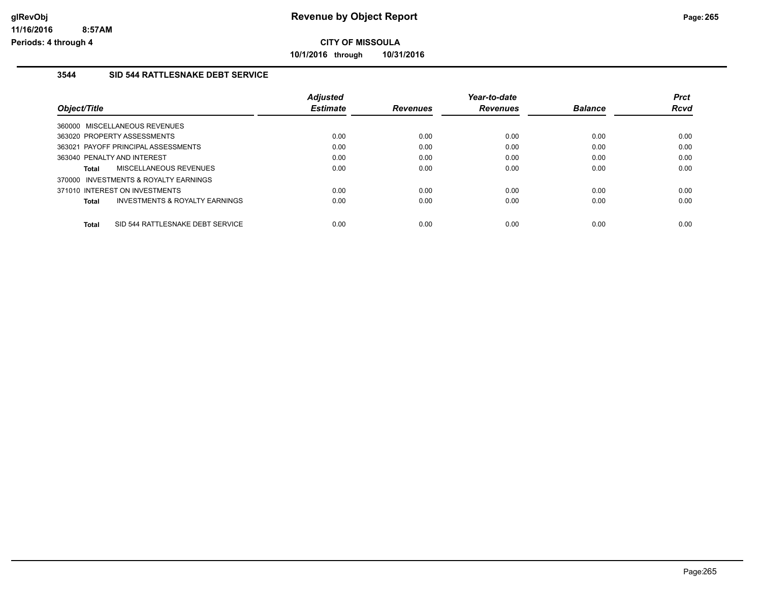**10/1/2016 through 10/31/2016**

## **3544 SID 544 RATTLESNAKE DEBT SERVICE**

|                                           | <b>Adiusted</b> |                 | Year-to-date    |                | <b>Prct</b> |
|-------------------------------------------|-----------------|-----------------|-----------------|----------------|-------------|
| Object/Title                              | <b>Estimate</b> | <b>Revenues</b> | <b>Revenues</b> | <b>Balance</b> | <b>Rcvd</b> |
| 360000 MISCELLANEOUS REVENUES             |                 |                 |                 |                |             |
| 363020 PROPERTY ASSESSMENTS               | 0.00            | 0.00            | 0.00            | 0.00           | 0.00        |
| 363021 PAYOFF PRINCIPAL ASSESSMENTS       | 0.00            | 0.00            | 0.00            | 0.00           | 0.00        |
| 363040 PENALTY AND INTEREST               | 0.00            | 0.00            | 0.00            | 0.00           | 0.00        |
| MISCELLANEOUS REVENUES<br>Total           | 0.00            | 0.00            | 0.00            | 0.00           | 0.00        |
| 370000 INVESTMENTS & ROYALTY EARNINGS     |                 |                 |                 |                |             |
| 371010 INTEREST ON INVESTMENTS            | 0.00            | 0.00            | 0.00            | 0.00           | 0.00        |
| INVESTMENTS & ROYALTY EARNINGS<br>Total   | 0.00            | 0.00            | 0.00            | 0.00           | 0.00        |
|                                           |                 |                 |                 |                |             |
| SID 544 RATTLESNAKE DEBT SERVICE<br>Total | 0.00            | 0.00            | 0.00            | 0.00           | 0.00        |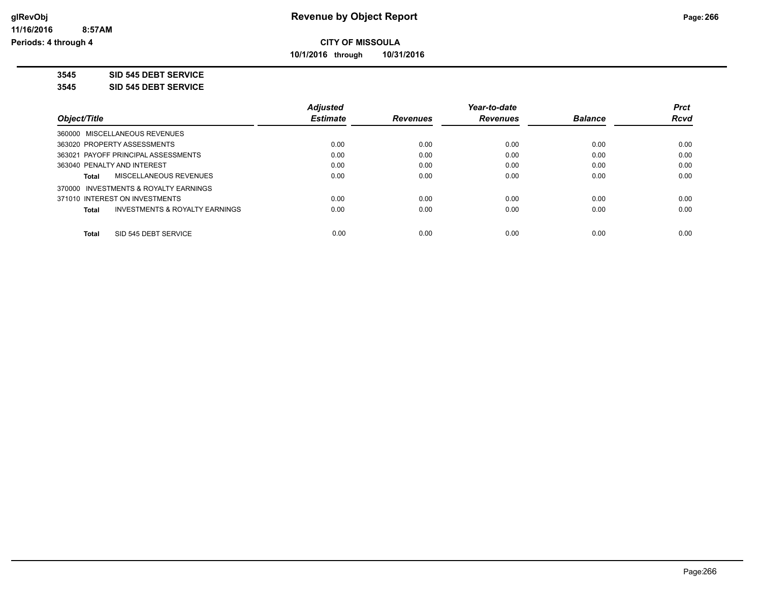**10/1/2016 through 10/31/2016**

#### **3545 SID 545 DEBT SERVICE**

**3545 SID 545 DEBT SERVICE**

|                                                    | <b>Adjusted</b> |                 | Year-to-date    |                | <b>Prct</b> |
|----------------------------------------------------|-----------------|-----------------|-----------------|----------------|-------------|
| Object/Title                                       | <b>Estimate</b> | <b>Revenues</b> | <b>Revenues</b> | <b>Balance</b> | <b>Rcvd</b> |
| 360000 MISCELLANEOUS REVENUES                      |                 |                 |                 |                |             |
| 363020 PROPERTY ASSESSMENTS                        | 0.00            | 0.00            | 0.00            | 0.00           | 0.00        |
| 363021 PAYOFF PRINCIPAL ASSESSMENTS                | 0.00            | 0.00            | 0.00            | 0.00           | 0.00        |
| 363040 PENALTY AND INTEREST                        | 0.00            | 0.00            | 0.00            | 0.00           | 0.00        |
| MISCELLANEOUS REVENUES<br>Total                    | 0.00            | 0.00            | 0.00            | 0.00           | 0.00        |
| 370000 INVESTMENTS & ROYALTY EARNINGS              |                 |                 |                 |                |             |
| 371010 INTEREST ON INVESTMENTS                     | 0.00            | 0.00            | 0.00            | 0.00           | 0.00        |
| <b>INVESTMENTS &amp; ROYALTY EARNINGS</b><br>Total | 0.00            | 0.00            | 0.00            | 0.00           | 0.00        |
| SID 545 DEBT SERVICE<br>Total                      | 0.00            | 0.00            | 0.00            | 0.00           | 0.00        |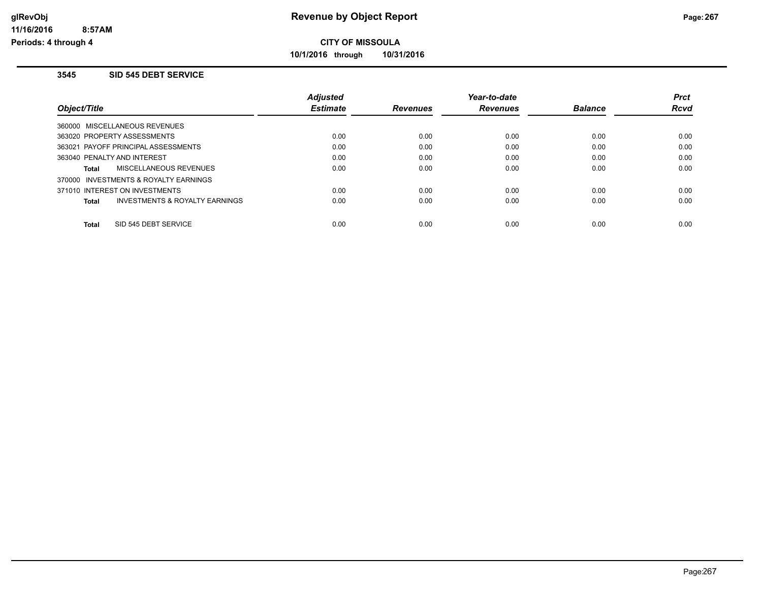**10/1/2016 through 10/31/2016**

#### **3545 SID 545 DEBT SERVICE**

|                                                | <b>Adiusted</b> |                 | Year-to-date    |                | <b>Prct</b> |
|------------------------------------------------|-----------------|-----------------|-----------------|----------------|-------------|
| Object/Title                                   | <b>Estimate</b> | <b>Revenues</b> | <b>Revenues</b> | <b>Balance</b> | Rcvd        |
| 360000 MISCELLANEOUS REVENUES                  |                 |                 |                 |                |             |
| 363020 PROPERTY ASSESSMENTS                    | 0.00            | 0.00            | 0.00            | 0.00           | 0.00        |
| 363021 PAYOFF PRINCIPAL ASSESSMENTS            | 0.00            | 0.00            | 0.00            | 0.00           | 0.00        |
| 363040 PENALTY AND INTEREST                    | 0.00            | 0.00            | 0.00            | 0.00           | 0.00        |
| MISCELLANEOUS REVENUES<br><b>Total</b>         | 0.00            | 0.00            | 0.00            | 0.00           | 0.00        |
| 370000 INVESTMENTS & ROYALTY EARNINGS          |                 |                 |                 |                |             |
| 371010 INTEREST ON INVESTMENTS                 | 0.00            | 0.00            | 0.00            | 0.00           | 0.00        |
| INVESTMENTS & ROYALTY EARNINGS<br><b>Total</b> | 0.00            | 0.00            | 0.00            | 0.00           | 0.00        |
| SID 545 DEBT SERVICE<br><b>Total</b>           | 0.00            | 0.00            | 0.00            | 0.00           | 0.00        |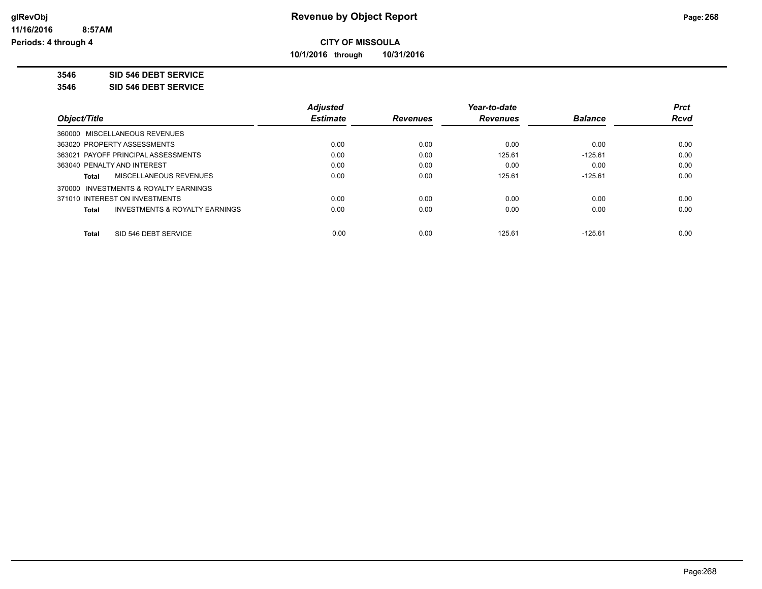**10/1/2016 through 10/31/2016**

#### **3546 SID 546 DEBT SERVICE**

**3546 SID 546 DEBT SERVICE**

|                                                    | <b>Adjusted</b> |                 | Year-to-date    |                | <b>Prct</b> |
|----------------------------------------------------|-----------------|-----------------|-----------------|----------------|-------------|
| Object/Title                                       | <b>Estimate</b> | <b>Revenues</b> | <b>Revenues</b> | <b>Balance</b> | <b>Rcvd</b> |
| 360000 MISCELLANEOUS REVENUES                      |                 |                 |                 |                |             |
| 363020 PROPERTY ASSESSMENTS                        | 0.00            | 0.00            | 0.00            | 0.00           | 0.00        |
| 363021 PAYOFF PRINCIPAL ASSESSMENTS                | 0.00            | 0.00            | 125.61          | $-125.61$      | 0.00        |
| 363040 PENALTY AND INTEREST                        | 0.00            | 0.00            | 0.00            | 0.00           | 0.00        |
| MISCELLANEOUS REVENUES<br>Total                    | 0.00            | 0.00            | 125.61          | $-125.61$      | 0.00        |
| 370000 INVESTMENTS & ROYALTY EARNINGS              |                 |                 |                 |                |             |
| 371010 INTEREST ON INVESTMENTS                     | 0.00            | 0.00            | 0.00            | 0.00           | 0.00        |
| <b>INVESTMENTS &amp; ROYALTY EARNINGS</b><br>Total | 0.00            | 0.00            | 0.00            | 0.00           | 0.00        |
| SID 546 DEBT SERVICE<br><b>Total</b>               | 0.00            | 0.00            | 125.61          | $-125.61$      | 0.00        |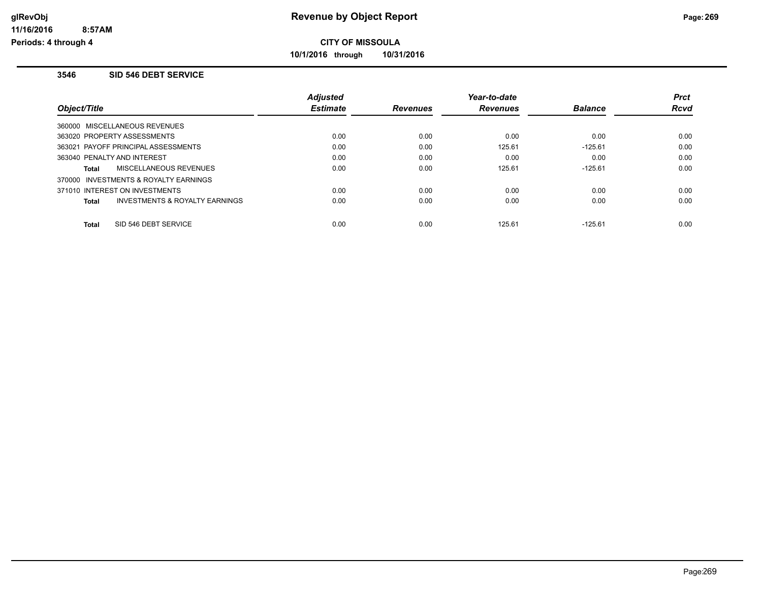**10/1/2016 through 10/31/2016**

#### **3546 SID 546 DEBT SERVICE**

|                                                | <b>Adiusted</b> |                 | Year-to-date    |                | <b>Prct</b> |
|------------------------------------------------|-----------------|-----------------|-----------------|----------------|-------------|
| Object/Title                                   | <b>Estimate</b> | <b>Revenues</b> | <b>Revenues</b> | <b>Balance</b> | <b>Rcvd</b> |
| 360000 MISCELLANEOUS REVENUES                  |                 |                 |                 |                |             |
| 363020 PROPERTY ASSESSMENTS                    | 0.00            | 0.00            | 0.00            | 0.00           | 0.00        |
| 363021 PAYOFF PRINCIPAL ASSESSMENTS            | 0.00            | 0.00            | 125.61          | $-125.61$      | 0.00        |
| 363040 PENALTY AND INTEREST                    | 0.00            | 0.00            | 0.00            | 0.00           | 0.00        |
| MISCELLANEOUS REVENUES<br><b>Total</b>         | 0.00            | 0.00            | 125.61          | $-125.61$      | 0.00        |
| 370000 INVESTMENTS & ROYALTY EARNINGS          |                 |                 |                 |                |             |
| 371010 INTEREST ON INVESTMENTS                 | 0.00            | 0.00            | 0.00            | 0.00           | 0.00        |
| INVESTMENTS & ROYALTY EARNINGS<br><b>Total</b> | 0.00            | 0.00            | 0.00            | 0.00           | 0.00        |
| SID 546 DEBT SERVICE<br><b>Total</b>           | 0.00            | 0.00            | 125.61          | $-125.61$      | 0.00        |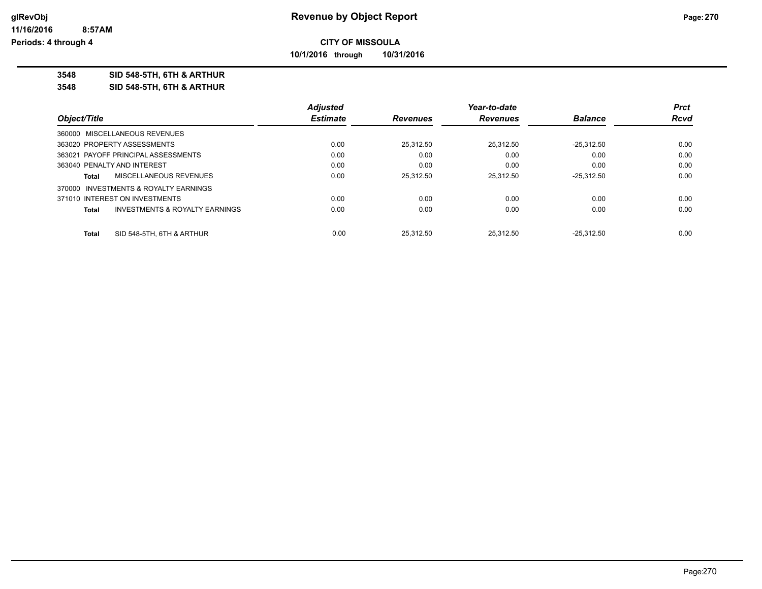**10/1/2016 through 10/31/2016**

## **3548 SID 548-5TH, 6TH & ARTHUR**

**3548 SID 548-5TH, 6TH & ARTHUR**

|                                                    | <b>Adjusted</b> |                 | Year-to-date    |                | <b>Prct</b> |
|----------------------------------------------------|-----------------|-----------------|-----------------|----------------|-------------|
| Object/Title                                       | <b>Estimate</b> | <b>Revenues</b> | <b>Revenues</b> | <b>Balance</b> | Rcvd        |
| 360000 MISCELLANEOUS REVENUES                      |                 |                 |                 |                |             |
| 363020 PROPERTY ASSESSMENTS                        | 0.00            | 25.312.50       | 25.312.50       | $-25.312.50$   | 0.00        |
| 363021 PAYOFF PRINCIPAL ASSESSMENTS                | 0.00            | 0.00            | 0.00            | 0.00           | 0.00        |
| 363040 PENALTY AND INTEREST                        | 0.00            | 0.00            | 0.00            | 0.00           | 0.00        |
| <b>MISCELLANEOUS REVENUES</b><br>Total             | 0.00            | 25.312.50       | 25.312.50       | $-25.312.50$   | 0.00        |
| 370000 INVESTMENTS & ROYALTY EARNINGS              |                 |                 |                 |                |             |
| 371010 INTEREST ON INVESTMENTS                     | 0.00            | 0.00            | 0.00            | 0.00           | 0.00        |
| <b>INVESTMENTS &amp; ROYALTY EARNINGS</b><br>Total | 0.00            | 0.00            | 0.00            | 0.00           | 0.00        |
| SID 548-5TH, 6TH & ARTHUR<br>Total                 | 0.00            | 25.312.50       | 25.312.50       | $-25.312.50$   | 0.00        |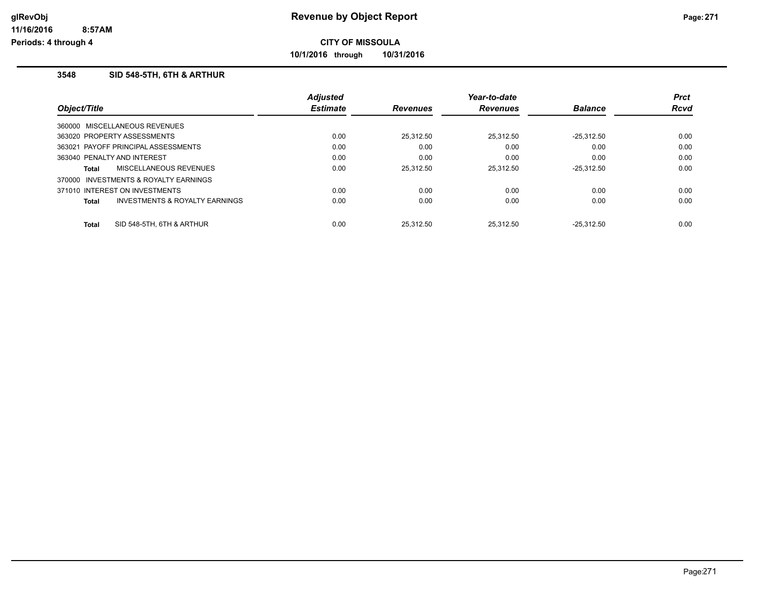**10/1/2016 through 10/31/2016**

# **3548 SID 548-5TH, 6TH & ARTHUR**

|              |                                     | <b>Adjusted</b> |                 | Year-to-date   |              | <b>Prct</b> |
|--------------|-------------------------------------|-----------------|-----------------|----------------|--------------|-------------|
| Object/Title | <b>Estimate</b>                     | <b>Revenues</b> | <b>Revenues</b> | <b>Balance</b> | <b>Rcvd</b>  |             |
|              | 360000 MISCELLANEOUS REVENUES       |                 |                 |                |              |             |
|              | 363020 PROPERTY ASSESSMENTS         | 0.00            | 25.312.50       | 25.312.50      | $-25.312.50$ | 0.00        |
|              | 363021 PAYOFF PRINCIPAL ASSESSMENTS | 0.00            | 0.00            | 0.00           | 0.00         | 0.00        |
|              | 363040 PENALTY AND INTEREST         | 0.00            | 0.00            | 0.00           | 0.00         | 0.00        |
| Total        | MISCELLANEOUS REVENUES              | 0.00            | 25.312.50       | 25.312.50      | $-25.312.50$ | 0.00        |
| 370000       | INVESTMENTS & ROYALTY EARNINGS      |                 |                 |                |              |             |
|              | 371010 INTEREST ON INVESTMENTS      | 0.00            | 0.00            | 0.00           | 0.00         | 0.00        |
| <b>Total</b> | INVESTMENTS & ROYALTY EARNINGS      | 0.00            | 0.00            | 0.00           | 0.00         | 0.00        |
| <b>Total</b> | SID 548-5TH, 6TH & ARTHUR           | 0.00            | 25.312.50       | 25.312.50      | $-25.312.50$ | 0.00        |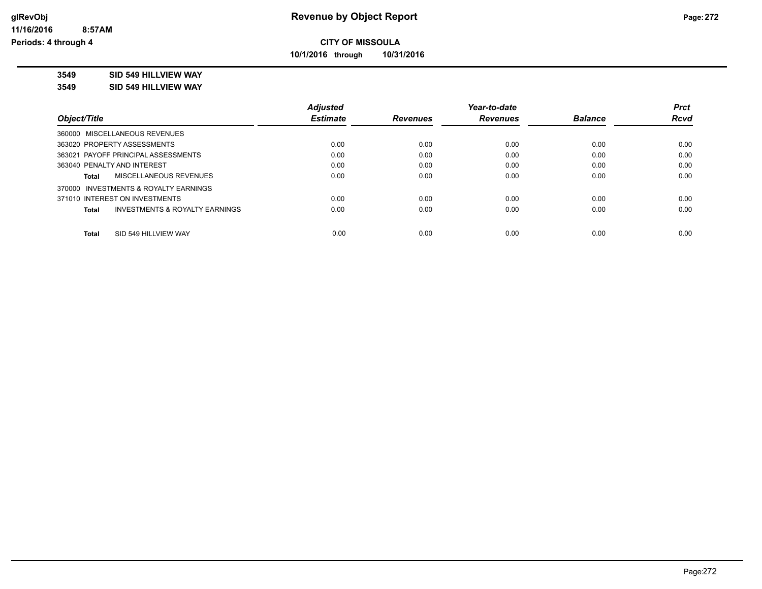**10/1/2016 through 10/31/2016**

**3549 SID 549 HILLVIEW WAY**

**3549 SID 549 HILLVIEW WAY**

|                                                           | <b>Adjusted</b> |                 | Year-to-date    |                | <b>Prct</b> |
|-----------------------------------------------------------|-----------------|-----------------|-----------------|----------------|-------------|
| Object/Title                                              | <b>Estimate</b> | <b>Revenues</b> | <b>Revenues</b> | <b>Balance</b> | <b>Rcvd</b> |
| 360000 MISCELLANEOUS REVENUES                             |                 |                 |                 |                |             |
| 363020 PROPERTY ASSESSMENTS                               | 0.00            | 0.00            | 0.00            | 0.00           | 0.00        |
| 363021 PAYOFF PRINCIPAL ASSESSMENTS                       | 0.00            | 0.00            | 0.00            | 0.00           | 0.00        |
| 363040 PENALTY AND INTEREST                               | 0.00            | 0.00            | 0.00            | 0.00           | 0.00        |
| MISCELLANEOUS REVENUES<br>Total                           | 0.00            | 0.00            | 0.00            | 0.00           | 0.00        |
| 370000 INVESTMENTS & ROYALTY EARNINGS                     |                 |                 |                 |                |             |
| 371010 INTEREST ON INVESTMENTS                            | 0.00            | 0.00            | 0.00            | 0.00           | 0.00        |
| <b>INVESTMENTS &amp; ROYALTY EARNINGS</b><br><b>Total</b> | 0.00            | 0.00            | 0.00            | 0.00           | 0.00        |
|                                                           |                 |                 |                 |                |             |
| SID 549 HILLVIEW WAY<br>Total                             | 0.00            | 0.00            | 0.00            | 0.00           | 0.00        |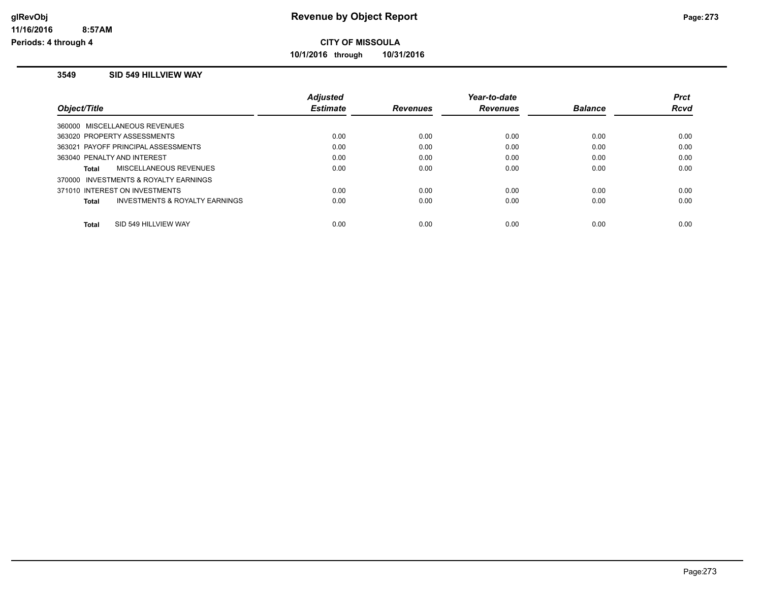**10/1/2016 through 10/31/2016**

#### **3549 SID 549 HILLVIEW WAY**

|                                     |                                       | <b>Adjusted</b> |                 | Year-to-date    |                | <b>Prct</b> |
|-------------------------------------|---------------------------------------|-----------------|-----------------|-----------------|----------------|-------------|
| Object/Title                        |                                       | <b>Estimate</b> | <b>Revenues</b> | <b>Revenues</b> | <b>Balance</b> | <b>Rcvd</b> |
| 360000 MISCELLANEOUS REVENUES       |                                       |                 |                 |                 |                |             |
| 363020 PROPERTY ASSESSMENTS         |                                       | 0.00            | 0.00            | 0.00            | 0.00           | 0.00        |
| 363021 PAYOFF PRINCIPAL ASSESSMENTS |                                       | 0.00            | 0.00            | 0.00            | 0.00           | 0.00        |
| 363040 PENALTY AND INTEREST         |                                       | 0.00            | 0.00            | 0.00            | 0.00           | 0.00        |
| Total                               | MISCELLANEOUS REVENUES                | 0.00            | 0.00            | 0.00            | 0.00           | 0.00        |
|                                     | 370000 INVESTMENTS & ROYALTY EARNINGS |                 |                 |                 |                |             |
| 371010 INTEREST ON INVESTMENTS      |                                       | 0.00            | 0.00            | 0.00            | 0.00           | 0.00        |
| Total                               | INVESTMENTS & ROYALTY EARNINGS        | 0.00            | 0.00            | 0.00            | 0.00           | 0.00        |
| <b>Total</b>                        | SID 549 HILLVIEW WAY                  | 0.00            | 0.00            | 0.00            | 0.00           | 0.00        |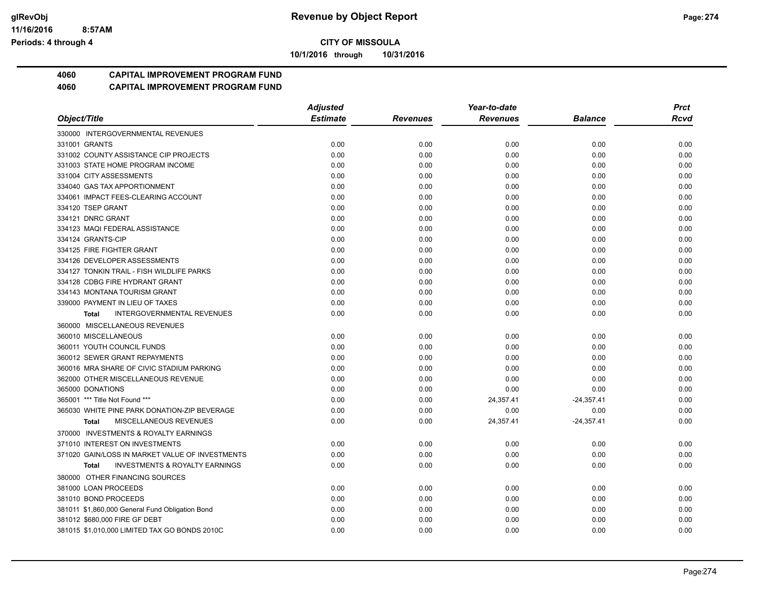**10/1/2016 through 10/31/2016**

# **4060 CAPITAL IMPROVEMENT PROGRAM FUND**

|                                                    | <b>Adjusted</b> |                 | Year-to-date    |                | <b>Prct</b> |
|----------------------------------------------------|-----------------|-----------------|-----------------|----------------|-------------|
| Object/Title                                       | <b>Estimate</b> | <b>Revenues</b> | <b>Revenues</b> | <b>Balance</b> | <b>Rcvd</b> |
| 330000 INTERGOVERNMENTAL REVENUES                  |                 |                 |                 |                |             |
| 331001 GRANTS                                      | 0.00            | 0.00            | 0.00            | 0.00           | 0.00        |
| 331002 COUNTY ASSISTANCE CIP PROJECTS              | 0.00            | 0.00            | 0.00            | 0.00           | 0.00        |
| 331003 STATE HOME PROGRAM INCOME                   | 0.00            | 0.00            | 0.00            | 0.00           | 0.00        |
| 331004 CITY ASSESSMENTS                            | 0.00            | 0.00            | 0.00            | 0.00           | 0.00        |
| 334040 GAS TAX APPORTIONMENT                       | 0.00            | 0.00            | 0.00            | 0.00           | 0.00        |
| 334061 IMPACT FEES-CLEARING ACCOUNT                | 0.00            | 0.00            | 0.00            | 0.00           | 0.00        |
| 334120 TSEP GRANT                                  | 0.00            | 0.00            | 0.00            | 0.00           | 0.00        |
| 334121 DNRC GRANT                                  | 0.00            | 0.00            | 0.00            | 0.00           | 0.00        |
| 334123 MAQI FEDERAL ASSISTANCE                     | 0.00            | 0.00            | 0.00            | 0.00           | 0.00        |
| 334124 GRANTS-CIP                                  | 0.00            | 0.00            | 0.00            | 0.00           | 0.00        |
| 334125 FIRE FIGHTER GRANT                          | 0.00            | 0.00            | 0.00            | 0.00           | 0.00        |
| 334126 DEVELOPER ASSESSMENTS                       | 0.00            | 0.00            | 0.00            | 0.00           | 0.00        |
| 334127 TONKIN TRAIL - FISH WILDLIFE PARKS          | 0.00            | 0.00            | 0.00            | 0.00           | 0.00        |
| 334128 CDBG FIRE HYDRANT GRANT                     | 0.00            | 0.00            | 0.00            | 0.00           | 0.00        |
| 334143 MONTANA TOURISM GRANT                       | 0.00            | 0.00            | 0.00            | 0.00           | 0.00        |
| 339000 PAYMENT IN LIEU OF TAXES                    | 0.00            | 0.00            | 0.00            | 0.00           | 0.00        |
| <b>INTERGOVERNMENTAL REVENUES</b><br><b>Total</b>  | 0.00            | 0.00            | 0.00            | 0.00           | 0.00        |
| 360000 MISCELLANEOUS REVENUES                      |                 |                 |                 |                |             |
| 360010 MISCELLANEOUS                               | 0.00            | 0.00            | 0.00            | 0.00           | 0.00        |
| 360011 YOUTH COUNCIL FUNDS                         | 0.00            | 0.00            | 0.00            | 0.00           | 0.00        |
| 360012 SEWER GRANT REPAYMENTS                      | 0.00            | 0.00            | 0.00            | 0.00           | 0.00        |
| 360016 MRA SHARE OF CIVIC STADIUM PARKING          | 0.00            | 0.00            | 0.00            | 0.00           | 0.00        |
| 362000 OTHER MISCELLANEOUS REVENUE                 | 0.00            | 0.00            | 0.00            | 0.00           | 0.00        |
| 365000 DONATIONS                                   | 0.00            | 0.00            | 0.00            | 0.00           | 0.00        |
| 365001 *** Title Not Found ***                     | 0.00            | 0.00            | 24,357.41       | $-24,357.41$   | 0.00        |
| 365030 WHITE PINE PARK DONATION-ZIP BEVERAGE       | 0.00            | 0.00            | 0.00            | 0.00           | 0.00        |
| MISCELLANEOUS REVENUES<br>Total                    | 0.00            | 0.00            | 24,357.41       | $-24,357.41$   | 0.00        |
| 370000 INVESTMENTS & ROYALTY EARNINGS              |                 |                 |                 |                |             |
| 371010 INTEREST ON INVESTMENTS                     | 0.00            | 0.00            | 0.00            | 0.00           | 0.00        |
| 371020 GAIN/LOSS IN MARKET VALUE OF INVESTMENTS    | 0.00            | 0.00            | 0.00            | 0.00           | 0.00        |
| <b>INVESTMENTS &amp; ROYALTY EARNINGS</b><br>Total | 0.00            | 0.00            | 0.00            | 0.00           | 0.00        |
| 380000 OTHER FINANCING SOURCES                     |                 |                 |                 |                |             |
| 381000 LOAN PROCEEDS                               | 0.00            | 0.00            | 0.00            | 0.00           | 0.00        |
| 381010 BOND PROCEEDS                               | 0.00            | 0.00            | 0.00            | 0.00           | 0.00        |
| 381011 \$1,860,000 General Fund Obligation Bond    | 0.00            | 0.00            | 0.00            | 0.00           | 0.00        |
| 381012 \$680,000 FIRE GF DEBT                      | 0.00            | 0.00            | 0.00            | 0.00           | 0.00        |
| 381015 \$1,010,000 LIMITED TAX GO BONDS 2010C      | 0.00            | 0.00            | 0.00            | 0.00           | 0.00        |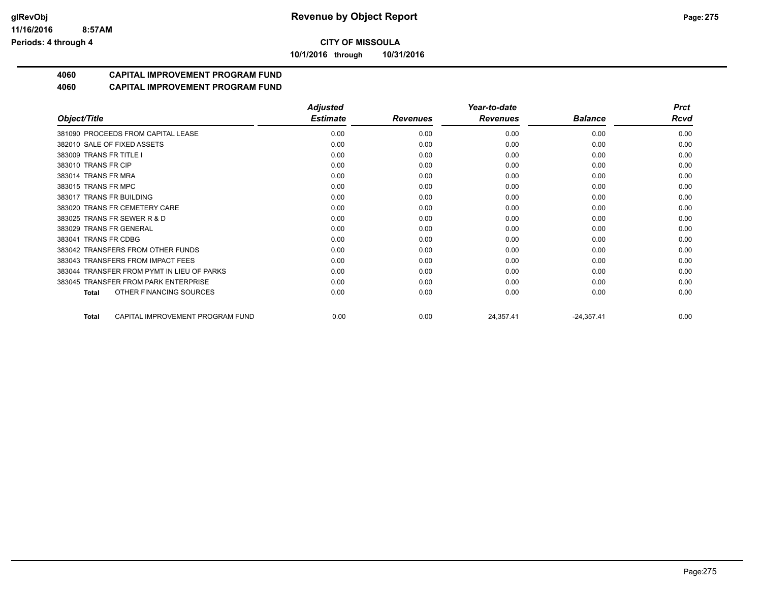**10/1/2016 through 10/31/2016**

# **4060 CAPITAL IMPROVEMENT PROGRAM FUND**

|                                            | <b>Adjusted</b> |                 | Year-to-date    |                | <b>Prct</b> |
|--------------------------------------------|-----------------|-----------------|-----------------|----------------|-------------|
| Object/Title                               | <b>Estimate</b> | <b>Revenues</b> | <b>Revenues</b> | <b>Balance</b> | <b>Rcvd</b> |
| 381090 PROCEEDS FROM CAPITAL LEASE         | 0.00            | 0.00            | 0.00            | 0.00           | 0.00        |
| 382010 SALE OF FIXED ASSETS                | 0.00            | 0.00            | 0.00            | 0.00           | 0.00        |
| 383009 TRANS FR TITLE I                    | 0.00            | 0.00            | 0.00            | 0.00           | 0.00        |
| 383010 TRANS FR CIP                        | 0.00            | 0.00            | 0.00            | 0.00           | 0.00        |
| 383014 TRANS FR MRA                        | 0.00            | 0.00            | 0.00            | 0.00           | 0.00        |
| 383015 TRANS FR MPC                        | 0.00            | 0.00            | 0.00            | 0.00           | 0.00        |
| 383017 TRANS FR BUILDING                   | 0.00            | 0.00            | 0.00            | 0.00           | 0.00        |
| 383020 TRANS FR CEMETERY CARE              | 0.00            | 0.00            | 0.00            | 0.00           | 0.00        |
| 383025 TRANS FR SEWER R & D                | 0.00            | 0.00            | 0.00            | 0.00           | 0.00        |
| 383029 TRANS FR GENERAL                    | 0.00            | 0.00            | 0.00            | 0.00           | 0.00        |
| <b>TRANS FR CDBG</b><br>383041             | 0.00            | 0.00            | 0.00            | 0.00           | 0.00        |
| 383042 TRANSFERS FROM OTHER FUNDS          | 0.00            | 0.00            | 0.00            | 0.00           | 0.00        |
| 383043 TRANSFERS FROM IMPACT FEES          | 0.00            | 0.00            | 0.00            | 0.00           | 0.00        |
| 383044 TRANSFER FROM PYMT IN LIEU OF PARKS | 0.00            | 0.00            | 0.00            | 0.00           | 0.00        |
| 383045 TRANSFER FROM PARK ENTERPRISE       | 0.00            | 0.00            | 0.00            | 0.00           | 0.00        |
| OTHER FINANCING SOURCES<br><b>Total</b>    | 0.00            | 0.00            | 0.00            | 0.00           | 0.00        |
| CAPITAL IMPROVEMENT PROGRAM FUND<br>Total  | 0.00            | 0.00            | 24,357.41       | $-24,357.41$   | 0.00        |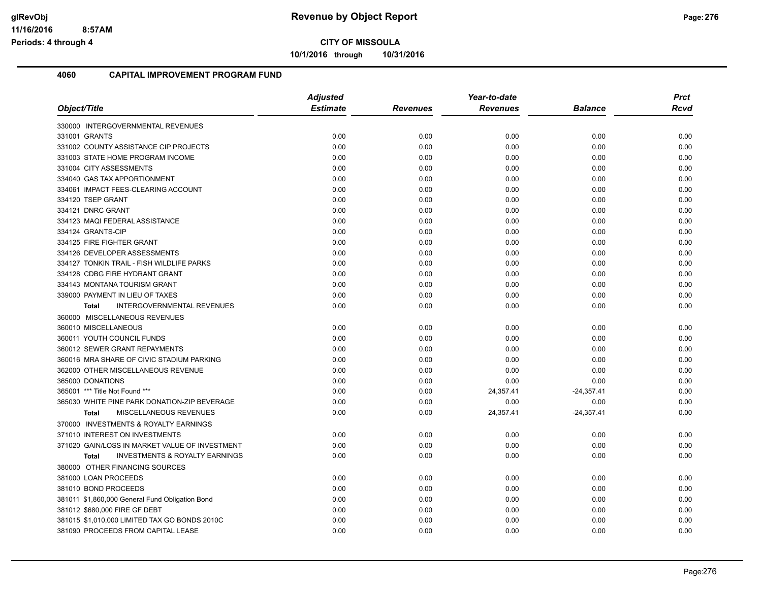**10/1/2016 through 10/31/2016**

|                                                           | <b>Adjusted</b> |          | Year-to-date    |                | <b>Prct</b> |
|-----------------------------------------------------------|-----------------|----------|-----------------|----------------|-------------|
| Object/Title                                              | <b>Estimate</b> | Revenues | <b>Revenues</b> | <b>Balance</b> | <b>Rcvd</b> |
| 330000 INTERGOVERNMENTAL REVENUES                         |                 |          |                 |                |             |
| 331001 GRANTS                                             | 0.00            | 0.00     | 0.00            | 0.00           | 0.00        |
| 331002 COUNTY ASSISTANCE CIP PROJECTS                     | 0.00            | 0.00     | 0.00            | 0.00           | 0.00        |
| 331003 STATE HOME PROGRAM INCOME                          | 0.00            | 0.00     | 0.00            | 0.00           | 0.00        |
| 331004 CITY ASSESSMENTS                                   | 0.00            | 0.00     | 0.00            | 0.00           | 0.00        |
| 334040 GAS TAX APPORTIONMENT                              | 0.00            | 0.00     | 0.00            | 0.00           | 0.00        |
| 334061 IMPACT FEES-CLEARING ACCOUNT                       | 0.00            | 0.00     | 0.00            | 0.00           | 0.00        |
| 334120 TSEP GRANT                                         | 0.00            | 0.00     | 0.00            | 0.00           | 0.00        |
| 334121 DNRC GRANT                                         | 0.00            | 0.00     | 0.00            | 0.00           | 0.00        |
| 334123 MAQI FEDERAL ASSISTANCE                            | 0.00            | 0.00     | 0.00            | 0.00           | 0.00        |
| 334124 GRANTS-CIP                                         | 0.00            | 0.00     | 0.00            | 0.00           | 0.00        |
| 334125 FIRE FIGHTER GRANT                                 | 0.00            | 0.00     | 0.00            | 0.00           | 0.00        |
| 334126 DEVELOPER ASSESSMENTS                              | 0.00            | 0.00     | 0.00            | 0.00           | 0.00        |
| 334127 TONKIN TRAIL - FISH WILDLIFE PARKS                 | 0.00            | 0.00     | 0.00            | 0.00           | 0.00        |
| 334128 CDBG FIRE HYDRANT GRANT                            | 0.00            | 0.00     | 0.00            | 0.00           | 0.00        |
| 334143 MONTANA TOURISM GRANT                              | 0.00            | 0.00     | 0.00            | 0.00           | 0.00        |
| 339000 PAYMENT IN LIEU OF TAXES                           | 0.00            | 0.00     | 0.00            | 0.00           | 0.00        |
| INTERGOVERNMENTAL REVENUES<br><b>Total</b>                | 0.00            | 0.00     | 0.00            | 0.00           | 0.00        |
| 360000 MISCELLANEOUS REVENUES                             |                 |          |                 |                |             |
| 360010 MISCELLANEOUS                                      | 0.00            | 0.00     | 0.00            | 0.00           | 0.00        |
| 360011 YOUTH COUNCIL FUNDS                                | 0.00            | 0.00     | 0.00            | 0.00           | 0.00        |
| 360012 SEWER GRANT REPAYMENTS                             | 0.00            | 0.00     | 0.00            | 0.00           | 0.00        |
| 360016 MRA SHARE OF CIVIC STADIUM PARKING                 | 0.00            | 0.00     | 0.00            | 0.00           | 0.00        |
| 362000 OTHER MISCELLANEOUS REVENUE                        | 0.00            | 0.00     | 0.00            | 0.00           | 0.00        |
| 365000 DONATIONS                                          | 0.00            | 0.00     | 0.00            | 0.00           | 0.00        |
| 365001 *** Title Not Found ***                            | 0.00            | 0.00     | 24,357.41       | $-24,357.41$   | 0.00        |
| 365030 WHITE PINE PARK DONATION-ZIP BEVERAGE              | 0.00            | 0.00     | 0.00            | 0.00           | 0.00        |
| <b>MISCELLANEOUS REVENUES</b><br><b>Total</b>             | 0.00            | 0.00     | 24,357.41       | $-24,357.41$   | 0.00        |
| 370000 INVESTMENTS & ROYALTY EARNINGS                     |                 |          |                 |                |             |
| 371010 INTEREST ON INVESTMENTS                            | 0.00            | 0.00     | 0.00            | 0.00           | 0.00        |
| 371020 GAIN/LOSS IN MARKET VALUE OF INVESTMENT            | 0.00            | 0.00     | 0.00            | 0.00           | 0.00        |
| <b>INVESTMENTS &amp; ROYALTY EARNINGS</b><br><b>Total</b> | 0.00            | 0.00     | 0.00            | 0.00           | 0.00        |
| 380000 OTHER FINANCING SOURCES                            |                 |          |                 |                |             |
| 381000 LOAN PROCEEDS                                      | 0.00            | 0.00     | 0.00            | 0.00           | 0.00        |
| 381010 BOND PROCEEDS                                      | 0.00            | 0.00     | 0.00            | 0.00           | 0.00        |
| 381011 \$1,860,000 General Fund Obligation Bond           | 0.00            | 0.00     | 0.00            | 0.00           | 0.00        |
| 381012 \$680,000 FIRE GF DEBT                             | 0.00            | 0.00     | 0.00            | 0.00           | 0.00        |
| 381015 \$1,010,000 LIMITED TAX GO BONDS 2010C             | 0.00            | 0.00     | 0.00            | 0.00           | 0.00        |
| 381090 PROCEEDS FROM CAPITAL LEASE                        | 0.00            | 0.00     | 0.00            | 0.00           | 0.00        |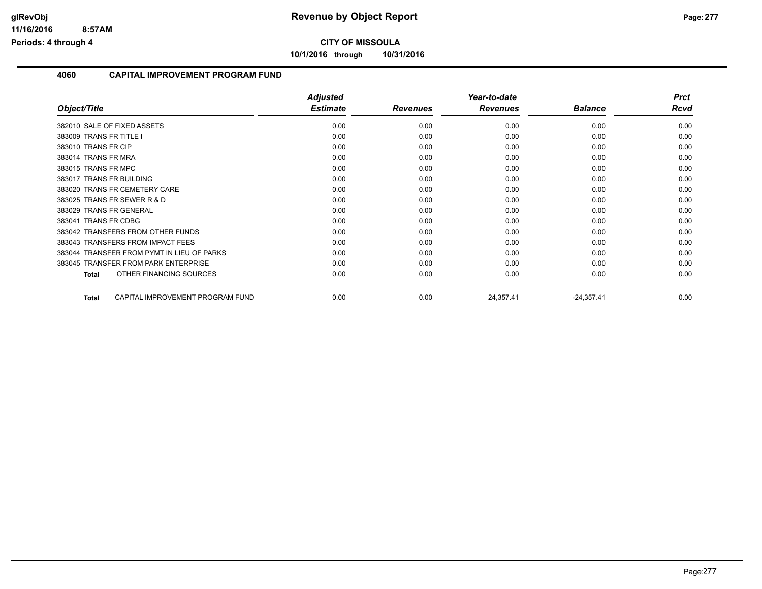**10/1/2016 through 10/31/2016**

|                                            | <b>Adjusted</b> |                 | Year-to-date    |                | <b>Prct</b> |
|--------------------------------------------|-----------------|-----------------|-----------------|----------------|-------------|
| Object/Title                               | <b>Estimate</b> | <b>Revenues</b> | <b>Revenues</b> | <b>Balance</b> | Rcvd        |
| 382010 SALE OF FIXED ASSETS                | 0.00            | 0.00            | 0.00            | 0.00           | 0.00        |
| 383009 TRANS FR TITLE I                    | 0.00            | 0.00            | 0.00            | 0.00           | 0.00        |
| 383010 TRANS FR CIP                        | 0.00            | 0.00            | 0.00            | 0.00           | 0.00        |
| 383014 TRANS FR MRA                        | 0.00            | 0.00            | 0.00            | 0.00           | 0.00        |
| 383015 TRANS FR MPC                        | 0.00            | 0.00            | 0.00            | 0.00           | 0.00        |
| 383017 TRANS FR BUILDING                   | 0.00            | 0.00            | 0.00            | 0.00           | 0.00        |
| 383020 TRANS FR CEMETERY CARE              | 0.00            | 0.00            | 0.00            | 0.00           | 0.00        |
| 383025 TRANS FR SEWER R & D                | 0.00            | 0.00            | 0.00            | 0.00           | 0.00        |
| 383029 TRANS FR GENERAL                    | 0.00            | 0.00            | 0.00            | 0.00           | 0.00        |
| 383041 TRANS FR CDBG                       | 0.00            | 0.00            | 0.00            | 0.00           | 0.00        |
| 383042 TRANSFERS FROM OTHER FUNDS          | 0.00            | 0.00            | 0.00            | 0.00           | 0.00        |
| 383043 TRANSFERS FROM IMPACT FEES          | 0.00            | 0.00            | 0.00            | 0.00           | 0.00        |
| 383044 TRANSFER FROM PYMT IN LIEU OF PARKS | 0.00            | 0.00            | 0.00            | 0.00           | 0.00        |
| 383045 TRANSFER FROM PARK ENTERPRISE       | 0.00            | 0.00            | 0.00            | 0.00           | 0.00        |
| OTHER FINANCING SOURCES<br><b>Total</b>    | 0.00            | 0.00            | 0.00            | 0.00           | 0.00        |
| CAPITAL IMPROVEMENT PROGRAM FUND<br>Total  | 0.00            | 0.00            | 24,357.41       | $-24,357.41$   | 0.00        |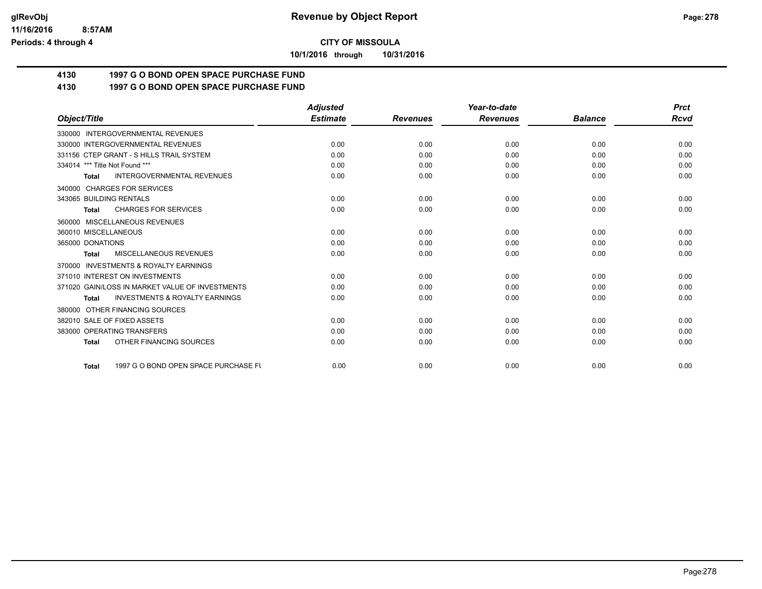**11/16/2016 8:57AM Periods: 4 through 4**

**CITY OF MISSOULA**

**10/1/2016 through 10/31/2016**

# **4130 1997 G O BOND OPEN SPACE PURCHASE FUND**

# **4130 1997 G O BOND OPEN SPACE PURCHASE FUND**

|                                                           | <b>Adjusted</b> |                 | Year-to-date    |                | <b>Prct</b> |
|-----------------------------------------------------------|-----------------|-----------------|-----------------|----------------|-------------|
| Object/Title                                              | <b>Estimate</b> | <b>Revenues</b> | <b>Revenues</b> | <b>Balance</b> | Rcvd        |
| 330000 INTERGOVERNMENTAL REVENUES                         |                 |                 |                 |                |             |
| 330000 INTERGOVERNMENTAL REVENUES                         | 0.00            | 0.00            | 0.00            | 0.00           | 0.00        |
| 331156 CTEP GRANT - S HILLS TRAIL SYSTEM                  | 0.00            | 0.00            | 0.00            | 0.00           | 0.00        |
| 334014 *** Title Not Found ***                            | 0.00            | 0.00            | 0.00            | 0.00           | 0.00        |
| <b>INTERGOVERNMENTAL REVENUES</b><br><b>Total</b>         | 0.00            | 0.00            | 0.00            | 0.00           | 0.00        |
| 340000 CHARGES FOR SERVICES                               |                 |                 |                 |                |             |
| 343065 BUILDING RENTALS                                   | 0.00            | 0.00            | 0.00            | 0.00           | 0.00        |
| <b>CHARGES FOR SERVICES</b><br><b>Total</b>               | 0.00            | 0.00            | 0.00            | 0.00           | 0.00        |
| 360000 MISCELLANEOUS REVENUES                             |                 |                 |                 |                |             |
| 360010 MISCELLANEOUS                                      | 0.00            | 0.00            | 0.00            | 0.00           | 0.00        |
| 365000 DONATIONS                                          | 0.00            | 0.00            | 0.00            | 0.00           | 0.00        |
| MISCELLANEOUS REVENUES<br><b>Total</b>                    | 0.00            | 0.00            | 0.00            | 0.00           | 0.00        |
| <b>INVESTMENTS &amp; ROYALTY EARNINGS</b><br>370000       |                 |                 |                 |                |             |
| 371010 INTEREST ON INVESTMENTS                            | 0.00            | 0.00            | 0.00            | 0.00           | 0.00        |
| 371020 GAIN/LOSS IN MARKET VALUE OF INVESTMENTS           | 0.00            | 0.00            | 0.00            | 0.00           | 0.00        |
| <b>INVESTMENTS &amp; ROYALTY EARNINGS</b><br><b>Total</b> | 0.00            | 0.00            | 0.00            | 0.00           | 0.00        |
| OTHER FINANCING SOURCES<br>380000                         |                 |                 |                 |                |             |
| 382010 SALE OF FIXED ASSETS                               | 0.00            | 0.00            | 0.00            | 0.00           | 0.00        |
| 383000 OPERATING TRANSFERS                                | 0.00            | 0.00            | 0.00            | 0.00           | 0.00        |
| OTHER FINANCING SOURCES<br><b>Total</b>                   | 0.00            | 0.00            | 0.00            | 0.00           | 0.00        |
| 1997 G O BOND OPEN SPACE PURCHASE FU<br><b>Total</b>      | 0.00            | 0.00            | 0.00            | 0.00           | 0.00        |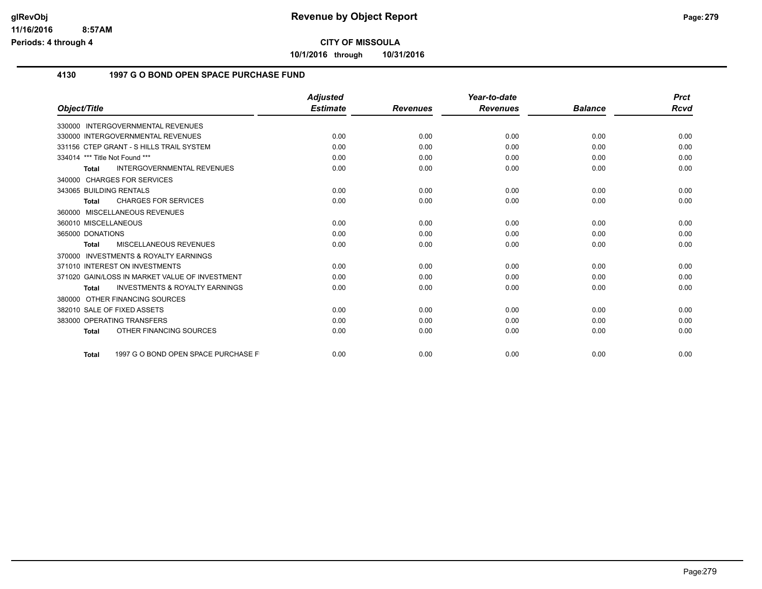**10/1/2016 through 10/31/2016**

#### **4130 1997 G O BOND OPEN SPACE PURCHASE FUND**

|                                                           | <b>Adjusted</b> |                 | Year-to-date    |                | <b>Prct</b> |
|-----------------------------------------------------------|-----------------|-----------------|-----------------|----------------|-------------|
| Object/Title                                              | <b>Estimate</b> | <b>Revenues</b> | <b>Revenues</b> | <b>Balance</b> | <b>Rcvd</b> |
| 330000 INTERGOVERNMENTAL REVENUES                         |                 |                 |                 |                |             |
| 330000 INTERGOVERNMENTAL REVENUES                         | 0.00            | 0.00            | 0.00            | 0.00           | 0.00        |
| 331156 CTEP GRANT - S HILLS TRAIL SYSTEM                  | 0.00            | 0.00            | 0.00            | 0.00           | 0.00        |
| 334014 *** Title Not Found ***                            | 0.00            | 0.00            | 0.00            | 0.00           | 0.00        |
| <b>INTERGOVERNMENTAL REVENUES</b><br><b>Total</b>         | 0.00            | 0.00            | 0.00            | 0.00           | 0.00        |
| 340000 CHARGES FOR SERVICES                               |                 |                 |                 |                |             |
| 343065 BUILDING RENTALS                                   | 0.00            | 0.00            | 0.00            | 0.00           | 0.00        |
| <b>CHARGES FOR SERVICES</b><br><b>Total</b>               | 0.00            | 0.00            | 0.00            | 0.00           | 0.00        |
| 360000 MISCELLANEOUS REVENUES                             |                 |                 |                 |                |             |
| 360010 MISCELLANEOUS                                      | 0.00            | 0.00            | 0.00            | 0.00           | 0.00        |
| 365000 DONATIONS                                          | 0.00            | 0.00            | 0.00            | 0.00           | 0.00        |
| <b>MISCELLANEOUS REVENUES</b><br><b>Total</b>             | 0.00            | 0.00            | 0.00            | 0.00           | 0.00        |
| <b>INVESTMENTS &amp; ROYALTY EARNINGS</b><br>370000       |                 |                 |                 |                |             |
| 371010 INTEREST ON INVESTMENTS                            | 0.00            | 0.00            | 0.00            | 0.00           | 0.00        |
| 371020 GAIN/LOSS IN MARKET VALUE OF INVESTMENT            | 0.00            | 0.00            | 0.00            | 0.00           | 0.00        |
| <b>INVESTMENTS &amp; ROYALTY EARNINGS</b><br><b>Total</b> | 0.00            | 0.00            | 0.00            | 0.00           | 0.00        |
| 380000 OTHER FINANCING SOURCES                            |                 |                 |                 |                |             |
| 382010 SALE OF FIXED ASSETS                               | 0.00            | 0.00            | 0.00            | 0.00           | 0.00        |
| 383000 OPERATING TRANSFERS                                | 0.00            | 0.00            | 0.00            | 0.00           | 0.00        |
| OTHER FINANCING SOURCES<br><b>Total</b>                   | 0.00            | 0.00            | 0.00            | 0.00           | 0.00        |
| 1997 G O BOND OPEN SPACE PURCHASE F<br><b>Total</b>       | 0.00            | 0.00            | 0.00            | 0.00           | 0.00        |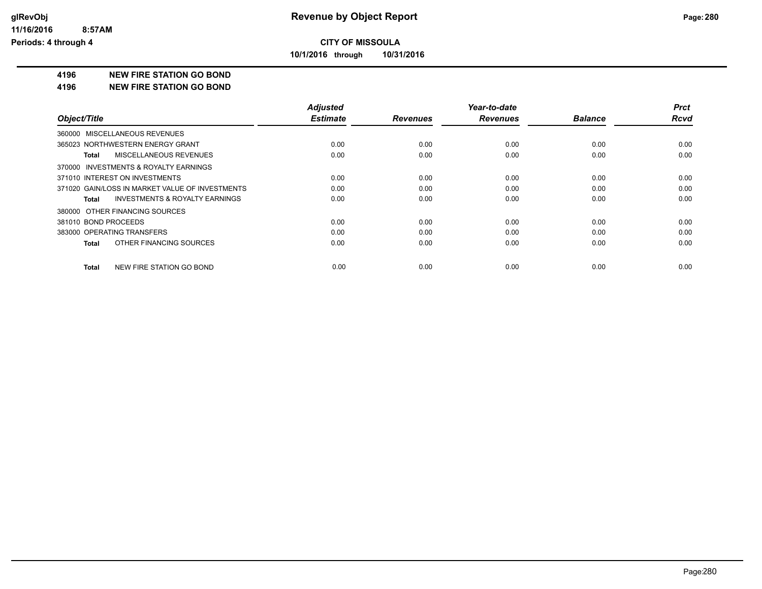**10/1/2016 through 10/31/2016**

#### **4196 NEW FIRE STATION GO BOND**

#### **4196 NEW FIRE STATION GO BOND**

|                                                    | <b>Adjusted</b> |                 | Year-to-date    |                | <b>Prct</b> |
|----------------------------------------------------|-----------------|-----------------|-----------------|----------------|-------------|
| Object/Title                                       | <b>Estimate</b> | <b>Revenues</b> | <b>Revenues</b> | <b>Balance</b> | <b>Rcvd</b> |
| 360000 MISCELLANEOUS REVENUES                      |                 |                 |                 |                |             |
| 365023 NORTHWESTERN ENERGY GRANT                   | 0.00            | 0.00            | 0.00            | 0.00           | 0.00        |
| MISCELLANEOUS REVENUES<br>Total                    | 0.00            | 0.00            | 0.00            | 0.00           | 0.00        |
| 370000 INVESTMENTS & ROYALTY EARNINGS              |                 |                 |                 |                |             |
| 371010 INTEREST ON INVESTMENTS                     | 0.00            | 0.00            | 0.00            | 0.00           | 0.00        |
| 371020 GAIN/LOSS IN MARKET VALUE OF INVESTMENTS    | 0.00            | 0.00            | 0.00            | 0.00           | 0.00        |
| <b>INVESTMENTS &amp; ROYALTY EARNINGS</b><br>Total | 0.00            | 0.00            | 0.00            | 0.00           | 0.00        |
| 380000 OTHER FINANCING SOURCES                     |                 |                 |                 |                |             |
| 381010 BOND PROCEEDS                               | 0.00            | 0.00            | 0.00            | 0.00           | 0.00        |
| 383000 OPERATING TRANSFERS                         | 0.00            | 0.00            | 0.00            | 0.00           | 0.00        |
| OTHER FINANCING SOURCES<br>Total                   | 0.00            | 0.00            | 0.00            | 0.00           | 0.00        |
| NEW FIRE STATION GO BOND<br><b>Total</b>           | 0.00            | 0.00            | 0.00            | 0.00           | 0.00        |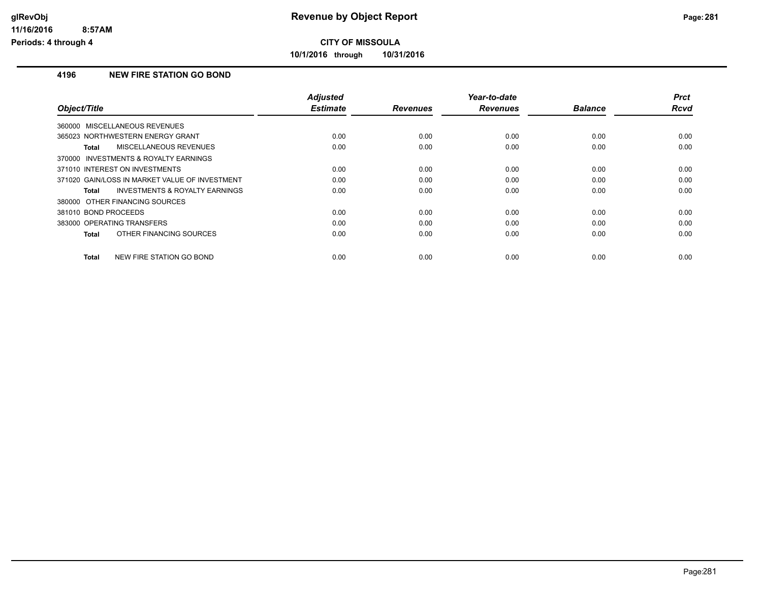**10/1/2016 through 10/31/2016**

# **4196 NEW FIRE STATION GO BOND**

| Object/Title                                       | <b>Adjusted</b><br><b>Estimate</b> | <b>Revenues</b> | Year-to-date<br><b>Revenues</b> | <b>Balance</b> | <b>Prct</b><br><b>Rcvd</b> |
|----------------------------------------------------|------------------------------------|-----------------|---------------------------------|----------------|----------------------------|
|                                                    |                                    |                 |                                 |                |                            |
| 360000 MISCELLANEOUS REVENUES                      |                                    |                 |                                 |                |                            |
| 365023 NORTHWESTERN ENERGY GRANT                   | 0.00                               | 0.00            | 0.00                            | 0.00           | 0.00                       |
| MISCELLANEOUS REVENUES<br><b>Total</b>             | 0.00                               | 0.00            | 0.00                            | 0.00           | 0.00                       |
| 370000 INVESTMENTS & ROYALTY EARNINGS              |                                    |                 |                                 |                |                            |
| 371010 INTEREST ON INVESTMENTS                     | 0.00                               | 0.00            | 0.00                            | 0.00           | 0.00                       |
| 371020 GAIN/LOSS IN MARKET VALUE OF INVESTMENT     | 0.00                               | 0.00            | 0.00                            | 0.00           | 0.00                       |
| <b>INVESTMENTS &amp; ROYALTY EARNINGS</b><br>Total | 0.00                               | 0.00            | 0.00                            | 0.00           | 0.00                       |
| 380000 OTHER FINANCING SOURCES                     |                                    |                 |                                 |                |                            |
| 381010 BOND PROCEEDS                               | 0.00                               | 0.00            | 0.00                            | 0.00           | 0.00                       |
| 383000 OPERATING TRANSFERS                         | 0.00                               | 0.00            | 0.00                            | 0.00           | 0.00                       |
| OTHER FINANCING SOURCES<br><b>Total</b>            | 0.00                               | 0.00            | 0.00                            | 0.00           | 0.00                       |
| NEW FIRE STATION GO BOND<br><b>Total</b>           | 0.00                               | 0.00            | 0.00                            | 0.00           | 0.00                       |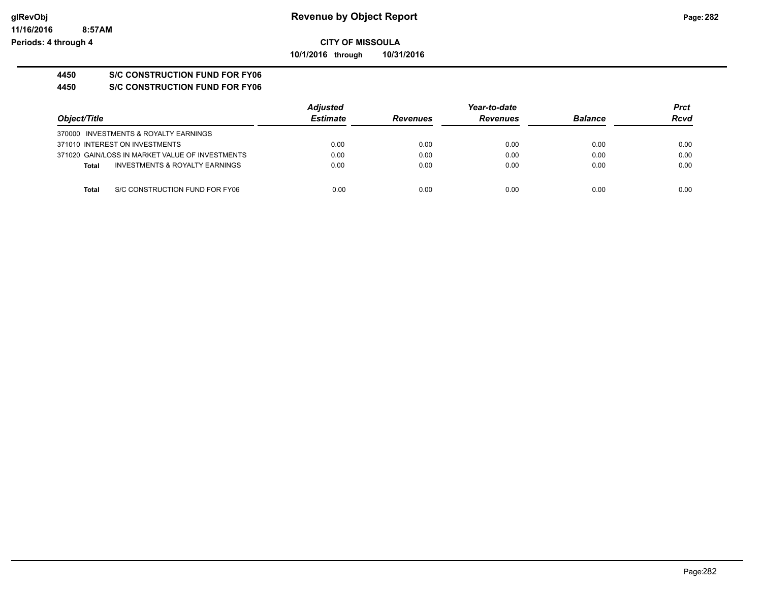#### **11/16/2016 8:57AM Periods: 4 through 4**

# **CITY OF MISSOULA**

# **10/1/2016 through 10/31/2016**

### **4450 S/C CONSTRUCTION FUND FOR FY06 4450 S/C CONSTRUCTION FUND FOR FY06**

|                                                           | <b>Adjusted</b> |                 | Year-to-date    |                | <b>Prct</b> |  |
|-----------------------------------------------------------|-----------------|-----------------|-----------------|----------------|-------------|--|
| Object/Title                                              | <b>Estimate</b> | <b>Revenues</b> | <b>Revenues</b> | <b>Balance</b> | <b>Rcvd</b> |  |
| 370000 INVESTMENTS & ROYALTY EARNINGS                     |                 |                 |                 |                |             |  |
| 371010 INTEREST ON INVESTMENTS                            | 0.00            | 0.00            | 0.00            | 0.00           | 0.00        |  |
| 371020 GAIN/LOSS IN MARKET VALUE OF INVESTMENTS           | 0.00            | 0.00            | 0.00            | 0.00           | 0.00        |  |
| <b>INVESTMENTS &amp; ROYALTY EARNINGS</b><br><b>Total</b> | 0.00            | 0.00            | 0.00            | 0.00           | 0.00        |  |
| S/C CONSTRUCTION FUND FOR FY06<br>Total                   | 0.00            | 0.00            | 0.00            | 0.00           | 0.00        |  |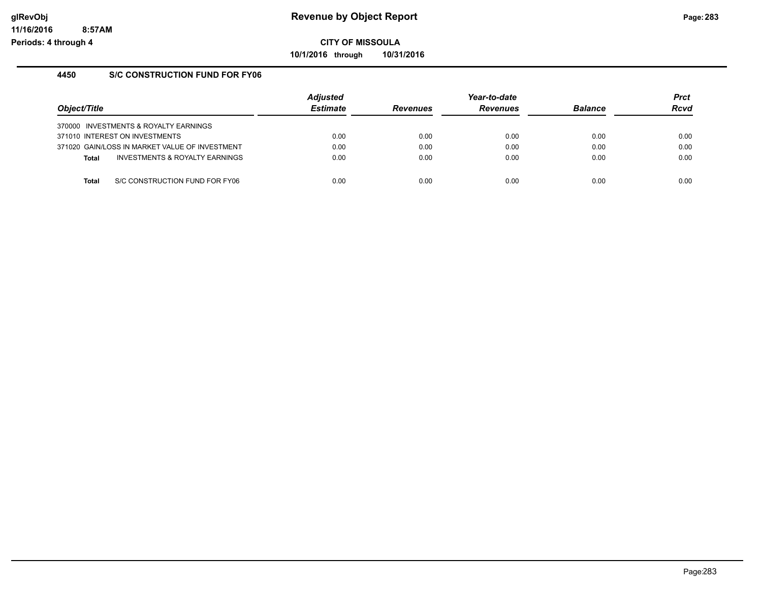**10/1/2016 through 10/31/2016**

## **4450 S/C CONSTRUCTION FUND FOR FY06**

|                                                | <b>Adjusted</b> |                 | Year-to-date    |                |             |
|------------------------------------------------|-----------------|-----------------|-----------------|----------------|-------------|
| Object/Title                                   | <b>Estimate</b> | <b>Revenues</b> | <b>Revenues</b> | <b>Balance</b> | <b>Rcvd</b> |
| 370000 INVESTMENTS & ROYALTY EARNINGS          |                 |                 |                 |                |             |
| 371010 INTEREST ON INVESTMENTS                 | 0.00            | 0.00            | 0.00            | 0.00           | 0.00        |
| 371020 GAIN/LOSS IN MARKET VALUE OF INVESTMENT | 0.00            | 0.00            | 0.00            | 0.00           | 0.00        |
| INVESTMENTS & ROYALTY EARNINGS<br><b>Total</b> | 0.00            | 0.00            | 0.00            | 0.00           | 0.00        |
|                                                |                 |                 |                 |                |             |
| S/C CONSTRUCTION FUND FOR FY06<br>Total        | 0.00            | 0.00            | 0.00            | 0.00           | 0.00        |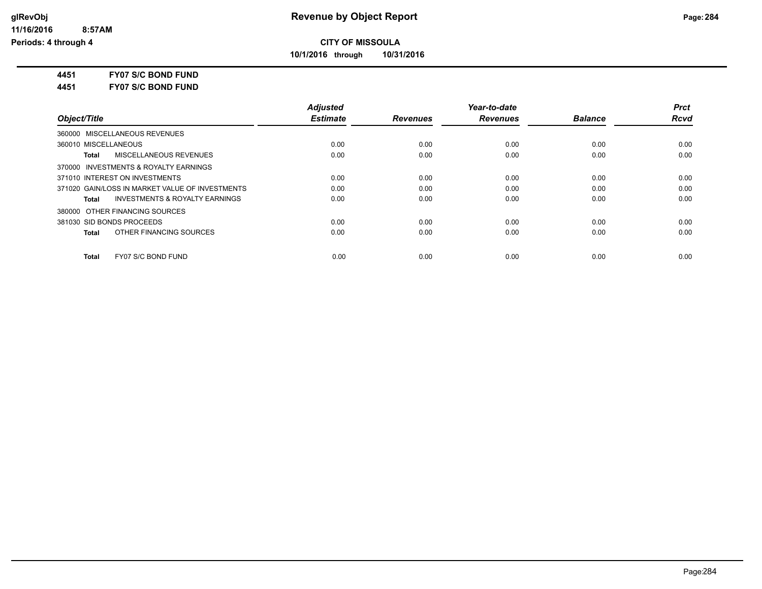**10/1/2016 through 10/31/2016**

**4451 FY07 S/C BOND FUND**

**4451 FY07 S/C BOND FUND**

|                                                    | <b>Adjusted</b> |                 | Year-to-date    |                | <b>Prct</b> |
|----------------------------------------------------|-----------------|-----------------|-----------------|----------------|-------------|
| Object/Title                                       | <b>Estimate</b> | <b>Revenues</b> | <b>Revenues</b> | <b>Balance</b> | <b>Rcvd</b> |
| 360000 MISCELLANEOUS REVENUES                      |                 |                 |                 |                |             |
| 360010 MISCELLANEOUS                               | 0.00            | 0.00            | 0.00            | 0.00           | 0.00        |
| MISCELLANEOUS REVENUES<br>Total                    | 0.00            | 0.00            | 0.00            | 0.00           | 0.00        |
| 370000 INVESTMENTS & ROYALTY EARNINGS              |                 |                 |                 |                |             |
| 371010 INTEREST ON INVESTMENTS                     | 0.00            | 0.00            | 0.00            | 0.00           | 0.00        |
| 371020 GAIN/LOSS IN MARKET VALUE OF INVESTMENTS    | 0.00            | 0.00            | 0.00            | 0.00           | 0.00        |
| <b>INVESTMENTS &amp; ROYALTY EARNINGS</b><br>Total | 0.00            | 0.00            | 0.00            | 0.00           | 0.00        |
| 380000 OTHER FINANCING SOURCES                     |                 |                 |                 |                |             |
| 381030 SID BONDS PROCEEDS                          | 0.00            | 0.00            | 0.00            | 0.00           | 0.00        |
| OTHER FINANCING SOURCES<br><b>Total</b>            | 0.00            | 0.00            | 0.00            | 0.00           | 0.00        |
| FY07 S/C BOND FUND<br><b>Total</b>                 | 0.00            | 0.00            | 0.00            | 0.00           | 0.00        |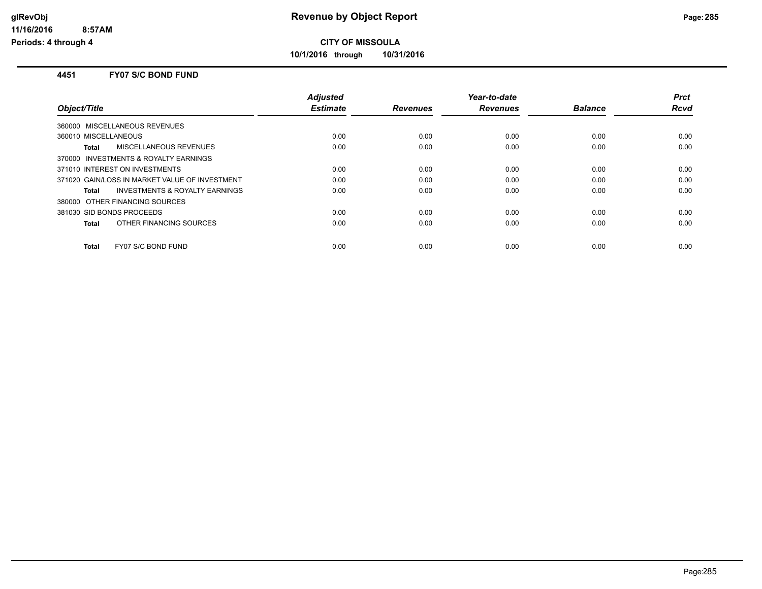**Periods: 4 through 4**

**CITY OF MISSOULA**

**10/1/2016 through 10/31/2016**

#### **4451 FY07 S/C BOND FUND**

| Object/Title                                              | <b>Adjusted</b><br><b>Estimate</b> | <b>Revenues</b> | Year-to-date<br><b>Revenues</b> | <b>Balance</b> | <b>Prct</b><br><b>Rcvd</b> |
|-----------------------------------------------------------|------------------------------------|-----------------|---------------------------------|----------------|----------------------------|
| 360000 MISCELLANEOUS REVENUES                             |                                    |                 |                                 |                |                            |
| 360010 MISCELLANEOUS                                      | 0.00                               | 0.00            | 0.00                            | 0.00           | 0.00                       |
| MISCELLANEOUS REVENUES<br><b>Total</b>                    | 0.00                               | 0.00            | 0.00                            | 0.00           | 0.00                       |
| 370000 INVESTMENTS & ROYALTY EARNINGS                     |                                    |                 |                                 |                |                            |
| 371010 INTEREST ON INVESTMENTS                            | 0.00                               | 0.00            | 0.00                            | 0.00           | 0.00                       |
| 371020 GAIN/LOSS IN MARKET VALUE OF INVESTMENT            | 0.00                               | 0.00            | 0.00                            | 0.00           | 0.00                       |
| <b>INVESTMENTS &amp; ROYALTY EARNINGS</b><br><b>Total</b> | 0.00                               | 0.00            | 0.00                            | 0.00           | 0.00                       |
| 380000 OTHER FINANCING SOURCES                            |                                    |                 |                                 |                |                            |
| 381030 SID BONDS PROCEEDS                                 | 0.00                               | 0.00            | 0.00                            | 0.00           | 0.00                       |
| OTHER FINANCING SOURCES<br><b>Total</b>                   | 0.00                               | 0.00            | 0.00                            | 0.00           | 0.00                       |
| FY07 S/C BOND FUND<br><b>Total</b>                        | 0.00                               | 0.00            | 0.00                            | 0.00           | 0.00                       |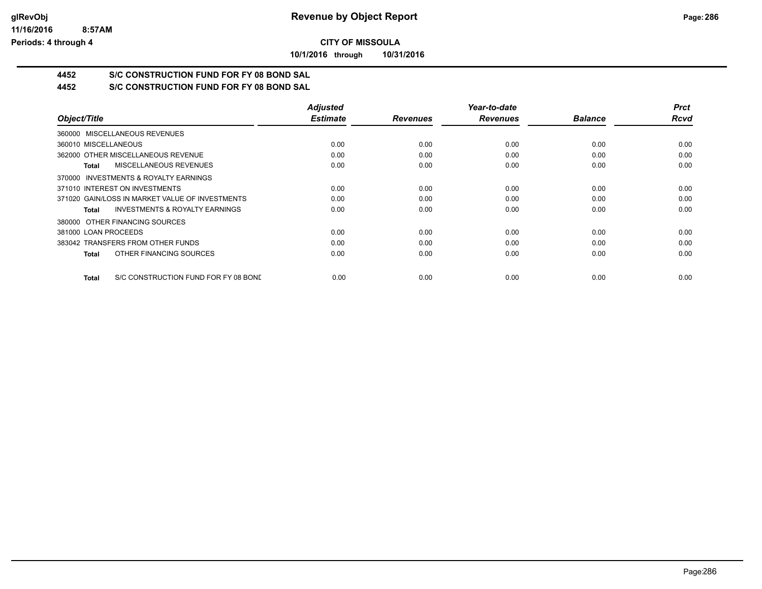**10/1/2016 through 10/31/2016**

# **4452 S/C CONSTRUCTION FUND FOR FY 08 BOND SAL**

# **4452 S/C CONSTRUCTION FUND FOR FY 08 BOND SAL**

|                                                      | <b>Adjusted</b> |                 | Year-to-date    |                | <b>Prct</b> |
|------------------------------------------------------|-----------------|-----------------|-----------------|----------------|-------------|
| Object/Title                                         | <b>Estimate</b> | <b>Revenues</b> | <b>Revenues</b> | <b>Balance</b> | <b>Rcvd</b> |
| 360000 MISCELLANEOUS REVENUES                        |                 |                 |                 |                |             |
| 360010 MISCELLANEOUS                                 | 0.00            | 0.00            | 0.00            | 0.00           | 0.00        |
| 362000 OTHER MISCELLANEOUS REVENUE                   | 0.00            | 0.00            | 0.00            | 0.00           | 0.00        |
| MISCELLANEOUS REVENUES<br><b>Total</b>               | 0.00            | 0.00            | 0.00            | 0.00           | 0.00        |
| INVESTMENTS & ROYALTY EARNINGS<br>370000             |                 |                 |                 |                |             |
| 371010 INTEREST ON INVESTMENTS                       | 0.00            | 0.00            | 0.00            | 0.00           | 0.00        |
| 371020 GAIN/LOSS IN MARKET VALUE OF INVESTMENTS      | 0.00            | 0.00            | 0.00            | 0.00           | 0.00        |
| <b>INVESTMENTS &amp; ROYALTY EARNINGS</b><br>Total   | 0.00            | 0.00            | 0.00            | 0.00           | 0.00        |
| 380000 OTHER FINANCING SOURCES                       |                 |                 |                 |                |             |
| 381000 LOAN PROCEEDS                                 | 0.00            | 0.00            | 0.00            | 0.00           | 0.00        |
| 383042 TRANSFERS FROM OTHER FUNDS                    | 0.00            | 0.00            | 0.00            | 0.00           | 0.00        |
| OTHER FINANCING SOURCES<br>Total                     | 0.00            | 0.00            | 0.00            | 0.00           | 0.00        |
| S/C CONSTRUCTION FUND FOR FY 08 BONE<br><b>Total</b> | 0.00            | 0.00            | 0.00            | 0.00           | 0.00        |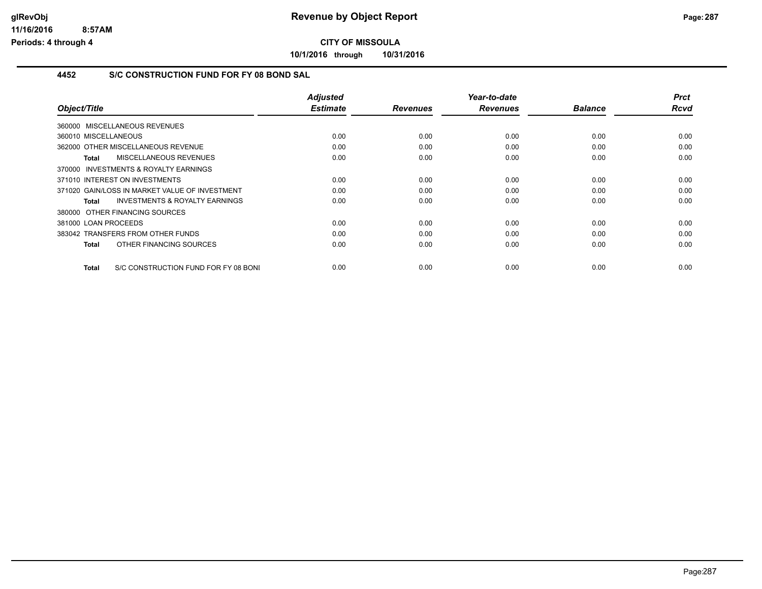**10/1/2016 through 10/31/2016**

## **4452 S/C CONSTRUCTION FUND FOR FY 08 BOND SAL**

| Object/Title                                         | <b>Adjusted</b><br><b>Estimate</b> | <b>Revenues</b> | Year-to-date<br><b>Revenues</b> | <b>Balance</b> | <b>Prct</b><br><b>Rcvd</b> |
|------------------------------------------------------|------------------------------------|-----------------|---------------------------------|----------------|----------------------------|
|                                                      |                                    |                 |                                 |                |                            |
| 360000 MISCELLANEOUS REVENUES                        |                                    |                 |                                 |                |                            |
| 360010 MISCELLANEOUS                                 | 0.00                               | 0.00            | 0.00                            | 0.00           | 0.00                       |
| 362000 OTHER MISCELLANEOUS REVENUE                   | 0.00                               | 0.00            | 0.00                            | 0.00           | 0.00                       |
| MISCELLANEOUS REVENUES<br>Total                      | 0.00                               | 0.00            | 0.00                            | 0.00           | 0.00                       |
| 370000 INVESTMENTS & ROYALTY EARNINGS                |                                    |                 |                                 |                |                            |
| 371010 INTEREST ON INVESTMENTS                       | 0.00                               | 0.00            | 0.00                            | 0.00           | 0.00                       |
| 371020 GAIN/LOSS IN MARKET VALUE OF INVESTMENT       | 0.00                               | 0.00            | 0.00                            | 0.00           | 0.00                       |
| <b>INVESTMENTS &amp; ROYALTY EARNINGS</b><br>Total   | 0.00                               | 0.00            | 0.00                            | 0.00           | 0.00                       |
| 380000 OTHER FINANCING SOURCES                       |                                    |                 |                                 |                |                            |
| 381000 LOAN PROCEEDS                                 | 0.00                               | 0.00            | 0.00                            | 0.00           | 0.00                       |
| 383042 TRANSFERS FROM OTHER FUNDS                    | 0.00                               | 0.00            | 0.00                            | 0.00           | 0.00                       |
| OTHER FINANCING SOURCES<br>Total                     | 0.00                               | 0.00            | 0.00                            | 0.00           | 0.00                       |
|                                                      |                                    |                 |                                 |                |                            |
| S/C CONSTRUCTION FUND FOR FY 08 BONI<br><b>Total</b> | 0.00                               | 0.00            | 0.00                            | 0.00           | 0.00                       |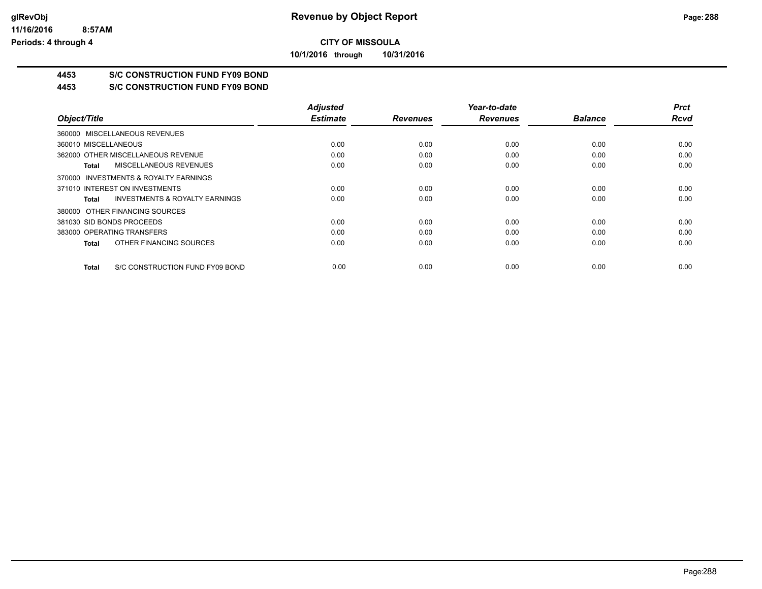**10/1/2016 through 10/31/2016**

# **4453 S/C CONSTRUCTION FUND FY09 BOND**

# **4453 S/C CONSTRUCTION FUND FY09 BOND**

|                                                           | <b>Adjusted</b> |                 | Year-to-date    |                | <b>Prct</b> |
|-----------------------------------------------------------|-----------------|-----------------|-----------------|----------------|-------------|
| Object/Title                                              | <b>Estimate</b> | <b>Revenues</b> | <b>Revenues</b> | <b>Balance</b> | <b>Rcvd</b> |
| 360000 MISCELLANEOUS REVENUES                             |                 |                 |                 |                |             |
| 360010 MISCELLANEOUS                                      | 0.00            | 0.00            | 0.00            | 0.00           | 0.00        |
| 362000 OTHER MISCELLANEOUS REVENUE                        | 0.00            | 0.00            | 0.00            | 0.00           | 0.00        |
| <b>MISCELLANEOUS REVENUES</b><br>Total                    | 0.00            | 0.00            | 0.00            | 0.00           | 0.00        |
| 370000 INVESTMENTS & ROYALTY EARNINGS                     |                 |                 |                 |                |             |
| 371010 INTEREST ON INVESTMENTS                            | 0.00            | 0.00            | 0.00            | 0.00           | 0.00        |
| <b>INVESTMENTS &amp; ROYALTY EARNINGS</b><br><b>Total</b> | 0.00            | 0.00            | 0.00            | 0.00           | 0.00        |
| 380000 OTHER FINANCING SOURCES                            |                 |                 |                 |                |             |
| 381030 SID BONDS PROCEEDS                                 | 0.00            | 0.00            | 0.00            | 0.00           | 0.00        |
| 383000 OPERATING TRANSFERS                                | 0.00            | 0.00            | 0.00            | 0.00           | 0.00        |
| OTHER FINANCING SOURCES<br><b>Total</b>                   | 0.00            | 0.00            | 0.00            | 0.00           | 0.00        |
| S/C CONSTRUCTION FUND FY09 BOND<br><b>Total</b>           | 0.00            | 0.00            | 0.00            | 0.00           | 0.00        |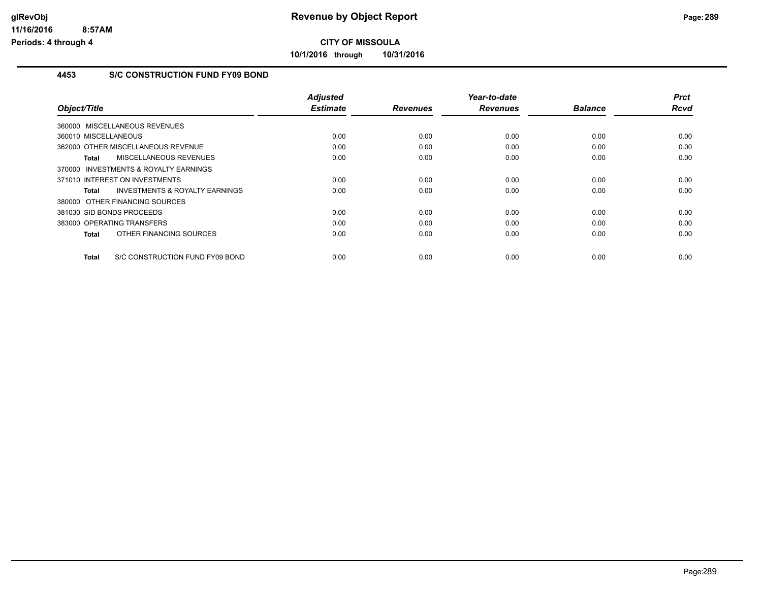**10/1/2016 through 10/31/2016**

#### **4453 S/C CONSTRUCTION FUND FY09 BOND**

| Object/Title                                       | <b>Adjusted</b><br><b>Estimate</b> | <b>Revenues</b> | Year-to-date<br><b>Revenues</b> | <b>Balance</b> | <b>Prct</b><br>Rcvd |
|----------------------------------------------------|------------------------------------|-----------------|---------------------------------|----------------|---------------------|
| 360000 MISCELLANEOUS REVENUES                      |                                    |                 |                                 |                |                     |
| 360010 MISCELLANEOUS                               | 0.00                               | 0.00            | 0.00                            | 0.00           | 0.00                |
| 362000 OTHER MISCELLANEOUS REVENUE                 | 0.00                               | 0.00            | 0.00                            | 0.00           | 0.00                |
| MISCELLANEOUS REVENUES<br>Total                    | 0.00                               | 0.00            | 0.00                            | 0.00           | 0.00                |
| 370000 INVESTMENTS & ROYALTY EARNINGS              |                                    |                 |                                 |                |                     |
| 371010 INTEREST ON INVESTMENTS                     | 0.00                               | 0.00            | 0.00                            | 0.00           | 0.00                |
| <b>INVESTMENTS &amp; ROYALTY EARNINGS</b><br>Total | 0.00                               | 0.00            | 0.00                            | 0.00           | 0.00                |
| 380000 OTHER FINANCING SOURCES                     |                                    |                 |                                 |                |                     |
| 381030 SID BONDS PROCEEDS                          | 0.00                               | 0.00            | 0.00                            | 0.00           | 0.00                |
| 383000 OPERATING TRANSFERS                         | 0.00                               | 0.00            | 0.00                            | 0.00           | 0.00                |
| OTHER FINANCING SOURCES<br>Total                   | 0.00                               | 0.00            | 0.00                            | 0.00           | 0.00                |
| S/C CONSTRUCTION FUND FY09 BOND<br>Total           | 0.00                               | 0.00            | 0.00                            | 0.00           | 0.00                |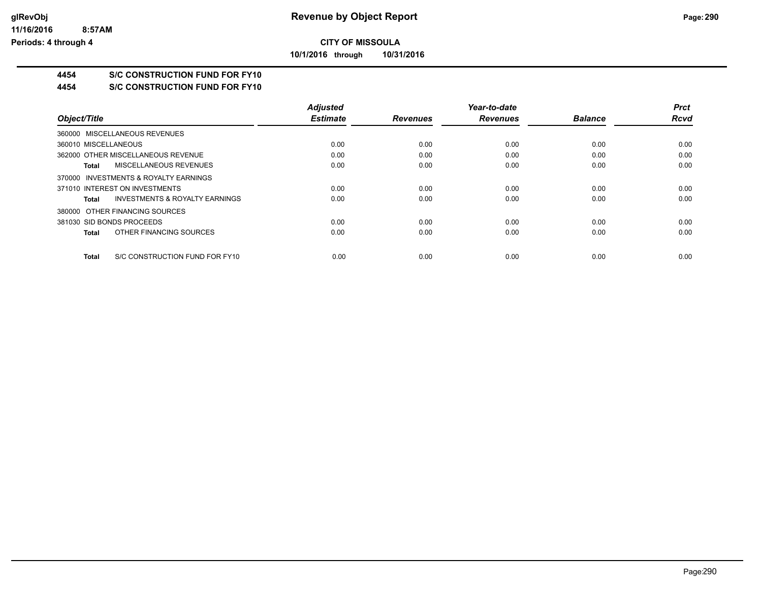**10/1/2016 through 10/31/2016**

## **4454 S/C CONSTRUCTION FUND FOR FY10**

**4454 S/C CONSTRUCTION FUND FOR FY10**

|                                                    | <b>Adjusted</b> |                 | Year-to-date    |                | <b>Prct</b> |
|----------------------------------------------------|-----------------|-----------------|-----------------|----------------|-------------|
| Object/Title                                       | <b>Estimate</b> | <b>Revenues</b> | <b>Revenues</b> | <b>Balance</b> | Rcvd        |
| 360000 MISCELLANEOUS REVENUES                      |                 |                 |                 |                |             |
| 360010 MISCELLANEOUS                               | 0.00            | 0.00            | 0.00            | 0.00           | 0.00        |
| 362000 OTHER MISCELLANEOUS REVENUE                 | 0.00            | 0.00            | 0.00            | 0.00           | 0.00        |
| <b>MISCELLANEOUS REVENUES</b><br>Total             | 0.00            | 0.00            | 0.00            | 0.00           | 0.00        |
| 370000 INVESTMENTS & ROYALTY EARNINGS              |                 |                 |                 |                |             |
| 371010 INTEREST ON INVESTMENTS                     | 0.00            | 0.00            | 0.00            | 0.00           | 0.00        |
| <b>INVESTMENTS &amp; ROYALTY EARNINGS</b><br>Total | 0.00            | 0.00            | 0.00            | 0.00           | 0.00        |
| 380000 OTHER FINANCING SOURCES                     |                 |                 |                 |                |             |
| 381030 SID BONDS PROCEEDS                          | 0.00            | 0.00            | 0.00            | 0.00           | 0.00        |
| OTHER FINANCING SOURCES<br>Total                   | 0.00            | 0.00            | 0.00            | 0.00           | 0.00        |
| S/C CONSTRUCTION FUND FOR FY10<br><b>Total</b>     | 0.00            | 0.00            | 0.00            | 0.00           | 0.00        |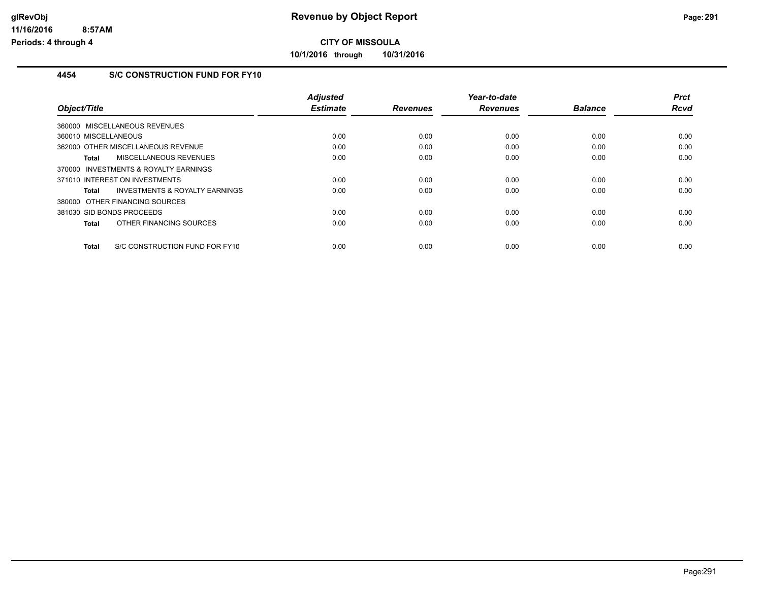**10/1/2016 through 10/31/2016**

## **4454 S/C CONSTRUCTION FUND FOR FY10**

|                                                    | <b>Adjusted</b> |                 | Year-to-date    |                | <b>Prct</b> |
|----------------------------------------------------|-----------------|-----------------|-----------------|----------------|-------------|
| Object/Title                                       | <b>Estimate</b> | <b>Revenues</b> | <b>Revenues</b> | <b>Balance</b> | <b>Rcvd</b> |
| 360000 MISCELLANEOUS REVENUES                      |                 |                 |                 |                |             |
| 360010 MISCELLANEOUS                               | 0.00            | 0.00            | 0.00            | 0.00           | 0.00        |
| 362000 OTHER MISCELLANEOUS REVENUE                 | 0.00            | 0.00            | 0.00            | 0.00           | 0.00        |
| <b>MISCELLANEOUS REVENUES</b><br>Total             | 0.00            | 0.00            | 0.00            | 0.00           | 0.00        |
| 370000 INVESTMENTS & ROYALTY EARNINGS              |                 |                 |                 |                |             |
| 371010 INTEREST ON INVESTMENTS                     | 0.00            | 0.00            | 0.00            | 0.00           | 0.00        |
| <b>INVESTMENTS &amp; ROYALTY EARNINGS</b><br>Total | 0.00            | 0.00            | 0.00            | 0.00           | 0.00        |
| 380000 OTHER FINANCING SOURCES                     |                 |                 |                 |                |             |
| 381030 SID BONDS PROCEEDS                          | 0.00            | 0.00            | 0.00            | 0.00           | 0.00        |
| OTHER FINANCING SOURCES<br>Total                   | 0.00            | 0.00            | 0.00            | 0.00           | 0.00        |
| S/C CONSTRUCTION FUND FOR FY10<br><b>Total</b>     | 0.00            | 0.00            | 0.00            | 0.00           | 0.00        |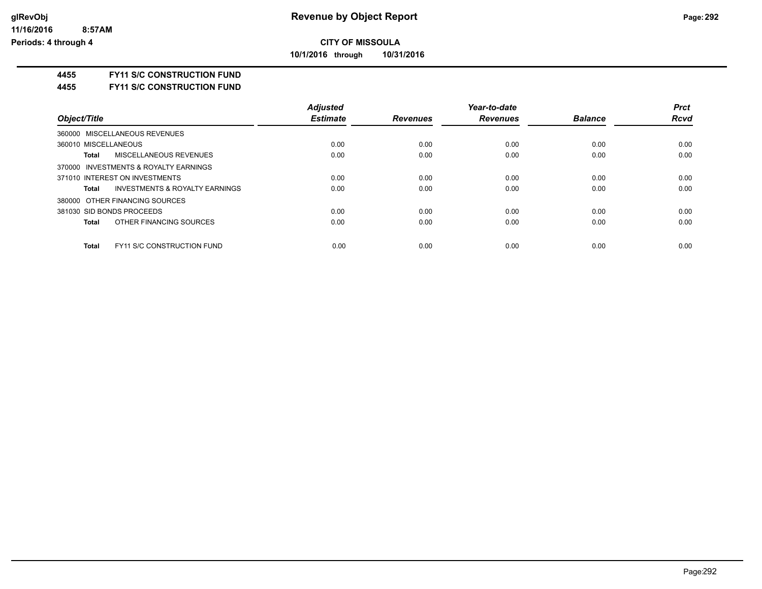**10/1/2016 through 10/31/2016**

## **4455 FY11 S/C CONSTRUCTION FUND**

#### **4455 FY11 S/C CONSTRUCTION FUND**

|                                                    | <b>Adjusted</b> |                 | Year-to-date    |                | <b>Prct</b> |
|----------------------------------------------------|-----------------|-----------------|-----------------|----------------|-------------|
| Object/Title                                       | <b>Estimate</b> | <b>Revenues</b> | <b>Revenues</b> | <b>Balance</b> | <b>Rcvd</b> |
| 360000 MISCELLANEOUS REVENUES                      |                 |                 |                 |                |             |
| 360010 MISCELLANEOUS                               | 0.00            | 0.00            | 0.00            | 0.00           | 0.00        |
| <b>MISCELLANEOUS REVENUES</b><br>Total             | 0.00            | 0.00            | 0.00            | 0.00           | 0.00        |
| 370000 INVESTMENTS & ROYALTY EARNINGS              |                 |                 |                 |                |             |
| 371010 INTEREST ON INVESTMENTS                     | 0.00            | 0.00            | 0.00            | 0.00           | 0.00        |
| <b>INVESTMENTS &amp; ROYALTY EARNINGS</b><br>Total | 0.00            | 0.00            | 0.00            | 0.00           | 0.00        |
| 380000 OTHER FINANCING SOURCES                     |                 |                 |                 |                |             |
| 381030 SID BONDS PROCEEDS                          | 0.00            | 0.00            | 0.00            | 0.00           | 0.00        |
| OTHER FINANCING SOURCES<br><b>Total</b>            | 0.00            | 0.00            | 0.00            | 0.00           | 0.00        |
| <b>FY11 S/C CONSTRUCTION FUND</b><br><b>Total</b>  | 0.00            | 0.00            | 0.00            | 0.00           | 0.00        |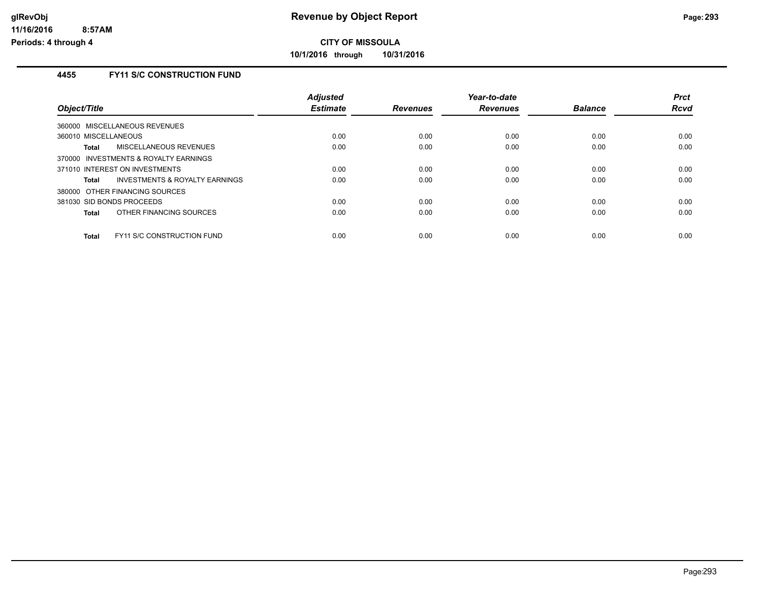**Periods: 4 through 4**

**CITY OF MISSOULA**

**10/1/2016 through 10/31/2016**

## **4455 FY11 S/C CONSTRUCTION FUND**

| Object/Title                               | <b>Adjusted</b><br><b>Estimate</b> | <b>Revenues</b> | Year-to-date<br><b>Revenues</b> | <b>Balance</b> | <b>Prct</b><br><b>Rcvd</b> |
|--------------------------------------------|------------------------------------|-----------------|---------------------------------|----------------|----------------------------|
|                                            |                                    |                 |                                 |                |                            |
| 360000 MISCELLANEOUS REVENUES              |                                    |                 |                                 |                |                            |
| 360010 MISCELLANEOUS                       | 0.00                               | 0.00            | 0.00                            | 0.00           | 0.00                       |
| MISCELLANEOUS REVENUES<br>Total            | 0.00                               | 0.00            | 0.00                            | 0.00           | 0.00                       |
| 370000 INVESTMENTS & ROYALTY EARNINGS      |                                    |                 |                                 |                |                            |
| 371010 INTEREST ON INVESTMENTS             | 0.00                               | 0.00            | 0.00                            | 0.00           | 0.00                       |
| INVESTMENTS & ROYALTY EARNINGS<br>Total    | 0.00                               | 0.00            | 0.00                            | 0.00           | 0.00                       |
| 380000 OTHER FINANCING SOURCES             |                                    |                 |                                 |                |                            |
| 381030 SID BONDS PROCEEDS                  | 0.00                               | 0.00            | 0.00                            | 0.00           | 0.00                       |
| OTHER FINANCING SOURCES<br>Total           | 0.00                               | 0.00            | 0.00                            | 0.00           | 0.00                       |
| <b>FY11 S/C CONSTRUCTION FUND</b><br>Total | 0.00                               | 0.00            | 0.00                            | 0.00           | 0.00                       |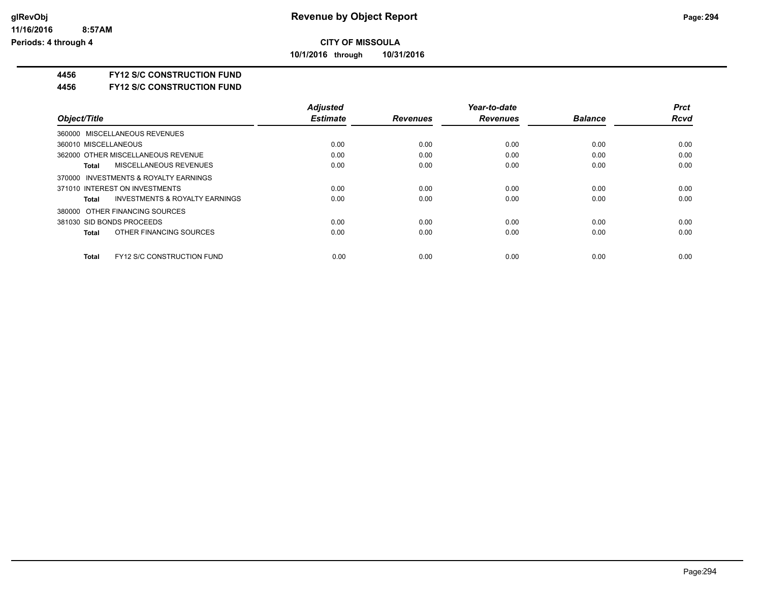**10/1/2016 through 10/31/2016**

## **4456 FY12 S/C CONSTRUCTION FUND**

#### **4456 FY12 S/C CONSTRUCTION FUND**

|                                                    | <b>Adjusted</b> |                 | Year-to-date    |                | <b>Prct</b> |
|----------------------------------------------------|-----------------|-----------------|-----------------|----------------|-------------|
| Object/Title                                       | <b>Estimate</b> | <b>Revenues</b> | <b>Revenues</b> | <b>Balance</b> | <b>Rcvd</b> |
| 360000 MISCELLANEOUS REVENUES                      |                 |                 |                 |                |             |
| 360010 MISCELLANEOUS                               | 0.00            | 0.00            | 0.00            | 0.00           | 0.00        |
| 362000 OTHER MISCELLANEOUS REVENUE                 | 0.00            | 0.00            | 0.00            | 0.00           | 0.00        |
| <b>MISCELLANEOUS REVENUES</b><br>Total             | 0.00            | 0.00            | 0.00            | 0.00           | 0.00        |
| 370000 INVESTMENTS & ROYALTY EARNINGS              |                 |                 |                 |                |             |
| 371010 INTEREST ON INVESTMENTS                     | 0.00            | 0.00            | 0.00            | 0.00           | 0.00        |
| <b>INVESTMENTS &amp; ROYALTY EARNINGS</b><br>Total | 0.00            | 0.00            | 0.00            | 0.00           | 0.00        |
| 380000 OTHER FINANCING SOURCES                     |                 |                 |                 |                |             |
| 381030 SID BONDS PROCEEDS                          | 0.00            | 0.00            | 0.00            | 0.00           | 0.00        |
| OTHER FINANCING SOURCES<br>Total                   | 0.00            | 0.00            | 0.00            | 0.00           | 0.00        |
| FY12 S/C CONSTRUCTION FUND<br>Total                | 0.00            | 0.00            | 0.00            | 0.00           | 0.00        |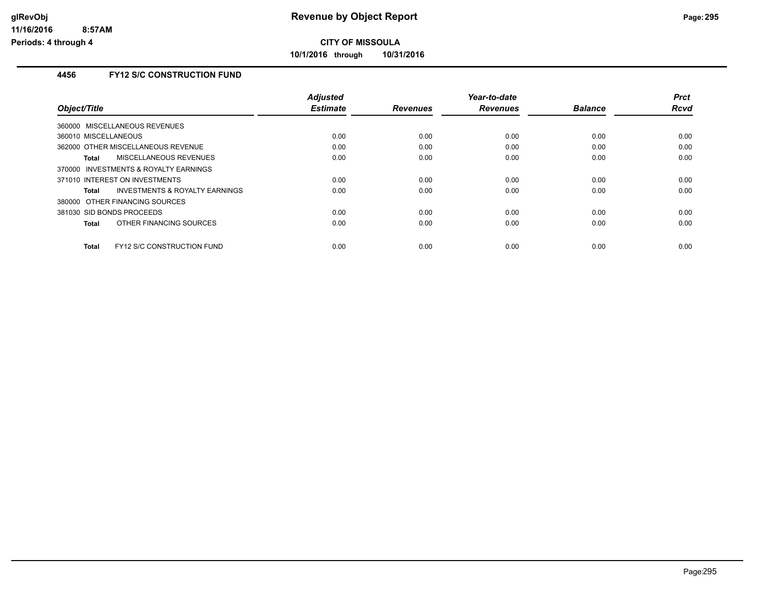**10/1/2016 through 10/31/2016**

## **4456 FY12 S/C CONSTRUCTION FUND**

| Object/Title                                       | <b>Adjusted</b><br><b>Estimate</b> | <b>Revenues</b> | Year-to-date<br><b>Revenues</b> | <b>Balance</b> | <b>Prct</b><br><b>Rcvd</b> |
|----------------------------------------------------|------------------------------------|-----------------|---------------------------------|----------------|----------------------------|
|                                                    |                                    |                 |                                 |                |                            |
| 360000 MISCELLANEOUS REVENUES                      |                                    |                 |                                 |                |                            |
| 360010 MISCELLANEOUS                               | 0.00                               | 0.00            | 0.00                            | 0.00           | 0.00                       |
| 362000 OTHER MISCELLANEOUS REVENUE                 | 0.00                               | 0.00            | 0.00                            | 0.00           | 0.00                       |
| MISCELLANEOUS REVENUES<br>Total                    | 0.00                               | 0.00            | 0.00                            | 0.00           | 0.00                       |
| 370000 INVESTMENTS & ROYALTY EARNINGS              |                                    |                 |                                 |                |                            |
| 371010 INTEREST ON INVESTMENTS                     | 0.00                               | 0.00            | 0.00                            | 0.00           | 0.00                       |
| <b>INVESTMENTS &amp; ROYALTY EARNINGS</b><br>Total | 0.00                               | 0.00            | 0.00                            | 0.00           | 0.00                       |
| 380000 OTHER FINANCING SOURCES                     |                                    |                 |                                 |                |                            |
| 381030 SID BONDS PROCEEDS                          | 0.00                               | 0.00            | 0.00                            | 0.00           | 0.00                       |
| OTHER FINANCING SOURCES<br>Total                   | 0.00                               | 0.00            | 0.00                            | 0.00           | 0.00                       |
| <b>FY12 S/C CONSTRUCTION FUND</b><br>Total         | 0.00                               | 0.00            | 0.00                            | 0.00           | 0.00                       |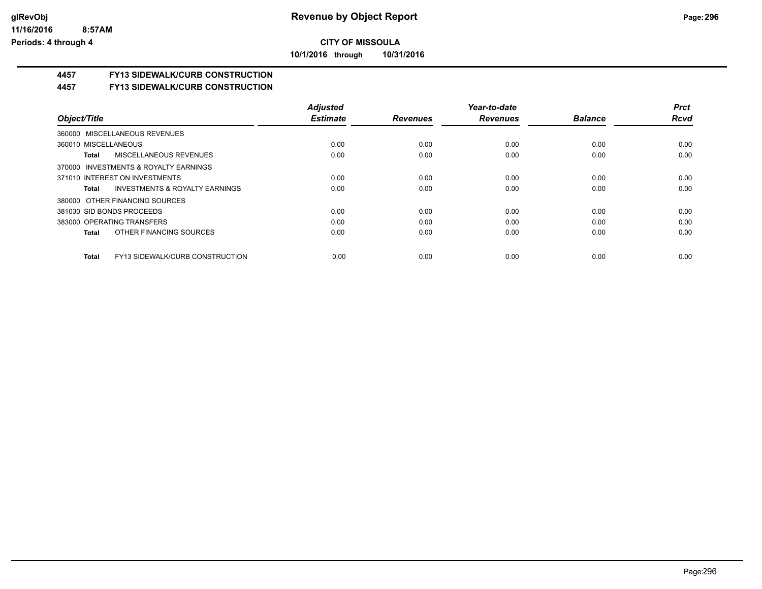**11/16/2016 8:57AM Periods: 4 through 4**

## **CITY OF MISSOULA**

**10/1/2016 through 10/31/2016**

## **4457 FY13 SIDEWALK/CURB CONSTRUCTION**

### **4457 FY13 SIDEWALK/CURB CONSTRUCTION**

|                                                    | <b>Adjusted</b> |                 | Year-to-date    |                | <b>Prct</b> |
|----------------------------------------------------|-----------------|-----------------|-----------------|----------------|-------------|
| Object/Title                                       | <b>Estimate</b> | <b>Revenues</b> | <b>Revenues</b> | <b>Balance</b> | <b>Rcvd</b> |
| 360000 MISCELLANEOUS REVENUES                      |                 |                 |                 |                |             |
| 360010 MISCELLANEOUS                               | 0.00            | 0.00            | 0.00            | 0.00           | 0.00        |
| MISCELLANEOUS REVENUES<br>Total                    | 0.00            | 0.00            | 0.00            | 0.00           | 0.00        |
| 370000 INVESTMENTS & ROYALTY EARNINGS              |                 |                 |                 |                |             |
| 371010 INTEREST ON INVESTMENTS                     | 0.00            | 0.00            | 0.00            | 0.00           | 0.00        |
| <b>INVESTMENTS &amp; ROYALTY EARNINGS</b><br>Total | 0.00            | 0.00            | 0.00            | 0.00           | 0.00        |
| 380000 OTHER FINANCING SOURCES                     |                 |                 |                 |                |             |
| 381030 SID BONDS PROCEEDS                          | 0.00            | 0.00            | 0.00            | 0.00           | 0.00        |
| 383000 OPERATING TRANSFERS                         | 0.00            | 0.00            | 0.00            | 0.00           | 0.00        |
| OTHER FINANCING SOURCES<br>Total                   | 0.00            | 0.00            | 0.00            | 0.00           | 0.00        |
| <b>FY13 SIDEWALK/CURB CONSTRUCTION</b><br>Total    | 0.00            | 0.00            | 0.00            | 0.00           | 0.00        |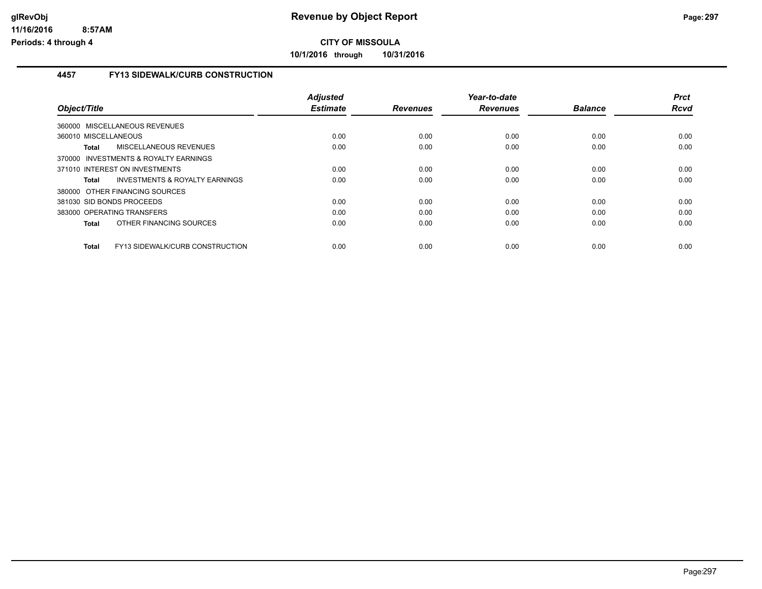**Periods: 4 through 4**

**CITY OF MISSOULA**

**10/1/2016 through 10/31/2016**

### **4457 FY13 SIDEWALK/CURB CONSTRUCTION**

|                                                        | <b>Adjusted</b> |                 | Year-to-date    |                | <b>Prct</b> |
|--------------------------------------------------------|-----------------|-----------------|-----------------|----------------|-------------|
| Object/Title                                           | <b>Estimate</b> | <b>Revenues</b> | <b>Revenues</b> | <b>Balance</b> | <b>Rcvd</b> |
| 360000 MISCELLANEOUS REVENUES                          |                 |                 |                 |                |             |
| 360010 MISCELLANEOUS                                   | 0.00            | 0.00            | 0.00            | 0.00           | 0.00        |
| MISCELLANEOUS REVENUES<br>Total                        | 0.00            | 0.00            | 0.00            | 0.00           | 0.00        |
| 370000 INVESTMENTS & ROYALTY EARNINGS                  |                 |                 |                 |                |             |
| 371010 INTEREST ON INVESTMENTS                         | 0.00            | 0.00            | 0.00            | 0.00           | 0.00        |
| INVESTMENTS & ROYALTY EARNINGS<br>Total                | 0.00            | 0.00            | 0.00            | 0.00           | 0.00        |
| 380000 OTHER FINANCING SOURCES                         |                 |                 |                 |                |             |
| 381030 SID BONDS PROCEEDS                              | 0.00            | 0.00            | 0.00            | 0.00           | 0.00        |
| 383000 OPERATING TRANSFERS                             | 0.00            | 0.00            | 0.00            | 0.00           | 0.00        |
| OTHER FINANCING SOURCES<br>Total                       | 0.00            | 0.00            | 0.00            | 0.00           | 0.00        |
| <b>Total</b><br><b>FY13 SIDEWALK/CURB CONSTRUCTION</b> | 0.00            | 0.00            | 0.00            | 0.00           | 0.00        |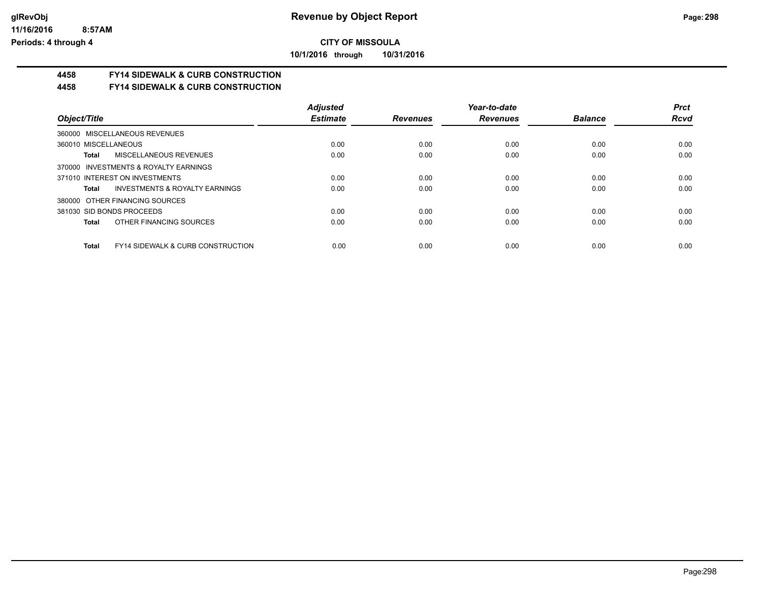**11/16/2016 8:57AM Periods: 4 through 4**

#### **CITY OF MISSOULA**

**10/1/2016 through 10/31/2016**

# **4458 FY14 SIDEWALK & CURB CONSTRUCTION**

## **4458 FY14 SIDEWALK & CURB CONSTRUCTION**

|                                                              | <b>Adjusted</b> |                 | Year-to-date    |                | <b>Prct</b> |
|--------------------------------------------------------------|-----------------|-----------------|-----------------|----------------|-------------|
| Object/Title                                                 | <b>Estimate</b> | <b>Revenues</b> | <b>Revenues</b> | <b>Balance</b> | <b>Rcvd</b> |
| 360000 MISCELLANEOUS REVENUES                                |                 |                 |                 |                |             |
| 360010 MISCELLANEOUS                                         | 0.00            | 0.00            | 0.00            | 0.00           | 0.00        |
| MISCELLANEOUS REVENUES<br>Total                              | 0.00            | 0.00            | 0.00            | 0.00           | 0.00        |
| 370000 INVESTMENTS & ROYALTY EARNINGS                        |                 |                 |                 |                |             |
| 371010 INTEREST ON INVESTMENTS                               | 0.00            | 0.00            | 0.00            | 0.00           | 0.00        |
| <b>INVESTMENTS &amp; ROYALTY EARNINGS</b><br>Total           | 0.00            | 0.00            | 0.00            | 0.00           | 0.00        |
| 380000 OTHER FINANCING SOURCES                               |                 |                 |                 |                |             |
| 381030 SID BONDS PROCEEDS                                    | 0.00            | 0.00            | 0.00            | 0.00           | 0.00        |
| OTHER FINANCING SOURCES<br><b>Total</b>                      | 0.00            | 0.00            | 0.00            | 0.00           | 0.00        |
| <b>FY14 SIDEWALK &amp; CURB CONSTRUCTION</b><br><b>Total</b> | 0.00            | 0.00            | 0.00            | 0.00           | 0.00        |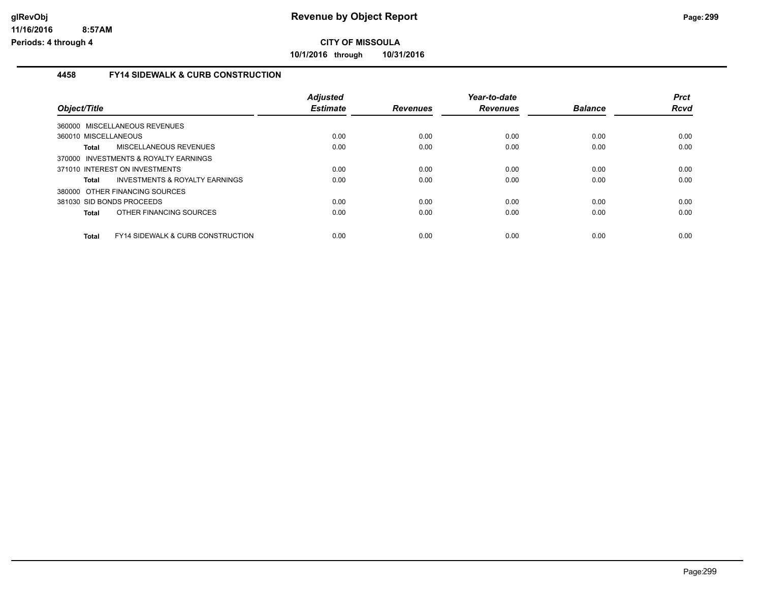**Periods: 4 through 4**

 **8:57AM**

**CITY OF MISSOULA**

**10/1/2016 through 10/31/2016**

#### **4458 FY14 SIDEWALK & CURB CONSTRUCTION**

| Object/Title                                                 | <b>Adjusted</b><br><b>Estimate</b> | <b>Revenues</b> | Year-to-date<br><b>Revenues</b> | <b>Balance</b> | <b>Prct</b><br><b>Rcvd</b> |
|--------------------------------------------------------------|------------------------------------|-----------------|---------------------------------|----------------|----------------------------|
| 360000 MISCELLANEOUS REVENUES                                |                                    |                 |                                 |                |                            |
| 360010 MISCELLANEOUS                                         | 0.00                               | 0.00            | 0.00                            | 0.00           | 0.00                       |
| MISCELLANEOUS REVENUES<br>Total                              | 0.00                               | 0.00            | 0.00                            | 0.00           | 0.00                       |
| INVESTMENTS & ROYALTY EARNINGS<br>370000                     |                                    |                 |                                 |                |                            |
| 371010 INTEREST ON INVESTMENTS                               | 0.00                               | 0.00            | 0.00                            | 0.00           | 0.00                       |
| <b>INVESTMENTS &amp; ROYALTY EARNINGS</b><br><b>Total</b>    | 0.00                               | 0.00            | 0.00                            | 0.00           | 0.00                       |
| 380000 OTHER FINANCING SOURCES                               |                                    |                 |                                 |                |                            |
| 381030 SID BONDS PROCEEDS                                    | 0.00                               | 0.00            | 0.00                            | 0.00           | 0.00                       |
| OTHER FINANCING SOURCES<br><b>Total</b>                      | 0.00                               | 0.00            | 0.00                            | 0.00           | 0.00                       |
| <b>FY14 SIDEWALK &amp; CURB CONSTRUCTION</b><br><b>Total</b> | 0.00                               | 0.00            | 0.00                            | 0.00           | 0.00                       |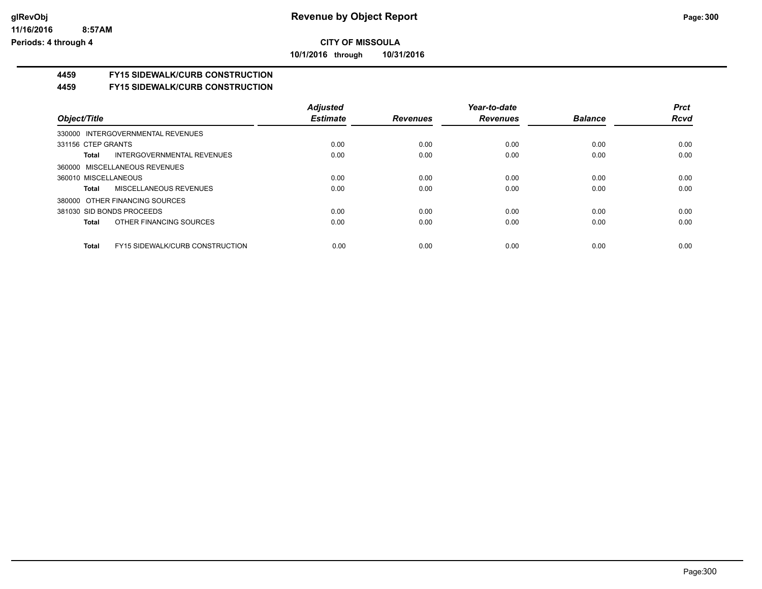**11/16/2016 8:57AM Periods: 4 through 4**

**CITY OF MISSOULA**

**10/1/2016 through 10/31/2016**

# **4459 FY15 SIDEWALK/CURB CONSTRUCTION**

**4459 FY15 SIDEWALK/CURB CONSTRUCTION**

|                                                 | <b>Adjusted</b> |                 | Year-to-date    |                | <b>Prct</b> |
|-------------------------------------------------|-----------------|-----------------|-----------------|----------------|-------------|
| Object/Title                                    | <b>Estimate</b> | <b>Revenues</b> | <b>Revenues</b> | <b>Balance</b> | <b>Rcvd</b> |
| 330000 INTERGOVERNMENTAL REVENUES               |                 |                 |                 |                |             |
| 331156 CTEP GRANTS                              | 0.00            | 0.00            | 0.00            | 0.00           | 0.00        |
| INTERGOVERNMENTAL REVENUES<br>Total             | 0.00            | 0.00            | 0.00            | 0.00           | 0.00        |
| 360000 MISCELLANEOUS REVENUES                   |                 |                 |                 |                |             |
| 360010 MISCELLANEOUS                            | 0.00            | 0.00            | 0.00            | 0.00           | 0.00        |
| <b>MISCELLANEOUS REVENUES</b><br>Total          | 0.00            | 0.00            | 0.00            | 0.00           | 0.00        |
| 380000 OTHER FINANCING SOURCES                  |                 |                 |                 |                |             |
| 381030 SID BONDS PROCEEDS                       | 0.00            | 0.00            | 0.00            | 0.00           | 0.00        |
| OTHER FINANCING SOURCES<br>Total                | 0.00            | 0.00            | 0.00            | 0.00           | 0.00        |
| <b>FY15 SIDEWALK/CURB CONSTRUCTION</b><br>Total | 0.00            | 0.00            | 0.00            | 0.00           | 0.00        |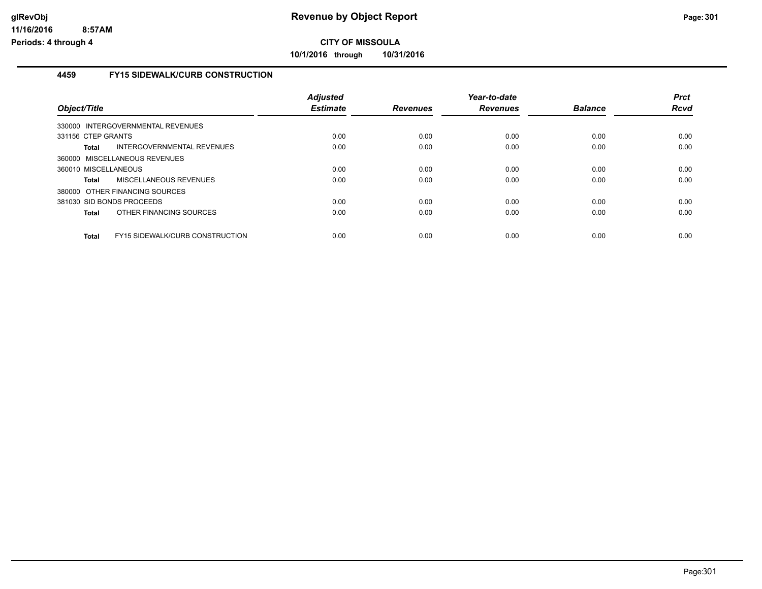**Periods: 4 through 4**

**CITY OF MISSOULA**

**10/1/2016 through 10/31/2016**

#### **4459 FY15 SIDEWALK/CURB CONSTRUCTION**

| Object/Title                      |                                 | <b>Adjusted</b><br><b>Estimate</b> | <b>Revenues</b> | Year-to-date<br><b>Revenues</b> | <b>Balance</b> | <b>Prct</b><br><b>Rcvd</b> |
|-----------------------------------|---------------------------------|------------------------------------|-----------------|---------------------------------|----------------|----------------------------|
| 330000 INTERGOVERNMENTAL REVENUES |                                 |                                    |                 |                                 |                |                            |
| 331156 CTEP GRANTS                |                                 | 0.00                               | 0.00            | 0.00                            | 0.00           | 0.00                       |
| Total                             | INTERGOVERNMENTAL REVENUES      | 0.00                               | 0.00            | 0.00                            | 0.00           | 0.00                       |
| 360000 MISCELLANEOUS REVENUES     |                                 |                                    |                 |                                 |                |                            |
| 360010 MISCELLANEOUS              |                                 | 0.00                               | 0.00            | 0.00                            | 0.00           | 0.00                       |
| Total                             | MISCELLANEOUS REVENUES          | 0.00                               | 0.00            | 0.00                            | 0.00           | 0.00                       |
| 380000 OTHER FINANCING SOURCES    |                                 |                                    |                 |                                 |                |                            |
| 381030 SID BONDS PROCEEDS         |                                 | 0.00                               | 0.00            | 0.00                            | 0.00           | 0.00                       |
| Total                             | OTHER FINANCING SOURCES         | 0.00                               | 0.00            | 0.00                            | 0.00           | 0.00                       |
| <b>Total</b>                      | FY15 SIDEWALK/CURB CONSTRUCTION | 0.00                               | 0.00            | 0.00                            | 0.00           | 0.00                       |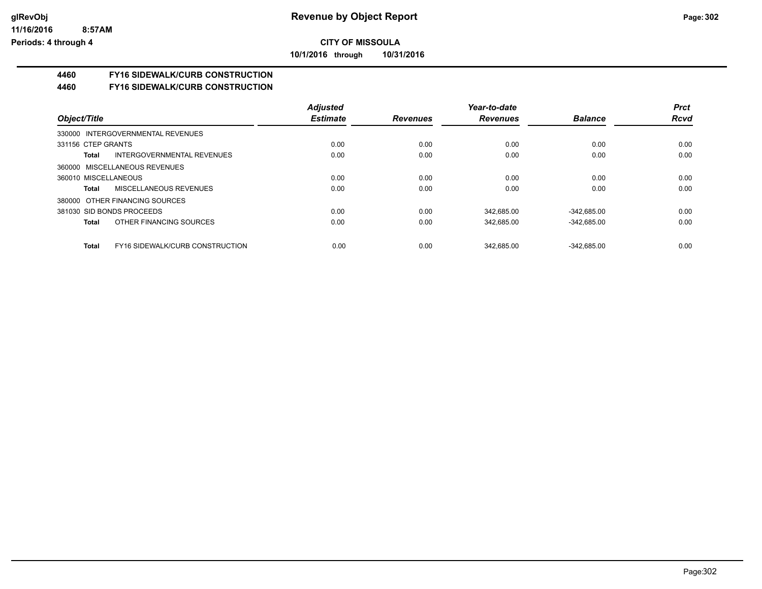**11/16/2016 8:57AM Periods: 4 through 4**

## **CITY OF MISSOULA**

**10/1/2016 through 10/31/2016**

# **4460 FY16 SIDEWALK/CURB CONSTRUCTION**

**4460 FY16 SIDEWALK/CURB CONSTRUCTION**

|                                                 | <b>Adjusted</b> |                 | Year-to-date    |                | <b>Prct</b> |
|-------------------------------------------------|-----------------|-----------------|-----------------|----------------|-------------|
| Object/Title                                    | <b>Estimate</b> | <b>Revenues</b> | <b>Revenues</b> | <b>Balance</b> | <b>Rcvd</b> |
| 330000 INTERGOVERNMENTAL REVENUES               |                 |                 |                 |                |             |
| 331156 CTEP GRANTS                              | 0.00            | 0.00            | 0.00            | 0.00           | 0.00        |
| <b>INTERGOVERNMENTAL REVENUES</b><br>Total      | 0.00            | 0.00            | 0.00            | 0.00           | 0.00        |
| 360000 MISCELLANEOUS REVENUES                   |                 |                 |                 |                |             |
| 360010 MISCELLANEOUS                            | 0.00            | 0.00            | 0.00            | 0.00           | 0.00        |
| <b>MISCELLANEOUS REVENUES</b><br>Total          | 0.00            | 0.00            | 0.00            | 0.00           | 0.00        |
| 380000 OTHER FINANCING SOURCES                  |                 |                 |                 |                |             |
| 381030 SID BONDS PROCEEDS                       | 0.00            | 0.00            | 342.685.00      | $-342.685.00$  | 0.00        |
| OTHER FINANCING SOURCES<br>Total                | 0.00            | 0.00            | 342,685.00      | $-342,685.00$  | 0.00        |
| <b>FY16 SIDEWALK/CURB CONSTRUCTION</b><br>Total | 0.00            | 0.00            | 342.685.00      | $-342.685.00$  | 0.00        |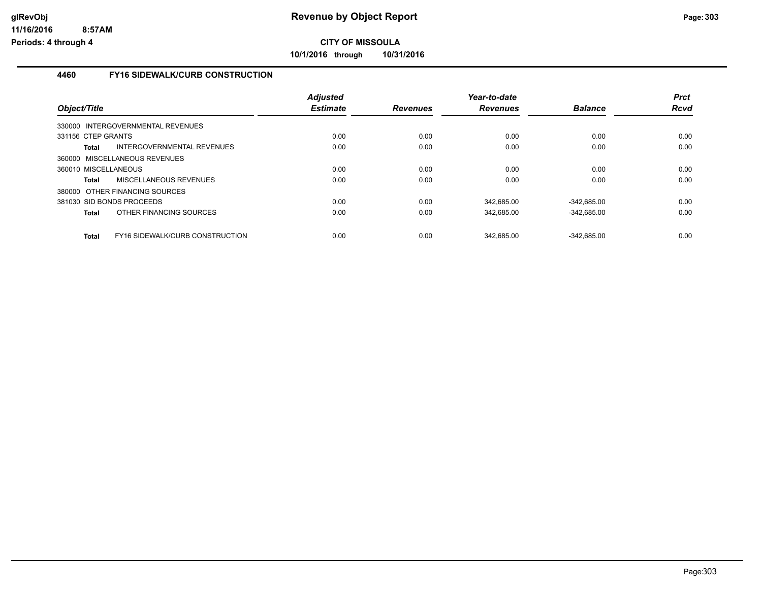**Periods: 4 through 4**

 **8:57AM**

**CITY OF MISSOULA**

**10/1/2016 through 10/31/2016**

#### **4460 FY16 SIDEWALK/CURB CONSTRUCTION**

| Object/Title                                    | <b>Adjusted</b><br><b>Estimate</b> | <b>Revenues</b> | Year-to-date<br><b>Revenues</b> | <b>Balance</b> | <b>Prct</b><br><b>Rcvd</b> |
|-------------------------------------------------|------------------------------------|-----------------|---------------------------------|----------------|----------------------------|
| 330000 INTERGOVERNMENTAL REVENUES               |                                    |                 |                                 |                |                            |
| 331156 CTEP GRANTS                              | 0.00                               | 0.00            | 0.00                            | 0.00           | 0.00                       |
| INTERGOVERNMENTAL REVENUES<br><b>Total</b>      | 0.00                               | 0.00            | 0.00                            | 0.00           | 0.00                       |
| 360000 MISCELLANEOUS REVENUES                   |                                    |                 |                                 |                |                            |
| 360010 MISCELLANEOUS                            | 0.00                               | 0.00            | 0.00                            | 0.00           | 0.00                       |
| MISCELLANEOUS REVENUES<br><b>Total</b>          | 0.00                               | 0.00            | 0.00                            | 0.00           | 0.00                       |
| 380000 OTHER FINANCING SOURCES                  |                                    |                 |                                 |                |                            |
| 381030 SID BONDS PROCEEDS                       | 0.00                               | 0.00            | 342.685.00                      | $-342,685.00$  | 0.00                       |
| OTHER FINANCING SOURCES<br><b>Total</b>         | 0.00                               | 0.00            | 342,685.00                      | $-342.685.00$  | 0.00                       |
| FY16 SIDEWALK/CURB CONSTRUCTION<br><b>Total</b> | 0.00                               | 0.00            | 342.685.00                      | $-342.685.00$  | 0.00                       |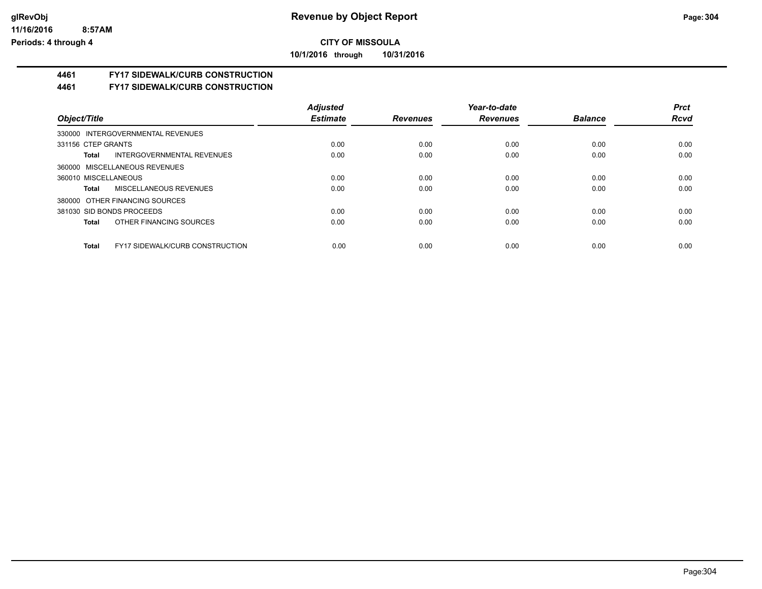**11/16/2016 8:57AM Periods: 4 through 4**

## **CITY OF MISSOULA**

**10/1/2016 through 10/31/2016**

# **4461 FY17 SIDEWALK/CURB CONSTRUCTION**

**4461 FY17 SIDEWALK/CURB CONSTRUCTION**

|                                                 | <b>Adjusted</b> |                 | Year-to-date    |                | <b>Prct</b> |
|-------------------------------------------------|-----------------|-----------------|-----------------|----------------|-------------|
| Object/Title                                    | <b>Estimate</b> | <b>Revenues</b> | <b>Revenues</b> | <b>Balance</b> | <b>Rcvd</b> |
| 330000 INTERGOVERNMENTAL REVENUES               |                 |                 |                 |                |             |
| 331156 CTEP GRANTS                              | 0.00            | 0.00            | 0.00            | 0.00           | 0.00        |
| INTERGOVERNMENTAL REVENUES<br>Total             | 0.00            | 0.00            | 0.00            | 0.00           | 0.00        |
| 360000 MISCELLANEOUS REVENUES                   |                 |                 |                 |                |             |
| 360010 MISCELLANEOUS                            | 0.00            | 0.00            | 0.00            | 0.00           | 0.00        |
| <b>MISCELLANEOUS REVENUES</b><br>Total          | 0.00            | 0.00            | 0.00            | 0.00           | 0.00        |
| 380000 OTHER FINANCING SOURCES                  |                 |                 |                 |                |             |
| 381030 SID BONDS PROCEEDS                       | 0.00            | 0.00            | 0.00            | 0.00           | 0.00        |
| OTHER FINANCING SOURCES<br>Total                | 0.00            | 0.00            | 0.00            | 0.00           | 0.00        |
| <b>FY17 SIDEWALK/CURB CONSTRUCTION</b><br>Total | 0.00            | 0.00            | 0.00            | 0.00           | 0.00        |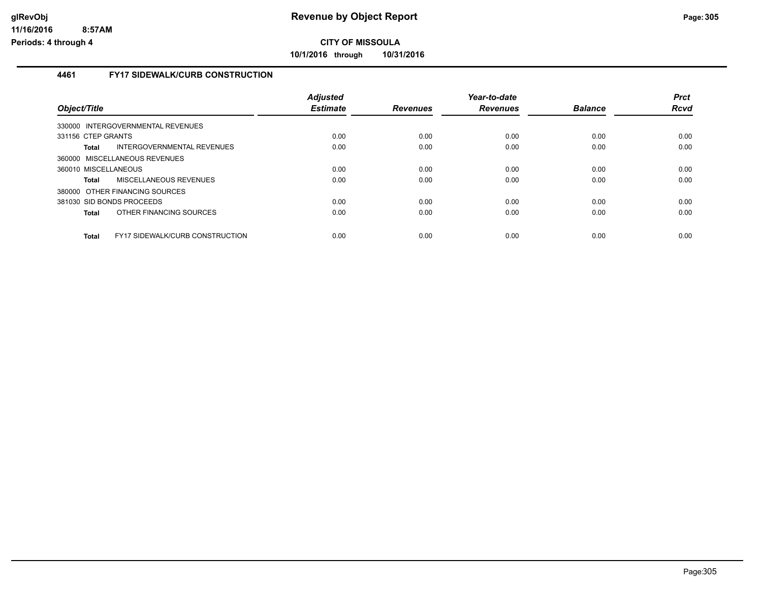**10/1/2016 through 10/31/2016**

#### **4461 FY17 SIDEWALK/CURB CONSTRUCTION**

| Object/Title                                           | <b>Adjusted</b><br><b>Estimate</b> | <b>Revenues</b> | Year-to-date<br><b>Revenues</b> | <b>Balance</b> | <b>Prct</b><br><b>Rcvd</b> |
|--------------------------------------------------------|------------------------------------|-----------------|---------------------------------|----------------|----------------------------|
| 330000 INTERGOVERNMENTAL REVENUES                      |                                    |                 |                                 |                |                            |
| 331156 CTEP GRANTS                                     | 0.00                               | 0.00            | 0.00                            | 0.00           | 0.00                       |
| INTERGOVERNMENTAL REVENUES<br>Total                    | 0.00                               | 0.00            | 0.00                            | 0.00           | 0.00                       |
| 360000 MISCELLANEOUS REVENUES                          |                                    |                 |                                 |                |                            |
| 360010 MISCELLANEOUS                                   | 0.00                               | 0.00            | 0.00                            | 0.00           | 0.00                       |
| MISCELLANEOUS REVENUES<br><b>Total</b>                 | 0.00                               | 0.00            | 0.00                            | 0.00           | 0.00                       |
| 380000 OTHER FINANCING SOURCES                         |                                    |                 |                                 |                |                            |
| 381030 SID BONDS PROCEEDS                              | 0.00                               | 0.00            | 0.00                            | 0.00           | 0.00                       |
| OTHER FINANCING SOURCES<br><b>Total</b>                | 0.00                               | 0.00            | 0.00                            | 0.00           | 0.00                       |
| <b>FY17 SIDEWALK/CURB CONSTRUCTION</b><br><b>Total</b> | 0.00                               | 0.00            | 0.00                            | 0.00           | 0.00                       |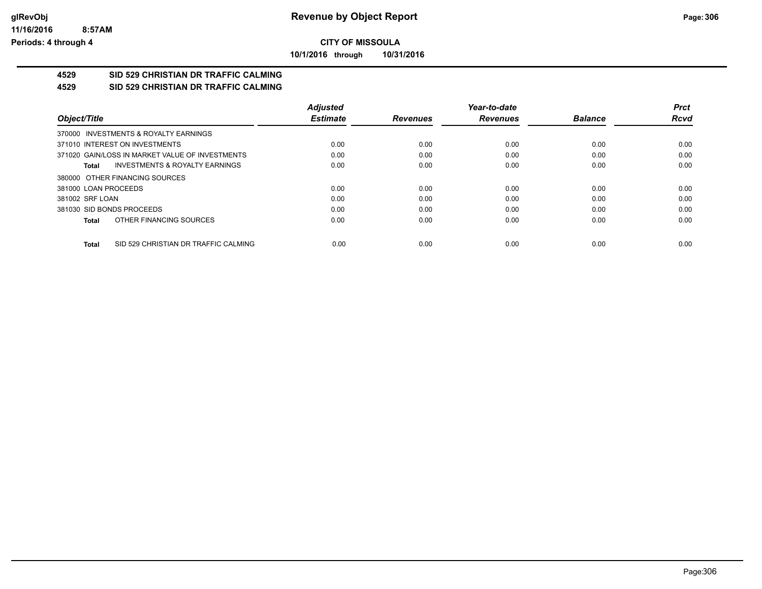**10/1/2016 through 10/31/2016**

#### **4529 SID 529 CHRISTIAN DR TRAFFIC CALMING 4529 SID 529 CHRISTIAN DR TRAFFIC CALMING**

|                           |                                                 | <b>Adjusted</b> |                 | Year-to-date    |                | <b>Prct</b> |
|---------------------------|-------------------------------------------------|-----------------|-----------------|-----------------|----------------|-------------|
| Object/Title              |                                                 | <b>Estimate</b> | <b>Revenues</b> | <b>Revenues</b> | <b>Balance</b> | <b>Rcvd</b> |
|                           | 370000 INVESTMENTS & ROYALTY EARNINGS           |                 |                 |                 |                |             |
|                           | 371010 INTEREST ON INVESTMENTS                  | 0.00            | 0.00            | 0.00            | 0.00           | 0.00        |
|                           | 371020 GAIN/LOSS IN MARKET VALUE OF INVESTMENTS | 0.00            | 0.00            | 0.00            | 0.00           | 0.00        |
| Total                     | <b>INVESTMENTS &amp; ROYALTY EARNINGS</b>       | 0.00            | 0.00            | 0.00            | 0.00           | 0.00        |
|                           | 380000 OTHER FINANCING SOURCES                  |                 |                 |                 |                |             |
| 381000 LOAN PROCEEDS      |                                                 | 0.00            | 0.00            | 0.00            | 0.00           | 0.00        |
| 381002 SRF LOAN           |                                                 | 0.00            | 0.00            | 0.00            | 0.00           | 0.00        |
| 381030 SID BONDS PROCEEDS |                                                 | 0.00            | 0.00            | 0.00            | 0.00           | 0.00        |
| Total                     | OTHER FINANCING SOURCES                         | 0.00            | 0.00            | 0.00            | 0.00           | 0.00        |
| <b>Total</b>              | SID 529 CHRISTIAN DR TRAFFIC CALMING            | 0.00            | 0.00            | 0.00            | 0.00           | 0.00        |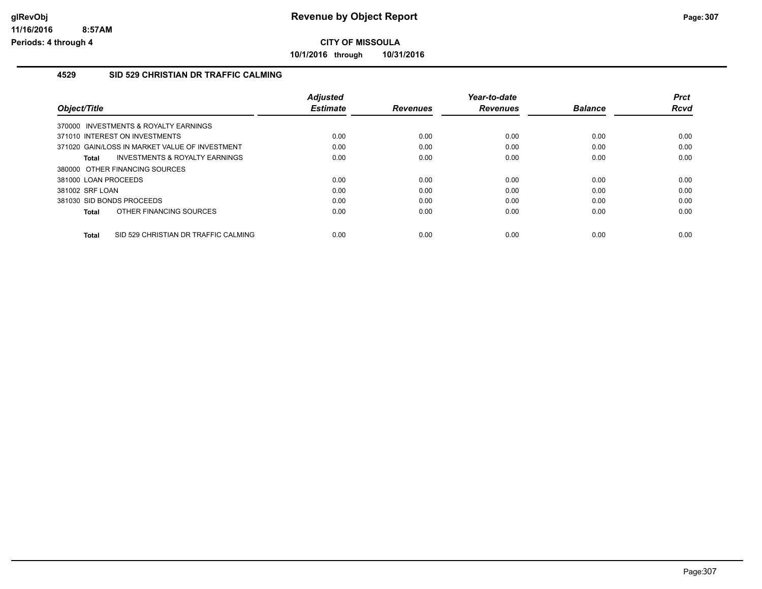**10/1/2016 through 10/31/2016**

#### **4529 SID 529 CHRISTIAN DR TRAFFIC CALMING**

| Object/Title                                   | <b>Adjusted</b><br><b>Estimate</b> | <b>Revenues</b> | Year-to-date<br><b>Revenues</b> | <b>Balance</b> | <b>Prct</b><br>Rcvd |
|------------------------------------------------|------------------------------------|-----------------|---------------------------------|----------------|---------------------|
| 370000 INVESTMENTS & ROYALTY EARNINGS          |                                    |                 |                                 |                |                     |
| 371010 INTEREST ON INVESTMENTS                 | 0.00                               | 0.00            | 0.00                            | 0.00           | 0.00                |
| 371020 GAIN/LOSS IN MARKET VALUE OF INVESTMENT | 0.00                               | 0.00            | 0.00                            | 0.00           | 0.00                |
| INVESTMENTS & ROYALTY EARNINGS<br>Total        | 0.00                               | 0.00            | 0.00                            | 0.00           | 0.00                |
| 380000 OTHER FINANCING SOURCES                 |                                    |                 |                                 |                |                     |
| 381000 LOAN PROCEEDS                           | 0.00                               | 0.00            | 0.00                            | 0.00           | 0.00                |
| 381002 SRF LOAN                                | 0.00                               | 0.00            | 0.00                            | 0.00           | 0.00                |
| 381030 SID BONDS PROCEEDS                      | 0.00                               | 0.00            | 0.00                            | 0.00           | 0.00                |
| OTHER FINANCING SOURCES<br>Total               | 0.00                               | 0.00            | 0.00                            | 0.00           | 0.00                |
| SID 529 CHRISTIAN DR TRAFFIC CALMING<br>Total  | 0.00                               | 0.00            | 0.00                            | 0.00           | 0.00                |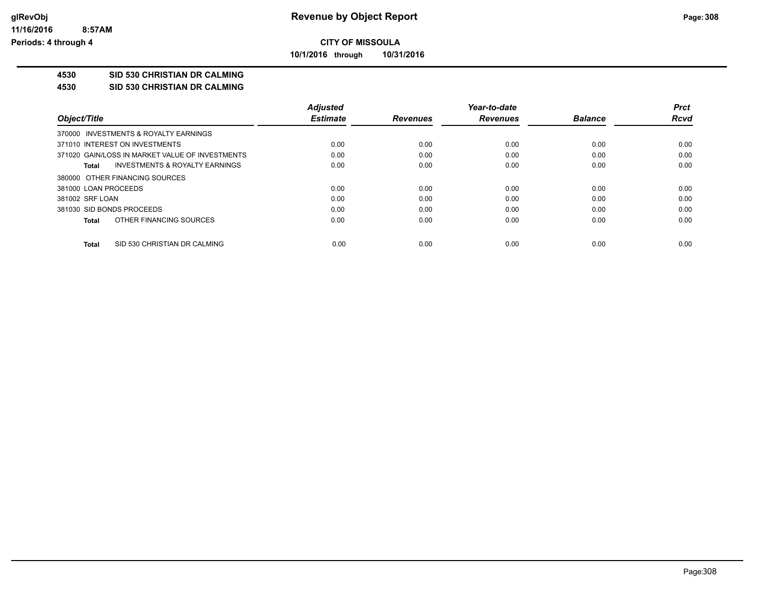**10/1/2016 through 10/31/2016**

## **4530 SID 530 CHRISTIAN DR CALMING**

#### **4530 SID 530 CHRISTIAN DR CALMING**

|                                                 | <b>Adjusted</b> |                 | Year-to-date    |                | <b>Prct</b> |
|-------------------------------------------------|-----------------|-----------------|-----------------|----------------|-------------|
| Object/Title                                    | <b>Estimate</b> | <b>Revenues</b> | <b>Revenues</b> | <b>Balance</b> | <b>Rcvd</b> |
| 370000 INVESTMENTS & ROYALTY EARNINGS           |                 |                 |                 |                |             |
| 371010 INTEREST ON INVESTMENTS                  | 0.00            | 0.00            | 0.00            | 0.00           | 0.00        |
| 371020 GAIN/LOSS IN MARKET VALUE OF INVESTMENTS | 0.00            | 0.00            | 0.00            | 0.00           | 0.00        |
| INVESTMENTS & ROYALTY EARNINGS<br>Total         | 0.00            | 0.00            | 0.00            | 0.00           | 0.00        |
| 380000 OTHER FINANCING SOURCES                  |                 |                 |                 |                |             |
| 381000 LOAN PROCEEDS                            | 0.00            | 0.00            | 0.00            | 0.00           | 0.00        |
| 381002 SRF LOAN                                 | 0.00            | 0.00            | 0.00            | 0.00           | 0.00        |
| 381030 SID BONDS PROCEEDS                       | 0.00            | 0.00            | 0.00            | 0.00           | 0.00        |
| OTHER FINANCING SOURCES<br>Total                | 0.00            | 0.00            | 0.00            | 0.00           | 0.00        |
|                                                 |                 |                 |                 |                |             |
| SID 530 CHRISTIAN DR CALMING<br><b>Total</b>    | 0.00            | 0.00            | 0.00            | 0.00           | 0.00        |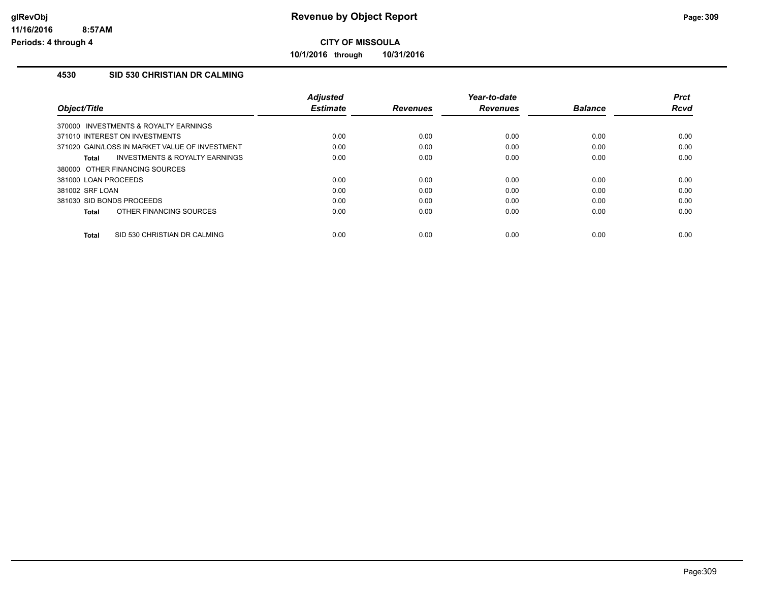**10/1/2016 through 10/31/2016**

### **4530 SID 530 CHRISTIAN DR CALMING**

| Object/Title                                       | <b>Adjusted</b><br><b>Estimate</b> | <b>Revenues</b> | Year-to-date<br><b>Revenues</b> | <b>Balance</b> | <b>Prct</b><br><b>Rcvd</b> |
|----------------------------------------------------|------------------------------------|-----------------|---------------------------------|----------------|----------------------------|
| 370000 INVESTMENTS & ROYALTY EARNINGS              |                                    |                 |                                 |                |                            |
| 371010 INTEREST ON INVESTMENTS                     | 0.00                               | 0.00            | 0.00                            | 0.00           | 0.00                       |
| 371020 GAIN/LOSS IN MARKET VALUE OF INVESTMENT     | 0.00                               | 0.00            | 0.00                            | 0.00           | 0.00                       |
| <b>INVESTMENTS &amp; ROYALTY EARNINGS</b><br>Total | 0.00                               | 0.00            | 0.00                            | 0.00           | 0.00                       |
| 380000 OTHER FINANCING SOURCES                     |                                    |                 |                                 |                |                            |
| 381000 LOAN PROCEEDS                               | 0.00                               | 0.00            | 0.00                            | 0.00           | 0.00                       |
| 381002 SRF LOAN                                    | 0.00                               | 0.00            | 0.00                            | 0.00           | 0.00                       |
| 381030 SID BONDS PROCEEDS                          | 0.00                               | 0.00            | 0.00                            | 0.00           | 0.00                       |
| OTHER FINANCING SOURCES<br>Total                   | 0.00                               | 0.00            | 0.00                            | 0.00           | 0.00                       |
| SID 530 CHRISTIAN DR CALMING<br>Total              | 0.00                               | 0.00            | 0.00                            | 0.00           | 0.00                       |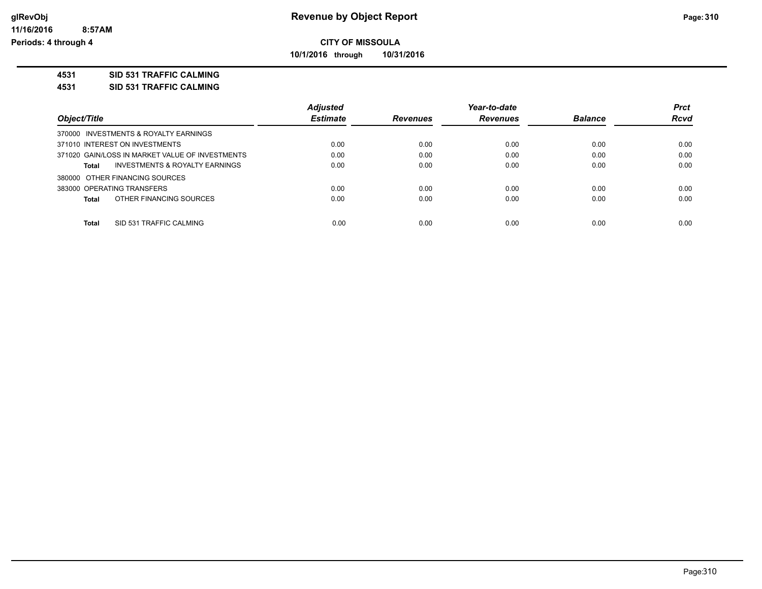**10/1/2016 through 10/31/2016**

#### **4531 SID 531 TRAFFIC CALMING**

**4531 SID 531 TRAFFIC CALMING**

|                                                    | <b>Adjusted</b> |                 | Year-to-date    |                | <b>Prct</b> |
|----------------------------------------------------|-----------------|-----------------|-----------------|----------------|-------------|
| Object/Title                                       | <b>Estimate</b> | <b>Revenues</b> | <b>Revenues</b> | <b>Balance</b> | <b>Rcvd</b> |
| 370000 INVESTMENTS & ROYALTY EARNINGS              |                 |                 |                 |                |             |
| 371010 INTEREST ON INVESTMENTS                     | 0.00            | 0.00            | 0.00            | 0.00           | 0.00        |
| 371020 GAIN/LOSS IN MARKET VALUE OF INVESTMENTS    | 0.00            | 0.00            | 0.00            | 0.00           | 0.00        |
| <b>INVESTMENTS &amp; ROYALTY EARNINGS</b><br>Total | 0.00            | 0.00            | 0.00            | 0.00           | 0.00        |
| 380000 OTHER FINANCING SOURCES                     |                 |                 |                 |                |             |
| 383000 OPERATING TRANSFERS                         | 0.00            | 0.00            | 0.00            | 0.00           | 0.00        |
| OTHER FINANCING SOURCES<br><b>Total</b>            | 0.00            | 0.00            | 0.00            | 0.00           | 0.00        |
|                                                    |                 |                 |                 |                |             |
| <b>Total</b><br>SID 531 TRAFFIC CALMING            | 0.00            | 0.00            | 0.00            | 0.00           | 0.00        |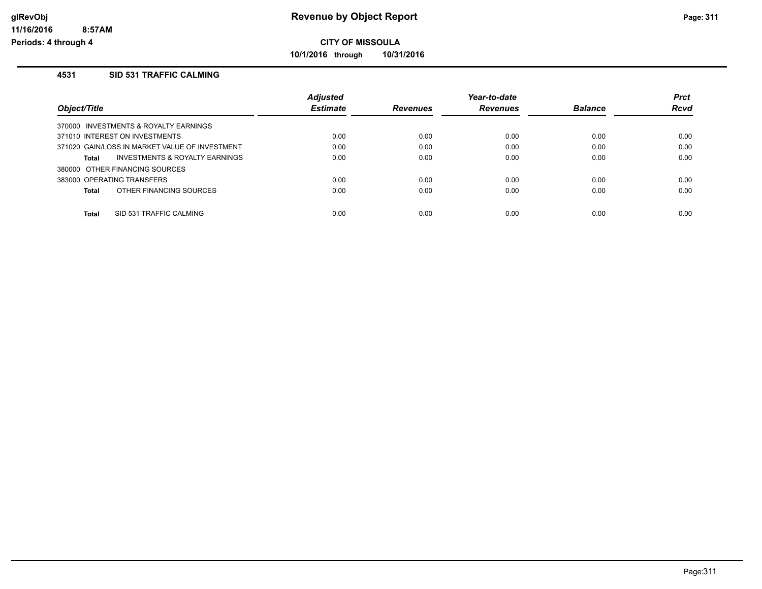**10/1/2016 through 10/31/2016**

#### **4531 SID 531 TRAFFIC CALMING**

|                                                | <b>Adjusted</b>         |                 | Year-to-date    |                | <b>Prct</b> |
|------------------------------------------------|-------------------------|-----------------|-----------------|----------------|-------------|
|                                                | <b>Estimate</b>         | <b>Revenues</b> | <b>Revenues</b> | <b>Balance</b> | <b>Rcvd</b> |
| 370000 INVESTMENTS & ROYALTY EARNINGS          |                         |                 |                 |                |             |
| 371010 INTEREST ON INVESTMENTS                 | 0.00                    | 0.00            | 0.00            | 0.00           | 0.00        |
| 371020 GAIN/LOSS IN MARKET VALUE OF INVESTMENT | 0.00                    | 0.00            | 0.00            | 0.00           | 0.00        |
| INVESTMENTS & ROYALTY EARNINGS                 | 0.00                    | 0.00            | 0.00            | 0.00           | 0.00        |
| 380000 OTHER FINANCING SOURCES                 |                         |                 |                 |                |             |
| 383000 OPERATING TRANSFERS                     | 0.00                    | 0.00            | 0.00            | 0.00           | 0.00        |
| OTHER FINANCING SOURCES                        | 0.00                    | 0.00            | 0.00            | 0.00           | 0.00        |
|                                                |                         |                 |                 |                | 0.00        |
|                                                | SID 531 TRAFFIC CALMING | 0.00            | 0.00            | 0.00           | 0.00        |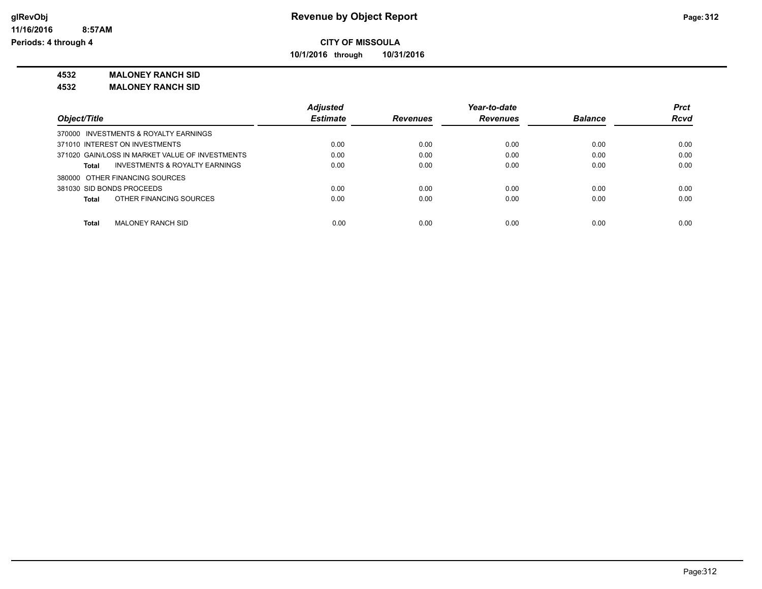**10/1/2016 through 10/31/2016**

#### **4532 MALONEY RANCH SID**

**4532 MALONEY RANCH SID**

|                                                    | <b>Adjusted</b> |                 | Year-to-date    |                | <b>Prct</b> |
|----------------------------------------------------|-----------------|-----------------|-----------------|----------------|-------------|
| Object/Title                                       | <b>Estimate</b> | <b>Revenues</b> | <b>Revenues</b> | <b>Balance</b> | <b>Rcvd</b> |
| 370000 INVESTMENTS & ROYALTY EARNINGS              |                 |                 |                 |                |             |
| 371010 INTEREST ON INVESTMENTS                     | 0.00            | 0.00            | 0.00            | 0.00           | 0.00        |
| 371020 GAIN/LOSS IN MARKET VALUE OF INVESTMENTS    | 0.00            | 0.00            | 0.00            | 0.00           | 0.00        |
| <b>INVESTMENTS &amp; ROYALTY EARNINGS</b><br>Total | 0.00            | 0.00            | 0.00            | 0.00           | 0.00        |
| 380000 OTHER FINANCING SOURCES                     |                 |                 |                 |                |             |
| 381030 SID BONDS PROCEEDS                          | 0.00            | 0.00            | 0.00            | 0.00           | 0.00        |
| OTHER FINANCING SOURCES<br>Total                   | 0.00            | 0.00            | 0.00            | 0.00           | 0.00        |
|                                                    |                 |                 |                 |                |             |
| <b>MALONEY RANCH SID</b><br>Total                  | 0.00            | 0.00            | 0.00            | 0.00           | 0.00        |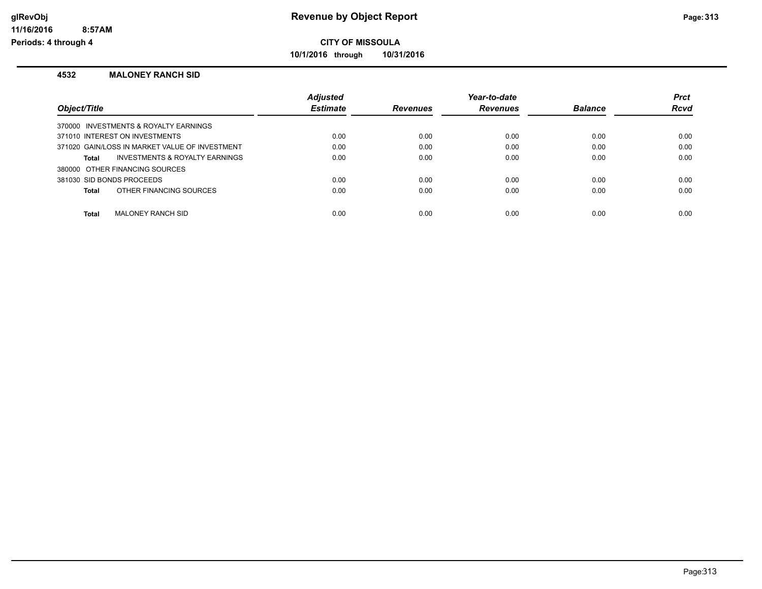**10/1/2016 through 10/31/2016**

#### **4532 MALONEY RANCH SID**

|                                                | <b>Adjusted</b> |                 | Year-to-date    |                | <b>Prct</b> |
|------------------------------------------------|-----------------|-----------------|-----------------|----------------|-------------|
| <b>Object/Title</b>                            | <b>Estimate</b> | <b>Revenues</b> | <b>Revenues</b> | <b>Balance</b> | <b>Rcvd</b> |
| 370000 INVESTMENTS & ROYALTY EARNINGS          |                 |                 |                 |                |             |
| 371010 INTEREST ON INVESTMENTS                 | 0.00            | 0.00            | 0.00            | 0.00           | 0.00        |
| 371020 GAIN/LOSS IN MARKET VALUE OF INVESTMENT | 0.00            | 0.00            | 0.00            | 0.00           | 0.00        |
| INVESTMENTS & ROYALTY EARNINGS<br>Total        | 0.00            | 0.00            | 0.00            | 0.00           | 0.00        |
| 380000 OTHER FINANCING SOURCES                 |                 |                 |                 |                |             |
| 381030 SID BONDS PROCEEDS                      | 0.00            | 0.00            | 0.00            | 0.00           | 0.00        |
| OTHER FINANCING SOURCES<br>Total               | 0.00            | 0.00            | 0.00            | 0.00           | 0.00        |
|                                                |                 |                 |                 |                |             |
| Total<br>MALONEY RANCH SID                     | 0.00            | 0.00            | 0.00            | 0.00           | 0.00        |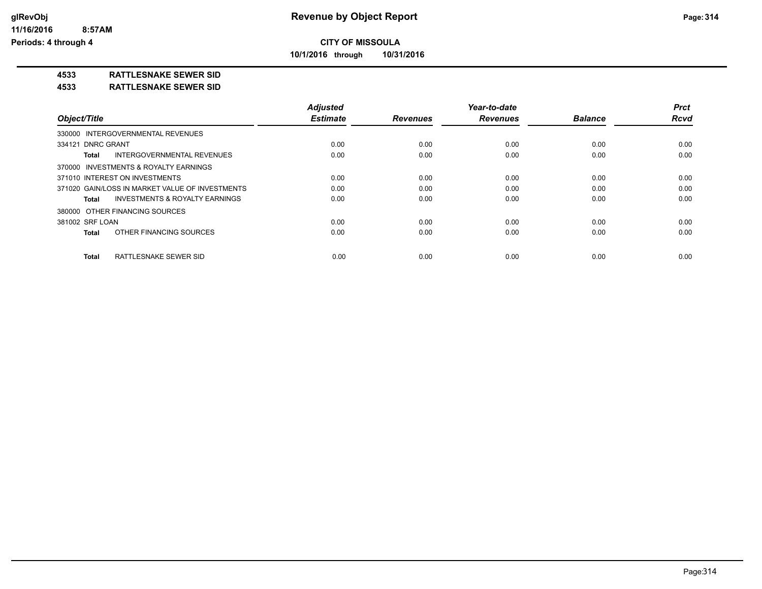**10/1/2016 through 10/31/2016**

#### **4533 RATTLESNAKE SEWER SID**

**4533 RATTLESNAKE SEWER SID**

|                                                    | <b>Adjusted</b> |                 | Year-to-date    |                | <b>Prct</b> |
|----------------------------------------------------|-----------------|-----------------|-----------------|----------------|-------------|
| Object/Title                                       | <b>Estimate</b> | <b>Revenues</b> | <b>Revenues</b> | <b>Balance</b> | <b>Rcvd</b> |
| 330000 INTERGOVERNMENTAL REVENUES                  |                 |                 |                 |                |             |
| 334121 DNRC GRANT                                  | 0.00            | 0.00            | 0.00            | 0.00           | 0.00        |
| INTERGOVERNMENTAL REVENUES<br>Total                | 0.00            | 0.00            | 0.00            | 0.00           | 0.00        |
| 370000 INVESTMENTS & ROYALTY EARNINGS              |                 |                 |                 |                |             |
| 371010 INTEREST ON INVESTMENTS                     | 0.00            | 0.00            | 0.00            | 0.00           | 0.00        |
| 371020 GAIN/LOSS IN MARKET VALUE OF INVESTMENTS    | 0.00            | 0.00            | 0.00            | 0.00           | 0.00        |
| <b>INVESTMENTS &amp; ROYALTY EARNINGS</b><br>Total | 0.00            | 0.00            | 0.00            | 0.00           | 0.00        |
| 380000 OTHER FINANCING SOURCES                     |                 |                 |                 |                |             |
| 381002 SRF LOAN                                    | 0.00            | 0.00            | 0.00            | 0.00           | 0.00        |
| OTHER FINANCING SOURCES<br>Total                   | 0.00            | 0.00            | 0.00            | 0.00           | 0.00        |
| RATTLESNAKE SEWER SID<br>Total                     | 0.00            | 0.00            | 0.00            | 0.00           | 0.00        |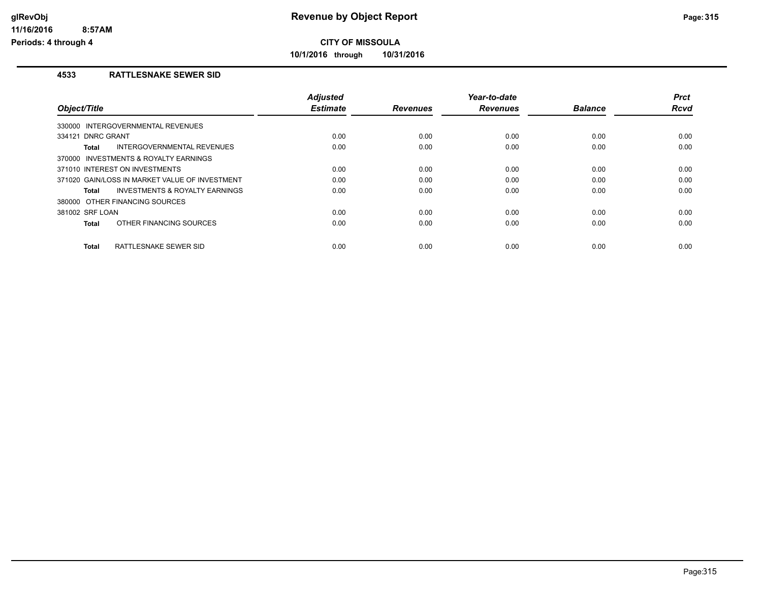**10/1/2016 through 10/31/2016**

#### **4533 RATTLESNAKE SEWER SID**

|                                                    | <b>Adjusted</b> |                 | Year-to-date    |                | <b>Prct</b> |
|----------------------------------------------------|-----------------|-----------------|-----------------|----------------|-------------|
| Object/Title                                       | <b>Estimate</b> | <b>Revenues</b> | <b>Revenues</b> | <b>Balance</b> | <b>Rcvd</b> |
| 330000 INTERGOVERNMENTAL REVENUES                  |                 |                 |                 |                |             |
| 334121 DNRC GRANT                                  | 0.00            | 0.00            | 0.00            | 0.00           | 0.00        |
| INTERGOVERNMENTAL REVENUES<br><b>Total</b>         | 0.00            | 0.00            | 0.00            | 0.00           | 0.00        |
| 370000 INVESTMENTS & ROYALTY EARNINGS              |                 |                 |                 |                |             |
| 371010 INTEREST ON INVESTMENTS                     | 0.00            | 0.00            | 0.00            | 0.00           | 0.00        |
| 371020 GAIN/LOSS IN MARKET VALUE OF INVESTMENT     | 0.00            | 0.00            | 0.00            | 0.00           | 0.00        |
| <b>INVESTMENTS &amp; ROYALTY EARNINGS</b><br>Total | 0.00            | 0.00            | 0.00            | 0.00           | 0.00        |
| 380000 OTHER FINANCING SOURCES                     |                 |                 |                 |                |             |
| 381002 SRF LOAN                                    | 0.00            | 0.00            | 0.00            | 0.00           | 0.00        |
| OTHER FINANCING SOURCES<br><b>Total</b>            | 0.00            | 0.00            | 0.00            | 0.00           | 0.00        |
| RATTLESNAKE SEWER SID<br><b>Total</b>              | 0.00            | 0.00            | 0.00            | 0.00           | 0.00        |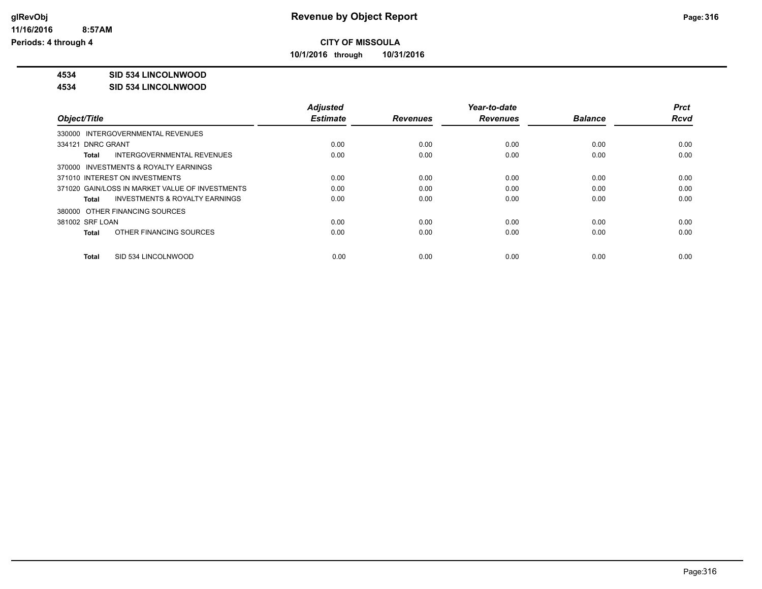**10/1/2016 through 10/31/2016**

#### **4534 SID 534 LINCOLNWOOD**

#### **4534 SID 534 LINCOLNWOOD**

|                                                    | <b>Adjusted</b> |                 | Year-to-date    |                | <b>Prct</b> |
|----------------------------------------------------|-----------------|-----------------|-----------------|----------------|-------------|
| Object/Title                                       | <b>Estimate</b> | <b>Revenues</b> | <b>Revenues</b> | <b>Balance</b> | <b>Rcvd</b> |
| 330000 INTERGOVERNMENTAL REVENUES                  |                 |                 |                 |                |             |
| 334121 DNRC GRANT                                  | 0.00            | 0.00            | 0.00            | 0.00           | 0.00        |
| <b>INTERGOVERNMENTAL REVENUES</b><br>Total         | 0.00            | 0.00            | 0.00            | 0.00           | 0.00        |
| 370000 INVESTMENTS & ROYALTY EARNINGS              |                 |                 |                 |                |             |
| 371010 INTEREST ON INVESTMENTS                     | 0.00            | 0.00            | 0.00            | 0.00           | 0.00        |
| 371020 GAIN/LOSS IN MARKET VALUE OF INVESTMENTS    | 0.00            | 0.00            | 0.00            | 0.00           | 0.00        |
| <b>INVESTMENTS &amp; ROYALTY EARNINGS</b><br>Total | 0.00            | 0.00            | 0.00            | 0.00           | 0.00        |
| 380000 OTHER FINANCING SOURCES                     |                 |                 |                 |                |             |
| 381002 SRF LOAN                                    | 0.00            | 0.00            | 0.00            | 0.00           | 0.00        |
| OTHER FINANCING SOURCES<br>Total                   | 0.00            | 0.00            | 0.00            | 0.00           | 0.00        |
| SID 534 LINCOLNWOOD<br><b>Total</b>                | 0.00            | 0.00            | 0.00            | 0.00           | 0.00        |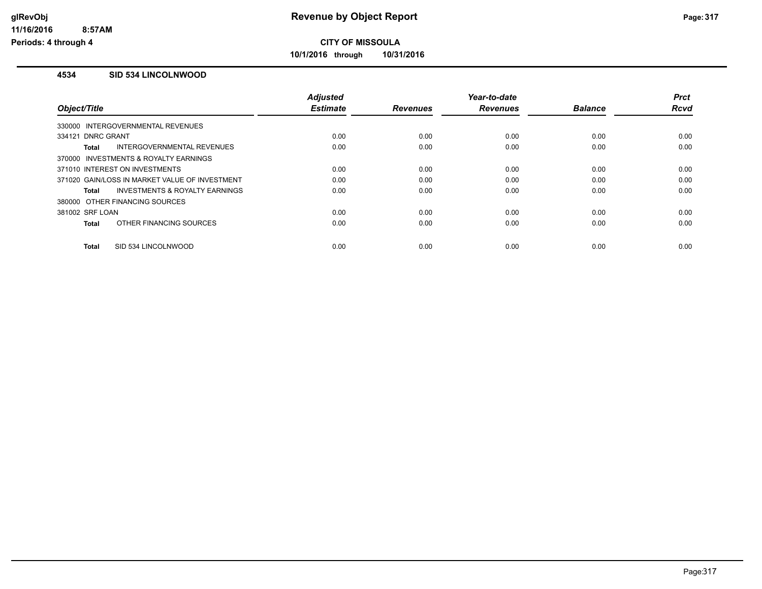**10/1/2016 through 10/31/2016**

#### **4534 SID 534 LINCOLNWOOD**

|                                                    | <b>Adjusted</b> |                 | Year-to-date    |                | <b>Prct</b> |
|----------------------------------------------------|-----------------|-----------------|-----------------|----------------|-------------|
| Object/Title                                       | <b>Estimate</b> | <b>Revenues</b> | <b>Revenues</b> | <b>Balance</b> | <b>Rcvd</b> |
| 330000 INTERGOVERNMENTAL REVENUES                  |                 |                 |                 |                |             |
| 334121 DNRC GRANT                                  | 0.00            | 0.00            | 0.00            | 0.00           | 0.00        |
| INTERGOVERNMENTAL REVENUES<br><b>Total</b>         | 0.00            | 0.00            | 0.00            | 0.00           | 0.00        |
| 370000 INVESTMENTS & ROYALTY EARNINGS              |                 |                 |                 |                |             |
| 371010 INTEREST ON INVESTMENTS                     | 0.00            | 0.00            | 0.00            | 0.00           | 0.00        |
| 371020 GAIN/LOSS IN MARKET VALUE OF INVESTMENT     | 0.00            | 0.00            | 0.00            | 0.00           | 0.00        |
| <b>INVESTMENTS &amp; ROYALTY EARNINGS</b><br>Total | 0.00            | 0.00            | 0.00            | 0.00           | 0.00        |
| 380000 OTHER FINANCING SOURCES                     |                 |                 |                 |                |             |
| 381002 SRF LOAN                                    | 0.00            | 0.00            | 0.00            | 0.00           | 0.00        |
| OTHER FINANCING SOURCES<br><b>Total</b>            | 0.00            | 0.00            | 0.00            | 0.00           | 0.00        |
| SID 534 LINCOLNWOOD<br><b>Total</b>                | 0.00            | 0.00            | 0.00            | 0.00           | 0.00        |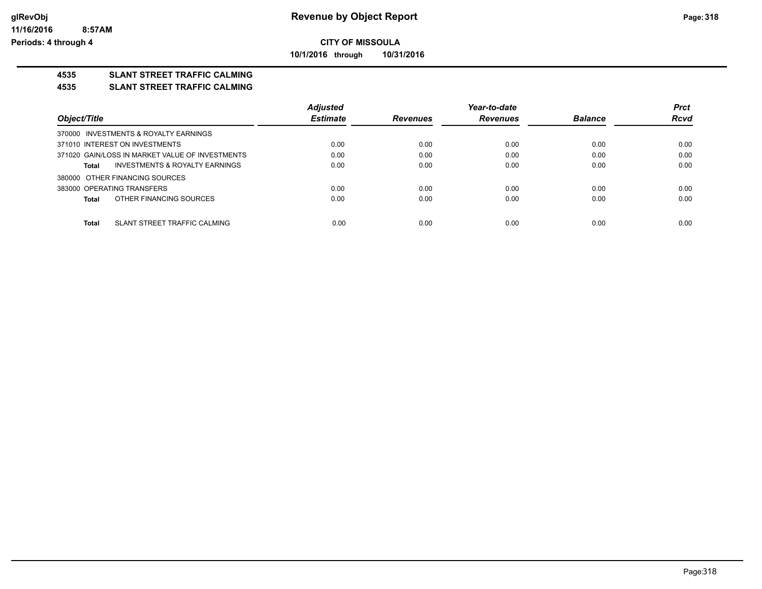**10/1/2016 through 10/31/2016**

## **4535 SLANT STREET TRAFFIC CALMING**

### **4535 SLANT STREET TRAFFIC CALMING**

|                                                 | <b>Adjusted</b> |                 | Year-to-date    |                | <b>Prct</b> |
|-------------------------------------------------|-----------------|-----------------|-----------------|----------------|-------------|
| Object/Title                                    | <b>Estimate</b> | <b>Revenues</b> | <b>Revenues</b> | <b>Balance</b> | <b>Rcvd</b> |
| 370000 INVESTMENTS & ROYALTY EARNINGS           |                 |                 |                 |                |             |
| 371010 INTEREST ON INVESTMENTS                  | 0.00            | 0.00            | 0.00            | 0.00           | 0.00        |
| 371020 GAIN/LOSS IN MARKET VALUE OF INVESTMENTS | 0.00            | 0.00            | 0.00            | 0.00           | 0.00        |
| INVESTMENTS & ROYALTY EARNINGS<br>Total         | 0.00            | 0.00            | 0.00            | 0.00           | 0.00        |
| 380000 OTHER FINANCING SOURCES                  |                 |                 |                 |                |             |
| 383000 OPERATING TRANSFERS                      | 0.00            | 0.00            | 0.00            | 0.00           | 0.00        |
| OTHER FINANCING SOURCES<br>Total                | 0.00            | 0.00            | 0.00            | 0.00           | 0.00        |
|                                                 |                 |                 |                 |                |             |
| SLANT STREET TRAFFIC CALMING<br><b>Total</b>    | 0.00            | 0.00            | 0.00            | 0.00           | 0.00        |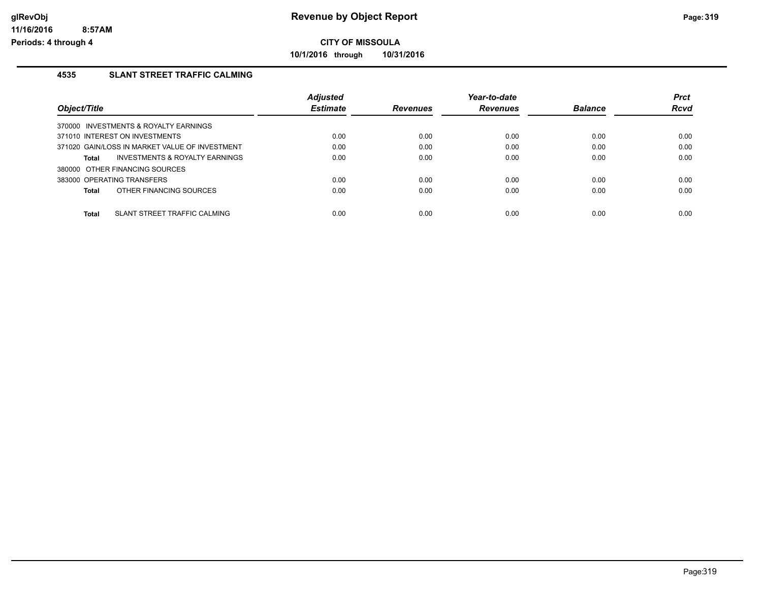**10/1/2016 through 10/31/2016**

#### **4535 SLANT STREET TRAFFIC CALMING**

|                                                | <b>Adjusted</b> |                 | Year-to-date    |                | <b>Prct</b> |
|------------------------------------------------|-----------------|-----------------|-----------------|----------------|-------------|
| <b>Object/Title</b>                            | <b>Estimate</b> | <b>Revenues</b> | <b>Revenues</b> | <b>Balance</b> | <b>Rcvd</b> |
| 370000 INVESTMENTS & ROYALTY EARNINGS          |                 |                 |                 |                |             |
| 371010 INTEREST ON INVESTMENTS                 | 0.00            | 0.00            | 0.00            | 0.00           | 0.00        |
| 371020 GAIN/LOSS IN MARKET VALUE OF INVESTMENT | 0.00            | 0.00            | 0.00            | 0.00           | 0.00        |
| INVESTMENTS & ROYALTY EARNINGS<br>Total        | 0.00            | 0.00            | 0.00            | 0.00           | 0.00        |
| 380000 OTHER FINANCING SOURCES                 |                 |                 |                 |                |             |
| 383000 OPERATING TRANSFERS                     | 0.00            | 0.00            | 0.00            | 0.00           | 0.00        |
| OTHER FINANCING SOURCES<br>Total               | 0.00            | 0.00            | 0.00            | 0.00           | 0.00        |
|                                                |                 |                 |                 |                |             |
| Total<br>SLANT STREET TRAFFIC CALMING          | 0.00            | 0.00            | 0.00            | 0.00           | 0.00        |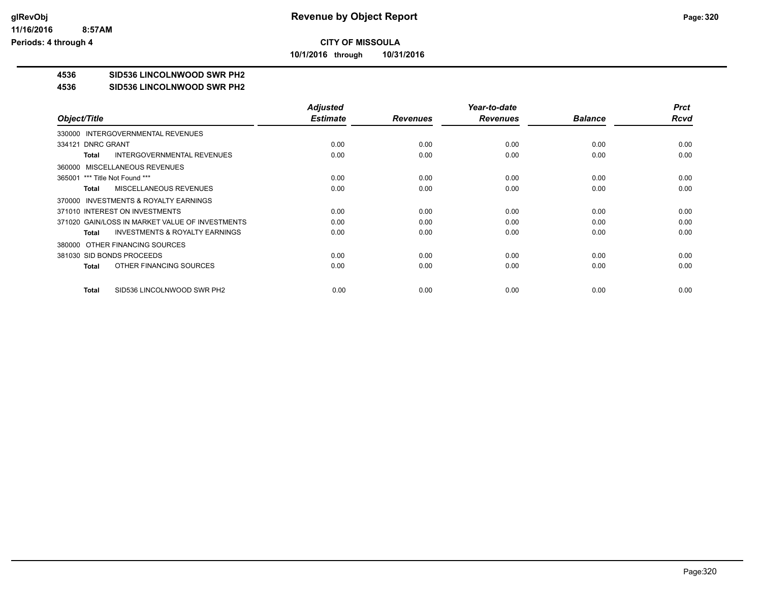**10/1/2016 through 10/31/2016**

## **4536 SID536 LINCOLNWOOD SWR PH2**

#### **4536 SID536 LINCOLNWOOD SWR PH2**

|                                                    | <b>Adjusted</b> |                 | Year-to-date    |                | <b>Prct</b> |
|----------------------------------------------------|-----------------|-----------------|-----------------|----------------|-------------|
| Object/Title                                       | <b>Estimate</b> | <b>Revenues</b> | <b>Revenues</b> | <b>Balance</b> | Rcvd        |
| 330000 INTERGOVERNMENTAL REVENUES                  |                 |                 |                 |                |             |
| 334121 DNRC GRANT                                  | 0.00            | 0.00            | 0.00            | 0.00           | 0.00        |
| <b>INTERGOVERNMENTAL REVENUES</b><br>Total         | 0.00            | 0.00            | 0.00            | 0.00           | 0.00        |
| 360000 MISCELLANEOUS REVENUES                      |                 |                 |                 |                |             |
| 365001 *** Title Not Found ***                     | 0.00            | 0.00            | 0.00            | 0.00           | 0.00        |
| <b>MISCELLANEOUS REVENUES</b><br>Total             | 0.00            | 0.00            | 0.00            | 0.00           | 0.00        |
| 370000 INVESTMENTS & ROYALTY EARNINGS              |                 |                 |                 |                |             |
| 371010 INTEREST ON INVESTMENTS                     | 0.00            | 0.00            | 0.00            | 0.00           | 0.00        |
| 371020 GAIN/LOSS IN MARKET VALUE OF INVESTMENTS    | 0.00            | 0.00            | 0.00            | 0.00           | 0.00        |
| <b>INVESTMENTS &amp; ROYALTY EARNINGS</b><br>Total | 0.00            | 0.00            | 0.00            | 0.00           | 0.00        |
| 380000 OTHER FINANCING SOURCES                     |                 |                 |                 |                |             |
| 381030 SID BONDS PROCEEDS                          | 0.00            | 0.00            | 0.00            | 0.00           | 0.00        |
| OTHER FINANCING SOURCES<br>Total                   | 0.00            | 0.00            | 0.00            | 0.00           | 0.00        |
|                                                    |                 |                 |                 |                |             |
| SID536 LINCOLNWOOD SWR PH2<br>Total                | 0.00            | 0.00            | 0.00            | 0.00           | 0.00        |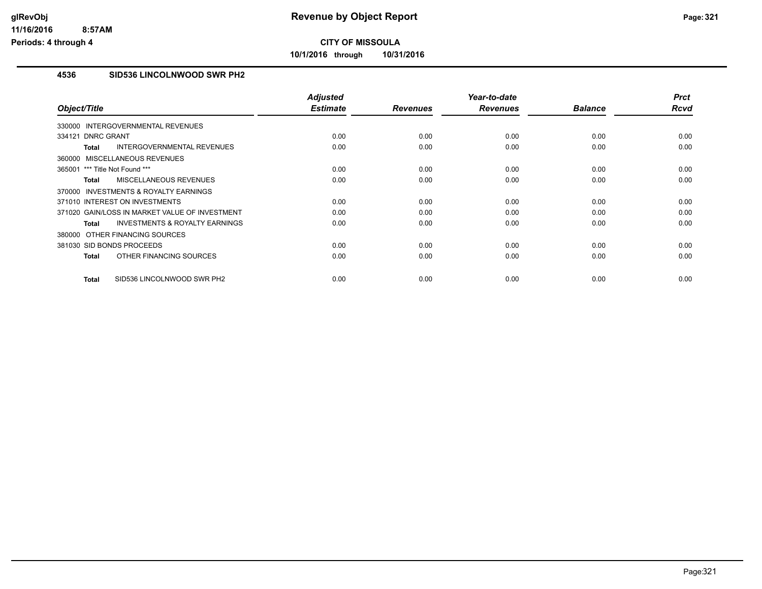**10/1/2016 through 10/31/2016**

### **4536 SID536 LINCOLNWOOD SWR PH2**

| Object/Title                                              | <b>Adjusted</b><br><b>Estimate</b> | <b>Revenues</b> | Year-to-date<br><b>Revenues</b> | <b>Balance</b> | <b>Prct</b><br><b>Rcvd</b> |
|-----------------------------------------------------------|------------------------------------|-----------------|---------------------------------|----------------|----------------------------|
|                                                           |                                    |                 |                                 |                |                            |
| INTERGOVERNMENTAL REVENUES<br>330000                      |                                    |                 |                                 |                |                            |
| 334121 DNRC GRANT                                         | 0.00                               | 0.00            | 0.00                            | 0.00           | 0.00                       |
| INTERGOVERNMENTAL REVENUES<br><b>Total</b>                | 0.00                               | 0.00            | 0.00                            | 0.00           | 0.00                       |
| MISCELLANEOUS REVENUES<br>360000                          |                                    |                 |                                 |                |                            |
| 365001 *** Title Not Found ***                            | 0.00                               | 0.00            | 0.00                            | 0.00           | 0.00                       |
| <b>MISCELLANEOUS REVENUES</b><br><b>Total</b>             | 0.00                               | 0.00            | 0.00                            | 0.00           | 0.00                       |
| 370000 INVESTMENTS & ROYALTY EARNINGS                     |                                    |                 |                                 |                |                            |
| 371010 INTEREST ON INVESTMENTS                            | 0.00                               | 0.00            | 0.00                            | 0.00           | 0.00                       |
| 371020 GAIN/LOSS IN MARKET VALUE OF INVESTMENT            | 0.00                               | 0.00            | 0.00                            | 0.00           | 0.00                       |
| <b>INVESTMENTS &amp; ROYALTY EARNINGS</b><br><b>Total</b> | 0.00                               | 0.00            | 0.00                            | 0.00           | 0.00                       |
| 380000 OTHER FINANCING SOURCES                            |                                    |                 |                                 |                |                            |
| 381030 SID BONDS PROCEEDS                                 | 0.00                               | 0.00            | 0.00                            | 0.00           | 0.00                       |
| OTHER FINANCING SOURCES<br><b>Total</b>                   | 0.00                               | 0.00            | 0.00                            | 0.00           | 0.00                       |
|                                                           |                                    |                 |                                 |                |                            |
| SID536 LINCOLNWOOD SWR PH2<br><b>Total</b>                | 0.00                               | 0.00            | 0.00                            | 0.00           | 0.00                       |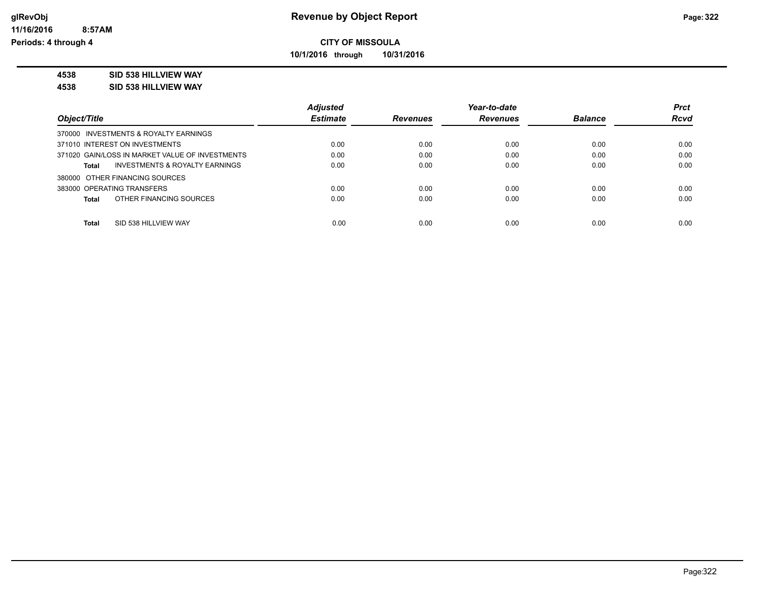**10/1/2016 through 10/31/2016**

#### **4538 SID 538 HILLVIEW WAY**

#### **4538 SID 538 HILLVIEW WAY**

|                                                 | <b>Adjusted</b> |                 | Year-to-date    |                | <b>Prct</b> |
|-------------------------------------------------|-----------------|-----------------|-----------------|----------------|-------------|
| Object/Title                                    | <b>Estimate</b> | <b>Revenues</b> | <b>Revenues</b> | <b>Balance</b> | <b>Rcvd</b> |
| 370000 INVESTMENTS & ROYALTY EARNINGS           |                 |                 |                 |                |             |
| 371010 INTEREST ON INVESTMENTS                  | 0.00            | 0.00            | 0.00            | 0.00           | 0.00        |
| 371020 GAIN/LOSS IN MARKET VALUE OF INVESTMENTS | 0.00            | 0.00            | 0.00            | 0.00           | 0.00        |
| INVESTMENTS & ROYALTY EARNINGS<br>Total         | 0.00            | 0.00            | 0.00            | 0.00           | 0.00        |
| 380000 OTHER FINANCING SOURCES                  |                 |                 |                 |                |             |
| 383000 OPERATING TRANSFERS                      | 0.00            | 0.00            | 0.00            | 0.00           | 0.00        |
| OTHER FINANCING SOURCES<br>Total                | 0.00            | 0.00            | 0.00            | 0.00           | 0.00        |
|                                                 |                 |                 |                 |                |             |
| <b>Total</b><br>SID 538 HILLVIEW WAY            | 0.00            | 0.00            | 0.00            | 0.00           | 0.00        |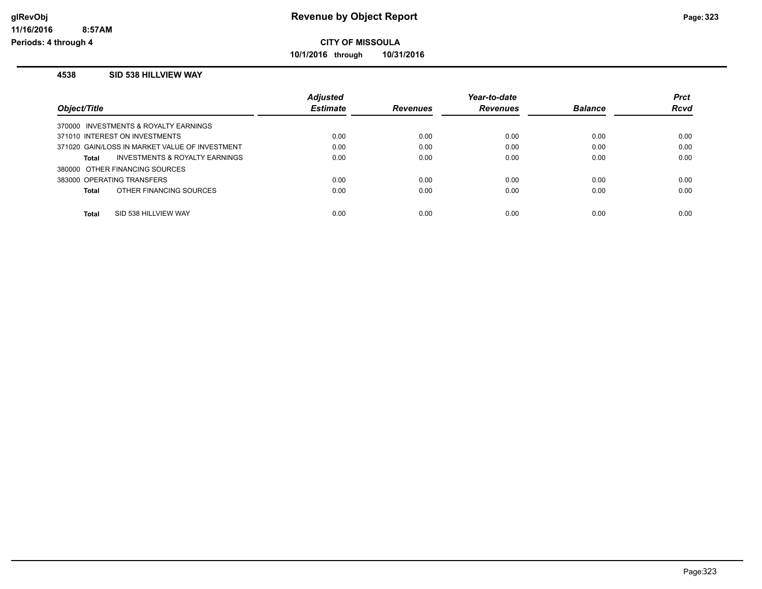**10/1/2016 through 10/31/2016**

#### **4538 SID 538 HILLVIEW WAY**

|                                                | <b>Adjusted</b> |                 | Year-to-date    |                | <b>Prct</b> |
|------------------------------------------------|-----------------|-----------------|-----------------|----------------|-------------|
| Object/Title                                   | <b>Estimate</b> | <b>Revenues</b> | <b>Revenues</b> | <b>Balance</b> | <b>Rcvd</b> |
| 370000 INVESTMENTS & ROYALTY EARNINGS          |                 |                 |                 |                |             |
| 371010 INTEREST ON INVESTMENTS                 | 0.00            | 0.00            | 0.00            | 0.00           | 0.00        |
| 371020 GAIN/LOSS IN MARKET VALUE OF INVESTMENT | 0.00            | 0.00            | 0.00            | 0.00           | 0.00        |
| INVESTMENTS & ROYALTY EARNINGS<br>Total        | 0.00            | 0.00            | 0.00            | 0.00           | 0.00        |
| 380000 OTHER FINANCING SOURCES                 |                 |                 |                 |                |             |
| 383000 OPERATING TRANSFERS                     | 0.00            | 0.00            | 0.00            | 0.00           | 0.00        |
| OTHER FINANCING SOURCES<br>Total               | 0.00            | 0.00            | 0.00            | 0.00           | 0.00        |
|                                                |                 |                 |                 |                |             |
| Total<br>SID 538 HILLVIEW WAY                  | 0.00            | 0.00            | 0.00            | 0.00           | 0.00        |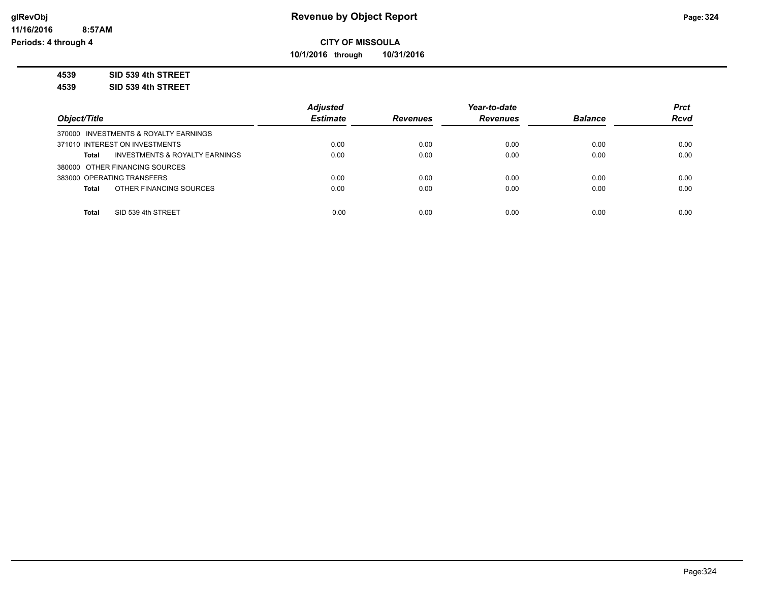**10/1/2016 through 10/31/2016**

**4539 SID 539 4th STREET**

**4539 SID 539 4th STREET**

|                                                    | <b>Adjusted</b> |                 | Year-to-date    |                | <b>Prct</b> |
|----------------------------------------------------|-----------------|-----------------|-----------------|----------------|-------------|
| Object/Title                                       | <b>Estimate</b> | <b>Revenues</b> | <b>Revenues</b> | <b>Balance</b> | <b>Rcvd</b> |
| 370000 INVESTMENTS & ROYALTY EARNINGS              |                 |                 |                 |                |             |
| 371010 INTEREST ON INVESTMENTS                     | 0.00            | 0.00            | 0.00            | 0.00           | 0.00        |
| <b>INVESTMENTS &amp; ROYALTY EARNINGS</b><br>Total | 0.00            | 0.00            | 0.00            | 0.00           | 0.00        |
| 380000 OTHER FINANCING SOURCES                     |                 |                 |                 |                |             |
| 383000 OPERATING TRANSFERS                         | 0.00            | 0.00            | 0.00            | 0.00           | 0.00        |
| OTHER FINANCING SOURCES<br>Total                   | 0.00            | 0.00            | 0.00            | 0.00           | 0.00        |
|                                                    |                 |                 |                 |                |             |
| SID 539 4th STREET<br><b>Total</b>                 | 0.00            | 0.00            | 0.00            | 0.00           | 0.00        |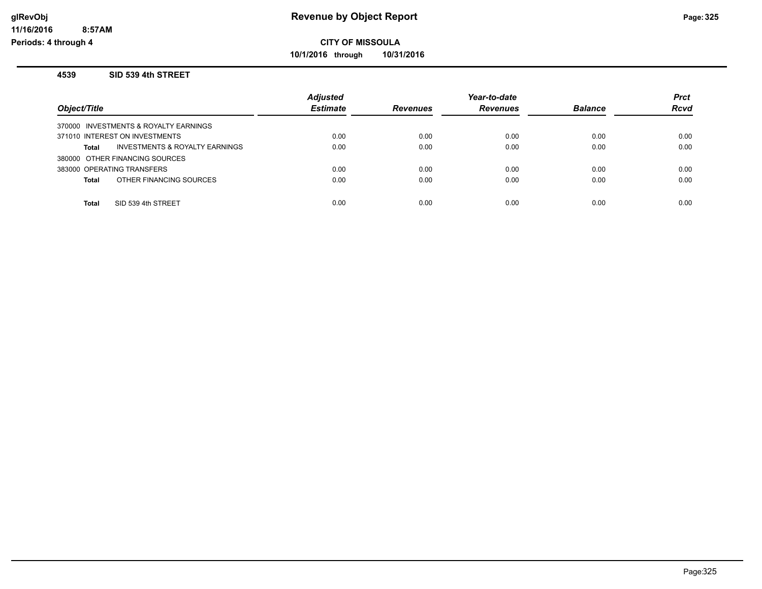**11/16/2016 8:57AM Periods: 4 through 4**

**CITY OF MISSOULA**

**10/1/2016 through 10/31/2016**

#### **4539 SID 539 4th STREET**

| Object/Title                            | <b>Adjusted</b><br><b>Estimate</b> | Revenues | Year-to-date<br><b>Revenues</b> | <b>Balance</b> | <b>Prct</b><br><b>Rcvd</b> |
|-----------------------------------------|------------------------------------|----------|---------------------------------|----------------|----------------------------|
| 370000 INVESTMENTS & ROYALTY EARNINGS   |                                    |          |                                 |                |                            |
| 371010 INTEREST ON INVESTMENTS          | 0.00                               | 0.00     | 0.00                            | 0.00           | 0.00                       |
| INVESTMENTS & ROYALTY EARNINGS<br>Total | 0.00                               | 0.00     | 0.00                            | 0.00           | 0.00                       |
| 380000 OTHER FINANCING SOURCES          |                                    |          |                                 |                |                            |
| 383000 OPERATING TRANSFERS              | 0.00                               | 0.00     | 0.00                            | 0.00           | 0.00                       |
| OTHER FINANCING SOURCES<br><b>Total</b> | 0.00                               | 0.00     | 0.00                            | 0.00           | 0.00                       |
|                                         |                                    |          |                                 |                |                            |
| SID 539 4th STREET<br><b>Total</b>      | 0.00                               | 0.00     | 0.00                            | 0.00           | 0.00                       |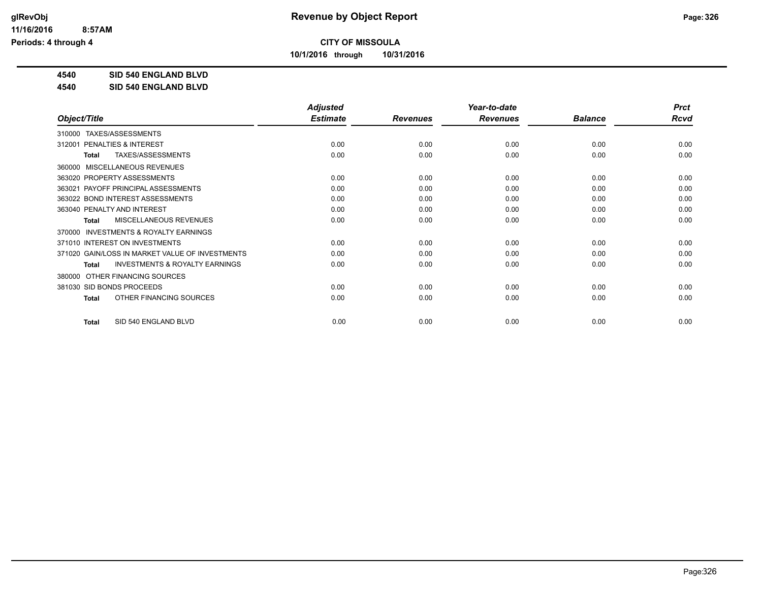**10/1/2016 through 10/31/2016**

**4540 SID 540 ENGLAND BLVD**

**4540 SID 540 ENGLAND BLVD**

|                                                           | <b>Adjusted</b> |                 | Year-to-date    |                | <b>Prct</b> |
|-----------------------------------------------------------|-----------------|-----------------|-----------------|----------------|-------------|
| Object/Title                                              | <b>Estimate</b> | <b>Revenues</b> | <b>Revenues</b> | <b>Balance</b> | <b>Rcvd</b> |
| TAXES/ASSESSMENTS<br>310000                               |                 |                 |                 |                |             |
| PENALTIES & INTEREST<br>312001                            | 0.00            | 0.00            | 0.00            | 0.00           | 0.00        |
| TAXES/ASSESSMENTS<br><b>Total</b>                         | 0.00            | 0.00            | 0.00            | 0.00           | 0.00        |
| MISCELLANEOUS REVENUES<br>360000                          |                 |                 |                 |                |             |
| 363020 PROPERTY ASSESSMENTS                               | 0.00            | 0.00            | 0.00            | 0.00           | 0.00        |
| 363021 PAYOFF PRINCIPAL ASSESSMENTS                       | 0.00            | 0.00            | 0.00            | 0.00           | 0.00        |
| 363022 BOND INTEREST ASSESSMENTS                          | 0.00            | 0.00            | 0.00            | 0.00           | 0.00        |
| 363040 PENALTY AND INTEREST                               | 0.00            | 0.00            | 0.00            | 0.00           | 0.00        |
| <b>MISCELLANEOUS REVENUES</b><br><b>Total</b>             | 0.00            | 0.00            | 0.00            | 0.00           | 0.00        |
| <b>INVESTMENTS &amp; ROYALTY EARNINGS</b><br>370000       |                 |                 |                 |                |             |
| 371010 INTEREST ON INVESTMENTS                            | 0.00            | 0.00            | 0.00            | 0.00           | 0.00        |
| 371020 GAIN/LOSS IN MARKET VALUE OF INVESTMENTS           | 0.00            | 0.00            | 0.00            | 0.00           | 0.00        |
| <b>INVESTMENTS &amp; ROYALTY EARNINGS</b><br><b>Total</b> | 0.00            | 0.00            | 0.00            | 0.00           | 0.00        |
| OTHER FINANCING SOURCES<br>380000                         |                 |                 |                 |                |             |
| 381030 SID BONDS PROCEEDS                                 | 0.00            | 0.00            | 0.00            | 0.00           | 0.00        |
| OTHER FINANCING SOURCES<br><b>Total</b>                   | 0.00            | 0.00            | 0.00            | 0.00           | 0.00        |
|                                                           |                 |                 |                 |                |             |
| SID 540 ENGLAND BLVD<br><b>Total</b>                      | 0.00            | 0.00            | 0.00            | 0.00           | 0.00        |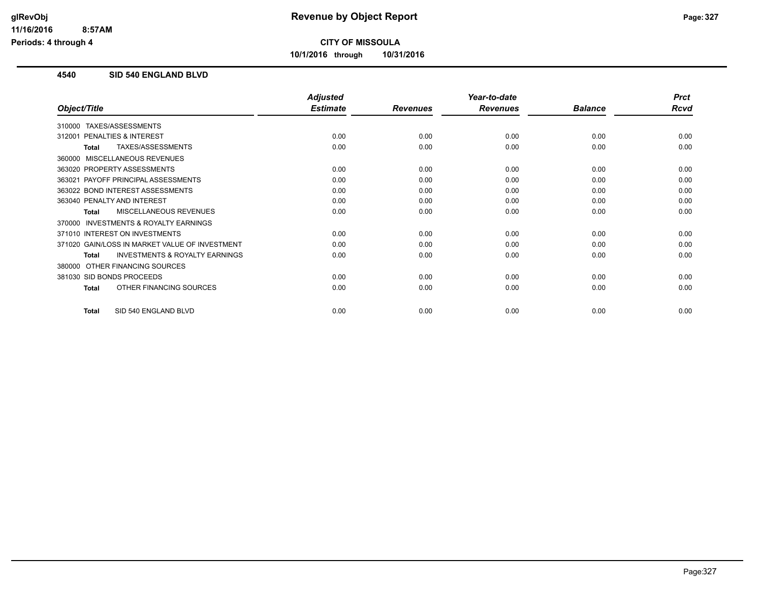**10/1/2016 through 10/31/2016**

#### **4540 SID 540 ENGLAND BLVD**

|                                                           | <b>Adjusted</b> |                 | Year-to-date    |                | <b>Prct</b> |
|-----------------------------------------------------------|-----------------|-----------------|-----------------|----------------|-------------|
| Object/Title                                              | <b>Estimate</b> | <b>Revenues</b> | <b>Revenues</b> | <b>Balance</b> | <b>Rcvd</b> |
| TAXES/ASSESSMENTS<br>310000                               |                 |                 |                 |                |             |
| 312001 PENALTIES & INTEREST                               | 0.00            | 0.00            | 0.00            | 0.00           | 0.00        |
| TAXES/ASSESSMENTS<br><b>Total</b>                         | 0.00            | 0.00            | 0.00            | 0.00           | 0.00        |
| 360000 MISCELLANEOUS REVENUES                             |                 |                 |                 |                |             |
| 363020 PROPERTY ASSESSMENTS                               | 0.00            | 0.00            | 0.00            | 0.00           | 0.00        |
| 363021 PAYOFF PRINCIPAL ASSESSMENTS                       | 0.00            | 0.00            | 0.00            | 0.00           | 0.00        |
| 363022 BOND INTEREST ASSESSMENTS                          | 0.00            | 0.00            | 0.00            | 0.00           | 0.00        |
| 363040 PENALTY AND INTEREST                               | 0.00            | 0.00            | 0.00            | 0.00           | 0.00        |
| MISCELLANEOUS REVENUES<br>Total                           | 0.00            | 0.00            | 0.00            | 0.00           | 0.00        |
| 370000 INVESTMENTS & ROYALTY EARNINGS                     |                 |                 |                 |                |             |
| 371010 INTEREST ON INVESTMENTS                            | 0.00            | 0.00            | 0.00            | 0.00           | 0.00        |
| 371020 GAIN/LOSS IN MARKET VALUE OF INVESTMENT            | 0.00            | 0.00            | 0.00            | 0.00           | 0.00        |
| <b>INVESTMENTS &amp; ROYALTY EARNINGS</b><br><b>Total</b> | 0.00            | 0.00            | 0.00            | 0.00           | 0.00        |
| 380000 OTHER FINANCING SOURCES                            |                 |                 |                 |                |             |
| 381030 SID BONDS PROCEEDS                                 | 0.00            | 0.00            | 0.00            | 0.00           | 0.00        |
| OTHER FINANCING SOURCES<br>Total                          | 0.00            | 0.00            | 0.00            | 0.00           | 0.00        |
| SID 540 ENGLAND BLVD<br><b>Total</b>                      | 0.00            | 0.00            | 0.00            | 0.00           | 0.00        |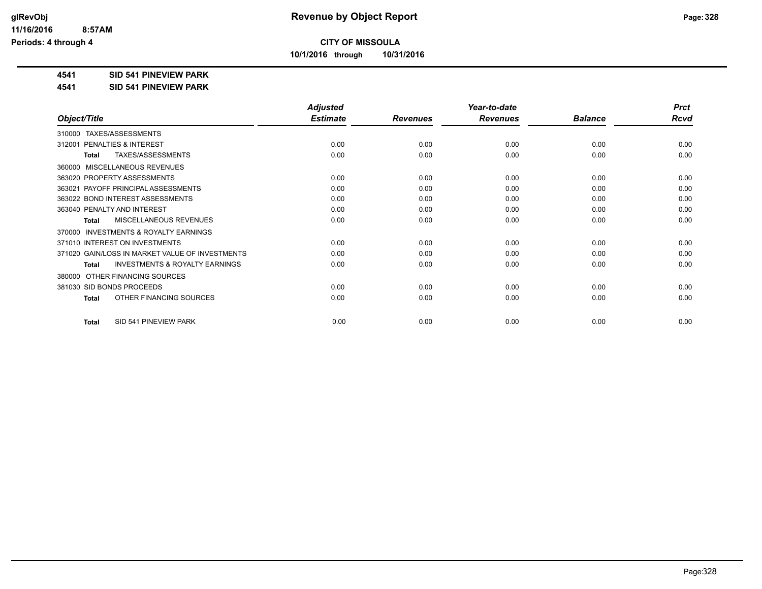**10/1/2016 through 10/31/2016**

#### **4541 SID 541 PINEVIEW PARK**

**4541 SID 541 PINEVIEW PARK**

|                                                           | <b>Adjusted</b> |                 | Year-to-date    |                | <b>Prct</b> |
|-----------------------------------------------------------|-----------------|-----------------|-----------------|----------------|-------------|
| Object/Title                                              | <b>Estimate</b> | <b>Revenues</b> | <b>Revenues</b> | <b>Balance</b> | <b>Rcvd</b> |
| TAXES/ASSESSMENTS<br>310000                               |                 |                 |                 |                |             |
| PENALTIES & INTEREST<br>312001                            | 0.00            | 0.00            | 0.00            | 0.00           | 0.00        |
| <b>TAXES/ASSESSMENTS</b><br><b>Total</b>                  | 0.00            | 0.00            | 0.00            | 0.00           | 0.00        |
| MISCELLANEOUS REVENUES<br>360000                          |                 |                 |                 |                |             |
| 363020 PROPERTY ASSESSMENTS                               | 0.00            | 0.00            | 0.00            | 0.00           | 0.00        |
| 363021 PAYOFF PRINCIPAL ASSESSMENTS                       | 0.00            | 0.00            | 0.00            | 0.00           | 0.00        |
| 363022 BOND INTEREST ASSESSMENTS                          | 0.00            | 0.00            | 0.00            | 0.00           | 0.00        |
| 363040 PENALTY AND INTEREST                               | 0.00            | 0.00            | 0.00            | 0.00           | 0.00        |
| <b>MISCELLANEOUS REVENUES</b><br><b>Total</b>             | 0.00            | 0.00            | 0.00            | 0.00           | 0.00        |
| <b>INVESTMENTS &amp; ROYALTY EARNINGS</b><br>370000       |                 |                 |                 |                |             |
| 371010 INTEREST ON INVESTMENTS                            | 0.00            | 0.00            | 0.00            | 0.00           | 0.00        |
| 371020 GAIN/LOSS IN MARKET VALUE OF INVESTMENTS           | 0.00            | 0.00            | 0.00            | 0.00           | 0.00        |
| <b>INVESTMENTS &amp; ROYALTY EARNINGS</b><br><b>Total</b> | 0.00            | 0.00            | 0.00            | 0.00           | 0.00        |
| OTHER FINANCING SOURCES<br>380000                         |                 |                 |                 |                |             |
| 381030 SID BONDS PROCEEDS                                 | 0.00            | 0.00            | 0.00            | 0.00           | 0.00        |
| OTHER FINANCING SOURCES<br><b>Total</b>                   | 0.00            | 0.00            | 0.00            | 0.00           | 0.00        |
| SID 541 PINEVIEW PARK<br><b>Total</b>                     | 0.00            | 0.00            | 0.00            | 0.00           | 0.00        |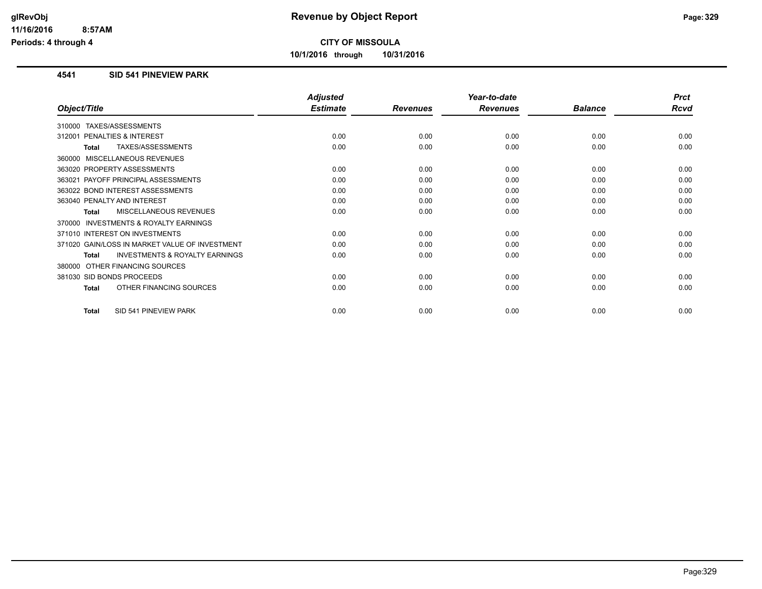**10/1/2016 through 10/31/2016**

#### **4541 SID 541 PINEVIEW PARK**

|                                                    | <b>Adjusted</b> |                 | Year-to-date    |                | <b>Prct</b> |
|----------------------------------------------------|-----------------|-----------------|-----------------|----------------|-------------|
| Object/Title                                       | <b>Estimate</b> | <b>Revenues</b> | <b>Revenues</b> | <b>Balance</b> | <b>Rcvd</b> |
| TAXES/ASSESSMENTS<br>310000                        |                 |                 |                 |                |             |
| 312001 PENALTIES & INTEREST                        | 0.00            | 0.00            | 0.00            | 0.00           | 0.00        |
| TAXES/ASSESSMENTS<br><b>Total</b>                  | 0.00            | 0.00            | 0.00            | 0.00           | 0.00        |
| 360000 MISCELLANEOUS REVENUES                      |                 |                 |                 |                |             |
| 363020 PROPERTY ASSESSMENTS                        | 0.00            | 0.00            | 0.00            | 0.00           | 0.00        |
| 363021 PAYOFF PRINCIPAL ASSESSMENTS                | 0.00            | 0.00            | 0.00            | 0.00           | 0.00        |
| 363022 BOND INTEREST ASSESSMENTS                   | 0.00            | 0.00            | 0.00            | 0.00           | 0.00        |
| 363040 PENALTY AND INTEREST                        | 0.00            | 0.00            | 0.00            | 0.00           | 0.00        |
| <b>MISCELLANEOUS REVENUES</b><br>Total             | 0.00            | 0.00            | 0.00            | 0.00           | 0.00        |
| 370000 INVESTMENTS & ROYALTY EARNINGS              |                 |                 |                 |                |             |
| 371010 INTEREST ON INVESTMENTS                     | 0.00            | 0.00            | 0.00            | 0.00           | 0.00        |
| 371020 GAIN/LOSS IN MARKET VALUE OF INVESTMENT     | 0.00            | 0.00            | 0.00            | 0.00           | 0.00        |
| <b>INVESTMENTS &amp; ROYALTY EARNINGS</b><br>Total | 0.00            | 0.00            | 0.00            | 0.00           | 0.00        |
| 380000 OTHER FINANCING SOURCES                     |                 |                 |                 |                |             |
| 381030 SID BONDS PROCEEDS                          | 0.00            | 0.00            | 0.00            | 0.00           | 0.00        |
| OTHER FINANCING SOURCES<br><b>Total</b>            | 0.00            | 0.00            | 0.00            | 0.00           | 0.00        |
| SID 541 PINEVIEW PARK<br><b>Total</b>              | 0.00            | 0.00            | 0.00            | 0.00           | 0.00        |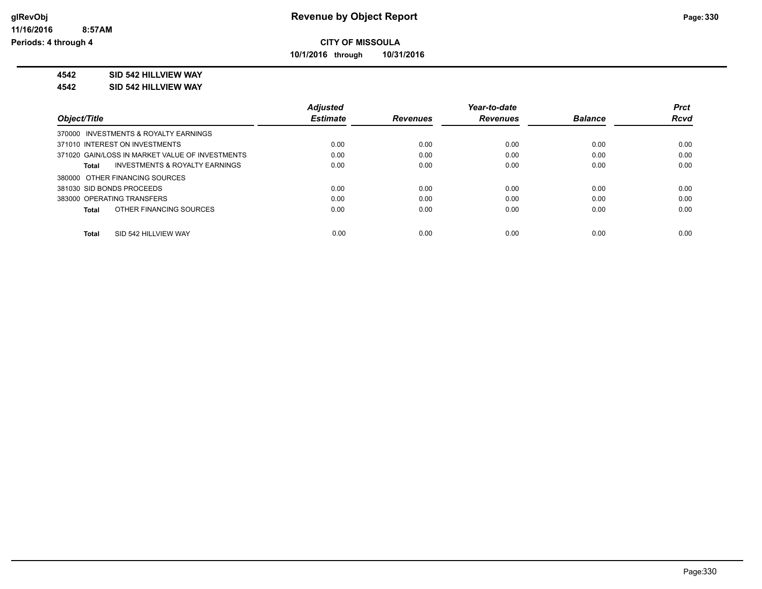**10/1/2016 through 10/31/2016**

#### **4542 SID 542 HILLVIEW WAY**

#### **4542 SID 542 HILLVIEW WAY**

|                                |                                                 | <b>Adjusted</b> |                 | Year-to-date    |                | <b>Prct</b> |
|--------------------------------|-------------------------------------------------|-----------------|-----------------|-----------------|----------------|-------------|
| Object/Title                   |                                                 | <b>Estimate</b> | <b>Revenues</b> | <b>Revenues</b> | <b>Balance</b> | <b>Rcvd</b> |
|                                | 370000 INVESTMENTS & ROYALTY EARNINGS           |                 |                 |                 |                |             |
| 371010 INTEREST ON INVESTMENTS |                                                 | 0.00            | 0.00            | 0.00            | 0.00           | 0.00        |
|                                | 371020 GAIN/LOSS IN MARKET VALUE OF INVESTMENTS | 0.00            | 0.00            | 0.00            | 0.00           | 0.00        |
| Total                          | <b>INVESTMENTS &amp; ROYALTY EARNINGS</b>       | 0.00            | 0.00            | 0.00            | 0.00           | 0.00        |
| 380000 OTHER FINANCING SOURCES |                                                 |                 |                 |                 |                |             |
| 381030 SID BONDS PROCEEDS      |                                                 | 0.00            | 0.00            | 0.00            | 0.00           | 0.00        |
| 383000 OPERATING TRANSFERS     |                                                 | 0.00            | 0.00            | 0.00            | 0.00           | 0.00        |
| Total                          | OTHER FINANCING SOURCES                         | 0.00            | 0.00            | 0.00            | 0.00           | 0.00        |
| <b>Total</b>                   | SID 542 HILLVIEW WAY                            | 0.00            | 0.00            | 0.00            | 0.00           | 0.00        |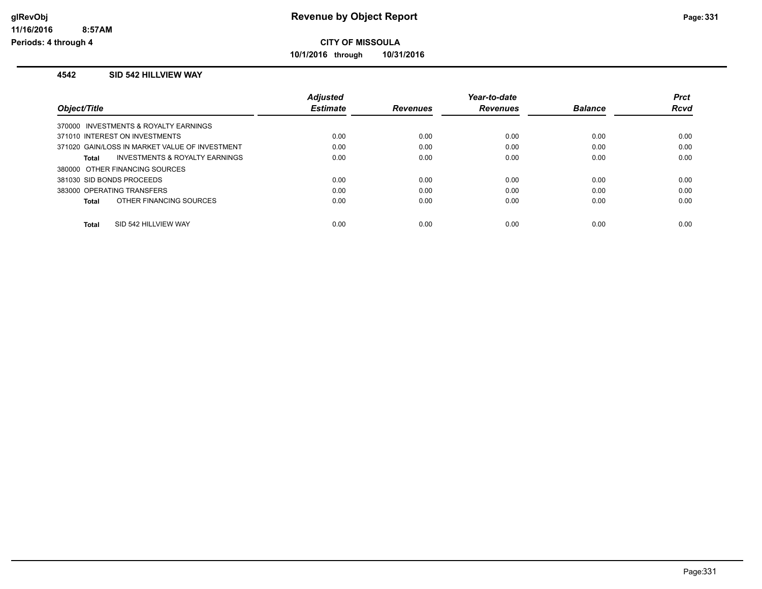**10/1/2016 through 10/31/2016**

#### **4542 SID 542 HILLVIEW WAY**

|                                                    | <b>Adjusted</b> |                 | Year-to-date    |                | <b>Prct</b> |
|----------------------------------------------------|-----------------|-----------------|-----------------|----------------|-------------|
| Object/Title                                       | <b>Estimate</b> | <b>Revenues</b> | <b>Revenues</b> | <b>Balance</b> | <b>Rcvd</b> |
| 370000 INVESTMENTS & ROYALTY EARNINGS              |                 |                 |                 |                |             |
| 371010 INTEREST ON INVESTMENTS                     | 0.00            | 0.00            | 0.00            | 0.00           | 0.00        |
| 371020 GAIN/LOSS IN MARKET VALUE OF INVESTMENT     | 0.00            | 0.00            | 0.00            | 0.00           | 0.00        |
| <b>INVESTMENTS &amp; ROYALTY EARNINGS</b><br>Total | 0.00            | 0.00            | 0.00            | 0.00           | 0.00        |
| 380000 OTHER FINANCING SOURCES                     |                 |                 |                 |                |             |
| 381030 SID BONDS PROCEEDS                          | 0.00            | 0.00            | 0.00            | 0.00           | 0.00        |
| 383000 OPERATING TRANSFERS                         | 0.00            | 0.00            | 0.00            | 0.00           | 0.00        |
| OTHER FINANCING SOURCES<br><b>Total</b>            | 0.00            | 0.00            | 0.00            | 0.00           | 0.00        |
|                                                    |                 |                 |                 |                |             |
| SID 542 HILLVIEW WAY<br><b>Total</b>               | 0.00            | 0.00            | 0.00            | 0.00           | 0.00        |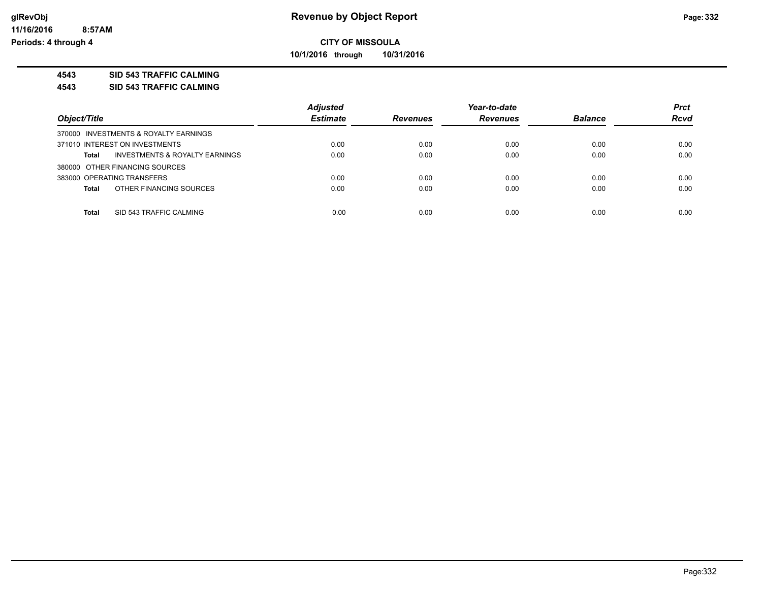**10/1/2016 through 10/31/2016**

#### **4543 SID 543 TRAFFIC CALMING**

#### **4543 SID 543 TRAFFIC CALMING**

|                                                           | <b>Adjusted</b> |                 | Year-to-date    |                | <b>Prct</b> |
|-----------------------------------------------------------|-----------------|-----------------|-----------------|----------------|-------------|
| Object/Title                                              | <b>Estimate</b> | <b>Revenues</b> | <b>Revenues</b> | <b>Balance</b> | <b>Rcvd</b> |
| 370000 INVESTMENTS & ROYALTY EARNINGS                     |                 |                 |                 |                |             |
| 371010 INTEREST ON INVESTMENTS                            | 0.00            | 0.00            | 0.00            | 0.00           | 0.00        |
| <b>INVESTMENTS &amp; ROYALTY EARNINGS</b><br><b>Total</b> | 0.00            | 0.00            | 0.00            | 0.00           | 0.00        |
| 380000 OTHER FINANCING SOURCES                            |                 |                 |                 |                |             |
| 383000 OPERATING TRANSFERS                                | 0.00            | 0.00            | 0.00            | 0.00           | 0.00        |
| OTHER FINANCING SOURCES<br><b>Total</b>                   | 0.00            | 0.00            | 0.00            | 0.00           | 0.00        |
|                                                           |                 |                 |                 |                |             |
| SID 543 TRAFFIC CALMING<br><b>Total</b>                   | 0.00            | 0.00            | 0.00            | 0.00           | 0.00        |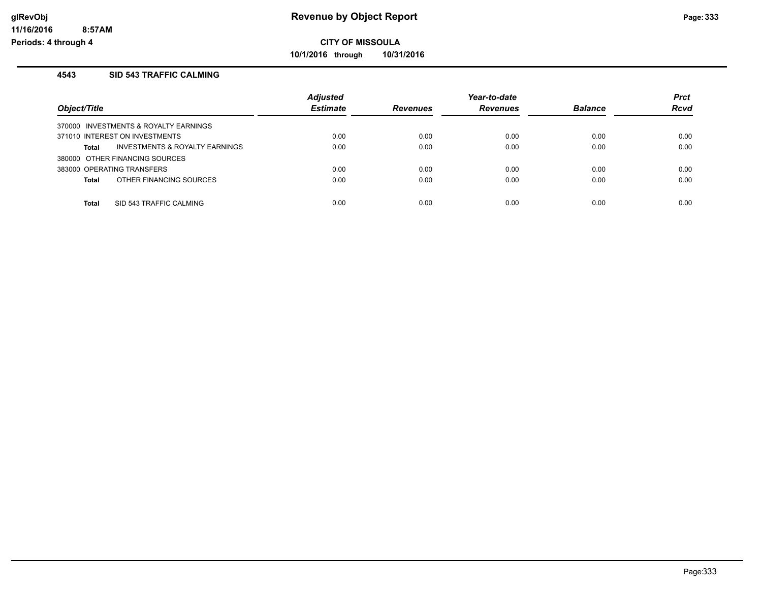**10/1/2016 through 10/31/2016**

#### **4543 SID 543 TRAFFIC CALMING**

| Object/Title                            | <b>Adjusted</b><br><b>Estimate</b> | <b>Revenues</b> | Year-to-date<br><b>Revenues</b> | <b>Balance</b> | <b>Prct</b><br><b>Rcvd</b> |
|-----------------------------------------|------------------------------------|-----------------|---------------------------------|----------------|----------------------------|
| 370000 INVESTMENTS & ROYALTY EARNINGS   |                                    |                 |                                 |                |                            |
| 371010 INTEREST ON INVESTMENTS          | 0.00                               | 0.00            | 0.00                            | 0.00           | 0.00                       |
| INVESTMENTS & ROYALTY EARNINGS<br>Total | 0.00                               | 0.00            | 0.00                            | 0.00           | 0.00                       |
| 380000 OTHER FINANCING SOURCES          |                                    |                 |                                 |                |                            |
| 383000 OPERATING TRANSFERS              | 0.00                               | 0.00            | 0.00                            | 0.00           | 0.00                       |
| OTHER FINANCING SOURCES<br><b>Total</b> | 0.00                               | 0.00            | 0.00                            | 0.00           | 0.00                       |
|                                         |                                    |                 |                                 |                |                            |
| SID 543 TRAFFIC CALMING<br><b>Total</b> | 0.00                               | 0.00            | 0.00                            | 0.00           | 0.00                       |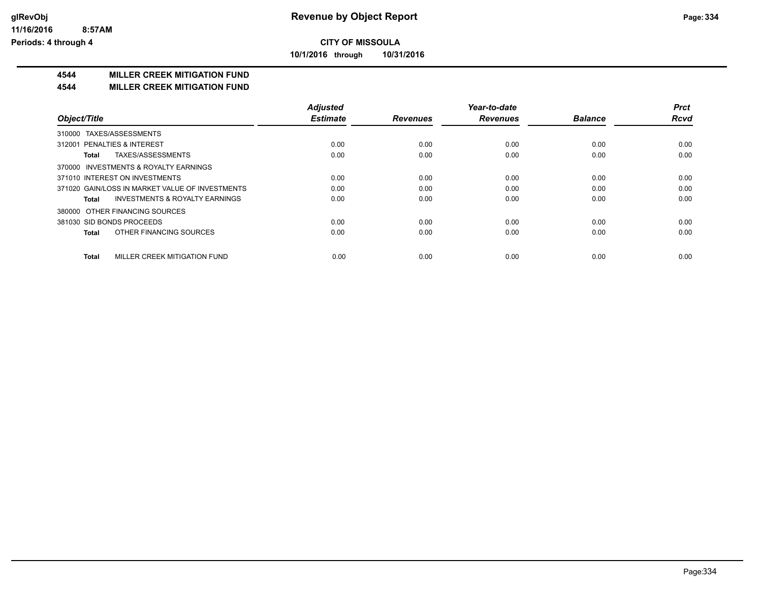**10/1/2016 through 10/31/2016**

#### **4544 MILLER CREEK MITIGATION FUND**

#### **4544 MILLER CREEK MITIGATION FUND**

|                                                    | <b>Adjusted</b> |                 | Year-to-date    |                | <b>Prct</b> |
|----------------------------------------------------|-----------------|-----------------|-----------------|----------------|-------------|
| Object/Title                                       | <b>Estimate</b> | <b>Revenues</b> | <b>Revenues</b> | <b>Balance</b> | <b>Rcvd</b> |
| TAXES/ASSESSMENTS<br>310000                        |                 |                 |                 |                |             |
| 312001 PENALTIES & INTEREST                        | 0.00            | 0.00            | 0.00            | 0.00           | 0.00        |
| TAXES/ASSESSMENTS<br>Total                         | 0.00            | 0.00            | 0.00            | 0.00           | 0.00        |
| 370000 INVESTMENTS & ROYALTY EARNINGS              |                 |                 |                 |                |             |
| 371010 INTEREST ON INVESTMENTS                     | 0.00            | 0.00            | 0.00            | 0.00           | 0.00        |
| 371020 GAIN/LOSS IN MARKET VALUE OF INVESTMENTS    | 0.00            | 0.00            | 0.00            | 0.00           | 0.00        |
| <b>INVESTMENTS &amp; ROYALTY EARNINGS</b><br>Total | 0.00            | 0.00            | 0.00            | 0.00           | 0.00        |
| 380000 OTHER FINANCING SOURCES                     |                 |                 |                 |                |             |
| 381030 SID BONDS PROCEEDS                          | 0.00            | 0.00            | 0.00            | 0.00           | 0.00        |
| OTHER FINANCING SOURCES<br>Total                   | 0.00            | 0.00            | 0.00            | 0.00           | 0.00        |
| MILLER CREEK MITIGATION FUND<br><b>Total</b>       | 0.00            | 0.00            | 0.00            | 0.00           | 0.00        |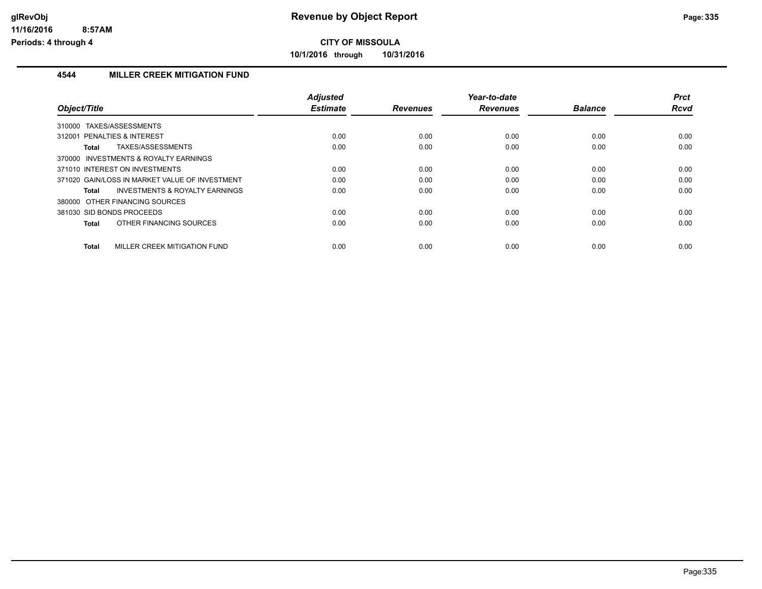**10/1/2016 through 10/31/2016**

#### **4544 MILLER CREEK MITIGATION FUND**

|                                                    | <b>Adjusted</b> |                 | Year-to-date    |                | <b>Prct</b> |
|----------------------------------------------------|-----------------|-----------------|-----------------|----------------|-------------|
| Object/Title                                       | <b>Estimate</b> | <b>Revenues</b> | <b>Revenues</b> | <b>Balance</b> | <b>Rcvd</b> |
| TAXES/ASSESSMENTS<br>310000                        |                 |                 |                 |                |             |
| 312001 PENALTIES & INTEREST                        | 0.00            | 0.00            | 0.00            | 0.00           | 0.00        |
| TAXES/ASSESSMENTS<br>Total                         | 0.00            | 0.00            | 0.00            | 0.00           | 0.00        |
| 370000 INVESTMENTS & ROYALTY EARNINGS              |                 |                 |                 |                |             |
| 371010 INTEREST ON INVESTMENTS                     | 0.00            | 0.00            | 0.00            | 0.00           | 0.00        |
| 371020 GAIN/LOSS IN MARKET VALUE OF INVESTMENT     | 0.00            | 0.00            | 0.00            | 0.00           | 0.00        |
| <b>INVESTMENTS &amp; ROYALTY EARNINGS</b><br>Total | 0.00            | 0.00            | 0.00            | 0.00           | 0.00        |
| 380000 OTHER FINANCING SOURCES                     |                 |                 |                 |                |             |
| 381030 SID BONDS PROCEEDS                          | 0.00            | 0.00            | 0.00            | 0.00           | 0.00        |
| OTHER FINANCING SOURCES<br><b>Total</b>            | 0.00            | 0.00            | 0.00            | 0.00           | 0.00        |
| <b>Total</b><br>MILLER CREEK MITIGATION FUND       | 0.00            | 0.00            | 0.00            | 0.00           | 0.00        |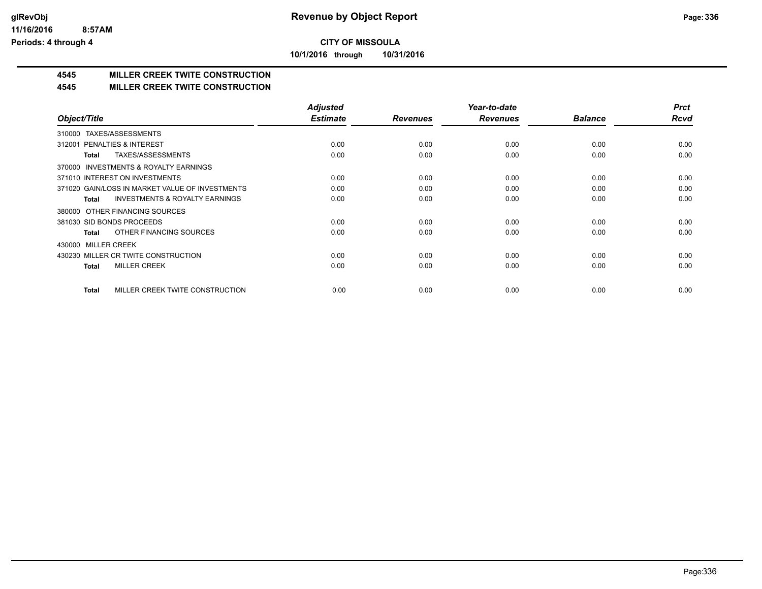**10/1/2016 through 10/31/2016**

# **4545 MILLER CREEK TWITE CONSTRUCTION**

#### **4545 MILLER CREEK TWITE CONSTRUCTION**

|                                                    | <b>Adjusted</b> |                 | Year-to-date    |                | <b>Prct</b> |
|----------------------------------------------------|-----------------|-----------------|-----------------|----------------|-------------|
| Object/Title                                       | <b>Estimate</b> | <b>Revenues</b> | <b>Revenues</b> | <b>Balance</b> | Rcvd        |
| TAXES/ASSESSMENTS<br>310000                        |                 |                 |                 |                |             |
| 312001 PENALTIES & INTEREST                        | 0.00            | 0.00            | 0.00            | 0.00           | 0.00        |
| TAXES/ASSESSMENTS<br>Total                         | 0.00            | 0.00            | 0.00            | 0.00           | 0.00        |
| 370000 INVESTMENTS & ROYALTY EARNINGS              |                 |                 |                 |                |             |
| 371010 INTEREST ON INVESTMENTS                     | 0.00            | 0.00            | 0.00            | 0.00           | 0.00        |
| 371020 GAIN/LOSS IN MARKET VALUE OF INVESTMENTS    | 0.00            | 0.00            | 0.00            | 0.00           | 0.00        |
| <b>INVESTMENTS &amp; ROYALTY EARNINGS</b><br>Total | 0.00            | 0.00            | 0.00            | 0.00           | 0.00        |
| 380000 OTHER FINANCING SOURCES                     |                 |                 |                 |                |             |
| 381030 SID BONDS PROCEEDS                          | 0.00            | 0.00            | 0.00            | 0.00           | 0.00        |
| OTHER FINANCING SOURCES<br>Total                   | 0.00            | 0.00            | 0.00            | 0.00           | 0.00        |
| <b>MILLER CREEK</b><br>430000                      |                 |                 |                 |                |             |
| 430230 MILLER CR TWITE CONSTRUCTION                | 0.00            | 0.00            | 0.00            | 0.00           | 0.00        |
| <b>MILLER CREEK</b><br>Total                       | 0.00            | 0.00            | 0.00            | 0.00           | 0.00        |
|                                                    |                 |                 |                 |                |             |
| MILLER CREEK TWITE CONSTRUCTION<br>Total           | 0.00            | 0.00            | 0.00            | 0.00           | 0.00        |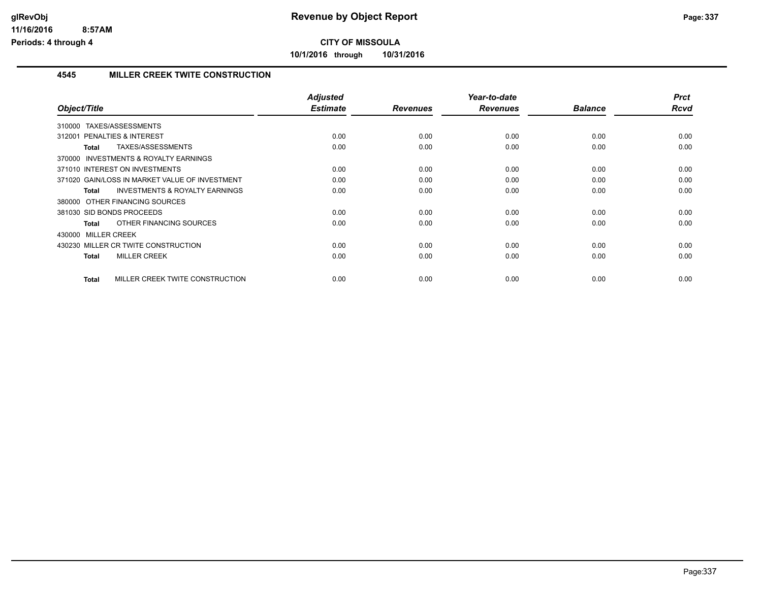**10/1/2016 through 10/31/2016**

#### **4545 MILLER CREEK TWITE CONSTRUCTION**

| <b>Estimate</b> |      | <b>Revenues</b>         | <b>Balance</b> | <b>Prct</b><br><b>Rcvd</b> |
|-----------------|------|-------------------------|----------------|----------------------------|
|                 |      |                         |                |                            |
|                 |      |                         |                |                            |
| 0.00            | 0.00 | 0.00                    | 0.00           | 0.00                       |
| 0.00            | 0.00 | 0.00                    | 0.00           | 0.00                       |
|                 |      |                         |                |                            |
| 0.00            | 0.00 | 0.00                    | 0.00           | 0.00                       |
| 0.00            | 0.00 | 0.00                    | 0.00           | 0.00                       |
| 0.00            | 0.00 | 0.00                    | 0.00           | 0.00                       |
|                 |      |                         |                |                            |
| 0.00            | 0.00 | 0.00                    | 0.00           | 0.00                       |
| 0.00            | 0.00 | 0.00                    | 0.00           | 0.00                       |
|                 |      |                         |                |                            |
| 0.00            | 0.00 | 0.00                    | 0.00           | 0.00                       |
| 0.00            | 0.00 | 0.00                    | 0.00           | 0.00                       |
|                 |      |                         |                | 0.00                       |
|                 | 0.00 | <b>Revenues</b><br>0.00 | 0.00           | 0.00                       |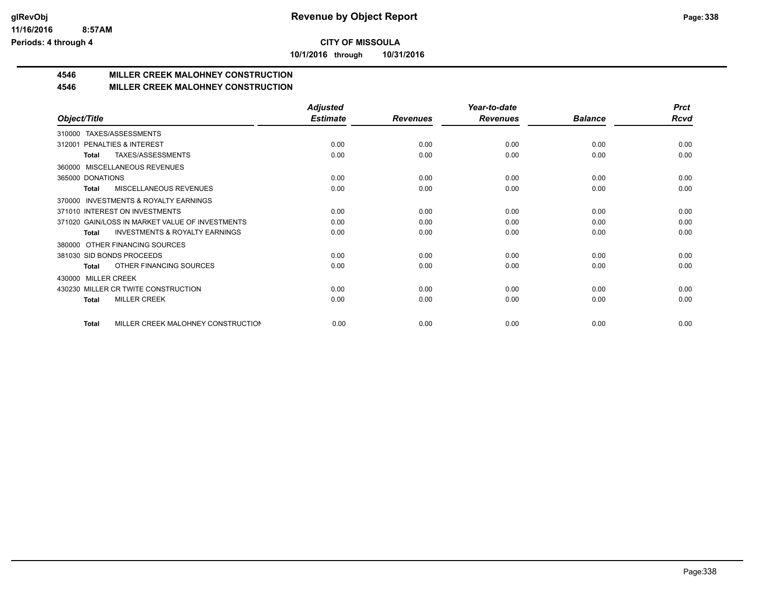**10/1/2016 through 10/31/2016**

# **4546 MILLER CREEK MALOHNEY CONSTRUCTION**

### **4546 MILLER CREEK MALOHNEY CONSTRUCTION**

|                                                           | <b>Adjusted</b> |                 | Year-to-date    |                | <b>Prct</b> |
|-----------------------------------------------------------|-----------------|-----------------|-----------------|----------------|-------------|
| Object/Title                                              | <b>Estimate</b> | <b>Revenues</b> | <b>Revenues</b> | <b>Balance</b> | <b>Rcvd</b> |
| TAXES/ASSESSMENTS<br>310000                               |                 |                 |                 |                |             |
| PENALTIES & INTEREST<br>312001                            | 0.00            | 0.00            | 0.00            | 0.00           | 0.00        |
| <b>TAXES/ASSESSMENTS</b><br>Total                         | 0.00            | 0.00            | 0.00            | 0.00           | 0.00        |
| MISCELLANEOUS REVENUES<br>360000                          |                 |                 |                 |                |             |
| 365000 DONATIONS                                          | 0.00            | 0.00            | 0.00            | 0.00           | 0.00        |
| MISCELLANEOUS REVENUES<br><b>Total</b>                    | 0.00            | 0.00            | 0.00            | 0.00           | 0.00        |
| <b>INVESTMENTS &amp; ROYALTY EARNINGS</b><br>370000       |                 |                 |                 |                |             |
| 371010 INTEREST ON INVESTMENTS                            | 0.00            | 0.00            | 0.00            | 0.00           | 0.00        |
| 371020 GAIN/LOSS IN MARKET VALUE OF INVESTMENTS           | 0.00            | 0.00            | 0.00            | 0.00           | 0.00        |
| <b>INVESTMENTS &amp; ROYALTY EARNINGS</b><br><b>Total</b> | 0.00            | 0.00            | 0.00            | 0.00           | 0.00        |
| OTHER FINANCING SOURCES<br>380000                         |                 |                 |                 |                |             |
| 381030 SID BONDS PROCEEDS                                 | 0.00            | 0.00            | 0.00            | 0.00           | 0.00        |
| OTHER FINANCING SOURCES<br><b>Total</b>                   | 0.00            | 0.00            | 0.00            | 0.00           | 0.00        |
| <b>MILLER CREEK</b><br>430000                             |                 |                 |                 |                |             |
| 430230 MILLER CR TWITE CONSTRUCTION                       | 0.00            | 0.00            | 0.00            | 0.00           | 0.00        |
| <b>MILLER CREEK</b><br><b>Total</b>                       | 0.00            | 0.00            | 0.00            | 0.00           | 0.00        |
| MILLER CREEK MALOHNEY CONSTRUCTION<br><b>Total</b>        | 0.00            | 0.00            | 0.00            | 0.00           | 0.00        |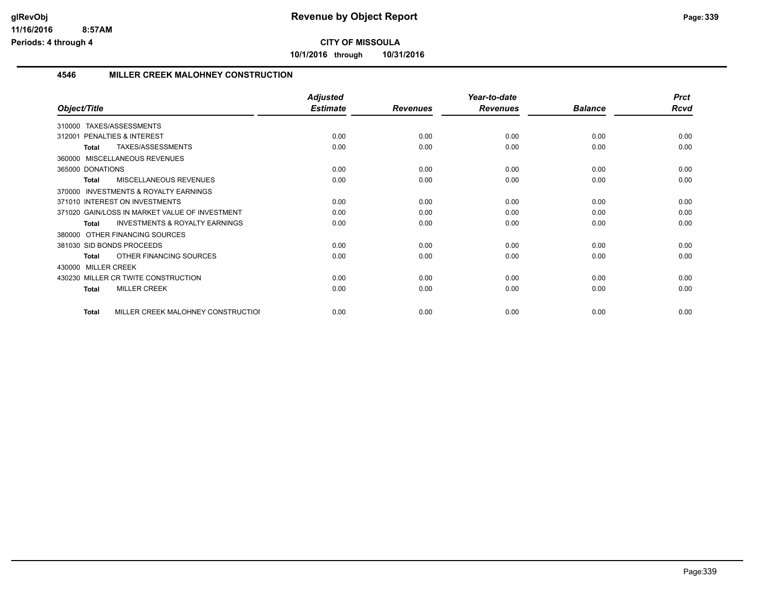**Periods: 4 through 4**

**CITY OF MISSOULA**

**10/1/2016 through 10/31/2016**

#### **4546 MILLER CREEK MALOHNEY CONSTRUCTION**

|                                                    | <b>Adjusted</b> |                 | Year-to-date    |                | <b>Prct</b> |
|----------------------------------------------------|-----------------|-----------------|-----------------|----------------|-------------|
| Object/Title                                       | <b>Estimate</b> | <b>Revenues</b> | <b>Revenues</b> | <b>Balance</b> | <b>Rcvd</b> |
| TAXES/ASSESSMENTS<br>310000                        |                 |                 |                 |                |             |
| PENALTIES & INTEREST<br>312001                     | 0.00            | 0.00            | 0.00            | 0.00           | 0.00        |
| TAXES/ASSESSMENTS<br>Total                         | 0.00            | 0.00            | 0.00            | 0.00           | 0.00        |
| 360000 MISCELLANEOUS REVENUES                      |                 |                 |                 |                |             |
| 365000 DONATIONS                                   | 0.00            | 0.00            | 0.00            | 0.00           | 0.00        |
| MISCELLANEOUS REVENUES<br><b>Total</b>             | 0.00            | 0.00            | 0.00            | 0.00           | 0.00        |
| INVESTMENTS & ROYALTY EARNINGS<br>370000           |                 |                 |                 |                |             |
| 371010 INTEREST ON INVESTMENTS                     | 0.00            | 0.00            | 0.00            | 0.00           | 0.00        |
| 371020 GAIN/LOSS IN MARKET VALUE OF INVESTMENT     | 0.00            | 0.00            | 0.00            | 0.00           | 0.00        |
| <b>INVESTMENTS &amp; ROYALTY EARNINGS</b><br>Total | 0.00            | 0.00            | 0.00            | 0.00           | 0.00        |
| 380000 OTHER FINANCING SOURCES                     |                 |                 |                 |                |             |
| 381030 SID BONDS PROCEEDS                          | 0.00            | 0.00            | 0.00            | 0.00           | 0.00        |
| OTHER FINANCING SOURCES<br>Total                   | 0.00            | 0.00            | 0.00            | 0.00           | 0.00        |
| 430000 MILLER CREEK                                |                 |                 |                 |                |             |
| 430230 MILLER CR TWITE CONSTRUCTION                | 0.00            | 0.00            | 0.00            | 0.00           | 0.00        |
| <b>MILLER CREEK</b><br><b>Total</b>                | 0.00            | 0.00            | 0.00            | 0.00           | 0.00        |
| MILLER CREEK MALOHNEY CONSTRUCTIOI<br>Total        | 0.00            | 0.00            | 0.00            | 0.00           | 0.00        |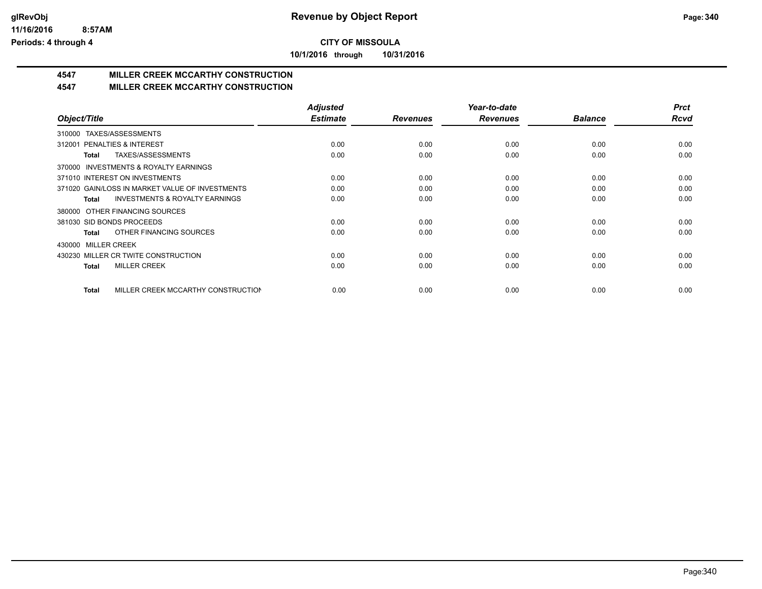**Periods: 4 through 4**

 **8:57AM**

**CITY OF MISSOULA**

**10/1/2016 through 10/31/2016**

# **4547 MILLER CREEK MCCARTHY CONSTRUCTION**

### **4547 MILLER CREEK MCCARTHY CONSTRUCTION**

|                                                     | <b>Adjusted</b> |                 | Year-to-date    |                | <b>Prct</b> |
|-----------------------------------------------------|-----------------|-----------------|-----------------|----------------|-------------|
| Object/Title                                        | <b>Estimate</b> | <b>Revenues</b> | <b>Revenues</b> | <b>Balance</b> | <b>Rcvd</b> |
| TAXES/ASSESSMENTS<br>310000                         |                 |                 |                 |                |             |
| <b>PENALTIES &amp; INTEREST</b><br>312001           | 0.00            | 0.00            | 0.00            | 0.00           | 0.00        |
| <b>TAXES/ASSESSMENTS</b><br>Total                   | 0.00            | 0.00            | 0.00            | 0.00           | 0.00        |
| <b>INVESTMENTS &amp; ROYALTY EARNINGS</b><br>370000 |                 |                 |                 |                |             |
| 371010 INTEREST ON INVESTMENTS                      | 0.00            | 0.00            | 0.00            | 0.00           | 0.00        |
| 371020 GAIN/LOSS IN MARKET VALUE OF INVESTMENTS     | 0.00            | 0.00            | 0.00            | 0.00           | 0.00        |
| <b>INVESTMENTS &amp; ROYALTY EARNINGS</b><br>Total  | 0.00            | 0.00            | 0.00            | 0.00           | 0.00        |
| OTHER FINANCING SOURCES<br>380000                   |                 |                 |                 |                |             |
| 381030 SID BONDS PROCEEDS                           | 0.00            | 0.00            | 0.00            | 0.00           | 0.00        |
| OTHER FINANCING SOURCES<br>Total                    | 0.00            | 0.00            | 0.00            | 0.00           | 0.00        |
| <b>MILLER CREEK</b><br>430000                       |                 |                 |                 |                |             |
| 430230 MILLER CR TWITE CONSTRUCTION                 | 0.00            | 0.00            | 0.00            | 0.00           | 0.00        |
| <b>MILLER CREEK</b><br><b>Total</b>                 | 0.00            | 0.00            | 0.00            | 0.00           | 0.00        |
|                                                     |                 |                 |                 |                |             |
| MILLER CREEK MCCARTHY CONSTRUCTION<br><b>Total</b>  | 0.00            | 0.00            | 0.00            | 0.00           | 0.00        |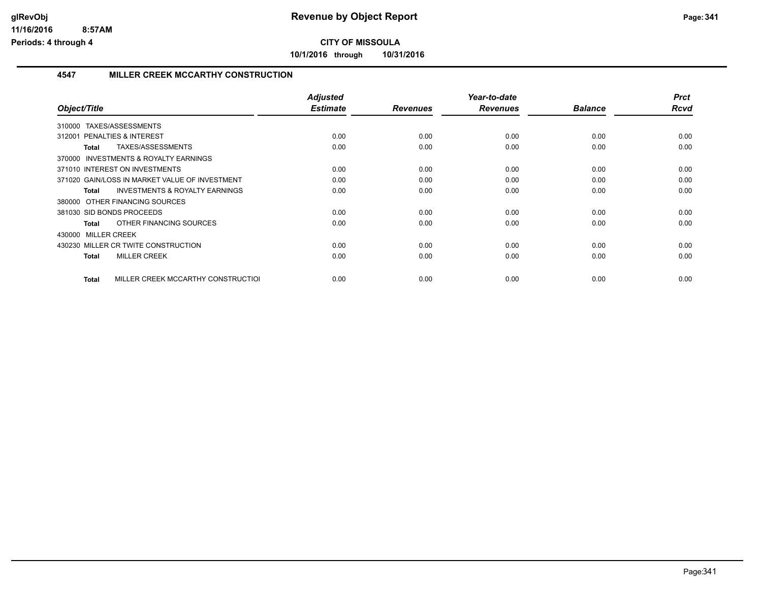**10/1/2016 through 10/31/2016**

#### **4547 MILLER CREEK MCCARTHY CONSTRUCTION**

| Object/Title                                              | <b>Adjusted</b><br><b>Estimate</b> | <b>Revenues</b> | Year-to-date<br><b>Revenues</b> | <b>Balance</b> | <b>Prct</b><br><b>Rcvd</b> |
|-----------------------------------------------------------|------------------------------------|-----------------|---------------------------------|----------------|----------------------------|
| 310000 TAXES/ASSESSMENTS                                  |                                    |                 |                                 |                |                            |
| 312001 PENALTIES & INTEREST                               | 0.00                               | 0.00            | 0.00                            | 0.00           | 0.00                       |
| TAXES/ASSESSMENTS<br>Total                                | 0.00                               | 0.00            | 0.00                            | 0.00           | 0.00                       |
| <b>INVESTMENTS &amp; ROYALTY EARNINGS</b><br>370000       |                                    |                 |                                 |                |                            |
| 371010 INTEREST ON INVESTMENTS                            | 0.00                               | 0.00            | 0.00                            | 0.00           | 0.00                       |
| 371020 GAIN/LOSS IN MARKET VALUE OF INVESTMENT            | 0.00                               | 0.00            | 0.00                            | 0.00           | 0.00                       |
| <b>INVESTMENTS &amp; ROYALTY EARNINGS</b><br><b>Total</b> | 0.00                               | 0.00            | 0.00                            | 0.00           | 0.00                       |
| 380000 OTHER FINANCING SOURCES                            |                                    |                 |                                 |                |                            |
| 381030 SID BONDS PROCEEDS                                 | 0.00                               | 0.00            | 0.00                            | 0.00           | 0.00                       |
| OTHER FINANCING SOURCES<br>Total                          | 0.00                               | 0.00            | 0.00                            | 0.00           | 0.00                       |
| 430000 MILLER CREEK                                       |                                    |                 |                                 |                |                            |
| 430230 MILLER CR TWITE CONSTRUCTION                       | 0.00                               | 0.00            | 0.00                            | 0.00           | 0.00                       |
| <b>MILLER CREEK</b><br><b>Total</b>                       | 0.00                               | 0.00            | 0.00                            | 0.00           | 0.00                       |
|                                                           |                                    |                 |                                 |                |                            |
| MILLER CREEK MCCARTHY CONSTRUCTIOL<br><b>Total</b>        | 0.00                               | 0.00            | 0.00                            | 0.00           | 0.00                       |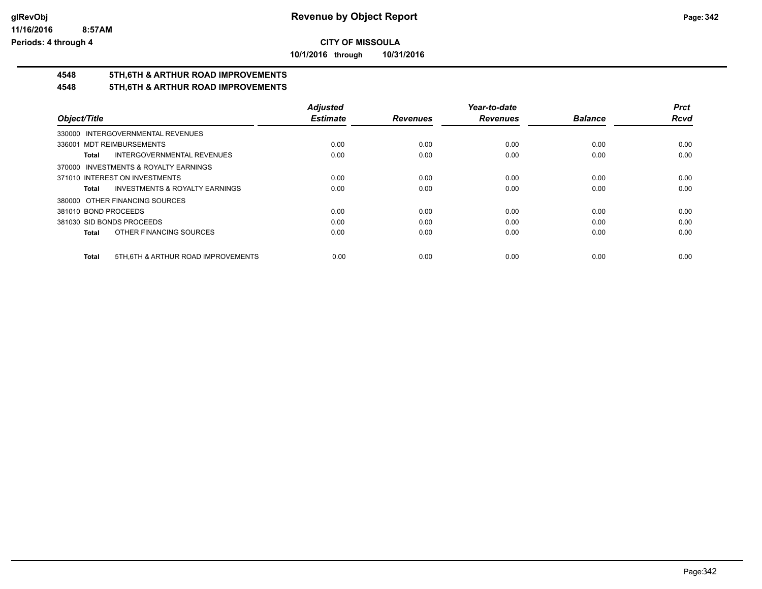**Periods: 4 through 4**

**CITY OF MISSOULA**

**10/1/2016 through 10/31/2016**

# **4548 5TH,6TH & ARTHUR ROAD IMPROVEMENTS**

# **4548 5TH,6TH & ARTHUR ROAD IMPROVEMENTS**

|                                                    | <b>Adjusted</b> |                 | Year-to-date    |                | <b>Prct</b> |
|----------------------------------------------------|-----------------|-----------------|-----------------|----------------|-------------|
| Object/Title                                       | <b>Estimate</b> | <b>Revenues</b> | <b>Revenues</b> | <b>Balance</b> | <b>Rcvd</b> |
| 330000 INTERGOVERNMENTAL REVENUES                  |                 |                 |                 |                |             |
| <b>MDT REIMBURSEMENTS</b><br>336001                | 0.00            | 0.00            | 0.00            | 0.00           | 0.00        |
| INTERGOVERNMENTAL REVENUES<br>Total                | 0.00            | 0.00            | 0.00            | 0.00           | 0.00        |
| 370000 INVESTMENTS & ROYALTY EARNINGS              |                 |                 |                 |                |             |
| 371010 INTEREST ON INVESTMENTS                     | 0.00            | 0.00            | 0.00            | 0.00           | 0.00        |
| <b>INVESTMENTS &amp; ROYALTY EARNINGS</b><br>Total | 0.00            | 0.00            | 0.00            | 0.00           | 0.00        |
| 380000 OTHER FINANCING SOURCES                     |                 |                 |                 |                |             |
| 381010 BOND PROCEEDS                               | 0.00            | 0.00            | 0.00            | 0.00           | 0.00        |
| 381030 SID BONDS PROCEEDS                          | 0.00            | 0.00            | 0.00            | 0.00           | 0.00        |
| OTHER FINANCING SOURCES<br>Total                   | 0.00            | 0.00            | 0.00            | 0.00           | 0.00        |
| Total<br>5TH.6TH & ARTHUR ROAD IMPROVEMENTS        | 0.00            | 0.00            | 0.00            | 0.00           | 0.00        |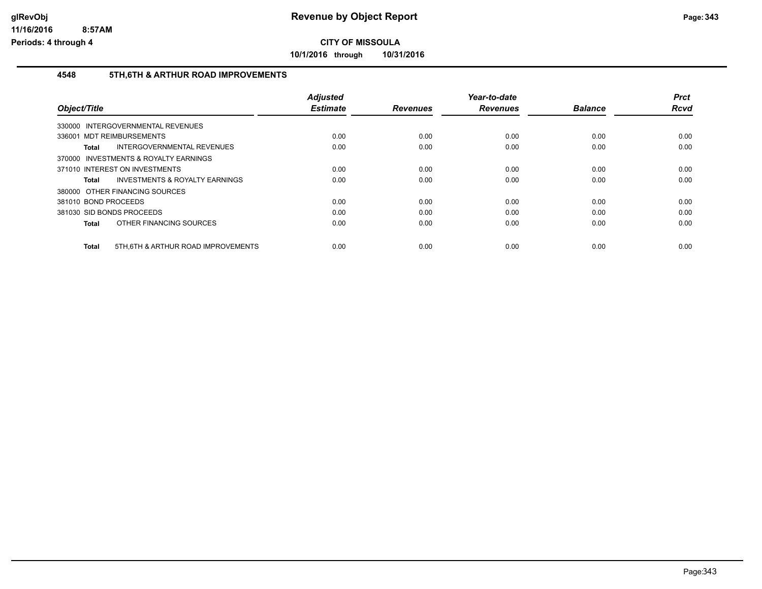**10/1/2016 through 10/31/2016**

#### **4548 5TH,6TH & ARTHUR ROAD IMPROVEMENTS**

|                                                     | <b>Adjusted</b> |                 | Year-to-date    |                | <b>Prct</b> |
|-----------------------------------------------------|-----------------|-----------------|-----------------|----------------|-------------|
| Object/Title                                        | <b>Estimate</b> | <b>Revenues</b> | <b>Revenues</b> | <b>Balance</b> | <b>Rcvd</b> |
| 330000 INTERGOVERNMENTAL REVENUES                   |                 |                 |                 |                |             |
| 336001 MDT REIMBURSEMENTS                           | 0.00            | 0.00            | 0.00            | 0.00           | 0.00        |
| <b>INTERGOVERNMENTAL REVENUES</b><br>Total          | 0.00            | 0.00            | 0.00            | 0.00           | 0.00        |
| 370000 INVESTMENTS & ROYALTY EARNINGS               |                 |                 |                 |                |             |
| 371010 INTEREST ON INVESTMENTS                      | 0.00            | 0.00            | 0.00            | 0.00           | 0.00        |
| <b>INVESTMENTS &amp; ROYALTY EARNINGS</b><br>Total  | 0.00            | 0.00            | 0.00            | 0.00           | 0.00        |
| 380000 OTHER FINANCING SOURCES                      |                 |                 |                 |                |             |
| 381010 BOND PROCEEDS                                | 0.00            | 0.00            | 0.00            | 0.00           | 0.00        |
| 381030 SID BONDS PROCEEDS                           | 0.00            | 0.00            | 0.00            | 0.00           | 0.00        |
| OTHER FINANCING SOURCES<br>Total                    | 0.00            | 0.00            | 0.00            | 0.00           | 0.00        |
| <b>Total</b><br>5TH, 6TH & ARTHUR ROAD IMPROVEMENTS | 0.00            | 0.00            | 0.00            | 0.00           | 0.00        |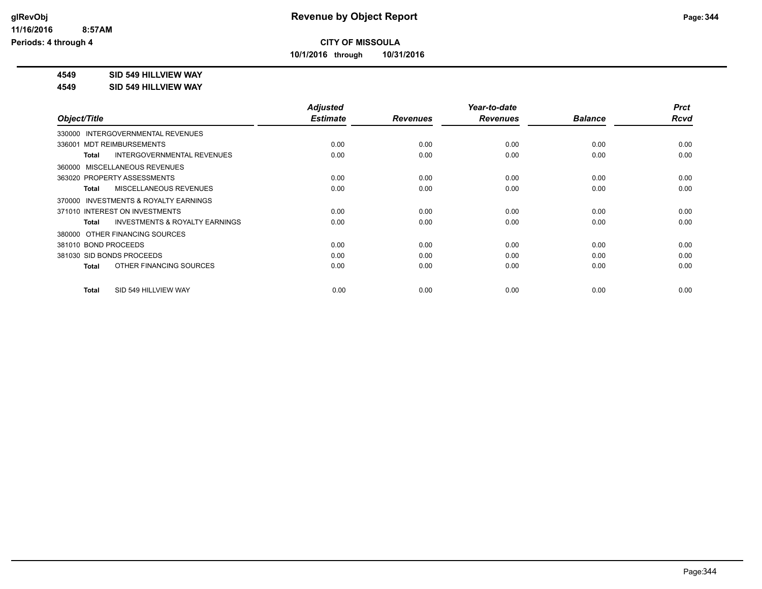**10/1/2016 through 10/31/2016**

#### **4549 SID 549 HILLVIEW WAY**

#### **4549 SID 549 HILLVIEW WAY**

|                                                    | <b>Adjusted</b> |                 | Year-to-date    |                | <b>Prct</b> |
|----------------------------------------------------|-----------------|-----------------|-----------------|----------------|-------------|
| Object/Title                                       | <b>Estimate</b> | <b>Revenues</b> | <b>Revenues</b> | <b>Balance</b> | <b>Rcvd</b> |
| 330000 INTERGOVERNMENTAL REVENUES                  |                 |                 |                 |                |             |
| <b>MDT REIMBURSEMENTS</b><br>336001                | 0.00            | 0.00            | 0.00            | 0.00           | 0.00        |
| <b>INTERGOVERNMENTAL REVENUES</b><br><b>Total</b>  | 0.00            | 0.00            | 0.00            | 0.00           | 0.00        |
| 360000 MISCELLANEOUS REVENUES                      |                 |                 |                 |                |             |
| 363020 PROPERTY ASSESSMENTS                        | 0.00            | 0.00            | 0.00            | 0.00           | 0.00        |
| MISCELLANEOUS REVENUES<br>Total                    | 0.00            | 0.00            | 0.00            | 0.00           | 0.00        |
| 370000 INVESTMENTS & ROYALTY EARNINGS              |                 |                 |                 |                |             |
| 371010 INTEREST ON INVESTMENTS                     | 0.00            | 0.00            | 0.00            | 0.00           | 0.00        |
| <b>INVESTMENTS &amp; ROYALTY EARNINGS</b><br>Total | 0.00            | 0.00            | 0.00            | 0.00           | 0.00        |
| 380000 OTHER FINANCING SOURCES                     |                 |                 |                 |                |             |
| 381010 BOND PROCEEDS                               | 0.00            | 0.00            | 0.00            | 0.00           | 0.00        |
| 381030 SID BONDS PROCEEDS                          | 0.00            | 0.00            | 0.00            | 0.00           | 0.00        |
| OTHER FINANCING SOURCES<br><b>Total</b>            | 0.00            | 0.00            | 0.00            | 0.00           | 0.00        |
|                                                    |                 |                 |                 |                |             |
| SID 549 HILLVIEW WAY<br><b>Total</b>               | 0.00            | 0.00            | 0.00            | 0.00           | 0.00        |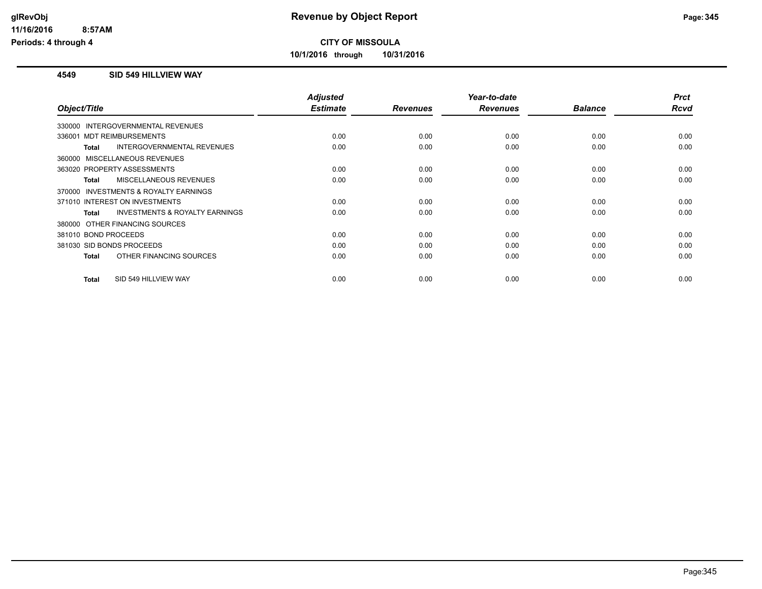**10/1/2016 through 10/31/2016**

#### **4549 SID 549 HILLVIEW WAY**

|                                                           | <b>Adjusted</b> |                 | Year-to-date    |                | <b>Prct</b> |
|-----------------------------------------------------------|-----------------|-----------------|-----------------|----------------|-------------|
| Object/Title                                              | <b>Estimate</b> | <b>Revenues</b> | <b>Revenues</b> | <b>Balance</b> | <b>Rcvd</b> |
| 330000 INTERGOVERNMENTAL REVENUES                         |                 |                 |                 |                |             |
| 336001 MDT REIMBURSEMENTS                                 | 0.00            | 0.00            | 0.00            | 0.00           | 0.00        |
| INTERGOVERNMENTAL REVENUES<br><b>Total</b>                | 0.00            | 0.00            | 0.00            | 0.00           | 0.00        |
| 360000 MISCELLANEOUS REVENUES                             |                 |                 |                 |                |             |
| 363020 PROPERTY ASSESSMENTS                               | 0.00            | 0.00            | 0.00            | 0.00           | 0.00        |
| MISCELLANEOUS REVENUES<br><b>Total</b>                    | 0.00            | 0.00            | 0.00            | 0.00           | 0.00        |
| 370000 INVESTMENTS & ROYALTY EARNINGS                     |                 |                 |                 |                |             |
| 371010 INTEREST ON INVESTMENTS                            | 0.00            | 0.00            | 0.00            | 0.00           | 0.00        |
| <b>INVESTMENTS &amp; ROYALTY EARNINGS</b><br><b>Total</b> | 0.00            | 0.00            | 0.00            | 0.00           | 0.00        |
| 380000 OTHER FINANCING SOURCES                            |                 |                 |                 |                |             |
| 381010 BOND PROCEEDS                                      | 0.00            | 0.00            | 0.00            | 0.00           | 0.00        |
| 381030 SID BONDS PROCEEDS                                 | 0.00            | 0.00            | 0.00            | 0.00           | 0.00        |
| OTHER FINANCING SOURCES<br><b>Total</b>                   | 0.00            | 0.00            | 0.00            | 0.00           | 0.00        |
| SID 549 HILLVIEW WAY<br><b>Total</b>                      | 0.00            | 0.00            | 0.00            | 0.00           | 0.00        |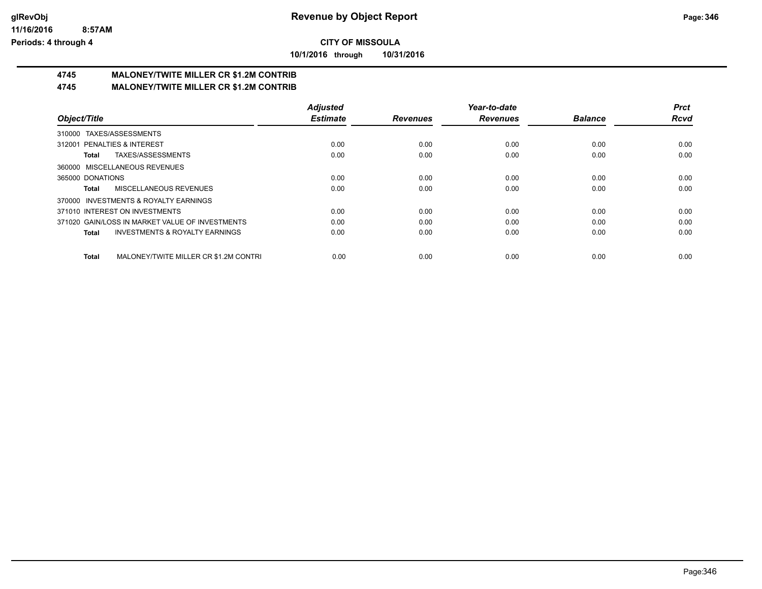**11/16/2016 8:57AM Periods: 4 through 4**

#### **CITY OF MISSOULA**

**10/1/2016 through 10/31/2016**

# **4745 MALONEY/TWITE MILLER CR \$1.2M CONTRIB**

## **4745 MALONEY/TWITE MILLER CR \$1.2M CONTRIB**

|                                                           | <b>Adjusted</b> |                 | Year-to-date    |                | <b>Prct</b> |
|-----------------------------------------------------------|-----------------|-----------------|-----------------|----------------|-------------|
| Object/Title                                              | <b>Estimate</b> | <b>Revenues</b> | <b>Revenues</b> | <b>Balance</b> | <b>Rcvd</b> |
| 310000 TAXES/ASSESSMENTS                                  |                 |                 |                 |                |             |
| 312001 PENALTIES & INTEREST                               | 0.00            | 0.00            | 0.00            | 0.00           | 0.00        |
| TAXES/ASSESSMENTS<br>Total                                | 0.00            | 0.00            | 0.00            | 0.00           | 0.00        |
| 360000 MISCELLANEOUS REVENUES                             |                 |                 |                 |                |             |
| 365000 DONATIONS                                          | 0.00            | 0.00            | 0.00            | 0.00           | 0.00        |
| MISCELLANEOUS REVENUES<br><b>Total</b>                    | 0.00            | 0.00            | 0.00            | 0.00           | 0.00        |
| 370000 INVESTMENTS & ROYALTY EARNINGS                     |                 |                 |                 |                |             |
| 371010 INTEREST ON INVESTMENTS                            | 0.00            | 0.00            | 0.00            | 0.00           | 0.00        |
| 371020 GAIN/LOSS IN MARKET VALUE OF INVESTMENTS           | 0.00            | 0.00            | 0.00            | 0.00           | 0.00        |
| <b>INVESTMENTS &amp; ROYALTY EARNINGS</b><br><b>Total</b> | 0.00            | 0.00            | 0.00            | 0.00           | 0.00        |
| MALONEY/TWITE MILLER CR \$1.2M CONTRI<br><b>Total</b>     | 0.00            | 0.00            | 0.00            | 0.00           | 0.00        |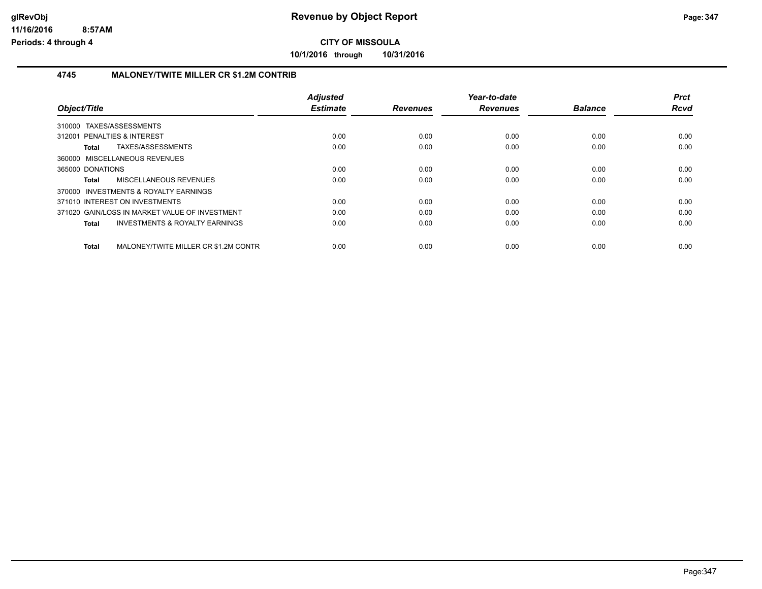**10/1/2016 through 10/31/2016**

#### **4745 MALONEY/TWITE MILLER CR \$1.2M CONTRIB**

|                                |                                                | <b>Adjusted</b> |                 | Year-to-date    |                | <b>Prct</b> |
|--------------------------------|------------------------------------------------|-----------------|-----------------|-----------------|----------------|-------------|
| Object/Title                   |                                                | <b>Estimate</b> | <b>Revenues</b> | <b>Revenues</b> | <b>Balance</b> | <b>Rcvd</b> |
| 310000 TAXES/ASSESSMENTS       |                                                |                 |                 |                 |                |             |
| 312001 PENALTIES & INTEREST    |                                                | 0.00            | 0.00            | 0.00            | 0.00           | 0.00        |
| Total                          | TAXES/ASSESSMENTS                              | 0.00            | 0.00            | 0.00            | 0.00           | 0.00        |
| 360000 MISCELLANEOUS REVENUES  |                                                |                 |                 |                 |                |             |
| 365000 DONATIONS               |                                                | 0.00            | 0.00            | 0.00            | 0.00           | 0.00        |
| Total                          | <b>MISCELLANEOUS REVENUES</b>                  | 0.00            | 0.00            | 0.00            | 0.00           | 0.00        |
|                                | 370000 INVESTMENTS & ROYALTY EARNINGS          |                 |                 |                 |                |             |
| 371010 INTEREST ON INVESTMENTS |                                                | 0.00            | 0.00            | 0.00            | 0.00           | 0.00        |
|                                | 371020 GAIN/LOSS IN MARKET VALUE OF INVESTMENT | 0.00            | 0.00            | 0.00            | 0.00           | 0.00        |
| Total                          | <b>INVESTMENTS &amp; ROYALTY EARNINGS</b>      | 0.00            | 0.00            | 0.00            | 0.00           | 0.00        |
| Total                          | MALONEY/TWITE MILLER CR \$1.2M CONTR           | 0.00            | 0.00            | 0.00            | 0.00           | 0.00        |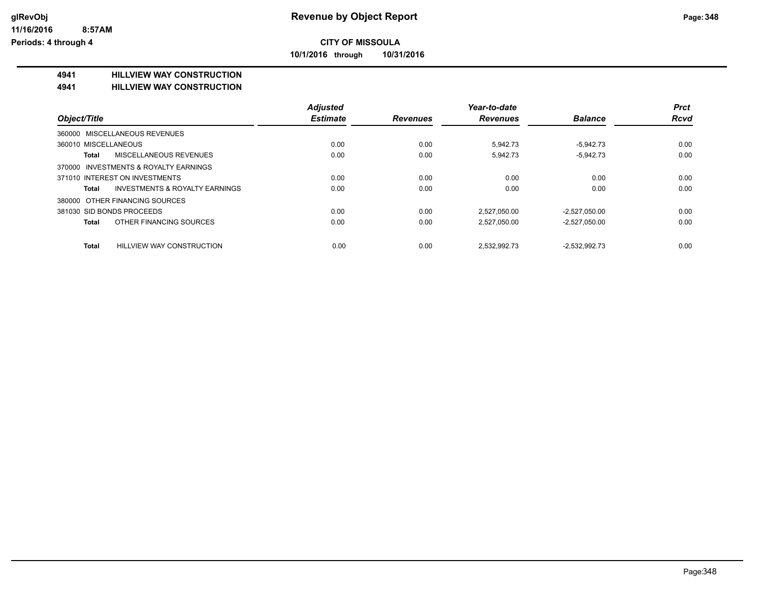**10/1/2016 through 10/31/2016**

#### **4941 HILLVIEW WAY CONSTRUCTION**

#### **4941 HILLVIEW WAY CONSTRUCTION**

|                                                    | <b>Adjusted</b> |                 | Year-to-date    |                 | <b>Prct</b> |
|----------------------------------------------------|-----------------|-----------------|-----------------|-----------------|-------------|
| Object/Title                                       | <b>Estimate</b> | <b>Revenues</b> | <b>Revenues</b> | <b>Balance</b>  | <b>Rcvd</b> |
| 360000 MISCELLANEOUS REVENUES                      |                 |                 |                 |                 |             |
| 360010 MISCELLANEOUS                               | 0.00            | 0.00            | 5.942.73        | $-5.942.73$     | 0.00        |
| MISCELLANEOUS REVENUES<br>Total                    | 0.00            | 0.00            | 5.942.73        | $-5.942.73$     | 0.00        |
| 370000 INVESTMENTS & ROYALTY EARNINGS              |                 |                 |                 |                 |             |
| 371010 INTEREST ON INVESTMENTS                     | 0.00            | 0.00            | 0.00            | 0.00            | 0.00        |
| <b>INVESTMENTS &amp; ROYALTY EARNINGS</b><br>Total | 0.00            | 0.00            | 0.00            | 0.00            | 0.00        |
| 380000 OTHER FINANCING SOURCES                     |                 |                 |                 |                 |             |
| 381030 SID BONDS PROCEEDS                          | 0.00            | 0.00            | 2.527.050.00    | $-2,527,050.00$ | 0.00        |
| OTHER FINANCING SOURCES<br>Total                   | 0.00            | 0.00            | 2.527.050.00    | $-2,527,050.00$ | 0.00        |
| HILLVIEW WAY CONSTRUCTION<br><b>Total</b>          | 0.00            | 0.00            | 2.532.992.73    | $-2.532.992.73$ | 0.00        |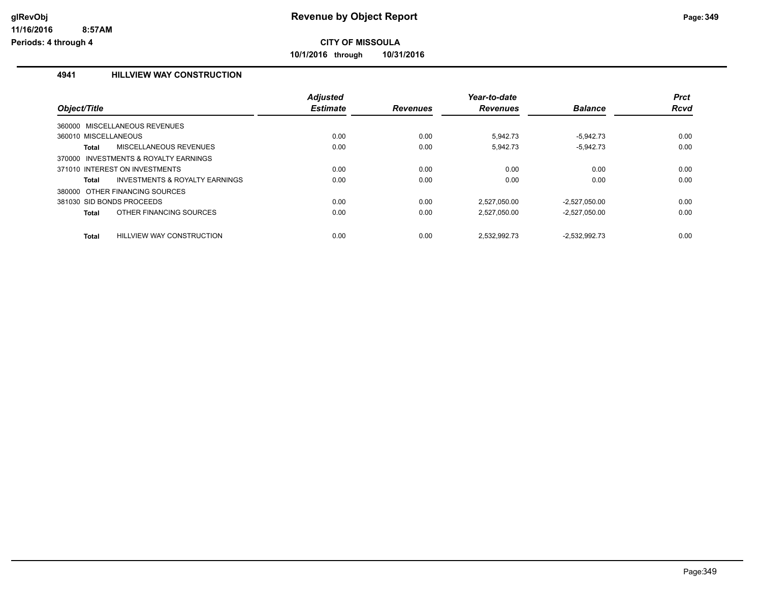**Periods: 4 through 4**

**CITY OF MISSOULA**

**10/1/2016 through 10/31/2016**

#### **4941 HILLVIEW WAY CONSTRUCTION**

|                                           | <b>Adjusted</b> |                 | Year-to-date    |                 | <b>Prct</b> |
|-------------------------------------------|-----------------|-----------------|-----------------|-----------------|-------------|
| Object/Title                              | <b>Estimate</b> | <b>Revenues</b> | <b>Revenues</b> | <b>Balance</b>  | <b>Rcvd</b> |
| 360000 MISCELLANEOUS REVENUES             |                 |                 |                 |                 |             |
| 360010 MISCELLANEOUS                      | 0.00            | 0.00            | 5.942.73        | $-5.942.73$     | 0.00        |
| MISCELLANEOUS REVENUES<br>Total           | 0.00            | 0.00            | 5.942.73        | $-5.942.73$     | 0.00        |
| 370000 INVESTMENTS & ROYALTY EARNINGS     |                 |                 |                 |                 |             |
| 371010 INTEREST ON INVESTMENTS            | 0.00            | 0.00            | 0.00            | 0.00            | 0.00        |
| INVESTMENTS & ROYALTY EARNINGS<br>Total   | 0.00            | 0.00            | 0.00            | 0.00            | 0.00        |
| 380000 OTHER FINANCING SOURCES            |                 |                 |                 |                 |             |
| 381030 SID BONDS PROCEEDS                 | 0.00            | 0.00            | 2,527,050.00    | $-2,527,050.00$ | 0.00        |
| OTHER FINANCING SOURCES<br><b>Total</b>   | 0.00            | 0.00            | 2,527,050.00    | $-2,527,050.00$ | 0.00        |
| HILLVIEW WAY CONSTRUCTION<br><b>Total</b> | 0.00            | 0.00            | 2.532.992.73    | $-2.532.992.73$ | 0.00        |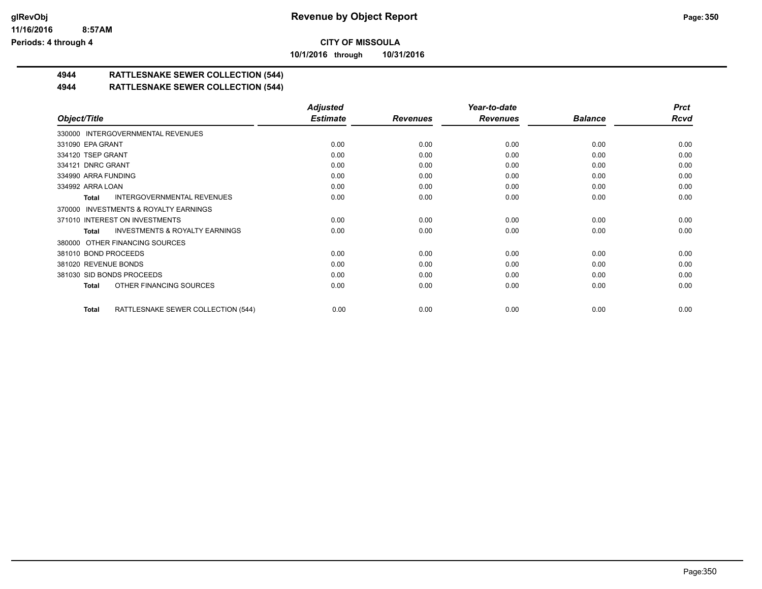**10/1/2016 through 10/31/2016**

# **4944 RATTLESNAKE SEWER COLLECTION (544)**

## **4944 RATTLESNAKE SEWER COLLECTION (544)**

|                                                           | <b>Adjusted</b> |                 | Year-to-date    |                | <b>Prct</b> |
|-----------------------------------------------------------|-----------------|-----------------|-----------------|----------------|-------------|
| Object/Title                                              | <b>Estimate</b> | <b>Revenues</b> | <b>Revenues</b> | <b>Balance</b> | <b>Rcvd</b> |
| INTERGOVERNMENTAL REVENUES<br>330000                      |                 |                 |                 |                |             |
| 331090 EPA GRANT                                          | 0.00            | 0.00            | 0.00            | 0.00           | 0.00        |
| 334120 TSEP GRANT                                         | 0.00            | 0.00            | 0.00            | 0.00           | 0.00        |
| 334121 DNRC GRANT                                         | 0.00            | 0.00            | 0.00            | 0.00           | 0.00        |
| 334990 ARRA FUNDING                                       | 0.00            | 0.00            | 0.00            | 0.00           | 0.00        |
| 334992 ARRA LOAN                                          | 0.00            | 0.00            | 0.00            | 0.00           | 0.00        |
| <b>INTERGOVERNMENTAL REVENUES</b><br><b>Total</b>         | 0.00            | 0.00            | 0.00            | 0.00           | 0.00        |
| <b>INVESTMENTS &amp; ROYALTY EARNINGS</b><br>370000       |                 |                 |                 |                |             |
| 371010 INTEREST ON INVESTMENTS                            | 0.00            | 0.00            | 0.00            | 0.00           | 0.00        |
| <b>INVESTMENTS &amp; ROYALTY EARNINGS</b><br><b>Total</b> | 0.00            | 0.00            | 0.00            | 0.00           | 0.00        |
| 380000 OTHER FINANCING SOURCES                            |                 |                 |                 |                |             |
| 381010 BOND PROCEEDS                                      | 0.00            | 0.00            | 0.00            | 0.00           | 0.00        |
| 381020 REVENUE BONDS                                      | 0.00            | 0.00            | 0.00            | 0.00           | 0.00        |
| 381030 SID BONDS PROCEEDS                                 | 0.00            | 0.00            | 0.00            | 0.00           | 0.00        |
| OTHER FINANCING SOURCES<br><b>Total</b>                   | 0.00            | 0.00            | 0.00            | 0.00           | 0.00        |
| RATTLESNAKE SEWER COLLECTION (544)<br>Total               | 0.00            | 0.00            | 0.00            | 0.00           | 0.00        |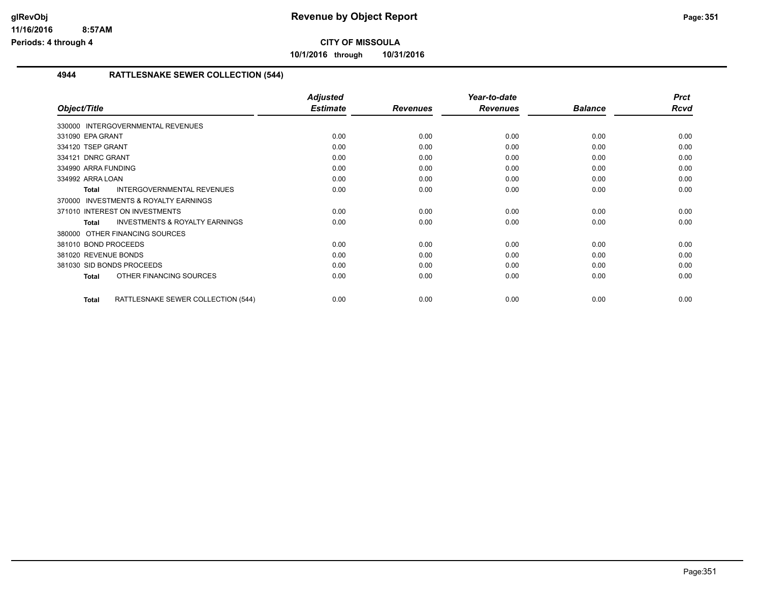**10/1/2016 through 10/31/2016**

#### **4944 RATTLESNAKE SEWER COLLECTION (544)**

|                                                     | <b>Adjusted</b> |                 | Year-to-date    |                | <b>Prct</b> |
|-----------------------------------------------------|-----------------|-----------------|-----------------|----------------|-------------|
| Object/Title                                        | <b>Estimate</b> | <b>Revenues</b> | <b>Revenues</b> | <b>Balance</b> | Rcvd        |
| 330000 INTERGOVERNMENTAL REVENUES                   |                 |                 |                 |                |             |
| 331090 EPA GRANT                                    | 0.00            | 0.00            | 0.00            | 0.00           | 0.00        |
| 334120 TSEP GRANT                                   | 0.00            | 0.00            | 0.00            | 0.00           | 0.00        |
| 334121 DNRC GRANT                                   | 0.00            | 0.00            | 0.00            | 0.00           | 0.00        |
| 334990 ARRA FUNDING                                 | 0.00            | 0.00            | 0.00            | 0.00           | 0.00        |
| 334992 ARRA LOAN                                    | 0.00            | 0.00            | 0.00            | 0.00           | 0.00        |
| <b>INTERGOVERNMENTAL REVENUES</b><br>Total          | 0.00            | 0.00            | 0.00            | 0.00           | 0.00        |
| <b>INVESTMENTS &amp; ROYALTY EARNINGS</b><br>370000 |                 |                 |                 |                |             |
| 371010 INTEREST ON INVESTMENTS                      | 0.00            | 0.00            | 0.00            | 0.00           | 0.00        |
| <b>INVESTMENTS &amp; ROYALTY EARNINGS</b><br>Total  | 0.00            | 0.00            | 0.00            | 0.00           | 0.00        |
| 380000 OTHER FINANCING SOURCES                      |                 |                 |                 |                |             |
| 381010 BOND PROCEEDS                                | 0.00            | 0.00            | 0.00            | 0.00           | 0.00        |
| 381020 REVENUE BONDS                                | 0.00            | 0.00            | 0.00            | 0.00           | 0.00        |
| 381030 SID BONDS PROCEEDS                           | 0.00            | 0.00            | 0.00            | 0.00           | 0.00        |
| OTHER FINANCING SOURCES<br><b>Total</b>             | 0.00            | 0.00            | 0.00            | 0.00           | 0.00        |
| RATTLESNAKE SEWER COLLECTION (544)<br><b>Total</b>  | 0.00            | 0.00            | 0.00            | 0.00           | 0.00        |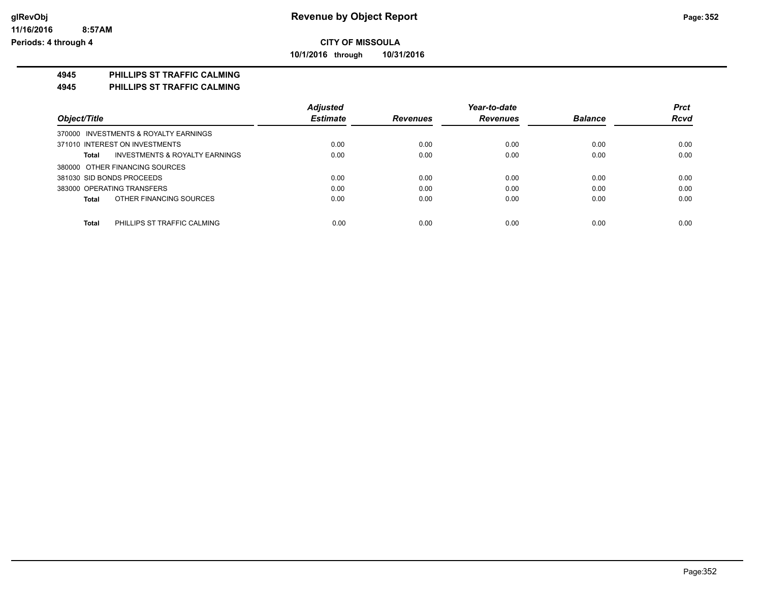**10/1/2016 through 10/31/2016**

### **4945 PHILLIPS ST TRAFFIC CALMING**

**4945 PHILLIPS ST TRAFFIC CALMING**

|                                             | <b>Adjusted</b> |                 | Year-to-date    |                | <b>Prct</b> |
|---------------------------------------------|-----------------|-----------------|-----------------|----------------|-------------|
| Object/Title                                | <b>Estimate</b> | <b>Revenues</b> | <b>Revenues</b> | <b>Balance</b> | <b>Rcvd</b> |
| 370000 INVESTMENTS & ROYALTY EARNINGS       |                 |                 |                 |                |             |
| 371010 INTEREST ON INVESTMENTS              | 0.00            | 0.00            | 0.00            | 0.00           | 0.00        |
| INVESTMENTS & ROYALTY EARNINGS<br>Total     | 0.00            | 0.00            | 0.00            | 0.00           | 0.00        |
| 380000 OTHER FINANCING SOURCES              |                 |                 |                 |                |             |
| 381030 SID BONDS PROCEEDS                   | 0.00            | 0.00            | 0.00            | 0.00           | 0.00        |
| 383000 OPERATING TRANSFERS                  | 0.00            | 0.00            | 0.00            | 0.00           | 0.00        |
| OTHER FINANCING SOURCES<br>Total            | 0.00            | 0.00            | 0.00            | 0.00           | 0.00        |
|                                             |                 |                 |                 |                |             |
| <b>Total</b><br>PHILLIPS ST TRAFFIC CALMING | 0.00            | 0.00            | 0.00            | 0.00           | 0.00        |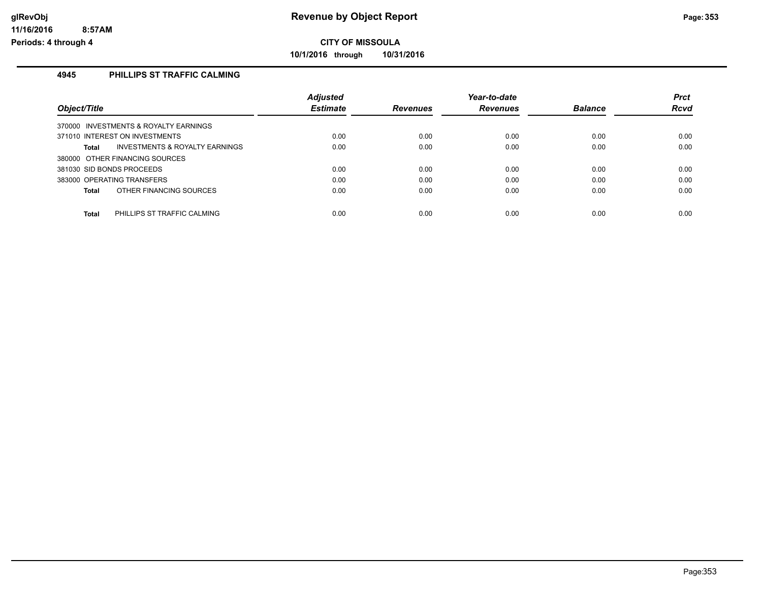**Periods: 4 through 4**

**CITY OF MISSOULA**

**10/1/2016 through 10/31/2016**

#### **4945 PHILLIPS ST TRAFFIC CALMING**

|                                         | <b>Adjusted</b> |                 | Year-to-date    |                | <b>Prct</b> |
|-----------------------------------------|-----------------|-----------------|-----------------|----------------|-------------|
| Object/Title                            | <b>Estimate</b> | <b>Revenues</b> | <b>Revenues</b> | <b>Balance</b> | <b>Rcvd</b> |
| 370000 INVESTMENTS & ROYALTY EARNINGS   |                 |                 |                 |                |             |
| 371010 INTEREST ON INVESTMENTS          | 0.00            | 0.00            | 0.00            | 0.00           | 0.00        |
| INVESTMENTS & ROYALTY EARNINGS<br>Total | 0.00            | 0.00            | 0.00            | 0.00           | 0.00        |
| 380000 OTHER FINANCING SOURCES          |                 |                 |                 |                |             |
| 381030 SID BONDS PROCEEDS               | 0.00            | 0.00            | 0.00            | 0.00           | 0.00        |
| 383000 OPERATING TRANSFERS              | 0.00            | 0.00            | 0.00            | 0.00           | 0.00        |
| OTHER FINANCING SOURCES<br>Total        | 0.00            | 0.00            | 0.00            | 0.00           | 0.00        |
|                                         |                 |                 |                 |                |             |
| Total<br>PHILLIPS ST TRAFFIC CALMING    | 0.00            | 0.00            | 0.00            | 0.00           | 0.00        |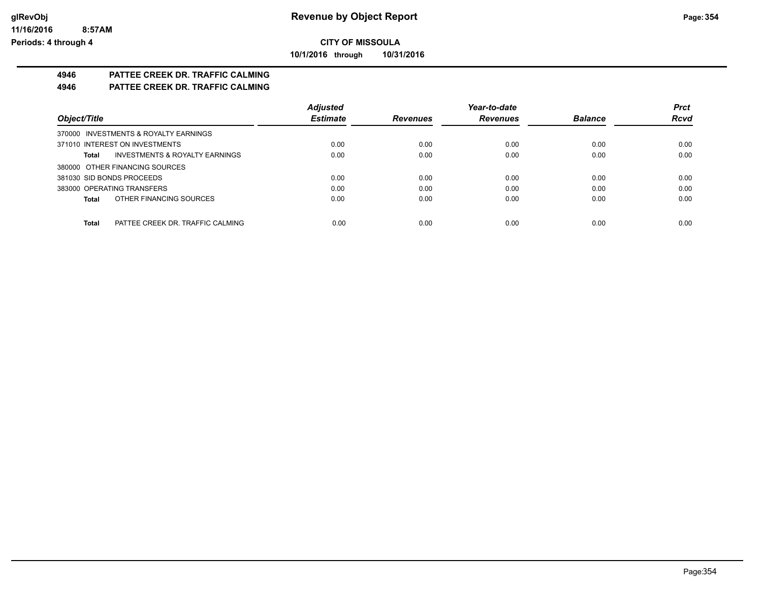**10/1/2016 through 10/31/2016**

#### **4946 PATTEE CREEK DR. TRAFFIC CALMING 4946 PATTEE CREEK DR. TRAFFIC CALMING**

|                                                    | <b>Adjusted</b> |                 | Year-to-date    |                | <b>Prct</b> |
|----------------------------------------------------|-----------------|-----------------|-----------------|----------------|-------------|
| Object/Title                                       | <b>Estimate</b> | <b>Revenues</b> | <b>Revenues</b> | <b>Balance</b> | <b>Rcvd</b> |
| 370000 INVESTMENTS & ROYALTY EARNINGS              |                 |                 |                 |                |             |
| 371010 INTEREST ON INVESTMENTS                     | 0.00            | 0.00            | 0.00            | 0.00           | 0.00        |
| <b>INVESTMENTS &amp; ROYALTY EARNINGS</b><br>Total | 0.00            | 0.00            | 0.00            | 0.00           | 0.00        |
| 380000 OTHER FINANCING SOURCES                     |                 |                 |                 |                |             |
| 381030 SID BONDS PROCEEDS                          | 0.00            | 0.00            | 0.00            | 0.00           | 0.00        |
| 383000 OPERATING TRANSFERS                         | 0.00            | 0.00            | 0.00            | 0.00           | 0.00        |
| OTHER FINANCING SOURCES<br>Total                   | 0.00            | 0.00            | 0.00            | 0.00           | 0.00        |
|                                                    |                 |                 |                 |                |             |
| PATTEE CREEK DR. TRAFFIC CALMING<br><b>Total</b>   | 0.00            | 0.00            | 0.00            | 0.00           | 0.00        |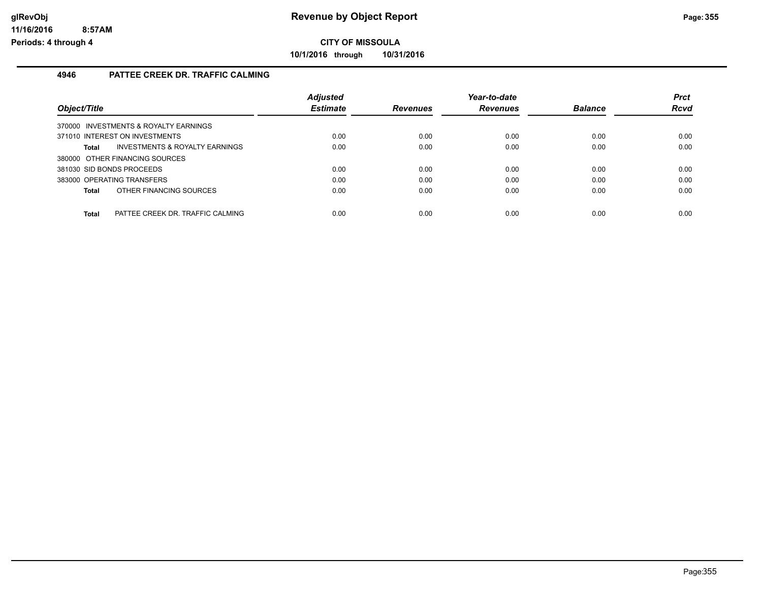**10/1/2016 through 10/31/2016**

#### **4946 PATTEE CREEK DR. TRAFFIC CALMING**

|                                                  | <b>Adjusted</b> |                 | Year-to-date    |                | <b>Prct</b> |
|--------------------------------------------------|-----------------|-----------------|-----------------|----------------|-------------|
| Object/Title                                     | <b>Estimate</b> | <b>Revenues</b> | <b>Revenues</b> | <b>Balance</b> | <b>Rcvd</b> |
| 370000 INVESTMENTS & ROYALTY EARNINGS            |                 |                 |                 |                |             |
| 371010 INTEREST ON INVESTMENTS                   | 0.00            | 0.00            | 0.00            | 0.00           | 0.00        |
| INVESTMENTS & ROYALTY EARNINGS<br><b>Total</b>   | 0.00            | 0.00            | 0.00            | 0.00           | 0.00        |
| 380000 OTHER FINANCING SOURCES                   |                 |                 |                 |                |             |
| 381030 SID BONDS PROCEEDS                        | 0.00            | 0.00            | 0.00            | 0.00           | 0.00        |
| 383000 OPERATING TRANSFERS                       | 0.00            | 0.00            | 0.00            | 0.00           | 0.00        |
| OTHER FINANCING SOURCES<br><b>Total</b>          | 0.00            | 0.00            | 0.00            | 0.00           | 0.00        |
|                                                  |                 |                 |                 |                |             |
| <b>Total</b><br>PATTEE CREEK DR. TRAFFIC CALMING | 0.00            | 0.00            | 0.00            | 0.00           | 0.00        |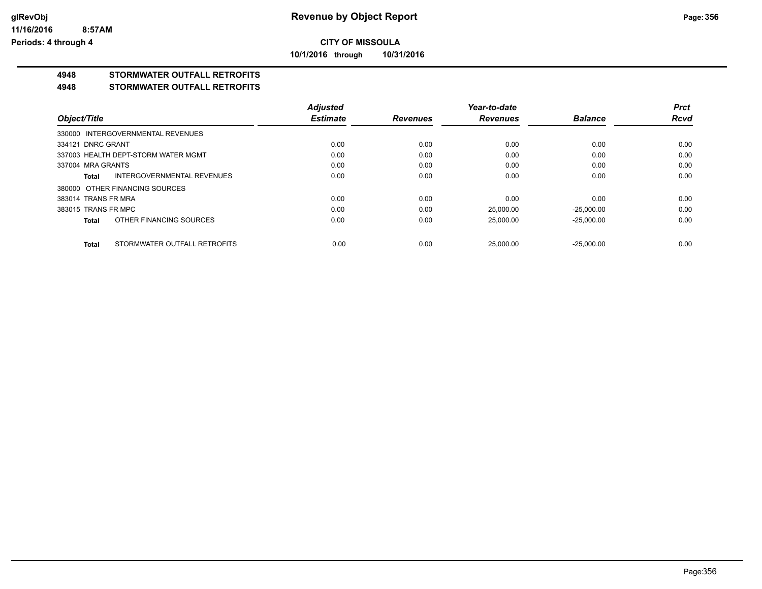**10/1/2016 through 10/31/2016**

# **4948 STORMWATER OUTFALL RETROFITS**

#### **4948 STORMWATER OUTFALL RETROFITS**

|                     |                                     | <b>Adjusted</b> |                 | Year-to-date    |                | Prct |
|---------------------|-------------------------------------|-----------------|-----------------|-----------------|----------------|------|
| Object/Title        |                                     | <b>Estimate</b> | <b>Revenues</b> | <b>Revenues</b> | <b>Balance</b> | Rcvd |
|                     | 330000 INTERGOVERNMENTAL REVENUES   |                 |                 |                 |                |      |
| 334121 DNRC GRANT   |                                     | 0.00            | 0.00            | 0.00            | 0.00           | 0.00 |
|                     | 337003 HEALTH DEPT-STORM WATER MGMT | 0.00            | 0.00            | 0.00            | 0.00           | 0.00 |
| 337004 MRA GRANTS   |                                     | 0.00            | 0.00            | 0.00            | 0.00           | 0.00 |
| Total               | INTERGOVERNMENTAL REVENUES          | 0.00            | 0.00            | 0.00            | 0.00           | 0.00 |
|                     | 380000 OTHER FINANCING SOURCES      |                 |                 |                 |                |      |
| 383014 TRANS FR MRA |                                     | 0.00            | 0.00            | 0.00            | 0.00           | 0.00 |
| 383015 TRANS FR MPC |                                     | 0.00            | 0.00            | 25,000.00       | $-25.000.00$   | 0.00 |
| <b>Total</b>        | OTHER FINANCING SOURCES             | 0.00            | 0.00            | 25,000.00       | $-25.000.00$   | 0.00 |
| <b>Total</b>        | STORMWATER OUTFALL RETROFITS        | 0.00            | 0.00            | 25.000.00       | $-25.000.00$   | 0.00 |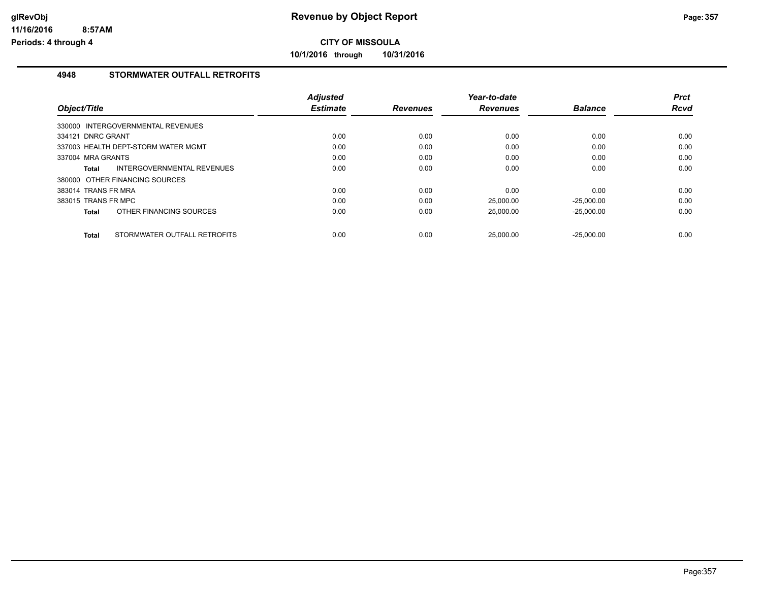**10/1/2016 through 10/31/2016**

#### **4948 STORMWATER OUTFALL RETROFITS**

| Object/Title        |                                     | <b>Adjusted</b><br><b>Estimate</b> | <b>Revenues</b> | Year-to-date<br><b>Revenues</b> | <b>Balance</b> | <b>Prct</b><br><b>Rcvd</b> |
|---------------------|-------------------------------------|------------------------------------|-----------------|---------------------------------|----------------|----------------------------|
|                     | 330000 INTERGOVERNMENTAL REVENUES   |                                    |                 |                                 |                |                            |
| 334121 DNRC GRANT   |                                     | 0.00                               | 0.00            | 0.00                            | 0.00           | 0.00                       |
|                     | 337003 HEALTH DEPT-STORM WATER MGMT | 0.00                               | 0.00            | 0.00                            | 0.00           | 0.00                       |
| 337004 MRA GRANTS   |                                     | 0.00                               | 0.00            | 0.00                            | 0.00           | 0.00                       |
| Total               | <b>INTERGOVERNMENTAL REVENUES</b>   | 0.00                               | 0.00            | 0.00                            | 0.00           | 0.00                       |
|                     | 380000 OTHER FINANCING SOURCES      |                                    |                 |                                 |                |                            |
| 383014 TRANS FR MRA |                                     | 0.00                               | 0.00            | 0.00                            | 0.00           | 0.00                       |
| 383015 TRANS FR MPC |                                     | 0.00                               | 0.00            | 25.000.00                       | $-25.000.00$   | 0.00                       |
| Total               | OTHER FINANCING SOURCES             | 0.00                               | 0.00            | 25,000.00                       | $-25,000.00$   | 0.00                       |
| Total               | STORMWATER OUTFALL RETROFITS        | 0.00                               | 0.00            | 25.000.00                       | $-25.000.00$   | 0.00                       |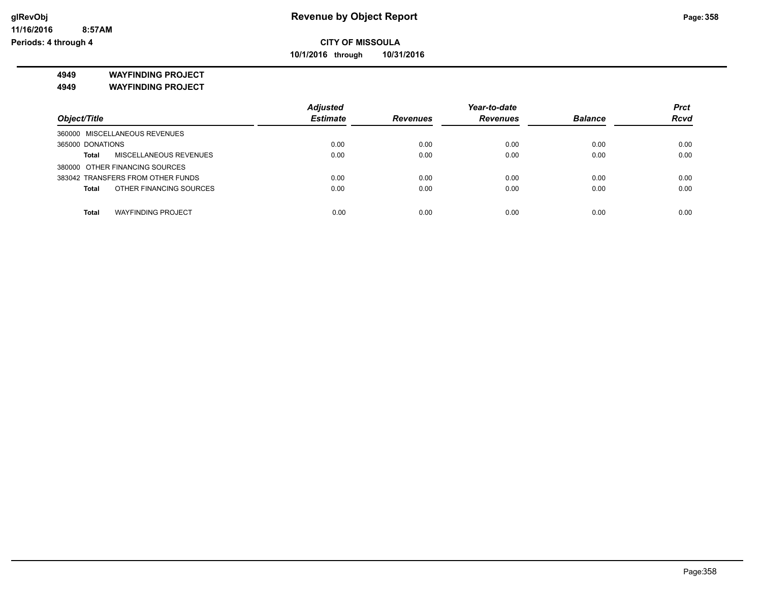**10/1/2016 through 10/31/2016**

**4949 WAYFINDING PROJECT**

**4949 WAYFINDING PROJECT**

|                                               | <b>Adjusted</b> |                 | Year-to-date    |                | <b>Prct</b> |
|-----------------------------------------------|-----------------|-----------------|-----------------|----------------|-------------|
| Object/Title                                  | <b>Estimate</b> | <b>Revenues</b> | <b>Revenues</b> | <b>Balance</b> | <b>Rcvd</b> |
| 360000 MISCELLANEOUS REVENUES                 |                 |                 |                 |                |             |
| 365000 DONATIONS                              | 0.00            | 0.00            | 0.00            | 0.00           | 0.00        |
| <b>MISCELLANEOUS REVENUES</b><br><b>Total</b> | 0.00            | 0.00            | 0.00            | 0.00           | 0.00        |
| 380000 OTHER FINANCING SOURCES                |                 |                 |                 |                |             |
| 383042 TRANSFERS FROM OTHER FUNDS             | 0.00            | 0.00            | 0.00            | 0.00           | 0.00        |
| OTHER FINANCING SOURCES<br><b>Total</b>       | 0.00            | 0.00            | 0.00            | 0.00           | 0.00        |
|                                               |                 |                 |                 |                |             |
| <b>WAYFINDING PROJECT</b><br><b>Total</b>     | 0.00            | 0.00            | 0.00            | 0.00           | 0.00        |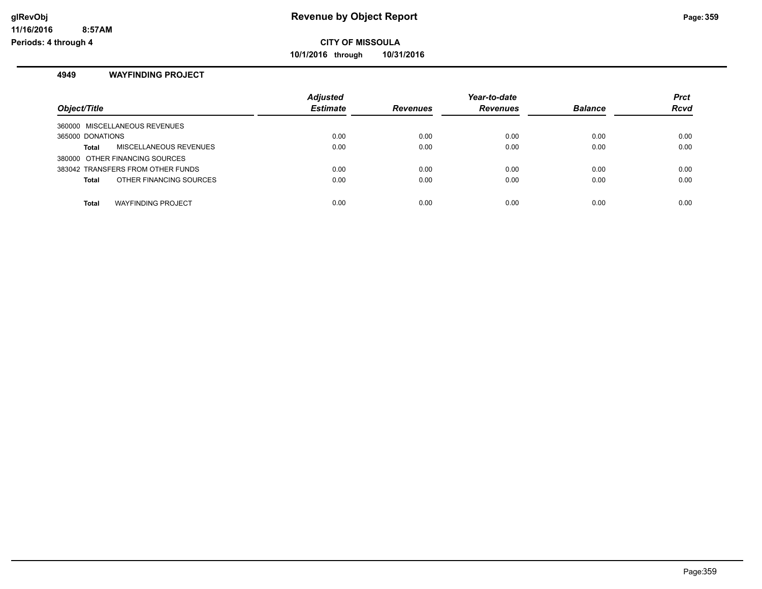**Periods: 4 through 4**

**CITY OF MISSOULA**

**10/1/2016 through 10/31/2016**

#### **4949 WAYFINDING PROJECT**

| Object/Title                              | <b>Adjusted</b><br><b>Estimate</b> | <b>Revenues</b> | Year-to-date<br><b>Revenues</b> | <b>Balance</b> | <b>Prct</b><br><b>Rcvd</b> |
|-------------------------------------------|------------------------------------|-----------------|---------------------------------|----------------|----------------------------|
| 360000 MISCELLANEOUS REVENUES             |                                    |                 |                                 |                |                            |
| 365000 DONATIONS                          | 0.00                               | 0.00            | 0.00                            | 0.00           | 0.00                       |
| MISCELLANEOUS REVENUES<br>Total           | 0.00                               | 0.00            | 0.00                            | 0.00           | 0.00                       |
| 380000 OTHER FINANCING SOURCES            |                                    |                 |                                 |                |                            |
| 383042 TRANSFERS FROM OTHER FUNDS         | 0.00                               | 0.00            | 0.00                            | 0.00           | 0.00                       |
| OTHER FINANCING SOURCES<br><b>Total</b>   | 0.00                               | 0.00            | 0.00                            | 0.00           | 0.00                       |
|                                           |                                    |                 |                                 |                |                            |
| <b>WAYFINDING PROJECT</b><br><b>Total</b> | 0.00                               | 0.00            | 0.00                            | 0.00           | 0.00                       |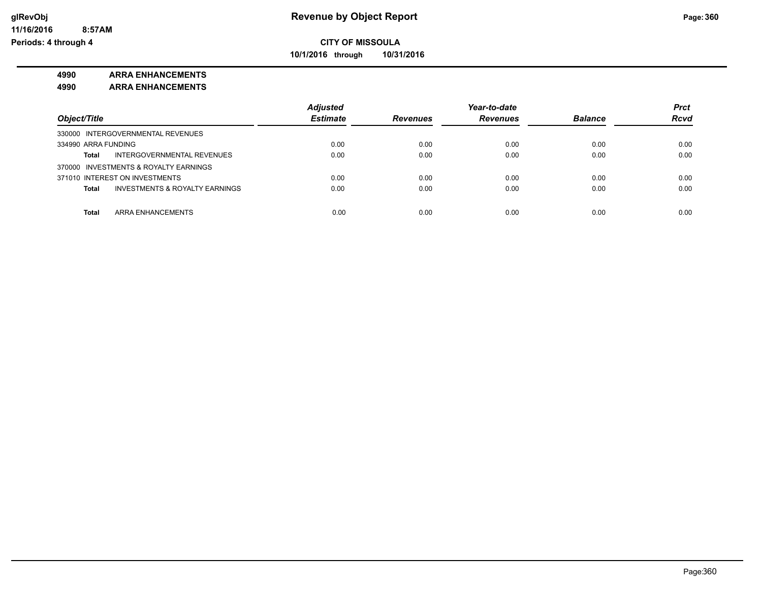**10/1/2016 through 10/31/2016**

#### **4990 ARRA ENHANCEMENTS**

**4990 ARRA ENHANCEMENTS**

|                                                | <b>Adjusted</b> |                 | Year-to-date    |                | <b>Prct</b> |
|------------------------------------------------|-----------------|-----------------|-----------------|----------------|-------------|
| Object/Title                                   | <b>Estimate</b> | <b>Revenues</b> | <b>Revenues</b> | <b>Balance</b> | <b>Rcvd</b> |
| 330000 INTERGOVERNMENTAL REVENUES              |                 |                 |                 |                |             |
| 334990 ARRA FUNDING                            | 0.00            | 0.00            | 0.00            | 0.00           | 0.00        |
| INTERGOVERNMENTAL REVENUES<br><b>Total</b>     | 0.00            | 0.00            | 0.00            | 0.00           | 0.00        |
| 370000 INVESTMENTS & ROYALTY EARNINGS          |                 |                 |                 |                |             |
| 371010 INTEREST ON INVESTMENTS                 | 0.00            | 0.00            | 0.00            | 0.00           | 0.00        |
| INVESTMENTS & ROYALTY EARNINGS<br><b>Total</b> | 0.00            | 0.00            | 0.00            | 0.00           | 0.00        |
|                                                |                 |                 |                 |                |             |
| ARRA ENHANCEMENTS<br><b>Total</b>              | 0.00            | 0.00            | 0.00            | 0.00           | 0.00        |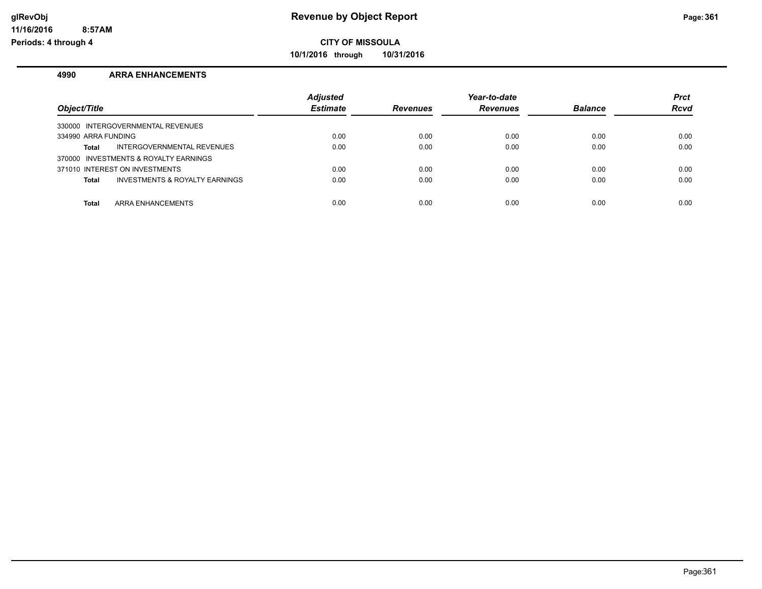**Periods: 4 through 4**

**CITY OF MISSOULA**

**10/1/2016 through 10/31/2016**

#### **4990 ARRA ENHANCEMENTS**

| Object/Title                                       | <b>Adjusted</b><br><b>Estimate</b> | <b>Revenues</b> | Year-to-date<br><b>Revenues</b> | <b>Balance</b> | <b>Prct</b><br><b>Rcvd</b> |
|----------------------------------------------------|------------------------------------|-----------------|---------------------------------|----------------|----------------------------|
| 330000 INTERGOVERNMENTAL REVENUES                  |                                    |                 |                                 |                |                            |
| 334990 ARRA FUNDING                                | 0.00                               | 0.00            | 0.00                            | 0.00           | 0.00                       |
| INTERGOVERNMENTAL REVENUES<br>Total                | 0.00                               | 0.00            | 0.00                            | 0.00           | 0.00                       |
| 370000 INVESTMENTS & ROYALTY EARNINGS              |                                    |                 |                                 |                |                            |
| 371010 INTEREST ON INVESTMENTS                     | 0.00                               | 0.00            | 0.00                            | 0.00           | 0.00                       |
| <b>INVESTMENTS &amp; ROYALTY EARNINGS</b><br>Total | 0.00                               | 0.00            | 0.00                            | 0.00           | 0.00                       |
|                                                    |                                    |                 |                                 |                |                            |
| ARRA ENHANCEMENTS<br><b>Total</b>                  | 0.00                               | 0.00            | 0.00                            | 0.00           | 0.00                       |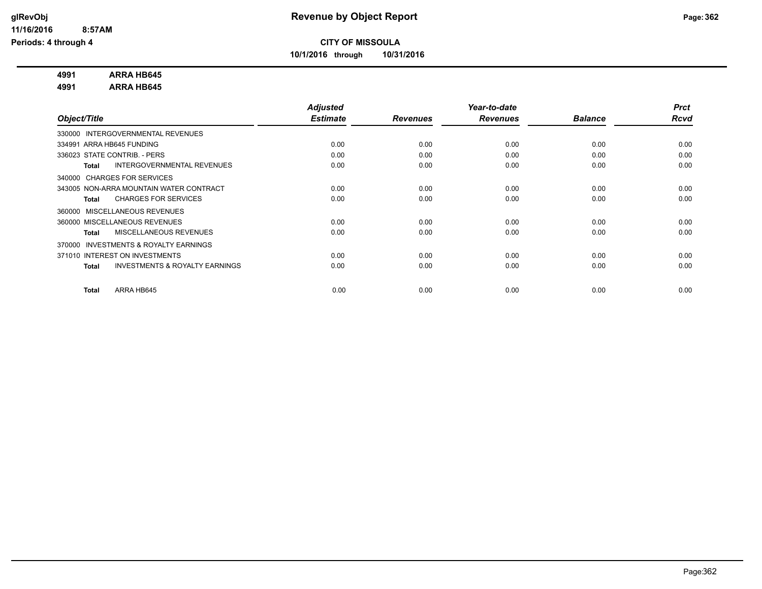**10/1/2016 through 10/31/2016**

## **4991 ARRA HB645**

**4991 ARRA HB645**

|                                                    | <b>Adjusted</b> |                 | Year-to-date    |                | <b>Prct</b> |
|----------------------------------------------------|-----------------|-----------------|-----------------|----------------|-------------|
| Object/Title                                       | <b>Estimate</b> | <b>Revenues</b> | <b>Revenues</b> | <b>Balance</b> | <b>Rcvd</b> |
| 330000 INTERGOVERNMENTAL REVENUES                  |                 |                 |                 |                |             |
| 334991 ARRA HB645 FUNDING                          | 0.00            | 0.00            | 0.00            | 0.00           | 0.00        |
| 336023 STATE CONTRIB. - PERS                       | 0.00            | 0.00            | 0.00            | 0.00           | 0.00        |
| <b>INTERGOVERNMENTAL REVENUES</b><br>Total         | 0.00            | 0.00            | 0.00            | 0.00           | 0.00        |
| 340000 CHARGES FOR SERVICES                        |                 |                 |                 |                |             |
| 343005 NON-ARRA MOUNTAIN WATER CONTRACT            | 0.00            | 0.00            | 0.00            | 0.00           | 0.00        |
| <b>CHARGES FOR SERVICES</b><br>Total               | 0.00            | 0.00            | 0.00            | 0.00           | 0.00        |
| 360000 MISCELLANEOUS REVENUES                      |                 |                 |                 |                |             |
| 360000 MISCELLANEOUS REVENUES                      | 0.00            | 0.00            | 0.00            | 0.00           | 0.00        |
| MISCELLANEOUS REVENUES<br>Total                    | 0.00            | 0.00            | 0.00            | 0.00           | 0.00        |
| 370000 INVESTMENTS & ROYALTY EARNINGS              |                 |                 |                 |                |             |
| 371010 INTEREST ON INVESTMENTS                     | 0.00            | 0.00            | 0.00            | 0.00           | 0.00        |
| <b>INVESTMENTS &amp; ROYALTY EARNINGS</b><br>Total | 0.00            | 0.00            | 0.00            | 0.00           | 0.00        |
|                                                    |                 |                 |                 |                |             |
| ARRA HB645<br><b>Total</b>                         | 0.00            | 0.00            | 0.00            | 0.00           | 0.00        |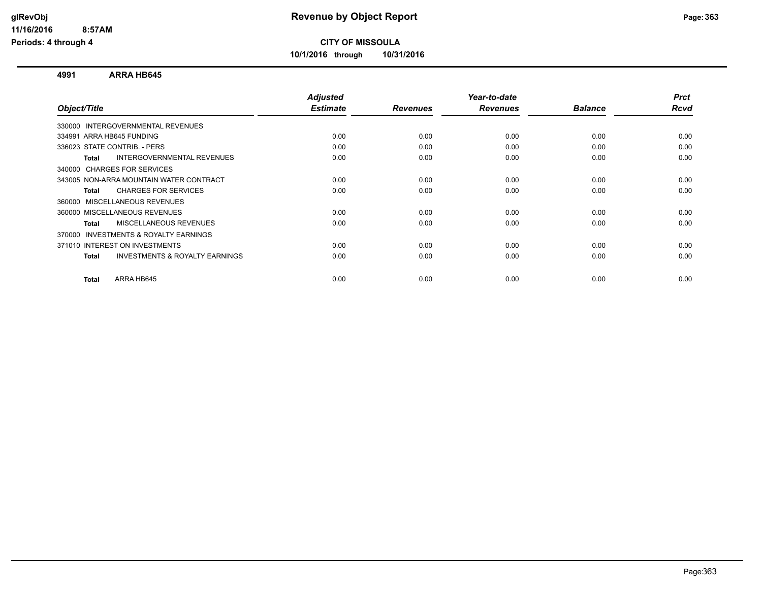**Periods: 4 through 4**

**CITY OF MISSOULA**

**10/1/2016 through 10/31/2016**

**4991 ARRA HB645**

| Object/Title                                        | <b>Adjusted</b><br><b>Estimate</b> | <b>Revenues</b> | Year-to-date<br><b>Revenues</b> | <b>Balance</b> | <b>Prct</b><br>Rcvd |
|-----------------------------------------------------|------------------------------------|-----------------|---------------------------------|----------------|---------------------|
|                                                     |                                    |                 |                                 |                |                     |
| 330000 INTERGOVERNMENTAL REVENUES                   |                                    |                 |                                 |                |                     |
| 334991 ARRA HB645 FUNDING                           | 0.00                               | 0.00            | 0.00                            | 0.00           | 0.00                |
| 336023 STATE CONTRIB. - PERS                        | 0.00                               | 0.00            | 0.00                            | 0.00           | 0.00                |
| INTERGOVERNMENTAL REVENUES<br>Total                 | 0.00                               | 0.00            | 0.00                            | 0.00           | 0.00                |
| 340000 CHARGES FOR SERVICES                         |                                    |                 |                                 |                |                     |
| 343005 NON-ARRA MOUNTAIN WATER CONTRACT             | 0.00                               | 0.00            | 0.00                            | 0.00           | 0.00                |
| <b>CHARGES FOR SERVICES</b><br>Total                | 0.00                               | 0.00            | 0.00                            | 0.00           | 0.00                |
| 360000 MISCELLANEOUS REVENUES                       |                                    |                 |                                 |                |                     |
| 360000 MISCELLANEOUS REVENUES                       | 0.00                               | 0.00            | 0.00                            | 0.00           | 0.00                |
| MISCELLANEOUS REVENUES<br>Total                     | 0.00                               | 0.00            | 0.00                            | 0.00           | 0.00                |
| <b>INVESTMENTS &amp; ROYALTY EARNINGS</b><br>370000 |                                    |                 |                                 |                |                     |
| 371010 INTEREST ON INVESTMENTS                      | 0.00                               | 0.00            | 0.00                            | 0.00           | 0.00                |
| <b>INVESTMENTS &amp; ROYALTY EARNINGS</b><br>Total  | 0.00                               | 0.00            | 0.00                            | 0.00           | 0.00                |
|                                                     |                                    |                 |                                 |                |                     |
| ARRA HB645<br>Total                                 | 0.00                               | 0.00            | 0.00                            | 0.00           | 0.00                |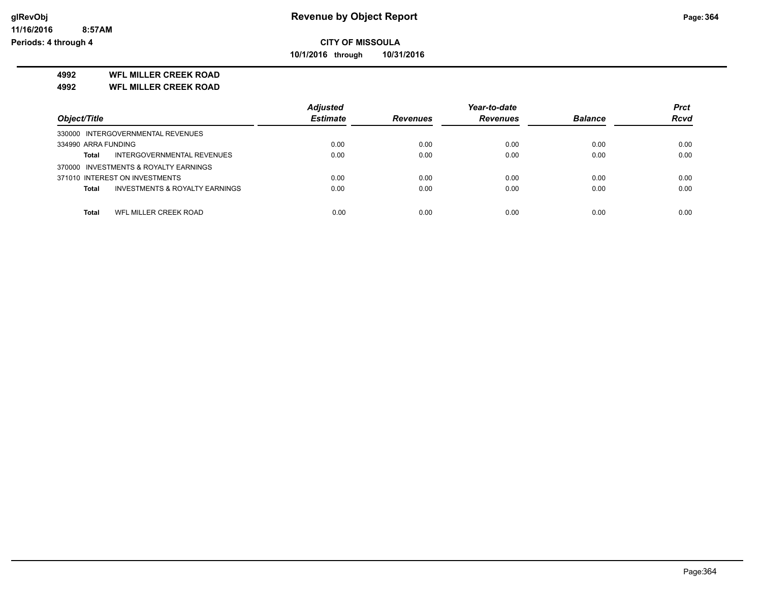**10/1/2016 through 10/31/2016**

#### **4992 WFL MILLER CREEK ROAD**

**4992 WFL MILLER CREEK ROAD**

|                                                           | <b>Adjusted</b> |                 | Year-to-date    |                | <b>Prct</b> |
|-----------------------------------------------------------|-----------------|-----------------|-----------------|----------------|-------------|
| Object/Title                                              | <b>Estimate</b> | <b>Revenues</b> | <b>Revenues</b> | <b>Balance</b> | <b>Rcvd</b> |
| 330000 INTERGOVERNMENTAL REVENUES                         |                 |                 |                 |                |             |
| 334990 ARRA FUNDING                                       | 0.00            | 0.00            | 0.00            | 0.00           | 0.00        |
| INTERGOVERNMENTAL REVENUES<br><b>Total</b>                | 0.00            | 0.00            | 0.00            | 0.00           | 0.00        |
| 370000 INVESTMENTS & ROYALTY EARNINGS                     |                 |                 |                 |                |             |
| 371010 INTEREST ON INVESTMENTS                            | 0.00            | 0.00            | 0.00            | 0.00           | 0.00        |
| <b>INVESTMENTS &amp; ROYALTY EARNINGS</b><br><b>Total</b> | 0.00            | 0.00            | 0.00            | 0.00           | 0.00        |
|                                                           |                 |                 |                 |                |             |
| WFL MILLER CREEK ROAD<br><b>Total</b>                     | 0.00            | 0.00            | 0.00            | 0.00           | 0.00        |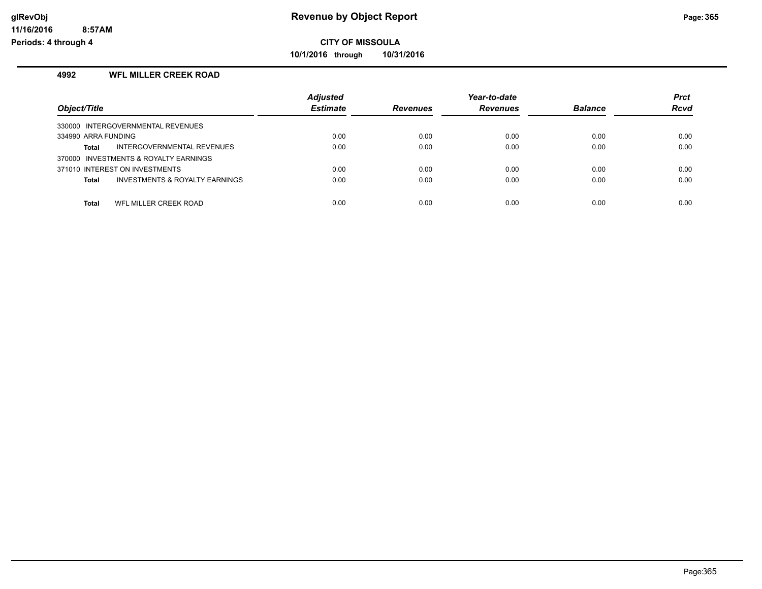**10/1/2016 through 10/31/2016**

#### **4992 WFL MILLER CREEK ROAD**

| Object/Title                                              | <b>Adjusted</b><br><b>Estimate</b> | <b>Revenues</b> | Year-to-date<br><b>Revenues</b> | <b>Balance</b> | <b>Prct</b><br><b>Rcvd</b> |
|-----------------------------------------------------------|------------------------------------|-----------------|---------------------------------|----------------|----------------------------|
| 330000 INTERGOVERNMENTAL REVENUES                         |                                    |                 |                                 |                |                            |
| 334990 ARRA FUNDING                                       | 0.00                               | 0.00            | 0.00                            | 0.00           | 0.00                       |
| INTERGOVERNMENTAL REVENUES<br>Total                       | 0.00                               | 0.00            | 0.00                            | 0.00           | 0.00                       |
| 370000 INVESTMENTS & ROYALTY EARNINGS                     |                                    |                 |                                 |                |                            |
| 371010 INTEREST ON INVESTMENTS                            | 0.00                               | 0.00            | 0.00                            | 0.00           | 0.00                       |
| <b>INVESTMENTS &amp; ROYALTY EARNINGS</b><br><b>Total</b> | 0.00                               | 0.00            | 0.00                            | 0.00           | 0.00                       |
|                                                           |                                    |                 |                                 |                |                            |
| WFL MILLER CREEK ROAD<br><b>Total</b>                     | 0.00                               | 0.00            | 0.00                            | 0.00           | 0.00                       |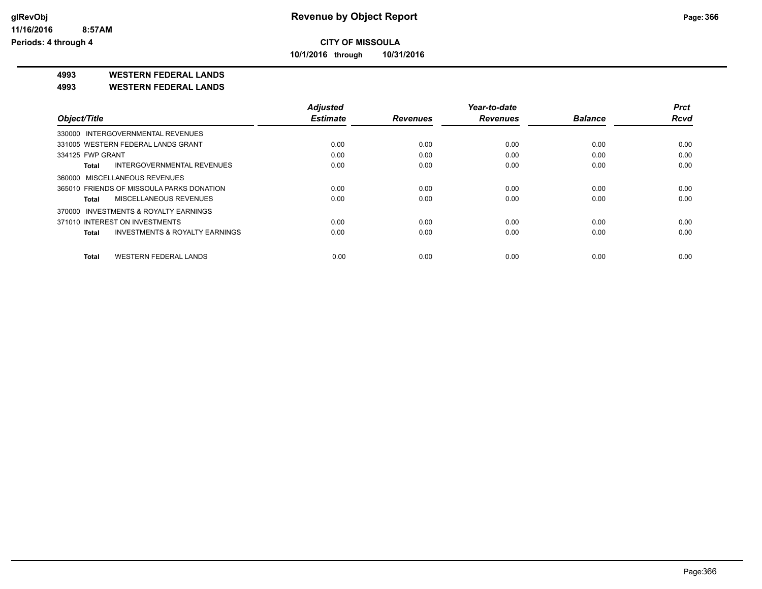**10/1/2016 through 10/31/2016**

#### **4993 WESTERN FEDERAL LANDS**

**4993 WESTERN FEDERAL LANDS**

|                                                           | <b>Adjusted</b> |                 | Year-to-date    |                | <b>Prct</b> |
|-----------------------------------------------------------|-----------------|-----------------|-----------------|----------------|-------------|
| Object/Title                                              | <b>Estimate</b> | <b>Revenues</b> | <b>Revenues</b> | <b>Balance</b> | <b>Rcvd</b> |
| 330000 INTERGOVERNMENTAL REVENUES                         |                 |                 |                 |                |             |
| 331005 WESTERN FEDERAL LANDS GRANT                        | 0.00            | 0.00            | 0.00            | 0.00           | 0.00        |
| 334125 FWP GRANT                                          | 0.00            | 0.00            | 0.00            | 0.00           | 0.00        |
| INTERGOVERNMENTAL REVENUES<br>Total                       | 0.00            | 0.00            | 0.00            | 0.00           | 0.00        |
| 360000 MISCELLANEOUS REVENUES                             |                 |                 |                 |                |             |
| 365010 FRIENDS OF MISSOULA PARKS DONATION                 | 0.00            | 0.00            | 0.00            | 0.00           | 0.00        |
| MISCELLANEOUS REVENUES<br>Total                           | 0.00            | 0.00            | 0.00            | 0.00           | 0.00        |
| 370000 INVESTMENTS & ROYALTY EARNINGS                     |                 |                 |                 |                |             |
| 371010 INTEREST ON INVESTMENTS                            | 0.00            | 0.00            | 0.00            | 0.00           | 0.00        |
| <b>INVESTMENTS &amp; ROYALTY EARNINGS</b><br><b>Total</b> | 0.00            | 0.00            | 0.00            | 0.00           | 0.00        |
| <b>WESTERN FEDERAL LANDS</b><br><b>Total</b>              | 0.00            | 0.00            | 0.00            | 0.00           | 0.00        |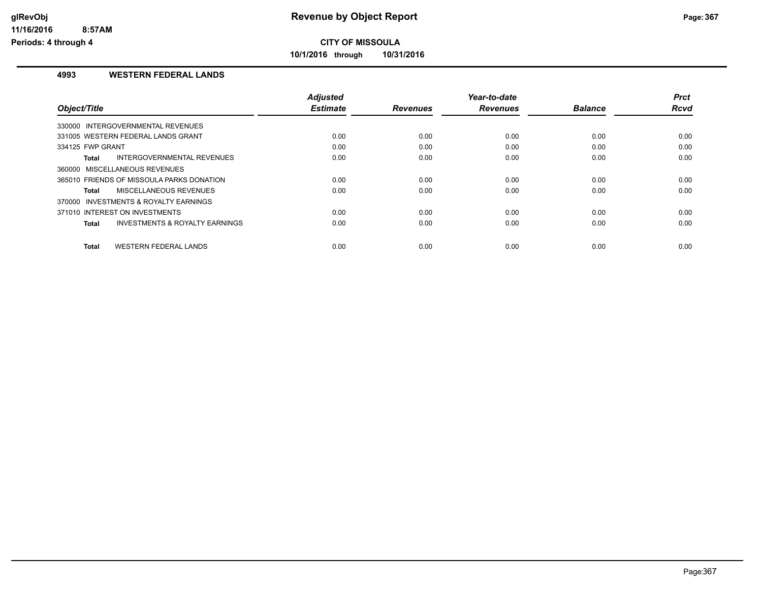**10/1/2016 through 10/31/2016**

#### **4993 WESTERN FEDERAL LANDS**

|                                                    | <b>Adjusted</b> |                 | Year-to-date    |                | <b>Prct</b> |
|----------------------------------------------------|-----------------|-----------------|-----------------|----------------|-------------|
| Object/Title                                       | <b>Estimate</b> | <b>Revenues</b> | <b>Revenues</b> | <b>Balance</b> | Rcvd        |
| 330000 INTERGOVERNMENTAL REVENUES                  |                 |                 |                 |                |             |
| 331005 WESTERN FEDERAL LANDS GRANT                 | 0.00            | 0.00            | 0.00            | 0.00           | 0.00        |
| 334125 FWP GRANT                                   | 0.00            | 0.00            | 0.00            | 0.00           | 0.00        |
| INTERGOVERNMENTAL REVENUES<br>Total                | 0.00            | 0.00            | 0.00            | 0.00           | 0.00        |
| 360000 MISCELLANEOUS REVENUES                      |                 |                 |                 |                |             |
| 365010 FRIENDS OF MISSOULA PARKS DONATION          | 0.00            | 0.00            | 0.00            | 0.00           | 0.00        |
| MISCELLANEOUS REVENUES<br><b>Total</b>             | 0.00            | 0.00            | 0.00            | 0.00           | 0.00        |
| 370000 INVESTMENTS & ROYALTY EARNINGS              |                 |                 |                 |                |             |
| 371010 INTEREST ON INVESTMENTS                     | 0.00            | 0.00            | 0.00            | 0.00           | 0.00        |
| <b>INVESTMENTS &amp; ROYALTY EARNINGS</b><br>Total | 0.00            | 0.00            | 0.00            | 0.00           | 0.00        |
| <b>WESTERN FEDERAL LANDS</b><br><b>Total</b>       | 0.00            | 0.00            | 0.00            | 0.00           | 0.00        |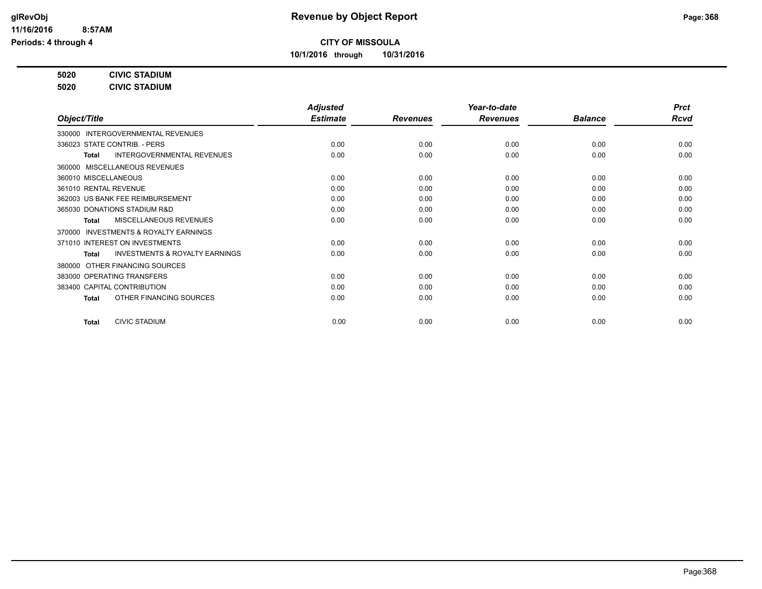**10/1/2016 through 10/31/2016**

**5020 CIVIC STADIUM**

**5020 CIVIC STADIUM**

|                                                           | <b>Adjusted</b> |                 | Year-to-date    |                | <b>Prct</b> |
|-----------------------------------------------------------|-----------------|-----------------|-----------------|----------------|-------------|
| Object/Title                                              | <b>Estimate</b> | <b>Revenues</b> | <b>Revenues</b> | <b>Balance</b> | <b>Rcvd</b> |
| INTERGOVERNMENTAL REVENUES<br>330000                      |                 |                 |                 |                |             |
| 336023 STATE CONTRIB. - PERS                              | 0.00            | 0.00            | 0.00            | 0.00           | 0.00        |
| <b>INTERGOVERNMENTAL REVENUES</b><br><b>Total</b>         | 0.00            | 0.00            | 0.00            | 0.00           | 0.00        |
| MISCELLANEOUS REVENUES<br>360000                          |                 |                 |                 |                |             |
| 360010 MISCELLANEOUS                                      | 0.00            | 0.00            | 0.00            | 0.00           | 0.00        |
| 361010 RENTAL REVENUE                                     | 0.00            | 0.00            | 0.00            | 0.00           | 0.00        |
| 362003 US BANK FEE REIMBURSEMENT                          | 0.00            | 0.00            | 0.00            | 0.00           | 0.00        |
| 365030 DONATIONS STADIUM R&D                              | 0.00            | 0.00            | 0.00            | 0.00           | 0.00        |
| MISCELLANEOUS REVENUES<br><b>Total</b>                    | 0.00            | 0.00            | 0.00            | 0.00           | 0.00        |
| <b>INVESTMENTS &amp; ROYALTY EARNINGS</b><br>370000       |                 |                 |                 |                |             |
| 371010 INTEREST ON INVESTMENTS                            | 0.00            | 0.00            | 0.00            | 0.00           | 0.00        |
| <b>INVESTMENTS &amp; ROYALTY EARNINGS</b><br><b>Total</b> | 0.00            | 0.00            | 0.00            | 0.00           | 0.00        |
| OTHER FINANCING SOURCES<br>380000                         |                 |                 |                 |                |             |
| 383000 OPERATING TRANSFERS                                | 0.00            | 0.00            | 0.00            | 0.00           | 0.00        |
| 383400 CAPITAL CONTRIBUTION                               | 0.00            | 0.00            | 0.00            | 0.00           | 0.00        |
| OTHER FINANCING SOURCES<br><b>Total</b>                   | 0.00            | 0.00            | 0.00            | 0.00           | 0.00        |
|                                                           |                 |                 |                 |                |             |
| <b>CIVIC STADIUM</b><br><b>Total</b>                      | 0.00            | 0.00            | 0.00            | 0.00           | 0.00        |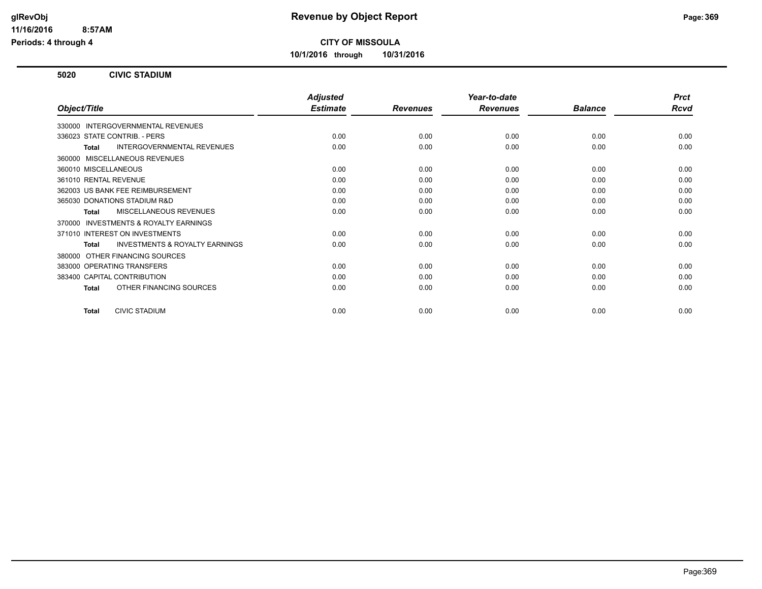**Periods: 4 through 4**

**glRevObj Revenue by Object Report Page:369** 

**CITY OF MISSOULA**

**10/1/2016 through 10/31/2016**

**5020 CIVIC STADIUM**

 **8:57AM**

|                                                           | <b>Adjusted</b> |                 | Year-to-date    |                | <b>Prct</b> |
|-----------------------------------------------------------|-----------------|-----------------|-----------------|----------------|-------------|
| Object/Title                                              | <b>Estimate</b> | <b>Revenues</b> | <b>Revenues</b> | <b>Balance</b> | <b>Rcvd</b> |
| 330000 INTERGOVERNMENTAL REVENUES                         |                 |                 |                 |                |             |
| 336023 STATE CONTRIB. - PERS                              | 0.00            | 0.00            | 0.00            | 0.00           | 0.00        |
| INTERGOVERNMENTAL REVENUES<br><b>Total</b>                | 0.00            | 0.00            | 0.00            | 0.00           | 0.00        |
| 360000 MISCELLANEOUS REVENUES                             |                 |                 |                 |                |             |
| 360010 MISCELLANEOUS                                      | 0.00            | 0.00            | 0.00            | 0.00           | 0.00        |
| 361010 RENTAL REVENUE                                     | 0.00            | 0.00            | 0.00            | 0.00           | 0.00        |
| 362003 US BANK FEE REIMBURSEMENT                          | 0.00            | 0.00            | 0.00            | 0.00           | 0.00        |
| 365030 DONATIONS STADIUM R&D                              | 0.00            | 0.00            | 0.00            | 0.00           | 0.00        |
| MISCELLANEOUS REVENUES<br><b>Total</b>                    | 0.00            | 0.00            | 0.00            | 0.00           | 0.00        |
| INVESTMENTS & ROYALTY EARNINGS<br>370000                  |                 |                 |                 |                |             |
| 371010 INTEREST ON INVESTMENTS                            | 0.00            | 0.00            | 0.00            | 0.00           | 0.00        |
| <b>INVESTMENTS &amp; ROYALTY EARNINGS</b><br><b>Total</b> | 0.00            | 0.00            | 0.00            | 0.00           | 0.00        |
| OTHER FINANCING SOURCES<br>380000                         |                 |                 |                 |                |             |
| 383000 OPERATING TRANSFERS                                | 0.00            | 0.00            | 0.00            | 0.00           | 0.00        |
| 383400 CAPITAL CONTRIBUTION                               | 0.00            | 0.00            | 0.00            | 0.00           | 0.00        |
| OTHER FINANCING SOURCES<br><b>Total</b>                   | 0.00            | 0.00            | 0.00            | 0.00           | 0.00        |
| <b>CIVIC STADIUM</b><br><b>Total</b>                      | 0.00            | 0.00            | 0.00            | 0.00           | 0.00        |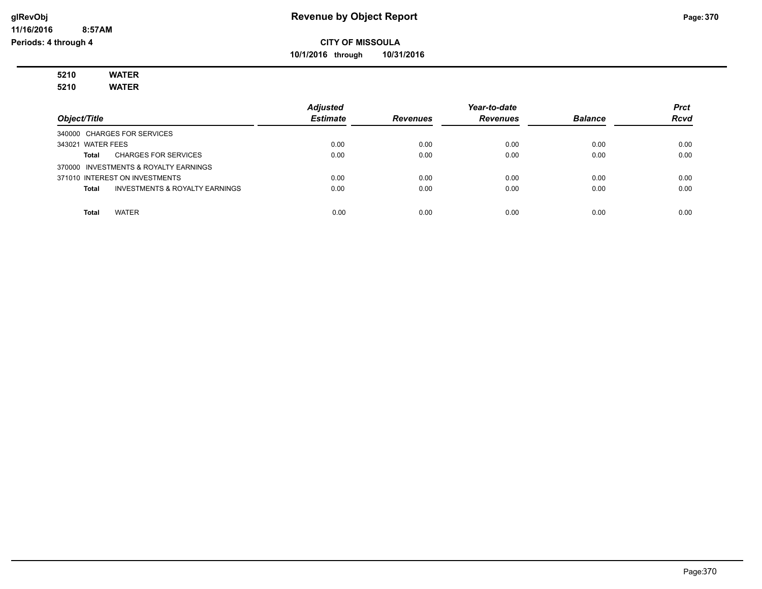**10/1/2016 through 10/31/2016**

# **5210 WATER**

**5210 WATER**

|                                                    | <b>Adjusted</b> |                 | Year-to-date    |                | <b>Prct</b> |
|----------------------------------------------------|-----------------|-----------------|-----------------|----------------|-------------|
| Object/Title                                       | <b>Estimate</b> | <b>Revenues</b> | <b>Revenues</b> | <b>Balance</b> | <b>Rcvd</b> |
| 340000 CHARGES FOR SERVICES                        |                 |                 |                 |                |             |
| 343021 WATER FEES                                  | 0.00            | 0.00            | 0.00            | 0.00           | 0.00        |
| <b>CHARGES FOR SERVICES</b><br>Total               | 0.00            | 0.00            | 0.00            | 0.00           | 0.00        |
| 370000 INVESTMENTS & ROYALTY EARNINGS              |                 |                 |                 |                |             |
| 371010 INTEREST ON INVESTMENTS                     | 0.00            | 0.00            | 0.00            | 0.00           | 0.00        |
| <b>INVESTMENTS &amp; ROYALTY EARNINGS</b><br>Total | 0.00            | 0.00            | 0.00            | 0.00           | 0.00        |
|                                                    |                 |                 |                 |                |             |
| WATER<br>Total                                     | 0.00            | 0.00            | 0.00            | 0.00           | 0.00        |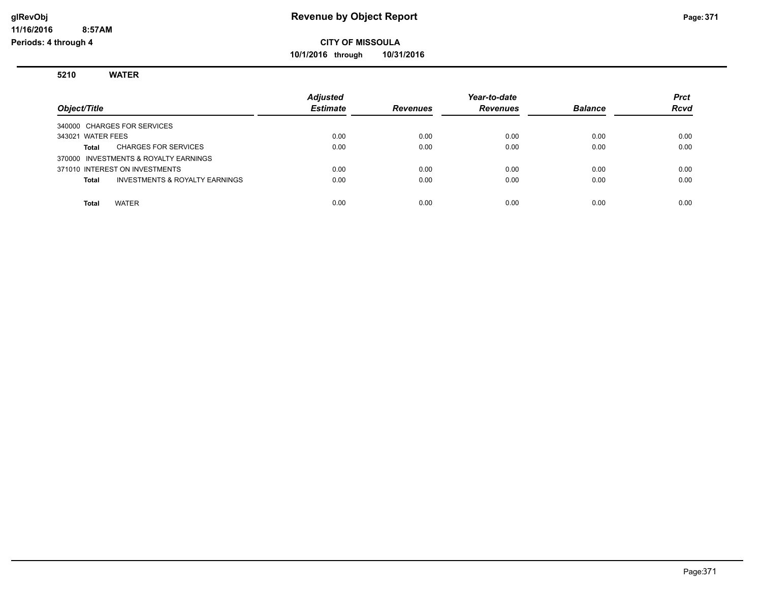**11/16/2016 8:57AM Periods: 4 through 4**

#### **CITY OF MISSOULA**

**10/1/2016 through 10/31/2016**

**5210 WATER**

| Object/Title                                       | <b>Adjusted</b><br><b>Estimate</b> | <b>Revenues</b> | Year-to-date<br><b>Revenues</b> | <b>Balance</b> | <b>Prct</b><br><b>Rcvd</b> |
|----------------------------------------------------|------------------------------------|-----------------|---------------------------------|----------------|----------------------------|
| 340000 CHARGES FOR SERVICES                        |                                    |                 |                                 |                |                            |
| 343021 WATER FEES                                  | 0.00                               | 0.00            | 0.00                            | 0.00           | 0.00                       |
| <b>CHARGES FOR SERVICES</b><br>Total               | 0.00                               | 0.00            | 0.00                            | 0.00           | 0.00                       |
| 370000 INVESTMENTS & ROYALTY EARNINGS              |                                    |                 |                                 |                |                            |
| 371010 INTEREST ON INVESTMENTS                     | 0.00                               | 0.00            | 0.00                            | 0.00           | 0.00                       |
| <b>INVESTMENTS &amp; ROYALTY EARNINGS</b><br>Total | 0.00                               | 0.00            | 0.00                            | 0.00           | 0.00                       |
|                                                    |                                    |                 |                                 |                |                            |
| <b>WATER</b><br><b>Total</b>                       | 0.00                               | 0.00            | 0.00                            | 0.00           | 0.00                       |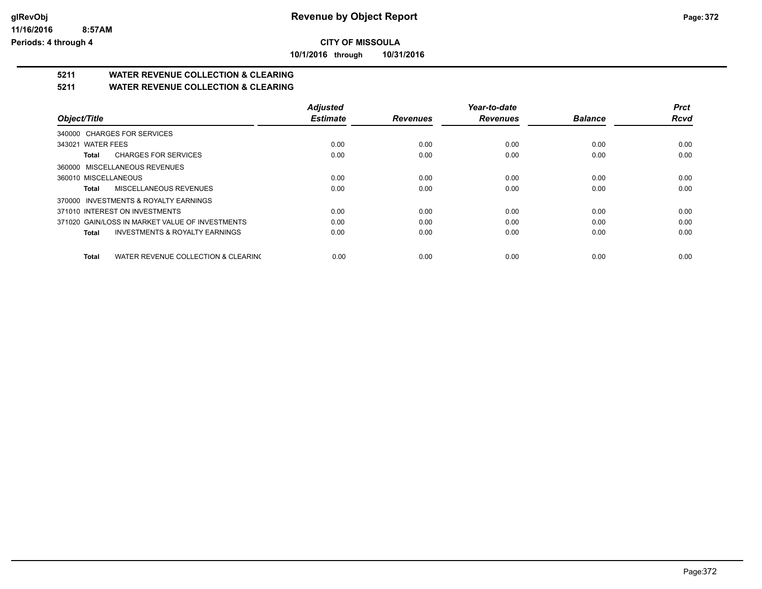**Periods: 4 through 4**

 **8:57AM**

**CITY OF MISSOULA**

**10/1/2016 through 10/31/2016**

# **5211 WATER REVENUE COLLECTION & CLEARING**

**5211 WATER REVENUE COLLECTION & CLEARING**

|                                                     | <b>Adjusted</b> |                 | Year-to-date    |                | <b>Prct</b> |
|-----------------------------------------------------|-----------------|-----------------|-----------------|----------------|-------------|
| Object/Title                                        | <b>Estimate</b> | <b>Revenues</b> | <b>Revenues</b> | <b>Balance</b> | <b>Rcvd</b> |
| 340000 CHARGES FOR SERVICES                         |                 |                 |                 |                |             |
| 343021 WATER FEES                                   | 0.00            | 0.00            | 0.00            | 0.00           | 0.00        |
| <b>CHARGES FOR SERVICES</b><br>Total                | 0.00            | 0.00            | 0.00            | 0.00           | 0.00        |
| 360000 MISCELLANEOUS REVENUES                       |                 |                 |                 |                |             |
| 360010 MISCELLANEOUS                                | 0.00            | 0.00            | 0.00            | 0.00           | 0.00        |
| MISCELLANEOUS REVENUES<br>Total                     | 0.00            | 0.00            | 0.00            | 0.00           | 0.00        |
| 370000 INVESTMENTS & ROYALTY EARNINGS               |                 |                 |                 |                |             |
| 371010 INTEREST ON INVESTMENTS                      | 0.00            | 0.00            | 0.00            | 0.00           | 0.00        |
| 371020 GAIN/LOSS IN MARKET VALUE OF INVESTMENTS     | 0.00            | 0.00            | 0.00            | 0.00           | 0.00        |
| <b>INVESTMENTS &amp; ROYALTY EARNINGS</b><br>Total  | 0.00            | 0.00            | 0.00            | 0.00           | 0.00        |
| WATER REVENUE COLLECTION & CLEARING<br><b>Total</b> | 0.00            | 0.00            | 0.00            | 0.00           | 0.00        |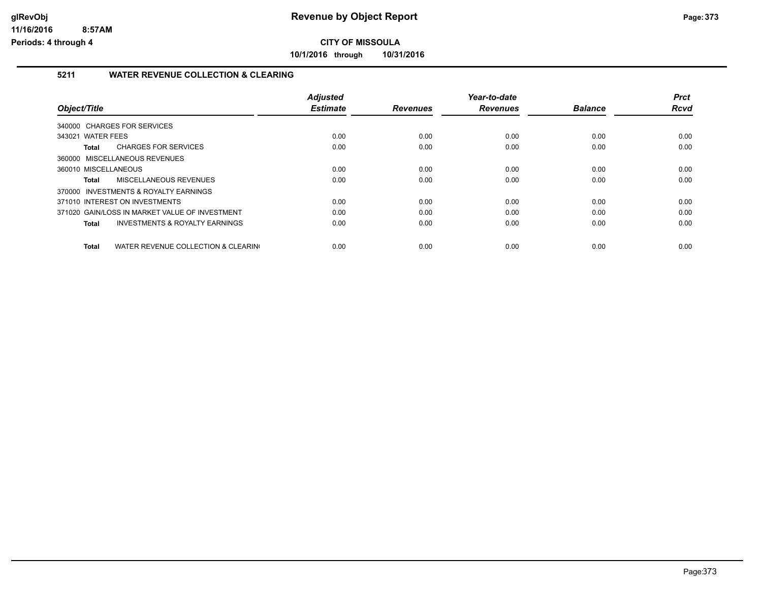**10/1/2016 through 10/31/2016**

#### **5211 WATER REVENUE COLLECTION & CLEARING**

|                                                    | <b>Adjusted</b> |                 | Year-to-date    |                | <b>Prct</b> |
|----------------------------------------------------|-----------------|-----------------|-----------------|----------------|-------------|
| Object/Title                                       | <b>Estimate</b> | <b>Revenues</b> | <b>Revenues</b> | <b>Balance</b> | <b>Rcvd</b> |
| 340000 CHARGES FOR SERVICES                        |                 |                 |                 |                |             |
| 343021 WATER FEES                                  | 0.00            | 0.00            | 0.00            | 0.00           | 0.00        |
| <b>CHARGES FOR SERVICES</b><br>Total               | 0.00            | 0.00            | 0.00            | 0.00           | 0.00        |
| 360000 MISCELLANEOUS REVENUES                      |                 |                 |                 |                |             |
| 360010 MISCELLANEOUS                               | 0.00            | 0.00            | 0.00            | 0.00           | 0.00        |
| MISCELLANEOUS REVENUES<br>Total                    | 0.00            | 0.00            | 0.00            | 0.00           | 0.00        |
| 370000 INVESTMENTS & ROYALTY EARNINGS              |                 |                 |                 |                |             |
| 371010 INTEREST ON INVESTMENTS                     | 0.00            | 0.00            | 0.00            | 0.00           | 0.00        |
| 371020 GAIN/LOSS IN MARKET VALUE OF INVESTMENT     | 0.00            | 0.00            | 0.00            | 0.00           | 0.00        |
| <b>INVESTMENTS &amp; ROYALTY EARNINGS</b><br>Total | 0.00            | 0.00            | 0.00            | 0.00           | 0.00        |
|                                                    |                 |                 |                 |                |             |
| WATER REVENUE COLLECTION & CLEARING<br>Total       | 0.00            | 0.00            | 0.00            | 0.00           | 0.00        |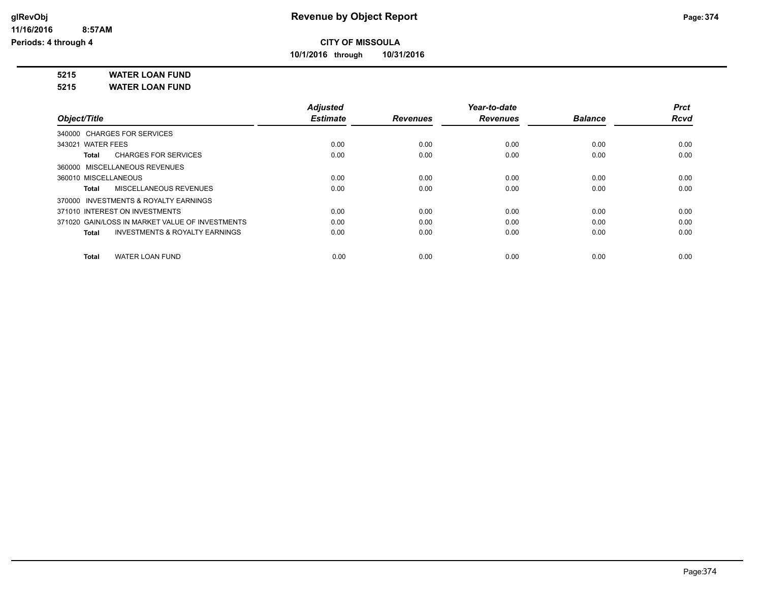**10/1/2016 through 10/31/2016**

**5215 WATER LOAN FUND**

**5215 WATER LOAN FUND**

|                                                    | <b>Adjusted</b> |                 | Year-to-date    |                | <b>Prct</b> |
|----------------------------------------------------|-----------------|-----------------|-----------------|----------------|-------------|
| Object/Title                                       | <b>Estimate</b> | <b>Revenues</b> | <b>Revenues</b> | <b>Balance</b> | <b>Rcvd</b> |
| 340000 CHARGES FOR SERVICES                        |                 |                 |                 |                |             |
| <b>WATER FEES</b><br>343021                        | 0.00            | 0.00            | 0.00            | 0.00           | 0.00        |
| <b>CHARGES FOR SERVICES</b><br>Total               | 0.00            | 0.00            | 0.00            | 0.00           | 0.00        |
| 360000 MISCELLANEOUS REVENUES                      |                 |                 |                 |                |             |
| 360010 MISCELLANEOUS                               | 0.00            | 0.00            | 0.00            | 0.00           | 0.00        |
| <b>MISCELLANEOUS REVENUES</b><br>Total             | 0.00            | 0.00            | 0.00            | 0.00           | 0.00        |
| 370000 INVESTMENTS & ROYALTY EARNINGS              |                 |                 |                 |                |             |
| 371010 INTEREST ON INVESTMENTS                     | 0.00            | 0.00            | 0.00            | 0.00           | 0.00        |
| 371020 GAIN/LOSS IN MARKET VALUE OF INVESTMENTS    | 0.00            | 0.00            | 0.00            | 0.00           | 0.00        |
| <b>INVESTMENTS &amp; ROYALTY EARNINGS</b><br>Total | 0.00            | 0.00            | 0.00            | 0.00           | 0.00        |
| <b>WATER LOAN FUND</b><br><b>Total</b>             | 0.00            | 0.00            | 0.00            | 0.00           | 0.00        |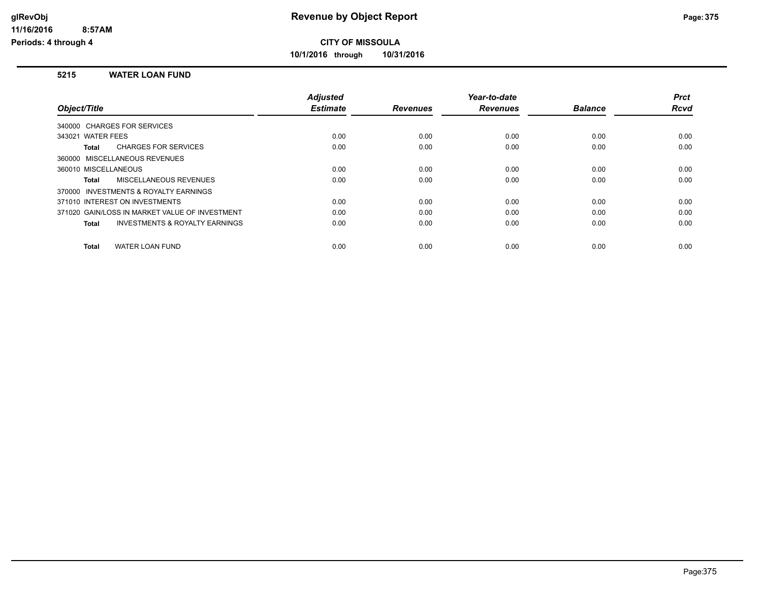**10/1/2016 through 10/31/2016**

#### **5215 WATER LOAN FUND**

|                                                | <b>Adjusted</b> |                 | Year-to-date    |                | <b>Prct</b> |
|------------------------------------------------|-----------------|-----------------|-----------------|----------------|-------------|
| Object/Title                                   | <b>Estimate</b> | <b>Revenues</b> | <b>Revenues</b> | <b>Balance</b> | <b>Rcvd</b> |
| 340000 CHARGES FOR SERVICES                    |                 |                 |                 |                |             |
| 343021 WATER FEES                              | 0.00            | 0.00            | 0.00            | 0.00           | 0.00        |
| <b>CHARGES FOR SERVICES</b><br>Total           | 0.00            | 0.00            | 0.00            | 0.00           | 0.00        |
| 360000 MISCELLANEOUS REVENUES                  |                 |                 |                 |                |             |
| 360010 MISCELLANEOUS                           | 0.00            | 0.00            | 0.00            | 0.00           | 0.00        |
| MISCELLANEOUS REVENUES<br>Total                | 0.00            | 0.00            | 0.00            | 0.00           | 0.00        |
| 370000 INVESTMENTS & ROYALTY EARNINGS          |                 |                 |                 |                |             |
| 371010 INTEREST ON INVESTMENTS                 | 0.00            | 0.00            | 0.00            | 0.00           | 0.00        |
| 371020 GAIN/LOSS IN MARKET VALUE OF INVESTMENT | 0.00            | 0.00            | 0.00            | 0.00           | 0.00        |
| INVESTMENTS & ROYALTY EARNINGS<br><b>Total</b> | 0.00            | 0.00            | 0.00            | 0.00           | 0.00        |
| <b>WATER LOAN FUND</b><br><b>Total</b>         | 0.00            | 0.00            | 0.00            | 0.00           | 0.00        |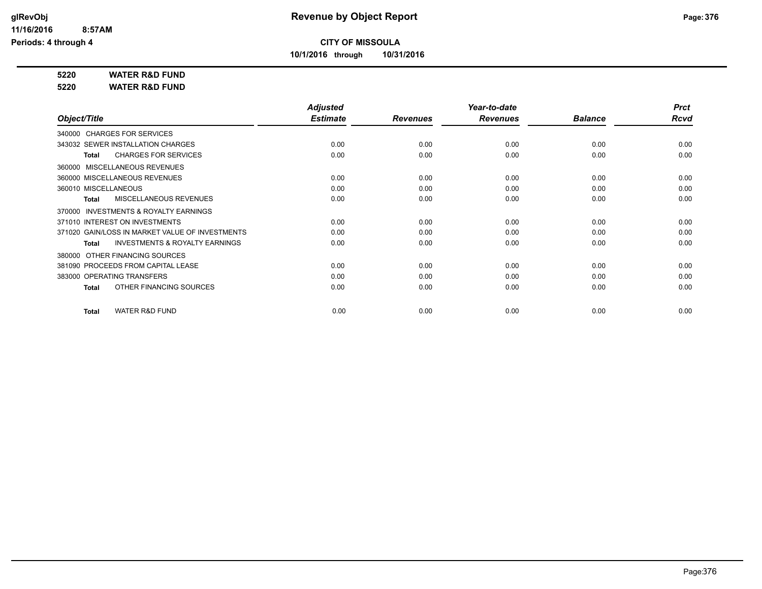**10/1/2016 through 10/31/2016**

**5220 WATER R&D FUND**

**5220 WATER R&D FUND**

|                                                           | <b>Adjusted</b> |                 | Year-to-date    |                | <b>Prct</b> |
|-----------------------------------------------------------|-----------------|-----------------|-----------------|----------------|-------------|
| Object/Title                                              | <b>Estimate</b> | <b>Revenues</b> | <b>Revenues</b> | <b>Balance</b> | <b>Rcvd</b> |
| 340000 CHARGES FOR SERVICES                               |                 |                 |                 |                |             |
| 343032 SEWER INSTALLATION CHARGES                         | 0.00            | 0.00            | 0.00            | 0.00           | 0.00        |
| <b>CHARGES FOR SERVICES</b><br><b>Total</b>               | 0.00            | 0.00            | 0.00            | 0.00           | 0.00        |
| 360000 MISCELLANEOUS REVENUES                             |                 |                 |                 |                |             |
| 360000 MISCELLANEOUS REVENUES                             | 0.00            | 0.00            | 0.00            | 0.00           | 0.00        |
| 360010 MISCELLANEOUS                                      | 0.00            | 0.00            | 0.00            | 0.00           | 0.00        |
| MISCELLANEOUS REVENUES<br><b>Total</b>                    | 0.00            | 0.00            | 0.00            | 0.00           | 0.00        |
| INVESTMENTS & ROYALTY EARNINGS<br>370000                  |                 |                 |                 |                |             |
| 371010 INTEREST ON INVESTMENTS                            | 0.00            | 0.00            | 0.00            | 0.00           | 0.00        |
| 371020 GAIN/LOSS IN MARKET VALUE OF INVESTMENTS           | 0.00            | 0.00            | 0.00            | 0.00           | 0.00        |
| <b>INVESTMENTS &amp; ROYALTY EARNINGS</b><br><b>Total</b> | 0.00            | 0.00            | 0.00            | 0.00           | 0.00        |
| OTHER FINANCING SOURCES<br>380000                         |                 |                 |                 |                |             |
| 381090 PROCEEDS FROM CAPITAL LEASE                        | 0.00            | 0.00            | 0.00            | 0.00           | 0.00        |
| 383000 OPERATING TRANSFERS                                | 0.00            | 0.00            | 0.00            | 0.00           | 0.00        |
| OTHER FINANCING SOURCES<br><b>Total</b>                   | 0.00            | 0.00            | 0.00            | 0.00           | 0.00        |
| <b>WATER R&amp;D FUND</b><br><b>Total</b>                 | 0.00            | 0.00            | 0.00            | 0.00           | 0.00        |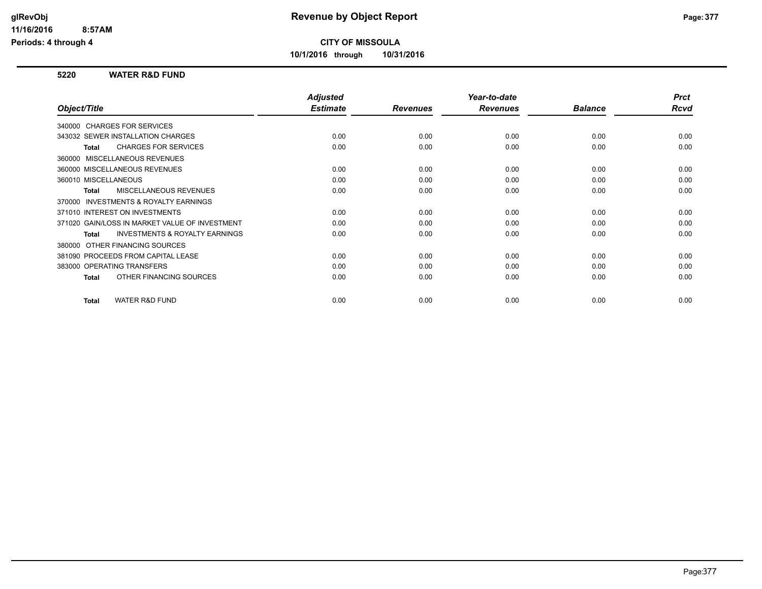**10/1/2016 through 10/31/2016**

#### **5220 WATER R&D FUND**

|                                                           | <b>Adjusted</b> |                 | Year-to-date    |                | <b>Prct</b> |
|-----------------------------------------------------------|-----------------|-----------------|-----------------|----------------|-------------|
| Object/Title                                              | <b>Estimate</b> | <b>Revenues</b> | <b>Revenues</b> | <b>Balance</b> | <b>Rcvd</b> |
| 340000 CHARGES FOR SERVICES                               |                 |                 |                 |                |             |
| 343032 SEWER INSTALLATION CHARGES                         | 0.00            | 0.00            | 0.00            | 0.00           | 0.00        |
| <b>CHARGES FOR SERVICES</b><br><b>Total</b>               | 0.00            | 0.00            | 0.00            | 0.00           | 0.00        |
| 360000 MISCELLANEOUS REVENUES                             |                 |                 |                 |                |             |
| 360000 MISCELLANEOUS REVENUES                             | 0.00            | 0.00            | 0.00            | 0.00           | 0.00        |
| 360010 MISCELLANEOUS                                      | 0.00            | 0.00            | 0.00            | 0.00           | 0.00        |
| <b>MISCELLANEOUS REVENUES</b><br><b>Total</b>             | 0.00            | 0.00            | 0.00            | 0.00           | 0.00        |
| <b>INVESTMENTS &amp; ROYALTY EARNINGS</b><br>370000       |                 |                 |                 |                |             |
| 371010 INTEREST ON INVESTMENTS                            | 0.00            | 0.00            | 0.00            | 0.00           | 0.00        |
| 371020 GAIN/LOSS IN MARKET VALUE OF INVESTMENT            | 0.00            | 0.00            | 0.00            | 0.00           | 0.00        |
| <b>INVESTMENTS &amp; ROYALTY EARNINGS</b><br><b>Total</b> | 0.00            | 0.00            | 0.00            | 0.00           | 0.00        |
| 380000 OTHER FINANCING SOURCES                            |                 |                 |                 |                |             |
| 381090 PROCEEDS FROM CAPITAL LEASE                        | 0.00            | 0.00            | 0.00            | 0.00           | 0.00        |
| 383000 OPERATING TRANSFERS                                | 0.00            | 0.00            | 0.00            | 0.00           | 0.00        |
| OTHER FINANCING SOURCES<br><b>Total</b>                   | 0.00            | 0.00            | 0.00            | 0.00           | 0.00        |
|                                                           |                 |                 |                 |                |             |
| <b>WATER R&amp;D FUND</b><br><b>Total</b>                 | 0.00            | 0.00            | 0.00            | 0.00           | 0.00        |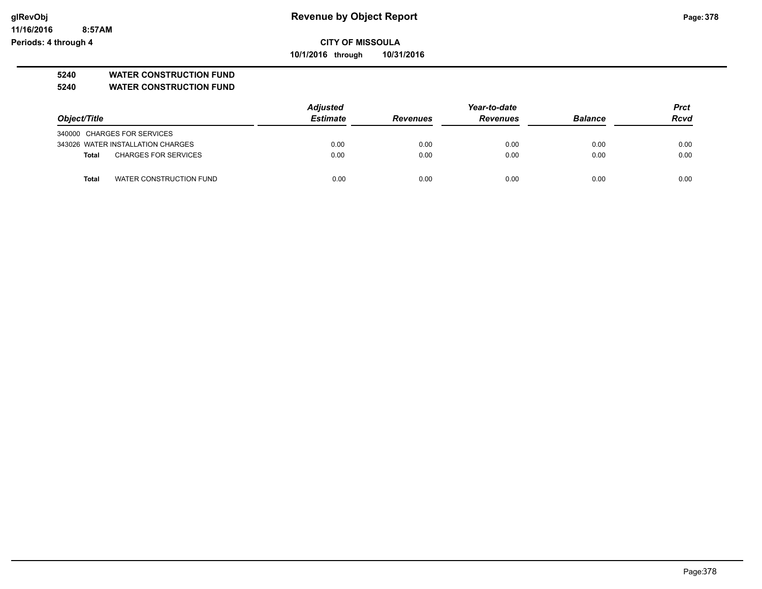**11/16/2016 8:57AM Periods: 4 through 4**

# **CITY OF MISSOULA**

**10/1/2016 through 10/31/2016**

# **5240 WATER CONSTRUCTION FUND**

**5240 WATER CONSTRUCTION FUND**

|                                             | <b>Adjusted</b> |                 | <b>Prct</b>     |                |             |
|---------------------------------------------|-----------------|-----------------|-----------------|----------------|-------------|
| Object/Title                                | <b>Estimate</b> | <b>Revenues</b> | <b>Revenues</b> | <b>Balance</b> | <b>Rcvd</b> |
| 340000 CHARGES FOR SERVICES                 |                 |                 |                 |                |             |
| 343026 WATER INSTALLATION CHARGES           | 0.00            | 0.00            | 0.00            | 0.00           | 0.00        |
| <b>CHARGES FOR SERVICES</b><br><b>Total</b> | 0.00            | 0.00            | 0.00            | 0.00           | 0.00        |
| WATER CONSTRUCTION FUND<br><b>Total</b>     | 0.00            | 0.00            | 0.00            | 0.00           | 0.00        |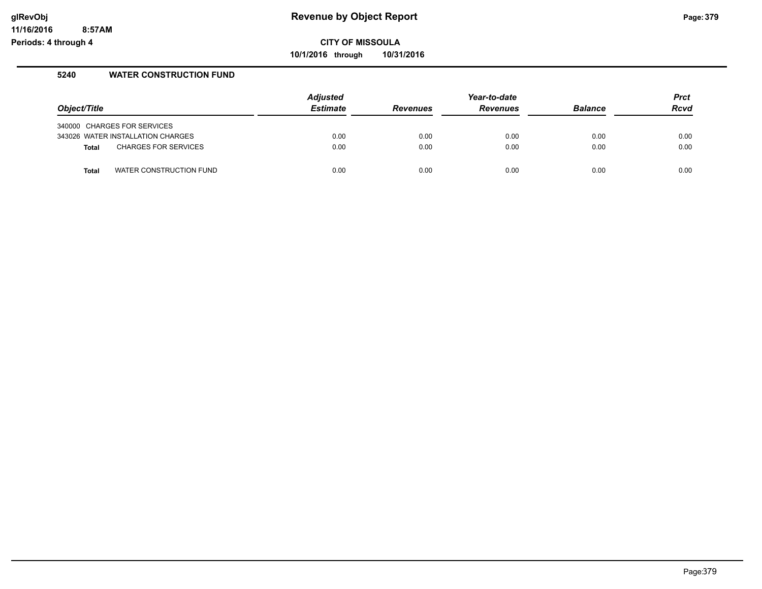**Periods: 4 through 4**

**CITY OF MISSOULA**

**10/1/2016 through 10/31/2016**

#### **5240 WATER CONSTRUCTION FUND**

 **8:57AM**

|                                   |                             | <b>Adjusted</b> |                 | Year-to-date    |                | Prct        |
|-----------------------------------|-----------------------------|-----------------|-----------------|-----------------|----------------|-------------|
| Object/Title                      |                             | <b>Estimate</b> | <b>Revenues</b> | <b>Revenues</b> | <b>Balance</b> | <b>Rcvd</b> |
| 340000 CHARGES FOR SERVICES       |                             |                 |                 |                 |                |             |
| 343026 WATER INSTALLATION CHARGES |                             | 0.00            | 0.00            | 0.00            | 0.00           | 0.00        |
| Total                             | <b>CHARGES FOR SERVICES</b> | 0.00            | 0.00            | 0.00            | 0.00           | 0.00        |
| <b>Total</b>                      | WATER CONSTRUCTION FUND     | 0.00            | 0.00            | 0.00            | 0.00           | 0.00        |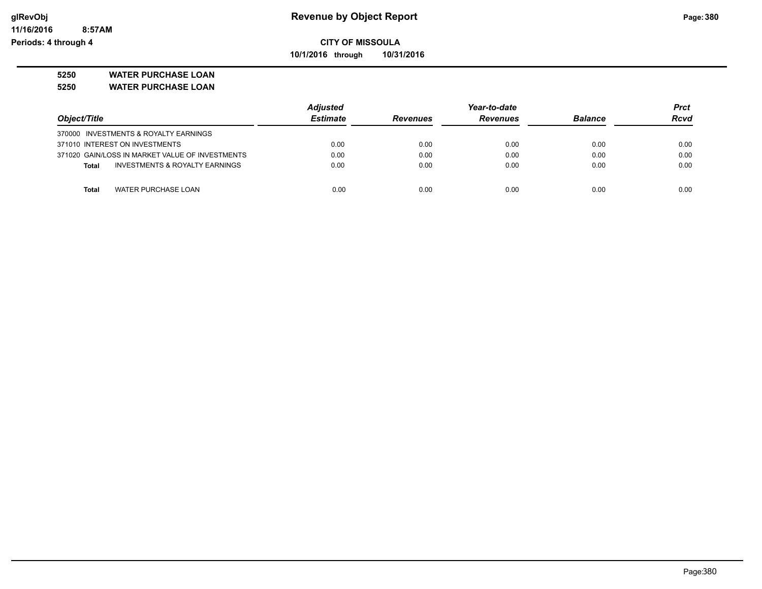**10/1/2016 through 10/31/2016**

## **5250 WATER PURCHASE LOAN**

**5250 WATER PURCHASE LOAN**

|                                                           | <b>Adjusted</b> |                 | Year-to-date    |                | Prct        |
|-----------------------------------------------------------|-----------------|-----------------|-----------------|----------------|-------------|
| Object/Title                                              | <b>Estimate</b> | <b>Revenues</b> | <b>Revenues</b> | <b>Balance</b> | <b>Rcvd</b> |
| 370000 INVESTMENTS & ROYALTY EARNINGS                     |                 |                 |                 |                |             |
| 371010 INTEREST ON INVESTMENTS                            | 0.00            | 0.00            | 0.00            | 0.00           | 0.00        |
| 371020 GAIN/LOSS IN MARKET VALUE OF INVESTMENTS           | 0.00            | 0.00            | 0.00            | 0.00           | 0.00        |
| <b>INVESTMENTS &amp; ROYALTY EARNINGS</b><br><b>Total</b> | 0.00            | 0.00            | 0.00            | 0.00           | 0.00        |
|                                                           |                 |                 |                 |                |             |
| Total<br>WATER PURCHASE LOAN                              | 0.00            | 0.00            | 0.00            | 0.00           | 0.00        |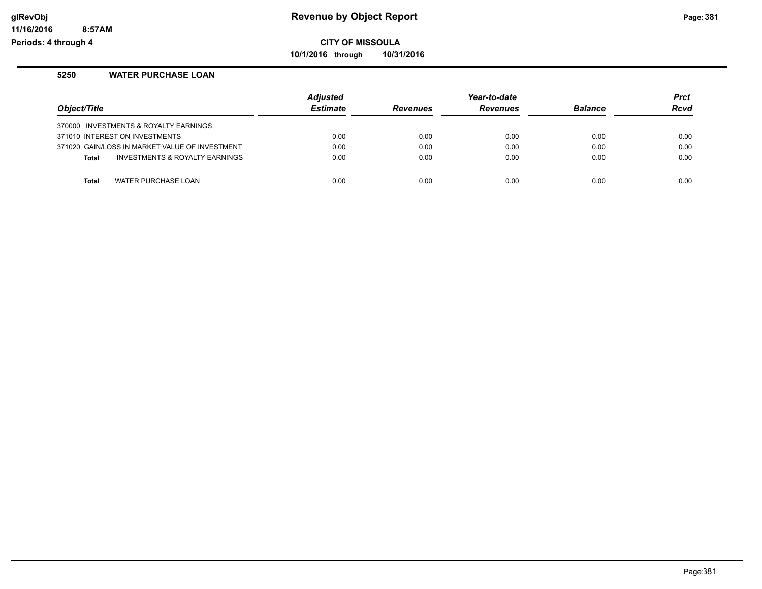**Periods: 4 through 4**

**CITY OF MISSOULA**

**10/1/2016 through 10/31/2016**

#### **5250 WATER PURCHASE LOAN**

 **8:57AM**

| Object/Title |                                                | <b>Adjusted</b><br><b>Estimate</b> | <b>Revenues</b> | Year-to-date<br><b>Revenues</b> | <b>Balance</b> | <b>Prct</b><br><b>Rcvd</b> |
|--------------|------------------------------------------------|------------------------------------|-----------------|---------------------------------|----------------|----------------------------|
|              | 370000 INVESTMENTS & ROYALTY EARNINGS          |                                    |                 |                                 |                |                            |
|              | 371010 INTEREST ON INVESTMENTS                 | 0.00                               | 0.00            | 0.00                            | 0.00           | 0.00                       |
|              | 371020 GAIN/LOSS IN MARKET VALUE OF INVESTMENT | 0.00                               | 0.00            | 0.00                            | 0.00           | 0.00                       |
| <b>Total</b> | INVESTMENTS & ROYALTY EARNINGS                 | 0.00                               | 0.00            | 0.00                            | 0.00           | 0.00                       |
|              |                                                |                                    |                 |                                 |                |                            |
| <b>Total</b> | WATER PURCHASE LOAN                            | 0.00                               | 0.00            | 0.00                            | 0.00           | 0.00                       |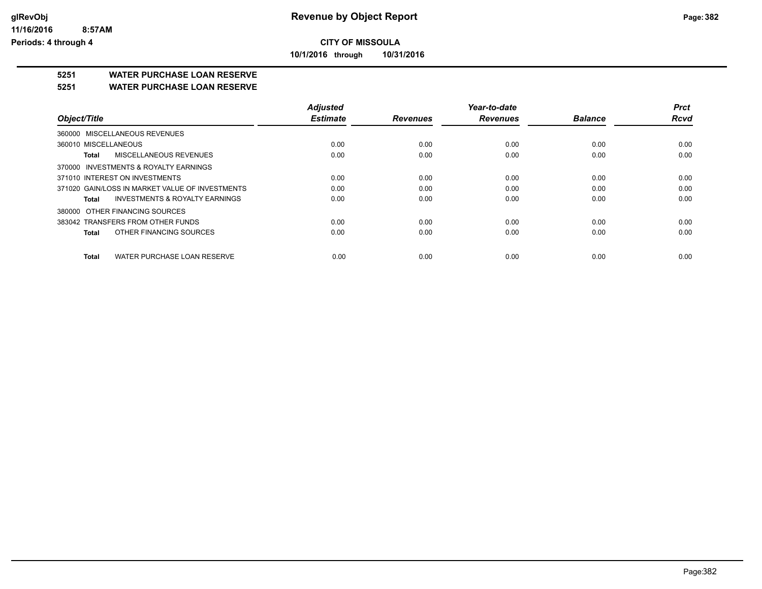**10/1/2016 through 10/31/2016**

# **5251 WATER PURCHASE LOAN RESERVE**

#### **5251 WATER PURCHASE LOAN RESERVE**

|                                                    | <b>Adjusted</b> |                 | Year-to-date    |                | <b>Prct</b> |
|----------------------------------------------------|-----------------|-----------------|-----------------|----------------|-------------|
| Object/Title                                       | <b>Estimate</b> | <b>Revenues</b> | <b>Revenues</b> | <b>Balance</b> | <b>Rcvd</b> |
| 360000 MISCELLANEOUS REVENUES                      |                 |                 |                 |                |             |
| 360010 MISCELLANEOUS                               | 0.00            | 0.00            | 0.00            | 0.00           | 0.00        |
| MISCELLANEOUS REVENUES<br>Total                    | 0.00            | 0.00            | 0.00            | 0.00           | 0.00        |
| 370000 INVESTMENTS & ROYALTY EARNINGS              |                 |                 |                 |                |             |
| 371010 INTEREST ON INVESTMENTS                     | 0.00            | 0.00            | 0.00            | 0.00           | 0.00        |
| 371020 GAIN/LOSS IN MARKET VALUE OF INVESTMENTS    | 0.00            | 0.00            | 0.00            | 0.00           | 0.00        |
| <b>INVESTMENTS &amp; ROYALTY EARNINGS</b><br>Total | 0.00            | 0.00            | 0.00            | 0.00           | 0.00        |
| 380000 OTHER FINANCING SOURCES                     |                 |                 |                 |                |             |
| 383042 TRANSFERS FROM OTHER FUNDS                  | 0.00            | 0.00            | 0.00            | 0.00           | 0.00        |
| OTHER FINANCING SOURCES<br>Total                   | 0.00            | 0.00            | 0.00            | 0.00           | 0.00        |
| WATER PURCHASE LOAN RESERVE<br>Total               | 0.00            | 0.00            | 0.00            | 0.00           | 0.00        |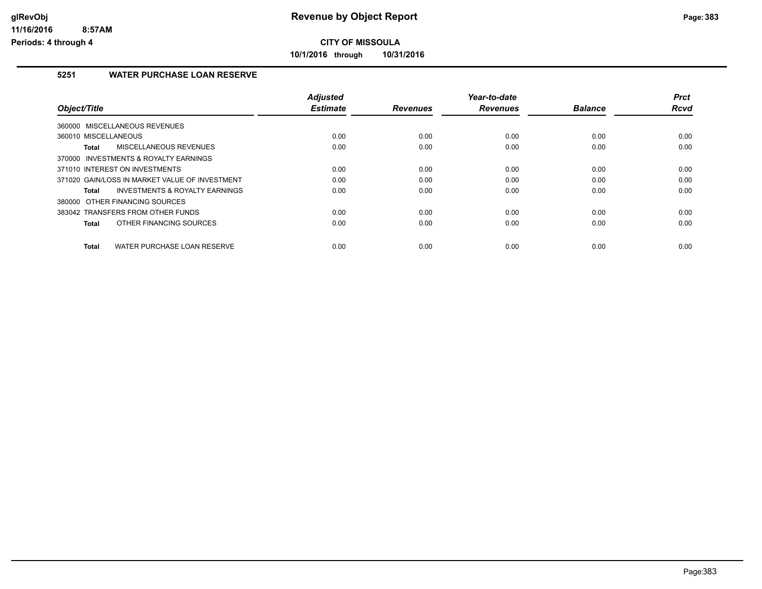**10/1/2016 through 10/31/2016**

### **5251 WATER PURCHASE LOAN RESERVE**

| Object/Title                                       | <b>Adjusted</b><br><b>Estimate</b> | <b>Revenues</b> | Year-to-date<br><b>Revenues</b> | <b>Balance</b> | <b>Prct</b><br><b>Rcvd</b> |
|----------------------------------------------------|------------------------------------|-----------------|---------------------------------|----------------|----------------------------|
| 360000 MISCELLANEOUS REVENUES                      |                                    |                 |                                 |                |                            |
| 360010 MISCELLANEOUS                               | 0.00                               | 0.00            | 0.00                            | 0.00           | 0.00                       |
| MISCELLANEOUS REVENUES<br>Total                    | 0.00                               | 0.00            | 0.00                            | 0.00           | 0.00                       |
| 370000 INVESTMENTS & ROYALTY EARNINGS              |                                    |                 |                                 |                |                            |
| 371010 INTEREST ON INVESTMENTS                     | 0.00                               | 0.00            | 0.00                            | 0.00           | 0.00                       |
| 371020 GAIN/LOSS IN MARKET VALUE OF INVESTMENT     | 0.00                               | 0.00            | 0.00                            | 0.00           | 0.00                       |
| <b>INVESTMENTS &amp; ROYALTY EARNINGS</b><br>Total | 0.00                               | 0.00            | 0.00                            | 0.00           | 0.00                       |
| 380000 OTHER FINANCING SOURCES                     |                                    |                 |                                 |                |                            |
| 383042 TRANSFERS FROM OTHER FUNDS                  | 0.00                               | 0.00            | 0.00                            | 0.00           | 0.00                       |
| OTHER FINANCING SOURCES<br>Total                   | 0.00                               | 0.00            | 0.00                            | 0.00           | 0.00                       |
| <b>Total</b><br>WATER PURCHASE LOAN RESERVE        | 0.00                               | 0.00            | 0.00                            | 0.00           | 0.00                       |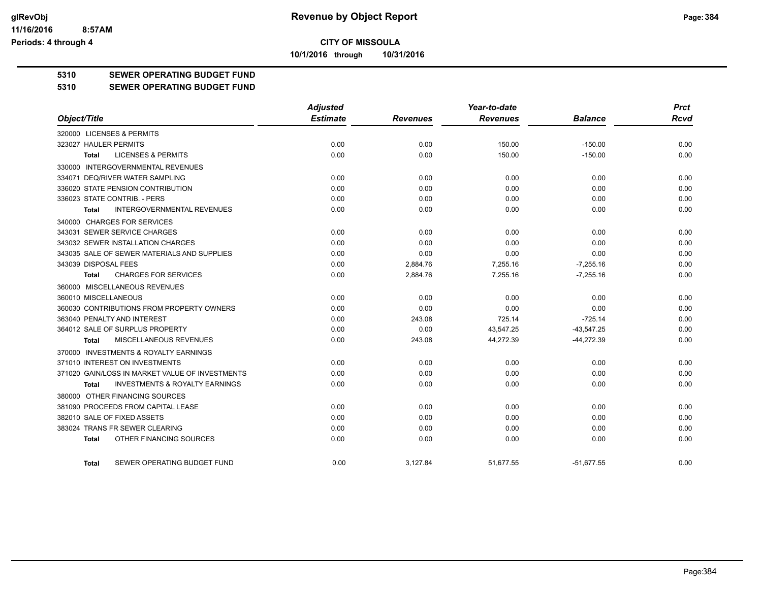**10/1/2016 through 10/31/2016**

## **5310 SEWER OPERATING BUDGET FUND**

#### **5310 SEWER OPERATING BUDGET FUND**

|                                                    | <b>Adjusted</b> |                 | Year-to-date    |                | <b>Prct</b> |
|----------------------------------------------------|-----------------|-----------------|-----------------|----------------|-------------|
| Object/Title                                       | <b>Estimate</b> | <b>Revenues</b> | <b>Revenues</b> | <b>Balance</b> | Rcvd        |
| 320000 LICENSES & PERMITS                          |                 |                 |                 |                |             |
| 323027 HAULER PERMITS                              | 0.00            | 0.00            | 150.00          | $-150.00$      | 0.00        |
| <b>LICENSES &amp; PERMITS</b><br>Total             | 0.00            | 0.00            | 150.00          | $-150.00$      | 0.00        |
| 330000 INTERGOVERNMENTAL REVENUES                  |                 |                 |                 |                |             |
| 334071 DEQ/RIVER WATER SAMPLING                    | 0.00            | 0.00            | 0.00            | 0.00           | 0.00        |
| 336020 STATE PENSION CONTRIBUTION                  | 0.00            | 0.00            | 0.00            | 0.00           | 0.00        |
| 336023 STATE CONTRIB. - PERS                       | 0.00            | 0.00            | 0.00            | 0.00           | 0.00        |
| <b>INTERGOVERNMENTAL REVENUES</b><br><b>Total</b>  | 0.00            | 0.00            | 0.00            | 0.00           | 0.00        |
| 340000 CHARGES FOR SERVICES                        |                 |                 |                 |                |             |
| 343031 SEWER SERVICE CHARGES                       | 0.00            | 0.00            | 0.00            | 0.00           | 0.00        |
| 343032 SEWER INSTALLATION CHARGES                  | 0.00            | 0.00            | 0.00            | 0.00           | 0.00        |
| 343035 SALE OF SEWER MATERIALS AND SUPPLIES        | 0.00            | 0.00            | 0.00            | 0.00           | 0.00        |
| 343039 DISPOSAL FEES                               | 0.00            | 2,884.76        | 7,255.16        | $-7,255.16$    | 0.00        |
| <b>CHARGES FOR SERVICES</b><br><b>Total</b>        | 0.00            | 2,884.76        | 7,255.16        | $-7,255.16$    | 0.00        |
| 360000 MISCELLANEOUS REVENUES                      |                 |                 |                 |                |             |
| 360010 MISCELLANEOUS                               | 0.00            | 0.00            | 0.00            | 0.00           | 0.00        |
| 360030 CONTRIBUTIONS FROM PROPERTY OWNERS          | 0.00            | 0.00            | 0.00            | 0.00           | 0.00        |
| 363040 PENALTY AND INTEREST                        | 0.00            | 243.08          | 725.14          | $-725.14$      | 0.00        |
| 364012 SALE OF SURPLUS PROPERTY                    | 0.00            | 0.00            | 43,547.25       | $-43,547.25$   | 0.00        |
| <b>MISCELLANEOUS REVENUES</b><br><b>Total</b>      | 0.00            | 243.08          | 44,272.39       | $-44,272.39$   | 0.00        |
| 370000 INVESTMENTS & ROYALTY EARNINGS              |                 |                 |                 |                |             |
| 371010 INTEREST ON INVESTMENTS                     | 0.00            | 0.00            | 0.00            | 0.00           | 0.00        |
| 371020 GAIN/LOSS IN MARKET VALUE OF INVESTMENTS    | 0.00            | 0.00            | 0.00            | 0.00           | 0.00        |
| <b>INVESTMENTS &amp; ROYALTY EARNINGS</b><br>Total | 0.00            | 0.00            | 0.00            | 0.00           | 0.00        |
| 380000 OTHER FINANCING SOURCES                     |                 |                 |                 |                |             |
| 381090 PROCEEDS FROM CAPITAL LEASE                 | 0.00            | 0.00            | 0.00            | 0.00           | 0.00        |
| 382010 SALE OF FIXED ASSETS                        | 0.00            | 0.00            | 0.00            | 0.00           | 0.00        |
| 383024 TRANS FR SEWER CLEARING                     | 0.00            | 0.00            | 0.00            | 0.00           | 0.00        |
| OTHER FINANCING SOURCES<br><b>Total</b>            | 0.00            | 0.00            | 0.00            | 0.00           | 0.00        |
| SEWER OPERATING BUDGET FUND<br>Total               | 0.00            | 3.127.84        | 51.677.55       | $-51.677.55$   | 0.00        |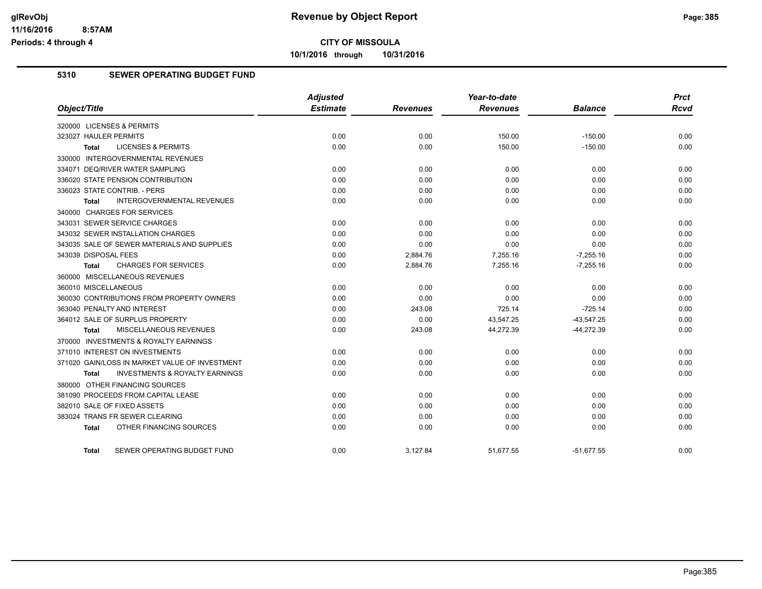**10/1/2016 through 10/31/2016**

### **5310 SEWER OPERATING BUDGET FUND**

| Object/Title                                              | <b>Adjusted</b><br><b>Estimate</b> | <b>Revenues</b> | Year-to-date<br><b>Revenues</b> | <b>Balance</b> | <b>Prct</b><br><b>Rcvd</b> |
|-----------------------------------------------------------|------------------------------------|-----------------|---------------------------------|----------------|----------------------------|
|                                                           |                                    |                 |                                 |                |                            |
| 320000 LICENSES & PERMITS                                 |                                    |                 |                                 |                |                            |
| 323027 HAULER PERMITS                                     | 0.00                               | 0.00            | 150.00                          | $-150.00$      | 0.00                       |
| <b>LICENSES &amp; PERMITS</b><br>Total                    | 0.00                               | 0.00            | 150.00                          | $-150.00$      | 0.00                       |
| 330000 INTERGOVERNMENTAL REVENUES                         |                                    |                 |                                 |                |                            |
| 334071 DEQ/RIVER WATER SAMPLING                           | 0.00                               | 0.00            | 0.00                            | 0.00           | 0.00                       |
| 336020 STATE PENSION CONTRIBUTION                         | 0.00                               | 0.00            | 0.00                            | 0.00           | 0.00                       |
| 336023 STATE CONTRIB. - PERS                              | 0.00                               | 0.00            | 0.00                            | 0.00           | 0.00                       |
| <b>INTERGOVERNMENTAL REVENUES</b><br><b>Total</b>         | 0.00                               | 0.00            | 0.00                            | 0.00           | 0.00                       |
| 340000 CHARGES FOR SERVICES                               |                                    |                 |                                 |                |                            |
| 343031 SEWER SERVICE CHARGES                              | 0.00                               | 0.00            | 0.00                            | 0.00           | 0.00                       |
| 343032 SEWER INSTALLATION CHARGES                         | 0.00                               | 0.00            | 0.00                            | 0.00           | 0.00                       |
| 343035 SALE OF SEWER MATERIALS AND SUPPLIES               | 0.00                               | 0.00            | 0.00                            | 0.00           | 0.00                       |
| 343039 DISPOSAL FEES                                      | 0.00                               | 2,884.76        | 7,255.16                        | $-7,255.16$    | 0.00                       |
| <b>CHARGES FOR SERVICES</b><br><b>Total</b>               | 0.00                               | 2,884.76        | 7,255.16                        | $-7,255.16$    | 0.00                       |
| 360000 MISCELLANEOUS REVENUES                             |                                    |                 |                                 |                |                            |
| 360010 MISCELLANEOUS                                      | 0.00                               | 0.00            | 0.00                            | 0.00           | 0.00                       |
| 360030 CONTRIBUTIONS FROM PROPERTY OWNERS                 | 0.00                               | 0.00            | 0.00                            | 0.00           | 0.00                       |
| 363040 PENALTY AND INTEREST                               | 0.00                               | 243.08          | 725.14                          | $-725.14$      | 0.00                       |
| 364012 SALE OF SURPLUS PROPERTY                           | 0.00                               | 0.00            | 43,547.25                       | $-43,547.25$   | 0.00                       |
| MISCELLANEOUS REVENUES<br>Total                           | 0.00                               | 243.08          | 44,272.39                       | $-44,272.39$   | 0.00                       |
| 370000 INVESTMENTS & ROYALTY EARNINGS                     |                                    |                 |                                 |                |                            |
| 371010 INTEREST ON INVESTMENTS                            | 0.00                               | 0.00            | 0.00                            | 0.00           | 0.00                       |
| 371020 GAIN/LOSS IN MARKET VALUE OF INVESTMENT            | 0.00                               | 0.00            | 0.00                            | 0.00           | 0.00                       |
| <b>INVESTMENTS &amp; ROYALTY EARNINGS</b><br><b>Total</b> | 0.00                               | 0.00            | 0.00                            | 0.00           | 0.00                       |
| 380000 OTHER FINANCING SOURCES                            |                                    |                 |                                 |                |                            |
| 381090 PROCEEDS FROM CAPITAL LEASE                        | 0.00                               | 0.00            | 0.00                            | 0.00           | 0.00                       |
| 382010 SALE OF FIXED ASSETS                               | 0.00                               | 0.00            | 0.00                            | 0.00           | 0.00                       |
| 383024 TRANS FR SEWER CLEARING                            | 0.00                               | 0.00            | 0.00                            | 0.00           | 0.00                       |
| OTHER FINANCING SOURCES<br><b>Total</b>                   | 0.00                               | 0.00            | 0.00                            | 0.00           | 0.00                       |
|                                                           |                                    |                 |                                 |                |                            |
| SEWER OPERATING BUDGET FUND<br><b>Total</b>               | 0.00                               | 3.127.84        | 51.677.55                       | $-51.677.55$   | 0.00                       |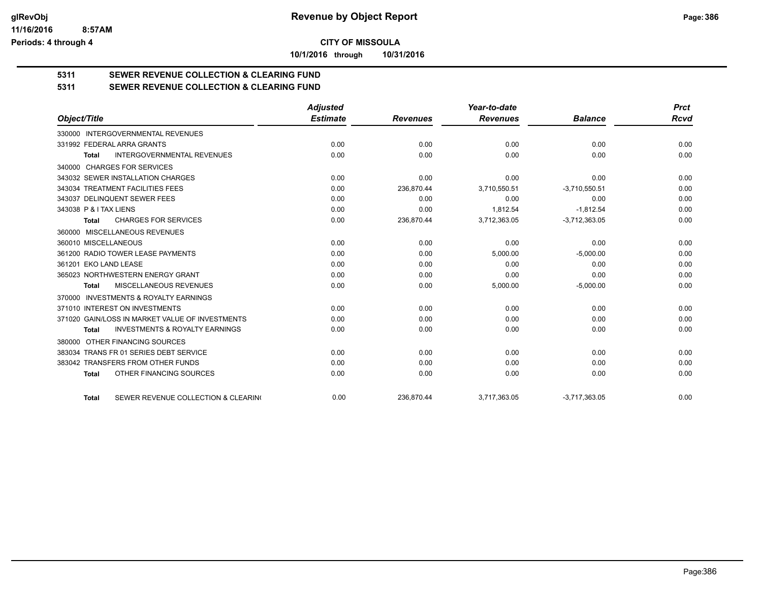**10/1/2016 through 10/31/2016**

# **5311 SEWER REVENUE COLLECTION & CLEARING FUND**

# **5311 SEWER REVENUE COLLECTION & CLEARING FUND**

|                                                     | <b>Adjusted</b> |                 | Year-to-date    |                 | <b>Prct</b> |
|-----------------------------------------------------|-----------------|-----------------|-----------------|-----------------|-------------|
| Object/Title                                        | <b>Estimate</b> | <b>Revenues</b> | <b>Revenues</b> | <b>Balance</b>  | <b>Rcvd</b> |
| 330000 INTERGOVERNMENTAL REVENUES                   |                 |                 |                 |                 |             |
| 331992 FEDERAL ARRA GRANTS                          | 0.00            | 0.00            | 0.00            | 0.00            | 0.00        |
| <b>INTERGOVERNMENTAL REVENUES</b><br><b>Total</b>   | 0.00            | 0.00            | 0.00            | 0.00            | 0.00        |
| <b>CHARGES FOR SERVICES</b><br>340000               |                 |                 |                 |                 |             |
| 343032 SEWER INSTALLATION CHARGES                   | 0.00            | 0.00            | 0.00            | 0.00            | 0.00        |
| 343034 TREATMENT FACILITIES FEES                    | 0.00            | 236,870.44      | 3,710,550.51    | $-3,710,550.51$ | 0.00        |
| 343037 DELINQUENT SEWER FEES                        | 0.00            | 0.00            | 0.00            | 0.00            | 0.00        |
| 343038 P & I TAX LIENS                              | 0.00            | 0.00            | 1,812.54        | $-1,812.54$     | 0.00        |
| <b>CHARGES FOR SERVICES</b><br><b>Total</b>         | 0.00            | 236,870.44      | 3,712,363.05    | $-3,712,363.05$ | 0.00        |
| 360000 MISCELLANEOUS REVENUES                       |                 |                 |                 |                 |             |
| 360010 MISCELLANEOUS                                | 0.00            | 0.00            | 0.00            | 0.00            | 0.00        |
| 361200 RADIO TOWER LEASE PAYMENTS                   | 0.00            | 0.00            | 5,000.00        | $-5,000.00$     | 0.00        |
| 361201 EKO LAND LEASE                               | 0.00            | 0.00            | 0.00            | 0.00            | 0.00        |
| 365023 NORTHWESTERN ENERGY GRANT                    | 0.00            | 0.00            | 0.00            | 0.00            | 0.00        |
| MISCELLANEOUS REVENUES<br><b>Total</b>              | 0.00            | 0.00            | 5,000.00        | $-5,000.00$     | 0.00        |
| 370000 INVESTMENTS & ROYALTY EARNINGS               |                 |                 |                 |                 |             |
| 371010 INTEREST ON INVESTMENTS                      | 0.00            | 0.00            | 0.00            | 0.00            | 0.00        |
| 371020 GAIN/LOSS IN MARKET VALUE OF INVESTMENTS     | 0.00            | 0.00            | 0.00            | 0.00            | 0.00        |
| <b>INVESTMENTS &amp; ROYALTY EARNINGS</b><br>Total  | 0.00            | 0.00            | 0.00            | 0.00            | 0.00        |
| OTHER FINANCING SOURCES<br>380000                   |                 |                 |                 |                 |             |
| 383034 TRANS FR 01 SERIES DEBT SERVICE              | 0.00            | 0.00            | 0.00            | 0.00            | 0.00        |
| 383042 TRANSFERS FROM OTHER FUNDS                   | 0.00            | 0.00            | 0.00            | 0.00            | 0.00        |
| OTHER FINANCING SOURCES<br><b>Total</b>             | 0.00            | 0.00            | 0.00            | 0.00            | 0.00        |
| SEWER REVENUE COLLECTION & CLEARING<br><b>Total</b> | 0.00            | 236,870.44      | 3,717,363.05    | $-3,717,363.05$ | 0.00        |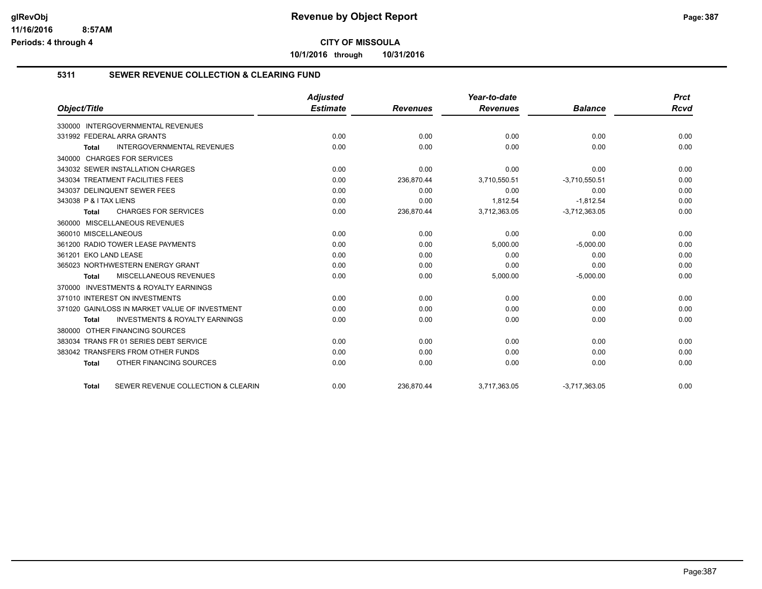**10/1/2016 through 10/31/2016**

#### **5311 SEWER REVENUE COLLECTION & CLEARING FUND**

|                                                           | <b>Adjusted</b> |                 | Year-to-date    |                 | <b>Prct</b> |
|-----------------------------------------------------------|-----------------|-----------------|-----------------|-----------------|-------------|
| Object/Title                                              | <b>Estimate</b> | <b>Revenues</b> | <b>Revenues</b> | <b>Balance</b>  | <b>Rcvd</b> |
| <b>INTERGOVERNMENTAL REVENUES</b><br>330000               |                 |                 |                 |                 |             |
| 331992 FEDERAL ARRA GRANTS                                | 0.00            | 0.00            | 0.00            | 0.00            | 0.00        |
| <b>INTERGOVERNMENTAL REVENUES</b><br><b>Total</b>         | 0.00            | 0.00            | 0.00            | 0.00            | 0.00        |
| 340000 CHARGES FOR SERVICES                               |                 |                 |                 |                 |             |
| 343032 SEWER INSTALLATION CHARGES                         | 0.00            | 0.00            | 0.00            | 0.00            | 0.00        |
| 343034 TREATMENT FACILITIES FEES                          | 0.00            | 236,870.44      | 3,710,550.51    | $-3,710,550.51$ | 0.00        |
| 343037 DELINQUENT SEWER FEES                              | 0.00            | 0.00            | 0.00            | 0.00            | 0.00        |
| 343038 P & I TAX LIENS                                    | 0.00            | 0.00            | 1,812.54        | $-1,812.54$     | 0.00        |
| <b>CHARGES FOR SERVICES</b><br><b>Total</b>               | 0.00            | 236,870.44      | 3,712,363.05    | $-3,712,363.05$ | 0.00        |
| 360000 MISCELLANEOUS REVENUES                             |                 |                 |                 |                 |             |
| 360010 MISCELLANEOUS                                      | 0.00            | 0.00            | 0.00            | 0.00            | 0.00        |
| 361200 RADIO TOWER LEASE PAYMENTS                         | 0.00            | 0.00            | 5,000.00        | $-5,000.00$     | 0.00        |
| 361201 EKO LAND LEASE                                     | 0.00            | 0.00            | 0.00            | 0.00            | 0.00        |
| 365023 NORTHWESTERN ENERGY GRANT                          | 0.00            | 0.00            | 0.00            | 0.00            | 0.00        |
| MISCELLANEOUS REVENUES<br><b>Total</b>                    | 0.00            | 0.00            | 5,000.00        | $-5,000.00$     | 0.00        |
| 370000 INVESTMENTS & ROYALTY EARNINGS                     |                 |                 |                 |                 |             |
| 371010 INTEREST ON INVESTMENTS                            | 0.00            | 0.00            | 0.00            | 0.00            | 0.00        |
| 371020 GAIN/LOSS IN MARKET VALUE OF INVESTMENT            | 0.00            | 0.00            | 0.00            | 0.00            | 0.00        |
| <b>INVESTMENTS &amp; ROYALTY EARNINGS</b><br><b>Total</b> | 0.00            | 0.00            | 0.00            | 0.00            | 0.00        |
| OTHER FINANCING SOURCES<br>380000                         |                 |                 |                 |                 |             |
| 383034 TRANS FR 01 SERIES DEBT SERVICE                    | 0.00            | 0.00            | 0.00            | 0.00            | 0.00        |
| 383042 TRANSFERS FROM OTHER FUNDS                         | 0.00            | 0.00            | 0.00            | 0.00            | 0.00        |
| OTHER FINANCING SOURCES<br><b>Total</b>                   | 0.00            | 0.00            | 0.00            | 0.00            | 0.00        |
| SEWER REVENUE COLLECTION & CLEARIN<br><b>Total</b>        | 0.00            | 236.870.44      | 3,717,363.05    | $-3,717,363.05$ | 0.00        |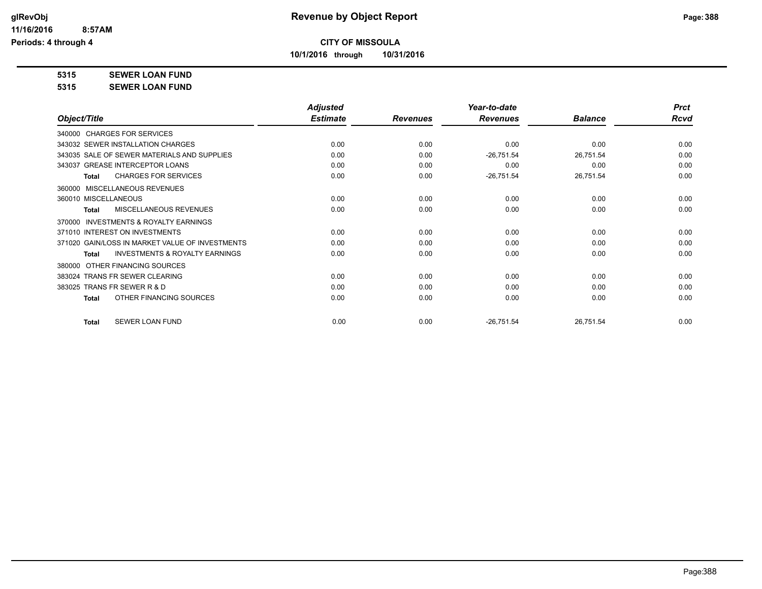**10/1/2016 through 10/31/2016**

#### **5315 SEWER LOAN FUND**

**5315 SEWER LOAN FUND**

|                                                           | <b>Adjusted</b> |                 | Year-to-date    |                | <b>Prct</b> |
|-----------------------------------------------------------|-----------------|-----------------|-----------------|----------------|-------------|
| Object/Title                                              | <b>Estimate</b> | <b>Revenues</b> | <b>Revenues</b> | <b>Balance</b> | <b>Rcvd</b> |
| 340000 CHARGES FOR SERVICES                               |                 |                 |                 |                |             |
| 343032 SEWER INSTALLATION CHARGES                         | 0.00            | 0.00            | 0.00            | 0.00           | 0.00        |
| 343035 SALE OF SEWER MATERIALS AND SUPPLIES               | 0.00            | 0.00            | $-26,751.54$    | 26,751.54      | 0.00        |
| 343037 GREASE INTERCEPTOR LOANS                           | 0.00            | 0.00            | 0.00            | 0.00           | 0.00        |
| <b>CHARGES FOR SERVICES</b><br><b>Total</b>               | 0.00            | 0.00            | $-26,751.54$    | 26,751.54      | 0.00        |
| MISCELLANEOUS REVENUES<br>360000                          |                 |                 |                 |                |             |
| 360010 MISCELLANEOUS                                      | 0.00            | 0.00            | 0.00            | 0.00           | 0.00        |
| MISCELLANEOUS REVENUES<br><b>Total</b>                    | 0.00            | 0.00            | 0.00            | 0.00           | 0.00        |
| <b>INVESTMENTS &amp; ROYALTY EARNINGS</b><br>370000       |                 |                 |                 |                |             |
| 371010 INTEREST ON INVESTMENTS                            | 0.00            | 0.00            | 0.00            | 0.00           | 0.00        |
| 371020 GAIN/LOSS IN MARKET VALUE OF INVESTMENTS           | 0.00            | 0.00            | 0.00            | 0.00           | 0.00        |
| <b>INVESTMENTS &amp; ROYALTY EARNINGS</b><br><b>Total</b> | 0.00            | 0.00            | 0.00            | 0.00           | 0.00        |
| OTHER FINANCING SOURCES<br>380000                         |                 |                 |                 |                |             |
| 383024 TRANS FR SEWER CLEARING                            | 0.00            | 0.00            | 0.00            | 0.00           | 0.00        |
| 383025 TRANS FR SEWER R & D                               | 0.00            | 0.00            | 0.00            | 0.00           | 0.00        |
| OTHER FINANCING SOURCES<br><b>Total</b>                   | 0.00            | 0.00            | 0.00            | 0.00           | 0.00        |
| <b>SEWER LOAN FUND</b><br><b>Total</b>                    | 0.00            | 0.00            | $-26,751.54$    | 26,751.54      | 0.00        |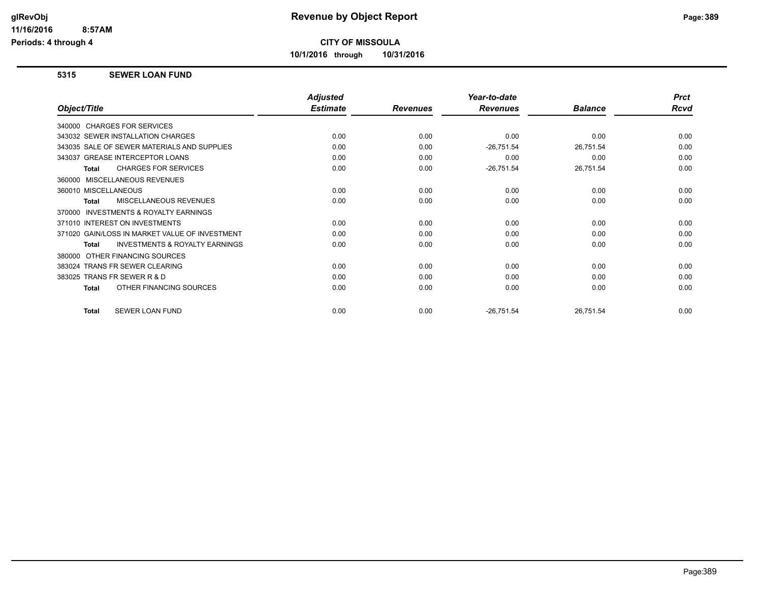**10/1/2016 through 10/31/2016**

#### **5315 SEWER LOAN FUND**

|                                                           | <b>Adjusted</b> |                 | Year-to-date    |                | <b>Prct</b> |
|-----------------------------------------------------------|-----------------|-----------------|-----------------|----------------|-------------|
| Object/Title                                              | <b>Estimate</b> | <b>Revenues</b> | <b>Revenues</b> | <b>Balance</b> | <b>Rcvd</b> |
| 340000 CHARGES FOR SERVICES                               |                 |                 |                 |                |             |
| 343032 SEWER INSTALLATION CHARGES                         | 0.00            | 0.00            | 0.00            | 0.00           | 0.00        |
| 343035 SALE OF SEWER MATERIALS AND SUPPLIES               | 0.00            | 0.00            | $-26,751.54$    | 26,751.54      | 0.00        |
| 343037 GREASE INTERCEPTOR LOANS                           | 0.00            | 0.00            | 0.00            | 0.00           | 0.00        |
| <b>CHARGES FOR SERVICES</b><br><b>Total</b>               | 0.00            | 0.00            | $-26,751.54$    | 26,751.54      | 0.00        |
| MISCELLANEOUS REVENUES<br>360000                          |                 |                 |                 |                |             |
| 360010 MISCELLANEOUS                                      | 0.00            | 0.00            | 0.00            | 0.00           | 0.00        |
| <b>MISCELLANEOUS REVENUES</b><br><b>Total</b>             | 0.00            | 0.00            | 0.00            | 0.00           | 0.00        |
| INVESTMENTS & ROYALTY EARNINGS<br>370000                  |                 |                 |                 |                |             |
| 371010 INTEREST ON INVESTMENTS                            | 0.00            | 0.00            | 0.00            | 0.00           | 0.00        |
| 371020 GAIN/LOSS IN MARKET VALUE OF INVESTMENT            | 0.00            | 0.00            | 0.00            | 0.00           | 0.00        |
| <b>INVESTMENTS &amp; ROYALTY EARNINGS</b><br><b>Total</b> | 0.00            | 0.00            | 0.00            | 0.00           | 0.00        |
| OTHER FINANCING SOURCES<br>380000                         |                 |                 |                 |                |             |
| 383024 TRANS FR SEWER CLEARING                            | 0.00            | 0.00            | 0.00            | 0.00           | 0.00        |
| 383025 TRANS FR SEWER R & D                               | 0.00            | 0.00            | 0.00            | 0.00           | 0.00        |
| OTHER FINANCING SOURCES<br><b>Total</b>                   | 0.00            | 0.00            | 0.00            | 0.00           | 0.00        |
| SEWER LOAN FUND<br><b>Total</b>                           | 0.00            | 0.00            | $-26,751.54$    | 26,751.54      | 0.00        |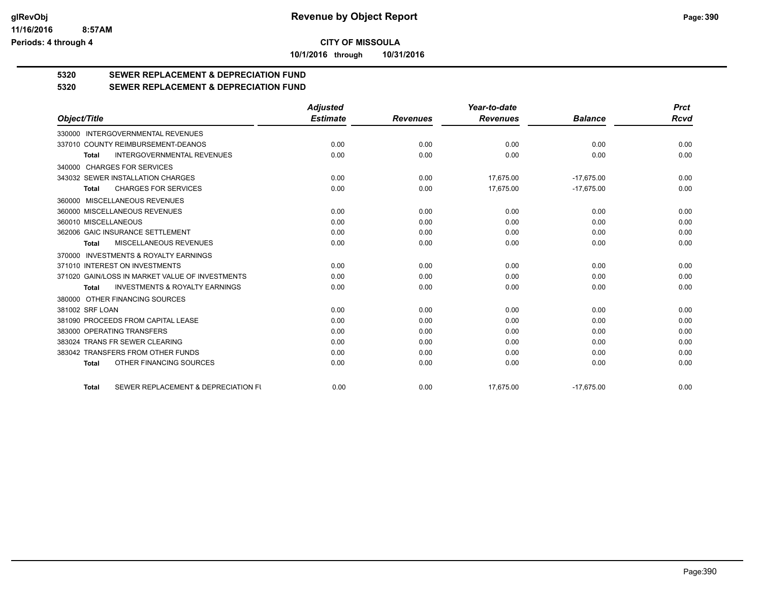**10/1/2016 through 10/31/2016**

# **5320 SEWER REPLACEMENT & DEPRECIATION FUND**

# **5320 SEWER REPLACEMENT & DEPRECIATION FUND**

|                                                           | <b>Adjusted</b> |                 | Year-to-date    |                | <b>Prct</b> |
|-----------------------------------------------------------|-----------------|-----------------|-----------------|----------------|-------------|
| Object/Title                                              | <b>Estimate</b> | <b>Revenues</b> | <b>Revenues</b> | <b>Balance</b> | Rcvd        |
| 330000 INTERGOVERNMENTAL REVENUES                         |                 |                 |                 |                |             |
| 337010 COUNTY REIMBURSEMENT-DEANOS                        | 0.00            | 0.00            | 0.00            | 0.00           | 0.00        |
| <b>INTERGOVERNMENTAL REVENUES</b><br>Total                | 0.00            | 0.00            | 0.00            | 0.00           | 0.00        |
| 340000 CHARGES FOR SERVICES                               |                 |                 |                 |                |             |
| 343032 SEWER INSTALLATION CHARGES                         | 0.00            | 0.00            | 17,675.00       | $-17,675.00$   | 0.00        |
| <b>CHARGES FOR SERVICES</b><br><b>Total</b>               | 0.00            | 0.00            | 17,675.00       | $-17,675.00$   | 0.00        |
| 360000 MISCELLANEOUS REVENUES                             |                 |                 |                 |                |             |
| 360000 MISCELLANEOUS REVENUES                             | 0.00            | 0.00            | 0.00            | 0.00           | 0.00        |
| 360010 MISCELLANEOUS                                      | 0.00            | 0.00            | 0.00            | 0.00           | 0.00        |
| 362006 GAIC INSURANCE SETTLEMENT                          | 0.00            | 0.00            | 0.00            | 0.00           | 0.00        |
| <b>MISCELLANEOUS REVENUES</b><br>Total                    | 0.00            | 0.00            | 0.00            | 0.00           | 0.00        |
| 370000 INVESTMENTS & ROYALTY EARNINGS                     |                 |                 |                 |                |             |
| 371010 INTEREST ON INVESTMENTS                            | 0.00            | 0.00            | 0.00            | 0.00           | 0.00        |
| 371020 GAIN/LOSS IN MARKET VALUE OF INVESTMENTS           | 0.00            | 0.00            | 0.00            | 0.00           | 0.00        |
| <b>INVESTMENTS &amp; ROYALTY EARNINGS</b><br><b>Total</b> | 0.00            | 0.00            | 0.00            | 0.00           | 0.00        |
| 380000 OTHER FINANCING SOURCES                            |                 |                 |                 |                |             |
| 381002 SRF LOAN                                           | 0.00            | 0.00            | 0.00            | 0.00           | 0.00        |
| 381090 PROCEEDS FROM CAPITAL LEASE                        | 0.00            | 0.00            | 0.00            | 0.00           | 0.00        |
| 383000 OPERATING TRANSFERS                                | 0.00            | 0.00            | 0.00            | 0.00           | 0.00        |
| 383024 TRANS FR SEWER CLEARING                            | 0.00            | 0.00            | 0.00            | 0.00           | 0.00        |
| 383042 TRANSFERS FROM OTHER FUNDS                         | 0.00            | 0.00            | 0.00            | 0.00           | 0.00        |
| OTHER FINANCING SOURCES<br><b>Total</b>                   | 0.00            | 0.00            | 0.00            | 0.00           | 0.00        |
| SEWER REPLACEMENT & DEPRECIATION FU<br><b>Total</b>       | 0.00            | 0.00            | 17,675.00       | $-17,675.00$   | 0.00        |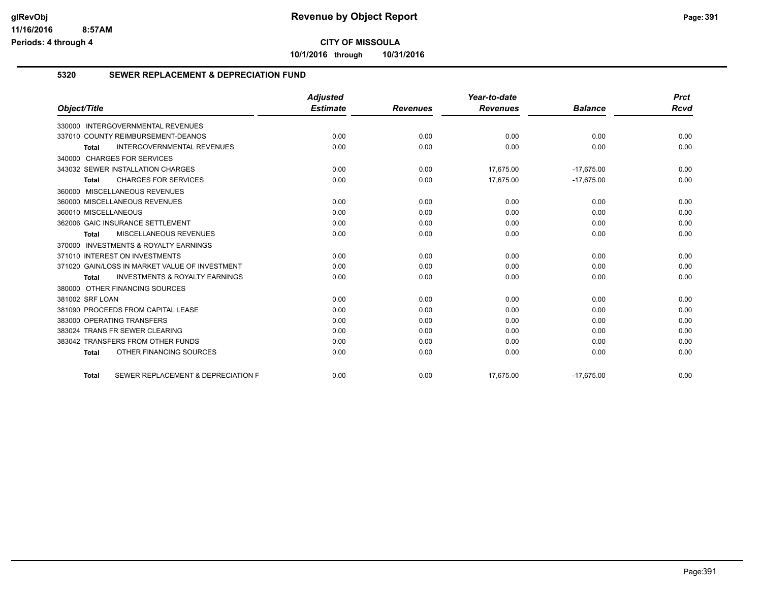**10/1/2016 through 10/31/2016**

#### **5320 SEWER REPLACEMENT & DEPRECIATION FUND**

|                                                           | <b>Adjusted</b> |                 | Year-to-date    |                | <b>Prct</b> |
|-----------------------------------------------------------|-----------------|-----------------|-----------------|----------------|-------------|
| Object/Title                                              | <b>Estimate</b> | <b>Revenues</b> | <b>Revenues</b> | <b>Balance</b> | <b>Rcvd</b> |
| 330000 INTERGOVERNMENTAL REVENUES                         |                 |                 |                 |                |             |
| 337010 COUNTY REIMBURSEMENT-DEANOS                        | 0.00            | 0.00            | 0.00            | 0.00           | 0.00        |
| <b>INTERGOVERNMENTAL REVENUES</b><br><b>Total</b>         | 0.00            | 0.00            | 0.00            | 0.00           | 0.00        |
| 340000 CHARGES FOR SERVICES                               |                 |                 |                 |                |             |
| 343032 SEWER INSTALLATION CHARGES                         | 0.00            | 0.00            | 17.675.00       | $-17.675.00$   | 0.00        |
| <b>CHARGES FOR SERVICES</b><br>Total                      | 0.00            | 0.00            | 17,675.00       | $-17,675.00$   | 0.00        |
| 360000 MISCELLANEOUS REVENUES                             |                 |                 |                 |                |             |
| 360000 MISCELLANEOUS REVENUES                             | 0.00            | 0.00            | 0.00            | 0.00           | 0.00        |
| 360010 MISCELLANEOUS                                      | 0.00            | 0.00            | 0.00            | 0.00           | 0.00        |
| 362006 GAIC INSURANCE SETTLEMENT                          | 0.00            | 0.00            | 0.00            | 0.00           | 0.00        |
| MISCELLANEOUS REVENUES<br><b>Total</b>                    | 0.00            | 0.00            | 0.00            | 0.00           | 0.00        |
| <b>INVESTMENTS &amp; ROYALTY EARNINGS</b><br>370000       |                 |                 |                 |                |             |
| 371010 INTEREST ON INVESTMENTS                            | 0.00            | 0.00            | 0.00            | 0.00           | 0.00        |
| 371020 GAIN/LOSS IN MARKET VALUE OF INVESTMENT            | 0.00            | 0.00            | 0.00            | 0.00           | 0.00        |
| <b>INVESTMENTS &amp; ROYALTY EARNINGS</b><br><b>Total</b> | 0.00            | 0.00            | 0.00            | 0.00           | 0.00        |
| 380000 OTHER FINANCING SOURCES                            |                 |                 |                 |                |             |
| 381002 SRF LOAN                                           | 0.00            | 0.00            | 0.00            | 0.00           | 0.00        |
| 381090 PROCEEDS FROM CAPITAL LEASE                        | 0.00            | 0.00            | 0.00            | 0.00           | 0.00        |
| 383000 OPERATING TRANSFERS                                | 0.00            | 0.00            | 0.00            | 0.00           | 0.00        |
| 383024 TRANS FR SEWER CLEARING                            | 0.00            | 0.00            | 0.00            | 0.00           | 0.00        |
| 383042 TRANSFERS FROM OTHER FUNDS                         | 0.00            | 0.00            | 0.00            | 0.00           | 0.00        |
| OTHER FINANCING SOURCES<br><b>Total</b>                   | 0.00            | 0.00            | 0.00            | 0.00           | 0.00        |
| SEWER REPLACEMENT & DEPRECIATION F<br><b>Total</b>        | 0.00            | 0.00            | 17.675.00       | $-17.675.00$   | 0.00        |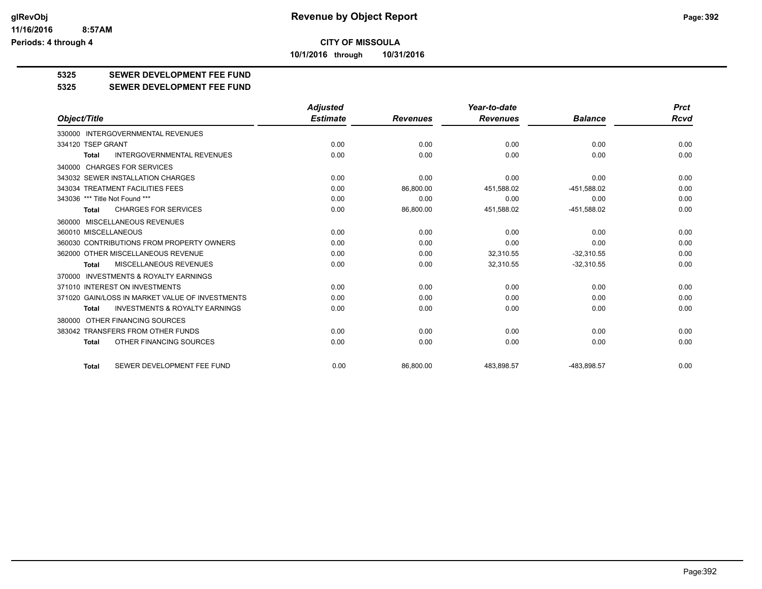**10/1/2016 through 10/31/2016**

# **5325 SEWER DEVELOPMENT FEE FUND**

#### **5325 SEWER DEVELOPMENT FEE FUND**

|                                                     | <b>Adjusted</b> |                 | Year-to-date    | <b>Prct</b>    |      |
|-----------------------------------------------------|-----------------|-----------------|-----------------|----------------|------|
| Object/Title                                        | <b>Estimate</b> | <b>Revenues</b> | <b>Revenues</b> | <b>Balance</b> | Rcvd |
| 330000 INTERGOVERNMENTAL REVENUES                   |                 |                 |                 |                |      |
| 334120 TSEP GRANT                                   | 0.00            | 0.00            | 0.00            | 0.00           | 0.00 |
| <b>INTERGOVERNMENTAL REVENUES</b><br><b>Total</b>   | 0.00            | 0.00            | 0.00            | 0.00           | 0.00 |
| 340000 CHARGES FOR SERVICES                         |                 |                 |                 |                |      |
| 343032 SEWER INSTALLATION CHARGES                   | 0.00            | 0.00            | 0.00            | 0.00           | 0.00 |
| 343034 TREATMENT FACILITIES FEES                    | 0.00            | 86,800.00       | 451,588.02      | -451,588.02    | 0.00 |
| 343036 *** Title Not Found ***                      | 0.00            | 0.00            | 0.00            | 0.00           | 0.00 |
| <b>CHARGES FOR SERVICES</b><br><b>Total</b>         | 0.00            | 86,800.00       | 451,588.02      | -451,588.02    | 0.00 |
| MISCELLANEOUS REVENUES<br>360000                    |                 |                 |                 |                |      |
| 360010 MISCELLANEOUS                                | 0.00            | 0.00            | 0.00            | 0.00           | 0.00 |
| 360030 CONTRIBUTIONS FROM PROPERTY OWNERS           | 0.00            | 0.00            | 0.00            | 0.00           | 0.00 |
| 362000 OTHER MISCELLANEOUS REVENUE                  | 0.00            | 0.00            | 32,310.55       | $-32,310.55$   | 0.00 |
| MISCELLANEOUS REVENUES<br>Total                     | 0.00            | 0.00            | 32,310.55       | $-32,310.55$   | 0.00 |
| <b>INVESTMENTS &amp; ROYALTY EARNINGS</b><br>370000 |                 |                 |                 |                |      |
| 371010 INTEREST ON INVESTMENTS                      | 0.00            | 0.00            | 0.00            | 0.00           | 0.00 |
| 371020 GAIN/LOSS IN MARKET VALUE OF INVESTMENTS     | 0.00            | 0.00            | 0.00            | 0.00           | 0.00 |
| <b>INVESTMENTS &amp; ROYALTY EARNINGS</b><br>Total  | 0.00            | 0.00            | 0.00            | 0.00           | 0.00 |
| 380000 OTHER FINANCING SOURCES                      |                 |                 |                 |                |      |
| 383042 TRANSFERS FROM OTHER FUNDS                   | 0.00            | 0.00            | 0.00            | 0.00           | 0.00 |
| OTHER FINANCING SOURCES<br>Total                    | 0.00            | 0.00            | 0.00            | 0.00           | 0.00 |
| SEWER DEVELOPMENT FEE FUND<br><b>Total</b>          | 0.00            | 86.800.00       | 483.898.57      | -483.898.57    | 0.00 |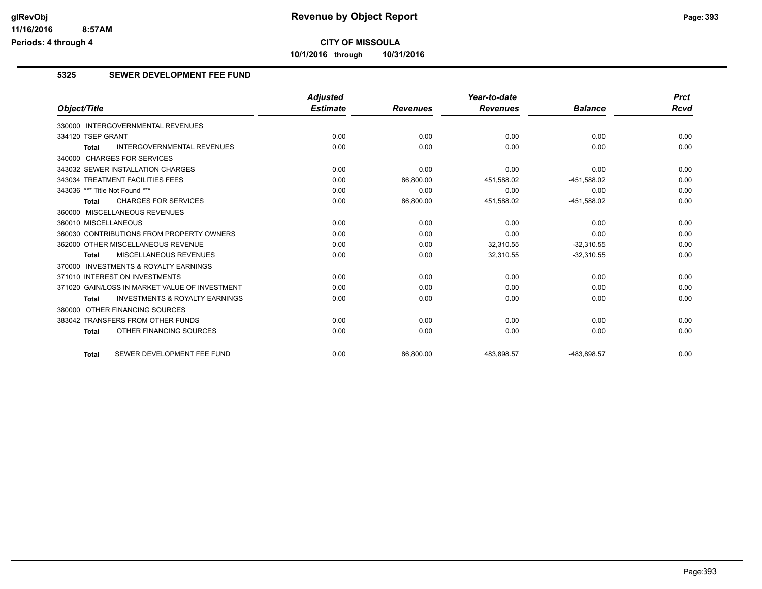**10/1/2016 through 10/31/2016**

## **5325 SEWER DEVELOPMENT FEE FUND**

|                                                           | <b>Adjusted</b> |                 | Year-to-date    |                | <b>Prct</b> |
|-----------------------------------------------------------|-----------------|-----------------|-----------------|----------------|-------------|
| Object/Title                                              | <b>Estimate</b> | <b>Revenues</b> | <b>Revenues</b> | <b>Balance</b> | Rcvd        |
| 330000 INTERGOVERNMENTAL REVENUES                         |                 |                 |                 |                |             |
| 334120 TSEP GRANT                                         | 0.00            | 0.00            | 0.00            | 0.00           | 0.00        |
| <b>INTERGOVERNMENTAL REVENUES</b><br><b>Total</b>         | 0.00            | 0.00            | 0.00            | 0.00           | 0.00        |
| 340000 CHARGES FOR SERVICES                               |                 |                 |                 |                |             |
| 343032 SEWER INSTALLATION CHARGES                         | 0.00            | 0.00            | 0.00            | 0.00           | 0.00        |
| 343034 TREATMENT FACILITIES FEES                          | 0.00            | 86,800.00       | 451,588.02      | -451,588.02    | 0.00        |
| 343036 *** Title Not Found ***                            | 0.00            | 0.00            | 0.00            | 0.00           | 0.00        |
| <b>CHARGES FOR SERVICES</b><br><b>Total</b>               | 0.00            | 86,800.00       | 451,588.02      | -451,588.02    | 0.00        |
| 360000 MISCELLANEOUS REVENUES                             |                 |                 |                 |                |             |
| 360010 MISCELLANEOUS                                      | 0.00            | 0.00            | 0.00            | 0.00           | 0.00        |
| 360030 CONTRIBUTIONS FROM PROPERTY OWNERS                 | 0.00            | 0.00            | 0.00            | 0.00           | 0.00        |
| 362000 OTHER MISCELLANEOUS REVENUE                        | 0.00            | 0.00            | 32.310.55       | $-32,310.55$   | 0.00        |
| <b>MISCELLANEOUS REVENUES</b><br><b>Total</b>             | 0.00            | 0.00            | 32,310.55       | $-32,310.55$   | 0.00        |
| 370000 INVESTMENTS & ROYALTY EARNINGS                     |                 |                 |                 |                |             |
| 371010 INTEREST ON INVESTMENTS                            | 0.00            | 0.00            | 0.00            | 0.00           | 0.00        |
| 371020 GAIN/LOSS IN MARKET VALUE OF INVESTMENT            | 0.00            | 0.00            | 0.00            | 0.00           | 0.00        |
| <b>INVESTMENTS &amp; ROYALTY EARNINGS</b><br><b>Total</b> | 0.00            | 0.00            | 0.00            | 0.00           | 0.00        |
| 380000 OTHER FINANCING SOURCES                            |                 |                 |                 |                |             |
| 383042 TRANSFERS FROM OTHER FUNDS                         | 0.00            | 0.00            | 0.00            | 0.00           | 0.00        |
| OTHER FINANCING SOURCES<br><b>Total</b>                   | 0.00            | 0.00            | 0.00            | 0.00           | 0.00        |
| SEWER DEVELOPMENT FEE FUND<br><b>Total</b>                | 0.00            | 86.800.00       | 483.898.57      | -483.898.57    | 0.00        |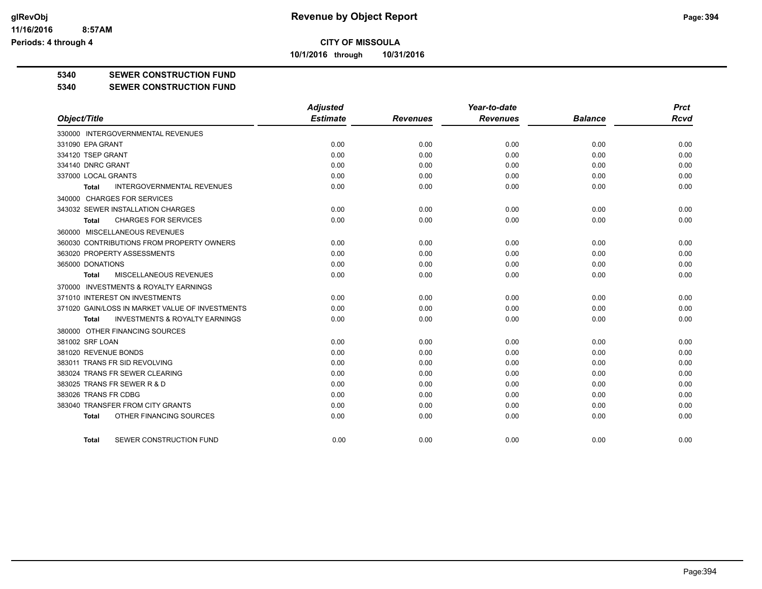**10/1/2016 through 10/31/2016**

#### **5340 SEWER CONSTRUCTION FUND**

#### **5340 SEWER CONSTRUCTION FUND**

|                                                           | <b>Adjusted</b> |                 | Year-to-date    |                | <b>Prct</b> |
|-----------------------------------------------------------|-----------------|-----------------|-----------------|----------------|-------------|
| Object/Title                                              | <b>Estimate</b> | <b>Revenues</b> | <b>Revenues</b> | <b>Balance</b> | <b>Rcvd</b> |
| 330000 INTERGOVERNMENTAL REVENUES                         |                 |                 |                 |                |             |
| 331090 EPA GRANT                                          | 0.00            | 0.00            | 0.00            | 0.00           | 0.00        |
| 334120 TSEP GRANT                                         | 0.00            | 0.00            | 0.00            | 0.00           | 0.00        |
| 334140 DNRC GRANT                                         | 0.00            | 0.00            | 0.00            | 0.00           | 0.00        |
| 337000 LOCAL GRANTS                                       | 0.00            | 0.00            | 0.00            | 0.00           | 0.00        |
| <b>INTERGOVERNMENTAL REVENUES</b><br><b>Total</b>         | 0.00            | 0.00            | 0.00            | 0.00           | 0.00        |
| 340000 CHARGES FOR SERVICES                               |                 |                 |                 |                |             |
| 343032 SEWER INSTALLATION CHARGES                         | 0.00            | 0.00            | 0.00            | 0.00           | 0.00        |
| <b>CHARGES FOR SERVICES</b><br>Total                      | 0.00            | 0.00            | 0.00            | 0.00           | 0.00        |
| 360000 MISCELLANEOUS REVENUES                             |                 |                 |                 |                |             |
| 360030 CONTRIBUTIONS FROM PROPERTY OWNERS                 | 0.00            | 0.00            | 0.00            | 0.00           | 0.00        |
| 363020 PROPERTY ASSESSMENTS                               | 0.00            | 0.00            | 0.00            | 0.00           | 0.00        |
| 365000 DONATIONS                                          | 0.00            | 0.00            | 0.00            | 0.00           | 0.00        |
| MISCELLANEOUS REVENUES<br><b>Total</b>                    | 0.00            | 0.00            | 0.00            | 0.00           | 0.00        |
| 370000 INVESTMENTS & ROYALTY EARNINGS                     |                 |                 |                 |                |             |
| 371010 INTEREST ON INVESTMENTS                            | 0.00            | 0.00            | 0.00            | 0.00           | 0.00        |
| 371020 GAIN/LOSS IN MARKET VALUE OF INVESTMENTS           | 0.00            | 0.00            | 0.00            | 0.00           | 0.00        |
| <b>INVESTMENTS &amp; ROYALTY EARNINGS</b><br><b>Total</b> | 0.00            | 0.00            | 0.00            | 0.00           | 0.00        |
| OTHER FINANCING SOURCES<br>380000                         |                 |                 |                 |                |             |
| 381002 SRF LOAN                                           | 0.00            | 0.00            | 0.00            | 0.00           | 0.00        |
| 381020 REVENUE BONDS                                      | 0.00            | 0.00            | 0.00            | 0.00           | 0.00        |
| 383011 TRANS FR SID REVOLVING                             | 0.00            | 0.00            | 0.00            | 0.00           | 0.00        |
| 383024 TRANS FR SEWER CLEARING                            | 0.00            | 0.00            | 0.00            | 0.00           | 0.00        |
| 383025 TRANS FR SEWER R & D                               | 0.00            | 0.00            | 0.00            | 0.00           | 0.00        |
| 383026 TRANS FR CDBG                                      | 0.00            | 0.00            | 0.00            | 0.00           | 0.00        |
| 383040 TRANSFER FROM CITY GRANTS                          | 0.00            | 0.00            | 0.00            | 0.00           | 0.00        |
| OTHER FINANCING SOURCES<br><b>Total</b>                   | 0.00            | 0.00            | 0.00            | 0.00           | 0.00        |
| SEWER CONSTRUCTION FUND<br>Total                          | 0.00            | 0.00            | 0.00            | 0.00           | 0.00        |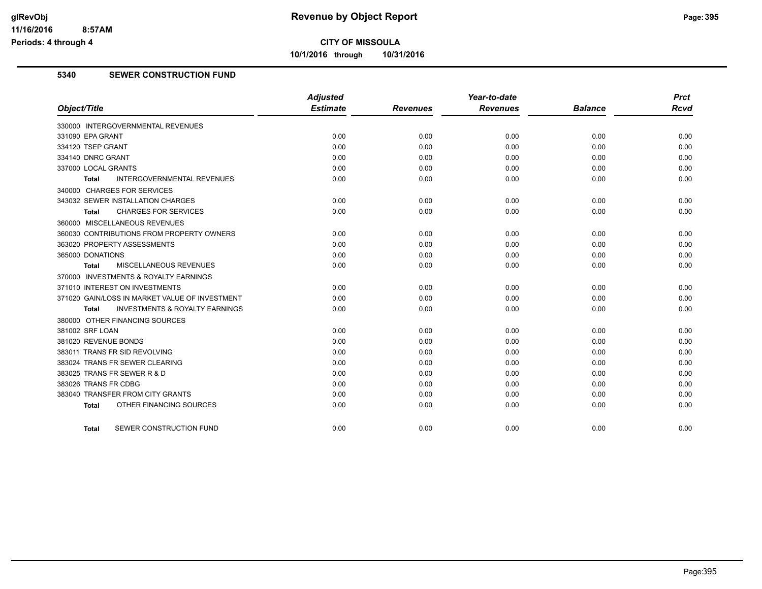**10/1/2016 through 10/31/2016**

## **5340 SEWER CONSTRUCTION FUND**

|                                                    | <b>Adjusted</b> |                 | Year-to-date    |                | <b>Prct</b> |
|----------------------------------------------------|-----------------|-----------------|-----------------|----------------|-------------|
| Object/Title                                       | <b>Estimate</b> | <b>Revenues</b> | <b>Revenues</b> | <b>Balance</b> | <b>Rcvd</b> |
| 330000 INTERGOVERNMENTAL REVENUES                  |                 |                 |                 |                |             |
| 331090 EPA GRANT                                   | 0.00            | 0.00            | 0.00            | 0.00           | 0.00        |
| 334120 TSEP GRANT                                  | 0.00            | 0.00            | 0.00            | 0.00           | 0.00        |
| 334140 DNRC GRANT                                  | 0.00            | 0.00            | 0.00            | 0.00           | 0.00        |
| 337000 LOCAL GRANTS                                | 0.00            | 0.00            | 0.00            | 0.00           | 0.00        |
| <b>INTERGOVERNMENTAL REVENUES</b><br><b>Total</b>  | 0.00            | 0.00            | 0.00            | 0.00           | 0.00        |
| 340000 CHARGES FOR SERVICES                        |                 |                 |                 |                |             |
| 343032 SEWER INSTALLATION CHARGES                  | 0.00            | 0.00            | 0.00            | 0.00           | 0.00        |
| <b>CHARGES FOR SERVICES</b><br>Total               | 0.00            | 0.00            | 0.00            | 0.00           | 0.00        |
| 360000 MISCELLANEOUS REVENUES                      |                 |                 |                 |                |             |
| 360030 CONTRIBUTIONS FROM PROPERTY OWNERS          | 0.00            | 0.00            | 0.00            | 0.00           | 0.00        |
| 363020 PROPERTY ASSESSMENTS                        | 0.00            | 0.00            | 0.00            | 0.00           | 0.00        |
| 365000 DONATIONS                                   | 0.00            | 0.00            | 0.00            | 0.00           | 0.00        |
| MISCELLANEOUS REVENUES<br>Total                    | 0.00            | 0.00            | 0.00            | 0.00           | 0.00        |
| 370000 INVESTMENTS & ROYALTY EARNINGS              |                 |                 |                 |                |             |
| 371010 INTEREST ON INVESTMENTS                     | 0.00            | 0.00            | 0.00            | 0.00           | 0.00        |
| 371020 GAIN/LOSS IN MARKET VALUE OF INVESTMENT     | 0.00            | 0.00            | 0.00            | 0.00           | 0.00        |
| <b>INVESTMENTS &amp; ROYALTY EARNINGS</b><br>Total | 0.00            | 0.00            | 0.00            | 0.00           | 0.00        |
| 380000 OTHER FINANCING SOURCES                     |                 |                 |                 |                |             |
| 381002 SRF LOAN                                    | 0.00            | 0.00            | 0.00            | 0.00           | 0.00        |
| 381020 REVENUE BONDS                               | 0.00            | 0.00            | 0.00            | 0.00           | 0.00        |
| 383011 TRANS FR SID REVOLVING                      | 0.00            | 0.00            | 0.00            | 0.00           | 0.00        |
| 383024 TRANS FR SEWER CLEARING                     | 0.00            | 0.00            | 0.00            | 0.00           | 0.00        |
| 383025 TRANS FR SEWER R & D                        | 0.00            | 0.00            | 0.00            | 0.00           | 0.00        |
| 383026 TRANS FR CDBG                               | 0.00            | 0.00            | 0.00            | 0.00           | 0.00        |
| 383040 TRANSFER FROM CITY GRANTS                   | 0.00            | 0.00            | 0.00            | 0.00           | 0.00        |
| OTHER FINANCING SOURCES<br><b>Total</b>            | 0.00            | 0.00            | 0.00            | 0.00           | 0.00        |
| SEWER CONSTRUCTION FUND<br>Total                   | 0.00            | 0.00            | 0.00            | 0.00           | 0.00        |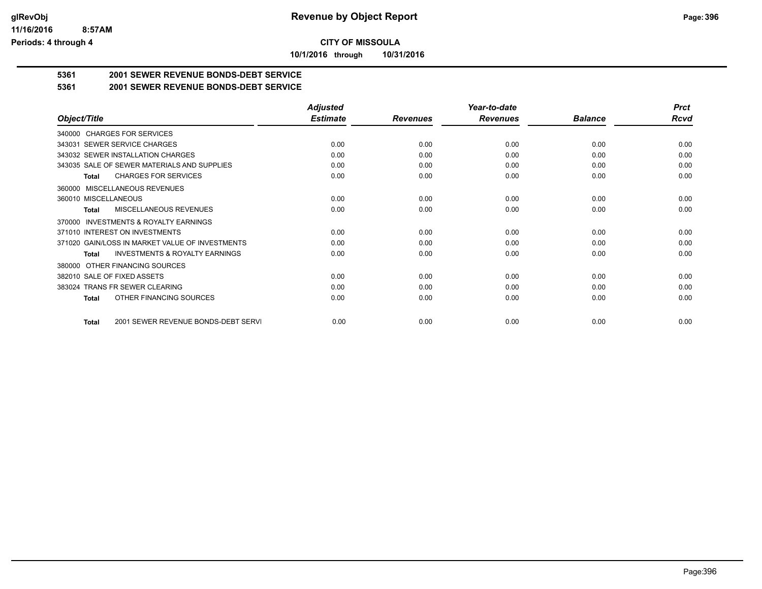#### **11/16/2016 8:57AM**

**Periods: 4 through 4**

**CITY OF MISSOULA**

**10/1/2016 through 10/31/2016**

# **5361 2001 SEWER REVENUE BONDS-DEBT SERVICE**

# **5361 2001 SEWER REVENUE BONDS-DEBT SERVICE**

|                                                           | <b>Adjusted</b> |                 | Year-to-date    |                | <b>Prct</b> |
|-----------------------------------------------------------|-----------------|-----------------|-----------------|----------------|-------------|
| Object/Title                                              | <b>Estimate</b> | <b>Revenues</b> | <b>Revenues</b> | <b>Balance</b> | Rcvd        |
| 340000 CHARGES FOR SERVICES                               |                 |                 |                 |                |             |
| 343031 SEWER SERVICE CHARGES                              | 0.00            | 0.00            | 0.00            | 0.00           | 0.00        |
| 343032 SEWER INSTALLATION CHARGES                         | 0.00            | 0.00            | 0.00            | 0.00           | 0.00        |
| 343035 SALE OF SEWER MATERIALS AND SUPPLIES               | 0.00            | 0.00            | 0.00            | 0.00           | 0.00        |
| <b>CHARGES FOR SERVICES</b><br><b>Total</b>               | 0.00            | 0.00            | 0.00            | 0.00           | 0.00        |
| MISCELLANEOUS REVENUES<br>360000                          |                 |                 |                 |                |             |
| 360010 MISCELLANEOUS                                      | 0.00            | 0.00            | 0.00            | 0.00           | 0.00        |
| MISCELLANEOUS REVENUES<br>Total                           | 0.00            | 0.00            | 0.00            | 0.00           | 0.00        |
| INVESTMENTS & ROYALTY EARNINGS<br>370000                  |                 |                 |                 |                |             |
| 371010 INTEREST ON INVESTMENTS                            | 0.00            | 0.00            | 0.00            | 0.00           | 0.00        |
| 371020 GAIN/LOSS IN MARKET VALUE OF INVESTMENTS           | 0.00            | 0.00            | 0.00            | 0.00           | 0.00        |
| <b>INVESTMENTS &amp; ROYALTY EARNINGS</b><br><b>Total</b> | 0.00            | 0.00            | 0.00            | 0.00           | 0.00        |
| OTHER FINANCING SOURCES<br>380000                         |                 |                 |                 |                |             |
| 382010 SALE OF FIXED ASSETS                               | 0.00            | 0.00            | 0.00            | 0.00           | 0.00        |
| 383024 TRANS FR SEWER CLEARING                            | 0.00            | 0.00            | 0.00            | 0.00           | 0.00        |
| OTHER FINANCING SOURCES<br><b>Total</b>                   | 0.00            | 0.00            | 0.00            | 0.00           | 0.00        |
| 2001 SEWER REVENUE BONDS-DEBT SERVI<br><b>Total</b>       | 0.00            | 0.00            | 0.00            | 0.00           | 0.00        |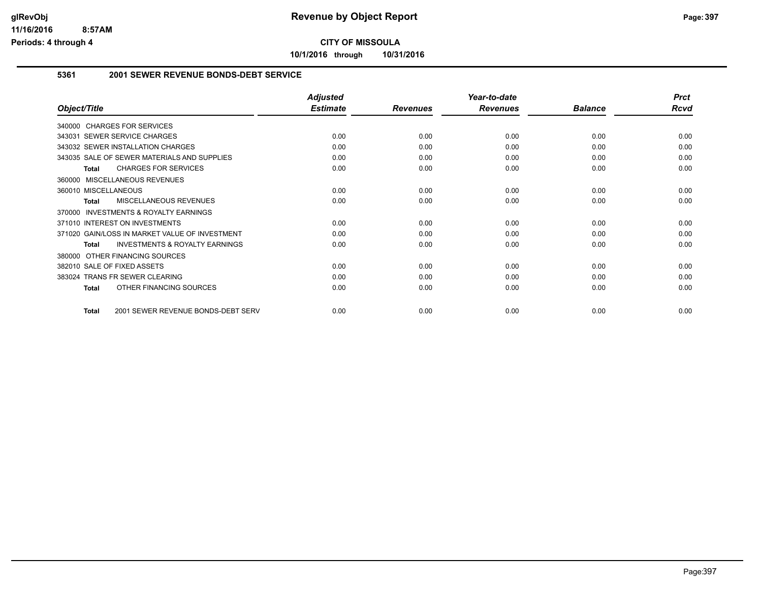**10/1/2016 through 10/31/2016**

#### **5361 2001 SEWER REVENUE BONDS-DEBT SERVICE**

|                                                           | <b>Adjusted</b> |                 | Year-to-date    |                | <b>Prct</b> |
|-----------------------------------------------------------|-----------------|-----------------|-----------------|----------------|-------------|
| Object/Title                                              | <b>Estimate</b> | <b>Revenues</b> | <b>Revenues</b> | <b>Balance</b> | <b>Rcvd</b> |
| 340000 CHARGES FOR SERVICES                               |                 |                 |                 |                |             |
| SEWER SERVICE CHARGES<br>343031                           | 0.00            | 0.00            | 0.00            | 0.00           | 0.00        |
| 343032 SEWER INSTALLATION CHARGES                         | 0.00            | 0.00            | 0.00            | 0.00           | 0.00        |
| 343035 SALE OF SEWER MATERIALS AND SUPPLIES               | 0.00            | 0.00            | 0.00            | 0.00           | 0.00        |
| <b>CHARGES FOR SERVICES</b><br>Total                      | 0.00            | 0.00            | 0.00            | 0.00           | 0.00        |
| 360000 MISCELLANEOUS REVENUES                             |                 |                 |                 |                |             |
| 360010 MISCELLANEOUS                                      | 0.00            | 0.00            | 0.00            | 0.00           | 0.00        |
| MISCELLANEOUS REVENUES<br><b>Total</b>                    | 0.00            | 0.00            | 0.00            | 0.00           | 0.00        |
| INVESTMENTS & ROYALTY EARNINGS<br>370000                  |                 |                 |                 |                |             |
| 371010 INTEREST ON INVESTMENTS                            | 0.00            | 0.00            | 0.00            | 0.00           | 0.00        |
| 371020 GAIN/LOSS IN MARKET VALUE OF INVESTMENT            | 0.00            | 0.00            | 0.00            | 0.00           | 0.00        |
| <b>INVESTMENTS &amp; ROYALTY EARNINGS</b><br><b>Total</b> | 0.00            | 0.00            | 0.00            | 0.00           | 0.00        |
| OTHER FINANCING SOURCES<br>380000                         |                 |                 |                 |                |             |
| 382010 SALE OF FIXED ASSETS                               | 0.00            | 0.00            | 0.00            | 0.00           | 0.00        |
| 383024 TRANS FR SEWER CLEARING                            | 0.00            | 0.00            | 0.00            | 0.00           | 0.00        |
| OTHER FINANCING SOURCES<br><b>Total</b>                   | 0.00            | 0.00            | 0.00            | 0.00           | 0.00        |
| 2001 SEWER REVENUE BONDS-DEBT SERV<br><b>Total</b>        | 0.00            | 0.00            | 0.00            | 0.00           | 0.00        |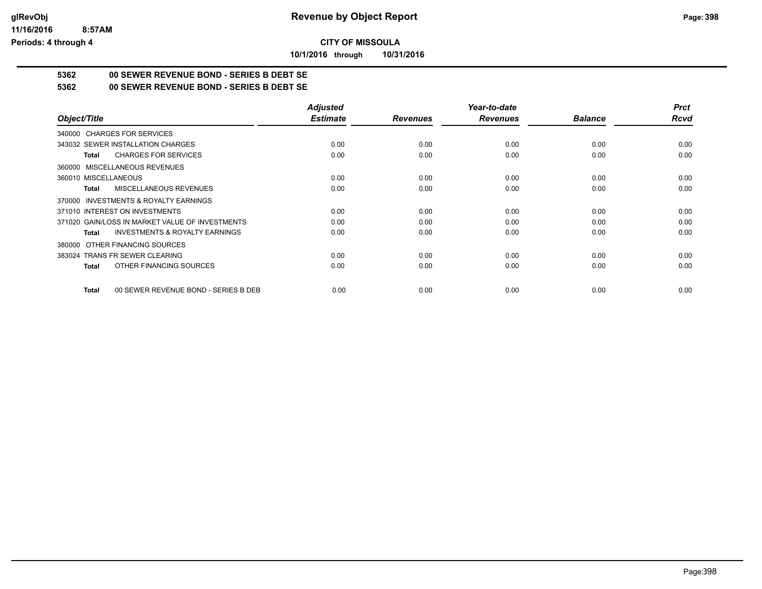**11/16/2016 8:57AM Periods: 4 through 4**

### **CITY OF MISSOULA**

**10/1/2016 through 10/31/2016**

# **5362 00 SEWER REVENUE BOND - SERIES B DEBT SE**

**5362 00 SEWER REVENUE BOND - SERIES B DEBT SE**

|                                                      | <b>Adjusted</b> |                 | Year-to-date    |                | <b>Prct</b> |
|------------------------------------------------------|-----------------|-----------------|-----------------|----------------|-------------|
| Object/Title                                         | <b>Estimate</b> | <b>Revenues</b> | <b>Revenues</b> | <b>Balance</b> | <b>Rcvd</b> |
| 340000 CHARGES FOR SERVICES                          |                 |                 |                 |                |             |
| 343032 SEWER INSTALLATION CHARGES                    | 0.00            | 0.00            | 0.00            | 0.00           | 0.00        |
| <b>CHARGES FOR SERVICES</b><br>Total                 | 0.00            | 0.00            | 0.00            | 0.00           | 0.00        |
| 360000 MISCELLANEOUS REVENUES                        |                 |                 |                 |                |             |
| 360010 MISCELLANEOUS                                 | 0.00            | 0.00            | 0.00            | 0.00           | 0.00        |
| MISCELLANEOUS REVENUES<br>Total                      | 0.00            | 0.00            | 0.00            | 0.00           | 0.00        |
| 370000 INVESTMENTS & ROYALTY EARNINGS                |                 |                 |                 |                |             |
| 371010 INTEREST ON INVESTMENTS                       | 0.00            | 0.00            | 0.00            | 0.00           | 0.00        |
| 371020 GAIN/LOSS IN MARKET VALUE OF INVESTMENTS      | 0.00            | 0.00            | 0.00            | 0.00           | 0.00        |
| <b>INVESTMENTS &amp; ROYALTY EARNINGS</b><br>Total   | 0.00            | 0.00            | 0.00            | 0.00           | 0.00        |
| 380000 OTHER FINANCING SOURCES                       |                 |                 |                 |                |             |
| 383024 TRANS FR SEWER CLEARING                       | 0.00            | 0.00            | 0.00            | 0.00           | 0.00        |
| OTHER FINANCING SOURCES<br>Total                     | 0.00            | 0.00            | 0.00            | 0.00           | 0.00        |
| 00 SEWER REVENUE BOND - SERIES B DEB<br><b>Total</b> | 0.00            | 0.00            | 0.00            | 0.00           | 0.00        |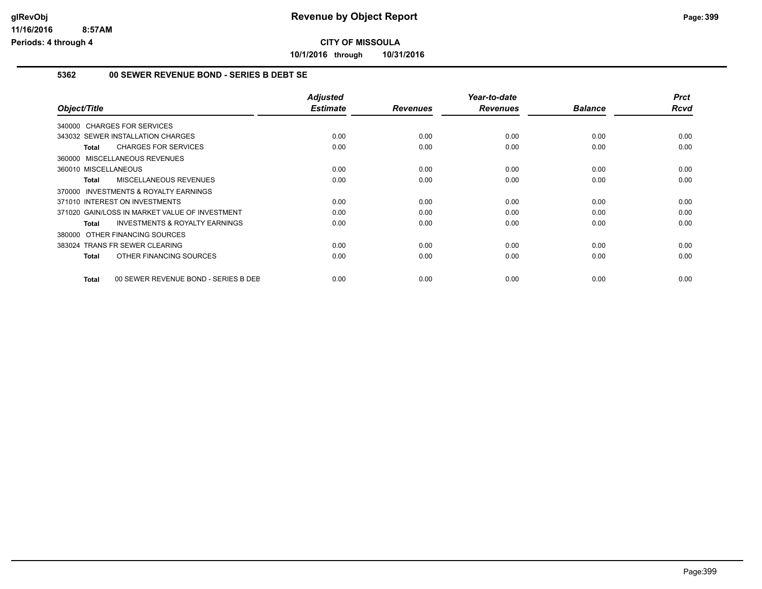**10/1/2016 through 10/31/2016**

### **5362 00 SEWER REVENUE BOND - SERIES B DEBT SE**

| Object/Title                                              | <b>Adjusted</b><br><b>Estimate</b> | <b>Revenues</b> | Year-to-date<br><b>Revenues</b> | <b>Balance</b> | <b>Prct</b><br><b>Rcvd</b> |
|-----------------------------------------------------------|------------------------------------|-----------------|---------------------------------|----------------|----------------------------|
| 340000 CHARGES FOR SERVICES                               |                                    |                 |                                 |                |                            |
| 343032 SEWER INSTALLATION CHARGES                         | 0.00                               | 0.00            | 0.00                            | 0.00           | 0.00                       |
| <b>CHARGES FOR SERVICES</b><br>Total                      | 0.00                               | 0.00            | 0.00                            | 0.00           | 0.00                       |
| 360000 MISCELLANEOUS REVENUES                             |                                    |                 |                                 |                |                            |
| 360010 MISCELLANEOUS                                      | 0.00                               | 0.00            | 0.00                            | 0.00           | 0.00                       |
| MISCELLANEOUS REVENUES<br><b>Total</b>                    | 0.00                               | 0.00            | 0.00                            | 0.00           | 0.00                       |
| <b>INVESTMENTS &amp; ROYALTY EARNINGS</b><br>370000       |                                    |                 |                                 |                |                            |
| 371010 INTEREST ON INVESTMENTS                            | 0.00                               | 0.00            | 0.00                            | 0.00           | 0.00                       |
| 371020 GAIN/LOSS IN MARKET VALUE OF INVESTMENT            | 0.00                               | 0.00            | 0.00                            | 0.00           | 0.00                       |
| <b>INVESTMENTS &amp; ROYALTY EARNINGS</b><br><b>Total</b> | 0.00                               | 0.00            | 0.00                            | 0.00           | 0.00                       |
| 380000 OTHER FINANCING SOURCES                            |                                    |                 |                                 |                |                            |
| 383024 TRANS FR SEWER CLEARING                            | 0.00                               | 0.00            | 0.00                            | 0.00           | 0.00                       |
| OTHER FINANCING SOURCES<br><b>Total</b>                   | 0.00                               | 0.00            | 0.00                            | 0.00           | 0.00                       |
| 00 SEWER REVENUE BOND - SERIES B DEE<br><b>Total</b>      | 0.00                               | 0.00            | 0.00                            | 0.00           | 0.00                       |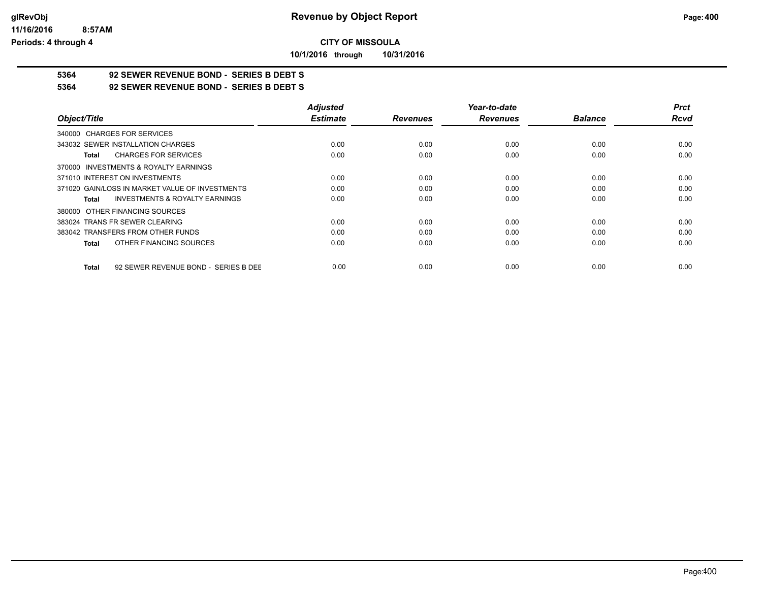**11/16/2016 8:57AM Periods: 4 through 4**

## **CITY OF MISSOULA**

**10/1/2016 through 10/31/2016**

# **5364 92 SEWER REVENUE BOND - SERIES B DEBT S**

**5364 92 SEWER REVENUE BOND - SERIES B DEBT S**

|                                                    | <b>Adjusted</b> |                 | Year-to-date    |                | <b>Prct</b> |
|----------------------------------------------------|-----------------|-----------------|-----------------|----------------|-------------|
| Object/Title                                       | <b>Estimate</b> | <b>Revenues</b> | <b>Revenues</b> | <b>Balance</b> | <b>Rcvd</b> |
| 340000 CHARGES FOR SERVICES                        |                 |                 |                 |                |             |
| 343032 SEWER INSTALLATION CHARGES                  | 0.00            | 0.00            | 0.00            | 0.00           | 0.00        |
| <b>CHARGES FOR SERVICES</b><br>Total               | 0.00            | 0.00            | 0.00            | 0.00           | 0.00        |
| 370000 INVESTMENTS & ROYALTY EARNINGS              |                 |                 |                 |                |             |
| 371010 INTEREST ON INVESTMENTS                     | 0.00            | 0.00            | 0.00            | 0.00           | 0.00        |
| 371020 GAIN/LOSS IN MARKET VALUE OF INVESTMENTS    | 0.00            | 0.00            | 0.00            | 0.00           | 0.00        |
| <b>INVESTMENTS &amp; ROYALTY EARNINGS</b><br>Total | 0.00            | 0.00            | 0.00            | 0.00           | 0.00        |
| 380000 OTHER FINANCING SOURCES                     |                 |                 |                 |                |             |
| 383024 TRANS FR SEWER CLEARING                     | 0.00            | 0.00            | 0.00            | 0.00           | 0.00        |
| 383042 TRANSFERS FROM OTHER FUNDS                  | 0.00            | 0.00            | 0.00            | 0.00           | 0.00        |
| OTHER FINANCING SOURCES<br>Total                   | 0.00            | 0.00            | 0.00            | 0.00           | 0.00        |
| 92 SEWER REVENUE BOND - SERIES B DEE<br>Total      | 0.00            | 0.00            | 0.00            | 0.00           | 0.00        |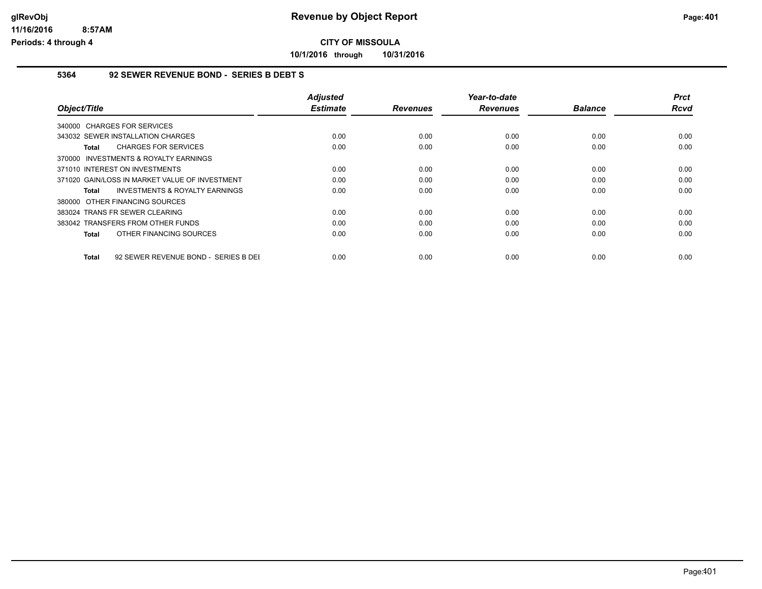**Periods: 4 through 4**

**CITY OF MISSOULA**

**10/1/2016 through 10/31/2016**

### **5364 92 SEWER REVENUE BOND - SERIES B DEBT S**

| Object/Title                                         | <b>Adjusted</b><br><b>Estimate</b> | <b>Revenues</b> | Year-to-date<br><b>Revenues</b> | <b>Balance</b> | <b>Prct</b><br><b>Rcvd</b> |
|------------------------------------------------------|------------------------------------|-----------------|---------------------------------|----------------|----------------------------|
| 340000 CHARGES FOR SERVICES                          |                                    |                 |                                 |                |                            |
| 343032 SEWER INSTALLATION CHARGES                    | 0.00                               | 0.00            | 0.00                            | 0.00           | 0.00                       |
| <b>CHARGES FOR SERVICES</b><br>Total                 | 0.00                               | 0.00            | 0.00                            | 0.00           | 0.00                       |
| 370000 INVESTMENTS & ROYALTY EARNINGS                |                                    |                 |                                 |                |                            |
| 371010 INTEREST ON INVESTMENTS                       | 0.00                               | 0.00            | 0.00                            | 0.00           | 0.00                       |
| 371020 GAIN/LOSS IN MARKET VALUE OF INVESTMENT       | 0.00                               | 0.00            | 0.00                            | 0.00           | 0.00                       |
| <b>INVESTMENTS &amp; ROYALTY EARNINGS</b><br>Total   | 0.00                               | 0.00            | 0.00                            | 0.00           | 0.00                       |
| 380000 OTHER FINANCING SOURCES                       |                                    |                 |                                 |                |                            |
| 383024 TRANS FR SEWER CLEARING                       | 0.00                               | 0.00            | 0.00                            | 0.00           | 0.00                       |
| 383042 TRANSFERS FROM OTHER FUNDS                    | 0.00                               | 0.00            | 0.00                            | 0.00           | 0.00                       |
| OTHER FINANCING SOURCES<br>Total                     | 0.00                               | 0.00            | 0.00                            | 0.00           | 0.00                       |
|                                                      |                                    |                 |                                 |                |                            |
| 92 SEWER REVENUE BOND - SERIES B DEI<br><b>Total</b> | 0.00                               | 0.00            | 0.00                            | 0.00           | 0.00                       |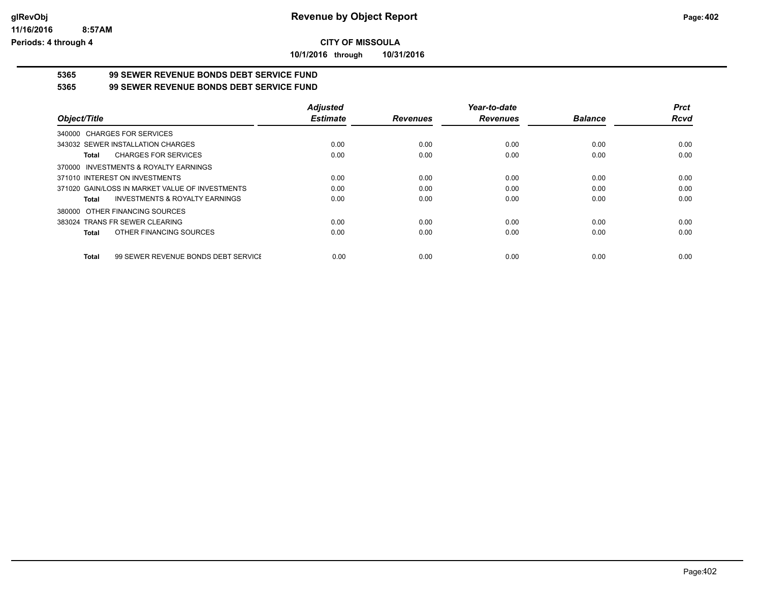**10/1/2016 through 10/31/2016**

# **5365 99 SEWER REVENUE BONDS DEBT SERVICE FUND**

# **5365 99 SEWER REVENUE BONDS DEBT SERVICE FUND**

|                                                     | <b>Adjusted</b> |                 | Year-to-date    |                | <b>Prct</b> |
|-----------------------------------------------------|-----------------|-----------------|-----------------|----------------|-------------|
| Object/Title                                        | <b>Estimate</b> | <b>Revenues</b> | <b>Revenues</b> | <b>Balance</b> | <b>Rcvd</b> |
| 340000 CHARGES FOR SERVICES                         |                 |                 |                 |                |             |
| 343032 SEWER INSTALLATION CHARGES                   | 0.00            | 0.00            | 0.00            | 0.00           | 0.00        |
| <b>CHARGES FOR SERVICES</b><br>Total                | 0.00            | 0.00            | 0.00            | 0.00           | 0.00        |
| 370000 INVESTMENTS & ROYALTY EARNINGS               |                 |                 |                 |                |             |
| 371010 INTEREST ON INVESTMENTS                      | 0.00            | 0.00            | 0.00            | 0.00           | 0.00        |
| 371020 GAIN/LOSS IN MARKET VALUE OF INVESTMENTS     | 0.00            | 0.00            | 0.00            | 0.00           | 0.00        |
| <b>INVESTMENTS &amp; ROYALTY EARNINGS</b><br>Total  | 0.00            | 0.00            | 0.00            | 0.00           | 0.00        |
| 380000 OTHER FINANCING SOURCES                      |                 |                 |                 |                |             |
| 383024 TRANS FR SEWER CLEARING                      | 0.00            | 0.00            | 0.00            | 0.00           | 0.00        |
| OTHER FINANCING SOURCES<br>Total                    | 0.00            | 0.00            | 0.00            | 0.00           | 0.00        |
| 99 SEWER REVENUE BONDS DEBT SERVICE<br><b>Total</b> | 0.00            | 0.00            | 0.00            | 0.00           | 0.00        |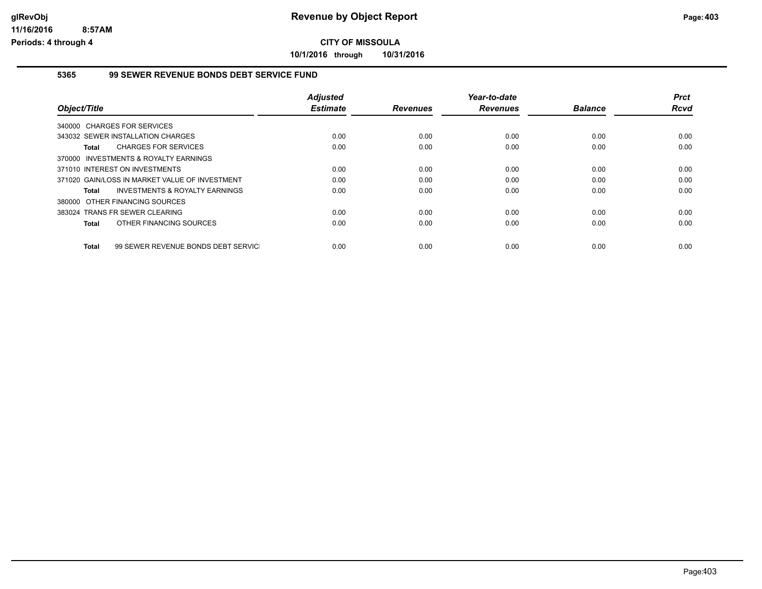**10/1/2016 through 10/31/2016**

#### **5365 99 SEWER REVENUE BONDS DEBT SERVICE FUND**

| Object/Title                                       | <b>Adjusted</b><br><b>Estimate</b> | <b>Revenues</b> | Year-to-date<br><b>Revenues</b> | <b>Balance</b> | <b>Prct</b><br><b>Rcvd</b> |
|----------------------------------------------------|------------------------------------|-----------------|---------------------------------|----------------|----------------------------|
| 340000 CHARGES FOR SERVICES                        |                                    |                 |                                 |                |                            |
| 343032 SEWER INSTALLATION CHARGES                  | 0.00                               | 0.00            | 0.00                            | 0.00           | 0.00                       |
| <b>CHARGES FOR SERVICES</b><br><b>Total</b>        | 0.00                               | 0.00            | 0.00                            | 0.00           | 0.00                       |
| 370000 INVESTMENTS & ROYALTY EARNINGS              |                                    |                 |                                 |                |                            |
| 371010 INTEREST ON INVESTMENTS                     | 0.00                               | 0.00            | 0.00                            | 0.00           | 0.00                       |
| 371020 GAIN/LOSS IN MARKET VALUE OF INVESTMENT     | 0.00                               | 0.00            | 0.00                            | 0.00           | 0.00                       |
| <b>INVESTMENTS &amp; ROYALTY EARNINGS</b><br>Total | 0.00                               | 0.00            | 0.00                            | 0.00           | 0.00                       |
| 380000 OTHER FINANCING SOURCES                     |                                    |                 |                                 |                |                            |
| 383024 TRANS FR SEWER CLEARING                     | 0.00                               | 0.00            | 0.00                            | 0.00           | 0.00                       |
| OTHER FINANCING SOURCES<br>Total                   | 0.00                               | 0.00            | 0.00                            | 0.00           | 0.00                       |
| <b>Total</b><br>99 SEWER REVENUE BONDS DEBT SERVIC | 0.00                               | 0.00            | 0.00                            | 0.00           | 0.00                       |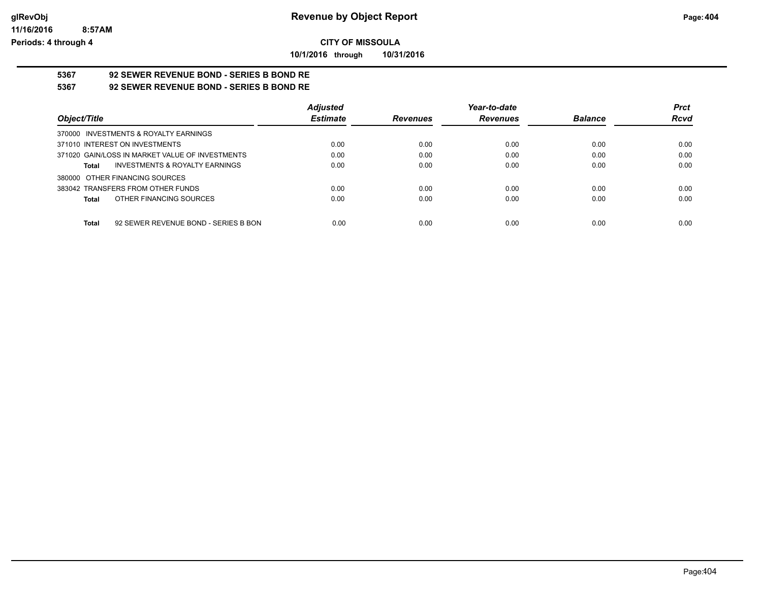**Periods: 4 through 4**

**CITY OF MISSOULA**

**10/1/2016 through 10/31/2016**

# **5367 92 SEWER REVENUE BOND - SERIES B BOND RE**

**5367 92 SEWER REVENUE BOND - SERIES B BOND RE**

|                                                    | <b>Adjusted</b> |                 | Year-to-date    |                | <b>Prct</b> |
|----------------------------------------------------|-----------------|-----------------|-----------------|----------------|-------------|
| Object/Title                                       | <b>Estimate</b> | <b>Revenues</b> | <b>Revenues</b> | <b>Balance</b> | <b>Rcvd</b> |
| 370000 INVESTMENTS & ROYALTY EARNINGS              |                 |                 |                 |                |             |
| 371010 INTEREST ON INVESTMENTS                     | 0.00            | 0.00            | 0.00            | 0.00           | 0.00        |
| 371020 GAIN/LOSS IN MARKET VALUE OF INVESTMENTS    | 0.00            | 0.00            | 0.00            | 0.00           | 0.00        |
| <b>INVESTMENTS &amp; ROYALTY EARNINGS</b><br>Total | 0.00            | 0.00            | 0.00            | 0.00           | 0.00        |
| 380000 OTHER FINANCING SOURCES                     |                 |                 |                 |                |             |
| 383042 TRANSFERS FROM OTHER FUNDS                  | 0.00            | 0.00            | 0.00            | 0.00           | 0.00        |
| OTHER FINANCING SOURCES<br>Total                   | 0.00            | 0.00            | 0.00            | 0.00           | 0.00        |
|                                                    |                 |                 |                 |                |             |
| 92 SEWER REVENUE BOND - SERIES B BON<br>Total      | 0.00            | 0.00            | 0.00            | 0.00           | 0.00        |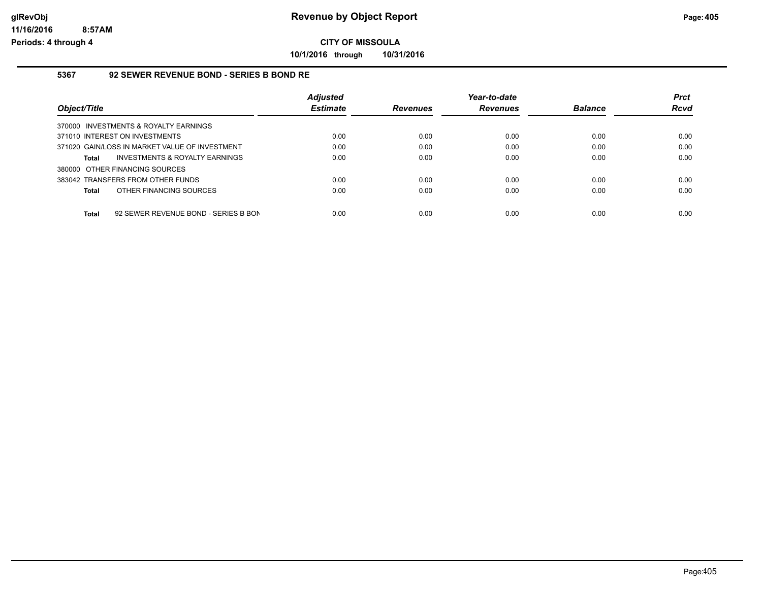**10/1/2016 through 10/31/2016**

#### **5367 92 SEWER REVENUE BOND - SERIES B BOND RE**

| Object/Title                                         | <b>Adjusted</b><br><b>Estimate</b> | <b>Revenues</b> | Year-to-date<br><b>Revenues</b> | <b>Balance</b> | <b>Prct</b><br><b>Rcvd</b> |
|------------------------------------------------------|------------------------------------|-----------------|---------------------------------|----------------|----------------------------|
|                                                      |                                    |                 |                                 |                |                            |
| 370000 INVESTMENTS & ROYALTY EARNINGS                |                                    |                 |                                 |                |                            |
| 371010 INTEREST ON INVESTMENTS                       | 0.00                               | 0.00            | 0.00                            | 0.00           | 0.00                       |
| 371020 GAIN/LOSS IN MARKET VALUE OF INVESTMENT       | 0.00                               | 0.00            | 0.00                            | 0.00           | 0.00                       |
| INVESTMENTS & ROYALTY EARNINGS<br>Total              | 0.00                               | 0.00            | 0.00                            | 0.00           | 0.00                       |
| 380000 OTHER FINANCING SOURCES                       |                                    |                 |                                 |                |                            |
| 383042 TRANSFERS FROM OTHER FUNDS                    | 0.00                               | 0.00            | 0.00                            | 0.00           | 0.00                       |
| OTHER FINANCING SOURCES<br>Total                     | 0.00                               | 0.00            | 0.00                            | 0.00           | 0.00                       |
|                                                      |                                    |                 |                                 |                |                            |
| <b>Total</b><br>92 SEWER REVENUE BOND - SERIES B BON | 0.00                               | 0.00            | 0.00                            | 0.00           | 0.00                       |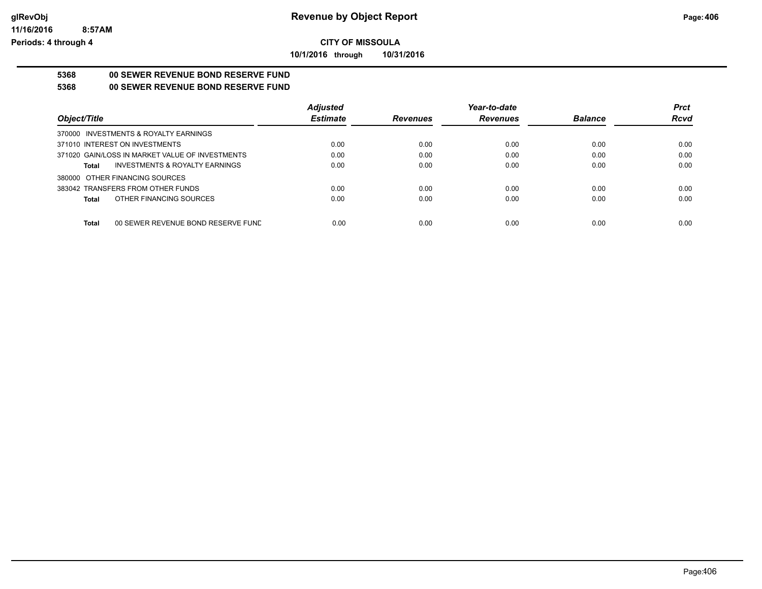**10/1/2016 through 10/31/2016**

# **5368 00 SEWER REVENUE BOND RESERVE FUND**

# **5368 00 SEWER REVENUE BOND RESERVE FUND**

|                                                 | <b>Adjusted</b> |                 | Year-to-date    |                | <b>Prct</b> |
|-------------------------------------------------|-----------------|-----------------|-----------------|----------------|-------------|
| Object/Title                                    | <b>Estimate</b> | <b>Revenues</b> | <b>Revenues</b> | <b>Balance</b> | <b>Rcvd</b> |
| 370000 INVESTMENTS & ROYALTY EARNINGS           |                 |                 |                 |                |             |
| 371010 INTEREST ON INVESTMENTS                  | 0.00            | 0.00            | 0.00            | 0.00           | 0.00        |
| 371020 GAIN/LOSS IN MARKET VALUE OF INVESTMENTS | 0.00            | 0.00            | 0.00            | 0.00           | 0.00        |
| INVESTMENTS & ROYALTY EARNINGS<br>Total         | 0.00            | 0.00            | 0.00            | 0.00           | 0.00        |
| 380000 OTHER FINANCING SOURCES                  |                 |                 |                 |                |             |
| 383042 TRANSFERS FROM OTHER FUNDS               | 0.00            | 0.00            | 0.00            | 0.00           | 0.00        |
| OTHER FINANCING SOURCES<br>Total                | 0.00            | 0.00            | 0.00            | 0.00           | 0.00        |
|                                                 |                 |                 |                 |                |             |
| 00 SEWER REVENUE BOND RESERVE FUND<br>Total     | 0.00            | 0.00            | 0.00            | 0.00           | 0.00        |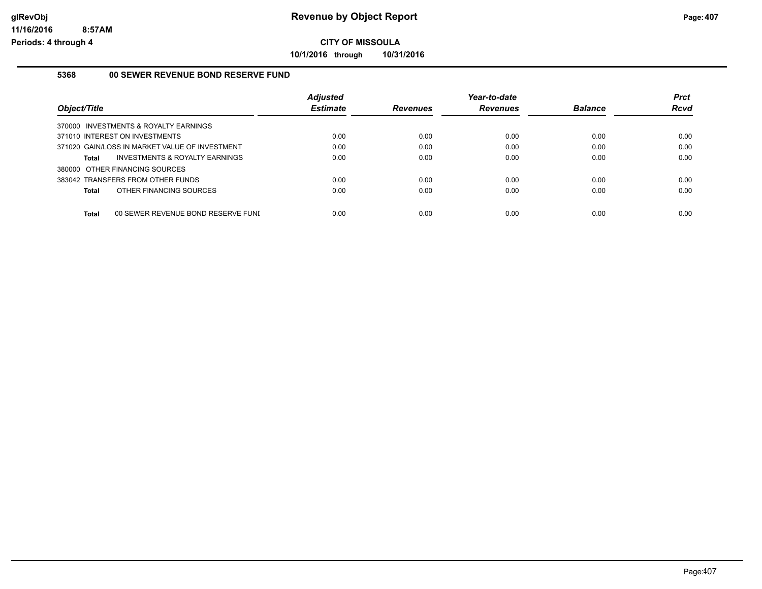**10/1/2016 through 10/31/2016**

#### **5368 00 SEWER REVENUE BOND RESERVE FUND**

|                                                    | <b>Adjusted</b> |                 | Year-to-date    |                | <b>Prct</b> |
|----------------------------------------------------|-----------------|-----------------|-----------------|----------------|-------------|
| Object/Title                                       | <b>Estimate</b> | <b>Revenues</b> | <b>Revenues</b> | <b>Balance</b> | <b>Rcvd</b> |
| 370000 INVESTMENTS & ROYALTY EARNINGS              |                 |                 |                 |                |             |
| 371010 INTEREST ON INVESTMENTS                     | 0.00            | 0.00            | 0.00            | 0.00           | 0.00        |
| 371020 GAIN/LOSS IN MARKET VALUE OF INVESTMENT     | 0.00            | 0.00            | 0.00            | 0.00           | 0.00        |
| INVESTMENTS & ROYALTY EARNINGS<br>Total            | 0.00            | 0.00            | 0.00            | 0.00           | 0.00        |
| 380000 OTHER FINANCING SOURCES                     |                 |                 |                 |                |             |
| 383042 TRANSFERS FROM OTHER FUNDS                  | 0.00            | 0.00            | 0.00            | 0.00           | 0.00        |
| OTHER FINANCING SOURCES<br><b>Total</b>            | 0.00            | 0.00            | 0.00            | 0.00           | 0.00        |
|                                                    |                 |                 |                 |                |             |
| <b>Total</b><br>00 SEWER REVENUE BOND RESERVE FUNI | 0.00            | 0.00            | 0.00            | 0.00           | 0.00        |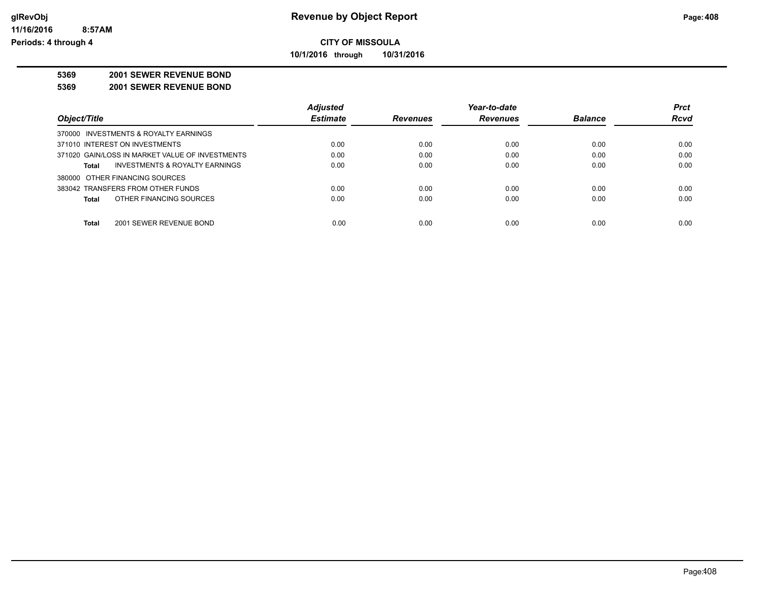**10/1/2016 through 10/31/2016**

#### **5369 2001 SEWER REVENUE BOND**

**5369 2001 SEWER REVENUE BOND**

|                                                 | <b>Adjusted</b> |                 | Year-to-date    |                | <b>Prct</b> |
|-------------------------------------------------|-----------------|-----------------|-----------------|----------------|-------------|
| Object/Title                                    | <b>Estimate</b> | <b>Revenues</b> | <b>Revenues</b> | <b>Balance</b> | <b>Rcvd</b> |
| 370000 INVESTMENTS & ROYALTY EARNINGS           |                 |                 |                 |                |             |
| 371010 INTEREST ON INVESTMENTS                  | 0.00            | 0.00            | 0.00            | 0.00           | 0.00        |
| 371020 GAIN/LOSS IN MARKET VALUE OF INVESTMENTS | 0.00            | 0.00            | 0.00            | 0.00           | 0.00        |
| INVESTMENTS & ROYALTY EARNINGS<br>Total         | 0.00            | 0.00            | 0.00            | 0.00           | 0.00        |
| 380000 OTHER FINANCING SOURCES                  |                 |                 |                 |                |             |
| 383042 TRANSFERS FROM OTHER FUNDS               | 0.00            | 0.00            | 0.00            | 0.00           | 0.00        |
| OTHER FINANCING SOURCES<br>Total                | 0.00            | 0.00            | 0.00            | 0.00           | 0.00        |
|                                                 |                 |                 |                 |                |             |
| 2001 SEWER REVENUE BOND<br>Total                | 0.00            | 0.00            | 0.00            | 0.00           | 0.00        |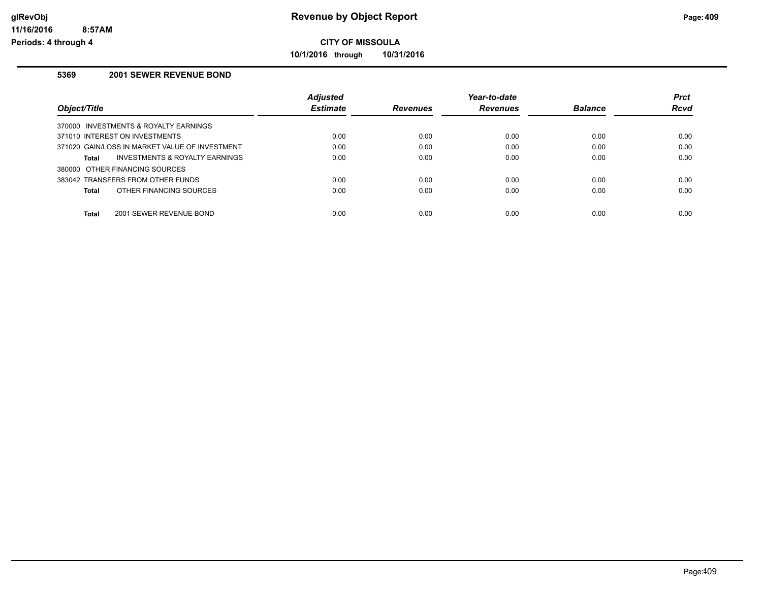**Periods: 4 through 4**

**CITY OF MISSOULA**

**10/1/2016 through 10/31/2016**

#### **5369 2001 SEWER REVENUE BOND**

 **8:57AM**

|                                                | <b>Adjusted</b> |                 | Year-to-date    |                | <b>Prct</b> |
|------------------------------------------------|-----------------|-----------------|-----------------|----------------|-------------|
| Object/Title                                   | <b>Estimate</b> | <b>Revenues</b> | <b>Revenues</b> | <b>Balance</b> | <b>Rcvd</b> |
| 370000 INVESTMENTS & ROYALTY EARNINGS          |                 |                 |                 |                |             |
| 371010 INTEREST ON INVESTMENTS                 | 0.00            | 0.00            | 0.00            | 0.00           | 0.00        |
| 371020 GAIN/LOSS IN MARKET VALUE OF INVESTMENT | 0.00            | 0.00            | 0.00            | 0.00           | 0.00        |
| INVESTMENTS & ROYALTY EARNINGS<br>Total        | 0.00            | 0.00            | 0.00            | 0.00           | 0.00        |
| 380000 OTHER FINANCING SOURCES                 |                 |                 |                 |                |             |
| 383042 TRANSFERS FROM OTHER FUNDS              | 0.00            | 0.00            | 0.00            | 0.00           | 0.00        |
| OTHER FINANCING SOURCES<br>Total               | 0.00            | 0.00            | 0.00            | 0.00           | 0.00        |
|                                                |                 |                 |                 |                |             |
| Total<br>2001 SEWER REVENUE BOND               | 0.00            | 0.00            | 0.00            | 0.00           | 0.00        |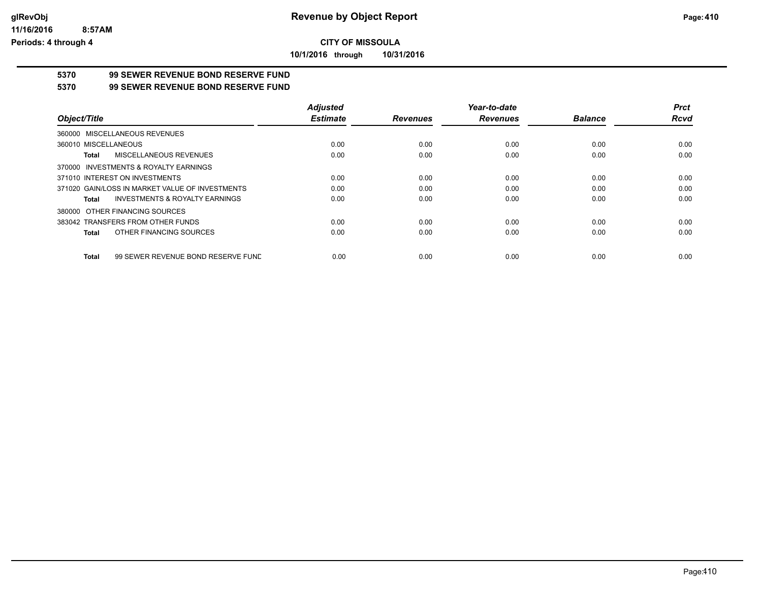**Periods: 4 through 4**

**CITY OF MISSOULA**

**10/1/2016 through 10/31/2016**

# **5370 99 SEWER REVENUE BOND RESERVE FUND**

## **5370 99 SEWER REVENUE BOND RESERVE FUND**

|                                                    | <b>Adjusted</b> |                 | Year-to-date    |                | <b>Prct</b> |
|----------------------------------------------------|-----------------|-----------------|-----------------|----------------|-------------|
| Object/Title                                       | <b>Estimate</b> | <b>Revenues</b> | <b>Revenues</b> | <b>Balance</b> | <b>Rcvd</b> |
| 360000 MISCELLANEOUS REVENUES                      |                 |                 |                 |                |             |
| 360010 MISCELLANEOUS                               | 0.00            | 0.00            | 0.00            | 0.00           | 0.00        |
| <b>MISCELLANEOUS REVENUES</b><br>Total             | 0.00            | 0.00            | 0.00            | 0.00           | 0.00        |
| 370000 INVESTMENTS & ROYALTY EARNINGS              |                 |                 |                 |                |             |
| 371010 INTEREST ON INVESTMENTS                     | 0.00            | 0.00            | 0.00            | 0.00           | 0.00        |
| 371020 GAIN/LOSS IN MARKET VALUE OF INVESTMENTS    | 0.00            | 0.00            | 0.00            | 0.00           | 0.00        |
| <b>INVESTMENTS &amp; ROYALTY EARNINGS</b><br>Total | 0.00            | 0.00            | 0.00            | 0.00           | 0.00        |
| 380000 OTHER FINANCING SOURCES                     |                 |                 |                 |                |             |
| 383042 TRANSFERS FROM OTHER FUNDS                  | 0.00            | 0.00            | 0.00            | 0.00           | 0.00        |
| OTHER FINANCING SOURCES<br>Total                   | 0.00            | 0.00            | 0.00            | 0.00           | 0.00        |
| 99 SEWER REVENUE BOND RESERVE FUND<br><b>Total</b> | 0.00            | 0.00            | 0.00            | 0.00           | 0.00        |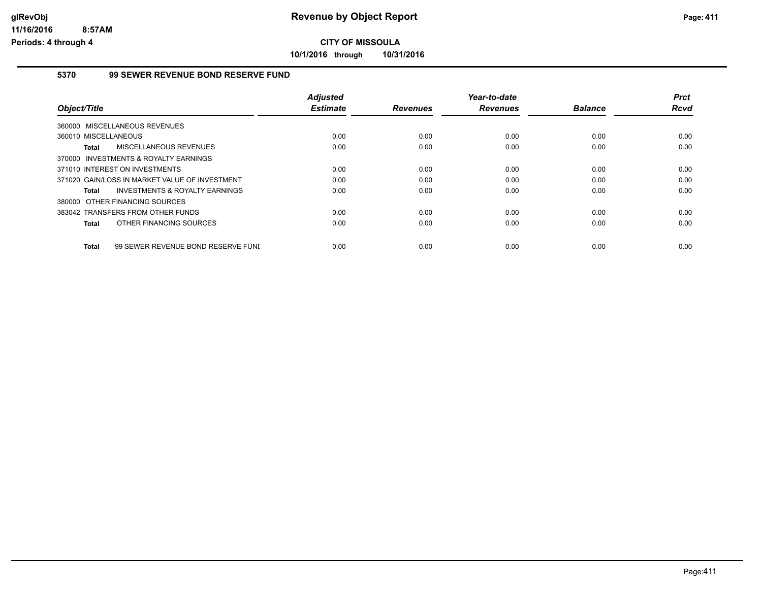**10/1/2016 through 10/31/2016**

### **5370 99 SEWER REVENUE BOND RESERVE FUND**

|                                                    | <b>Adjusted</b> |                 | Year-to-date    |                | <b>Prct</b> |
|----------------------------------------------------|-----------------|-----------------|-----------------|----------------|-------------|
| Object/Title                                       | <b>Estimate</b> | <b>Revenues</b> | <b>Revenues</b> | <b>Balance</b> | <b>Rcvd</b> |
| 360000 MISCELLANEOUS REVENUES                      |                 |                 |                 |                |             |
| 360010 MISCELLANEOUS                               | 0.00            | 0.00            | 0.00            | 0.00           | 0.00        |
| MISCELLANEOUS REVENUES<br>Total                    | 0.00            | 0.00            | 0.00            | 0.00           | 0.00        |
| 370000 INVESTMENTS & ROYALTY EARNINGS              |                 |                 |                 |                |             |
| 371010 INTEREST ON INVESTMENTS                     | 0.00            | 0.00            | 0.00            | 0.00           | 0.00        |
| 371020 GAIN/LOSS IN MARKET VALUE OF INVESTMENT     | 0.00            | 0.00            | 0.00            | 0.00           | 0.00        |
| <b>INVESTMENTS &amp; ROYALTY EARNINGS</b><br>Total | 0.00            | 0.00            | 0.00            | 0.00           | 0.00        |
| 380000 OTHER FINANCING SOURCES                     |                 |                 |                 |                |             |
| 383042 TRANSFERS FROM OTHER FUNDS                  | 0.00            | 0.00            | 0.00            | 0.00           | 0.00        |
| OTHER FINANCING SOURCES<br>Total                   | 0.00            | 0.00            | 0.00            | 0.00           | 0.00        |
| <b>Total</b><br>99 SEWER REVENUE BOND RESERVE FUNI | 0.00            | 0.00            | 0.00            | 0.00           | 0.00        |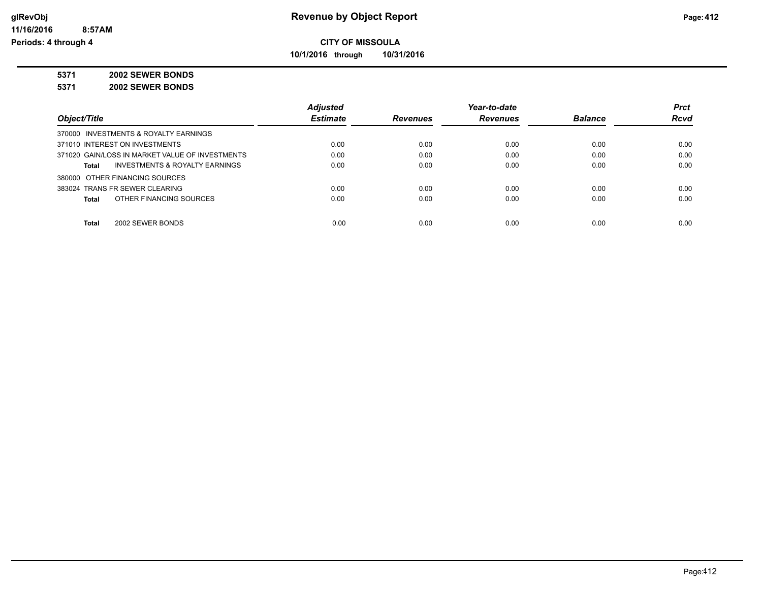**10/1/2016 through 10/31/2016**

#### **5371 2002 SEWER BONDS**

**5371 2002 SEWER BONDS**

|                                                 | <b>Adjusted</b> |                 | Year-to-date    |                | <b>Prct</b> |
|-------------------------------------------------|-----------------|-----------------|-----------------|----------------|-------------|
| Object/Title                                    | <b>Estimate</b> | <b>Revenues</b> | <b>Revenues</b> | <b>Balance</b> | <b>Rcvd</b> |
| 370000 INVESTMENTS & ROYALTY EARNINGS           |                 |                 |                 |                |             |
| 371010 INTEREST ON INVESTMENTS                  | 0.00            | 0.00            | 0.00            | 0.00           | 0.00        |
| 371020 GAIN/LOSS IN MARKET VALUE OF INVESTMENTS | 0.00            | 0.00            | 0.00            | 0.00           | 0.00        |
| INVESTMENTS & ROYALTY EARNINGS<br>Total         | 0.00            | 0.00            | 0.00            | 0.00           | 0.00        |
| 380000 OTHER FINANCING SOURCES                  |                 |                 |                 |                |             |
| 383024 TRANS FR SEWER CLEARING                  | 0.00            | 0.00            | 0.00            | 0.00           | 0.00        |
| OTHER FINANCING SOURCES<br>Total                | 0.00            | 0.00            | 0.00            | 0.00           | 0.00        |
|                                                 |                 |                 |                 |                |             |
| <b>Total</b><br>2002 SEWER BONDS                | 0.00            | 0.00            | 0.00            | 0.00           | 0.00        |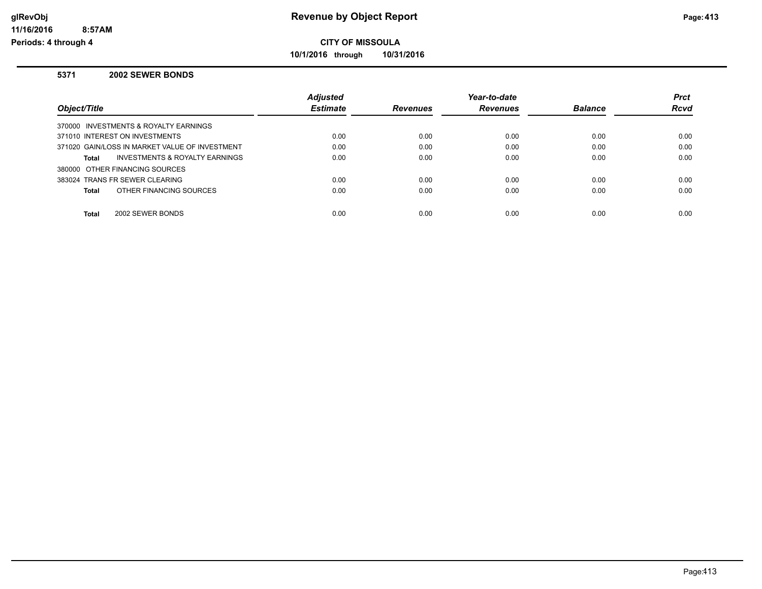**10/1/2016 through 10/31/2016**

#### **5371 2002 SEWER BONDS**

|                                                | <b>Adjusted</b> |                 | Year-to-date    |                | <b>Prct</b> |
|------------------------------------------------|-----------------|-----------------|-----------------|----------------|-------------|
| <b>Object/Title</b>                            | <b>Estimate</b> | <b>Revenues</b> | <b>Revenues</b> | <b>Balance</b> | <b>Rcvd</b> |
| 370000 INVESTMENTS & ROYALTY EARNINGS          |                 |                 |                 |                |             |
| 371010 INTEREST ON INVESTMENTS                 | 0.00            | 0.00            | 0.00            | 0.00           | 0.00        |
| 371020 GAIN/LOSS IN MARKET VALUE OF INVESTMENT | 0.00            | 0.00            | 0.00            | 0.00           | 0.00        |
| INVESTMENTS & ROYALTY EARNINGS<br>Total        | 0.00            | 0.00            | 0.00            | 0.00           | 0.00        |
| 380000 OTHER FINANCING SOURCES                 |                 |                 |                 |                |             |
| 383024 TRANS FR SEWER CLEARING                 | 0.00            | 0.00            | 0.00            | 0.00           | 0.00        |
| OTHER FINANCING SOURCES<br>Total               | 0.00            | 0.00            | 0.00            | 0.00           | 0.00        |
|                                                |                 |                 |                 |                |             |
| Total<br>2002 SEWER BONDS                      | 0.00            | 0.00            | 0.00            | 0.00           | 0.00        |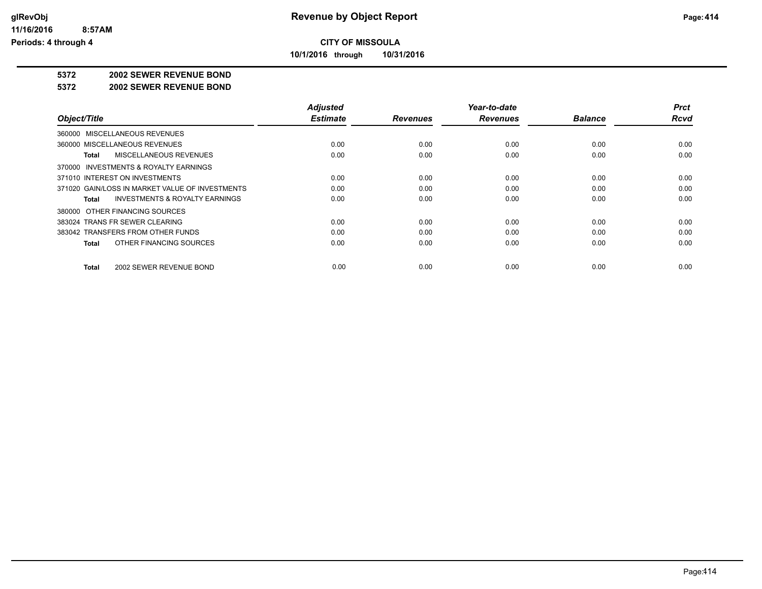**10/1/2016 through 10/31/2016**

#### **5372 2002 SEWER REVENUE BOND**

#### **5372 2002 SEWER REVENUE BOND**

|                                                 | <b>Adjusted</b> |                 | Year-to-date    |                | <b>Prct</b> |
|-------------------------------------------------|-----------------|-----------------|-----------------|----------------|-------------|
| Object/Title                                    | <b>Estimate</b> | <b>Revenues</b> | <b>Revenues</b> | <b>Balance</b> | <b>Rcvd</b> |
| 360000 MISCELLANEOUS REVENUES                   |                 |                 |                 |                |             |
| 360000 MISCELLANEOUS REVENUES                   | 0.00            | 0.00            | 0.00            | 0.00           | 0.00        |
| MISCELLANEOUS REVENUES<br>Total                 | 0.00            | 0.00            | 0.00            | 0.00           | 0.00        |
| 370000 INVESTMENTS & ROYALTY EARNINGS           |                 |                 |                 |                |             |
| 371010 INTEREST ON INVESTMENTS                  | 0.00            | 0.00            | 0.00            | 0.00           | 0.00        |
| 371020 GAIN/LOSS IN MARKET VALUE OF INVESTMENTS | 0.00            | 0.00            | 0.00            | 0.00           | 0.00        |
| INVESTMENTS & ROYALTY EARNINGS<br>Total         | 0.00            | 0.00            | 0.00            | 0.00           | 0.00        |
| 380000 OTHER FINANCING SOURCES                  |                 |                 |                 |                |             |
| 383024 TRANS FR SEWER CLEARING                  | 0.00            | 0.00            | 0.00            | 0.00           | 0.00        |
| 383042 TRANSFERS FROM OTHER FUNDS               | 0.00            | 0.00            | 0.00            | 0.00           | 0.00        |
| OTHER FINANCING SOURCES<br>Total                | 0.00            | 0.00            | 0.00            | 0.00           | 0.00        |
| 2002 SEWER REVENUE BOND<br>Total                | 0.00            | 0.00            | 0.00            | 0.00           | 0.00        |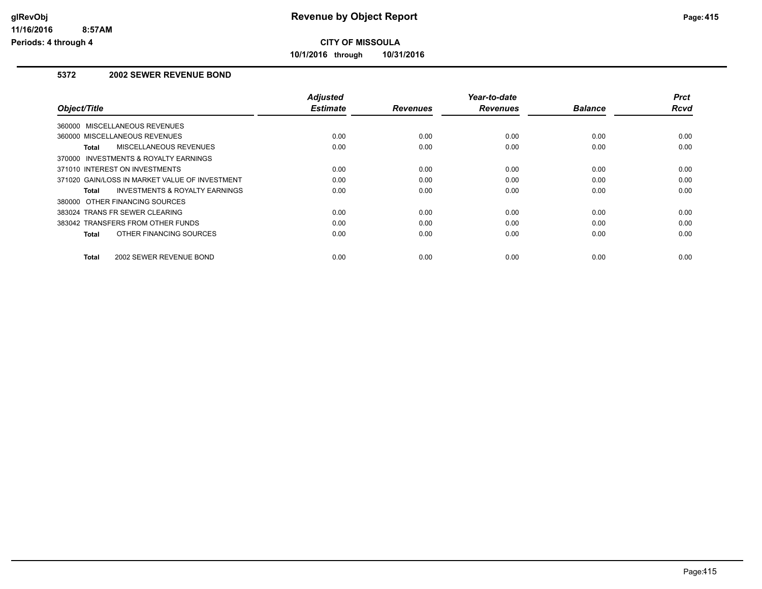**10/1/2016 through 10/31/2016**

### **5372 2002 SEWER REVENUE BOND**

| Object/Title                                       | <b>Adjusted</b><br><b>Estimate</b> | <b>Revenues</b> | Year-to-date<br><b>Revenues</b> | <b>Balance</b> | <b>Prct</b><br><b>Rcvd</b> |
|----------------------------------------------------|------------------------------------|-----------------|---------------------------------|----------------|----------------------------|
| 360000 MISCELLANEOUS REVENUES                      |                                    |                 |                                 |                |                            |
| 360000 MISCELLANEOUS REVENUES                      | 0.00                               | 0.00            | 0.00                            | 0.00           | 0.00                       |
| MISCELLANEOUS REVENUES<br><b>Total</b>             | 0.00                               | 0.00            | 0.00                            | 0.00           | 0.00                       |
| 370000 INVESTMENTS & ROYALTY EARNINGS              |                                    |                 |                                 |                |                            |
| 371010 INTEREST ON INVESTMENTS                     | 0.00                               | 0.00            | 0.00                            | 0.00           | 0.00                       |
| 371020 GAIN/LOSS IN MARKET VALUE OF INVESTMENT     | 0.00                               | 0.00            | 0.00                            | 0.00           | 0.00                       |
| <b>INVESTMENTS &amp; ROYALTY EARNINGS</b><br>Total | 0.00                               | 0.00            | 0.00                            | 0.00           | 0.00                       |
| 380000 OTHER FINANCING SOURCES                     |                                    |                 |                                 |                |                            |
| 383024 TRANS FR SEWER CLEARING                     | 0.00                               | 0.00            | 0.00                            | 0.00           | 0.00                       |
| 383042 TRANSFERS FROM OTHER FUNDS                  | 0.00                               | 0.00            | 0.00                            | 0.00           | 0.00                       |
| OTHER FINANCING SOURCES<br>Total                   | 0.00                               | 0.00            | 0.00                            | 0.00           | 0.00                       |
| 2002 SEWER REVENUE BOND<br><b>Total</b>            | 0.00                               | 0.00            | 0.00                            | 0.00           | 0.00                       |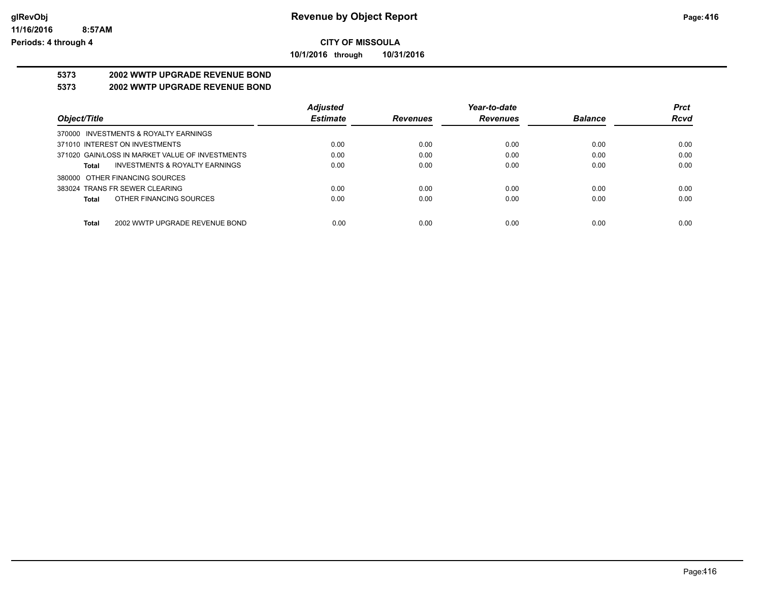**10/1/2016 through 10/31/2016**

# **5373 2002 WWTP UPGRADE REVENUE BOND**

# **5373 2002 WWTP UPGRADE REVENUE BOND**

|                                                 | <b>Adjusted</b> |                 | Year-to-date    |                | <b>Prct</b> |
|-------------------------------------------------|-----------------|-----------------|-----------------|----------------|-------------|
| Object/Title                                    | <b>Estimate</b> | <b>Revenues</b> | <b>Revenues</b> | <b>Balance</b> | <b>Rcvd</b> |
| 370000 INVESTMENTS & ROYALTY EARNINGS           |                 |                 |                 |                |             |
| 371010 INTEREST ON INVESTMENTS                  | 0.00            | 0.00            | 0.00            | 0.00           | 0.00        |
| 371020 GAIN/LOSS IN MARKET VALUE OF INVESTMENTS | 0.00            | 0.00            | 0.00            | 0.00           | 0.00        |
| INVESTMENTS & ROYALTY EARNINGS<br>Total         | 0.00            | 0.00            | 0.00            | 0.00           | 0.00        |
| 380000 OTHER FINANCING SOURCES                  |                 |                 |                 |                |             |
| 383024 TRANS FR SEWER CLEARING                  | 0.00            | 0.00            | 0.00            | 0.00           | 0.00        |
| OTHER FINANCING SOURCES<br>Total                | 0.00            | 0.00            | 0.00            | 0.00           | 0.00        |
|                                                 |                 |                 |                 |                |             |
| Total<br>2002 WWTP UPGRADE REVENUE BOND         | 0.00            | 0.00            | 0.00            | 0.00           | 0.00        |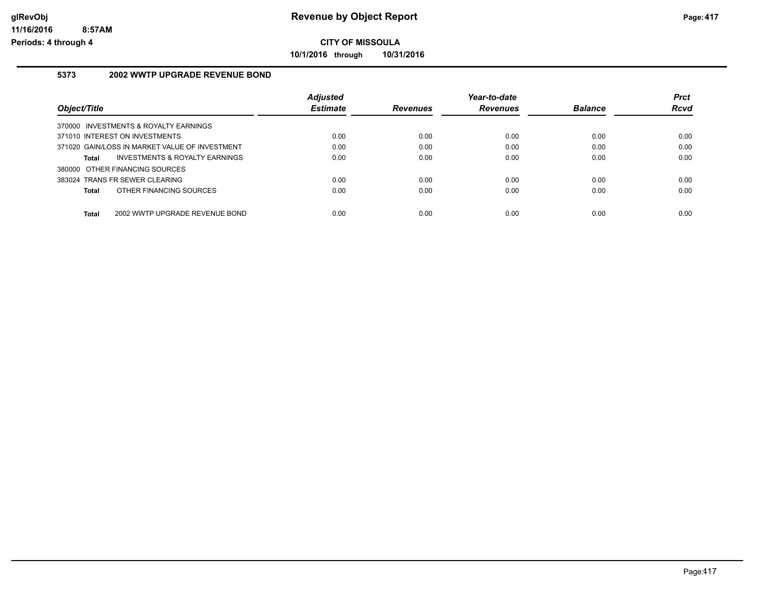**10/1/2016 through 10/31/2016**

### **5373 2002 WWTP UPGRADE REVENUE BOND**

|                                                | <b>Adjusted</b> |                 | Year-to-date    |                | <b>Prct</b> |
|------------------------------------------------|-----------------|-----------------|-----------------|----------------|-------------|
| Object/Title                                   | <b>Estimate</b> | <b>Revenues</b> | <b>Revenues</b> | <b>Balance</b> | <b>Rcvd</b> |
| 370000 INVESTMENTS & ROYALTY EARNINGS          |                 |                 |                 |                |             |
| 371010 INTEREST ON INVESTMENTS                 | 0.00            | 0.00            | 0.00            | 0.00           | 0.00        |
| 371020 GAIN/LOSS IN MARKET VALUE OF INVESTMENT | 0.00            | 0.00            | 0.00            | 0.00           | 0.00        |
| INVESTMENTS & ROYALTY EARNINGS<br>Total        | 0.00            | 0.00            | 0.00            | 0.00           | 0.00        |
| 380000 OTHER FINANCING SOURCES                 |                 |                 |                 |                |             |
| 383024 TRANS FR SEWER CLEARING                 | 0.00            | 0.00            | 0.00            | 0.00           | 0.00        |
| OTHER FINANCING SOURCES<br>Total               | 0.00            | 0.00            | 0.00            | 0.00           | 0.00        |
|                                                |                 |                 |                 |                |             |
| Total<br>2002 WWTP UPGRADE REVENUE BOND        | 0.00            | 0.00            | 0.00            | 0.00           | 0.00        |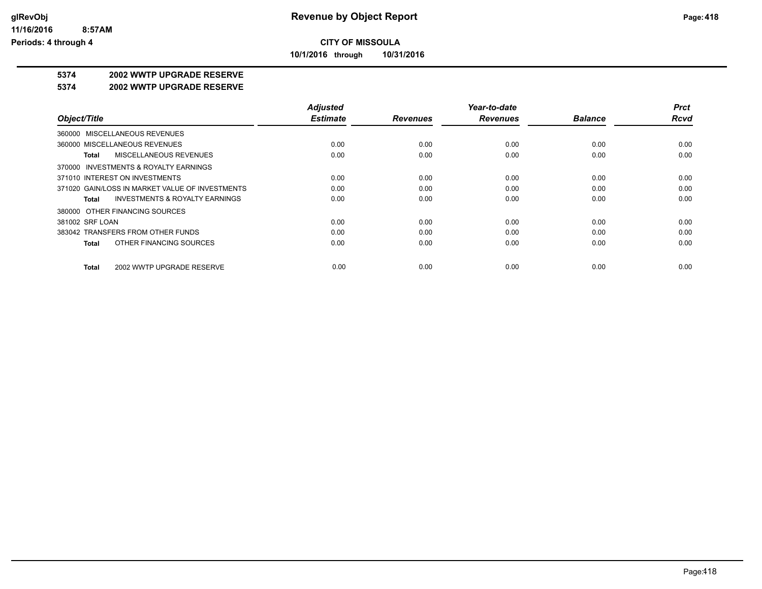**10/1/2016 through 10/31/2016**

### **5374 2002 WWTP UPGRADE RESERVE**

#### **5374 2002 WWTP UPGRADE RESERVE**

|                                                    | <b>Adjusted</b> |                 | Year-to-date    |                | <b>Prct</b> |
|----------------------------------------------------|-----------------|-----------------|-----------------|----------------|-------------|
| Object/Title                                       | <b>Estimate</b> | <b>Revenues</b> | <b>Revenues</b> | <b>Balance</b> | <b>Rcvd</b> |
| 360000 MISCELLANEOUS REVENUES                      |                 |                 |                 |                |             |
| 360000 MISCELLANEOUS REVENUES                      | 0.00            | 0.00            | 0.00            | 0.00           | 0.00        |
| MISCELLANEOUS REVENUES<br>Total                    | 0.00            | 0.00            | 0.00            | 0.00           | 0.00        |
| 370000 INVESTMENTS & ROYALTY EARNINGS              |                 |                 |                 |                |             |
| 371010 INTEREST ON INVESTMENTS                     | 0.00            | 0.00            | 0.00            | 0.00           | 0.00        |
| 371020 GAIN/LOSS IN MARKET VALUE OF INVESTMENTS    | 0.00            | 0.00            | 0.00            | 0.00           | 0.00        |
| <b>INVESTMENTS &amp; ROYALTY EARNINGS</b><br>Total | 0.00            | 0.00            | 0.00            | 0.00           | 0.00        |
| 380000 OTHER FINANCING SOURCES                     |                 |                 |                 |                |             |
| 381002 SRF LOAN                                    | 0.00            | 0.00            | 0.00            | 0.00           | 0.00        |
| 383042 TRANSFERS FROM OTHER FUNDS                  | 0.00            | 0.00            | 0.00            | 0.00           | 0.00        |
| OTHER FINANCING SOURCES<br>Total                   | 0.00            | 0.00            | 0.00            | 0.00           | 0.00        |
| 2002 WWTP UPGRADE RESERVE<br>Total                 | 0.00            | 0.00            | 0.00            | 0.00           | 0.00        |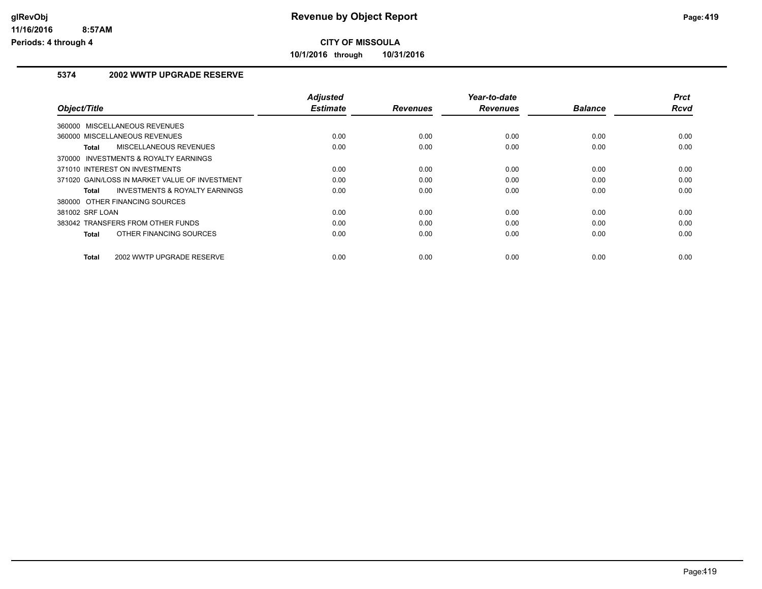**10/1/2016 through 10/31/2016**

### **5374 2002 WWTP UPGRADE RESERVE**

| Object/Title                                       | <b>Adjusted</b><br><b>Estimate</b> | <b>Revenues</b> | Year-to-date<br><b>Revenues</b> | <b>Balance</b> | <b>Prct</b><br><b>Rcvd</b> |
|----------------------------------------------------|------------------------------------|-----------------|---------------------------------|----------------|----------------------------|
|                                                    |                                    |                 |                                 |                |                            |
| 360000 MISCELLANEOUS REVENUES                      |                                    |                 |                                 |                |                            |
| 360000 MISCELLANEOUS REVENUES                      | 0.00                               | 0.00            | 0.00                            | 0.00           | 0.00                       |
| MISCELLANEOUS REVENUES<br>Total                    | 0.00                               | 0.00            | 0.00                            | 0.00           | 0.00                       |
| 370000 INVESTMENTS & ROYALTY EARNINGS              |                                    |                 |                                 |                |                            |
| 371010 INTEREST ON INVESTMENTS                     | 0.00                               | 0.00            | 0.00                            | 0.00           | 0.00                       |
| 371020 GAIN/LOSS IN MARKET VALUE OF INVESTMENT     | 0.00                               | 0.00            | 0.00                            | 0.00           | 0.00                       |
| <b>INVESTMENTS &amp; ROYALTY EARNINGS</b><br>Total | 0.00                               | 0.00            | 0.00                            | 0.00           | 0.00                       |
| 380000 OTHER FINANCING SOURCES                     |                                    |                 |                                 |                |                            |
| 381002 SRF LOAN                                    | 0.00                               | 0.00            | 0.00                            | 0.00           | 0.00                       |
| 383042 TRANSFERS FROM OTHER FUNDS                  | 0.00                               | 0.00            | 0.00                            | 0.00           | 0.00                       |
| OTHER FINANCING SOURCES<br><b>Total</b>            | 0.00                               | 0.00            | 0.00                            | 0.00           | 0.00                       |
| 2002 WWTP UPGRADE RESERVE<br><b>Total</b>          | 0.00                               | 0.00            | 0.00                            | 0.00           | 0.00                       |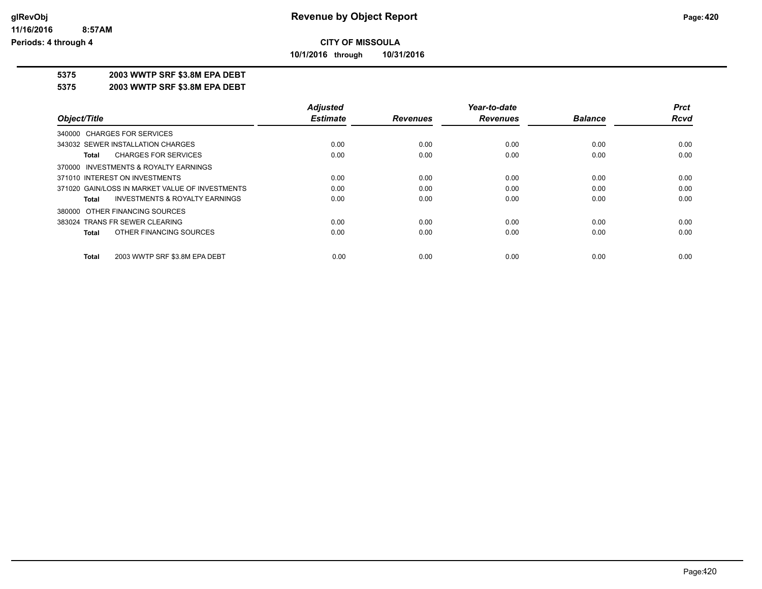**10/1/2016 through 10/31/2016**

**5375 2003 WWTP SRF \$3.8M EPA DEBT**

**5375 2003 WWTP SRF \$3.8M EPA DEBT**

|                                                    | <b>Adjusted</b> |                 | Year-to-date    |                | <b>Prct</b> |
|----------------------------------------------------|-----------------|-----------------|-----------------|----------------|-------------|
| Object/Title                                       | <b>Estimate</b> | <b>Revenues</b> | <b>Revenues</b> | <b>Balance</b> | <b>Rcvd</b> |
| 340000 CHARGES FOR SERVICES                        |                 |                 |                 |                |             |
| 343032 SEWER INSTALLATION CHARGES                  | 0.00            | 0.00            | 0.00            | 0.00           | 0.00        |
| <b>CHARGES FOR SERVICES</b><br>Total               | 0.00            | 0.00            | 0.00            | 0.00           | 0.00        |
| 370000 INVESTMENTS & ROYALTY EARNINGS              |                 |                 |                 |                |             |
| 371010 INTEREST ON INVESTMENTS                     | 0.00            | 0.00            | 0.00            | 0.00           | 0.00        |
| 371020 GAIN/LOSS IN MARKET VALUE OF INVESTMENTS    | 0.00            | 0.00            | 0.00            | 0.00           | 0.00        |
| <b>INVESTMENTS &amp; ROYALTY EARNINGS</b><br>Total | 0.00            | 0.00            | 0.00            | 0.00           | 0.00        |
| 380000 OTHER FINANCING SOURCES                     |                 |                 |                 |                |             |
| 383024 TRANS FR SEWER CLEARING                     | 0.00            | 0.00            | 0.00            | 0.00           | 0.00        |
| OTHER FINANCING SOURCES<br>Total                   | 0.00            | 0.00            | 0.00            | 0.00           | 0.00        |
| 2003 WWTP SRF \$3.8M EPA DEBT<br>Total             | 0.00            | 0.00            | 0.00            | 0.00           | 0.00        |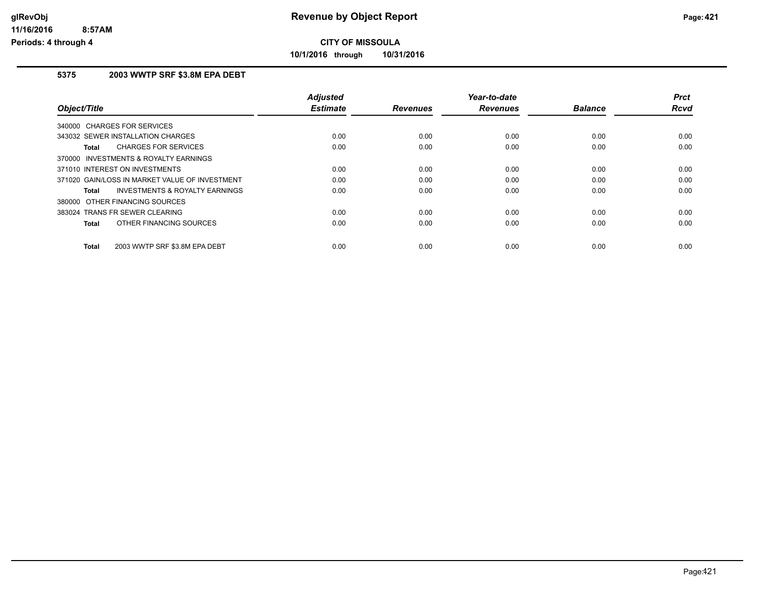**10/1/2016 through 10/31/2016**

### **5375 2003 WWTP SRF \$3.8M EPA DEBT**

| Object/Title                                       | <b>Adjusted</b><br><b>Estimate</b> | <b>Revenues</b> | Year-to-date<br><b>Revenues</b> | <b>Balance</b> | <b>Prct</b><br>Rcvd |
|----------------------------------------------------|------------------------------------|-----------------|---------------------------------|----------------|---------------------|
| <b>CHARGES FOR SERVICES</b><br>340000              |                                    |                 |                                 |                |                     |
| 343032 SEWER INSTALLATION CHARGES                  | 0.00                               | 0.00            | 0.00                            | 0.00           | 0.00                |
| <b>CHARGES FOR SERVICES</b><br>Total               | 0.00                               | 0.00            | 0.00                            | 0.00           | 0.00                |
| 370000 INVESTMENTS & ROYALTY EARNINGS              |                                    |                 |                                 |                |                     |
| 371010 INTEREST ON INVESTMENTS                     | 0.00                               | 0.00            | 0.00                            | 0.00           | 0.00                |
| 371020 GAIN/LOSS IN MARKET VALUE OF INVESTMENT     | 0.00                               | 0.00            | 0.00                            | 0.00           | 0.00                |
| <b>INVESTMENTS &amp; ROYALTY EARNINGS</b><br>Total | 0.00                               | 0.00            | 0.00                            | 0.00           | 0.00                |
| 380000 OTHER FINANCING SOURCES                     |                                    |                 |                                 |                |                     |
| 383024 TRANS FR SEWER CLEARING                     | 0.00                               | 0.00            | 0.00                            | 0.00           | 0.00                |
| OTHER FINANCING SOURCES<br>Total                   | 0.00                               | 0.00            | 0.00                            | 0.00           | 0.00                |
| 2003 WWTP SRF \$3.8M EPA DEBT<br><b>Total</b>      | 0.00                               | 0.00            | 0.00                            | 0.00           | 0.00                |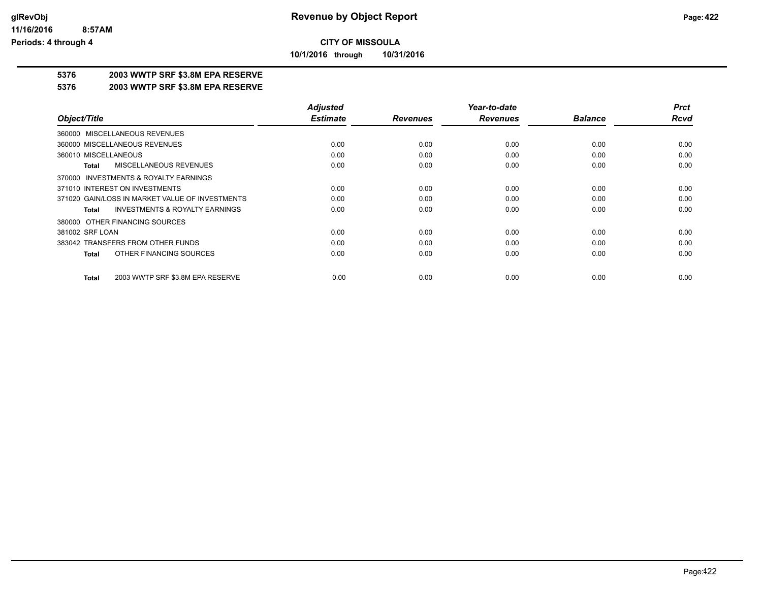**10/1/2016 through 10/31/2016**

## **5376 2003 WWTP SRF \$3.8M EPA RESERVE**

#### **5376 2003 WWTP SRF \$3.8M EPA RESERVE**

|                                                    | <b>Adjusted</b> |                 | Year-to-date    |                | <b>Prct</b> |
|----------------------------------------------------|-----------------|-----------------|-----------------|----------------|-------------|
| Object/Title                                       | <b>Estimate</b> | <b>Revenues</b> | <b>Revenues</b> | <b>Balance</b> | <b>Rcvd</b> |
| MISCELLANEOUS REVENUES<br>360000                   |                 |                 |                 |                |             |
| 360000 MISCELLANEOUS REVENUES                      | 0.00            | 0.00            | 0.00            | 0.00           | 0.00        |
| 360010 MISCELLANEOUS                               | 0.00            | 0.00            | 0.00            | 0.00           | 0.00        |
| MISCELLANEOUS REVENUES<br><b>Total</b>             | 0.00            | 0.00            | 0.00            | 0.00           | 0.00        |
| INVESTMENTS & ROYALTY EARNINGS<br>370000           |                 |                 |                 |                |             |
| 371010 INTEREST ON INVESTMENTS                     | 0.00            | 0.00            | 0.00            | 0.00           | 0.00        |
| 371020 GAIN/LOSS IN MARKET VALUE OF INVESTMENTS    | 0.00            | 0.00            | 0.00            | 0.00           | 0.00        |
| <b>INVESTMENTS &amp; ROYALTY EARNINGS</b><br>Total | 0.00            | 0.00            | 0.00            | 0.00           | 0.00        |
| 380000 OTHER FINANCING SOURCES                     |                 |                 |                 |                |             |
| 381002 SRF LOAN                                    | 0.00            | 0.00            | 0.00            | 0.00           | 0.00        |
| 383042 TRANSFERS FROM OTHER FUNDS                  | 0.00            | 0.00            | 0.00            | 0.00           | 0.00        |
| OTHER FINANCING SOURCES<br><b>Total</b>            | 0.00            | 0.00            | 0.00            | 0.00           | 0.00        |
| 2003 WWTP SRF \$3.8M EPA RESERVE<br>Total          | 0.00            | 0.00            | 0.00            | 0.00           | 0.00        |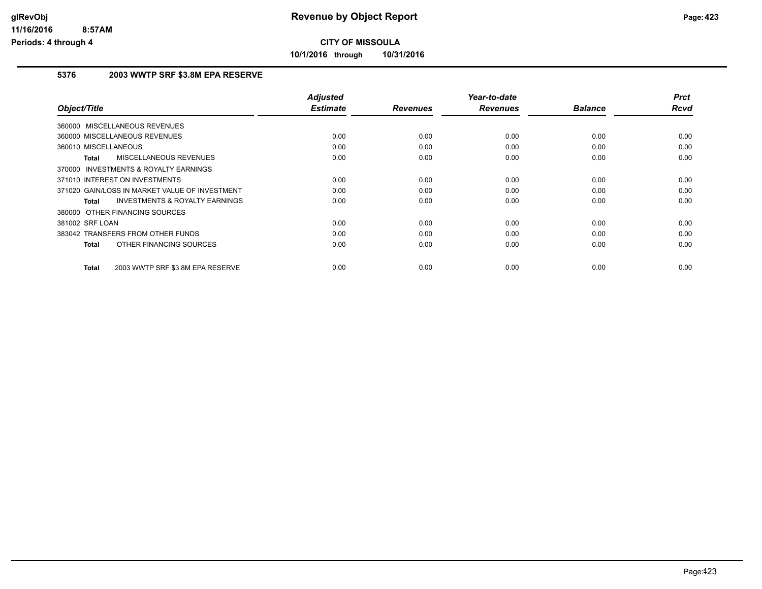**10/1/2016 through 10/31/2016**

### **5376 2003 WWTP SRF \$3.8M EPA RESERVE**

| Object/Title                                              | <b>Adjusted</b><br><b>Estimate</b> | <b>Revenues</b> | Year-to-date<br><b>Revenues</b> | <b>Balance</b> | <b>Prct</b><br>Rcvd |
|-----------------------------------------------------------|------------------------------------|-----------------|---------------------------------|----------------|---------------------|
|                                                           |                                    |                 |                                 |                |                     |
| 360000 MISCELLANEOUS REVENUES                             |                                    |                 |                                 |                |                     |
| 360000 MISCELLANEOUS REVENUES                             | 0.00                               | 0.00            | 0.00                            | 0.00           | 0.00                |
| 360010 MISCELLANEOUS                                      | 0.00                               | 0.00            | 0.00                            | 0.00           | 0.00                |
| MISCELLANEOUS REVENUES<br><b>Total</b>                    | 0.00                               | 0.00            | 0.00                            | 0.00           | 0.00                |
| <b>INVESTMENTS &amp; ROYALTY EARNINGS</b><br>370000       |                                    |                 |                                 |                |                     |
| 371010 INTEREST ON INVESTMENTS                            | 0.00                               | 0.00            | 0.00                            | 0.00           | 0.00                |
| 371020 GAIN/LOSS IN MARKET VALUE OF INVESTMENT            | 0.00                               | 0.00            | 0.00                            | 0.00           | 0.00                |
| <b>INVESTMENTS &amp; ROYALTY EARNINGS</b><br><b>Total</b> | 0.00                               | 0.00            | 0.00                            | 0.00           | 0.00                |
| 380000 OTHER FINANCING SOURCES                            |                                    |                 |                                 |                |                     |
| 381002 SRF LOAN                                           | 0.00                               | 0.00            | 0.00                            | 0.00           | 0.00                |
| 383042 TRANSFERS FROM OTHER FUNDS                         | 0.00                               | 0.00            | 0.00                            | 0.00           | 0.00                |
| OTHER FINANCING SOURCES<br><b>Total</b>                   | 0.00                               | 0.00            | 0.00                            | 0.00           | 0.00                |
|                                                           |                                    |                 |                                 |                |                     |
| 2003 WWTP SRF \$3.8M EPA RESERVE<br><b>Total</b>          | 0.00                               | 0.00            | 0.00                            | 0.00           | 0.00                |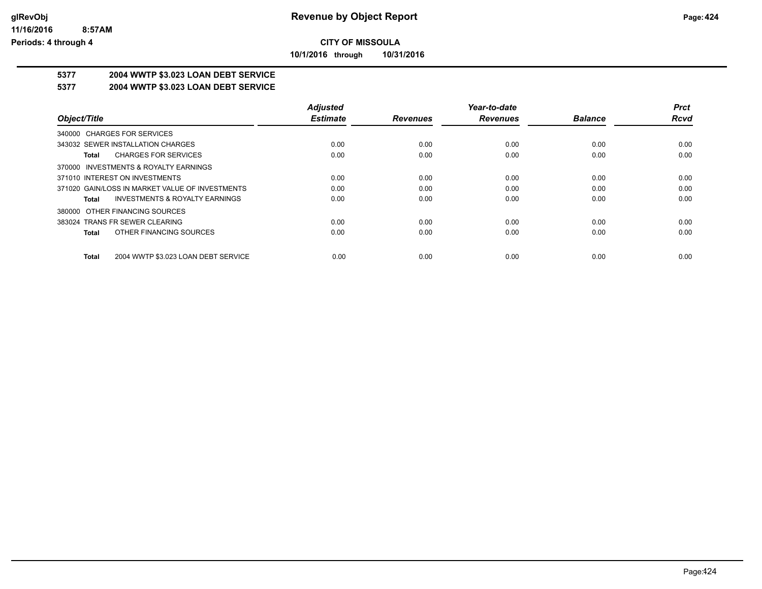**10/1/2016 through 10/31/2016**

# **5377 2004 WWTP \$3.023 LOAN DEBT SERVICE**

# **5377 2004 WWTP \$3.023 LOAN DEBT SERVICE**

|                                                    | <b>Adjusted</b> |                 | Year-to-date    |                | <b>Prct</b> |
|----------------------------------------------------|-----------------|-----------------|-----------------|----------------|-------------|
| Object/Title                                       | <b>Estimate</b> | <b>Revenues</b> | <b>Revenues</b> | <b>Balance</b> | <b>Rcvd</b> |
| 340000 CHARGES FOR SERVICES                        |                 |                 |                 |                |             |
| 343032 SEWER INSTALLATION CHARGES                  | 0.00            | 0.00            | 0.00            | 0.00           | 0.00        |
| <b>CHARGES FOR SERVICES</b><br>Total               | 0.00            | 0.00            | 0.00            | 0.00           | 0.00        |
| 370000 INVESTMENTS & ROYALTY EARNINGS              |                 |                 |                 |                |             |
| 371010 INTEREST ON INVESTMENTS                     | 0.00            | 0.00            | 0.00            | 0.00           | 0.00        |
| 371020 GAIN/LOSS IN MARKET VALUE OF INVESTMENTS    | 0.00            | 0.00            | 0.00            | 0.00           | 0.00        |
| <b>INVESTMENTS &amp; ROYALTY EARNINGS</b><br>Total | 0.00            | 0.00            | 0.00            | 0.00           | 0.00        |
| 380000 OTHER FINANCING SOURCES                     |                 |                 |                 |                |             |
| 383024 TRANS FR SEWER CLEARING                     | 0.00            | 0.00            | 0.00            | 0.00           | 0.00        |
| OTHER FINANCING SOURCES<br><b>Total</b>            | 0.00            | 0.00            | 0.00            | 0.00           | 0.00        |
| 2004 WWTP \$3.023 LOAN DEBT SERVICE<br>Total       | 0.00            | 0.00            | 0.00            | 0.00           | 0.00        |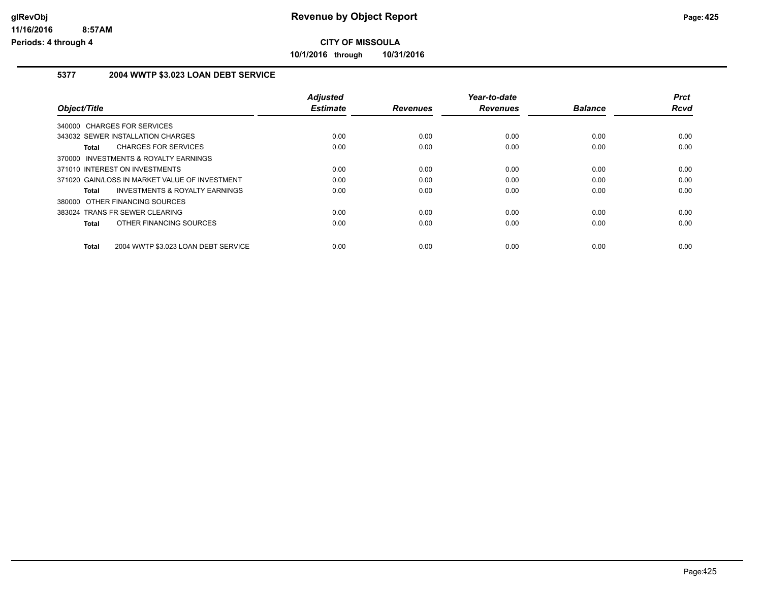**10/1/2016 through 10/31/2016**

### **5377 2004 WWTP \$3.023 LOAN DEBT SERVICE**

| Object/Title                                              | <b>Adjusted</b><br><b>Estimate</b> | <b>Revenues</b> | Year-to-date<br><b>Revenues</b> | <b>Balance</b> | <b>Prct</b><br><b>Rcvd</b> |
|-----------------------------------------------------------|------------------------------------|-----------------|---------------------------------|----------------|----------------------------|
| 340000 CHARGES FOR SERVICES                               |                                    |                 |                                 |                |                            |
| 343032 SEWER INSTALLATION CHARGES                         | 0.00                               | 0.00            | 0.00                            | 0.00           | 0.00                       |
| <b>CHARGES FOR SERVICES</b><br><b>Total</b>               | 0.00                               | 0.00            | 0.00                            | 0.00           | 0.00                       |
| 370000 INVESTMENTS & ROYALTY EARNINGS                     |                                    |                 |                                 |                |                            |
| 371010 INTEREST ON INVESTMENTS                            | 0.00                               | 0.00            | 0.00                            | 0.00           | 0.00                       |
| 371020 GAIN/LOSS IN MARKET VALUE OF INVESTMENT            | 0.00                               | 0.00            | 0.00                            | 0.00           | 0.00                       |
| <b>INVESTMENTS &amp; ROYALTY EARNINGS</b><br><b>Total</b> | 0.00                               | 0.00            | 0.00                            | 0.00           | 0.00                       |
| 380000 OTHER FINANCING SOURCES                            |                                    |                 |                                 |                |                            |
| 383024 TRANS FR SEWER CLEARING                            | 0.00                               | 0.00            | 0.00                            | 0.00           | 0.00                       |
| OTHER FINANCING SOURCES<br><b>Total</b>                   | 0.00                               | 0.00            | 0.00                            | 0.00           | 0.00                       |
| <b>Total</b><br>2004 WWTP \$3.023 LOAN DEBT SERVICE       | 0.00                               | 0.00            | 0.00                            | 0.00           | 0.00                       |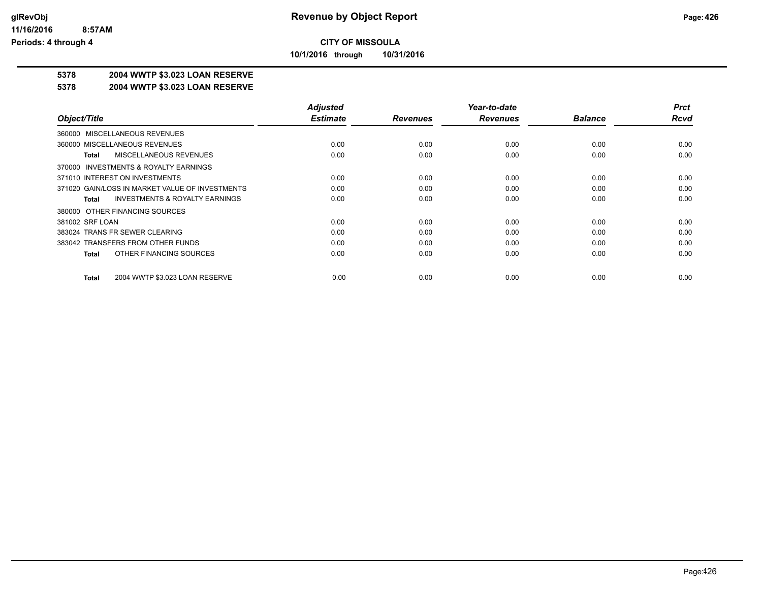**10/1/2016 through 10/31/2016**

## **5378 2004 WWTP \$3.023 LOAN RESERVE**

#### **5378 2004 WWTP \$3.023 LOAN RESERVE**

|                                                    | <b>Adjusted</b> |                 | Year-to-date    |                | <b>Prct</b> |
|----------------------------------------------------|-----------------|-----------------|-----------------|----------------|-------------|
| Object/Title                                       | <b>Estimate</b> | <b>Revenues</b> | <b>Revenues</b> | <b>Balance</b> | Rcvd        |
| 360000 MISCELLANEOUS REVENUES                      |                 |                 |                 |                |             |
| 360000 MISCELLANEOUS REVENUES                      | 0.00            | 0.00            | 0.00            | 0.00           | 0.00        |
| MISCELLANEOUS REVENUES<br>Total                    | 0.00            | 0.00            | 0.00            | 0.00           | 0.00        |
| 370000 INVESTMENTS & ROYALTY EARNINGS              |                 |                 |                 |                |             |
| 371010 INTEREST ON INVESTMENTS                     | 0.00            | 0.00            | 0.00            | 0.00           | 0.00        |
| 371020 GAIN/LOSS IN MARKET VALUE OF INVESTMENTS    | 0.00            | 0.00            | 0.00            | 0.00           | 0.00        |
| <b>INVESTMENTS &amp; ROYALTY EARNINGS</b><br>Total | 0.00            | 0.00            | 0.00            | 0.00           | 0.00        |
| 380000 OTHER FINANCING SOURCES                     |                 |                 |                 |                |             |
| 381002 SRF LOAN                                    | 0.00            | 0.00            | 0.00            | 0.00           | 0.00        |
| 383024 TRANS FR SEWER CLEARING                     | 0.00            | 0.00            | 0.00            | 0.00           | 0.00        |
| 383042 TRANSFERS FROM OTHER FUNDS                  | 0.00            | 0.00            | 0.00            | 0.00           | 0.00        |
| OTHER FINANCING SOURCES<br>Total                   | 0.00            | 0.00            | 0.00            | 0.00           | 0.00        |
|                                                    |                 |                 |                 |                |             |
| 2004 WWTP \$3.023 LOAN RESERVE<br>Total            | 0.00            | 0.00            | 0.00            | 0.00           | 0.00        |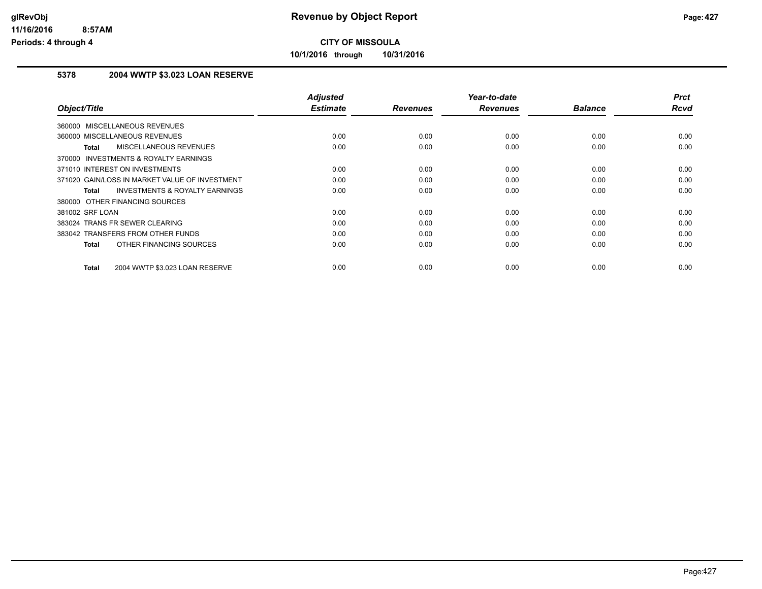**10/1/2016 through 10/31/2016**

### **5378 2004 WWTP \$3.023 LOAN RESERVE**

| Object/Title                                              | <b>Adjusted</b><br><b>Estimate</b> | <b>Revenues</b> | Year-to-date<br><b>Revenues</b> | <b>Balance</b> | <b>Prct</b><br>Rcvd |
|-----------------------------------------------------------|------------------------------------|-----------------|---------------------------------|----------------|---------------------|
| MISCELLANEOUS REVENUES<br>360000                          |                                    |                 |                                 |                |                     |
| 360000 MISCELLANEOUS REVENUES                             | 0.00                               | 0.00            | 0.00                            | 0.00           | 0.00                |
| MISCELLANEOUS REVENUES<br><b>Total</b>                    | 0.00                               | 0.00            | 0.00                            | 0.00           | 0.00                |
| INVESTMENTS & ROYALTY EARNINGS<br>370000                  |                                    |                 |                                 |                |                     |
| 371010 INTEREST ON INVESTMENTS                            | 0.00                               | 0.00            | 0.00                            | 0.00           | 0.00                |
| 371020 GAIN/LOSS IN MARKET VALUE OF INVESTMENT            | 0.00                               | 0.00            | 0.00                            | 0.00           | 0.00                |
| <b>INVESTMENTS &amp; ROYALTY EARNINGS</b><br><b>Total</b> | 0.00                               | 0.00            | 0.00                            | 0.00           | 0.00                |
| 380000 OTHER FINANCING SOURCES                            |                                    |                 |                                 |                |                     |
| 381002 SRF LOAN                                           | 0.00                               | 0.00            | 0.00                            | 0.00           | 0.00                |
| 383024 TRANS FR SEWER CLEARING                            | 0.00                               | 0.00            | 0.00                            | 0.00           | 0.00                |
| 383042 TRANSFERS FROM OTHER FUNDS                         | 0.00                               | 0.00            | 0.00                            | 0.00           | 0.00                |
| OTHER FINANCING SOURCES<br><b>Total</b>                   | 0.00                               | 0.00            | 0.00                            | 0.00           | 0.00                |
|                                                           |                                    |                 |                                 |                |                     |
| 2004 WWTP \$3.023 LOAN RESERVE<br><b>Total</b>            | 0.00                               | 0.00            | 0.00                            | 0.00           | 0.00                |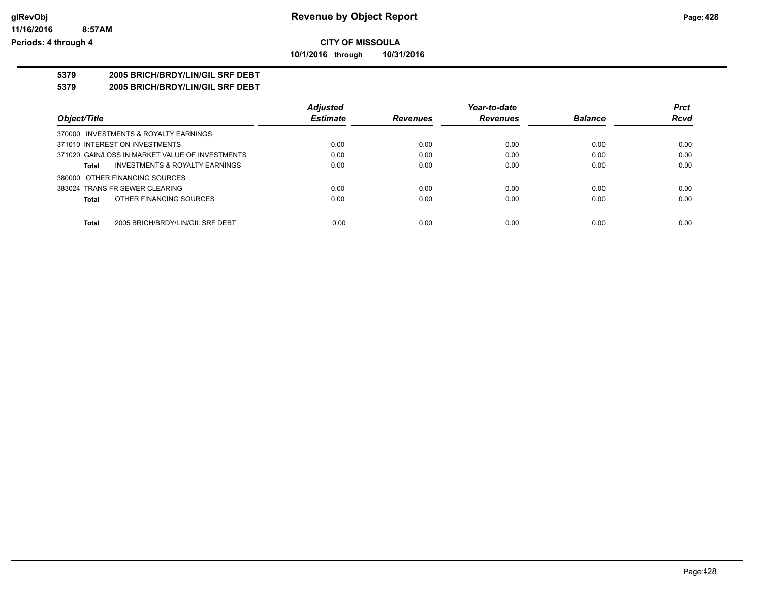**10/1/2016 through 10/31/2016**

# **5379 2005 BRICH/BRDY/LIN/GIL SRF DEBT**

**5379 2005 BRICH/BRDY/LIN/GIL SRF DEBT**

|                                                 | <b>Adjusted</b> |                 | Year-to-date    |                | <b>Prct</b> |
|-------------------------------------------------|-----------------|-----------------|-----------------|----------------|-------------|
| Object/Title                                    | <b>Estimate</b> | <b>Revenues</b> | <b>Revenues</b> | <b>Balance</b> | <b>Rcvd</b> |
| 370000 INVESTMENTS & ROYALTY EARNINGS           |                 |                 |                 |                |             |
| 371010 INTEREST ON INVESTMENTS                  | 0.00            | 0.00            | 0.00            | 0.00           | 0.00        |
| 371020 GAIN/LOSS IN MARKET VALUE OF INVESTMENTS | 0.00            | 0.00            | 0.00            | 0.00           | 0.00        |
| INVESTMENTS & ROYALTY EARNINGS<br><b>Total</b>  | 0.00            | 0.00            | 0.00            | 0.00           | 0.00        |
| 380000 OTHER FINANCING SOURCES                  |                 |                 |                 |                |             |
| 383024 TRANS FR SEWER CLEARING                  | 0.00            | 0.00            | 0.00            | 0.00           | 0.00        |
| OTHER FINANCING SOURCES<br><b>Total</b>         | 0.00            | 0.00            | 0.00            | 0.00           | 0.00        |
| 2005 BRICH/BRDY/LIN/GIL SRF DEBT                | 0.00            | 0.00            | 0.00            | 0.00           | 0.00        |
| <b>Total</b>                                    |                 |                 |                 |                |             |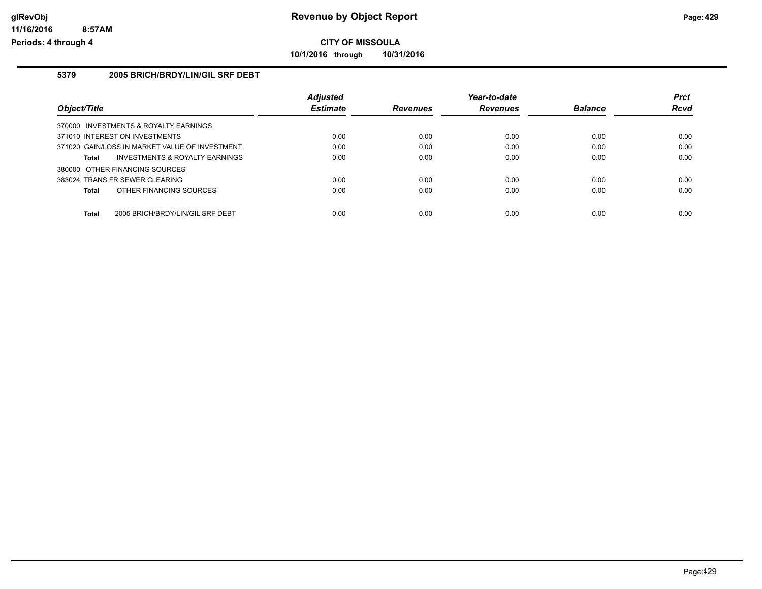**10/1/2016 through 10/31/2016**

### **5379 2005 BRICH/BRDY/LIN/GIL SRF DEBT**

|                                                | <b>Adjusted</b> |                 | Year-to-date    |                | <b>Prct</b> |
|------------------------------------------------|-----------------|-----------------|-----------------|----------------|-------------|
| Object/Title                                   | <b>Estimate</b> | <b>Revenues</b> | <b>Revenues</b> | <b>Balance</b> | <b>Rcvd</b> |
| 370000 INVESTMENTS & ROYALTY EARNINGS          |                 |                 |                 |                |             |
| 371010 INTEREST ON INVESTMENTS                 | 0.00            | 0.00            | 0.00            | 0.00           | 0.00        |
| 371020 GAIN/LOSS IN MARKET VALUE OF INVESTMENT | 0.00            | 0.00            | 0.00            | 0.00           | 0.00        |
| INVESTMENTS & ROYALTY EARNINGS<br>Total        | 0.00            | 0.00            | 0.00            | 0.00           | 0.00        |
| 380000 OTHER FINANCING SOURCES                 |                 |                 |                 |                |             |
| 383024 TRANS FR SEWER CLEARING                 | 0.00            | 0.00            | 0.00            | 0.00           | 0.00        |
| OTHER FINANCING SOURCES<br>Total               | 0.00            | 0.00            | 0.00            | 0.00           | 0.00        |
| Total<br>2005 BRICH/BRDY/LIN/GIL SRF DEBT      | 0.00            | 0.00            | 0.00            | 0.00           | 0.00        |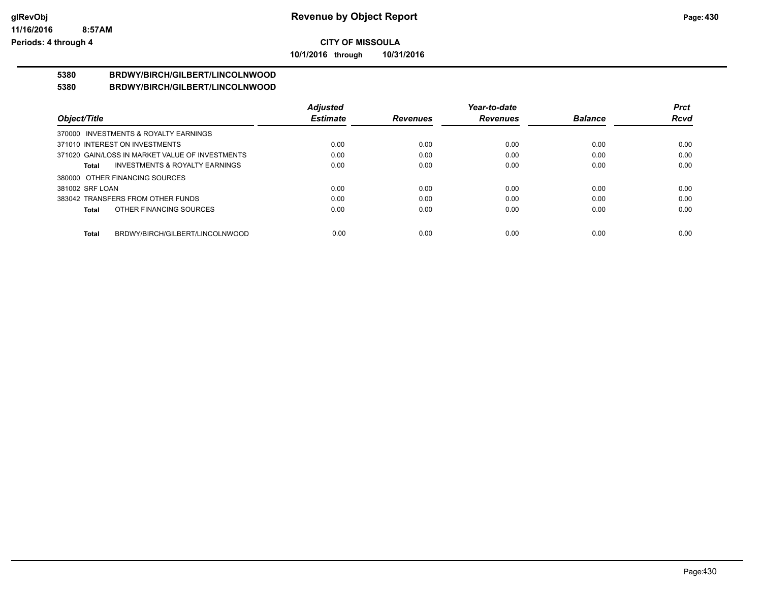**10/1/2016 through 10/31/2016**

#### **5380 BRDWY/BIRCH/GILBERT/LINCOLNWOOD 5380 BRDWY/BIRCH/GILBERT/LINCOLNWOOD**

|                                                    | <b>Adjusted</b> |                 | Year-to-date    |                | <b>Prct</b> |
|----------------------------------------------------|-----------------|-----------------|-----------------|----------------|-------------|
| Object/Title                                       | <b>Estimate</b> | <b>Revenues</b> | <b>Revenues</b> | <b>Balance</b> | <b>Rcvd</b> |
| 370000 INVESTMENTS & ROYALTY EARNINGS              |                 |                 |                 |                |             |
| 371010 INTEREST ON INVESTMENTS                     | 0.00            | 0.00            | 0.00            | 0.00           | 0.00        |
| 371020 GAIN/LOSS IN MARKET VALUE OF INVESTMENTS    | 0.00            | 0.00            | 0.00            | 0.00           | 0.00        |
| <b>INVESTMENTS &amp; ROYALTY EARNINGS</b><br>Total | 0.00            | 0.00            | 0.00            | 0.00           | 0.00        |
| 380000 OTHER FINANCING SOURCES                     |                 |                 |                 |                |             |
| 381002 SRF LOAN                                    | 0.00            | 0.00            | 0.00            | 0.00           | 0.00        |
| 383042 TRANSFERS FROM OTHER FUNDS                  | 0.00            | 0.00            | 0.00            | 0.00           | 0.00        |
| OTHER FINANCING SOURCES<br><b>Total</b>            | 0.00            | 0.00            | 0.00            | 0.00           | 0.00        |
|                                                    |                 |                 |                 |                |             |
| BRDWY/BIRCH/GILBERT/LINCOLNWOOD<br>Total           | 0.00            | 0.00            | 0.00            | 0.00           | 0.00        |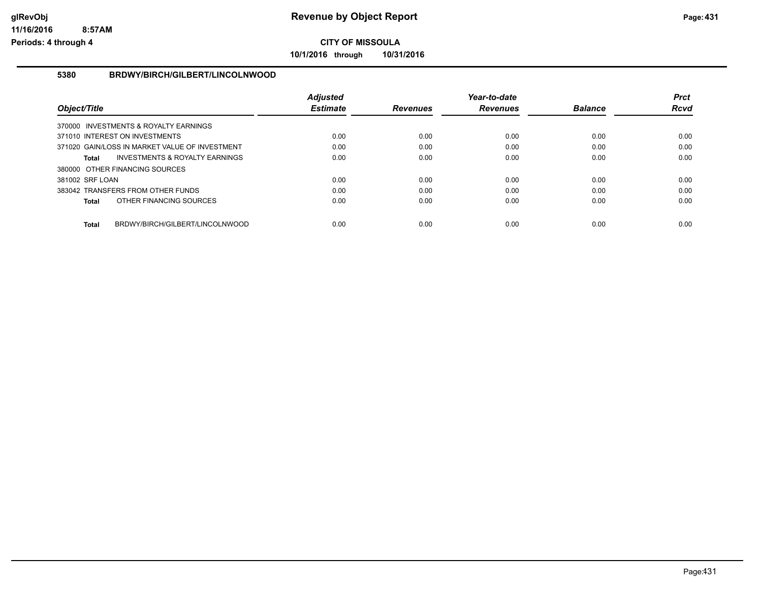**10/1/2016 through 10/31/2016**

### **5380 BRDWY/BIRCH/GILBERT/LINCOLNWOOD**

|                                                 | <b>Adjusted</b> |                 | Year-to-date    |                | <b>Prct</b> |
|-------------------------------------------------|-----------------|-----------------|-----------------|----------------|-------------|
| Object/Title                                    | <b>Estimate</b> | <b>Revenues</b> | <b>Revenues</b> | <b>Balance</b> | Rcvd        |
| 370000 INVESTMENTS & ROYALTY EARNINGS           |                 |                 |                 |                |             |
| 371010 INTEREST ON INVESTMENTS                  | 0.00            | 0.00            | 0.00            | 0.00           | 0.00        |
| 371020 GAIN/LOSS IN MARKET VALUE OF INVESTMENT  | 0.00            | 0.00            | 0.00            | 0.00           | 0.00        |
| INVESTMENTS & ROYALTY EARNINGS<br>Total         | 0.00            | 0.00            | 0.00            | 0.00           | 0.00        |
| 380000 OTHER FINANCING SOURCES                  |                 |                 |                 |                |             |
| 381002 SRF LOAN                                 | 0.00            | 0.00            | 0.00            | 0.00           | 0.00        |
| 383042 TRANSFERS FROM OTHER FUNDS               | 0.00            | 0.00            | 0.00            | 0.00           | 0.00        |
| OTHER FINANCING SOURCES<br><b>Total</b>         | 0.00            | 0.00            | 0.00            | 0.00           | 0.00        |
| BRDWY/BIRCH/GILBERT/LINCOLNWOOD<br><b>Total</b> | 0.00            | 0.00            | 0.00            | 0.00           | 0.00        |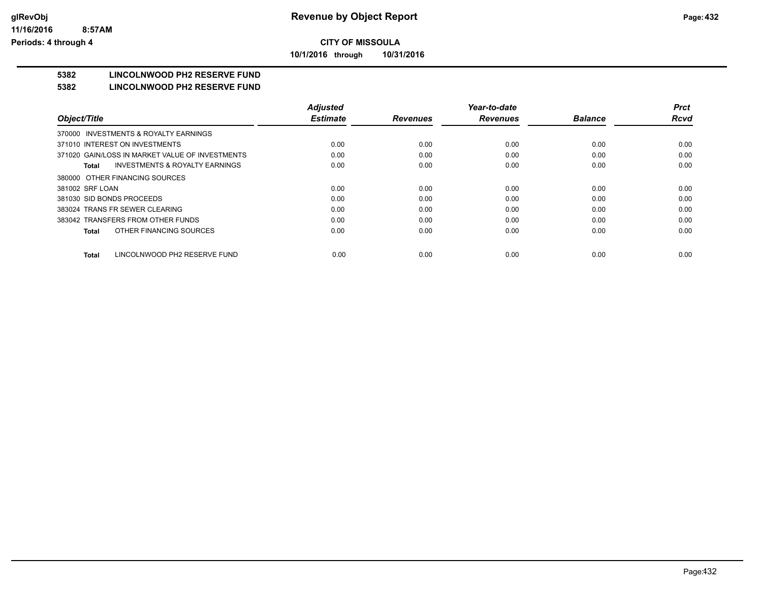**10/1/2016 through 10/31/2016**

# **5382 LINCOLNWOOD PH2 RESERVE FUND**

### **5382 LINCOLNWOOD PH2 RESERVE FUND**

|                                                    | <b>Adiusted</b> |                 | Year-to-date    |                | <b>Prct</b> |
|----------------------------------------------------|-----------------|-----------------|-----------------|----------------|-------------|
| Object/Title                                       | <b>Estimate</b> | <b>Revenues</b> | <b>Revenues</b> | <b>Balance</b> | <b>Rcvd</b> |
| INVESTMENTS & ROYALTY EARNINGS<br>370000           |                 |                 |                 |                |             |
| 371010 INTEREST ON INVESTMENTS                     | 0.00            | 0.00            | 0.00            | 0.00           | 0.00        |
| 371020 GAIN/LOSS IN MARKET VALUE OF INVESTMENTS    | 0.00            | 0.00            | 0.00            | 0.00           | 0.00        |
| <b>INVESTMENTS &amp; ROYALTY EARNINGS</b><br>Total | 0.00            | 0.00            | 0.00            | 0.00           | 0.00        |
| 380000 OTHER FINANCING SOURCES                     |                 |                 |                 |                |             |
| 381002 SRF LOAN                                    | 0.00            | 0.00            | 0.00            | 0.00           | 0.00        |
| 381030 SID BONDS PROCEEDS                          | 0.00            | 0.00            | 0.00            | 0.00           | 0.00        |
| 383024 TRANS FR SEWER CLEARING                     | 0.00            | 0.00            | 0.00            | 0.00           | 0.00        |
| 383042 TRANSFERS FROM OTHER FUNDS                  | 0.00            | 0.00            | 0.00            | 0.00           | 0.00        |
| OTHER FINANCING SOURCES<br>Total                   | 0.00            | 0.00            | 0.00            | 0.00           | 0.00        |
| LINCOLNWOOD PH2 RESERVE FUND<br><b>Total</b>       | 0.00            | 0.00            | 0.00            | 0.00           | 0.00        |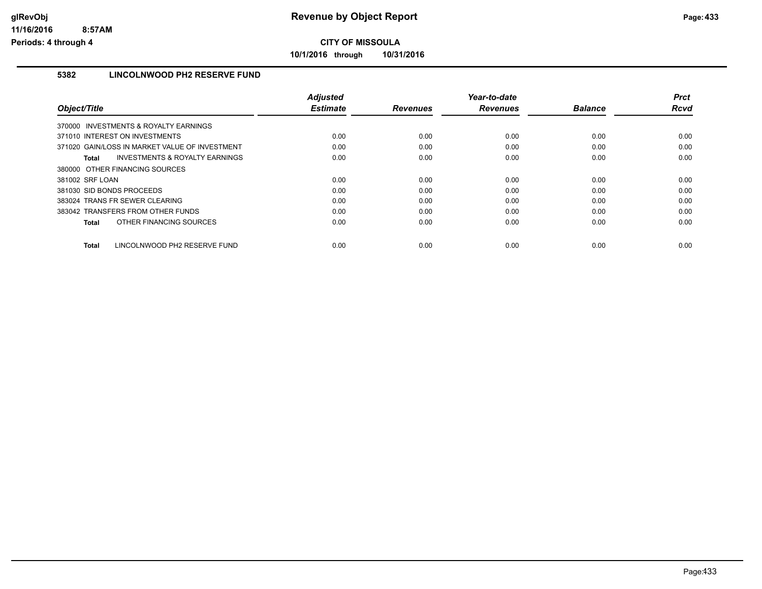**10/1/2016 through 10/31/2016**

#### **5382 LINCOLNWOOD PH2 RESERVE FUND**

|                                                    | <b>Adjusted</b> |                 | Year-to-date    |                | <b>Prct</b> |
|----------------------------------------------------|-----------------|-----------------|-----------------|----------------|-------------|
| Object/Title                                       | <b>Estimate</b> | <b>Revenues</b> | <b>Revenues</b> | <b>Balance</b> | Rcvd        |
| 370000 INVESTMENTS & ROYALTY EARNINGS              |                 |                 |                 |                |             |
| 371010 INTEREST ON INVESTMENTS                     | 0.00            | 0.00            | 0.00            | 0.00           | 0.00        |
| 371020 GAIN/LOSS IN MARKET VALUE OF INVESTMENT     | 0.00            | 0.00            | 0.00            | 0.00           | 0.00        |
| <b>INVESTMENTS &amp; ROYALTY EARNINGS</b><br>Total | 0.00            | 0.00            | 0.00            | 0.00           | 0.00        |
| 380000 OTHER FINANCING SOURCES                     |                 |                 |                 |                |             |
| 381002 SRF LOAN                                    | 0.00            | 0.00            | 0.00            | 0.00           | 0.00        |
| 381030 SID BONDS PROCEEDS                          | 0.00            | 0.00            | 0.00            | 0.00           | 0.00        |
| 383024 TRANS FR SEWER CLEARING                     | 0.00            | 0.00            | 0.00            | 0.00           | 0.00        |
| 383042 TRANSFERS FROM OTHER FUNDS                  | 0.00            | 0.00            | 0.00            | 0.00           | 0.00        |
| OTHER FINANCING SOURCES<br>Total                   | 0.00            | 0.00            | 0.00            | 0.00           | 0.00        |
|                                                    |                 |                 |                 |                |             |
| LINCOLNWOOD PH2 RESERVE FUND<br>Total              | 0.00            | 0.00            | 0.00            | 0.00           | 0.00        |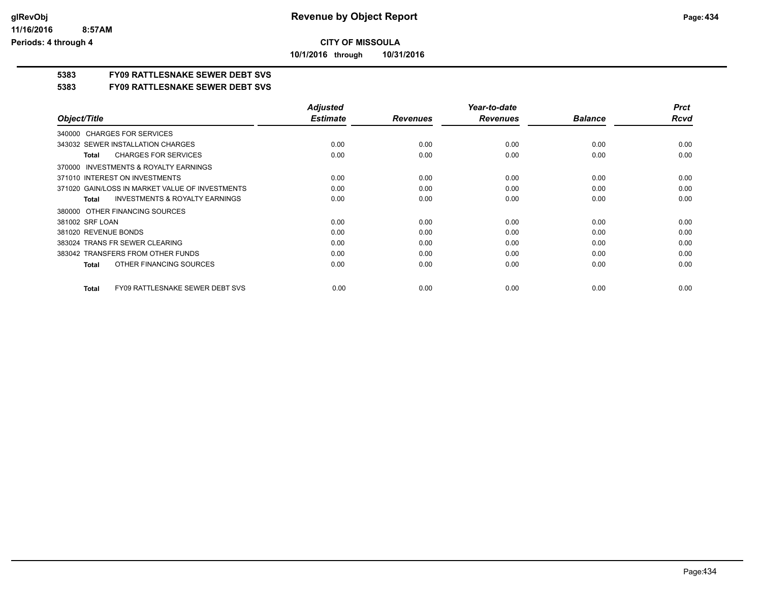**10/1/2016 through 10/31/2016**

#### **5383 FY09 RATTLESNAKE SEWER DEBT SVS**

**5383 FY09 RATTLESNAKE SEWER DEBT SVS**

|                                                           | <b>Adjusted</b> |                 | Year-to-date    |                | <b>Prct</b> |
|-----------------------------------------------------------|-----------------|-----------------|-----------------|----------------|-------------|
| Object/Title                                              | <b>Estimate</b> | <b>Revenues</b> | <b>Revenues</b> | <b>Balance</b> | <b>Rcvd</b> |
| 340000 CHARGES FOR SERVICES                               |                 |                 |                 |                |             |
| 343032 SEWER INSTALLATION CHARGES                         | 0.00            | 0.00            | 0.00            | 0.00           | 0.00        |
| <b>CHARGES FOR SERVICES</b><br><b>Total</b>               | 0.00            | 0.00            | 0.00            | 0.00           | 0.00        |
| <b>INVESTMENTS &amp; ROYALTY EARNINGS</b><br>370000       |                 |                 |                 |                |             |
| 371010 INTEREST ON INVESTMENTS                            | 0.00            | 0.00            | 0.00            | 0.00           | 0.00        |
| 371020 GAIN/LOSS IN MARKET VALUE OF INVESTMENTS           | 0.00            | 0.00            | 0.00            | 0.00           | 0.00        |
| <b>INVESTMENTS &amp; ROYALTY EARNINGS</b><br><b>Total</b> | 0.00            | 0.00            | 0.00            | 0.00           | 0.00        |
| 380000 OTHER FINANCING SOURCES                            |                 |                 |                 |                |             |
| 381002 SRF LOAN                                           | 0.00            | 0.00            | 0.00            | 0.00           | 0.00        |
| 381020 REVENUE BONDS                                      | 0.00            | 0.00            | 0.00            | 0.00           | 0.00        |
| 383024 TRANS FR SEWER CLEARING                            | 0.00            | 0.00            | 0.00            | 0.00           | 0.00        |
| 383042 TRANSFERS FROM OTHER FUNDS                         | 0.00            | 0.00            | 0.00            | 0.00           | 0.00        |
| OTHER FINANCING SOURCES<br><b>Total</b>                   | 0.00            | 0.00            | 0.00            | 0.00           | 0.00        |
| <b>FY09 RATTLESNAKE SEWER DEBT SVS</b><br><b>Total</b>    | 0.00            | 0.00            | 0.00            | 0.00           | 0.00        |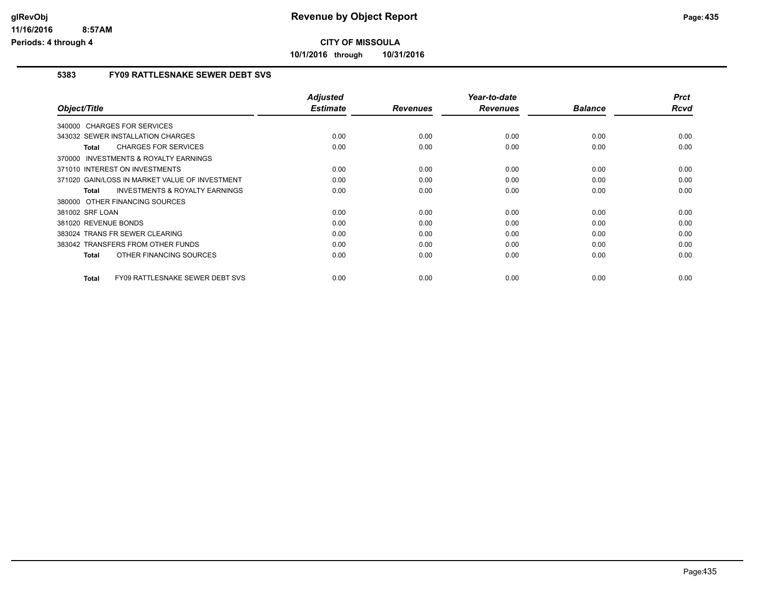**10/1/2016 through 10/31/2016**

#### **5383 FY09 RATTLESNAKE SEWER DEBT SVS**

| Object/Title                                              | <b>Adjusted</b><br><b>Estimate</b> | <b>Revenues</b> | Year-to-date<br><b>Revenues</b> | <b>Balance</b> | <b>Prct</b><br><b>Rcvd</b> |
|-----------------------------------------------------------|------------------------------------|-----------------|---------------------------------|----------------|----------------------------|
|                                                           |                                    |                 |                                 |                |                            |
| 340000 CHARGES FOR SERVICES                               |                                    |                 |                                 |                |                            |
| 343032 SEWER INSTALLATION CHARGES                         | 0.00                               | 0.00            | 0.00                            | 0.00           | 0.00                       |
| <b>CHARGES FOR SERVICES</b><br>Total                      | 0.00                               | 0.00            | 0.00                            | 0.00           | 0.00                       |
| 370000 INVESTMENTS & ROYALTY EARNINGS                     |                                    |                 |                                 |                |                            |
| 371010 INTEREST ON INVESTMENTS                            | 0.00                               | 0.00            | 0.00                            | 0.00           | 0.00                       |
| 371020 GAIN/LOSS IN MARKET VALUE OF INVESTMENT            | 0.00                               | 0.00            | 0.00                            | 0.00           | 0.00                       |
| <b>INVESTMENTS &amp; ROYALTY EARNINGS</b><br><b>Total</b> | 0.00                               | 0.00            | 0.00                            | 0.00           | 0.00                       |
| 380000 OTHER FINANCING SOURCES                            |                                    |                 |                                 |                |                            |
| 381002 SRF LOAN                                           | 0.00                               | 0.00            | 0.00                            | 0.00           | 0.00                       |
| 381020 REVENUE BONDS                                      | 0.00                               | 0.00            | 0.00                            | 0.00           | 0.00                       |
| 383024 TRANS FR SEWER CLEARING                            | 0.00                               | 0.00            | 0.00                            | 0.00           | 0.00                       |
| 383042 TRANSFERS FROM OTHER FUNDS                         | 0.00                               | 0.00            | 0.00                            | 0.00           | 0.00                       |
| OTHER FINANCING SOURCES<br><b>Total</b>                   | 0.00                               | 0.00            | 0.00                            | 0.00           | 0.00                       |
|                                                           |                                    |                 |                                 |                |                            |
| FY09 RATTLESNAKE SEWER DEBT SVS<br><b>Total</b>           | 0.00                               | 0.00            | 0.00                            | 0.00           | 0.00                       |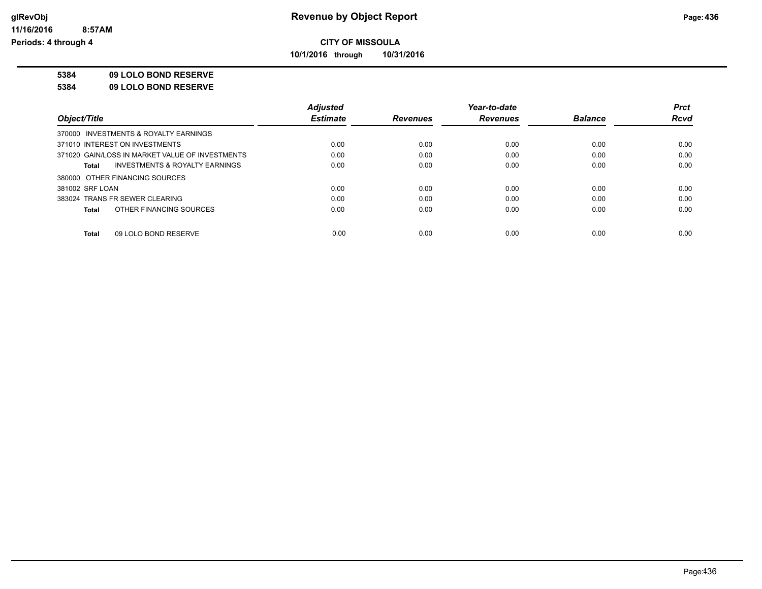**10/1/2016 through 10/31/2016**

#### **5384 09 LOLO BOND RESERVE**

**5384 09 LOLO BOND RESERVE**

|                                                    | <b>Adjusted</b> |                 | Year-to-date    |                | <b>Prct</b> |
|----------------------------------------------------|-----------------|-----------------|-----------------|----------------|-------------|
| Object/Title                                       | <b>Estimate</b> | <b>Revenues</b> | <b>Revenues</b> | <b>Balance</b> | <b>Rcvd</b> |
| 370000 INVESTMENTS & ROYALTY EARNINGS              |                 |                 |                 |                |             |
| 371010 INTEREST ON INVESTMENTS                     | 0.00            | 0.00            | 0.00            | 0.00           | 0.00        |
| 371020 GAIN/LOSS IN MARKET VALUE OF INVESTMENTS    | 0.00            | 0.00            | 0.00            | 0.00           | 0.00        |
| <b>INVESTMENTS &amp; ROYALTY EARNINGS</b><br>Total | 0.00            | 0.00            | 0.00            | 0.00           | 0.00        |
| 380000 OTHER FINANCING SOURCES                     |                 |                 |                 |                |             |
| 381002 SRF LOAN                                    | 0.00            | 0.00            | 0.00            | 0.00           | 0.00        |
| 383024 TRANS FR SEWER CLEARING                     | 0.00            | 0.00            | 0.00            | 0.00           | 0.00        |
| OTHER FINANCING SOURCES<br><b>Total</b>            | 0.00            | 0.00            | 0.00            | 0.00           | 0.00        |
|                                                    |                 |                 |                 |                |             |
| 09 LOLO BOND RESERVE<br><b>Total</b>               | 0.00            | 0.00            | 0.00            | 0.00           | 0.00        |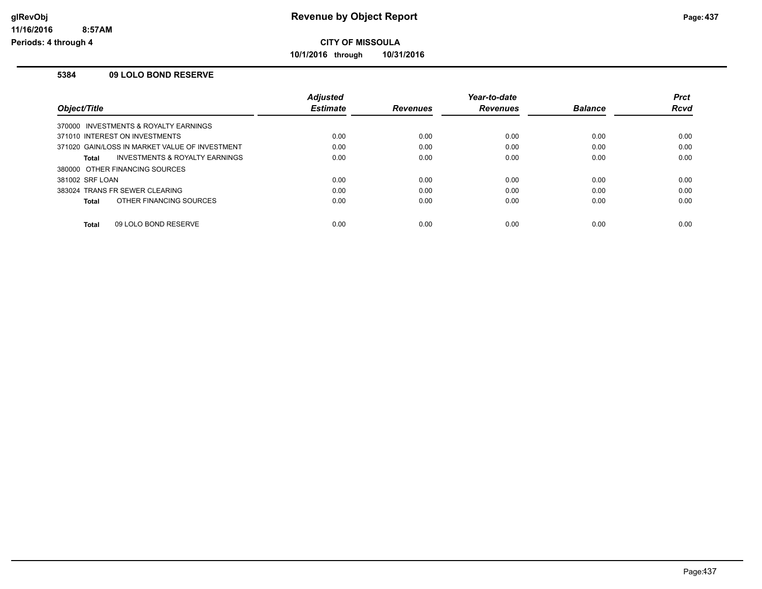**10/1/2016 through 10/31/2016**

#### **5384 09 LOLO BOND RESERVE**

|                                                | <b>Adjusted</b> |                 | Year-to-date    |                | <b>Prct</b> |
|------------------------------------------------|-----------------|-----------------|-----------------|----------------|-------------|
| Object/Title                                   | <b>Estimate</b> | <b>Revenues</b> | <b>Revenues</b> | <b>Balance</b> | Rcvd        |
| 370000 INVESTMENTS & ROYALTY EARNINGS          |                 |                 |                 |                |             |
| 371010 INTEREST ON INVESTMENTS                 | 0.00            | 0.00            | 0.00            | 0.00           | 0.00        |
| 371020 GAIN/LOSS IN MARKET VALUE OF INVESTMENT | 0.00            | 0.00            | 0.00            | 0.00           | 0.00        |
| INVESTMENTS & ROYALTY EARNINGS<br>Total        | 0.00            | 0.00            | 0.00            | 0.00           | 0.00        |
| 380000 OTHER FINANCING SOURCES                 |                 |                 |                 |                |             |
| 381002 SRF LOAN                                | 0.00            | 0.00            | 0.00            | 0.00           | 0.00        |
| 383024 TRANS FR SEWER CLEARING                 | 0.00            | 0.00            | 0.00            | 0.00           | 0.00        |
| OTHER FINANCING SOURCES<br>Total               | 0.00            | 0.00            | 0.00            | 0.00           | 0.00        |
|                                                |                 |                 |                 |                |             |
| 09 LOLO BOND RESERVE<br><b>Total</b>           | 0.00            | 0.00            | 0.00            | 0.00           | 0.00        |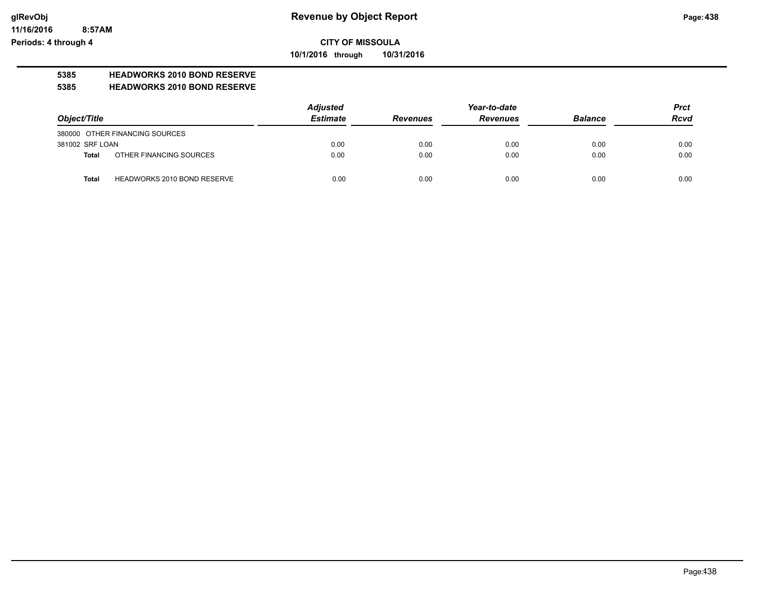**10/1/2016 through 10/31/2016**

# **5385 HEADWORKS 2010 BOND RESERVE**

#### **5385 HEADWORKS 2010 BOND RESERVE**

|                 |                                    | <b>Adjusted</b> | Year-to-date    |                 |                | <b>Prct</b> |
|-----------------|------------------------------------|-----------------|-----------------|-----------------|----------------|-------------|
| Object/Title    |                                    | <b>Estimate</b> | <b>Revenues</b> | <b>Revenues</b> | <b>Balance</b> | <b>Rcvd</b> |
|                 | 380000 OTHER FINANCING SOURCES     |                 |                 |                 |                |             |
| 381002 SRF LOAN |                                    | 0.00            | 0.00            | 0.00            | 0.00           | 0.00        |
| <b>Total</b>    | OTHER FINANCING SOURCES            | 0.00            | 0.00            | 0.00            | 0.00           | 0.00        |
| <b>Total</b>    | <b>HEADWORKS 2010 BOND RESERVE</b> | 0.00            | 0.00            | 0.00            | 0.00           | 0.00        |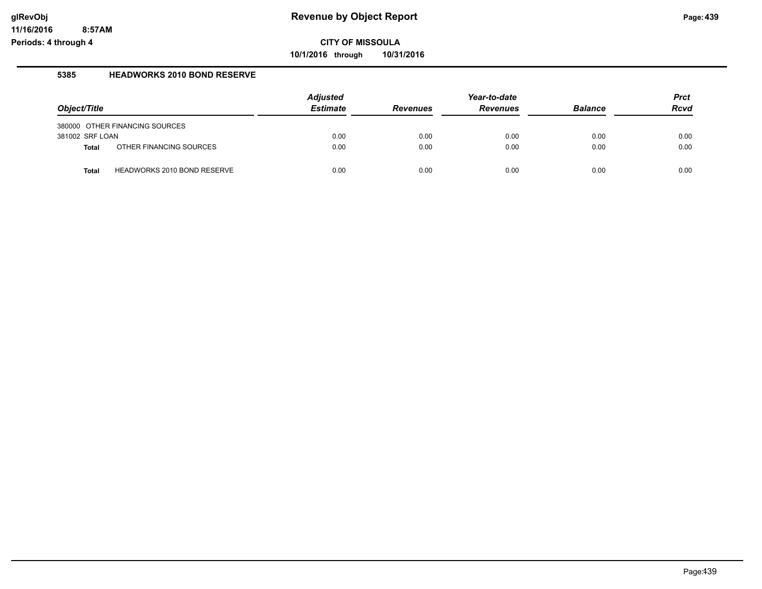**10/1/2016 through 10/31/2016**

#### **5385 HEADWORKS 2010 BOND RESERVE**

| Object/Title    |                                | <b>Adjusted</b><br><b>Estimate</b> | <b>Revenues</b> | Year-to-date<br><b>Revenues</b> | <b>Balance</b> | Prct<br>Rcvd |
|-----------------|--------------------------------|------------------------------------|-----------------|---------------------------------|----------------|--------------|
|                 | 380000 OTHER FINANCING SOURCES |                                    |                 |                                 |                |              |
| 381002 SRF LOAN |                                | 0.00                               | 0.00            | 0.00                            | 0.00           | 0.00         |
| <b>Total</b>    | OTHER FINANCING SOURCES        | 0.00                               | 0.00            | 0.00                            | 0.00           | 0.00         |
| <b>Total</b>    | HEADWORKS 2010 BOND RESERVE    | 0.00                               | 0.00            | 0.00                            | 0.00           | 0.00         |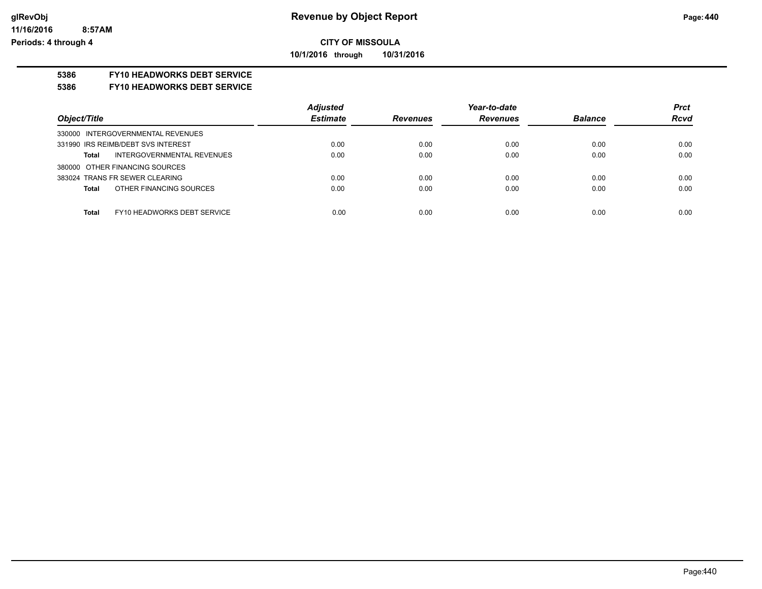**10/1/2016 through 10/31/2016**

#### **5386 FY10 HEADWORKS DEBT SERVICE**

#### **5386 FY10 HEADWORKS DEBT SERVICE**

|                                             | <b>Adjusted</b> |                 | Year-to-date    |                | <b>Prct</b> |
|---------------------------------------------|-----------------|-----------------|-----------------|----------------|-------------|
| Object/Title                                | <b>Estimate</b> | <b>Revenues</b> | <b>Revenues</b> | <b>Balance</b> | <b>Rcvd</b> |
| 330000 INTERGOVERNMENTAL REVENUES           |                 |                 |                 |                |             |
| 331990 IRS REIMB/DEBT SVS INTEREST          | 0.00            | 0.00            | 0.00            | 0.00           | 0.00        |
| INTERGOVERNMENTAL REVENUES<br><b>Total</b>  | 0.00            | 0.00            | 0.00            | 0.00           | 0.00        |
| 380000 OTHER FINANCING SOURCES              |                 |                 |                 |                |             |
| 383024 TRANS FR SEWER CLEARING              | 0.00            | 0.00            | 0.00            | 0.00           | 0.00        |
| OTHER FINANCING SOURCES<br><b>Total</b>     | 0.00            | 0.00            | 0.00            | 0.00           | 0.00        |
|                                             |                 |                 |                 |                |             |
| FY10 HEADWORKS DEBT SERVICE<br><b>Total</b> | 0.00            | 0.00            | 0.00            | 0.00           | 0.00        |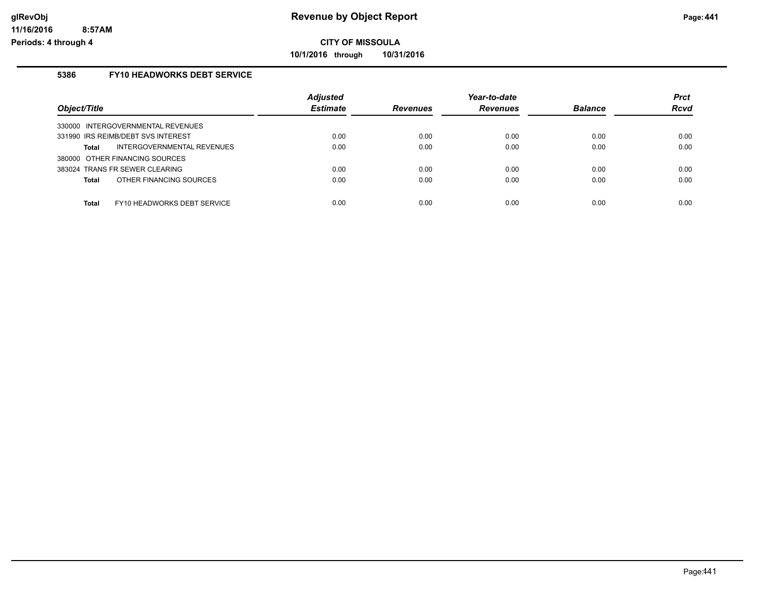**10/1/2016 through 10/31/2016**

#### **5386 FY10 HEADWORKS DEBT SERVICE**

| Object/Title                            | <b>Adjusted</b><br><b>Estimate</b> | <b>Revenues</b> | Year-to-date<br><b>Revenues</b> | <b>Balance</b> | <b>Prct</b><br><b>Rcvd</b> |
|-----------------------------------------|------------------------------------|-----------------|---------------------------------|----------------|----------------------------|
| 330000 INTERGOVERNMENTAL REVENUES       |                                    |                 |                                 |                |                            |
| 331990 IRS REIMB/DEBT SVS INTEREST      | 0.00                               | 0.00            | 0.00                            | 0.00           | 0.00                       |
| INTERGOVERNMENTAL REVENUES<br>Total     | 0.00                               | 0.00            | 0.00                            | 0.00           | 0.00                       |
| 380000 OTHER FINANCING SOURCES          |                                    |                 |                                 |                |                            |
| 383024 TRANS FR SEWER CLEARING          | 0.00                               | 0.00            | 0.00                            | 0.00           | 0.00                       |
| OTHER FINANCING SOURCES<br><b>Total</b> | 0.00                               | 0.00            | 0.00                            | 0.00           | 0.00                       |
| FY10 HEADWORKS DEBT SERVICE<br>Total    | 0.00                               | 0.00            | 0.00                            | 0.00           | 0.00                       |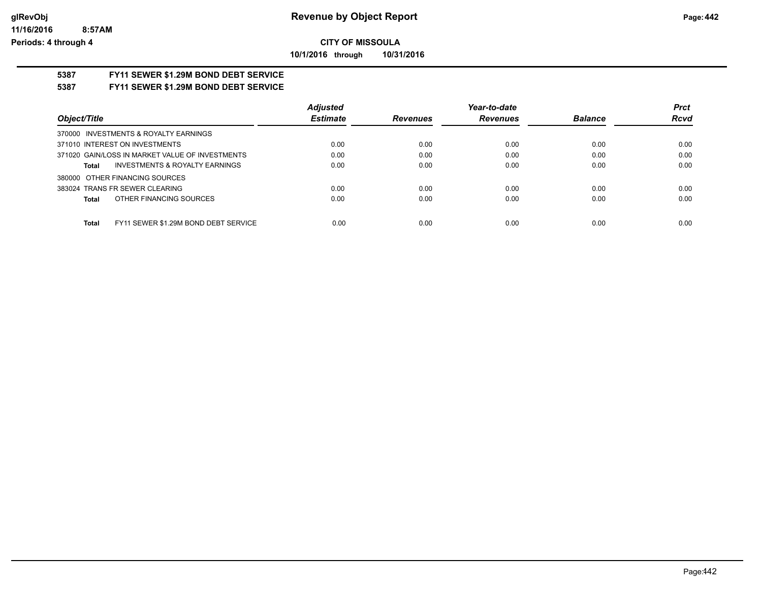**10/1/2016 through 10/31/2016**

# **5387 FY11 SEWER \$1.29M BOND DEBT SERVICE**

# **5387 FY11 SEWER \$1.29M BOND DEBT SERVICE**

|                                                      | <b>Adjusted</b> |                 | Year-to-date    |                | <b>Prct</b> |
|------------------------------------------------------|-----------------|-----------------|-----------------|----------------|-------------|
| Object/Title                                         | <b>Estimate</b> | <b>Revenues</b> | <b>Revenues</b> | <b>Balance</b> | <b>Rcvd</b> |
| 370000 INVESTMENTS & ROYALTY EARNINGS                |                 |                 |                 |                |             |
| 371010 INTEREST ON INVESTMENTS                       | 0.00            | 0.00            | 0.00            | 0.00           | 0.00        |
| 371020 GAIN/LOSS IN MARKET VALUE OF INVESTMENTS      | 0.00            | 0.00            | 0.00            | 0.00           | 0.00        |
| INVESTMENTS & ROYALTY EARNINGS<br>Total              | 0.00            | 0.00            | 0.00            | 0.00           | 0.00        |
| 380000 OTHER FINANCING SOURCES                       |                 |                 |                 |                |             |
| 383024 TRANS FR SEWER CLEARING                       | 0.00            | 0.00            | 0.00            | 0.00           | 0.00        |
| OTHER FINANCING SOURCES<br>Total                     | 0.00            | 0.00            | 0.00            | 0.00           | 0.00        |
|                                                      |                 |                 |                 |                |             |
| FY11 SEWER \$1.29M BOND DEBT SERVICE<br><b>Total</b> | 0.00            | 0.00            | 0.00            | 0.00           | 0.00        |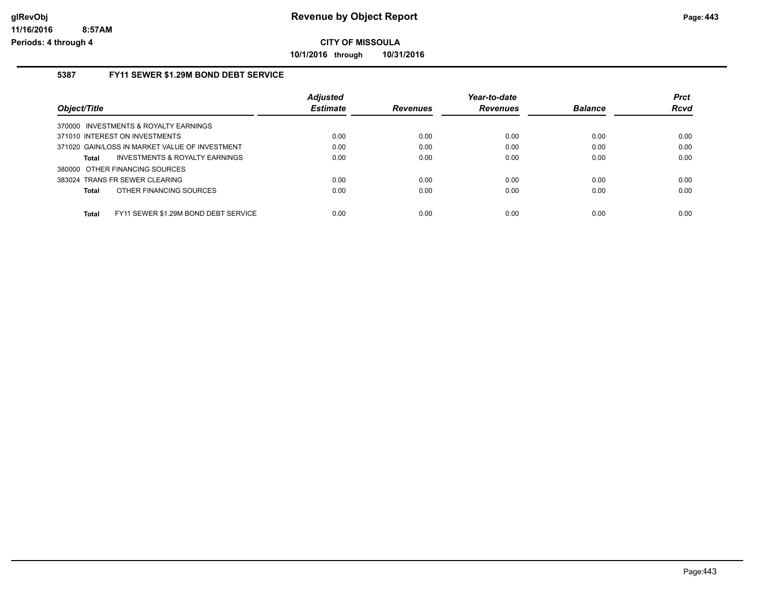**10/1/2016 through 10/31/2016**

#### **5387 FY11 SEWER \$1.29M BOND DEBT SERVICE**

|                                                      | <b>Adjusted</b> |                 | Year-to-date    |                | <b>Prct</b> |
|------------------------------------------------------|-----------------|-----------------|-----------------|----------------|-------------|
| Object/Title                                         | <b>Estimate</b> | <b>Revenues</b> | <b>Revenues</b> | <b>Balance</b> | Rcvd        |
| 370000 INVESTMENTS & ROYALTY EARNINGS                |                 |                 |                 |                |             |
| 371010 INTEREST ON INVESTMENTS                       | 0.00            | 0.00            | 0.00            | 0.00           | 0.00        |
| 371020 GAIN/LOSS IN MARKET VALUE OF INVESTMENT       | 0.00            | 0.00            | 0.00            | 0.00           | 0.00        |
| INVESTMENTS & ROYALTY EARNINGS<br><b>Total</b>       | 0.00            | 0.00            | 0.00            | 0.00           | 0.00        |
| 380000 OTHER FINANCING SOURCES                       |                 |                 |                 |                |             |
| 383024 TRANS FR SEWER CLEARING                       | 0.00            | 0.00            | 0.00            | 0.00           | 0.00        |
| OTHER FINANCING SOURCES<br><b>Total</b>              | 0.00            | 0.00            | 0.00            | 0.00           | 0.00        |
|                                                      |                 |                 |                 |                |             |
| <b>Total</b><br>FY11 SEWER \$1.29M BOND DEBT SERVICE | 0.00            | 0.00            | 0.00            | 0.00           | 0.00        |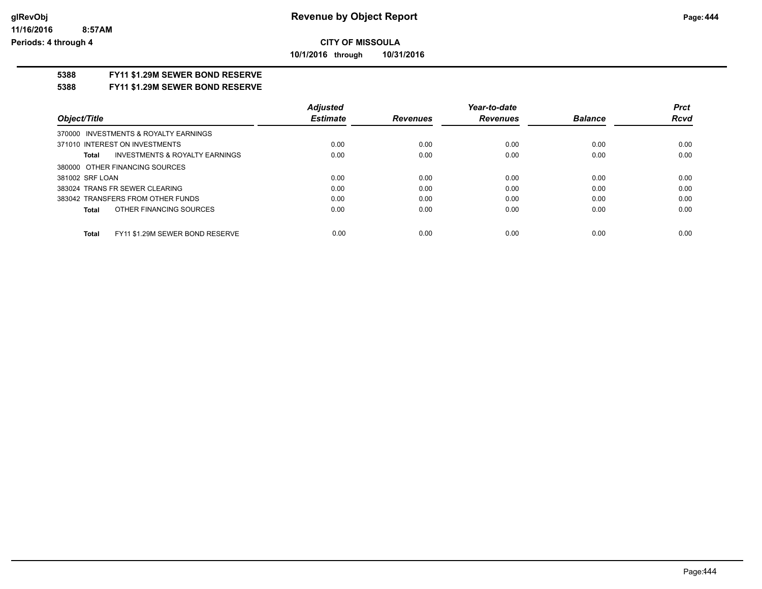**10/1/2016 through 10/31/2016**

#### **5388 FY11 \$1.29M SEWER BOND RESERVE**

**5388 FY11 \$1.29M SEWER BOND RESERVE**

|                 |                                       | <b>Adjusted</b> |                 | Year-to-date    |                | <b>Prct</b> |
|-----------------|---------------------------------------|-----------------|-----------------|-----------------|----------------|-------------|
| Object/Title    |                                       | <b>Estimate</b> | <b>Revenues</b> | <b>Revenues</b> | <b>Balance</b> | <b>Rcvd</b> |
|                 | 370000 INVESTMENTS & ROYALTY EARNINGS |                 |                 |                 |                |             |
|                 | 371010 INTEREST ON INVESTMENTS        | 0.00            | 0.00            | 0.00            | 0.00           | 0.00        |
| Total           | INVESTMENTS & ROYALTY EARNINGS        | 0.00            | 0.00            | 0.00            | 0.00           | 0.00        |
|                 | 380000 OTHER FINANCING SOURCES        |                 |                 |                 |                |             |
| 381002 SRF LOAN |                                       | 0.00            | 0.00            | 0.00            | 0.00           | 0.00        |
|                 | 383024 TRANS FR SEWER CLEARING        | 0.00            | 0.00            | 0.00            | 0.00           | 0.00        |
|                 | 383042 TRANSFERS FROM OTHER FUNDS     | 0.00            | 0.00            | 0.00            | 0.00           | 0.00        |
| Total           | OTHER FINANCING SOURCES               | 0.00            | 0.00            | 0.00            | 0.00           | 0.00        |
| <b>Total</b>    | FY11 \$1.29M SEWER BOND RESERVE       | 0.00            | 0.00            | 0.00            | 0.00           | 0.00        |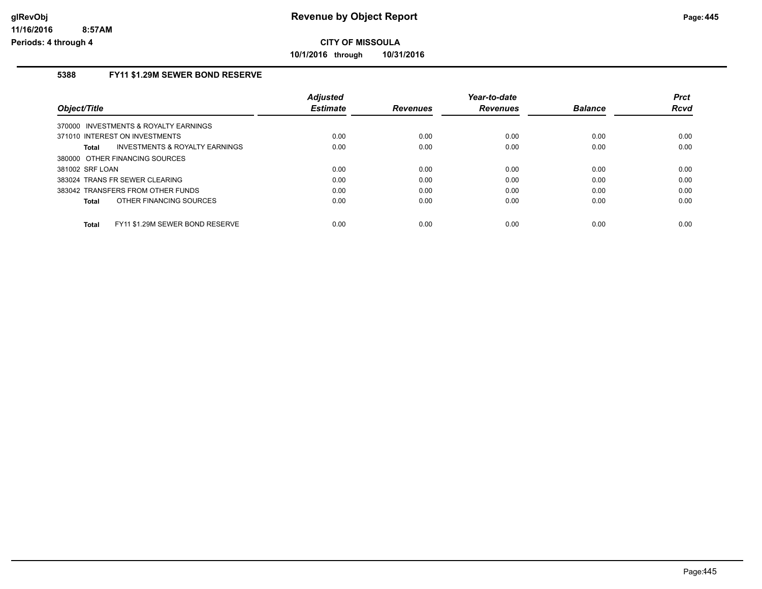**10/1/2016 through 10/31/2016**

#### **5388 FY11 \$1.29M SEWER BOND RESERVE**

|                                                    | <b>Adiusted</b> |                 | Year-to-date    |                | <b>Prct</b> |
|----------------------------------------------------|-----------------|-----------------|-----------------|----------------|-------------|
| Object/Title                                       | <b>Estimate</b> | <b>Revenues</b> | <b>Revenues</b> | <b>Balance</b> | <b>Rcvd</b> |
| 370000 INVESTMENTS & ROYALTY EARNINGS              |                 |                 |                 |                |             |
| 371010 INTEREST ON INVESTMENTS                     | 0.00            | 0.00            | 0.00            | 0.00           | 0.00        |
| <b>INVESTMENTS &amp; ROYALTY EARNINGS</b><br>Total | 0.00            | 0.00            | 0.00            | 0.00           | 0.00        |
| 380000 OTHER FINANCING SOURCES                     |                 |                 |                 |                |             |
| 381002 SRF LOAN                                    | 0.00            | 0.00            | 0.00            | 0.00           | 0.00        |
| 383024 TRANS FR SEWER CLEARING                     | 0.00            | 0.00            | 0.00            | 0.00           | 0.00        |
| 383042 TRANSFERS FROM OTHER FUNDS                  | 0.00            | 0.00            | 0.00            | 0.00           | 0.00        |
| OTHER FINANCING SOURCES<br><b>Total</b>            | 0.00            | 0.00            | 0.00            | 0.00           | 0.00        |
|                                                    |                 |                 |                 |                |             |
| FY11 \$1.29M SEWER BOND RESERVE<br><b>Total</b>    | 0.00            | 0.00            | 0.00            | 0.00           | 0.00        |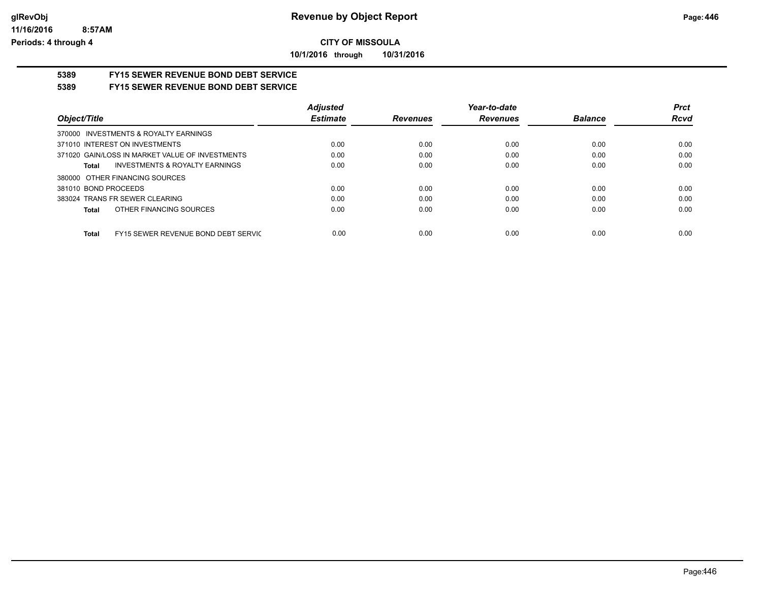**10/1/2016 through 10/31/2016**

#### **5389 FY15 SEWER REVENUE BOND DEBT SERVICE 5389 FY15 SEWER REVENUE BOND DEBT SERVICE**

|                                                     | <b>Adjusted</b> |          | Year-to-date    |                | <b>Prct</b> |
|-----------------------------------------------------|-----------------|----------|-----------------|----------------|-------------|
| Object/Title                                        | <b>Estimate</b> | Revenues | <b>Revenues</b> | <b>Balance</b> | <b>Rcvd</b> |
| 370000 INVESTMENTS & ROYALTY EARNINGS               |                 |          |                 |                |             |
| 371010 INTEREST ON INVESTMENTS                      | 0.00            | 0.00     | 0.00            | 0.00           | 0.00        |
| 371020 GAIN/LOSS IN MARKET VALUE OF INVESTMENTS     | 0.00            | 0.00     | 0.00            | 0.00           | 0.00        |
| <b>INVESTMENTS &amp; ROYALTY EARNINGS</b><br>Total  | 0.00            | 0.00     | 0.00            | 0.00           | 0.00        |
| 380000 OTHER FINANCING SOURCES                      |                 |          |                 |                |             |
| 381010 BOND PROCEEDS                                | 0.00            | 0.00     | 0.00            | 0.00           | 0.00        |
| 383024 TRANS FR SEWER CLEARING                      | 0.00            | 0.00     | 0.00            | 0.00           | 0.00        |
| OTHER FINANCING SOURCES<br>Total                    | 0.00            | 0.00     | 0.00            | 0.00           | 0.00        |
|                                                     |                 |          |                 |                |             |
| FY15 SEWER REVENUE BOND DEBT SERVIC<br><b>Total</b> | 0.00            | 0.00     | 0.00            | 0.00           | 0.00        |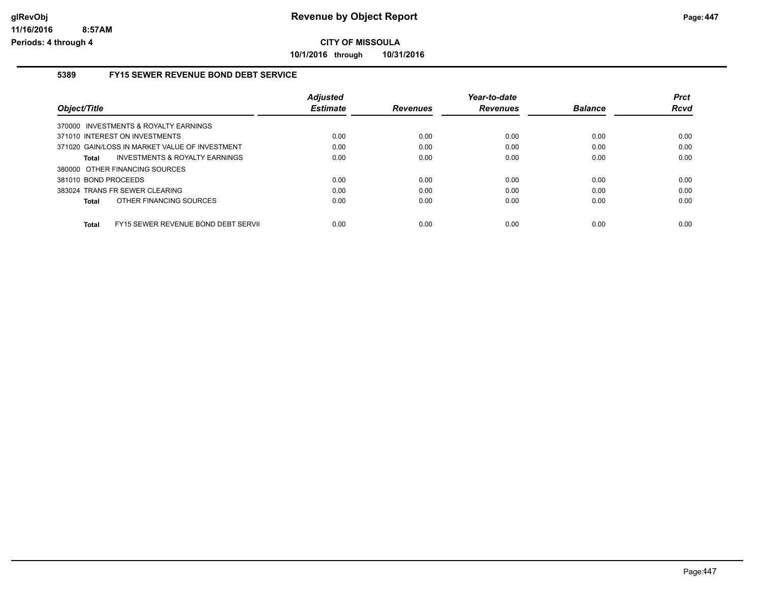**10/1/2016 through 10/31/2016**

#### **5389 FY15 SEWER REVENUE BOND DEBT SERVICE**

|                                                             | <b>Adjusted</b> |                 | Year-to-date    |                | <b>Prct</b> |
|-------------------------------------------------------------|-----------------|-----------------|-----------------|----------------|-------------|
| Object/Title                                                | <b>Estimate</b> | <b>Revenues</b> | <b>Revenues</b> | <b>Balance</b> | Rcvd        |
| 370000 INVESTMENTS & ROYALTY EARNINGS                       |                 |                 |                 |                |             |
| 371010 INTEREST ON INVESTMENTS                              | 0.00            | 0.00            | 0.00            | 0.00           | 0.00        |
| 371020 GAIN/LOSS IN MARKET VALUE OF INVESTMENT              | 0.00            | 0.00            | 0.00            | 0.00           | 0.00        |
| INVESTMENTS & ROYALTY EARNINGS<br>Total                     | 0.00            | 0.00            | 0.00            | 0.00           | 0.00        |
| 380000 OTHER FINANCING SOURCES                              |                 |                 |                 |                |             |
| 381010 BOND PROCEEDS                                        | 0.00            | 0.00            | 0.00            | 0.00           | 0.00        |
| 383024 TRANS FR SEWER CLEARING                              | 0.00            | 0.00            | 0.00            | 0.00           | 0.00        |
| OTHER FINANCING SOURCES<br><b>Total</b>                     | 0.00            | 0.00            | 0.00            | 0.00           | 0.00        |
|                                                             |                 |                 |                 |                |             |
| <b>FY15 SEWER REVENUE BOND DEBT SERVICE</b><br><b>Total</b> | 0.00            | 0.00            | 0.00            | 0.00           | 0.00        |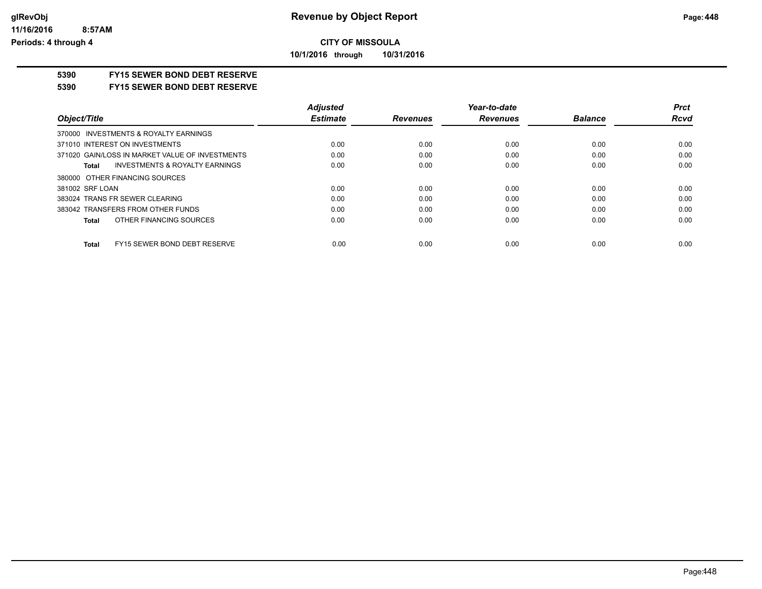**10/1/2016 through 10/31/2016**

#### **5390 FY15 SEWER BOND DEBT RESERVE**

#### **5390 FY15 SEWER BOND DEBT RESERVE**

|                                                    | <b>Adjusted</b> |                 | Year-to-date    |                | <b>Prct</b> |
|----------------------------------------------------|-----------------|-----------------|-----------------|----------------|-------------|
| Object/Title                                       | <b>Estimate</b> | <b>Revenues</b> | <b>Revenues</b> | <b>Balance</b> | <b>Rcvd</b> |
| 370000 INVESTMENTS & ROYALTY EARNINGS              |                 |                 |                 |                |             |
| 371010 INTEREST ON INVESTMENTS                     | 0.00            | 0.00            | 0.00            | 0.00           | 0.00        |
| 371020 GAIN/LOSS IN MARKET VALUE OF INVESTMENTS    | 0.00            | 0.00            | 0.00            | 0.00           | 0.00        |
| <b>INVESTMENTS &amp; ROYALTY EARNINGS</b><br>Total | 0.00            | 0.00            | 0.00            | 0.00           | 0.00        |
| 380000 OTHER FINANCING SOURCES                     |                 |                 |                 |                |             |
| 381002 SRF LOAN                                    | 0.00            | 0.00            | 0.00            | 0.00           | 0.00        |
| 383024 TRANS FR SEWER CLEARING                     | 0.00            | 0.00            | 0.00            | 0.00           | 0.00        |
| 383042 TRANSFERS FROM OTHER FUNDS                  | 0.00            | 0.00            | 0.00            | 0.00           | 0.00        |
| OTHER FINANCING SOURCES<br>Total                   | 0.00            | 0.00            | 0.00            | 0.00           | 0.00        |
|                                                    |                 |                 |                 |                |             |
| FY15 SEWER BOND DEBT RESERVE<br><b>Total</b>       | 0.00            | 0.00            | 0.00            | 0.00           | 0.00        |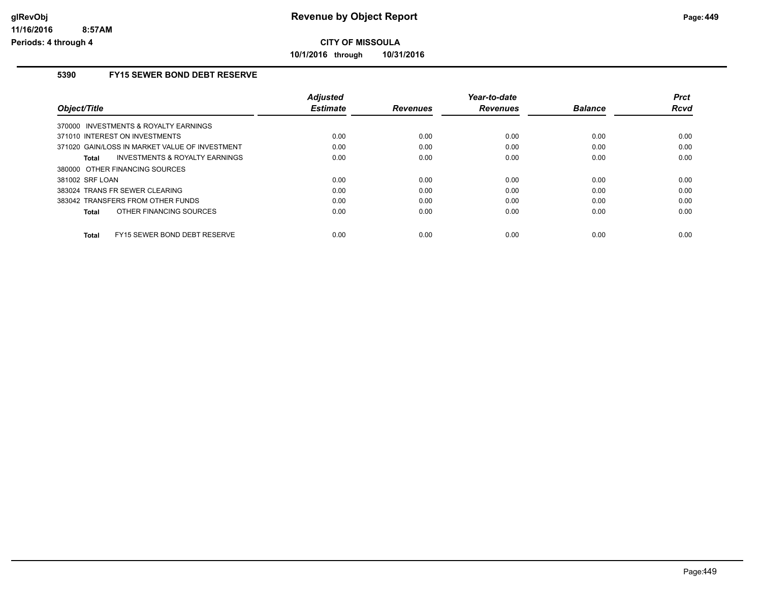**10/1/2016 through 10/31/2016**

#### **5390 FY15 SEWER BOND DEBT RESERVE**

| Object/Title                                       | <b>Adiusted</b><br><b>Estimate</b> | <b>Revenues</b> | Year-to-date<br><b>Revenues</b> | <b>Balance</b> | <b>Prct</b><br><b>Rcvd</b> |
|----------------------------------------------------|------------------------------------|-----------------|---------------------------------|----------------|----------------------------|
| 370000 INVESTMENTS & ROYALTY EARNINGS              |                                    |                 |                                 |                |                            |
| 371010 INTEREST ON INVESTMENTS                     | 0.00                               | 0.00            | 0.00                            | 0.00           | 0.00                       |
| 371020 GAIN/LOSS IN MARKET VALUE OF INVESTMENT     | 0.00                               | 0.00            | 0.00                            | 0.00           | 0.00                       |
| <b>INVESTMENTS &amp; ROYALTY EARNINGS</b><br>Total | 0.00                               | 0.00            | 0.00                            | 0.00           | 0.00                       |
| 380000 OTHER FINANCING SOURCES                     |                                    |                 |                                 |                |                            |
| 381002 SRF LOAN                                    | 0.00                               | 0.00            | 0.00                            | 0.00           | 0.00                       |
| 383024 TRANS FR SEWER CLEARING                     | 0.00                               | 0.00            | 0.00                            | 0.00           | 0.00                       |
| 383042 TRANSFERS FROM OTHER FUNDS                  | 0.00                               | 0.00            | 0.00                            | 0.00           | 0.00                       |
| OTHER FINANCING SOURCES<br>Total                   | 0.00                               | 0.00            | 0.00                            | 0.00           | 0.00                       |
| FY15 SEWER BOND DEBT RESERVE<br>Total              | 0.00                               | 0.00            | 0.00                            | 0.00           | 0.00                       |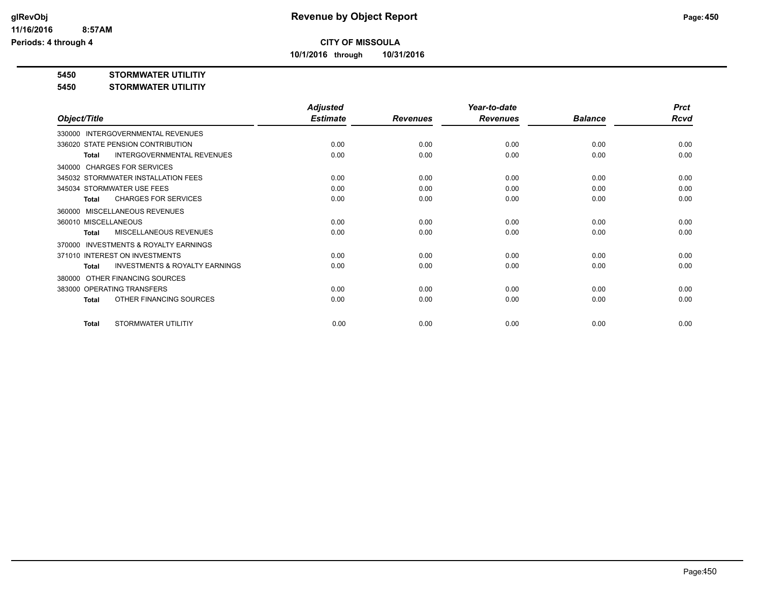**10/1/2016 through 10/31/2016**

#### **5450 STORMWATER UTILITIY**

#### **5450 STORMWATER UTILITIY**

|                                                           | <b>Adjusted</b> |                 | Year-to-date    |                | <b>Prct</b> |
|-----------------------------------------------------------|-----------------|-----------------|-----------------|----------------|-------------|
| Object/Title                                              | <b>Estimate</b> | <b>Revenues</b> | <b>Revenues</b> | <b>Balance</b> | <b>Rcvd</b> |
| <b>INTERGOVERNMENTAL REVENUES</b><br>330000               |                 |                 |                 |                |             |
| 336020 STATE PENSION CONTRIBUTION                         | 0.00            | 0.00            | 0.00            | 0.00           | 0.00        |
| <b>INTERGOVERNMENTAL REVENUES</b><br>Total                | 0.00            | 0.00            | 0.00            | 0.00           | 0.00        |
| 340000 CHARGES FOR SERVICES                               |                 |                 |                 |                |             |
| 345032 STORMWATER INSTALLATION FEES                       | 0.00            | 0.00            | 0.00            | 0.00           | 0.00        |
| 345034 STORMWATER USE FEES                                | 0.00            | 0.00            | 0.00            | 0.00           | 0.00        |
| <b>CHARGES FOR SERVICES</b><br>Total                      | 0.00            | 0.00            | 0.00            | 0.00           | 0.00        |
| 360000 MISCELLANEOUS REVENUES                             |                 |                 |                 |                |             |
| 360010 MISCELLANEOUS                                      | 0.00            | 0.00            | 0.00            | 0.00           | 0.00        |
| <b>MISCELLANEOUS REVENUES</b><br><b>Total</b>             | 0.00            | 0.00            | 0.00            | 0.00           | 0.00        |
| <b>INVESTMENTS &amp; ROYALTY EARNINGS</b><br>370000       |                 |                 |                 |                |             |
| 371010 INTEREST ON INVESTMENTS                            | 0.00            | 0.00            | 0.00            | 0.00           | 0.00        |
| <b>INVESTMENTS &amp; ROYALTY EARNINGS</b><br><b>Total</b> | 0.00            | 0.00            | 0.00            | 0.00           | 0.00        |
| 380000 OTHER FINANCING SOURCES                            |                 |                 |                 |                |             |
| 383000 OPERATING TRANSFERS                                | 0.00            | 0.00            | 0.00            | 0.00           | 0.00        |
| OTHER FINANCING SOURCES<br><b>Total</b>                   | 0.00            | 0.00            | 0.00            | 0.00           | 0.00        |
|                                                           |                 |                 |                 |                |             |
| STORMWATER UTILITIY<br><b>Total</b>                       | 0.00            | 0.00            | 0.00            | 0.00           | 0.00        |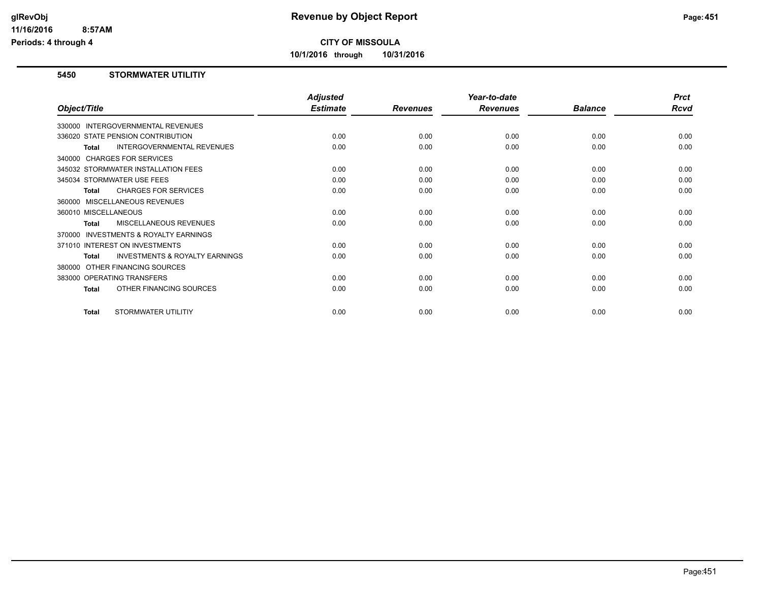**10/1/2016 through 10/31/2016**

#### **5450 STORMWATER UTILITIY**

|                                                           | <b>Adjusted</b> |                 | Year-to-date    |                | <b>Prct</b> |
|-----------------------------------------------------------|-----------------|-----------------|-----------------|----------------|-------------|
| Object/Title                                              | <b>Estimate</b> | <b>Revenues</b> | <b>Revenues</b> | <b>Balance</b> | <b>Rcvd</b> |
| 330000 INTERGOVERNMENTAL REVENUES                         |                 |                 |                 |                |             |
| 336020 STATE PENSION CONTRIBUTION                         | 0.00            | 0.00            | 0.00            | 0.00           | 0.00        |
| <b>INTERGOVERNMENTAL REVENUES</b><br><b>Total</b>         | 0.00            | 0.00            | 0.00            | 0.00           | 0.00        |
| 340000 CHARGES FOR SERVICES                               |                 |                 |                 |                |             |
| 345032 STORMWATER INSTALLATION FEES                       | 0.00            | 0.00            | 0.00            | 0.00           | 0.00        |
| 345034 STORMWATER USE FEES                                | 0.00            | 0.00            | 0.00            | 0.00           | 0.00        |
| <b>CHARGES FOR SERVICES</b><br><b>Total</b>               | 0.00            | 0.00            | 0.00            | 0.00           | 0.00        |
| 360000 MISCELLANEOUS REVENUES                             |                 |                 |                 |                |             |
| 360010 MISCELLANEOUS                                      | 0.00            | 0.00            | 0.00            | 0.00           | 0.00        |
| <b>MISCELLANEOUS REVENUES</b><br><b>Total</b>             | 0.00            | 0.00            | 0.00            | 0.00           | 0.00        |
| <b>INVESTMENTS &amp; ROYALTY EARNINGS</b><br>370000       |                 |                 |                 |                |             |
| 371010 INTEREST ON INVESTMENTS                            | 0.00            | 0.00            | 0.00            | 0.00           | 0.00        |
| <b>INVESTMENTS &amp; ROYALTY EARNINGS</b><br><b>Total</b> | 0.00            | 0.00            | 0.00            | 0.00           | 0.00        |
| OTHER FINANCING SOURCES<br>380000                         |                 |                 |                 |                |             |
| 383000 OPERATING TRANSFERS                                | 0.00            | 0.00            | 0.00            | 0.00           | 0.00        |
| OTHER FINANCING SOURCES<br><b>Total</b>                   | 0.00            | 0.00            | 0.00            | 0.00           | 0.00        |
| STORMWATER UTILITIY<br><b>Total</b>                       | 0.00            | 0.00            | 0.00            | 0.00           | 0.00        |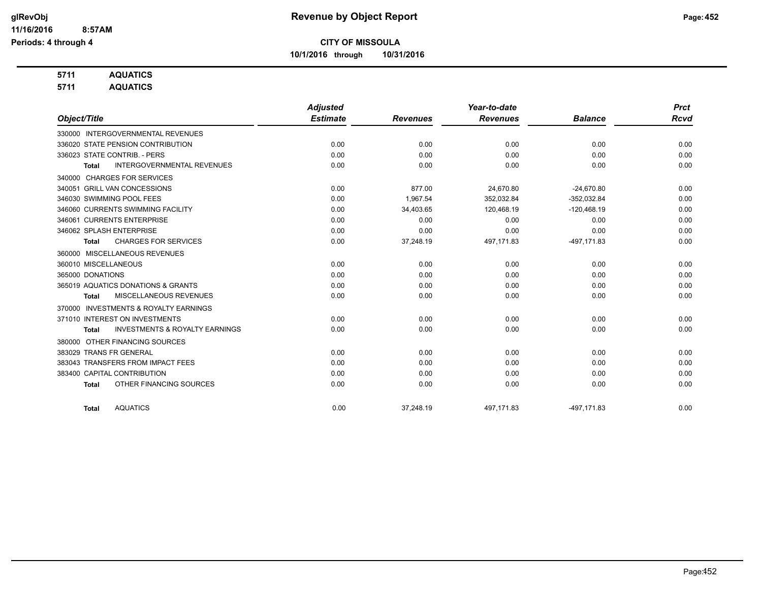**10/1/2016 through 10/31/2016**

# **5711 AQUATICS**

**5711 AQUATICS**

|                                                           | <b>Adjusted</b> |                 | Year-to-date    |                | <b>Prct</b> |
|-----------------------------------------------------------|-----------------|-----------------|-----------------|----------------|-------------|
| Object/Title                                              | <b>Estimate</b> | <b>Revenues</b> | <b>Revenues</b> | <b>Balance</b> | <b>Rcvd</b> |
| 330000 INTERGOVERNMENTAL REVENUES                         |                 |                 |                 |                |             |
| 336020 STATE PENSION CONTRIBUTION                         | 0.00            | 0.00            | 0.00            | 0.00           | 0.00        |
| 336023 STATE CONTRIB. - PERS                              | 0.00            | 0.00            | 0.00            | 0.00           | 0.00        |
| <b>INTERGOVERNMENTAL REVENUES</b><br><b>Total</b>         | 0.00            | 0.00            | 0.00            | 0.00           | 0.00        |
| <b>CHARGES FOR SERVICES</b><br>340000                     |                 |                 |                 |                |             |
| 340051 GRILL VAN CONCESSIONS                              | 0.00            | 877.00          | 24.670.80       | $-24.670.80$   | 0.00        |
| 346030 SWIMMING POOL FEES                                 | 0.00            | 1.967.54        | 352,032.84      | $-352,032.84$  | 0.00        |
| 346060 CURRENTS SWIMMING FACILITY                         | 0.00            | 34,403.65       | 120,468.19      | $-120,468.19$  | 0.00        |
| 346061 CURRENTS ENTERPRISE                                | 0.00            | 0.00            | 0.00            | 0.00           | 0.00        |
| 346062 SPLASH ENTERPRISE                                  | 0.00            | 0.00            | 0.00            | 0.00           | 0.00        |
| <b>CHARGES FOR SERVICES</b><br><b>Total</b>               | 0.00            | 37,248.19       | 497,171.83      | -497,171.83    | 0.00        |
| 360000 MISCELLANEOUS REVENUES                             |                 |                 |                 |                |             |
| 360010 MISCELLANEOUS                                      | 0.00            | 0.00            | 0.00            | 0.00           | 0.00        |
| 365000 DONATIONS                                          | 0.00            | 0.00            | 0.00            | 0.00           | 0.00        |
| 365019 AQUATICS DONATIONS & GRANTS                        | 0.00            | 0.00            | 0.00            | 0.00           | 0.00        |
| MISCELLANEOUS REVENUES<br><b>Total</b>                    | 0.00            | 0.00            | 0.00            | 0.00           | 0.00        |
| 370000 INVESTMENTS & ROYALTY EARNINGS                     |                 |                 |                 |                |             |
| 371010 INTEREST ON INVESTMENTS                            | 0.00            | 0.00            | 0.00            | 0.00           | 0.00        |
| <b>INVESTMENTS &amp; ROYALTY EARNINGS</b><br><b>Total</b> | 0.00            | 0.00            | 0.00            | 0.00           | 0.00        |
| 380000 OTHER FINANCING SOURCES                            |                 |                 |                 |                |             |
| 383029 TRANS FR GENERAL                                   | 0.00            | 0.00            | 0.00            | 0.00           | 0.00        |
| 383043 TRANSFERS FROM IMPACT FEES                         | 0.00            | 0.00            | 0.00            | 0.00           | 0.00        |
| 383400 CAPITAL CONTRIBUTION                               | 0.00            | 0.00            | 0.00            | 0.00           | 0.00        |
| OTHER FINANCING SOURCES<br><b>Total</b>                   | 0.00            | 0.00            | 0.00            | 0.00           | 0.00        |
|                                                           |                 |                 |                 |                |             |
| <b>AQUATICS</b><br><b>Total</b>                           | 0.00            | 37,248.19       | 497,171.83      | -497,171.83    | 0.00        |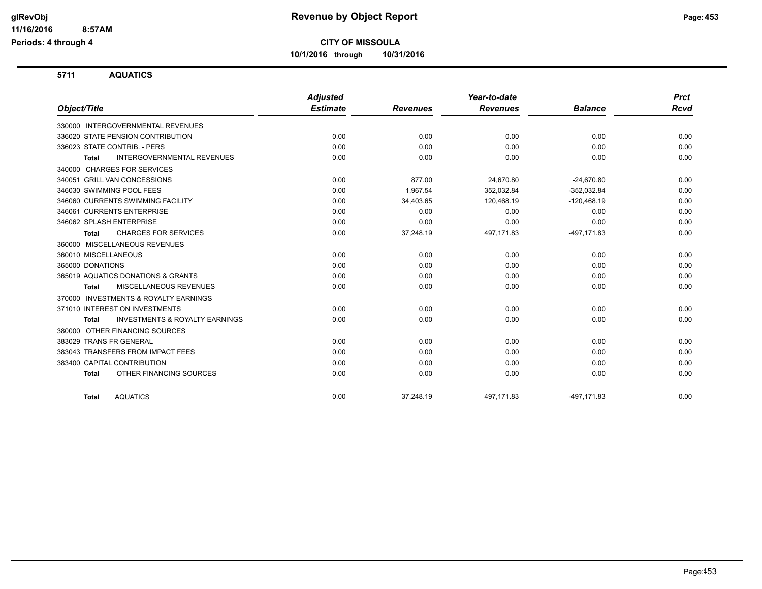**10/1/2016 through 10/31/2016**

**5711 AQUATICS**

|                                                           | <b>Adjusted</b> |                 | Year-to-date    |                | <b>Prct</b> |
|-----------------------------------------------------------|-----------------|-----------------|-----------------|----------------|-------------|
| Object/Title                                              | <b>Estimate</b> | <b>Revenues</b> | <b>Revenues</b> | <b>Balance</b> | <b>Rcvd</b> |
| 330000 INTERGOVERNMENTAL REVENUES                         |                 |                 |                 |                |             |
| 336020 STATE PENSION CONTRIBUTION                         | 0.00            | 0.00            | 0.00            | 0.00           | 0.00        |
| 336023 STATE CONTRIB. - PERS                              | 0.00            | 0.00            | 0.00            | 0.00           | 0.00        |
| <b>INTERGOVERNMENTAL REVENUES</b><br><b>Total</b>         | 0.00            | 0.00            | 0.00            | 0.00           | 0.00        |
| 340000 CHARGES FOR SERVICES                               |                 |                 |                 |                |             |
| 340051 GRILL VAN CONCESSIONS                              | 0.00            | 877.00          | 24,670.80       | $-24,670.80$   | 0.00        |
| 346030 SWIMMING POOL FEES                                 | 0.00            | 1,967.54        | 352,032.84      | $-352,032.84$  | 0.00        |
| 346060 CURRENTS SWIMMING FACILITY                         | 0.00            | 34,403.65       | 120,468.19      | $-120,468.19$  | 0.00        |
| 346061 CURRENTS ENTERPRISE                                | 0.00            | 0.00            | 0.00            | 0.00           | 0.00        |
| 346062 SPLASH ENTERPRISE                                  | 0.00            | 0.00            | 0.00            | 0.00           | 0.00        |
| <b>CHARGES FOR SERVICES</b><br><b>Total</b>               | 0.00            | 37,248.19       | 497,171.83      | $-497, 171.83$ | 0.00        |
| 360000 MISCELLANEOUS REVENUES                             |                 |                 |                 |                |             |
| 360010 MISCELLANEOUS                                      | 0.00            | 0.00            | 0.00            | 0.00           | 0.00        |
| 365000 DONATIONS                                          | 0.00            | 0.00            | 0.00            | 0.00           | 0.00        |
| 365019 AQUATICS DONATIONS & GRANTS                        | 0.00            | 0.00            | 0.00            | 0.00           | 0.00        |
| MISCELLANEOUS REVENUES<br>Total                           | 0.00            | 0.00            | 0.00            | 0.00           | 0.00        |
| <b>INVESTMENTS &amp; ROYALTY EARNINGS</b><br>370000       |                 |                 |                 |                |             |
| 371010 INTEREST ON INVESTMENTS                            | 0.00            | 0.00            | 0.00            | 0.00           | 0.00        |
| <b>INVESTMENTS &amp; ROYALTY EARNINGS</b><br><b>Total</b> | 0.00            | 0.00            | 0.00            | 0.00           | 0.00        |
| OTHER FINANCING SOURCES<br>380000                         |                 |                 |                 |                |             |
| 383029 TRANS FR GENERAL                                   | 0.00            | 0.00            | 0.00            | 0.00           | 0.00        |
| 383043 TRANSFERS FROM IMPACT FEES                         | 0.00            | 0.00            | 0.00            | 0.00           | 0.00        |
| 383400 CAPITAL CONTRIBUTION                               | 0.00            | 0.00            | 0.00            | 0.00           | 0.00        |
| OTHER FINANCING SOURCES<br><b>Total</b>                   | 0.00            | 0.00            | 0.00            | 0.00           | 0.00        |
| <b>AQUATICS</b><br>Total                                  | 0.00            | 37,248.19       | 497,171.83      | -497.171.83    | 0.00        |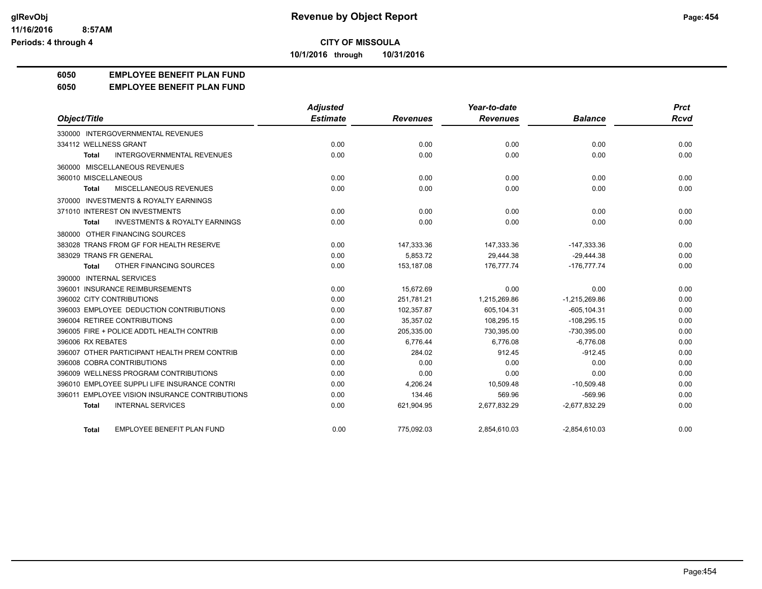**10/1/2016 through 10/31/2016**

#### **6050 EMPLOYEE BENEFIT PLAN FUND**

#### **6050 EMPLOYEE BENEFIT PLAN FUND**

|                                                    | <b>Adjusted</b> |                 | Year-to-date    |                 | <b>Prct</b> |
|----------------------------------------------------|-----------------|-----------------|-----------------|-----------------|-------------|
| Object/Title                                       | <b>Estimate</b> | <b>Revenues</b> | <b>Revenues</b> | <b>Balance</b>  | Rcvd        |
| 330000 INTERGOVERNMENTAL REVENUES                  |                 |                 |                 |                 |             |
| 334112 WELLNESS GRANT                              | 0.00            | 0.00            | 0.00            | 0.00            | 0.00        |
| <b>INTERGOVERNMENTAL REVENUES</b><br><b>Total</b>  | 0.00            | 0.00            | 0.00            | 0.00            | 0.00        |
| 360000 MISCELLANEOUS REVENUES                      |                 |                 |                 |                 |             |
| 360010 MISCELLANEOUS                               | 0.00            | 0.00            | 0.00            | 0.00            | 0.00        |
| MISCELLANEOUS REVENUES<br>Total                    | 0.00            | 0.00            | 0.00            | 0.00            | 0.00        |
| 370000 INVESTMENTS & ROYALTY EARNINGS              |                 |                 |                 |                 |             |
| 371010 INTEREST ON INVESTMENTS                     | 0.00            | 0.00            | 0.00            | 0.00            | 0.00        |
| <b>INVESTMENTS &amp; ROYALTY EARNINGS</b><br>Total | 0.00            | 0.00            | 0.00            | 0.00            | 0.00        |
| 380000 OTHER FINANCING SOURCES                     |                 |                 |                 |                 |             |
| 383028 TRANS FROM GF FOR HEALTH RESERVE            | 0.00            | 147,333.36      | 147,333.36      | $-147,333.36$   | 0.00        |
| 383029 TRANS FR GENERAL                            | 0.00            | 5,853.72        | 29,444.38       | $-29,444.38$    | 0.00        |
| OTHER FINANCING SOURCES<br><b>Total</b>            | 0.00            | 153,187.08      | 176,777.74      | $-176,777.74$   | 0.00        |
| 390000 INTERNAL SERVICES                           |                 |                 |                 |                 |             |
| 396001 INSURANCE REIMBURSEMENTS                    | 0.00            | 15,672.69       | 0.00            | 0.00            | 0.00        |
| 396002 CITY CONTRIBUTIONS                          | 0.00            | 251.781.21      | 1,215,269.86    | $-1,215,269.86$ | 0.00        |
| 396003 EMPLOYEE DEDUCTION CONTRIBUTIONS            | 0.00            | 102,357.87      | 605,104.31      | $-605, 104.31$  | 0.00        |
| 396004 RETIREE CONTRIBUTIONS                       | 0.00            | 35,357.02       | 108,295.15      | $-108,295.15$   | 0.00        |
| 396005 FIRE + POLICE ADDTL HEALTH CONTRIB          | 0.00            | 205.335.00      | 730.395.00      | -730.395.00     | 0.00        |
| 396006 RX REBATES                                  | 0.00            | 6,776.44        | 6,776.08        | $-6,776.08$     | 0.00        |
| 396007 OTHER PARTICIPANT HEALTH PREM CONTRIB       | 0.00            | 284.02          | 912.45          | $-912.45$       | 0.00        |
| 396008 COBRA CONTRIBUTIONS                         | 0.00            | 0.00            | 0.00            | 0.00            | 0.00        |
| 396009 WELLNESS PROGRAM CONTRIBUTIONS              | 0.00            | 0.00            | 0.00            | 0.00            | 0.00        |
| 396010 EMPLOYEE SUPPLI LIFE INSURANCE CONTRI       | 0.00            | 4,206.24        | 10,509.48       | $-10,509.48$    | 0.00        |
| 396011 EMPLOYEE VISION INSURANCE CONTRIBUTIONS     | 0.00            | 134.46          | 569.96          | $-569.96$       | 0.00        |
| <b>INTERNAL SERVICES</b><br><b>Total</b>           | 0.00            | 621,904.95      | 2,677,832.29    | $-2,677,832.29$ | 0.00        |
| <b>EMPLOYEE BENEFIT PLAN FUND</b><br><b>Total</b>  | 0.00            | 775,092.03      | 2,854,610.03    | $-2,854,610.03$ | 0.00        |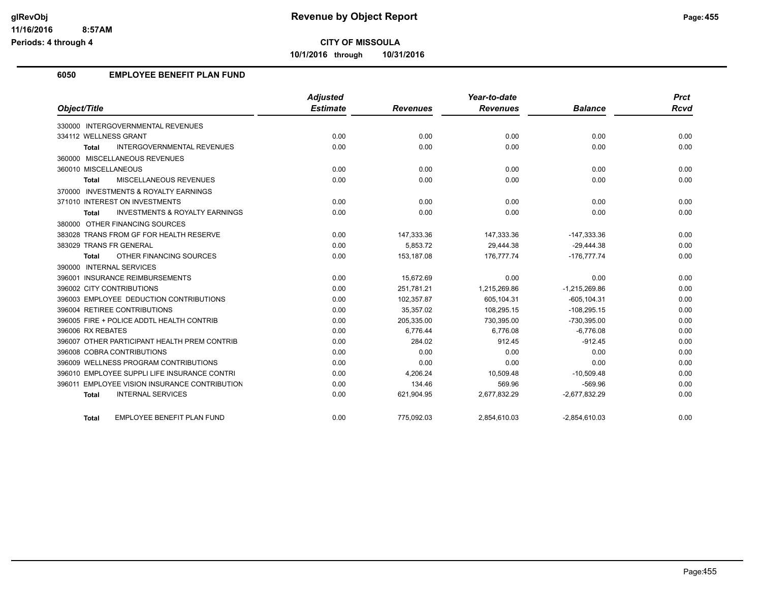**Periods: 4 through 4**

**CITY OF MISSOULA**

**10/1/2016 through 10/31/2016**

#### **6050 EMPLOYEE BENEFIT PLAN FUND**

|                                                    | <b>Adjusted</b> |                 | Year-to-date    |                 | <b>Prct</b> |
|----------------------------------------------------|-----------------|-----------------|-----------------|-----------------|-------------|
| Object/Title                                       | <b>Estimate</b> | <b>Revenues</b> | <b>Revenues</b> | <b>Balance</b>  | <b>Rcvd</b> |
| 330000 INTERGOVERNMENTAL REVENUES                  |                 |                 |                 |                 |             |
| 334112 WELLNESS GRANT                              | 0.00            | 0.00            | 0.00            | 0.00            | 0.00        |
| <b>INTERGOVERNMENTAL REVENUES</b><br>Total         | 0.00            | 0.00            | 0.00            | 0.00            | 0.00        |
| 360000 MISCELLANEOUS REVENUES                      |                 |                 |                 |                 |             |
| 360010 MISCELLANEOUS                               | 0.00            | 0.00            | 0.00            | 0.00            | 0.00        |
| <b>MISCELLANEOUS REVENUES</b><br><b>Total</b>      | 0.00            | 0.00            | 0.00            | 0.00            | 0.00        |
| 370000 INVESTMENTS & ROYALTY EARNINGS              |                 |                 |                 |                 |             |
| 371010 INTEREST ON INVESTMENTS                     | 0.00            | 0.00            | 0.00            | 0.00            | 0.00        |
| <b>INVESTMENTS &amp; ROYALTY EARNINGS</b><br>Total | 0.00            | 0.00            | 0.00            | 0.00            | 0.00        |
| 380000 OTHER FINANCING SOURCES                     |                 |                 |                 |                 |             |
| 383028 TRANS FROM GF FOR HEALTH RESERVE            | 0.00            | 147,333.36      | 147,333.36      | $-147,333.36$   | 0.00        |
| 383029 TRANS FR GENERAL                            | 0.00            | 5,853.72        | 29,444.38       | $-29,444.38$    | 0.00        |
| OTHER FINANCING SOURCES<br>Total                   | 0.00            | 153,187.08      | 176,777.74      | $-176,777.74$   | 0.00        |
| 390000 INTERNAL SERVICES                           |                 |                 |                 |                 |             |
| 396001 INSURANCE REIMBURSEMENTS                    | 0.00            | 15,672.69       | 0.00            | 0.00            | 0.00        |
| 396002 CITY CONTRIBUTIONS                          | 0.00            | 251,781.21      | 1,215,269.86    | $-1,215,269.86$ | 0.00        |
| 396003 EMPLOYEE DEDUCTION CONTRIBUTIONS            | 0.00            | 102,357.87      | 605,104.31      | $-605, 104.31$  | 0.00        |
| 396004 RETIREE CONTRIBUTIONS                       | 0.00            | 35,357.02       | 108,295.15      | $-108,295.15$   | 0.00        |
| 396005 FIRE + POLICE ADDTL HEALTH CONTRIB          | 0.00            | 205.335.00      | 730.395.00      | -730,395.00     | 0.00        |
| 396006 RX REBATES                                  | 0.00            | 6,776.44        | 6,776.08        | $-6,776.08$     | 0.00        |
| 396007 OTHER PARTICIPANT HEALTH PREM CONTRIB       | 0.00            | 284.02          | 912.45          | $-912.45$       | 0.00        |
| 396008 COBRA CONTRIBUTIONS                         | 0.00            | 0.00            | 0.00            | 0.00            | 0.00        |
| 396009 WELLNESS PROGRAM CONTRIBUTIONS              | 0.00            | 0.00            | 0.00            | 0.00            | 0.00        |
| 396010 EMPLOYEE SUPPLI LIFE INSURANCE CONTRI       | 0.00            | 4,206.24        | 10,509.48       | $-10,509.48$    | 0.00        |
| 396011 EMPLOYEE VISION INSURANCE CONTRIBUTION      | 0.00            | 134.46          | 569.96          | $-569.96$       | 0.00        |
| <b>INTERNAL SERVICES</b><br><b>Total</b>           | 0.00            | 621,904.95      | 2,677,832.29    | $-2,677,832.29$ | 0.00        |
| <b>EMPLOYEE BENEFIT PLAN FUND</b><br><b>Total</b>  | 0.00            | 775.092.03      | 2,854,610.03    | $-2,854,610.03$ | 0.00        |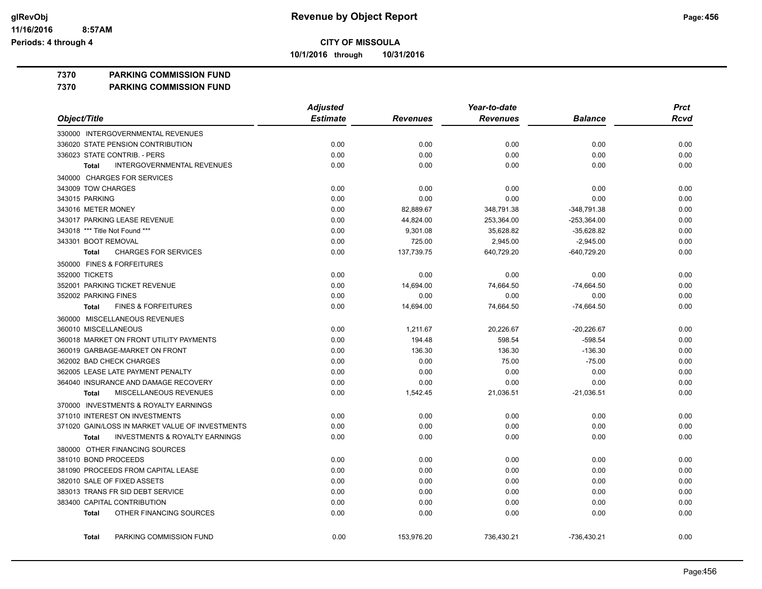**10/1/2016 through 10/31/2016**

**7370 PARKING COMMISSION FUND**

**7370 PARKING COMMISSION FUND**

|                                                    | <b>Adjusted</b> |                 | Year-to-date    |                | <b>Prct</b> |
|----------------------------------------------------|-----------------|-----------------|-----------------|----------------|-------------|
| Object/Title                                       | <b>Estimate</b> | <b>Revenues</b> | <b>Revenues</b> | <b>Balance</b> | <b>Rcvd</b> |
| 330000 INTERGOVERNMENTAL REVENUES                  |                 |                 |                 |                |             |
| 336020 STATE PENSION CONTRIBUTION                  | 0.00            | 0.00            | 0.00            | 0.00           | 0.00        |
| 336023 STATE CONTRIB. - PERS                       | 0.00            | 0.00            | 0.00            | 0.00           | 0.00        |
| <b>INTERGOVERNMENTAL REVENUES</b><br><b>Total</b>  | 0.00            | 0.00            | 0.00            | 0.00           | 0.00        |
| 340000 CHARGES FOR SERVICES                        |                 |                 |                 |                |             |
| 343009 TOW CHARGES                                 | 0.00            | 0.00            | 0.00            | 0.00           | 0.00        |
| 343015 PARKING                                     | 0.00            | 0.00            | 0.00            | 0.00           | 0.00        |
| 343016 METER MONEY                                 | 0.00            | 82,889.67       | 348,791.38      | $-348,791.38$  | 0.00        |
| 343017 PARKING LEASE REVENUE                       | 0.00            | 44,824.00       | 253,364.00      | $-253,364.00$  | 0.00        |
| 343018 *** Title Not Found ***                     | 0.00            | 9,301.08        | 35,628.82       | $-35,628.82$   | 0.00        |
| 343301 BOOT REMOVAL                                | 0.00            | 725.00          | 2,945.00        | $-2,945.00$    | 0.00        |
| <b>CHARGES FOR SERVICES</b><br><b>Total</b>        | 0.00            | 137,739.75      | 640,729.20      | $-640,729.20$  | 0.00        |
| 350000 FINES & FORFEITURES                         |                 |                 |                 |                |             |
| 352000 TICKETS                                     | 0.00            | 0.00            | 0.00            | 0.00           | 0.00        |
| 352001 PARKING TICKET REVENUE                      | 0.00            | 14,694.00       | 74,664.50       | $-74,664.50$   | 0.00        |
| 352002 PARKING FINES                               | 0.00            | 0.00            | 0.00            | 0.00           | 0.00        |
| <b>FINES &amp; FORFEITURES</b><br><b>Total</b>     | 0.00            | 14,694.00       | 74,664.50       | $-74,664.50$   | 0.00        |
| 360000 MISCELLANEOUS REVENUES                      |                 |                 |                 |                |             |
| 360010 MISCELLANEOUS                               | 0.00            | 1,211.67        | 20,226.67       | $-20,226.67$   | 0.00        |
| 360018 MARKET ON FRONT UTILITY PAYMENTS            | 0.00            | 194.48          | 598.54          | $-598.54$      | 0.00        |
| 360019 GARBAGE-MARKET ON FRONT                     | 0.00            | 136.30          | 136.30          | $-136.30$      | 0.00        |
| 362002 BAD CHECK CHARGES                           | 0.00            | 0.00            | 75.00           | $-75.00$       | 0.00        |
| 362005 LEASE LATE PAYMENT PENALTY                  | 0.00            | 0.00            | 0.00            | 0.00           | 0.00        |
| 364040 INSURANCE AND DAMAGE RECOVERY               | 0.00            | 0.00            | 0.00            | 0.00           | 0.00        |
| MISCELLANEOUS REVENUES<br>Total                    | 0.00            | 1,542.45        | 21,036.51       | $-21,036.51$   | 0.00        |
| 370000 INVESTMENTS & ROYALTY EARNINGS              |                 |                 |                 |                |             |
| 371010 INTEREST ON INVESTMENTS                     | 0.00            | 0.00            | 0.00            | 0.00           | 0.00        |
| 371020 GAIN/LOSS IN MARKET VALUE OF INVESTMENTS    | 0.00            | 0.00            | 0.00            | 0.00           | 0.00        |
| <b>INVESTMENTS &amp; ROYALTY EARNINGS</b><br>Total | 0.00            | 0.00            | 0.00            | 0.00           | 0.00        |
| 380000 OTHER FINANCING SOURCES                     |                 |                 |                 |                |             |
| 381010 BOND PROCEEDS                               | 0.00            | 0.00            | 0.00            | 0.00           | 0.00        |
| 381090 PROCEEDS FROM CAPITAL LEASE                 | 0.00            | 0.00            | 0.00            | 0.00           | 0.00        |
| 382010 SALE OF FIXED ASSETS                        | 0.00            | 0.00            | 0.00            | 0.00           | 0.00        |
| 383013 TRANS FR SID DEBT SERVICE                   | 0.00            | 0.00            | 0.00            | 0.00           | 0.00        |
| 383400 CAPITAL CONTRIBUTION                        | 0.00            | 0.00            | 0.00            | 0.00           | 0.00        |
| OTHER FINANCING SOURCES<br>Total                   | 0.00            | 0.00            | 0.00            | 0.00           | 0.00        |
| PARKING COMMISSION FUND<br><b>Total</b>            | 0.00            | 153,976.20      | 736,430.21      | -736,430.21    | 0.00        |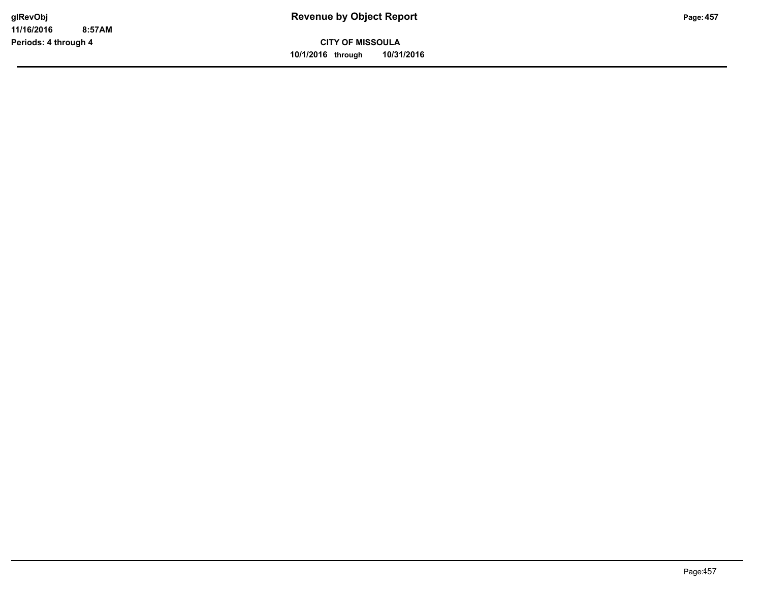**CITY OF MISSOULA 10/1/2016 through 10/31/2016**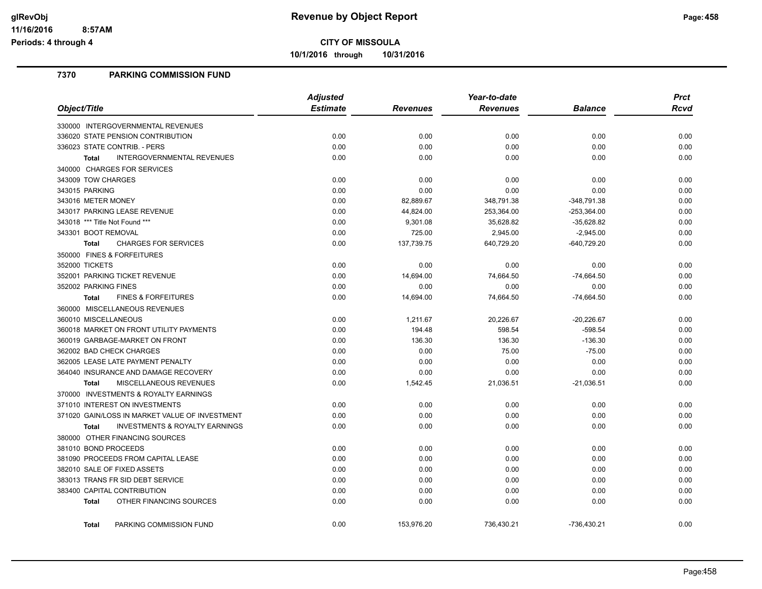**10/1/2016 through 10/31/2016**

#### **7370 PARKING COMMISSION FUND**

|                                                           | <b>Adjusted</b> |                 | Year-to-date    |                |             |
|-----------------------------------------------------------|-----------------|-----------------|-----------------|----------------|-------------|
| Object/Title                                              | <b>Estimate</b> | <b>Revenues</b> | <b>Revenues</b> | <b>Balance</b> | <b>Rcvd</b> |
| 330000 INTERGOVERNMENTAL REVENUES                         |                 |                 |                 |                |             |
| 336020 STATE PENSION CONTRIBUTION                         | 0.00            | 0.00            | 0.00            | 0.00           | 0.00        |
| 336023 STATE CONTRIB. - PERS                              | 0.00            | 0.00            | 0.00            | 0.00           | 0.00        |
| INTERGOVERNMENTAL REVENUES<br><b>Total</b>                | 0.00            | 0.00            | 0.00            | 0.00           | 0.00        |
| 340000 CHARGES FOR SERVICES                               |                 |                 |                 |                |             |
| 343009 TOW CHARGES                                        | 0.00            | 0.00            | 0.00            | 0.00           | 0.00        |
| 343015 PARKING                                            | 0.00            | 0.00            | 0.00            | 0.00           | 0.00        |
| 343016 METER MONEY                                        | 0.00            | 82,889.67       | 348,791.38      | $-348,791.38$  | 0.00        |
| 343017 PARKING LEASE REVENUE                              | 0.00            | 44,824.00       | 253,364.00      | $-253,364.00$  | 0.00        |
| 343018 *** Title Not Found ***                            | 0.00            | 9,301.08        | 35,628.82       | $-35,628.82$   | 0.00        |
| 343301 BOOT REMOVAL                                       | 0.00            | 725.00          | 2,945.00        | $-2,945.00$    | 0.00        |
| <b>CHARGES FOR SERVICES</b><br><b>Total</b>               | 0.00            | 137,739.75      | 640,729.20      | -640,729.20    | 0.00        |
| 350000 FINES & FORFEITURES                                |                 |                 |                 |                |             |
| 352000 TICKETS                                            | 0.00            | 0.00            | 0.00            | 0.00           | 0.00        |
| 352001 PARKING TICKET REVENUE                             | 0.00            | 14,694.00       | 74,664.50       | $-74,664.50$   | 0.00        |
| 352002 PARKING FINES                                      | 0.00            | 0.00            | 0.00            | 0.00           | 0.00        |
| <b>FINES &amp; FORFEITURES</b><br><b>Total</b>            | 0.00            | 14,694.00       | 74,664.50       | $-74,664.50$   | 0.00        |
| 360000 MISCELLANEOUS REVENUES                             |                 |                 |                 |                |             |
| 360010 MISCELLANEOUS                                      | 0.00            | 1,211.67        | 20,226.67       | $-20,226.67$   | 0.00        |
| 360018 MARKET ON FRONT UTILITY PAYMENTS                   | 0.00            | 194.48          | 598.54          | $-598.54$      | 0.00        |
| 360019 GARBAGE-MARKET ON FRONT                            | 0.00            | 136.30          | 136.30          | $-136.30$      | 0.00        |
| 362002 BAD CHECK CHARGES                                  | 0.00            | 0.00            | 75.00           | $-75.00$       | 0.00        |
| 362005 LEASE LATE PAYMENT PENALTY                         | 0.00            | 0.00            | 0.00            | 0.00           | 0.00        |
| 364040 INSURANCE AND DAMAGE RECOVERY                      | 0.00            | 0.00            | 0.00            | 0.00           | 0.00        |
| <b>MISCELLANEOUS REVENUES</b><br><b>Total</b>             | 0.00            | 1,542.45        | 21,036.51       | $-21,036.51$   | 0.00        |
| 370000 INVESTMENTS & ROYALTY EARNINGS                     |                 |                 |                 |                |             |
| 371010 INTEREST ON INVESTMENTS                            | 0.00            | 0.00            | 0.00            | 0.00           | 0.00        |
| 371020 GAIN/LOSS IN MARKET VALUE OF INVESTMENT            | 0.00            | 0.00            | 0.00            | 0.00           | 0.00        |
| <b>INVESTMENTS &amp; ROYALTY EARNINGS</b><br><b>Total</b> | 0.00            | 0.00            | 0.00            | 0.00           | 0.00        |
| 380000 OTHER FINANCING SOURCES                            |                 |                 |                 |                |             |
| 381010 BOND PROCEEDS                                      | 0.00            | 0.00            | 0.00            | 0.00           | 0.00        |
| 381090 PROCEEDS FROM CAPITAL LEASE                        | 0.00            | 0.00            | 0.00            | 0.00           | 0.00        |
| 382010 SALE OF FIXED ASSETS                               | 0.00            | 0.00            | 0.00            | 0.00           | 0.00        |
| 383013 TRANS FR SID DEBT SERVICE                          | 0.00            | 0.00            | 0.00            | 0.00           | 0.00        |
| 383400 CAPITAL CONTRIBUTION                               | 0.00            | 0.00            | 0.00            | 0.00           | 0.00        |
| OTHER FINANCING SOURCES<br><b>Total</b>                   | 0.00            | 0.00            | 0.00            | 0.00           | 0.00        |
| PARKING COMMISSION FUND<br><b>Total</b>                   | 0.00            | 153,976.20      | 736.430.21      | -736.430.21    | 0.00        |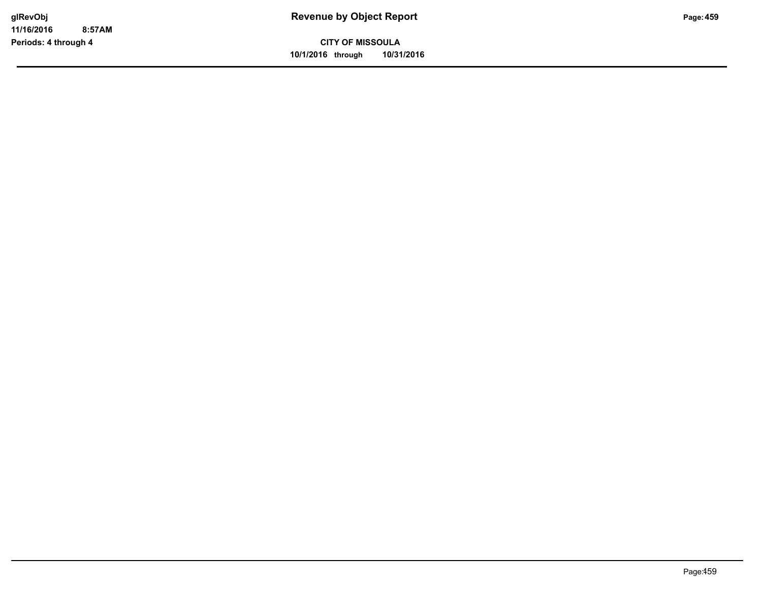**CITY OF MISSOULA 10/1/2016 through 10/31/2016**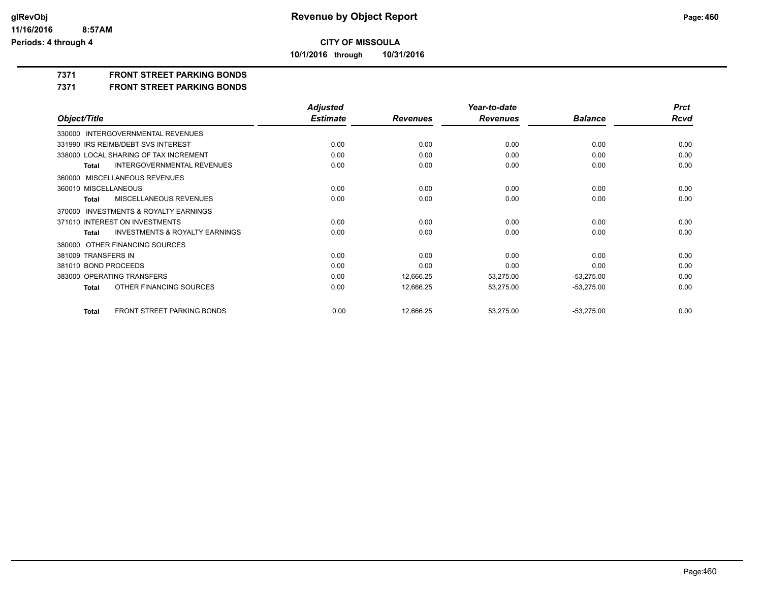**10/1/2016 through 10/31/2016**

**7371 FRONT STREET PARKING BONDS**

**7371 FRONT STREET PARKING BONDS**

|                                                           | <b>Adjusted</b> |                 | Year-to-date    |                | <b>Prct</b> |
|-----------------------------------------------------------|-----------------|-----------------|-----------------|----------------|-------------|
| Object/Title                                              | <b>Estimate</b> | <b>Revenues</b> | <b>Revenues</b> | <b>Balance</b> | <b>Rcvd</b> |
| 330000 INTERGOVERNMENTAL REVENUES                         |                 |                 |                 |                |             |
| 331990 IRS REIMB/DEBT SVS INTEREST                        | 0.00            | 0.00            | 0.00            | 0.00           | 0.00        |
| 338000 LOCAL SHARING OF TAX INCREMENT                     | 0.00            | 0.00            | 0.00            | 0.00           | 0.00        |
| <b>INTERGOVERNMENTAL REVENUES</b><br>Total                | 0.00            | 0.00            | 0.00            | 0.00           | 0.00        |
| 360000 MISCELLANEOUS REVENUES                             |                 |                 |                 |                |             |
| 360010 MISCELLANEOUS                                      | 0.00            | 0.00            | 0.00            | 0.00           | 0.00        |
| MISCELLANEOUS REVENUES<br>Total                           | 0.00            | 0.00            | 0.00            | 0.00           | 0.00        |
| 370000 INVESTMENTS & ROYALTY EARNINGS                     |                 |                 |                 |                |             |
| 371010 INTEREST ON INVESTMENTS                            | 0.00            | 0.00            | 0.00            | 0.00           | 0.00        |
| <b>INVESTMENTS &amp; ROYALTY EARNINGS</b><br><b>Total</b> | 0.00            | 0.00            | 0.00            | 0.00           | 0.00        |
| 380000 OTHER FINANCING SOURCES                            |                 |                 |                 |                |             |
| 381009 TRANSFERS IN                                       | 0.00            | 0.00            | 0.00            | 0.00           | 0.00        |
| 381010 BOND PROCEEDS                                      | 0.00            | 0.00            | 0.00            | 0.00           | 0.00        |
| 383000 OPERATING TRANSFERS                                | 0.00            | 12,666.25       | 53,275.00       | $-53,275.00$   | 0.00        |
| OTHER FINANCING SOURCES<br>Total                          | 0.00            | 12,666.25       | 53,275.00       | $-53,275.00$   | 0.00        |
| <b>FRONT STREET PARKING BONDS</b><br><b>Total</b>         | 0.00            | 12,666.25       | 53,275.00       | $-53,275.00$   | 0.00        |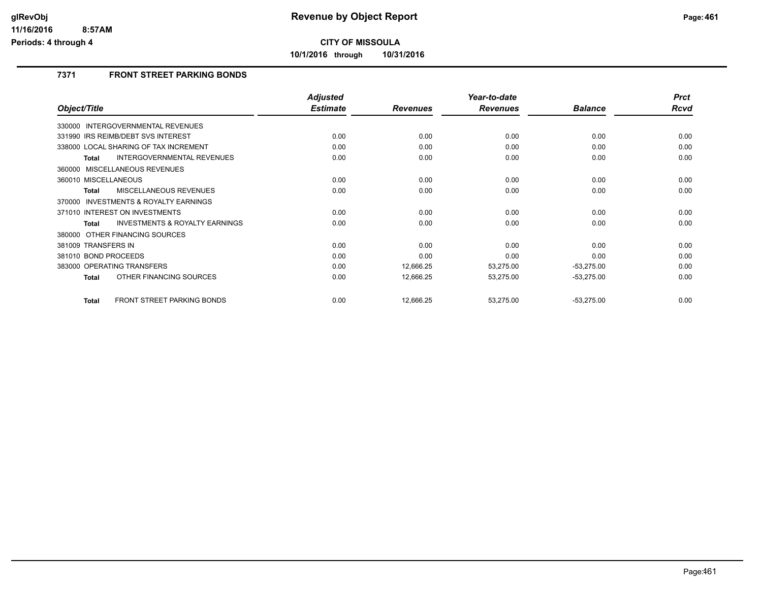**10/1/2016 through 10/31/2016**

#### **7371 FRONT STREET PARKING BONDS**

|                                                    | <b>Adjusted</b> |                 | Year-to-date    |                | <b>Prct</b> |
|----------------------------------------------------|-----------------|-----------------|-----------------|----------------|-------------|
| Object/Title                                       | <b>Estimate</b> | <b>Revenues</b> | <b>Revenues</b> | <b>Balance</b> | <b>Rcvd</b> |
| 330000 INTERGOVERNMENTAL REVENUES                  |                 |                 |                 |                |             |
| 331990 IRS REIMB/DEBT SVS INTEREST                 | 0.00            | 0.00            | 0.00            | 0.00           | 0.00        |
| 338000 LOCAL SHARING OF TAX INCREMENT              | 0.00            | 0.00            | 0.00            | 0.00           | 0.00        |
| <b>INTERGOVERNMENTAL REVENUES</b><br>Total         | 0.00            | 0.00            | 0.00            | 0.00           | 0.00        |
| 360000 MISCELLANEOUS REVENUES                      |                 |                 |                 |                |             |
| 360010 MISCELLANEOUS                               | 0.00            | 0.00            | 0.00            | 0.00           | 0.00        |
| MISCELLANEOUS REVENUES<br><b>Total</b>             | 0.00            | 0.00            | 0.00            | 0.00           | 0.00        |
| INVESTMENTS & ROYALTY EARNINGS<br>370000           |                 |                 |                 |                |             |
| 371010 INTEREST ON INVESTMENTS                     | 0.00            | 0.00            | 0.00            | 0.00           | 0.00        |
| <b>INVESTMENTS &amp; ROYALTY EARNINGS</b><br>Total | 0.00            | 0.00            | 0.00            | 0.00           | 0.00        |
| 380000 OTHER FINANCING SOURCES                     |                 |                 |                 |                |             |
| 381009 TRANSFERS IN                                | 0.00            | 0.00            | 0.00            | 0.00           | 0.00        |
| 381010 BOND PROCEEDS                               | 0.00            | 0.00            | 0.00            | 0.00           | 0.00        |
| 383000 OPERATING TRANSFERS                         | 0.00            | 12,666.25       | 53,275.00       | $-53,275.00$   | 0.00        |
| OTHER FINANCING SOURCES<br><b>Total</b>            | 0.00            | 12,666.25       | 53,275.00       | $-53,275.00$   | 0.00        |
| <b>FRONT STREET PARKING BONDS</b><br><b>Total</b>  | 0.00            | 12,666.25       | 53,275.00       | $-53,275.00$   | 0.00        |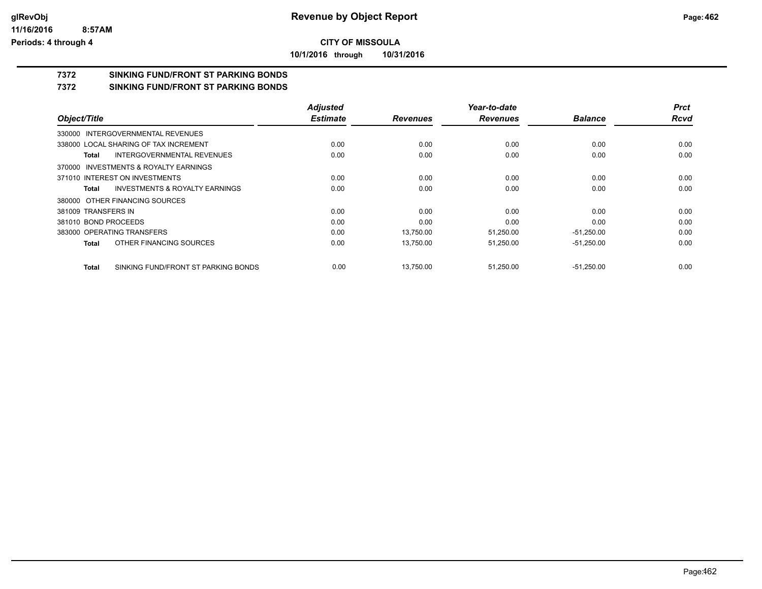**10/1/2016 through 10/31/2016**

# **7372 SINKING FUND/FRONT ST PARKING BONDS**

#### **7372 SINKING FUND/FRONT ST PARKING BONDS**

|                                                           | <b>Adjusted</b> |                 | Year-to-date    |                | <b>Prct</b> |
|-----------------------------------------------------------|-----------------|-----------------|-----------------|----------------|-------------|
| Object/Title                                              | <b>Estimate</b> | <b>Revenues</b> | <b>Revenues</b> | <b>Balance</b> | <b>Rcvd</b> |
| 330000 INTERGOVERNMENTAL REVENUES                         |                 |                 |                 |                |             |
| 338000 LOCAL SHARING OF TAX INCREMENT                     | 0.00            | 0.00            | 0.00            | 0.00           | 0.00        |
| INTERGOVERNMENTAL REVENUES<br><b>Total</b>                | 0.00            | 0.00            | 0.00            | 0.00           | 0.00        |
| 370000 INVESTMENTS & ROYALTY EARNINGS                     |                 |                 |                 |                |             |
| 371010 INTEREST ON INVESTMENTS                            | 0.00            | 0.00            | 0.00            | 0.00           | 0.00        |
| <b>INVESTMENTS &amp; ROYALTY EARNINGS</b><br><b>Total</b> | 0.00            | 0.00            | 0.00            | 0.00           | 0.00        |
| 380000 OTHER FINANCING SOURCES                            |                 |                 |                 |                |             |
| 381009 TRANSFERS IN                                       | 0.00            | 0.00            | 0.00            | 0.00           | 0.00        |
| 381010 BOND PROCEEDS                                      | 0.00            | 0.00            | 0.00            | 0.00           | 0.00        |
| 383000 OPERATING TRANSFERS                                | 0.00            | 13.750.00       | 51.250.00       | $-51,250.00$   | 0.00        |
| OTHER FINANCING SOURCES<br><b>Total</b>                   | 0.00            | 13,750.00       | 51,250.00       | $-51,250.00$   | 0.00        |
| SINKING FUND/FRONT ST PARKING BONDS<br>Total              | 0.00            | 13.750.00       | 51.250.00       | $-51.250.00$   | 0.00        |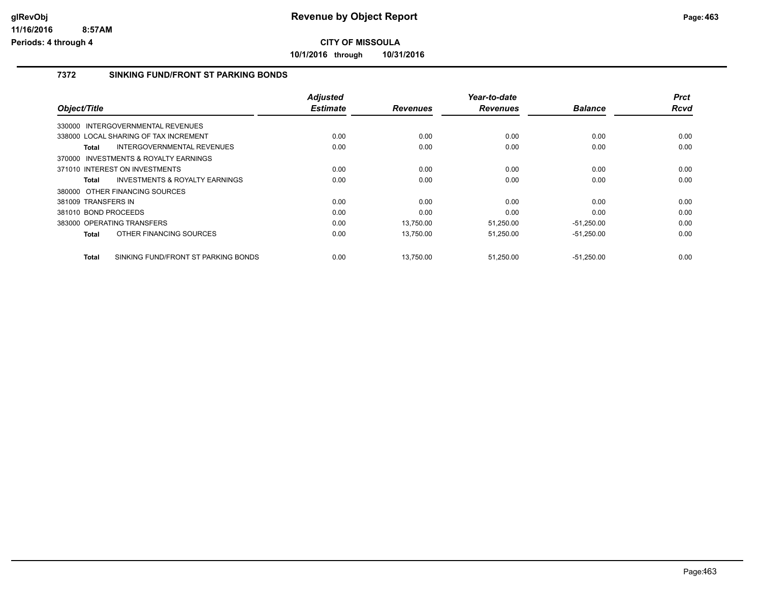**10/1/2016 through 10/31/2016**

#### **7372 SINKING FUND/FRONT ST PARKING BONDS**

| Object/Title                                        | <b>Adjusted</b><br><b>Estimate</b> | <b>Revenues</b> | Year-to-date<br><b>Revenues</b> | <b>Balance</b> | <b>Prct</b><br>Rcvd |
|-----------------------------------------------------|------------------------------------|-----------------|---------------------------------|----------------|---------------------|
|                                                     |                                    |                 |                                 |                |                     |
| 330000 INTERGOVERNMENTAL REVENUES                   |                                    |                 |                                 |                |                     |
| 338000 LOCAL SHARING OF TAX INCREMENT               | 0.00                               | 0.00            | 0.00                            | 0.00           | 0.00                |
| <b>INTERGOVERNMENTAL REVENUES</b><br>Total          | 0.00                               | 0.00            | 0.00                            | 0.00           | 0.00                |
| 370000 INVESTMENTS & ROYALTY EARNINGS               |                                    |                 |                                 |                |                     |
| 371010 INTEREST ON INVESTMENTS                      | 0.00                               | 0.00            | 0.00                            | 0.00           | 0.00                |
| <b>INVESTMENTS &amp; ROYALTY EARNINGS</b><br>Total  | 0.00                               | 0.00            | 0.00                            | 0.00           | 0.00                |
| 380000 OTHER FINANCING SOURCES                      |                                    |                 |                                 |                |                     |
| 381009 TRANSFERS IN                                 | 0.00                               | 0.00            | 0.00                            | 0.00           | 0.00                |
| 381010 BOND PROCEEDS                                | 0.00                               | 0.00            | 0.00                            | 0.00           | 0.00                |
| 383000 OPERATING TRANSFERS                          | 0.00                               | 13.750.00       | 51,250.00                       | $-51,250.00$   | 0.00                |
| OTHER FINANCING SOURCES<br>Total                    | 0.00                               | 13.750.00       | 51,250.00                       | $-51,250.00$   | 0.00                |
| SINKING FUND/FRONT ST PARKING BONDS<br><b>Total</b> | 0.00                               | 13,750.00       | 51,250.00                       | $-51,250.00$   | 0.00                |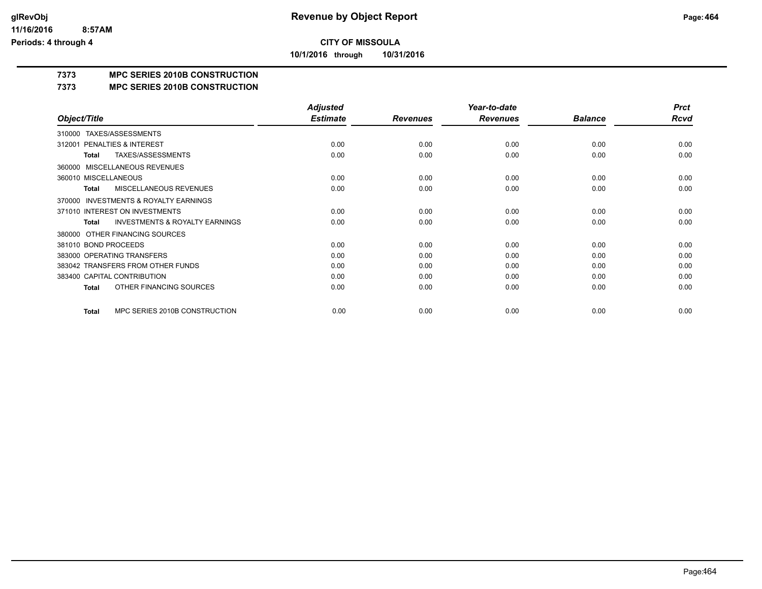**10/1/2016 through 10/31/2016**

#### **7373 MPC SERIES 2010B CONSTRUCTION**

#### **7373 MPC SERIES 2010B CONSTRUCTION**

|                                                     | <b>Adjusted</b> |                 | Year-to-date    |                | <b>Prct</b> |
|-----------------------------------------------------|-----------------|-----------------|-----------------|----------------|-------------|
| Object/Title                                        | <b>Estimate</b> | <b>Revenues</b> | <b>Revenues</b> | <b>Balance</b> | <b>Rcvd</b> |
| TAXES/ASSESSMENTS<br>310000                         |                 |                 |                 |                |             |
| PENALTIES & INTEREST<br>312001                      | 0.00            | 0.00            | 0.00            | 0.00           | 0.00        |
| TAXES/ASSESSMENTS<br><b>Total</b>                   | 0.00            | 0.00            | 0.00            | 0.00           | 0.00        |
| MISCELLANEOUS REVENUES<br>360000                    |                 |                 |                 |                |             |
| 360010 MISCELLANEOUS                                | 0.00            | 0.00            | 0.00            | 0.00           | 0.00        |
| <b>MISCELLANEOUS REVENUES</b><br>Total              | 0.00            | 0.00            | 0.00            | 0.00           | 0.00        |
| <b>INVESTMENTS &amp; ROYALTY EARNINGS</b><br>370000 |                 |                 |                 |                |             |
| 371010 INTEREST ON INVESTMENTS                      | 0.00            | 0.00            | 0.00            | 0.00           | 0.00        |
| <b>INVESTMENTS &amp; ROYALTY EARNINGS</b><br>Total  | 0.00            | 0.00            | 0.00            | 0.00           | 0.00        |
| OTHER FINANCING SOURCES<br>380000                   |                 |                 |                 |                |             |
| 381010 BOND PROCEEDS                                | 0.00            | 0.00            | 0.00            | 0.00           | 0.00        |
| 383000 OPERATING TRANSFERS                          | 0.00            | 0.00            | 0.00            | 0.00           | 0.00        |
| 383042 TRANSFERS FROM OTHER FUNDS                   | 0.00            | 0.00            | 0.00            | 0.00           | 0.00        |
| 383400 CAPITAL CONTRIBUTION                         | 0.00            | 0.00            | 0.00            | 0.00           | 0.00        |
| OTHER FINANCING SOURCES<br><b>Total</b>             | 0.00            | 0.00            | 0.00            | 0.00           | 0.00        |
|                                                     |                 |                 |                 |                |             |
| MPC SERIES 2010B CONSTRUCTION<br><b>Total</b>       | 0.00            | 0.00            | 0.00            | 0.00           | 0.00        |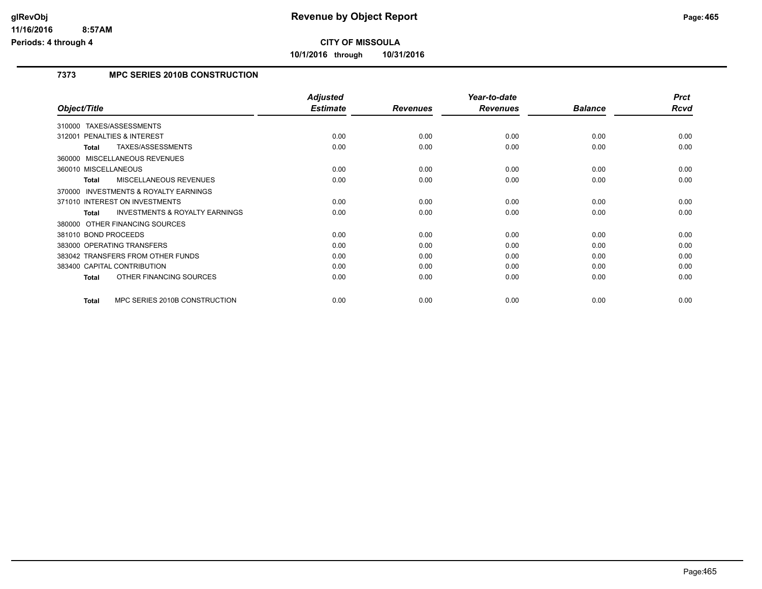**10/1/2016 through 10/31/2016**

#### **7373 MPC SERIES 2010B CONSTRUCTION**

|                                                           | <b>Adjusted</b> |                 | Year-to-date    |                | <b>Prct</b> |
|-----------------------------------------------------------|-----------------|-----------------|-----------------|----------------|-------------|
| Object/Title                                              | <b>Estimate</b> | <b>Revenues</b> | <b>Revenues</b> | <b>Balance</b> | Rcvd        |
| TAXES/ASSESSMENTS<br>310000                               |                 |                 |                 |                |             |
| 312001 PENALTIES & INTEREST                               | 0.00            | 0.00            | 0.00            | 0.00           | 0.00        |
| TAXES/ASSESSMENTS<br><b>Total</b>                         | 0.00            | 0.00            | 0.00            | 0.00           | 0.00        |
| 360000 MISCELLANEOUS REVENUES                             |                 |                 |                 |                |             |
| 360010 MISCELLANEOUS                                      | 0.00            | 0.00            | 0.00            | 0.00           | 0.00        |
| <b>MISCELLANEOUS REVENUES</b><br><b>Total</b>             | 0.00            | 0.00            | 0.00            | 0.00           | 0.00        |
| <b>INVESTMENTS &amp; ROYALTY EARNINGS</b><br>370000       |                 |                 |                 |                |             |
| 371010 INTEREST ON INVESTMENTS                            | 0.00            | 0.00            | 0.00            | 0.00           | 0.00        |
| <b>INVESTMENTS &amp; ROYALTY EARNINGS</b><br><b>Total</b> | 0.00            | 0.00            | 0.00            | 0.00           | 0.00        |
| 380000 OTHER FINANCING SOURCES                            |                 |                 |                 |                |             |
| 381010 BOND PROCEEDS                                      | 0.00            | 0.00            | 0.00            | 0.00           | 0.00        |
| 383000 OPERATING TRANSFERS                                | 0.00            | 0.00            | 0.00            | 0.00           | 0.00        |
| 383042 TRANSFERS FROM OTHER FUNDS                         | 0.00            | 0.00            | 0.00            | 0.00           | 0.00        |
| 383400 CAPITAL CONTRIBUTION                               | 0.00            | 0.00            | 0.00            | 0.00           | 0.00        |
| OTHER FINANCING SOURCES<br>Total                          | 0.00            | 0.00            | 0.00            | 0.00           | 0.00        |
| MPC SERIES 2010B CONSTRUCTION<br>Total                    | 0.00            | 0.00            | 0.00            | 0.00           | 0.00        |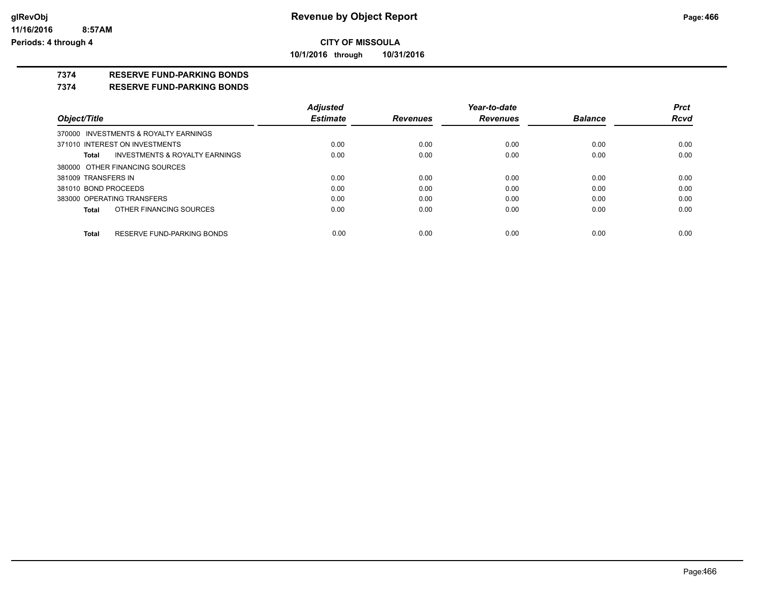**10/1/2016 through 10/31/2016**

#### **7374 RESERVE FUND-PARKING BONDS**

#### **7374 RESERVE FUND-PARKING BONDS**

|                                         | <b>Adjusted</b> |                 | Year-to-date    |                | <b>Prct</b> |
|-----------------------------------------|-----------------|-----------------|-----------------|----------------|-------------|
| Object/Title                            | <b>Estimate</b> | <b>Revenues</b> | <b>Revenues</b> | <b>Balance</b> | <b>Rcvd</b> |
| 370000 INVESTMENTS & ROYALTY EARNINGS   |                 |                 |                 |                |             |
| 371010 INTEREST ON INVESTMENTS          | 0.00            | 0.00            | 0.00            | 0.00           | 0.00        |
| INVESTMENTS & ROYALTY EARNINGS<br>Total | 0.00            | 0.00            | 0.00            | 0.00           | 0.00        |
| 380000 OTHER FINANCING SOURCES          |                 |                 |                 |                |             |
| 381009 TRANSFERS IN                     | 0.00            | 0.00            | 0.00            | 0.00           | 0.00        |
| 381010 BOND PROCEEDS                    | 0.00            | 0.00            | 0.00            | 0.00           | 0.00        |
| 383000 OPERATING TRANSFERS              | 0.00            | 0.00            | 0.00            | 0.00           | 0.00        |
| OTHER FINANCING SOURCES<br>Total        | 0.00            | 0.00            | 0.00            | 0.00           | 0.00        |
| RESERVE FUND-PARKING BONDS<br>Total     | 0.00            | 0.00            | 0.00            | 0.00           | 0.00        |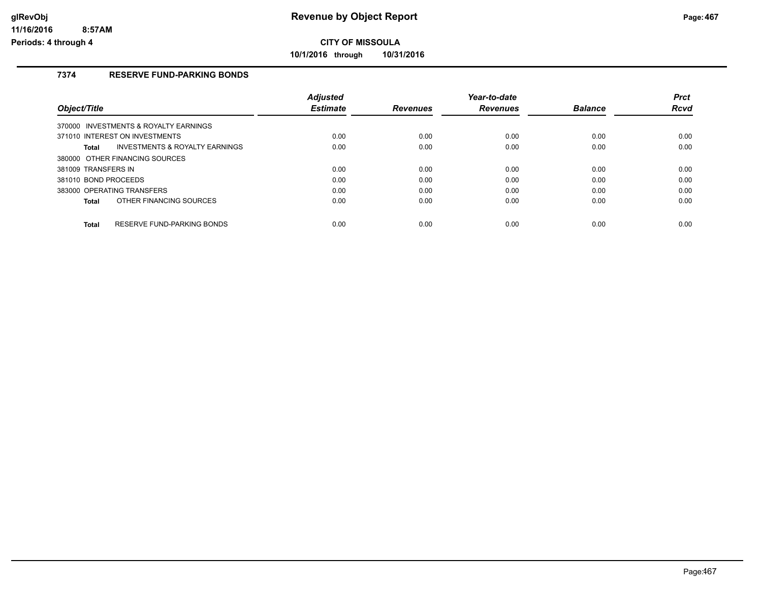**10/1/2016 through 10/31/2016**

#### **7374 RESERVE FUND-PARKING BONDS**

|                                                   | <b>Adjusted</b> |                 | Year-to-date    |                | <b>Prct</b> |
|---------------------------------------------------|-----------------|-----------------|-----------------|----------------|-------------|
| Object/Title                                      | <b>Estimate</b> | <b>Revenues</b> | <b>Revenues</b> | <b>Balance</b> | <b>Rcvd</b> |
| 370000 INVESTMENTS & ROYALTY EARNINGS             |                 |                 |                 |                |             |
| 371010 INTEREST ON INVESTMENTS                    | 0.00            | 0.00            | 0.00            | 0.00           | 0.00        |
| INVESTMENTS & ROYALTY EARNINGS<br><b>Total</b>    | 0.00            | 0.00            | 0.00            | 0.00           | 0.00        |
| 380000 OTHER FINANCING SOURCES                    |                 |                 |                 |                |             |
| 381009 TRANSFERS IN                               | 0.00            | 0.00            | 0.00            | 0.00           | 0.00        |
| 381010 BOND PROCEEDS                              | 0.00            | 0.00            | 0.00            | 0.00           | 0.00        |
| 383000 OPERATING TRANSFERS                        | 0.00            | 0.00            | 0.00            | 0.00           | 0.00        |
| OTHER FINANCING SOURCES<br><b>Total</b>           | 0.00            | 0.00            | 0.00            | 0.00           | 0.00        |
| <b>RESERVE FUND-PARKING BONDS</b><br><b>Total</b> | 0.00            | 0.00            | 0.00            | 0.00           | 0.00        |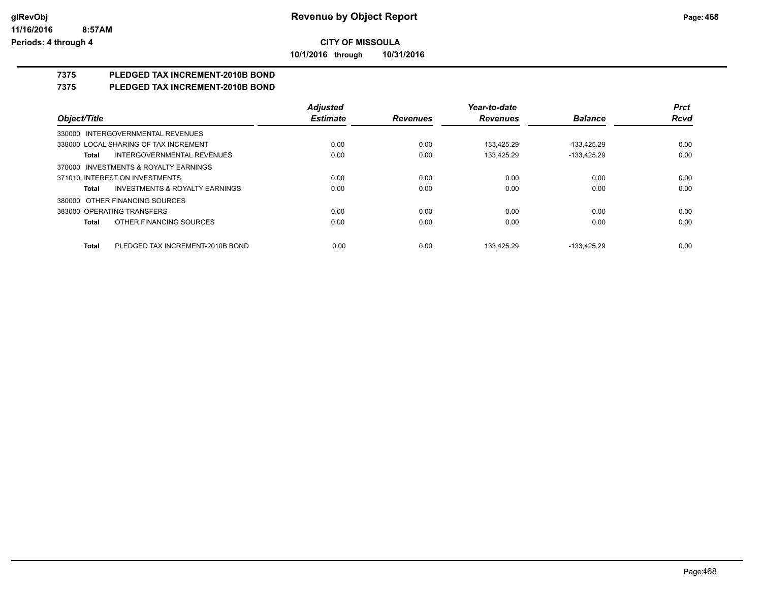**10/1/2016 through 10/31/2016**

# **7375 PLEDGED TAX INCREMENT-2010B BOND**

### **7375 PLEDGED TAX INCREMENT-2010B BOND**

|                                                    | <b>Adjusted</b> |                 | Year-to-date    |                | <b>Prct</b> |
|----------------------------------------------------|-----------------|-----------------|-----------------|----------------|-------------|
| Object/Title                                       | <b>Estimate</b> | <b>Revenues</b> | <b>Revenues</b> | <b>Balance</b> | <b>Rcvd</b> |
| 330000 INTERGOVERNMENTAL REVENUES                  |                 |                 |                 |                |             |
| 338000 LOCAL SHARING OF TAX INCREMENT              | 0.00            | 0.00            | 133.425.29      | -133.425.29    | 0.00        |
| <b>INTERGOVERNMENTAL REVENUES</b><br>Total         | 0.00            | 0.00            | 133.425.29      | $-133.425.29$  | 0.00        |
| 370000 INVESTMENTS & ROYALTY EARNINGS              |                 |                 |                 |                |             |
| 371010 INTEREST ON INVESTMENTS                     | 0.00            | 0.00            | 0.00            | 0.00           | 0.00        |
| <b>INVESTMENTS &amp; ROYALTY EARNINGS</b><br>Total | 0.00            | 0.00            | 0.00            | 0.00           | 0.00        |
| 380000 OTHER FINANCING SOURCES                     |                 |                 |                 |                |             |
| 383000 OPERATING TRANSFERS                         | 0.00            | 0.00            | 0.00            | 0.00           | 0.00        |
| OTHER FINANCING SOURCES<br>Total                   | 0.00            | 0.00            | 0.00            | 0.00           | 0.00        |
| PLEDGED TAX INCREMENT-2010B BOND<br>Total          | 0.00            | 0.00            | 133.425.29      | $-133.425.29$  | 0.00        |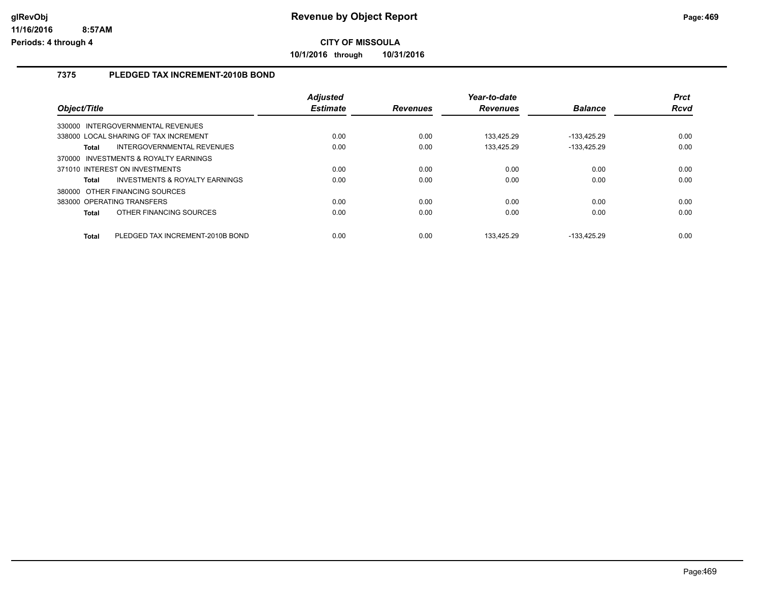**10/1/2016 through 10/31/2016**

## **7375 PLEDGED TAX INCREMENT-2010B BOND**

| Object/Title                                     | <b>Adjusted</b><br><b>Estimate</b> | <b>Revenues</b> | Year-to-date<br><b>Revenues</b> | <b>Balance</b> | <b>Prct</b><br><b>Rcvd</b> |
|--------------------------------------------------|------------------------------------|-----------------|---------------------------------|----------------|----------------------------|
| INTERGOVERNMENTAL REVENUES<br>330000             |                                    |                 |                                 |                |                            |
| 338000 LOCAL SHARING OF TAX INCREMENT            | 0.00                               | 0.00            | 133.425.29                      | $-133.425.29$  | 0.00                       |
| <b>INTERGOVERNMENTAL REVENUES</b><br>Total       | 0.00                               | 0.00            | 133,425.29                      | $-133,425.29$  | 0.00                       |
| 370000 INVESTMENTS & ROYALTY EARNINGS            |                                    |                 |                                 |                |                            |
| 371010 INTEREST ON INVESTMENTS                   | 0.00                               | 0.00            | 0.00                            | 0.00           | 0.00                       |
| INVESTMENTS & ROYALTY EARNINGS<br>Total          | 0.00                               | 0.00            | 0.00                            | 0.00           | 0.00                       |
| 380000 OTHER FINANCING SOURCES                   |                                    |                 |                                 |                |                            |
| 383000 OPERATING TRANSFERS                       | 0.00                               | 0.00            | 0.00                            | 0.00           | 0.00                       |
| OTHER FINANCING SOURCES<br><b>Total</b>          | 0.00                               | 0.00            | 0.00                            | 0.00           | 0.00                       |
| PLEDGED TAX INCREMENT-2010B BOND<br><b>Total</b> | 0.00                               | 0.00            | 133.425.29                      | $-133.425.29$  | 0.00                       |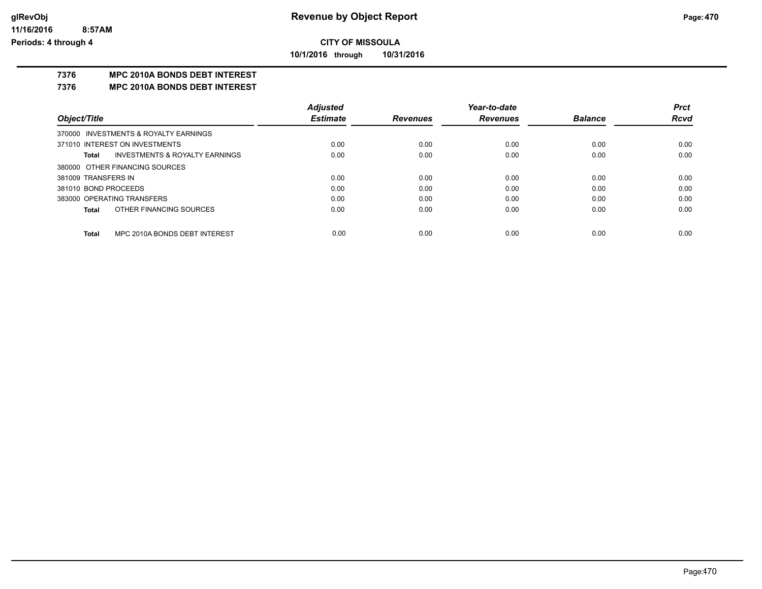**10/1/2016 through 10/31/2016**

## **7376 MPC 2010A BONDS DEBT INTEREST**

## **7376 MPC 2010A BONDS DEBT INTEREST**

|                      |                                           | <b>Adjusted</b> |                 | Year-to-date    |                | <b>Prct</b> |
|----------------------|-------------------------------------------|-----------------|-----------------|-----------------|----------------|-------------|
| Object/Title         |                                           | <b>Estimate</b> | <b>Revenues</b> | <b>Revenues</b> | <b>Balance</b> | <b>Rcvd</b> |
|                      | 370000 INVESTMENTS & ROYALTY EARNINGS     |                 |                 |                 |                |             |
|                      | 371010 INTEREST ON INVESTMENTS            | 0.00            | 0.00            | 0.00            | 0.00           | 0.00        |
| Total                | <b>INVESTMENTS &amp; ROYALTY EARNINGS</b> | 0.00            | 0.00            | 0.00            | 0.00           | 0.00        |
|                      | 380000 OTHER FINANCING SOURCES            |                 |                 |                 |                |             |
| 381009 TRANSFERS IN  |                                           | 0.00            | 0.00            | 0.00            | 0.00           | 0.00        |
| 381010 BOND PROCEEDS |                                           | 0.00            | 0.00            | 0.00            | 0.00           | 0.00        |
|                      | 383000 OPERATING TRANSFERS                | 0.00            | 0.00            | 0.00            | 0.00           | 0.00        |
| Total                | OTHER FINANCING SOURCES                   | 0.00            | 0.00            | 0.00            | 0.00           | 0.00        |
| Total                | MPC 2010A BONDS DEBT INTEREST             | 0.00            | 0.00            | 0.00            | 0.00           | 0.00        |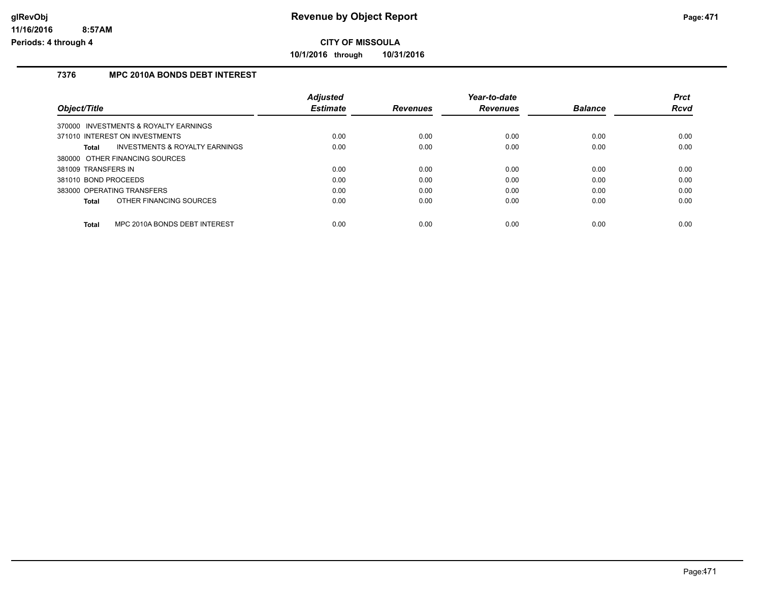**10/1/2016 through 10/31/2016**

## **7376 MPC 2010A BONDS DEBT INTEREST**

|                                                           | <b>Adjusted</b> |                 | Year-to-date    |                | <b>Prct</b> |
|-----------------------------------------------------------|-----------------|-----------------|-----------------|----------------|-------------|
| Object/Title                                              | <b>Estimate</b> | <b>Revenues</b> | <b>Revenues</b> | <b>Balance</b> | <b>Rcvd</b> |
| 370000 INVESTMENTS & ROYALTY EARNINGS                     |                 |                 |                 |                |             |
| 371010 INTEREST ON INVESTMENTS                            | 0.00            | 0.00            | 0.00            | 0.00           | 0.00        |
| <b>INVESTMENTS &amp; ROYALTY EARNINGS</b><br><b>Total</b> | 0.00            | 0.00            | 0.00            | 0.00           | 0.00        |
| 380000 OTHER FINANCING SOURCES                            |                 |                 |                 |                |             |
| 381009 TRANSFERS IN                                       | 0.00            | 0.00            | 0.00            | 0.00           | 0.00        |
| 381010 BOND PROCEEDS                                      | 0.00            | 0.00            | 0.00            | 0.00           | 0.00        |
| 383000 OPERATING TRANSFERS                                | 0.00            | 0.00            | 0.00            | 0.00           | 0.00        |
| OTHER FINANCING SOURCES<br><b>Total</b>                   | 0.00            | 0.00            | 0.00            | 0.00           | 0.00        |
| MPC 2010A BONDS DEBT INTEREST<br><b>Total</b>             | 0.00            | 0.00            | 0.00            | 0.00           | 0.00        |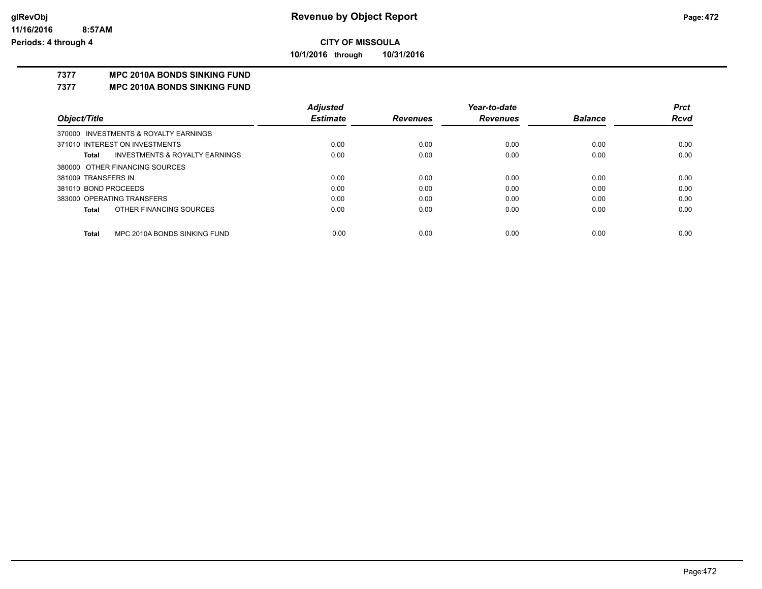**10/1/2016 through 10/31/2016**

## **7377 MPC 2010A BONDS SINKING FUND**

**7377 MPC 2010A BONDS SINKING FUND**

|                                       |                                           | <b>Adjusted</b> |                 | Year-to-date    |                | <b>Prct</b> |
|---------------------------------------|-------------------------------------------|-----------------|-----------------|-----------------|----------------|-------------|
| Object/Title                          |                                           | <b>Estimate</b> | <b>Revenues</b> | <b>Revenues</b> | <b>Balance</b> | <b>Rcvd</b> |
| 370000 INVESTMENTS & ROYALTY EARNINGS |                                           |                 |                 |                 |                |             |
| 371010 INTEREST ON INVESTMENTS        |                                           | 0.00            | 0.00            | 0.00            | 0.00           | 0.00        |
| <b>Total</b>                          | <b>INVESTMENTS &amp; ROYALTY EARNINGS</b> | 0.00            | 0.00            | 0.00            | 0.00           | 0.00        |
| 380000 OTHER FINANCING SOURCES        |                                           |                 |                 |                 |                |             |
| 381009 TRANSFERS IN                   |                                           | 0.00            | 0.00            | 0.00            | 0.00           | 0.00        |
| 381010 BOND PROCEEDS                  |                                           | 0.00            | 0.00            | 0.00            | 0.00           | 0.00        |
| 383000 OPERATING TRANSFERS            |                                           | 0.00            | 0.00            | 0.00            | 0.00           | 0.00        |
| <b>Total</b>                          | OTHER FINANCING SOURCES                   | 0.00            | 0.00            | 0.00            | 0.00           | 0.00        |
| <b>Total</b>                          | MPC 2010A BONDS SINKING FUND              | 0.00            | 0.00            | 0.00            | 0.00           | 0.00        |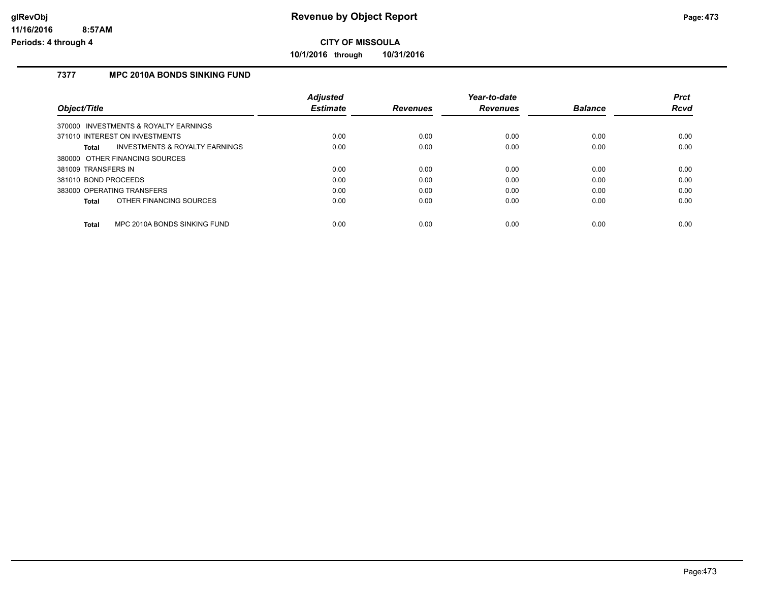**10/1/2016 through 10/31/2016**

## **7377 MPC 2010A BONDS SINKING FUND**

|                                                           | <b>Adjusted</b> |                 | Year-to-date    |                | <b>Prct</b> |
|-----------------------------------------------------------|-----------------|-----------------|-----------------|----------------|-------------|
| Object/Title                                              | <b>Estimate</b> | <b>Revenues</b> | <b>Revenues</b> | <b>Balance</b> | <b>Rcvd</b> |
| 370000 INVESTMENTS & ROYALTY EARNINGS                     |                 |                 |                 |                |             |
| 371010 INTEREST ON INVESTMENTS                            | 0.00            | 0.00            | 0.00            | 0.00           | 0.00        |
| <b>INVESTMENTS &amp; ROYALTY EARNINGS</b><br><b>Total</b> | 0.00            | 0.00            | 0.00            | 0.00           | 0.00        |
| 380000 OTHER FINANCING SOURCES                            |                 |                 |                 |                |             |
| 381009 TRANSFERS IN                                       | 0.00            | 0.00            | 0.00            | 0.00           | 0.00        |
| 381010 BOND PROCEEDS                                      | 0.00            | 0.00            | 0.00            | 0.00           | 0.00        |
| 383000 OPERATING TRANSFERS                                | 0.00            | 0.00            | 0.00            | 0.00           | 0.00        |
| OTHER FINANCING SOURCES<br><b>Total</b>                   | 0.00            | 0.00            | 0.00            | 0.00           | 0.00        |
| MPC 2010A BONDS SINKING FUND<br><b>Total</b>              | 0.00            | 0.00            | 0.00            | 0.00           | 0.00        |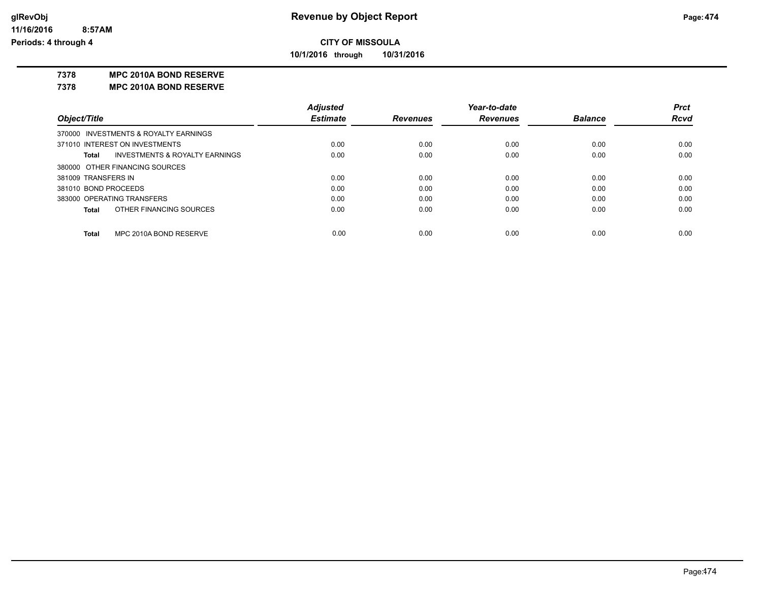**10/1/2016 through 10/31/2016**

#### **7378 MPC 2010A BOND RESERVE**

**7378 MPC 2010A BOND RESERVE**

|                      |                                       | <b>Adjusted</b> |                 | Year-to-date    |                | <b>Prct</b> |
|----------------------|---------------------------------------|-----------------|-----------------|-----------------|----------------|-------------|
| Object/Title         |                                       | <b>Estimate</b> | <b>Revenues</b> | <b>Revenues</b> | <b>Balance</b> | Rcvd        |
|                      | 370000 INVESTMENTS & ROYALTY EARNINGS |                 |                 |                 |                |             |
|                      | 371010 INTEREST ON INVESTMENTS        | 0.00            | 0.00            | 0.00            | 0.00           | 0.00        |
| Total                | INVESTMENTS & ROYALTY EARNINGS        | 0.00            | 0.00            | 0.00            | 0.00           | 0.00        |
|                      | 380000 OTHER FINANCING SOURCES        |                 |                 |                 |                |             |
| 381009 TRANSFERS IN  |                                       | 0.00            | 0.00            | 0.00            | 0.00           | 0.00        |
| 381010 BOND PROCEEDS |                                       | 0.00            | 0.00            | 0.00            | 0.00           | 0.00        |
|                      | 383000 OPERATING TRANSFERS            | 0.00            | 0.00            | 0.00            | 0.00           | 0.00        |
| Total                | OTHER FINANCING SOURCES               | 0.00            | 0.00            | 0.00            | 0.00           | 0.00        |
| <b>Total</b>         | MPC 2010A BOND RESERVE                | 0.00            | 0.00            | 0.00            | 0.00           | 0.00        |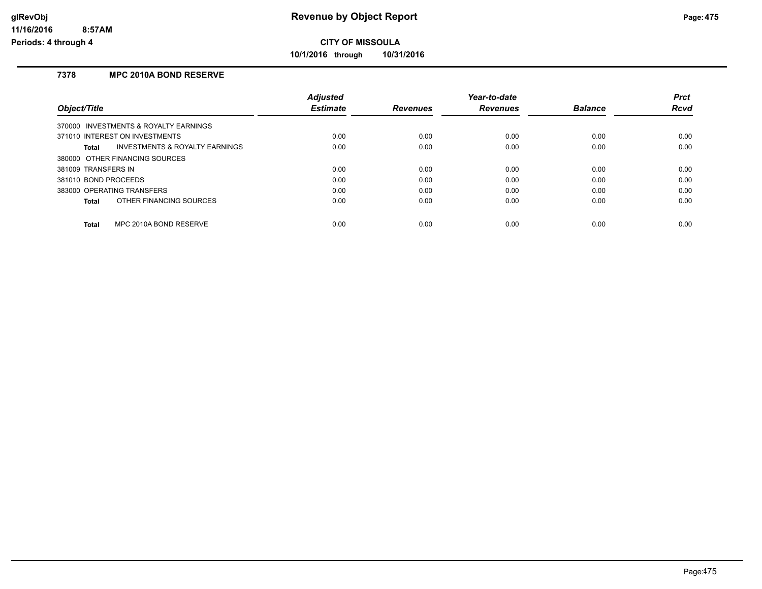**10/1/2016 through 10/31/2016**

## **7378 MPC 2010A BOND RESERVE**

|                                                | <b>Adjusted</b> |                 | Year-to-date    |                | <b>Prct</b> |
|------------------------------------------------|-----------------|-----------------|-----------------|----------------|-------------|
| Object/Title                                   | <b>Estimate</b> | <b>Revenues</b> | <b>Revenues</b> | <b>Balance</b> | <b>Rcvd</b> |
| 370000 INVESTMENTS & ROYALTY EARNINGS          |                 |                 |                 |                |             |
| 371010 INTEREST ON INVESTMENTS                 | 0.00            | 0.00            | 0.00            | 0.00           | 0.00        |
| INVESTMENTS & ROYALTY EARNINGS<br><b>Total</b> | 0.00            | 0.00            | 0.00            | 0.00           | 0.00        |
| 380000 OTHER FINANCING SOURCES                 |                 |                 |                 |                |             |
| 381009 TRANSFERS IN                            | 0.00            | 0.00            | 0.00            | 0.00           | 0.00        |
| 381010 BOND PROCEEDS                           | 0.00            | 0.00            | 0.00            | 0.00           | 0.00        |
| 383000 OPERATING TRANSFERS                     | 0.00            | 0.00            | 0.00            | 0.00           | 0.00        |
| OTHER FINANCING SOURCES<br><b>Total</b>        | 0.00            | 0.00            | 0.00            | 0.00           | 0.00        |
| MPC 2010A BOND RESERVE<br><b>Total</b>         | 0.00            | 0.00            | 0.00            | 0.00           | 0.00        |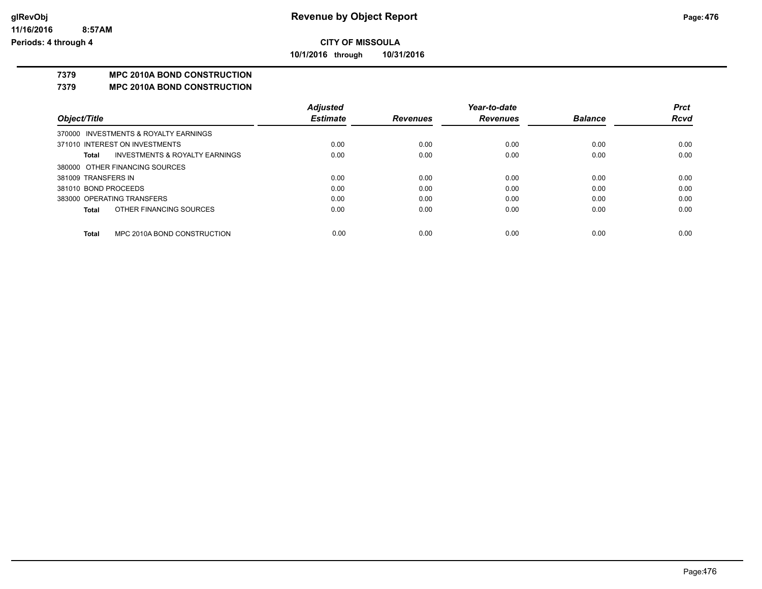**10/1/2016 through 10/31/2016**

## **7379 MPC 2010A BOND CONSTRUCTION**

#### **7379 MPC 2010A BOND CONSTRUCTION**

|                                |                                           | <b>Adjusted</b> |                 | Year-to-date    |                | <b>Prct</b> |
|--------------------------------|-------------------------------------------|-----------------|-----------------|-----------------|----------------|-------------|
| Object/Title                   |                                           | <b>Estimate</b> | <b>Revenues</b> | <b>Revenues</b> | <b>Balance</b> | <b>Rcvd</b> |
|                                | 370000 INVESTMENTS & ROYALTY EARNINGS     |                 |                 |                 |                |             |
| 371010 INTEREST ON INVESTMENTS |                                           | 0.00            | 0.00            | 0.00            | 0.00           | 0.00        |
| Total                          | <b>INVESTMENTS &amp; ROYALTY EARNINGS</b> | 0.00            | 0.00            | 0.00            | 0.00           | 0.00        |
| 380000 OTHER FINANCING SOURCES |                                           |                 |                 |                 |                |             |
| 381009 TRANSFERS IN            |                                           | 0.00            | 0.00            | 0.00            | 0.00           | 0.00        |
| 381010 BOND PROCEEDS           |                                           | 0.00            | 0.00            | 0.00            | 0.00           | 0.00        |
| 383000 OPERATING TRANSFERS     |                                           | 0.00            | 0.00            | 0.00            | 0.00           | 0.00        |
| Total                          | OTHER FINANCING SOURCES                   | 0.00            | 0.00            | 0.00            | 0.00           | 0.00        |
|                                |                                           |                 |                 |                 |                |             |
| Total                          | MPC 2010A BOND CONSTRUCTION               | 0.00            | 0.00            | 0.00            | 0.00           | 0.00        |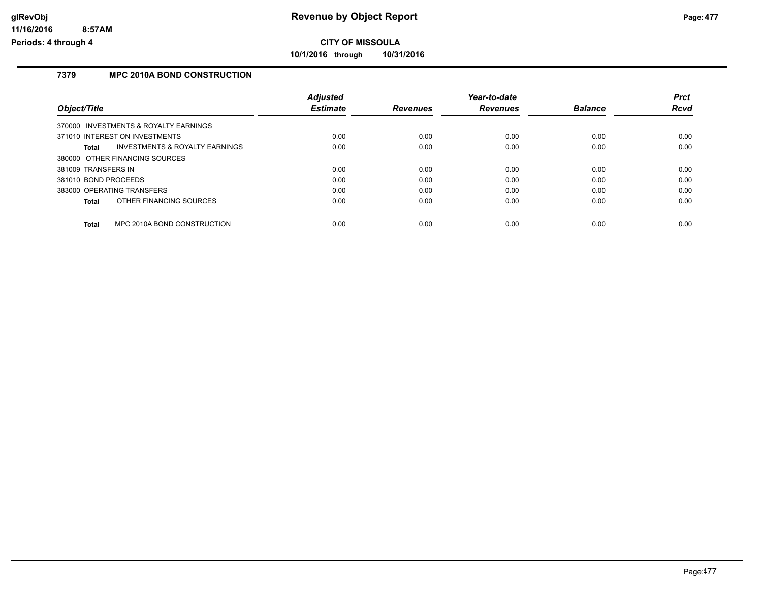**10/1/2016 through 10/31/2016**

## **7379 MPC 2010A BOND CONSTRUCTION**

|                                                | <b>Adjusted</b> |                 | Year-to-date    |                | <b>Prct</b> |
|------------------------------------------------|-----------------|-----------------|-----------------|----------------|-------------|
| Object/Title                                   | <b>Estimate</b> | <b>Revenues</b> | <b>Revenues</b> | <b>Balance</b> | <b>Rcvd</b> |
| 370000 INVESTMENTS & ROYALTY EARNINGS          |                 |                 |                 |                |             |
| 371010 INTEREST ON INVESTMENTS                 | 0.00            | 0.00            | 0.00            | 0.00           | 0.00        |
| INVESTMENTS & ROYALTY EARNINGS<br><b>Total</b> | 0.00            | 0.00            | 0.00            | 0.00           | 0.00        |
| 380000 OTHER FINANCING SOURCES                 |                 |                 |                 |                |             |
| 381009 TRANSFERS IN                            | 0.00            | 0.00            | 0.00            | 0.00           | 0.00        |
| 381010 BOND PROCEEDS                           | 0.00            | 0.00            | 0.00            | 0.00           | 0.00        |
| 383000 OPERATING TRANSFERS                     | 0.00            | 0.00            | 0.00            | 0.00           | 0.00        |
| OTHER FINANCING SOURCES<br><b>Total</b>        | 0.00            | 0.00            | 0.00            | 0.00           | 0.00        |
| MPC 2010A BOND CONSTRUCTION<br><b>Total</b>    | 0.00            | 0.00            | 0.00            | 0.00           | 0.00        |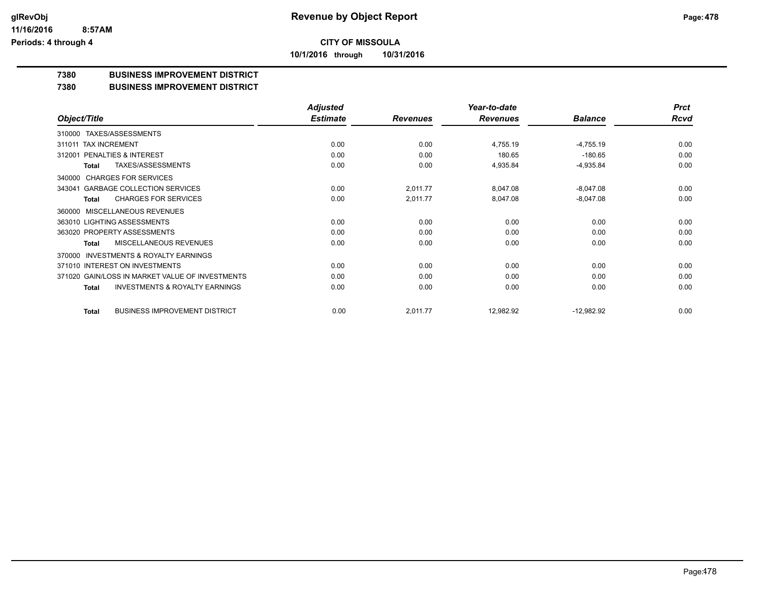**10/1/2016 through 10/31/2016**

## **7380 BUSINESS IMPROVEMENT DISTRICT**

#### **7380 BUSINESS IMPROVEMENT DISTRICT**

|                                                           | <b>Adjusted</b> |                 | Year-to-date    |                | <b>Prct</b> |
|-----------------------------------------------------------|-----------------|-----------------|-----------------|----------------|-------------|
| Object/Title                                              | <b>Estimate</b> | <b>Revenues</b> | <b>Revenues</b> | <b>Balance</b> | Rcvd        |
| 310000 TAXES/ASSESSMENTS                                  |                 |                 |                 |                |             |
| <b>TAX INCREMENT</b><br>311011                            | 0.00            | 0.00            | 4,755.19        | $-4,755.19$    | 0.00        |
| PENALTIES & INTEREST<br>312001                            | 0.00            | 0.00            | 180.65          | $-180.65$      | 0.00        |
| TAXES/ASSESSMENTS<br><b>Total</b>                         | 0.00            | 0.00            | 4,935.84        | $-4,935.84$    | 0.00        |
| <b>CHARGES FOR SERVICES</b><br>340000                     |                 |                 |                 |                |             |
| 343041 GARBAGE COLLECTION SERVICES                        | 0.00            | 2,011.77        | 8,047.08        | $-8,047.08$    | 0.00        |
| <b>CHARGES FOR SERVICES</b><br><b>Total</b>               | 0.00            | 2,011.77        | 8,047.08        | $-8,047.08$    | 0.00        |
| MISCELLANEOUS REVENUES<br>360000                          |                 |                 |                 |                |             |
| 363010 LIGHTING ASSESSMENTS                               | 0.00            | 0.00            | 0.00            | 0.00           | 0.00        |
| 363020 PROPERTY ASSESSMENTS                               | 0.00            | 0.00            | 0.00            | 0.00           | 0.00        |
| <b>MISCELLANEOUS REVENUES</b><br><b>Total</b>             | 0.00            | 0.00            | 0.00            | 0.00           | 0.00        |
| <b>INVESTMENTS &amp; ROYALTY EARNINGS</b><br>370000       |                 |                 |                 |                |             |
| 371010 INTEREST ON INVESTMENTS                            | 0.00            | 0.00            | 0.00            | 0.00           | 0.00        |
| 371020 GAIN/LOSS IN MARKET VALUE OF INVESTMENTS           | 0.00            | 0.00            | 0.00            | 0.00           | 0.00        |
| <b>INVESTMENTS &amp; ROYALTY EARNINGS</b><br><b>Total</b> | 0.00            | 0.00            | 0.00            | 0.00           | 0.00        |
| <b>BUSINESS IMPROVEMENT DISTRICT</b><br><b>Total</b>      | 0.00            | 2,011.77        | 12,982.92       | $-12,982.92$   | 0.00        |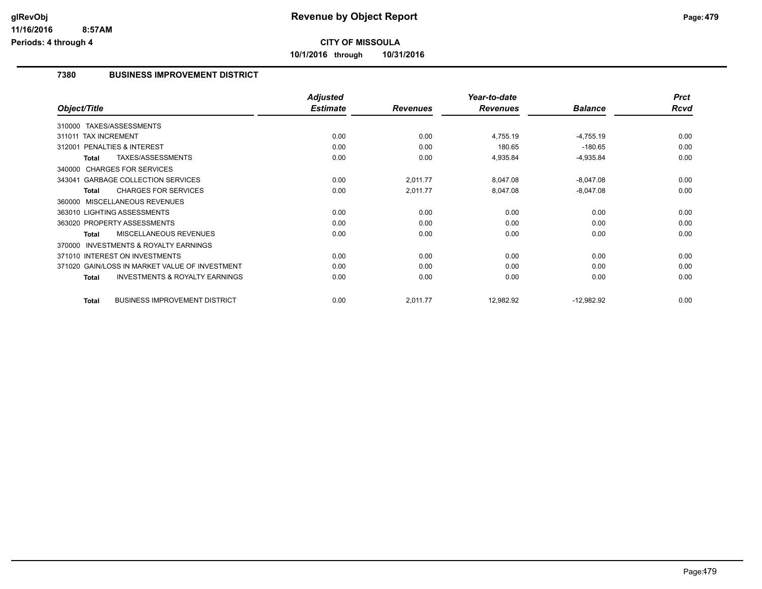**10/1/2016 through 10/31/2016**

## **7380 BUSINESS IMPROVEMENT DISTRICT**

|                                                           | <b>Adjusted</b> |                 | Year-to-date    |                | <b>Prct</b> |
|-----------------------------------------------------------|-----------------|-----------------|-----------------|----------------|-------------|
| Object/Title                                              | <b>Estimate</b> | <b>Revenues</b> | <b>Revenues</b> | <b>Balance</b> | <b>Rcvd</b> |
| TAXES/ASSESSMENTS<br>310000                               |                 |                 |                 |                |             |
| <b>TAX INCREMENT</b><br>311011                            | 0.00            | 0.00            | 4,755.19        | $-4,755.19$    | 0.00        |
| <b>PENALTIES &amp; INTEREST</b><br>312001                 | 0.00            | 0.00            | 180.65          | $-180.65$      | 0.00        |
| TAXES/ASSESSMENTS<br><b>Total</b>                         | 0.00            | 0.00            | 4,935.84        | $-4,935.84$    | 0.00        |
| 340000 CHARGES FOR SERVICES                               |                 |                 |                 |                |             |
| <b>GARBAGE COLLECTION SERVICES</b><br>343041              | 0.00            | 2,011.77        | 8,047.08        | $-8,047.08$    | 0.00        |
| <b>CHARGES FOR SERVICES</b><br><b>Total</b>               | 0.00            | 2,011.77        | 8,047.08        | $-8,047.08$    | 0.00        |
| MISCELLANEOUS REVENUES<br>360000                          |                 |                 |                 |                |             |
| 363010 LIGHTING ASSESSMENTS                               | 0.00            | 0.00            | 0.00            | 0.00           | 0.00        |
| 363020 PROPERTY ASSESSMENTS                               | 0.00            | 0.00            | 0.00            | 0.00           | 0.00        |
| MISCELLANEOUS REVENUES<br><b>Total</b>                    | 0.00            | 0.00            | 0.00            | 0.00           | 0.00        |
| INVESTMENTS & ROYALTY EARNINGS<br>370000                  |                 |                 |                 |                |             |
| 371010 INTEREST ON INVESTMENTS                            | 0.00            | 0.00            | 0.00            | 0.00           | 0.00        |
| 371020 GAIN/LOSS IN MARKET VALUE OF INVESTMENT            | 0.00            | 0.00            | 0.00            | 0.00           | 0.00        |
| <b>INVESTMENTS &amp; ROYALTY EARNINGS</b><br><b>Total</b> | 0.00            | 0.00            | 0.00            | 0.00           | 0.00        |
| <b>BUSINESS IMPROVEMENT DISTRICT</b><br><b>Total</b>      | 0.00            | 2,011.77        | 12,982.92       | $-12,982.92$   | 0.00        |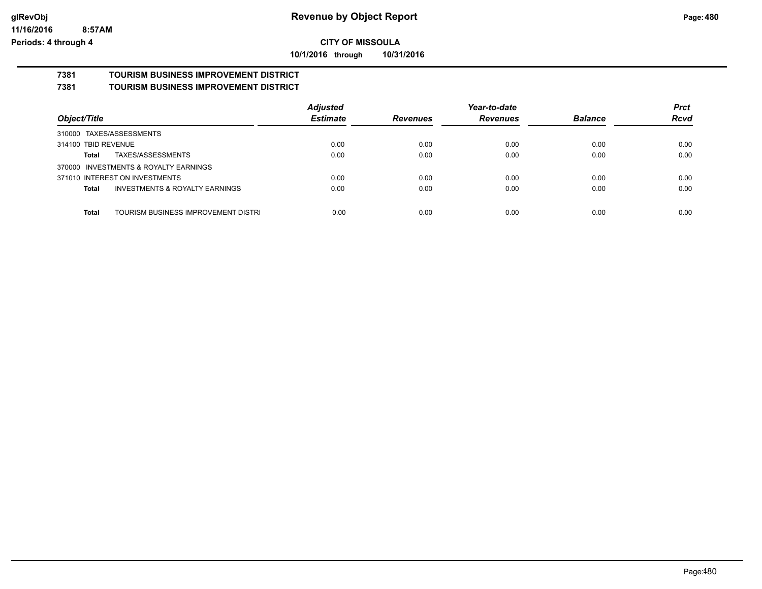**Periods: 4 through 4**

 **8:57AM**

**glRevObj Revenue by Object Report Page:480** 

**CITY OF MISSOULA**

**10/1/2016 through 10/31/2016**

# **7381 TOURISM BUSINESS IMPROVEMENT DISTRICT**

## **7381 TOURISM BUSINESS IMPROVEMENT DISTRICT**

|                                                     | <b>Adjusted</b> |                 | Year-to-date    |                | <b>Prct</b> |
|-----------------------------------------------------|-----------------|-----------------|-----------------|----------------|-------------|
| Object/Title                                        | <b>Estimate</b> | <b>Revenues</b> | <b>Revenues</b> | <b>Balance</b> | <b>Rcvd</b> |
| 310000 TAXES/ASSESSMENTS                            |                 |                 |                 |                |             |
| 314100 TBID REVENUE                                 | 0.00            | 0.00            | 0.00            | 0.00           | 0.00        |
| TAXES/ASSESSMENTS<br>Total                          | 0.00            | 0.00            | 0.00            | 0.00           | 0.00        |
| 370000 INVESTMENTS & ROYALTY EARNINGS               |                 |                 |                 |                |             |
| 371010 INTEREST ON INVESTMENTS                      | 0.00            | 0.00            | 0.00            | 0.00           | 0.00        |
| <b>INVESTMENTS &amp; ROYALTY EARNINGS</b><br>Total  | 0.00            | 0.00            | 0.00            | 0.00           | 0.00        |
|                                                     |                 |                 |                 |                |             |
| TOURISM BUSINESS IMPROVEMENT DISTRI<br><b>Total</b> | 0.00            | 0.00            | 0.00            | 0.00           | 0.00        |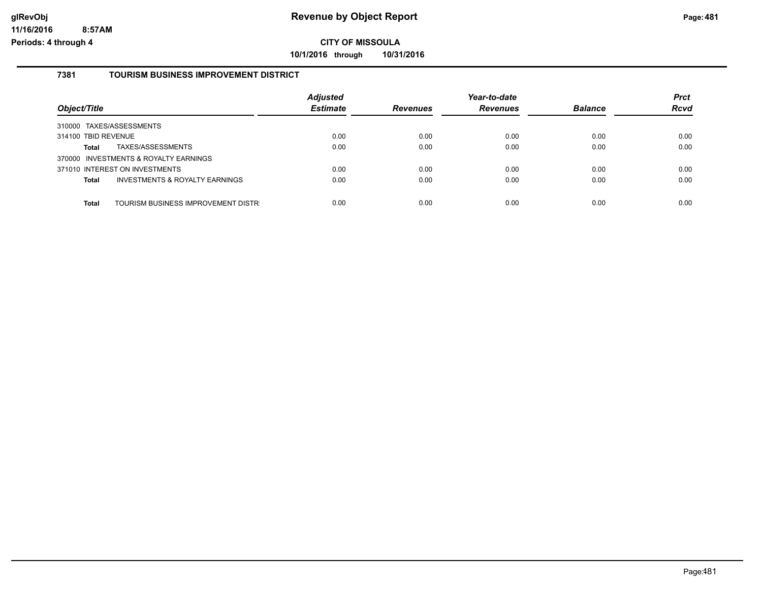**10/1/2016 through 10/31/2016**

## **7381 TOURISM BUSINESS IMPROVEMENT DISTRICT**

| Object/Title                                       | <b>Adjusted</b><br><b>Estimate</b> | <b>Revenues</b> | Year-to-date<br><b>Revenues</b> | <b>Balance</b> | <b>Prct</b><br><b>Rcvd</b> |
|----------------------------------------------------|------------------------------------|-----------------|---------------------------------|----------------|----------------------------|
| 310000 TAXES/ASSESSMENTS                           |                                    |                 |                                 |                |                            |
| 314100 TBID REVENUE                                | 0.00                               | 0.00            | 0.00                            | 0.00           | 0.00                       |
| TAXES/ASSESSMENTS<br><b>Total</b>                  | 0.00                               | 0.00            | 0.00                            | 0.00           | 0.00                       |
| 370000 INVESTMENTS & ROYALTY EARNINGS              |                                    |                 |                                 |                |                            |
| 371010 INTEREST ON INVESTMENTS                     | 0.00                               | 0.00            | 0.00                            | 0.00           | 0.00                       |
| INVESTMENTS & ROYALTY EARNINGS<br><b>Total</b>     | 0.00                               | 0.00            | 0.00                            | 0.00           | 0.00                       |
|                                                    |                                    |                 |                                 |                |                            |
| TOURISM BUSINESS IMPROVEMENT DISTR<br><b>Total</b> | 0.00                               | 0.00            | 0.00                            | 0.00           | 0.00                       |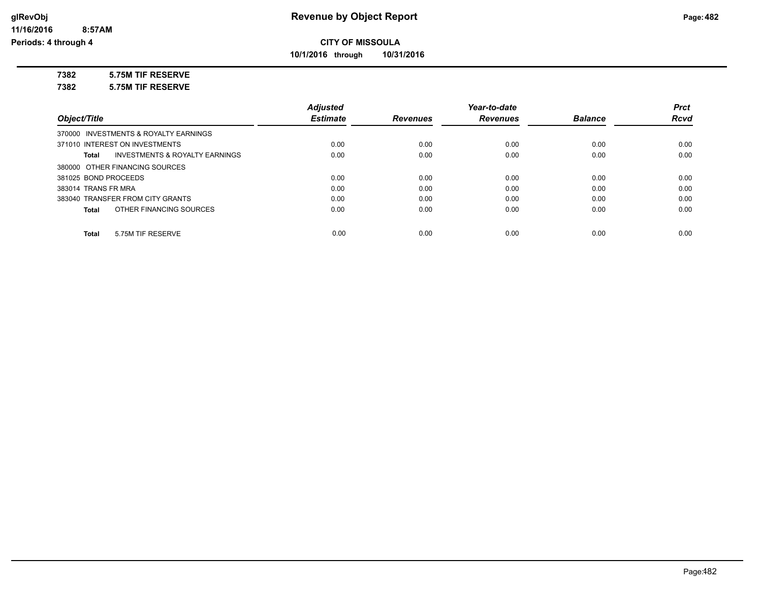**10/1/2016 through 10/31/2016**

## **7382 5.75M TIF RESERVE**

**7382 5.75M TIF RESERVE**

|                                         | <b>Adjusted</b> |                 | Year-to-date    |                | <b>Prct</b> |
|-----------------------------------------|-----------------|-----------------|-----------------|----------------|-------------|
| Object/Title                            | <b>Estimate</b> | <b>Revenues</b> | <b>Revenues</b> | <b>Balance</b> | <b>Rcvd</b> |
| 370000 INVESTMENTS & ROYALTY EARNINGS   |                 |                 |                 |                |             |
| 371010 INTEREST ON INVESTMENTS          | 0.00            | 0.00            | 0.00            | 0.00           | 0.00        |
| INVESTMENTS & ROYALTY EARNINGS<br>Total | 0.00            | 0.00            | 0.00            | 0.00           | 0.00        |
| 380000 OTHER FINANCING SOURCES          |                 |                 |                 |                |             |
| 381025 BOND PROCEEDS                    | 0.00            | 0.00            | 0.00            | 0.00           | 0.00        |
| 383014 TRANS FR MRA                     | 0.00            | 0.00            | 0.00            | 0.00           | 0.00        |
| 383040 TRANSFER FROM CITY GRANTS        | 0.00            | 0.00            | 0.00            | 0.00           | 0.00        |
| OTHER FINANCING SOURCES<br>Total        | 0.00            | 0.00            | 0.00            | 0.00           | 0.00        |
|                                         |                 |                 |                 |                |             |
| 5.75M TIF RESERVE<br><b>Total</b>       | 0.00            | 0.00            | 0.00            | 0.00           | 0.00        |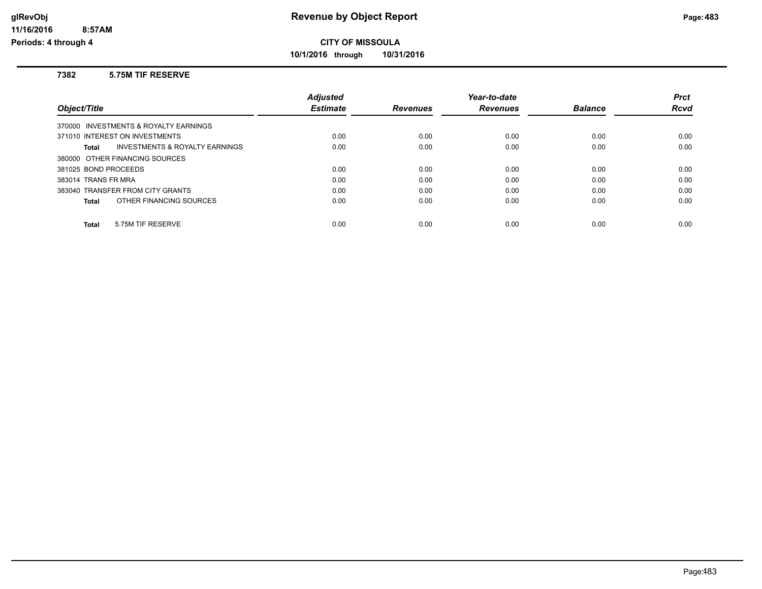**10/1/2016 through 10/31/2016**

#### **7382 5.75M TIF RESERVE**

|                                                    | <b>Adiusted</b> |                 | Year-to-date    |                | <b>Prct</b> |
|----------------------------------------------------|-----------------|-----------------|-----------------|----------------|-------------|
| Object/Title                                       | <b>Estimate</b> | <b>Revenues</b> | <b>Revenues</b> | <b>Balance</b> | <b>Rcvd</b> |
| 370000 INVESTMENTS & ROYALTY EARNINGS              |                 |                 |                 |                |             |
| 371010 INTEREST ON INVESTMENTS                     | 0.00            | 0.00            | 0.00            | 0.00           | 0.00        |
| <b>INVESTMENTS &amp; ROYALTY EARNINGS</b><br>Total | 0.00            | 0.00            | 0.00            | 0.00           | 0.00        |
| 380000 OTHER FINANCING SOURCES                     |                 |                 |                 |                |             |
| 381025 BOND PROCEEDS                               | 0.00            | 0.00            | 0.00            | 0.00           | 0.00        |
| 383014 TRANS FR MRA                                | 0.00            | 0.00            | 0.00            | 0.00           | 0.00        |
| 383040 TRANSFER FROM CITY GRANTS                   | 0.00            | 0.00            | 0.00            | 0.00           | 0.00        |
| OTHER FINANCING SOURCES<br>Total                   | 0.00            | 0.00            | 0.00            | 0.00           | 0.00        |
|                                                    |                 |                 |                 |                |             |
| 5.75M TIF RESERVE<br><b>Total</b>                  | 0.00            | 0.00            | 0.00            | 0.00           | 0.00        |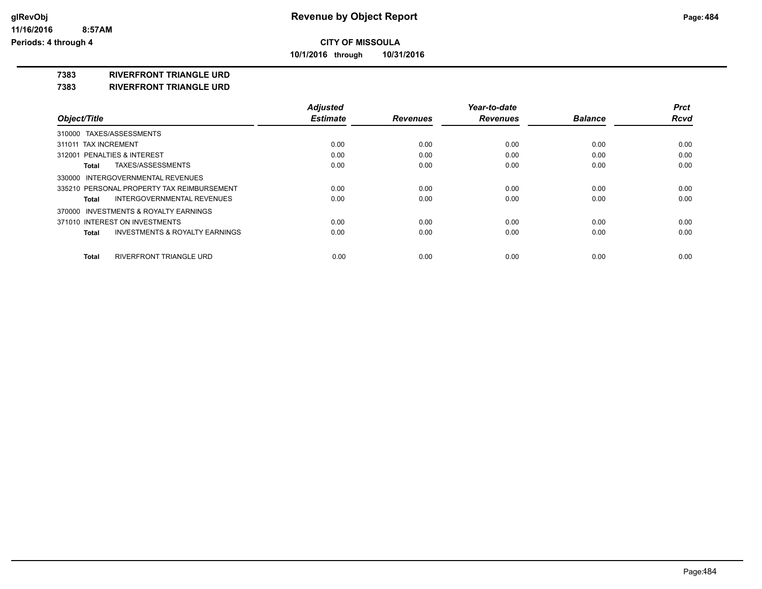**10/1/2016 through 10/31/2016**

#### **7383 RIVERFRONT TRIANGLE URD**

**7383 RIVERFRONT TRIANGLE URD**

|                                                    | <b>Adjusted</b> |                 | Year-to-date    |                | <b>Prct</b> |
|----------------------------------------------------|-----------------|-----------------|-----------------|----------------|-------------|
| Object/Title                                       | <b>Estimate</b> | <b>Revenues</b> | <b>Revenues</b> | <b>Balance</b> | <b>Rcvd</b> |
| 310000 TAXES/ASSESSMENTS                           |                 |                 |                 |                |             |
| 311011 TAX INCREMENT                               | 0.00            | 0.00            | 0.00            | 0.00           | 0.00        |
| 312001 PENALTIES & INTEREST                        | 0.00            | 0.00            | 0.00            | 0.00           | 0.00        |
| TAXES/ASSESSMENTS<br>Total                         | 0.00            | 0.00            | 0.00            | 0.00           | 0.00        |
| 330000 INTERGOVERNMENTAL REVENUES                  |                 |                 |                 |                |             |
| 335210 PERSONAL PROPERTY TAX REIMBURSEMENT         | 0.00            | 0.00            | 0.00            | 0.00           | 0.00        |
| <b>INTERGOVERNMENTAL REVENUES</b><br>Total         | 0.00            | 0.00            | 0.00            | 0.00           | 0.00        |
| 370000 INVESTMENTS & ROYALTY EARNINGS              |                 |                 |                 |                |             |
| 371010 INTEREST ON INVESTMENTS                     | 0.00            | 0.00            | 0.00            | 0.00           | 0.00        |
| <b>INVESTMENTS &amp; ROYALTY EARNINGS</b><br>Total | 0.00            | 0.00            | 0.00            | 0.00           | 0.00        |
| <b>RIVERFRONT TRIANGLE URD</b><br><b>Total</b>     | 0.00            | 0.00            | 0.00            | 0.00           | 0.00        |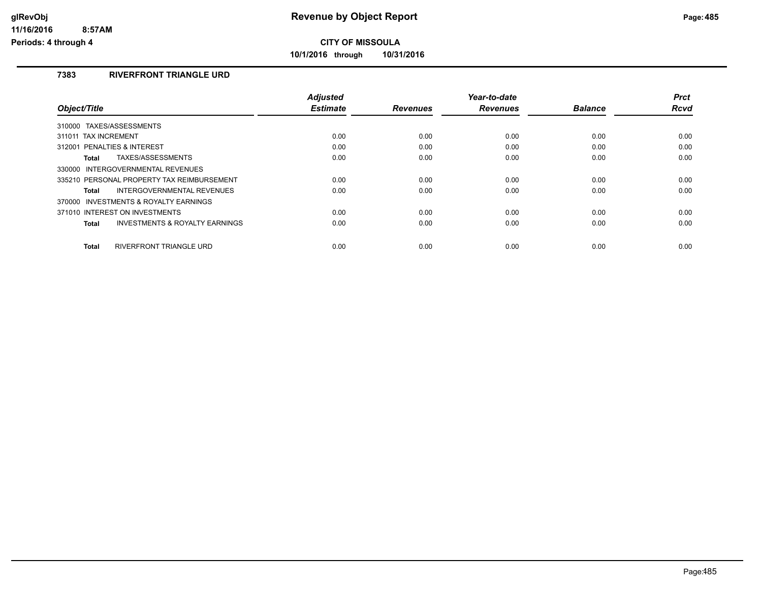**10/1/2016 through 10/31/2016**

## **7383 RIVERFRONT TRIANGLE URD**

|                                                    | <b>Adjusted</b> |                 | Year-to-date    |                | <b>Prct</b> |
|----------------------------------------------------|-----------------|-----------------|-----------------|----------------|-------------|
| Object/Title                                       | <b>Estimate</b> | <b>Revenues</b> | <b>Revenues</b> | <b>Balance</b> | <b>Rcvd</b> |
| 310000 TAXES/ASSESSMENTS                           |                 |                 |                 |                |             |
| 311011 TAX INCREMENT                               | 0.00            | 0.00            | 0.00            | 0.00           | 0.00        |
| PENALTIES & INTEREST<br>312001                     | 0.00            | 0.00            | 0.00            | 0.00           | 0.00        |
| TAXES/ASSESSMENTS<br>Total                         | 0.00            | 0.00            | 0.00            | 0.00           | 0.00        |
| 330000 INTERGOVERNMENTAL REVENUES                  |                 |                 |                 |                |             |
| 335210 PERSONAL PROPERTY TAX REIMBURSEMENT         | 0.00            | 0.00            | 0.00            | 0.00           | 0.00        |
| <b>INTERGOVERNMENTAL REVENUES</b><br>Total         | 0.00            | 0.00            | 0.00            | 0.00           | 0.00        |
| 370000 INVESTMENTS & ROYALTY EARNINGS              |                 |                 |                 |                |             |
| 371010 INTEREST ON INVESTMENTS                     | 0.00            | 0.00            | 0.00            | 0.00           | 0.00        |
| <b>INVESTMENTS &amp; ROYALTY EARNINGS</b><br>Total | 0.00            | 0.00            | 0.00            | 0.00           | 0.00        |
|                                                    |                 |                 |                 |                |             |
| <b>RIVERFRONT TRIANGLE URD</b><br><b>Total</b>     | 0.00            | 0.00            | 0.00            | 0.00           | 0.00        |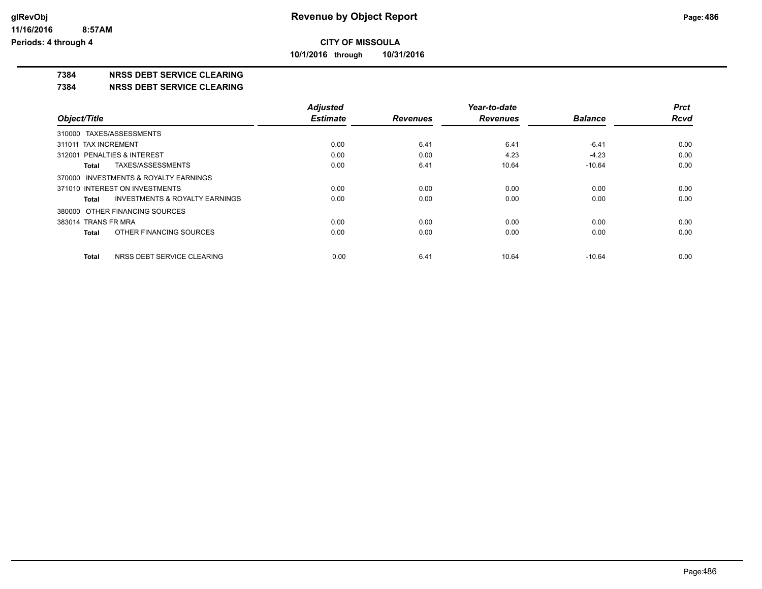**10/1/2016 through 10/31/2016**

## **7384 NRSS DEBT SERVICE CLEARING**

**7384 NRSS DEBT SERVICE CLEARING**

|                                                    | <b>Adjusted</b> |                 | Year-to-date    |                | <b>Prct</b> |
|----------------------------------------------------|-----------------|-----------------|-----------------|----------------|-------------|
| Object/Title                                       | <b>Estimate</b> | <b>Revenues</b> | <b>Revenues</b> | <b>Balance</b> | <b>Rcvd</b> |
| 310000 TAXES/ASSESSMENTS                           |                 |                 |                 |                |             |
| 311011 TAX INCREMENT                               | 0.00            | 6.41            | 6.41            | $-6.41$        | 0.00        |
| 312001 PENALTIES & INTEREST                        | 0.00            | 0.00            | 4.23            | $-4.23$        | 0.00        |
| TAXES/ASSESSMENTS<br>Total                         | 0.00            | 6.41            | 10.64           | $-10.64$       | 0.00        |
| 370000 INVESTMENTS & ROYALTY EARNINGS              |                 |                 |                 |                |             |
| 371010 INTEREST ON INVESTMENTS                     | 0.00            | 0.00            | 0.00            | 0.00           | 0.00        |
| <b>INVESTMENTS &amp; ROYALTY EARNINGS</b><br>Total | 0.00            | 0.00            | 0.00            | 0.00           | 0.00        |
| 380000 OTHER FINANCING SOURCES                     |                 |                 |                 |                |             |
| 383014 TRANS FR MRA                                | 0.00            | 0.00            | 0.00            | 0.00           | 0.00        |
| OTHER FINANCING SOURCES<br><b>Total</b>            | 0.00            | 0.00            | 0.00            | 0.00           | 0.00        |
| NRSS DEBT SERVICE CLEARING<br>Total                | 0.00            | 6.41            | 10.64           | $-10.64$       | 0.00        |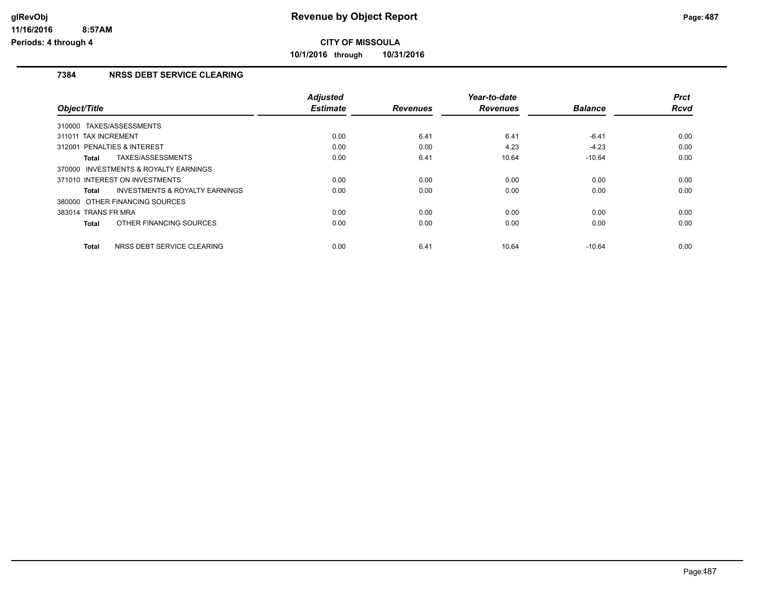**10/1/2016 through 10/31/2016**

## **7384 NRSS DEBT SERVICE CLEARING**

|                                                    | <b>Adjusted</b> |                 | Year-to-date    |                | <b>Prct</b> |
|----------------------------------------------------|-----------------|-----------------|-----------------|----------------|-------------|
| Object/Title                                       | <b>Estimate</b> | <b>Revenues</b> | <b>Revenues</b> | <b>Balance</b> | <b>Rcvd</b> |
| 310000 TAXES/ASSESSMENTS                           |                 |                 |                 |                |             |
| 311011 TAX INCREMENT                               | 0.00            | 6.41            | 6.41            | $-6.41$        | 0.00        |
| PENALTIES & INTEREST<br>312001                     | 0.00            | 0.00            | 4.23            | $-4.23$        | 0.00        |
| TAXES/ASSESSMENTS<br>Total                         | 0.00            | 6.41            | 10.64           | $-10.64$       | 0.00        |
| 370000 INVESTMENTS & ROYALTY EARNINGS              |                 |                 |                 |                |             |
| 371010 INTEREST ON INVESTMENTS                     | 0.00            | 0.00            | 0.00            | 0.00           | 0.00        |
| <b>INVESTMENTS &amp; ROYALTY EARNINGS</b><br>Total | 0.00            | 0.00            | 0.00            | 0.00           | 0.00        |
| 380000 OTHER FINANCING SOURCES                     |                 |                 |                 |                |             |
| 383014 TRANS FR MRA                                | 0.00            | 0.00            | 0.00            | 0.00           | 0.00        |
| OTHER FINANCING SOURCES<br>Total                   | 0.00            | 0.00            | 0.00            | 0.00           | 0.00        |
| NRSS DEBT SERVICE CLEARING<br><b>Total</b>         | 0.00            | 6.41            | 10.64           | $-10.64$       | 0.00        |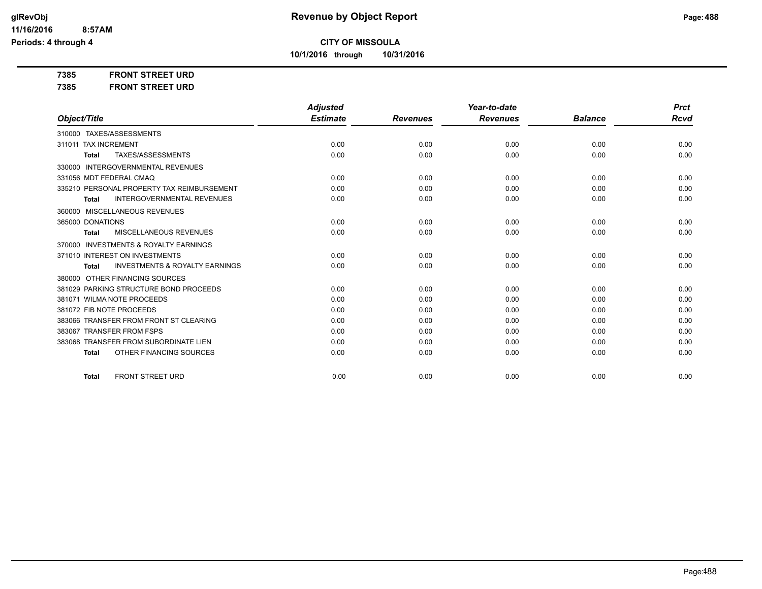**10/1/2016 through 10/31/2016**

**7385 FRONT STREET URD**

**7385 FRONT STREET URD**

|                                                           | <b>Adjusted</b> |                 | Year-to-date    |                | <b>Prct</b> |
|-----------------------------------------------------------|-----------------|-----------------|-----------------|----------------|-------------|
| Object/Title                                              | <b>Estimate</b> | <b>Revenues</b> | <b>Revenues</b> | <b>Balance</b> | <b>Rcvd</b> |
| 310000 TAXES/ASSESSMENTS                                  |                 |                 |                 |                |             |
| 311011 TAX INCREMENT                                      | 0.00            | 0.00            | 0.00            | 0.00           | 0.00        |
| TAXES/ASSESSMENTS<br>Total                                | 0.00            | 0.00            | 0.00            | 0.00           | 0.00        |
| 330000 INTERGOVERNMENTAL REVENUES                         |                 |                 |                 |                |             |
| 331056 MDT FEDERAL CMAQ                                   | 0.00            | 0.00            | 0.00            | 0.00           | 0.00        |
| 335210 PERSONAL PROPERTY TAX REIMBURSEMENT                | 0.00            | 0.00            | 0.00            | 0.00           | 0.00        |
| <b>INTERGOVERNMENTAL REVENUES</b><br><b>Total</b>         | 0.00            | 0.00            | 0.00            | 0.00           | 0.00        |
| 360000 MISCELLANEOUS REVENUES                             |                 |                 |                 |                |             |
| 365000 DONATIONS                                          | 0.00            | 0.00            | 0.00            | 0.00           | 0.00        |
| <b>MISCELLANEOUS REVENUES</b><br><b>Total</b>             | 0.00            | 0.00            | 0.00            | 0.00           | 0.00        |
| 370000 INVESTMENTS & ROYALTY EARNINGS                     |                 |                 |                 |                |             |
| 371010 INTEREST ON INVESTMENTS                            | 0.00            | 0.00            | 0.00            | 0.00           | 0.00        |
| <b>INVESTMENTS &amp; ROYALTY EARNINGS</b><br><b>Total</b> | 0.00            | 0.00            | 0.00            | 0.00           | 0.00        |
| 380000 OTHER FINANCING SOURCES                            |                 |                 |                 |                |             |
| 381029 PARKING STRUCTURE BOND PROCEEDS                    | 0.00            | 0.00            | 0.00            | 0.00           | 0.00        |
| 381071 WILMA NOTE PROCEEDS                                | 0.00            | 0.00            | 0.00            | 0.00           | 0.00        |
| 381072 FIB NOTE PROCEEDS                                  | 0.00            | 0.00            | 0.00            | 0.00           | 0.00        |
| 383066 TRANSFER FROM FRONT ST CLEARING                    | 0.00            | 0.00            | 0.00            | 0.00           | 0.00        |
| 383067 TRANSFER FROM FSPS                                 | 0.00            | 0.00            | 0.00            | 0.00           | 0.00        |
| 383068 TRANSFER FROM SUBORDINATE LIEN                     | 0.00            | 0.00            | 0.00            | 0.00           | 0.00        |
| OTHER FINANCING SOURCES<br><b>Total</b>                   | 0.00            | 0.00            | 0.00            | 0.00           | 0.00        |
|                                                           |                 |                 |                 |                |             |
| <b>FRONT STREET URD</b><br><b>Total</b>                   | 0.00            | 0.00            | 0.00            | 0.00           | 0.00        |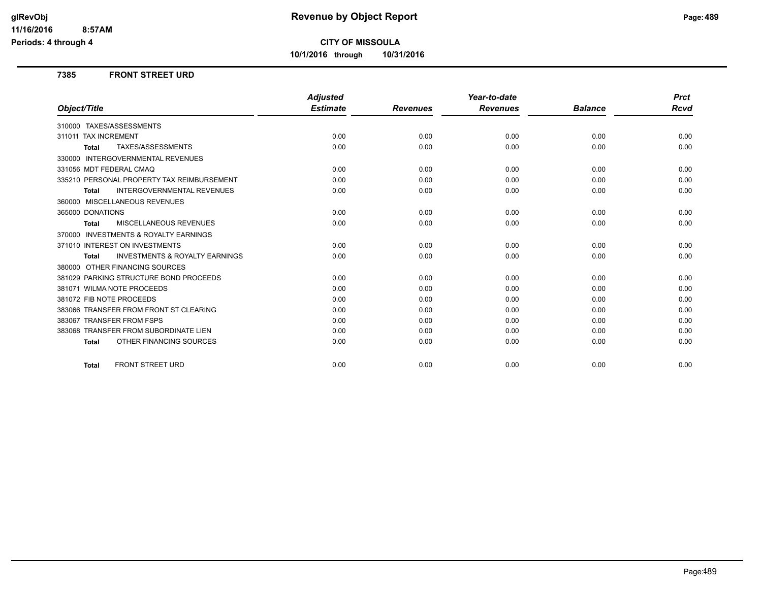**Periods: 4 through 4**

**CITY OF MISSOULA**

**10/1/2016 through 10/31/2016**

#### **7385 FRONT STREET URD**

|                                                           | <b>Adjusted</b> |                 | Year-to-date    |                | <b>Prct</b> |
|-----------------------------------------------------------|-----------------|-----------------|-----------------|----------------|-------------|
| Object/Title                                              | <b>Estimate</b> | <b>Revenues</b> | <b>Revenues</b> | <b>Balance</b> | <b>Rcvd</b> |
| 310000 TAXES/ASSESSMENTS                                  |                 |                 |                 |                |             |
| 311011 TAX INCREMENT                                      | 0.00            | 0.00            | 0.00            | 0.00           | 0.00        |
| TAXES/ASSESSMENTS<br><b>Total</b>                         | 0.00            | 0.00            | 0.00            | 0.00           | 0.00        |
| <b>INTERGOVERNMENTAL REVENUES</b><br>330000               |                 |                 |                 |                |             |
| 331056 MDT FEDERAL CMAQ                                   | 0.00            | 0.00            | 0.00            | 0.00           | 0.00        |
| 335210 PERSONAL PROPERTY TAX REIMBURSEMENT                | 0.00            | 0.00            | 0.00            | 0.00           | 0.00        |
| <b>INTERGOVERNMENTAL REVENUES</b><br><b>Total</b>         | 0.00            | 0.00            | 0.00            | 0.00           | 0.00        |
| 360000 MISCELLANEOUS REVENUES                             |                 |                 |                 |                |             |
| 365000 DONATIONS                                          | 0.00            | 0.00            | 0.00            | 0.00           | 0.00        |
| <b>MISCELLANEOUS REVENUES</b><br><b>Total</b>             | 0.00            | 0.00            | 0.00            | 0.00           | 0.00        |
| 370000 INVESTMENTS & ROYALTY EARNINGS                     |                 |                 |                 |                |             |
| 371010 INTEREST ON INVESTMENTS                            | 0.00            | 0.00            | 0.00            | 0.00           | 0.00        |
| <b>INVESTMENTS &amp; ROYALTY EARNINGS</b><br><b>Total</b> | 0.00            | 0.00            | 0.00            | 0.00           | 0.00        |
| 380000 OTHER FINANCING SOURCES                            |                 |                 |                 |                |             |
| 381029 PARKING STRUCTURE BOND PROCEEDS                    | 0.00            | 0.00            | 0.00            | 0.00           | 0.00        |
| 381071 WILMA NOTE PROCEEDS                                | 0.00            | 0.00            | 0.00            | 0.00           | 0.00        |
| 381072 FIB NOTE PROCEEDS                                  | 0.00            | 0.00            | 0.00            | 0.00           | 0.00        |
| 383066 TRANSFER FROM FRONT ST CLEARING                    | 0.00            | 0.00            | 0.00            | 0.00           | 0.00        |
| 383067 TRANSFER FROM FSPS                                 | 0.00            | 0.00            | 0.00            | 0.00           | 0.00        |
| 383068 TRANSFER FROM SUBORDINATE LIEN                     | 0.00            | 0.00            | 0.00            | 0.00           | 0.00        |
| OTHER FINANCING SOURCES<br>Total                          | 0.00            | 0.00            | 0.00            | 0.00           | 0.00        |
| <b>FRONT STREET URD</b><br><b>Total</b>                   | 0.00            | 0.00            | 0.00            | 0.00           | 0.00        |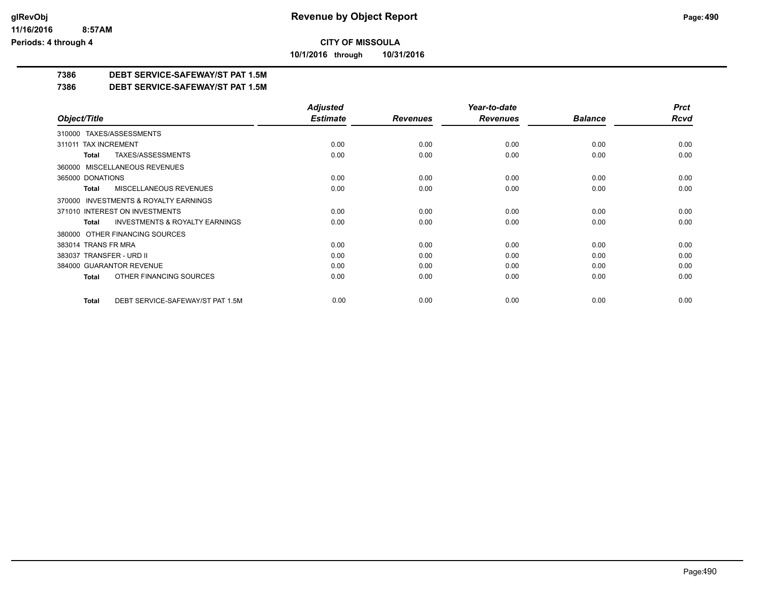**10/1/2016 through 10/31/2016**

## **7386 DEBT SERVICE-SAFEWAY/ST PAT 1.5M**

## **7386 DEBT SERVICE-SAFEWAY/ST PAT 1.5M**

|                                                     | <b>Adjusted</b> |                 | Year-to-date    |                | <b>Prct</b> |
|-----------------------------------------------------|-----------------|-----------------|-----------------|----------------|-------------|
| Object/Title                                        | <b>Estimate</b> | <b>Revenues</b> | <b>Revenues</b> | <b>Balance</b> | <b>Rcvd</b> |
| TAXES/ASSESSMENTS<br>310000                         |                 |                 |                 |                |             |
| 311011 TAX INCREMENT                                | 0.00            | 0.00            | 0.00            | 0.00           | 0.00        |
| TAXES/ASSESSMENTS<br>Total                          | 0.00            | 0.00            | 0.00            | 0.00           | 0.00        |
| 360000 MISCELLANEOUS REVENUES                       |                 |                 |                 |                |             |
| 365000 DONATIONS                                    | 0.00            | 0.00            | 0.00            | 0.00           | 0.00        |
| <b>MISCELLANEOUS REVENUES</b><br>Total              | 0.00            | 0.00            | 0.00            | 0.00           | 0.00        |
| <b>INVESTMENTS &amp; ROYALTY EARNINGS</b><br>370000 |                 |                 |                 |                |             |
| 371010 INTEREST ON INVESTMENTS                      | 0.00            | 0.00            | 0.00            | 0.00           | 0.00        |
| <b>INVESTMENTS &amp; ROYALTY EARNINGS</b><br>Total  | 0.00            | 0.00            | 0.00            | 0.00           | 0.00        |
| 380000 OTHER FINANCING SOURCES                      |                 |                 |                 |                |             |
| 383014 TRANS FR MRA                                 | 0.00            | 0.00            | 0.00            | 0.00           | 0.00        |
| 383037 TRANSFER - URD II                            | 0.00            | 0.00            | 0.00            | 0.00           | 0.00        |
| 384000 GUARANTOR REVENUE                            | 0.00            | 0.00            | 0.00            | 0.00           | 0.00        |
| OTHER FINANCING SOURCES<br><b>Total</b>             | 0.00            | 0.00            | 0.00            | 0.00           | 0.00        |
| DEBT SERVICE-SAFEWAY/ST PAT 1.5M<br><b>Total</b>    | 0.00            | 0.00            | 0.00            | 0.00           | 0.00        |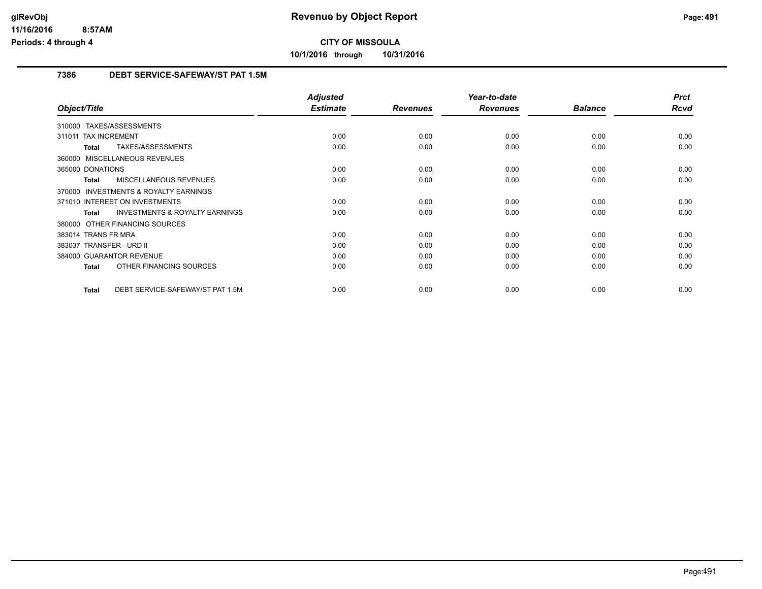**10/1/2016 through 10/31/2016**

## **7386 DEBT SERVICE-SAFEWAY/ST PAT 1.5M**

|                                                           | <b>Adjusted</b> |                 | Year-to-date    |                | <b>Prct</b> |
|-----------------------------------------------------------|-----------------|-----------------|-----------------|----------------|-------------|
| Object/Title                                              | <b>Estimate</b> | <b>Revenues</b> | <b>Revenues</b> | <b>Balance</b> | <b>Rcvd</b> |
| 310000 TAXES/ASSESSMENTS                                  |                 |                 |                 |                |             |
| 311011 TAX INCREMENT                                      | 0.00            | 0.00            | 0.00            | 0.00           | 0.00        |
| TAXES/ASSESSMENTS<br><b>Total</b>                         | 0.00            | 0.00            | 0.00            | 0.00           | 0.00        |
| 360000 MISCELLANEOUS REVENUES                             |                 |                 |                 |                |             |
| 365000 DONATIONS                                          | 0.00            | 0.00            | 0.00            | 0.00           | 0.00        |
| MISCELLANEOUS REVENUES<br><b>Total</b>                    | 0.00            | 0.00            | 0.00            | 0.00           | 0.00        |
| 370000 INVESTMENTS & ROYALTY EARNINGS                     |                 |                 |                 |                |             |
| 371010 INTEREST ON INVESTMENTS                            | 0.00            | 0.00            | 0.00            | 0.00           | 0.00        |
| <b>INVESTMENTS &amp; ROYALTY EARNINGS</b><br><b>Total</b> | 0.00            | 0.00            | 0.00            | 0.00           | 0.00        |
| 380000 OTHER FINANCING SOURCES                            |                 |                 |                 |                |             |
| 383014 TRANS FR MRA                                       | 0.00            | 0.00            | 0.00            | 0.00           | 0.00        |
| 383037 TRANSFER - URD II                                  | 0.00            | 0.00            | 0.00            | 0.00           | 0.00        |
| 384000 GUARANTOR REVENUE                                  | 0.00            | 0.00            | 0.00            | 0.00           | 0.00        |
| OTHER FINANCING SOURCES<br><b>Total</b>                   | 0.00            | 0.00            | 0.00            | 0.00           | 0.00        |
| DEBT SERVICE-SAFEWAY/ST PAT 1.5M<br><b>Total</b>          | 0.00            | 0.00            | 0.00            | 0.00           | 0.00        |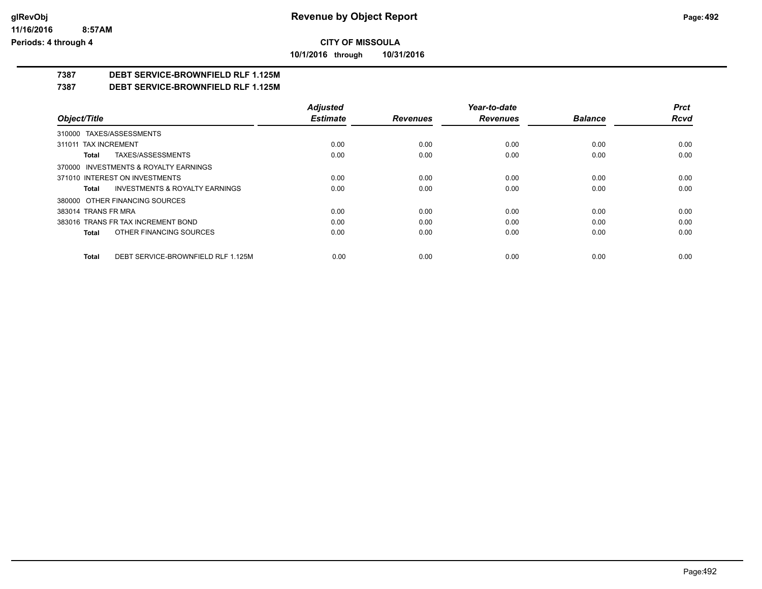**10/1/2016 through 10/31/2016**

## **7387 DEBT SERVICE-BROWNFIELD RLF 1.125M**

**7387 DEBT SERVICE-BROWNFIELD RLF 1.125M**

|                                                    | <b>Adjusted</b> |                 | Year-to-date    |                | <b>Prct</b> |
|----------------------------------------------------|-----------------|-----------------|-----------------|----------------|-------------|
| Object/Title                                       | <b>Estimate</b> | <b>Revenues</b> | <b>Revenues</b> | <b>Balance</b> | <b>Rcvd</b> |
| 310000 TAXES/ASSESSMENTS                           |                 |                 |                 |                |             |
| 311011 TAX INCREMENT                               | 0.00            | 0.00            | 0.00            | 0.00           | 0.00        |
| TAXES/ASSESSMENTS<br>Total                         | 0.00            | 0.00            | 0.00            | 0.00           | 0.00        |
| 370000 INVESTMENTS & ROYALTY EARNINGS              |                 |                 |                 |                |             |
| 371010 INTEREST ON INVESTMENTS                     | 0.00            | 0.00            | 0.00            | 0.00           | 0.00        |
| <b>INVESTMENTS &amp; ROYALTY EARNINGS</b><br>Total | 0.00            | 0.00            | 0.00            | 0.00           | 0.00        |
| 380000 OTHER FINANCING SOURCES                     |                 |                 |                 |                |             |
| 383014 TRANS FR MRA                                | 0.00            | 0.00            | 0.00            | 0.00           | 0.00        |
| 383016 TRANS FR TAX INCREMENT BOND                 | 0.00            | 0.00            | 0.00            | 0.00           | 0.00        |
| OTHER FINANCING SOURCES<br>Total                   | 0.00            | 0.00            | 0.00            | 0.00           | 0.00        |
| DEBT SERVICE-BROWNFIELD RLF 1.125M<br>Total        | 0.00            | 0.00            | 0.00            | 0.00           | 0.00        |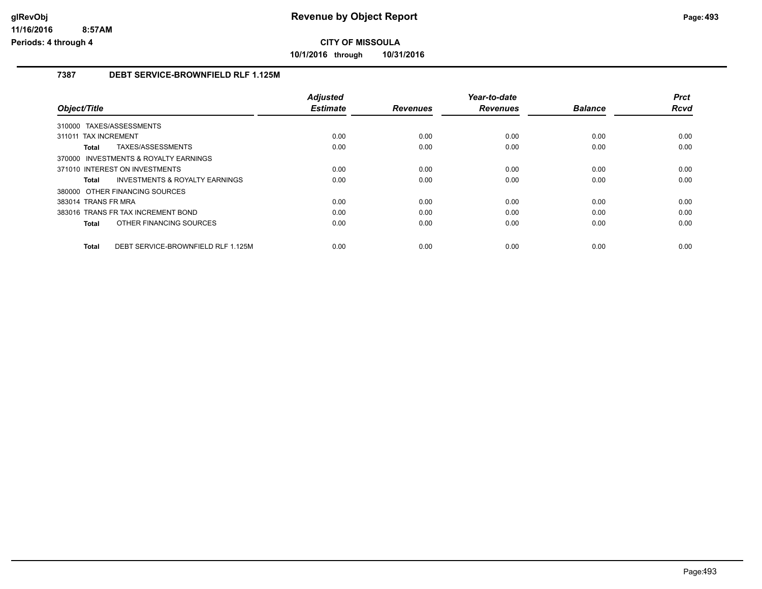**10/1/2016 through 10/31/2016**

## **7387 DEBT SERVICE-BROWNFIELD RLF 1.125M**

| Object/Title                                       | <b>Adjusted</b><br><b>Estimate</b> | <b>Revenues</b> | Year-to-date<br><b>Revenues</b> | <b>Balance</b> | <b>Prct</b><br><b>Rcvd</b> |
|----------------------------------------------------|------------------------------------|-----------------|---------------------------------|----------------|----------------------------|
| 310000 TAXES/ASSESSMENTS                           |                                    |                 |                                 |                |                            |
| 311011 TAX INCREMENT                               | 0.00                               | 0.00            | 0.00                            | 0.00           | 0.00                       |
| TAXES/ASSESSMENTS<br>Total                         | 0.00                               | 0.00            | 0.00                            | 0.00           | 0.00                       |
| 370000 INVESTMENTS & ROYALTY EARNINGS              |                                    |                 |                                 |                |                            |
| 371010 INTEREST ON INVESTMENTS                     | 0.00                               | 0.00            | 0.00                            | 0.00           | 0.00                       |
| <b>INVESTMENTS &amp; ROYALTY EARNINGS</b><br>Total | 0.00                               | 0.00            | 0.00                            | 0.00           | 0.00                       |
| 380000 OTHER FINANCING SOURCES                     |                                    |                 |                                 |                |                            |
| 383014 TRANS FR MRA                                | 0.00                               | 0.00            | 0.00                            | 0.00           | 0.00                       |
| 383016 TRANS FR TAX INCREMENT BOND                 | 0.00                               | 0.00            | 0.00                            | 0.00           | 0.00                       |
| OTHER FINANCING SOURCES<br><b>Total</b>            | 0.00                               | 0.00            | 0.00                            | 0.00           | 0.00                       |
|                                                    |                                    |                 |                                 |                |                            |
| DEBT SERVICE-BROWNFIELD RLF 1.125M<br><b>Total</b> | 0.00                               | 0.00            | 0.00                            | 0.00           | 0.00                       |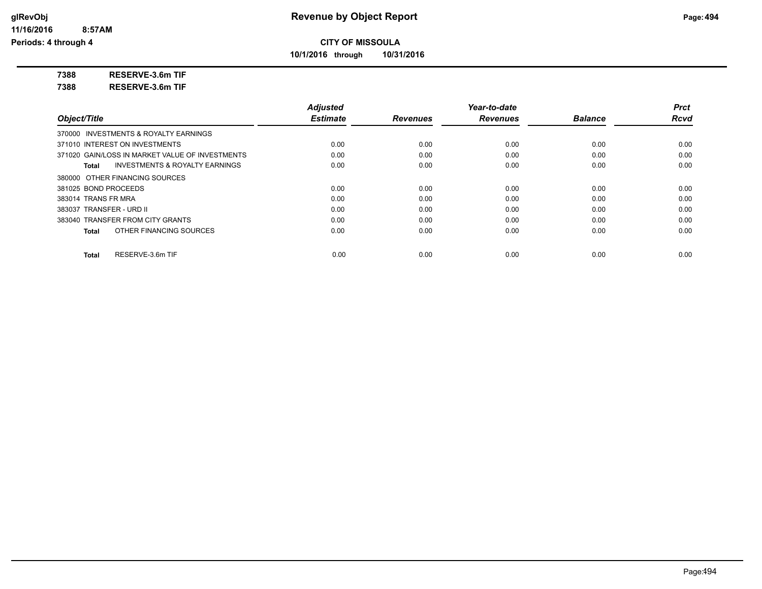**10/1/2016 through 10/31/2016**

## **7388 RESERVE-3.6m TIF**

**7388 RESERVE-3.6m TIF**

|                                                    | <b>Adjusted</b> |                 | Year-to-date    |                | <b>Prct</b> |
|----------------------------------------------------|-----------------|-----------------|-----------------|----------------|-------------|
| Object/Title                                       | <b>Estimate</b> | <b>Revenues</b> | <b>Revenues</b> | <b>Balance</b> | <b>Rcvd</b> |
| 370000 INVESTMENTS & ROYALTY EARNINGS              |                 |                 |                 |                |             |
| 371010 INTEREST ON INVESTMENTS                     | 0.00            | 0.00            | 0.00            | 0.00           | 0.00        |
| 371020 GAIN/LOSS IN MARKET VALUE OF INVESTMENTS    | 0.00            | 0.00            | 0.00            | 0.00           | 0.00        |
| <b>INVESTMENTS &amp; ROYALTY EARNINGS</b><br>Total | 0.00            | 0.00            | 0.00            | 0.00           | 0.00        |
| 380000 OTHER FINANCING SOURCES                     |                 |                 |                 |                |             |
| 381025 BOND PROCEEDS                               | 0.00            | 0.00            | 0.00            | 0.00           | 0.00        |
| 383014 TRANS FR MRA                                | 0.00            | 0.00            | 0.00            | 0.00           | 0.00        |
| 383037 TRANSFER - URD II                           | 0.00            | 0.00            | 0.00            | 0.00           | 0.00        |
| 383040 TRANSFER FROM CITY GRANTS                   | 0.00            | 0.00            | 0.00            | 0.00           | 0.00        |
| OTHER FINANCING SOURCES<br>Total                   | 0.00            | 0.00            | 0.00            | 0.00           | 0.00        |
| RESERVE-3.6m TIF<br>Total                          | 0.00            | 0.00            | 0.00            | 0.00           | 0.00        |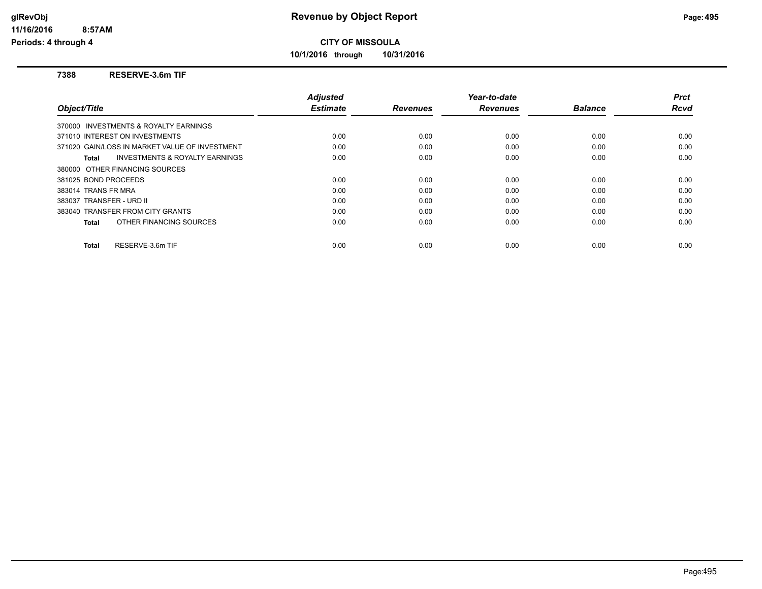**10/1/2016 through 10/31/2016**

#### **7388 RESERVE-3.6m TIF**

|                                                    | <b>Adjusted</b> |                 | Year-to-date    |                | <b>Prct</b> |
|----------------------------------------------------|-----------------|-----------------|-----------------|----------------|-------------|
| Object/Title                                       | <b>Estimate</b> | <b>Revenues</b> | <b>Revenues</b> | <b>Balance</b> | Rcvd        |
| 370000 INVESTMENTS & ROYALTY EARNINGS              |                 |                 |                 |                |             |
| 371010 INTEREST ON INVESTMENTS                     | 0.00            | 0.00            | 0.00            | 0.00           | 0.00        |
| 371020 GAIN/LOSS IN MARKET VALUE OF INVESTMENT     | 0.00            | 0.00            | 0.00            | 0.00           | 0.00        |
| <b>INVESTMENTS &amp; ROYALTY EARNINGS</b><br>Total | 0.00            | 0.00            | 0.00            | 0.00           | 0.00        |
| 380000 OTHER FINANCING SOURCES                     |                 |                 |                 |                |             |
| 381025 BOND PROCEEDS                               | 0.00            | 0.00            | 0.00            | 0.00           | 0.00        |
| 383014 TRANS FR MRA                                | 0.00            | 0.00            | 0.00            | 0.00           | 0.00        |
| 383037 TRANSFER - URD II                           | 0.00            | 0.00            | 0.00            | 0.00           | 0.00        |
| 383040 TRANSFER FROM CITY GRANTS                   | 0.00            | 0.00            | 0.00            | 0.00           | 0.00        |
| OTHER FINANCING SOURCES<br>Total                   | 0.00            | 0.00            | 0.00            | 0.00           | 0.00        |
|                                                    |                 |                 |                 |                |             |
| RESERVE-3.6m TIF<br>Total                          | 0.00            | 0.00            | 0.00            | 0.00           | 0.00        |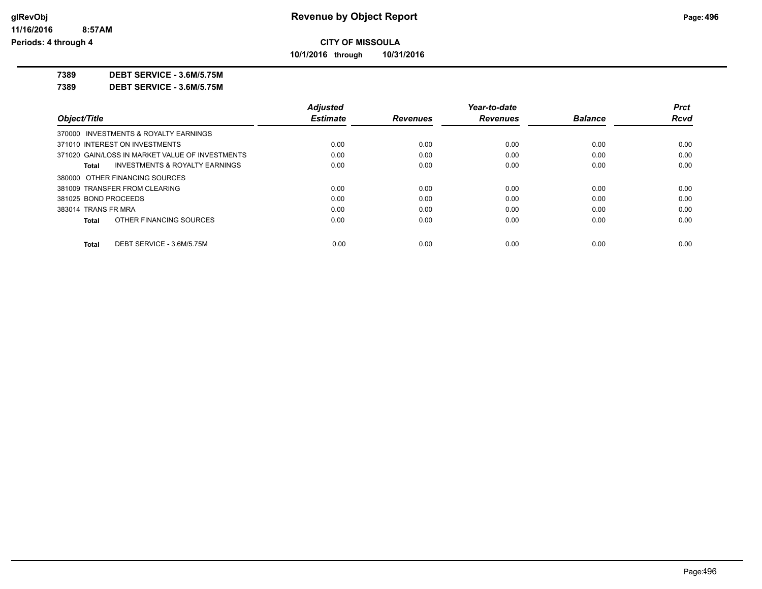**10/1/2016 through 10/31/2016**

**7389 DEBT SERVICE - 3.6M/5.75M**

**7389 DEBT SERVICE - 3.6M/5.75M**

|                      |                                                 | <b>Adiusted</b> |                 | Year-to-date    |                | <b>Prct</b> |
|----------------------|-------------------------------------------------|-----------------|-----------------|-----------------|----------------|-------------|
| Object/Title         |                                                 | <b>Estimate</b> | <b>Revenues</b> | <b>Revenues</b> | <b>Balance</b> | <b>Rcvd</b> |
|                      | 370000 INVESTMENTS & ROYALTY EARNINGS           |                 |                 |                 |                |             |
|                      | 371010 INTEREST ON INVESTMENTS                  | 0.00            | 0.00            | 0.00            | 0.00           | 0.00        |
|                      | 371020 GAIN/LOSS IN MARKET VALUE OF INVESTMENTS | 0.00            | 0.00            | 0.00            | 0.00           | 0.00        |
| Total                | <b>INVESTMENTS &amp; ROYALTY EARNINGS</b>       | 0.00            | 0.00            | 0.00            | 0.00           | 0.00        |
|                      | 380000 OTHER FINANCING SOURCES                  |                 |                 |                 |                |             |
|                      | 381009 TRANSFER FROM CLEARING                   | 0.00            | 0.00            | 0.00            | 0.00           | 0.00        |
| 381025 BOND PROCEEDS |                                                 | 0.00            | 0.00            | 0.00            | 0.00           | 0.00        |
| 383014 TRANS FR MRA  |                                                 | 0.00            | 0.00            | 0.00            | 0.00           | 0.00        |
| <b>Total</b>         | OTHER FINANCING SOURCES                         | 0.00            | 0.00            | 0.00            | 0.00           | 0.00        |
| <b>Total</b>         | DEBT SERVICE - 3.6M/5.75M                       | 0.00            | 0.00            | 0.00            | 0.00           | 0.00        |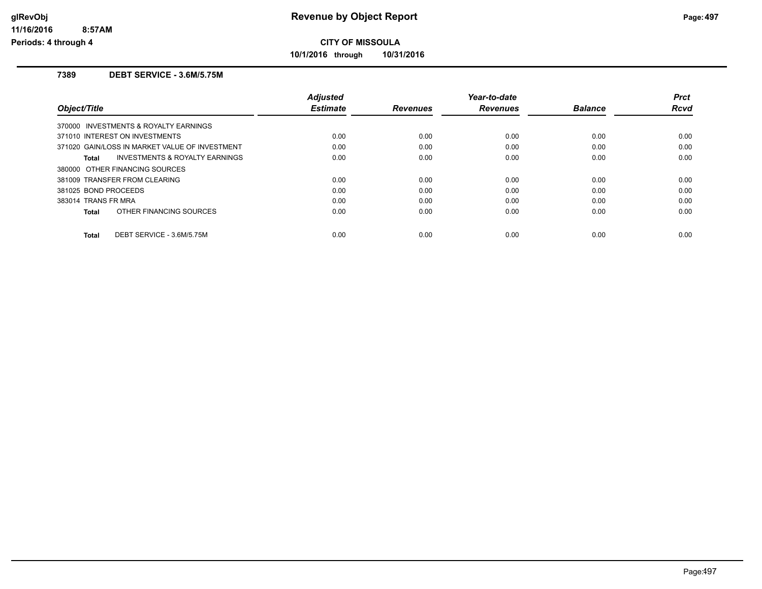**Periods: 4 through 4**

**CITY OF MISSOULA**

**10/1/2016 through 10/31/2016**

#### **7389 DEBT SERVICE - 3.6M/5.75M**

 **8:57AM**

| Object/Title                                       | <b>Adjusted</b><br><b>Estimate</b> | <b>Revenues</b> | Year-to-date<br><b>Revenues</b> | <b>Balance</b> | <b>Prct</b><br><b>Rcvd</b> |
|----------------------------------------------------|------------------------------------|-----------------|---------------------------------|----------------|----------------------------|
| 370000 INVESTMENTS & ROYALTY EARNINGS              |                                    |                 |                                 |                |                            |
| 371010 INTEREST ON INVESTMENTS                     | 0.00                               | 0.00            | 0.00                            | 0.00           | 0.00                       |
| 371020 GAIN/LOSS IN MARKET VALUE OF INVESTMENT     | 0.00                               | 0.00            | 0.00                            | 0.00           | 0.00                       |
| <b>INVESTMENTS &amp; ROYALTY EARNINGS</b><br>Total | 0.00                               | 0.00            | 0.00                            | 0.00           | 0.00                       |
| 380000 OTHER FINANCING SOURCES                     |                                    |                 |                                 |                |                            |
| 381009 TRANSFER FROM CLEARING                      | 0.00                               | 0.00            | 0.00                            | 0.00           | 0.00                       |
| 381025 BOND PROCEEDS                               | 0.00                               | 0.00            | 0.00                            | 0.00           | 0.00                       |
| 383014 TRANS FR MRA                                | 0.00                               | 0.00            | 0.00                            | 0.00           | 0.00                       |
| OTHER FINANCING SOURCES<br>Total                   | 0.00                               | 0.00            | 0.00                            | 0.00           | 0.00                       |
| DEBT SERVICE - 3.6M/5.75M<br><b>Total</b>          | 0.00                               | 0.00            | 0.00                            | 0.00           | 0.00                       |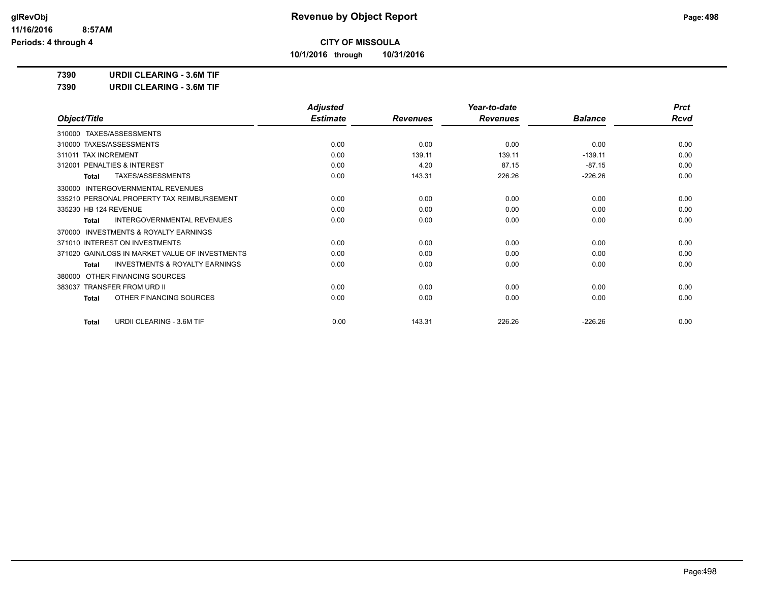**10/1/2016 through 10/31/2016**

**7390 URDII CLEARING - 3.6M TIF**

**7390 URDII CLEARING - 3.6M TIF**

|                                                           | <b>Adjusted</b> |                 | Year-to-date    |                | <b>Prct</b> |
|-----------------------------------------------------------|-----------------|-----------------|-----------------|----------------|-------------|
| Object/Title                                              | <b>Estimate</b> | <b>Revenues</b> | <b>Revenues</b> | <b>Balance</b> | <b>Rcvd</b> |
| 310000 TAXES/ASSESSMENTS                                  |                 |                 |                 |                |             |
| 310000 TAXES/ASSESSMENTS                                  | 0.00            | 0.00            | 0.00            | 0.00           | 0.00        |
| 311011 TAX INCREMENT                                      | 0.00            | 139.11          | 139.11          | $-139.11$      | 0.00        |
| 312001 PENALTIES & INTEREST                               | 0.00            | 4.20            | 87.15           | $-87.15$       | 0.00        |
| TAXES/ASSESSMENTS<br>Total                                | 0.00            | 143.31          | 226.26          | $-226.26$      | 0.00        |
| INTERGOVERNMENTAL REVENUES<br>330000                      |                 |                 |                 |                |             |
| 335210 PERSONAL PROPERTY TAX REIMBURSEMENT                | 0.00            | 0.00            | 0.00            | 0.00           | 0.00        |
| 335230 HB 124 REVENUE                                     | 0.00            | 0.00            | 0.00            | 0.00           | 0.00        |
| <b>INTERGOVERNMENTAL REVENUES</b><br>Total                | 0.00            | 0.00            | 0.00            | 0.00           | 0.00        |
| <b>INVESTMENTS &amp; ROYALTY EARNINGS</b><br>370000       |                 |                 |                 |                |             |
| 371010 INTEREST ON INVESTMENTS                            | 0.00            | 0.00            | 0.00            | 0.00           | 0.00        |
| 371020 GAIN/LOSS IN MARKET VALUE OF INVESTMENTS           | 0.00            | 0.00            | 0.00            | 0.00           | 0.00        |
| <b>INVESTMENTS &amp; ROYALTY EARNINGS</b><br><b>Total</b> | 0.00            | 0.00            | 0.00            | 0.00           | 0.00        |
| OTHER FINANCING SOURCES<br>380000                         |                 |                 |                 |                |             |
| 383037 TRANSFER FROM URD II                               | 0.00            | 0.00            | 0.00            | 0.00           | 0.00        |
| OTHER FINANCING SOURCES<br><b>Total</b>                   | 0.00            | 0.00            | 0.00            | 0.00           | 0.00        |
| <b>URDII CLEARING - 3.6M TIF</b><br><b>Total</b>          | 0.00            | 143.31          | 226.26          | $-226.26$      | 0.00        |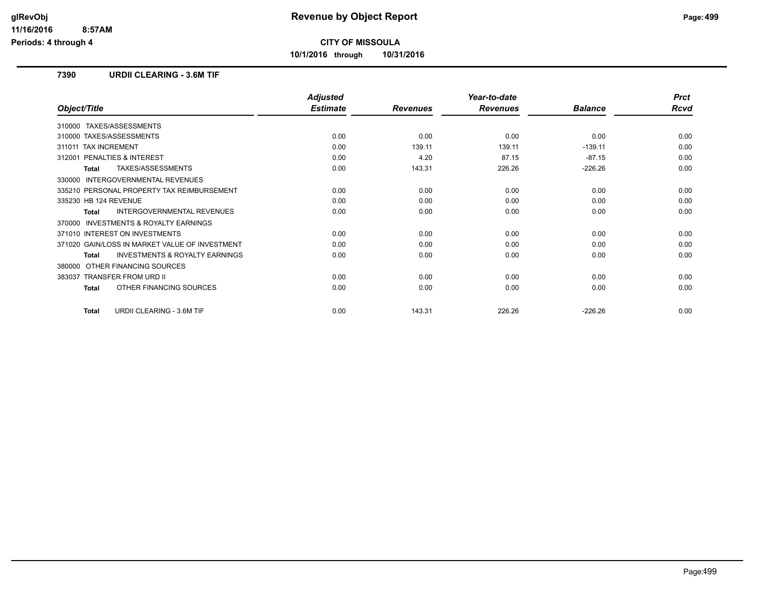**Periods: 4 through 4**

**CITY OF MISSOULA**

**10/1/2016 through 10/31/2016**

## **7390 URDII CLEARING - 3.6M TIF**

|                                                           | <b>Adjusted</b> |                 | Year-to-date    |                | <b>Prct</b> |
|-----------------------------------------------------------|-----------------|-----------------|-----------------|----------------|-------------|
| Object/Title                                              | <b>Estimate</b> | <b>Revenues</b> | <b>Revenues</b> | <b>Balance</b> | <b>Rcvd</b> |
| TAXES/ASSESSMENTS<br>310000                               |                 |                 |                 |                |             |
| 310000 TAXES/ASSESSMENTS                                  | 0.00            | 0.00            | 0.00            | 0.00           | 0.00        |
| 311011 TAX INCREMENT                                      | 0.00            | 139.11          | 139.11          | $-139.11$      | 0.00        |
| 312001 PENALTIES & INTEREST                               | 0.00            | 4.20            | 87.15           | $-87.15$       | 0.00        |
| TAXES/ASSESSMENTS<br><b>Total</b>                         | 0.00            | 143.31          | 226.26          | $-226.26$      | 0.00        |
| INTERGOVERNMENTAL REVENUES<br>330000                      |                 |                 |                 |                |             |
| 335210 PERSONAL PROPERTY TAX REIMBURSEMENT                | 0.00            | 0.00            | 0.00            | 0.00           | 0.00        |
| 335230 HB 124 REVENUE                                     | 0.00            | 0.00            | 0.00            | 0.00           | 0.00        |
| <b>INTERGOVERNMENTAL REVENUES</b><br><b>Total</b>         | 0.00            | 0.00            | 0.00            | 0.00           | 0.00        |
| <b>INVESTMENTS &amp; ROYALTY EARNINGS</b><br>370000       |                 |                 |                 |                |             |
| 371010 INTEREST ON INVESTMENTS                            | 0.00            | 0.00            | 0.00            | 0.00           | 0.00        |
| 371020 GAIN/LOSS IN MARKET VALUE OF INVESTMENT            | 0.00            | 0.00            | 0.00            | 0.00           | 0.00        |
| <b>INVESTMENTS &amp; ROYALTY EARNINGS</b><br><b>Total</b> | 0.00            | 0.00            | 0.00            | 0.00           | 0.00        |
| OTHER FINANCING SOURCES<br>380000                         |                 |                 |                 |                |             |
| <b>TRANSFER FROM URD II</b><br>383037                     | 0.00            | 0.00            | 0.00            | 0.00           | 0.00        |
| OTHER FINANCING SOURCES<br><b>Total</b>                   | 0.00            | 0.00            | 0.00            | 0.00           | 0.00        |
| URDII CLEARING - 3.6M TIF<br><b>Total</b>                 | 0.00            | 143.31          | 226.26          | $-226.26$      | 0.00        |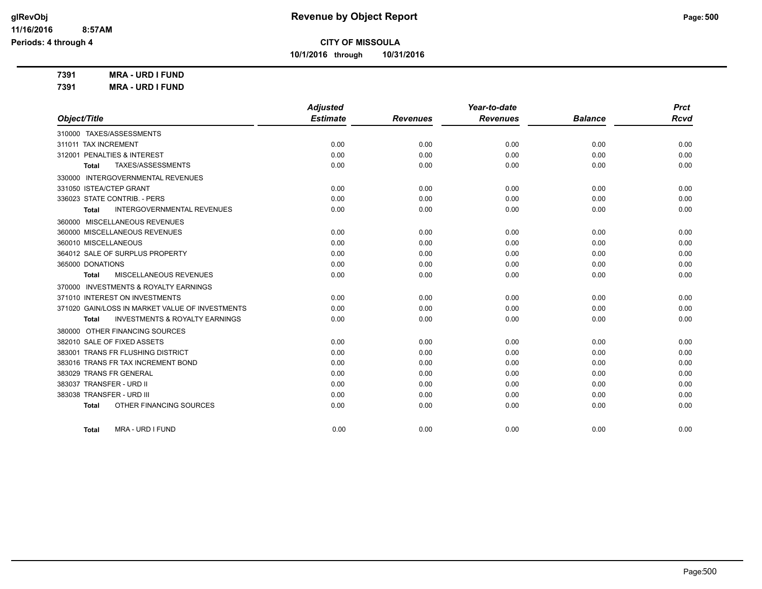**10/1/2016 through 10/31/2016**

**7391 MRA - URD I FUND**

**7391 MRA - URD I FUND**

|                                                           | <b>Adjusted</b> |                 | Year-to-date    |                | <b>Prct</b> |
|-----------------------------------------------------------|-----------------|-----------------|-----------------|----------------|-------------|
| Object/Title                                              | <b>Estimate</b> | <b>Revenues</b> | <b>Revenues</b> | <b>Balance</b> | Rcvd        |
| 310000 TAXES/ASSESSMENTS                                  |                 |                 |                 |                |             |
| 311011 TAX INCREMENT                                      | 0.00            | 0.00            | 0.00            | 0.00           | 0.00        |
| 312001 PENALTIES & INTEREST                               | 0.00            | 0.00            | 0.00            | 0.00           | 0.00        |
| TAXES/ASSESSMENTS<br><b>Total</b>                         | 0.00            | 0.00            | 0.00            | 0.00           | 0.00        |
| 330000 INTERGOVERNMENTAL REVENUES                         |                 |                 |                 |                |             |
| 331050 ISTEA/CTEP GRANT                                   | 0.00            | 0.00            | 0.00            | 0.00           | 0.00        |
| 336023 STATE CONTRIB. - PERS                              | 0.00            | 0.00            | 0.00            | 0.00           | 0.00        |
| <b>INTERGOVERNMENTAL REVENUES</b><br><b>Total</b>         | 0.00            | 0.00            | 0.00            | 0.00           | 0.00        |
| 360000 MISCELLANEOUS REVENUES                             |                 |                 |                 |                |             |
| 360000 MISCELLANEOUS REVENUES                             | 0.00            | 0.00            | 0.00            | 0.00           | 0.00        |
| 360010 MISCELLANEOUS                                      | 0.00            | 0.00            | 0.00            | 0.00           | 0.00        |
| 364012 SALE OF SURPLUS PROPERTY                           | 0.00            | 0.00            | 0.00            | 0.00           | 0.00        |
| 365000 DONATIONS                                          | 0.00            | 0.00            | 0.00            | 0.00           | 0.00        |
| MISCELLANEOUS REVENUES<br>Total                           | 0.00            | 0.00            | 0.00            | 0.00           | 0.00        |
| 370000 INVESTMENTS & ROYALTY EARNINGS                     |                 |                 |                 |                |             |
| 371010 INTEREST ON INVESTMENTS                            | 0.00            | 0.00            | 0.00            | 0.00           | 0.00        |
| 371020 GAIN/LOSS IN MARKET VALUE OF INVESTMENTS           | 0.00            | 0.00            | 0.00            | 0.00           | 0.00        |
| <b>INVESTMENTS &amp; ROYALTY EARNINGS</b><br><b>Total</b> | 0.00            | 0.00            | 0.00            | 0.00           | 0.00        |
| 380000 OTHER FINANCING SOURCES                            |                 |                 |                 |                |             |
| 382010 SALE OF FIXED ASSETS                               | 0.00            | 0.00            | 0.00            | 0.00           | 0.00        |
| 383001 TRANS FR FLUSHING DISTRICT                         | 0.00            | 0.00            | 0.00            | 0.00           | 0.00        |
| 383016 TRANS FR TAX INCREMENT BOND                        | 0.00            | 0.00            | 0.00            | 0.00           | 0.00        |
| 383029 TRANS FR GENERAL                                   | 0.00            | 0.00            | 0.00            | 0.00           | 0.00        |
| 383037 TRANSFER - URD II                                  | 0.00            | 0.00            | 0.00            | 0.00           | 0.00        |
| 383038 TRANSFER - URD III                                 | 0.00            | 0.00            | 0.00            | 0.00           | 0.00        |
| OTHER FINANCING SOURCES<br><b>Total</b>                   | 0.00            | 0.00            | 0.00            | 0.00           | 0.00        |
| MRA - URD I FUND<br>Total                                 | 0.00            | 0.00            | 0.00            | 0.00           | 0.00        |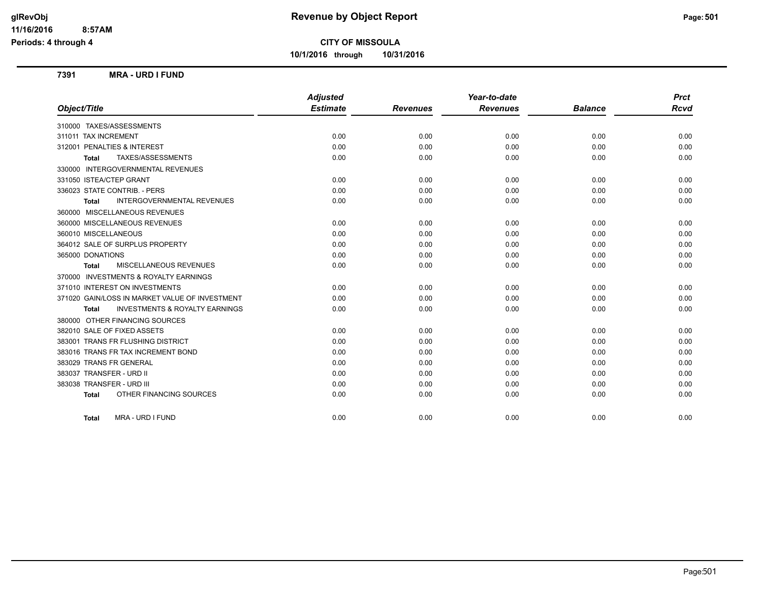**11/16/2016**

 **8:57AM Periods: 4 through 4**

**CITY OF MISSOULA**

**10/1/2016 through 10/31/2016**

#### **7391 MRA - URD I FUND**

|                                                           | <b>Adjusted</b> |                 | Year-to-date    |                | <b>Prct</b> |
|-----------------------------------------------------------|-----------------|-----------------|-----------------|----------------|-------------|
| Object/Title                                              | <b>Estimate</b> | <b>Revenues</b> | <b>Revenues</b> | <b>Balance</b> | <b>Rcvd</b> |
| 310000 TAXES/ASSESSMENTS                                  |                 |                 |                 |                |             |
| 311011 TAX INCREMENT                                      | 0.00            | 0.00            | 0.00            | 0.00           | 0.00        |
| 312001 PENALTIES & INTEREST                               | 0.00            | 0.00            | 0.00            | 0.00           | 0.00        |
| TAXES/ASSESSMENTS<br><b>Total</b>                         | 0.00            | 0.00            | 0.00            | 0.00           | 0.00        |
| 330000 INTERGOVERNMENTAL REVENUES                         |                 |                 |                 |                |             |
| 331050 ISTEA/CTEP GRANT                                   | 0.00            | 0.00            | 0.00            | 0.00           | 0.00        |
| 336023 STATE CONTRIB. - PERS                              | 0.00            | 0.00            | 0.00            | 0.00           | 0.00        |
| <b>INTERGOVERNMENTAL REVENUES</b><br><b>Total</b>         | 0.00            | 0.00            | 0.00            | 0.00           | 0.00        |
| 360000 MISCELLANEOUS REVENUES                             |                 |                 |                 |                |             |
| 360000 MISCELLANEOUS REVENUES                             | 0.00            | 0.00            | 0.00            | 0.00           | 0.00        |
| 360010 MISCELLANEOUS                                      | 0.00            | 0.00            | 0.00            | 0.00           | 0.00        |
| 364012 SALE OF SURPLUS PROPERTY                           | 0.00            | 0.00            | 0.00            | 0.00           | 0.00        |
| 365000 DONATIONS                                          | 0.00            | 0.00            | 0.00            | 0.00           | 0.00        |
| MISCELLANEOUS REVENUES<br><b>Total</b>                    | 0.00            | 0.00            | 0.00            | 0.00           | 0.00        |
| 370000 INVESTMENTS & ROYALTY EARNINGS                     |                 |                 |                 |                |             |
| 371010 INTEREST ON INVESTMENTS                            | 0.00            | 0.00            | 0.00            | 0.00           | 0.00        |
| 371020 GAIN/LOSS IN MARKET VALUE OF INVESTMENT            | 0.00            | 0.00            | 0.00            | 0.00           | 0.00        |
| <b>INVESTMENTS &amp; ROYALTY EARNINGS</b><br><b>Total</b> | 0.00            | 0.00            | 0.00            | 0.00           | 0.00        |
| 380000 OTHER FINANCING SOURCES                            |                 |                 |                 |                |             |
| 382010 SALE OF FIXED ASSETS                               | 0.00            | 0.00            | 0.00            | 0.00           | 0.00        |
| 383001 TRANS FR FLUSHING DISTRICT                         | 0.00            | 0.00            | 0.00            | 0.00           | 0.00        |
| 383016 TRANS FR TAX INCREMENT BOND                        | 0.00            | 0.00            | 0.00            | 0.00           | 0.00        |
| 383029 TRANS FR GENERAL                                   | 0.00            | 0.00            | 0.00            | 0.00           | 0.00        |
| 383037 TRANSFER - URD II                                  | 0.00            | 0.00            | 0.00            | 0.00           | 0.00        |
| 383038 TRANSFER - URD III                                 | 0.00            | 0.00            | 0.00            | 0.00           | 0.00        |
| OTHER FINANCING SOURCES<br><b>Total</b>                   | 0.00            | 0.00            | 0.00            | 0.00           | 0.00        |
| MRA - URD I FUND<br><b>Total</b>                          | 0.00            | 0.00            | 0.00            | 0.00           | 0.00        |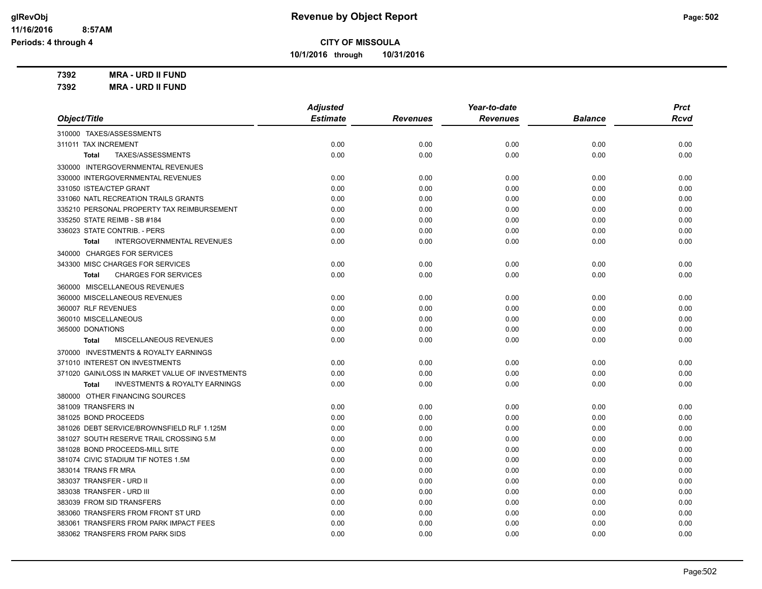**10/1/2016 through 10/31/2016**

**7392 MRA - URD II FUND**

**7392 MRA - URD II FUND**

| Object/Title                                              | <b>Adjusted</b> |                 | Year-to-date    |                | <b>Prct</b> |  |
|-----------------------------------------------------------|-----------------|-----------------|-----------------|----------------|-------------|--|
|                                                           | <b>Estimate</b> | <b>Revenues</b> | <b>Revenues</b> | <b>Balance</b> | Rcvd        |  |
| 310000 TAXES/ASSESSMENTS                                  |                 |                 |                 |                |             |  |
| 311011 TAX INCREMENT                                      | 0.00            | 0.00            | 0.00            | 0.00           | 0.00        |  |
| TAXES/ASSESSMENTS<br><b>Total</b>                         | 0.00            | 0.00            | 0.00            | 0.00           | 0.00        |  |
| 330000 INTERGOVERNMENTAL REVENUES                         |                 |                 |                 |                |             |  |
| 330000 INTERGOVERNMENTAL REVENUES                         | 0.00            | 0.00            | 0.00            | 0.00           | 0.00        |  |
| 331050 ISTEA/CTEP GRANT                                   | 0.00            | 0.00            | 0.00            | 0.00           | 0.00        |  |
| 331060 NATL RECREATION TRAILS GRANTS                      | 0.00            | 0.00            | 0.00            | 0.00           | 0.00        |  |
| 335210 PERSONAL PROPERTY TAX REIMBURSEMENT                | 0.00            | 0.00            | 0.00            | 0.00           | 0.00        |  |
| 335250 STATE REIMB - SB #184                              | 0.00            | 0.00            | 0.00            | 0.00           | 0.00        |  |
| 336023 STATE CONTRIB. - PERS                              | 0.00            | 0.00            | 0.00            | 0.00           | 0.00        |  |
| <b>INTERGOVERNMENTAL REVENUES</b><br><b>Total</b>         | 0.00            | 0.00            | 0.00            | 0.00           | 0.00        |  |
| 340000 CHARGES FOR SERVICES                               |                 |                 |                 |                |             |  |
| 343300 MISC CHARGES FOR SERVICES                          | 0.00            | 0.00            | 0.00            | 0.00           | 0.00        |  |
| <b>CHARGES FOR SERVICES</b><br>Total                      | 0.00            | 0.00            | 0.00            | 0.00           | 0.00        |  |
| 360000 MISCELLANEOUS REVENUES                             |                 |                 |                 |                |             |  |
| 360000 MISCELLANEOUS REVENUES                             | 0.00            | 0.00            | 0.00            | 0.00           | 0.00        |  |
| 360007 RLF REVENUES                                       | 0.00            | 0.00            | 0.00            | 0.00           | 0.00        |  |
| 360010 MISCELLANEOUS                                      | 0.00            | 0.00            | 0.00            | 0.00           | 0.00        |  |
| 365000 DONATIONS                                          | 0.00            | 0.00            | 0.00            | 0.00           | 0.00        |  |
| MISCELLANEOUS REVENUES<br><b>Total</b>                    | 0.00            | 0.00            | 0.00            | 0.00           | 0.00        |  |
| 370000 INVESTMENTS & ROYALTY EARNINGS                     |                 |                 |                 |                |             |  |
| 371010 INTEREST ON INVESTMENTS                            | 0.00            | 0.00            | 0.00            | 0.00           | 0.00        |  |
| 371020 GAIN/LOSS IN MARKET VALUE OF INVESTMENTS           | 0.00            | 0.00            | 0.00            | 0.00           | 0.00        |  |
| <b>INVESTMENTS &amp; ROYALTY EARNINGS</b><br><b>Total</b> | 0.00            | 0.00            | 0.00            | 0.00           | 0.00        |  |
| 380000 OTHER FINANCING SOURCES                            |                 |                 |                 |                |             |  |
| 381009 TRANSFERS IN                                       | 0.00            | 0.00            | 0.00            | 0.00           | 0.00        |  |
| 381025 BOND PROCEEDS                                      | 0.00            | 0.00            | 0.00            | 0.00           | 0.00        |  |
| 381026 DEBT SERVICE/BROWNSFIELD RLF 1.125M                | 0.00            | 0.00            | 0.00            | 0.00           | 0.00        |  |
| 381027 SOUTH RESERVE TRAIL CROSSING 5.M                   | 0.00            | 0.00            | 0.00            | 0.00           | 0.00        |  |
| 381028 BOND PROCEEDS-MILL SITE                            | 0.00            | 0.00            | 0.00            | 0.00           | 0.00        |  |
| 381074 CIVIC STADIUM TIF NOTES 1.5M                       | 0.00            | 0.00            | 0.00            | 0.00           | 0.00        |  |
| 383014 TRANS FR MRA                                       | 0.00            | 0.00            | 0.00            | 0.00           | 0.00        |  |
| 383037 TRANSFER - URD II                                  | 0.00            | 0.00            | 0.00            | 0.00           | 0.00        |  |
| 383038 TRANSFER - URD III                                 | 0.00            | 0.00            | 0.00            | 0.00           | 0.00        |  |
| 383039 FROM SID TRANSFERS                                 | 0.00            | 0.00            | 0.00            | 0.00           | 0.00        |  |
| 383060 TRANSFERS FROM FRONT ST URD                        | 0.00            | 0.00            | 0.00            | 0.00           | 0.00        |  |
| 383061 TRANSFERS FROM PARK IMPACT FEES                    | 0.00            | 0.00            | 0.00            | 0.00           | 0.00        |  |
| 383062 TRANSFERS FROM PARK SIDS                           | 0.00            | 0.00            | 0.00            | 0.00           | 0.00        |  |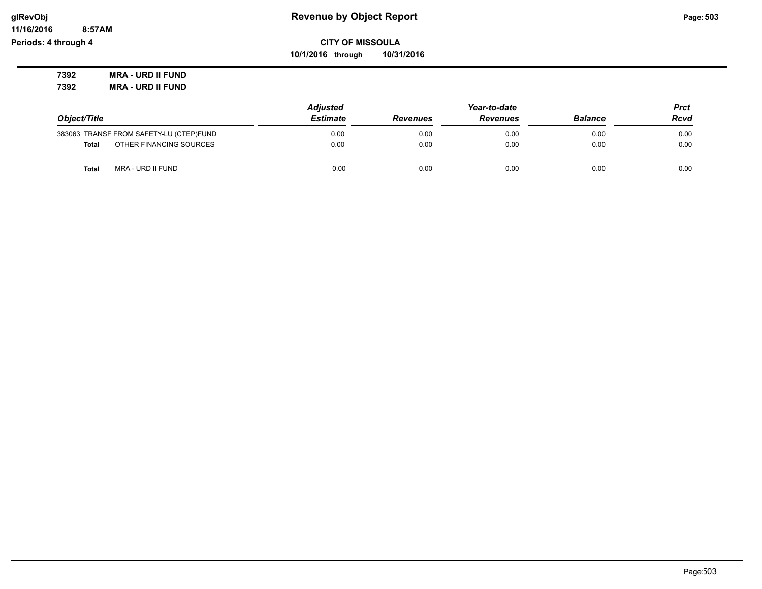**11/16/2016 8:57AM Periods: 4 through 4**

# **CITY OF MISSOULA**

**10/1/2016 through 10/31/2016**

**7392 MRA - URD II FUND 7392 MRA - URD II FUND**

|                                         | <b>Adjusted</b> | Year-to-date    |                 |                | <b>Prct</b> |
|-----------------------------------------|-----------------|-----------------|-----------------|----------------|-------------|
| Object/Title                            | <b>Estimate</b> | <b>Revenues</b> | <b>Revenues</b> | <b>Balance</b> | <b>Rcvd</b> |
| 383063 TRANSF FROM SAFETY-LU (CTEP)FUND | 0.00            | 0.00            | 0.00            | 0.00           | 0.00        |
| OTHER FINANCING SOURCES<br><b>Total</b> | 0.00            | 0.00            | 0.00            | 0.00           | 0.00        |
| MRA - URD II FUND<br>Total              | 0.00            | 0.00            | 0.00            | 0.00           | 0.00        |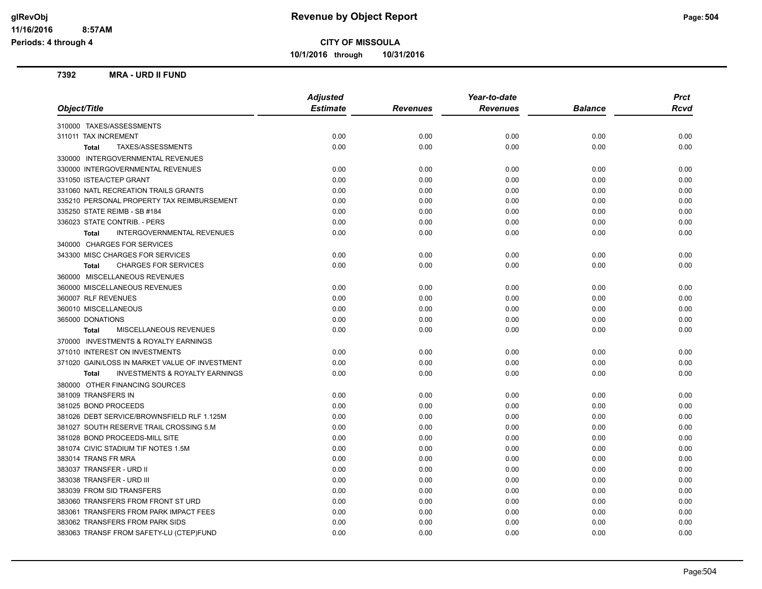**10/1/2016 through 10/31/2016**

#### **7392 MRA - URD II FUND**

| Object/Title                                              | <b>Adjusted</b> |                 | Year-to-date    |                | <b>Prct</b> |
|-----------------------------------------------------------|-----------------|-----------------|-----------------|----------------|-------------|
|                                                           | <b>Estimate</b> | <b>Revenues</b> | <b>Revenues</b> | <b>Balance</b> | Rcvd        |
| 310000 TAXES/ASSESSMENTS                                  |                 |                 |                 |                |             |
| 311011 TAX INCREMENT                                      | 0.00            | 0.00            | 0.00            | 0.00           | 0.00        |
| TAXES/ASSESSMENTS<br><b>Total</b>                         | 0.00            | 0.00            | 0.00            | 0.00           | 0.00        |
| 330000 INTERGOVERNMENTAL REVENUES                         |                 |                 |                 |                |             |
| 330000 INTERGOVERNMENTAL REVENUES                         | 0.00            | 0.00            | 0.00            | 0.00           | 0.00        |
| 331050 ISTEA/CTEP GRANT                                   | 0.00            | 0.00            | 0.00            | 0.00           | 0.00        |
| 331060 NATL RECREATION TRAILS GRANTS                      | 0.00            | 0.00            | 0.00            | 0.00           | 0.00        |
| 335210 PERSONAL PROPERTY TAX REIMBURSEMENT                | 0.00            | 0.00            | 0.00            | 0.00           | 0.00        |
| 335250 STATE REIMB - SB #184                              | 0.00            | 0.00            | 0.00            | 0.00           | 0.00        |
| 336023 STATE CONTRIB. - PERS                              | 0.00            | 0.00            | 0.00            | 0.00           | 0.00        |
| INTERGOVERNMENTAL REVENUES<br><b>Total</b>                | 0.00            | 0.00            | 0.00            | 0.00           | 0.00        |
| 340000 CHARGES FOR SERVICES                               |                 |                 |                 |                |             |
| 343300 MISC CHARGES FOR SERVICES                          | 0.00            | 0.00            | 0.00            | 0.00           | 0.00        |
| <b>CHARGES FOR SERVICES</b><br><b>Total</b>               | 0.00            | 0.00            | 0.00            | 0.00           | 0.00        |
| 360000 MISCELLANEOUS REVENUES                             |                 |                 |                 |                |             |
| 360000 MISCELLANEOUS REVENUES                             | 0.00            | 0.00            | 0.00            | 0.00           | 0.00        |
| 360007 RLF REVENUES                                       | 0.00            | 0.00            | 0.00            | 0.00           | 0.00        |
| 360010 MISCELLANEOUS                                      | 0.00            | 0.00            | 0.00            | 0.00           | 0.00        |
| 365000 DONATIONS                                          | 0.00            | 0.00            | 0.00            | 0.00           | 0.00        |
| MISCELLANEOUS REVENUES<br><b>Total</b>                    | 0.00            | 0.00            | 0.00            | 0.00           | 0.00        |
| 370000 INVESTMENTS & ROYALTY EARNINGS                     |                 |                 |                 |                |             |
| 371010 INTEREST ON INVESTMENTS                            | 0.00            | 0.00            | 0.00            | 0.00           | 0.00        |
| 371020 GAIN/LOSS IN MARKET VALUE OF INVESTMENT            | 0.00            | 0.00            | 0.00            | 0.00           | 0.00        |
| <b>INVESTMENTS &amp; ROYALTY EARNINGS</b><br><b>Total</b> | 0.00            | 0.00            | 0.00            | 0.00           | 0.00        |
| 380000 OTHER FINANCING SOURCES                            |                 |                 |                 |                |             |
| 381009 TRANSFERS IN                                       | 0.00            | 0.00            | 0.00            | 0.00           | 0.00        |
| 381025 BOND PROCEEDS                                      | 0.00            | 0.00            | 0.00            | 0.00           | 0.00        |
| 381026 DEBT SERVICE/BROWNSFIELD RLF 1.125M                | 0.00            | 0.00            | 0.00            | 0.00           | 0.00        |
| 381027 SOUTH RESERVE TRAIL CROSSING 5.M                   | 0.00            | 0.00            | 0.00            | 0.00           | 0.00        |
| 381028 BOND PROCEEDS-MILL SITE                            | 0.00            | 0.00            | 0.00            | 0.00           | 0.00        |
| 381074 CIVIC STADIUM TIF NOTES 1.5M                       | 0.00            | 0.00            | 0.00            | 0.00           | 0.00        |
| 383014 TRANS FR MRA                                       | 0.00            | 0.00            | 0.00            | 0.00           | 0.00        |
| 383037 TRANSFER - URD II                                  | 0.00            | 0.00            | 0.00            | 0.00           | 0.00        |
| 383038 TRANSFER - URD III                                 | 0.00            | 0.00            | 0.00            | 0.00           | 0.00        |
| 383039 FROM SID TRANSFERS                                 | 0.00            | 0.00            | 0.00            | 0.00           | 0.00        |
| 383060 TRANSFERS FROM FRONT ST URD                        | 0.00            | 0.00            | 0.00            | 0.00           | 0.00        |
| 383061 TRANSFERS FROM PARK IMPACT FEES                    | 0.00            | 0.00            | 0.00            | 0.00           | 0.00        |
| 383062 TRANSFERS FROM PARK SIDS                           | 0.00            | 0.00            | 0.00            | 0.00           | 0.00        |
| 383063 TRANSF FROM SAFETY-LU (CTEP)FUND                   | 0.00            | 0.00            | 0.00            | 0.00           | 0.00        |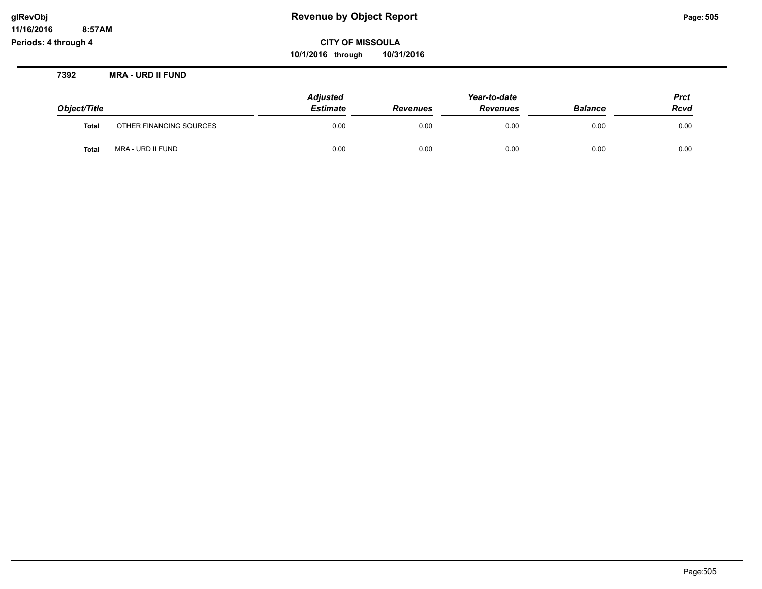**11/16/2016 8:57AM Periods: 4 through 4**

**CITY OF MISSOULA**

**10/1/2016 through 10/31/2016**

**7392 MRA - URD II FUND**

|              |                         | <b>Adjusted</b> |                 | Year-to-date    |                |             |
|--------------|-------------------------|-----------------|-----------------|-----------------|----------------|-------------|
| Object/Title |                         | <b>Estimate</b> | <b>Revenues</b> | <b>Revenues</b> | <b>Balance</b> | <b>Rcvd</b> |
| <b>Total</b> | OTHER FINANCING SOURCES | 0.00            | 0.00            | 0.00            | 0.00           | 0.00        |
| Total        | MRA - URD II FUND       | 0.00            | 0.00            | 0.00            | 0.00           | 0.00        |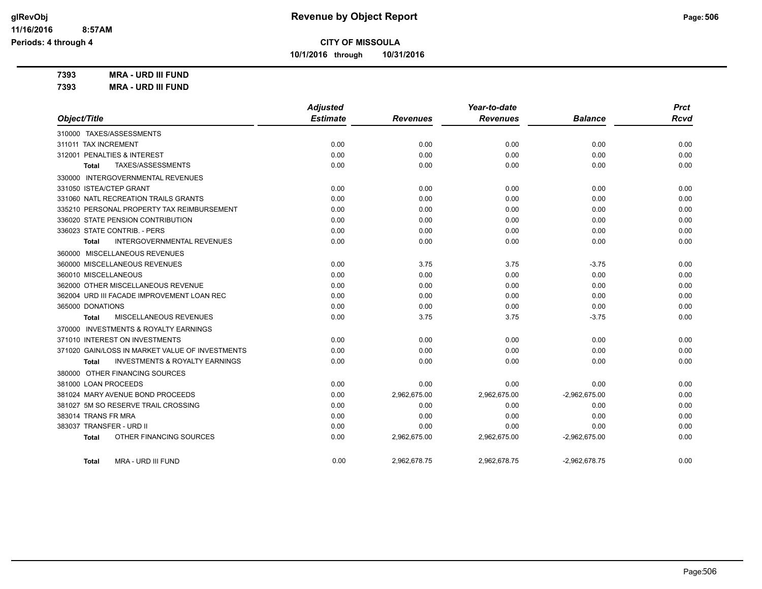**10/1/2016 through 10/31/2016**

**7393 MRA - URD III FUND**

**7393 MRA - URD III FUND**

|                                                    | <b>Adjusted</b> |                 | Year-to-date    |                 | <b>Prct</b> |
|----------------------------------------------------|-----------------|-----------------|-----------------|-----------------|-------------|
| Object/Title                                       | <b>Estimate</b> | <b>Revenues</b> | <b>Revenues</b> | <b>Balance</b>  | <b>Rcvd</b> |
| 310000 TAXES/ASSESSMENTS                           |                 |                 |                 |                 |             |
| 311011 TAX INCREMENT                               | 0.00            | 0.00            | 0.00            | 0.00            | 0.00        |
| 312001 PENALTIES & INTEREST                        | 0.00            | 0.00            | 0.00            | 0.00            | 0.00        |
| TAXES/ASSESSMENTS<br>Total                         | 0.00            | 0.00            | 0.00            | 0.00            | 0.00        |
| 330000 INTERGOVERNMENTAL REVENUES                  |                 |                 |                 |                 |             |
| 331050 ISTEA/CTEP GRANT                            | 0.00            | 0.00            | 0.00            | 0.00            | 0.00        |
| 331060 NATL RECREATION TRAILS GRANTS               | 0.00            | 0.00            | 0.00            | 0.00            | 0.00        |
| 335210 PERSONAL PROPERTY TAX REIMBURSEMENT         | 0.00            | 0.00            | 0.00            | 0.00            | 0.00        |
| 336020 STATE PENSION CONTRIBUTION                  | 0.00            | 0.00            | 0.00            | 0.00            | 0.00        |
| 336023 STATE CONTRIB. - PERS                       | 0.00            | 0.00            | 0.00            | 0.00            | 0.00        |
| <b>INTERGOVERNMENTAL REVENUES</b><br>Total         | 0.00            | 0.00            | 0.00            | 0.00            | 0.00        |
| 360000 MISCELLANEOUS REVENUES                      |                 |                 |                 |                 |             |
| 360000 MISCELLANEOUS REVENUES                      | 0.00            | 3.75            | 3.75            | $-3.75$         | 0.00        |
| 360010 MISCELLANEOUS                               | 0.00            | 0.00            | 0.00            | 0.00            | 0.00        |
| 362000 OTHER MISCELLANEOUS REVENUE                 | 0.00            | 0.00            | 0.00            | 0.00            | 0.00        |
| 362004 URD III FACADE IMPROVEMENT LOAN REC         | 0.00            | 0.00            | 0.00            | 0.00            | 0.00        |
| 365000 DONATIONS                                   | 0.00            | 0.00            | 0.00            | 0.00            | 0.00        |
| MISCELLANEOUS REVENUES<br>Total                    | 0.00            | 3.75            | 3.75            | $-3.75$         | 0.00        |
| 370000 INVESTMENTS & ROYALTY EARNINGS              |                 |                 |                 |                 |             |
| 371010 INTEREST ON INVESTMENTS                     | 0.00            | 0.00            | 0.00            | 0.00            | 0.00        |
| 371020 GAIN/LOSS IN MARKET VALUE OF INVESTMENTS    | 0.00            | 0.00            | 0.00            | 0.00            | 0.00        |
| <b>INVESTMENTS &amp; ROYALTY EARNINGS</b><br>Total | 0.00            | 0.00            | 0.00            | 0.00            | 0.00        |
| 380000 OTHER FINANCING SOURCES                     |                 |                 |                 |                 |             |
| 381000 LOAN PROCEEDS                               | 0.00            | 0.00            | 0.00            | 0.00            | 0.00        |
| 381024 MARY AVENUE BOND PROCEEDS                   | 0.00            | 2,962,675.00    | 2,962,675.00    | $-2,962,675.00$ | 0.00        |
| 381027 5M SO RESERVE TRAIL CROSSING                | 0.00            | 0.00            | 0.00            | 0.00            | 0.00        |
| 383014 TRANS FR MRA                                | 0.00            | 0.00            | 0.00            | 0.00            | 0.00        |
| 383037 TRANSFER - URD II                           | 0.00            | 0.00            | 0.00            | 0.00            | 0.00        |
| OTHER FINANCING SOURCES<br><b>Total</b>            | 0.00            | 2,962,675.00    | 2,962,675.00    | $-2,962,675.00$ | 0.00        |
| MRA - URD III FUND<br><b>Total</b>                 | 0.00            | 2.962.678.75    | 2.962.678.75    | $-2.962.678.75$ | 0.00        |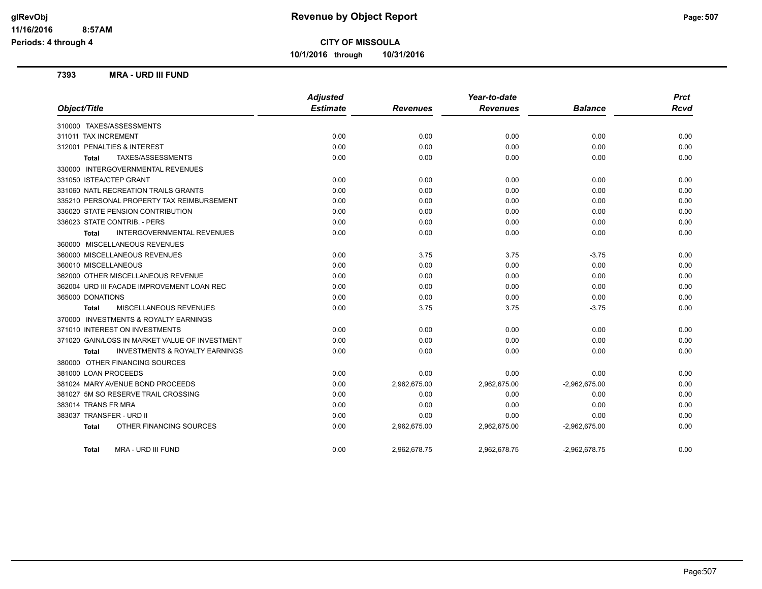**10/1/2016 through 10/31/2016**

#### **7393 MRA - URD III FUND**

|                                                           | <b>Adjusted</b> |                 | Year-to-date    |                 | <b>Prct</b> |
|-----------------------------------------------------------|-----------------|-----------------|-----------------|-----------------|-------------|
| Object/Title                                              | <b>Estimate</b> | <b>Revenues</b> | <b>Revenues</b> | <b>Balance</b>  | <b>Rcvd</b> |
| 310000 TAXES/ASSESSMENTS                                  |                 |                 |                 |                 |             |
| 311011 TAX INCREMENT                                      | 0.00            | 0.00            | 0.00            | 0.00            | 0.00        |
| 312001 PENALTIES & INTEREST                               | 0.00            | 0.00            | 0.00            | 0.00            | 0.00        |
| TAXES/ASSESSMENTS<br><b>Total</b>                         | 0.00            | 0.00            | 0.00            | 0.00            | 0.00        |
| 330000 INTERGOVERNMENTAL REVENUES                         |                 |                 |                 |                 |             |
| 331050 ISTEA/CTEP GRANT                                   | 0.00            | 0.00            | 0.00            | 0.00            | 0.00        |
| 331060 NATL RECREATION TRAILS GRANTS                      | 0.00            | 0.00            | 0.00            | 0.00            | 0.00        |
| 335210 PERSONAL PROPERTY TAX REIMBURSEMENT                | 0.00            | 0.00            | 0.00            | 0.00            | 0.00        |
| 336020 STATE PENSION CONTRIBUTION                         | 0.00            | 0.00            | 0.00            | 0.00            | 0.00        |
| 336023 STATE CONTRIB. - PERS                              | 0.00            | 0.00            | 0.00            | 0.00            | 0.00        |
| INTERGOVERNMENTAL REVENUES<br><b>Total</b>                | 0.00            | 0.00            | 0.00            | 0.00            | 0.00        |
| 360000 MISCELLANEOUS REVENUES                             |                 |                 |                 |                 |             |
| 360000 MISCELLANEOUS REVENUES                             | 0.00            | 3.75            | 3.75            | $-3.75$         | 0.00        |
| 360010 MISCELLANEOUS                                      | 0.00            | 0.00            | 0.00            | 0.00            | 0.00        |
| 362000 OTHER MISCELLANEOUS REVENUE                        | 0.00            | 0.00            | 0.00            | 0.00            | 0.00        |
| 362004 URD III FACADE IMPROVEMENT LOAN REC                | 0.00            | 0.00            | 0.00            | 0.00            | 0.00        |
| 365000 DONATIONS                                          | 0.00            | 0.00            | 0.00            | 0.00            | 0.00        |
| MISCELLANEOUS REVENUES<br><b>Total</b>                    | 0.00            | 3.75            | 3.75            | $-3.75$         | 0.00        |
| 370000 INVESTMENTS & ROYALTY EARNINGS                     |                 |                 |                 |                 |             |
| 371010 INTEREST ON INVESTMENTS                            | 0.00            | 0.00            | 0.00            | 0.00            | 0.00        |
| 371020 GAIN/LOSS IN MARKET VALUE OF INVESTMENT            | 0.00            | 0.00            | 0.00            | 0.00            | 0.00        |
| <b>INVESTMENTS &amp; ROYALTY EARNINGS</b><br><b>Total</b> | 0.00            | 0.00            | 0.00            | 0.00            | 0.00        |
| 380000 OTHER FINANCING SOURCES                            |                 |                 |                 |                 |             |
| 381000 LOAN PROCEEDS                                      | 0.00            | 0.00            | 0.00            | 0.00            | 0.00        |
| 381024 MARY AVENUE BOND PROCEEDS                          | 0.00            | 2,962,675.00    | 2,962,675.00    | $-2,962,675.00$ | 0.00        |
| 381027 5M SO RESERVE TRAIL CROSSING                       | 0.00            | 0.00            | 0.00            | 0.00            | 0.00        |
| 383014 TRANS FR MRA                                       | 0.00            | 0.00            | 0.00            | 0.00            | 0.00        |
| 383037 TRANSFER - URD II                                  | 0.00            | 0.00            | 0.00            | 0.00            | 0.00        |
| OTHER FINANCING SOURCES<br><b>Total</b>                   | 0.00            | 2,962,675.00    | 2,962,675.00    | $-2,962,675.00$ | 0.00        |
| <b>MRA - URD III FUND</b><br><b>Total</b>                 | 0.00            | 2.962.678.75    | 2.962.678.75    | $-2.962.678.75$ | 0.00        |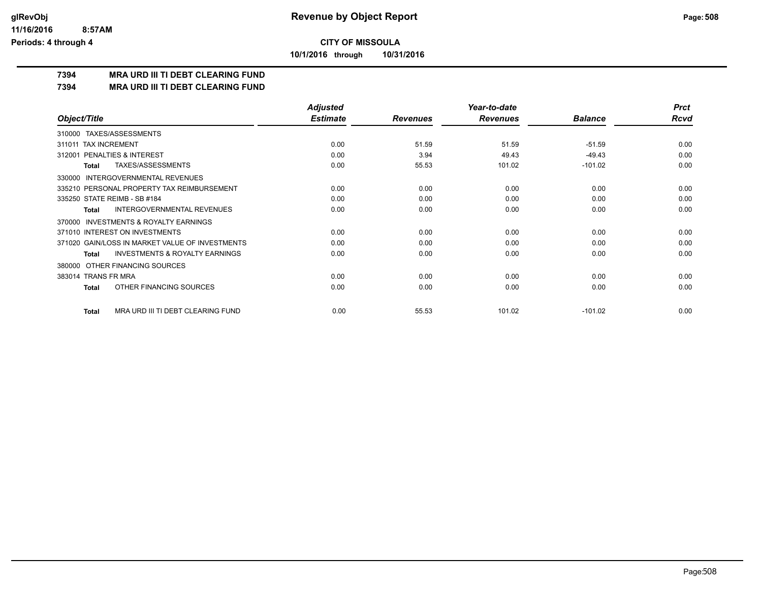**10/1/2016 through 10/31/2016**

# **7394 MRA URD III TI DEBT CLEARING FUND**

**7394 MRA URD III TI DEBT CLEARING FUND**

|                                                           | <b>Adjusted</b> |                 | Year-to-date    |                | <b>Prct</b> |
|-----------------------------------------------------------|-----------------|-----------------|-----------------|----------------|-------------|
| Object/Title                                              | <b>Estimate</b> | <b>Revenues</b> | <b>Revenues</b> | <b>Balance</b> | <b>Rcvd</b> |
| 310000 TAXES/ASSESSMENTS                                  |                 |                 |                 |                |             |
| <b>TAX INCREMENT</b><br>311011                            | 0.00            | 51.59           | 51.59           | $-51.59$       | 0.00        |
| <b>PENALTIES &amp; INTEREST</b><br>312001                 | 0.00            | 3.94            | 49.43           | $-49.43$       | 0.00        |
| TAXES/ASSESSMENTS<br><b>Total</b>                         | 0.00            | 55.53           | 101.02          | $-101.02$      | 0.00        |
| <b>INTERGOVERNMENTAL REVENUES</b><br>330000               |                 |                 |                 |                |             |
| 335210 PERSONAL PROPERTY TAX REIMBURSEMENT                | 0.00            | 0.00            | 0.00            | 0.00           | 0.00        |
| 335250 STATE REIMB - SB #184                              | 0.00            | 0.00            | 0.00            | 0.00           | 0.00        |
| INTERGOVERNMENTAL REVENUES<br><b>Total</b>                | 0.00            | 0.00            | 0.00            | 0.00           | 0.00        |
| <b>INVESTMENTS &amp; ROYALTY EARNINGS</b><br>370000       |                 |                 |                 |                |             |
| 371010 INTEREST ON INVESTMENTS                            | 0.00            | 0.00            | 0.00            | 0.00           | 0.00        |
| 371020 GAIN/LOSS IN MARKET VALUE OF INVESTMENTS           | 0.00            | 0.00            | 0.00            | 0.00           | 0.00        |
| <b>INVESTMENTS &amp; ROYALTY EARNINGS</b><br><b>Total</b> | 0.00            | 0.00            | 0.00            | 0.00           | 0.00        |
| OTHER FINANCING SOURCES<br>380000                         |                 |                 |                 |                |             |
| 383014 TRANS FR MRA                                       | 0.00            | 0.00            | 0.00            | 0.00           | 0.00        |
| OTHER FINANCING SOURCES<br><b>Total</b>                   | 0.00            | 0.00            | 0.00            | 0.00           | 0.00        |
| MRA URD III TI DEBT CLEARING FUND<br><b>Total</b>         | 0.00            | 55.53           | 101.02          | $-101.02$      | 0.00        |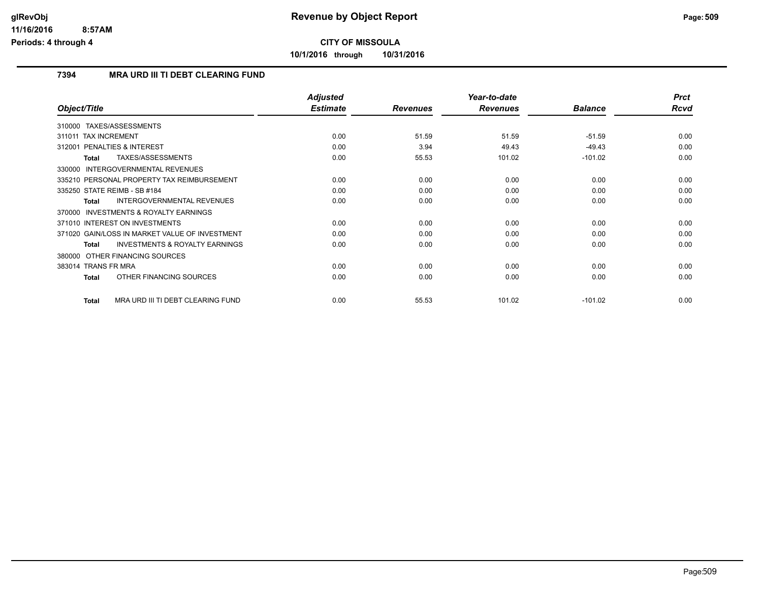**10/1/2016 through 10/31/2016**

## **7394 MRA URD III TI DEBT CLEARING FUND**

|                                                    | <b>Adjusted</b> |                 | Year-to-date    |                | <b>Prct</b> |
|----------------------------------------------------|-----------------|-----------------|-----------------|----------------|-------------|
| Object/Title                                       | <b>Estimate</b> | <b>Revenues</b> | <b>Revenues</b> | <b>Balance</b> | Rcvd        |
| TAXES/ASSESSMENTS<br>310000                        |                 |                 |                 |                |             |
| 311011 TAX INCREMENT                               | 0.00            | 51.59           | 51.59           | $-51.59$       | 0.00        |
| 312001 PENALTIES & INTEREST                        | 0.00            | 3.94            | 49.43           | $-49.43$       | 0.00        |
| TAXES/ASSESSMENTS<br>Total                         | 0.00            | 55.53           | 101.02          | $-101.02$      | 0.00        |
| 330000 INTERGOVERNMENTAL REVENUES                  |                 |                 |                 |                |             |
| 335210 PERSONAL PROPERTY TAX REIMBURSEMENT         | 0.00            | 0.00            | 0.00            | 0.00           | 0.00        |
| 335250 STATE REIMB - SB #184                       | 0.00            | 0.00            | 0.00            | 0.00           | 0.00        |
| <b>INTERGOVERNMENTAL REVENUES</b><br>Total         | 0.00            | 0.00            | 0.00            | 0.00           | 0.00        |
| 370000 INVESTMENTS & ROYALTY EARNINGS              |                 |                 |                 |                |             |
| 371010 INTEREST ON INVESTMENTS                     | 0.00            | 0.00            | 0.00            | 0.00           | 0.00        |
| 371020 GAIN/LOSS IN MARKET VALUE OF INVESTMENT     | 0.00            | 0.00            | 0.00            | 0.00           | 0.00        |
| <b>INVESTMENTS &amp; ROYALTY EARNINGS</b><br>Total | 0.00            | 0.00            | 0.00            | 0.00           | 0.00        |
| 380000 OTHER FINANCING SOURCES                     |                 |                 |                 |                |             |
| 383014 TRANS FR MRA                                | 0.00            | 0.00            | 0.00            | 0.00           | 0.00        |
| OTHER FINANCING SOURCES<br>Total                   | 0.00            | 0.00            | 0.00            | 0.00           | 0.00        |
| MRA URD III TI DEBT CLEARING FUND<br><b>Total</b>  | 0.00            | 55.53           | 101.02          | $-101.02$      | 0.00        |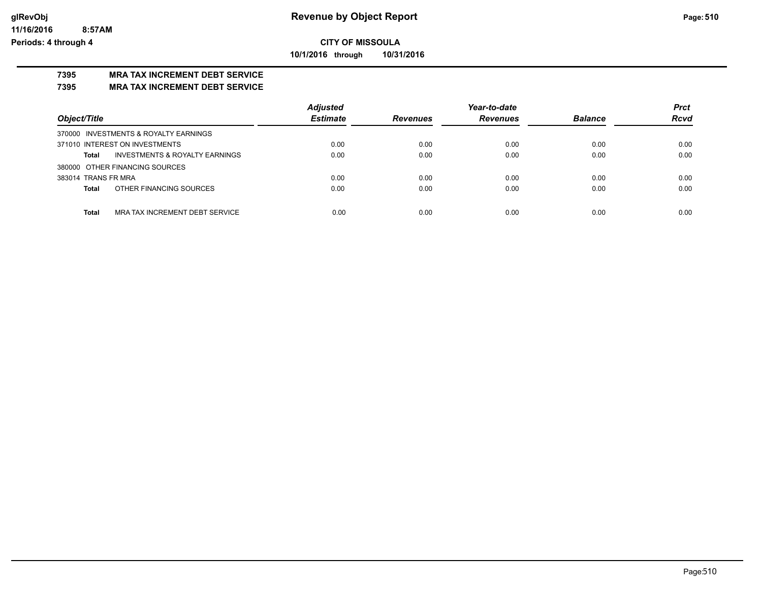**10/1/2016 through 10/31/2016**

# **7395 MRA TAX INCREMENT DEBT SERVICE**

# **7395 MRA TAX INCREMENT DEBT SERVICE**

|                                                    | <b>Adjusted</b> |                 | Year-to-date    |                | <b>Prct</b> |
|----------------------------------------------------|-----------------|-----------------|-----------------|----------------|-------------|
| Object/Title                                       | <b>Estimate</b> | <b>Revenues</b> | <b>Revenues</b> | <b>Balance</b> | <b>Rcvd</b> |
| 370000 INVESTMENTS & ROYALTY EARNINGS              |                 |                 |                 |                |             |
| 371010 INTEREST ON INVESTMENTS                     | 0.00            | 0.00            | 0.00            | 0.00           | 0.00        |
| <b>INVESTMENTS &amp; ROYALTY EARNINGS</b><br>Total | 0.00            | 0.00            | 0.00            | 0.00           | 0.00        |
| 380000 OTHER FINANCING SOURCES                     |                 |                 |                 |                |             |
| 383014 TRANS FR MRA                                | 0.00            | 0.00            | 0.00            | 0.00           | 0.00        |
| OTHER FINANCING SOURCES<br>Total                   | 0.00            | 0.00            | 0.00            | 0.00           | 0.00        |
|                                                    |                 |                 |                 |                |             |
| MRA TAX INCREMENT DEBT SERVICE<br>Total            | 0.00            | 0.00            | 0.00            | 0.00           | 0.00        |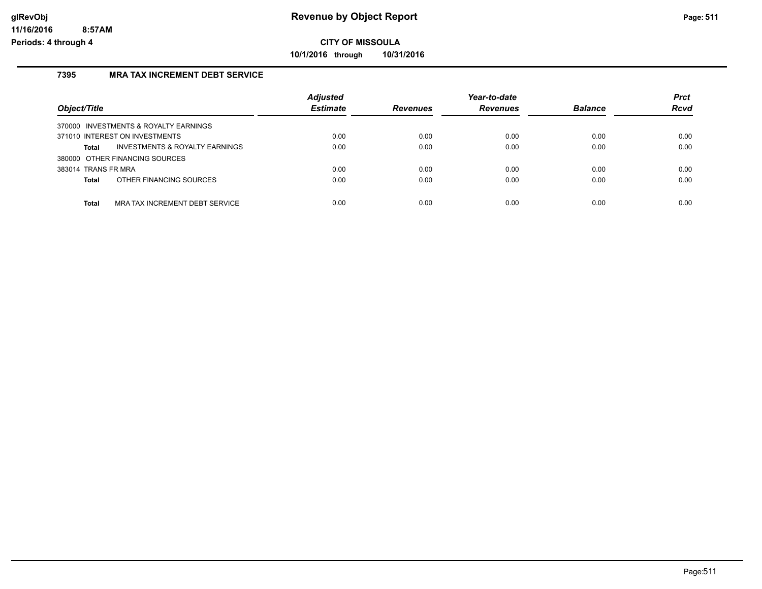**10/1/2016 through 10/31/2016**

# **7395 MRA TAX INCREMENT DEBT SERVICE**

| Object/Title                                   | <b>Adjusted</b><br><b>Estimate</b> | <b>Revenues</b> | Year-to-date<br><b>Revenues</b> | <b>Balance</b> | <b>Prct</b><br><b>Rcvd</b> |
|------------------------------------------------|------------------------------------|-----------------|---------------------------------|----------------|----------------------------|
| 370000 INVESTMENTS & ROYALTY EARNINGS          |                                    |                 |                                 |                |                            |
| 371010 INTEREST ON INVESTMENTS                 | 0.00                               | 0.00            | 0.00                            | 0.00           | 0.00                       |
| INVESTMENTS & ROYALTY EARNINGS<br>Total        | 0.00                               | 0.00            | 0.00                            | 0.00           | 0.00                       |
| 380000 OTHER FINANCING SOURCES                 |                                    |                 |                                 |                |                            |
| 383014 TRANS FR MRA                            | 0.00                               | 0.00            | 0.00                            | 0.00           | 0.00                       |
| OTHER FINANCING SOURCES<br><b>Total</b>        | 0.00                               | 0.00            | 0.00                            | 0.00           | 0.00                       |
|                                                |                                    |                 |                                 |                |                            |
| MRA TAX INCREMENT DEBT SERVICE<br><b>Total</b> | 0.00                               | 0.00            | 0.00                            | 0.00           | 0.00                       |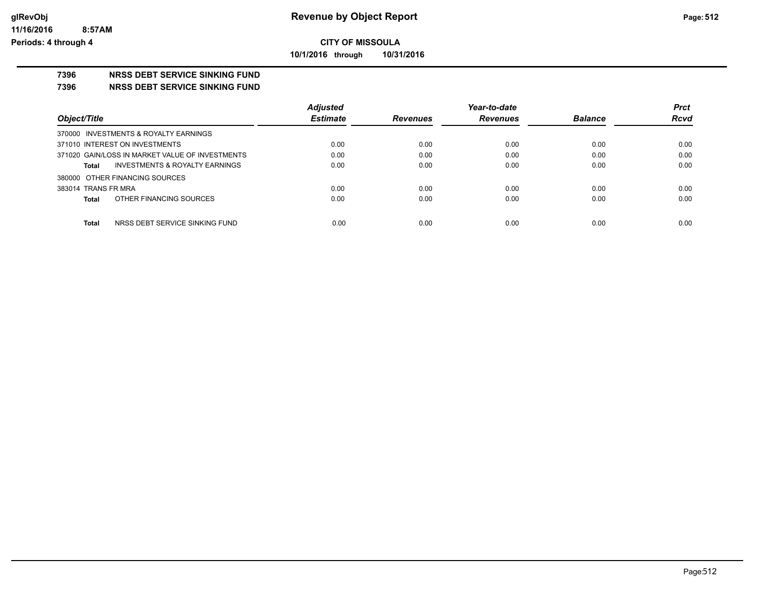**10/1/2016 through 10/31/2016**

# **7396 NRSS DEBT SERVICE SINKING FUND**

**7396 NRSS DEBT SERVICE SINKING FUND**

|                                                 | <b>Adjusted</b> |                 | Year-to-date    |                | <b>Prct</b> |
|-------------------------------------------------|-----------------|-----------------|-----------------|----------------|-------------|
| Object/Title                                    | <b>Estimate</b> | <b>Revenues</b> | <b>Revenues</b> | <b>Balance</b> | <b>Rcvd</b> |
| 370000 INVESTMENTS & ROYALTY EARNINGS           |                 |                 |                 |                |             |
| 371010 INTEREST ON INVESTMENTS                  | 0.00            | 0.00            | 0.00            | 0.00           | 0.00        |
| 371020 GAIN/LOSS IN MARKET VALUE OF INVESTMENTS | 0.00            | 0.00            | 0.00            | 0.00           | 0.00        |
| INVESTMENTS & ROYALTY EARNINGS<br>Total         | 0.00            | 0.00            | 0.00            | 0.00           | 0.00        |
| 380000 OTHER FINANCING SOURCES                  |                 |                 |                 |                |             |
| 383014 TRANS FR MRA                             | 0.00            | 0.00            | 0.00            | 0.00           | 0.00        |
| OTHER FINANCING SOURCES<br>Total                | 0.00            | 0.00            | 0.00            | 0.00           | 0.00        |
|                                                 |                 |                 |                 |                |             |
| NRSS DEBT SERVICE SINKING FUND<br><b>Total</b>  | 0.00            | 0.00            | 0.00            | 0.00           | 0.00        |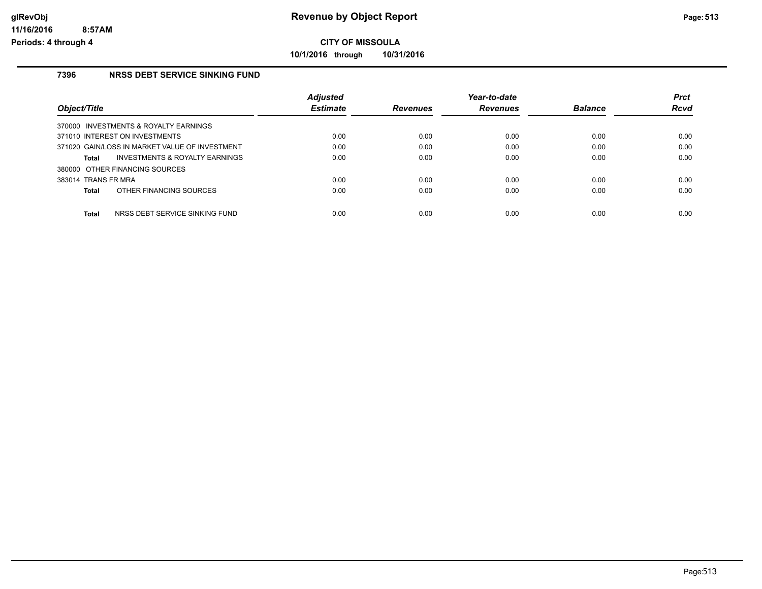**10/1/2016 through 10/31/2016**

# **7396 NRSS DEBT SERVICE SINKING FUND**

|                                                | <b>Adjusted</b> |                 | Year-to-date    |                | <b>Prct</b> |
|------------------------------------------------|-----------------|-----------------|-----------------|----------------|-------------|
| Object/Title                                   | <b>Estimate</b> | <b>Revenues</b> | <b>Revenues</b> | <b>Balance</b> | <b>Rcvd</b> |
| 370000 INVESTMENTS & ROYALTY EARNINGS          |                 |                 |                 |                |             |
| 371010 INTEREST ON INVESTMENTS                 | 0.00            | 0.00            | 0.00            | 0.00           | 0.00        |
| 371020 GAIN/LOSS IN MARKET VALUE OF INVESTMENT | 0.00            | 0.00            | 0.00            | 0.00           | 0.00        |
| INVESTMENTS & ROYALTY EARNINGS<br><b>Total</b> | 0.00            | 0.00            | 0.00            | 0.00           | 0.00        |
| 380000 OTHER FINANCING SOURCES                 |                 |                 |                 |                |             |
| 383014 TRANS FR MRA                            | 0.00            | 0.00            | 0.00            | 0.00           | 0.00        |
| OTHER FINANCING SOURCES<br><b>Total</b>        | 0.00            | 0.00            | 0.00            | 0.00           | 0.00        |
|                                                |                 |                 |                 |                |             |
| <b>Total</b><br>NRSS DEBT SERVICE SINKING FUND | 0.00            | 0.00            | 0.00            | 0.00           | 0.00        |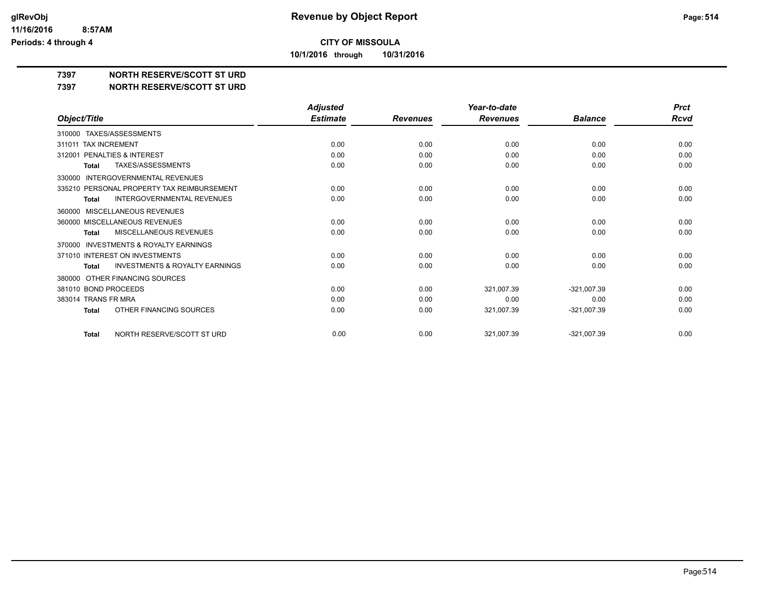**10/1/2016 through 10/31/2016**

**7397 NORTH RESERVE/SCOTT ST URD**

**7397 NORTH RESERVE/SCOTT ST URD**

|                                                           | <b>Adjusted</b> |                 | Year-to-date    | <b>Prct</b>    |             |
|-----------------------------------------------------------|-----------------|-----------------|-----------------|----------------|-------------|
| Object/Title                                              | <b>Estimate</b> | <b>Revenues</b> | <b>Revenues</b> | <b>Balance</b> | <b>Rcvd</b> |
| TAXES/ASSESSMENTS<br>310000                               |                 |                 |                 |                |             |
| 311011 TAX INCREMENT                                      | 0.00            | 0.00            | 0.00            | 0.00           | 0.00        |
| PENALTIES & INTEREST<br>312001                            | 0.00            | 0.00            | 0.00            | 0.00           | 0.00        |
| TAXES/ASSESSMENTS<br>Total                                | 0.00            | 0.00            | 0.00            | 0.00           | 0.00        |
| <b>INTERGOVERNMENTAL REVENUES</b><br>330000               |                 |                 |                 |                |             |
| 335210 PERSONAL PROPERTY TAX REIMBURSEMENT                | 0.00            | 0.00            | 0.00            | 0.00           | 0.00        |
| <b>INTERGOVERNMENTAL REVENUES</b><br><b>Total</b>         | 0.00            | 0.00            | 0.00            | 0.00           | 0.00        |
| MISCELLANEOUS REVENUES<br>360000                          |                 |                 |                 |                |             |
| 360000 MISCELLANEOUS REVENUES                             | 0.00            | 0.00            | 0.00            | 0.00           | 0.00        |
| <b>MISCELLANEOUS REVENUES</b><br><b>Total</b>             | 0.00            | 0.00            | 0.00            | 0.00           | 0.00        |
| <b>INVESTMENTS &amp; ROYALTY EARNINGS</b><br>370000       |                 |                 |                 |                |             |
| 371010 INTEREST ON INVESTMENTS                            | 0.00            | 0.00            | 0.00            | 0.00           | 0.00        |
| <b>INVESTMENTS &amp; ROYALTY EARNINGS</b><br><b>Total</b> | 0.00            | 0.00            | 0.00            | 0.00           | 0.00        |
| OTHER FINANCING SOURCES<br>380000                         |                 |                 |                 |                |             |
| 381010 BOND PROCEEDS                                      | 0.00            | 0.00            | 321,007.39      | $-321,007.39$  | 0.00        |
| 383014 TRANS FR MRA                                       | 0.00            | 0.00            | 0.00            | 0.00           | 0.00        |
| OTHER FINANCING SOURCES<br><b>Total</b>                   | 0.00            | 0.00            | 321,007.39      | $-321,007.39$  | 0.00        |
| NORTH RESERVE/SCOTT ST URD<br><b>Total</b>                | 0.00            | 0.00            | 321,007.39      | $-321,007.39$  | 0.00        |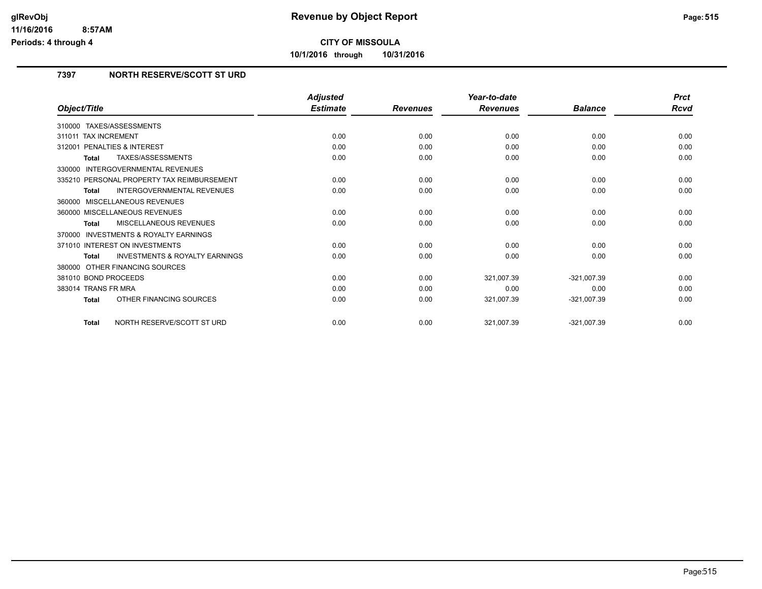**10/1/2016 through 10/31/2016**

# **7397 NORTH RESERVE/SCOTT ST URD**

|                                                           | <b>Adjusted</b> |                 | Year-to-date    |                | <b>Prct</b> |
|-----------------------------------------------------------|-----------------|-----------------|-----------------|----------------|-------------|
| Object/Title                                              | <b>Estimate</b> | <b>Revenues</b> | <b>Revenues</b> | <b>Balance</b> | Rcvd        |
| 310000 TAXES/ASSESSMENTS                                  |                 |                 |                 |                |             |
| 311011 TAX INCREMENT                                      | 0.00            | 0.00            | 0.00            | 0.00           | 0.00        |
| PENALTIES & INTEREST<br>312001                            | 0.00            | 0.00            | 0.00            | 0.00           | 0.00        |
| TAXES/ASSESSMENTS<br><b>Total</b>                         | 0.00            | 0.00            | 0.00            | 0.00           | 0.00        |
| 330000 INTERGOVERNMENTAL REVENUES                         |                 |                 |                 |                |             |
| 335210 PERSONAL PROPERTY TAX REIMBURSEMENT                | 0.00            | 0.00            | 0.00            | 0.00           | 0.00        |
| <b>INTERGOVERNMENTAL REVENUES</b><br><b>Total</b>         | 0.00            | 0.00            | 0.00            | 0.00           | 0.00        |
| 360000 MISCELLANEOUS REVENUES                             |                 |                 |                 |                |             |
| 360000 MISCELLANEOUS REVENUES                             | 0.00            | 0.00            | 0.00            | 0.00           | 0.00        |
| <b>MISCELLANEOUS REVENUES</b><br><b>Total</b>             | 0.00            | 0.00            | 0.00            | 0.00           | 0.00        |
| 370000 INVESTMENTS & ROYALTY EARNINGS                     |                 |                 |                 |                |             |
| 371010 INTEREST ON INVESTMENTS                            | 0.00            | 0.00            | 0.00            | 0.00           | 0.00        |
| <b>INVESTMENTS &amp; ROYALTY EARNINGS</b><br><b>Total</b> | 0.00            | 0.00            | 0.00            | 0.00           | 0.00        |
| 380000 OTHER FINANCING SOURCES                            |                 |                 |                 |                |             |
| 381010 BOND PROCEEDS                                      | 0.00            | 0.00            | 321,007.39      | $-321,007.39$  | 0.00        |
| 383014 TRANS FR MRA                                       | 0.00            | 0.00            | 0.00            | 0.00           | 0.00        |
| OTHER FINANCING SOURCES<br><b>Total</b>                   | 0.00            | 0.00            | 321,007.39      | $-321,007.39$  | 0.00        |
| NORTH RESERVE/SCOTT ST URD<br><b>Total</b>                | 0.00            | 0.00            | 321,007.39      | $-321,007.39$  | 0.00        |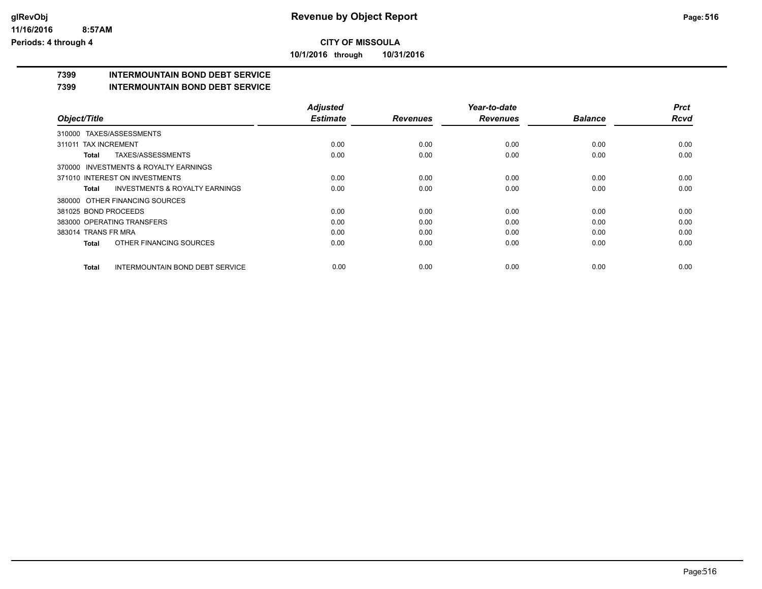**10/1/2016 through 10/31/2016**

# **7399 INTERMOUNTAIN BOND DEBT SERVICE**

# **7399 INTERMOUNTAIN BOND DEBT SERVICE**

|                                                        | <b>Adjusted</b> |                 | Year-to-date    |                | <b>Prct</b> |
|--------------------------------------------------------|-----------------|-----------------|-----------------|----------------|-------------|
| Object/Title                                           | <b>Estimate</b> | <b>Revenues</b> | <b>Revenues</b> | <b>Balance</b> | <b>Rcvd</b> |
| TAXES/ASSESSMENTS<br>310000                            |                 |                 |                 |                |             |
| 311011 TAX INCREMENT                                   | 0.00            | 0.00            | 0.00            | 0.00           | 0.00        |
| TAXES/ASSESSMENTS<br>Total                             | 0.00            | 0.00            | 0.00            | 0.00           | 0.00        |
| 370000 INVESTMENTS & ROYALTY EARNINGS                  |                 |                 |                 |                |             |
| 371010 INTEREST ON INVESTMENTS                         | 0.00            | 0.00            | 0.00            | 0.00           | 0.00        |
| <b>INVESTMENTS &amp; ROYALTY EARNINGS</b><br>Total     | 0.00            | 0.00            | 0.00            | 0.00           | 0.00        |
| 380000 OTHER FINANCING SOURCES                         |                 |                 |                 |                |             |
| 381025 BOND PROCEEDS                                   | 0.00            | 0.00            | 0.00            | 0.00           | 0.00        |
| 383000 OPERATING TRANSFERS                             | 0.00            | 0.00            | 0.00            | 0.00           | 0.00        |
| 383014 TRANS FR MRA                                    | 0.00            | 0.00            | 0.00            | 0.00           | 0.00        |
| OTHER FINANCING SOURCES<br>Total                       | 0.00            | 0.00            | 0.00            | 0.00           | 0.00        |
| <b>INTERMOUNTAIN BOND DEBT SERVICE</b><br><b>Total</b> | 0.00            | 0.00            | 0.00            | 0.00           | 0.00        |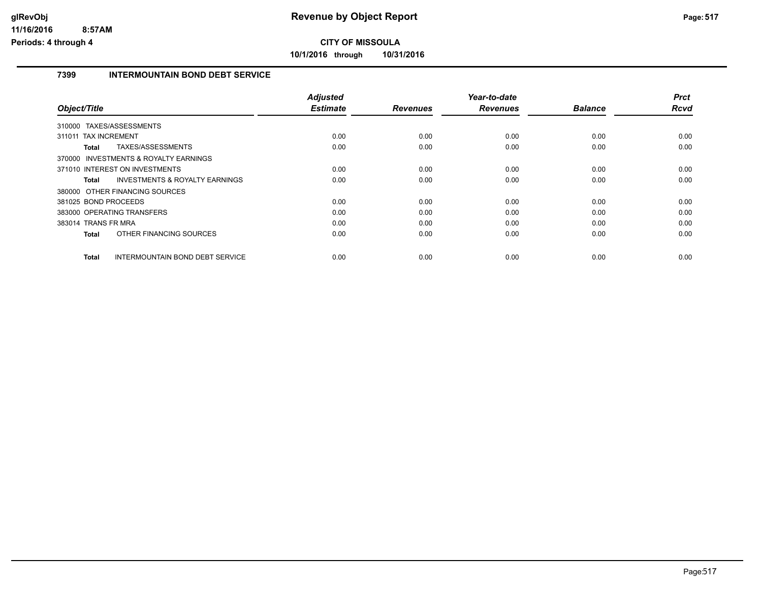**10/1/2016 through 10/31/2016**

# **7399 INTERMOUNTAIN BOND DEBT SERVICE**

| Object/Title                                       | <b>Adjusted</b><br><b>Estimate</b> | <b>Revenues</b> | Year-to-date<br><b>Revenues</b> | <b>Balance</b> | <b>Prct</b><br><b>Rcvd</b> |
|----------------------------------------------------|------------------------------------|-----------------|---------------------------------|----------------|----------------------------|
|                                                    |                                    |                 |                                 |                |                            |
| 310000 TAXES/ASSESSMENTS                           |                                    |                 |                                 |                |                            |
| 311011 TAX INCREMENT                               | 0.00                               | 0.00            | 0.00                            | 0.00           | 0.00                       |
| TAXES/ASSESSMENTS<br><b>Total</b>                  | 0.00                               | 0.00            | 0.00                            | 0.00           | 0.00                       |
| 370000 INVESTMENTS & ROYALTY EARNINGS              |                                    |                 |                                 |                |                            |
| 371010 INTEREST ON INVESTMENTS                     | 0.00                               | 0.00            | 0.00                            | 0.00           | 0.00                       |
| <b>INVESTMENTS &amp; ROYALTY EARNINGS</b><br>Total | 0.00                               | 0.00            | 0.00                            | 0.00           | 0.00                       |
| 380000 OTHER FINANCING SOURCES                     |                                    |                 |                                 |                |                            |
| 381025 BOND PROCEEDS                               | 0.00                               | 0.00            | 0.00                            | 0.00           | 0.00                       |
| 383000 OPERATING TRANSFERS                         | 0.00                               | 0.00            | 0.00                            | 0.00           | 0.00                       |
| 383014 TRANS FR MRA                                | 0.00                               | 0.00            | 0.00                            | 0.00           | 0.00                       |
| OTHER FINANCING SOURCES<br><b>Total</b>            | 0.00                               | 0.00            | 0.00                            | 0.00           | 0.00                       |
| INTERMOUNTAIN BOND DEBT SERVICE<br><b>Total</b>    | 0.00                               | 0.00            | 0.00                            | 0.00           | 0.00                       |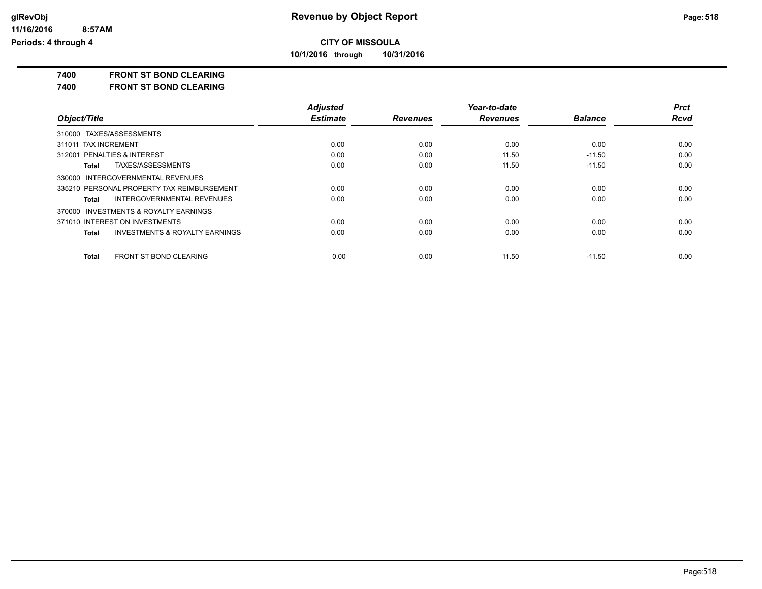**10/1/2016 through 10/31/2016**

#### **7400 FRONT ST BOND CLEARING**

**7400 FRONT ST BOND CLEARING**

|                                            | <b>Adjusted</b> |                 | Year-to-date    |                | <b>Prct</b> |
|--------------------------------------------|-----------------|-----------------|-----------------|----------------|-------------|
| Object/Title                               | <b>Estimate</b> | <b>Revenues</b> | <b>Revenues</b> | <b>Balance</b> | <b>Rcvd</b> |
| 310000 TAXES/ASSESSMENTS                   |                 |                 |                 |                |             |
| 311011 TAX INCREMENT                       | 0.00            | 0.00            | 0.00            | 0.00           | 0.00        |
| 312001 PENALTIES & INTEREST                | 0.00            | 0.00            | 11.50           | $-11.50$       | 0.00        |
| TAXES/ASSESSMENTS<br>Total                 | 0.00            | 0.00            | 11.50           | $-11.50$       | 0.00        |
| 330000 INTERGOVERNMENTAL REVENUES          |                 |                 |                 |                |             |
| 335210 PERSONAL PROPERTY TAX REIMBURSEMENT | 0.00            | 0.00            | 0.00            | 0.00           | 0.00        |
| INTERGOVERNMENTAL REVENUES<br>Total        | 0.00            | 0.00            | 0.00            | 0.00           | 0.00        |
| 370000 INVESTMENTS & ROYALTY EARNINGS      |                 |                 |                 |                |             |
| 371010 INTEREST ON INVESTMENTS             | 0.00            | 0.00            | 0.00            | 0.00           | 0.00        |
| INVESTMENTS & ROYALTY EARNINGS<br>Total    | 0.00            | 0.00            | 0.00            | 0.00           | 0.00        |
| <b>FRONT ST BOND CLEARING</b><br>Total     | 0.00            | 0.00            | 11.50           | $-11.50$       | 0.00        |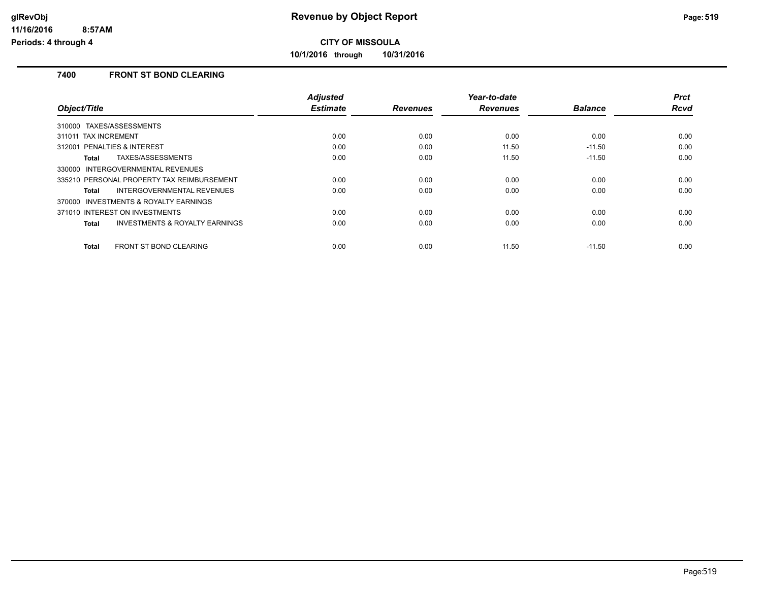**10/1/2016 through 10/31/2016**

# **7400 FRONT ST BOND CLEARING**

|                                            | <b>Adjusted</b> |                 | Year-to-date    |                | <b>Prct</b> |
|--------------------------------------------|-----------------|-----------------|-----------------|----------------|-------------|
| Object/Title                               | <b>Estimate</b> | <b>Revenues</b> | <b>Revenues</b> | <b>Balance</b> | <b>Rcvd</b> |
| TAXES/ASSESSMENTS<br>310000                |                 |                 |                 |                |             |
| 311011 TAX INCREMENT                       | 0.00            | 0.00            | 0.00            | 0.00           | 0.00        |
| 312001 PENALTIES & INTEREST                | 0.00            | 0.00            | 11.50           | $-11.50$       | 0.00        |
| TAXES/ASSESSMENTS<br><b>Total</b>          | 0.00            | 0.00            | 11.50           | $-11.50$       | 0.00        |
| 330000 INTERGOVERNMENTAL REVENUES          |                 |                 |                 |                |             |
| 335210 PERSONAL PROPERTY TAX REIMBURSEMENT | 0.00            | 0.00            | 0.00            | 0.00           | 0.00        |
| INTERGOVERNMENTAL REVENUES<br>Total        | 0.00            | 0.00            | 0.00            | 0.00           | 0.00        |
| 370000 INVESTMENTS & ROYALTY EARNINGS      |                 |                 |                 |                |             |
| 371010 INTEREST ON INVESTMENTS             | 0.00            | 0.00            | 0.00            | 0.00           | 0.00        |
| INVESTMENTS & ROYALTY EARNINGS<br>Total    | 0.00            | 0.00            | 0.00            | 0.00           | 0.00        |
|                                            |                 |                 |                 |                |             |
| FRONT ST BOND CLEARING<br><b>Total</b>     | 0.00            | 0.00            | 11.50           | $-11.50$       | 0.00        |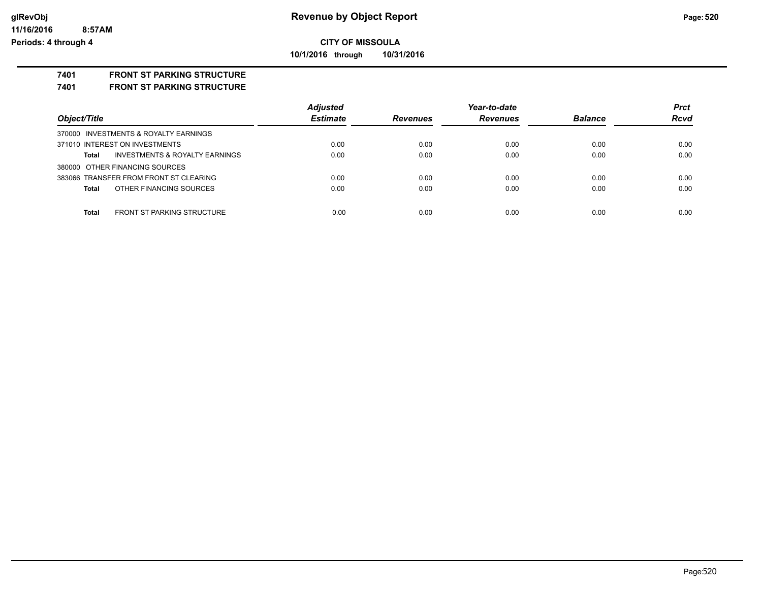**10/1/2016 through 10/31/2016**

# **7401 FRONT ST PARKING STRUCTURE**

**7401 FRONT ST PARKING STRUCTURE**

|                                                           | <b>Adjusted</b> |                 | Year-to-date    |                | <b>Prct</b> |
|-----------------------------------------------------------|-----------------|-----------------|-----------------|----------------|-------------|
| Object/Title                                              | <b>Estimate</b> | <b>Revenues</b> | <b>Revenues</b> | <b>Balance</b> | <b>Rcvd</b> |
| 370000 INVESTMENTS & ROYALTY EARNINGS                     |                 |                 |                 |                |             |
| 371010 INTEREST ON INVESTMENTS                            | 0.00            | 0.00            | 0.00            | 0.00           | 0.00        |
| <b>INVESTMENTS &amp; ROYALTY EARNINGS</b><br><b>Total</b> | 0.00            | 0.00            | 0.00            | 0.00           | 0.00        |
| 380000 OTHER FINANCING SOURCES                            |                 |                 |                 |                |             |
| 383066 TRANSFER FROM FRONT ST CLEARING                    | 0.00            | 0.00            | 0.00            | 0.00           | 0.00        |
| OTHER FINANCING SOURCES<br><b>Total</b>                   | 0.00            | 0.00            | 0.00            | 0.00           | 0.00        |
|                                                           |                 |                 |                 |                |             |
| <b>FRONT ST PARKING STRUCTURE</b><br><b>Total</b>         | 0.00            | 0.00            | 0.00            | 0.00           | 0.00        |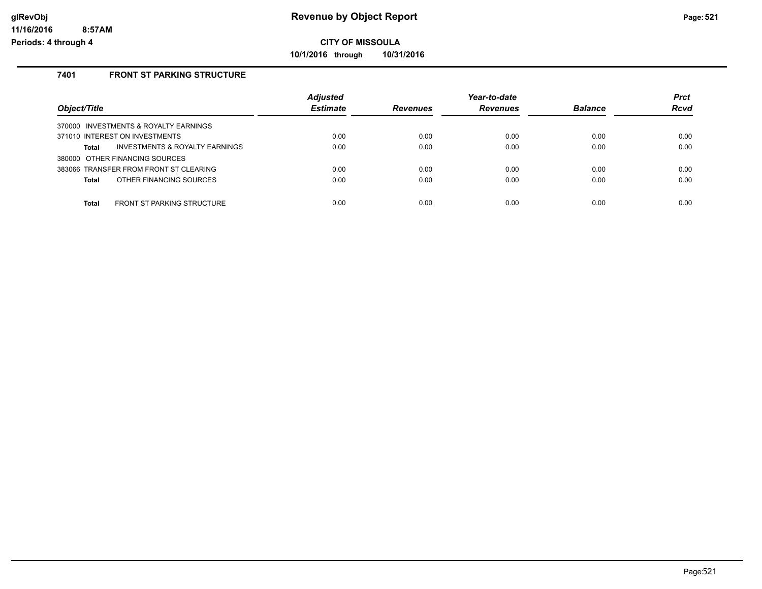**10/1/2016 through 10/31/2016**

# **7401 FRONT ST PARKING STRUCTURE**

| Object/Title                                      | <b>Adjusted</b><br><b>Estimate</b> | <b>Revenues</b> | Year-to-date<br><b>Revenues</b> | <b>Balance</b> | <b>Prct</b><br><b>Rcvd</b> |
|---------------------------------------------------|------------------------------------|-----------------|---------------------------------|----------------|----------------------------|
| 370000 INVESTMENTS & ROYALTY EARNINGS             |                                    |                 |                                 |                |                            |
| 371010 INTEREST ON INVESTMENTS                    | 0.00                               | 0.00            | 0.00                            | 0.00           | 0.00                       |
| INVESTMENTS & ROYALTY EARNINGS<br>Total           | 0.00                               | 0.00            | 0.00                            | 0.00           | 0.00                       |
| 380000 OTHER FINANCING SOURCES                    |                                    |                 |                                 |                |                            |
| 383066 TRANSFER FROM FRONT ST CLEARING            | 0.00                               | 0.00            | 0.00                            | 0.00           | 0.00                       |
| OTHER FINANCING SOURCES<br>Total                  | 0.00                               | 0.00            | 0.00                            | 0.00           | 0.00                       |
|                                                   |                                    |                 |                                 |                |                            |
| <b>FRONT ST PARKING STRUCTURE</b><br><b>Total</b> | 0.00                               | 0.00            | 0.00                            | 0.00           | 0.00                       |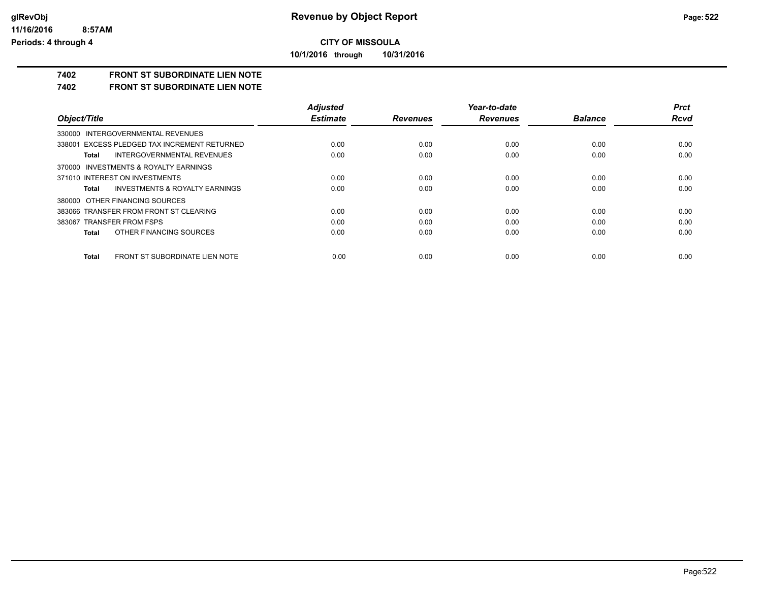**10/1/2016 through 10/31/2016**

# **7402 FRONT ST SUBORDINATE LIEN NOTE**

**7402 FRONT ST SUBORDINATE LIEN NOTE**

|                                                    | <b>Adjusted</b> |                 | Year-to-date    |                | <b>Prct</b> |
|----------------------------------------------------|-----------------|-----------------|-----------------|----------------|-------------|
| Object/Title                                       | <b>Estimate</b> | <b>Revenues</b> | <b>Revenues</b> | <b>Balance</b> | <b>Rcvd</b> |
| 330000 INTERGOVERNMENTAL REVENUES                  |                 |                 |                 |                |             |
| 338001 EXCESS PLEDGED TAX INCREMENT RETURNED       | 0.00            | 0.00            | 0.00            | 0.00           | 0.00        |
| INTERGOVERNMENTAL REVENUES<br>Total                | 0.00            | 0.00            | 0.00            | 0.00           | 0.00        |
| 370000 INVESTMENTS & ROYALTY EARNINGS              |                 |                 |                 |                |             |
| 371010 INTEREST ON INVESTMENTS                     | 0.00            | 0.00            | 0.00            | 0.00           | 0.00        |
| <b>INVESTMENTS &amp; ROYALTY EARNINGS</b><br>Total | 0.00            | 0.00            | 0.00            | 0.00           | 0.00        |
| 380000 OTHER FINANCING SOURCES                     |                 |                 |                 |                |             |
| 383066 TRANSFER FROM FRONT ST CLEARING             | 0.00            | 0.00            | 0.00            | 0.00           | 0.00        |
| 383067 TRANSFER FROM FSPS                          | 0.00            | 0.00            | 0.00            | 0.00           | 0.00        |
| OTHER FINANCING SOURCES<br>Total                   | 0.00            | 0.00            | 0.00            | 0.00           | 0.00        |
|                                                    |                 |                 |                 |                |             |
| FRONT ST SUBORDINATE LIEN NOTE<br>Total            | 0.00            | 0.00            | 0.00            | 0.00           | 0.00        |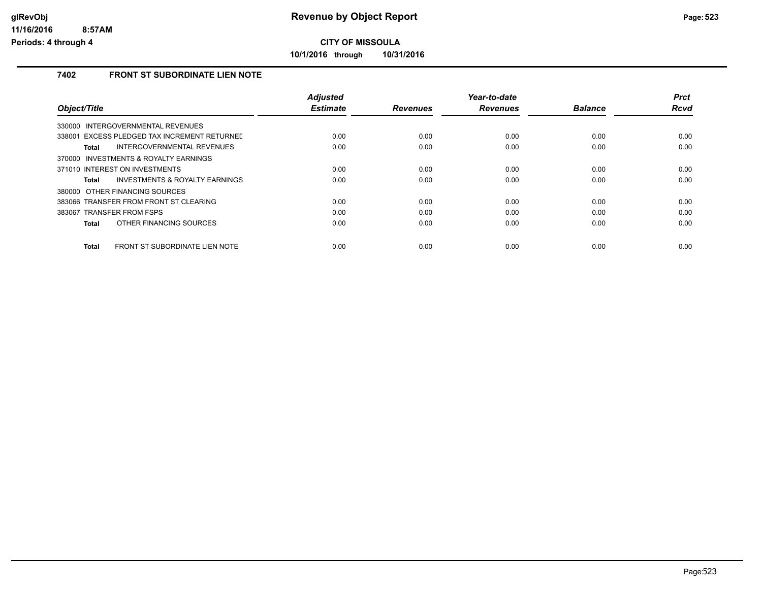**10/1/2016 through 10/31/2016**

# **7402 FRONT ST SUBORDINATE LIEN NOTE**

| Object/Title                                   | <b>Adjusted</b><br><b>Estimate</b> | <b>Revenues</b> | Year-to-date<br><b>Revenues</b> | <b>Balance</b> | <b>Prct</b><br><b>Rcvd</b> |
|------------------------------------------------|------------------------------------|-----------------|---------------------------------|----------------|----------------------------|
|                                                |                                    |                 |                                 |                |                            |
| INTERGOVERNMENTAL REVENUES<br>330000           |                                    |                 |                                 |                |                            |
| 338001 EXCESS PLEDGED TAX INCREMENT RETURNED   | 0.00                               | 0.00            | 0.00                            | 0.00           | 0.00                       |
| INTERGOVERNMENTAL REVENUES<br>Total            | 0.00                               | 0.00            | 0.00                            | 0.00           | 0.00                       |
| 370000 INVESTMENTS & ROYALTY EARNINGS          |                                    |                 |                                 |                |                            |
| 371010 INTEREST ON INVESTMENTS                 | 0.00                               | 0.00            | 0.00                            | 0.00           | 0.00                       |
| INVESTMENTS & ROYALTY EARNINGS<br>Total        | 0.00                               | 0.00            | 0.00                            | 0.00           | 0.00                       |
| 380000 OTHER FINANCING SOURCES                 |                                    |                 |                                 |                |                            |
| 383066 TRANSFER FROM FRONT ST CLEARING         | 0.00                               | 0.00            | 0.00                            | 0.00           | 0.00                       |
| 383067 TRANSFER FROM FSPS                      | 0.00                               | 0.00            | 0.00                            | 0.00           | 0.00                       |
| OTHER FINANCING SOURCES<br>Total               | 0.00                               | 0.00            | 0.00                            | 0.00           | 0.00                       |
|                                                |                                    |                 |                                 |                |                            |
| FRONT ST SUBORDINATE LIEN NOTE<br><b>Total</b> | 0.00                               | 0.00            | 0.00                            | 0.00           | 0.00                       |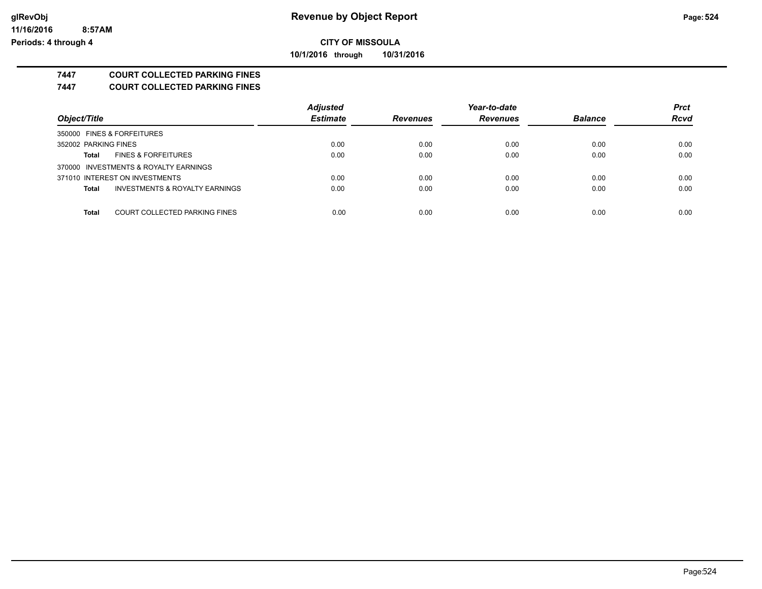**10/1/2016 through 10/31/2016**

# **7447 COURT COLLECTED PARKING FINES**

# **7447 COURT COLLECTED PARKING FINES**

|                                               | <b>Adjusted</b> |                 | Year-to-date    |                | <b>Prct</b> |
|-----------------------------------------------|-----------------|-----------------|-----------------|----------------|-------------|
| Object/Title                                  | <b>Estimate</b> | <b>Revenues</b> | <b>Revenues</b> | <b>Balance</b> | <b>Rcvd</b> |
| 350000 FINES & FORFEITURES                    |                 |                 |                 |                |             |
| 352002 PARKING FINES                          | 0.00            | 0.00            | 0.00            | 0.00           | 0.00        |
| <b>FINES &amp; FORFEITURES</b><br>Total       | 0.00            | 0.00            | 0.00            | 0.00           | 0.00        |
| 370000 INVESTMENTS & ROYALTY EARNINGS         |                 |                 |                 |                |             |
| 371010 INTEREST ON INVESTMENTS                | 0.00            | 0.00            | 0.00            | 0.00           | 0.00        |
| INVESTMENTS & ROYALTY EARNINGS<br>Total       | 0.00            | 0.00            | 0.00            | 0.00           | 0.00        |
|                                               |                 |                 |                 |                |             |
| <b>COURT COLLECTED PARKING FINES</b><br>Total | 0.00            | 0.00            | 0.00            | 0.00           | 0.00        |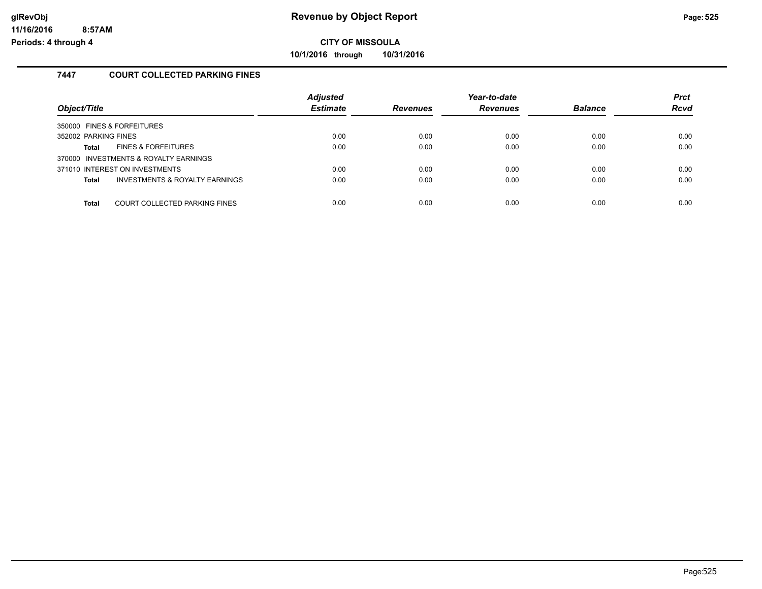**10/1/2016 through 10/31/2016**

# **7447 COURT COLLECTED PARKING FINES**

| Object/Title                                              | <b>Adjusted</b><br><b>Estimate</b> | <b>Revenues</b> | Year-to-date<br><b>Revenues</b> | <b>Balance</b> | <b>Prct</b><br><b>Rcvd</b> |
|-----------------------------------------------------------|------------------------------------|-----------------|---------------------------------|----------------|----------------------------|
| 350000 FINES & FORFEITURES                                |                                    |                 |                                 |                |                            |
| 352002 PARKING FINES                                      | 0.00                               | 0.00            | 0.00                            | 0.00           | 0.00                       |
| <b>FINES &amp; FORFEITURES</b><br>Total                   | 0.00                               | 0.00            | 0.00                            | 0.00           | 0.00                       |
| 370000 INVESTMENTS & ROYALTY EARNINGS                     |                                    |                 |                                 |                |                            |
| 371010 INTEREST ON INVESTMENTS                            | 0.00                               | 0.00            | 0.00                            | 0.00           | 0.00                       |
| <b>INVESTMENTS &amp; ROYALTY EARNINGS</b><br><b>Total</b> | 0.00                               | 0.00            | 0.00                            | 0.00           | 0.00                       |
|                                                           |                                    |                 |                                 |                |                            |
| <b>COURT COLLECTED PARKING FINES</b><br><b>Total</b>      | 0.00                               | 0.00            | 0.00                            | 0.00           | 0.00                       |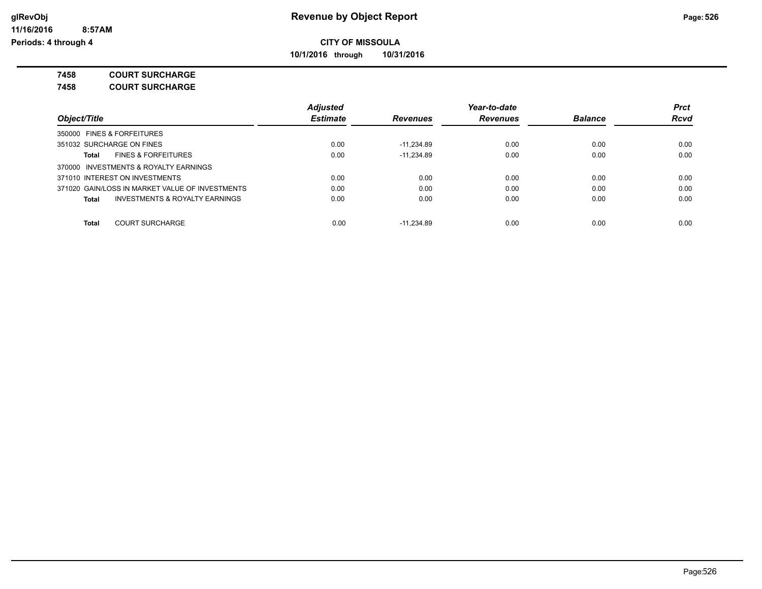**10/1/2016 through 10/31/2016**

**7458 COURT SURCHARGE**

**7458 COURT SURCHARGE**

|                                                    | <b>Adjusted</b> |                 | Year-to-date    |                | <b>Prct</b> |
|----------------------------------------------------|-----------------|-----------------|-----------------|----------------|-------------|
| Object/Title                                       | <b>Estimate</b> | <b>Revenues</b> | <b>Revenues</b> | <b>Balance</b> | <b>Rcvd</b> |
| 350000 FINES & FORFEITURES                         |                 |                 |                 |                |             |
| 351032 SURCHARGE ON FINES                          | 0.00            | $-11.234.89$    | 0.00            | 0.00           | 0.00        |
| <b>FINES &amp; FORFEITURES</b><br>Total            | 0.00            | $-11.234.89$    | 0.00            | 0.00           | 0.00        |
| 370000 INVESTMENTS & ROYALTY EARNINGS              |                 |                 |                 |                |             |
| 371010 INTEREST ON INVESTMENTS                     | 0.00            | 0.00            | 0.00            | 0.00           | 0.00        |
| 371020 GAIN/LOSS IN MARKET VALUE OF INVESTMENTS    | 0.00            | 0.00            | 0.00            | 0.00           | 0.00        |
| <b>INVESTMENTS &amp; ROYALTY EARNINGS</b><br>Total | 0.00            | 0.00            | 0.00            | 0.00           | 0.00        |
| <b>COURT SURCHARGE</b><br><b>Total</b>             | 0.00            | $-11.234.89$    | 0.00            | 0.00           | 0.00        |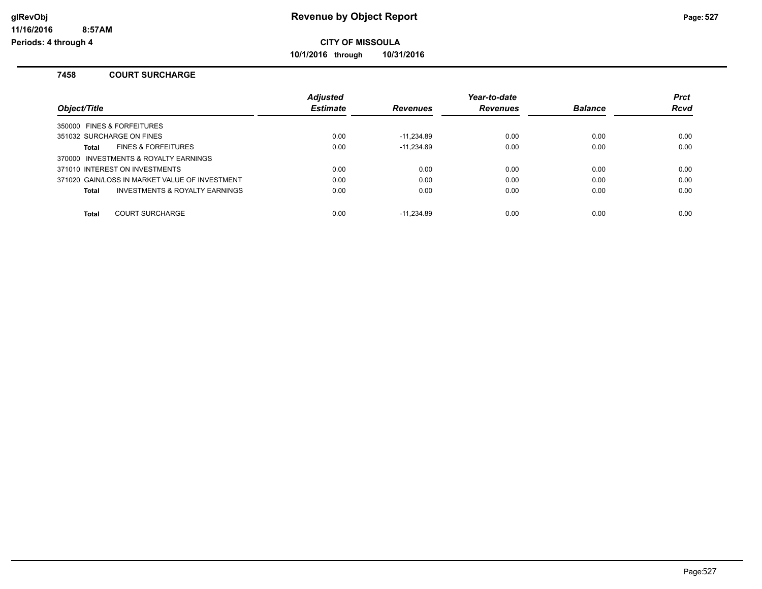**Periods: 4 through 4**

**CITY OF MISSOULA**

**10/1/2016 through 10/31/2016**

#### **7458 COURT SURCHARGE**

|                                                | <b>Adjusted</b> |                 | Year-to-date    |                | <b>Prct</b> |
|------------------------------------------------|-----------------|-----------------|-----------------|----------------|-------------|
| Object/Title                                   | <b>Estimate</b> | <b>Revenues</b> | <b>Revenues</b> | <b>Balance</b> | <b>Rcvd</b> |
| 350000 FINES & FORFEITURES                     |                 |                 |                 |                |             |
| 351032 SURCHARGE ON FINES                      | 0.00            | $-11.234.89$    | 0.00            | 0.00           | 0.00        |
| <b>FINES &amp; FORFEITURES</b><br><b>Total</b> | 0.00            | $-11.234.89$    | 0.00            | 0.00           | 0.00        |
| 370000 INVESTMENTS & ROYALTY EARNINGS          |                 |                 |                 |                |             |
| 371010 INTEREST ON INVESTMENTS                 | 0.00            | 0.00            | 0.00            | 0.00           | 0.00        |
| 371020 GAIN/LOSS IN MARKET VALUE OF INVESTMENT | 0.00            | 0.00            | 0.00            | 0.00           | 0.00        |
| INVESTMENTS & ROYALTY EARNINGS<br>Total        | 0.00            | 0.00            | 0.00            | 0.00           | 0.00        |
|                                                |                 |                 |                 |                |             |
| <b>Total</b><br><b>COURT SURCHARGE</b>         | 0.00            | $-11.234.89$    | 0.00            | 0.00           | 0.00        |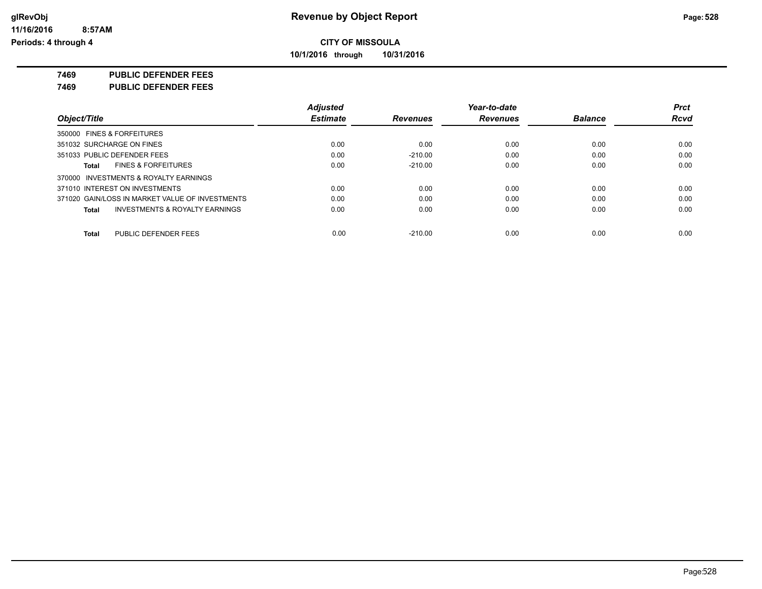**10/1/2016 through 10/31/2016**

**7469 PUBLIC DEFENDER FEES**

**7469 PUBLIC DEFENDER FEES**

|                                                    | <b>Adjusted</b> |                 | Year-to-date    |                | <b>Prct</b> |
|----------------------------------------------------|-----------------|-----------------|-----------------|----------------|-------------|
| Object/Title                                       | <b>Estimate</b> | <b>Revenues</b> | <b>Revenues</b> | <b>Balance</b> | <b>Rcvd</b> |
| 350000 FINES & FORFEITURES                         |                 |                 |                 |                |             |
| 351032 SURCHARGE ON FINES                          | 0.00            | 0.00            | 0.00            | 0.00           | 0.00        |
| 351033 PUBLIC DEFENDER FEES                        | 0.00            | $-210.00$       | 0.00            | 0.00           | 0.00        |
| <b>FINES &amp; FORFEITURES</b><br>Total            | 0.00            | $-210.00$       | 0.00            | 0.00           | 0.00        |
| 370000 INVESTMENTS & ROYALTY EARNINGS              |                 |                 |                 |                |             |
| 371010 INTEREST ON INVESTMENTS                     | 0.00            | 0.00            | 0.00            | 0.00           | 0.00        |
| 371020 GAIN/LOSS IN MARKET VALUE OF INVESTMENTS    | 0.00            | 0.00            | 0.00            | 0.00           | 0.00        |
| <b>INVESTMENTS &amp; ROYALTY EARNINGS</b><br>Total | 0.00            | 0.00            | 0.00            | 0.00           | 0.00        |
| PUBLIC DEFENDER FEES<br><b>Total</b>               | 0.00            | $-210.00$       | 0.00            | 0.00           | 0.00        |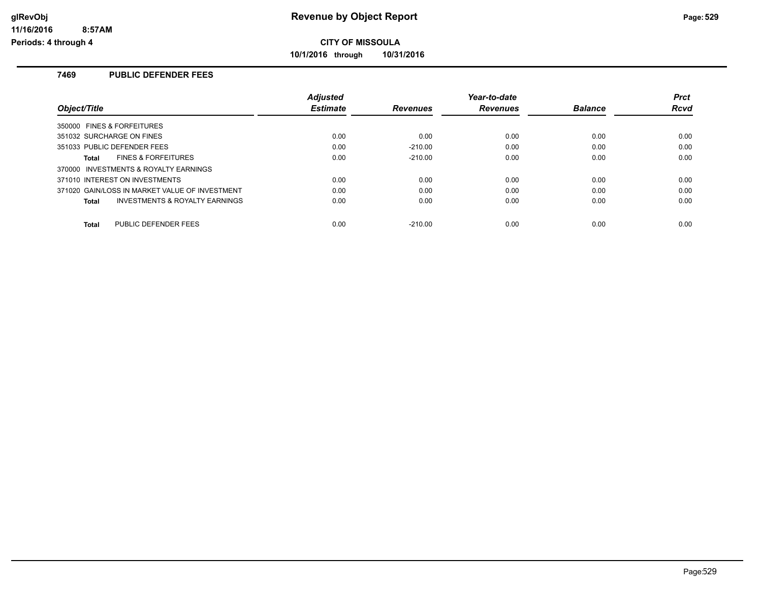**10/1/2016 through 10/31/2016**

### **7469 PUBLIC DEFENDER FEES**

|                                                | <b>Adiusted</b> |                 | Year-to-date    |                | <b>Prct</b> |
|------------------------------------------------|-----------------|-----------------|-----------------|----------------|-------------|
| Object/Title                                   | <b>Estimate</b> | <b>Revenues</b> | <b>Revenues</b> | <b>Balance</b> | Rcvd        |
| 350000 FINES & FORFEITURES                     |                 |                 |                 |                |             |
| 351032 SURCHARGE ON FINES                      | 0.00            | 0.00            | 0.00            | 0.00           | 0.00        |
| 351033 PUBLIC DEFENDER FEES                    | 0.00            | $-210.00$       | 0.00            | 0.00           | 0.00        |
| <b>FINES &amp; FORFEITURES</b><br><b>Total</b> | 0.00            | $-210.00$       | 0.00            | 0.00           | 0.00        |
| 370000 INVESTMENTS & ROYALTY EARNINGS          |                 |                 |                 |                |             |
| 371010 INTEREST ON INVESTMENTS                 | 0.00            | 0.00            | 0.00            | 0.00           | 0.00        |
| 371020 GAIN/LOSS IN MARKET VALUE OF INVESTMENT | 0.00            | 0.00            | 0.00            | 0.00           | 0.00        |
| INVESTMENTS & ROYALTY EARNINGS<br>Total        | 0.00            | 0.00            | 0.00            | 0.00           | 0.00        |
|                                                |                 |                 |                 |                |             |
| PUBLIC DEFENDER FEES<br><b>Total</b>           | 0.00            | $-210.00$       | 0.00            | 0.00           | 0.00        |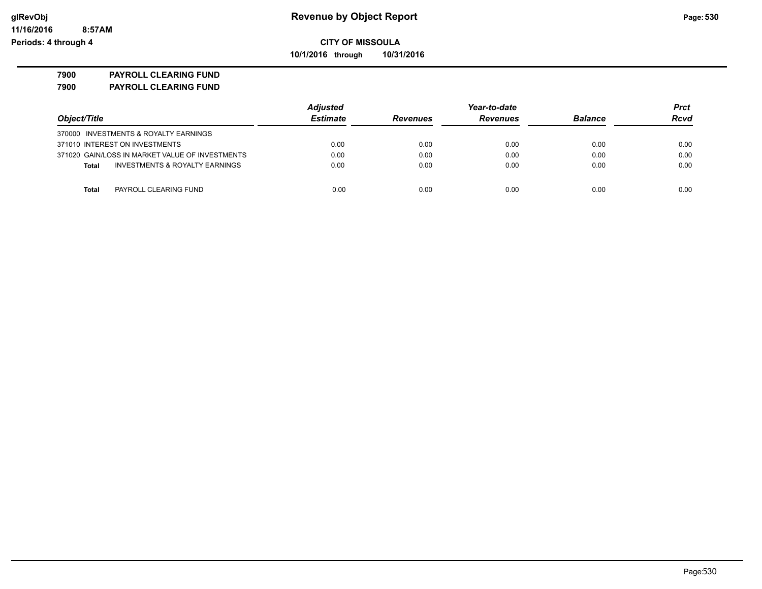**10/1/2016 through 10/31/2016**

# **7900 PAYROLL CLEARING FUND**

**7900 PAYROLL CLEARING FUND**

|                                                    | <b>Adjusted</b> |                 | Year-to-date    |                | Prct |  |
|----------------------------------------------------|-----------------|-----------------|-----------------|----------------|------|--|
| Object/Title                                       | <b>Estimate</b> | <b>Revenues</b> | <b>Revenues</b> | <b>Balance</b> | Rcvd |  |
| 370000 INVESTMENTS & ROYALTY EARNINGS              |                 |                 |                 |                |      |  |
| 371010 INTEREST ON INVESTMENTS                     | 0.00            | 0.00            | 0.00            | 0.00           | 0.00 |  |
| 371020 GAIN/LOSS IN MARKET VALUE OF INVESTMENTS    | 0.00            | 0.00            | 0.00            | 0.00           | 0.00 |  |
| <b>INVESTMENTS &amp; ROYALTY EARNINGS</b><br>Total | 0.00            | 0.00            | 0.00            | 0.00           | 0.00 |  |
| PAYROLL CLEARING FUND<br>Total                     | 0.00            | 0.00            | 0.00            | 0.00           | 0.00 |  |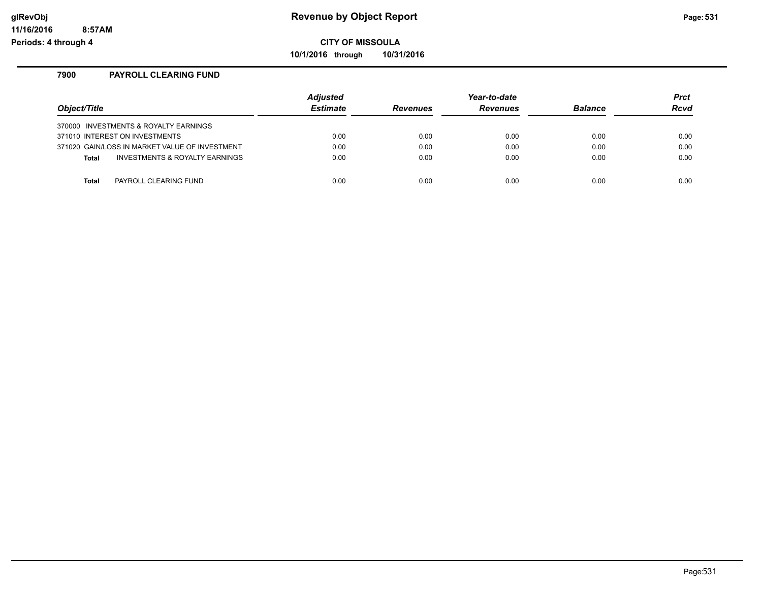**Periods: 4 through 4**

**CITY OF MISSOULA**

**10/1/2016 through 10/31/2016**

### **7900 PAYROLL CLEARING FUND**

 **8:57AM**

| Object/Title |                                                | <b>Adjusted</b><br><b>Estimate</b> | <b>Revenues</b> | Year-to-date<br><b>Revenues</b> | <b>Balance</b> | <b>Prct</b><br><b>Rcvd</b> |
|--------------|------------------------------------------------|------------------------------------|-----------------|---------------------------------|----------------|----------------------------|
|              | 370000 INVESTMENTS & ROYALTY EARNINGS          |                                    |                 |                                 |                |                            |
|              | 371010 INTEREST ON INVESTMENTS                 | 0.00                               | 0.00            | 0.00                            | 0.00           | 0.00                       |
|              | 371020 GAIN/LOSS IN MARKET VALUE OF INVESTMENT | 0.00                               | 0.00            | 0.00                            | 0.00           | 0.00                       |
| <b>Total</b> | INVESTMENTS & ROYALTY EARNINGS                 | 0.00                               | 0.00            | 0.00                            | 0.00           | 0.00                       |
|              |                                                |                                    |                 |                                 |                |                            |
| <b>Total</b> | PAYROLL CLEARING FUND                          | 0.00                               | 0.00            | 0.00                            | 0.00           | 0.00                       |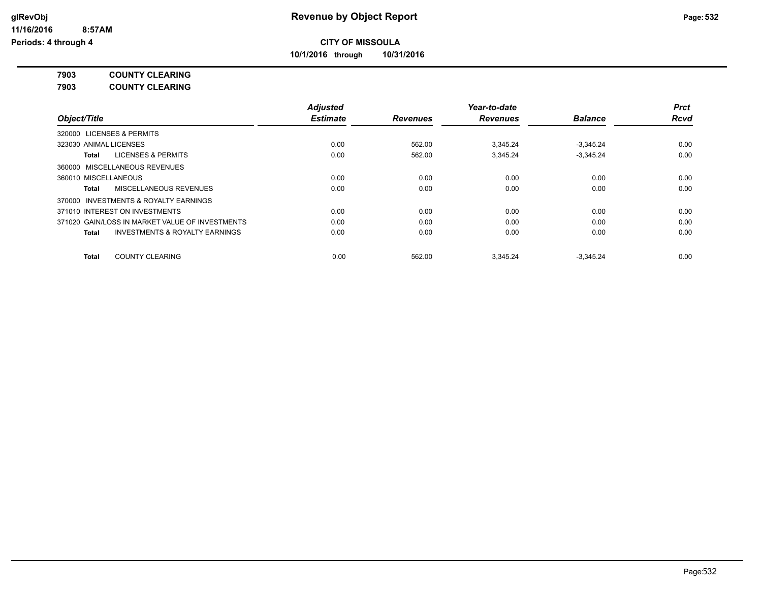**10/1/2016 through 10/31/2016**

**7903 COUNTY CLEARING**

**7903 COUNTY CLEARING**

|                                                           | <b>Adjusted</b> |                 | Year-to-date    |                | <b>Prct</b> |
|-----------------------------------------------------------|-----------------|-----------------|-----------------|----------------|-------------|
| Object/Title                                              | <b>Estimate</b> | <b>Revenues</b> | <b>Revenues</b> | <b>Balance</b> | <b>Rcvd</b> |
| <b>LICENSES &amp; PERMITS</b><br>320000                   |                 |                 |                 |                |             |
| 323030 ANIMAL LICENSES                                    | 0.00            | 562.00          | 3.345.24        | $-3,345.24$    | 0.00        |
| <b>LICENSES &amp; PERMITS</b><br>Total                    | 0.00            | 562.00          | 3,345.24        | $-3,345.24$    | 0.00        |
| 360000 MISCELLANEOUS REVENUES                             |                 |                 |                 |                |             |
| 360010 MISCELLANEOUS                                      | 0.00            | 0.00            | 0.00            | 0.00           | 0.00        |
| MISCELLANEOUS REVENUES<br>Total                           | 0.00            | 0.00            | 0.00            | 0.00           | 0.00        |
| 370000 INVESTMENTS & ROYALTY EARNINGS                     |                 |                 |                 |                |             |
| 371010 INTEREST ON INVESTMENTS                            | 0.00            | 0.00            | 0.00            | 0.00           | 0.00        |
| 371020 GAIN/LOSS IN MARKET VALUE OF INVESTMENTS           | 0.00            | 0.00            | 0.00            | 0.00           | 0.00        |
| <b>INVESTMENTS &amp; ROYALTY EARNINGS</b><br><b>Total</b> | 0.00            | 0.00            | 0.00            | 0.00           | 0.00        |
| <b>COUNTY CLEARING</b><br><b>Total</b>                    | 0.00            | 562.00          | 3.345.24        | $-3.345.24$    | 0.00        |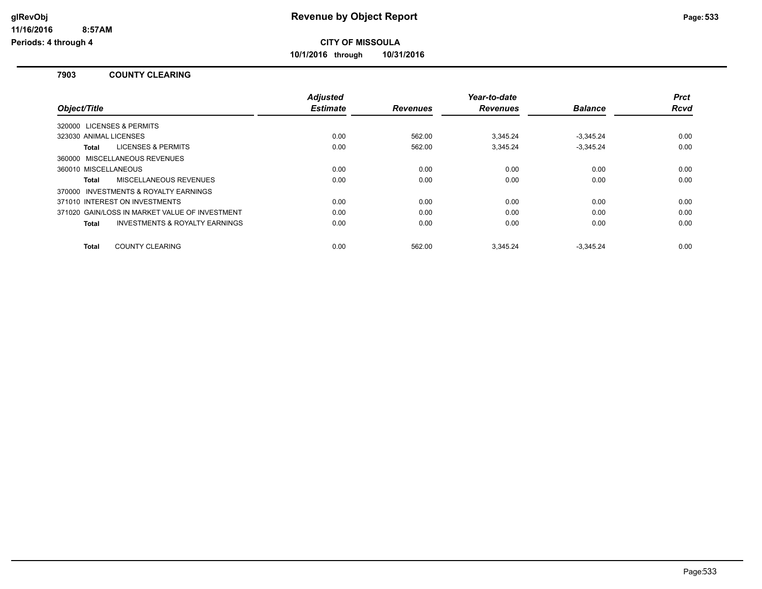**10/1/2016 through 10/31/2016**

#### **7903 COUNTY CLEARING**

| Object/Title                                       | <b>Adjusted</b><br><b>Estimate</b> | <b>Revenues</b> | Year-to-date<br><b>Revenues</b> | <b>Balance</b> | <b>Prct</b><br>Rcvd |
|----------------------------------------------------|------------------------------------|-----------------|---------------------------------|----------------|---------------------|
|                                                    |                                    |                 |                                 |                |                     |
| 320000 LICENSES & PERMITS                          |                                    |                 |                                 |                |                     |
| 323030 ANIMAL LICENSES                             | 0.00                               | 562.00          | 3,345.24                        | $-3,345.24$    | 0.00                |
| <b>LICENSES &amp; PERMITS</b><br>Total             | 0.00                               | 562.00          | 3.345.24                        | $-3,345.24$    | 0.00                |
| 360000 MISCELLANEOUS REVENUES                      |                                    |                 |                                 |                |                     |
| 360010 MISCELLANEOUS                               | 0.00                               | 0.00            | 0.00                            | 0.00           | 0.00                |
| MISCELLANEOUS REVENUES<br>Total                    | 0.00                               | 0.00            | 0.00                            | 0.00           | 0.00                |
| 370000 INVESTMENTS & ROYALTY EARNINGS              |                                    |                 |                                 |                |                     |
| 371010 INTEREST ON INVESTMENTS                     | 0.00                               | 0.00            | 0.00                            | 0.00           | 0.00                |
| 371020 GAIN/LOSS IN MARKET VALUE OF INVESTMENT     | 0.00                               | 0.00            | 0.00                            | 0.00           | 0.00                |
| <b>INVESTMENTS &amp; ROYALTY EARNINGS</b><br>Total | 0.00                               | 0.00            | 0.00                            | 0.00           | 0.00                |
|                                                    |                                    |                 |                                 |                |                     |
| <b>COUNTY CLEARING</b><br><b>Total</b>             | 0.00                               | 562.00          | 3.345.24                        | $-3.345.24$    | 0.00                |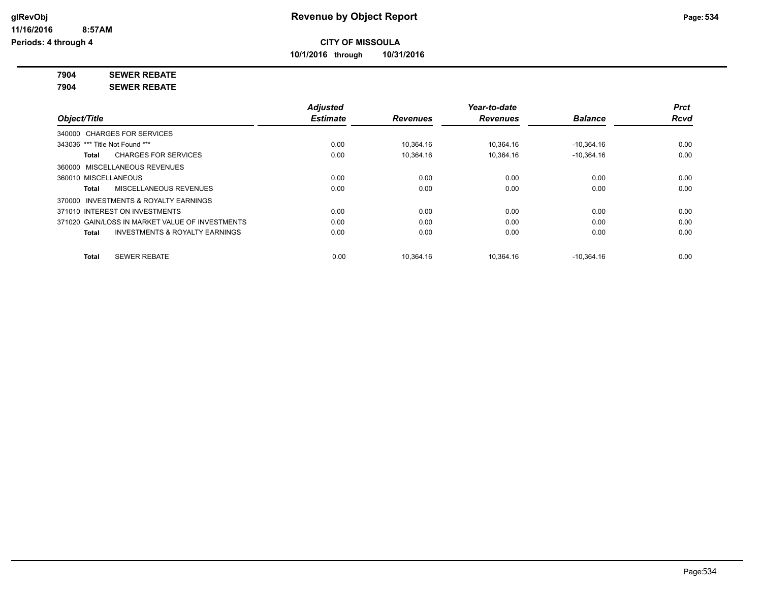**10/1/2016 through 10/31/2016**

**7904 SEWER REBATE**

**7904 SEWER REBATE**

|                                                    | <b>Adjusted</b> |                 | Year-to-date    |                | <b>Prct</b> |
|----------------------------------------------------|-----------------|-----------------|-----------------|----------------|-------------|
| Object/Title                                       | <b>Estimate</b> | <b>Revenues</b> | <b>Revenues</b> | <b>Balance</b> | <b>Rcvd</b> |
| 340000 CHARGES FOR SERVICES                        |                 |                 |                 |                |             |
| 343036 *** Title Not Found ***                     | 0.00            | 10,364.16       | 10,364.16       | $-10,364.16$   | 0.00        |
| <b>CHARGES FOR SERVICES</b><br>Total               | 0.00            | 10.364.16       | 10.364.16       | $-10,364.16$   | 0.00        |
| 360000 MISCELLANEOUS REVENUES                      |                 |                 |                 |                |             |
| 360010 MISCELLANEOUS                               | 0.00            | 0.00            | 0.00            | 0.00           | 0.00        |
| MISCELLANEOUS REVENUES<br>Total                    | 0.00            | 0.00            | 0.00            | 0.00           | 0.00        |
| 370000 INVESTMENTS & ROYALTY EARNINGS              |                 |                 |                 |                |             |
| 371010 INTEREST ON INVESTMENTS                     | 0.00            | 0.00            | 0.00            | 0.00           | 0.00        |
| 371020 GAIN/LOSS IN MARKET VALUE OF INVESTMENTS    | 0.00            | 0.00            | 0.00            | 0.00           | 0.00        |
| <b>INVESTMENTS &amp; ROYALTY EARNINGS</b><br>Total | 0.00            | 0.00            | 0.00            | 0.00           | 0.00        |
| <b>SEWER REBATE</b><br>Total                       | 0.00            | 10.364.16       | 10.364.16       | $-10.364.16$   | 0.00        |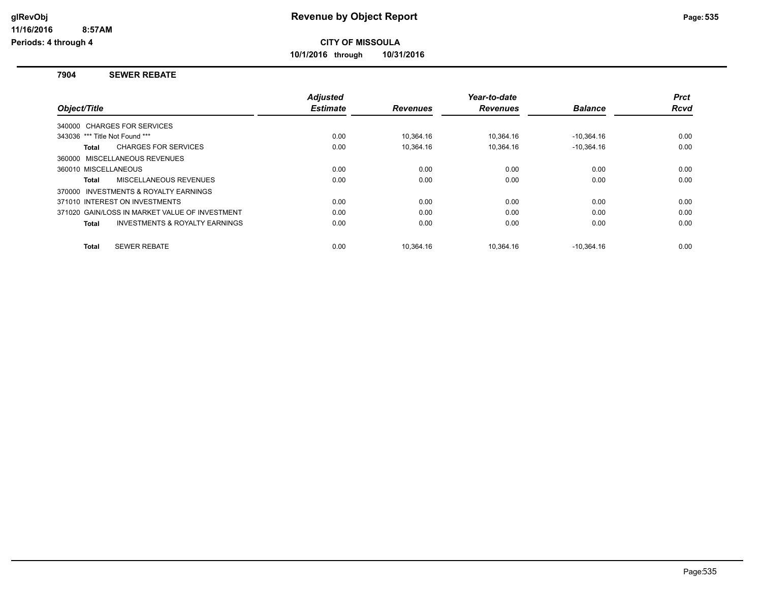#### **11/16/2016 8:57AM Periods: 4 through 4**

**CITY OF MISSOULA**

**10/1/2016 through 10/31/2016**

#### **7904 SEWER REBATE**

|                                                    | <b>Adjusted</b> |                 | Year-to-date    |                | <b>Prct</b> |
|----------------------------------------------------|-----------------|-----------------|-----------------|----------------|-------------|
| Object/Title                                       | <b>Estimate</b> | <b>Revenues</b> | <b>Revenues</b> | <b>Balance</b> | <b>Rcvd</b> |
| 340000 CHARGES FOR SERVICES                        |                 |                 |                 |                |             |
| 343036 *** Title Not Found ***                     | 0.00            | 10,364.16       | 10,364.16       | $-10,364.16$   | 0.00        |
| <b>CHARGES FOR SERVICES</b><br>Total               | 0.00            | 10,364.16       | 10,364.16       | $-10,364.16$   | 0.00        |
| 360000 MISCELLANEOUS REVENUES                      |                 |                 |                 |                |             |
| 360010 MISCELLANEOUS                               | 0.00            | 0.00            | 0.00            | 0.00           | 0.00        |
| MISCELLANEOUS REVENUES<br>Total                    | 0.00            | 0.00            | 0.00            | 0.00           | 0.00        |
| 370000 INVESTMENTS & ROYALTY EARNINGS              |                 |                 |                 |                |             |
| 371010 INTEREST ON INVESTMENTS                     | 0.00            | 0.00            | 0.00            | 0.00           | 0.00        |
| 371020 GAIN/LOSS IN MARKET VALUE OF INVESTMENT     | 0.00            | 0.00            | 0.00            | 0.00           | 0.00        |
| <b>INVESTMENTS &amp; ROYALTY EARNINGS</b><br>Total | 0.00            | 0.00            | 0.00            | 0.00           | 0.00        |
|                                                    |                 |                 |                 |                |             |
| <b>SEWER REBATE</b><br>Total                       | 0.00            | 10.364.16       | 10.364.16       | $-10.364.16$   | 0.00        |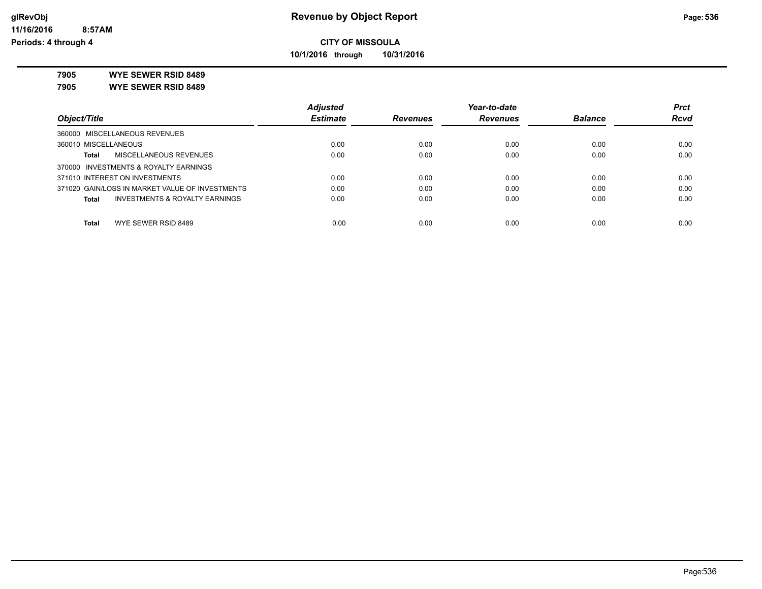**10/1/2016 through 10/31/2016**

**7905 WYE SEWER RSID 8489**

**7905 WYE SEWER RSID 8489**

|                                                 | <b>Adjusted</b> |                 | Year-to-date    |                | <b>Prct</b> |
|-------------------------------------------------|-----------------|-----------------|-----------------|----------------|-------------|
| Object/Title                                    | <b>Estimate</b> | <b>Revenues</b> | <b>Revenues</b> | <b>Balance</b> | <b>Rcvd</b> |
| 360000 MISCELLANEOUS REVENUES                   |                 |                 |                 |                |             |
| 360010 MISCELLANEOUS                            | 0.00            | 0.00            | 0.00            | 0.00           | 0.00        |
| MISCELLANEOUS REVENUES<br><b>Total</b>          | 0.00            | 0.00            | 0.00            | 0.00           | 0.00        |
| 370000 INVESTMENTS & ROYALTY EARNINGS           |                 |                 |                 |                |             |
| 371010 INTEREST ON INVESTMENTS                  | 0.00            | 0.00            | 0.00            | 0.00           | 0.00        |
| 371020 GAIN/LOSS IN MARKET VALUE OF INVESTMENTS | 0.00            | 0.00            | 0.00            | 0.00           | 0.00        |
| INVESTMENTS & ROYALTY EARNINGS<br><b>Total</b>  | 0.00            | 0.00            | 0.00            | 0.00           | 0.00        |
| WYE SEWER RSID 8489<br><b>Total</b>             | 0.00            | 0.00            | 0.00            | 0.00           | 0.00        |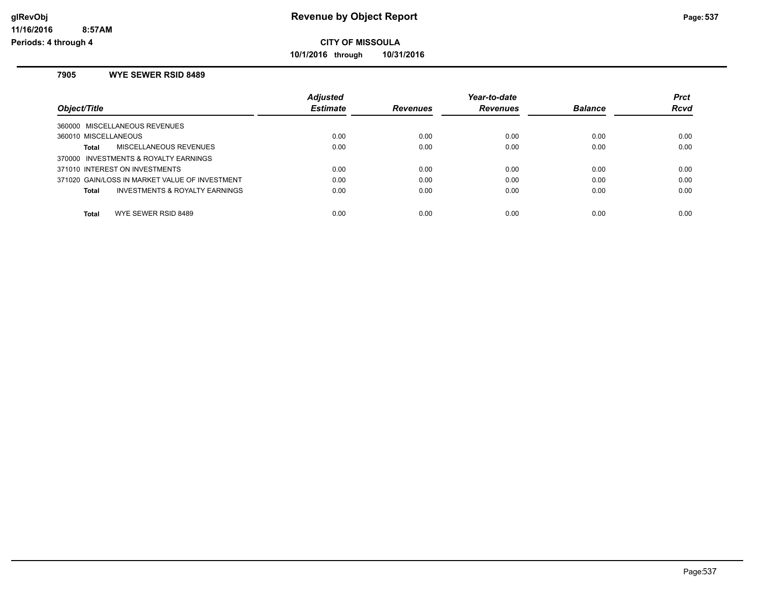**10/1/2016 through 10/31/2016**

#### **7905 WYE SEWER RSID 8489**

|                                                    | <b>Adjusted</b> |                 | Year-to-date    |                | <b>Prct</b> |
|----------------------------------------------------|-----------------|-----------------|-----------------|----------------|-------------|
| Object/Title                                       | <b>Estimate</b> | <b>Revenues</b> | <b>Revenues</b> | <b>Balance</b> | <b>Rcvd</b> |
| 360000 MISCELLANEOUS REVENUES                      |                 |                 |                 |                |             |
| 360010 MISCELLANEOUS                               | 0.00            | 0.00            | 0.00            | 0.00           | 0.00        |
| MISCELLANEOUS REVENUES<br>Total                    | 0.00            | 0.00            | 0.00            | 0.00           | 0.00        |
| 370000 INVESTMENTS & ROYALTY EARNINGS              |                 |                 |                 |                |             |
| 371010 INTEREST ON INVESTMENTS                     | 0.00            | 0.00            | 0.00            | 0.00           | 0.00        |
| 371020 GAIN/LOSS IN MARKET VALUE OF INVESTMENT     | 0.00            | 0.00            | 0.00            | 0.00           | 0.00        |
| <b>INVESTMENTS &amp; ROYALTY EARNINGS</b><br>Total | 0.00            | 0.00            | 0.00            | 0.00           | 0.00        |
|                                                    |                 |                 |                 |                |             |
| Total<br>WYE SEWER RSID 8489                       | 0.00            | 0.00            | 0.00            | 0.00           | 0.00        |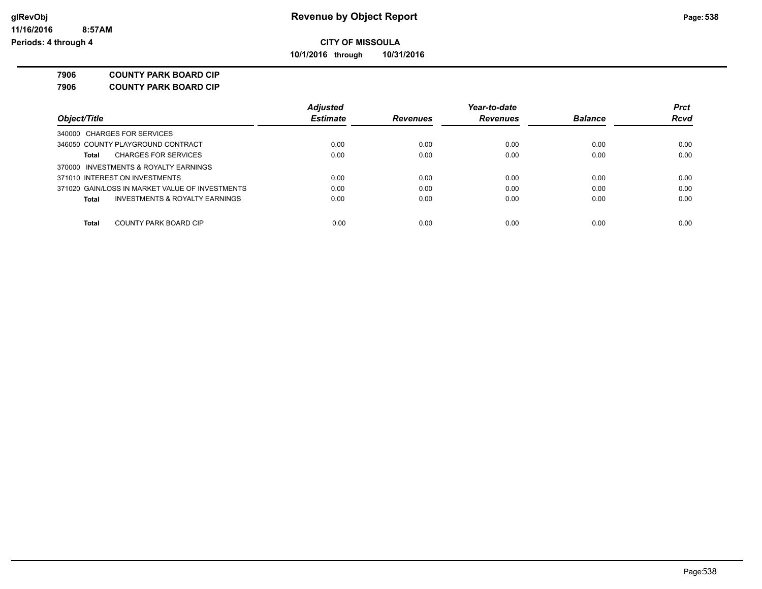**10/1/2016 through 10/31/2016**

**7906 COUNTY PARK BOARD CIP**

**7906 COUNTY PARK BOARD CIP**

|                                                 | <b>Adjusted</b> |                 | Year-to-date    |                | <b>Prct</b> |
|-------------------------------------------------|-----------------|-----------------|-----------------|----------------|-------------|
| Object/Title                                    | <b>Estimate</b> | <b>Revenues</b> | <b>Revenues</b> | <b>Balance</b> | <b>Rcvd</b> |
| 340000 CHARGES FOR SERVICES                     |                 |                 |                 |                |             |
| 346050 COUNTY PLAYGROUND CONTRACT               | 0.00            | 0.00            | 0.00            | 0.00           | 0.00        |
| <b>CHARGES FOR SERVICES</b><br>Total            | 0.00            | 0.00            | 0.00            | 0.00           | 0.00        |
| 370000 INVESTMENTS & ROYALTY EARNINGS           |                 |                 |                 |                |             |
| 371010 INTEREST ON INVESTMENTS                  | 0.00            | 0.00            | 0.00            | 0.00           | 0.00        |
| 371020 GAIN/LOSS IN MARKET VALUE OF INVESTMENTS | 0.00            | 0.00            | 0.00            | 0.00           | 0.00        |
| INVESTMENTS & ROYALTY EARNINGS<br>Total         | 0.00            | 0.00            | 0.00            | 0.00           | 0.00        |
|                                                 |                 |                 |                 |                |             |
| COUNTY PARK BOARD CIP<br>Total                  | 0.00            | 0.00            | 0.00            | 0.00           | 0.00        |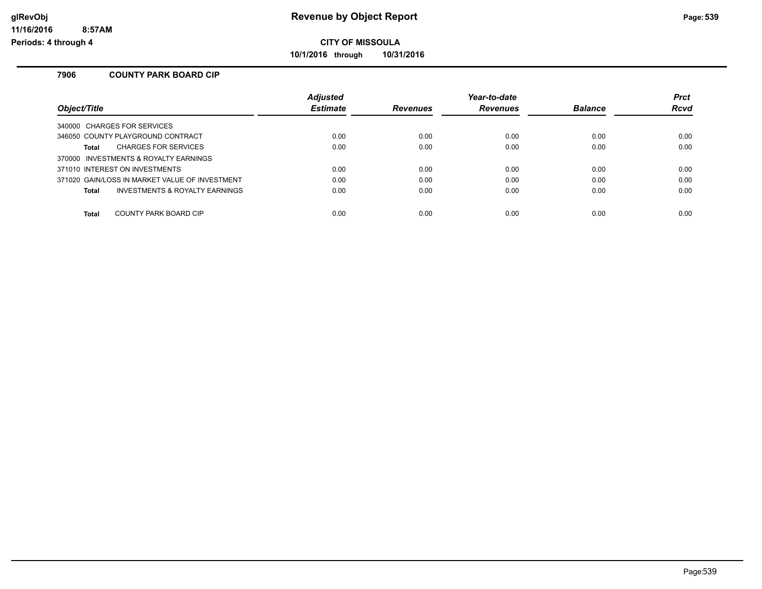**10/1/2016 through 10/31/2016**

### **7906 COUNTY PARK BOARD CIP**

|                                                | <b>Adjusted</b> |                 | Year-to-date    |                | <b>Prct</b> |
|------------------------------------------------|-----------------|-----------------|-----------------|----------------|-------------|
| <b>Object/Title</b>                            | <b>Estimate</b> | <b>Revenues</b> | <b>Revenues</b> | <b>Balance</b> | <b>Rcvd</b> |
| 340000 CHARGES FOR SERVICES                    |                 |                 |                 |                |             |
| 346050 COUNTY PLAYGROUND CONTRACT              | 0.00            | 0.00            | 0.00            | 0.00           | 0.00        |
| <b>CHARGES FOR SERVICES</b><br>Total           | 0.00            | 0.00            | 0.00            | 0.00           | 0.00        |
| 370000 INVESTMENTS & ROYALTY EARNINGS          |                 |                 |                 |                |             |
| 371010 INTEREST ON INVESTMENTS                 | 0.00            | 0.00            | 0.00            | 0.00           | 0.00        |
| 371020 GAIN/LOSS IN MARKET VALUE OF INVESTMENT | 0.00            | 0.00            | 0.00            | 0.00           | 0.00        |
| INVESTMENTS & ROYALTY EARNINGS<br>Total        | 0.00            | 0.00            | 0.00            | 0.00           | 0.00        |
| Total<br>COUNTY PARK BOARD CIP                 | 0.00            | 0.00            | 0.00            | 0.00           | 0.00        |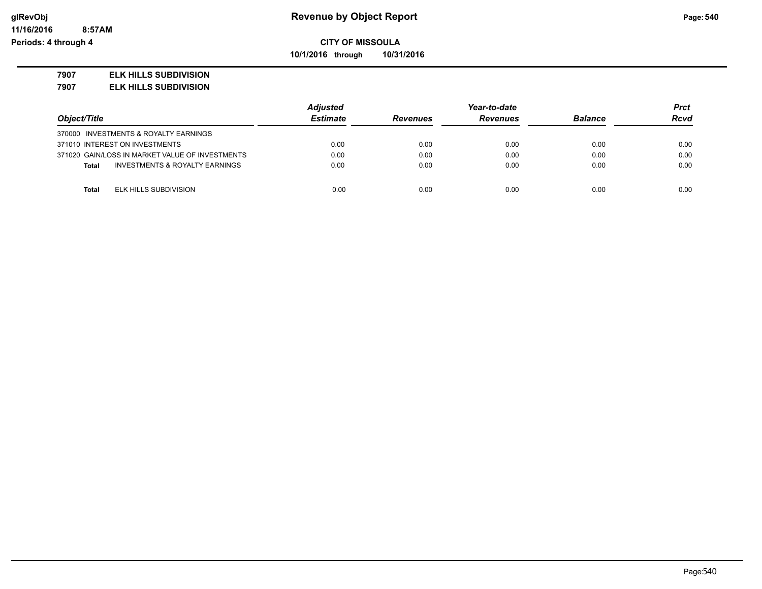**10/1/2016 through 10/31/2016**

# **7907 ELK HILLS SUBDIVISION**

**7907 ELK HILLS SUBDIVISION**

|                                                 | <b>Adjusted</b> |                 | Year-to-date    |                | <b>Prct</b> |
|-------------------------------------------------|-----------------|-----------------|-----------------|----------------|-------------|
| Object/Title                                    | <b>Estimate</b> | <b>Revenues</b> | <b>Revenues</b> | <b>Balance</b> | <b>Rcvd</b> |
| 370000 INVESTMENTS & ROYALTY EARNINGS           |                 |                 |                 |                |             |
| 371010 INTEREST ON INVESTMENTS                  | 0.00            | 0.00            | 0.00            | 0.00           | 0.00        |
| 371020 GAIN/LOSS IN MARKET VALUE OF INVESTMENTS | 0.00            | 0.00            | 0.00            | 0.00           | 0.00        |
| INVESTMENTS & ROYALTY EARNINGS<br>Total         | 0.00            | 0.00            | 0.00            | 0.00           | 0.00        |
| Total<br>ELK HILLS SUBDIVISION                  | 0.00            | 0.00            | 0.00            | 0.00           | 0.00        |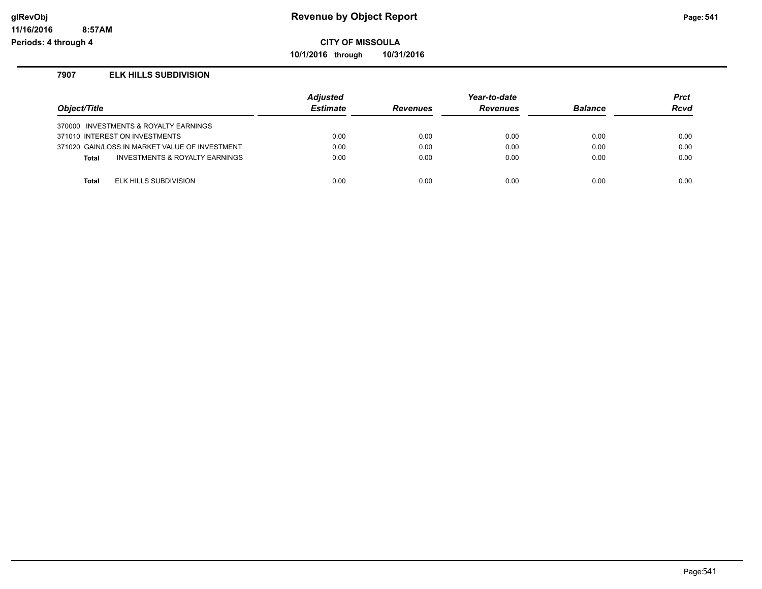**10/1/2016 through 10/31/2016**

#### **7907 ELK HILLS SUBDIVISION**

| Object/Title |                                                | <b>Adjusted</b><br><b>Estimate</b> | <b>Revenues</b> | Year-to-date<br><b>Revenues</b> | <b>Balance</b> | <b>Prct</b><br>Rcvd |
|--------------|------------------------------------------------|------------------------------------|-----------------|---------------------------------|----------------|---------------------|
|              | 370000 INVESTMENTS & ROYALTY EARNINGS          |                                    |                 |                                 |                |                     |
|              | 371010 INTEREST ON INVESTMENTS                 | 0.00                               | 0.00            | 0.00                            | 0.00           | 0.00                |
|              | 371020 GAIN/LOSS IN MARKET VALUE OF INVESTMENT | 0.00                               | 0.00            | 0.00                            | 0.00           | 0.00                |
| <b>Total</b> | INVESTMENTS & ROYALTY EARNINGS                 | 0.00                               | 0.00            | 0.00                            | 0.00           | 0.00                |
|              |                                                |                                    |                 |                                 |                |                     |
| Total        | ELK HILLS SUBDIVISION                          | 0.00                               | 0.00            | 0.00                            | 0.00           | 0.00                |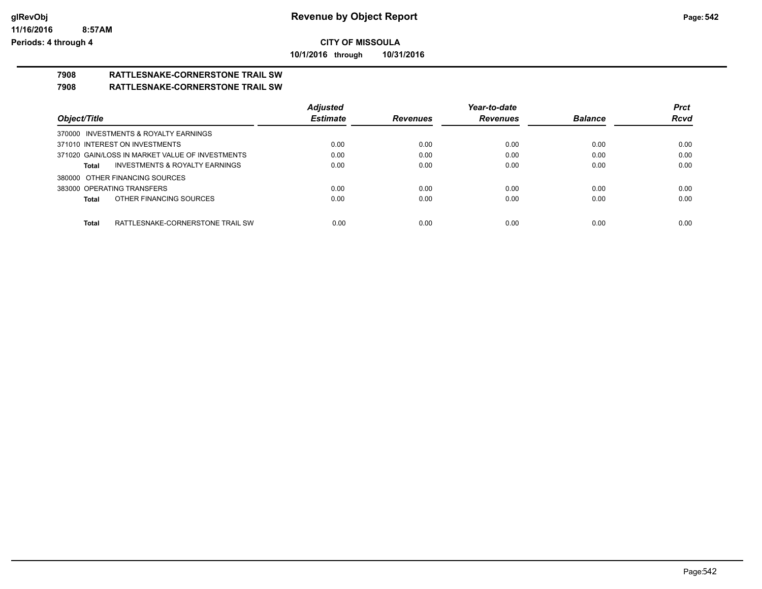**10/1/2016 through 10/31/2016**

# **7908 RATTLESNAKE-CORNERSTONE TRAIL SW**

# **7908 RATTLESNAKE-CORNERSTONE TRAIL SW**

|                                                  | <b>Adjusted</b> |                 | Year-to-date    |                | <b>Prct</b> |
|--------------------------------------------------|-----------------|-----------------|-----------------|----------------|-------------|
| Object/Title                                     | <b>Estimate</b> | <b>Revenues</b> | <b>Revenues</b> | <b>Balance</b> | <b>Rcvd</b> |
| 370000 INVESTMENTS & ROYALTY EARNINGS            |                 |                 |                 |                |             |
| 371010 INTEREST ON INVESTMENTS                   | 0.00            | 0.00            | 0.00            | 0.00           | 0.00        |
| 371020 GAIN/LOSS IN MARKET VALUE OF INVESTMENTS  | 0.00            | 0.00            | 0.00            | 0.00           | 0.00        |
| INVESTMENTS & ROYALTY EARNINGS<br>Total          | 0.00            | 0.00            | 0.00            | 0.00           | 0.00        |
| 380000 OTHER FINANCING SOURCES                   |                 |                 |                 |                |             |
| 383000 OPERATING TRANSFERS                       | 0.00            | 0.00            | 0.00            | 0.00           | 0.00        |
| OTHER FINANCING SOURCES<br>Total                 | 0.00            | 0.00            | 0.00            | 0.00           | 0.00        |
|                                                  |                 |                 |                 |                |             |
| <b>Total</b><br>RATTLESNAKE-CORNERSTONE TRAIL SW | 0.00            | 0.00            | 0.00            | 0.00           | 0.00        |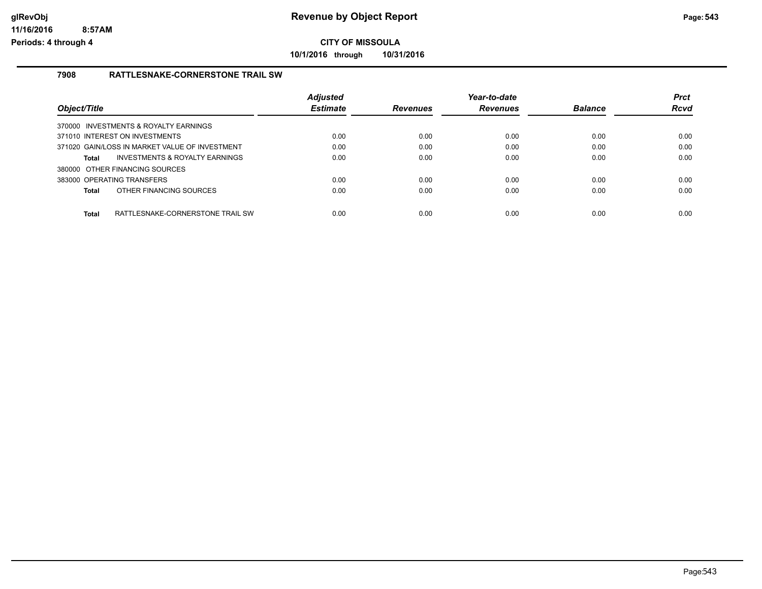**10/1/2016 through 10/31/2016**

#### **7908 RATTLESNAKE-CORNERSTONE TRAIL SW**

|                                                  | <b>Adjusted</b> |                 | Year-to-date    |                | <b>Prct</b> |
|--------------------------------------------------|-----------------|-----------------|-----------------|----------------|-------------|
| Object/Title                                     | <b>Estimate</b> | <b>Revenues</b> | <b>Revenues</b> | <b>Balance</b> | <b>Rcvd</b> |
| 370000 INVESTMENTS & ROYALTY EARNINGS            |                 |                 |                 |                |             |
| 371010 INTEREST ON INVESTMENTS                   | 0.00            | 0.00            | 0.00            | 0.00           | 0.00        |
| 371020 GAIN/LOSS IN MARKET VALUE OF INVESTMENT   | 0.00            | 0.00            | 0.00            | 0.00           | 0.00        |
| INVESTMENTS & ROYALTY EARNINGS<br><b>Total</b>   | 0.00            | 0.00            | 0.00            | 0.00           | 0.00        |
| 380000 OTHER FINANCING SOURCES                   |                 |                 |                 |                |             |
| 383000 OPERATING TRANSFERS                       | 0.00            | 0.00            | 0.00            | 0.00           | 0.00        |
| OTHER FINANCING SOURCES<br><b>Total</b>          | 0.00            | 0.00            | 0.00            | 0.00           | 0.00        |
|                                                  |                 |                 |                 |                |             |
| RATTLESNAKE-CORNERSTONE TRAIL SW<br><b>Total</b> | 0.00            | 0.00            | 0.00            | 0.00           | 0.00        |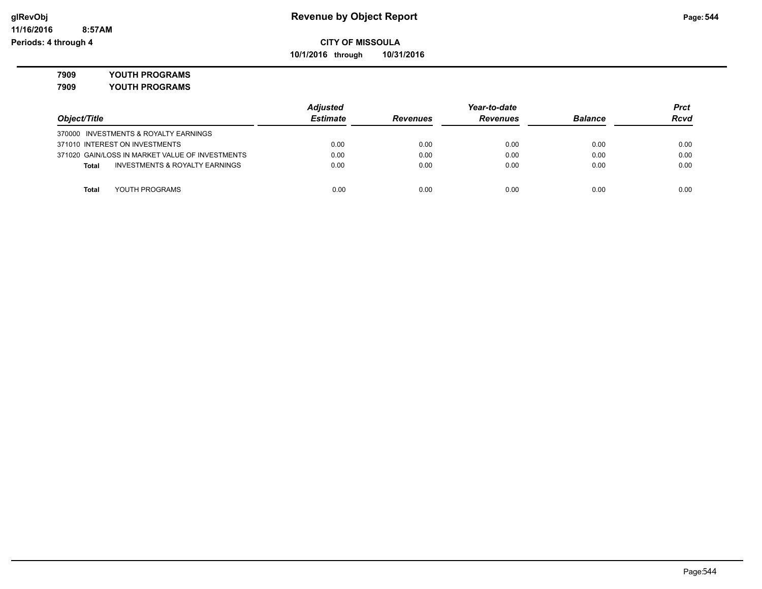**10/1/2016 through 10/31/2016**

# **7909 YOUTH PROGRAMS**

**7909 YOUTH PROGRAMS**

|                                                           | Adjusted        |                 |                 | Prct           |             |
|-----------------------------------------------------------|-----------------|-----------------|-----------------|----------------|-------------|
| Object/Title                                              | <b>Estimate</b> | <b>Revenues</b> | <b>Revenues</b> | <b>Balance</b> | <b>Rcvd</b> |
| 370000 INVESTMENTS & ROYALTY EARNINGS                     |                 |                 |                 |                |             |
| 371010 INTEREST ON INVESTMENTS                            | 0.00            | 0.00            | 0.00            | 0.00           | 0.00        |
| 371020 GAIN/LOSS IN MARKET VALUE OF INVESTMENTS           | 0.00            | 0.00            | 0.00            | 0.00           | 0.00        |
| <b>INVESTMENTS &amp; ROYALTY EARNINGS</b><br><b>Total</b> | 0.00            | 0.00            | 0.00            | 0.00           | 0.00        |
|                                                           |                 |                 |                 |                |             |
| YOUTH PROGRAMS<br>Total                                   | 0.00            | 0.00            | 0.00            | 0.00           | 0.00        |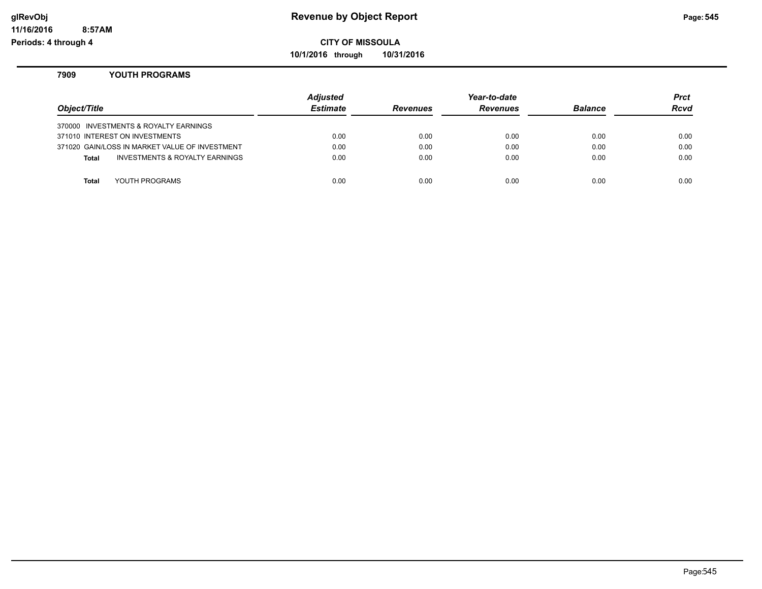**Periods: 4 through 4**

**CITY OF MISSOULA**

**10/1/2016 through 10/31/2016**

#### **7909 YOUTH PROGRAMS**

| Object/Title                                       | Adjusted<br><b>Estimate</b> | <b>Revenues</b> | Year-to-date<br><b>Revenues</b> | <b>Balance</b> | <b>Prct</b><br><b>Rcvd</b> |
|----------------------------------------------------|-----------------------------|-----------------|---------------------------------|----------------|----------------------------|
| 370000 INVESTMENTS & ROYALTY EARNINGS              |                             |                 |                                 |                |                            |
| 371010 INTEREST ON INVESTMENTS                     | 0.00                        | 0.00            | 0.00                            | 0.00           | 0.00                       |
| 371020 GAIN/LOSS IN MARKET VALUE OF INVESTMENT     | 0.00                        | 0.00            | 0.00                            | 0.00           | 0.00                       |
| <b>INVESTMENTS &amp; ROYALTY EARNINGS</b><br>Total | 0.00                        | 0.00            | 0.00                            | 0.00           | 0.00                       |
|                                                    |                             |                 |                                 |                |                            |
| YOUTH PROGRAMS<br>Total                            | 0.00                        | 0.00            | 0.00                            | 0.00           | 0.00                       |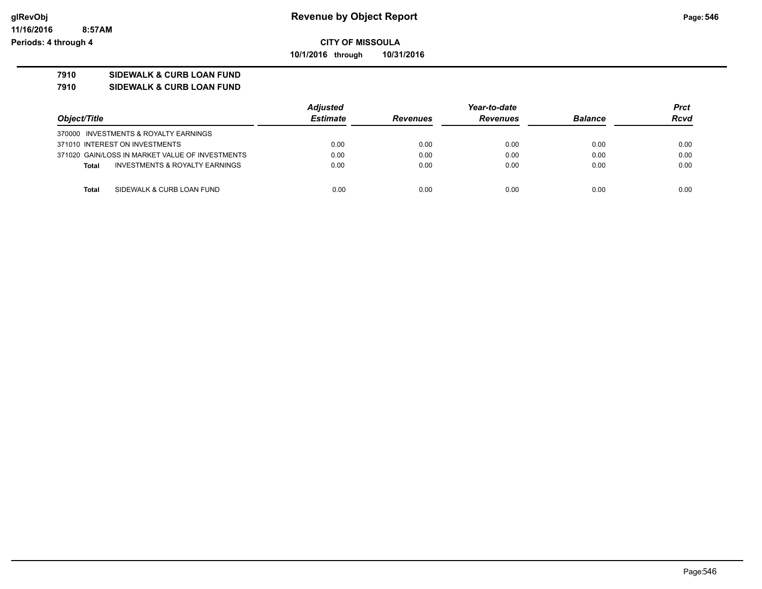**10/1/2016 through 10/31/2016**

# **7910 SIDEWALK & CURB LOAN FUND**

#### **7910 SIDEWALK & CURB LOAN FUND**

|                                                           | <b>Adjusted</b> |                 | Year-to-date    |                | <b>Prct</b> |
|-----------------------------------------------------------|-----------------|-----------------|-----------------|----------------|-------------|
| Object/Title                                              | <b>Estimate</b> | <b>Revenues</b> | <b>Revenues</b> | <b>Balance</b> | <b>Rcvd</b> |
| 370000 INVESTMENTS & ROYALTY EARNINGS                     |                 |                 |                 |                |             |
| 371010 INTEREST ON INVESTMENTS                            | 0.00            | 0.00            | 0.00            | 0.00           | 0.00        |
| 371020 GAIN/LOSS IN MARKET VALUE OF INVESTMENTS           | 0.00            | 0.00            | 0.00            | 0.00           | 0.00        |
| <b>INVESTMENTS &amp; ROYALTY EARNINGS</b><br><b>Total</b> | 0.00            | 0.00            | 0.00            | 0.00           | 0.00        |
|                                                           |                 |                 |                 |                |             |
| Total<br>SIDEWALK & CURB LOAN FUND                        | 0.00            | 0.00            | 0.00            | 0.00           | 0.00        |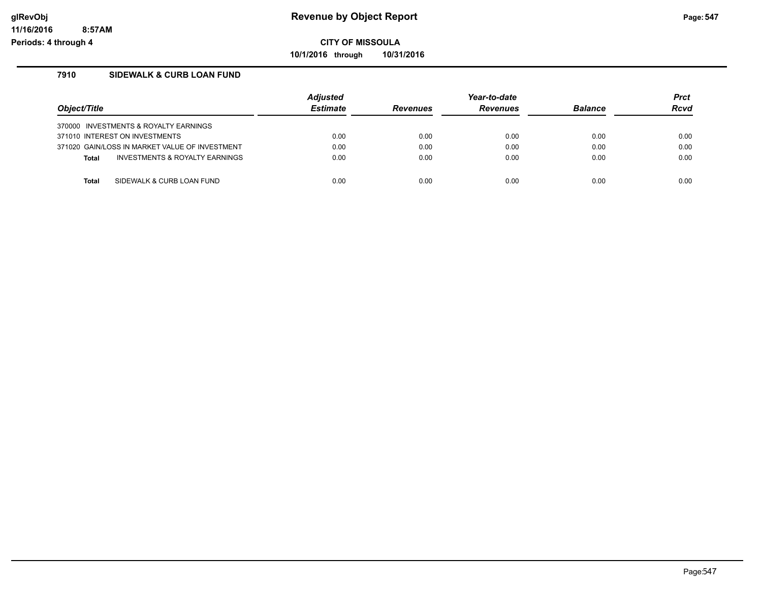**10/1/2016 through 10/31/2016**

#### **7910 SIDEWALK & CURB LOAN FUND**

| Object/Title                          |                                                | <b>Adjusted</b><br><b>Estimate</b> | <b>Revenues</b> | Year-to-date<br><b>Revenues</b> | <b>Balance</b> | <b>Prct</b><br>Rcvd |
|---------------------------------------|------------------------------------------------|------------------------------------|-----------------|---------------------------------|----------------|---------------------|
| 370000 INVESTMENTS & ROYALTY EARNINGS |                                                |                                    |                 |                                 |                |                     |
| 371010 INTEREST ON INVESTMENTS        |                                                | 0.00                               | 0.00            | 0.00                            | 0.00           | 0.00                |
|                                       | 371020 GAIN/LOSS IN MARKET VALUE OF INVESTMENT | 0.00                               | 0.00            | 0.00                            | 0.00           | 0.00                |
| Total                                 | <b>INVESTMENTS &amp; ROYALTY EARNINGS</b>      | 0.00                               | 0.00            | 0.00                            | 0.00           | 0.00                |
|                                       |                                                |                                    |                 |                                 |                |                     |
| Total                                 | SIDEWALK & CURB LOAN FUND                      | 0.00                               | 0.00            | 0.00                            | 0.00           | 0.00                |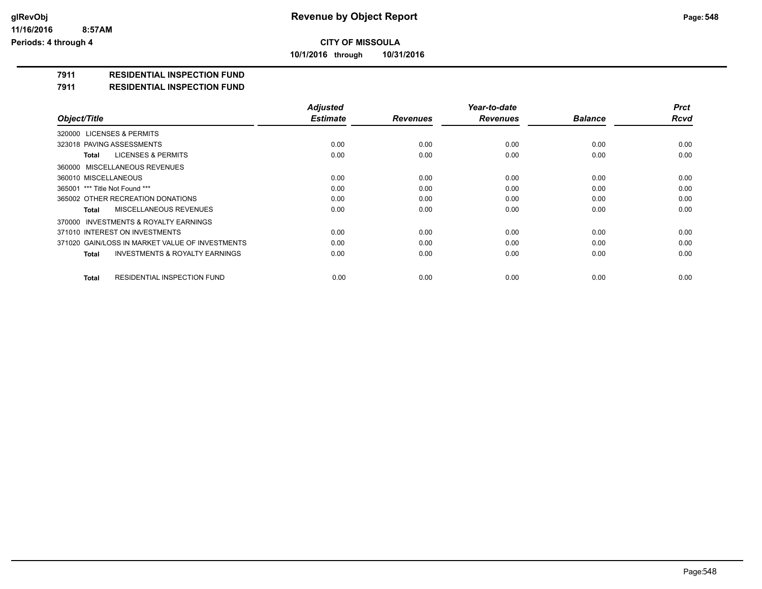**10/1/2016 through 10/31/2016**

**7911 RESIDENTIAL INSPECTION FUND**

**7911 RESIDENTIAL INSPECTION FUND**

|                                                    | <b>Adjusted</b> |                 | Year-to-date    |                | <b>Prct</b> |
|----------------------------------------------------|-----------------|-----------------|-----------------|----------------|-------------|
| Object/Title                                       | <b>Estimate</b> | <b>Revenues</b> | <b>Revenues</b> | <b>Balance</b> | <b>Rcvd</b> |
| 320000 LICENSES & PERMITS                          |                 |                 |                 |                |             |
| 323018 PAVING ASSESSMENTS                          | 0.00            | 0.00            | 0.00            | 0.00           | 0.00        |
| <b>LICENSES &amp; PERMITS</b><br>Total             | 0.00            | 0.00            | 0.00            | 0.00           | 0.00        |
| 360000 MISCELLANEOUS REVENUES                      |                 |                 |                 |                |             |
| 360010 MISCELLANEOUS                               | 0.00            | 0.00            | 0.00            | 0.00           | 0.00        |
| 365001 *** Title Not Found ***                     | 0.00            | 0.00            | 0.00            | 0.00           | 0.00        |
| 365002 OTHER RECREATION DONATIONS                  | 0.00            | 0.00            | 0.00            | 0.00           | 0.00        |
| MISCELLANEOUS REVENUES<br>Total                    | 0.00            | 0.00            | 0.00            | 0.00           | 0.00        |
| 370000 INVESTMENTS & ROYALTY EARNINGS              |                 |                 |                 |                |             |
| 371010 INTEREST ON INVESTMENTS                     | 0.00            | 0.00            | 0.00            | 0.00           | 0.00        |
| 371020 GAIN/LOSS IN MARKET VALUE OF INVESTMENTS    | 0.00            | 0.00            | 0.00            | 0.00           | 0.00        |
| <b>INVESTMENTS &amp; ROYALTY EARNINGS</b><br>Total | 0.00            | 0.00            | 0.00            | 0.00           | 0.00        |
| <b>RESIDENTIAL INSPECTION FUND</b><br>Total        | 0.00            | 0.00            | 0.00            | 0.00           | 0.00        |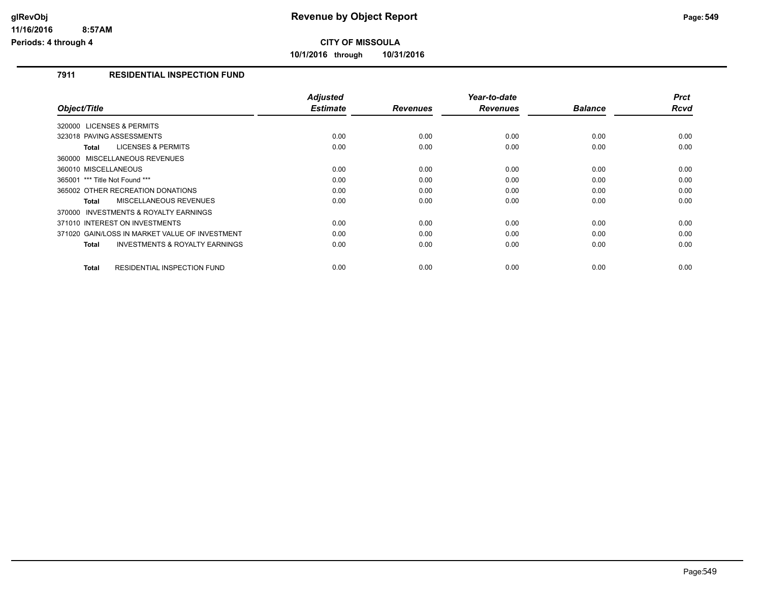**10/1/2016 through 10/31/2016**

#### **7911 RESIDENTIAL INSPECTION FUND**

| Object/Title                                              | <b>Adjusted</b><br><b>Estimate</b> | <b>Revenues</b> | Year-to-date<br><b>Revenues</b> | <b>Balance</b> | <b>Prct</b><br><b>Rcvd</b> |
|-----------------------------------------------------------|------------------------------------|-----------------|---------------------------------|----------------|----------------------------|
|                                                           |                                    |                 |                                 |                |                            |
| 320000 LICENSES & PERMITS                                 |                                    |                 |                                 |                |                            |
| 323018 PAVING ASSESSMENTS                                 | 0.00                               | 0.00            | 0.00                            | 0.00           | 0.00                       |
| <b>LICENSES &amp; PERMITS</b><br><b>Total</b>             | 0.00                               | 0.00            | 0.00                            | 0.00           | 0.00                       |
| 360000 MISCELLANEOUS REVENUES                             |                                    |                 |                                 |                |                            |
| 360010 MISCELLANEOUS                                      | 0.00                               | 0.00            | 0.00                            | 0.00           | 0.00                       |
| 365001 *** Title Not Found ***                            | 0.00                               | 0.00            | 0.00                            | 0.00           | 0.00                       |
| 365002 OTHER RECREATION DONATIONS                         | 0.00                               | 0.00            | 0.00                            | 0.00           | 0.00                       |
| <b>MISCELLANEOUS REVENUES</b><br><b>Total</b>             | 0.00                               | 0.00            | 0.00                            | 0.00           | 0.00                       |
| 370000 INVESTMENTS & ROYALTY EARNINGS                     |                                    |                 |                                 |                |                            |
| 371010 INTEREST ON INVESTMENTS                            | 0.00                               | 0.00            | 0.00                            | 0.00           | 0.00                       |
| 371020 GAIN/LOSS IN MARKET VALUE OF INVESTMENT            | 0.00                               | 0.00            | 0.00                            | 0.00           | 0.00                       |
| <b>INVESTMENTS &amp; ROYALTY EARNINGS</b><br><b>Total</b> | 0.00                               | 0.00            | 0.00                            | 0.00           | 0.00                       |
| <b>RESIDENTIAL INSPECTION FUND</b><br><b>Total</b>        | 0.00                               | 0.00            | 0.00                            | 0.00           | 0.00                       |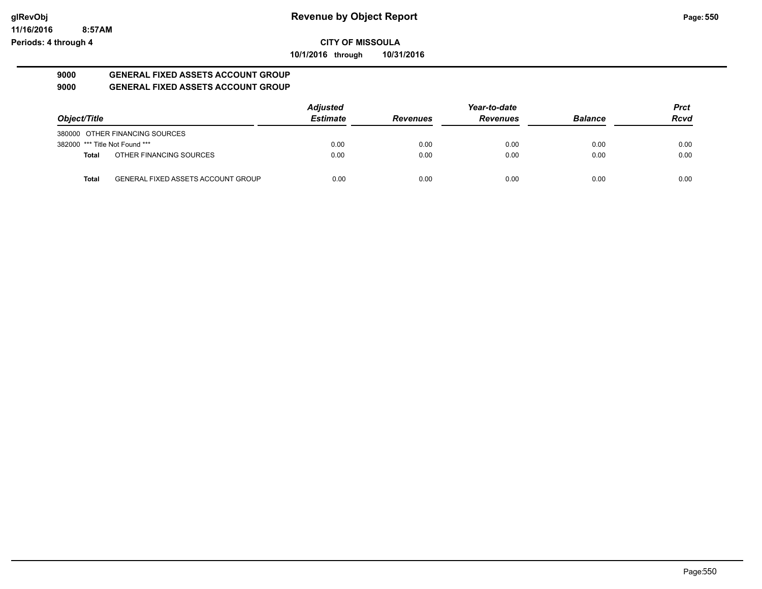**11/16/2016 8:57AM Periods: 4 through 4**

**CITY OF MISSOULA**

**10/1/2016 through 10/31/2016**

#### **9000 GENERAL FIXED ASSETS ACCOUNT GROUP 9000 GENERAL FIXED ASSETS ACCOUNT GROUP**

|                                |                                           | <b>Adjusted</b> |                 | Year-to-date    |                | <b>Prct</b> |
|--------------------------------|-------------------------------------------|-----------------|-----------------|-----------------|----------------|-------------|
| Object/Title                   |                                           | <b>Estimate</b> | <b>Revenues</b> | <b>Revenues</b> | <b>Balance</b> | <b>Rcvd</b> |
|                                | 380000 OTHER FINANCING SOURCES            |                 |                 |                 |                |             |
| 382000 *** Title Not Found *** |                                           | 0.00            | 0.00            | 0.00            | 0.00           | 0.00        |
| Total                          | OTHER FINANCING SOURCES                   | 0.00            | 0.00            | 0.00            | 0.00           | 0.00        |
| <b>Total</b>                   | <b>GENERAL FIXED ASSETS ACCOUNT GROUP</b> | 0.00            | 0.00            | 0.00            | 0.00           | 0.00        |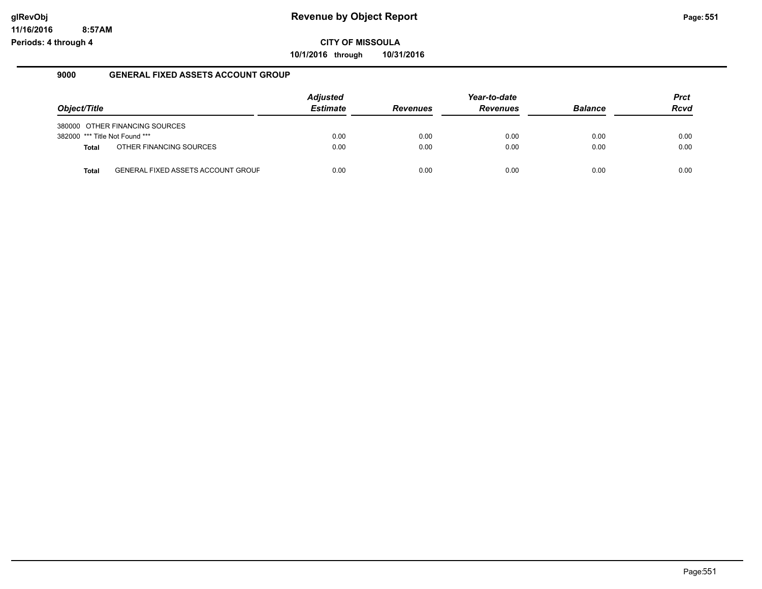**Periods: 4 through 4**

**CITY OF MISSOULA**

**10/1/2016 through 10/31/2016**

#### **9000 GENERAL FIXED ASSETS ACCOUNT GROUP**

| Object/Title                   |                                           | <b>Adjusted</b><br><b>Estimate</b> | <b>Revenues</b> | Year-to-date<br><b>Revenues</b> | <b>Balance</b> | <b>Prct</b><br>Rcvd |
|--------------------------------|-------------------------------------------|------------------------------------|-----------------|---------------------------------|----------------|---------------------|
|                                | 380000 OTHER FINANCING SOURCES            |                                    |                 |                                 |                |                     |
| 382000 *** Title Not Found *** |                                           | 0.00                               | 0.00            | 0.00                            | 0.00           | 0.00                |
| <b>Total</b>                   | OTHER FINANCING SOURCES                   | 0.00                               | 0.00            | 0.00                            | 0.00           | 0.00                |
| <b>Total</b>                   | <b>GENERAL FIXED ASSETS ACCOUNT GROUF</b> | 0.00                               | 0.00            | 0.00                            | 0.00           | 0.00                |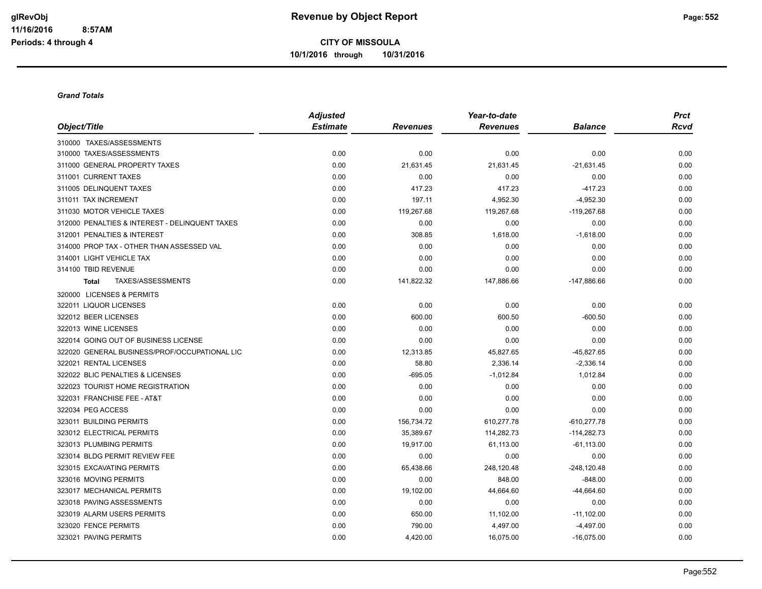**CITY OF MISSOULA 10/1/2016 through 10/31/2016**

#### *Grand Totals*

|                                                | <b>Adjusted</b> |                 | Year-to-date    |                | <b>Prct</b> |
|------------------------------------------------|-----------------|-----------------|-----------------|----------------|-------------|
| Object/Title                                   | <b>Estimate</b> | <b>Revenues</b> | <b>Revenues</b> | <b>Balance</b> | <b>Rcvd</b> |
| 310000 TAXES/ASSESSMENTS                       |                 |                 |                 |                |             |
| 310000 TAXES/ASSESSMENTS                       | 0.00            | 0.00            | 0.00            | 0.00           | 0.00        |
| 311000 GENERAL PROPERTY TAXES                  | 0.00            | 21,631.45       | 21,631.45       | $-21,631.45$   | 0.00        |
| 311001 CURRENT TAXES                           | 0.00            | 0.00            | 0.00            | 0.00           | 0.00        |
| 311005 DELINQUENT TAXES                        | 0.00            | 417.23          | 417.23          | $-417.23$      | 0.00        |
| 311011 TAX INCREMENT                           | 0.00            | 197.11          | 4,952.30        | $-4,952.30$    | 0.00        |
| 311030 MOTOR VEHICLE TAXES                     | 0.00            | 119,267.68      | 119,267.68      | $-119,267.68$  | 0.00        |
| 312000 PENALTIES & INTEREST - DELINQUENT TAXES | 0.00            | 0.00            | 0.00            | 0.00           | 0.00        |
| 312001 PENALTIES & INTEREST                    | 0.00            | 308.85          | 1,618.00        | $-1,618.00$    | 0.00        |
| 314000 PROP TAX - OTHER THAN ASSESSED VAL      | 0.00            | 0.00            | 0.00            | 0.00           | 0.00        |
| 314001 LIGHT VEHICLE TAX                       | 0.00            | 0.00            | 0.00            | 0.00           | 0.00        |
| 314100 TBID REVENUE                            | 0.00            | 0.00            | 0.00            | 0.00           | 0.00        |
| TAXES/ASSESSMENTS<br><b>Total</b>              | 0.00            | 141,822.32      | 147,886.66      | -147,886.66    | 0.00        |
| 320000 LICENSES & PERMITS                      |                 |                 |                 |                |             |
| 322011 LIQUOR LICENSES                         | 0.00            | 0.00            | 0.00            | 0.00           | 0.00        |
| 322012 BEER LICENSES                           | 0.00            | 600.00          | 600.50          | $-600.50$      | 0.00        |
| 322013 WINE LICENSES                           | 0.00            | 0.00            | 0.00            | 0.00           | 0.00        |
| 322014 GOING OUT OF BUSINESS LICENSE           | 0.00            | 0.00            | 0.00            | 0.00           | 0.00        |
| 322020 GENERAL BUSINESS/PROF/OCCUPATIONAL LIC  | 0.00            | 12,313.85       | 45,827.65       | -45,827.65     | 0.00        |
| 322021 RENTAL LICENSES                         | 0.00            | 58.80           | 2,336.14        | $-2,336.14$    | 0.00        |
| 322022 BLIC PENALTIES & LICENSES               | 0.00            | $-695.05$       | $-1,012.84$     | 1,012.84       | 0.00        |
| 322023 TOURIST HOME REGISTRATION               | 0.00            | 0.00            | 0.00            | 0.00           | 0.00        |
| 322031 FRANCHISE FEE - AT&T                    | 0.00            | 0.00            | 0.00            | 0.00           | 0.00        |
| 322034 PEG ACCESS                              | 0.00            | 0.00            | 0.00            | 0.00           | 0.00        |
| 323011 BUILDING PERMITS                        | 0.00            | 156,734.72      | 610,277.78      | $-610,277.78$  | 0.00        |
| 323012 ELECTRICAL PERMITS                      | 0.00            | 35,389.67       | 114,282.73      | $-114,282.73$  | 0.00        |
| 323013 PLUMBING PERMITS                        | 0.00            | 19,917.00       | 61,113.00       | $-61,113.00$   | 0.00        |
| 323014 BLDG PERMIT REVIEW FEE                  | 0.00            | 0.00            | 0.00            | 0.00           | 0.00        |
| 323015 EXCAVATING PERMITS                      | 0.00            | 65,438.66       | 248,120.48      | -248,120.48    | 0.00        |
| 323016 MOVING PERMITS                          | 0.00            | 0.00            | 848.00          | $-848.00$      | 0.00        |
| 323017 MECHANICAL PERMITS                      | 0.00            | 19,102.00       | 44,664.60       | $-44,664.60$   | 0.00        |
| 323018 PAVING ASSESSMENTS                      | 0.00            | 0.00            | 0.00            | 0.00           | 0.00        |
| 323019 ALARM USERS PERMITS                     | 0.00            | 650.00          | 11,102.00       | $-11,102.00$   | 0.00        |
| 323020 FENCE PERMITS                           | 0.00            | 790.00          | 4,497.00        | $-4,497.00$    | 0.00        |
| 323021 PAVING PERMITS                          | 0.00            | 4,420.00        | 16,075.00       | $-16,075.00$   | 0.00        |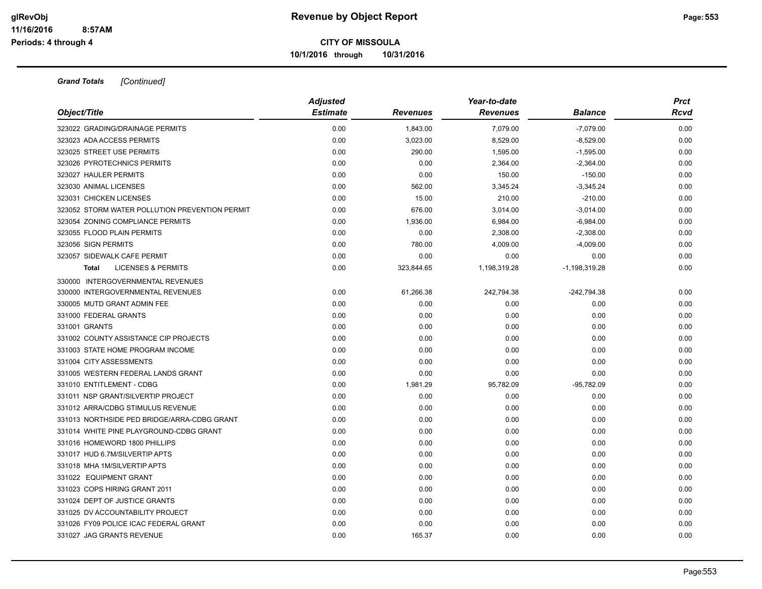**10/1/2016 through 10/31/2016**

| Object/Title                                   | <b>Adjusted</b><br><b>Estimate</b> | <b>Revenues</b> | Year-to-date<br><b>Revenues</b> | <b>Balance</b>  | <b>Prct</b><br><b>Rcvd</b> |
|------------------------------------------------|------------------------------------|-----------------|---------------------------------|-----------------|----------------------------|
| 323022 GRADING/DRAINAGE PERMITS                | 0.00                               | 1,843.00        | 7,079.00                        | $-7,079.00$     | 0.00                       |
| 323023 ADA ACCESS PERMITS                      | 0.00                               | 3,023.00        | 8,529.00                        | $-8,529.00$     | 0.00                       |
| 323025 STREET USE PERMITS                      | 0.00                               | 290.00          | 1,595.00                        | $-1,595.00$     | 0.00                       |
| 323026 PYROTECHNICS PERMITS                    | 0.00                               | 0.00            | 2,364.00                        | $-2,364.00$     | 0.00                       |
| 323027 HAULER PERMITS                          | 0.00                               | 0.00            | 150.00                          | $-150.00$       | 0.00                       |
| 323030 ANIMAL LICENSES                         | 0.00                               | 562.00          | 3,345.24                        | $-3,345.24$     | 0.00                       |
| 323031 CHICKEN LICENSES                        | 0.00                               | 15.00           | 210.00                          | $-210.00$       | 0.00                       |
| 323052 STORM WATER POLLUTION PREVENTION PERMIT | 0.00                               | 676.00          | 3,014.00                        | $-3,014.00$     | 0.00                       |
| 323054 ZONING COMPLIANCE PERMITS               | 0.00                               | 1,936.00        | 6,984.00                        | $-6,984.00$     | 0.00                       |
| 323055 FLOOD PLAIN PERMITS                     | 0.00                               | 0.00            | 2,308.00                        | $-2,308.00$     | 0.00                       |
| 323056 SIGN PERMITS                            | 0.00                               | 780.00          | 4,009.00                        | $-4,009.00$     | 0.00                       |
| 323057 SIDEWALK CAFE PERMIT                    | 0.00                               | 0.00            | 0.00                            | 0.00            | 0.00                       |
| <b>LICENSES &amp; PERMITS</b><br><b>Total</b>  | 0.00                               | 323,844.65      | 1,198,319.28                    | $-1,198,319.28$ | 0.00                       |
| 330000 INTERGOVERNMENTAL REVENUES              |                                    |                 |                                 |                 |                            |
| 330000 INTERGOVERNMENTAL REVENUES              | 0.00                               | 61,266.38       | 242,794.38                      | $-242,794.38$   | 0.00                       |
| 330005 MUTD GRANT ADMIN FEE                    | 0.00                               | 0.00            | 0.00                            | 0.00            | 0.00                       |
| 331000 FEDERAL GRANTS                          | 0.00                               | 0.00            | 0.00                            | 0.00            | 0.00                       |
| 331001 GRANTS                                  | 0.00                               | 0.00            | 0.00                            | 0.00            | 0.00                       |
| 331002 COUNTY ASSISTANCE CIP PROJECTS          | 0.00                               | 0.00            | 0.00                            | 0.00            | 0.00                       |
| 331003 STATE HOME PROGRAM INCOME               | 0.00                               | 0.00            | 0.00                            | 0.00            | 0.00                       |
| 331004 CITY ASSESSMENTS                        | 0.00                               | 0.00            | 0.00                            | 0.00            | 0.00                       |
| 331005 WESTERN FEDERAL LANDS GRANT             | 0.00                               | 0.00            | 0.00                            | 0.00            | 0.00                       |
| 331010 ENTITLEMENT - CDBG                      | 0.00                               | 1,981.29        | 95,782.09                       | $-95,782.09$    | 0.00                       |
| 331011 NSP GRANT/SILVERTIP PROJECT             | 0.00                               | 0.00            | 0.00                            | 0.00            | 0.00                       |
| 331012 ARRA/CDBG STIMULUS REVENUE              | 0.00                               | 0.00            | 0.00                            | 0.00            | 0.00                       |
| 331013 NORTHSIDE PED BRIDGE/ARRA-CDBG GRANT    | 0.00                               | 0.00            | 0.00                            | 0.00            | 0.00                       |
| 331014 WHITE PINE PLAYGROUND-CDBG GRANT        | 0.00                               | 0.00            | 0.00                            | 0.00            | 0.00                       |
| 331016 HOMEWORD 1800 PHILLIPS                  | 0.00                               | 0.00            | 0.00                            | 0.00            | 0.00                       |
| 331017 HUD 6.7M/SILVERTIP APTS                 | 0.00                               | 0.00            | 0.00                            | 0.00            | 0.00                       |
| 331018 MHA 1M/SILVERTIP APTS                   | 0.00                               | 0.00            | 0.00                            | 0.00            | 0.00                       |
| 331022 EQUIPMENT GRANT                         | 0.00                               | 0.00            | 0.00                            | 0.00            | 0.00                       |
| 331023 COPS HIRING GRANT 2011                  | 0.00                               | 0.00            | 0.00                            | 0.00            | 0.00                       |
| 331024 DEPT OF JUSTICE GRANTS                  | 0.00                               | 0.00            | 0.00                            | 0.00            | 0.00                       |
| 331025 DV ACCOUNTABILITY PROJECT               | 0.00                               | 0.00            | 0.00                            | 0.00            | 0.00                       |
| 331026 FY09 POLICE ICAC FEDERAL GRANT          | 0.00                               | 0.00            | 0.00                            | 0.00            | 0.00                       |
| 331027 JAG GRANTS REVENUE                      | 0.00                               | 165.37          | 0.00                            | 0.00            | 0.00                       |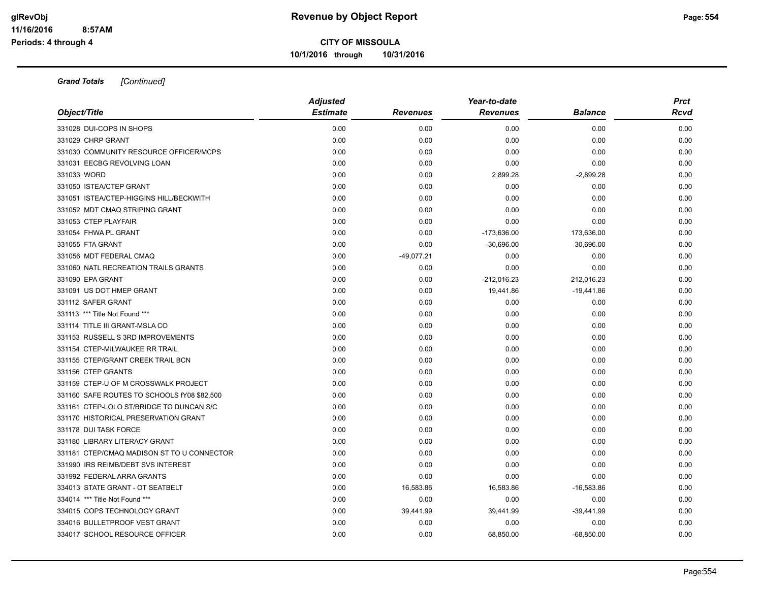**10/1/2016 through 10/31/2016**

| Object/Title                                | <b>Adjusted</b><br><b>Estimate</b> | <b>Revenues</b> | Year-to-date<br><b>Revenues</b> | <b>Balance</b> | <b>Prct</b><br>Rcvd |
|---------------------------------------------|------------------------------------|-----------------|---------------------------------|----------------|---------------------|
| 331028 DUI-COPS IN SHOPS                    | 0.00                               | 0.00            | 0.00                            | 0.00           | 0.00                |
| 331029 CHRP GRANT                           | 0.00                               | 0.00            | 0.00                            | 0.00           | 0.00                |
| 331030 COMMUNITY RESOURCE OFFICER/MCPS      | 0.00                               | 0.00            | 0.00                            | 0.00           | 0.00                |
| 331031 EECBG REVOLVING LOAN                 | 0.00                               | 0.00            | 0.00                            | 0.00           | 0.00                |
| 331033 WORD                                 | 0.00                               | 0.00            | 2,899.28                        | $-2,899.28$    | 0.00                |
| 331050 ISTEA/CTEP GRANT                     | 0.00                               | 0.00            | 0.00                            | 0.00           | 0.00                |
| 331051 ISTEA/CTEP-HIGGINS HILL/BECKWITH     | 0.00                               | 0.00            | 0.00                            | 0.00           | 0.00                |
| 331052 MDT CMAQ STRIPING GRANT              | 0.00                               | 0.00            | 0.00                            | 0.00           | 0.00                |
| 331053 CTEP PLAYFAIR                        | 0.00                               | 0.00            | 0.00                            | 0.00           | 0.00                |
| 331054 FHWA PL GRANT                        | 0.00                               | 0.00            | $-173,636.00$                   | 173,636.00     | 0.00                |
| 331055 FTA GRANT                            | 0.00                               | 0.00            | $-30,696.00$                    | 30,696.00      | 0.00                |
| 331056 MDT FEDERAL CMAQ                     | 0.00                               | $-49,077.21$    | 0.00                            | 0.00           | 0.00                |
| 331060 NATL RECREATION TRAILS GRANTS        | 0.00                               | 0.00            | 0.00                            | 0.00           | 0.00                |
| 331090 EPA GRANT                            | 0.00                               | 0.00            | $-212,016.23$                   | 212,016.23     | 0.00                |
| 331091 US DOT HMEP GRANT                    | 0.00                               | 0.00            | 19,441.86                       | $-19,441.86$   | 0.00                |
| 331112 SAFER GRANT                          | 0.00                               | 0.00            | 0.00                            | 0.00           | 0.00                |
| 331113 *** Title Not Found ***              | 0.00                               | 0.00            | 0.00                            | 0.00           | 0.00                |
| 331114 TITLE III GRANT-MSLA CO              | 0.00                               | 0.00            | 0.00                            | 0.00           | 0.00                |
| 331153 RUSSELL S 3RD IMPROVEMENTS           | 0.00                               | 0.00            | 0.00                            | 0.00           | 0.00                |
| 331154 CTEP-MILWAUKEE RR TRAIL              | 0.00                               | 0.00            | 0.00                            | 0.00           | 0.00                |
| 331155 CTEP/GRANT CREEK TRAIL BCN           | 0.00                               | 0.00            | 0.00                            | 0.00           | 0.00                |
| 331156 CTEP GRANTS                          | 0.00                               | 0.00            | 0.00                            | 0.00           | 0.00                |
| 331159 CTEP-U OF M CROSSWALK PROJECT        | 0.00                               | 0.00            | 0.00                            | 0.00           | 0.00                |
| 331160 SAFE ROUTES TO SCHOOLS fY08 \$82,500 | 0.00                               | 0.00            | 0.00                            | 0.00           | 0.00                |
| 331161 CTEP-LOLO ST/BRIDGE TO DUNCAN S/C    | 0.00                               | 0.00            | 0.00                            | 0.00           | 0.00                |
| 331170 HISTORICAL PRESERVATION GRANT        | 0.00                               | 0.00            | 0.00                            | 0.00           | 0.00                |
| 331178 DUI TASK FORCE                       | 0.00                               | 0.00            | 0.00                            | 0.00           | 0.00                |
| 331180 LIBRARY LITERACY GRANT               | 0.00                               | 0.00            | 0.00                            | 0.00           | 0.00                |
| 331181 CTEP/CMAQ MADISON ST TO U CONNECTOR  | 0.00                               | 0.00            | 0.00                            | 0.00           | 0.00                |
| 331990 IRS REIMB/DEBT SVS INTEREST          | 0.00                               | 0.00            | 0.00                            | 0.00           | 0.00                |
| 331992 FEDERAL ARRA GRANTS                  | 0.00                               | 0.00            | 0.00                            | 0.00           | 0.00                |
| 334013 STATE GRANT - OT SEATBELT            | 0.00                               | 16,583.86       | 16,583.86                       | $-16,583.86$   | 0.00                |
| 334014 *** Title Not Found ***              | 0.00                               | 0.00            | 0.00                            | 0.00           | 0.00                |
| 334015 COPS TECHNOLOGY GRANT                | 0.00                               | 39,441.99       | 39,441.99                       | $-39,441.99$   | 0.00                |
| 334016 BULLETPROOF VEST GRANT               | 0.00                               | 0.00            | 0.00                            | 0.00           | 0.00                |
| 334017 SCHOOL RESOURCE OFFICER              | 0.00                               | 0.00            | 68,850.00                       | $-68,850.00$   | 0.00                |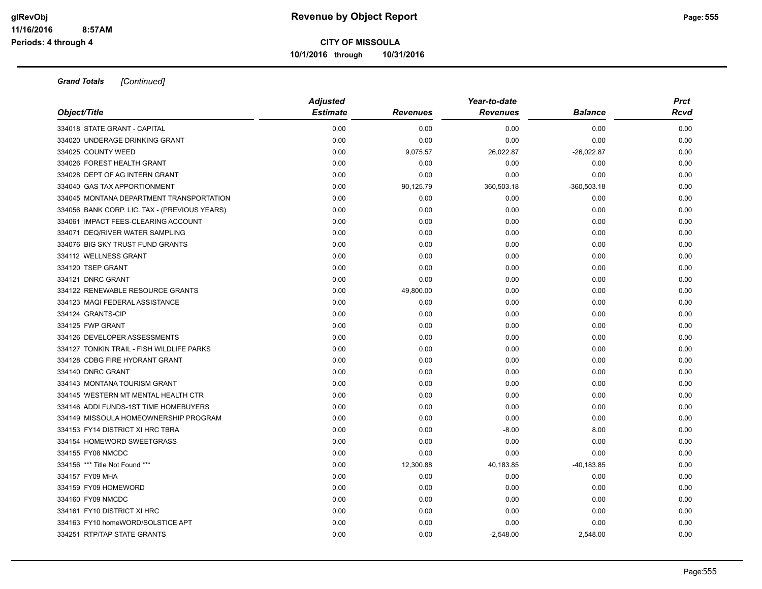**10/1/2016 through 10/31/2016**

| Object/Title                                  | <b>Adjusted</b><br><b>Estimate</b> | <b>Revenues</b> | Year-to-date<br><b>Revenues</b> | <b>Balance</b> | <b>Prct</b><br>Rcvd |
|-----------------------------------------------|------------------------------------|-----------------|---------------------------------|----------------|---------------------|
| 334018 STATE GRANT - CAPITAL                  | 0.00                               | 0.00            | 0.00                            | 0.00           | 0.00                |
| 334020 UNDERAGE DRINKING GRANT                | 0.00                               | 0.00            | 0.00                            | 0.00           | 0.00                |
| 334025 COUNTY WEED                            | 0.00                               | 9,075.57        | 26,022.87                       | $-26,022.87$   | 0.00                |
| 334026 FOREST HEALTH GRANT                    | 0.00                               | 0.00            | 0.00                            | 0.00           | 0.00                |
| 334028 DEPT OF AG INTERN GRANT                | 0.00                               | 0.00            | 0.00                            | 0.00           | 0.00                |
| 334040 GAS TAX APPORTIONMENT                  | 0.00                               | 90,125.79       | 360,503.18                      | $-360,503.18$  | 0.00                |
| 334045 MONTANA DEPARTMENT TRANSPORTATION      | 0.00                               | 0.00            | 0.00                            | 0.00           | 0.00                |
| 334056 BANK CORP. LIC. TAX - (PREVIOUS YEARS) | 0.00                               | 0.00            | 0.00                            | 0.00           | 0.00                |
| 334061 IMPACT FEES-CLEARING ACCOUNT           | 0.00                               | 0.00            | 0.00                            | 0.00           | 0.00                |
| 334071 DEQ/RIVER WATER SAMPLING               | 0.00                               | 0.00            | 0.00                            | 0.00           | 0.00                |
| 334076 BIG SKY TRUST FUND GRANTS              | 0.00                               | 0.00            | 0.00                            | 0.00           | 0.00                |
| 334112 WELLNESS GRANT                         | 0.00                               | 0.00            | 0.00                            | 0.00           | 0.00                |
| 334120 TSEP GRANT                             | 0.00                               | 0.00            | 0.00                            | 0.00           | 0.00                |
| 334121 DNRC GRANT                             | 0.00                               | 0.00            | 0.00                            | 0.00           | 0.00                |
| 334122 RENEWABLE RESOURCE GRANTS              | 0.00                               | 49,800.00       | 0.00                            | 0.00           | 0.00                |
| 334123 MAQI FEDERAL ASSISTANCE                | 0.00                               | 0.00            | 0.00                            | 0.00           | 0.00                |
| 334124 GRANTS-CIP                             | 0.00                               | 0.00            | 0.00                            | 0.00           | 0.00                |
| 334125 FWP GRANT                              | 0.00                               | 0.00            | 0.00                            | 0.00           | 0.00                |
| 334126 DEVELOPER ASSESSMENTS                  | 0.00                               | 0.00            | 0.00                            | 0.00           | 0.00                |
| 334127 TONKIN TRAIL - FISH WILDLIFE PARKS     | 0.00                               | 0.00            | 0.00                            | 0.00           | 0.00                |
| 334128 CDBG FIRE HYDRANT GRANT                | 0.00                               | 0.00            | 0.00                            | 0.00           | 0.00                |
| 334140 DNRC GRANT                             | 0.00                               | 0.00            | 0.00                            | 0.00           | 0.00                |
| 334143 MONTANA TOURISM GRANT                  | 0.00                               | 0.00            | 0.00                            | 0.00           | 0.00                |
| 334145 WESTERN MT MENTAL HEALTH CTR           | 0.00                               | 0.00            | 0.00                            | 0.00           | 0.00                |
| 334146 ADDI FUNDS-1ST TIME HOMEBUYERS         | 0.00                               | 0.00            | 0.00                            | 0.00           | 0.00                |
| 334149 MISSOULA HOMEOWNERSHIP PROGRAM         | 0.00                               | 0.00            | 0.00                            | 0.00           | 0.00                |
| 334153 FY14 DISTRICT XI HRC TBRA              | 0.00                               | 0.00            | $-8.00$                         | 8.00           | 0.00                |
| 334154 HOMEWORD SWEETGRASS                    | 0.00                               | 0.00            | 0.00                            | 0.00           | 0.00                |
| 334155 FY08 NMCDC                             | 0.00                               | 0.00            | 0.00                            | 0.00           | 0.00                |
| 334156 *** Title Not Found ***                | 0.00                               | 12,300.88       | 40,183.85                       | $-40, 183.85$  | 0.00                |
| 334157 FY09 MHA                               | 0.00                               | 0.00            | 0.00                            | 0.00           | 0.00                |
| 334159 FY09 HOMEWORD                          | 0.00                               | 0.00            | 0.00                            | 0.00           | 0.00                |
| 334160 FY09 NMCDC                             | 0.00                               | 0.00            | 0.00                            | 0.00           | 0.00                |
| 334161 FY10 DISTRICT XI HRC                   | 0.00                               | 0.00            | 0.00                            | 0.00           | 0.00                |
| 334163 FY10 homeWORD/SOLSTICE APT             | 0.00                               | 0.00            | 0.00                            | 0.00           | 0.00                |
| 334251 RTP/TAP STATE GRANTS                   | 0.00                               | 0.00            | $-2,548.00$                     | 2,548.00       | 0.00                |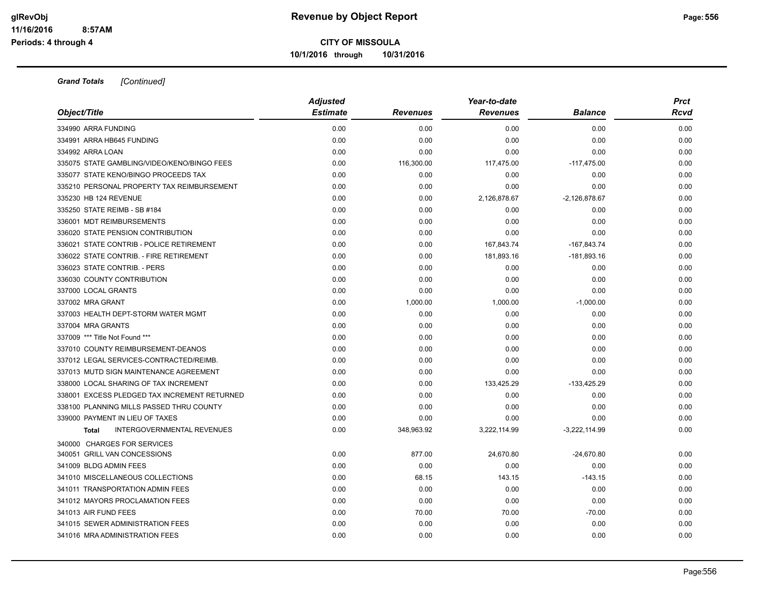**10/1/2016 through 10/31/2016**

|                                                   | <b>Adjusted</b> |                 | Year-to-date    |                 | <b>Prct</b> |
|---------------------------------------------------|-----------------|-----------------|-----------------|-----------------|-------------|
| Object/Title                                      | <b>Estimate</b> | <b>Revenues</b> | <b>Revenues</b> | <b>Balance</b>  | <b>Rcvd</b> |
| 334990 ARRA FUNDING                               | 0.00            | 0.00            | 0.00            | 0.00            | 0.00        |
| 334991 ARRA HB645 FUNDING                         | 0.00            | 0.00            | 0.00            | 0.00            | 0.00        |
| 334992 ARRA LOAN                                  | 0.00            | 0.00            | 0.00            | 0.00            | 0.00        |
| 335075 STATE GAMBLING/VIDEO/KENO/BINGO FEES       | 0.00            | 116,300.00      | 117,475.00      | $-117,475.00$   | 0.00        |
| 335077 STATE KENO/BINGO PROCEEDS TAX              | 0.00            | 0.00            | 0.00            | 0.00            | 0.00        |
| 335210 PERSONAL PROPERTY TAX REIMBURSEMENT        | 0.00            | 0.00            | 0.00            | 0.00            | 0.00        |
| 335230 HB 124 REVENUE                             | 0.00            | 0.00            | 2,126,878.67    | $-2,126,878.67$ | 0.00        |
| 335250 STATE REIMB - SB #184                      | 0.00            | 0.00            | 0.00            | 0.00            | 0.00        |
| 336001 MDT REIMBURSEMENTS                         | 0.00            | 0.00            | 0.00            | 0.00            | 0.00        |
| 336020 STATE PENSION CONTRIBUTION                 | 0.00            | 0.00            | 0.00            | 0.00            | 0.00        |
| 336021 STATE CONTRIB - POLICE RETIREMENT          | 0.00            | 0.00            | 167,843.74      | $-167,843.74$   | 0.00        |
| 336022 STATE CONTRIB. - FIRE RETIREMENT           | 0.00            | 0.00            | 181,893.16      | -181,893.16     | 0.00        |
| 336023 STATE CONTRIB. - PERS                      | 0.00            | 0.00            | 0.00            | 0.00            | 0.00        |
| 336030 COUNTY CONTRIBUTION                        | 0.00            | 0.00            | 0.00            | 0.00            | 0.00        |
| 337000 LOCAL GRANTS                               | 0.00            | 0.00            | 0.00            | 0.00            | 0.00        |
| 337002 MRA GRANT                                  | 0.00            | 1,000.00        | 1,000.00        | $-1,000.00$     | 0.00        |
| 337003 HEALTH DEPT-STORM WATER MGMT               | 0.00            | 0.00            | 0.00            | 0.00            | 0.00        |
| 337004 MRA GRANTS                                 | 0.00            | 0.00            | 0.00            | 0.00            | 0.00        |
| 337009 *** Title Not Found ***                    | 0.00            | 0.00            | 0.00            | 0.00            | 0.00        |
| 337010 COUNTY REIMBURSEMENT-DEANOS                | 0.00            | 0.00            | 0.00            | 0.00            | 0.00        |
| 337012 LEGAL SERVICES-CONTRACTED/REIMB.           | 0.00            | 0.00            | 0.00            | 0.00            | 0.00        |
| 337013 MUTD SIGN MAINTENANCE AGREEMENT            | 0.00            | 0.00            | 0.00            | 0.00            | 0.00        |
| 338000 LOCAL SHARING OF TAX INCREMENT             | 0.00            | 0.00            | 133,425.29      | $-133,425.29$   | 0.00        |
| 338001 EXCESS PLEDGED TAX INCREMENT RETURNED      | 0.00            | 0.00            | 0.00            | 0.00            | 0.00        |
| 338100 PLANNING MILLS PASSED THRU COUNTY          | 0.00            | 0.00            | 0.00            | 0.00            | 0.00        |
| 339000 PAYMENT IN LIEU OF TAXES                   | 0.00            | 0.00            | 0.00            | 0.00            | 0.00        |
| <b>INTERGOVERNMENTAL REVENUES</b><br><b>Total</b> | 0.00            | 348,963.92      | 3,222,114.99    | $-3,222,114.99$ | 0.00        |
| 340000 CHARGES FOR SERVICES                       |                 |                 |                 |                 |             |
| 340051 GRILL VAN CONCESSIONS                      | 0.00            | 877.00          | 24,670.80       | $-24,670.80$    | 0.00        |
| 341009 BLDG ADMIN FEES                            | 0.00            | 0.00            | 0.00            | 0.00            | 0.00        |
| 341010 MISCELLANEOUS COLLECTIONS                  | 0.00            | 68.15           | 143.15          | $-143.15$       | 0.00        |
| 341011 TRANSPORTATION ADMIN FEES                  | 0.00            | 0.00            | 0.00            | 0.00            | 0.00        |
| 341012 MAYORS PROCLAMATION FEES                   | 0.00            | 0.00            | 0.00            | 0.00            | 0.00        |
| 341013 AIR FUND FEES                              | 0.00            | 70.00           | 70.00           | $-70.00$        | 0.00        |
| 341015 SEWER ADMINISTRATION FEES                  | 0.00            | 0.00            | 0.00            | 0.00            | 0.00        |
| 341016 MRA ADMINISTRATION FEES                    | 0.00            | 0.00            | 0.00            | 0.00            | 0.00        |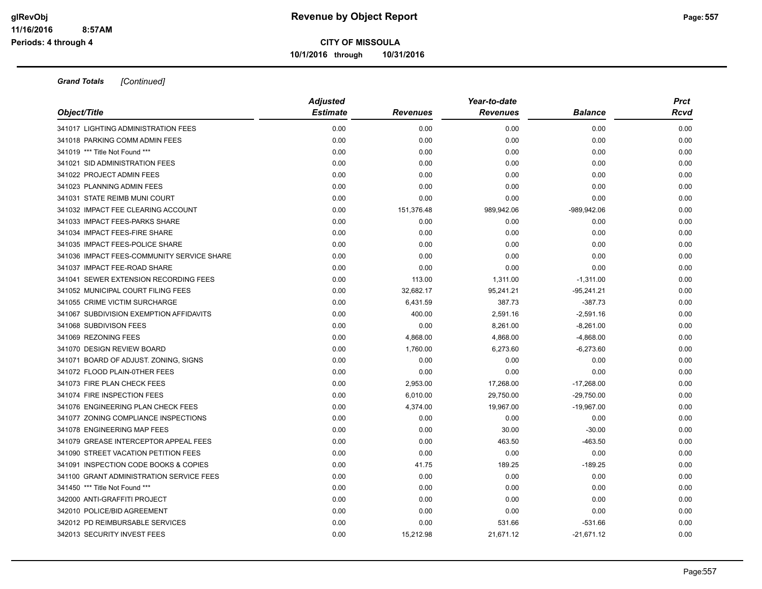**10/1/2016 through 10/31/2016**

| Object/Title                               | <b>Adjusted</b><br><b>Estimate</b> | <b>Revenues</b> | Year-to-date<br><b>Revenues</b> | <b>Balance</b> | <b>Prct</b><br>Rcvd |
|--------------------------------------------|------------------------------------|-----------------|---------------------------------|----------------|---------------------|
| 341017 LIGHTING ADMINISTRATION FEES        | 0.00                               | 0.00            | 0.00                            | 0.00           | 0.00                |
| 341018 PARKING COMM ADMIN FEES             | 0.00                               | 0.00            | 0.00                            | 0.00           | 0.00                |
| 341019 *** Title Not Found ***             | 0.00                               | 0.00            | 0.00                            | 0.00           | 0.00                |
| 341021 SID ADMINISTRATION FEES             | 0.00                               | 0.00            | 0.00                            | 0.00           | 0.00                |
| 341022 PROJECT ADMIN FEES                  | 0.00                               | 0.00            | 0.00                            | 0.00           | 0.00                |
| 341023 PLANNING ADMIN FEES                 | 0.00                               | 0.00            | 0.00                            | 0.00           | 0.00                |
| 341031 STATE REIMB MUNI COURT              | 0.00                               | 0.00            | 0.00                            | 0.00           | 0.00                |
| 341032 IMPACT FEE CLEARING ACCOUNT         | 0.00                               | 151,376.48      | 989,942.06                      | -989,942.06    | 0.00                |
| 341033 IMPACT FEES-PARKS SHARE             | 0.00                               | 0.00            | 0.00                            | 0.00           | 0.00                |
| 341034 IMPACT FEES-FIRE SHARE              | 0.00                               | 0.00            | 0.00                            | 0.00           | 0.00                |
| 341035 IMPACT FEES-POLICE SHARE            | 0.00                               | 0.00            | 0.00                            | 0.00           | 0.00                |
| 341036 IMPACT FEES-COMMUNITY SERVICE SHARE | 0.00                               | 0.00            | 0.00                            | 0.00           | 0.00                |
| 341037 IMPACT FEE-ROAD SHARE               | 0.00                               | 0.00            | 0.00                            | 0.00           | 0.00                |
| 341041 SEWER EXTENSION RECORDING FEES      | 0.00                               | 113.00          | 1,311.00                        | $-1,311.00$    | 0.00                |
| 341052 MUNICIPAL COURT FILING FEES         | 0.00                               | 32,682.17       | 95,241.21                       | $-95,241.21$   | 0.00                |
| 341055 CRIME VICTIM SURCHARGE              | 0.00                               | 6,431.59        | 387.73                          | $-387.73$      | 0.00                |
| 341067 SUBDIVISION EXEMPTION AFFIDAVITS    | 0.00                               | 400.00          | 2,591.16                        | $-2,591.16$    | 0.00                |
| 341068 SUBDIVISON FEES                     | 0.00                               | 0.00            | 8,261.00                        | $-8,261.00$    | 0.00                |
| 341069 REZONING FEES                       | 0.00                               | 4,868.00        | 4,868.00                        | $-4,868.00$    | 0.00                |
| 341070 DESIGN REVIEW BOARD                 | 0.00                               | 1,760.00        | 6,273.60                        | $-6,273.60$    | 0.00                |
| 341071 BOARD OF ADJUST. ZONING, SIGNS      | 0.00                               | 0.00            | 0.00                            | 0.00           | 0.00                |
| 341072 FLOOD PLAIN-0THER FEES              | 0.00                               | 0.00            | 0.00                            | 0.00           | 0.00                |
| 341073 FIRE PLAN CHECK FEES                | 0.00                               | 2,953.00        | 17,268.00                       | $-17,268.00$   | 0.00                |
| 341074 FIRE INSPECTION FEES                | 0.00                               | 6,010.00        | 29,750.00                       | $-29,750.00$   | 0.00                |
| 341076 ENGINEERING PLAN CHECK FEES         | 0.00                               | 4,374.00        | 19,967.00                       | $-19,967.00$   | 0.00                |
| 341077 ZONING COMPLIANCE INSPECTIONS       | 0.00                               | 0.00            | 0.00                            | 0.00           | 0.00                |
| 341078 ENGINEERING MAP FEES                | 0.00                               | 0.00            | 30.00                           | $-30.00$       | 0.00                |
| 341079 GREASE INTERCEPTOR APPEAL FEES      | 0.00                               | 0.00            | 463.50                          | $-463.50$      | 0.00                |
| 341090 STREET VACATION PETITION FEES       | 0.00                               | 0.00            | 0.00                            | 0.00           | 0.00                |
| 341091 INSPECTION CODE BOOKS & COPIES      | 0.00                               | 41.75           | 189.25                          | $-189.25$      | 0.00                |
| 341100 GRANT ADMINISTRATION SERVICE FEES   | 0.00                               | 0.00            | 0.00                            | 0.00           | 0.00                |
| 341450 *** Title Not Found ***             | 0.00                               | 0.00            | 0.00                            | 0.00           | 0.00                |
| 342000 ANTI-GRAFFITI PROJECT               | 0.00                               | 0.00            | 0.00                            | 0.00           | 0.00                |
| 342010 POLICE/BID AGREEMENT                | 0.00                               | 0.00            | 0.00                            | 0.00           | 0.00                |
| 342012 PD REIMBURSABLE SERVICES            | 0.00                               | 0.00            | 531.66                          | $-531.66$      | 0.00                |
| 342013 SECURITY INVEST FEES                | 0.00                               | 15,212.98       | 21,671.12                       | $-21,671.12$   | 0.00                |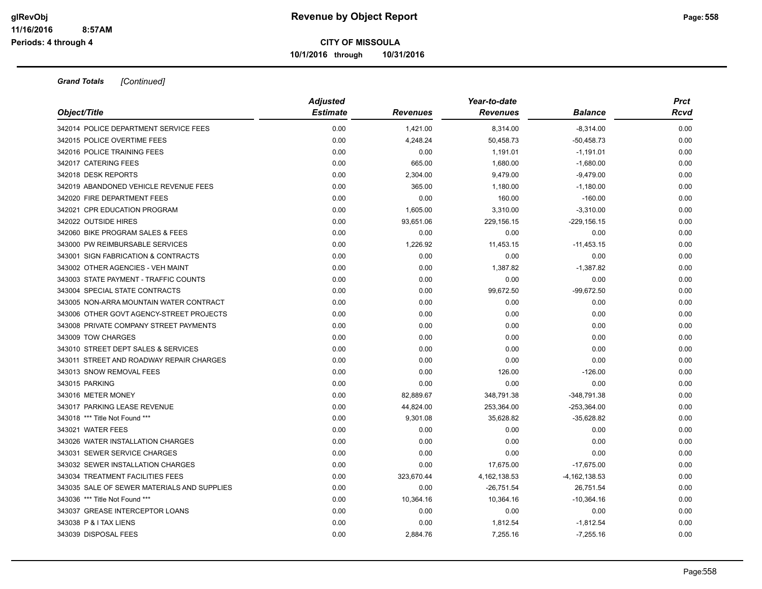**10/1/2016 through 10/31/2016**

| Object/Title                                | <b>Adjusted</b><br><b>Estimate</b> | <b>Revenues</b> | Year-to-date<br><b>Revenues</b> | <b>Balance</b>  | <b>Prct</b><br>Rcvd |
|---------------------------------------------|------------------------------------|-----------------|---------------------------------|-----------------|---------------------|
| 342014 POLICE DEPARTMENT SERVICE FEES       | 0.00                               | 1,421.00        | 8,314.00                        | $-8,314.00$     | 0.00                |
| 342015 POLICE OVERTIME FEES                 | 0.00                               | 4,248.24        | 50,458.73                       | $-50,458.73$    | 0.00                |
| 342016 POLICE TRAINING FEES                 | 0.00                               | 0.00            | 1,191.01                        | $-1,191.01$     | 0.00                |
| 342017 CATERING FEES                        | 0.00                               | 665.00          | 1,680.00                        | $-1,680.00$     | 0.00                |
| 342018 DESK REPORTS                         | 0.00                               | 2,304.00        | 9,479.00                        | $-9,479.00$     | 0.00                |
| 342019 ABANDONED VEHICLE REVENUE FEES       | 0.00                               | 365.00          | 1,180.00                        | $-1,180.00$     | 0.00                |
| 342020 FIRE DEPARTMENT FEES                 | 0.00                               | 0.00            | 160.00                          | $-160.00$       | 0.00                |
| 342021 CPR EDUCATION PROGRAM                | 0.00                               | 1,605.00        | 3,310.00                        | $-3,310.00$     | 0.00                |
| 342022 OUTSIDE HIRES                        | 0.00                               | 93,651.06       | 229,156.15                      | $-229, 156.15$  | 0.00                |
| 342060 BIKE PROGRAM SALES & FEES            | 0.00                               | 0.00            | 0.00                            | 0.00            | 0.00                |
| 343000 PW REIMBURSABLE SERVICES             | 0.00                               | 1,226.92        | 11,453.15                       | $-11,453.15$    | 0.00                |
| 343001 SIGN FABRICATION & CONTRACTS         | 0.00                               | 0.00            | 0.00                            | 0.00            | 0.00                |
| 343002 OTHER AGENCIES - VEH MAINT           | 0.00                               | 0.00            | 1,387.82                        | $-1,387.82$     | 0.00                |
| 343003 STATE PAYMENT - TRAFFIC COUNTS       | 0.00                               | 0.00            | 0.00                            | 0.00            | 0.00                |
| 343004 SPECIAL STATE CONTRACTS              | 0.00                               | 0.00            | 99,672.50                       | $-99,672.50$    | 0.00                |
| 343005 NON-ARRA MOUNTAIN WATER CONTRACT     | 0.00                               | 0.00            | 0.00                            | 0.00            | 0.00                |
| 343006 OTHER GOVT AGENCY-STREET PROJECTS    | 0.00                               | 0.00            | 0.00                            | 0.00            | 0.00                |
| 343008 PRIVATE COMPANY STREET PAYMENTS      | 0.00                               | 0.00            | 0.00                            | 0.00            | 0.00                |
| 343009 TOW CHARGES                          | 0.00                               | 0.00            | 0.00                            | 0.00            | 0.00                |
| 343010 STREET DEPT SALES & SERVICES         | 0.00                               | 0.00            | 0.00                            | 0.00            | 0.00                |
| 343011 STREET AND ROADWAY REPAIR CHARGES    | 0.00                               | 0.00            | 0.00                            | 0.00            | 0.00                |
| 343013 SNOW REMOVAL FEES                    | 0.00                               | 0.00            | 126.00                          | $-126.00$       | 0.00                |
| 343015 PARKING                              | 0.00                               | 0.00            | 0.00                            | 0.00            | 0.00                |
| 343016 METER MONEY                          | 0.00                               | 82,889.67       | 348,791.38                      | $-348,791.38$   | 0.00                |
| 343017 PARKING LEASE REVENUE                | 0.00                               | 44,824.00       | 253,364.00                      | $-253,364.00$   | 0.00                |
| 343018 *** Title Not Found ***              | 0.00                               | 9,301.08        | 35,628.82                       | $-35,628.82$    | 0.00                |
| 343021 WATER FEES                           | 0.00                               | 0.00            | 0.00                            | 0.00            | 0.00                |
| 343026 WATER INSTALLATION CHARGES           | 0.00                               | 0.00            | 0.00                            | 0.00            | 0.00                |
| 343031 SEWER SERVICE CHARGES                | 0.00                               | 0.00            | 0.00                            | 0.00            | 0.00                |
| 343032 SEWER INSTALLATION CHARGES           | 0.00                               | 0.00            | 17,675.00                       | $-17,675.00$    | 0.00                |
| 343034 TREATMENT FACILITIES FEES            | 0.00                               | 323,670.44      | 4,162,138.53                    | $-4,162,138.53$ | 0.00                |
| 343035 SALE OF SEWER MATERIALS AND SUPPLIES | 0.00                               | 0.00            | $-26,751.54$                    | 26,751.54       | 0.00                |
| 343036 *** Title Not Found ***              | 0.00                               | 10,364.16       | 10,364.16                       | $-10,364.16$    | 0.00                |
| 343037 GREASE INTERCEPTOR LOANS             | 0.00                               | 0.00            | 0.00                            | 0.00            | 0.00                |
| 343038 P & I TAX LIENS                      | 0.00                               | 0.00            | 1,812.54                        | $-1,812.54$     | 0.00                |
| 343039 DISPOSAL FEES                        | 0.00                               | 2.884.76        | 7.255.16                        | $-7,255.16$     | 0.00                |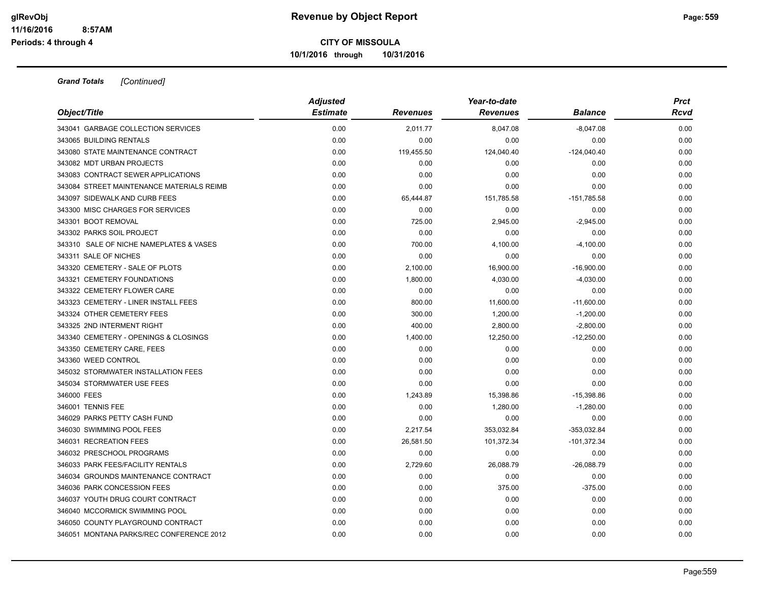**10/1/2016 through 10/31/2016**

| Object/Title                              | <b>Adjusted</b><br><b>Estimate</b> | <b>Revenues</b> | Year-to-date<br><b>Revenues</b> | <b>Balance</b> | <b>Prct</b><br>Rcvd |
|-------------------------------------------|------------------------------------|-----------------|---------------------------------|----------------|---------------------|
| 343041 GARBAGE COLLECTION SERVICES        | 0.00                               | 2,011.77        | 8,047.08                        | $-8,047.08$    | 0.00                |
| 343065 BUILDING RENTALS                   | 0.00                               | 0.00            | 0.00                            | 0.00           | 0.00                |
| 343080 STATE MAINTENANCE CONTRACT         | 0.00                               | 119,455.50      | 124,040.40                      | $-124,040.40$  | 0.00                |
| 343082 MDT URBAN PROJECTS                 | 0.00                               | 0.00            | 0.00                            | 0.00           | 0.00                |
| 343083 CONTRACT SEWER APPLICATIONS        | 0.00                               | 0.00            | 0.00                            | 0.00           | 0.00                |
| 343084 STREET MAINTENANCE MATERIALS REIMB | 0.00                               | 0.00            | 0.00                            | 0.00           | 0.00                |
| 343097 SIDEWALK AND CURB FEES             | 0.00                               | 65,444.87       | 151,785.58                      | $-151,785.58$  | 0.00                |
| 343300 MISC CHARGES FOR SERVICES          | 0.00                               | 0.00            | 0.00                            | 0.00           | 0.00                |
| 343301 BOOT REMOVAL                       | 0.00                               | 725.00          | 2,945.00                        | $-2,945.00$    | 0.00                |
| 343302 PARKS SOIL PROJECT                 | 0.00                               | 0.00            | 0.00                            | 0.00           | 0.00                |
| 343310 SALE OF NICHE NAMEPLATES & VASES   | 0.00                               | 700.00          | 4,100.00                        | $-4,100.00$    | 0.00                |
| 343311 SALE OF NICHES                     | 0.00                               | 0.00            | 0.00                            | 0.00           | 0.00                |
| 343320 CEMETERY - SALE OF PLOTS           | 0.00                               | 2,100.00        | 16,900.00                       | $-16,900.00$   | 0.00                |
| 343321 CEMETERY FOUNDATIONS               | 0.00                               | 1,800.00        | 4,030.00                        | $-4,030.00$    | 0.00                |
| 343322 CEMETERY FLOWER CARE               | 0.00                               | 0.00            | 0.00                            | 0.00           | 0.00                |
| 343323 CEMETERY - LINER INSTALL FEES      | 0.00                               | 800.00          | 11,600.00                       | $-11,600.00$   | 0.00                |
| 343324 OTHER CEMETERY FEES                | 0.00                               | 300.00          | 1,200.00                        | $-1,200.00$    | 0.00                |
| 343325 2ND INTERMENT RIGHT                | 0.00                               | 400.00          | 2,800.00                        | $-2,800.00$    | 0.00                |
| 343340 CEMETERY - OPENINGS & CLOSINGS     | 0.00                               | 1,400.00        | 12,250.00                       | $-12,250.00$   | 0.00                |
| 343350 CEMETERY CARE, FEES                | 0.00                               | 0.00            | 0.00                            | 0.00           | 0.00                |
| 343360 WEED CONTROL                       | 0.00                               | 0.00            | 0.00                            | 0.00           | 0.00                |
| 345032 STORMWATER INSTALLATION FEES       | 0.00                               | 0.00            | 0.00                            | 0.00           | 0.00                |
| 345034 STORMWATER USE FEES                | 0.00                               | 0.00            | 0.00                            | 0.00           | 0.00                |
| 346000 FEES                               | 0.00                               | 1,243.89        | 15,398.86                       | $-15,398.86$   | 0.00                |
| 346001 TENNIS FEE                         | 0.00                               | 0.00            | 1,280.00                        | $-1,280.00$    | 0.00                |
| 346029 PARKS PETTY CASH FUND              | 0.00                               | 0.00            | 0.00                            | 0.00           | 0.00                |
| 346030 SWIMMING POOL FEES                 | 0.00                               | 2,217.54        | 353,032.84                      | $-353,032.84$  | 0.00                |
| 346031 RECREATION FEES                    | 0.00                               | 26,581.50       | 101,372.34                      | $-101,372.34$  | 0.00                |
| 346032 PRESCHOOL PROGRAMS                 | 0.00                               | 0.00            | 0.00                            | 0.00           | 0.00                |
| 346033 PARK FEES/FACILITY RENTALS         | 0.00                               | 2,729.60        | 26,088.79                       | $-26,088.79$   | 0.00                |
| 346034 GROUNDS MAINTENANCE CONTRACT       | 0.00                               | 0.00            | 0.00                            | 0.00           | 0.00                |
| 346036 PARK CONCESSION FEES               | 0.00                               | 0.00            | 375.00                          | $-375.00$      | 0.00                |
| 346037 YOUTH DRUG COURT CONTRACT          | 0.00                               | 0.00            | 0.00                            | 0.00           | 0.00                |
| 346040 MCCORMICK SWIMMING POOL            | 0.00                               | 0.00            | 0.00                            | 0.00           | 0.00                |
| 346050 COUNTY PLAYGROUND CONTRACT         | 0.00                               | 0.00            | 0.00                            | 0.00           | 0.00                |
| 346051 MONTANA PARKS/REC CONFERENCE 2012  | 0.00                               | 0.00            | 0.00                            | 0.00           | 0.00                |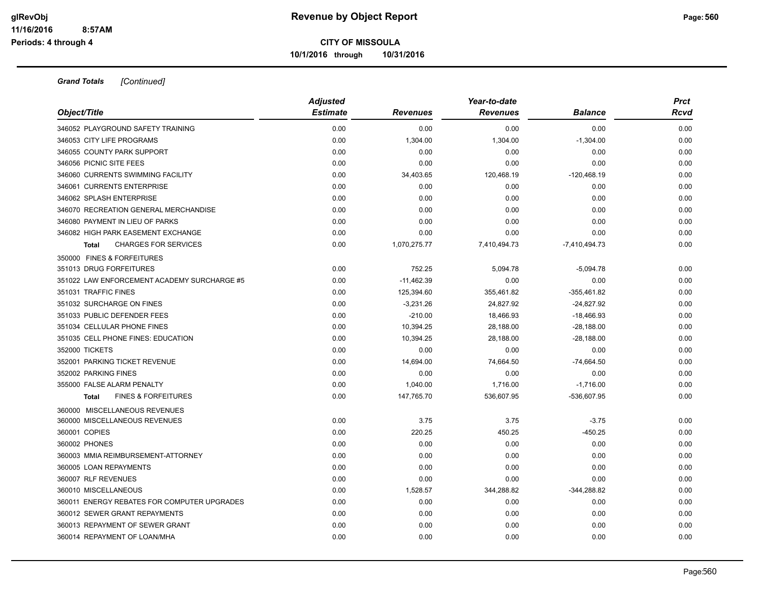**10/1/2016 through 10/31/2016**

| Object/Title                                   | <b>Adjusted</b><br><b>Estimate</b> | <b>Revenues</b> | Year-to-date<br><b>Revenues</b> | <b>Balance</b> | <b>Prct</b><br>Rcvd |
|------------------------------------------------|------------------------------------|-----------------|---------------------------------|----------------|---------------------|
| 346052 PLAYGROUND SAFETY TRAINING              | 0.00                               | 0.00            | 0.00                            | 0.00           | 0.00                |
| 346053 CITY LIFE PROGRAMS                      | 0.00                               | 1,304.00        | 1,304.00                        | $-1,304.00$    | 0.00                |
| 346055 COUNTY PARK SUPPORT                     | 0.00                               | 0.00            | 0.00                            | 0.00           | 0.00                |
| 346056 PICNIC SITE FEES                        | 0.00                               | 0.00            | 0.00                            | 0.00           | 0.00                |
| 346060 CURRENTS SWIMMING FACILITY              | 0.00                               | 34,403.65       | 120,468.19                      | $-120,468.19$  | 0.00                |
| 346061 CURRENTS ENTERPRISE                     | 0.00                               | 0.00            | 0.00                            | 0.00           | 0.00                |
| 346062 SPLASH ENTERPRISE                       | 0.00                               | 0.00            | 0.00                            | 0.00           | 0.00                |
| 346070 RECREATION GENERAL MERCHANDISE          | 0.00                               | 0.00            | 0.00                            | 0.00           | 0.00                |
| 346080 PAYMENT IN LIEU OF PARKS                | 0.00                               | 0.00            | 0.00                            | 0.00           | 0.00                |
| 346082 HIGH PARK EASEMENT EXCHANGE             | 0.00                               | 0.00            | 0.00                            | 0.00           | 0.00                |
| <b>CHARGES FOR SERVICES</b><br><b>Total</b>    | 0.00                               | 1,070,275.77    | 7,410,494.73                    | -7,410,494.73  | 0.00                |
| 350000 FINES & FORFEITURES                     |                                    |                 |                                 |                |                     |
| 351013 DRUG FORFEITURES                        | 0.00                               | 752.25          | 5,094.78                        | $-5,094.78$    | 0.00                |
| 351022 LAW ENFORCEMENT ACADEMY SURCHARGE #5    | 0.00                               | $-11,462.39$    | 0.00                            | 0.00           | 0.00                |
| 351031 TRAFFIC FINES                           | 0.00                               | 125,394.60      | 355,461.82                      | $-355,461.82$  | 0.00                |
| 351032 SURCHARGE ON FINES                      | 0.00                               | $-3,231.26$     | 24,827.92                       | $-24,827.92$   | 0.00                |
| 351033 PUBLIC DEFENDER FEES                    | 0.00                               | $-210.00$       | 18,466.93                       | $-18,466.93$   | 0.00                |
| 351034 CELLULAR PHONE FINES                    | 0.00                               | 10,394.25       | 28,188.00                       | $-28,188.00$   | 0.00                |
| 351035 CELL PHONE FINES: EDUCATION             | 0.00                               | 10,394.25       | 28,188.00                       | $-28,188.00$   | 0.00                |
| 352000 TICKETS                                 | 0.00                               | 0.00            | 0.00                            | 0.00           | 0.00                |
| 352001 PARKING TICKET REVENUE                  | 0.00                               | 14,694.00       | 74,664.50                       | $-74,664.50$   | 0.00                |
| 352002 PARKING FINES                           | 0.00                               | 0.00            | 0.00                            | 0.00           | 0.00                |
| 355000 FALSE ALARM PENALTY                     | 0.00                               | 1,040.00        | 1,716.00                        | $-1,716.00$    | 0.00                |
| <b>FINES &amp; FORFEITURES</b><br><b>Total</b> | 0.00                               | 147,765.70      | 536,607.95                      | -536,607.95    | 0.00                |
| 360000 MISCELLANEOUS REVENUES                  |                                    |                 |                                 |                |                     |
| 360000 MISCELLANEOUS REVENUES                  | 0.00                               | 3.75            | 3.75                            | $-3.75$        | 0.00                |
| 360001 COPIES                                  | 0.00                               | 220.25          | 450.25                          | $-450.25$      | 0.00                |
| 360002 PHONES                                  | 0.00                               | 0.00            | 0.00                            | 0.00           | 0.00                |
| 360003 MMIA REIMBURSEMENT-ATTORNEY             | 0.00                               | 0.00            | 0.00                            | 0.00           | 0.00                |
| 360005 LOAN REPAYMENTS                         | 0.00                               | 0.00            | 0.00                            | 0.00           | 0.00                |
| 360007 RLF REVENUES                            | 0.00                               | 0.00            | 0.00                            | 0.00           | 0.00                |
| 360010 MISCELLANEOUS                           | 0.00                               | 1,528.57        | 344,288.82                      | $-344,288.82$  | 0.00                |
| 360011 ENERGY REBATES FOR COMPUTER UPGRADES    | 0.00                               | 0.00            | 0.00                            | 0.00           | 0.00                |
| 360012 SEWER GRANT REPAYMENTS                  | 0.00                               | 0.00            | 0.00                            | 0.00           | 0.00                |
| 360013 REPAYMENT OF SEWER GRANT                | 0.00                               | 0.00            | 0.00                            | 0.00           | 0.00                |
| 360014 REPAYMENT OF LOAN/MHA                   | 0.00                               | 0.00            | 0.00                            | 0.00           | 0.00                |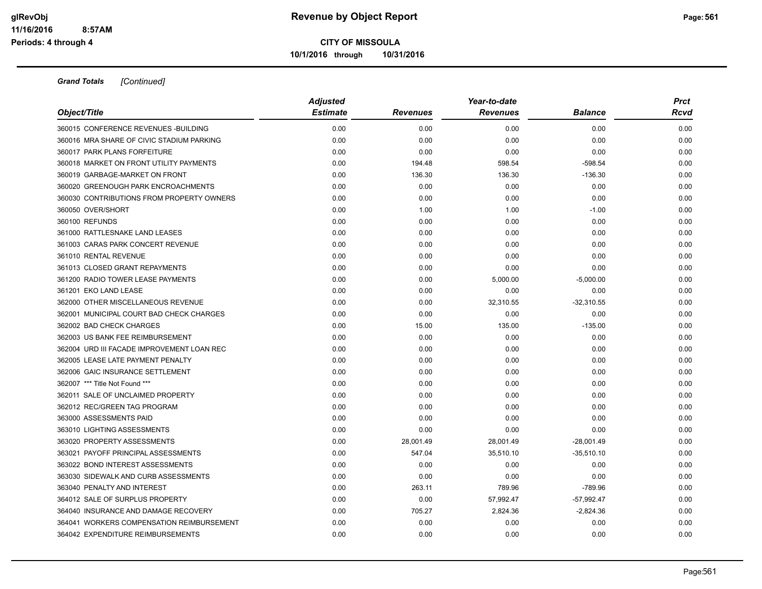**10/1/2016 through 10/31/2016**

| Object/Title                               | <b>Adjusted</b><br><b>Estimate</b> | <b>Revenues</b> | Year-to-date<br><b>Revenues</b> | <b>Balance</b> | <b>Prct</b><br>Rcvd |
|--------------------------------------------|------------------------------------|-----------------|---------------------------------|----------------|---------------------|
| 360015 CONFERENCE REVENUES - BUILDING      | 0.00                               | 0.00            | 0.00                            | 0.00           | 0.00                |
| 360016 MRA SHARE OF CIVIC STADIUM PARKING  | 0.00                               | 0.00            | 0.00                            | 0.00           | 0.00                |
| 360017 PARK PLANS FORFEITURE               | 0.00                               | 0.00            | 0.00                            | 0.00           | 0.00                |
| 360018 MARKET ON FRONT UTILITY PAYMENTS    | 0.00                               | 194.48          | 598.54                          | $-598.54$      | 0.00                |
| 360019 GARBAGE-MARKET ON FRONT             | 0.00                               | 136.30          | 136.30                          | $-136.30$      | 0.00                |
| 360020 GREENOUGH PARK ENCROACHMENTS        | 0.00                               | 0.00            | 0.00                            | 0.00           | 0.00                |
| 360030 CONTRIBUTIONS FROM PROPERTY OWNERS  | 0.00                               | 0.00            | 0.00                            | 0.00           | 0.00                |
| 360050 OVER/SHORT                          | 0.00                               | 1.00            | 1.00                            | $-1.00$        | 0.00                |
| 360100 REFUNDS                             | 0.00                               | 0.00            | 0.00                            | 0.00           | 0.00                |
| 361000 RATTLESNAKE LAND LEASES             | 0.00                               | 0.00            | 0.00                            | 0.00           | 0.00                |
| 361003 CARAS PARK CONCERT REVENUE          | 0.00                               | 0.00            | 0.00                            | 0.00           | 0.00                |
| 361010 RENTAL REVENUE                      | 0.00                               | 0.00            | 0.00                            | 0.00           | 0.00                |
| 361013 CLOSED GRANT REPAYMENTS             | 0.00                               | 0.00            | 0.00                            | 0.00           | 0.00                |
| 361200 RADIO TOWER LEASE PAYMENTS          | 0.00                               | 0.00            | 5,000.00                        | $-5,000.00$    | 0.00                |
| 361201 EKO LAND LEASE                      | 0.00                               | 0.00            | 0.00                            | 0.00           | 0.00                |
| 362000 OTHER MISCELLANEOUS REVENUE         | 0.00                               | 0.00            | 32,310.55                       | $-32,310.55$   | 0.00                |
| 362001 MUNICIPAL COURT BAD CHECK CHARGES   | 0.00                               | 0.00            | 0.00                            | 0.00           | 0.00                |
| 362002 BAD CHECK CHARGES                   | 0.00                               | 15.00           | 135.00                          | $-135.00$      | 0.00                |
| 362003 US BANK FEE REIMBURSEMENT           | 0.00                               | 0.00            | 0.00                            | 0.00           | 0.00                |
| 362004 URD III FACADE IMPROVEMENT LOAN REC | 0.00                               | 0.00            | 0.00                            | 0.00           | 0.00                |
| 362005 LEASE LATE PAYMENT PENALTY          | 0.00                               | 0.00            | 0.00                            | 0.00           | 0.00                |
| 362006 GAIC INSURANCE SETTLEMENT           | 0.00                               | 0.00            | 0.00                            | 0.00           | 0.00                |
| 362007 *** Title Not Found ***             | 0.00                               | 0.00            | 0.00                            | 0.00           | 0.00                |
| 362011 SALE OF UNCLAIMED PROPERTY          | 0.00                               | 0.00            | 0.00                            | 0.00           | 0.00                |
| 362012 REC/GREEN TAG PROGRAM               | 0.00                               | 0.00            | 0.00                            | 0.00           | 0.00                |
| 363000 ASSESSMENTS PAID                    | 0.00                               | 0.00            | 0.00                            | 0.00           | 0.00                |
| 363010 LIGHTING ASSESSMENTS                | 0.00                               | 0.00            | 0.00                            | 0.00           | 0.00                |
| 363020 PROPERTY ASSESSMENTS                | 0.00                               | 28,001.49       | 28,001.49                       | $-28,001.49$   | 0.00                |
| 363021 PAYOFF PRINCIPAL ASSESSMENTS        | 0.00                               | 547.04          | 35,510.10                       | $-35,510.10$   | 0.00                |
| 363022 BOND INTEREST ASSESSMENTS           | 0.00                               | 0.00            | 0.00                            | 0.00           | 0.00                |
| 363030 SIDEWALK AND CURB ASSESSMENTS       | 0.00                               | 0.00            | 0.00                            | 0.00           | 0.00                |
| 363040 PENALTY AND INTEREST                | 0.00                               | 263.11          | 789.96                          | $-789.96$      | 0.00                |
| 364012 SALE OF SURPLUS PROPERTY            | 0.00                               | 0.00            | 57,992.47                       | $-57,992.47$   | 0.00                |
| 364040 INSURANCE AND DAMAGE RECOVERY       | 0.00                               | 705.27          | 2,824.36                        | $-2,824.36$    | 0.00                |
| 364041 WORKERS COMPENSATION REIMBURSEMENT  | 0.00                               | 0.00            | 0.00                            | 0.00           | 0.00                |
| 364042 EXPENDITURE REIMBURSEMENTS          | 0.00                               | 0.00            | 0.00                            | 0.00           | 0.00                |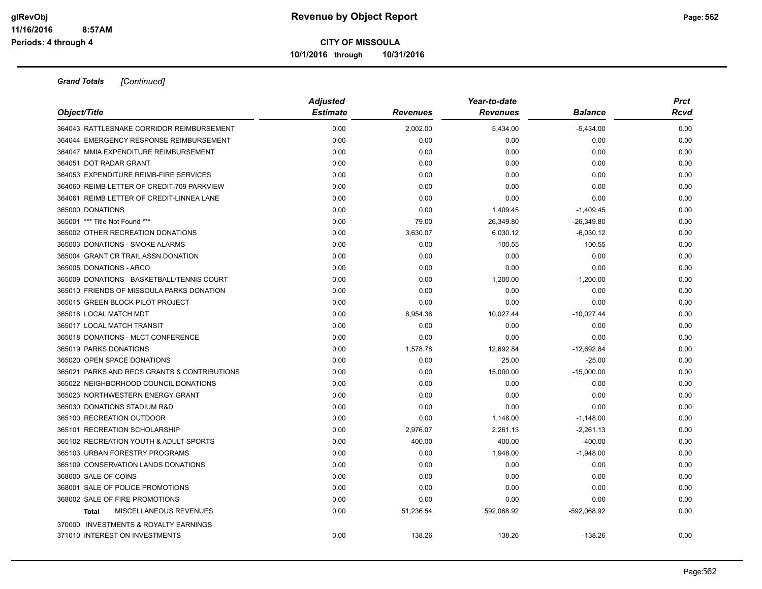**10/1/2016 through 10/31/2016**

| Object/Title                                 | <b>Adjusted</b><br><b>Estimate</b> | <b>Revenues</b> | Year-to-date<br><b>Revenues</b> | <b>Balance</b> | <b>Prct</b><br>Rcvd |
|----------------------------------------------|------------------------------------|-----------------|---------------------------------|----------------|---------------------|
| 364043 RATTLESNAKE CORRIDOR REIMBURSEMENT    | 0.00                               | 2,002.00        | 5,434.00                        | $-5,434.00$    | 0.00                |
| 364044 EMERGENCY RESPONSE REIMBURSEMENT      | 0.00                               | 0.00            | 0.00                            | 0.00           | 0.00                |
| 364047 MMIA EXPENDITURE REIMBURSEMENT        | 0.00                               | 0.00            | 0.00                            | 0.00           | 0.00                |
| 364051 DOT RADAR GRANT                       | 0.00                               | 0.00            | 0.00                            | 0.00           | 0.00                |
| 364053 EXPENDITURE REIMB-FIRE SERVICES       | 0.00                               | 0.00            | 0.00                            | 0.00           | 0.00                |
| 364060 REIMB LETTER OF CREDIT-709 PARKVIEW   | 0.00                               | 0.00            | 0.00                            | 0.00           | 0.00                |
| 364061 REIMB LETTER OF CREDIT-LINNEA LANE    | 0.00                               | 0.00            | 0.00                            | 0.00           | 0.00                |
| 365000 DONATIONS                             | 0.00                               | 0.00            | 1,409.45                        | $-1,409.45$    | 0.00                |
| 365001 *** Title Not Found ***               | 0.00                               | 79.00           | 26,349.80                       | $-26,349.80$   | 0.00                |
| 365002 OTHER RECREATION DONATIONS            | 0.00                               | 3,630.07        | 6,030.12                        | $-6,030.12$    | 0.00                |
| 365003 DONATIONS - SMOKE ALARMS              | 0.00                               | 0.00            | 100.55                          | $-100.55$      | 0.00                |
| 365004 GRANT CR TRAIL ASSN DONATION          | 0.00                               | 0.00            | 0.00                            | 0.00           | 0.00                |
| 365005 DONATIONS - ARCO                      | 0.00                               | 0.00            | 0.00                            | 0.00           | 0.00                |
| 365009 DONATIONS - BASKETBALL/TENNIS COURT   | 0.00                               | 0.00            | 1,200.00                        | $-1,200.00$    | 0.00                |
| 365010 FRIENDS OF MISSOULA PARKS DONATION    | 0.00                               | 0.00            | 0.00                            | 0.00           | 0.00                |
| 365015 GREEN BLOCK PILOT PROJECT             | 0.00                               | 0.00            | 0.00                            | 0.00           | 0.00                |
| 365016 LOCAL MATCH MDT                       | 0.00                               | 8,954.36        | 10,027.44                       | $-10,027.44$   | 0.00                |
| 365017 LOCAL MATCH TRANSIT                   | 0.00                               | 0.00            | 0.00                            | 0.00           | 0.00                |
| 365018 DONATIONS - MLCT CONFERENCE           | 0.00                               | 0.00            | 0.00                            | 0.00           | 0.00                |
| 365019 PARKS DONATIONS                       | 0.00                               | 1,578.78        | 12,692.84                       | $-12,692.84$   | 0.00                |
| 365020 OPEN SPACE DONATIONS                  | 0.00                               | 0.00            | 25.00                           | $-25.00$       | 0.00                |
| 365021 PARKS AND RECS GRANTS & CONTRIBUTIONS | 0.00                               | 0.00            | 15,000.00                       | $-15,000.00$   | 0.00                |
| 365022 NEIGHBORHOOD COUNCIL DONATIONS        | 0.00                               | 0.00            | 0.00                            | 0.00           | 0.00                |
| 365023 NORTHWESTERN ENERGY GRANT             | 0.00                               | 0.00            | 0.00                            | 0.00           | 0.00                |
| 365030 DONATIONS STADIUM R&D                 | 0.00                               | 0.00            | 0.00                            | 0.00           | 0.00                |
| 365100 RECREATION OUTDOOR                    | 0.00                               | 0.00            | 1,148.00                        | $-1,148.00$    | 0.00                |
| 365101 RECREATION SCHOLARSHIP                | 0.00                               | 2,976.07        | 2,261.13                        | $-2,261.13$    | 0.00                |
| 365102 RECREATION YOUTH & ADULT SPORTS       | 0.00                               | 400.00          | 400.00                          | $-400.00$      | 0.00                |
| 365103 URBAN FORESTRY PROGRAMS               | 0.00                               | 0.00            | 1,948.00                        | $-1,948.00$    | 0.00                |
| 365109 CONSERVATION LANDS DONATIONS          | 0.00                               | 0.00            | 0.00                            | 0.00           | 0.00                |
| 368000 SALE OF COINS                         | 0.00                               | 0.00            | 0.00                            | 0.00           | 0.00                |
| 368001 SALE OF POLICE PROMOTIONS             | 0.00                               | 0.00            | 0.00                            | 0.00           | 0.00                |
| 368002 SALE OF FIRE PROMOTIONS               | 0.00                               | 0.00            | 0.00                            | 0.00           | 0.00                |
| MISCELLANEOUS REVENUES<br><b>Total</b>       | 0.00                               | 51,236.54       | 592,068.92                      | $-592,068.92$  | 0.00                |
| 370000 INVESTMENTS & ROYALTY EARNINGS        |                                    |                 |                                 |                |                     |
| 371010 INTEREST ON INVESTMENTS               | 0.00                               | 138.26          | 138.26                          | $-138.26$      | 0.00                |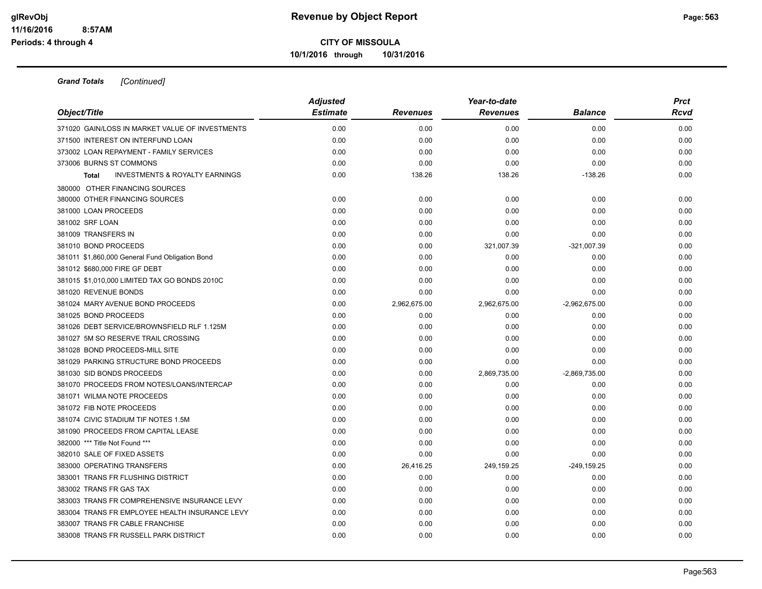**10/1/2016 through 10/31/2016**

| Object/Title                                              | <b>Adjusted</b><br><b>Estimate</b> | <b>Revenues</b> | Year-to-date<br><b>Revenues</b> | <b>Balance</b>  | <b>Prct</b><br>Rcvd |
|-----------------------------------------------------------|------------------------------------|-----------------|---------------------------------|-----------------|---------------------|
|                                                           |                                    |                 |                                 |                 |                     |
| 371020 GAIN/LOSS IN MARKET VALUE OF INVESTMENTS           | 0.00                               | 0.00            | 0.00                            | 0.00            | 0.00                |
| 371500 INTEREST ON INTERFUND LOAN                         | 0.00                               | 0.00            | 0.00                            | 0.00            | 0.00                |
| 373002 LOAN REPAYMENT - FAMILY SERVICES                   | 0.00                               | 0.00            | 0.00                            | 0.00            | 0.00                |
| 373006 BURNS ST COMMONS                                   | 0.00                               | 0.00            | 0.00                            | 0.00            | 0.00                |
| <b>INVESTMENTS &amp; ROYALTY EARNINGS</b><br><b>Total</b> | 0.00                               | 138.26          | 138.26                          | $-138.26$       | 0.00                |
| 380000 OTHER FINANCING SOURCES                            |                                    |                 |                                 |                 |                     |
| 380000 OTHER FINANCING SOURCES                            | 0.00                               | 0.00            | 0.00                            | 0.00            | 0.00                |
| 381000 LOAN PROCEEDS                                      | 0.00                               | 0.00            | 0.00                            | 0.00            | 0.00                |
| 381002 SRF LOAN                                           | 0.00                               | 0.00            | 0.00                            | 0.00            | 0.00                |
| 381009 TRANSFERS IN                                       | 0.00                               | 0.00            | 0.00                            | 0.00            | 0.00                |
| 381010 BOND PROCEEDS                                      | 0.00                               | 0.00            | 321,007.39                      | $-321,007.39$   | 0.00                |
| 381011 \$1,860,000 General Fund Obligation Bond           | 0.00                               | 0.00            | 0.00                            | 0.00            | 0.00                |
| 381012 \$680,000 FIRE GF DEBT                             | 0.00                               | 0.00            | 0.00                            | 0.00            | 0.00                |
| 381015 \$1,010,000 LIMITED TAX GO BONDS 2010C             | 0.00                               | 0.00            | 0.00                            | 0.00            | 0.00                |
| 381020 REVENUE BONDS                                      | 0.00                               | 0.00            | 0.00                            | 0.00            | 0.00                |
| 381024 MARY AVENUE BOND PROCEEDS                          | 0.00                               | 2,962,675.00    | 2,962,675.00                    | $-2,962,675.00$ | 0.00                |
| 381025 BOND PROCEEDS                                      | 0.00                               | 0.00            | 0.00                            | 0.00            | 0.00                |
| 381026 DEBT SERVICE/BROWNSFIELD RLF 1.125M                | 0.00                               | 0.00            | 0.00                            | 0.00            | 0.00                |
| 381027 5M SO RESERVE TRAIL CROSSING                       | 0.00                               | 0.00            | 0.00                            | 0.00            | 0.00                |
| 381028 BOND PROCEEDS-MILL SITE                            | 0.00                               | 0.00            | 0.00                            | 0.00            | 0.00                |
| 381029 PARKING STRUCTURE BOND PROCEEDS                    | 0.00                               | 0.00            | 0.00                            | 0.00            | 0.00                |
| 381030 SID BONDS PROCEEDS                                 | 0.00                               | 0.00            | 2,869,735.00                    | $-2,869,735.00$ | 0.00                |
| 381070 PROCEEDS FROM NOTES/LOANS/INTERCAP                 | 0.00                               | 0.00            | 0.00                            | 0.00            | 0.00                |
| 381071 WILMA NOTE PROCEEDS                                | 0.00                               | 0.00            | 0.00                            | 0.00            | 0.00                |
| 381072 FIB NOTE PROCEEDS                                  | 0.00                               | 0.00            | 0.00                            | 0.00            | 0.00                |
| 381074 CIVIC STADIUM TIF NOTES 1.5M                       | 0.00                               | 0.00            | 0.00                            | 0.00            | 0.00                |
| 381090 PROCEEDS FROM CAPITAL LEASE                        | 0.00                               | 0.00            | 0.00                            | 0.00            | 0.00                |
| 382000 *** Title Not Found ***                            | 0.00                               | 0.00            | 0.00                            | 0.00            | 0.00                |
| 382010 SALE OF FIXED ASSETS                               | 0.00                               | 0.00            | 0.00                            | 0.00            | 0.00                |
| 383000 OPERATING TRANSFERS                                | 0.00                               | 26,416.25       | 249,159.25                      | $-249, 159.25$  | 0.00                |
| 383001 TRANS FR FLUSHING DISTRICT                         | 0.00                               | 0.00            | 0.00                            | 0.00            | 0.00                |
| 383002 TRANS FR GAS TAX                                   | 0.00                               | 0.00            | 0.00                            | 0.00            | 0.00                |
| 383003 TRANS FR COMPREHENSIVE INSURANCE LEVY              | 0.00                               | 0.00            | 0.00                            | 0.00            | 0.00                |
| 383004 TRANS FR EMPLOYEE HEALTH INSURANCE LEVY            | 0.00                               | 0.00            | 0.00                            | 0.00            | 0.00                |
| 383007 TRANS FR CABLE FRANCHISE                           | 0.00                               | 0.00            | 0.00                            | 0.00            | 0.00                |
| 383008 TRANS FR RUSSELL PARK DISTRICT                     | 0.00                               | 0.00            | 0.00                            | 0.00            | 0.00                |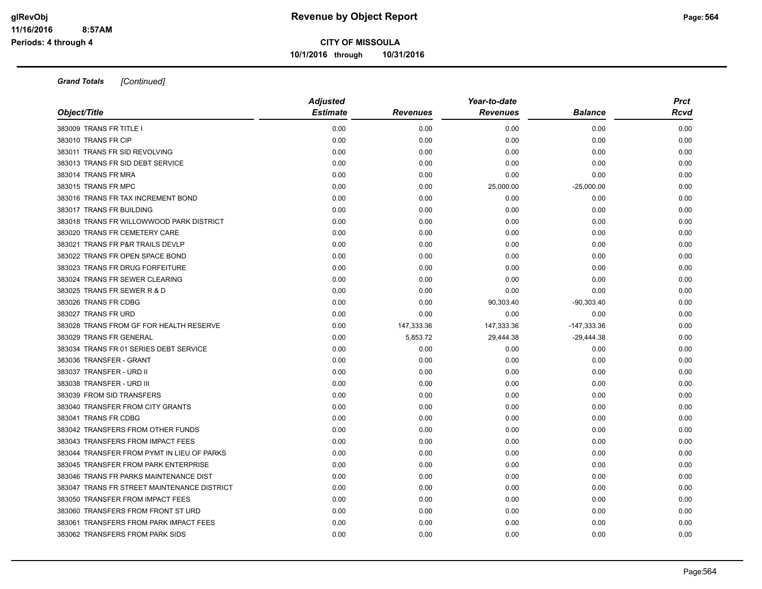**10/1/2016 through 10/31/2016**

|                                             | <b>Adjusted</b> |                 | Year-to-date    |                | Prct        |  |
|---------------------------------------------|-----------------|-----------------|-----------------|----------------|-------------|--|
| Object/Title                                | <b>Estimate</b> | <b>Revenues</b> | <b>Revenues</b> | <b>Balance</b> | <b>Rcvd</b> |  |
| 383009 TRANS FR TITLE I                     | 0.00            | 0.00            | 0.00            | 0.00           | 0.00        |  |
| 383010 TRANS FR CIP                         | 0.00            | 0.00            | 0.00            | 0.00           | 0.00        |  |
| 383011 TRANS FR SID REVOLVING               | 0.00            | 0.00            | 0.00            | 0.00           | 0.00        |  |
| 383013 TRANS FR SID DEBT SERVICE            | 0.00            | 0.00            | 0.00            | 0.00           | 0.00        |  |
| 383014 TRANS FR MRA                         | 0.00            | 0.00            | 0.00            | 0.00           | 0.00        |  |
| 383015 TRANS FR MPC                         | 0.00            | 0.00            | 25,000.00       | $-25,000.00$   | 0.00        |  |
| 383016 TRANS FR TAX INCREMENT BOND          | 0.00            | 0.00            | 0.00            | 0.00           | 0.00        |  |
| 383017 TRANS FR BUILDING                    | 0.00            | 0.00            | 0.00            | 0.00           | 0.00        |  |
| 383018 TRANS FR WILLOWWOOD PARK DISTRICT    | 0.00            | 0.00            | 0.00            | 0.00           | 0.00        |  |
| 383020 TRANS FR CEMETERY CARE               | 0.00            | 0.00            | 0.00            | 0.00           | 0.00        |  |
| 383021 TRANS FR P&R TRAILS DEVLP            | 0.00            | 0.00            | 0.00            | 0.00           | 0.00        |  |
| 383022 TRANS FR OPEN SPACE BOND             | 0.00            | 0.00            | 0.00            | 0.00           | 0.00        |  |
| 383023 TRANS FR DRUG FORFEITURE             | 0.00            | 0.00            | 0.00            | 0.00           | 0.00        |  |
| 383024 TRANS FR SEWER CLEARING              | 0.00            | 0.00            | 0.00            | 0.00           | 0.00        |  |
| 383025 TRANS FR SEWER R & D                 | 0.00            | 0.00            | 0.00            | 0.00           | 0.00        |  |
| 383026 TRANS FR CDBG                        | 0.00            | 0.00            | 90,303.40       | $-90,303.40$   | 0.00        |  |
| 383027 TRANS FR URD                         | 0.00            | 0.00            | 0.00            | 0.00           | 0.00        |  |
| 383028 TRANS FROM GF FOR HEALTH RESERVE     | 0.00            | 147,333.36      | 147,333.36      | $-147,333.36$  | 0.00        |  |
| 383029 TRANS FR GENERAL                     | 0.00            | 5,853.72        | 29,444.38       | $-29,444.38$   | 0.00        |  |
| 383034 TRANS FR 01 SERIES DEBT SERVICE      | 0.00            | 0.00            | 0.00            | 0.00           | 0.00        |  |
| 383036 TRANSFER - GRANT                     | 0.00            | 0.00            | 0.00            | 0.00           | 0.00        |  |
| 383037 TRANSFER - URD II                    | 0.00            | 0.00            | 0.00            | 0.00           | 0.00        |  |
| 383038 TRANSFER - URD III                   | 0.00            | 0.00            | 0.00            | 0.00           | 0.00        |  |
| 383039 FROM SID TRANSFERS                   | 0.00            | 0.00            | 0.00            | 0.00           | 0.00        |  |
| 383040 TRANSFER FROM CITY GRANTS            | 0.00            | 0.00            | 0.00            | 0.00           | 0.00        |  |
| 383041 TRANS FR CDBG                        | 0.00            | 0.00            | 0.00            | 0.00           | 0.00        |  |
| 383042 TRANSFERS FROM OTHER FUNDS           | 0.00            | 0.00            | 0.00            | 0.00           | 0.00        |  |
| 383043 TRANSFERS FROM IMPACT FEES           | 0.00            | 0.00            | 0.00            | 0.00           | 0.00        |  |
| 383044 TRANSFER FROM PYMT IN LIEU OF PARKS  | 0.00            | 0.00            | 0.00            | 0.00           | 0.00        |  |
| 383045 TRANSFER FROM PARK ENTERPRISE        | 0.00            | 0.00            | 0.00            | 0.00           | 0.00        |  |
| 383046 TRANS FR PARKS MAINTENANCE DIST      | 0.00            | 0.00            | 0.00            | 0.00           | 0.00        |  |
| 383047 TRANS FR STREET MAINTENANCE DISTRICT | 0.00            | 0.00            | 0.00            | 0.00           | 0.00        |  |
| 383050 TRANSFER FROM IMPACT FEES            | 0.00            | 0.00            | 0.00            | 0.00           | 0.00        |  |
| 383060 TRANSFERS FROM FRONT ST URD          | 0.00            | 0.00            | 0.00            | 0.00           | 0.00        |  |
| 383061 TRANSFERS FROM PARK IMPACT FEES      | 0.00            | 0.00            | 0.00            | 0.00           | 0.00        |  |
| 383062 TRANSFERS FROM PARK SIDS             | 0.00            | 0.00            | 0.00            | 0.00           | 0.00        |  |